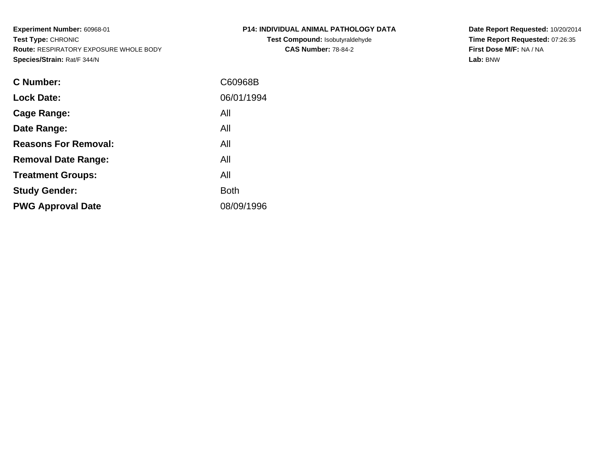**Experiment Number:** 60968-01**Test Type:** CHRONIC **Route:** RESPIRATORY EXPOSURE WHOLE BODY**Species/Strain:** Rat/F 344/N

| P14: INDIVIDUAL ANIMAL PATHOLOGY DATA  |
|----------------------------------------|
| <b>Test Compound: Isobutyraldehyde</b> |
| <b>CAS Number: 78-84-2</b>             |

**Date Report Requested:** 10/20/2014 **Time Report Requested:** 07:26:35**First Dose M/F:** NA / NA**Lab:** BNW

| <b>C Number:</b>            | C60968B     |
|-----------------------------|-------------|
| <b>Lock Date:</b>           | 06/01/1994  |
| <b>Cage Range:</b>          | All         |
| Date Range:                 | All         |
| <b>Reasons For Removal:</b> | All         |
| <b>Removal Date Range:</b>  | All         |
| <b>Treatment Groups:</b>    | All         |
| <b>Study Gender:</b>        | <b>Both</b> |
| <b>PWG Approval Date</b>    | 08/09/1996  |
|                             |             |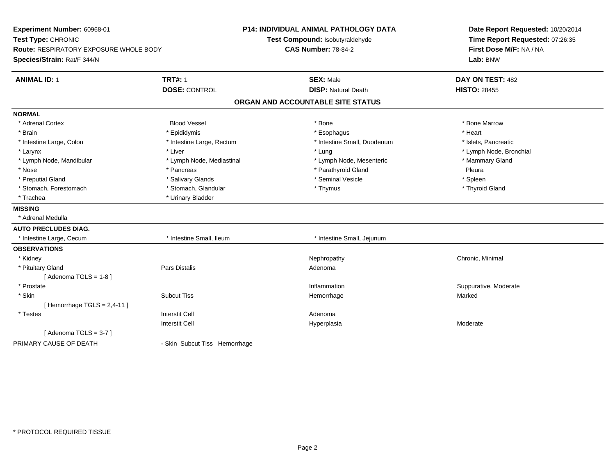| Experiment Number: 60968-01<br>Test Type: CHRONIC<br><b>Route: RESPIRATORY EXPOSURE WHOLE BODY</b> |                               | <b>P14: INDIVIDUAL ANIMAL PATHOLOGY DATA</b><br>Test Compound: Isobutyraldehyde<br><b>CAS Number: 78-84-2</b> | Date Report Requested: 10/20/2014<br>Time Report Requested: 07:26:35 |  |
|----------------------------------------------------------------------------------------------------|-------------------------------|---------------------------------------------------------------------------------------------------------------|----------------------------------------------------------------------|--|
| Species/Strain: Rat/F 344/N                                                                        |                               |                                                                                                               | First Dose M/F: NA / NA<br>Lab: BNW                                  |  |
| <b>ANIMAL ID: 1</b>                                                                                | <b>TRT#: 1</b>                | <b>SEX: Male</b>                                                                                              | DAY ON TEST: 482                                                     |  |
|                                                                                                    | <b>DOSE: CONTROL</b>          | <b>DISP: Natural Death</b>                                                                                    | <b>HISTO: 28455</b>                                                  |  |
|                                                                                                    |                               | ORGAN AND ACCOUNTABLE SITE STATUS                                                                             |                                                                      |  |
| <b>NORMAL</b>                                                                                      |                               |                                                                                                               |                                                                      |  |
| * Adrenal Cortex                                                                                   | <b>Blood Vessel</b>           | * Bone                                                                                                        | * Bone Marrow                                                        |  |
| * Brain                                                                                            | * Epididymis                  | * Esophagus                                                                                                   | * Heart                                                              |  |
| * Intestine Large, Colon                                                                           | * Intestine Large, Rectum     | * Intestine Small, Duodenum                                                                                   | * Islets, Pancreatic                                                 |  |
| * Larynx                                                                                           | * Liver                       | * Lung                                                                                                        | * Lymph Node, Bronchial                                              |  |
| * Lymph Node, Mandibular                                                                           | * Lymph Node, Mediastinal     | * Lymph Node, Mesenteric                                                                                      | * Mammary Gland                                                      |  |
| * Nose                                                                                             | * Pancreas                    | * Parathyroid Gland                                                                                           | Pleura                                                               |  |
| * Preputial Gland                                                                                  | * Salivary Glands             | * Seminal Vesicle                                                                                             | * Spleen                                                             |  |
| * Stomach, Forestomach                                                                             | * Stomach, Glandular          | * Thymus                                                                                                      | * Thyroid Gland                                                      |  |
| * Trachea                                                                                          | * Urinary Bladder             |                                                                                                               |                                                                      |  |
| <b>MISSING</b>                                                                                     |                               |                                                                                                               |                                                                      |  |
| * Adrenal Medulla                                                                                  |                               |                                                                                                               |                                                                      |  |
| <b>AUTO PRECLUDES DIAG.</b>                                                                        |                               |                                                                                                               |                                                                      |  |
| * Intestine Large, Cecum                                                                           | * Intestine Small. Ileum      | * Intestine Small, Jejunum                                                                                    |                                                                      |  |
| <b>OBSERVATIONS</b>                                                                                |                               |                                                                                                               |                                                                      |  |
| * Kidney                                                                                           |                               | Nephropathy                                                                                                   | Chronic, Minimal                                                     |  |
| * Pituitary Gland                                                                                  | <b>Pars Distalis</b>          | Adenoma                                                                                                       |                                                                      |  |
| [Adenoma TGLS = $1-8$ ]                                                                            |                               |                                                                                                               |                                                                      |  |
| * Prostate                                                                                         |                               | Inflammation                                                                                                  | Suppurative, Moderate                                                |  |
| * Skin                                                                                             | <b>Subcut Tiss</b>            | Hemorrhage                                                                                                    | Marked                                                               |  |
| [Hemorrhage TGLS = $2,4-11$ ]                                                                      |                               |                                                                                                               |                                                                      |  |
| * Testes                                                                                           | <b>Interstit Cell</b>         | Adenoma                                                                                                       |                                                                      |  |
|                                                                                                    | <b>Interstit Cell</b>         | Hyperplasia                                                                                                   | Moderate                                                             |  |
| [Adenoma TGLS = $3-7$ ]                                                                            |                               |                                                                                                               |                                                                      |  |
| PRIMARY CAUSE OF DEATH                                                                             | - Skin Subcut Tiss Hemorrhage |                                                                                                               |                                                                      |  |
|                                                                                                    |                               |                                                                                                               |                                                                      |  |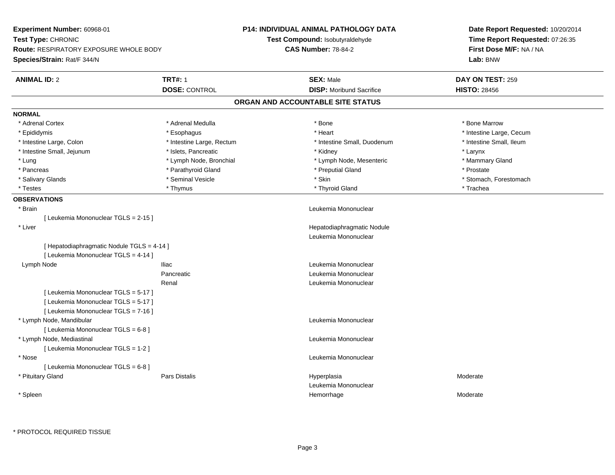| Experiment Number: 60968-01                        |                                 | <b>P14: INDIVIDUAL ANIMAL PATHOLOGY DATA</b> | Date Report Requested: 10/20/2014   |
|----------------------------------------------------|---------------------------------|----------------------------------------------|-------------------------------------|
| Test Type: CHRONIC                                 | Test Compound: Isobutyraldehyde |                                              | Time Report Requested: 07:26:35     |
| <b>Route: RESPIRATORY EXPOSURE WHOLE BODY</b>      |                                 | <b>CAS Number: 78-84-2</b>                   | First Dose M/F: NA / NA<br>Lab: BNW |
| <b>Species/Strain: Rat/F 344/N</b>                 |                                 |                                              |                                     |
| <b>TRT#: 1</b><br><b>ANIMAL ID: 2</b>              |                                 | <b>SEX: Male</b>                             | DAY ON TEST: 259                    |
| <b>DOSE: CONTROL</b>                               |                                 | <b>DISP: Moribund Sacrifice</b>              | <b>HISTO: 28456</b>                 |
|                                                    |                                 | ORGAN AND ACCOUNTABLE SITE STATUS            |                                     |
| <b>NORMAL</b>                                      |                                 |                                              |                                     |
| * Adrenal Medulla<br>* Adrenal Cortex              |                                 | * Bone                                       | * Bone Marrow                       |
| * Epididymis<br>* Esophagus                        |                                 | * Heart                                      | * Intestine Large, Cecum            |
| * Intestine Large, Colon                           | * Intestine Large, Rectum       | * Intestine Small, Duodenum                  | * Intestine Small, Ileum            |
| * Intestine Small, Jejunum<br>* Islets, Pancreatic |                                 | * Kidney                                     | * Larynx                            |
| * Lung                                             | * Lymph Node, Bronchial         | * Lymph Node, Mesenteric                     | * Mammary Gland                     |
| * Pancreas                                         | * Parathyroid Gland             | * Preputial Gland                            | * Prostate                          |
| * Seminal Vesicle<br>* Salivary Glands             |                                 | * Skin                                       | * Stomach, Forestomach              |
| * Testes<br>* Thymus                               |                                 | * Thyroid Gland                              | * Trachea                           |
| <b>OBSERVATIONS</b>                                |                                 |                                              |                                     |
| * Brain                                            |                                 | Leukemia Mononuclear                         |                                     |
| [ Leukemia Mononuclear TGLS = 2-15 ]               |                                 |                                              |                                     |
| * Liver                                            |                                 | Hepatodiaphragmatic Nodule                   |                                     |
|                                                    |                                 | Leukemia Mononuclear                         |                                     |
| [ Hepatodiaphragmatic Nodule TGLS = 4-14 ]         |                                 |                                              |                                     |
| [ Leukemia Mononuclear TGLS = 4-14 ]               |                                 |                                              |                                     |
| Lymph Node<br><b>Iliac</b>                         |                                 | Leukemia Mononuclear                         |                                     |
| Pancreatic                                         |                                 | Leukemia Mononuclear                         |                                     |
| Renal                                              |                                 | Leukemia Mononuclear                         |                                     |
| [ Leukemia Mononuclear TGLS = 5-17 ]               |                                 |                                              |                                     |
| [ Leukemia Mononuclear TGLS = 5-17 ]               |                                 |                                              |                                     |
| [ Leukemia Mononuclear TGLS = 7-16 ]               |                                 |                                              |                                     |
| * Lymph Node, Mandibular                           |                                 | Leukemia Mononuclear                         |                                     |
| [ Leukemia Mononuclear TGLS = 6-8 ]                |                                 |                                              |                                     |
| * Lymph Node, Mediastinal                          |                                 | Leukemia Mononuclear                         |                                     |
| [ Leukemia Mononuclear TGLS = 1-2 ]                |                                 |                                              |                                     |
| * Nose                                             |                                 | Leukemia Mononuclear                         |                                     |
| [ Leukemia Mononuclear TGLS = 6-8 ]                |                                 |                                              |                                     |
| * Pituitary Gland<br>Pars Distalis                 |                                 | Hyperplasia                                  | Moderate                            |
|                                                    |                                 | Leukemia Mononuclear                         |                                     |
| * Spleen                                           |                                 | Hemorrhage                                   | Moderate                            |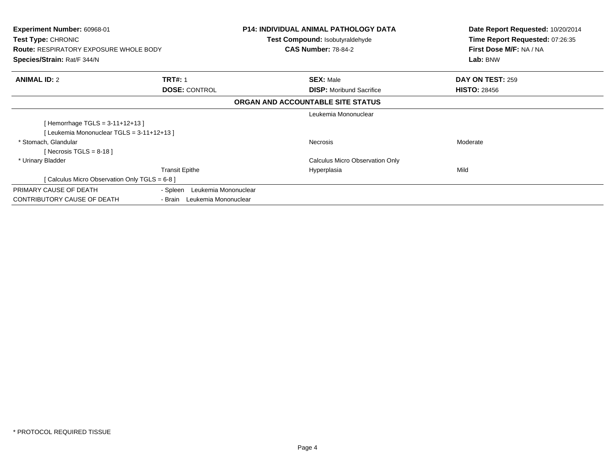| <b>Experiment Number: 60968-01</b><br>Test Type: CHRONIC<br><b>Route: RESPIRATORY EXPOSURE WHOLE BODY</b><br>Species/Strain: Rat/F 344/N |                                  | P14: INDIVIDUAL ANIMAL PATHOLOGY DATA<br>Test Compound: Isobutyraldehyde<br><b>CAS Number: 78-84-2</b> | Date Report Requested: 10/20/2014<br>Time Report Requested: 07:26:35<br>First Dose M/F: NA / NA<br>Lab: BNW |
|------------------------------------------------------------------------------------------------------------------------------------------|----------------------------------|--------------------------------------------------------------------------------------------------------|-------------------------------------------------------------------------------------------------------------|
| <b>ANIMAL ID: 2</b>                                                                                                                      | <b>TRT#: 1</b>                   | <b>SEX: Male</b>                                                                                       | DAY ON TEST: 259                                                                                            |
|                                                                                                                                          | <b>DOSE: CONTROL</b>             | <b>DISP:</b> Moribund Sacrifice                                                                        | <b>HISTO: 28456</b>                                                                                         |
|                                                                                                                                          |                                  | ORGAN AND ACCOUNTABLE SITE STATUS                                                                      |                                                                                                             |
|                                                                                                                                          |                                  | Leukemia Mononuclear                                                                                   |                                                                                                             |
| [Hemorrhage TGLS = $3-11+12+13$ ]                                                                                                        |                                  |                                                                                                        |                                                                                                             |
| [Leukemia Mononuclear TGLS = 3-11+12+13]                                                                                                 |                                  |                                                                                                        |                                                                                                             |
| * Stomach, Glandular                                                                                                                     |                                  | <b>Necrosis</b>                                                                                        | Moderate                                                                                                    |
| [Necrosis TGLS = 8-18]                                                                                                                   |                                  |                                                                                                        |                                                                                                             |
| * Urinary Bladder                                                                                                                        |                                  | <b>Calculus Micro Observation Only</b>                                                                 |                                                                                                             |
|                                                                                                                                          | <b>Transit Epithe</b>            | Hyperplasia                                                                                            | Mild                                                                                                        |
| [ Calculus Micro Observation Only TGLS = 6-8 ]                                                                                           |                                  |                                                                                                        |                                                                                                             |
| PRIMARY CAUSE OF DEATH                                                                                                                   | Leukemia Mononuclear<br>- Spleen |                                                                                                        |                                                                                                             |
| <b>CONTRIBUTORY CAUSE OF DEATH</b>                                                                                                       | Leukemia Mononuclear<br>- Brain  |                                                                                                        |                                                                                                             |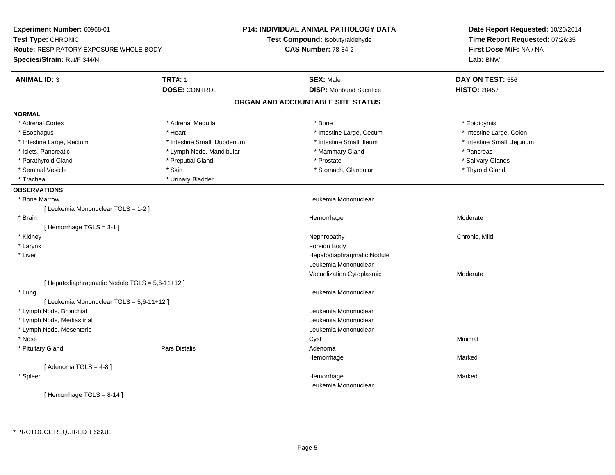| Experiment Number: 60968-01                     |                             | <b>P14: INDIVIDUAL ANIMAL PATHOLOGY DATA</b> | Date Report Requested: 10/20/2014                          |  |
|-------------------------------------------------|-----------------------------|----------------------------------------------|------------------------------------------------------------|--|
| Test Type: CHRONIC                              |                             | Test Compound: Isobutyraldehyde              | Time Report Requested: 07:26:35<br>First Dose M/F: NA / NA |  |
| <b>Route: RESPIRATORY EXPOSURE WHOLE BODY</b>   |                             | <b>CAS Number: 78-84-2</b>                   |                                                            |  |
| Species/Strain: Rat/F 344/N                     |                             |                                              | Lab: BNW                                                   |  |
| <b>ANIMAL ID: 3</b>                             | <b>TRT#: 1</b>              | <b>SEX: Male</b>                             | DAY ON TEST: 556                                           |  |
|                                                 | <b>DOSE: CONTROL</b>        | <b>DISP:</b> Moribund Sacrifice              | <b>HISTO: 28457</b>                                        |  |
|                                                 |                             | ORGAN AND ACCOUNTABLE SITE STATUS            |                                                            |  |
| <b>NORMAL</b>                                   |                             |                                              |                                                            |  |
| * Adrenal Cortex                                | * Adrenal Medulla           | * Bone                                       | * Epididymis                                               |  |
| * Esophagus                                     | * Heart                     | * Intestine Large, Cecum                     | * Intestine Large, Colon                                   |  |
| * Intestine Large, Rectum                       | * Intestine Small, Duodenum | * Intestine Small, Ileum                     | * Intestine Small, Jejunum                                 |  |
| * Islets, Pancreatic                            | * Lymph Node, Mandibular    | * Mammary Gland                              | * Pancreas                                                 |  |
| * Parathyroid Gland                             | * Preputial Gland           | * Prostate                                   | * Salivary Glands                                          |  |
| * Seminal Vesicle                               | * Skin                      | * Stomach, Glandular                         | * Thyroid Gland                                            |  |
| * Trachea                                       | * Urinary Bladder           |                                              |                                                            |  |
| <b>OBSERVATIONS</b>                             |                             |                                              |                                                            |  |
| * Bone Marrow                                   |                             | Leukemia Mononuclear                         |                                                            |  |
| [Leukemia Mononuclear TGLS = 1-2]               |                             |                                              |                                                            |  |
| * Brain                                         |                             | Hemorrhage                                   | Moderate                                                   |  |
| [Hemorrhage TGLS = 3-1]                         |                             |                                              |                                                            |  |
| * Kidney                                        |                             | Nephropathy                                  | Chronic, Mild                                              |  |
| * Larynx                                        |                             | Foreign Body                                 |                                                            |  |
| * Liver                                         |                             | Hepatodiaphragmatic Nodule                   |                                                            |  |
|                                                 |                             | Leukemia Mononuclear                         |                                                            |  |
|                                                 |                             | Vacuolization Cytoplasmic                    | Moderate                                                   |  |
| [ Hepatodiaphragmatic Nodule TGLS = 5,6-11+12 ] |                             |                                              |                                                            |  |
| * Lung                                          |                             | Leukemia Mononuclear                         |                                                            |  |
| [ Leukemia Mononuclear TGLS = 5,6-11+12 ]       |                             |                                              |                                                            |  |
| * Lymph Node, Bronchial                         |                             | Leukemia Mononuclear                         |                                                            |  |
| * Lymph Node, Mediastinal                       |                             | Leukemia Mononuclear                         |                                                            |  |
| * Lymph Node, Mesenteric                        |                             | Leukemia Mononuclear                         |                                                            |  |
| * Nose                                          |                             | Cyst                                         | Minimal                                                    |  |
| * Pituitary Gland                               | <b>Pars Distalis</b>        | Adenoma                                      |                                                            |  |
|                                                 |                             | Hemorrhage                                   | Marked                                                     |  |
| [Adenoma TGLS = $4-8$ ]                         |                             |                                              |                                                            |  |
| * Spleen                                        |                             | Hemorrhage                                   | Marked                                                     |  |
|                                                 |                             | Leukemia Mononuclear                         |                                                            |  |
| [Hemorrhage TGLS = 8-14]                        |                             |                                              |                                                            |  |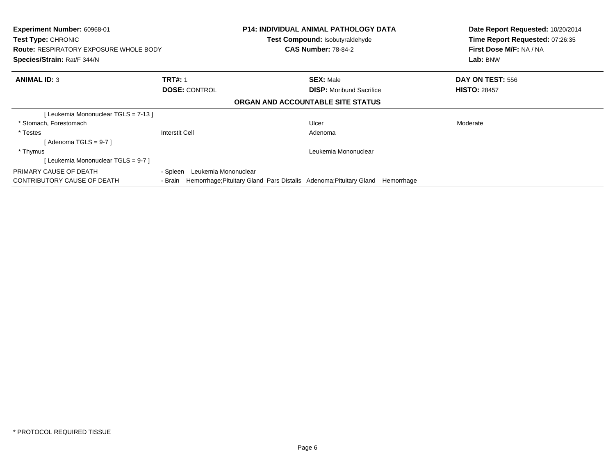| <b>Experiment Number: 60968-01</b><br>Test Type: CHRONIC<br><b>Route: RESPIRATORY EXPOSURE WHOLE BODY</b><br>Species/Strain: Rat/F 344/N |                                                                               | <b>P14: INDIVIDUAL ANIMAL PATHOLOGY DATA</b><br>Test Compound: Isobutyraldehyde<br><b>CAS Number: 78-84-2</b> | Date Report Requested: 10/20/2014<br>Time Report Requested: 07:26:35<br>First Dose M/F: NA / NA<br>Lab: BNW |
|------------------------------------------------------------------------------------------------------------------------------------------|-------------------------------------------------------------------------------|---------------------------------------------------------------------------------------------------------------|-------------------------------------------------------------------------------------------------------------|
| <b>ANIMAL ID: 3</b>                                                                                                                      | <b>TRT#: 1</b>                                                                | <b>SEX: Male</b>                                                                                              | DAY ON TEST: 556                                                                                            |
|                                                                                                                                          | <b>DOSE: CONTROL</b>                                                          | <b>DISP:</b> Moribund Sacrifice                                                                               | <b>HISTO: 28457</b>                                                                                         |
|                                                                                                                                          |                                                                               | ORGAN AND ACCOUNTABLE SITE STATUS                                                                             |                                                                                                             |
| [Leukemia Mononuclear TGLS = 7-13]                                                                                                       |                                                                               |                                                                                                               |                                                                                                             |
| * Stomach, Forestomach                                                                                                                   |                                                                               | Ulcer                                                                                                         | Moderate                                                                                                    |
| * Testes                                                                                                                                 | Interstit Cell                                                                | Adenoma                                                                                                       |                                                                                                             |
| [ Adenoma TGLS = 9-7 ]                                                                                                                   |                                                                               |                                                                                                               |                                                                                                             |
| * Thymus                                                                                                                                 |                                                                               | Leukemia Mononuclear                                                                                          |                                                                                                             |
| [Leukemia Mononuclear TGLS = 9-7 ]                                                                                                       |                                                                               |                                                                                                               |                                                                                                             |
| PRIMARY CAUSE OF DEATH                                                                                                                   | - Spleen<br>Leukemia Mononuclear                                              |                                                                                                               |                                                                                                             |
| CONTRIBUTORY CAUSE OF DEATH                                                                                                              | Hemorrhage; Pituitary Gland Pars Distalis Adenoma; Pituitary Gland<br>- Brain | Hemorrhage                                                                                                    |                                                                                                             |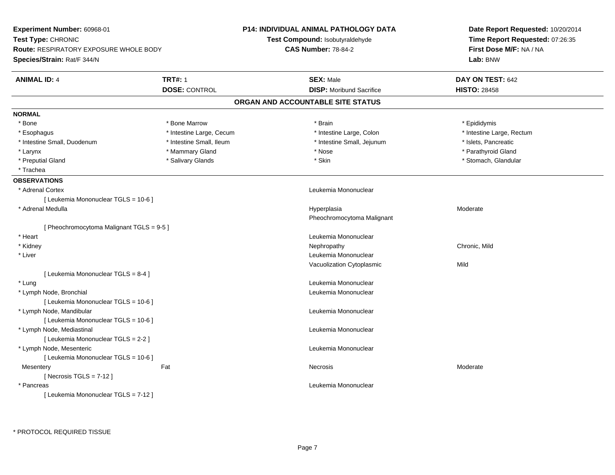| Experiment Number: 60968-01                                                  |                          | <b>P14: INDIVIDUAL ANIMAL PATHOLOGY DATA</b> | Date Report Requested: 10/20/2014 |
|------------------------------------------------------------------------------|--------------------------|----------------------------------------------|-----------------------------------|
| Test Type: CHRONIC                                                           |                          | <b>Test Compound: Isobutyraldehyde</b>       | Time Report Requested: 07:26:35   |
| <b>Route: RESPIRATORY EXPOSURE WHOLE BODY</b><br>Species/Strain: Rat/F 344/N |                          | <b>CAS Number: 78-84-2</b>                   | First Dose M/F: NA / NA           |
|                                                                              |                          |                                              | Lab: BNW                          |
| <b>ANIMAL ID: 4</b>                                                          | <b>TRT#: 1</b>           | <b>SEX: Male</b>                             | DAY ON TEST: 642                  |
|                                                                              | <b>DOSE: CONTROL</b>     | <b>DISP:</b> Moribund Sacrifice              | <b>HISTO: 28458</b>               |
|                                                                              |                          | ORGAN AND ACCOUNTABLE SITE STATUS            |                                   |
| <b>NORMAL</b>                                                                |                          |                                              |                                   |
| * Bone                                                                       | * Bone Marrow            | * Brain                                      | * Epididymis                      |
| * Esophagus                                                                  | * Intestine Large, Cecum | * Intestine Large, Colon                     | * Intestine Large, Rectum         |
| * Intestine Small, Duodenum                                                  | * Intestine Small, Ileum | * Intestine Small, Jejunum                   | * Islets, Pancreatic              |
| * Larynx                                                                     | * Mammary Gland          | * Nose                                       | * Parathyroid Gland               |
| * Preputial Gland                                                            | * Salivary Glands        | * Skin                                       | * Stomach, Glandular              |
| * Trachea                                                                    |                          |                                              |                                   |
| <b>OBSERVATIONS</b>                                                          |                          |                                              |                                   |
| * Adrenal Cortex                                                             |                          | Leukemia Mononuclear                         |                                   |
| [ Leukemia Mononuclear TGLS = 10-6 ]                                         |                          |                                              |                                   |
| * Adrenal Medulla                                                            |                          | Hyperplasia                                  | Moderate                          |
|                                                                              |                          | Pheochromocytoma Malignant                   |                                   |
| [ Pheochromocytoma Malignant TGLS = 9-5 ]                                    |                          |                                              |                                   |
| * Heart                                                                      |                          | Leukemia Mononuclear                         |                                   |
| * Kidney                                                                     |                          | Nephropathy                                  | Chronic, Mild                     |
| * Liver                                                                      |                          | Leukemia Mononuclear                         |                                   |
|                                                                              |                          | Vacuolization Cytoplasmic                    | Mild                              |
| [ Leukemia Mononuclear TGLS = 8-4 ]                                          |                          |                                              |                                   |
| * Lung                                                                       |                          | Leukemia Mononuclear                         |                                   |
| * Lymph Node, Bronchial                                                      |                          | Leukemia Mononuclear                         |                                   |
| [ Leukemia Mononuclear TGLS = 10-6 ]                                         |                          |                                              |                                   |
| * Lymph Node, Mandibular                                                     |                          | Leukemia Mononuclear                         |                                   |
| [ Leukemia Mononuclear TGLS = 10-6 ]                                         |                          |                                              |                                   |
| * Lymph Node, Mediastinal                                                    |                          | Leukemia Mononuclear                         |                                   |
| [ Leukemia Mononuclear TGLS = 2-2 ]                                          |                          |                                              |                                   |
| * Lymph Node, Mesenteric                                                     |                          | Leukemia Mononuclear                         |                                   |
| [ Leukemia Mononuclear TGLS = 10-6 ]                                         |                          |                                              |                                   |
| Mesentery                                                                    | Fat                      | Necrosis                                     | Moderate                          |
| [Necrosis $TGLS = 7-12$ ]                                                    |                          |                                              |                                   |
| * Pancreas                                                                   |                          | Leukemia Mononuclear                         |                                   |
| [ Leukemia Mononuclear TGLS = 7-12 ]                                         |                          |                                              |                                   |
|                                                                              |                          |                                              |                                   |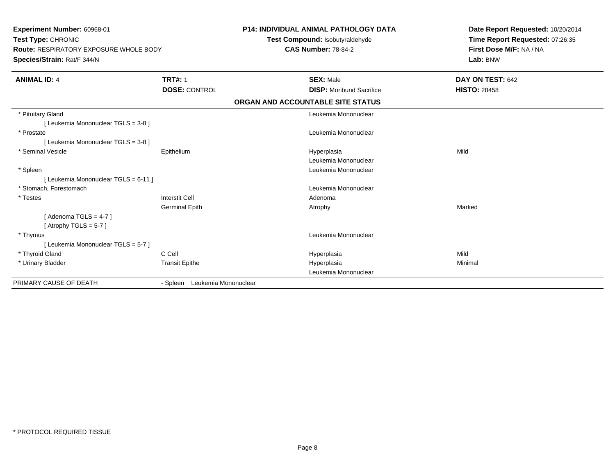| <b>Experiment Number: 60968-01</b><br>Test Type: CHRONIC<br><b>Route: RESPIRATORY EXPOSURE WHOLE BODY</b><br>Species/Strain: Rat/F 344/N |                               | <b>P14: INDIVIDUAL ANIMAL PATHOLOGY DATA</b><br>Test Compound: Isobutyraldehyde<br><b>CAS Number: 78-84-2</b> | Date Report Requested: 10/20/2014<br>Time Report Requested: 07:26:35<br>First Dose M/F: NA / NA<br>Lab: BNW |
|------------------------------------------------------------------------------------------------------------------------------------------|-------------------------------|---------------------------------------------------------------------------------------------------------------|-------------------------------------------------------------------------------------------------------------|
| <b>ANIMAL ID: 4</b>                                                                                                                      | <b>TRT#: 1</b>                | <b>SEX: Male</b>                                                                                              | DAY ON TEST: 642                                                                                            |
|                                                                                                                                          | <b>DOSE: CONTROL</b>          | <b>DISP:</b> Moribund Sacrifice                                                                               | <b>HISTO: 28458</b>                                                                                         |
|                                                                                                                                          |                               | ORGAN AND ACCOUNTABLE SITE STATUS                                                                             |                                                                                                             |
| * Pituitary Gland                                                                                                                        |                               | Leukemia Mononuclear                                                                                          |                                                                                                             |
| [ Leukemia Mononuclear TGLS = 3-8 ]                                                                                                      |                               |                                                                                                               |                                                                                                             |
| * Prostate                                                                                                                               |                               | Leukemia Mononuclear                                                                                          |                                                                                                             |
| [ Leukemia Mononuclear TGLS = 3-8 ]                                                                                                      |                               |                                                                                                               |                                                                                                             |
| * Seminal Vesicle                                                                                                                        | Epithelium                    | Hyperplasia                                                                                                   | Mild                                                                                                        |
|                                                                                                                                          |                               | Leukemia Mononuclear                                                                                          |                                                                                                             |
| * Spleen                                                                                                                                 |                               | Leukemia Mononuclear                                                                                          |                                                                                                             |
| [ Leukemia Mononuclear TGLS = 6-11 ]                                                                                                     |                               |                                                                                                               |                                                                                                             |
| * Stomach. Forestomach                                                                                                                   |                               | Leukemia Mononuclear                                                                                          |                                                                                                             |
| * Testes                                                                                                                                 | <b>Interstit Cell</b>         | Adenoma                                                                                                       |                                                                                                             |
|                                                                                                                                          | <b>Germinal Epith</b>         | Atrophy                                                                                                       | Marked                                                                                                      |
| [Adenoma TGLS = $4-7$ ]                                                                                                                  |                               |                                                                                                               |                                                                                                             |
| [Atrophy TGLS = $5-7$ ]                                                                                                                  |                               |                                                                                                               |                                                                                                             |
| * Thymus                                                                                                                                 |                               | Leukemia Mononuclear                                                                                          |                                                                                                             |
| [ Leukemia Mononuclear TGLS = 5-7 ]                                                                                                      |                               |                                                                                                               |                                                                                                             |
| * Thyroid Gland                                                                                                                          | C Cell                        | Hyperplasia                                                                                                   | Mild                                                                                                        |
| * Urinary Bladder                                                                                                                        | <b>Transit Epithe</b>         | Hyperplasia                                                                                                   | Minimal                                                                                                     |
|                                                                                                                                          |                               | Leukemia Mononuclear                                                                                          |                                                                                                             |
| PRIMARY CAUSE OF DEATH                                                                                                                   | - Spleen Leukemia Mononuclear |                                                                                                               |                                                                                                             |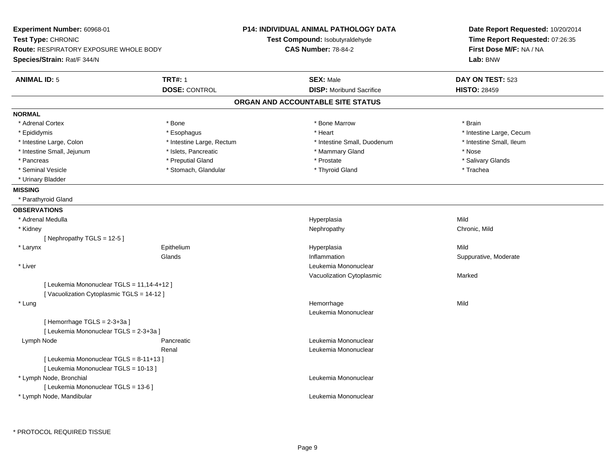| <b>Experiment Number: 60968-01</b><br>Test Type: CHRONIC<br><b>Route: RESPIRATORY EXPOSURE WHOLE BODY</b> |                           | <b>P14: INDIVIDUAL ANIMAL PATHOLOGY DATA</b> | Date Report Requested: 10/20/2014                          |
|-----------------------------------------------------------------------------------------------------------|---------------------------|----------------------------------------------|------------------------------------------------------------|
|                                                                                                           |                           | Test Compound: Isobutyraldehyde              | Time Report Requested: 07:26:35<br>First Dose M/F: NA / NA |
|                                                                                                           |                           | <b>CAS Number: 78-84-2</b>                   |                                                            |
| Species/Strain: Rat/F 344/N                                                                               |                           |                                              | Lab: BNW                                                   |
| <b>ANIMAL ID: 5</b>                                                                                       | <b>TRT#: 1</b>            | <b>SEX: Male</b>                             | DAY ON TEST: 523                                           |
|                                                                                                           | <b>DOSE: CONTROL</b>      | <b>DISP:</b> Moribund Sacrifice              | <b>HISTO: 28459</b>                                        |
|                                                                                                           |                           | ORGAN AND ACCOUNTABLE SITE STATUS            |                                                            |
| <b>NORMAL</b>                                                                                             |                           |                                              |                                                            |
| * Adrenal Cortex                                                                                          | * Bone                    | * Bone Marrow                                | * Brain                                                    |
| * Epididymis                                                                                              | * Esophagus               | * Heart                                      | * Intestine Large, Cecum                                   |
| * Intestine Large, Colon                                                                                  | * Intestine Large, Rectum | * Intestine Small, Duodenum                  | * Intestine Small, Ileum                                   |
| * Intestine Small, Jejunum                                                                                | * Islets, Pancreatic      | * Mammary Gland                              | * Nose                                                     |
| * Pancreas                                                                                                | * Preputial Gland         | * Prostate                                   | * Salivary Glands                                          |
| * Seminal Vesicle                                                                                         | * Stomach, Glandular      | * Thyroid Gland                              | * Trachea                                                  |
| * Urinary Bladder                                                                                         |                           |                                              |                                                            |
| <b>MISSING</b>                                                                                            |                           |                                              |                                                            |
| * Parathyroid Gland                                                                                       |                           |                                              |                                                            |
| <b>OBSERVATIONS</b>                                                                                       |                           |                                              |                                                            |
| * Adrenal Medulla                                                                                         |                           | Hyperplasia                                  | Mild                                                       |
| * Kidney                                                                                                  |                           | Nephropathy                                  | Chronic, Mild                                              |
| [Nephropathy TGLS = 12-5]                                                                                 |                           |                                              |                                                            |
| * Larynx                                                                                                  | Epithelium                | Hyperplasia                                  | Mild                                                       |
|                                                                                                           | Glands                    | Inflammation                                 | Suppurative, Moderate                                      |
| * Liver                                                                                                   |                           | Leukemia Mononuclear                         |                                                            |
|                                                                                                           |                           | Vacuolization Cytoplasmic                    | Marked                                                     |
| [ Leukemia Mononuclear TGLS = 11,14-4+12 ]                                                                |                           |                                              |                                                            |
| [Vacuolization Cytoplasmic TGLS = 14-12]                                                                  |                           |                                              |                                                            |
| * Lung                                                                                                    |                           | Hemorrhage                                   | Mild                                                       |
|                                                                                                           |                           | Leukemia Mononuclear                         |                                                            |
| [Hemorrhage $TGLS = 2-3+3a$ ]                                                                             |                           |                                              |                                                            |
| [ Leukemia Mononuclear TGLS = 2-3+3a ]                                                                    |                           |                                              |                                                            |
| Lymph Node                                                                                                | Pancreatic                | Leukemia Mononuclear                         |                                                            |
|                                                                                                           | Renal                     | Leukemia Mononuclear                         |                                                            |
| [ Leukemia Mononuclear TGLS = 8-11+13 ]                                                                   |                           |                                              |                                                            |
| [ Leukemia Mononuclear TGLS = 10-13 ]                                                                     |                           |                                              |                                                            |
| * Lymph Node, Bronchial                                                                                   |                           | Leukemia Mononuclear                         |                                                            |
| [ Leukemia Mononuclear TGLS = 13-6 ]                                                                      |                           |                                              |                                                            |
| * Lymph Node, Mandibular                                                                                  |                           | Leukemia Mononuclear                         |                                                            |
|                                                                                                           |                           |                                              |                                                            |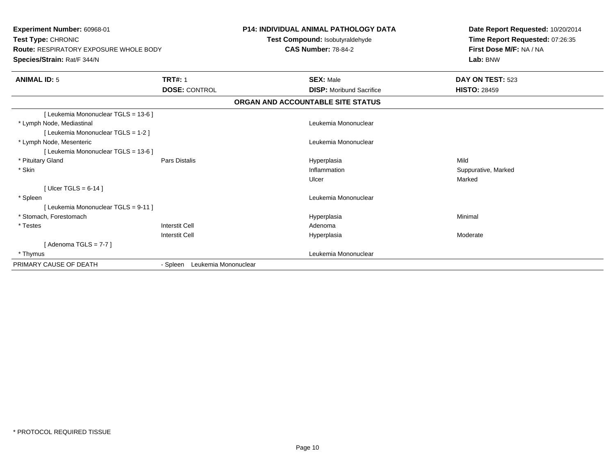| Experiment Number: 60968-01<br>Test Type: CHRONIC<br><b>Route: RESPIRATORY EXPOSURE WHOLE BODY</b><br>Species/Strain: Rat/F 344/N |                                  | <b>P14: INDIVIDUAL ANIMAL PATHOLOGY DATA</b><br>Test Compound: Isobutyraldehyde<br><b>CAS Number: 78-84-2</b> | Date Report Requested: 10/20/2014<br>Time Report Requested: 07:26:35<br>First Dose M/F: NA / NA<br>Lab: BNW |
|-----------------------------------------------------------------------------------------------------------------------------------|----------------------------------|---------------------------------------------------------------------------------------------------------------|-------------------------------------------------------------------------------------------------------------|
| <b>ANIMAL ID: 5</b>                                                                                                               | <b>TRT#: 1</b>                   | <b>SEX: Male</b>                                                                                              | DAY ON TEST: 523                                                                                            |
|                                                                                                                                   | <b>DOSE: CONTROL</b>             | <b>DISP:</b> Moribund Sacrifice                                                                               | <b>HISTO: 28459</b>                                                                                         |
|                                                                                                                                   |                                  | ORGAN AND ACCOUNTABLE SITE STATUS                                                                             |                                                                                                             |
| [ Leukemia Mononuclear TGLS = 13-6 ]                                                                                              |                                  |                                                                                                               |                                                                                                             |
| * Lymph Node, Mediastinal                                                                                                         |                                  | Leukemia Mononuclear                                                                                          |                                                                                                             |
| [ Leukemia Mononuclear TGLS = 1-2 ]                                                                                               |                                  |                                                                                                               |                                                                                                             |
| * Lymph Node, Mesenteric                                                                                                          |                                  | Leukemia Mononuclear                                                                                          |                                                                                                             |
| [ Leukemia Mononuclear TGLS = 13-6 ]                                                                                              |                                  |                                                                                                               |                                                                                                             |
| * Pituitary Gland                                                                                                                 | <b>Pars Distalis</b>             | Hyperplasia                                                                                                   | Mild                                                                                                        |
| * Skin                                                                                                                            |                                  | Inflammation                                                                                                  | Suppurative, Marked                                                                                         |
|                                                                                                                                   |                                  | Ulcer                                                                                                         | Marked                                                                                                      |
| [ Ulcer TGLS = $6-14$ ]                                                                                                           |                                  |                                                                                                               |                                                                                                             |
| * Spleen                                                                                                                          |                                  | Leukemia Mononuclear                                                                                          |                                                                                                             |
| [ Leukemia Mononuclear TGLS = 9-11 ]                                                                                              |                                  |                                                                                                               |                                                                                                             |
| * Stomach. Forestomach                                                                                                            |                                  | Hyperplasia                                                                                                   | Minimal                                                                                                     |
| * Testes                                                                                                                          | Interstit Cell                   | Adenoma                                                                                                       |                                                                                                             |
|                                                                                                                                   | <b>Interstit Cell</b>            | Hyperplasia                                                                                                   | Moderate                                                                                                    |
| [Adenoma TGLS = $7-7$ ]                                                                                                           |                                  |                                                                                                               |                                                                                                             |
| * Thymus                                                                                                                          |                                  | Leukemia Mononuclear                                                                                          |                                                                                                             |
| PRIMARY CAUSE OF DEATH                                                                                                            | Leukemia Mononuclear<br>- Spleen |                                                                                                               |                                                                                                             |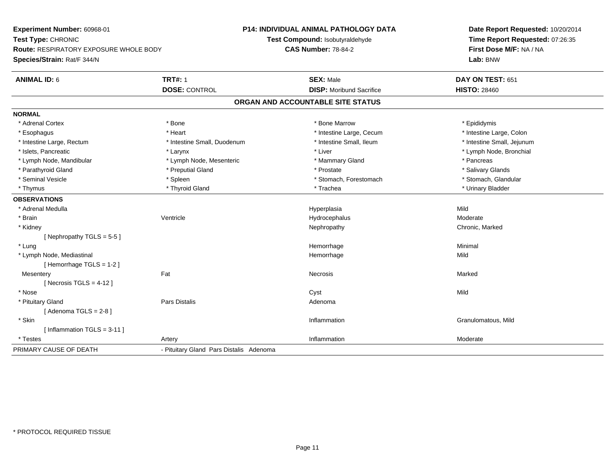**Experiment Number:** 60968-01**Test Type:** CHRONIC **Route:** RESPIRATORY EXPOSURE WHOLE BODY**Species/Strain:** Rat/F 344/N**P14: INDIVIDUAL ANIMAL PATHOLOGY DATATest Compound:** Isobutyraldehyde**CAS Number:** 78-84-2**Date Report Requested:** 10/20/2014**Time Report Requested:** 07:26:35**First Dose M/F:** NA / NA**Lab:** BNW**ANIMAL ID:** 6**6 DAY ON TEST:** 651 **DOSE:** CONTROL**DISP:** Moribund Sacrifice **HISTO:** 28460 **ORGAN AND ACCOUNTABLE SITE STATUSNORMAL**\* Adrenal Cortex \* Adrenal Cortex \* \* The matter of the state of the state of the Marrow \* Bone Marrow \* Epididymis \* Epididymis \* Epididymis \* Bone Marrow \* Adrenal Cortex \* Epididymis \* Epididymis \* Bone Marrow \* Epididymis \* Epididymis \* Intestine Large, Colon \* Esophagus \* **Intestine Large, Cecum \* Intestine Large, Cecum \* Intestine Large, Cecum \*** Intestine Large, Cecum \* Intestine Large, Rectum \* Thestine Small, Duodenum \* Number of the small, Ileum \* Intestine Small, Jejunum \* Intestine Small, Jejunum \* Islets, Pancreatic \* Larynx \* Liver \* Lymph Node, Bronchial \* Lymph Node, Mandibular \* The same \* Lymph Node, Mesenteric \* The same \* Mammary Gland \* The same \* Pancreas \* Salivary Glands \* Parathyroid Gland \* \* \* Preputial Gland \* \* Preputial Gland \* \* Prostate \* \* Salivary Glands \* Salivary Glands \* Stomach. Glandular \* Seminal Vesicle \* Spleen \* Spleen \* Spleen \* Stomach, Forestomach \* Stomach, Forestomach \* Thymus \* Thyroid Gland \* Trachea \* Urinary Bladder \* **OBSERVATIONS** \* Adrenal Medulla Hyperplasia Mild \* Brainn wenne alle the Ventricle wenne and the Hydrocephalus Moderate Moderate Moderate Moderate and the Ventricle o \* Kidneyy the controller of the controller of the controller of the Nephropathy Chronic, Marked ( $\alpha$  ) of the controller of the controller of the controller of the controller of the controller of the controller of the controller [ Nephropathy  $TGLS = 5-5$  ] \* Lungg and the state of the state of the state of the state of the Minimal Section 1, the state of the state of the Minimal Section 1, the state of the state of the state of the state of the state of the state of the state of t \* Lymph Node, Mediastinal Hemorrhagee Mild [ Hemorrhage TGLS = 1-2 ]**Mesentery** y the control of the Marked States of the Marked States of the Marked States of the Marked States of the Marked States of the Marked States of the Marked States of the Marked States of the Marked States of the Marked State  $[$  Necrosis TGLS = 4-12  $]$  \* Nosee and the control of the control of the control of the control of the control of the control of the control of the control of the control of the control of the control of the control of the control of the control of the co \* Pituitary Glandd and the contract of Pars Distalis and the contract of Adenoma and Adenoma and the Adenoma and the Adenoma and  $\alpha$  $[$  Adenoma TGLS = 2-8  $]$  \* Skinn and the control of the control of the control of the control of the control of the control of the control of the control of the control of the control of the control of the control of the control of the control of the co [ Inflammation TGLS = 3-11 ] \* Testess and the contract of the contract of the contract of the contract of the contract of the contract of the contract of the contract of the contract of the contract of the contract of the contract of the contract of the cont n Moderate PRIMARY CAUSE OF DEATH- Pituitary Gland Pars Distalis Adenoma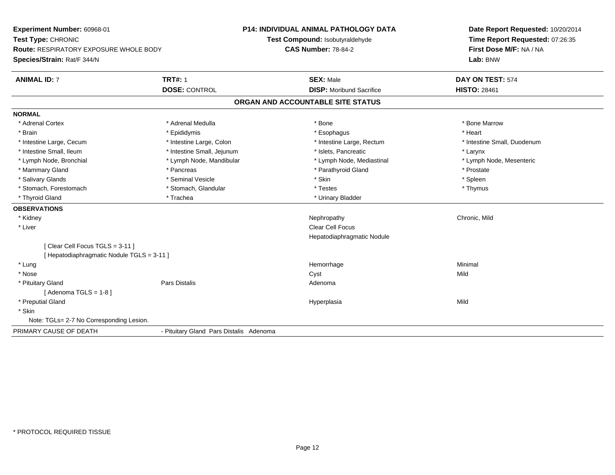| Experiment Number: 60968-01<br>Test Type: CHRONIC<br><b>Route: RESPIRATORY EXPOSURE WHOLE BODY</b><br>Species/Strain: Rat/F 344/N |                                         | P14: INDIVIDUAL ANIMAL PATHOLOGY DATA<br>Test Compound: Isobutyraldehyde<br><b>CAS Number: 78-84-2</b> | Date Report Requested: 10/20/2014<br>Time Report Requested: 07:26:35<br>First Dose M/F: NA / NA<br>Lab: BNW |
|-----------------------------------------------------------------------------------------------------------------------------------|-----------------------------------------|--------------------------------------------------------------------------------------------------------|-------------------------------------------------------------------------------------------------------------|
| <b>ANIMAL ID: 7</b>                                                                                                               | <b>TRT#: 1</b>                          | <b>SEX: Male</b>                                                                                       | DAY ON TEST: 574                                                                                            |
|                                                                                                                                   | <b>DOSE: CONTROL</b>                    | <b>DISP:</b> Moribund Sacrifice                                                                        | <b>HISTO: 28461</b>                                                                                         |
|                                                                                                                                   |                                         | ORGAN AND ACCOUNTABLE SITE STATUS                                                                      |                                                                                                             |
| <b>NORMAL</b>                                                                                                                     |                                         |                                                                                                        |                                                                                                             |
| * Adrenal Cortex                                                                                                                  | * Adrenal Medulla                       | * Bone                                                                                                 | * Bone Marrow                                                                                               |
| * Brain                                                                                                                           | * Epididymis                            | * Esophagus                                                                                            | * Heart                                                                                                     |
| * Intestine Large, Cecum                                                                                                          | * Intestine Large, Colon                | * Intestine Large, Rectum                                                                              | * Intestine Small, Duodenum                                                                                 |
| * Intestine Small, Ileum                                                                                                          | * Intestine Small, Jejunum              | * Islets, Pancreatic                                                                                   | * Larynx                                                                                                    |
| * Lymph Node, Bronchial                                                                                                           | * Lymph Node, Mandibular                | * Lymph Node, Mediastinal                                                                              | * Lymph Node, Mesenteric                                                                                    |
| * Mammary Gland                                                                                                                   | * Pancreas                              | * Parathyroid Gland                                                                                    | * Prostate                                                                                                  |
| * Salivary Glands                                                                                                                 | * Seminal Vesicle                       | * Skin                                                                                                 | * Spleen                                                                                                    |
| * Stomach, Forestomach                                                                                                            | * Stomach, Glandular                    | * Testes                                                                                               | * Thymus                                                                                                    |
| * Thyroid Gland                                                                                                                   | * Trachea                               | * Urinary Bladder                                                                                      |                                                                                                             |
| <b>OBSERVATIONS</b>                                                                                                               |                                         |                                                                                                        |                                                                                                             |
| * Kidney                                                                                                                          |                                         | Nephropathy                                                                                            | Chronic, Mild                                                                                               |
| * Liver                                                                                                                           |                                         | <b>Clear Cell Focus</b>                                                                                |                                                                                                             |
|                                                                                                                                   |                                         | Hepatodiaphragmatic Nodule                                                                             |                                                                                                             |
| [Clear Cell Focus TGLS = 3-11]                                                                                                    |                                         |                                                                                                        |                                                                                                             |
| [ Hepatodiaphragmatic Nodule TGLS = 3-11 ]                                                                                        |                                         |                                                                                                        |                                                                                                             |
| * Lung                                                                                                                            |                                         | Hemorrhage                                                                                             | Minimal                                                                                                     |
| * Nose                                                                                                                            |                                         | Cyst                                                                                                   | Mild                                                                                                        |
| * Pituitary Gland                                                                                                                 | Pars Distalis                           | Adenoma                                                                                                |                                                                                                             |
| [Adenoma TGLS = $1-8$ ]                                                                                                           |                                         |                                                                                                        |                                                                                                             |
| * Preputial Gland                                                                                                                 |                                         | Hyperplasia                                                                                            | Mild                                                                                                        |
| * Skin                                                                                                                            |                                         |                                                                                                        |                                                                                                             |
| Note: TGLs= 2-7 No Corresponding Lesion.                                                                                          |                                         |                                                                                                        |                                                                                                             |
| PRIMARY CAUSE OF DEATH                                                                                                            | - Pituitary Gland Pars Distalis Adenoma |                                                                                                        |                                                                                                             |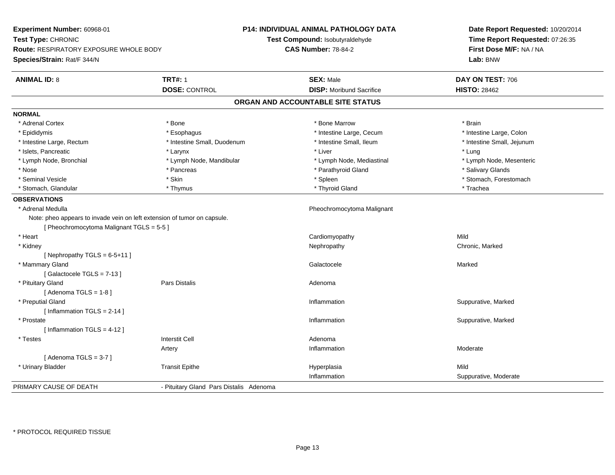| Experiment Number: 60968-01<br>Test Type: CHRONIC<br><b>Route: RESPIRATORY EXPOSURE WHOLE BODY</b><br>Species/Strain: Rat/F 344/N |                                         | P14: INDIVIDUAL ANIMAL PATHOLOGY DATA<br>Test Compound: Isobutyraldehyde<br><b>CAS Number: 78-84-2</b> | Date Report Requested: 10/20/2014<br>Time Report Requested: 07:26:35<br>First Dose M/F: NA / NA<br>Lab: BNW |
|-----------------------------------------------------------------------------------------------------------------------------------|-----------------------------------------|--------------------------------------------------------------------------------------------------------|-------------------------------------------------------------------------------------------------------------|
| <b>ANIMAL ID: 8</b>                                                                                                               | <b>TRT#: 1</b>                          | <b>SEX: Male</b>                                                                                       | DAY ON TEST: 706                                                                                            |
|                                                                                                                                   | <b>DOSE: CONTROL</b>                    | <b>DISP:</b> Moribund Sacrifice                                                                        | <b>HISTO: 28462</b>                                                                                         |
|                                                                                                                                   |                                         | ORGAN AND ACCOUNTABLE SITE STATUS                                                                      |                                                                                                             |
| <b>NORMAL</b>                                                                                                                     |                                         |                                                                                                        |                                                                                                             |
| * Adrenal Cortex                                                                                                                  | * Bone                                  | * Bone Marrow                                                                                          | * Brain                                                                                                     |
| * Epididymis                                                                                                                      | * Esophagus                             | * Intestine Large, Cecum                                                                               | * Intestine Large, Colon                                                                                    |
| * Intestine Large, Rectum                                                                                                         | * Intestine Small, Duodenum             | * Intestine Small, Ileum                                                                               | * Intestine Small, Jejunum                                                                                  |
| * Islets, Pancreatic                                                                                                              | * Larynx                                | * Liver                                                                                                | * Lung                                                                                                      |
| * Lymph Node, Bronchial                                                                                                           | * Lymph Node, Mandibular                | * Lymph Node, Mediastinal                                                                              | * Lymph Node, Mesenteric                                                                                    |
| * Nose                                                                                                                            | * Pancreas                              | * Parathyroid Gland                                                                                    | * Salivary Glands                                                                                           |
| * Seminal Vesicle                                                                                                                 | * Skin                                  | * Spleen                                                                                               | * Stomach, Forestomach                                                                                      |
| * Stomach, Glandular                                                                                                              | * Thymus                                | * Thyroid Gland                                                                                        | * Trachea                                                                                                   |
| <b>OBSERVATIONS</b>                                                                                                               |                                         |                                                                                                        |                                                                                                             |
| * Adrenal Medulla                                                                                                                 |                                         | Pheochromocytoma Malignant                                                                             |                                                                                                             |
| Note: pheo appears to invade vein on left extension of tumor on capsule.                                                          |                                         |                                                                                                        |                                                                                                             |
| [ Pheochromocytoma Malignant TGLS = 5-5 ]                                                                                         |                                         |                                                                                                        |                                                                                                             |
| * Heart                                                                                                                           |                                         | Cardiomyopathy                                                                                         | Mild                                                                                                        |
| * Kidney                                                                                                                          |                                         | Nephropathy                                                                                            | Chronic, Marked                                                                                             |
| [ Nephropathy TGLS = $6-5+11$ ]                                                                                                   |                                         |                                                                                                        |                                                                                                             |
| * Mammary Gland                                                                                                                   |                                         | Galactocele                                                                                            | Marked                                                                                                      |
| [Galactocele TGLS = 7-13]                                                                                                         |                                         |                                                                                                        |                                                                                                             |
| * Pituitary Gland                                                                                                                 | <b>Pars Distalis</b>                    | Adenoma                                                                                                |                                                                                                             |
| [Adenoma TGLS = $1-8$ ]                                                                                                           |                                         |                                                                                                        |                                                                                                             |
| * Preputial Gland                                                                                                                 |                                         | Inflammation                                                                                           | Suppurative, Marked                                                                                         |
| [Inflammation TGLS = $2-14$ ]                                                                                                     |                                         |                                                                                                        |                                                                                                             |
| * Prostate                                                                                                                        |                                         | Inflammation                                                                                           | Suppurative, Marked                                                                                         |
| [Inflammation TGLS = $4-12$ ]                                                                                                     |                                         |                                                                                                        |                                                                                                             |
| * Testes                                                                                                                          | <b>Interstit Cell</b>                   | Adenoma                                                                                                |                                                                                                             |
|                                                                                                                                   | Artery                                  | Inflammation                                                                                           | Moderate                                                                                                    |
| [Adenoma TGLS = $3-7$ ]                                                                                                           |                                         |                                                                                                        |                                                                                                             |
| * Urinary Bladder                                                                                                                 | <b>Transit Epithe</b>                   | Hyperplasia                                                                                            | Mild                                                                                                        |
|                                                                                                                                   |                                         | Inflammation                                                                                           | Suppurative, Moderate                                                                                       |
| PRIMARY CAUSE OF DEATH                                                                                                            | - Pituitary Gland Pars Distalis Adenoma |                                                                                                        |                                                                                                             |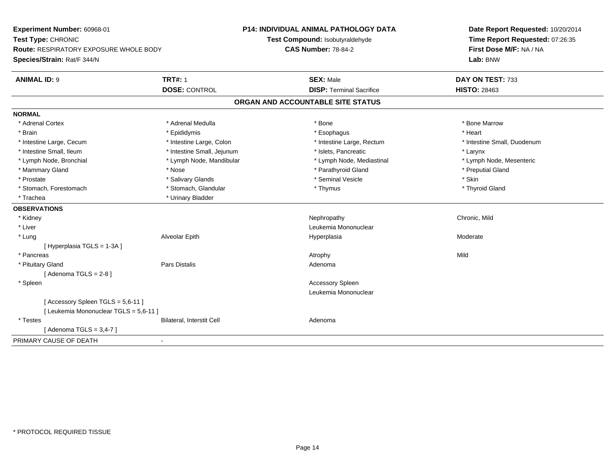| Experiment Number: 60968-01<br>Test Type: CHRONIC |                            | <b>P14: INDIVIDUAL ANIMAL PATHOLOGY DATA</b> | Date Report Requested: 10/20/2014<br>Time Report Requested: 07:26:35 |
|---------------------------------------------------|----------------------------|----------------------------------------------|----------------------------------------------------------------------|
|                                                   |                            | Test Compound: Isobutyraldehyde              |                                                                      |
| <b>Route: RESPIRATORY EXPOSURE WHOLE BODY</b>     |                            | <b>CAS Number: 78-84-2</b>                   | First Dose M/F: NA / NA                                              |
| Species/Strain: Rat/F 344/N                       |                            |                                              | Lab: BNW                                                             |
| <b>ANIMAL ID: 9</b>                               | <b>TRT#: 1</b>             | <b>SEX: Male</b>                             | DAY ON TEST: 733                                                     |
|                                                   | <b>DOSE: CONTROL</b>       | <b>DISP: Terminal Sacrifice</b>              | <b>HISTO: 28463</b>                                                  |
|                                                   |                            | ORGAN AND ACCOUNTABLE SITE STATUS            |                                                                      |
| <b>NORMAL</b>                                     |                            |                                              |                                                                      |
| * Adrenal Cortex                                  | * Adrenal Medulla          | * Bone                                       | * Bone Marrow                                                        |
| * Brain                                           | * Epididymis               | * Esophagus                                  | * Heart                                                              |
| * Intestine Large, Cecum                          | * Intestine Large, Colon   | * Intestine Large, Rectum                    | * Intestine Small, Duodenum                                          |
| * Intestine Small, Ileum                          | * Intestine Small, Jejunum | * Islets, Pancreatic                         | * Larynx                                                             |
| * Lymph Node, Bronchial                           | * Lymph Node, Mandibular   | * Lymph Node, Mediastinal                    | * Lymph Node, Mesenteric                                             |
| * Mammary Gland                                   | * Nose                     | * Parathyroid Gland                          | * Preputial Gland                                                    |
| * Prostate                                        | * Salivary Glands          | * Seminal Vesicle                            | * Skin                                                               |
| * Stomach. Forestomach                            | * Stomach, Glandular       | * Thymus                                     | * Thyroid Gland                                                      |
| * Trachea                                         | * Urinary Bladder          |                                              |                                                                      |
| <b>OBSERVATIONS</b>                               |                            |                                              |                                                                      |
| * Kidney                                          |                            | Nephropathy                                  | Chronic, Mild                                                        |
| * Liver                                           |                            | Leukemia Mononuclear                         |                                                                      |
| * Lung                                            | Alveolar Epith             | Hyperplasia                                  | Moderate                                                             |
| [ Hyperplasia TGLS = 1-3A ]                       |                            |                                              |                                                                      |
| * Pancreas                                        |                            | Atrophy                                      | Mild                                                                 |
| * Pituitary Gland                                 | Pars Distalis              | Adenoma                                      |                                                                      |
| [Adenoma TGLS = $2-8$ ]                           |                            |                                              |                                                                      |
| * Spleen                                          |                            | <b>Accessory Spleen</b>                      |                                                                      |
|                                                   |                            | Leukemia Mononuclear                         |                                                                      |
| [Accessory Spleen TGLS = 5,6-11]                  |                            |                                              |                                                                      |
| [ Leukemia Mononuclear TGLS = 5,6-11 ]            |                            |                                              |                                                                      |
| * Testes                                          | Bilateral, Interstit Cell  | Adenoma                                      |                                                                      |
| [Adenoma TGLS = $3,4-7$ ]                         |                            |                                              |                                                                      |
| PRIMARY CAUSE OF DEATH<br>$\blacksquare$          |                            |                                              |                                                                      |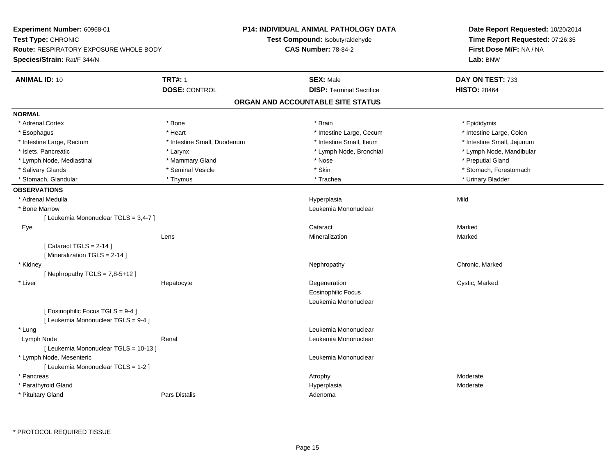| Experiment Number: 60968-01                                              |                             | P14: INDIVIDUAL ANIMAL PATHOLOGY DATA  | Date Report Requested: 10/20/2014<br>Time Report Requested: 07:26:35 |
|--------------------------------------------------------------------------|-----------------------------|----------------------------------------|----------------------------------------------------------------------|
| Test Type: CHRONIC                                                       |                             | <b>Test Compound: Isobutyraldehyde</b> |                                                                      |
| Route: RESPIRATORY EXPOSURE WHOLE BODY                                   | <b>CAS Number: 78-84-2</b>  |                                        | First Dose M/F: NA / NA                                              |
| Species/Strain: Rat/F 344/N                                              |                             |                                        | Lab: BNW                                                             |
| <b>ANIMAL ID: 10</b>                                                     | <b>TRT#: 1</b>              | <b>SEX: Male</b>                       | DAY ON TEST: 733                                                     |
|                                                                          | <b>DOSE: CONTROL</b>        | <b>DISP: Terminal Sacrifice</b>        | <b>HISTO: 28464</b>                                                  |
|                                                                          |                             | ORGAN AND ACCOUNTABLE SITE STATUS      |                                                                      |
| <b>NORMAL</b>                                                            |                             |                                        |                                                                      |
| * Adrenal Cortex                                                         | * Bone                      | * Brain                                | * Epididymis                                                         |
| * Esophagus                                                              | * Heart                     | * Intestine Large, Cecum               | * Intestine Large, Colon                                             |
| * Intestine Large, Rectum                                                | * Intestine Small, Duodenum | * Intestine Small, Ileum               | * Intestine Small, Jejunum                                           |
| * Islets, Pancreatic                                                     | * Larynx                    | * Lymph Node, Bronchial                | * Lymph Node, Mandibular                                             |
| * Lymph Node, Mediastinal                                                | * Mammary Gland             | * Nose                                 | * Preputial Gland                                                    |
| * Salivary Glands                                                        | * Seminal Vesicle           | * Skin                                 | * Stomach, Forestomach                                               |
| * Stomach, Glandular                                                     | * Thymus                    | * Trachea                              | * Urinary Bladder                                                    |
| <b>OBSERVATIONS</b>                                                      |                             |                                        |                                                                      |
| * Adrenal Medulla                                                        |                             | Hyperplasia                            | Mild                                                                 |
| * Bone Marrow                                                            |                             | Leukemia Mononuclear                   |                                                                      |
| [ Leukemia Mononuclear TGLS = 3,4-7 ]                                    |                             |                                        |                                                                      |
| Eye                                                                      |                             | Cataract                               | Marked                                                               |
|                                                                          | Lens                        | Mineralization                         | Marked                                                               |
| [Cataract TGLS = $2-14$ ]<br>[Mineralization TGLS = 2-14]                |                             |                                        |                                                                      |
| * Kidney<br>[Nephropathy TGLS = $7,8-5+12$ ]                             |                             | Nephropathy                            | Chronic, Marked                                                      |
| * Liver                                                                  | Hepatocyte                  | Degeneration                           | Cystic, Marked                                                       |
|                                                                          |                             | <b>Eosinophilic Focus</b>              |                                                                      |
|                                                                          |                             | Leukemia Mononuclear                   |                                                                      |
| [ Eosinophilic Focus TGLS = 9-4 ]<br>[ Leukemia Mononuclear TGLS = 9-4 ] |                             |                                        |                                                                      |
| * Lung                                                                   |                             | Leukemia Mononuclear                   |                                                                      |
| Lymph Node                                                               | Renal                       | Leukemia Mononuclear                   |                                                                      |
| [ Leukemia Mononuclear TGLS = 10-13 ]                                    |                             |                                        |                                                                      |
| * Lymph Node, Mesenteric                                                 |                             | Leukemia Mononuclear                   |                                                                      |
| [ Leukemia Mononuclear TGLS = 1-2 ]                                      |                             |                                        |                                                                      |
| * Pancreas                                                               |                             | Atrophy                                | Moderate                                                             |
| * Parathyroid Gland                                                      |                             | Hyperplasia                            | Moderate                                                             |
| * Pituitary Gland                                                        | Pars Distalis               | Adenoma                                |                                                                      |
|                                                                          |                             |                                        |                                                                      |

\* PROTOCOL REQUIRED TISSUE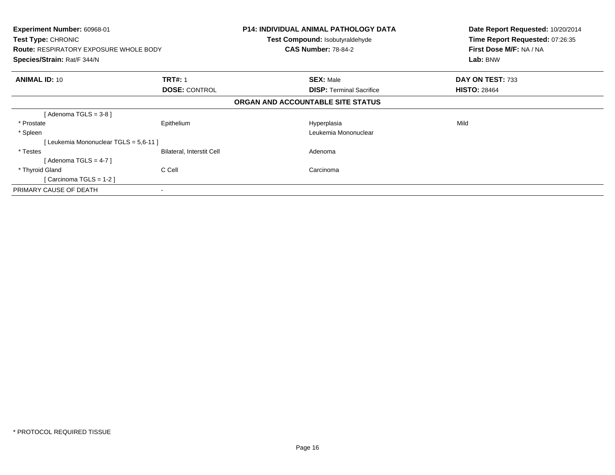| <b>Experiment Number: 60968-01</b><br><b>Test Type: CHRONIC</b><br><b>Route: RESPIRATORY EXPOSURE WHOLE BODY</b><br>Species/Strain: Rat/F 344/N |                                        | <b>P14: INDIVIDUAL ANIMAL PATHOLOGY DATA</b><br>Test Compound: Isobutyraldehyde<br><b>CAS Number: 78-84-2</b> | Date Report Requested: 10/20/2014<br>Time Report Requested: 07:26:35<br>First Dose M/F: NA / NA<br>Lab: BNW |
|-------------------------------------------------------------------------------------------------------------------------------------------------|----------------------------------------|---------------------------------------------------------------------------------------------------------------|-------------------------------------------------------------------------------------------------------------|
| <b>ANIMAL ID: 10</b>                                                                                                                            | <b>TRT#: 1</b><br><b>DOSE: CONTROL</b> | <b>SEX: Male</b><br><b>DISP:</b> Terminal Sacrifice                                                           | DAY ON TEST: 733<br><b>HISTO: 28464</b>                                                                     |
|                                                                                                                                                 |                                        | ORGAN AND ACCOUNTABLE SITE STATUS                                                                             |                                                                                                             |
| [Adenoma TGLS = $3-8$ ]                                                                                                                         |                                        |                                                                                                               |                                                                                                             |
| * Prostate                                                                                                                                      | Epithelium                             | Hyperplasia                                                                                                   | Mild                                                                                                        |
| * Spleen                                                                                                                                        |                                        | Leukemia Mononuclear                                                                                          |                                                                                                             |
| [Leukemia Mononuclear TGLS = 5,6-11 ]                                                                                                           |                                        |                                                                                                               |                                                                                                             |
| * Testes                                                                                                                                        | Bilateral, Interstit Cell              | Adenoma                                                                                                       |                                                                                                             |
| [Adenoma TGLS = 4-7]                                                                                                                            |                                        |                                                                                                               |                                                                                                             |
| * Thyroid Gland                                                                                                                                 | C Cell                                 | Carcinoma                                                                                                     |                                                                                                             |
| [Carcinoma TGLS = $1-2$ ]                                                                                                                       |                                        |                                                                                                               |                                                                                                             |
| PRIMARY CAUSE OF DEATH                                                                                                                          |                                        |                                                                                                               |                                                                                                             |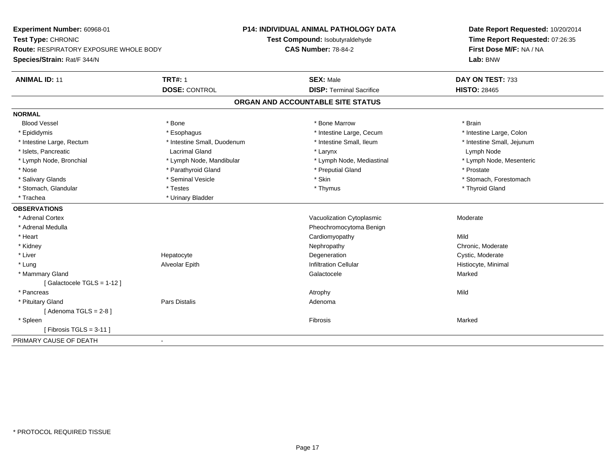**Experiment Number:** 60968-01**Test Type:** CHRONIC **Route:** RESPIRATORY EXPOSURE WHOLE BODY**Species/Strain:** Rat/F 344/N**P14: INDIVIDUAL ANIMAL PATHOLOGY DATATest Compound:** Isobutyraldehyde**CAS Number:** 78-84-2**Date Report Requested:** 10/20/2014**Time Report Requested:** 07:26:35**First Dose M/F:** NA / NA**Lab:** BNW**ANIMAL ID:** 11**TRT#:** 1 **SEX:** Male **DAY ON TEST:** 733 **DOSE:** CONTROL**DISP:** Terminal Sacrifice **HISTO:** 28465 **ORGAN AND ACCOUNTABLE SITE STATUSNORMALBlood Vessel**  Blood Vessel \* Bone \* Bone Marrow \* Brain\* Intestine Large, Colon \* Epididymis \* Intestine Large, Cecum \* Esophagus \* Intestine Large, Cecum \* Intestine Large, Cecum \* Intestine Large, Rectum \* Thestine Small, Duodenum \* Number of the small, Ileum \* Intestine Small, Jejunum \* Intestine Small, Jejunum \* Islets, Pancreatic Lacrimal Gland \* Larynx Lymph Node \* Lymph Node, Mesenteric \* Lymph Node, Bronchial \* Lymph Node, Mandibular \* Lymph Node, Mediastinal \* Lymph Node, Mediastinal \* Nose \* Parathyroid Gland \* Parathyroid Gland \* Preputial Gland \* Preputial Gland \* Prostate \* Prostate \* Salivary Glands \* The state of the seminal Vesicle \* Skin \* Skin \* Skin \* Stomach, Forestomach, Forestomach, Forestomach, Forestomach, Forestomach, Forestomach, Forestomach, Forestomach, Forestomach, Forestomach, Foresto \* Stomach, Glandular \* Thyroid Gland \* Testes \* Thyroid Gland \* Thyroid Gland \* Thyroid Gland \* Thyroid Gland \* Trachea **\*** Urinary Bladder **OBSERVATIONS** \* Adrenal CortexVacuolization Cytoplasmic **Moderate** Moderate \* Adrenal Medulla Pheochromocytoma Benign \* Heart Cardiomyopathyy Mild Chronic, Moderate \* Kidneyy the chronic, Moderate and September 2012 of the Chronic Moderate and September 2013 of the Chronic, Moderate e **Example 2018** Degeneration **Cystic, Moderate** Cystic, Moderate \* Liver Hepatocyte \* Lung Alveolar Epith Infiltration Cellular Histiocyte, Minimal \* Mammary Glandd and the control of the control of the control of the Galactocele and the control of the Marked Marked of the  $\sim$  Marked  $\sim$  Galactocele  $\sim$  Marked  $\sim$  Marked  $\sim$  Marked  $\sim$  Marked  $\sim$  Marked  $\sim$  Marked  $\sim$  Marke [ Galactocele TGLS = 1-12 ] \* Pancreass the control of the control of the control of the control of the control of the control of the control of the control of the control of the control of the control of the control of the control of the control of the contro \* Pituitary Glandd and the contract of Pars Distalis and the contract of Adenoma and Adenoma and the Adenoma and the Adenoma and  $\alpha$  $[$  Adenoma TGLS = 2-8  $]$  \* Spleenn and the control of the control of the control of the control of the control of the control of the control of the control of the control of the control of the control of the control of the control of the control of the co  $[$  Fibrosis TGLS = 3-11  $]$ PRIMARY CAUSE OF DEATH-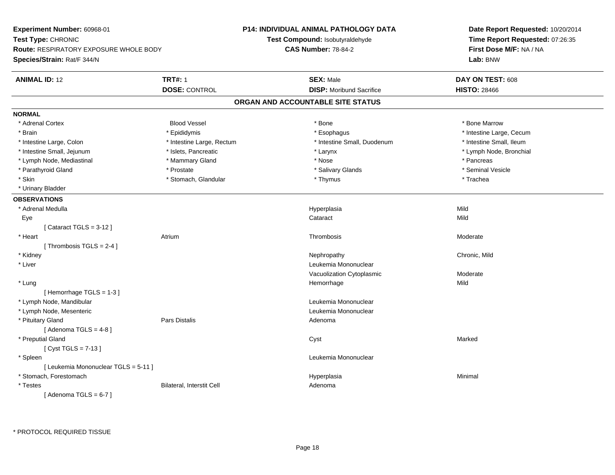**Experiment Number:** 60968-01**Test Type:** CHRONIC **Route:** RESPIRATORY EXPOSURE WHOLE BODY**Species/Strain:** Rat/F 344/N**P14: INDIVIDUAL ANIMAL PATHOLOGY DATATest Compound:** Isobutyraldehyde**CAS Number:** 78-84-2**Date Report Requested:** 10/20/2014**Time Report Requested:** 07:26:35**First Dose M/F:** NA / NA**Lab:** BNW**ANIMAL ID:** 12 **TRT#:** <sup>1</sup> **SEX:** Male **DAY ON TEST:** <sup>608</sup> **DOSE:** CONTROL**DISP:** Moribund Sacrifice **HISTO:** 28466 **ORGAN AND ACCOUNTABLE SITE STATUSNORMAL**\* Adrenal Cortex \* Adrenal Cortex \* Attack the state of the state of the Blood Vessel the state of the state of the state of the Marrow \* Bone Marrow \* Bone Marrow \* Bone Marrow \* Bone Marrow \* Bone Marrow \* Bone Marrow \* Bone Marrow \* Bon \* Brain \* Explorer \* Epididymis \* \* Epididymis \* \* Esophagus \* Esophagus \* \* Esophagus \* Intestine Large, Cecum \* \* Intestine Large, Cecum \* Intestine Small. Ileum \* Intestine Large, Colon \* Intestine Large, Rectum \* Intestine Small, Duodenum \* Intestine Small, Duodenum \* Lymph Node, Bronchial \* Intestine Small, Jejunum \* 1992 \* Marchial \* Islets, Pancreatic \* Larynx \* Larynx \* Larynx \* Lymph Node, Mediastinal \* \* Mammary Gland \* \* Nose \* \* Nose \* \* Pancreas \* Pancreas \* Pancreas \* Seminal Vesicle \* Parathyroid Gland \* **All and \* Seminal Xerostate \* Seminal Vesical Vesical Vesical Vesical Vesical Vesicle** \* Salivary Glands \* Skin \* Stomach, Glandular \* \* Thymus \* Thymus \* Stomach, Stomach, Glandular \* Thomac \* Thymus \* \* Trachea \* Urinary Bladder**OBSERVATIONS** \* Adrenal Medulla Hyperplasia Mild Eyee and the contract of the contract of the contract of the contract of the contract of the contract of the contract of  $\mathsf{Mild}$ [ Cataract TGLS = 3-12 ] \* Heart Atriumm and the contract of the Thrombosis and the Moderate of the Moderate of the Moderate of the Moderate of the Mo<br>Separate of the Moderate of the Moderate of the Moderate of the Moderate of the Moderate of the Moderate of th [ Thrombosis  $TGLS = 2-4$  ] \* Kidneyy the controller of the controller of the controller of the controller of the controller of the chronic, Mild \* Liver Leukemia Mononuclear Vacuolization Cytoplasmic Moderate \* Lungg and the state of the state of the state of the state of the Hemorrhage state of the Mild of the Mild of the S [ Hemorrhage TGLS = 1-3 ] \* Lymph Node, Mandibular Leukemia Mononuclear \* Lymph Node, Mesenteric Leukemia Mononuclear \* Pituitary Glandd and the contract of Pars Distalis and the contract of Adenoma and Adenoma and the Adenoma and the Adenoma and  $\alpha$  $[$  Adenoma TGLS = 4-8  $]$  \* Preputial Glandd and the control of the control of the control of the control of the control of the control of the control of the control of the control of the control of the control of the control of the control of the control of the co [ Cyst TGLS = 7-13 ] \* Spleen Leukemia Mononuclear [ Leukemia Mononuclear TGLS = 5-11 ] \* Stomach, Forestomachh anns an t-aisimeil anns an t-aisimeil anns an t-aisimeil an t-aisimeil an t-aisimeil an t-aisimeil an t-aisi \* TestesBilateral, Interstit Cell **Adenoma** Adenoma  $[$  Adenoma TGLS = 6-7  $]$ 

\* PROTOCOL REQUIRED TISSUE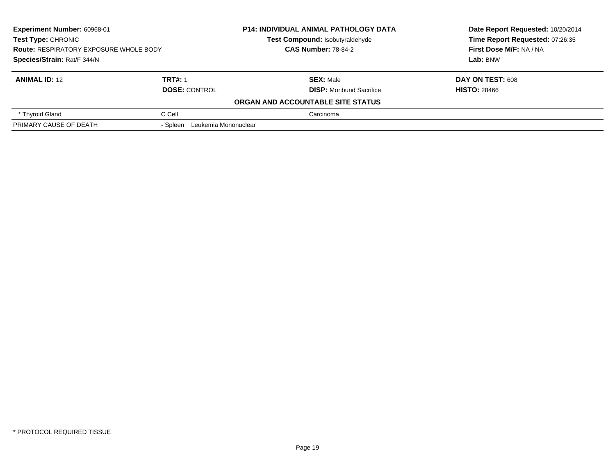| Experiment Number: 60968-01<br><b>Test Type: CHRONIC</b><br><b>Route: RESPIRATORY EXPOSURE WHOLE BODY</b><br>Species/Strain: Rat/F 344/N |                                  | <b>P14: INDIVIDUAL ANIMAL PATHOLOGY DATA</b> | Date Report Requested: 10/20/2014<br>Time Report Requested: 07:26:35<br>First Dose M/F: NA / NA |
|------------------------------------------------------------------------------------------------------------------------------------------|----------------------------------|----------------------------------------------|-------------------------------------------------------------------------------------------------|
|                                                                                                                                          |                                  | Test Compound: Isobutyraldehyde              |                                                                                                 |
|                                                                                                                                          |                                  | <b>CAS Number: 78-84-2</b>                   |                                                                                                 |
|                                                                                                                                          |                                  |                                              | Lab: BNW                                                                                        |
| <b>ANIMAL ID: 12</b>                                                                                                                     | <b>TRT#: 1</b>                   | <b>SEX: Male</b>                             | DAY ON TEST: 608                                                                                |
|                                                                                                                                          | <b>DOSE: CONTROL</b>             | <b>DISP:</b> Moribund Sacrifice              | <b>HISTO: 28466</b>                                                                             |
|                                                                                                                                          |                                  | ORGAN AND ACCOUNTABLE SITE STATUS            |                                                                                                 |
| * Thyroid Gland                                                                                                                          | C Cell                           | Carcinoma                                    |                                                                                                 |
| PRIMARY CAUSE OF DEATH                                                                                                                   | Leukemia Mononuclear<br>- Spleen |                                              |                                                                                                 |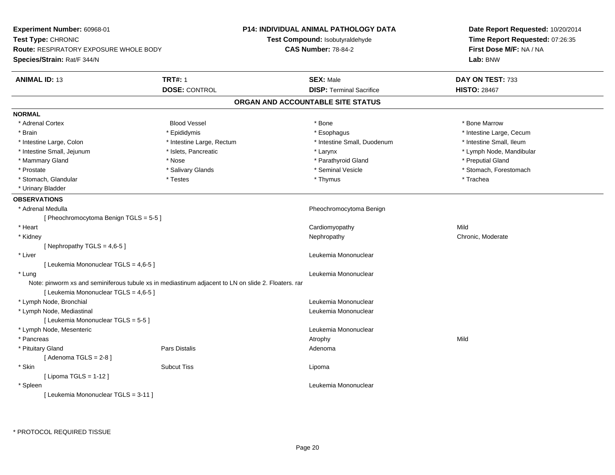| Experiment Number: 60968-01                   |                                                                                                     | <b>P14: INDIVIDUAL ANIMAL PATHOLOGY DATA</b> | Date Report Requested: 10/20/2014<br>Time Report Requested: 07:26:35 |  |
|-----------------------------------------------|-----------------------------------------------------------------------------------------------------|----------------------------------------------|----------------------------------------------------------------------|--|
| Test Type: CHRONIC                            |                                                                                                     | Test Compound: Isobutyraldehyde              |                                                                      |  |
| <b>Route: RESPIRATORY EXPOSURE WHOLE BODY</b> |                                                                                                     | <b>CAS Number: 78-84-2</b>                   | First Dose M/F: NA / NA                                              |  |
| Species/Strain: Rat/F 344/N                   |                                                                                                     |                                              | Lab: BNW                                                             |  |
| <b>ANIMAL ID: 13</b>                          | <b>TRT#: 1</b>                                                                                      | <b>SEX: Male</b>                             | DAY ON TEST: 733                                                     |  |
|                                               | <b>DOSE: CONTROL</b>                                                                                | <b>DISP: Terminal Sacrifice</b>              | <b>HISTO: 28467</b>                                                  |  |
|                                               |                                                                                                     | ORGAN AND ACCOUNTABLE SITE STATUS            |                                                                      |  |
| <b>NORMAL</b>                                 |                                                                                                     |                                              |                                                                      |  |
| * Adrenal Cortex                              | <b>Blood Vessel</b>                                                                                 | * Bone                                       | * Bone Marrow                                                        |  |
| * Brain                                       | * Epididymis                                                                                        | * Esophagus                                  | * Intestine Large, Cecum                                             |  |
| * Intestine Large, Colon                      | * Intestine Large, Rectum                                                                           | * Intestine Small, Duodenum                  | * Intestine Small, Ileum                                             |  |
| * Intestine Small, Jejunum                    | * Islets, Pancreatic                                                                                | * Larynx                                     | * Lymph Node, Mandibular                                             |  |
| * Mammary Gland                               | * Nose                                                                                              | * Parathyroid Gland                          | * Preputial Gland                                                    |  |
| * Prostate                                    | * Salivary Glands                                                                                   | * Seminal Vesicle                            | * Stomach, Forestomach                                               |  |
| * Stomach, Glandular                          | * Testes                                                                                            | * Thymus                                     | * Trachea                                                            |  |
| * Urinary Bladder                             |                                                                                                     |                                              |                                                                      |  |
| <b>OBSERVATIONS</b>                           |                                                                                                     |                                              |                                                                      |  |
| * Adrenal Medulla                             |                                                                                                     | Pheochromocytoma Benign                      |                                                                      |  |
| [Pheochromocytoma Benign TGLS = 5-5]          |                                                                                                     |                                              |                                                                      |  |
| * Heart                                       |                                                                                                     | Cardiomyopathy                               | Mild                                                                 |  |
| * Kidney                                      |                                                                                                     | Nephropathy                                  | Chronic, Moderate                                                    |  |
| [Nephropathy TGLS = $4,6-5$ ]                 |                                                                                                     |                                              |                                                                      |  |
| * Liver                                       |                                                                                                     | Leukemia Mononuclear                         |                                                                      |  |
| [ Leukemia Mononuclear TGLS = 4,6-5 ]         |                                                                                                     |                                              |                                                                      |  |
| * Lung                                        |                                                                                                     | Leukemia Mononuclear                         |                                                                      |  |
| [ Leukemia Mononuclear TGLS = 4,6-5 ]         | Note: pinworm xs and seminiferous tubule xs in mediastinum adjacent to LN on slide 2. Floaters. rar |                                              |                                                                      |  |
| * Lymph Node, Bronchial                       |                                                                                                     | Leukemia Mononuclear                         |                                                                      |  |
| * Lymph Node, Mediastinal                     |                                                                                                     | Leukemia Mononuclear                         |                                                                      |  |
| [ Leukemia Mononuclear TGLS = 5-5 ]           |                                                                                                     |                                              |                                                                      |  |
| * Lymph Node, Mesenteric                      |                                                                                                     | Leukemia Mononuclear                         |                                                                      |  |
| * Pancreas                                    |                                                                                                     | Atrophy                                      | Mild                                                                 |  |
| * Pituitary Gland                             | Pars Distalis                                                                                       | Adenoma                                      |                                                                      |  |
| [Adenoma TGLS = $2-8$ ]                       |                                                                                                     |                                              |                                                                      |  |
| * Skin                                        | <b>Subcut Tiss</b>                                                                                  | Lipoma                                       |                                                                      |  |
| [ Lipoma TGLS = $1-12$ ]                      |                                                                                                     |                                              |                                                                      |  |
| * Spleen                                      |                                                                                                     | Leukemia Mononuclear                         |                                                                      |  |
| [ Leukemia Mononuclear TGLS = 3-11 ]          |                                                                                                     |                                              |                                                                      |  |
|                                               |                                                                                                     |                                              |                                                                      |  |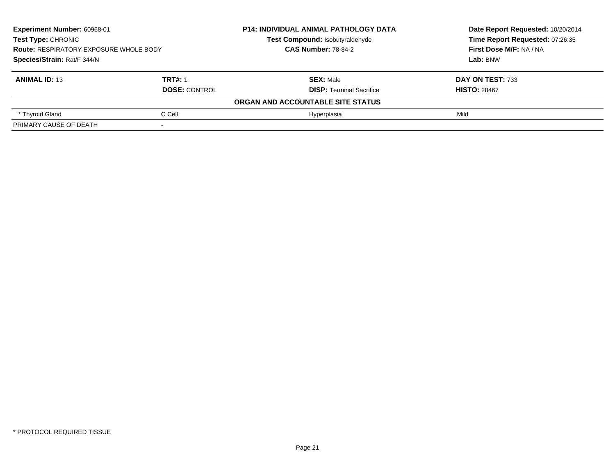| <b>Experiment Number: 60968-01</b><br><b>Test Type: CHRONIC</b><br><b>Route: RESPIRATORY EXPOSURE WHOLE BODY</b><br>Species/Strain: Rat/F 344/N |                      | <b>P14: INDIVIDUAL ANIMAL PATHOLOGY DATA</b> | Date Report Requested: 10/20/2014<br>Time Report Requested: 07:26:35<br>First Dose M/F: NA / NA |
|-------------------------------------------------------------------------------------------------------------------------------------------------|----------------------|----------------------------------------------|-------------------------------------------------------------------------------------------------|
|                                                                                                                                                 |                      | Test Compound: Isobutyraldehyde              |                                                                                                 |
|                                                                                                                                                 |                      | <b>CAS Number: 78-84-2</b>                   |                                                                                                 |
|                                                                                                                                                 |                      |                                              | Lab: BNW                                                                                        |
| <b>ANIMAL ID: 13</b>                                                                                                                            | <b>TRT#: 1</b>       | <b>SEX: Male</b>                             | DAY ON TEST: 733                                                                                |
|                                                                                                                                                 | <b>DOSE: CONTROL</b> | <b>DISP:</b> Terminal Sacrifice              | <b>HISTO: 28467</b>                                                                             |
|                                                                                                                                                 |                      | ORGAN AND ACCOUNTABLE SITE STATUS            |                                                                                                 |
| * Thyroid Gland                                                                                                                                 | C Cell               | Hvperplasia                                  | Mild                                                                                            |
| PRIMARY CAUSE OF DEATH                                                                                                                          |                      |                                              |                                                                                                 |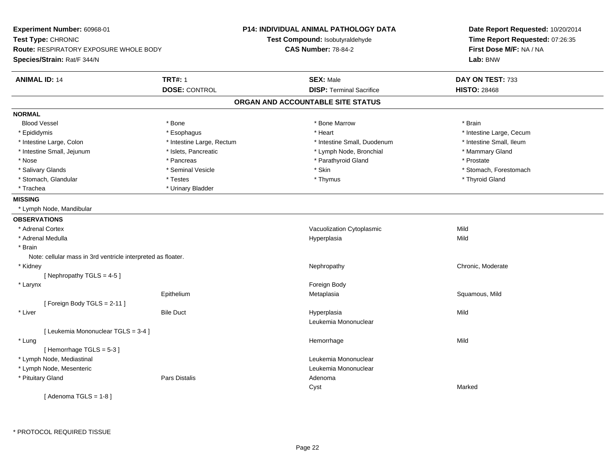| Experiment Number: 60968-01<br>Test Type: CHRONIC<br>Route: RESPIRATORY EXPOSURE WHOLE BODY<br>Species/Strain: Rat/F 344/N |                           | P14: INDIVIDUAL ANIMAL PATHOLOGY DATA<br>Test Compound: Isobutyraldehyde<br><b>CAS Number: 78-84-2</b> | Date Report Requested: 10/20/2014<br>Time Report Requested: 07:26:35<br>First Dose M/F: NA / NA<br>Lab: BNW |
|----------------------------------------------------------------------------------------------------------------------------|---------------------------|--------------------------------------------------------------------------------------------------------|-------------------------------------------------------------------------------------------------------------|
| <b>ANIMAL ID: 14</b>                                                                                                       | <b>TRT#: 1</b>            | <b>SEX: Male</b>                                                                                       | DAY ON TEST: 733                                                                                            |
|                                                                                                                            | <b>DOSE: CONTROL</b>      | <b>DISP: Terminal Sacrifice</b>                                                                        | <b>HISTO: 28468</b>                                                                                         |
|                                                                                                                            |                           | ORGAN AND ACCOUNTABLE SITE STATUS                                                                      |                                                                                                             |
| <b>NORMAL</b>                                                                                                              |                           |                                                                                                        |                                                                                                             |
| <b>Blood Vessel</b>                                                                                                        | * Bone                    | * Bone Marrow                                                                                          | * Brain                                                                                                     |
| * Epididymis                                                                                                               | * Esophagus               | * Heart                                                                                                | * Intestine Large, Cecum                                                                                    |
| * Intestine Large, Colon                                                                                                   | * Intestine Large, Rectum | * Intestine Small, Duodenum                                                                            | * Intestine Small, Ileum                                                                                    |
| * Intestine Small, Jejunum                                                                                                 | * Islets, Pancreatic      | * Lymph Node, Bronchial                                                                                | * Mammary Gland                                                                                             |
| * Nose                                                                                                                     | * Pancreas                | * Parathyroid Gland                                                                                    | * Prostate                                                                                                  |
| * Salivary Glands                                                                                                          | * Seminal Vesicle         | * Skin                                                                                                 | * Stomach, Forestomach                                                                                      |
| * Stomach, Glandular                                                                                                       | * Testes                  | * Thymus                                                                                               | * Thyroid Gland                                                                                             |
| * Trachea                                                                                                                  | * Urinary Bladder         |                                                                                                        |                                                                                                             |
| <b>MISSING</b>                                                                                                             |                           |                                                                                                        |                                                                                                             |
| * Lymph Node, Mandibular                                                                                                   |                           |                                                                                                        |                                                                                                             |
| <b>OBSERVATIONS</b>                                                                                                        |                           |                                                                                                        |                                                                                                             |
| * Adrenal Cortex                                                                                                           |                           | Vacuolization Cytoplasmic                                                                              | Mild                                                                                                        |
| * Adrenal Medulla                                                                                                          |                           | Hyperplasia                                                                                            | Mild                                                                                                        |
| * Brain                                                                                                                    |                           |                                                                                                        |                                                                                                             |
| Note: cellular mass in 3rd ventricle interpreted as floater.                                                               |                           |                                                                                                        |                                                                                                             |
| * Kidney                                                                                                                   |                           | Nephropathy                                                                                            | Chronic, Moderate                                                                                           |
| [Nephropathy TGLS = $4-5$ ]                                                                                                |                           |                                                                                                        |                                                                                                             |
| * Larynx                                                                                                                   |                           | Foreign Body                                                                                           |                                                                                                             |
|                                                                                                                            | Epithelium                | Metaplasia                                                                                             | Squamous, Mild                                                                                              |
| [Foreign Body TGLS = 2-11]                                                                                                 |                           |                                                                                                        |                                                                                                             |
| * Liver                                                                                                                    | <b>Bile Duct</b>          | Hyperplasia                                                                                            | Mild                                                                                                        |
|                                                                                                                            |                           | Leukemia Mononuclear                                                                                   |                                                                                                             |
| [ Leukemia Mononuclear TGLS = 3-4 ]                                                                                        |                           |                                                                                                        |                                                                                                             |
| * Lung                                                                                                                     |                           | Hemorrhage                                                                                             | Mild                                                                                                        |
| [Hemorrhage TGLS = 5-3]                                                                                                    |                           |                                                                                                        |                                                                                                             |
| * Lymph Node, Mediastinal                                                                                                  |                           | Leukemia Mononuclear                                                                                   |                                                                                                             |
| * Lymph Node, Mesenteric                                                                                                   |                           | Leukemia Mononuclear                                                                                   |                                                                                                             |
| * Pituitary Gland                                                                                                          | <b>Pars Distalis</b>      | Adenoma                                                                                                |                                                                                                             |
|                                                                                                                            |                           | Cyst                                                                                                   | Marked                                                                                                      |
| [Adenoma TGLS = $1-8$ ]                                                                                                    |                           |                                                                                                        |                                                                                                             |

\* PROTOCOL REQUIRED TISSUE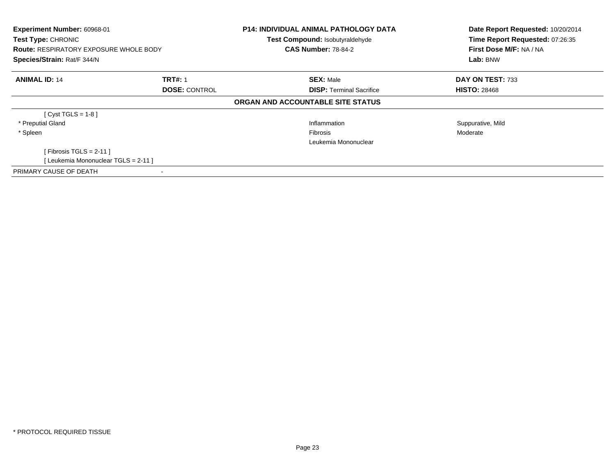| Experiment Number: 60968-01<br>Test Type: CHRONIC<br><b>Route: RESPIRATORY EXPOSURE WHOLE BODY</b><br>Species/Strain: Rat/F 344/N |  | <b>P14: INDIVIDUAL ANIMAL PATHOLOGY DATA</b><br>Test Compound: Isobutyraldehyde<br><b>CAS Number: 78-84-2</b> | Date Report Requested: 10/20/2014<br>Time Report Requested: 07:26:35<br>First Dose M/F: NA / NA<br>Lab: BNW |
|-----------------------------------------------------------------------------------------------------------------------------------|--|---------------------------------------------------------------------------------------------------------------|-------------------------------------------------------------------------------------------------------------|
| <b>ANIMAL ID: 14</b><br><b>TRT#: 1</b><br><b>DOSE: CONTROL</b>                                                                    |  | <b>SEX: Male</b><br><b>DISP:</b> Terminal Sacrifice                                                           | DAY ON TEST: 733<br><b>HISTO: 28468</b>                                                                     |
|                                                                                                                                   |  | ORGAN AND ACCOUNTABLE SITE STATUS                                                                             |                                                                                                             |
| [ $Cyst TGLS = 1-8$ ]                                                                                                             |  |                                                                                                               |                                                                                                             |
| * Preputial Gland                                                                                                                 |  | Inflammation                                                                                                  | Suppurative, Mild                                                                                           |
| * Spleen                                                                                                                          |  | <b>Fibrosis</b><br>Leukemia Mononuclear                                                                       | Moderate                                                                                                    |
| [Fibrosis TGLS = 2-11]                                                                                                            |  |                                                                                                               |                                                                                                             |
| [ Leukemia Mononuclear TGLS = 2-11 ]                                                                                              |  |                                                                                                               |                                                                                                             |
| PRIMARY CAUSE OF DEATH                                                                                                            |  |                                                                                                               |                                                                                                             |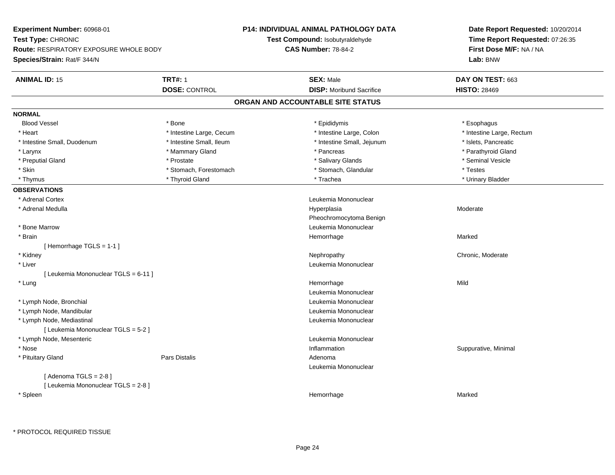| Experiment Number: 60968-01            |                          | <b>P14: INDIVIDUAL ANIMAL PATHOLOGY DATA</b> | Date Report Requested: 10/20/2014<br>Time Report Requested: 07:26:35 |
|----------------------------------------|--------------------------|----------------------------------------------|----------------------------------------------------------------------|
| Test Type: CHRONIC                     |                          | Test Compound: Isobutyraldehyde              |                                                                      |
| Route: RESPIRATORY EXPOSURE WHOLE BODY |                          | <b>CAS Number: 78-84-2</b>                   | First Dose M/F: NA / NA                                              |
| Species/Strain: Rat/F 344/N            |                          |                                              | Lab: BNW                                                             |
| <b>ANIMAL ID: 15</b>                   | <b>TRT#: 1</b>           | <b>SEX: Male</b>                             | DAY ON TEST: 663                                                     |
|                                        | <b>DOSE: CONTROL</b>     | <b>DISP:</b> Moribund Sacrifice              | <b>HISTO: 28469</b>                                                  |
|                                        |                          | ORGAN AND ACCOUNTABLE SITE STATUS            |                                                                      |
| <b>NORMAL</b>                          |                          |                                              |                                                                      |
| <b>Blood Vessel</b>                    | * Bone                   | * Epididymis                                 | * Esophagus                                                          |
| * Heart                                | * Intestine Large, Cecum | * Intestine Large, Colon                     | * Intestine Large, Rectum                                            |
| * Intestine Small, Duodenum            | * Intestine Small, Ileum | * Intestine Small, Jejunum                   | * Islets, Pancreatic                                                 |
| * Larynx                               | * Mammary Gland          | * Pancreas                                   | * Parathyroid Gland                                                  |
| * Preputial Gland                      | * Prostate               | * Salivary Glands                            | * Seminal Vesicle                                                    |
| * Skin                                 | * Stomach, Forestomach   | * Stomach, Glandular                         | * Testes                                                             |
| * Thymus                               | * Thyroid Gland          | * Trachea                                    | * Urinary Bladder                                                    |
| <b>OBSERVATIONS</b>                    |                          |                                              |                                                                      |
| * Adrenal Cortex                       |                          | Leukemia Mononuclear                         |                                                                      |
| * Adrenal Medulla                      |                          | Hyperplasia                                  | Moderate                                                             |
|                                        |                          | Pheochromocytoma Benign                      |                                                                      |
| * Bone Marrow                          |                          | Leukemia Mononuclear                         |                                                                      |
| * Brain                                |                          | Hemorrhage                                   | Marked                                                               |
| [Hemorrhage TGLS = $1-1$ ]             |                          |                                              |                                                                      |
| * Kidney                               |                          | Nephropathy                                  | Chronic, Moderate                                                    |
| * Liver                                |                          | Leukemia Mononuclear                         |                                                                      |
| [ Leukemia Mononuclear TGLS = 6-11 ]   |                          |                                              |                                                                      |
| * Lung                                 |                          | Hemorrhage                                   | Mild                                                                 |
|                                        |                          | Leukemia Mononuclear                         |                                                                      |
| * Lymph Node, Bronchial                |                          | Leukemia Mononuclear                         |                                                                      |
| * Lymph Node, Mandibular               |                          | Leukemia Mononuclear                         |                                                                      |
| * Lymph Node, Mediastinal              |                          | Leukemia Mononuclear                         |                                                                      |
| [ Leukemia Mononuclear TGLS = 5-2 ]    |                          |                                              |                                                                      |
| * Lymph Node, Mesenteric               |                          | Leukemia Mononuclear                         |                                                                      |
| * Nose                                 |                          | Inflammation                                 | Suppurative, Minimal                                                 |
| * Pituitary Gland                      | Pars Distalis            | Adenoma                                      |                                                                      |
|                                        |                          | Leukemia Mononuclear                         |                                                                      |
| [Adenoma TGLS = $2-8$ ]                |                          |                                              |                                                                      |
| [ Leukemia Mononuclear TGLS = 2-8 ]    |                          |                                              |                                                                      |
| * Spleen                               |                          | Hemorrhage                                   | Marked                                                               |
|                                        |                          |                                              |                                                                      |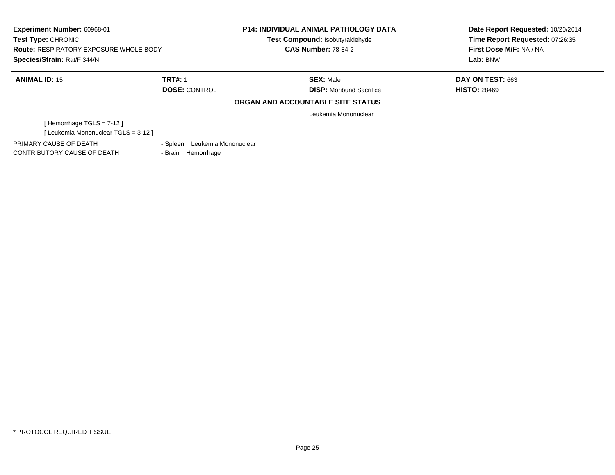| <b>Experiment Number: 60968-01</b><br><b>Test Type: CHRONIC</b> |                               | <b>P14: INDIVIDUAL ANIMAL PATHOLOGY DATA</b><br>Test Compound: Isobutyraldehyde | Date Report Requested: 10/20/2014<br>Time Report Requested: 07:26:35 |
|-----------------------------------------------------------------|-------------------------------|---------------------------------------------------------------------------------|----------------------------------------------------------------------|
| <b>Route: RESPIRATORY EXPOSURE WHOLE BODY</b>                   |                               | <b>CAS Number: 78-84-2</b>                                                      | First Dose M/F: NA / NA                                              |
| Species/Strain: Rat/F 344/N                                     |                               |                                                                                 | Lab: BNW                                                             |
| <b>ANIMAL ID: 15</b>                                            | <b>TRT#: 1</b>                | <b>SEX: Male</b>                                                                | DAY ON TEST: 663                                                     |
|                                                                 | <b>DOSE: CONTROL</b>          | <b>DISP:</b> Moribund Sacrifice                                                 | <b>HISTO: 28469</b>                                                  |
|                                                                 |                               | ORGAN AND ACCOUNTABLE SITE STATUS                                               |                                                                      |
|                                                                 |                               | Leukemia Mononuclear                                                            |                                                                      |
| [Hemorrhage TGLS = $7-12$ ]                                     |                               |                                                                                 |                                                                      |
| [Leukemia Mononuclear TGLS = 3-12 ]                             |                               |                                                                                 |                                                                      |
| PRIMARY CAUSE OF DEATH                                          | - Spleen Leukemia Mononuclear |                                                                                 |                                                                      |
| CONTRIBUTORY CAUSE OF DEATH                                     | - Brain Hemorrhage            |                                                                                 |                                                                      |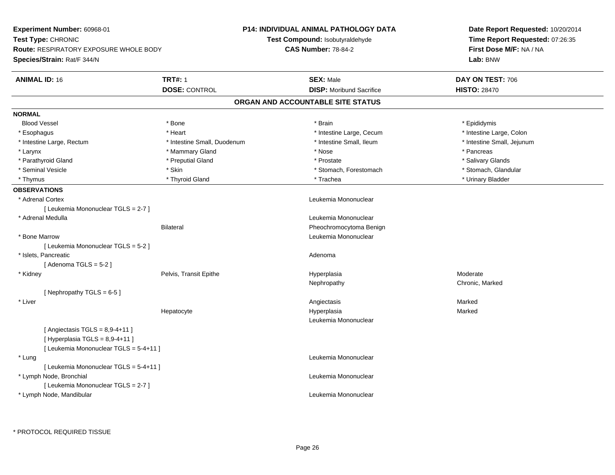| Experiment Number: 60968-01            |                             | P14: INDIVIDUAL ANIMAL PATHOLOGY DATA | Date Report Requested: 10/20/2014<br>Time Report Requested: 07:26:35<br>First Dose M/F: NA / NA |
|----------------------------------------|-----------------------------|---------------------------------------|-------------------------------------------------------------------------------------------------|
| Test Type: CHRONIC                     |                             | Test Compound: Isobutyraldehyde       |                                                                                                 |
| Route: RESPIRATORY EXPOSURE WHOLE BODY |                             | <b>CAS Number: 78-84-2</b>            |                                                                                                 |
| Species/Strain: Rat/F 344/N            |                             |                                       | Lab: BNW                                                                                        |
| <b>ANIMAL ID: 16</b>                   | <b>TRT#: 1</b>              | <b>SEX: Male</b>                      | DAY ON TEST: 706                                                                                |
|                                        | <b>DOSE: CONTROL</b>        | <b>DISP:</b> Moribund Sacrifice       | <b>HISTO: 28470</b>                                                                             |
|                                        |                             | ORGAN AND ACCOUNTABLE SITE STATUS     |                                                                                                 |
| <b>NORMAL</b>                          |                             |                                       |                                                                                                 |
| <b>Blood Vessel</b>                    | * Bone                      | * Brain                               | * Epididymis                                                                                    |
| * Esophagus                            | * Heart                     | * Intestine Large, Cecum              | * Intestine Large, Colon                                                                        |
| * Intestine Large, Rectum              | * Intestine Small, Duodenum | * Intestine Small, Ileum              | * Intestine Small, Jejunum                                                                      |
| * Larynx                               | * Mammary Gland             | * Nose                                | * Pancreas                                                                                      |
| * Parathyroid Gland                    | * Preputial Gland           | * Prostate                            | * Salivary Glands                                                                               |
| * Seminal Vesicle                      | * Skin                      | * Stomach, Forestomach                | * Stomach, Glandular                                                                            |
| * Thymus                               | * Thyroid Gland             | * Trachea                             | * Urinary Bladder                                                                               |
| <b>OBSERVATIONS</b>                    |                             |                                       |                                                                                                 |
| * Adrenal Cortex                       |                             | Leukemia Mononuclear                  |                                                                                                 |
| [ Leukemia Mononuclear TGLS = 2-7 ]    |                             |                                       |                                                                                                 |
| * Adrenal Medulla                      |                             | Leukemia Mononuclear                  |                                                                                                 |
|                                        | <b>Bilateral</b>            | Pheochromocytoma Benign               |                                                                                                 |
| * Bone Marrow                          |                             | Leukemia Mononuclear                  |                                                                                                 |
| [ Leukemia Mononuclear TGLS = 5-2 ]    |                             |                                       |                                                                                                 |
| * Islets, Pancreatic                   |                             | Adenoma                               |                                                                                                 |
| [Adenoma TGLS = $5-2$ ]                |                             |                                       |                                                                                                 |
| * Kidney                               | Pelvis, Transit Epithe      | Hyperplasia                           | Moderate                                                                                        |
|                                        |                             | Nephropathy                           | Chronic, Marked                                                                                 |
| [Nephropathy TGLS = $6-5$ ]            |                             |                                       |                                                                                                 |
| * Liver                                |                             | Angiectasis                           | Marked                                                                                          |
|                                        | Hepatocyte                  | Hyperplasia                           | Marked                                                                                          |
|                                        |                             | Leukemia Mononuclear                  |                                                                                                 |
| [Angiectasis $TGLS = 8,9-4+11$ ]       |                             |                                       |                                                                                                 |
| [Hyperplasia TGLS = $8,9-4+11$ ]       |                             |                                       |                                                                                                 |
| [ Leukemia Mononuclear TGLS = 5-4+11 ] |                             |                                       |                                                                                                 |
| * Lung                                 |                             | Leukemia Mononuclear                  |                                                                                                 |
| [ Leukemia Mononuclear TGLS = 5-4+11 ] |                             |                                       |                                                                                                 |
| * Lymph Node, Bronchial                |                             | Leukemia Mononuclear                  |                                                                                                 |
| [ Leukemia Mononuclear TGLS = 2-7 ]    |                             |                                       |                                                                                                 |
| * Lymph Node, Mandibular               |                             | Leukemia Mononuclear                  |                                                                                                 |
|                                        |                             |                                       |                                                                                                 |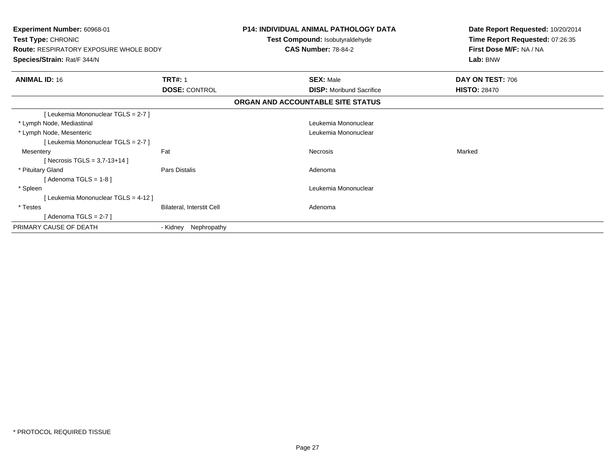| <b>Experiment Number: 60968-01</b><br>Test Type: CHRONIC<br><b>Route: RESPIRATORY EXPOSURE WHOLE BODY</b><br>Species/Strain: Rat/F 344/N |                           | <b>P14: INDIVIDUAL ANIMAL PATHOLOGY DATA</b><br>Test Compound: Isobutyraldehyde<br><b>CAS Number: 78-84-2</b> |                                   | Date Report Requested: 10/20/2014<br>Time Report Requested: 07:26:35<br>First Dose M/F: NA / NA<br>Lab: BNW |
|------------------------------------------------------------------------------------------------------------------------------------------|---------------------------|---------------------------------------------------------------------------------------------------------------|-----------------------------------|-------------------------------------------------------------------------------------------------------------|
| <b>ANIMAL ID: 16</b>                                                                                                                     | <b>TRT#: 1</b>            |                                                                                                               | <b>SEX: Male</b>                  | DAY ON TEST: 706                                                                                            |
|                                                                                                                                          | <b>DOSE: CONTROL</b>      |                                                                                                               | <b>DISP:</b> Moribund Sacrifice   | <b>HISTO: 28470</b>                                                                                         |
|                                                                                                                                          |                           |                                                                                                               | ORGAN AND ACCOUNTABLE SITE STATUS |                                                                                                             |
| [Leukemia Mononuclear TGLS = 2-7]                                                                                                        |                           |                                                                                                               |                                   |                                                                                                             |
| * Lymph Node, Mediastinal                                                                                                                |                           |                                                                                                               | Leukemia Mononuclear              |                                                                                                             |
| * Lymph Node, Mesenteric                                                                                                                 |                           |                                                                                                               | Leukemia Mononuclear              |                                                                                                             |
| [Leukemia Mononuclear TGLS = 2-7]                                                                                                        |                           |                                                                                                               |                                   |                                                                                                             |
| Mesentery                                                                                                                                | Fat                       |                                                                                                               | <b>Necrosis</b>                   | Marked                                                                                                      |
| [Necrosis TGLS = $3,7-13+14$ ]                                                                                                           |                           |                                                                                                               |                                   |                                                                                                             |
| * Pituitary Gland                                                                                                                        | <b>Pars Distalis</b>      |                                                                                                               | Adenoma                           |                                                                                                             |
| [Adenoma TGLS = $1-8$ ]                                                                                                                  |                           |                                                                                                               |                                   |                                                                                                             |
| * Spleen                                                                                                                                 |                           |                                                                                                               | Leukemia Mononuclear              |                                                                                                             |
| [ Leukemia Mononuclear TGLS = 4-12 ]                                                                                                     |                           |                                                                                                               |                                   |                                                                                                             |
| * Testes                                                                                                                                 | Bilateral, Interstit Cell |                                                                                                               | Adenoma                           |                                                                                                             |
| [Adenoma TGLS = $2-7$ ]                                                                                                                  |                           |                                                                                                               |                                   |                                                                                                             |
| PRIMARY CAUSE OF DEATH                                                                                                                   | Nephropathy<br>- Kidney   |                                                                                                               |                                   |                                                                                                             |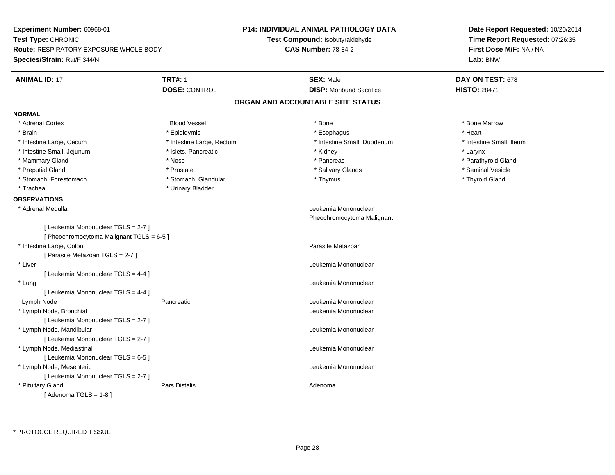| Experiment Number: 60968-01<br>Test Type: CHRONIC                                |                           | <b>P14: INDIVIDUAL ANIMAL PATHOLOGY DATA</b><br>Test Compound: Isobutyraldehyde | Date Report Requested: 10/20/2014<br>Time Report Requested: 07:26:35 |  |
|----------------------------------------------------------------------------------|---------------------------|---------------------------------------------------------------------------------|----------------------------------------------------------------------|--|
| <b>Route: RESPIRATORY EXPOSURE WHOLE BODY</b>                                    |                           | <b>CAS Number: 78-84-2</b>                                                      | First Dose M/F: NA / NA<br>Lab: BNW                                  |  |
| Species/Strain: Rat/F 344/N                                                      |                           |                                                                                 |                                                                      |  |
| <b>ANIMAL ID: 17</b>                                                             | <b>TRT#: 1</b>            | <b>SEX: Male</b>                                                                | DAY ON TEST: 678                                                     |  |
|                                                                                  | <b>DOSE: CONTROL</b>      | <b>DISP:</b> Moribund Sacrifice                                                 | <b>HISTO: 28471</b>                                                  |  |
|                                                                                  |                           | ORGAN AND ACCOUNTABLE SITE STATUS                                               |                                                                      |  |
| <b>NORMAL</b>                                                                    |                           |                                                                                 |                                                                      |  |
| * Adrenal Cortex                                                                 | <b>Blood Vessel</b>       | * Bone                                                                          | * Bone Marrow                                                        |  |
| * Brain                                                                          | * Epididymis              | * Esophagus                                                                     | * Heart                                                              |  |
| * Intestine Large, Cecum                                                         | * Intestine Large, Rectum | * Intestine Small, Duodenum                                                     | * Intestine Small, Ileum                                             |  |
| * Intestine Small, Jejunum                                                       | * Islets, Pancreatic      | * Kidney                                                                        | * Larynx                                                             |  |
| * Mammary Gland                                                                  | * Nose                    | * Pancreas                                                                      | * Parathyroid Gland                                                  |  |
| * Preputial Gland                                                                | * Prostate                | * Salivary Glands                                                               | * Seminal Vesicle                                                    |  |
| * Stomach, Forestomach                                                           | * Stomach, Glandular      | * Thymus                                                                        | * Thyroid Gland                                                      |  |
| * Trachea                                                                        | * Urinary Bladder         |                                                                                 |                                                                      |  |
| <b>OBSERVATIONS</b>                                                              |                           |                                                                                 |                                                                      |  |
| * Adrenal Medulla                                                                |                           | Leukemia Mononuclear                                                            |                                                                      |  |
|                                                                                  |                           | Pheochromocytoma Malignant                                                      |                                                                      |  |
| [ Leukemia Mononuclear TGLS = 2-7 ]<br>[ Pheochromocytoma Malignant TGLS = 6-5 ] |                           |                                                                                 |                                                                      |  |
| * Intestine Large, Colon                                                         |                           | Parasite Metazoan                                                               |                                                                      |  |
| [ Parasite Metazoan TGLS = 2-7 ]                                                 |                           |                                                                                 |                                                                      |  |
| * Liver                                                                          |                           | Leukemia Mononuclear                                                            |                                                                      |  |
| [ Leukemia Mononuclear TGLS = 4-4 ]                                              |                           |                                                                                 |                                                                      |  |
| * Lung                                                                           |                           | Leukemia Mononuclear                                                            |                                                                      |  |
| [ Leukemia Mononuclear TGLS = 4-4 ]                                              | Pancreatic                | Leukemia Mononuclear                                                            |                                                                      |  |
| Lymph Node                                                                       |                           |                                                                                 |                                                                      |  |
| * Lymph Node, Bronchial<br>[ Leukemia Mononuclear TGLS = 2-7 ]                   |                           | Leukemia Mononuclear                                                            |                                                                      |  |
| * Lymph Node, Mandibular                                                         |                           | Leukemia Mononuclear                                                            |                                                                      |  |
| [ Leukemia Mononuclear TGLS = 2-7 ]                                              |                           |                                                                                 |                                                                      |  |
| * Lymph Node, Mediastinal                                                        |                           | Leukemia Mononuclear                                                            |                                                                      |  |
| [ Leukemia Mononuclear TGLS = 6-5 ]                                              |                           |                                                                                 |                                                                      |  |
| * Lymph Node, Mesenteric                                                         |                           | Leukemia Mononuclear                                                            |                                                                      |  |
| [ Leukemia Mononuclear TGLS = 2-7 ]                                              |                           |                                                                                 |                                                                      |  |
| * Pituitary Gland                                                                | Pars Distalis             | Adenoma                                                                         |                                                                      |  |
| [Adenoma TGLS = $1-8$ ]                                                          |                           |                                                                                 |                                                                      |  |
|                                                                                  |                           |                                                                                 |                                                                      |  |

\* PROTOCOL REQUIRED TISSUE

÷.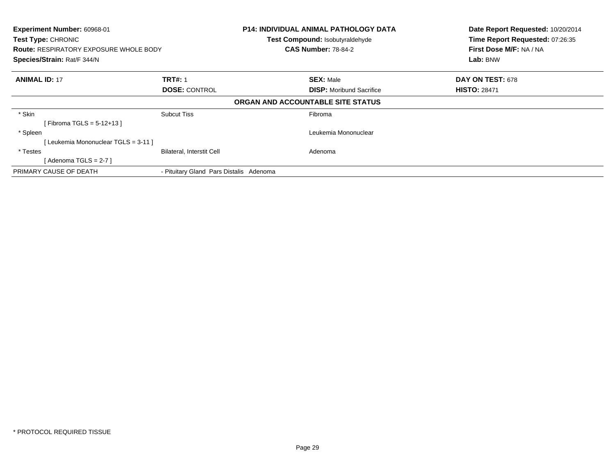| Experiment Number: 60968-01<br><b>Test Type: CHRONIC</b><br><b>Route: RESPIRATORY EXPOSURE WHOLE BODY</b><br>Species/Strain: Rat/F 344/N |                                         | <b>P14: INDIVIDUAL ANIMAL PATHOLOGY DATA</b><br><b>Test Compound: Isobutyraldehyde</b><br><b>CAS Number: 78-84-2</b> | Date Report Requested: 10/20/2014<br>Time Report Requested: 07:26:35<br>First Dose M/F: NA / NA<br>Lab: BNW |
|------------------------------------------------------------------------------------------------------------------------------------------|-----------------------------------------|----------------------------------------------------------------------------------------------------------------------|-------------------------------------------------------------------------------------------------------------|
| <b>ANIMAL ID: 17</b>                                                                                                                     | <b>TRT#: 1</b>                          | <b>SEX: Male</b>                                                                                                     | DAY ON TEST: 678                                                                                            |
|                                                                                                                                          | <b>DOSE: CONTROL</b>                    | <b>DISP:</b> Moribund Sacrifice                                                                                      | <b>HISTO: 28471</b>                                                                                         |
|                                                                                                                                          |                                         | ORGAN AND ACCOUNTABLE SITE STATUS                                                                                    |                                                                                                             |
| * Skin                                                                                                                                   | <b>Subcut Tiss</b>                      | Fibroma                                                                                                              |                                                                                                             |
| [ Fibroma TGLS = $5-12+13$ ]                                                                                                             |                                         |                                                                                                                      |                                                                                                             |
| * Spleen                                                                                                                                 |                                         | Leukemia Mononuclear                                                                                                 |                                                                                                             |
| [ Leukemia Mononuclear TGLS = 3-11 ]                                                                                                     |                                         |                                                                                                                      |                                                                                                             |
| * Testes                                                                                                                                 | <b>Bilateral, Interstit Cell</b>        | Adenoma                                                                                                              |                                                                                                             |
| [Adenoma TGLS = $2-7$ ]                                                                                                                  |                                         |                                                                                                                      |                                                                                                             |
| PRIMARY CAUSE OF DEATH                                                                                                                   | - Pituitary Gland Pars Distalis Adenoma |                                                                                                                      |                                                                                                             |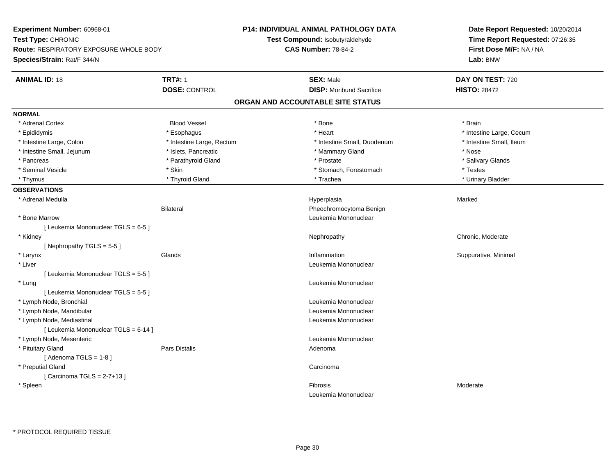| Experiment Number: 60968-01                   |                                 | P14: INDIVIDUAL ANIMAL PATHOLOGY DATA | Date Report Requested: 10/20/2014                          |  |
|-----------------------------------------------|---------------------------------|---------------------------------------|------------------------------------------------------------|--|
| Test Type: CHRONIC                            | Test Compound: Isobutyraldehyde |                                       | Time Report Requested: 07:26:35<br>First Dose M/F: NA / NA |  |
| <b>Route: RESPIRATORY EXPOSURE WHOLE BODY</b> | <b>CAS Number: 78-84-2</b>      |                                       |                                                            |  |
| Species/Strain: Rat/F 344/N                   |                                 |                                       | Lab: BNW                                                   |  |
| <b>ANIMAL ID: 18</b>                          | <b>TRT#: 1</b>                  | <b>SEX: Male</b>                      | DAY ON TEST: 720                                           |  |
|                                               | <b>DOSE: CONTROL</b>            | <b>DISP:</b> Moribund Sacrifice       | <b>HISTO: 28472</b>                                        |  |
|                                               |                                 | ORGAN AND ACCOUNTABLE SITE STATUS     |                                                            |  |
| <b>NORMAL</b>                                 |                                 |                                       |                                                            |  |
| * Adrenal Cortex                              | <b>Blood Vessel</b>             | * Bone                                | * Brain                                                    |  |
| * Epididymis                                  | * Esophagus                     | * Heart                               | * Intestine Large, Cecum                                   |  |
| * Intestine Large, Colon                      | * Intestine Large, Rectum       | * Intestine Small, Duodenum           | * Intestine Small, Ileum                                   |  |
| * Intestine Small, Jejunum                    | * Islets, Pancreatic            | * Mammary Gland                       | * Nose                                                     |  |
| * Pancreas                                    | * Parathyroid Gland             | * Prostate                            | * Salivary Glands                                          |  |
| * Seminal Vesicle                             | * Skin                          | * Stomach, Forestomach                | * Testes                                                   |  |
| * Thymus                                      | * Thyroid Gland                 | * Trachea                             | * Urinary Bladder                                          |  |
| <b>OBSERVATIONS</b>                           |                                 |                                       |                                                            |  |
| * Adrenal Medulla                             |                                 | Hyperplasia                           | Marked                                                     |  |
|                                               | <b>Bilateral</b>                | Pheochromocytoma Benign               |                                                            |  |
| * Bone Marrow                                 |                                 | Leukemia Mononuclear                  |                                                            |  |
| [ Leukemia Mononuclear TGLS = 6-5 ]           |                                 |                                       |                                                            |  |
| * Kidney                                      |                                 | Nephropathy                           | Chronic, Moderate                                          |  |
| [Nephropathy TGLS = 5-5]                      |                                 |                                       |                                                            |  |
| * Larynx                                      | Glands                          | Inflammation                          | Suppurative, Minimal                                       |  |
| * Liver                                       |                                 | Leukemia Mononuclear                  |                                                            |  |
| [ Leukemia Mononuclear TGLS = 5-5]            |                                 |                                       |                                                            |  |
| * Lung                                        |                                 | Leukemia Mononuclear                  |                                                            |  |
| [ Leukemia Mononuclear TGLS = 5-5 ]           |                                 |                                       |                                                            |  |
| * Lymph Node, Bronchial                       |                                 | Leukemia Mononuclear                  |                                                            |  |
| * Lymph Node, Mandibular                      |                                 | Leukemia Mononuclear                  |                                                            |  |
| * Lymph Node, Mediastinal                     |                                 | Leukemia Mononuclear                  |                                                            |  |
| [ Leukemia Mononuclear TGLS = 6-14 ]          |                                 |                                       |                                                            |  |
| * Lymph Node, Mesenteric                      |                                 | Leukemia Mononuclear                  |                                                            |  |
| * Pituitary Gland                             | Pars Distalis                   | Adenoma                               |                                                            |  |
| [Adenoma TGLS = $1-8$ ]                       |                                 |                                       |                                                            |  |
| * Preputial Gland                             |                                 | Carcinoma                             |                                                            |  |
| [Carcinoma TGLS = $2-7+13$ ]                  |                                 |                                       |                                                            |  |
| * Spleen                                      |                                 | Fibrosis                              | Moderate                                                   |  |
|                                               |                                 | Leukemia Mononuclear                  |                                                            |  |
|                                               |                                 |                                       |                                                            |  |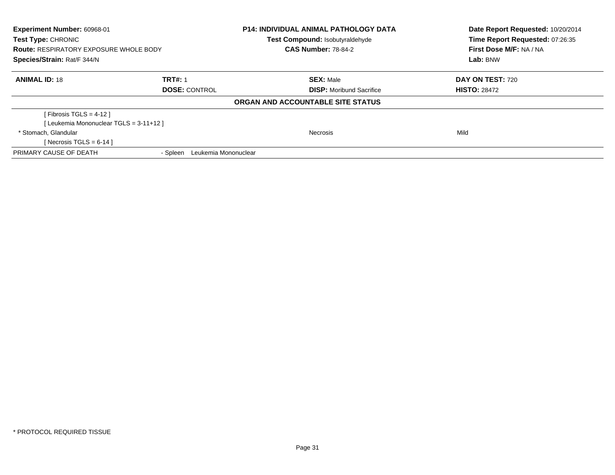| <b>Experiment Number: 60968-01</b><br>Test Type: CHRONIC<br><b>Route: RESPIRATORY EXPOSURE WHOLE BODY</b> |                                  | <b>P14: INDIVIDUAL ANIMAL PATHOLOGY DATA</b><br>Test Compound: Isobutyraldehyde | Date Report Requested: 10/20/2014<br>Time Report Requested: 07:26:35 |
|-----------------------------------------------------------------------------------------------------------|----------------------------------|---------------------------------------------------------------------------------|----------------------------------------------------------------------|
|                                                                                                           |                                  | <b>CAS Number: 78-84-2</b>                                                      | First Dose M/F: NA / NA                                              |
| Species/Strain: Rat/F 344/N                                                                               |                                  |                                                                                 | Lab: BNW                                                             |
| <b>ANIMAL ID: 18</b>                                                                                      | <b>TRT#: 1</b>                   | <b>SEX: Male</b>                                                                | <b>DAY ON TEST: 720</b>                                              |
|                                                                                                           | <b>DOSE: CONTROL</b>             | <b>DISP:</b> Moribund Sacrifice                                                 | <b>HISTO: 28472</b>                                                  |
|                                                                                                           |                                  | ORGAN AND ACCOUNTABLE SITE STATUS                                               |                                                                      |
| [ Fibrosis TGLS = $4-12$ ]                                                                                |                                  |                                                                                 |                                                                      |
| [Leukemia Mononuclear TGLS = 3-11+12]                                                                     |                                  |                                                                                 |                                                                      |
| * Stomach. Glandular                                                                                      |                                  | <b>Necrosis</b>                                                                 | Mild                                                                 |
| [ Necrosis TGLS = $6-14$ ]                                                                                |                                  |                                                                                 |                                                                      |
| PRIMARY CAUSE OF DEATH                                                                                    | Leukemia Mononuclear<br>- Spleen |                                                                                 |                                                                      |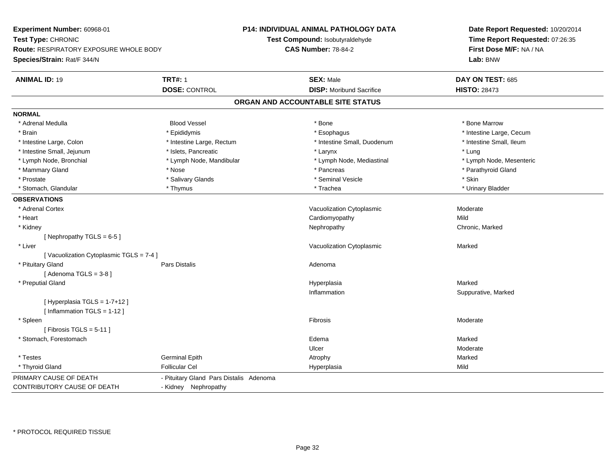**Experiment Number:** 60968-01**Test Type:** CHRONIC **Route:** RESPIRATORY EXPOSURE WHOLE BODY**Species/Strain:** Rat/F 344/N**P14: INDIVIDUAL ANIMAL PATHOLOGY DATATest Compound:** Isobutyraldehyde**CAS Number:** 78-84-2**Date Report Requested:** 10/20/2014**Time Report Requested:** 07:26:35**First Dose M/F:** NA / NA**Lab:** BNW**ANIMAL ID:** 19 **TRT#:** <sup>1</sup> **SEX:** Male **DAY ON TEST:** <sup>685</sup> **DOSE:** CONTROL**DISP:** Moribund Sacrifice **HISTO:** 28473 **ORGAN AND ACCOUNTABLE SITE STATUSNORMAL** \* Adrenal Medulla Blood Vessel \* Bone \* Bone Marrow\* Brain \* Explorer \* Epididymis \* \* Epididymis \* \* Esophagus \* Esophagus \* \* Esophagus \* Intestine Large, Cecum \* \* Intestine Large, Cecum \* Intestine Small. Ileum \* Intestine Large, Colon \* Intestine Large, Rectum \* Intestine Small, Duodenum \* Intestine Small, Duodenum \* Intestine Small, Jejunum \* \* 19ets, Pancreatic \* Larynx \* Larynx \* Larynx \* Larynx \* Lung \* Lymph Node, Mesenteric \* Lymph Node, Bronchial \* Lymph Node, Mandibular \* Lymph Node, Mediastinal \* Lymph Node, Mediastinal \* Mammary Gland \* \* Nose \* \* Nose \* \* Pancreas \* Pancreas \* \* Pancreas \* \* Pancreas \* \* Pancreas \* \* Parathyroid Gland \* Prostate \* \* Salivary Glands \* \* Salivary Glands \* \* Seminal Vesicle \* \* \* Seminal Yestrich \* \* Skin \* \* Skin \* Urinary Bladder \* Stomach, Glandular \* \* \* Thymus \* \* Thymus \* \* The \* \* Trachea \* \* Trachea \* \* Urinary Bladder \* \* Urinary Bladder \* **OBSERVATIONS** \* Adrenal CortexVacuolization Cytoplasmic **Moderate** Moderate \* Heart Cardiomyopathyy Mild Chronic, Marked \* Kidneyy the controller of the controller of the controller of the Nephropathy Chronic, Marked ( $\alpha$  ) of the controller of the controller of the controller of the controller of the controller of the controller of the controller [ Nephropathy  $TGLS = 6-5$  ] \* Liver Vacuolization Cytoplasmic Marked[ Vacuolization Cytoplasmic TGLS = 7-4 ] \* Pituitary Glandd and the contract of Pars Distalis and the contract of Adenoma and Adenoma and the Adenoma and the Adenoma and  $\alpha$  $[$  Adenoma TGLS = 3-8  $]$  \* Preputial Glandd and the control of the control of the control of the Hyperplasia and the control of the Marked Marked of the  $\eta$ Inflammation Suppurative, Marked [ Hyperplasia TGLS = 1-7+12 ][ Inflammation TGLS = 1-12 ] \* Spleenn and the state of the state of the state of the state of the state of the state of the state of the state of the state of the state of the state of the state of the state of the state of the state of the state of the stat  $[$  Fibrosis TGLS = 5-11  $]$  \* Stomach, Forestomachh anns an t-aisimeil anns an t-aisimeil anns an t-aisimeil an t-aisimeil an t-aisimeil an t-aisimeil an t-aisi Ulcer Moderate \* Testes Germinal Epithh and the matter of the Atrophy and the Marked Marked Marked Street and the Marked Marked Street and Marked Street and Marked Street and Marked Street and Marked Street and Marked Street and Marked Street and Marked Street \* Thyroid Gland Follicular Cel Hyperplasia Mild PRIMARY CAUSE OF DEATH - Pituitary Gland Pars Distalis Adenoma CONTRIBUTORY CAUSE OF DEATH- Kidney Nephropathy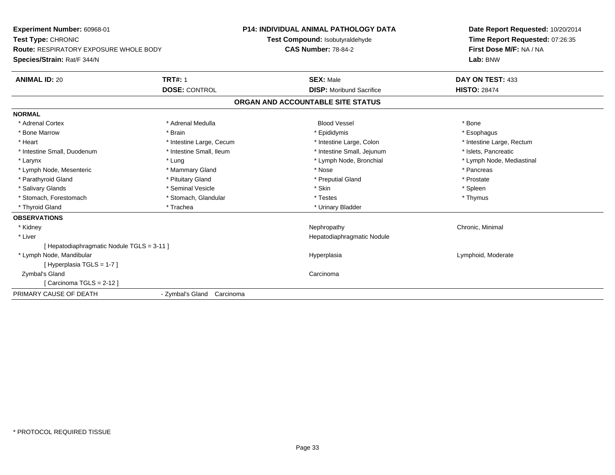**Experiment Number:** 60968-01**Test Type:** CHRONIC **Route:** RESPIRATORY EXPOSURE WHOLE BODY**Species/Strain:** Rat/F 344/N**P14: INDIVIDUAL ANIMAL PATHOLOGY DATATest Compound:** Isobutyraldehyde**CAS Number:** 78-84-2**Date Report Requested:** 10/20/2014**Time Report Requested:** 07:26:35**First Dose M/F:** NA / NA**Lab:** BNW**ANIMAL ID:** 20**TRT#:** 1 **SEX:** Male **DAY ON TEST:** 433 **DOSE:** CONTROL**DISP:** Moribund Sacrifice **HISTO:** 28474 **ORGAN AND ACCOUNTABLE SITE STATUSNORMAL**\* Adrenal Cortex \* Adrenal Medulla \* \* Book \* Blood Vessel \* Book \* Bone \* Bone \* Bone \* Bone \* Bone \* Bone \* Bone \* Bone \* Bone \* Esophagus \* Bone Marrow \* Brain \* Epididymis \* Esophagus \* Intestine Large, Rectum \* Heart \* Intestine Large, Cecum \* Intestine Large, Cecum \* Intestine Large, Colon \* Intestine Small, Duodenum \* Intestine Small, Ileum \* 1ntestine Small, Intestine Small, Jejunum \* Islets, Pancreatic \* Lymph Node, Mediastinal \* Larynx \* Larynx \* Lung \* Lung \* Lung \* Larynx \* Lymph Node, Bronchial \* 1999 \* Lymph Node, Mesenteric \* \* The mannery Gland \* Mammary Gland \* Nose \* Nose \* Pancreas \* Pancreas \* Pancreas \* Prostate \* Parathyroid Gland \* **All and \* Pituitary Gland \* Preputial Gland \* Preputial Gland** \* Preputial Gland \* Spleen \* Salivary Glands \* \* \* Sheen \* Seminal Vesicle \* \* \* Stan \* \* Skin \* \* Skin \* \* Spleen \* \* Spleen \* \* Spleen \* \* Thymus \* Stomach, Forestomach \* Testes \* Stomach, Glandular \* Testes \* Testes \* Testes \* Testes \* Testes \* Testes \* T \* Thyroid Gland \* Trachea \* Trachea \* Trachea \* Urinary Bladder **OBSERVATIONS** \* Kidneyy the controller of the controller of the controller of the controller of the controller of the controller of the controller of the controller of the controller of the controller of the controller of the controller of the \* Liver Hepatodiaphragmatic Nodule[ Hepatodiaphragmatic Nodule TGLS = 3-11 ] \* Lymph Node, Mandibular Hyperplasia Lymphoid, Moderate [ Hyperplasia TGLS = 1-7 ] Zymbal's Glandd<sub>d</sub> Carcinoma [ Carcinoma TGLS = 2-12 ]PRIMARY CAUSE OF DEATH- Zymbal's Gland Carcinoma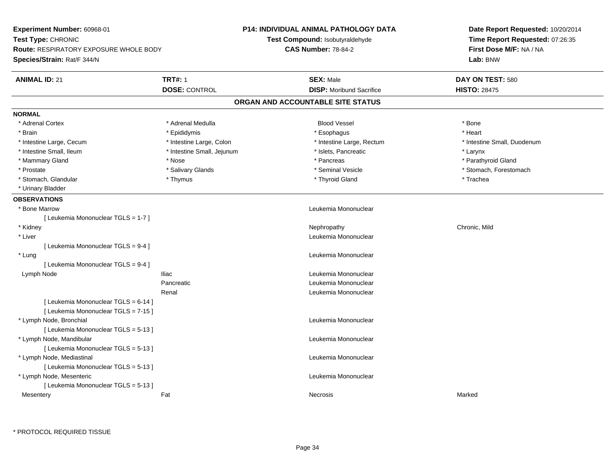| Experiment Number: 60968-01            |                                 | <b>P14: INDIVIDUAL ANIMAL PATHOLOGY DATA</b> | Date Report Requested: 10/20/2014                          |  |
|----------------------------------------|---------------------------------|----------------------------------------------|------------------------------------------------------------|--|
| Test Type: CHRONIC                     | Test Compound: Isobutyraldehyde |                                              | Time Report Requested: 07:26:35<br>First Dose M/F: NA / NA |  |
| Route: RESPIRATORY EXPOSURE WHOLE BODY | <b>CAS Number: 78-84-2</b>      |                                              |                                                            |  |
| Species/Strain: Rat/F 344/N            |                                 |                                              | Lab: BNW                                                   |  |
| <b>ANIMAL ID: 21</b>                   | <b>TRT#: 1</b>                  | <b>SEX: Male</b>                             | DAY ON TEST: 580                                           |  |
|                                        | <b>DOSE: CONTROL</b>            | <b>DISP: Moribund Sacrifice</b>              | <b>HISTO: 28475</b>                                        |  |
|                                        |                                 | ORGAN AND ACCOUNTABLE SITE STATUS            |                                                            |  |
| <b>NORMAL</b>                          |                                 |                                              |                                                            |  |
| * Adrenal Cortex                       | * Adrenal Medulla               | <b>Blood Vessel</b>                          | * Bone                                                     |  |
| * Brain                                | * Epididymis                    | * Esophagus                                  | * Heart                                                    |  |
| * Intestine Large, Cecum               | * Intestine Large, Colon        | * Intestine Large, Rectum                    | * Intestine Small, Duodenum                                |  |
| * Intestine Small, Ileum               | * Intestine Small, Jejunum      | * Islets, Pancreatic                         | * Larynx                                                   |  |
| * Mammary Gland                        | * Nose                          | * Pancreas                                   | * Parathyroid Gland                                        |  |
| * Prostate                             | * Salivary Glands               | * Seminal Vesicle                            | * Stomach, Forestomach                                     |  |
| * Stomach, Glandular                   | * Thymus                        | * Thyroid Gland                              | * Trachea                                                  |  |
| * Urinary Bladder                      |                                 |                                              |                                                            |  |
| <b>OBSERVATIONS</b>                    |                                 |                                              |                                                            |  |
| * Bone Marrow                          |                                 | Leukemia Mononuclear                         |                                                            |  |
| [ Leukemia Mononuclear TGLS = 1-7 ]    |                                 |                                              |                                                            |  |
| * Kidney                               |                                 | Nephropathy                                  | Chronic, Mild                                              |  |
| * Liver                                |                                 | Leukemia Mononuclear                         |                                                            |  |
| [Leukemia Mononuclear TGLS = 9-4]      |                                 |                                              |                                                            |  |
| * Lung                                 |                                 | Leukemia Mononuclear                         |                                                            |  |
| [ Leukemia Mononuclear TGLS = 9-4 ]    |                                 |                                              |                                                            |  |
| Lymph Node                             | <b>Iliac</b>                    | Leukemia Mononuclear                         |                                                            |  |
|                                        | Pancreatic                      | Leukemia Mononuclear                         |                                                            |  |
|                                        | Renal                           | Leukemia Mononuclear                         |                                                            |  |
| [ Leukemia Mononuclear TGLS = 6-14 ]   |                                 |                                              |                                                            |  |
| [ Leukemia Mononuclear TGLS = 7-15 ]   |                                 |                                              |                                                            |  |
| * Lymph Node, Bronchial                |                                 | Leukemia Mononuclear                         |                                                            |  |
| [Leukemia Mononuclear TGLS = 5-13]     |                                 |                                              |                                                            |  |
| * Lymph Node, Mandibular               |                                 | Leukemia Mononuclear                         |                                                            |  |
| [ Leukemia Mononuclear TGLS = 5-13 ]   |                                 |                                              |                                                            |  |
| * Lymph Node, Mediastinal              |                                 | Leukemia Mononuclear                         |                                                            |  |
| [ Leukemia Mononuclear TGLS = 5-13 ]   |                                 |                                              |                                                            |  |
| * Lymph Node, Mesenteric               |                                 | Leukemia Mononuclear                         |                                                            |  |
| [ Leukemia Mononuclear TGLS = 5-13 ]   |                                 |                                              |                                                            |  |
| Mesentery                              | Fat                             | <b>Necrosis</b>                              | Marked                                                     |  |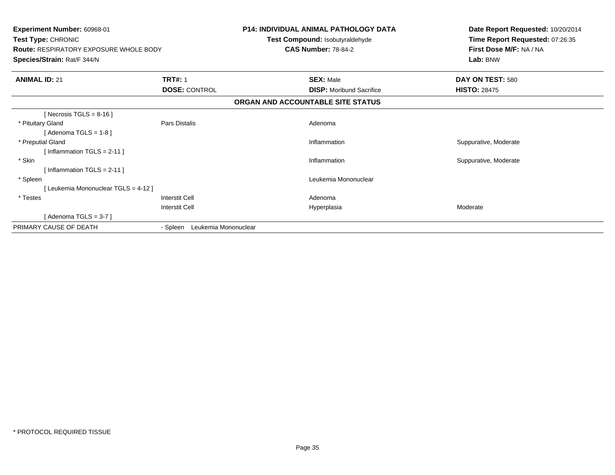| <b>Experiment Number: 60968-01</b><br>Test Type: CHRONIC<br><b>Route: RESPIRATORY EXPOSURE WHOLE BODY</b><br>Species/Strain: Rat/F 344/N |                                  | <b>P14: INDIVIDUAL ANIMAL PATHOLOGY DATA</b><br>Test Compound: Isobutyraldehyde<br><b>CAS Number: 78-84-2</b> |                                   | Date Report Requested: 10/20/2014<br>Time Report Requested: 07:26:35<br>First Dose M/F: NA / NA<br>Lab: BNW |
|------------------------------------------------------------------------------------------------------------------------------------------|----------------------------------|---------------------------------------------------------------------------------------------------------------|-----------------------------------|-------------------------------------------------------------------------------------------------------------|
| <b>ANIMAL ID: 21</b>                                                                                                                     | <b>TRT#: 1</b>                   |                                                                                                               | <b>SEX: Male</b>                  | DAY ON TEST: 580                                                                                            |
|                                                                                                                                          | <b>DOSE: CONTROL</b>             |                                                                                                               | <b>DISP:</b> Moribund Sacrifice   | <b>HISTO: 28475</b>                                                                                         |
|                                                                                                                                          |                                  |                                                                                                               | ORGAN AND ACCOUNTABLE SITE STATUS |                                                                                                             |
| [ Necrosis TGLS = $8-16$ ]                                                                                                               |                                  |                                                                                                               |                                   |                                                                                                             |
| * Pituitary Gland                                                                                                                        | Pars Distalis                    |                                                                                                               | Adenoma                           |                                                                                                             |
| [Adenoma TGLS = $1-8$ ]                                                                                                                  |                                  |                                                                                                               |                                   |                                                                                                             |
| * Preputial Gland                                                                                                                        |                                  |                                                                                                               | Inflammation                      | Suppurative, Moderate                                                                                       |
| [Inflammation TGLS = $2-11$ ]                                                                                                            |                                  |                                                                                                               |                                   |                                                                                                             |
| * Skin                                                                                                                                   |                                  |                                                                                                               | Inflammation                      | Suppurative, Moderate                                                                                       |
| [Inflammation TGLS = $2-11$ ]                                                                                                            |                                  |                                                                                                               |                                   |                                                                                                             |
| * Spleen                                                                                                                                 |                                  |                                                                                                               | Leukemia Mononuclear              |                                                                                                             |
| [ Leukemia Mononuclear TGLS = 4-12 ]                                                                                                     |                                  |                                                                                                               |                                   |                                                                                                             |
| * Testes                                                                                                                                 | Interstit Cell                   |                                                                                                               | Adenoma                           |                                                                                                             |
|                                                                                                                                          | <b>Interstit Cell</b>            |                                                                                                               | Hyperplasia                       | Moderate                                                                                                    |
| [Adenoma TGLS = $3-7$ ]                                                                                                                  |                                  |                                                                                                               |                                   |                                                                                                             |
| PRIMARY CAUSE OF DEATH                                                                                                                   | Leukemia Mononuclear<br>- Spleen |                                                                                                               |                                   |                                                                                                             |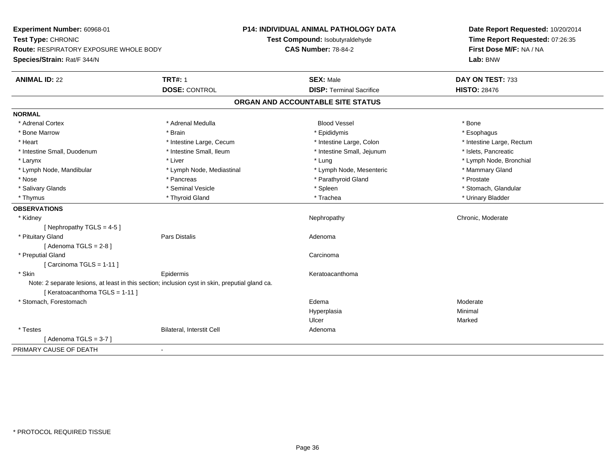| Experiment Number: 60968-01                   |                                                                                                 | <b>P14: INDIVIDUAL ANIMAL PATHOLOGY DATA</b> | Date Report Requested: 10/20/2014<br>Time Report Requested: 07:26:35<br>First Dose M/F: NA / NA<br>Lab: BNW |  |
|-----------------------------------------------|-------------------------------------------------------------------------------------------------|----------------------------------------------|-------------------------------------------------------------------------------------------------------------|--|
| Test Type: CHRONIC                            |                                                                                                 | Test Compound: Isobutyraldehyde              |                                                                                                             |  |
| <b>Route: RESPIRATORY EXPOSURE WHOLE BODY</b> |                                                                                                 | <b>CAS Number: 78-84-2</b>                   |                                                                                                             |  |
| Species/Strain: Rat/F 344/N                   |                                                                                                 |                                              |                                                                                                             |  |
| <b>ANIMAL ID: 22</b>                          | <b>TRT#: 1</b>                                                                                  | <b>SEX: Male</b>                             | DAY ON TEST: 733                                                                                            |  |
|                                               | <b>DOSE: CONTROL</b>                                                                            | <b>DISP: Terminal Sacrifice</b>              | <b>HISTO: 28476</b>                                                                                         |  |
|                                               |                                                                                                 | ORGAN AND ACCOUNTABLE SITE STATUS            |                                                                                                             |  |
| <b>NORMAL</b>                                 |                                                                                                 |                                              |                                                                                                             |  |
| * Adrenal Cortex                              | * Adrenal Medulla                                                                               | <b>Blood Vessel</b>                          | * Bone                                                                                                      |  |
| * Bone Marrow                                 | * Brain                                                                                         | * Epididymis                                 | * Esophagus                                                                                                 |  |
| * Heart                                       | * Intestine Large, Cecum                                                                        | * Intestine Large, Colon                     | * Intestine Large, Rectum                                                                                   |  |
| * Intestine Small, Duodenum                   | * Intestine Small, Ileum                                                                        | * Intestine Small, Jejunum                   | * Islets, Pancreatic                                                                                        |  |
| * Larynx                                      | * Liver                                                                                         | * Lung                                       | * Lymph Node, Bronchial                                                                                     |  |
| * Lymph Node, Mandibular                      | * Lymph Node, Mediastinal                                                                       | * Lymph Node, Mesenteric                     | * Mammary Gland                                                                                             |  |
| * Nose                                        | * Pancreas                                                                                      | * Parathyroid Gland                          | * Prostate                                                                                                  |  |
| * Salivary Glands                             | * Seminal Vesicle                                                                               | * Spleen                                     | * Stomach, Glandular                                                                                        |  |
| * Thymus                                      | * Thyroid Gland                                                                                 | * Trachea                                    | * Urinary Bladder                                                                                           |  |
| <b>OBSERVATIONS</b>                           |                                                                                                 |                                              |                                                                                                             |  |
| * Kidney                                      |                                                                                                 | Nephropathy                                  | Chronic, Moderate                                                                                           |  |
| [ Nephropathy TGLS = $4-5$ ]                  |                                                                                                 |                                              |                                                                                                             |  |
| * Pituitary Gland                             | <b>Pars Distalis</b>                                                                            | Adenoma                                      |                                                                                                             |  |
| [Adenoma TGLS = $2-8$ ]                       |                                                                                                 |                                              |                                                                                                             |  |
| * Preputial Gland                             |                                                                                                 | Carcinoma                                    |                                                                                                             |  |
| [Carcinoma TGLS = 1-11]                       |                                                                                                 |                                              |                                                                                                             |  |
| * Skin                                        | Epidermis                                                                                       | Keratoacanthoma                              |                                                                                                             |  |
| [Keratoacanthoma TGLS = 1-11]                 | Note: 2 separate lesions, at least in this section; inclusion cyst in skin, preputial gland ca. |                                              |                                                                                                             |  |
| * Stomach, Forestomach                        |                                                                                                 | Edema                                        | Moderate                                                                                                    |  |
|                                               |                                                                                                 | Hyperplasia                                  | Minimal                                                                                                     |  |
|                                               |                                                                                                 | Ulcer                                        | Marked                                                                                                      |  |
| * Testes                                      | Bilateral, Interstit Cell                                                                       | Adenoma                                      |                                                                                                             |  |
| [Adenoma TGLS = $3-7$ ]                       |                                                                                                 |                                              |                                                                                                             |  |
| PRIMARY CAUSE OF DEATH                        |                                                                                                 |                                              |                                                                                                             |  |
|                                               |                                                                                                 |                                              |                                                                                                             |  |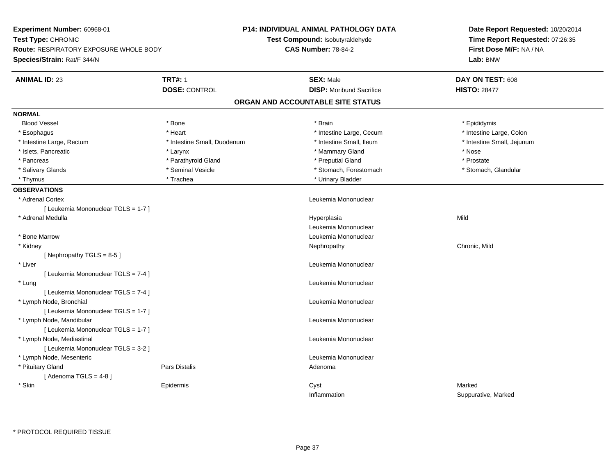| Experiment Number: 60968-01            |                                 | <b>P14: INDIVIDUAL ANIMAL PATHOLOGY DATA</b> | Date Report Requested: 10/20/2014                          |
|----------------------------------------|---------------------------------|----------------------------------------------|------------------------------------------------------------|
| Test Type: CHRONIC                     | Test Compound: Isobutyraldehyde |                                              | Time Report Requested: 07:26:35<br>First Dose M/F: NA / NA |
| Route: RESPIRATORY EXPOSURE WHOLE BODY | <b>CAS Number: 78-84-2</b>      |                                              |                                                            |
| Species/Strain: Rat/F 344/N            |                                 |                                              | Lab: BNW                                                   |
| <b>ANIMAL ID: 23</b>                   | <b>TRT#: 1</b>                  | <b>SEX: Male</b>                             | DAY ON TEST: 608                                           |
|                                        | <b>DOSE: CONTROL</b>            | <b>DISP:</b> Moribund Sacrifice              | <b>HISTO: 28477</b>                                        |
|                                        |                                 | ORGAN AND ACCOUNTABLE SITE STATUS            |                                                            |
| <b>NORMAL</b>                          |                                 |                                              |                                                            |
| <b>Blood Vessel</b>                    | * Bone                          | * Brain                                      | * Epididymis                                               |
| * Esophagus                            | * Heart                         | * Intestine Large, Cecum                     | * Intestine Large, Colon                                   |
| * Intestine Large, Rectum              | * Intestine Small, Duodenum     | * Intestine Small, Ileum                     | * Intestine Small, Jejunum                                 |
| * Islets, Pancreatic                   | * Larynx                        | * Mammary Gland                              | * Nose                                                     |
| * Pancreas                             | * Parathyroid Gland             | * Preputial Gland                            | * Prostate                                                 |
| * Salivary Glands                      | * Seminal Vesicle               | * Stomach, Forestomach                       | * Stomach, Glandular                                       |
| * Thymus                               | * Trachea                       | * Urinary Bladder                            |                                                            |
| <b>OBSERVATIONS</b>                    |                                 |                                              |                                                            |
| * Adrenal Cortex                       |                                 | Leukemia Mononuclear                         |                                                            |
| [ Leukemia Mononuclear TGLS = 1-7 ]    |                                 |                                              |                                                            |
| * Adrenal Medulla                      |                                 | Hyperplasia                                  | Mild                                                       |
|                                        |                                 | Leukemia Mononuclear                         |                                                            |
| * Bone Marrow                          |                                 | Leukemia Mononuclear                         |                                                            |
| * Kidney                               |                                 | Nephropathy                                  | Chronic, Mild                                              |
| [Nephropathy TGLS = $8-5$ ]            |                                 |                                              |                                                            |
| * Liver                                |                                 | Leukemia Mononuclear                         |                                                            |
| [ Leukemia Mononuclear TGLS = 7-4 ]    |                                 |                                              |                                                            |
| * Lung                                 |                                 | Leukemia Mononuclear                         |                                                            |
| [ Leukemia Mononuclear TGLS = 7-4 ]    |                                 |                                              |                                                            |
| * Lymph Node, Bronchial                |                                 | Leukemia Mononuclear                         |                                                            |
| [ Leukemia Mononuclear TGLS = 1-7 ]    |                                 |                                              |                                                            |
| * Lymph Node, Mandibular               |                                 | Leukemia Mononuclear                         |                                                            |
| [ Leukemia Mononuclear TGLS = 1-7 ]    |                                 |                                              |                                                            |
| * Lymph Node, Mediastinal              |                                 | Leukemia Mononuclear                         |                                                            |
| [ Leukemia Mononuclear TGLS = 3-2 ]    |                                 |                                              |                                                            |
| * Lymph Node, Mesenteric               |                                 | Leukemia Mononuclear                         |                                                            |
| * Pituitary Gland                      | <b>Pars Distalis</b>            | Adenoma                                      |                                                            |
| [Adenoma TGLS = $4-8$ ]                |                                 |                                              |                                                            |
| * Skin                                 | Epidermis                       | Cyst                                         | Marked                                                     |
|                                        |                                 | Inflammation                                 | Suppurative, Marked                                        |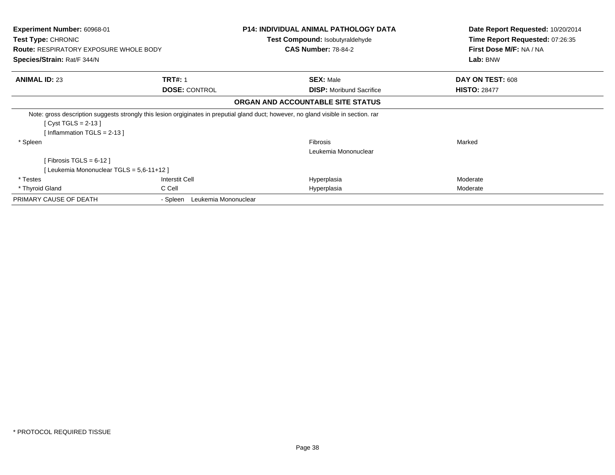| <b>Experiment Number: 60968-01</b><br><b>Test Type: CHRONIC</b><br><b>Route: RESPIRATORY EXPOSURE WHOLE BODY</b><br><b>Species/Strain: Rat/F 344/N</b> |                                  | <b>P14: INDIVIDUAL ANIMAL PATHOLOGY DATA</b><br><b>Test Compound: Isobutyraldehyde</b><br><b>CAS Number: 78-84-2</b>                 | Date Report Requested: 10/20/2014<br>Time Report Requested: 07:26:35<br>First Dose M/F: NA / NA<br>Lab: BNW |
|--------------------------------------------------------------------------------------------------------------------------------------------------------|----------------------------------|--------------------------------------------------------------------------------------------------------------------------------------|-------------------------------------------------------------------------------------------------------------|
| <b>ANIMAL ID: 23</b>                                                                                                                                   | <b>TRT#: 1</b>                   | <b>SEX: Male</b>                                                                                                                     | DAY ON TEST: 608                                                                                            |
|                                                                                                                                                        | <b>DOSE: CONTROL</b>             | <b>DISP:</b> Moribund Sacrifice                                                                                                      | <b>HISTO: 28477</b>                                                                                         |
|                                                                                                                                                        |                                  | ORGAN AND ACCOUNTABLE SITE STATUS                                                                                                    |                                                                                                             |
|                                                                                                                                                        |                                  | Note: gross description suggests strongly this lesion orgiginates in preputial gland duct; however, no gland visible in section. rar |                                                                                                             |
| [ Cyst TGLS = 2-13 ]                                                                                                                                   |                                  |                                                                                                                                      |                                                                                                             |
| [Inflammation TGLS = $2-13$ ]                                                                                                                          |                                  |                                                                                                                                      |                                                                                                             |
| * Spleen                                                                                                                                               |                                  | <b>Fibrosis</b>                                                                                                                      | Marked                                                                                                      |
|                                                                                                                                                        |                                  | Leukemia Mononuclear                                                                                                                 |                                                                                                             |
| [Fibrosis TGLS = $6-12$ ]                                                                                                                              |                                  |                                                                                                                                      |                                                                                                             |
| [Leukemia Mononuclear TGLS = 5,6-11+12 ]                                                                                                               |                                  |                                                                                                                                      |                                                                                                             |
| * Testes                                                                                                                                               | Interstit Cell                   | Hyperplasia                                                                                                                          | Moderate                                                                                                    |
| * Thyroid Gland                                                                                                                                        | C Cell                           | Hyperplasia                                                                                                                          | Moderate                                                                                                    |
| PRIMARY CAUSE OF DEATH                                                                                                                                 | Leukemia Mononuclear<br>- Spleen |                                                                                                                                      |                                                                                                             |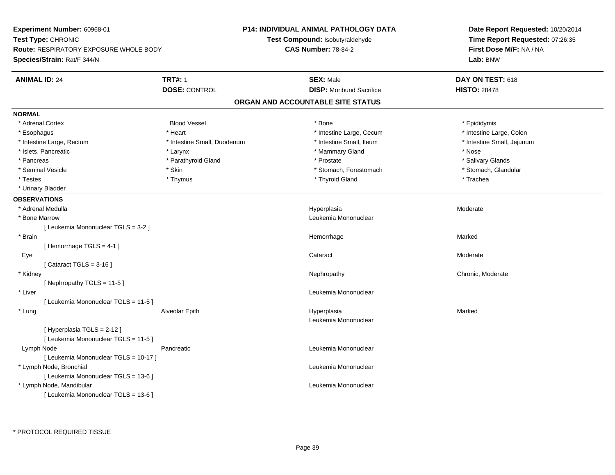**Experiment Number:** 60968-01**Test Type:** CHRONIC **Route:** RESPIRATORY EXPOSURE WHOLE BODY**Species/Strain:** Rat/F 344/N**P14: INDIVIDUAL ANIMAL PATHOLOGY DATATest Compound:** Isobutyraldehyde**CAS Number:** 78-84-2**Date Report Requested:** 10/20/2014**Time Report Requested:** 07:26:35**First Dose M/F:** NA / NA**Lab:** BNW**ANIMAL ID:** 24 **TRT#:** <sup>1</sup> **SEX:** Male **DAY ON TEST:** <sup>618</sup> **DOSE:** CONTROL**DISP:** Moribund Sacrifice **HISTO:** 28478 **ORGAN AND ACCOUNTABLE SITE STATUSNORMAL**\* Adrenal Cortex \* Adrenal Cortex \* \* Epididymis \* Adrenal Cortex \* \* Epididymis \* Bone \* \* Epididymis \* Epididymis \* Epididymis \* Epididymis \* Epididymis \* Epididymis \* Epididymis \* Epididymis \* Epididymis \* Epididymis \* Epididymis \* Epid \* Intestine Large, Colon \* Esophagus \* **Intestine Large, Cecum \* Intestine Large, Cecum \* Intestine Large, Cecum \*** Intestine Large, Cecum \* Intestine Large, Rectum \* Thestine Small, Duodenum \* Number of the small, Ileum \* Intestine Small, Jejunum \* Intestine Small, Jejunum \* Islets, Pancreatic \* The same \* Larynx \* Larynx \* Larynx \* Mammary Gland \* Nose \* Nose \* Nose \* Nose \* Salivary Glands \* Pancreas \* And the second term in the second term in the second term in the second term in the second term in the second term in the second term in the second term in the second term in the second term in the second term \* Stomach, Glandular \* Seminal Vesicle \* Stomach, Forestomach \* Skin \* Skin \* Stomach, Forestomach \* Stomach, Forestomach \* Testes \* Thymus \* Thyroid Gland \* Trachea \* Urinary Bladder**OBSERVATIONS** \* Adrenal Medullaa and the state of the state of the state of the Hyperplasia and the Moderate of the Moderate of the Shane and Moderate  $\sim$  Moderate of the state of the state of the state of the state of the state of the state of the sta \* Bone Marrow Leukemia Mononuclear [ Leukemia Mononuclear TGLS = 3-2 ] \* Brainn and the state of the state of the state of the state of the Marked Marked of the Marked State of the Marked State of the Marked State of the Marked State of the Marked State of the State of the Marked State of the State [ Hemorrhage TGLS = 4-1 ] Eyee and the contract of the contract of the contract of the contract of the contract of the contract of the contract of the contract of the contract of the contract of the contract of the contract of the contract of the cont [ Cataract TGLS = 3-16 ] \* Kidneyy the chronic, Moderate and September 2012 of the Chronic Moderate and September 2013 of the Chronic, Moderate [ Nephropathy TGLS = 11-5 ] \* Liver Leukemia Mononuclear [ Leukemia Mononuclear TGLS = 11-5 ] \* Lung Alveolar Epith Hyperplasia Marked Leukemia Mononuclear[ Hyperplasia TGLS = 2-12 ][ Leukemia Mononuclear TGLS = 11-5 ] Lymph NodePancreatic **Leukemia Mononuclear Leukemia Mononuclear** [ Leukemia Mononuclear TGLS = 10-17 ] \* Lymph Node, Bronchial Leukemia Mononuclear[ Leukemia Mononuclear TGLS = 13-6 ] \* Lymph Node, Mandibular Leukemia Mononuclear [ Leukemia Mononuclear TGLS = 13-6 ]

\* PROTOCOL REQUIRED TISSUE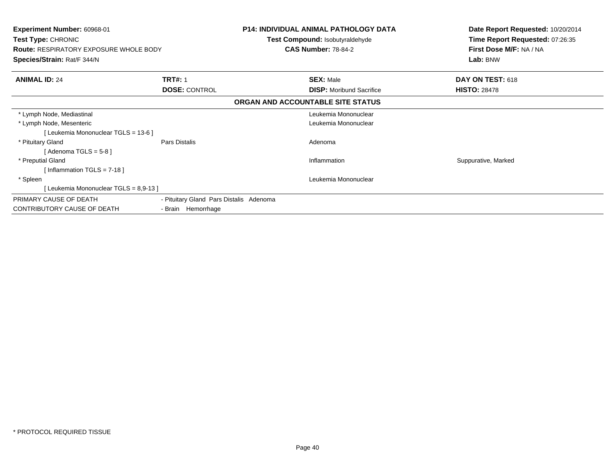| <b>Experiment Number: 60968-01</b><br>Test Type: CHRONIC<br><b>Route: RESPIRATORY EXPOSURE WHOLE BODY</b><br>Species/Strain: Rat/F 344/N |                                         | <b>P14: INDIVIDUAL ANIMAL PATHOLOGY DATA</b><br>Test Compound: Isobutyraldehyde<br><b>CAS Number: 78-84-2</b> | Date Report Requested: 10/20/2014<br>Time Report Requested: 07:26:35<br>First Dose M/F: NA / NA<br>Lab: BNW |
|------------------------------------------------------------------------------------------------------------------------------------------|-----------------------------------------|---------------------------------------------------------------------------------------------------------------|-------------------------------------------------------------------------------------------------------------|
| <b>ANIMAL ID: 24</b>                                                                                                                     | <b>TRT#: 1</b>                          | <b>SEX: Male</b>                                                                                              | DAY ON TEST: 618                                                                                            |
|                                                                                                                                          | <b>DOSE: CONTROL</b>                    | <b>DISP:</b> Moribund Sacrifice                                                                               | <b>HISTO: 28478</b>                                                                                         |
|                                                                                                                                          |                                         | ORGAN AND ACCOUNTABLE SITE STATUS                                                                             |                                                                                                             |
| * Lymph Node, Mediastinal                                                                                                                |                                         | Leukemia Mononuclear                                                                                          |                                                                                                             |
| * Lymph Node, Mesenteric                                                                                                                 |                                         | Leukemia Mononuclear                                                                                          |                                                                                                             |
| [Leukemia Mononuclear TGLS = 13-6]                                                                                                       |                                         |                                                                                                               |                                                                                                             |
| * Pituitary Gland                                                                                                                        | Pars Distalis                           | Adenoma                                                                                                       |                                                                                                             |
| [ Adenoma TGLS = 5-8 ]                                                                                                                   |                                         |                                                                                                               |                                                                                                             |
| * Preputial Gland                                                                                                                        |                                         | Inflammation                                                                                                  | Suppurative, Marked                                                                                         |
| [Inflammation TGLS = $7-18$ ]                                                                                                            |                                         |                                                                                                               |                                                                                                             |
| * Spleen                                                                                                                                 |                                         | Leukemia Mononuclear                                                                                          |                                                                                                             |
| Leukemia Mononuclear TGLS = 8,9-13 ]                                                                                                     |                                         |                                                                                                               |                                                                                                             |
| PRIMARY CAUSE OF DEATH                                                                                                                   | - Pituitary Gland Pars Distalis Adenoma |                                                                                                               |                                                                                                             |
| CONTRIBUTORY CAUSE OF DEATH                                                                                                              | - Brain Hemorrhage                      |                                                                                                               |                                                                                                             |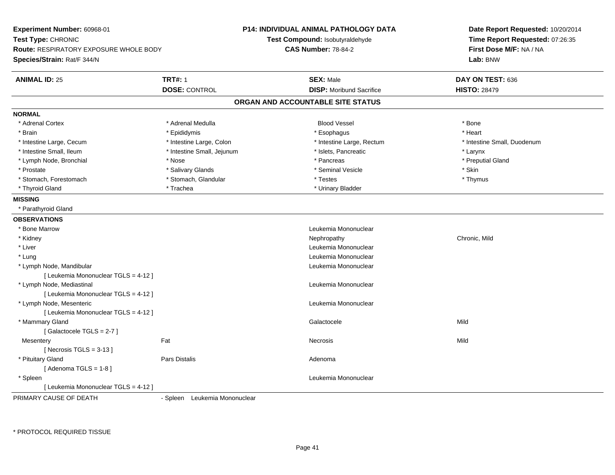| Experiment Number: 60968-01<br>Test Type: CHRONIC<br>Route: RESPIRATORY EXPOSURE WHOLE BODY<br>Species/Strain: Rat/F 344/N |                              | P14: INDIVIDUAL ANIMAL PATHOLOGY DATA<br>Test Compound: Isobutyraldehyde<br><b>CAS Number: 78-84-2</b> | Date Report Requested: 10/20/2014<br>Time Report Requested: 07:26:35<br>First Dose M/F: NA / NA<br>Lab: BNW |
|----------------------------------------------------------------------------------------------------------------------------|------------------------------|--------------------------------------------------------------------------------------------------------|-------------------------------------------------------------------------------------------------------------|
| <b>ANIMAL ID: 25</b>                                                                                                       | <b>TRT#: 1</b>               | <b>SEX: Male</b>                                                                                       | DAY ON TEST: 636                                                                                            |
|                                                                                                                            | <b>DOSE: CONTROL</b>         | <b>DISP:</b> Moribund Sacrifice                                                                        | <b>HISTO: 28479</b>                                                                                         |
|                                                                                                                            |                              | ORGAN AND ACCOUNTABLE SITE STATUS                                                                      |                                                                                                             |
| <b>NORMAL</b>                                                                                                              |                              |                                                                                                        |                                                                                                             |
| * Adrenal Cortex                                                                                                           | * Adrenal Medulla            | <b>Blood Vessel</b>                                                                                    | * Bone                                                                                                      |
| * Brain                                                                                                                    | * Epididymis                 | * Esophagus                                                                                            | * Heart                                                                                                     |
| * Intestine Large, Cecum                                                                                                   | * Intestine Large, Colon     | * Intestine Large, Rectum                                                                              | * Intestine Small, Duodenum                                                                                 |
| * Intestine Small, Ileum                                                                                                   | * Intestine Small, Jejunum   | * Islets, Pancreatic                                                                                   | * Larynx                                                                                                    |
| * Lymph Node, Bronchial                                                                                                    | * Nose                       | * Pancreas                                                                                             | * Preputial Gland                                                                                           |
| * Prostate                                                                                                                 | * Salivary Glands            | * Seminal Vesicle                                                                                      | * Skin                                                                                                      |
| * Stomach, Forestomach                                                                                                     | * Stomach, Glandular         | * Testes                                                                                               | * Thymus                                                                                                    |
| * Thyroid Gland                                                                                                            | * Trachea                    | * Urinary Bladder                                                                                      |                                                                                                             |
| <b>MISSING</b>                                                                                                             |                              |                                                                                                        |                                                                                                             |
| * Parathyroid Gland                                                                                                        |                              |                                                                                                        |                                                                                                             |
| <b>OBSERVATIONS</b>                                                                                                        |                              |                                                                                                        |                                                                                                             |
| * Bone Marrow                                                                                                              |                              | Leukemia Mononuclear                                                                                   |                                                                                                             |
| * Kidney                                                                                                                   |                              | Nephropathy                                                                                            | Chronic, Mild                                                                                               |
| * Liver                                                                                                                    |                              | Leukemia Mononuclear                                                                                   |                                                                                                             |
| * Lung                                                                                                                     |                              | Leukemia Mononuclear                                                                                   |                                                                                                             |
| * Lymph Node, Mandibular                                                                                                   |                              | Leukemia Mononuclear                                                                                   |                                                                                                             |
| [ Leukemia Mononuclear TGLS = 4-12 ]                                                                                       |                              |                                                                                                        |                                                                                                             |
| * Lymph Node, Mediastinal                                                                                                  |                              | Leukemia Mononuclear                                                                                   |                                                                                                             |
| [ Leukemia Mononuclear TGLS = 4-12 ]                                                                                       |                              |                                                                                                        |                                                                                                             |
| * Lymph Node, Mesenteric                                                                                                   |                              | Leukemia Mononuclear                                                                                   |                                                                                                             |
| [ Leukemia Mononuclear TGLS = 4-12 ]                                                                                       |                              |                                                                                                        |                                                                                                             |
| * Mammary Gland                                                                                                            |                              | Galactocele                                                                                            | Mild                                                                                                        |
| [Galactocele TGLS = 2-7]                                                                                                   |                              |                                                                                                        |                                                                                                             |
| Mesentery                                                                                                                  | Fat                          | Necrosis                                                                                               | Mild                                                                                                        |
| [ Necrosis TGLS = $3-13$ ]                                                                                                 |                              |                                                                                                        |                                                                                                             |
| * Pituitary Gland                                                                                                          | Pars Distalis                | Adenoma                                                                                                |                                                                                                             |
| [Adenoma TGLS = $1-8$ ]                                                                                                    |                              |                                                                                                        |                                                                                                             |
| * Spleen                                                                                                                   |                              | Leukemia Mononuclear                                                                                   |                                                                                                             |
| [ Leukemia Mononuclear TGLS = 4-12 ]                                                                                       |                              |                                                                                                        |                                                                                                             |
| DOIMADY CALISE OF DEATH                                                                                                    | Coloan Lautramia Mananualaar |                                                                                                        |                                                                                                             |

PRIMARY CAUSE OF DEATH

- Spleen Leukemia Mononuclear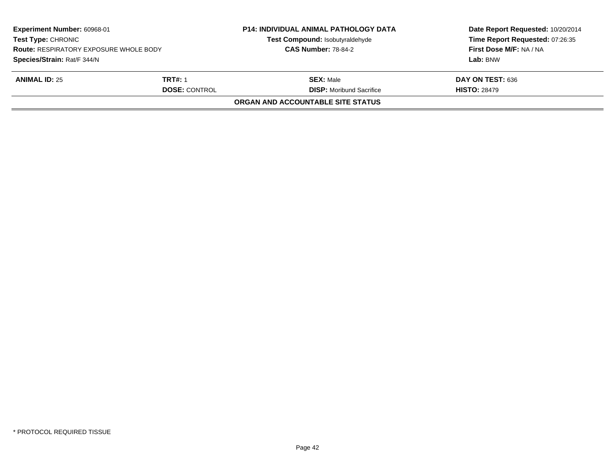| Experiment Number: 60968-01<br><b>Test Type: CHRONIC</b><br><b>Route: RESPIRATORY EXPOSURE WHOLE BODY</b> |                      | <b>P14: INDIVIDUAL ANIMAL PATHOLOGY DATA</b><br>Test Compound: Isobutyraldehyde<br><b>CAS Number: 78-84-2</b> | Date Report Requested: 10/20/2014<br>Time Report Requested: 07:26:35<br>First Dose M/F: NA / NA |
|-----------------------------------------------------------------------------------------------------------|----------------------|---------------------------------------------------------------------------------------------------------------|-------------------------------------------------------------------------------------------------|
| Species/Strain: Rat/F 344/N                                                                               |                      |                                                                                                               | Lab: BNW                                                                                        |
| <b>ANIMAL ID: 25</b>                                                                                      | <b>TRT#: 1</b>       | <b>SEX:</b> Male                                                                                              | DAY ON TEST: 636                                                                                |
|                                                                                                           | <b>DOSE: CONTROL</b> | <b>DISP:</b> Moribund Sacrifice                                                                               | <b>HISTO: 28479</b>                                                                             |
|                                                                                                           |                      | <b>ORGAN AND ACCOUNTABLE SITE STATUS</b>                                                                      |                                                                                                 |
|                                                                                                           |                      |                                                                                                               |                                                                                                 |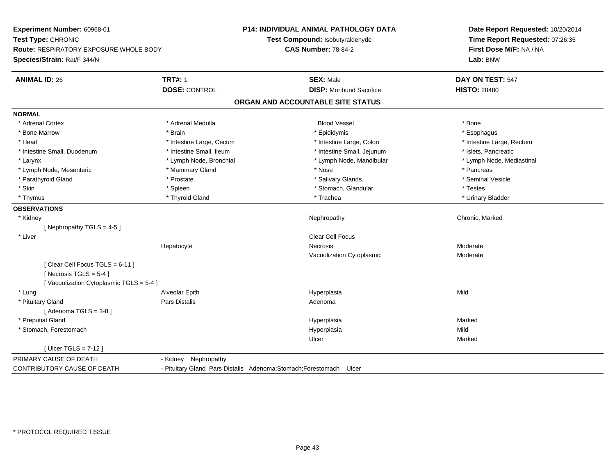**Experiment Number:** 60968-01**Test Type:** CHRONIC **Route:** RESPIRATORY EXPOSURE WHOLE BODY**Species/Strain:** Rat/F 344/N**P14: INDIVIDUAL ANIMAL PATHOLOGY DATATest Compound:** Isobutyraldehyde**CAS Number:** 78-84-2**Date Report Requested:** 10/20/2014**Time Report Requested:** 07:26:35**First Dose M/F:** NA / NA**Lab:** BNW**ANIMAL ID:** 26**6 TRT#:** 1 **TRT#:** 1 **SEX:** Male **SEX:** Male **DAY ON TEST:** 547 **DOSE:** CONTROL**DISP:** Moribund Sacrifice **HISTO:** 28480 **ORGAN AND ACCOUNTABLE SITE STATUSNORMAL**\* Adrenal Cortex \* Adrenal Cortex \* Adrenal Medulla Blood Vessel \* Bone\* Esophagus \* Bone Marrow \* Brain \* Epididymis \* Esophagus \* Intestine Large, Rectum \* Heart \* Intestine Large, Cecum \* Intestine Large, Cecum \* Intestine Large, Colon \* Intestine Small, Duodenum \* Intestine Small, Ileum \* Intestine Small, Intestine Small, Jejunum \* Islets, Pancreatic \* Lymph Node, Mediastinal \* Larynx **\* Lymph Node, Bronchial \*** Lymph Node, Bronchial \* Lymph Node, Mandibular \* Lymph Node, Mesenteric \* \* The mannery Gland \* Mammary Gland \* Nose \* Nose \* \* Pancreas \* Pancreas \* Pancreas \* Seminal Vesicle \* Parathyroid Gland \* November 2008 \* Prostate \* Prostate \* Salivary Glands \* Salivary Glands \* \* Skin \* Spleen \* Spleen \* Spleen \* Stomach, Glandular \* Testes \* Testes \* Testes \* Urinary Bladder \* Thymus \* Thyroid Gland \* Trachea \* Urinary Bladder \* **OBSERVATIONS** \* Kidneyy the controller of the controller of the controller of the Nephropathy Chronic, Marked Schronic, Marked Schronic, Marked Schronic, Marked Schronic, Marked Schronic, Marked Schronic, Marked Schronic, Marked Schronic, Marke [ Nephropathy  $TGLS = 4-5$  ] \* Liver Clear Cell FocusHepatocyte Necrosis Moderate Vacuolization Cytoplasmic Moderate[ Clear Cell Focus TGLS = 6-11 ] $[$  Necrosis TGLS = 5-4  $]$ [ Vacuolization Cytoplasmic TGLS = 5-4 ] \* Lung Alveolar Epith Hyperplasia Mild \* Pituitary Glandd and the contract of Pars Distalis and the contract of Adenoma and Adenoma and the Adenoma and the Adenoma and  $\lambda$  $[$  Adenoma TGLS = 3-8  $]$  \* Preputial Glandd and the control of the control of the control of the Hyperplasia and the control of the Marked Marked of the  $\eta$  \* Stomach, Forestomachh ann an t-ìre ann an t-ìre ann an t-ìre ann an t-ìre ann an t-ìre ann an t-ìre ann an Mild ann an Mild ann an Ulcerr **Marked** [ Ulcer TGLS = 7-12 ]PRIMARY CAUSE OF DEATH - Kidney Nephropathy CONTRIBUTORY CAUSE OF DEATH- Pituitary Gland Pars Distalis Adenoma;Stomach;Forestomach Ulcer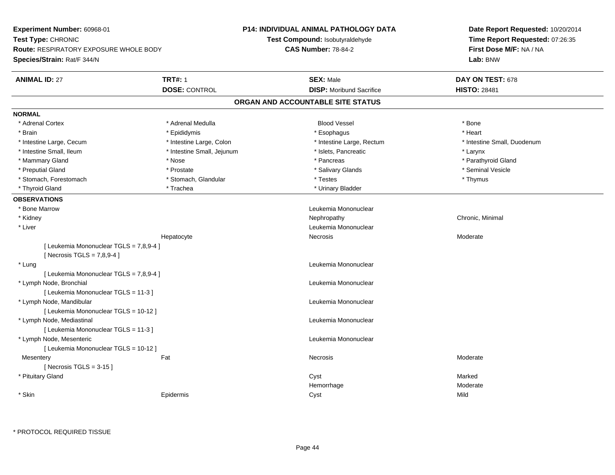**Experiment Number:** 60968-01**Test Type:** CHRONIC **Route:** RESPIRATORY EXPOSURE WHOLE BODY**Species/Strain:** Rat/F 344/N**P14: INDIVIDUAL ANIMAL PATHOLOGY DATATest Compound:** Isobutyraldehyde**CAS Number:** 78-84-2**Date Report Requested:** 10/20/2014**Time Report Requested:** 07:26:35**First Dose M/F:** NA / NA**Lab:** BNW**ANIMAL ID:** 27 **TRT#:** <sup>1</sup> **SEX:** Male **DAY ON TEST:** <sup>678</sup> **DOSE:** CONTROL**DISP:** Moribund Sacrifice **HISTO:** 28481 **ORGAN AND ACCOUNTABLE SITE STATUSNORMAL**\* Adrenal Cortex \* Adrenal Medulla \* \* Book \* Blood Vessel \* Book \* Bone \* Bone \* Bone \* Bone \* Bone \* Bone \* Bone \* Bone \* Bone \* Heart \* Brain \* \* Esophagus \* \* Esophagus \* \* Esophagus \* \* Esophagus \* \* Esophagus \* Heart \* Heart \* Heart \* Heart \* Intestine Large, Cecum \* Intestine Large, Colon \* Intestine Large, Rectum \* Intestine Small, Duodenum \* Intestine Small, Ileum \* Intestine Small, Jejunum \* Islets, Pancreatic \* Larynx\* Parathyroid Gland \* Mammary Gland \* \* Nose \* \* Nose \* \* Pancreas \* Pancreas \* \* Pancreas \* \* Pancreas \* \* Pancreas \* \* Parathyroid Gland \* Preputial Gland \* \* Annual vesicle \* \* Prostate \* \* Salivary Glands \* \* Salivary Glands \* \* Seminal Vesicle \* \* Stomach, Forestomach \* Thymus \* Stomach, Glandular \* The \* Testes \* Thymus \* Thymus \* Thymus \* Thymus \* Thymus \* Thyroid Gland \* Trachea \* Trachea \* Trachea \* Urinary Bladder **OBSERVATIONS** \* Bone MarrowLeukemia Mononuclear<br>Nephropathy \* Kidneyy the controller of the controller of the controller of the controller of the controller of the controller of the controller of the controller of the controller of the controller of the controller of the controller of the \* Liver Leukemia Mononuclear Hepatocyte Necrosis Moderate [ Leukemia Mononuclear TGLS = 7,8,9-4 ][ Necrosis TGLS = 7,8,9-4 ] \* Lungg and the set of the set of the set of the set of the set of the set of the set of the set of the set of the set of the set of the set of the set of the set of the set of the set of the set of the set of the set of the set [ Leukemia Mononuclear TGLS = 7,8,9-4 ] \* Lymph Node, Bronchial Leukemia Mononuclear[ Leukemia Mononuclear TGLS = 11-3 ] \* Lymph Node, Mandibular Leukemia Mononuclear [ Leukemia Mononuclear TGLS = 10-12 ] \* Lymph Node, Mediastinal Leukemia Mononuclear[ Leukemia Mononuclear TGLS = 11-3 ] \* Lymph Node, Mesenteric Leukemia Mononuclear [ Leukemia Mononuclear TGLS = 10-12 ]**Mesentery** y the control of the control of the control of the control of the control of the control of the control of the control of the control of the control of the control of the control of the control of the control of the contro  $[$  Necrosis TGLS = 3-15  $]$  \* Pituitary Glandd and the control of the control of the control of the control of the control of the control of the control of the control of the control of the control of the control of the control of the control of the control of the co HemorrhageModerate<br>Mild \* Skinn and the extent of the extent of the extending of the extending of the extending  $Cyst$  Mild

\* PROTOCOL REQUIRED TISSUE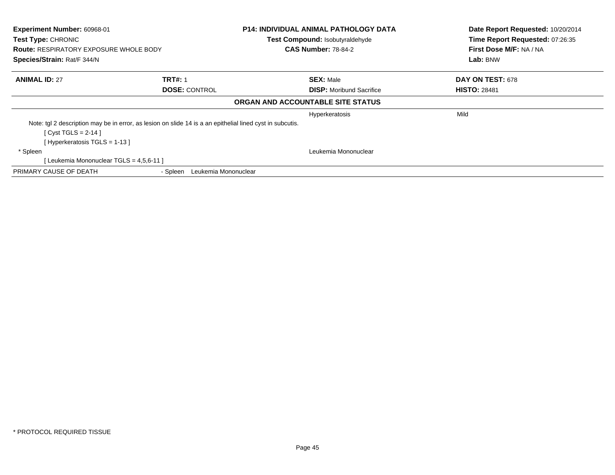| Experiment Number: 60968-01<br>Test Type: CHRONIC                            |                                                                                                           | <b>P14: INDIVIDUAL ANIMAL PATHOLOGY DATA</b><br>Test Compound: Isobutyraldehyde | Date Report Requested: 10/20/2014<br>Time Report Requested: 07:26:35 |
|------------------------------------------------------------------------------|-----------------------------------------------------------------------------------------------------------|---------------------------------------------------------------------------------|----------------------------------------------------------------------|
| <b>Route: RESPIRATORY EXPOSURE WHOLE BODY</b><br>Species/Strain: Rat/F 344/N |                                                                                                           | <b>CAS Number: 78-84-2</b>                                                      | First Dose M/F: NA / NA<br>Lab: BNW                                  |
|                                                                              |                                                                                                           |                                                                                 |                                                                      |
| <b>ANIMAL ID: 27</b>                                                         | <b>TRT#: 1</b>                                                                                            | <b>SEX: Male</b>                                                                | DAY ON TEST: 678                                                     |
|                                                                              | <b>DOSE: CONTROL</b>                                                                                      | <b>DISP:</b> Moribund Sacrifice                                                 | <b>HISTO: 28481</b>                                                  |
|                                                                              |                                                                                                           | ORGAN AND ACCOUNTABLE SITE STATUS                                               |                                                                      |
|                                                                              |                                                                                                           | Hyperkeratosis                                                                  | Mild                                                                 |
|                                                                              | Note: tgl 2 description may be in error, as lesion on slide 14 is a an epithelial lined cyst in subcutis. |                                                                                 |                                                                      |
| [ Cyst TGLS = $2-14$ ]                                                       |                                                                                                           |                                                                                 |                                                                      |
| [Hyperkeratosis TGLS = 1-13 ]                                                |                                                                                                           |                                                                                 |                                                                      |
| * Spleen                                                                     |                                                                                                           | Leukemia Mononuclear                                                            |                                                                      |
| [ Leukemia Mononuclear TGLS = 4,5,6-11 ]                                     |                                                                                                           |                                                                                 |                                                                      |
| PRIMARY CAUSE OF DEATH                                                       | - Spleen<br>Leukemia Mononuclear                                                                          |                                                                                 |                                                                      |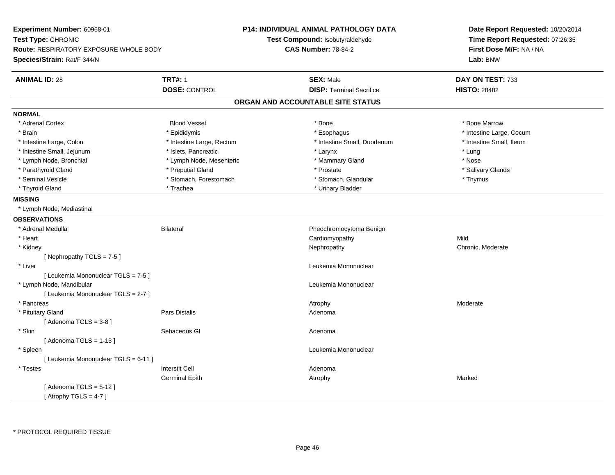| <b>Experiment Number: 60968-01</b><br>Test Type: CHRONIC<br><b>Route: RESPIRATORY EXPOSURE WHOLE BODY</b><br>Species/Strain: Rat/F 344/N |                           | <b>P14: INDIVIDUAL ANIMAL PATHOLOGY DATA</b><br>Test Compound: Isobutyraldehyde<br><b>CAS Number: 78-84-2</b> | Date Report Requested: 10/20/2014<br>Time Report Requested: 07:26:35<br>First Dose M/F: NA / NA<br>Lab: BNW |
|------------------------------------------------------------------------------------------------------------------------------------------|---------------------------|---------------------------------------------------------------------------------------------------------------|-------------------------------------------------------------------------------------------------------------|
| <b>ANIMAL ID: 28</b>                                                                                                                     | <b>TRT#: 1</b>            | <b>SEX: Male</b>                                                                                              | DAY ON TEST: 733                                                                                            |
|                                                                                                                                          | <b>DOSE: CONTROL</b>      | <b>DISP: Terminal Sacrifice</b>                                                                               | <b>HISTO: 28482</b>                                                                                         |
|                                                                                                                                          |                           | ORGAN AND ACCOUNTABLE SITE STATUS                                                                             |                                                                                                             |
| <b>NORMAL</b>                                                                                                                            |                           |                                                                                                               |                                                                                                             |
| * Adrenal Cortex                                                                                                                         | <b>Blood Vessel</b>       | * Bone                                                                                                        | * Bone Marrow                                                                                               |
| * Brain                                                                                                                                  | * Epididymis              | * Esophagus                                                                                                   | * Intestine Large, Cecum                                                                                    |
| * Intestine Large, Colon                                                                                                                 | * Intestine Large, Rectum | * Intestine Small, Duodenum                                                                                   | * Intestine Small, Ileum                                                                                    |
| * Intestine Small, Jejunum                                                                                                               | * Islets, Pancreatic      | * Larynx                                                                                                      | * Lung                                                                                                      |
| * Lymph Node, Bronchial                                                                                                                  | * Lymph Node, Mesenteric  | * Mammary Gland                                                                                               | * Nose                                                                                                      |
| * Parathyroid Gland                                                                                                                      | * Preputial Gland         | * Prostate                                                                                                    | * Salivary Glands                                                                                           |
| * Seminal Vesicle                                                                                                                        | * Stomach, Forestomach    | * Stomach, Glandular                                                                                          | * Thymus                                                                                                    |
| * Thyroid Gland                                                                                                                          | * Trachea                 | * Urinary Bladder                                                                                             |                                                                                                             |
| <b>MISSING</b>                                                                                                                           |                           |                                                                                                               |                                                                                                             |
| * Lymph Node, Mediastinal                                                                                                                |                           |                                                                                                               |                                                                                                             |
| <b>OBSERVATIONS</b>                                                                                                                      |                           |                                                                                                               |                                                                                                             |
| * Adrenal Medulla                                                                                                                        | <b>Bilateral</b>          | Pheochromocytoma Benign                                                                                       |                                                                                                             |
| * Heart                                                                                                                                  |                           | Cardiomyopathy                                                                                                | Mild                                                                                                        |
| * Kidney                                                                                                                                 |                           | Nephropathy                                                                                                   | Chronic, Moderate                                                                                           |
| [Nephropathy TGLS = $7-5$ ]                                                                                                              |                           |                                                                                                               |                                                                                                             |
| * Liver                                                                                                                                  |                           | Leukemia Mononuclear                                                                                          |                                                                                                             |
| [ Leukemia Mononuclear TGLS = 7-5 ]                                                                                                      |                           |                                                                                                               |                                                                                                             |
| * Lymph Node, Mandibular                                                                                                                 |                           | Leukemia Mononuclear                                                                                          |                                                                                                             |
| [ Leukemia Mononuclear TGLS = 2-7 ]                                                                                                      |                           |                                                                                                               |                                                                                                             |
| * Pancreas                                                                                                                               |                           | Atrophy                                                                                                       | Moderate                                                                                                    |
| * Pituitary Gland                                                                                                                        | Pars Distalis             | Adenoma                                                                                                       |                                                                                                             |
| [Adenoma TGLS = $3-8$ ]                                                                                                                  |                           |                                                                                                               |                                                                                                             |
| $^\star$ Skin                                                                                                                            | Sebaceous GI              | Adenoma                                                                                                       |                                                                                                             |
| [Adenoma TGLS = $1-13$ ]                                                                                                                 |                           |                                                                                                               |                                                                                                             |
| * Spleen                                                                                                                                 |                           | Leukemia Mononuclear                                                                                          |                                                                                                             |
| [ Leukemia Mononuclear TGLS = 6-11 ]                                                                                                     |                           |                                                                                                               |                                                                                                             |
| * Testes                                                                                                                                 | <b>Interstit Cell</b>     | Adenoma                                                                                                       |                                                                                                             |
|                                                                                                                                          | <b>Germinal Epith</b>     | Atrophy                                                                                                       | Marked                                                                                                      |
| [Adenoma TGLS = $5-12$ ]                                                                                                                 |                           |                                                                                                               |                                                                                                             |
| [Atrophy TGLS = $4-7$ ]                                                                                                                  |                           |                                                                                                               |                                                                                                             |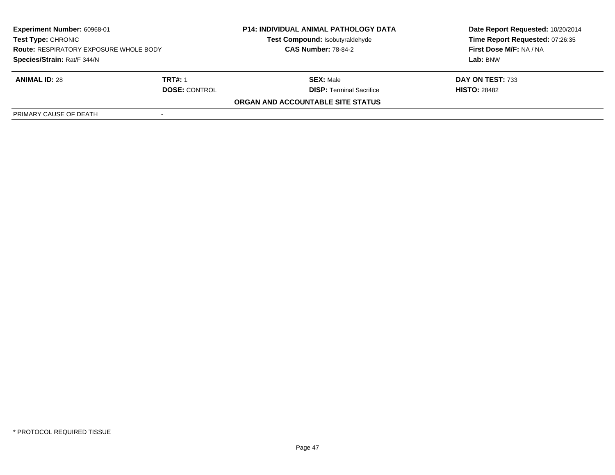| <b>Experiment Number: 60968-01</b><br><b>Test Type: CHRONIC</b><br><b>Route: RESPIRATORY EXPOSURE WHOLE BODY</b><br>Species/Strain: Rat/F 344/N |                                 | <b>P14: INDIVIDUAL ANIMAL PATHOLOGY DATA</b><br>Test Compound: Isobutyraldehyde<br><b>CAS Number: 78-84-2</b> | Date Report Requested: 10/20/2014<br>Time Report Requested: 07:26:35<br><b>First Dose M/F: NA / NA</b><br>Lab: BNW |
|-------------------------------------------------------------------------------------------------------------------------------------------------|---------------------------------|---------------------------------------------------------------------------------------------------------------|--------------------------------------------------------------------------------------------------------------------|
| <b>ANIMAL ID: 28</b>                                                                                                                            | TRT#: 1<br><b>DOSE: CONTROL</b> | <b>SEX: Male</b><br><b>DISP: Terminal Sacrifice</b>                                                           | DAY ON TEST: 733<br><b>HISTO: 28482</b>                                                                            |
|                                                                                                                                                 |                                 | <b>ORGAN AND ACCOUNTABLE SITE STATUS</b>                                                                      |                                                                                                                    |
| PRIMARY CAUSE OF DEATH                                                                                                                          |                                 |                                                                                                               |                                                                                                                    |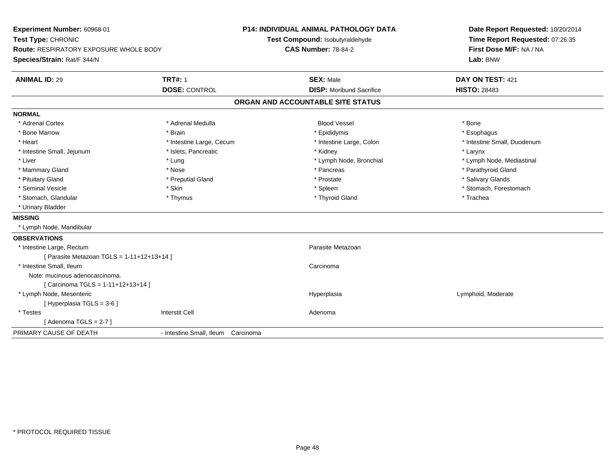**Experiment Number:** 60968-01**Test Type:** CHRONIC **Route:** RESPIRATORY EXPOSURE WHOLE BODY**Species/Strain:** Rat/F 344/N**P14: INDIVIDUAL ANIMAL PATHOLOGY DATATest Compound:** Isobutyraldehyde**CAS Number:** 78-84-2**Date Report Requested:** 10/20/2014**Time Report Requested:** 07:26:35**First Dose M/F:** NA / NA**Lab:** BNW**ANIMAL ID:** 29**TRT#:** 1 **SEX:** Male **DAY ON TEST:** 421 **DOSE:** CONTROL**DISP:** Moribund Sacrifice **HISTO:** 28483 **ORGAN AND ACCOUNTABLE SITE STATUSNORMAL**\* Adrenal Cortex \* Adrenal Medulla \* \* Book \* Blood Vessel \* Book \* Bone \* Bone \* Bone \* Bone \* Bone \* Bone \* Bone \* Bone \* Bone \* Esophagus \* Bone Marrow \* Brain \* Epididymis \* Esophagus \* Intestine Small, Duodenum \* Heart \* Intestine Large, Cecum \* Intestine Large, Cecum \* Intestine Large, Colon \* Intestine Small, Jejunum \* The many reserves the state of the state of the state of the state of the state of the state of the state of the state of the state of the state of the state of the state of the state of the st \* Liver which is the settlement of the settlement of the settlement of the settlement of the settlement of the settlement of the settlement of the settlement of the settlement of the settlement of the settlement of the set \* Mammary Gland \* \* Nose \* \* Nose \* \* Pancreas \* Pancreas \* \* Pancreas \* \* Pancreas \* \* Pancreas \* \* Parathyroid Gland \* Pituitary Gland \* \* Then the state \* Preputial Gland \* Prosection \* Prostate \* \* Salivary Glands \* Salivary Glands \* Salivary Glands \* Salivary Glands \* Salivary Glands \* Salivary Glands \* Salivary Glands \* Salivary Glan \* Seminal Vesicle \* The state of the set of the set of the set of the set of the set of the set of the set of the set of the set of the set of the set of the set of the set of the set of the set of the set of the set of th \* Stomach, Glandular \* Thymus \* Thyroid Gland \* Trachea \* Urinary Bladder**MISSING** \* Lymph Node, Mandibular**OBSERVATIONS** \* Intestine Large, Rectumm<br>
Parasite Metazoan  $[$  Parasite Metazoan TGLS = 1-11+12+13+14 ] \* Intestine Small, Ileumm Carcinoma and Carcinoma and Carcinoma and Carcinoma and Carcinoma and Carcinoma and Carcinoma and Carcinoma <br>The contract of the contract of the contract of the contract of the contract of the contract of the contract of Note: mucinous adenocarcinoma.[ Carcinoma TGLS = 1-11+12+13+14 ] \* Lymph Node, Mesentericc and the contract of the contract of the contract of the contract of the contract of the contract of the contract of the contract of the contract of the contract of the contract of the contract of the contract of the cont Lymphoid, Moderate [ Hyperplasia TGLS = 3-6 ] \* Testess and the contractive contractive contractive contractive contractive contractive contractive contractive contractive contractive contractive contractive contractive contractive contractive contractive contractive contract  $[$  Adenoma TGLS = 2-7  $]$ PRIMARY CAUSE OF DEATH- Intestine Small, Ileum Carcinoma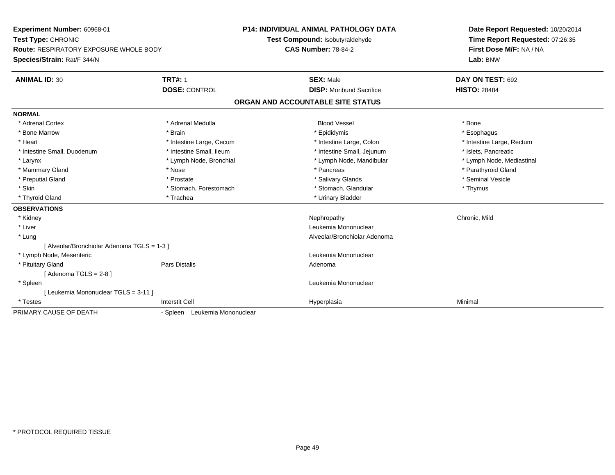**Experiment Number:** 60968-01**Test Type:** CHRONIC **Route:** RESPIRATORY EXPOSURE WHOLE BODY**Species/Strain:** Rat/F 344/N**P14: INDIVIDUAL ANIMAL PATHOLOGY DATATest Compound:** Isobutyraldehyde**CAS Number:** 78-84-2**Date Report Requested:** 10/20/2014**Time Report Requested:** 07:26:35**First Dose M/F:** NA / NA**Lab:** BNW**ANIMAL ID:** 30**TRT#:** 1 **SEX:** Male **DAY ON TEST:** 692 **DOSE:** CONTROL**DISP:** Moribund Sacrifice **HISTO:** 28484 **ORGAN AND ACCOUNTABLE SITE STATUSNORMAL**\* Adrenal Cortex \* Adrenal Medulla \* \* Book \* Blood Vessel \* Book \* Bone \* Bone \* Bone \* Bone \* Bone \* Bone \* Bone \* Bone \* Bone \* Esophagus \* Bone Marrow \* Brain \* Epididymis \* Esophagus \* Intestine Large, Rectum \* Heart \* Intestine Large, Cecum \* Intestine Large, Cecum \* Intestine Large, Colon \* Intestine Small, Duodenum \* Intestine Small, Ileum \* Intestine Small, Intestine Small, Jejunum \* Islets, Pancreatic \* Lymph Node, Mediastinal \* Larynx \* Lymph Node, Bronchial \* Lymph Node, Bronchial \* Lymph Node, Mandibular \* Mammary Gland \* \* Nose \* \* Nose \* \* Pancreas \* Pancreas \* \* Pancreas \* \* Pancreas \* \* Pancreas \* \* Parathyroid Gland \* Preputial Gland \* \* Annual vesicle \* \* Prostate \* \* Salivary Glands \* \* Salivary Glands \* \* Seminal Vesicle \* \* Skin \* Stomach, Forestomach \* Stomach \* Stomach, Glandular \* Thymus \* Thymus \* Thyroid Gland \* Trachea \* Trachea \* Trachea \* Thyroid Gland **OBSERVATIONS** \* Kidneyy the controller of the controller of the controller of the controller of the controller of the chronic, Mild \* Liver Leukemia Mononuclear \* Lung Alveolar/Bronchiolar Adenoma [ Alveolar/Bronchiolar Adenoma TGLS = 1-3 ] \* Lymph Node, Mesenteric Leukemia Mononuclear \* Pituitary Glandd and the contract of Pars Distalis and the contract of Adenoma and Adenoma and the Adenoma and the Adenoma and  $\lambda$  $[$  Adenoma TGLS = 2-8  $]$  \* Spleen Leukemia Mononuclear [ Leukemia Mononuclear TGLS = 3-11 ] \* Testess Interstit Cell Hyperplasia a Minimal PRIMARY CAUSE OF DEATH- Spleen Leukemia Mononuclear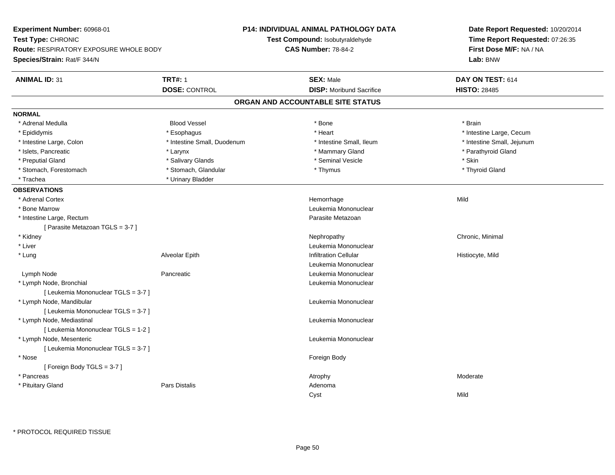| Time Report Requested: 07:26:35<br>Test Compound: Isobutyraldehyde<br><b>CAS Number: 78-84-2</b><br>First Dose M/F: NA / NA<br><b>Route: RESPIRATORY EXPOSURE WHOLE BODY</b><br>Lab: BNW<br><b>TRT#: 1</b><br><b>SEX: Male</b><br><b>ANIMAL ID: 31</b><br>DAY ON TEST: 614<br><b>DOSE: CONTROL</b><br><b>DISP:</b> Moribund Sacrifice<br><b>HISTO: 28485</b><br>ORGAN AND ACCOUNTABLE SITE STATUS<br><b>Blood Vessel</b><br>* Bone<br>* Brain<br>* Adrenal Medulla<br>* Epididymis<br>* Esophagus<br>* Heart<br>* Intestine Large, Cecum<br>* Intestine Small, Duodenum<br>* Intestine Small, Ileum<br>* Intestine Small, Jejunum<br>* Intestine Large, Colon<br>* Islets, Pancreatic<br>* Mammary Gland<br>* Parathyroid Gland<br>* Larynx<br>* Preputial Gland<br>* Salivary Glands<br>* Seminal Vesicle<br>* Skin<br>* Stomach, Glandular<br>* Stomach, Forestomach<br>* Thymus<br>* Thyroid Gland<br>* Urinary Bladder<br>* Trachea<br>* Adrenal Cortex<br>Mild<br>Hemorrhage<br>* Bone Marrow<br>Leukemia Mononuclear<br>* Intestine Large, Rectum<br>Parasite Metazoan<br>[ Parasite Metazoan TGLS = 3-7 ]<br>Chronic, Minimal<br>* Kidney<br>Nephropathy<br>* Liver<br>Leukemia Mononuclear<br>* Lung<br><b>Infiltration Cellular</b><br>Alveolar Epith<br>Histiocyte, Mild<br>Leukemia Mononuclear<br>Lymph Node<br>Pancreatic<br>Leukemia Mononuclear<br>* Lymph Node, Bronchial<br>Leukemia Mononuclear<br>[ Leukemia Mononuclear TGLS = 3-7 ]<br>* Lymph Node, Mandibular<br>Leukemia Mononuclear<br>[ Leukemia Mononuclear TGLS = 3-7 ]<br>* Lymph Node, Mediastinal<br>Leukemia Mononuclear<br>[ Leukemia Mononuclear TGLS = 1-2 ]<br>* Lymph Node, Mesenteric<br>Leukemia Mononuclear<br>[ Leukemia Mononuclear TGLS = 3-7 ]<br>* Nose<br>Foreign Body<br>[Foreign Body TGLS = 3-7]<br>* Pancreas<br>Moderate<br>Atrophy<br>* Pituitary Gland<br>Pars Distalis<br>Adenoma<br>Mild<br>Cyst | Experiment Number: 60968-01 | <b>P14: INDIVIDUAL ANIMAL PATHOLOGY DATA</b> | Date Report Requested: 10/20/2014 |
|---------------------------------------------------------------------------------------------------------------------------------------------------------------------------------------------------------------------------------------------------------------------------------------------------------------------------------------------------------------------------------------------------------------------------------------------------------------------------------------------------------------------------------------------------------------------------------------------------------------------------------------------------------------------------------------------------------------------------------------------------------------------------------------------------------------------------------------------------------------------------------------------------------------------------------------------------------------------------------------------------------------------------------------------------------------------------------------------------------------------------------------------------------------------------------------------------------------------------------------------------------------------------------------------------------------------------------------------------------------------------------------------------------------------------------------------------------------------------------------------------------------------------------------------------------------------------------------------------------------------------------------------------------------------------------------------------------------------------------------------------------------------------------------------------------------------------------------------------------------------------------------------------------|-----------------------------|----------------------------------------------|-----------------------------------|
|                                                                                                                                                                                                                                                                                                                                                                                                                                                                                                                                                                                                                                                                                                                                                                                                                                                                                                                                                                                                                                                                                                                                                                                                                                                                                                                                                                                                                                                                                                                                                                                                                                                                                                                                                                                                                                                                                                         | Test Type: CHRONIC          |                                              |                                   |
|                                                                                                                                                                                                                                                                                                                                                                                                                                                                                                                                                                                                                                                                                                                                                                                                                                                                                                                                                                                                                                                                                                                                                                                                                                                                                                                                                                                                                                                                                                                                                                                                                                                                                                                                                                                                                                                                                                         |                             |                                              |                                   |
|                                                                                                                                                                                                                                                                                                                                                                                                                                                                                                                                                                                                                                                                                                                                                                                                                                                                                                                                                                                                                                                                                                                                                                                                                                                                                                                                                                                                                                                                                                                                                                                                                                                                                                                                                                                                                                                                                                         | Species/Strain: Rat/F 344/N |                                              |                                   |
|                                                                                                                                                                                                                                                                                                                                                                                                                                                                                                                                                                                                                                                                                                                                                                                                                                                                                                                                                                                                                                                                                                                                                                                                                                                                                                                                                                                                                                                                                                                                                                                                                                                                                                                                                                                                                                                                                                         |                             |                                              |                                   |
|                                                                                                                                                                                                                                                                                                                                                                                                                                                                                                                                                                                                                                                                                                                                                                                                                                                                                                                                                                                                                                                                                                                                                                                                                                                                                                                                                                                                                                                                                                                                                                                                                                                                                                                                                                                                                                                                                                         |                             |                                              |                                   |
|                                                                                                                                                                                                                                                                                                                                                                                                                                                                                                                                                                                                                                                                                                                                                                                                                                                                                                                                                                                                                                                                                                                                                                                                                                                                                                                                                                                                                                                                                                                                                                                                                                                                                                                                                                                                                                                                                                         |                             |                                              |                                   |
|                                                                                                                                                                                                                                                                                                                                                                                                                                                                                                                                                                                                                                                                                                                                                                                                                                                                                                                                                                                                                                                                                                                                                                                                                                                                                                                                                                                                                                                                                                                                                                                                                                                                                                                                                                                                                                                                                                         | <b>NORMAL</b>               |                                              |                                   |
|                                                                                                                                                                                                                                                                                                                                                                                                                                                                                                                                                                                                                                                                                                                                                                                                                                                                                                                                                                                                                                                                                                                                                                                                                                                                                                                                                                                                                                                                                                                                                                                                                                                                                                                                                                                                                                                                                                         |                             |                                              |                                   |
|                                                                                                                                                                                                                                                                                                                                                                                                                                                                                                                                                                                                                                                                                                                                                                                                                                                                                                                                                                                                                                                                                                                                                                                                                                                                                                                                                                                                                                                                                                                                                                                                                                                                                                                                                                                                                                                                                                         |                             |                                              |                                   |
|                                                                                                                                                                                                                                                                                                                                                                                                                                                                                                                                                                                                                                                                                                                                                                                                                                                                                                                                                                                                                                                                                                                                                                                                                                                                                                                                                                                                                                                                                                                                                                                                                                                                                                                                                                                                                                                                                                         |                             |                                              |                                   |
|                                                                                                                                                                                                                                                                                                                                                                                                                                                                                                                                                                                                                                                                                                                                                                                                                                                                                                                                                                                                                                                                                                                                                                                                                                                                                                                                                                                                                                                                                                                                                                                                                                                                                                                                                                                                                                                                                                         |                             |                                              |                                   |
|                                                                                                                                                                                                                                                                                                                                                                                                                                                                                                                                                                                                                                                                                                                                                                                                                                                                                                                                                                                                                                                                                                                                                                                                                                                                                                                                                                                                                                                                                                                                                                                                                                                                                                                                                                                                                                                                                                         |                             |                                              |                                   |
|                                                                                                                                                                                                                                                                                                                                                                                                                                                                                                                                                                                                                                                                                                                                                                                                                                                                                                                                                                                                                                                                                                                                                                                                                                                                                                                                                                                                                                                                                                                                                                                                                                                                                                                                                                                                                                                                                                         |                             |                                              |                                   |
|                                                                                                                                                                                                                                                                                                                                                                                                                                                                                                                                                                                                                                                                                                                                                                                                                                                                                                                                                                                                                                                                                                                                                                                                                                                                                                                                                                                                                                                                                                                                                                                                                                                                                                                                                                                                                                                                                                         |                             |                                              |                                   |
|                                                                                                                                                                                                                                                                                                                                                                                                                                                                                                                                                                                                                                                                                                                                                                                                                                                                                                                                                                                                                                                                                                                                                                                                                                                                                                                                                                                                                                                                                                                                                                                                                                                                                                                                                                                                                                                                                                         | <b>OBSERVATIONS</b>         |                                              |                                   |
|                                                                                                                                                                                                                                                                                                                                                                                                                                                                                                                                                                                                                                                                                                                                                                                                                                                                                                                                                                                                                                                                                                                                                                                                                                                                                                                                                                                                                                                                                                                                                                                                                                                                                                                                                                                                                                                                                                         |                             |                                              |                                   |
|                                                                                                                                                                                                                                                                                                                                                                                                                                                                                                                                                                                                                                                                                                                                                                                                                                                                                                                                                                                                                                                                                                                                                                                                                                                                                                                                                                                                                                                                                                                                                                                                                                                                                                                                                                                                                                                                                                         |                             |                                              |                                   |
|                                                                                                                                                                                                                                                                                                                                                                                                                                                                                                                                                                                                                                                                                                                                                                                                                                                                                                                                                                                                                                                                                                                                                                                                                                                                                                                                                                                                                                                                                                                                                                                                                                                                                                                                                                                                                                                                                                         |                             |                                              |                                   |
|                                                                                                                                                                                                                                                                                                                                                                                                                                                                                                                                                                                                                                                                                                                                                                                                                                                                                                                                                                                                                                                                                                                                                                                                                                                                                                                                                                                                                                                                                                                                                                                                                                                                                                                                                                                                                                                                                                         |                             |                                              |                                   |
|                                                                                                                                                                                                                                                                                                                                                                                                                                                                                                                                                                                                                                                                                                                                                                                                                                                                                                                                                                                                                                                                                                                                                                                                                                                                                                                                                                                                                                                                                                                                                                                                                                                                                                                                                                                                                                                                                                         |                             |                                              |                                   |
|                                                                                                                                                                                                                                                                                                                                                                                                                                                                                                                                                                                                                                                                                                                                                                                                                                                                                                                                                                                                                                                                                                                                                                                                                                                                                                                                                                                                                                                                                                                                                                                                                                                                                                                                                                                                                                                                                                         |                             |                                              |                                   |
|                                                                                                                                                                                                                                                                                                                                                                                                                                                                                                                                                                                                                                                                                                                                                                                                                                                                                                                                                                                                                                                                                                                                                                                                                                                                                                                                                                                                                                                                                                                                                                                                                                                                                                                                                                                                                                                                                                         |                             |                                              |                                   |
|                                                                                                                                                                                                                                                                                                                                                                                                                                                                                                                                                                                                                                                                                                                                                                                                                                                                                                                                                                                                                                                                                                                                                                                                                                                                                                                                                                                                                                                                                                                                                                                                                                                                                                                                                                                                                                                                                                         |                             |                                              |                                   |
|                                                                                                                                                                                                                                                                                                                                                                                                                                                                                                                                                                                                                                                                                                                                                                                                                                                                                                                                                                                                                                                                                                                                                                                                                                                                                                                                                                                                                                                                                                                                                                                                                                                                                                                                                                                                                                                                                                         |                             |                                              |                                   |
|                                                                                                                                                                                                                                                                                                                                                                                                                                                                                                                                                                                                                                                                                                                                                                                                                                                                                                                                                                                                                                                                                                                                                                                                                                                                                                                                                                                                                                                                                                                                                                                                                                                                                                                                                                                                                                                                                                         |                             |                                              |                                   |
|                                                                                                                                                                                                                                                                                                                                                                                                                                                                                                                                                                                                                                                                                                                                                                                                                                                                                                                                                                                                                                                                                                                                                                                                                                                                                                                                                                                                                                                                                                                                                                                                                                                                                                                                                                                                                                                                                                         |                             |                                              |                                   |
|                                                                                                                                                                                                                                                                                                                                                                                                                                                                                                                                                                                                                                                                                                                                                                                                                                                                                                                                                                                                                                                                                                                                                                                                                                                                                                                                                                                                                                                                                                                                                                                                                                                                                                                                                                                                                                                                                                         |                             |                                              |                                   |
|                                                                                                                                                                                                                                                                                                                                                                                                                                                                                                                                                                                                                                                                                                                                                                                                                                                                                                                                                                                                                                                                                                                                                                                                                                                                                                                                                                                                                                                                                                                                                                                                                                                                                                                                                                                                                                                                                                         |                             |                                              |                                   |
|                                                                                                                                                                                                                                                                                                                                                                                                                                                                                                                                                                                                                                                                                                                                                                                                                                                                                                                                                                                                                                                                                                                                                                                                                                                                                                                                                                                                                                                                                                                                                                                                                                                                                                                                                                                                                                                                                                         |                             |                                              |                                   |
|                                                                                                                                                                                                                                                                                                                                                                                                                                                                                                                                                                                                                                                                                                                                                                                                                                                                                                                                                                                                                                                                                                                                                                                                                                                                                                                                                                                                                                                                                                                                                                                                                                                                                                                                                                                                                                                                                                         |                             |                                              |                                   |
|                                                                                                                                                                                                                                                                                                                                                                                                                                                                                                                                                                                                                                                                                                                                                                                                                                                                                                                                                                                                                                                                                                                                                                                                                                                                                                                                                                                                                                                                                                                                                                                                                                                                                                                                                                                                                                                                                                         |                             |                                              |                                   |
|                                                                                                                                                                                                                                                                                                                                                                                                                                                                                                                                                                                                                                                                                                                                                                                                                                                                                                                                                                                                                                                                                                                                                                                                                                                                                                                                                                                                                                                                                                                                                                                                                                                                                                                                                                                                                                                                                                         |                             |                                              |                                   |
|                                                                                                                                                                                                                                                                                                                                                                                                                                                                                                                                                                                                                                                                                                                                                                                                                                                                                                                                                                                                                                                                                                                                                                                                                                                                                                                                                                                                                                                                                                                                                                                                                                                                                                                                                                                                                                                                                                         |                             |                                              |                                   |
|                                                                                                                                                                                                                                                                                                                                                                                                                                                                                                                                                                                                                                                                                                                                                                                                                                                                                                                                                                                                                                                                                                                                                                                                                                                                                                                                                                                                                                                                                                                                                                                                                                                                                                                                                                                                                                                                                                         |                             |                                              |                                   |
|                                                                                                                                                                                                                                                                                                                                                                                                                                                                                                                                                                                                                                                                                                                                                                                                                                                                                                                                                                                                                                                                                                                                                                                                                                                                                                                                                                                                                                                                                                                                                                                                                                                                                                                                                                                                                                                                                                         |                             |                                              |                                   |
|                                                                                                                                                                                                                                                                                                                                                                                                                                                                                                                                                                                                                                                                                                                                                                                                                                                                                                                                                                                                                                                                                                                                                                                                                                                                                                                                                                                                                                                                                                                                                                                                                                                                                                                                                                                                                                                                                                         |                             |                                              |                                   |
|                                                                                                                                                                                                                                                                                                                                                                                                                                                                                                                                                                                                                                                                                                                                                                                                                                                                                                                                                                                                                                                                                                                                                                                                                                                                                                                                                                                                                                                                                                                                                                                                                                                                                                                                                                                                                                                                                                         |                             |                                              |                                   |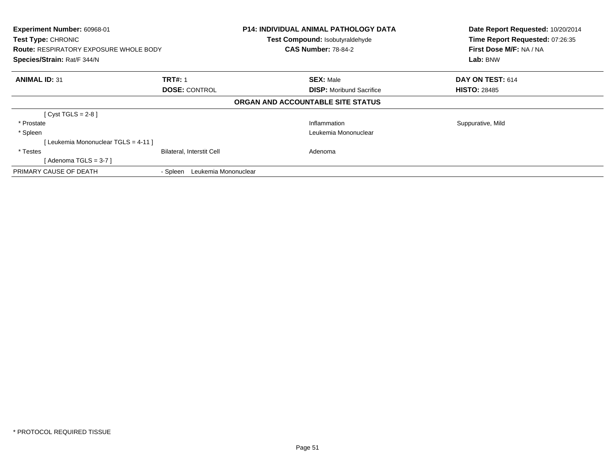| Experiment Number: 60968-01<br>Test Type: CHRONIC<br><b>Route: RESPIRATORY EXPOSURE WHOLE BODY</b><br>Species/Strain: Rat/F 344/N |                                  | <b>P14: INDIVIDUAL ANIMAL PATHOLOGY DATA</b><br>Test Compound: Isobutyraldehyde<br><b>CAS Number: 78-84-2</b> | Date Report Requested: 10/20/2014<br>Time Report Requested: 07:26:35<br>First Dose M/F: NA / NA<br>Lab: BNW |
|-----------------------------------------------------------------------------------------------------------------------------------|----------------------------------|---------------------------------------------------------------------------------------------------------------|-------------------------------------------------------------------------------------------------------------|
| <b>ANIMAL ID: 31</b>                                                                                                              | <b>TRT#: 1</b>                   | <b>SEX: Male</b>                                                                                              | DAY ON TEST: 614                                                                                            |
|                                                                                                                                   | <b>DOSE: CONTROL</b>             | <b>DISP:</b> Moribund Sacrifice                                                                               | <b>HISTO: 28485</b>                                                                                         |
|                                                                                                                                   |                                  | ORGAN AND ACCOUNTABLE SITE STATUS                                                                             |                                                                                                             |
| [Cyst TGLS = $2-8$ ]                                                                                                              |                                  |                                                                                                               |                                                                                                             |
| * Prostate                                                                                                                        |                                  | Inflammation                                                                                                  | Suppurative, Mild                                                                                           |
| * Spleen                                                                                                                          |                                  | Leukemia Mononuclear                                                                                          |                                                                                                             |
| [ Leukemia Mononuclear TGLS = 4-11 ]                                                                                              |                                  |                                                                                                               |                                                                                                             |
| * Testes                                                                                                                          | <b>Bilateral, Interstit Cell</b> | Adenoma                                                                                                       |                                                                                                             |
| [Adenoma TGLS = $3-7$ ]                                                                                                           |                                  |                                                                                                               |                                                                                                             |
| PRIMARY CAUSE OF DEATH                                                                                                            | Leukemia Mononuclear<br>- Spleen |                                                                                                               |                                                                                                             |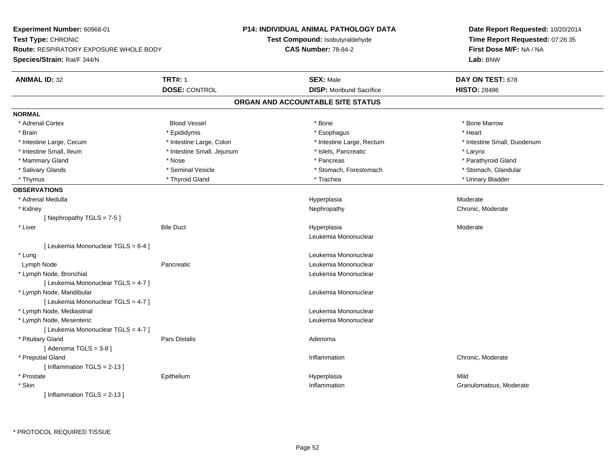| Experiment Number: 60968-01                   | P14: INDIVIDUAL ANIMAL PATHOLOGY DATA |                                   | Date Report Requested: 10/20/2014                          |  |
|-----------------------------------------------|---------------------------------------|-----------------------------------|------------------------------------------------------------|--|
| Test Type: CHRONIC                            |                                       | Test Compound: Isobutyraldehyde   | Time Report Requested: 07:26:35<br>First Dose M/F: NA / NA |  |
| <b>Route: RESPIRATORY EXPOSURE WHOLE BODY</b> |                                       | <b>CAS Number: 78-84-2</b>        |                                                            |  |
| Species/Strain: Rat/F 344/N                   |                                       |                                   | Lab: BNW                                                   |  |
| <b>ANIMAL ID: 32</b>                          | <b>TRT#: 1</b>                        | <b>SEX: Male</b>                  | DAY ON TEST: 678                                           |  |
|                                               | <b>DOSE: CONTROL</b>                  | <b>DISP:</b> Moribund Sacrifice   | <b>HISTO: 28486</b>                                        |  |
|                                               |                                       | ORGAN AND ACCOUNTABLE SITE STATUS |                                                            |  |
| <b>NORMAL</b>                                 |                                       |                                   |                                                            |  |
| * Adrenal Cortex                              | <b>Blood Vessel</b>                   | * Bone                            | * Bone Marrow                                              |  |
| * Brain                                       | * Epididymis                          | * Esophagus                       | * Heart                                                    |  |
| * Intestine Large, Cecum                      | * Intestine Large, Colon              | * Intestine Large, Rectum         | * Intestine Small, Duodenum                                |  |
| * Intestine Small, Ileum                      | * Intestine Small, Jejunum            | * Islets, Pancreatic              | * Larynx                                                   |  |
| * Mammary Gland                               | * Nose                                | * Pancreas                        | * Parathyroid Gland                                        |  |
| * Salivary Glands                             | * Seminal Vesicle                     | * Stomach, Forestomach            | * Stomach, Glandular                                       |  |
| * Thymus                                      | * Thyroid Gland                       | * Trachea                         | * Urinary Bladder                                          |  |
| <b>OBSERVATIONS</b>                           |                                       |                                   |                                                            |  |
| * Adrenal Medulla                             |                                       | Hyperplasia                       | Moderate                                                   |  |
| * Kidney                                      |                                       | Nephropathy                       | Chronic, Moderate                                          |  |
| [Nephropathy TGLS = 7-5]                      |                                       |                                   |                                                            |  |
| * Liver                                       | <b>Bile Duct</b>                      | Hyperplasia                       | Moderate                                                   |  |
|                                               |                                       | Leukemia Mononuclear              |                                                            |  |
| [ Leukemia Mononuclear TGLS = 6-4 ]           |                                       |                                   |                                                            |  |
| * Lung                                        |                                       | Leukemia Mononuclear              |                                                            |  |
| Lymph Node                                    | Pancreatic                            | Leukemia Mononuclear              |                                                            |  |
| * Lymph Node, Bronchial                       |                                       | Leukemia Mononuclear              |                                                            |  |
| [ Leukemia Mononuclear TGLS = 4-7 ]           |                                       |                                   |                                                            |  |
| * Lymph Node, Mandibular                      |                                       | Leukemia Mononuclear              |                                                            |  |
| [ Leukemia Mononuclear TGLS = 4-7 ]           |                                       |                                   |                                                            |  |
| * Lymph Node, Mediastinal                     |                                       | Leukemia Mononuclear              |                                                            |  |
| * Lymph Node, Mesenteric                      |                                       | Leukemia Mononuclear              |                                                            |  |
| [ Leukemia Mononuclear TGLS = 4-7 ]           |                                       |                                   |                                                            |  |
| * Pituitary Gland                             | <b>Pars Distalis</b>                  | Adenoma                           |                                                            |  |
| [Adenoma TGLS = $3-8$ ]                       |                                       |                                   |                                                            |  |
| * Preputial Gland                             |                                       | Inflammation                      | Chronic, Moderate                                          |  |
| [Inflammation $TGLS = 2-13$ ]                 |                                       |                                   |                                                            |  |
| * Prostate                                    | Epithelium                            | Hyperplasia                       | Mild                                                       |  |
| * Skin                                        |                                       | Inflammation                      | Granulomatous, Moderate                                    |  |
| [Inflammation TGLS = $2-13$ ]                 |                                       |                                   |                                                            |  |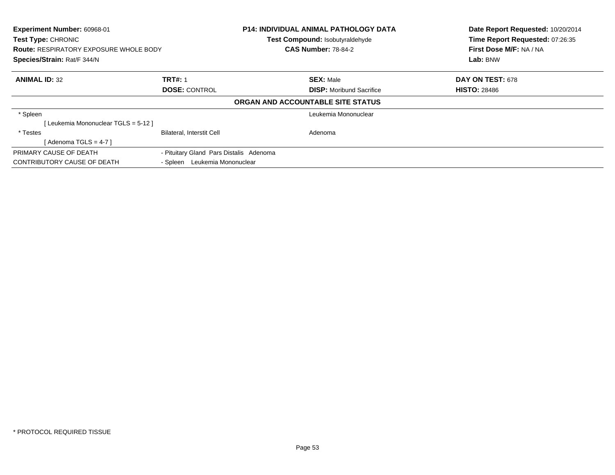| Experiment Number: 60968-01<br><b>Test Type: CHRONIC</b><br><b>Route: RESPIRATORY EXPOSURE WHOLE BODY</b><br>Species/Strain: Rat/F 344/N |                                         | <b>P14: INDIVIDUAL ANIMAL PATHOLOGY DATA</b><br>Test Compound: Isobutyraldehyde<br><b>CAS Number: 78-84-2</b> | Date Report Requested: 10/20/2014<br>Time Report Requested: 07:26:35<br>First Dose M/F: NA / NA<br>Lab: BNW |
|------------------------------------------------------------------------------------------------------------------------------------------|-----------------------------------------|---------------------------------------------------------------------------------------------------------------|-------------------------------------------------------------------------------------------------------------|
| <b>ANIMAL ID: 32</b>                                                                                                                     | <b>TRT#: 1</b>                          | <b>SEX: Male</b>                                                                                              | DAY ON TEST: 678                                                                                            |
|                                                                                                                                          | <b>DOSE: CONTROL</b>                    | <b>DISP:</b> Moribund Sacrifice                                                                               | <b>HISTO: 28486</b>                                                                                         |
|                                                                                                                                          |                                         | ORGAN AND ACCOUNTABLE SITE STATUS                                                                             |                                                                                                             |
| * Spleen                                                                                                                                 |                                         | Leukemia Mononuclear                                                                                          |                                                                                                             |
| [Leukemia Mononuclear TGLS = 5-12]                                                                                                       |                                         |                                                                                                               |                                                                                                             |
| * Testes                                                                                                                                 | <b>Bilateral, Interstit Cell</b>        | Adenoma                                                                                                       |                                                                                                             |
| [Adenoma TGLS = $4-7$ ]                                                                                                                  |                                         |                                                                                                               |                                                                                                             |
| PRIMARY CAUSE OF DEATH                                                                                                                   | - Pituitary Gland Pars Distalis Adenoma |                                                                                                               |                                                                                                             |
| CONTRIBUTORY CAUSE OF DEATH                                                                                                              | - Spleen Leukemia Mononuclear           |                                                                                                               |                                                                                                             |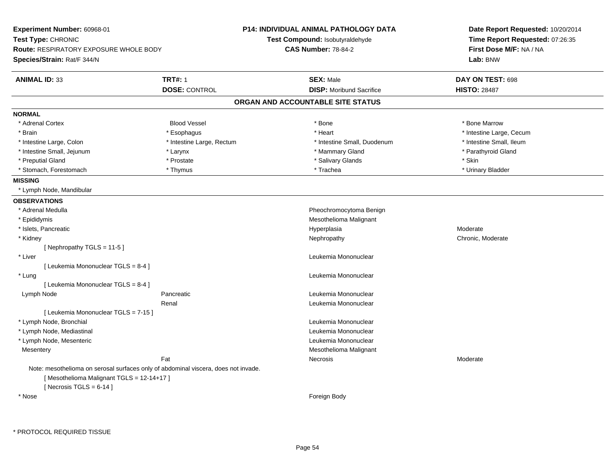| Experiment Number: 60968-01                                                                                                    |                           | <b>P14: INDIVIDUAL ANIMAL PATHOLOGY DATA</b> | Date Report Requested: 10/20/2014 |
|--------------------------------------------------------------------------------------------------------------------------------|---------------------------|----------------------------------------------|-----------------------------------|
| Test Type: CHRONIC                                                                                                             |                           | Test Compound: Isobutyraldehyde              | Time Report Requested: 07:26:35   |
| <b>Route: RESPIRATORY EXPOSURE WHOLE BODY</b>                                                                                  |                           | <b>CAS Number: 78-84-2</b>                   | First Dose M/F: NA / NA           |
| Species/Strain: Rat/F 344/N                                                                                                    |                           |                                              | Lab: BNW                          |
| <b>ANIMAL ID: 33</b>                                                                                                           | <b>TRT#: 1</b>            | <b>SEX: Male</b>                             | DAY ON TEST: 698                  |
|                                                                                                                                | <b>DOSE: CONTROL</b>      | <b>DISP:</b> Moribund Sacrifice              | <b>HISTO: 28487</b>               |
|                                                                                                                                |                           | ORGAN AND ACCOUNTABLE SITE STATUS            |                                   |
| <b>NORMAL</b>                                                                                                                  |                           |                                              |                                   |
| * Adrenal Cortex                                                                                                               | <b>Blood Vessel</b>       | * Bone                                       | * Bone Marrow                     |
| * Brain                                                                                                                        | * Esophagus               | * Heart                                      | * Intestine Large, Cecum          |
| * Intestine Large, Colon                                                                                                       | * Intestine Large, Rectum | * Intestine Small, Duodenum                  | * Intestine Small, Ileum          |
| * Intestine Small, Jejunum                                                                                                     | * Larynx                  | * Mammary Gland                              | * Parathyroid Gland               |
| * Preputial Gland                                                                                                              | * Prostate                | * Salivary Glands                            | * Skin                            |
| * Stomach, Forestomach                                                                                                         | * Thymus                  | * Trachea                                    | * Urinary Bladder                 |
| <b>MISSING</b>                                                                                                                 |                           |                                              |                                   |
| * Lymph Node, Mandibular                                                                                                       |                           |                                              |                                   |
| <b>OBSERVATIONS</b>                                                                                                            |                           |                                              |                                   |
| * Adrenal Medulla                                                                                                              |                           | Pheochromocytoma Benign                      |                                   |
| * Epididymis                                                                                                                   |                           | Mesothelioma Malignant                       |                                   |
| * Islets, Pancreatic                                                                                                           |                           | Hyperplasia                                  | Moderate                          |
| * Kidney                                                                                                                       |                           | Nephropathy                                  | Chronic, Moderate                 |
| [Nephropathy TGLS = 11-5]                                                                                                      |                           |                                              |                                   |
| * Liver                                                                                                                        |                           | Leukemia Mononuclear                         |                                   |
| [ Leukemia Mononuclear TGLS = 8-4 ]                                                                                            |                           |                                              |                                   |
| * Lung                                                                                                                         |                           | Leukemia Mononuclear                         |                                   |
| [ Leukemia Mononuclear TGLS = 8-4 ]                                                                                            |                           |                                              |                                   |
| Lymph Node                                                                                                                     | Pancreatic                | Leukemia Mononuclear                         |                                   |
|                                                                                                                                | Renal                     | Leukemia Mononuclear                         |                                   |
| [ Leukemia Mononuclear TGLS = 7-15 ]                                                                                           |                           |                                              |                                   |
| * Lymph Node, Bronchial                                                                                                        |                           | Leukemia Mononuclear                         |                                   |
| * Lymph Node, Mediastinal                                                                                                      |                           | Leukemia Mononuclear                         |                                   |
| * Lymph Node, Mesenteric                                                                                                       |                           | Leukemia Mononuclear                         |                                   |
| Mesentery                                                                                                                      |                           | Mesothelioma Malignant                       |                                   |
|                                                                                                                                | Fat                       | Necrosis                                     | Moderate                          |
| Note: mesothelioma on serosal surfaces only of abdominal viscera, does not invade.<br>[Mesothelioma Malignant TGLS = 12-14+17] |                           |                                              |                                   |
| [Necrosis TGLS = $6-14$ ]                                                                                                      |                           |                                              |                                   |
| * Nose                                                                                                                         |                           | Foreign Body                                 |                                   |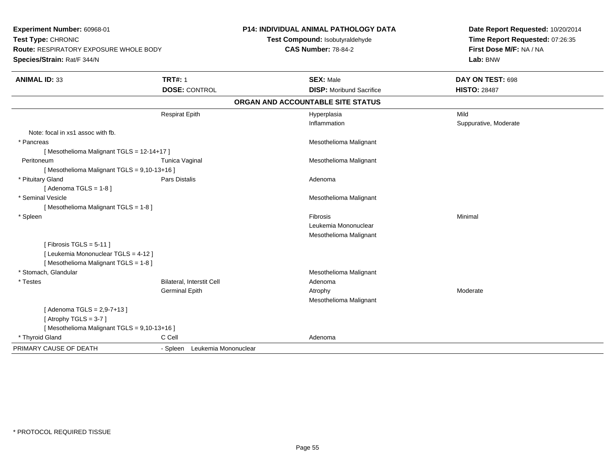| Experiment Number: 60968-01<br>Test Type: CHRONIC<br><b>Route: RESPIRATORY EXPOSURE WHOLE BODY</b><br>Species/Strain: Rat/F 344/N |                                  | <b>P14: INDIVIDUAL ANIMAL PATHOLOGY DATA</b><br>Test Compound: Isobutyraldehyde<br><b>CAS Number: 78-84-2</b> | Date Report Requested: 10/20/2014<br>Time Report Requested: 07:26:35<br>First Dose M/F: NA / NA<br>Lab: BNW |
|-----------------------------------------------------------------------------------------------------------------------------------|----------------------------------|---------------------------------------------------------------------------------------------------------------|-------------------------------------------------------------------------------------------------------------|
| <b>ANIMAL ID: 33</b>                                                                                                              | <b>TRT#: 1</b>                   | <b>SEX: Male</b>                                                                                              | DAY ON TEST: 698                                                                                            |
|                                                                                                                                   | <b>DOSE: CONTROL</b>             | <b>DISP:</b> Moribund Sacrifice                                                                               | <b>HISTO: 28487</b>                                                                                         |
|                                                                                                                                   |                                  | ORGAN AND ACCOUNTABLE SITE STATUS                                                                             |                                                                                                             |
|                                                                                                                                   | <b>Respirat Epith</b>            | Hyperplasia                                                                                                   | Mild                                                                                                        |
|                                                                                                                                   |                                  | Inflammation                                                                                                  | Suppurative, Moderate                                                                                       |
| Note: focal in xs1 assoc with fb.                                                                                                 |                                  |                                                                                                               |                                                                                                             |
| * Pancreas                                                                                                                        |                                  | Mesothelioma Malignant                                                                                        |                                                                                                             |
| [Mesothelioma Malignant TGLS = 12-14+17]                                                                                          |                                  |                                                                                                               |                                                                                                             |
| Peritoneum                                                                                                                        | Tunica Vaginal                   | Mesothelioma Malignant                                                                                        |                                                                                                             |
| [Mesothelioma Malignant TGLS = 9,10-13+16]                                                                                        |                                  |                                                                                                               |                                                                                                             |
| * Pituitary Gland                                                                                                                 | <b>Pars Distalis</b>             | Adenoma                                                                                                       |                                                                                                             |
| [Adenoma TGLS = $1-8$ ]                                                                                                           |                                  |                                                                                                               |                                                                                                             |
| * Seminal Vesicle                                                                                                                 |                                  | Mesothelioma Malignant                                                                                        |                                                                                                             |
| [Mesothelioma Malignant TGLS = 1-8]                                                                                               |                                  |                                                                                                               |                                                                                                             |
| * Spleen                                                                                                                          |                                  | Fibrosis                                                                                                      | Minimal                                                                                                     |
|                                                                                                                                   |                                  | Leukemia Mononuclear                                                                                          |                                                                                                             |
|                                                                                                                                   |                                  | Mesothelioma Malignant                                                                                        |                                                                                                             |
| [Fibrosis TGLS = $5-11$ ]                                                                                                         |                                  |                                                                                                               |                                                                                                             |
| [ Leukemia Mononuclear TGLS = 4-12 ]                                                                                              |                                  |                                                                                                               |                                                                                                             |
| [Mesothelioma Malignant TGLS = 1-8]                                                                                               |                                  |                                                                                                               |                                                                                                             |
| * Stomach, Glandular                                                                                                              |                                  | Mesothelioma Malignant                                                                                        |                                                                                                             |
| * Testes                                                                                                                          | <b>Bilateral, Interstit Cell</b> | Adenoma                                                                                                       |                                                                                                             |
|                                                                                                                                   | <b>Germinal Epith</b>            | Atrophy                                                                                                       | Moderate                                                                                                    |
|                                                                                                                                   |                                  | Mesothelioma Malignant                                                                                        |                                                                                                             |
| [Adenoma TGLS = $2,9-7+13$ ]                                                                                                      |                                  |                                                                                                               |                                                                                                             |
| [Atrophy TGLS = $3-7$ ]                                                                                                           |                                  |                                                                                                               |                                                                                                             |
| [Mesothelioma Malignant TGLS = 9,10-13+16]                                                                                        |                                  |                                                                                                               |                                                                                                             |
| * Thyroid Gland                                                                                                                   | C Cell                           | Adenoma                                                                                                       |                                                                                                             |
| PRIMARY CAUSE OF DEATH                                                                                                            | Leukemia Mononuclear<br>- Spleen |                                                                                                               |                                                                                                             |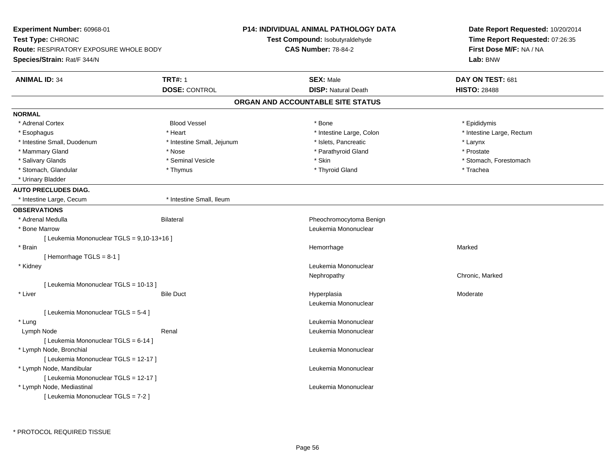| Experiment Number: 60968-01<br>Test Type: CHRONIC<br><b>Route: RESPIRATORY EXPOSURE WHOLE BODY</b> |                                        | <b>P14: INDIVIDUAL ANIMAL PATHOLOGY DATA</b><br>Test Compound: Isobutyraldehyde<br><b>CAS Number: 78-84-2</b> | Date Report Requested: 10/20/2014<br>Time Report Requested: 07:26:35<br>First Dose M/F: NA / NA |  |
|----------------------------------------------------------------------------------------------------|----------------------------------------|---------------------------------------------------------------------------------------------------------------|-------------------------------------------------------------------------------------------------|--|
| Species/Strain: Rat/F 344/N                                                                        |                                        |                                                                                                               | Lab: BNW                                                                                        |  |
| <b>ANIMAL ID: 34</b>                                                                               | <b>TRT#: 1</b><br><b>DOSE: CONTROL</b> | <b>SEX: Male</b><br><b>DISP: Natural Death</b>                                                                | DAY ON TEST: 681<br><b>HISTO: 28488</b>                                                         |  |
|                                                                                                    |                                        | ORGAN AND ACCOUNTABLE SITE STATUS                                                                             |                                                                                                 |  |
| <b>NORMAL</b>                                                                                      |                                        |                                                                                                               |                                                                                                 |  |
| * Adrenal Cortex                                                                                   | <b>Blood Vessel</b>                    | * Bone                                                                                                        | * Epididymis                                                                                    |  |
| * Esophagus                                                                                        | * Heart                                | * Intestine Large, Colon                                                                                      | * Intestine Large, Rectum                                                                       |  |
| * Intestine Small, Duodenum                                                                        | * Intestine Small, Jejunum             | * Islets, Pancreatic                                                                                          | * Larynx                                                                                        |  |
| * Mammary Gland                                                                                    | * Nose                                 | * Parathyroid Gland                                                                                           | * Prostate                                                                                      |  |
| * Salivary Glands                                                                                  | * Seminal Vesicle                      | * Skin                                                                                                        | * Stomach, Forestomach                                                                          |  |
| * Stomach, Glandular                                                                               | * Thymus                               | * Thyroid Gland                                                                                               | * Trachea                                                                                       |  |
| * Urinary Bladder                                                                                  |                                        |                                                                                                               |                                                                                                 |  |
| <b>AUTO PRECLUDES DIAG.</b>                                                                        |                                        |                                                                                                               |                                                                                                 |  |
| * Intestine Large, Cecum                                                                           | * Intestine Small, Ileum               |                                                                                                               |                                                                                                 |  |
| <b>OBSERVATIONS</b>                                                                                |                                        |                                                                                                               |                                                                                                 |  |
| * Adrenal Medulla                                                                                  | <b>Bilateral</b>                       | Pheochromocytoma Benign                                                                                       |                                                                                                 |  |
| * Bone Marrow                                                                                      |                                        | Leukemia Mononuclear                                                                                          |                                                                                                 |  |
| [ Leukemia Mononuclear TGLS = 9,10-13+16 ]                                                         |                                        |                                                                                                               |                                                                                                 |  |
| * Brain                                                                                            |                                        | Hemorrhage                                                                                                    | Marked                                                                                          |  |
| [Hemorrhage TGLS = 8-1]                                                                            |                                        |                                                                                                               |                                                                                                 |  |
| * Kidney                                                                                           |                                        | Leukemia Mononuclear                                                                                          |                                                                                                 |  |
|                                                                                                    |                                        | Nephropathy                                                                                                   | Chronic, Marked                                                                                 |  |
| [ Leukemia Mononuclear TGLS = 10-13 ]                                                              |                                        |                                                                                                               |                                                                                                 |  |
| * Liver                                                                                            | <b>Bile Duct</b>                       | Hyperplasia                                                                                                   | Moderate                                                                                        |  |
|                                                                                                    |                                        | Leukemia Mononuclear                                                                                          |                                                                                                 |  |
| [ Leukemia Mononuclear TGLS = 5-4 ]                                                                |                                        |                                                                                                               |                                                                                                 |  |
| * Lung                                                                                             |                                        | Leukemia Mononuclear                                                                                          |                                                                                                 |  |
| Lymph Node                                                                                         | Renal                                  | Leukemia Mononuclear                                                                                          |                                                                                                 |  |
| [ Leukemia Mononuclear TGLS = 6-14 ]                                                               |                                        |                                                                                                               |                                                                                                 |  |
| * Lymph Node, Bronchial                                                                            |                                        | Leukemia Mononuclear                                                                                          |                                                                                                 |  |
| [ Leukemia Mononuclear TGLS = 12-17 ]                                                              |                                        |                                                                                                               |                                                                                                 |  |
| * Lymph Node, Mandibular                                                                           |                                        | Leukemia Mononuclear                                                                                          |                                                                                                 |  |
| [ Leukemia Mononuclear TGLS = 12-17 ]                                                              |                                        |                                                                                                               |                                                                                                 |  |
| * Lymph Node, Mediastinal                                                                          |                                        | Leukemia Mononuclear                                                                                          |                                                                                                 |  |
| [ Leukemia Mononuclear TGLS = 7-2 ]                                                                |                                        |                                                                                                               |                                                                                                 |  |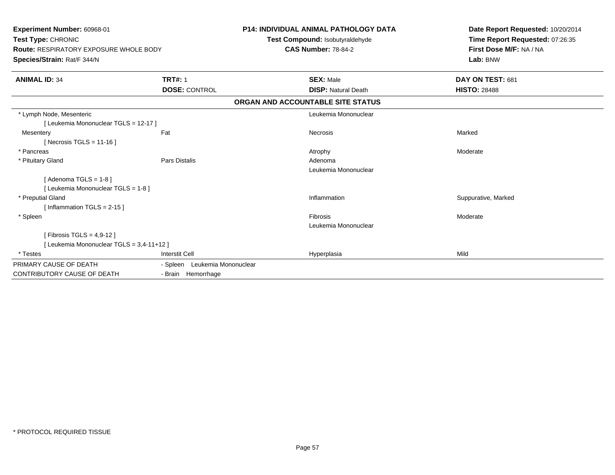| <b>Experiment Number: 60968-01</b><br>Test Type: CHRONIC<br><b>Route: RESPIRATORY EXPOSURE WHOLE BODY</b><br>Species/Strain: Rat/F 344/N |                               | <b>P14: INDIVIDUAL ANIMAL PATHOLOGY DATA</b><br>Test Compound: Isobutyraldehyde<br><b>CAS Number: 78-84-2</b> | Date Report Requested: 10/20/2014<br>Time Report Requested: 07:26:35<br>First Dose M/F: NA / NA<br>Lab: BNW |
|------------------------------------------------------------------------------------------------------------------------------------------|-------------------------------|---------------------------------------------------------------------------------------------------------------|-------------------------------------------------------------------------------------------------------------|
| <b>ANIMAL ID: 34</b>                                                                                                                     | <b>TRT#: 1</b>                | <b>SEX: Male</b>                                                                                              | DAY ON TEST: 681                                                                                            |
|                                                                                                                                          | <b>DOSE: CONTROL</b>          | <b>DISP: Natural Death</b>                                                                                    | <b>HISTO: 28488</b>                                                                                         |
|                                                                                                                                          |                               | ORGAN AND ACCOUNTABLE SITE STATUS                                                                             |                                                                                                             |
| * Lymph Node, Mesenteric                                                                                                                 |                               | Leukemia Mononuclear                                                                                          |                                                                                                             |
| [ Leukemia Mononuclear TGLS = 12-17 ]                                                                                                    |                               |                                                                                                               |                                                                                                             |
| Mesentery                                                                                                                                | Fat                           | Necrosis                                                                                                      | Marked                                                                                                      |
| [Necrosis TGLS = $11-16$ ]                                                                                                               |                               |                                                                                                               |                                                                                                             |
| * Pancreas                                                                                                                               |                               | Atrophy                                                                                                       | Moderate                                                                                                    |
| * Pituitary Gland                                                                                                                        | Pars Distalis                 | Adenoma                                                                                                       |                                                                                                             |
|                                                                                                                                          |                               | Leukemia Mononuclear                                                                                          |                                                                                                             |
| [Adenoma TGLS = $1-8$ ]                                                                                                                  |                               |                                                                                                               |                                                                                                             |
| [ Leukemia Mononuclear TGLS = 1-8]                                                                                                       |                               |                                                                                                               |                                                                                                             |
| * Preputial Gland                                                                                                                        |                               | Inflammation                                                                                                  | Suppurative, Marked                                                                                         |
| [Inflammation TGLS = $2-15$ ]                                                                                                            |                               |                                                                                                               |                                                                                                             |
| * Spleen                                                                                                                                 |                               | Fibrosis                                                                                                      | Moderate                                                                                                    |
|                                                                                                                                          |                               | Leukemia Mononuclear                                                                                          |                                                                                                             |
| [Fibrosis TGLS = $4,9-12$ ]                                                                                                              |                               |                                                                                                               |                                                                                                             |
| [ Leukemia Mononuclear TGLS = 3,4-11+12 ]                                                                                                |                               |                                                                                                               |                                                                                                             |
| * Testes                                                                                                                                 | <b>Interstit Cell</b>         | Hyperplasia                                                                                                   | Mild                                                                                                        |
| PRIMARY CAUSE OF DEATH                                                                                                                   | - Spleen Leukemia Mononuclear |                                                                                                               |                                                                                                             |
| <b>CONTRIBUTORY CAUSE OF DEATH</b>                                                                                                       | - Brain Hemorrhage            |                                                                                                               |                                                                                                             |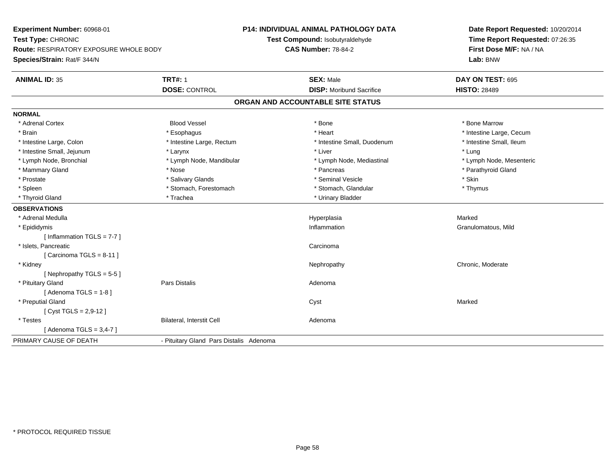**Experiment Number:** 60968-01**Test Type:** CHRONIC **Route:** RESPIRATORY EXPOSURE WHOLE BODY**Species/Strain:** Rat/F 344/N**P14: INDIVIDUAL ANIMAL PATHOLOGY DATATest Compound:** Isobutyraldehyde**CAS Number:** 78-84-2**Date Report Requested:** 10/20/2014**Time Report Requested:** 07:26:35**First Dose M/F:** NA / NA**Lab:** BNW**ANIMAL ID:** 35**TRT#:** 1 **SEX:** Male **DAY ON TEST:** 695 **DOSE:** CONTROL**DISP:** Moribund Sacrifice **HISTO:** 28489 **ORGAN AND ACCOUNTABLE SITE STATUSNORMAL**\* Adrenal Cortex \* Adrenal Cortex \* Attack the state of the state of the Blood Vessel the state of the state of the state of the Marrow \* Bone Marrow \* Bone Marrow \* Bone Marrow \* Bone Marrow \* Bone Marrow \* Bone Marrow \* Bone Marrow \* Bon \* Brain \* Alternative \* Esophagus \* \* Esophagus \* \* Heart \* Heart \* Intestine Large, Cecum \* Intestine Large, Cecum \* Intestine Large, Cecum \* Large \* Intestine Large \* Large \* Large \* Large \* Large \* Large \* Large \* Large \* Intestine Small. Ileum \* Intestine Large, Colon \* Intestine Large, Rectum \* Intestine Small, Duodenum \* Intestine Small, Duodenum \* Intestine Small, Jejunum \* Larynx \* Larynx \* Larynx \* Liver \* Liver \* Liver \* Liver \* Lung \* Lymph Node, Mesenteric \* Lymph Node, Bronchial \* Lymph Node, Mandibular \* Lymph Node, Mediastinal \* Lymph Node, Mediastinal \* Mammary Gland \* \* Nose \* \* Nose \* \* Pancreas \* Pancreas \* \* Pancreas \* \* Pancreas \* \* Pancreas \* \* Parathyroid Gland \* Prostate \* \* Salivary Glands \* \* Salivary Glands \* \* Seminal Vesicle \* \* \* Seminal Yestrich \* \* Skin \* \* Skin \* Thymus \* Spleen \* Stomach, Forestomach \* Stomach, Forestomach \* Stomach, Glandular \* Stomach, Glandular \* Thyroid Gland \* Trachea \* Trachea \* Trachea \* Thyroid Gland **OBSERVATIONS** \* Adrenal Medullaa and the state of the state of the state of the state of the Hyperplasia and the Marked Marked of the State o \* Epididymiss and the contract of the contract of the contract of the contract of the contract of the contract of the contract of the contract of the contract of the contract of the contract of the contract of the contract of the cont Inflammation **Granulomatous**, Mild [ Inflammation TGLS = 7-7 ] \* Islets, Pancreaticc contract the contract of the contract of the contract of the contract of the contract of the contract of the contract of the contract of the contract of the contract of the contract of the contract of the contract of the  $[$  Carcinoma TGLS = 8-11  $]$  \* Kidneyy the chronic, Moderate and September 2012 of the Chronic Moderate and September 2013 of the Chronic, Moderate [ Nephropathy TGLS = 5-5 ] \* Pituitary Glandd and the contract of Pars Distalis and the contract of Adenoma and Adenoma and the Adenoma and the Adenoma and  $\lambda$  $[$  Adenoma TGLS = 1-8  $]$  \* Preputial Glandd and the control of the control of the control of the control of the control of the control of the control of the control of the control of the control of the control of the control of the control of the control of the co [ Cyst TGLS = 2,9-12 ] \* TestesBilateral, Interstit Cell **Adenoma** [ Adenoma TGLS = 3,4-7 ]PRIMARY CAUSE OF DEATH- Pituitary Gland Pars Distalis Adenoma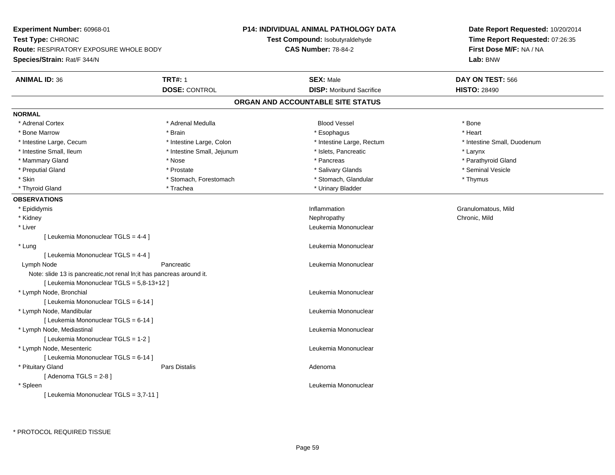**Experiment Number:** 60968-01**Test Type:** CHRONIC **Route:** RESPIRATORY EXPOSURE WHOLE BODY**Species/Strain:** Rat/F 344/N**P14: INDIVIDUAL ANIMAL PATHOLOGY DATATest Compound:** Isobutyraldehyde**CAS Number:** 78-84-2**Date Report Requested:** 10/20/2014**Time Report Requested:** 07:26:35**First Dose M/F:** NA / NA**Lab:** BNW**ANIMAL ID:** 36**TRT#:** 1 **SEX:** Male **DAY ON TEST:** 566 **DOSE:** CONTROL**DISP:** Moribund Sacrifice **HISTO:** 28490 **ORGAN AND ACCOUNTABLE SITE STATUSNORMAL**\* Adrenal Cortex \* Adrenal Cortex \* Adrenal Medulla Blood Vessel \* Bone\* Heart \* Bone Marrow \* Brain \* Esophagus \* Heart \* Intestine Large, Cecum \* Intestine Large, Colon \* Intestine Large, Rectum \* Intestine Small, Duodenum \* Intestine Small, Ileum \* Intestine Small, Jejunum \* Islets, Pancreatic \* Larynx\* Parathyroid Gland \* Mammary Gland \* \* Nose \* \* Nose \* \* Pancreas \* Pancreas \* \* Pancreas \* \* Pancreas \* \* Pancreas \* \* Parathyroid Gland \* Preputial Gland \* \* Annual vesicle \* \* Prostate \* \* Salivary Glands \* \* Salivary Glands \* \* Seminal Vesicle \* \* Skin \* Stomach, Forestomach \* Stomach \* Stomach, Glandular \* Thymus \* Thymus \* Thyroid Gland \* Trachea \* Trachea \* Trachea \* Urinary Bladder **OBSERVATIONS** \* Epididymiss and the contract of the contract of the contract of the contract of the contract of the contract of the contract of the contract of the contract of the contract of the contract of the contract of the contract of the cont Inflammation **Granulomatous**, Mild \* Kidneyy the controller of the controller of the controller of the controller of the controller of the chronic, Mild \* Liver Leukemia Mononuclear [ Leukemia Mononuclear TGLS = 4-4 ] \* Lung Leukemia Mononuclear [ Leukemia Mononuclear TGLS = 4-4 ] Lymph NodePancreatic **Leukemia Mononuclear Leukemia Mononuclear** Note: slide 13 is pancreatic,not renal ln;it has pancreas around it.[ Leukemia Mononuclear TGLS = 5,8-13+12 ] \* Lymph Node, Bronchial Leukemia Mononuclear[ Leukemia Mononuclear TGLS = 6-14 ] \* Lymph Node, Mandibular Leukemia Mononuclear [ Leukemia Mononuclear TGLS = 6-14 ] \* Lymph Node, Mediastinal Leukemia Mononuclear[ Leukemia Mononuclear TGLS = 1-2 ] \* Lymph Node, Mesenteric Leukemia Mononuclear [ Leukemia Mononuclear TGLS = 6-14 ] \* Pituitary Glandd and the contract of Pars Distalis and the contract of Adenoma and Adenoma and the Adenoma and the Adenoma and  $\lambda$  $[$  Adenoma TGLS = 2-8  $]$  \* Spleen Leukemia Mononuclear [ Leukemia Mononuclear TGLS = 3,7-11 ]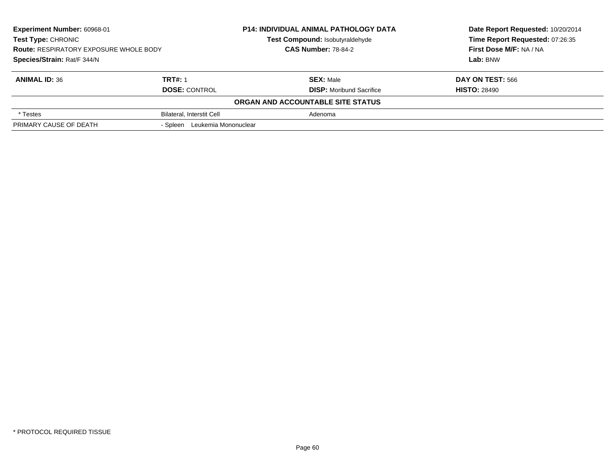| Experiment Number: 60968-01                                         |                                  | <b>P14: INDIVIDUAL ANIMAL PATHOLOGY DATA</b> | Date Report Requested: 10/20/2014 |
|---------------------------------------------------------------------|----------------------------------|----------------------------------------------|-----------------------------------|
| Test Type: CHRONIC<br><b>Route: RESPIRATORY EXPOSURE WHOLE BODY</b> |                                  | Test Compound: Isobutyraldehyde              | Time Report Requested: 07:26:35   |
|                                                                     |                                  | <b>CAS Number: 78-84-2</b>                   | First Dose M/F: NA / NA           |
| Species/Strain: Rat/F 344/N                                         |                                  |                                              | Lab: BNW                          |
| <b>ANIMAL ID: 36</b>                                                | <b>TRT#: 1</b>                   | <b>SEX: Male</b>                             | DAY ON TEST: 566                  |
|                                                                     | <b>DOSE: CONTROL</b>             | <b>DISP:</b> Moribund Sacrifice              | <b>HISTO: 28490</b>               |
|                                                                     |                                  | ORGAN AND ACCOUNTABLE SITE STATUS            |                                   |
| * Testes                                                            | <b>Bilateral, Interstit Cell</b> | Adenoma                                      |                                   |
| PRIMARY CAUSE OF DEATH                                              | - Spleen Leukemia Mononuclear    |                                              |                                   |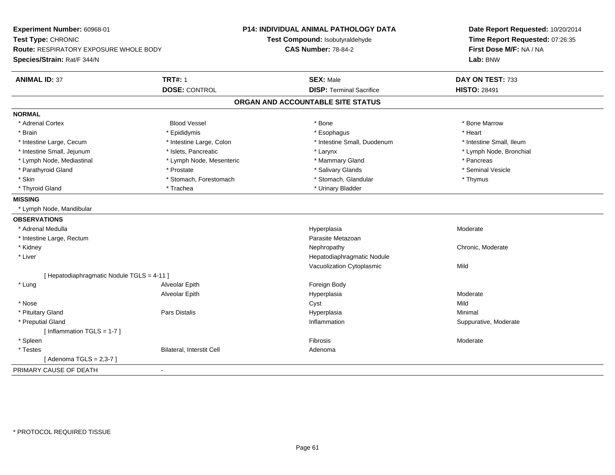| Experiment Number: 60968-01                   |                           | <b>P14: INDIVIDUAL ANIMAL PATHOLOGY DATA</b> | Date Report Requested: 10/20/2014 |
|-----------------------------------------------|---------------------------|----------------------------------------------|-----------------------------------|
| Test Type: CHRONIC                            |                           | Test Compound: Isobutyraldehyde              | Time Report Requested: 07:26:35   |
| <b>Route: RESPIRATORY EXPOSURE WHOLE BODY</b> |                           | <b>CAS Number: 78-84-2</b>                   | First Dose M/F: NA / NA           |
| Species/Strain: Rat/F 344/N                   |                           |                                              | Lab: BNW                          |
| <b>ANIMAL ID: 37</b>                          | <b>TRT#: 1</b>            | <b>SEX: Male</b>                             | DAY ON TEST: 733                  |
|                                               | <b>DOSE: CONTROL</b>      | <b>DISP: Terminal Sacrifice</b>              | <b>HISTO: 28491</b>               |
|                                               |                           | ORGAN AND ACCOUNTABLE SITE STATUS            |                                   |
| <b>NORMAL</b>                                 |                           |                                              |                                   |
| * Adrenal Cortex                              | <b>Blood Vessel</b>       | * Bone                                       | * Bone Marrow                     |
| * Brain                                       | * Epididymis              | * Esophagus                                  | * Heart                           |
| * Intestine Large, Cecum                      | * Intestine Large, Colon  | * Intestine Small, Duodenum                  | * Intestine Small, Ileum          |
| * Intestine Small, Jejunum                    | * Islets, Pancreatic      | * Larynx                                     | * Lymph Node, Bronchial           |
| * Lymph Node, Mediastinal                     | * Lymph Node, Mesenteric  | * Mammary Gland                              | * Pancreas                        |
| * Parathyroid Gland                           | * Prostate                | * Salivary Glands                            | * Seminal Vesicle                 |
| * Skin                                        | * Stomach, Forestomach    | * Stomach, Glandular                         | * Thymus                          |
| * Thyroid Gland                               | * Trachea                 | * Urinary Bladder                            |                                   |
| <b>MISSING</b>                                |                           |                                              |                                   |
| * Lymph Node, Mandibular                      |                           |                                              |                                   |
| <b>OBSERVATIONS</b>                           |                           |                                              |                                   |
| * Adrenal Medulla                             |                           | Hyperplasia                                  | Moderate                          |
| * Intestine Large, Rectum                     |                           | Parasite Metazoan                            |                                   |
| * Kidney                                      |                           | Nephropathy                                  | Chronic, Moderate                 |
| * Liver                                       |                           | Hepatodiaphragmatic Nodule                   |                                   |
|                                               |                           | Vacuolization Cytoplasmic                    | Mild                              |
| [ Hepatodiaphragmatic Nodule TGLS = 4-11 ]    |                           |                                              |                                   |
| * Lung                                        | Alveolar Epith            | Foreign Body                                 |                                   |
|                                               | Alveolar Epith            | Hyperplasia                                  | Moderate                          |
| * Nose                                        |                           | Cyst                                         | Mild                              |
| * Pituitary Gland                             | Pars Distalis             | Hyperplasia                                  | Minimal                           |
| * Preputial Gland                             |                           | Inflammation                                 | Suppurative, Moderate             |
| [ Inflammation TGLS = 1-7 ]                   |                           |                                              |                                   |
| * Spleen                                      |                           | Fibrosis                                     | Moderate                          |
| * Testes                                      | Bilateral, Interstit Cell | Adenoma                                      |                                   |
| [Adenoma TGLS = $2,3-7$ ]                     |                           |                                              |                                   |
| PRIMARY CAUSE OF DEATH                        | $\sim$                    |                                              |                                   |
|                                               |                           |                                              |                                   |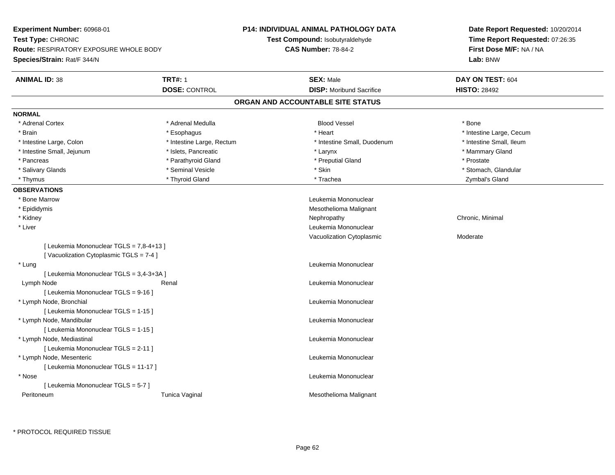**Experiment Number:** 60968-01**Test Type:** CHRONIC **Route:** RESPIRATORY EXPOSURE WHOLE BODY**Species/Strain:** Rat/F 344/N**P14: INDIVIDUAL ANIMAL PATHOLOGY DATATest Compound:** Isobutyraldehyde**CAS Number:** 78-84-2**Date Report Requested:** 10/20/2014**Time Report Requested:** 07:26:35**First Dose M/F:** NA / NA**Lab:** BNW**ANIMAL ID:** 38**TRT#:** 1 **SEX:** Male **DAY ON TEST:** 604 **DOSE:** CONTROL **DISP:** Moribund Sacrifice **HISTO:** <sup>28492</sup> **ORGAN AND ACCOUNTABLE SITE STATUSNORMAL**\* Adrenal Cortex \* Adrenal Medulla \* \* Book \* Blood Vessel \* Book \* Bone \* Bone \* Bone \* Bone \* Bone \* Bone \* Bone \* Bone \* Bone \* Brain \* Esophagus \* Esophagus \* \* Esophagus \* Heart \* Heart \* Intestine Large, Cecum \* Intestine Large, Cecum \* \* Esophagus \* Franches \* Esophagus \* Esophagus \* Esophagus \* Esophagus \* Esophagus \* Esophagus \* Esophagus \* \* Intestine Small, Ileum \* Intestine Large, Colon \* Intestine Large, Rectum \* Intestine Small, Duodenum \* Intestine Small, Duodenum \* Intestine Small, Jejunum \* The matches of the state of the state of the state of the state of the state of the state of the state of the state of the state of the state of the state of the state of the state of the state \* Pancreas \* Parathyroid Gland \* Parathyroid Gland \* Preputial Gland \* Preputial Gland \* Prostate \* Salivary Glands \* The storm of the seminal Vesicle the second term in the second term in the second term in the second second term in the second second term in the second second term in the second second term in the seco \* Thymus \* Thyroid Gland \* Trachea Zymbal's Gland **OBSERVATIONS** \* Bone Marrow Leukemia Mononuclear \* Epididymis Mesothelioma Malignant \* Kidneyy the controller of the controller of the controller of the controller of the controller of the controller of the controller of the controller of the controller of the controller of the controller of the controller of the \* Liver Leukemia Mononuclear Vacuolization Cytoplasmic Moderate[ Leukemia Mononuclear TGLS = 7,8-4+13 ][ Vacuolization Cytoplasmic TGLS = 7-4 ] \* Lung Leukemia Mononuclear [ Leukemia Mononuclear TGLS = 3,4-3+3A ] Lymph Node Renal Leukemia Mononuclear [ Leukemia Mononuclear TGLS = 9-16 ] \* Lymph Node, Bronchial Leukemia Mononuclear[ Leukemia Mononuclear TGLS = 1-15 ] \* Lymph Node, Mandibular Leukemia Mononuclear [ Leukemia Mononuclear TGLS = 1-15 ] \* Lymph Node, Mediastinal Leukemia Mononuclear[ Leukemia Mononuclear TGLS = 2-11 ] \* Lymph Node, Mesenteric Leukemia Mononuclear [ Leukemia Mononuclear TGLS = 11-17 ] \* Nose Leukemia Mononuclear [ Leukemia Mononuclear TGLS = 5-7 ] PeritoneumTunica Vaginal Mesothelioma Malignant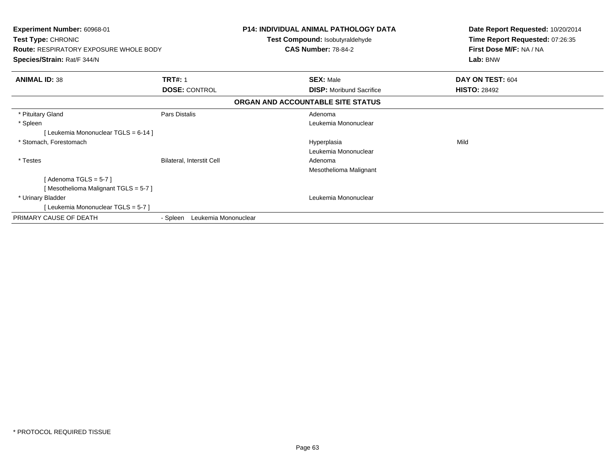| Experiment Number: 60968-01<br>Test Type: CHRONIC<br><b>Route: RESPIRATORY EXPOSURE WHOLE BODY</b><br>Species/Strain: Rat/F 344/N |                                  | <b>P14: INDIVIDUAL ANIMAL PATHOLOGY DATA</b><br>Test Compound: Isobutyraldehyde<br><b>CAS Number: 78-84-2</b> | Date Report Requested: 10/20/2014<br>Time Report Requested: 07:26:35<br>First Dose M/F: NA / NA<br>Lab: BNW |
|-----------------------------------------------------------------------------------------------------------------------------------|----------------------------------|---------------------------------------------------------------------------------------------------------------|-------------------------------------------------------------------------------------------------------------|
| <b>ANIMAL ID: 38</b>                                                                                                              | <b>TRT#: 1</b>                   | <b>SEX: Male</b>                                                                                              | DAY ON TEST: 604                                                                                            |
|                                                                                                                                   | <b>DOSE: CONTROL</b>             | <b>DISP:</b> Moribund Sacrifice                                                                               | <b>HISTO: 28492</b>                                                                                         |
|                                                                                                                                   |                                  | ORGAN AND ACCOUNTABLE SITE STATUS                                                                             |                                                                                                             |
| * Pituitary Gland                                                                                                                 | Pars Distalis                    | Adenoma                                                                                                       |                                                                                                             |
| * Spleen                                                                                                                          |                                  | Leukemia Mononuclear                                                                                          |                                                                                                             |
| [Leukemia Mononuclear TGLS = 6-14]                                                                                                |                                  |                                                                                                               |                                                                                                             |
| * Stomach, Forestomach                                                                                                            |                                  | Hyperplasia                                                                                                   | Mild                                                                                                        |
|                                                                                                                                   |                                  | Leukemia Mononuclear                                                                                          |                                                                                                             |
| * Testes                                                                                                                          | Bilateral, Interstit Cell        | Adenoma                                                                                                       |                                                                                                             |
|                                                                                                                                   |                                  | Mesothelioma Malignant                                                                                        |                                                                                                             |
| [Adenoma TGLS = $5-7$ ]                                                                                                           |                                  |                                                                                                               |                                                                                                             |
| [Mesothelioma Malignant TGLS = 5-7]                                                                                               |                                  |                                                                                                               |                                                                                                             |
| * Urinary Bladder                                                                                                                 |                                  | Leukemia Mononuclear                                                                                          |                                                                                                             |
| [Leukemia Mononuclear TGLS = 5-7]                                                                                                 |                                  |                                                                                                               |                                                                                                             |
| PRIMARY CAUSE OF DEATH                                                                                                            | Leukemia Mononuclear<br>- Spleen |                                                                                                               |                                                                                                             |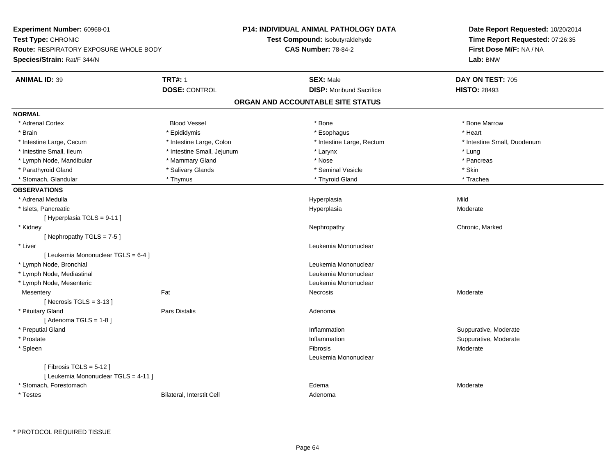| Experiment Number: 60968-01            |                                  | <b>P14: INDIVIDUAL ANIMAL PATHOLOGY DATA</b> | Date Report Requested: 10/20/2014 |
|----------------------------------------|----------------------------------|----------------------------------------------|-----------------------------------|
| Test Type: CHRONIC                     |                                  | Test Compound: Isobutyraldehyde              | Time Report Requested: 07:26:35   |
| Route: RESPIRATORY EXPOSURE WHOLE BODY |                                  | <b>CAS Number: 78-84-2</b>                   | First Dose M/F: NA / NA           |
| Species/Strain: Rat/F 344/N            |                                  |                                              | Lab: BNW                          |
| <b>ANIMAL ID: 39</b>                   | <b>TRT#: 1</b>                   | <b>SEX: Male</b>                             | DAY ON TEST: 705                  |
|                                        | <b>DOSE: CONTROL</b>             | <b>DISP:</b> Moribund Sacrifice              | <b>HISTO: 28493</b>               |
|                                        |                                  | ORGAN AND ACCOUNTABLE SITE STATUS            |                                   |
| <b>NORMAL</b>                          |                                  |                                              |                                   |
| * Adrenal Cortex                       | <b>Blood Vessel</b>              | * Bone                                       | * Bone Marrow                     |
| * Brain                                | * Epididymis                     | * Esophagus                                  | * Heart                           |
| * Intestine Large, Cecum               | * Intestine Large, Colon         | * Intestine Large, Rectum                    | * Intestine Small, Duodenum       |
| * Intestine Small, Ileum               | * Intestine Small, Jejunum       | * Larynx                                     | * Lung                            |
| * Lymph Node, Mandibular               | * Mammary Gland                  | * Nose                                       | * Pancreas                        |
| * Parathyroid Gland                    | * Salivary Glands                | * Seminal Vesicle                            | * Skin                            |
| * Stomach, Glandular                   | * Thymus                         | * Thyroid Gland                              | * Trachea                         |
| <b>OBSERVATIONS</b>                    |                                  |                                              |                                   |
| * Adrenal Medulla                      |                                  | Hyperplasia                                  | Mild                              |
| * Islets, Pancreatic                   |                                  | Hyperplasia                                  | Moderate                          |
| [ Hyperplasia TGLS = 9-11 ]            |                                  |                                              |                                   |
| * Kidney                               |                                  | Nephropathy                                  | Chronic, Marked                   |
| [Nephropathy TGLS = 7-5]               |                                  |                                              |                                   |
| * Liver                                |                                  | Leukemia Mononuclear                         |                                   |
| [ Leukemia Mononuclear TGLS = 6-4 ]    |                                  |                                              |                                   |
| * Lymph Node, Bronchial                |                                  | Leukemia Mononuclear                         |                                   |
| * Lymph Node, Mediastinal              |                                  | Leukemia Mononuclear                         |                                   |
| * Lymph Node, Mesenteric               |                                  | Leukemia Mononuclear                         |                                   |
| Mesentery                              | Fat                              | Necrosis                                     | Moderate                          |
| [Necrosis $TGLS = 3-13$ ]              |                                  |                                              |                                   |
| * Pituitary Gland                      | <b>Pars Distalis</b>             | Adenoma                                      |                                   |
| [Adenoma TGLS = $1-8$ ]                |                                  |                                              |                                   |
| * Preputial Gland                      |                                  | Inflammation                                 | Suppurative, Moderate             |
| * Prostate                             |                                  | Inflammation                                 | Suppurative, Moderate             |
| * Spleen                               |                                  | Fibrosis                                     | Moderate                          |
|                                        |                                  | Leukemia Mononuclear                         |                                   |
| [Fibrosis TGLS = $5-12$ ]              |                                  |                                              |                                   |
| [ Leukemia Mononuclear TGLS = 4-11 ]   |                                  |                                              |                                   |
| * Stomach, Forestomach                 |                                  | Edema                                        | Moderate                          |
| * Testes                               | <b>Bilateral, Interstit Cell</b> | Adenoma                                      |                                   |

\* PROTOCOL REQUIRED TISSUE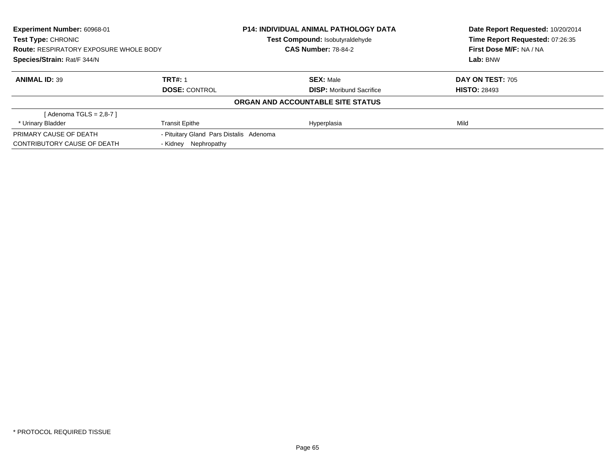| Experiment Number: 60968-01<br>P14: INDIVIDUAL ANIMAL PATHOLOGY DATA<br><b>Test Type: CHRONIC</b><br>Test Compound: Isobutyraldehyde<br><b>CAS Number: 78-84-2</b><br><b>Route: RESPIRATORY EXPOSURE WHOLE BODY</b> |                                         |                                   | Date Report Requested: 10/20/2014<br>Time Report Requested: 07:26:35 |
|---------------------------------------------------------------------------------------------------------------------------------------------------------------------------------------------------------------------|-----------------------------------------|-----------------------------------|----------------------------------------------------------------------|
|                                                                                                                                                                                                                     |                                         |                                   |                                                                      |
|                                                                                                                                                                                                                     |                                         |                                   | First Dose M/F: NA / NA                                              |
| Species/Strain: Rat/F 344/N                                                                                                                                                                                         |                                         |                                   | Lab: BNW                                                             |
| <b>ANIMAL ID: 39</b>                                                                                                                                                                                                | <b>TRT#: 1</b>                          | <b>SEX: Male</b>                  | DAY ON TEST: 705                                                     |
|                                                                                                                                                                                                                     | <b>DOSE: CONTROL</b>                    | <b>DISP:</b> Moribund Sacrifice   | <b>HISTO: 28493</b>                                                  |
|                                                                                                                                                                                                                     |                                         | ORGAN AND ACCOUNTABLE SITE STATUS |                                                                      |
| [Adenoma TGLS = 2,8-7]                                                                                                                                                                                              |                                         |                                   |                                                                      |
| * Urinary Bladder                                                                                                                                                                                                   | <b>Transit Epithe</b>                   | Hyperplasia                       | Mild                                                                 |
| PRIMARY CAUSE OF DEATH                                                                                                                                                                                              | - Pituitary Gland Pars Distalis Adenoma |                                   |                                                                      |
| CONTRIBUTORY CAUSE OF DEATH                                                                                                                                                                                         | - Kidney Nephropathy                    |                                   |                                                                      |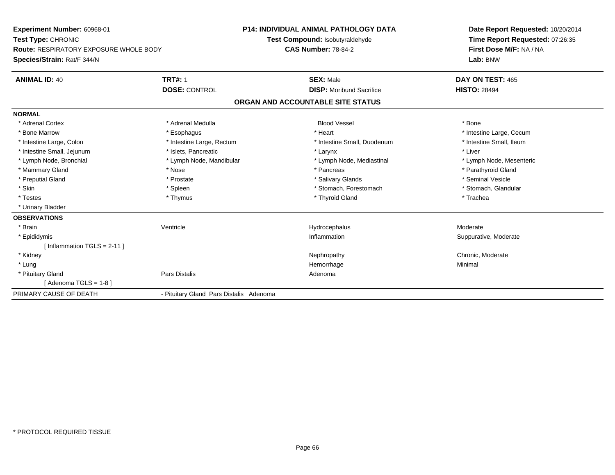**Experiment Number:** 60968-01**Test Type:** CHRONIC **Route:** RESPIRATORY EXPOSURE WHOLE BODY**Species/Strain:** Rat/F 344/N**P14: INDIVIDUAL ANIMAL PATHOLOGY DATATest Compound:** Isobutyraldehyde**CAS Number:** 78-84-2**Date Report Requested:** 10/20/2014**Time Report Requested:** 07:26:35**First Dose M/F:** NA / NA**Lab:** BNW**ANIMAL ID:** 40**TRT#:** 1 **SEX:** Male **DAY ON TEST:** 465 **DOSE:** CONTROL**DISP:** Moribund Sacrifice **HISTO:** 28494 **ORGAN AND ACCOUNTABLE SITE STATUSNORMAL**\* Adrenal Cortex \* Adrenal Medulla \* \* Book \* Blood Vessel \* Book \* Bone \* Bone \* Bone \* Bone \* Bone \* Bone \* Bone \* Bone \* Bone \* Bone Marrow \* The matter of the state of the state of the state of the state of the state of the state of the state of the state of the state of the state of the state of the state of the state of the state of the state \* Intestine Small, Ileum \* Intestine Large, Colon \* Intestine Large, Rectum \* Intestine Small, Duodenum \* Intestine Small, Duodenum \* Intestine Small, Jejunum \* 1998 \* The state of the state of the state of the state of the state of the state of the state of the state of the state of the state of the state of the state of the state of the state of the \* Lymph Node, Bronchial \* Lymph Node, Mandibular \* Lymph Node, Mediastinal \* Lymph Node, Mesenteric\* Mammary Gland \* \* Nose \* \* Nose \* \* Pancreas \* Pancreas \* \* Pancreas \* \* Pancreas \* \* Pancreas \* \* Parathyroid Gland \* Preputial Gland \* \* Annual vesicle \* \* Prostate \* \* Salivary Glands \* \* Salivary Glands \* \* Seminal Vesicle \* \* Stomach, Glandular \* Skin \* Spleen \* Spleen \* Spleen \* Stomach, Forestomach \* Stomach, Forestomach \* Testes \* Thymus \* Thyroid Gland \* Trachea \* Urinary Bladder**OBSERVATIONS** \* Brainn wenne alle the Ventricle wenne and the Hydrocephalus Moderate Moderate Moderate Moderate and the Ventricle o \* Epididymiss and the contract of the contract of the contract of the contract of the contract of the contract of the contract of the contract of the contract of the contract of the contract of the contract of the contract of the cont Inflammation **Suppurative, Moderate** [ Inflammation TGLS = 2-11 ] \* Kidneyy the chronic, Moderate and September 2012 of the Chronic Moderate and September 2013 of the Chronic, Moderate \* Lungg and the state of the state of the state of the state of the Minimal Section 1, the state of the state of the Minimal Section 1, the state of the state of the state of the state of the state of the state of the state of t \* Pituitary Glandd and the contract of Pars Distalis and the contract of Adenoma and Adenoma and the Adenoma and the Adenoma and  $\lambda$  $[$  Adenoma TGLS = 1-8  $]$ PRIMARY CAUSE OF DEATH- Pituitary Gland Pars Distalis Adenoma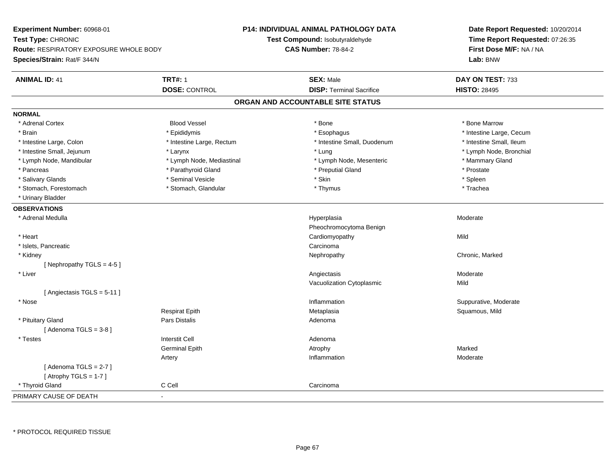**Experiment Number:** 60968-01**Test Type:** CHRONIC **Route:** RESPIRATORY EXPOSURE WHOLE BODY**Species/Strain:** Rat/F 344/N**P14: INDIVIDUAL ANIMAL PATHOLOGY DATATest Compound:** Isobutyraldehyde**CAS Number:** 78-84-2**Date Report Requested:** 10/20/2014**Time Report Requested:** 07:26:35**First Dose M/F:** NA / NA**Lab:** BNW**ANIMAL ID:** 41**TRT#:** 1 **SEX:** Male **DAY ON TEST:** 733 **DOSE:** CONTROL**DISP:** Terminal Sacrifice **HISTO:** 28495 **ORGAN AND ACCOUNTABLE SITE STATUSNORMAL**\* Adrenal Cortex \* Adrenal Cortex \* Attack the state of the state of the Blood Vessel the state of the state of the state of the Marrow \* Bone Marrow \* Bone Marrow \* Bone Marrow \* Bone Marrow \* Bone Marrow \* Bone Marrow \* Bone Marrow \* Bon \* Brain \* Explorer \* Epididymis \* \* Epididymis \* \* Esophagus \* Esophagus \* \* Esophagus \* Intestine Large, Cecum \* \* Intestine Large, Cecum \* Intestine Small. Ileum \* Intestine Large, Colon \* Intestine Large, Rectum \* Intestine Small, Duodenum \* Intestine Small, Duodenum \* Lymph Node, Bronchial \* Intestine Small, Jejunum \* **Manufally and According the Contract According to According the According to According the Node, Bronch in the According to According the Lung \* Lung \* Lung \* Lung \* Lung \* Lung \* Lung \* Lung** \* Lymph Node, Mandibular \* Lymph Node, Mediastinal \* Lymph Node, Mesenteric \* Mammary Gland \* Pancreas \* Parathyroid Gland \* Parathyroid Gland \* Preputial Gland \* Preputial Gland \* Prostate \* Spleen \* Salivary Glands \* \* \* Sheen \* Seminal Vesicle \* \* \* Stan \* \* Skin \* \* Skin \* \* Spleen \* \* Spleen \* \* Spleen \* \* Trachea \* Stomach, Forestomach \* Thymus \* Stomach, Glandular \* Thymus \* Thymus \* Thymus \* Thymus \* Thymus \* Thymus \* Thymus \* Thymus \* Thymus \* Thymus \* Thymus \* Thymus \* Thymus \* Thymus \* Thymus \* Thymus \* Thymus \* Thymus \* Thymu \* Urinary Bladder**OBSERVATIONS** \* Adrenal Medullaa and the state of the state of the state of the Hyperplasia and the Moderate of the Moderate of the Shane and Moderate  $\sim$  Moderate of the state of the state of the state of the state of the state of the state of the sta Pheochromocytoma Benign \* Heart Cardiomyopathyy Mild \* Islets, Pancreaticc contract the contract of the contract of the contract of the contract of the contract of the contract of the contract of the contract of the contract of the contract of the contract of the contract of the contract of the Nephropathy \* Kidneyy the controller of the controller of the controller of the Nephropathy Chronic, Marked Schronic, Marked Schronic, Marked Schronic, Marked Schronic, Marked Schronic, Marked Schronic, Marked Schronic, Marked Schronic, Marke [ Nephropathy TGLS = 4-5 ] \* Liverr and the contract of the contract of the contract of the contract of the contract of the contract of the contract of the contract of the contract of the contract of the contract of the contract of the contract of the cont s Moderate Vacuolization Cytoplasmicc Mild [ Angiectasis TGLS = 5-11 ] \* Nosee inflammation inflammation in the support of the Suppurative, Moderate entry the Suppurative, Moderate entry  $\sim$  Suppurative, Moderate entry  $\sim$  Suppurative, Moderate entry  $\sim$  Suppurative, Moderate entry  $\sim$  Suppurat Respirat Epith Metaplasia Squamous, Mild \* Pituitary Glandd and the contract of Pars Distalis and the contract of Adenoma and Adenoma and the Adenoma and the Adenoma and  $\lambda$  $[$  Adenoma TGLS = 3-8  $]$  \* Testes Interstit Cell AdenomaGerminal Epithh and the control of the Atrophy and the Marked Marked Marked Street and the Marked Street and Marked Street and Marked Street and Marked Street and Marked Street and Marked Street and Marked Street and Marked Street and M Artery Inflammationn Moderate  $[$  Adenoma TGLS = 2-7  $]$  $[$  Atrophy TGLS = 1-7  $]$  \* Thyroid Gland C Cell Carcinoma PRIMARY CAUSE OF DEATH-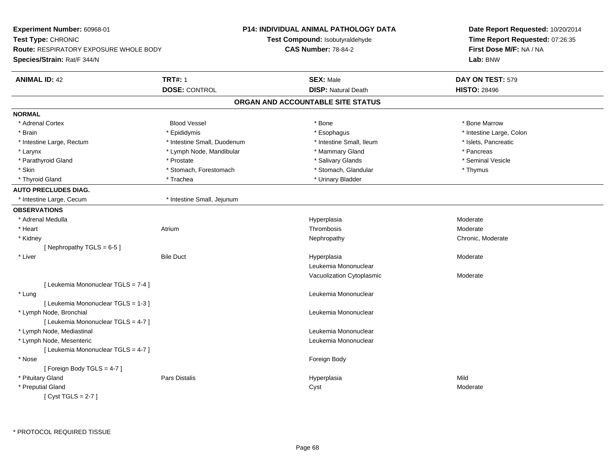| Experiment Number: 60968-01                   |                             | <b>P14: INDIVIDUAL ANIMAL PATHOLOGY DATA</b> | Date Report Requested: 10/20/2014 |
|-----------------------------------------------|-----------------------------|----------------------------------------------|-----------------------------------|
| Test Type: CHRONIC                            |                             | Test Compound: Isobutyraldehyde              | Time Report Requested: 07:26:35   |
| <b>Route: RESPIRATORY EXPOSURE WHOLE BODY</b> |                             | <b>CAS Number: 78-84-2</b>                   | First Dose M/F: NA / NA           |
| Species/Strain: Rat/F 344/N                   |                             |                                              | Lab: BNW                          |
| <b>ANIMAL ID: 42</b>                          | <b>TRT#: 1</b>              | <b>SEX: Male</b>                             | DAY ON TEST: 579                  |
|                                               | <b>DOSE: CONTROL</b>        | <b>DISP: Natural Death</b>                   | <b>HISTO: 28496</b>               |
|                                               |                             | ORGAN AND ACCOUNTABLE SITE STATUS            |                                   |
| <b>NORMAL</b>                                 |                             |                                              |                                   |
| * Adrenal Cortex                              | <b>Blood Vessel</b>         | * Bone                                       | * Bone Marrow                     |
| * Brain                                       | * Epididymis                | * Esophagus                                  | * Intestine Large, Colon          |
| * Intestine Large, Rectum                     | * Intestine Small, Duodenum | * Intestine Small, Ileum                     | * Islets, Pancreatic              |
| * Larynx                                      | * Lymph Node, Mandibular    | * Mammary Gland                              | * Pancreas                        |
| * Parathyroid Gland                           | * Prostate                  | * Salivary Glands                            | * Seminal Vesicle                 |
| * Skin                                        | * Stomach, Forestomach      | * Stomach, Glandular                         | * Thymus                          |
| * Thyroid Gland                               | * Trachea                   | * Urinary Bladder                            |                                   |
| <b>AUTO PRECLUDES DIAG.</b>                   |                             |                                              |                                   |
| * Intestine Large, Cecum                      | * Intestine Small, Jejunum  |                                              |                                   |
| <b>OBSERVATIONS</b>                           |                             |                                              |                                   |
| * Adrenal Medulla                             |                             | Hyperplasia                                  | Moderate                          |
| * Heart                                       | Atrium                      | Thrombosis                                   | Moderate                          |
| * Kidney                                      |                             | Nephropathy                                  | Chronic, Moderate                 |
| [Nephropathy TGLS = 6-5]                      |                             |                                              |                                   |
| * Liver                                       | <b>Bile Duct</b>            | Hyperplasia                                  | Moderate                          |
|                                               |                             | Leukemia Mononuclear                         |                                   |
|                                               |                             | Vacuolization Cytoplasmic                    | Moderate                          |
| [ Leukemia Mononuclear TGLS = 7-4 ]           |                             |                                              |                                   |
| * Lung                                        |                             | Leukemia Mononuclear                         |                                   |
| [ Leukemia Mononuclear TGLS = 1-3 ]           |                             |                                              |                                   |
| * Lymph Node, Bronchial                       |                             | Leukemia Mononuclear                         |                                   |
| [ Leukemia Mononuclear TGLS = 4-7 ]           |                             |                                              |                                   |
| * Lymph Node, Mediastinal                     |                             | Leukemia Mononuclear                         |                                   |
| * Lymph Node, Mesenteric                      |                             | Leukemia Mononuclear                         |                                   |
| [ Leukemia Mononuclear TGLS = 4-7 ]           |                             |                                              |                                   |
| * Nose                                        |                             | Foreign Body                                 |                                   |
| [Foreign Body TGLS = 4-7]                     |                             |                                              |                                   |
| * Pituitary Gland                             | Pars Distalis               | Hyperplasia                                  | Mild                              |
| * Preputial Gland                             |                             | Cyst                                         | Moderate                          |
| [Cyst TGLS = $2-7$ ]                          |                             |                                              |                                   |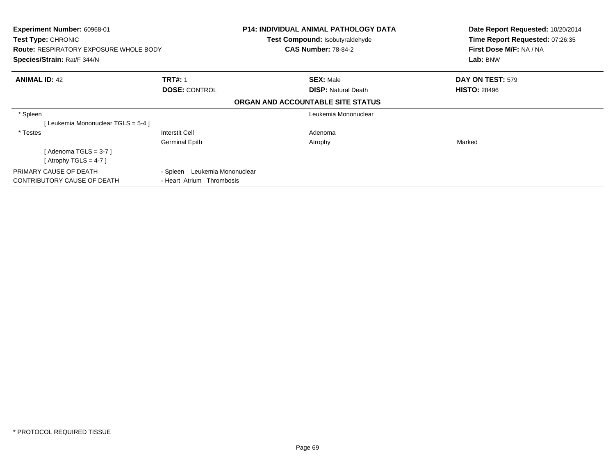| Experiment Number: 60968-01<br>Test Type: CHRONIC<br><b>Route: RESPIRATORY EXPOSURE WHOLE BODY</b><br>Species/Strain: Rat/F 344/N |                                                            | <b>P14: INDIVIDUAL ANIMAL PATHOLOGY DATA</b><br>Test Compound: Isobutyraldehyde<br><b>CAS Number: 78-84-2</b> | Date Report Requested: 10/20/2014<br>Time Report Requested: 07:26:35<br>First Dose M/F: NA / NA<br>Lab: BNW |
|-----------------------------------------------------------------------------------------------------------------------------------|------------------------------------------------------------|---------------------------------------------------------------------------------------------------------------|-------------------------------------------------------------------------------------------------------------|
| <b>ANIMAL ID: 42</b>                                                                                                              | <b>TRT#: 1</b><br><b>DOSE: CONTROL</b>                     | <b>SEX: Male</b><br><b>DISP: Natural Death</b>                                                                | DAY ON TEST: 579<br><b>HISTO: 28496</b>                                                                     |
|                                                                                                                                   |                                                            | ORGAN AND ACCOUNTABLE SITE STATUS                                                                             |                                                                                                             |
| * Spleen<br>[Leukemia Mononuclear TGLS = 5-4 ]                                                                                    |                                                            | Leukemia Mononuclear                                                                                          |                                                                                                             |
| * Testes<br>[Adenoma TGLS = $3-7$ ]<br>[Atrophy TGLS = 4-7]                                                                       | Interstit Cell<br><b>Germinal Epith</b>                    | Adenoma<br>Atrophy                                                                                            | Marked                                                                                                      |
| PRIMARY CAUSE OF DEATH<br><b>CONTRIBUTORY CAUSE OF DEATH</b>                                                                      | - Spleen Leukemia Mononuclear<br>- Heart Atrium Thrombosis |                                                                                                               |                                                                                                             |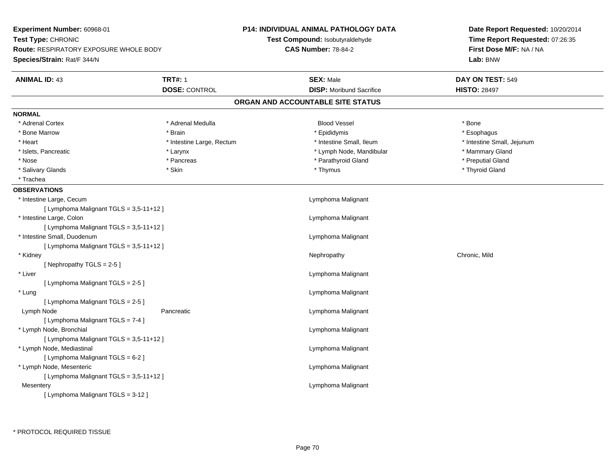| Experiment Number: 60968-01                                         |                           | <b>P14: INDIVIDUAL ANIMAL PATHOLOGY DATA</b> | Date Report Requested: 10/20/2014                          |  |
|---------------------------------------------------------------------|---------------------------|----------------------------------------------|------------------------------------------------------------|--|
| Test Type: CHRONIC<br><b>Route: RESPIRATORY EXPOSURE WHOLE BODY</b> |                           | Test Compound: Isobutyraldehyde              | Time Report Requested: 07:26:35<br>First Dose M/F: NA / NA |  |
|                                                                     |                           | <b>CAS Number: 78-84-2</b>                   |                                                            |  |
| Species/Strain: Rat/F 344/N                                         |                           |                                              | Lab: BNW                                                   |  |
| <b>ANIMAL ID: 43</b>                                                | <b>TRT#: 1</b>            | <b>SEX: Male</b>                             | DAY ON TEST: 549                                           |  |
|                                                                     | <b>DOSE: CONTROL</b>      | <b>DISP:</b> Moribund Sacrifice              | <b>HISTO: 28497</b>                                        |  |
|                                                                     |                           | ORGAN AND ACCOUNTABLE SITE STATUS            |                                                            |  |
| <b>NORMAL</b>                                                       |                           |                                              |                                                            |  |
| * Adrenal Cortex                                                    | * Adrenal Medulla         | <b>Blood Vessel</b>                          | * Bone                                                     |  |
| * Bone Marrow                                                       | * Brain                   | * Epididymis                                 | * Esophagus                                                |  |
| * Heart                                                             | * Intestine Large, Rectum | * Intestine Small, Ileum                     | * Intestine Small, Jejunum                                 |  |
| * Islets, Pancreatic                                                | * Larynx                  | * Lymph Node, Mandibular                     | * Mammary Gland                                            |  |
| * Nose                                                              | * Pancreas                | * Parathyroid Gland                          | * Preputial Gland                                          |  |
| * Salivary Glands                                                   | * Skin                    | * Thymus                                     | * Thyroid Gland                                            |  |
| * Trachea                                                           |                           |                                              |                                                            |  |
| <b>OBSERVATIONS</b>                                                 |                           |                                              |                                                            |  |
| * Intestine Large, Cecum                                            |                           | Lymphoma Malignant                           |                                                            |  |
| [ Lymphoma Malignant TGLS = 3,5-11+12 ]                             |                           |                                              |                                                            |  |
| * Intestine Large, Colon                                            |                           | Lymphoma Malignant                           |                                                            |  |
| [ Lymphoma Malignant TGLS = 3,5-11+12 ]                             |                           |                                              |                                                            |  |
| * Intestine Small, Duodenum                                         |                           | Lymphoma Malignant                           |                                                            |  |
| [ Lymphoma Malignant TGLS = 3,5-11+12 ]                             |                           |                                              |                                                            |  |
| * Kidney                                                            |                           | Nephropathy                                  | Chronic, Mild                                              |  |
| [Nephropathy TGLS = 2-5]                                            |                           |                                              |                                                            |  |
| * Liver                                                             |                           | Lymphoma Malignant                           |                                                            |  |
| [ Lymphoma Malignant TGLS = 2-5 ]                                   |                           |                                              |                                                            |  |
| * Lung                                                              |                           | Lymphoma Malignant                           |                                                            |  |
| [ Lymphoma Malignant TGLS = 2-5 ]                                   |                           |                                              |                                                            |  |
| Lymph Node                                                          | Pancreatic                | Lymphoma Malignant                           |                                                            |  |
| [ Lymphoma Malignant TGLS = 7-4 ]                                   |                           |                                              |                                                            |  |
| * Lymph Node, Bronchial                                             |                           | Lymphoma Malignant                           |                                                            |  |
| [ Lymphoma Malignant TGLS = 3,5-11+12 ]                             |                           |                                              |                                                            |  |
| * Lymph Node, Mediastinal                                           |                           | Lymphoma Malignant                           |                                                            |  |
| [ Lymphoma Malignant TGLS = 6-2 ]                                   |                           |                                              |                                                            |  |
| * Lymph Node, Mesenteric                                            |                           | Lymphoma Malignant                           |                                                            |  |
| [ Lymphoma Malignant TGLS = 3,5-11+12 ]                             |                           |                                              |                                                            |  |
| Mesentery                                                           |                           | Lymphoma Malignant                           |                                                            |  |
| [ Lymphoma Malignant TGLS = 3-12 ]                                  |                           |                                              |                                                            |  |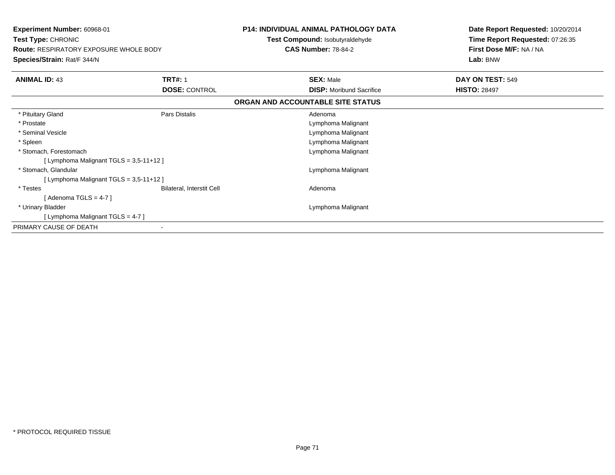|                                   | First Dose M/F: NA / NA<br>Lab: BNW |
|-----------------------------------|-------------------------------------|
| <b>SEX: Male</b>                  | DAY ON TEST: 549                    |
| <b>DISP:</b> Moribund Sacrifice   | <b>HISTO: 28497</b>                 |
| ORGAN AND ACCOUNTABLE SITE STATUS |                                     |
| Adenoma                           |                                     |
| Lymphoma Malignant                |                                     |
| Lymphoma Malignant                |                                     |
| Lymphoma Malignant                |                                     |
| Lymphoma Malignant                |                                     |
|                                   |                                     |
| Lymphoma Malignant                |                                     |
|                                   |                                     |
| Adenoma                           |                                     |
|                                   |                                     |
| Lymphoma Malignant                |                                     |
|                                   |                                     |
|                                   |                                     |
|                                   | <b>CAS Number: 78-84-2</b>          |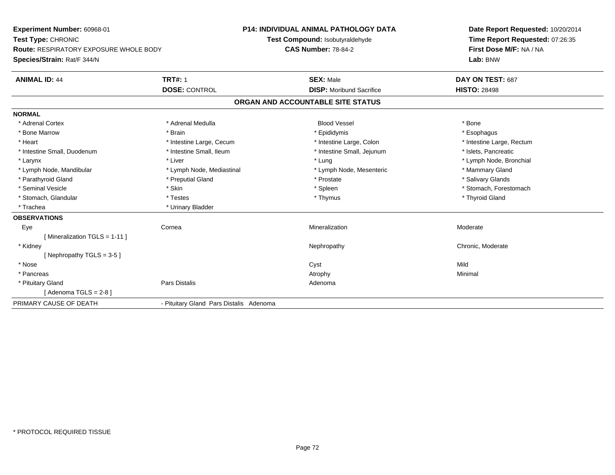**Experiment Number:** 60968-01**Test Type:** CHRONIC **Route:** RESPIRATORY EXPOSURE WHOLE BODY**Species/Strain:** Rat/F 344/N**P14: INDIVIDUAL ANIMAL PATHOLOGY DATATest Compound:** Isobutyraldehyde**CAS Number:** 78-84-2**Date Report Requested:** 10/20/2014**Time Report Requested:** 07:26:35**First Dose M/F:** NA / NA**Lab:** BNW**ANIMAL ID:** 44 **TRT#:** <sup>1</sup> **SEX:** Male **DAY ON TEST:** <sup>687</sup> **DOSE:** CONTROL**DISP:** Moribund Sacrifice **HISTO:** 28498 **ORGAN AND ACCOUNTABLE SITE STATUSNORMAL**\* Adrenal Cortex \* Adrenal Medulla \* \* Book \* Blood Vessel \* Book \* Bone \* Bone \* Bone \* Bone \* Bone \* Bone \* Bone \* Bone \* Bone \* Esophagus \* Bone Marrow \* Brain \* Epididymis \* Esophagus \* Intestine Large, Rectum \* Heart \* Intestine Large, Cecum \* Intestine Large, Cecum \* Intestine Large, Colon \* Intestine Small, Duodenum \* Intestine Small, Ileum \* Intestine Small, Intestine Small, Jejunum \* Islets, Pancreatic \* Larynx \* Louis \* Liver \* Lung \* Lung \* Lung \* Lung \* Lung \* Lymph Node, Bronchial \* Lymph Node, Bronchial \* \* Lymph Node, Mandibular \* Lymph Node, Mediastinal \* Lymph Node, Mesenteric \* Mammary Gland \* Salivary Glands \* Parathyroid Gland \* **Example 20** \* Preputial Gland \* Prostate \* Prostate \* Prostate \* Seminal Vesicle \* The state of the set of the set of the set of the set of the set of the set of the set of the set of the set of the set of the set of the set of the set of the set of the set of the set of the set of th \* Stomach, Glandular \* \* \* Thyroid Glandular \* Thestes \* \* Thymus \* Thymus \* Thyroid Glandular \* Thyroid Gland \* Trachea \* Urinary Bladder**OBSERVATIONS** Eyee the cornea cornea and the cornea method of the corneal method of the corneal method of the corneal method of  $M$ [ Mineralization TGLS = 1-11 ] \* Kidneyy the chronic, Moderate and September 2012 of the Chronic Moderate and September 2013 of the Chronic, Moderate [ Nephropathy TGLS = 3-5 ] \* Nosee and the control of the control of the control of the control of the control of the control of the control of the control of the control of the control of the control of the control of the control of the control of the co \* Pancreass the control of the control of the control of the control of the control of the control of the control of the control of the control of the control of the control of the control of the control of the control of the contro \* Pituitary Glandd and the contract of Pars Distalis and the contract of Adenoma and Adenoma and the Adenoma and the Adenoma and  $\lambda$  $[$  Adenoma TGLS = 2-8  $]$ PRIMARY CAUSE OF DEATH- Pituitary Gland Pars Distalis Adenoma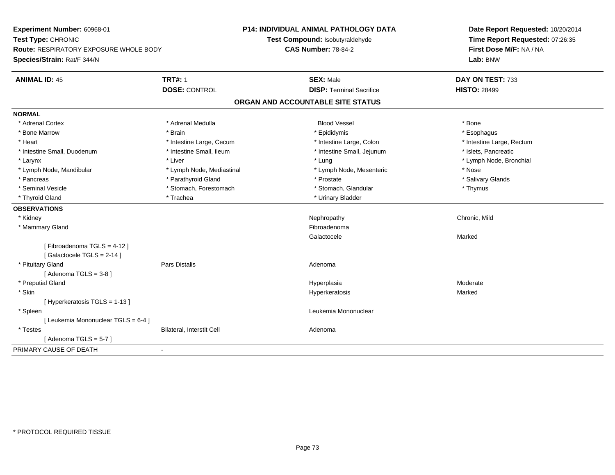**Experiment Number:** 60968-01**Test Type:** CHRONIC **Route:** RESPIRATORY EXPOSURE WHOLE BODY**Species/Strain:** Rat/F 344/N**P14: INDIVIDUAL ANIMAL PATHOLOGY DATATest Compound:** Isobutyraldehyde**CAS Number:** 78-84-2**Date Report Requested:** 10/20/2014**Time Report Requested:** 07:26:35**First Dose M/F:** NA / NA**Lab:** BNW**ANIMAL ID:** 45 **TRT#:** <sup>1</sup> **SEX:** Male **DAY ON TEST:** <sup>733</sup> **DOSE:** CONTROL**DISP:** Terminal Sacrifice **HISTO:** 28499 **ORGAN AND ACCOUNTABLE SITE STATUSNORMAL**\* Adrenal Cortex \* Adrenal Medulla \* \* Book \* Blood Vessel \* Book \* Bone \* Bone \* Bone \* Bone \* Bone \* Bone \* Bone \* Bone \* Bone \* Esophagus \* Bone Marrow \* Brain \* Epididymis \* Esophagus \* Heart Thestine Large, Cecum Thestine Large, Cecum Assessment Carge, Colon Thestine Large, Rectum \* Intestine Large, Rectum \* Intestine Large, Rectum \* Intestine Small, Duodenum \* Intestine Small, Ileum \* Intestine Small, Intestine Small, Jejunum \* Islets, Pancreatic \* Larynx \* Louis \* Liver \* Lung \* Lung \* Lung \* Lung \* Lung \* Lymph Node, Bronchial \* Lymph Node, Bronchial \* \* Lymph Node, Mandibular \* The state of the state of the Mediastinal \* Lymph Node, Mesenteric \* Nose \* Salivary Glands \* Pancreas \* And the second term in the second term in the second term in the second term in the second term in the second term in the second term in the second term in the second term in the second term in the second term \* Seminal Vesicle \* Thymus \* Stomach, Forestomach \* Thymus \* Stomach, Glandular \* Thymus \* Thymus \* Thyroid Gland \* Trachea \* Trachea \* Trachea \* Thyroid Gland **OBSERVATIONS** \* Kidneyy the controller of the controller of the controller of the controller of the controller of the chronic, Mild \* Mammary Glandd **Executive Contract of the Contract Contract Contract Contract Contract Contract Contract Contract Contract Contract Contract Contract Contract Contract Contract Contract Contract Contract Contract Contract Contract Cont** Galactocelee Marked Marked [ Fibroadenoma TGLS = 4-12 ][ Galactocele TGLS = 2-14 ] \* Pituitary Glandd and the contract of Pars Distalis and the contract of Adenoma and Adenoma and the Adenoma and the Adenoma and  $\lambda$  $[$  Adenoma TGLS = 3-8  $]$  \* Preputial Glandd and the set of the set of the set of the Hyperplasia Moderate and the Moderate  $\sim$  Moderate  $\sim$  Moderate  $\sim$  \* Skin Hyperkeratosis Marked [ Hyperkeratosis TGLS = 1-13 ] \* Spleen Leukemia Mononuclear [ Leukemia Mononuclear TGLS = 6-4 ] \* TestesBilateral, Interstit Cell **Adenoma** Adenoma [ Adenoma  $TGLS = 5-7$  ] PRIMARY CAUSE OF DEATH-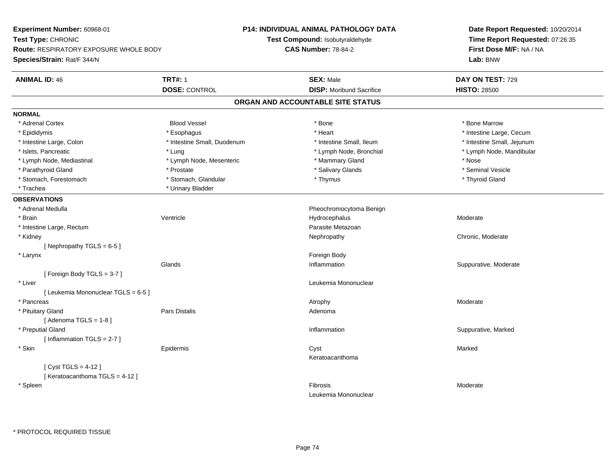**Experiment Number:** 60968-01**Test Type:** CHRONIC **Route:** RESPIRATORY EXPOSURE WHOLE BODY**Species/Strain:** Rat/F 344/N**P14: INDIVIDUAL ANIMAL PATHOLOGY DATATest Compound:** Isobutyraldehyde**CAS Number:** 78-84-2**Date Report Requested:** 10/20/2014**Time Report Requested:** 07:26:35**First Dose M/F:** NA / NA**Lab:** BNW**ANIMAL ID:** 46**TRT#:** 1 **SEX:** Male **DAY ON TEST:** 729 **DOSE:** CONTROL**DISP:** Moribund Sacrifice **HISTO:** 28500 **ORGAN AND ACCOUNTABLE SITE STATUSNORMAL**\* Adrenal Cortex \* Adrenal Cortex \* Attack the state of the state of the Blood Vessel the state of the state of the state of the Marrow \* Bone Marrow \* Bone Marrow \* Bone Marrow \* Bone Marrow \* Bone Marrow \* Bone Marrow \* Bone Marrow \* Bon \* Epididymis \* https://www.fragusta.com/windows/windows/windows/windows/windows/windows/windows/windows/windows/ \* Intestine Large, Colon \* Thestine Small, Duodenum \* \* Intestine Small, Ileum \* \* Intestine Small, Jejunum \* Intestine Small, Jejunum \* Intestine Small, Jejunum \* Islets, Pancreatic \* Lung \* Lymph Node, Bronchial \* Lymph Node, Mandibular \* Lymph Node, Mediastinal \* Lymph Node, Mesenteric \* Mammary Gland \* Nose\* Seminal Vesicle \* Parathyroid Gland \* \* \* Prostate \* \* Prostate \* \* Salivary Glands \* \* Salivary Glands \* \* Seminal Vesicle \* Stomach, Forestomach \* Thyroid Gland \* Stomach, Glandular \* Thymus \* Thymus \* Thyroid Gland \* Thyroid Gland \* Trachea \* Urinary Bladder**OBSERVATIONS** \* Adrenal Medulla Pheochromocytoma Benign \* Brainn wenne alle the Ventricle wenne and the Hydrocephalus Moderate Moderate Moderate Moderate and the Ventricle o \* Intestine Large, Rectumm and the contract of the contract of the contract of the contract of the contract of the contract of the contract of the contract of the contract of the contract of the contract of the contract of the contract of the cont \* Kidneyy which is a controlled that the controller controller the chronic of the chronic chronic, Moderate  $\lambda$ [ Nephropathy TGLS = 6-5 ] \* Larynx**x** and the contract of the contract of the contract of the contract of the contract of the contract of the contract of the contract of the contract of the contract of the contract of the contract of the contract of the co Glands Inflammation Suppurative, Moderate [ Foreign Body TGLS = 3-7 ] \* Liver Leukemia Mononuclear [ Leukemia Mononuclear TGLS = 6-5 ] \* Pancreass and the contract of the contract of the contract of the contract of the contract of the contract of the contract of  $\lambda$  \* Pituitary Glandd and the contract of Pars Distalis and the contract of Adenoma and Adenoma and the Adenoma and the Adenoma and  $\lambda$  $[$  Adenoma TGLS = 1-8  $]$  \* Preputial Glandd with the suppurative, Marked and Suppurative, Marked and Suppurative, Marked and Suppurative, Marked and Suppurative, Marked and Suppurative, Marked and Suppurative, Marked and Suppurative, Marked and Suppurative, Marked [ Inflammation TGLS = 2-7 ] \* Skinn and the extent of the extended of the extended of the extended of the extended of the extended of the extend<br>In the extended of the extended of the extended of the extended of the extended of the extended of the extended Keratoacanthoma[ Cyst TGLS = 4-12 ][ Keratoacanthoma TGLS = 4-12 ] \* Spleenn and the state of the state of the state of the state of the state of the state of the state of the state of the state of the state of the state of the state of the state of the state of the state of the state of the stat Leukemia Mononuclear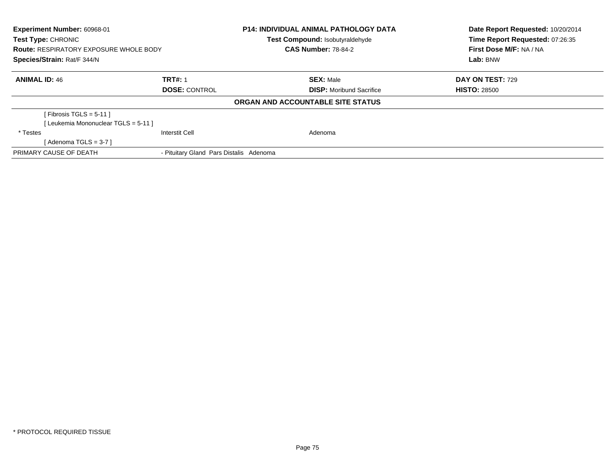| <b>Experiment Number: 60968-01</b><br>Test Type: CHRONIC |                                         | <b>P14: INDIVIDUAL ANIMAL PATHOLOGY DATA</b><br>Test Compound: Isobutyraldehyde |                                   | Date Report Requested: 10/20/2014<br>Time Report Requested: 07:26:35 |
|----------------------------------------------------------|-----------------------------------------|---------------------------------------------------------------------------------|-----------------------------------|----------------------------------------------------------------------|
| <b>Route: RESPIRATORY EXPOSURE WHOLE BODY</b>            |                                         | <b>CAS Number: 78-84-2</b>                                                      |                                   | First Dose M/F: NA / NA                                              |
| Species/Strain: Rat/F 344/N                              |                                         |                                                                                 |                                   | Lab: BNW                                                             |
| <b>ANIMAL ID: 46</b>                                     | <b>TRT#: 1</b>                          |                                                                                 | <b>SEX: Male</b>                  | DAY ON TEST: 729                                                     |
|                                                          | <b>DOSE: CONTROL</b>                    |                                                                                 | <b>DISP:</b> Moribund Sacrifice   | <b>HISTO: 28500</b>                                                  |
|                                                          |                                         |                                                                                 | ORGAN AND ACCOUNTABLE SITE STATUS |                                                                      |
| [Fibrosis TGLS = $5-11$ ]                                |                                         |                                                                                 |                                   |                                                                      |
| [Leukemia Mononuclear TGLS = 5-11]                       |                                         |                                                                                 |                                   |                                                                      |
| * Testes                                                 | <b>Interstit Cell</b>                   |                                                                                 | Adenoma                           |                                                                      |
| [Adenoma TGLS = $3-7$ ]                                  |                                         |                                                                                 |                                   |                                                                      |
| PRIMARY CAUSE OF DEATH                                   | - Pituitary Gland Pars Distalis Adenoma |                                                                                 |                                   |                                                                      |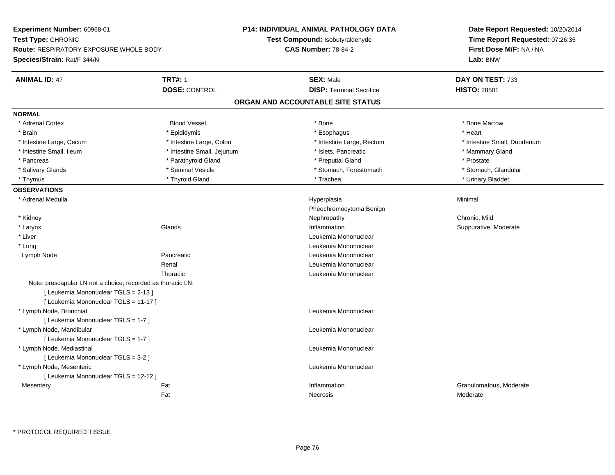| Test Compound: Isobutyraldehyde<br>Time Report Requested: 07:26:35<br><b>CAS Number: 78-84-2</b><br>First Dose M/F: NA / NA<br><b>Route: RESPIRATORY EXPOSURE WHOLE BODY</b><br>Lab: BNW<br><b>TRT#: 1</b><br><b>ANIMAL ID: 47</b><br><b>SEX: Male</b><br>DAY ON TEST: 733<br><b>DISP: Terminal Sacrifice</b><br><b>HISTO: 28501</b><br><b>DOSE: CONTROL</b><br>ORGAN AND ACCOUNTABLE SITE STATUS<br>* Adrenal Cortex<br><b>Blood Vessel</b><br>* Bone<br>* Bone Marrow<br>* Heart<br>* Brain<br>* Epididymis<br>* Esophagus<br>* Intestine Small, Duodenum<br>* Intestine Large, Cecum<br>* Intestine Large, Colon<br>* Intestine Large, Rectum<br>* Intestine Small, Ileum<br>* Intestine Small, Jejunum<br>* Islets, Pancreatic<br>* Mammary Gland<br>* Parathyroid Gland<br>* Preputial Gland<br>* Pancreas<br>* Prostate<br>* Seminal Vesicle<br>* Salivary Glands<br>* Stomach, Forestomach<br>* Stomach, Glandular<br>* Thyroid Gland<br>* Trachea<br>* Thymus<br>* Urinary Bladder<br>Minimal<br>* Adrenal Medulla<br>Hyperplasia<br>Pheochromocytoma Benign<br>Chronic, Mild<br>* Kidney<br>Nephropathy<br>* Larynx<br>Glands<br>Inflammation<br>Suppurative, Moderate<br>* Liver<br>Leukemia Mononuclear<br>* Lung<br>Leukemia Mononuclear<br>Pancreatic<br>Leukemia Mononuclear<br>Lymph Node<br>Renal<br>Leukemia Mononuclear<br>Leukemia Mononuclear<br>Thoracic<br>Note: prescapular LN not a choice; recorded as thoracic LN.<br>[ Leukemia Mononuclear TGLS = 2-13 ]<br>[ Leukemia Mononuclear TGLS = 11-17 ]<br>* Lymph Node, Bronchial<br>Leukemia Mononuclear<br>[ Leukemia Mononuclear TGLS = 1-7 ]<br>* Lymph Node, Mandibular<br>Leukemia Mononuclear<br>[ Leukemia Mononuclear TGLS = 1-7 ]<br>* Lymph Node, Mediastinal<br>Leukemia Mononuclear<br>[ Leukemia Mononuclear TGLS = 3-2 ]<br>* Lymph Node, Mesenteric<br>Leukemia Mononuclear<br>[ Leukemia Mononuclear TGLS = 12-12 ]<br>Fat<br>Inflammation<br>Granulomatous, Moderate<br>Mesentery<br>Fat<br>Necrosis<br>Moderate | Experiment Number: 60968-01 | <b>P14: INDIVIDUAL ANIMAL PATHOLOGY DATA</b> | Date Report Requested: 10/20/2014 |  |
|-----------------------------------------------------------------------------------------------------------------------------------------------------------------------------------------------------------------------------------------------------------------------------------------------------------------------------------------------------------------------------------------------------------------------------------------------------------------------------------------------------------------------------------------------------------------------------------------------------------------------------------------------------------------------------------------------------------------------------------------------------------------------------------------------------------------------------------------------------------------------------------------------------------------------------------------------------------------------------------------------------------------------------------------------------------------------------------------------------------------------------------------------------------------------------------------------------------------------------------------------------------------------------------------------------------------------------------------------------------------------------------------------------------------------------------------------------------------------------------------------------------------------------------------------------------------------------------------------------------------------------------------------------------------------------------------------------------------------------------------------------------------------------------------------------------------------------------------------------------------------------------------------------------------------------------------------------------------------------------------------------------|-----------------------------|----------------------------------------------|-----------------------------------|--|
|                                                                                                                                                                                                                                                                                                                                                                                                                                                                                                                                                                                                                                                                                                                                                                                                                                                                                                                                                                                                                                                                                                                                                                                                                                                                                                                                                                                                                                                                                                                                                                                                                                                                                                                                                                                                                                                                                                                                                                                                           | Test Type: CHRONIC          |                                              |                                   |  |
|                                                                                                                                                                                                                                                                                                                                                                                                                                                                                                                                                                                                                                                                                                                                                                                                                                                                                                                                                                                                                                                                                                                                                                                                                                                                                                                                                                                                                                                                                                                                                                                                                                                                                                                                                                                                                                                                                                                                                                                                           |                             |                                              |                                   |  |
|                                                                                                                                                                                                                                                                                                                                                                                                                                                                                                                                                                                                                                                                                                                                                                                                                                                                                                                                                                                                                                                                                                                                                                                                                                                                                                                                                                                                                                                                                                                                                                                                                                                                                                                                                                                                                                                                                                                                                                                                           | Species/Strain: Rat/F 344/N |                                              |                                   |  |
|                                                                                                                                                                                                                                                                                                                                                                                                                                                                                                                                                                                                                                                                                                                                                                                                                                                                                                                                                                                                                                                                                                                                                                                                                                                                                                                                                                                                                                                                                                                                                                                                                                                                                                                                                                                                                                                                                                                                                                                                           |                             |                                              |                                   |  |
|                                                                                                                                                                                                                                                                                                                                                                                                                                                                                                                                                                                                                                                                                                                                                                                                                                                                                                                                                                                                                                                                                                                                                                                                                                                                                                                                                                                                                                                                                                                                                                                                                                                                                                                                                                                                                                                                                                                                                                                                           |                             |                                              |                                   |  |
|                                                                                                                                                                                                                                                                                                                                                                                                                                                                                                                                                                                                                                                                                                                                                                                                                                                                                                                                                                                                                                                                                                                                                                                                                                                                                                                                                                                                                                                                                                                                                                                                                                                                                                                                                                                                                                                                                                                                                                                                           |                             |                                              |                                   |  |
|                                                                                                                                                                                                                                                                                                                                                                                                                                                                                                                                                                                                                                                                                                                                                                                                                                                                                                                                                                                                                                                                                                                                                                                                                                                                                                                                                                                                                                                                                                                                                                                                                                                                                                                                                                                                                                                                                                                                                                                                           | <b>NORMAL</b>               |                                              |                                   |  |
|                                                                                                                                                                                                                                                                                                                                                                                                                                                                                                                                                                                                                                                                                                                                                                                                                                                                                                                                                                                                                                                                                                                                                                                                                                                                                                                                                                                                                                                                                                                                                                                                                                                                                                                                                                                                                                                                                                                                                                                                           |                             |                                              |                                   |  |
|                                                                                                                                                                                                                                                                                                                                                                                                                                                                                                                                                                                                                                                                                                                                                                                                                                                                                                                                                                                                                                                                                                                                                                                                                                                                                                                                                                                                                                                                                                                                                                                                                                                                                                                                                                                                                                                                                                                                                                                                           |                             |                                              |                                   |  |
|                                                                                                                                                                                                                                                                                                                                                                                                                                                                                                                                                                                                                                                                                                                                                                                                                                                                                                                                                                                                                                                                                                                                                                                                                                                                                                                                                                                                                                                                                                                                                                                                                                                                                                                                                                                                                                                                                                                                                                                                           |                             |                                              |                                   |  |
|                                                                                                                                                                                                                                                                                                                                                                                                                                                                                                                                                                                                                                                                                                                                                                                                                                                                                                                                                                                                                                                                                                                                                                                                                                                                                                                                                                                                                                                                                                                                                                                                                                                                                                                                                                                                                                                                                                                                                                                                           |                             |                                              |                                   |  |
|                                                                                                                                                                                                                                                                                                                                                                                                                                                                                                                                                                                                                                                                                                                                                                                                                                                                                                                                                                                                                                                                                                                                                                                                                                                                                                                                                                                                                                                                                                                                                                                                                                                                                                                                                                                                                                                                                                                                                                                                           |                             |                                              |                                   |  |
|                                                                                                                                                                                                                                                                                                                                                                                                                                                                                                                                                                                                                                                                                                                                                                                                                                                                                                                                                                                                                                                                                                                                                                                                                                                                                                                                                                                                                                                                                                                                                                                                                                                                                                                                                                                                                                                                                                                                                                                                           |                             |                                              |                                   |  |
|                                                                                                                                                                                                                                                                                                                                                                                                                                                                                                                                                                                                                                                                                                                                                                                                                                                                                                                                                                                                                                                                                                                                                                                                                                                                                                                                                                                                                                                                                                                                                                                                                                                                                                                                                                                                                                                                                                                                                                                                           |                             |                                              |                                   |  |
|                                                                                                                                                                                                                                                                                                                                                                                                                                                                                                                                                                                                                                                                                                                                                                                                                                                                                                                                                                                                                                                                                                                                                                                                                                                                                                                                                                                                                                                                                                                                                                                                                                                                                                                                                                                                                                                                                                                                                                                                           | <b>OBSERVATIONS</b>         |                                              |                                   |  |
|                                                                                                                                                                                                                                                                                                                                                                                                                                                                                                                                                                                                                                                                                                                                                                                                                                                                                                                                                                                                                                                                                                                                                                                                                                                                                                                                                                                                                                                                                                                                                                                                                                                                                                                                                                                                                                                                                                                                                                                                           |                             |                                              |                                   |  |
|                                                                                                                                                                                                                                                                                                                                                                                                                                                                                                                                                                                                                                                                                                                                                                                                                                                                                                                                                                                                                                                                                                                                                                                                                                                                                                                                                                                                                                                                                                                                                                                                                                                                                                                                                                                                                                                                                                                                                                                                           |                             |                                              |                                   |  |
|                                                                                                                                                                                                                                                                                                                                                                                                                                                                                                                                                                                                                                                                                                                                                                                                                                                                                                                                                                                                                                                                                                                                                                                                                                                                                                                                                                                                                                                                                                                                                                                                                                                                                                                                                                                                                                                                                                                                                                                                           |                             |                                              |                                   |  |
|                                                                                                                                                                                                                                                                                                                                                                                                                                                                                                                                                                                                                                                                                                                                                                                                                                                                                                                                                                                                                                                                                                                                                                                                                                                                                                                                                                                                                                                                                                                                                                                                                                                                                                                                                                                                                                                                                                                                                                                                           |                             |                                              |                                   |  |
|                                                                                                                                                                                                                                                                                                                                                                                                                                                                                                                                                                                                                                                                                                                                                                                                                                                                                                                                                                                                                                                                                                                                                                                                                                                                                                                                                                                                                                                                                                                                                                                                                                                                                                                                                                                                                                                                                                                                                                                                           |                             |                                              |                                   |  |
|                                                                                                                                                                                                                                                                                                                                                                                                                                                                                                                                                                                                                                                                                                                                                                                                                                                                                                                                                                                                                                                                                                                                                                                                                                                                                                                                                                                                                                                                                                                                                                                                                                                                                                                                                                                                                                                                                                                                                                                                           |                             |                                              |                                   |  |
|                                                                                                                                                                                                                                                                                                                                                                                                                                                                                                                                                                                                                                                                                                                                                                                                                                                                                                                                                                                                                                                                                                                                                                                                                                                                                                                                                                                                                                                                                                                                                                                                                                                                                                                                                                                                                                                                                                                                                                                                           |                             |                                              |                                   |  |
|                                                                                                                                                                                                                                                                                                                                                                                                                                                                                                                                                                                                                                                                                                                                                                                                                                                                                                                                                                                                                                                                                                                                                                                                                                                                                                                                                                                                                                                                                                                                                                                                                                                                                                                                                                                                                                                                                                                                                                                                           |                             |                                              |                                   |  |
|                                                                                                                                                                                                                                                                                                                                                                                                                                                                                                                                                                                                                                                                                                                                                                                                                                                                                                                                                                                                                                                                                                                                                                                                                                                                                                                                                                                                                                                                                                                                                                                                                                                                                                                                                                                                                                                                                                                                                                                                           |                             |                                              |                                   |  |
|                                                                                                                                                                                                                                                                                                                                                                                                                                                                                                                                                                                                                                                                                                                                                                                                                                                                                                                                                                                                                                                                                                                                                                                                                                                                                                                                                                                                                                                                                                                                                                                                                                                                                                                                                                                                                                                                                                                                                                                                           |                             |                                              |                                   |  |
|                                                                                                                                                                                                                                                                                                                                                                                                                                                                                                                                                                                                                                                                                                                                                                                                                                                                                                                                                                                                                                                                                                                                                                                                                                                                                                                                                                                                                                                                                                                                                                                                                                                                                                                                                                                                                                                                                                                                                                                                           |                             |                                              |                                   |  |
|                                                                                                                                                                                                                                                                                                                                                                                                                                                                                                                                                                                                                                                                                                                                                                                                                                                                                                                                                                                                                                                                                                                                                                                                                                                                                                                                                                                                                                                                                                                                                                                                                                                                                                                                                                                                                                                                                                                                                                                                           |                             |                                              |                                   |  |
|                                                                                                                                                                                                                                                                                                                                                                                                                                                                                                                                                                                                                                                                                                                                                                                                                                                                                                                                                                                                                                                                                                                                                                                                                                                                                                                                                                                                                                                                                                                                                                                                                                                                                                                                                                                                                                                                                                                                                                                                           |                             |                                              |                                   |  |
|                                                                                                                                                                                                                                                                                                                                                                                                                                                                                                                                                                                                                                                                                                                                                                                                                                                                                                                                                                                                                                                                                                                                                                                                                                                                                                                                                                                                                                                                                                                                                                                                                                                                                                                                                                                                                                                                                                                                                                                                           |                             |                                              |                                   |  |
|                                                                                                                                                                                                                                                                                                                                                                                                                                                                                                                                                                                                                                                                                                                                                                                                                                                                                                                                                                                                                                                                                                                                                                                                                                                                                                                                                                                                                                                                                                                                                                                                                                                                                                                                                                                                                                                                                                                                                                                                           |                             |                                              |                                   |  |
|                                                                                                                                                                                                                                                                                                                                                                                                                                                                                                                                                                                                                                                                                                                                                                                                                                                                                                                                                                                                                                                                                                                                                                                                                                                                                                                                                                                                                                                                                                                                                                                                                                                                                                                                                                                                                                                                                                                                                                                                           |                             |                                              |                                   |  |
|                                                                                                                                                                                                                                                                                                                                                                                                                                                                                                                                                                                                                                                                                                                                                                                                                                                                                                                                                                                                                                                                                                                                                                                                                                                                                                                                                                                                                                                                                                                                                                                                                                                                                                                                                                                                                                                                                                                                                                                                           |                             |                                              |                                   |  |
|                                                                                                                                                                                                                                                                                                                                                                                                                                                                                                                                                                                                                                                                                                                                                                                                                                                                                                                                                                                                                                                                                                                                                                                                                                                                                                                                                                                                                                                                                                                                                                                                                                                                                                                                                                                                                                                                                                                                                                                                           |                             |                                              |                                   |  |
|                                                                                                                                                                                                                                                                                                                                                                                                                                                                                                                                                                                                                                                                                                                                                                                                                                                                                                                                                                                                                                                                                                                                                                                                                                                                                                                                                                                                                                                                                                                                                                                                                                                                                                                                                                                                                                                                                                                                                                                                           |                             |                                              |                                   |  |
|                                                                                                                                                                                                                                                                                                                                                                                                                                                                                                                                                                                                                                                                                                                                                                                                                                                                                                                                                                                                                                                                                                                                                                                                                                                                                                                                                                                                                                                                                                                                                                                                                                                                                                                                                                                                                                                                                                                                                                                                           |                             |                                              |                                   |  |
|                                                                                                                                                                                                                                                                                                                                                                                                                                                                                                                                                                                                                                                                                                                                                                                                                                                                                                                                                                                                                                                                                                                                                                                                                                                                                                                                                                                                                                                                                                                                                                                                                                                                                                                                                                                                                                                                                                                                                                                                           |                             |                                              |                                   |  |
|                                                                                                                                                                                                                                                                                                                                                                                                                                                                                                                                                                                                                                                                                                                                                                                                                                                                                                                                                                                                                                                                                                                                                                                                                                                                                                                                                                                                                                                                                                                                                                                                                                                                                                                                                                                                                                                                                                                                                                                                           |                             |                                              |                                   |  |

\* PROTOCOL REQUIRED TISSUE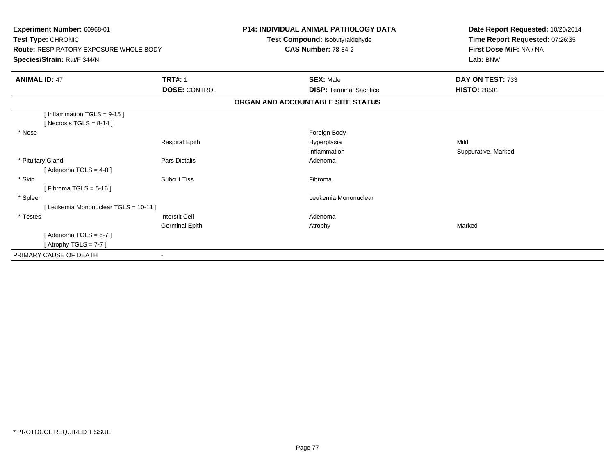| Experiment Number: 60968-01<br>Test Type: CHRONIC<br>Route: RESPIRATORY EXPOSURE WHOLE BODY<br>Species/Strain: Rat/F 344/N |                       | <b>P14: INDIVIDUAL ANIMAL PATHOLOGY DATA</b><br>Test Compound: Isobutyraldehyde<br><b>CAS Number: 78-84-2</b> | Date Report Requested: 10/20/2014<br>Time Report Requested: 07:26:35<br>First Dose M/F: NA / NA<br>Lab: BNW |
|----------------------------------------------------------------------------------------------------------------------------|-----------------------|---------------------------------------------------------------------------------------------------------------|-------------------------------------------------------------------------------------------------------------|
| <b>ANIMAL ID: 47</b>                                                                                                       | <b>TRT#: 1</b>        | <b>SEX: Male</b>                                                                                              | DAY ON TEST: 733                                                                                            |
|                                                                                                                            | <b>DOSE: CONTROL</b>  | <b>DISP: Terminal Sacrifice</b>                                                                               | <b>HISTO: 28501</b>                                                                                         |
|                                                                                                                            |                       | ORGAN AND ACCOUNTABLE SITE STATUS                                                                             |                                                                                                             |
| [Inflammation $TGLS = 9-15$ ]<br>[Necrosis TGLS = $8-14$ ]                                                                 |                       |                                                                                                               |                                                                                                             |
| * Nose                                                                                                                     |                       | Foreign Body                                                                                                  |                                                                                                             |
|                                                                                                                            | <b>Respirat Epith</b> | Hyperplasia                                                                                                   | Mild                                                                                                        |
|                                                                                                                            |                       | Inflammation                                                                                                  | Suppurative, Marked                                                                                         |
| * Pituitary Gland                                                                                                          | <b>Pars Distalis</b>  | Adenoma                                                                                                       |                                                                                                             |
| [Adenoma TGLS = $4-8$ ]                                                                                                    |                       |                                                                                                               |                                                                                                             |
| * Skin                                                                                                                     | <b>Subcut Tiss</b>    | Fibroma                                                                                                       |                                                                                                             |
| [Fibroma TGLS = $5-16$ ]                                                                                                   |                       |                                                                                                               |                                                                                                             |
| * Spleen                                                                                                                   |                       | Leukemia Mononuclear                                                                                          |                                                                                                             |
| [Leukemia Mononuclear TGLS = 10-11]                                                                                        |                       |                                                                                                               |                                                                                                             |
| * Testes                                                                                                                   | <b>Interstit Cell</b> | Adenoma                                                                                                       |                                                                                                             |
|                                                                                                                            | Germinal Epith        | Atrophy                                                                                                       | Marked                                                                                                      |
| [Adenoma TGLS = $6-7$ ]                                                                                                    |                       |                                                                                                               |                                                                                                             |
| [Atrophy TGLS = $7-7$ ]                                                                                                    |                       |                                                                                                               |                                                                                                             |
| PRIMARY CAUSE OF DEATH                                                                                                     |                       |                                                                                                               |                                                                                                             |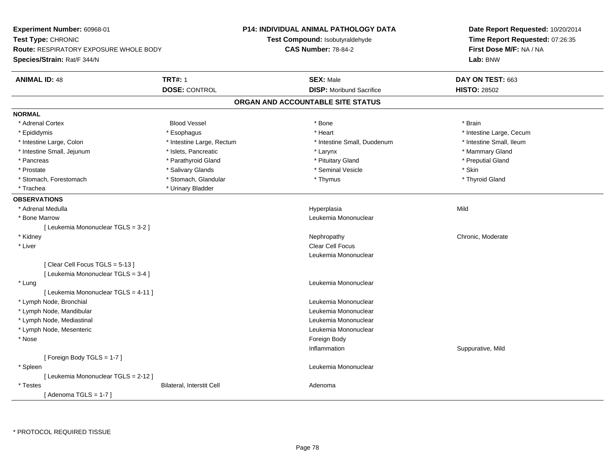| <b>Experiment Number: 60968-01</b><br>Test Type: CHRONIC<br><b>Route: RESPIRATORY EXPOSURE WHOLE BODY</b><br>Species/Strain: Rat/F 344/N |                                        | P14: INDIVIDUAL ANIMAL PATHOLOGY DATA<br>Test Compound: Isobutyraldehyde<br><b>CAS Number: 78-84-2</b> | Date Report Requested: 10/20/2014<br>Time Report Requested: 07:26:35<br>First Dose M/F: NA / NA<br>Lab: BNW |
|------------------------------------------------------------------------------------------------------------------------------------------|----------------------------------------|--------------------------------------------------------------------------------------------------------|-------------------------------------------------------------------------------------------------------------|
| <b>ANIMAL ID: 48</b>                                                                                                                     | <b>TRT#: 1</b><br><b>DOSE: CONTROL</b> | <b>SEX: Male</b><br><b>DISP:</b> Moribund Sacrifice                                                    | DAY ON TEST: 663<br><b>HISTO: 28502</b>                                                                     |
|                                                                                                                                          |                                        | ORGAN AND ACCOUNTABLE SITE STATUS                                                                      |                                                                                                             |
| <b>NORMAL</b>                                                                                                                            |                                        |                                                                                                        |                                                                                                             |
| * Adrenal Cortex                                                                                                                         | <b>Blood Vessel</b>                    | * Bone                                                                                                 | * Brain                                                                                                     |
| * Epididymis                                                                                                                             | * Esophagus                            | * Heart                                                                                                | * Intestine Large, Cecum                                                                                    |
| * Intestine Large, Colon                                                                                                                 | * Intestine Large, Rectum              | * Intestine Small, Duodenum                                                                            | * Intestine Small, Ileum                                                                                    |
| * Intestine Small, Jejunum                                                                                                               | * Islets, Pancreatic                   | * Larynx                                                                                               | * Mammary Gland                                                                                             |
| * Pancreas                                                                                                                               | * Parathyroid Gland                    | * Pituitary Gland                                                                                      | * Preputial Gland                                                                                           |
| * Prostate                                                                                                                               | * Salivary Glands                      | * Seminal Vesicle                                                                                      | * Skin                                                                                                      |
| * Stomach, Forestomach                                                                                                                   | * Stomach, Glandular                   | * Thymus                                                                                               | * Thyroid Gland                                                                                             |
| * Trachea                                                                                                                                | * Urinary Bladder                      |                                                                                                        |                                                                                                             |
| <b>OBSERVATIONS</b>                                                                                                                      |                                        |                                                                                                        |                                                                                                             |
| * Adrenal Medulla                                                                                                                        |                                        | Hyperplasia                                                                                            | Mild                                                                                                        |
| * Bone Marrow                                                                                                                            |                                        | Leukemia Mononuclear                                                                                   |                                                                                                             |
| [ Leukemia Mononuclear TGLS = 3-2 ]                                                                                                      |                                        |                                                                                                        |                                                                                                             |
| * Kidney                                                                                                                                 |                                        | Nephropathy                                                                                            | Chronic, Moderate                                                                                           |
| * Liver                                                                                                                                  |                                        | <b>Clear Cell Focus</b>                                                                                |                                                                                                             |
|                                                                                                                                          |                                        | Leukemia Mononuclear                                                                                   |                                                                                                             |
| [Clear Cell Focus TGLS = 5-13]                                                                                                           |                                        |                                                                                                        |                                                                                                             |
| [ Leukemia Mononuclear TGLS = 3-4 ]                                                                                                      |                                        |                                                                                                        |                                                                                                             |
| * Lung                                                                                                                                   |                                        | Leukemia Mononuclear                                                                                   |                                                                                                             |
| [ Leukemia Mononuclear TGLS = 4-11 ]                                                                                                     |                                        |                                                                                                        |                                                                                                             |
| * Lymph Node, Bronchial                                                                                                                  |                                        | Leukemia Mononuclear                                                                                   |                                                                                                             |
| * Lymph Node, Mandibular                                                                                                                 |                                        | Leukemia Mononuclear                                                                                   |                                                                                                             |
| * Lymph Node, Mediastinal                                                                                                                |                                        | Leukemia Mononuclear                                                                                   |                                                                                                             |
| * Lymph Node, Mesenteric                                                                                                                 |                                        | Leukemia Mononuclear                                                                                   |                                                                                                             |
| * Nose                                                                                                                                   |                                        | Foreign Body                                                                                           |                                                                                                             |
|                                                                                                                                          |                                        | Inflammation                                                                                           | Suppurative, Mild                                                                                           |
| [Foreign Body TGLS = 1-7]                                                                                                                |                                        |                                                                                                        |                                                                                                             |
| * Spleen                                                                                                                                 |                                        | Leukemia Mononuclear                                                                                   |                                                                                                             |
| [ Leukemia Mononuclear TGLS = 2-12 ]                                                                                                     |                                        |                                                                                                        |                                                                                                             |
| * Testes                                                                                                                                 | Bilateral, Interstit Cell              | Adenoma                                                                                                |                                                                                                             |
| [Adenoma TGLS = $1-7$ ]                                                                                                                  |                                        |                                                                                                        |                                                                                                             |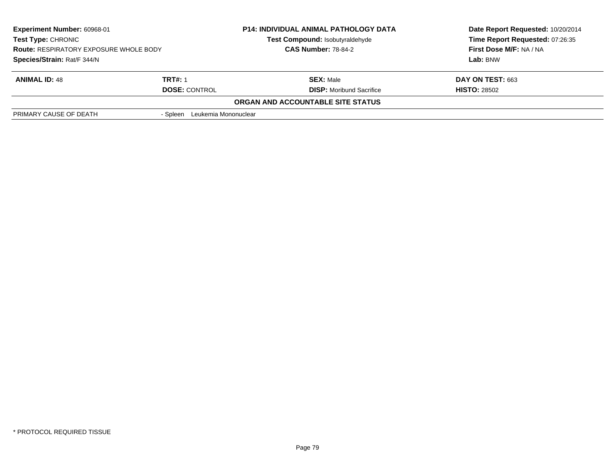| <b>Experiment Number: 60968-01</b><br>Test Type: CHRONIC |                                  | <b>P14: INDIVIDUAL ANIMAL PATHOLOGY DATA</b><br>Test Compound: Isobutyraldehyde | Date Report Requested: 10/20/2014<br>Time Report Requested: 07:26:35 |
|----------------------------------------------------------|----------------------------------|---------------------------------------------------------------------------------|----------------------------------------------------------------------|
| <b>Route: RESPIRATORY EXPOSURE WHOLE BODY</b>            |                                  | <b>CAS Number: 78-84-2</b>                                                      | First Dose M/F: NA / NA                                              |
| Species/Strain: Rat/F 344/N                              |                                  |                                                                                 | Lab: BNW                                                             |
| <b>ANIMAL ID: 48</b>                                     | <b>TRT#: 1</b>                   | <b>SEX: Male</b>                                                                | <b>DAY ON TEST: 663</b>                                              |
|                                                          | <b>DOSE: CONTROL</b>             | <b>DISP:</b> Moribund Sacrifice                                                 | <b>HISTO: 28502</b>                                                  |
|                                                          |                                  | ORGAN AND ACCOUNTABLE SITE STATUS                                               |                                                                      |
| PRIMARY CAUSE OF DEATH                                   | Leukemia Mononuclear<br>- Spleen |                                                                                 |                                                                      |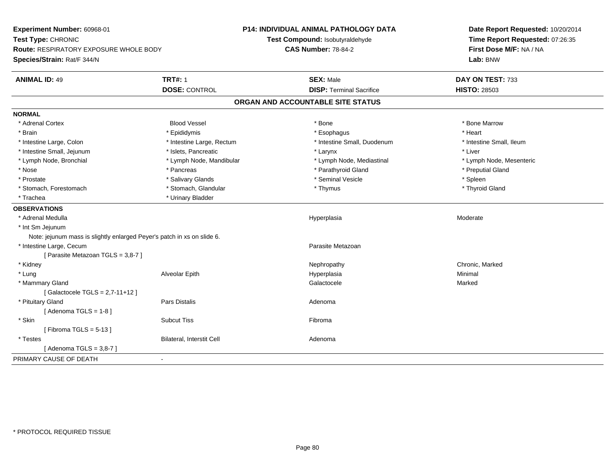| Experiment Number: 60968-01                                             |                                  | P14: INDIVIDUAL ANIMAL PATHOLOGY DATA | Date Report Requested: 10/20/2014 |
|-------------------------------------------------------------------------|----------------------------------|---------------------------------------|-----------------------------------|
| Test Type: CHRONIC                                                      |                                  | Test Compound: Isobutyraldehyde       | Time Report Requested: 07:26:35   |
| Route: RESPIRATORY EXPOSURE WHOLE BODY                                  |                                  | <b>CAS Number: 78-84-2</b>            | First Dose M/F: NA / NA           |
| Species/Strain: Rat/F 344/N                                             |                                  |                                       | Lab: BNW                          |
| <b>ANIMAL ID: 49</b>                                                    | <b>TRT#: 1</b>                   | <b>SEX: Male</b>                      | DAY ON TEST: 733                  |
|                                                                         | <b>DOSE: CONTROL</b>             | <b>DISP: Terminal Sacrifice</b>       | <b>HISTO: 28503</b>               |
|                                                                         |                                  | ORGAN AND ACCOUNTABLE SITE STATUS     |                                   |
| <b>NORMAL</b>                                                           |                                  |                                       |                                   |
| * Adrenal Cortex                                                        | <b>Blood Vessel</b>              | * Bone                                | * Bone Marrow                     |
| * Brain                                                                 | * Epididymis                     | * Esophagus                           | * Heart                           |
| * Intestine Large, Colon                                                | * Intestine Large, Rectum        | * Intestine Small, Duodenum           | * Intestine Small, Ileum          |
| * Intestine Small, Jejunum                                              | * Islets, Pancreatic             | * Larynx                              | * Liver                           |
| * Lymph Node, Bronchial                                                 | * Lymph Node, Mandibular         | * Lymph Node, Mediastinal             | * Lymph Node, Mesenteric          |
| * Nose                                                                  | * Pancreas                       | * Parathyroid Gland                   | * Preputial Gland                 |
| * Prostate                                                              | * Salivary Glands                | * Seminal Vesicle                     | * Spleen                          |
| * Stomach, Forestomach                                                  | * Stomach, Glandular             | * Thymus                              | * Thyroid Gland                   |
| * Trachea                                                               | * Urinary Bladder                |                                       |                                   |
| <b>OBSERVATIONS</b>                                                     |                                  |                                       |                                   |
| * Adrenal Medulla                                                       |                                  | Hyperplasia                           | Moderate                          |
| * Int Sm Jejunum                                                        |                                  |                                       |                                   |
| Note: jejunum mass is slightly enlarged Peyer's patch in xs on slide 6. |                                  |                                       |                                   |
| * Intestine Large, Cecum                                                |                                  | Parasite Metazoan                     |                                   |
| [ Parasite Metazoan TGLS = 3,8-7 ]                                      |                                  |                                       |                                   |
| * Kidney                                                                |                                  | Nephropathy                           | Chronic, Marked                   |
| * Lung                                                                  | Alveolar Epith                   | Hyperplasia                           | Minimal                           |
| * Mammary Gland                                                         |                                  | Galactocele                           | Marked                            |
| [Galactocele TGLS = $2,7-11+12$ ]                                       |                                  |                                       |                                   |
| * Pituitary Gland                                                       | Pars Distalis                    | Adenoma                               |                                   |
| [Adenoma TGLS = $1-8$ ]                                                 |                                  |                                       |                                   |
| * Skin                                                                  | <b>Subcut Tiss</b>               | Fibroma                               |                                   |
| [Fibroma TGLS = $5-13$ ]                                                |                                  |                                       |                                   |
| * Testes                                                                | <b>Bilateral, Interstit Cell</b> | Adenoma                               |                                   |
| [ Adenoma TGLS = 3,8-7 ]                                                |                                  |                                       |                                   |
| PRIMARY CAUSE OF DEATH                                                  |                                  |                                       |                                   |
|                                                                         |                                  |                                       |                                   |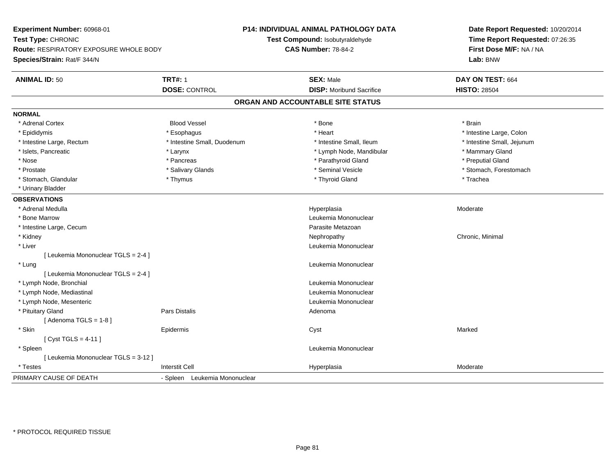**Experiment Number:** 60968-01**Test Type:** CHRONIC **Route:** RESPIRATORY EXPOSURE WHOLE BODY**Species/Strain:** Rat/F 344/N**P14: INDIVIDUAL ANIMAL PATHOLOGY DATATest Compound:** Isobutyraldehyde**CAS Number:** 78-84-2**Date Report Requested:** 10/20/2014**Time Report Requested:** 07:26:35**First Dose M/F:** NA / NA**Lab:** BNW**ANIMAL ID:** 50**TRT#:** 1 **SEX:** Male **DAY ON TEST:** 664 **DOSE:** CONTROL**DISP:** Moribund Sacrifice **HISTO:** 28504 **ORGAN AND ACCOUNTABLE SITE STATUSNORMAL**\* Adrenal Cortex \* Adrenal Cortex \* Brain \* Brain \* Brain \* Brain \* Bood Vessel \* \* \* \* Brain \* Bone \* \* \* \* \* \* \* Brain \* \* Brain \* \* Brain \* \* Brain \* \* Brain \* \* Brain \* \* Brain \* \* Brain \* \* Brain \* \* Brain \* \* Brain \* \* Brain \* \* Brai \* Epididymis **Account 19 and 19 and 19 and 19 and 19 and 19 and 19 and 19 and 19 and 19 and 19 and 19 and 19 and 19 and 19 and 19 and 19 and 19 and 19 and 19 and 19 and 19 and 19 and 19 and 19 and 19 and 19 and 19 and 19 a** \* Intestine Large, Rectum \* Thestine Small, Duodenum \* Number of the small, Ileum \* Intestine Small, Jejunum \* Intestine Small, Jejunum \* Islets, Pancreatic \* The manner of the Larynx \* Larynx \* Lymph Node, Mandibular \* The manner of the manner Mammary Gland \* Preputial Gland \* Nose \* Pancreas \* Parathyroid Gland \* Preputial Gland \* Prostate \* The state \* Salivary Glands \* Seminal Vesicle \* Seminal Vesicle \* Stomach, Forestomach \* Stomach, Glandular \* Thymus \* Thyroid Gland \* Trachea \* Urinary Bladder**OBSERVATIONS** \* Adrenal Medullaa and the state of the state of the state of the Hyperplasia and the Moderate of the Moderate of the Shane and T \* Bone MarrowLeukemia Mononuclear<br>Parasite Metazoan \* Intestine Large, Cecumm and the contract of the contract of the contract of the contract of the contract of the Metazoan Parasite Metazoan<br>The contract of the contract of the contract of the contract of the contract of the contract of the contr \* Kidneyy the controller of the controller of the controller of the controller of the controller of the controller of the controller of the controller of the controller of the controller of the controller of the controller of the \* Liver Leukemia Mononuclear [ Leukemia Mononuclear TGLS = 2-4 ] \* Lung Leukemia Mononuclear [ Leukemia Mononuclear TGLS = 2-4 ] \* Lymph Node, Bronchial Leukemia Mononuclear \* Lymph Node, Mediastinal Leukemia Mononuclear \* Lymph Node, Mesenteric Leukemia Mononuclear \* Pituitary Glandd and the contract of Pars Distalis and the contract of Adenoma and Adenoma and the Adenoma and the Adenoma and  $\lambda$  $[$  Adenoma TGLS = 1-8  $]$  \* Skinn and the extent of the extended of the extended of the extended of the extended of the extended of the extend<br>In the extended of the extended of the extended of the extended of the extended of the extended of the extended [ Cyst TGLS = 4-11 ] \* Spleen Leukemia Mononuclear [ Leukemia Mononuclear TGLS = 3-12 ] \* Testess Interstit Cell Hyperplasia Hyperplasia eta alderate eta alderate eta alderate eta alderate eta alderate eta alderate eta alderate PRIMARY CAUSE OF DEATH- Spleen Leukemia Mononuclear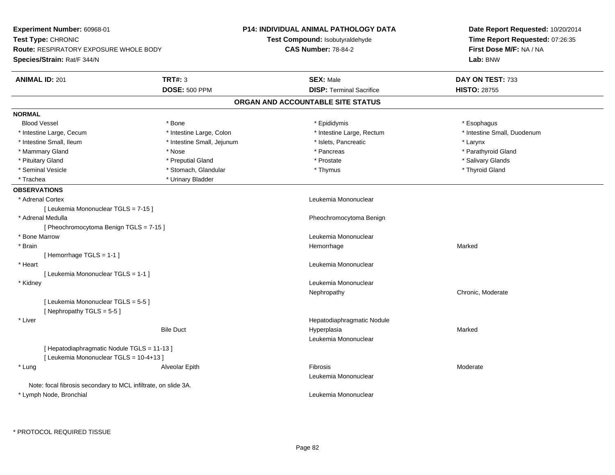| Experiment Number: 60968-01                                    |                            | <b>P14: INDIVIDUAL ANIMAL PATHOLOGY DATA</b> | Date Report Requested: 10/20/2014 |
|----------------------------------------------------------------|----------------------------|----------------------------------------------|-----------------------------------|
| Test Type: CHRONIC                                             |                            | Test Compound: Isobutyraldehyde              | Time Report Requested: 07:26:35   |
| <b>Route: RESPIRATORY EXPOSURE WHOLE BODY</b>                  |                            | <b>CAS Number: 78-84-2</b>                   | First Dose M/F: NA / NA           |
| Species/Strain: Rat/F 344/N                                    |                            |                                              | Lab: BNW                          |
| <b>ANIMAL ID: 201</b>                                          | <b>TRT#: 3</b>             | <b>SEX: Male</b>                             | DAY ON TEST: 733                  |
|                                                                | DOSE: 500 PPM              | <b>DISP: Terminal Sacrifice</b>              | <b>HISTO: 28755</b>               |
|                                                                |                            | ORGAN AND ACCOUNTABLE SITE STATUS            |                                   |
| <b>NORMAL</b>                                                  |                            |                                              |                                   |
| <b>Blood Vessel</b>                                            | * Bone                     | * Epididymis                                 | * Esophagus                       |
| * Intestine Large, Cecum                                       | * Intestine Large, Colon   | * Intestine Large, Rectum                    | * Intestine Small, Duodenum       |
| * Intestine Small, Ileum                                       | * Intestine Small, Jejunum | * Islets, Pancreatic                         | * Larynx                          |
| * Mammary Gland                                                | * Nose                     | * Pancreas                                   | * Parathyroid Gland               |
| * Pituitary Gland                                              | * Preputial Gland          | * Prostate                                   | * Salivary Glands                 |
| * Seminal Vesicle                                              | * Stomach, Glandular       | * Thymus                                     | * Thyroid Gland                   |
| * Trachea                                                      | * Urinary Bladder          |                                              |                                   |
| <b>OBSERVATIONS</b>                                            |                            |                                              |                                   |
| * Adrenal Cortex                                               |                            | Leukemia Mononuclear                         |                                   |
| [ Leukemia Mononuclear TGLS = 7-15 ]                           |                            |                                              |                                   |
| * Adrenal Medulla                                              |                            | Pheochromocytoma Benign                      |                                   |
| [ Pheochromocytoma Benign TGLS = 7-15 ]                        |                            |                                              |                                   |
| * Bone Marrow                                                  |                            | Leukemia Mononuclear                         |                                   |
| * Brain                                                        |                            | Hemorrhage                                   | Marked                            |
| [Hemorrhage TGLS = 1-1]                                        |                            |                                              |                                   |
| * Heart                                                        |                            | Leukemia Mononuclear                         |                                   |
| [ Leukemia Mononuclear TGLS = 1-1 ]                            |                            |                                              |                                   |
| * Kidney                                                       |                            | Leukemia Mononuclear                         |                                   |
|                                                                |                            | Nephropathy                                  | Chronic, Moderate                 |
| [ Leukemia Mononuclear TGLS = 5-5 ]                            |                            |                                              |                                   |
| [Nephropathy TGLS = 5-5]                                       |                            |                                              |                                   |
| * Liver                                                        |                            | Hepatodiaphragmatic Nodule                   |                                   |
|                                                                | <b>Bile Duct</b>           | Hyperplasia                                  | Marked                            |
|                                                                |                            | Leukemia Mononuclear                         |                                   |
| [ Hepatodiaphragmatic Nodule TGLS = 11-13 ]                    |                            |                                              |                                   |
| [ Leukemia Mononuclear TGLS = 10-4+13 ]                        |                            |                                              |                                   |
| * Lung                                                         | Alveolar Epith             | Fibrosis                                     | Moderate                          |
|                                                                |                            | Leukemia Mononuclear                         |                                   |
| Note: focal fibrosis secondary to MCL infiltrate, on slide 3A. |                            |                                              |                                   |
| * Lymph Node, Bronchial                                        |                            | Leukemia Mononuclear                         |                                   |
|                                                                |                            |                                              |                                   |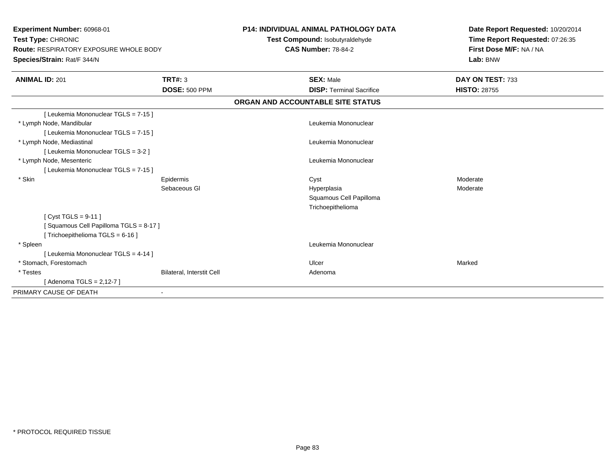**Experiment Number:** 60968-01**Test Type:** CHRONIC **Route:** RESPIRATORY EXPOSURE WHOLE BODY**Species/Strain:** Rat/F 344/N**P14: INDIVIDUAL ANIMAL PATHOLOGY DATATest Compound:** Isobutyraldehyde**CAS Number:** 78-84-2**Date Report Requested:** 10/20/2014**Time Report Requested:** 07:26:35**First Dose M/F:** NA / NA**Lab:** BNW**ANIMAL ID:** 201**TRT#:** 3 **SEX:** Male **DAY ON TEST:** 733 **DOSE:** 500 PPM**DISP:** Terminal Sacrifice **HISTO:** 28755 **ORGAN AND ACCOUNTABLE SITE STATUS**[ Leukemia Mononuclear TGLS = 7-15 ] \* Lymph Node, Mandibular Leukemia Mononuclear [ Leukemia Mononuclear TGLS = 7-15 ] \* Lymph Node, Mediastinal Leukemia Mononuclear[ Leukemia Mononuclear TGLS = 3-2 ] \* Lymph Node, Mesenteric Leukemia Mononuclear [ Leukemia Mononuclear TGLS = 7-15 ] \* Skinn and the experiment of the experiment of the experiment of the experiment of the experiment of the experiment of the experiment of the experiment of the experiment of the experiment of the experiment of the experiment of Sebaceous Gl Hyperplasiaa **Moderate** Squamous Cell PapillomaTrichoepithelioma[ Cyst TGLS = 9-11 ][ Squamous Cell Papilloma TGLS = 8-17 ][ Trichoepithelioma TGLS = 6-16 ] \* Spleenn and the control of the control of the control of the control of the control of the control of the control of the control of the control of the control of the control of the control of the control of the control of the co [ Leukemia Mononuclear TGLS = 4-14 ] \* Stomach, Forestomachh ann an t-ainmeile ann an t-ainmeile ann an t-ainmeile an t-ainmeile ann an t-ainmeile an t-ainmeile an Marked \* TestesBilateral, Interstit Cell **Adenoma** [ Adenoma TGLS = 2,12-7 ]PRIMARY CAUSE OF DEATH-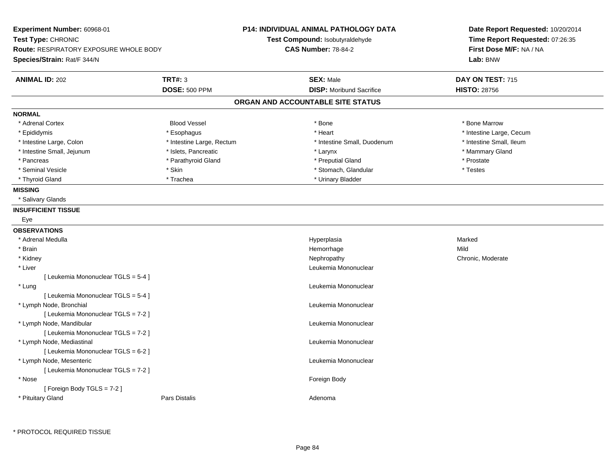| Experiment Number: 60968-01<br>Test Type: CHRONIC<br><b>Route: RESPIRATORY EXPOSURE WHOLE BODY</b><br>Species/Strain: Rat/F 344/N |                           | <b>P14: INDIVIDUAL ANIMAL PATHOLOGY DATA</b><br>Test Compound: Isobutyraldehyde<br><b>CAS Number: 78-84-2</b> | Date Report Requested: 10/20/2014<br>Time Report Requested: 07:26:35<br>First Dose M/F: NA / NA<br>Lab: BNW |
|-----------------------------------------------------------------------------------------------------------------------------------|---------------------------|---------------------------------------------------------------------------------------------------------------|-------------------------------------------------------------------------------------------------------------|
| <b>ANIMAL ID: 202</b>                                                                                                             | <b>TRT#: 3</b>            | <b>SEX: Male</b>                                                                                              | DAY ON TEST: 715                                                                                            |
|                                                                                                                                   | <b>DOSE: 500 PPM</b>      | <b>DISP:</b> Moribund Sacrifice                                                                               | <b>HISTO: 28756</b>                                                                                         |
|                                                                                                                                   |                           | ORGAN AND ACCOUNTABLE SITE STATUS                                                                             |                                                                                                             |
| <b>NORMAL</b>                                                                                                                     |                           |                                                                                                               |                                                                                                             |
| * Adrenal Cortex                                                                                                                  | <b>Blood Vessel</b>       | * Bone                                                                                                        | * Bone Marrow                                                                                               |
| * Epididymis                                                                                                                      | * Esophagus               | * Heart                                                                                                       | * Intestine Large, Cecum                                                                                    |
| * Intestine Large, Colon                                                                                                          | * Intestine Large, Rectum | * Intestine Small, Duodenum                                                                                   | * Intestine Small, Ileum                                                                                    |
| * Intestine Small, Jejunum                                                                                                        | * Islets, Pancreatic      | * Larynx                                                                                                      | * Mammary Gland                                                                                             |
| * Pancreas                                                                                                                        | * Parathyroid Gland       | * Preputial Gland                                                                                             | * Prostate                                                                                                  |
| * Seminal Vesicle                                                                                                                 | * Skin                    | * Stomach, Glandular                                                                                          | * Testes                                                                                                    |
| * Thyroid Gland                                                                                                                   | * Trachea                 | * Urinary Bladder                                                                                             |                                                                                                             |
| <b>MISSING</b>                                                                                                                    |                           |                                                                                                               |                                                                                                             |
| * Salivary Glands                                                                                                                 |                           |                                                                                                               |                                                                                                             |
| <b>INSUFFICIENT TISSUE</b>                                                                                                        |                           |                                                                                                               |                                                                                                             |
| Eye                                                                                                                               |                           |                                                                                                               |                                                                                                             |
| <b>OBSERVATIONS</b>                                                                                                               |                           |                                                                                                               |                                                                                                             |
| * Adrenal Medulla                                                                                                                 |                           | Hyperplasia                                                                                                   | Marked                                                                                                      |
| * Brain                                                                                                                           |                           | Hemorrhage                                                                                                    | Mild                                                                                                        |
| * Kidney                                                                                                                          |                           | Nephropathy                                                                                                   | Chronic, Moderate                                                                                           |
| * Liver                                                                                                                           |                           | Leukemia Mononuclear                                                                                          |                                                                                                             |
| [ Leukemia Mononuclear TGLS = 5-4 ]                                                                                               |                           |                                                                                                               |                                                                                                             |
| * Lung                                                                                                                            |                           | Leukemia Mononuclear                                                                                          |                                                                                                             |
| [ Leukemia Mononuclear TGLS = 5-4 ]                                                                                               |                           |                                                                                                               |                                                                                                             |
| * Lymph Node, Bronchial                                                                                                           |                           | Leukemia Mononuclear                                                                                          |                                                                                                             |
| [ Leukemia Mononuclear TGLS = 7-2 ]                                                                                               |                           |                                                                                                               |                                                                                                             |
| * Lymph Node, Mandibular                                                                                                          |                           | Leukemia Mononuclear                                                                                          |                                                                                                             |
| [ Leukemia Mononuclear TGLS = 7-2 ]                                                                                               |                           |                                                                                                               |                                                                                                             |
| * Lymph Node, Mediastinal                                                                                                         |                           | Leukemia Mononuclear                                                                                          |                                                                                                             |
| [ Leukemia Mononuclear TGLS = 6-2 ]                                                                                               |                           |                                                                                                               |                                                                                                             |
| * Lymph Node, Mesenteric                                                                                                          |                           | Leukemia Mononuclear                                                                                          |                                                                                                             |
| [ Leukemia Mononuclear TGLS = 7-2 ]                                                                                               |                           |                                                                                                               |                                                                                                             |
| $*$ Nose                                                                                                                          |                           | Foreign Body                                                                                                  |                                                                                                             |
| [ Foreign Body TGLS = $7-2$ ]                                                                                                     |                           |                                                                                                               |                                                                                                             |
| * Pituitary Gland                                                                                                                 | <b>Pars Distalis</b>      | Adenoma                                                                                                       |                                                                                                             |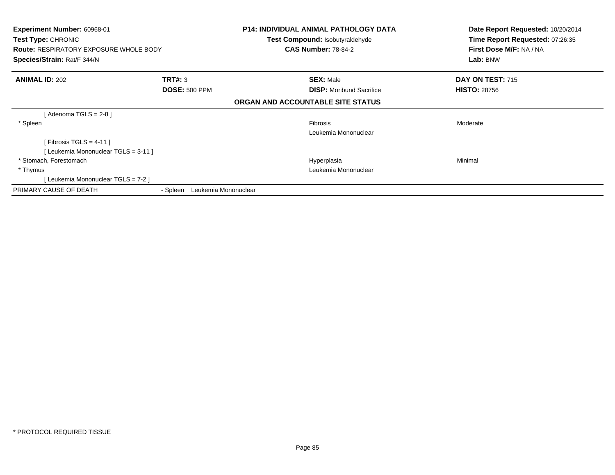| Experiment Number: 60968-01<br><b>Test Type: CHRONIC</b><br><b>Route: RESPIRATORY EXPOSURE WHOLE BODY</b><br>Species/Strain: Rat/F 344/N |                                  | <b>P14: INDIVIDUAL ANIMAL PATHOLOGY DATA</b><br><b>Test Compound: Isobutyraldehyde</b><br><b>CAS Number: 78-84-2</b> | Date Report Requested: 10/20/2014<br>Time Report Requested: 07:26:35<br>First Dose M/F: NA / NA<br>Lab: BNW |
|------------------------------------------------------------------------------------------------------------------------------------------|----------------------------------|----------------------------------------------------------------------------------------------------------------------|-------------------------------------------------------------------------------------------------------------|
| <b>ANIMAL ID: 202</b>                                                                                                                    | TRT#: 3<br><b>DOSE: 500 PPM</b>  | <b>SEX: Male</b><br><b>DISP:</b> Moribund Sacrifice                                                                  | DAY ON TEST: 715<br><b>HISTO: 28756</b>                                                                     |
|                                                                                                                                          |                                  | ORGAN AND ACCOUNTABLE SITE STATUS                                                                                    |                                                                                                             |
| [Adenoma TGLS = $2-8$ ]                                                                                                                  |                                  |                                                                                                                      |                                                                                                             |
| * Spleen                                                                                                                                 |                                  | <b>Fibrosis</b><br>Leukemia Mononuclear                                                                              | Moderate                                                                                                    |
| [Fibrosis TGLS = 4-11]                                                                                                                   |                                  |                                                                                                                      |                                                                                                             |
| [Leukemia Mononuclear TGLS = 3-11]                                                                                                       |                                  |                                                                                                                      |                                                                                                             |
| * Stomach, Forestomach                                                                                                                   |                                  | Hyperplasia                                                                                                          | Minimal                                                                                                     |
| * Thymus                                                                                                                                 |                                  | Leukemia Mononuclear                                                                                                 |                                                                                                             |
| [Leukemia Mononuclear TGLS = 7-2]                                                                                                        |                                  |                                                                                                                      |                                                                                                             |
| PRIMARY CAUSE OF DEATH                                                                                                                   | Leukemia Mononuclear<br>- Spleen |                                                                                                                      |                                                                                                             |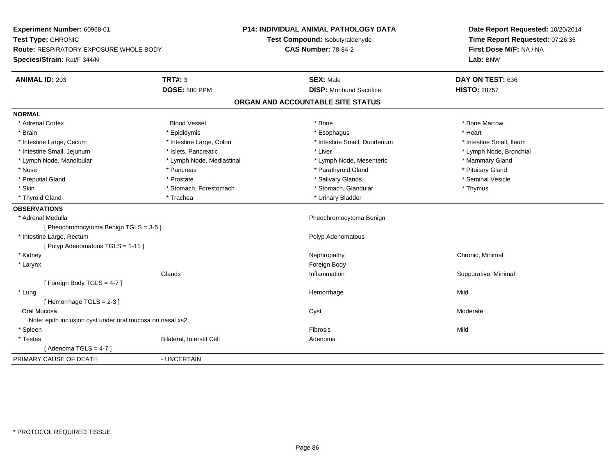**Experiment Number:** 60968-01**Test Type:** CHRONIC **Route:** RESPIRATORY EXPOSURE WHOLE BODY**Species/Strain:** Rat/F 344/N**P14: INDIVIDUAL ANIMAL PATHOLOGY DATATest Compound:** Isobutyraldehyde**CAS Number:** 78-84-2**Date Report Requested:** 10/20/2014**Time Report Requested:** 07:26:35**First Dose M/F:** NA / NA**Lab:** BNW**ANIMAL ID:** 203**TRT#:** 3 **SEX:** Male **DAY ON TEST:** 636 **DOSE:** 500 PPM**DISP:** Moribund Sacrifice **HISTO: 28757 ORGAN AND ACCOUNTABLE SITE STATUSNORMAL**\* Adrenal Cortex \* Adrenal Cortex \* Attack the state of the state of the Blood Vessel the state of the state of the state of the Marrow \* Bone Marrow \* Bone Marrow \* Bone Marrow \* Bone Marrow \* Bone Marrow \* Bone Marrow \* Bone Marrow \* Bon \* Brain \* \* Esophagus \* \* Esophagus \* \* Esophagus \* \* Esophagus \* \* Esophagus \* Heart \* Heart \* Heart \* Heart \* Intestine Large, Cecum \* Intestine Large, Colon \* Intestine Small, Duodenum \* Intestine Small, Ileum\* Lymph Node, Bronchial \* Intestine Small, Jejunum \* 1992 \* Islets, Pancreatic \* Liver \* Liver \* Liver \* Lymph Node, Mandibular \* The mode of the Mediastinal The Mediastinal the Mediastinal the Mediasting the Mammary Gland \* Nose \* Pancreas \* Pancreas \* Pancreas \* Parathyroid Gland \* Parathyroid Gland \* Pituitary Gland \* Pituitary Stand \* Pituitary Communisty of the standard \* Parathyroid Gland \* Pituitary Gland \* Pituitary Gland \* Pituitary \* Seminal Vesicle \* Preputial Gland \* \* Annual vesicle \* \* Prostate \* \* Salivary Glands \* \* Salivary Glands \* \* Seminal Vesicle \* \* Skin \* Stomach, Forestomach \* Stomach \* Stomach, Glandular \* Thymus \* Thymus \* Thyroid Gland \* Trachea \* Trachea \* Trachea \* Thyroid Gland **OBSERVATIONS** \* Adrenal Medulla Pheochromocytoma Benign [ Pheochromocytoma Benign TGLS = 3-5 ] \* Intestine Large, Rectum Polyp Adenomatous [ Polyp Adenomatous TGLS = 1-11 ] \* Kidneyy the controller of the controller of the controller of the controller of the controller of the controller of the controller of the controller of the controller of the controller of the controller of the controller of the \* Larynx**x** and the contract of the contract of the contract of the contract of the contract of the contract of the contract of the contract of the contract of the contract of the contract of the contract of the contract of the co Glands Inflammation Suppurative, Minimal [ Foreign Body TGLS = 4-7 ] \* Lungg and the state of the state of the state of the state of the Hemorrhage state of the Mild of the Mild of the S [ Hemorrhage TGLS = 2-3 ] Oral Mucosaend a between the controller of the controller of the controller of the Cyst of the Cyst of the Moderate of the Moderate of the Cyst of the Cyst of the Cyst of the Cyst of the Cyst of the Cyst of the Cyst of the Cyst of th Note: epith inclusion cyst under oral mucosa on nasal xs2. \* Spleenn and the control of the control of the control of the control of the control of the control of the control of the control of the control of the control of the control of the control of the control of the control of the co \* TestesBilateral, Interstit Cell **Adenoma** Adenoma  $[$  Adenoma TGLS = 4-7  $]$ PRIMARY CAUSE OF DEATH- UNCERTAIN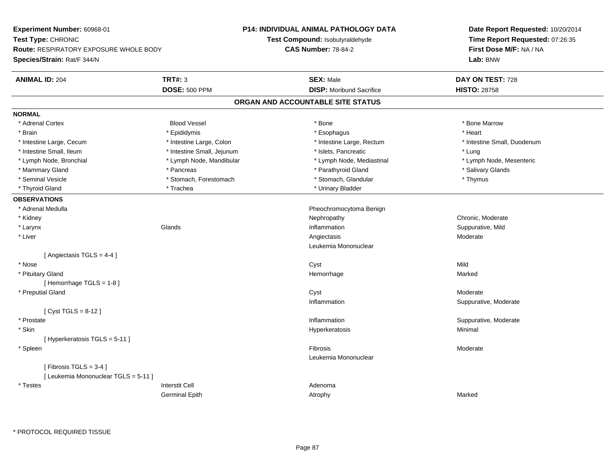**Experiment Number:** 60968-01**Test Type:** CHRONIC **Route:** RESPIRATORY EXPOSURE WHOLE BODY**Species/Strain:** Rat/F 344/N**P14: INDIVIDUAL ANIMAL PATHOLOGY DATATest Compound:** Isobutyraldehyde**CAS Number:** 78-84-2**Date Report Requested:** 10/20/2014**Time Report Requested:** 07:26:35**First Dose M/F:** NA / NA**Lab:** BNW**ANIMAL ID:** 204 **TRT#:** <sup>3</sup> **SEX:** Male **DAY ON TEST:** <sup>728</sup> **DOSE:** 500 PPM**DISP:** Moribund Sacrifice **HISTO:** 28758 **ORGAN AND ACCOUNTABLE SITE STATUSNORMAL**\* Adrenal Cortex \* Adrenal Cortex \* Attack the state of the state of the Blood Vessel the state of the state of the state of the Marrow \* Bone Marrow \* Bone Marrow \* Bone Marrow \* Bone Marrow \* Bone Marrow \* Bone Marrow \* Bone Marrow \* Bon \* Brain \* \* Esophagus \* \* Esophagus \* \* Esophagus \* \* Esophagus \* \* Esophagus \* Heart \* Heart \* Heart \* Heart \* Intestine Large, Cecum \* Intestine Large, Colon \* Intestine Large, Rectum \* Intestine Small, Duodenum\* Intestine Small, Ileum \* https://www.fatheratic \* Lung \* Intestine Small, Jejunum \* Islets, Pancreatic \* Lung \* Lung \* Lymph Node, Mesenteric \* Lymph Node, Bronchial \* Lymph Node, Mandibular \* Lymph Node, Mediastinal \* Lymph Node, Mediastinal \* Mammary Gland \* \* Andreas \* \* Pancreas \* \* Parathyroid Gland \* \* Parathyroid Gland \* \* Salivary Glands \* Salivary Glands \* Salivary Glands \* Salivary Glands \* Salivary Glands \* Salivary Glands \* Salivary Glands \* Salivar \* Seminal Vesicle \* Thymus \* Stomach, Forestomach \* Northern \* Stomach, Glandular \* Thymus \* Thymus \* Thyroid Gland \* Trachea \* Trachea \* Trachea \* Urinary Bladder **OBSERVATIONS** \* Adrenal Medulla Pheochromocytoma Benign \* Kidneyy which is a controlled that the controller controller the chronic of the chronic chronic, Moderate  $\lambda$ n Suppurative, Mild \* Larynxx and the set of the Glands of the Glands of the set of the set of the set of the set of the set of the set of the set of the set of the set of the set of the set of the set of the set of the set of the set of the set of t \* Liverr and the contract of the contract of the contract of the contract of the contract of the contract of the contract of the contract of the contract of the contract of the contract of the contract of the contract of the cont Angiectasis Moderate Leukemia Mononuclear[ Angiectasis TGLS = 4-4 ] \* Nosee and the control of the control of the control of the control of the control of the control of the control of the control of the control of the control of the control of the control of the control of the control of the co \* Pituitary Glandd and the state of the state of the state of the state of the Marked Marked of the State of the Marked of the Marked of the State of the Marked of the State of the Marked of the State of the State of the State of the State [ Hemorrhage TGLS = 1-8 ] \* Preputial Glandd and the control of the control of the control of the control of the control of the control of the control of the control of the control of the control of the control of the control of the control of the control of the co Inflammation Suppurative, Moderate [ Cyst TGLS = 8-12 ] \* Prostatee inflammation inflammation in the support of the Suppurative, Moderate expansion in the Suppurative, Moderate \* Skinn and the state of the state of the state of the state of the Hyperkeratosis and the state of the Minimal state of the state of the state of the state of the state of the state of the state of the state of the state of the [ Hyperkeratosis TGLS = 5-11 ] \* Spleenn and the state of the state of the state of the state of the state of the state of the state of the state of the state of the state of the state of the state of the state of the state of the state of the state of the stat Leukemia Mononuclear $[$  Fibrosis TGLS = 3-4  $]$ [ Leukemia Mononuclear TGLS = 5-11 ] \* Testes Interstit Cell AdenomaGerminal Epithh and the control of the Atrophy and the Marked Marked Marked Street and the Marked Street and Marked Street and Marked Street and Marked Street and Marked Street and Marked Street and Marked Street and Marked Street and M

\* PROTOCOL REQUIRED TISSUE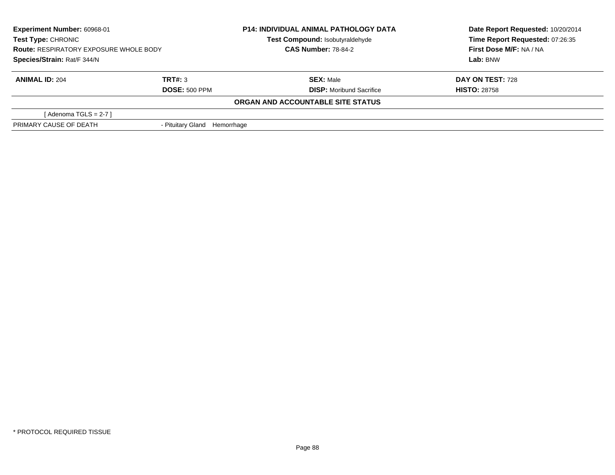| Experiment Number: 60968-01<br><b>Test Type: CHRONIC</b><br><b>Route: RESPIRATORY EXPOSURE WHOLE BODY</b> |                                 | <b>P14: INDIVIDUAL ANIMAL PATHOLOGY DATA</b> | Date Report Requested: 10/20/2014<br>Time Report Requested: 07:26:35 |
|-----------------------------------------------------------------------------------------------------------|---------------------------------|----------------------------------------------|----------------------------------------------------------------------|
|                                                                                                           |                                 | Test Compound: Isobutyraldehyde              |                                                                      |
|                                                                                                           |                                 | <b>CAS Number: 78-84-2</b>                   | First Dose M/F: NA / NA                                              |
| Species/Strain: Rat/F 344/N                                                                               |                                 |                                              | Lab: BNW                                                             |
| <b>ANIMAL ID: 204</b>                                                                                     | TRT#: 3                         | <b>SEX: Male</b>                             | DAY ON TEST: 728                                                     |
|                                                                                                           | <b>DOSE: 500 PPM</b>            | <b>DISP:</b> Moribund Sacrifice              | <b>HISTO: 28758</b>                                                  |
|                                                                                                           |                                 | ORGAN AND ACCOUNTABLE SITE STATUS            |                                                                      |
| [Adenoma TGLS = $2-7$ ]                                                                                   |                                 |                                              |                                                                      |
| PRIMARY CAUSE OF DEATH                                                                                    | - Pituitary Gland<br>Hemorrhage |                                              |                                                                      |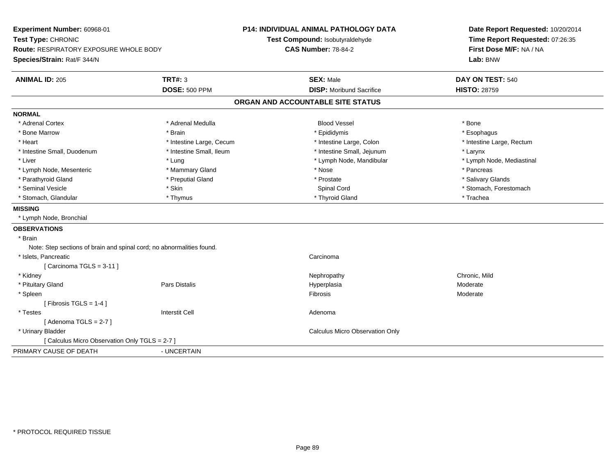**Experiment Number:** 60968-01**Test Type:** CHRONIC **Route:** RESPIRATORY EXPOSURE WHOLE BODY**Species/Strain:** Rat/F 344/N**P14: INDIVIDUAL ANIMAL PATHOLOGY DATATest Compound:** Isobutyraldehyde**CAS Number:** 78-84-2**Date Report Requested:** 10/20/2014**Time Report Requested:** 07:26:35**First Dose M/F:** NA / NA**Lab:** BNW**ANIMAL ID:** 205**TRT#:** 3 **SEX:** Male **DAY ON TEST:** 540 **DOSE:** 500 PPM**DISP:** Moribund Sacrifice **HISTO:** 28759 **ORGAN AND ACCOUNTABLE SITE STATUSNORMAL**\* Adrenal Cortex \* Adrenal Cortex \* Adrenal Medulla Blood Vessel \* Bone\* Esophagus \* Bone Marrow \* Brain \* Epididymis \* Esophagus \* Intestine Large, Rectum \* Heart \* Intestine Large, Cecum \* Intestine Large, Cecum \* Intestine Large, Colon \* Intestine Small, Duodenum \* Intestine Small, Ileum \* Intestine Small, Jejunum \* Larynx\* Lymph Node, Mediastinal \* Liver \* Lung \* Lung \* Lung \* Lung \* Lymph Node, Mandibular \* Lymph Node, Mandibular \* Lymph Node, Mesenteric \* \* The mannery Gland \* Mammary Gland \* Nose \* Nose \* \* Pancreas \* Pancreas \* Pancreas \* Salivary Glands \* Parathyroid Gland \* **Example 20** \* Preputial Gland \* Prostate \*  $\frac{1}{2}$  \* Prostate \*  $\frac{1}{2}$  \* Prostate \* Seminal Vesicle \* The state of the set of the Spinal Cord \* Spinal Cord \* Stomach, Forestomach \* Stomach, Forestomach \* Stomach, Glandular \* Thymus \* Thyroid Gland \* Trachea**MISSING** \* Lymph Node, Bronchial**OBSERVATIONS** \* Brain Note: Step sections of brain and spinal cord; no abnormalities found. \* Islets, Pancreaticc contract the contract of the contract of the contract of the contract of the contract of the contract of the contract of the contract of the contract of the contract of the contract of the contract of the contract of the [ Carcinoma TGLS = 3-11 ] \* Kidneyy the controller of the controller of the controller of the controller of the controller of the chronic, Mild \* Pituitary Gland Pars Distalis Hyperplasia Moderate \* Spleenn and the contract of the contract of the contract of the contract of the contract of the contract of the contract of the contract of the contract of the contract of the contract of the contract of the contract of the cont  $[$  Fibrosis TGLS = 1-4  $]$  \* Testess and the contractive contractive contractive contractive contractive contractive contractive contractive contractive contractive contractive contractive contractive contractive contractive contractive contractive contract  $[$  Adenoma TGLS = 2-7  $]$  \* Urinary Bladder Calculus Micro Observation Only[ Calculus Micro Observation Only TGLS = 2-7 ]PRIMARY CAUSE OF DEATH- UNCERTAIN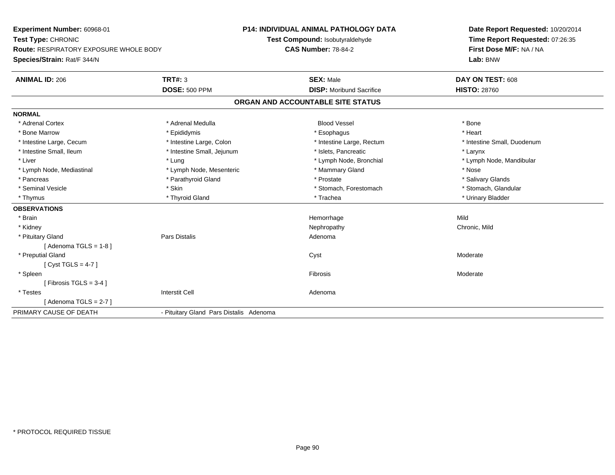**Experiment Number:** 60968-01**Test Type:** CHRONIC **Route:** RESPIRATORY EXPOSURE WHOLE BODY**Species/Strain:** Rat/F 344/N**P14: INDIVIDUAL ANIMAL PATHOLOGY DATATest Compound:** Isobutyraldehyde**CAS Number:** 78-84-2**Date Report Requested:** 10/20/2014**Time Report Requested:** 07:26:35**First Dose M/F:** NA / NA**Lab:** BNW**ANIMAL ID:** 206**TRT#:** 3 **SEX:** Male **DAY ON TEST:** 608 **DOSE:** 500 PPM**DISP:** Moribund Sacrifice **HISTO:** 28760 **ORGAN AND ACCOUNTABLE SITE STATUSNORMAL**\* Adrenal Cortex \* Adrenal Medulla \* \* Book \* Blood Vessel \* Book \* Bone \* Bone \* Bone \* Bone \* Bone \* Bone \* Bone \* Bone \* Bone \* Heart \* Bone Marrow \* Epididymis \* Esophagus \* Heart \* Intestine Large, Cecum \* Intestine Large, Colon \* Intestine Large, Rectum \* Intestine Small, Duodenum \* Intestine Small, Ileum \* Intestine Small, Jejunum \* Islets, Pancreatic \* Larynx\* Liver which is the settlement of the term of the settlement of the settlement of the settlement of the settlement of the settlement of the settlement of the settlement of the settlement of the settlement of the settlemen \* Lymph Node, Mediastinal \* Nose \* Lymph Node, Mesenteric \* \* Mammary Gland \* Memmary Gland \* Nose \* Salivary Glands \* Pancreas \* And the second term in the second term in the second term in the second term in the second term in the second term in the second term in the second term in the second term in the second term in the second term \* Stomach, Glandular \* Seminal Vesicle \* Skin \* Skin \* Skin \* Stomach, Forestomach \* Stomach, Forestomach \* Thymus \* Thyroid Gland \* Trachea \* Urinary Bladder \* **OBSERVATIONS** \* Brainn and the state of the state of the state of the state of the Mild and the Mild and the Mild and the Mild and the Mild and the Mild and the Mild and the Mild and the Mild and the Mild and the Mild and the Mild and the Mild \* Kidneyy the controller of the controller of the controller of the controller of the controller of the chronic, Mild \* Pituitary Glandd and the contract of Pars Distalis and the contract of Adenoma and Adenoma and the Adenoma and the Adenoma and  $\lambda$  $[$  Adenoma TGLS = 1-8  $]$  \* Preputial Glandd and the control of the control of the control of the control of the control of the control of the control of the control of the control of the control of the control of the control of the control of the control of the co [ Cyst TGLS = 4-7 ] \* Spleenn and the state of the state of the state of the state of the state of the state of the state of the state of the state of the state of the state of the state of the state of the state of the state of the state of the stat  $[$  Fibrosis TGLS = 3-4  $]$  \* Testes Interstit Cell Adenoma $[$  Adenoma TGLS = 2-7  $]$ PRIMARY CAUSE OF DEATH- Pituitary Gland Pars Distalis Adenoma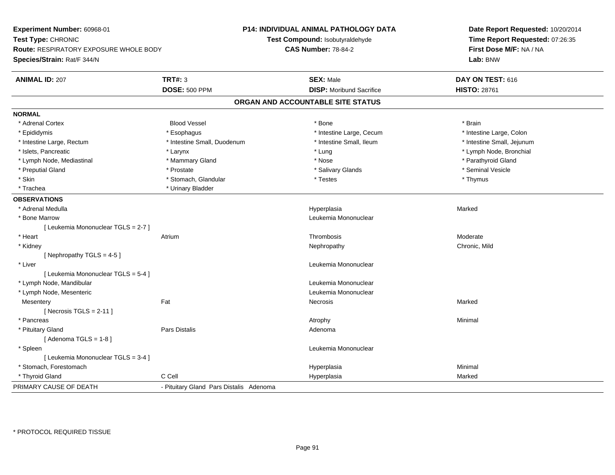**Experiment Number:** 60968-01**Test Type:** CHRONIC **Route:** RESPIRATORY EXPOSURE WHOLE BODY**Species/Strain:** Rat/F 344/N**P14: INDIVIDUAL ANIMAL PATHOLOGY DATATest Compound:** Isobutyraldehyde**CAS Number:** 78-84-2**Date Report Requested:** 10/20/2014**Time Report Requested:** 07:26:35**First Dose M/F:** NA / NA**Lab:** BNW**ANIMAL ID:** 207**TRT#:** 3 **SEX:** Male **DAY ON TEST:** 616 **DOSE:** 500 PPM**DISP:** Moribund Sacrifice **HISTO:** 28761 **ORGAN AND ACCOUNTABLE SITE STATUSNORMAL**\* Adrenal Cortex \* Adrenal Cortex \* Brain \* Brain \* Brain \* Brain \* Bood Vessel \* \* \* \* Brain \* Bone \* \* \* \* \* \* \* Brain \* \* Brain \* \* Brain \* \* Brain \* \* Brain \* \* Brain \* \* Brain \* \* Brain \* \* Brain \* \* Brain \* \* Brain \* \* Brain \* \* Brai \* Intestine Large, Colon \* Epididymis \* Esophagus \* Esophagus \* Esophagus \* 11testine Large, Cecum \* Intestine Large, Rectum \* Thestine Small, Duodenum \* Number of the small, Ileum \* Intestine Small, Jejunum \* Intestine Small, Jejunum \* Islets, Pancreatic \* Larynx \* Lung \* Lymph Node, Bronchial \* Lymph Node, Mediastinal \* \* Mammary Gland \* Mammary Gland \* Nose \* \* Nose \* \* Parathyroid Gland \* Parathyroid Gland \* Preputial Gland \* \* Annual vesicle \* \* Prostate \* \* Salivary Glands \* \* Salivary Glands \* \* Seminal Vesicle \* \* Skin \* Stomach, Glandular \* \* Thymus \* Testes \* Thymus \* Thymus \* Thymus \* Thymus \* Thymus \* Thymus \* \* Thymus \* Trachea **\*** Urinary Bladder **OBSERVATIONS** \* Adrenal Medullaa and the state of the state of the state of the state of the Hyperplasia and the Marked Marked of the State o \* Bone Marrow Leukemia Mononuclear [ Leukemia Mononuclear TGLS = 2-7 ] \* Heart Atrium Thrombosis Moderate \* Kidneyy the controller of the controller of the controller of the controller of the controller of the chronic, Mild [ Nephropathy  $TGLS = 4-5$  ] \* Liver Leukemia Mononuclear [ Leukemia Mononuclear TGLS = 5-4 ] \* Lymph Node, Mandibular Leukemia Mononuclear \* Lymph Node, Mesenteric Leukemia Mononuclear **Mesentery** y the control of the Marked States of the Marked States of the Marked States of the Marked States of the Marked States of the Marked States of the Marked States of the Marked States of the Marked States of the Marked State  $[$  Necrosis TGLS = 2-11  $]$  \* Pancreass the control of the control of the control of the control of the control of the control of the control of the control of the control of the control of the control of the control of the control of the control of the contro \* Pituitary Glandd and the contract of Pars Distalis and the contract of Adenoma and Adenoma and the Adenoma and the Adenoma and  $\lambda$  $[$  Adenoma TGLS = 1-8  $]$  \* Spleen Leukemia Mononuclear [ Leukemia Mononuclear TGLS = 3-4 ] \* Stomach, Forestomachh anns an t-aisimeil anns an t-aisimeil anns an t-aisimeil an t-aisimeil an t-aisimeil an t-aisimeil an t-aisi \* Thyroid Gland C Cell Hyperplasia Marked PRIMARY CAUSE OF DEATH- Pituitary Gland Pars Distalis Adenoma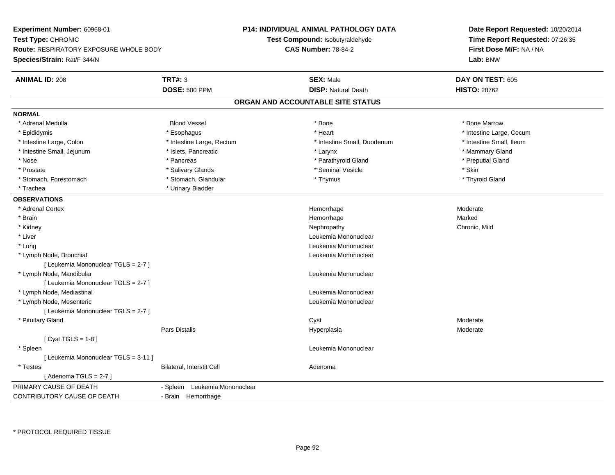**Experiment Number:** 60968-01**Test Type:** CHRONIC **Route:** RESPIRATORY EXPOSURE WHOLE BODY**Species/Strain:** Rat/F 344/N**P14: INDIVIDUAL ANIMAL PATHOLOGY DATATest Compound:** Isobutyraldehyde**CAS Number:** 78-84-2**Date Report Requested:** 10/20/2014**Time Report Requested:** 07:26:35**First Dose M/F:** NA / NA**Lab:** BNW**ANIMAL ID:** 208**TRT#:** 3 **SEX:** Male **DAY ON TEST:** 605 **DOSE:** 500 PPM**DISP:** Natural Death **HISTO:** 28762 **ORGAN AND ACCOUNTABLE SITE STATUSNORMAL** \* Adrenal Medulla Blood Vessel \* Bone \* Bone Marrow\* Epididymis \* https://www.fragusta.com/windows/windows/windows/windows/windows/windows/windows/windows/windows/ \* Intestine Small, Ileum \* Intestine Large, Colon \* Intestine Large, Rectum \* Intestine Small, Duodenum \* Intestine Small, Duodenum \* Intestine Small, Jejunum \* \* The mannery Gland \* \* Islets, Pancreatic \* The mannery Stand \* Larynx \* Larynx \* Mammary Gland \* Preputial Gland \* Nose \* Pancreas \* Parathyroid Gland \* Preputial Gland \* Prostate \* \* Salivary Glands \* \* Salivary Glands \* \* Seminal Vesicle \* \* \* Seminal Yestrich \* \* Skin \* \* Skin \* Thyroid Gland \* Stomach, Forestomach \* Thymus \* Stomach, Glandular \* Thymus \* Thymus \* Thymus \* Thymus \* Thymus \* Thymus \* Thymus \* Thymus \* Thymus \* Thymus \* Thymus \* Thymus \* Thymus \* Thymus \* Thymus \* Thymus \* Thymus \* Thymus \* Thymu \* Trachea **\*** Urinary Bladder **OBSERVATIONS** \* Adrenal Cortex**x** and the contract of the contract of the contract of the contract of the contract of the contract of the contract of the contract of the contract of the contract of the contract of the contract of the contract of the co Hemorrhage entitled and the material moderate of Moderate Moderate Moderate entitled and Moderate Moderate Mod<br>Marked \* Brainn and the state of the state of the state of the state of the Marked Marked of the Marked State of the Marked State of the Marked State of the State of the Marked State of the State of the State of the State of the State o \* Kidneyy the controller of the controller of the controller of the controller of the controller of the chronic, Mild \* Liver Leukemia Mononuclear \* Lung Leukemia Mononuclear \* Lymph Node, Bronchial Leukemia Mononuclear[ Leukemia Mononuclear TGLS = 2-7 ] \* Lymph Node, Mandibular Leukemia Mononuclear [ Leukemia Mononuclear TGLS = 2-7 ] \* Lymph Node, Mediastinal Leukemia Mononuclear \* Lymph Node, Mesenteric Leukemia Mononuclear [ Leukemia Mononuclear TGLS = 2-7 ] \* Pituitary Glandd and the control of the control of the control of the control of the control of the control of the control of the control of the control of the control of the control of the control of the control of the control of the co Pars Distalis Hyperplasia Moderate  $[$  Cyst TGLS = 1-8  $]$  \* Spleen Leukemia Mononuclear [ Leukemia Mononuclear TGLS = 3-11 ] \* TestesBilateral, Interstit Cell **Adenoma** Adenoma  $[$  Adenoma TGLS = 2-7  $]$ PRIMARY CAUSE OF DEATH - Spleen Leukemia Mononuclear CONTRIBUTORY CAUSE OF DEATH- Brain Hemorrhage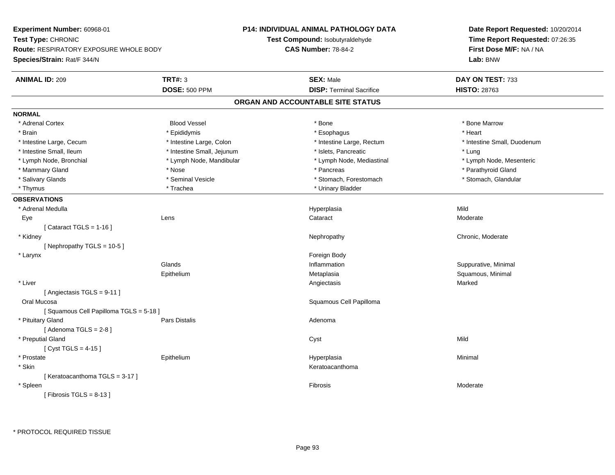| Time Report Requested: 07:26:35<br>Test Type: CHRONIC<br>Test Compound: Isobutyraldehyde<br><b>Route: RESPIRATORY EXPOSURE WHOLE BODY</b><br><b>CAS Number: 78-84-2</b><br>First Dose M/F: NA / NA<br>Species/Strain: Rat/F 344/N<br>Lab: BNW<br><b>TRT#: 3</b><br><b>ANIMAL ID: 209</b><br><b>SEX: Male</b><br>DAY ON TEST: 733<br><b>DISP: Terminal Sacrifice</b><br><b>DOSE: 500 PPM</b><br><b>HISTO: 28763</b><br>ORGAN AND ACCOUNTABLE SITE STATUS<br><b>NORMAL</b><br><b>Blood Vessel</b><br>* Adrenal Cortex<br>* Bone<br>* Bone Marrow<br>* Epididymis<br>* Heart<br>* Brain<br>* Esophagus<br>* Intestine Large, Rectum<br>* Intestine Large, Cecum<br>* Intestine Large, Colon<br>* Intestine Small, Duodenum<br>* Intestine Small, Ileum<br>* Intestine Small, Jejunum<br>* Islets, Pancreatic<br>* Lung<br>* Lymph Node, Mandibular<br>* Lymph Node, Mesenteric<br>* Lymph Node, Bronchial<br>* Lymph Node, Mediastinal<br>* Parathyroid Gland<br>* Mammary Gland<br>* Nose<br>* Pancreas<br>* Seminal Vesicle<br>* Salivary Glands<br>* Stomach, Forestomach<br>* Stomach, Glandular<br>* Thymus<br>* Trachea<br>* Urinary Bladder<br><b>OBSERVATIONS</b><br>Mild<br>* Adrenal Medulla<br>Hyperplasia<br>Cataract<br>Eye<br>Lens<br>Moderate<br>[Cataract TGLS = $1-16$ ]<br>* Kidney<br>Chronic, Moderate<br>Nephropathy<br>[Nephropathy TGLS = 10-5]<br>Foreign Body<br>* Larynx<br>Glands<br>Inflammation<br>Suppurative, Minimal<br>Squamous, Minimal<br>Epithelium<br>Metaplasia<br>* Liver<br>Marked<br>Angiectasis<br>[Angiectasis TGLS = 9-11]<br>Squamous Cell Papilloma<br>Oral Mucosa<br>[Squamous Cell Papilloma TGLS = 5-18]<br>* Pituitary Gland<br>Pars Distalis<br>Adenoma<br>[Adenoma $TGLS = 2-8$ ]<br>* Preputial Gland<br>Mild<br>Cyst<br>[ $Cyst TGLS = 4-15$ ]<br>Hyperplasia<br>* Prostate<br>Epithelium<br>Minimal<br>* Skin<br>Keratoacanthoma<br>[Keratoacanthoma TGLS = 3-17]<br>* Spleen<br>Fibrosis<br>Moderate | Experiment Number: 60968-01 | <b>P14: INDIVIDUAL ANIMAL PATHOLOGY DATA</b> | Date Report Requested: 10/20/2014 |  |
|-----------------------------------------------------------------------------------------------------------------------------------------------------------------------------------------------------------------------------------------------------------------------------------------------------------------------------------------------------------------------------------------------------------------------------------------------------------------------------------------------------------------------------------------------------------------------------------------------------------------------------------------------------------------------------------------------------------------------------------------------------------------------------------------------------------------------------------------------------------------------------------------------------------------------------------------------------------------------------------------------------------------------------------------------------------------------------------------------------------------------------------------------------------------------------------------------------------------------------------------------------------------------------------------------------------------------------------------------------------------------------------------------------------------------------------------------------------------------------------------------------------------------------------------------------------------------------------------------------------------------------------------------------------------------------------------------------------------------------------------------------------------------------------------------------------------------------------------------------------------------------------------------------------------------------------------------------------|-----------------------------|----------------------------------------------|-----------------------------------|--|
|                                                                                                                                                                                                                                                                                                                                                                                                                                                                                                                                                                                                                                                                                                                                                                                                                                                                                                                                                                                                                                                                                                                                                                                                                                                                                                                                                                                                                                                                                                                                                                                                                                                                                                                                                                                                                                                                                                                                                           |                             |                                              |                                   |  |
|                                                                                                                                                                                                                                                                                                                                                                                                                                                                                                                                                                                                                                                                                                                                                                                                                                                                                                                                                                                                                                                                                                                                                                                                                                                                                                                                                                                                                                                                                                                                                                                                                                                                                                                                                                                                                                                                                                                                                           |                             |                                              |                                   |  |
|                                                                                                                                                                                                                                                                                                                                                                                                                                                                                                                                                                                                                                                                                                                                                                                                                                                                                                                                                                                                                                                                                                                                                                                                                                                                                                                                                                                                                                                                                                                                                                                                                                                                                                                                                                                                                                                                                                                                                           |                             |                                              |                                   |  |
|                                                                                                                                                                                                                                                                                                                                                                                                                                                                                                                                                                                                                                                                                                                                                                                                                                                                                                                                                                                                                                                                                                                                                                                                                                                                                                                                                                                                                                                                                                                                                                                                                                                                                                                                                                                                                                                                                                                                                           |                             |                                              |                                   |  |
|                                                                                                                                                                                                                                                                                                                                                                                                                                                                                                                                                                                                                                                                                                                                                                                                                                                                                                                                                                                                                                                                                                                                                                                                                                                                                                                                                                                                                                                                                                                                                                                                                                                                                                                                                                                                                                                                                                                                                           |                             |                                              |                                   |  |
|                                                                                                                                                                                                                                                                                                                                                                                                                                                                                                                                                                                                                                                                                                                                                                                                                                                                                                                                                                                                                                                                                                                                                                                                                                                                                                                                                                                                                                                                                                                                                                                                                                                                                                                                                                                                                                                                                                                                                           |                             |                                              |                                   |  |
|                                                                                                                                                                                                                                                                                                                                                                                                                                                                                                                                                                                                                                                                                                                                                                                                                                                                                                                                                                                                                                                                                                                                                                                                                                                                                                                                                                                                                                                                                                                                                                                                                                                                                                                                                                                                                                                                                                                                                           |                             |                                              |                                   |  |
|                                                                                                                                                                                                                                                                                                                                                                                                                                                                                                                                                                                                                                                                                                                                                                                                                                                                                                                                                                                                                                                                                                                                                                                                                                                                                                                                                                                                                                                                                                                                                                                                                                                                                                                                                                                                                                                                                                                                                           |                             |                                              |                                   |  |
|                                                                                                                                                                                                                                                                                                                                                                                                                                                                                                                                                                                                                                                                                                                                                                                                                                                                                                                                                                                                                                                                                                                                                                                                                                                                                                                                                                                                                                                                                                                                                                                                                                                                                                                                                                                                                                                                                                                                                           |                             |                                              |                                   |  |
|                                                                                                                                                                                                                                                                                                                                                                                                                                                                                                                                                                                                                                                                                                                                                                                                                                                                                                                                                                                                                                                                                                                                                                                                                                                                                                                                                                                                                                                                                                                                                                                                                                                                                                                                                                                                                                                                                                                                                           |                             |                                              |                                   |  |
|                                                                                                                                                                                                                                                                                                                                                                                                                                                                                                                                                                                                                                                                                                                                                                                                                                                                                                                                                                                                                                                                                                                                                                                                                                                                                                                                                                                                                                                                                                                                                                                                                                                                                                                                                                                                                                                                                                                                                           |                             |                                              |                                   |  |
|                                                                                                                                                                                                                                                                                                                                                                                                                                                                                                                                                                                                                                                                                                                                                                                                                                                                                                                                                                                                                                                                                                                                                                                                                                                                                                                                                                                                                                                                                                                                                                                                                                                                                                                                                                                                                                                                                                                                                           |                             |                                              |                                   |  |
|                                                                                                                                                                                                                                                                                                                                                                                                                                                                                                                                                                                                                                                                                                                                                                                                                                                                                                                                                                                                                                                                                                                                                                                                                                                                                                                                                                                                                                                                                                                                                                                                                                                                                                                                                                                                                                                                                                                                                           |                             |                                              |                                   |  |
|                                                                                                                                                                                                                                                                                                                                                                                                                                                                                                                                                                                                                                                                                                                                                                                                                                                                                                                                                                                                                                                                                                                                                                                                                                                                                                                                                                                                                                                                                                                                                                                                                                                                                                                                                                                                                                                                                                                                                           |                             |                                              |                                   |  |
|                                                                                                                                                                                                                                                                                                                                                                                                                                                                                                                                                                                                                                                                                                                                                                                                                                                                                                                                                                                                                                                                                                                                                                                                                                                                                                                                                                                                                                                                                                                                                                                                                                                                                                                                                                                                                                                                                                                                                           |                             |                                              |                                   |  |
|                                                                                                                                                                                                                                                                                                                                                                                                                                                                                                                                                                                                                                                                                                                                                                                                                                                                                                                                                                                                                                                                                                                                                                                                                                                                                                                                                                                                                                                                                                                                                                                                                                                                                                                                                                                                                                                                                                                                                           |                             |                                              |                                   |  |
|                                                                                                                                                                                                                                                                                                                                                                                                                                                                                                                                                                                                                                                                                                                                                                                                                                                                                                                                                                                                                                                                                                                                                                                                                                                                                                                                                                                                                                                                                                                                                                                                                                                                                                                                                                                                                                                                                                                                                           |                             |                                              |                                   |  |
|                                                                                                                                                                                                                                                                                                                                                                                                                                                                                                                                                                                                                                                                                                                                                                                                                                                                                                                                                                                                                                                                                                                                                                                                                                                                                                                                                                                                                                                                                                                                                                                                                                                                                                                                                                                                                                                                                                                                                           |                             |                                              |                                   |  |
|                                                                                                                                                                                                                                                                                                                                                                                                                                                                                                                                                                                                                                                                                                                                                                                                                                                                                                                                                                                                                                                                                                                                                                                                                                                                                                                                                                                                                                                                                                                                                                                                                                                                                                                                                                                                                                                                                                                                                           |                             |                                              |                                   |  |
|                                                                                                                                                                                                                                                                                                                                                                                                                                                                                                                                                                                                                                                                                                                                                                                                                                                                                                                                                                                                                                                                                                                                                                                                                                                                                                                                                                                                                                                                                                                                                                                                                                                                                                                                                                                                                                                                                                                                                           |                             |                                              |                                   |  |
|                                                                                                                                                                                                                                                                                                                                                                                                                                                                                                                                                                                                                                                                                                                                                                                                                                                                                                                                                                                                                                                                                                                                                                                                                                                                                                                                                                                                                                                                                                                                                                                                                                                                                                                                                                                                                                                                                                                                                           |                             |                                              |                                   |  |
|                                                                                                                                                                                                                                                                                                                                                                                                                                                                                                                                                                                                                                                                                                                                                                                                                                                                                                                                                                                                                                                                                                                                                                                                                                                                                                                                                                                                                                                                                                                                                                                                                                                                                                                                                                                                                                                                                                                                                           |                             |                                              |                                   |  |
|                                                                                                                                                                                                                                                                                                                                                                                                                                                                                                                                                                                                                                                                                                                                                                                                                                                                                                                                                                                                                                                                                                                                                                                                                                                                                                                                                                                                                                                                                                                                                                                                                                                                                                                                                                                                                                                                                                                                                           |                             |                                              |                                   |  |
|                                                                                                                                                                                                                                                                                                                                                                                                                                                                                                                                                                                                                                                                                                                                                                                                                                                                                                                                                                                                                                                                                                                                                                                                                                                                                                                                                                                                                                                                                                                                                                                                                                                                                                                                                                                                                                                                                                                                                           |                             |                                              |                                   |  |
|                                                                                                                                                                                                                                                                                                                                                                                                                                                                                                                                                                                                                                                                                                                                                                                                                                                                                                                                                                                                                                                                                                                                                                                                                                                                                                                                                                                                                                                                                                                                                                                                                                                                                                                                                                                                                                                                                                                                                           |                             |                                              |                                   |  |
|                                                                                                                                                                                                                                                                                                                                                                                                                                                                                                                                                                                                                                                                                                                                                                                                                                                                                                                                                                                                                                                                                                                                                                                                                                                                                                                                                                                                                                                                                                                                                                                                                                                                                                                                                                                                                                                                                                                                                           |                             |                                              |                                   |  |
|                                                                                                                                                                                                                                                                                                                                                                                                                                                                                                                                                                                                                                                                                                                                                                                                                                                                                                                                                                                                                                                                                                                                                                                                                                                                                                                                                                                                                                                                                                                                                                                                                                                                                                                                                                                                                                                                                                                                                           |                             |                                              |                                   |  |
|                                                                                                                                                                                                                                                                                                                                                                                                                                                                                                                                                                                                                                                                                                                                                                                                                                                                                                                                                                                                                                                                                                                                                                                                                                                                                                                                                                                                                                                                                                                                                                                                                                                                                                                                                                                                                                                                                                                                                           |                             |                                              |                                   |  |
|                                                                                                                                                                                                                                                                                                                                                                                                                                                                                                                                                                                                                                                                                                                                                                                                                                                                                                                                                                                                                                                                                                                                                                                                                                                                                                                                                                                                                                                                                                                                                                                                                                                                                                                                                                                                                                                                                                                                                           |                             |                                              |                                   |  |
|                                                                                                                                                                                                                                                                                                                                                                                                                                                                                                                                                                                                                                                                                                                                                                                                                                                                                                                                                                                                                                                                                                                                                                                                                                                                                                                                                                                                                                                                                                                                                                                                                                                                                                                                                                                                                                                                                                                                                           |                             |                                              |                                   |  |
|                                                                                                                                                                                                                                                                                                                                                                                                                                                                                                                                                                                                                                                                                                                                                                                                                                                                                                                                                                                                                                                                                                                                                                                                                                                                                                                                                                                                                                                                                                                                                                                                                                                                                                                                                                                                                                                                                                                                                           |                             |                                              |                                   |  |
|                                                                                                                                                                                                                                                                                                                                                                                                                                                                                                                                                                                                                                                                                                                                                                                                                                                                                                                                                                                                                                                                                                                                                                                                                                                                                                                                                                                                                                                                                                                                                                                                                                                                                                                                                                                                                                                                                                                                                           |                             |                                              |                                   |  |
|                                                                                                                                                                                                                                                                                                                                                                                                                                                                                                                                                                                                                                                                                                                                                                                                                                                                                                                                                                                                                                                                                                                                                                                                                                                                                                                                                                                                                                                                                                                                                                                                                                                                                                                                                                                                                                                                                                                                                           |                             |                                              |                                   |  |
|                                                                                                                                                                                                                                                                                                                                                                                                                                                                                                                                                                                                                                                                                                                                                                                                                                                                                                                                                                                                                                                                                                                                                                                                                                                                                                                                                                                                                                                                                                                                                                                                                                                                                                                                                                                                                                                                                                                                                           |                             |                                              |                                   |  |
|                                                                                                                                                                                                                                                                                                                                                                                                                                                                                                                                                                                                                                                                                                                                                                                                                                                                                                                                                                                                                                                                                                                                                                                                                                                                                                                                                                                                                                                                                                                                                                                                                                                                                                                                                                                                                                                                                                                                                           |                             |                                              |                                   |  |
|                                                                                                                                                                                                                                                                                                                                                                                                                                                                                                                                                                                                                                                                                                                                                                                                                                                                                                                                                                                                                                                                                                                                                                                                                                                                                                                                                                                                                                                                                                                                                                                                                                                                                                                                                                                                                                                                                                                                                           |                             |                                              |                                   |  |
|                                                                                                                                                                                                                                                                                                                                                                                                                                                                                                                                                                                                                                                                                                                                                                                                                                                                                                                                                                                                                                                                                                                                                                                                                                                                                                                                                                                                                                                                                                                                                                                                                                                                                                                                                                                                                                                                                                                                                           | [Fibrosis TGLS = $8-13$ ]   |                                              |                                   |  |

\* PROTOCOL REQUIRED TISSUE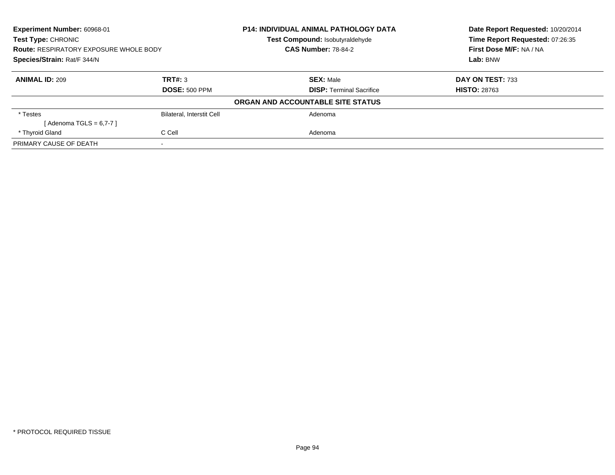| <b>Experiment Number: 60968-01</b>            |                                  | <b>P14: INDIVIDUAL ANIMAL PATHOLOGY DATA</b> | Date Report Requested: 10/20/2014<br>Time Report Requested: 07:26:35 |
|-----------------------------------------------|----------------------------------|----------------------------------------------|----------------------------------------------------------------------|
| Test Type: CHRONIC                            |                                  | Test Compound: Isobutyraldehyde              |                                                                      |
| <b>Route: RESPIRATORY EXPOSURE WHOLE BODY</b> |                                  | <b>CAS Number: 78-84-2</b>                   | First Dose M/F: NA / NA                                              |
| Species/Strain: Rat/F 344/N                   |                                  |                                              | Lab: BNW                                                             |
| <b>ANIMAL ID: 209</b>                         | TRT#: 3                          | <b>SEX: Male</b>                             | DAY ON TEST: 733                                                     |
|                                               | <b>DOSE: 500 PPM</b>             | <b>DISP:</b> Terminal Sacrifice              | <b>HISTO: 28763</b>                                                  |
|                                               |                                  | ORGAN AND ACCOUNTABLE SITE STATUS            |                                                                      |
| * Testes                                      | <b>Bilateral, Interstit Cell</b> | Adenoma                                      |                                                                      |
| [ Adenoma TGLS = 6,7-7 ]                      |                                  |                                              |                                                                      |
| * Thyroid Gland                               | C Cell                           | Adenoma                                      |                                                                      |
| PRIMARY CAUSE OF DEATH                        |                                  |                                              |                                                                      |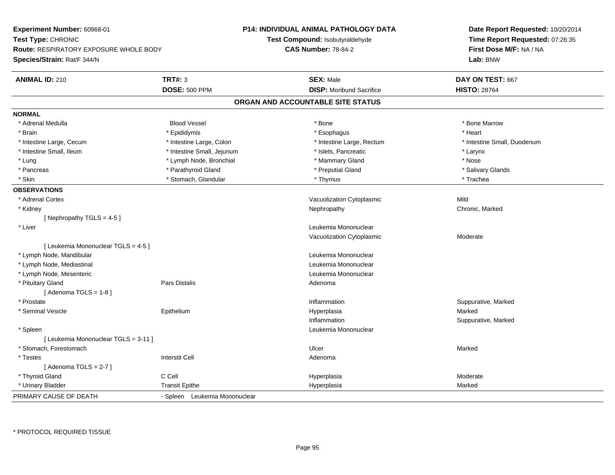| Experiment Number: 60968-01<br>Test Type: CHRONIC<br><b>Route: RESPIRATORY EXPOSURE WHOLE BODY</b><br>Species/Strain: Rat/F 344/N |                               | P14: INDIVIDUAL ANIMAL PATHOLOGY DATA<br>Test Compound: Isobutyraldehyde<br><b>CAS Number: 78-84-2</b> | Date Report Requested: 10/20/2014<br>Time Report Requested: 07:26:35<br>First Dose M/F: NA / NA<br>Lab: BNW |
|-----------------------------------------------------------------------------------------------------------------------------------|-------------------------------|--------------------------------------------------------------------------------------------------------|-------------------------------------------------------------------------------------------------------------|
| <b>ANIMAL ID: 210</b>                                                                                                             | TRT#: 3                       | <b>SEX: Male</b>                                                                                       | DAY ON TEST: 667                                                                                            |
|                                                                                                                                   | <b>DOSE: 500 PPM</b>          | <b>DISP:</b> Moribund Sacrifice                                                                        | <b>HISTO: 28764</b>                                                                                         |
|                                                                                                                                   |                               | ORGAN AND ACCOUNTABLE SITE STATUS                                                                      |                                                                                                             |
| <b>NORMAL</b>                                                                                                                     |                               |                                                                                                        |                                                                                                             |
| * Adrenal Medulla                                                                                                                 | <b>Blood Vessel</b>           | * Bone                                                                                                 | * Bone Marrow                                                                                               |
| * Brain                                                                                                                           | * Epididymis                  | * Esophagus                                                                                            | * Heart                                                                                                     |
| * Intestine Large, Cecum                                                                                                          | * Intestine Large, Colon      | * Intestine Large, Rectum                                                                              | * Intestine Small, Duodenum                                                                                 |
| * Intestine Small, Ileum                                                                                                          | * Intestine Small, Jejunum    | * Islets, Pancreatic                                                                                   | * Larynx                                                                                                    |
| * Lung                                                                                                                            | * Lymph Node, Bronchial       | * Mammary Gland                                                                                        | * Nose                                                                                                      |
| * Pancreas                                                                                                                        | * Parathyroid Gland           | * Preputial Gland                                                                                      | * Salivary Glands                                                                                           |
| * Skin                                                                                                                            | * Stomach, Glandular          | * Thymus                                                                                               | * Trachea                                                                                                   |
| <b>OBSERVATIONS</b>                                                                                                               |                               |                                                                                                        |                                                                                                             |
| * Adrenal Cortex                                                                                                                  |                               | Vacuolization Cytoplasmic                                                                              | Mild                                                                                                        |
| * Kidney                                                                                                                          |                               | Nephropathy                                                                                            | Chronic, Marked                                                                                             |
| [Nephropathy TGLS = $4-5$ ]                                                                                                       |                               |                                                                                                        |                                                                                                             |
| * Liver                                                                                                                           |                               | Leukemia Mononuclear                                                                                   |                                                                                                             |
|                                                                                                                                   |                               | Vacuolization Cytoplasmic                                                                              | Moderate                                                                                                    |
| [ Leukemia Mononuclear TGLS = 4-5 ]                                                                                               |                               |                                                                                                        |                                                                                                             |
| * Lymph Node, Mandibular                                                                                                          |                               | Leukemia Mononuclear                                                                                   |                                                                                                             |
| * Lymph Node, Mediastinal                                                                                                         |                               | Leukemia Mononuclear                                                                                   |                                                                                                             |
| * Lymph Node, Mesenteric                                                                                                          |                               | Leukemia Mononuclear                                                                                   |                                                                                                             |
| * Pituitary Gland                                                                                                                 | <b>Pars Distalis</b>          | Adenoma                                                                                                |                                                                                                             |
| [Adenoma TGLS = $1-8$ ]                                                                                                           |                               |                                                                                                        |                                                                                                             |
| * Prostate                                                                                                                        |                               | Inflammation                                                                                           | Suppurative, Marked                                                                                         |
| * Seminal Vesicle                                                                                                                 | Epithelium                    | Hyperplasia                                                                                            | Marked                                                                                                      |
|                                                                                                                                   |                               | Inflammation                                                                                           | Suppurative, Marked                                                                                         |
| * Spleen                                                                                                                          |                               | Leukemia Mononuclear                                                                                   |                                                                                                             |
| [ Leukemia Mononuclear TGLS = 3-11 ]                                                                                              |                               |                                                                                                        |                                                                                                             |
| * Stomach, Forestomach                                                                                                            |                               | Ulcer                                                                                                  | Marked                                                                                                      |
| $^\star$ Testes                                                                                                                   | <b>Interstit Cell</b>         | Adenoma                                                                                                |                                                                                                             |
| [Adenoma TGLS = $2-7$ ]                                                                                                           |                               |                                                                                                        |                                                                                                             |
| * Thyroid Gland                                                                                                                   | C Cell                        | Hyperplasia                                                                                            | Moderate                                                                                                    |
| * Urinary Bladder                                                                                                                 | <b>Transit Epithe</b>         | Hyperplasia                                                                                            | Marked                                                                                                      |
| PRIMARY CAUSE OF DEATH                                                                                                            | - Spleen Leukemia Mononuclear |                                                                                                        |                                                                                                             |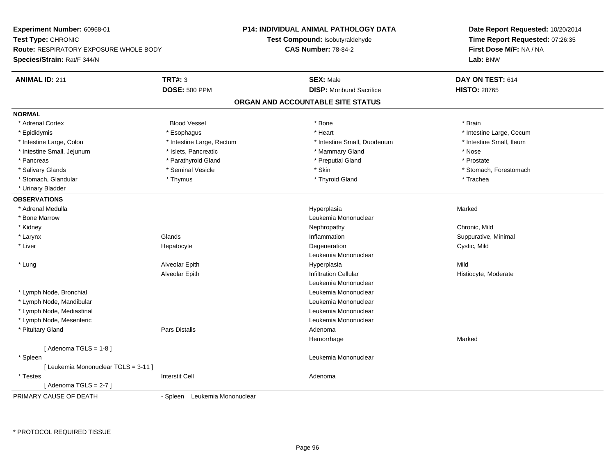**Experiment Number:** 60968-01**Test Type:** CHRONIC **Route:** RESPIRATORY EXPOSURE WHOLE BODY**Species/Strain:** Rat/F 344/N**P14: INDIVIDUAL ANIMAL PATHOLOGY DATATest Compound:** Isobutyraldehyde**CAS Number:** 78-84-2**Date Report Requested:** 10/20/2014**Time Report Requested:** 07:26:35**First Dose M/F:** NA / NA**Lab:** BNW**ANIMAL ID:** 211**TRT#:** 3 **SEX:** Male **DAY ON TEST:** 614 **DOSE:** 500 PPM**DISP:** Moribund Sacrifice **HISTO:** 28765 **ORGAN AND ACCOUNTABLE SITE STATUSNORMAL**\* Adrenal Cortex \* Adrenal Cortex \* Brain \* Brain \* Brain \* Brain \* Bood Vessel \* \* \* \* Brain \* Bone \* \* \* \* \* \* \* Brain \* \* Brain \* \* Brain \* \* Brain \* \* Brain \* \* Brain \* \* Brain \* \* Brain \* \* Brain \* \* Brain \* \* Brain \* \* Brain \* \* Brai \* Epididymis **Account 19 and 19 and 19 and 19 and 19 and 19 and 19 and 19 and 19 and 19 and 19 and 19 and 19 and 19 and 19 and 19 and 19 and 19 and 19 and 19 and 19 and 19 and 19 and 19 and 19 and 19 and 19 and 19 and 19 a** \* Intestine Small, Ileum \* Intestine Large, Colon \* Intestine Large, Rectum \* Intestine Small, Duodenum \* Intestine Small, Duodenum \* Intestine Small, Jejunum \* \* \* 19ets, Pancreatic \* \* Mammary Gland \* Mammary Gland \* Nose \* Prostate \* Pancreas \* Postate \* Parathyroid Gland \* \* Preputial Gland \* Preputial Gland \* Prostate \* Prostate \* Prostate \* Salivary Glands \* The state of the seminal Vesicle \* Skin \* Skin \* Skin \* Stomach, Forestomach, Forestomach, Forestomach, Forestomach, Forestomach, Forestomach, Forestomach, Forestomach, Forestomach, Forestomach, Foresto \* Stomach, Glandular \* Thymus \* Thymus \* Thymus \* Thyroid Gland \* Thyroid Gland \* Trachea \* Urinary Bladder**OBSERVATIONS** \* Adrenal Medullaa and the state of the state of the state of the state of the Hyperplasia and the Marked Marked of the State o \* Bone MarrowLeukemia Mononuclear<br>Nephropathy \* Kidneyy the controller of the controller of the controller of the controller of the controller of the chronic, Mild n Suppurative, Minimal \* Larynxx and the set of the Glands of the Glands of the set of the set of the set of the set of the set of the set of the set of the set of the set of the set of the set of the set of the set of the set of the set of the set of t \* Liver Hepatocytee and the contract of the Degeneration contract to the contract of the Cystic, Mild Leukemia Mononuclear \* Lung Alveolar Epith Hyperplasia Mild Alveolar EpithInfiltration Cellular **Historyte**, Moderate Leukemia Mononuclear \* Lymph Node, Bronchial Leukemia Mononuclear \* Lymph Node, Mandibular Leukemia Mononuclear \* Lymph Node, Mediastinal Leukemia Mononuclear \* Lymph Node, Mesenteric Leukemia Mononuclear \* Pituitary Glandd and the contract of Pars Distalis and the contract of Adenoma and Adenoma and the Adenoma and the Adenoma and  $\lambda$ Hemorrhagee Marked  $[$  Adenoma TGLS = 1-8  $]$  \* Spleen Leukemia Mononuclear [ Leukemia Mononuclear TGLS = 3-11 ] \* Testes Interstit Cell Adenoma[ Adenoma TGLS = 2-7 ] PRIMARY CAUSE OF DEATH- Spleen Leukemia Mononuclear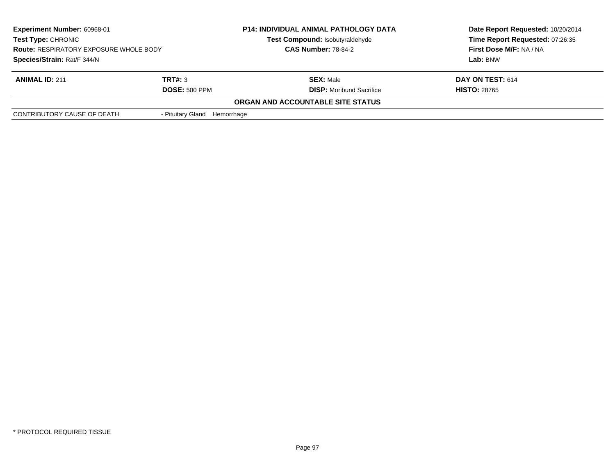| <b>Experiment Number: 60968-01</b><br>Test Type: CHRONIC<br><b>Route: RESPIRATORY EXPOSURE WHOLE BODY</b><br>Species/Strain: Rat/F 344/N |                                 | <b>P14: INDIVIDUAL ANIMAL PATHOLOGY DATA</b><br>Test Compound: Isobutyraldehyde<br><b>CAS Number: 78-84-2</b> | Date Report Requested: 10/20/2014<br>Time Report Requested: 07:26:35<br>First Dose M/F: NA / NA<br>Lab: BNW |
|------------------------------------------------------------------------------------------------------------------------------------------|---------------------------------|---------------------------------------------------------------------------------------------------------------|-------------------------------------------------------------------------------------------------------------|
| <b>ANIMAL ID: 211</b>                                                                                                                    | TRT#: 3<br><b>DOSE: 500 PPM</b> | <b>SEX: Male</b><br><b>DISP:</b> Moribund Sacrifice                                                           | DAY ON TEST: 614<br><b>HISTO: 28765</b>                                                                     |
|                                                                                                                                          |                                 | ORGAN AND ACCOUNTABLE SITE STATUS                                                                             |                                                                                                             |
| CONTRIBUTORY CAUSE OF DEATH                                                                                                              | - Pituitary Gland Hemorrhage    |                                                                                                               |                                                                                                             |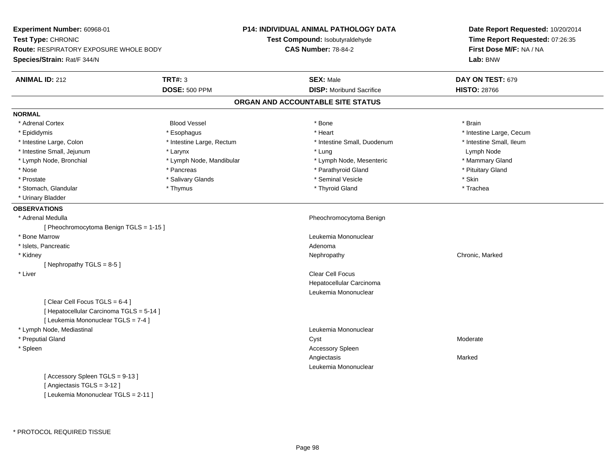**Experiment Number:** 60968-01**Test Type:** CHRONIC **Route:** RESPIRATORY EXPOSURE WHOLE BODY**Species/Strain:** Rat/F 344/N**P14: INDIVIDUAL ANIMAL PATHOLOGY DATATest Compound:** Isobutyraldehyde**CAS Number:** 78-84-2**Date Report Requested:** 10/20/2014**Time Report Requested:** 07:26:35**First Dose M/F:** NA / NA**Lab:** BNW**ANIMAL ID:** 212**TRT#:** 3 **SEX:** Male **DAY ON TEST:** 679 **DOSE:** 500 PPM**DISP:** Moribund Sacrifice **HISTO:** 28766 **ORGAN AND ACCOUNTABLE SITE STATUSNORMAL**\* Adrenal Cortex \* Adrenal Cortex \* Brain \* Brain \* Brain \* Brain \* Bood Vessel \* \* \* \* Brain \* Bone \* \* \* \* \* \* \* Brain \* \* Brain \* \* Brain \* \* Brain \* \* Brain \* \* Brain \* \* Brain \* \* Brain \* \* Brain \* \* Brain \* \* Brain \* \* Brain \* \* Brai \* Epididymis **Account 19 and 19 and 19 and 19 and 19 and 19 and 19 and 19 and 19 and 19 and 19 and 19 and 19 and 19 and 19 and 19 and 19 and 19 and 19 and 19 and 19 and 19 and 19 and 19 and 19 and 19 and 19 and 19 and 19 a** \* Intestine Small, Ileum \* Intestine Large, Colon \* Intestine Large, Rectum \* Intestine Small, Duodenum \* Intestine Small, Duodenum \* Intestine Small, Jejunum **\* The Contract of Australian Contract Australian Contract Australian Contract Australian Contract Australian Contract Australian Contract Australian Contract Australian Contract Australian Contr** \* Mammary Gland \* Lymph Node, Bronchial \* Lymph Node, Mandibular \* Mammary Alexandre \* Lymph Node, Mesenteric \* Nose \* Pancreas \* Pancreas \* Pancreas \* Parathyroid Gland \* Parathyroid Gland \* Pituitary Gland \* Pituitary Stand \* Pituitary Communisty of the standard \* Parathyroid Gland \* Pituitary Gland \* Pituitary Gland \* Pituitary \* Prostate \* \* Salivary Glands \* \* Salivary Glands \* \* Seminal Vesicle \* \* \* Seminal Yestrich \* \* Skin \* \* Skin \* Trachea \* Stomach, Glandular \* Thymus \* Thymus \* Thymus \* Thymus \* Thyroid Gland \* Thyroid Gland \* \* Urinary Bladder**OBSERVATIONS** \* Adrenal Medulla Pheochromocytoma Benign [ Pheochromocytoma Benign TGLS = 1-15 ] \* Bone MarrowLeukemia Mononuclear<br>Adenoma \* Islets, Pancreaticc and the contract of the contract of the contract of the contract of the contract of the contract of the contract of the contract of the contract of the contract of the contract of the contract of the contract of the cont Nephropathy \* Kidneyy the controller of the controller of the controller of the Nephropathy Chronic, Marked Schronic, Marked Schronic, Marked Schronic, Marked Schronic, Marked Schronic, Marked Schronic, Marked Schronic, Marked Schronic, Marke [ Nephropathy TGLS = 8-5 ] \* Liver Clear Cell Focus Hepatocellular CarcinomaLeukemia Mononuclear[ Clear Cell Focus TGLS = 6-4 ][ Hepatocellular Carcinoma TGLS = 5-14 ][ Leukemia Mononuclear TGLS = 7-4 ] \* Lymph Node, Mediastinal Leukemia Mononuclear \* Preputial Glandd and the control of the control of the control of the control of the control of the control of the control of the control of the control of the control of the control of the control of the control of the control of the co \* Spleen Accessory Spleen Angiectasiss and the contract of the Marked Leukemia Mononuclear[ Accessory Spleen TGLS = 9-13 ][ Angiectasis TGLS = 3-12 ][ Leukemia Mononuclear TGLS = 2-11 ]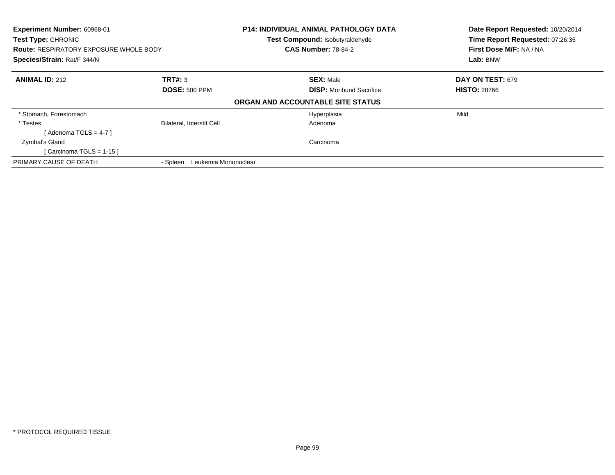| Experiment Number: 60968-01<br><b>Test Type: CHRONIC</b><br><b>Route: RESPIRATORY EXPOSURE WHOLE BODY</b><br>Species/Strain: Rat/F 344/N |                                  | P14: INDIVIDUAL ANIMAL PATHOLOGY DATA                         | Date Report Requested: 10/20/2014                          |  |
|------------------------------------------------------------------------------------------------------------------------------------------|----------------------------------|---------------------------------------------------------------|------------------------------------------------------------|--|
|                                                                                                                                          |                                  | Test Compound: Isobutyraldehyde<br><b>CAS Number: 78-84-2</b> | Time Report Requested: 07:26:35<br>First Dose M/F: NA / NA |  |
|                                                                                                                                          |                                  |                                                               | Lab: BNW                                                   |  |
| <b>ANIMAL ID: 212</b>                                                                                                                    | TRT#: 3                          | <b>SEX: Male</b>                                              | DAY ON TEST: 679                                           |  |
|                                                                                                                                          | <b>DOSE: 500 PPM</b>             | <b>DISP:</b> Moribund Sacrifice                               | <b>HISTO: 28766</b>                                        |  |
|                                                                                                                                          |                                  | ORGAN AND ACCOUNTABLE SITE STATUS                             |                                                            |  |
| * Stomach, Forestomach                                                                                                                   |                                  | Hyperplasia                                                   | Mild                                                       |  |
| * Testes                                                                                                                                 | <b>Bilateral, Interstit Cell</b> | Adenoma                                                       |                                                            |  |
| [Adenoma TGLS = $4-7$ ]                                                                                                                  |                                  |                                                               |                                                            |  |
| Zymbal's Gland                                                                                                                           |                                  | Carcinoma                                                     |                                                            |  |
| [Carcinoma TGLS = $1-15$ ]                                                                                                               |                                  |                                                               |                                                            |  |
| PRIMARY CAUSE OF DEATH                                                                                                                   | Leukemia Mononuclear<br>- Spleen |                                                               |                                                            |  |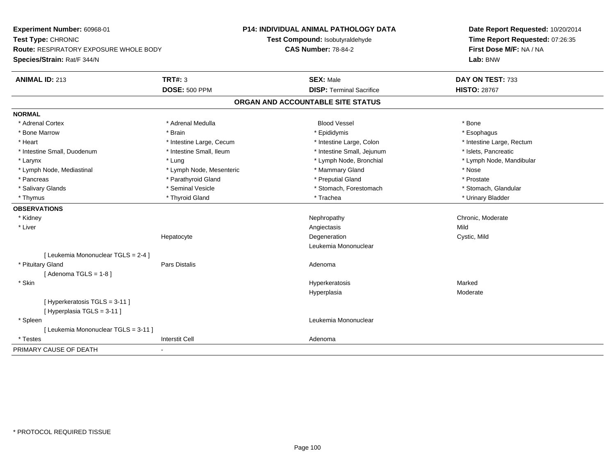**Experiment Number:** 60968-01**Test Type:** CHRONIC **Route:** RESPIRATORY EXPOSURE WHOLE BODY**Species/Strain:** Rat/F 344/N**P14: INDIVIDUAL ANIMAL PATHOLOGY DATATest Compound:** Isobutyraldehyde**CAS Number:** 78-84-2**Date Report Requested:** 10/20/2014**Time Report Requested:** 07:26:35**First Dose M/F:** NA / NA**Lab:** BNW**ANIMAL ID:** 213**TRT#:** 3 **SEX:** Male **DAY ON TEST:** 733 **DOSE:** 500 PPM**DISP:** Terminal Sacrifice **HISTO:** 28767 **ORGAN AND ACCOUNTABLE SITE STATUSNORMAL**\* Adrenal Cortex \* Adrenal Cortex \* Adrenal Medulla Blood Vessel \* Bone\* Esophagus \* Bone Marrow \* Brain \* Epididymis \* Esophagus \* Intestine Large, Rectum \* Heart \* Intestine Large, Cecum \* Intestine Large, Cecum \* Intestine Large, Colon \* Intestine Small, Duodenum \* Intestine Small, Ileum \* Intestine Small, Intestine Small, Jejunum \* Islets, Pancreatic \* Larynx \* Lung \* Lymph Node, Bronchial \* Lymph Node, Mandibular \* Lymph Node, Mediastinal \* Nose \* Lymph Node, Mesenteric \* \* Mammary Gland \* Memmary Gland \* Nose \* Prostate \* Pancreas \* Pancreas \* Pancreas \* Pancreas \* Pancreas \* Preputial Gland \* Preputial Gland \* Stomach, Glandular \* Salivary Glands \* Seminal Vesicle \* Seminal Vesicle \* Stomach, Forestomach \* Stomach, Forestomach \* Thymus \* Thyroid Gland \* Trachea \* Urinary Bladder \* **OBSERVATIONS** \* Kidneyy which is a controlled that the controller controller the chronic of the chronic chronic, Moderate  $\lambda$  \* Liverr and the contract of the contract of the contract of the contract of the contract of the contract of the contract of the contract of the contract of the contract of the contract of the contract of the contract of the cont s Mild Cystic, Mild Hepatocytee the contract of the Degeneration Cystic, Mild and Cystic, Mild and Cystic, Mild Leukemia Mononuclear[ Leukemia Mononuclear TGLS = 2-4 ] \* Pituitary Glandd and the contract of Pars Distalis and the contract of Adenoma and Adenoma and the Adenoma and the Adenoma and  $\lambda$  $[$  Adenoma TGLS = 1-8  $]$  \* Skin Hyperkeratosis Marked Hyperplasia Moderate [ Hyperkeratosis TGLS = 3-11 ][ Hyperplasia TGLS = 3-11 ] \* Spleen Leukemia Mononuclear [ Leukemia Mononuclear TGLS = 3-11 ] \* Testess and the contract of the contract of the contract of the contract of the contract of the contract of the contract of the contract of the contract of the contract of the contract of the contract of the contract of the cont PRIMARY CAUSE OF DEATH-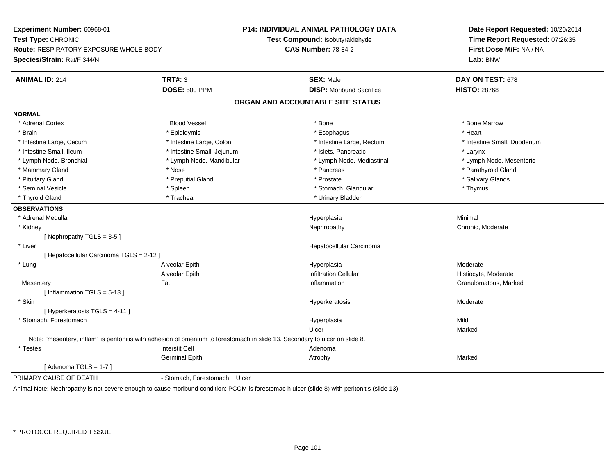**Experiment Number:** 60968-01**Test Type:** CHRONIC **Route:** RESPIRATORY EXPOSURE WHOLE BODY**Species/Strain:** Rat/F 344/N**P14: INDIVIDUAL ANIMAL PATHOLOGY DATATest Compound:** Isobutyraldehyde**CAS Number:** 78-84-2**Date Report Requested:** 10/20/2014**Time Report Requested:** 07:26:35**First Dose M/F:** NA / NA**Lab:** BNW**ANIMAL ID:** 214**TRT#:** 3 **SEX:** Male **DAY ON TEST:** 678 **DOSE:** 500 PPM **DISP:** Moribund Sacrifice **HISTO:** <sup>28768</sup> **ORGAN AND ACCOUNTABLE SITE STATUSNORMAL**\* Adrenal Cortex \* Adrenal Cortex \* Attack the state of the state of the Blood Vessel the state of the state of the state of the Marrow \* Bone Marrow \* Bone Marrow \* Bone Marrow \* Bone Marrow \* Bone Marrow \* Bone Marrow \* Bone Marrow \* Bon \* Brain \* \* Esophagus \* \* Esophagus \* \* Esophagus \* \* Esophagus \* \* Esophagus \* Heart \* Heart \* Heart \* Heart \* Intestine Large, Cecum \* Intestine Large, Colon \* Intestine Large, Rectum \* Intestine Small, Duodenum \* Intestine Small, Ileum \* Intestine Small, Jejunum \* Islets, Pancreatic \* Larynx\* Lymph Node, Mesenteric \* Lymph Node, Bronchial \* Lymph Node, Mandibular \* Lymph Node, Mediastinal \* Lymph Node, Mediastinal \* Mammary Gland \* \* Nose \* \* Nose \* \* Pancreas \* Pancreas \* \* Pancreas \* \* Pancreas \* \* Pancreas \* \* Parathyroid Gland \* Pituitary Gland \* \* Then the state \* Preputial Gland \* Prosection \* Prostate \* \* Salivary Glands \* Salivary Glands \* Salivary Glands \* Salivary Glands \* Salivary Glands \* Salivary Glands \* Salivary Glands \* Salivary Glan \* Seminal Vesicle \* Thymus \* Spleen \* Spleen \* Stomach, Glandular \* Stomach, Glandular \* Thymus \* Thyroid Gland \* Trachea \* Trachea \* Trachea \* Thyroid Gland \* Urinary Bladder **OBSERVATIONS** \* Adrenal Medullaa and the control of the control of the control of the Hyperplasia and the control of the Minimal of the control of the control of the control of the control of the control of the control of the control of the control of t \* Kidneyy which is a controlled that the controller controller the chronic of the chronic chronic, Moderate  $\lambda$ [ Nephropathy TGLS = 3-5 ] \* Liver Hepatocellular Carcinoma[ Hepatocellular Carcinoma TGLS = 2-12 ] \* Lung Alveolar Epith Hyperplasia Moderate Alveolar EpithInfiltration Cellular **Histiocyte**, Moderate **Mesentery** y the contract of the state of the state of the state of the state of the state of the state of the state of t Inflammation **Granulomatous**, Marked [ Inflammation TGLS = 5-13 ] \* Skinhyperkeratosis in the experiment of the Hyperkeratosis and the Hyperkeratosis and the Moderate Moderate in the Moderate  $\sim$  Moderate in the experiment of the  $\sim$  Moderate in the experiment of the experiment of the experi [ Hyperkeratosis TGLS = 4-11 ] \* Stomach, Forestomachh ann an t-ìre ann an t-ìre ann an t-ìre ann an t-ìre ann an t-ìre ann an t-ìre ann an Mild ann an Mild ann an Ulcerr **Marked** Note: "mesentery, inflam" is peritonitis with adhesion of omentum to forestomach in slide 13. Secondary to ulcer on slide 8. \* Testes Interstit Cell AdenomaGerminal Epithh and the control of the Atrophy and the Marked Marked Marked Street and the Marked Street and Marked Street and Marked Street and Marked Street and Marked Street and Marked Street and Marked Street and Marked Street and M  $[$  Adenoma TGLS = 1-7  $]$ PRIMARY CAUSE OF DEATH - Stomach, Forestomach Ulcer Animal Note: Nephropathy is not severe enough to cause moribund condition; PCOM is forestomac h ulcer (slide 8) with peritonitis (slide 13).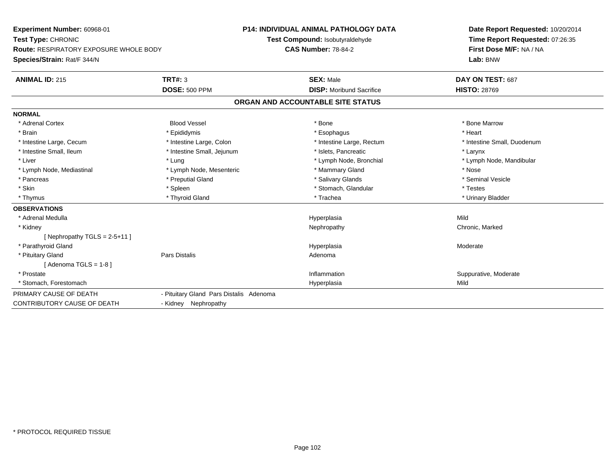**Experiment Number:** 60968-01**Test Type:** CHRONIC **Route:** RESPIRATORY EXPOSURE WHOLE BODY**Species/Strain:** Rat/F 344/N**P14: INDIVIDUAL ANIMAL PATHOLOGY DATATest Compound:** Isobutyraldehyde**CAS Number:** 78-84-2**Date Report Requested:** 10/20/2014**Time Report Requested:** 07:26:35**First Dose M/F:** NA / NA**Lab:** BNW**ANIMAL ID:** 215**TRT#:** 3 **SEX:** Male **DAY ON TEST:** 687 **DOSE:** 500 PPM**DISP:** Moribund Sacrifice **HISTO:** 28769 **ORGAN AND ACCOUNTABLE SITE STATUSNORMAL**\* Adrenal Cortex \* Adrenal Cortex \* Attack the state of the state of the Blood Vessel the state of the state of the state of the Marrow \* Bone Marrow \* Bone Marrow \* Bone Marrow \* Bone Marrow \* Bone Marrow \* Bone Marrow \* Bone Marrow \* Bon \* Brain \* \* Esophagus \* \* Esophagus \* \* Esophagus \* \* Esophagus \* \* Esophagus \* Heart \* Heart \* Heart \* Heart \* Intestine Large, Cecum \* Intestine Large, Colon \* Intestine Large, Rectum \* Intestine Small, Duodenum \* Intestine Small, Ileum \* Intestine Small, Jejunum \* Islets, Pancreatic \* Larynx\* Liver which is the settlement of the term of the settlement of the settlement of the settlement of the settlement of the settlement of the settlement of the settlement of the settlement of the settlement of the settlemen \* Lymph Node, Mediastinal \* Nose \* Lymph Node, Mesenteric \* \* Mammary Gland \* Memmary Gland \* Nose \* Seminal Vesicle \* Pancreas \* And the section of the state of the state of the state of the state of the state of the state of the state of the state of the state of the state of the state of the state of the state of the state of the stat \* Skin \* Spleen \* Spleen \* Spleen \* Stomach, Glandular \* Testes \* Testes \* Testes \* Urinary Bladder \* Thymus \* Thyroid Gland \* Trachea \* Urinary Bladder \* **OBSERVATIONS** \* Adrenal Medulla Hyperplasia Mild \* Kidneyy the controller of the controller of the controller of the Nephropathy Chronic, Marked Schronic, Marked Schronic, Marked Schronic, Marked Schronic, Marked Schronic, Marked Schronic, Marked Schronic, Marked Schronic, Marke  $[$  Nephropathy TGLS = 2-5+11  $]$  \* Parathyroid Glandd and the set of the set of the set of the Hyperplasia Moderate and the Moderate  $\sim$  Moderate  $\sim$  \* Pituitary Glandd and the contract of Pars Distalis and the contract of Adenoma and Adenoma and the Adenoma and the Adenoma and  $\lambda$  $[$  Adenoma TGLS = 1-8  $]$  \* Prostatee inflammation inflammation in the support of the Suppurative, Moderate expansion in the Suppurative, Moderate \* Stomach, Forestomachh ann an t-ainm an t-ainm an t-ainm an t-ainm an t-ainm ann an t-ainm an t-ainm an t-ainm an t-ainm an t-ainm a<br>Tha ann an t-ainm an t-ainm an t-ainm an t-ainm an t-ainm an t-ainm an t-ainm an t-ainm an t-ainm an t-ainm an PRIMARY CAUSE OF DEATH - Pituitary Gland Pars Distalis Adenoma CONTRIBUTORY CAUSE OF DEATH- Kidney Nephropathy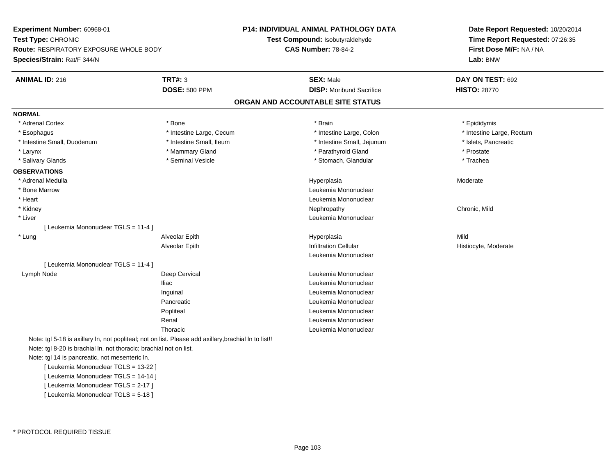**Experiment Number:** 60968-01**Test Type:** CHRONIC **Route:** RESPIRATORY EXPOSURE WHOLE BODY**Species/Strain:** Rat/F 344/N**P14: INDIVIDUAL ANIMAL PATHOLOGY DATATest Compound:** Isobutyraldehyde**CAS Number:** 78-84-2**Date Report Requested:** 10/20/2014**Time Report Requested:** 07:26:35**First Dose M/F:** NA / NA**Lab:** BNW**ANIMAL ID:** 216**TRT#:** 3 **SEX:** Male **DAY ON TEST:** 692 **DOSE:** 500 PPM**DISP:** Moribund Sacrifice **HISTO:** 28770 **ORGAN AND ACCOUNTABLE SITE STATUSNORMAL**\* Adrenal Cortex \* Adrenal Cortex \* \* Annual Cortex \* Epididymis \* Bone \* \* Bone \* \* Brain \* \* Brain \* \* Epididymis \* Epididymis \* Esophagus \* Thestine Large, Cecum \* Intestine Large, Cecum \* Intestine Large, Colon \* Intestine Large, Rectum \* Intestine Small, Duodenum \* Intestine Small, Ileum \* Intestine Small, Jejunum \* Islets, Pancreatic\* Larynx **\* Axist Accord \* Mammary Gland** \* **Axist Accord \* Prostate** \* Prostate \* Prostate \* Prostate \* Prostate \* Trachea \* Salivary Glands \* Seminal Vesicle \* Seminal Vesicle \* Trachean \* Stomach, Glandular \* Stomach, Glandular **OBSERVATIONS** \* Adrenal Medullaa and the state of the state of the state of the Hyperplasia and the Moderate of the Moderate of the Shane and T \* Bone Marrow Leukemia Mononuclear \* Heart Leukemia Mononuclear \* Kidneyy the controller of the controller of the controller of the controller of the controller of the chronic, Mild \* Liver Leukemia Mononuclear [ Leukemia Mononuclear TGLS = 11-4 ] \* Lung Alveolar Epith Hyperplasia Mild Alveolar EpithInfiltration Cellular **Histiocyte**, Moderate Leukemia Mononuclear[ Leukemia Mononuclear TGLS = 11-4 ] Lymph NodeDeep Cervical and Deep Cervical contracts of the Leukemia Mononuclear Iliac Leukemia Mononuclear Inguinal Leukemia MononuclearPancreatic Leukemia Mononuclear Popliteal Leukemia MononuclearRenal Leukemia MononuclearThoracic Leukemia Mononuclear Note: tgl 5-18 is axillary ln, not popliteal; not on list. Please add axillary,brachial ln to list!!Note: tgl 8-20 is brachial ln, not thoracic; brachial not on list.Note: tgl 14 is pancreatic, not mesenteric ln.[ Leukemia Mononuclear TGLS = 13-22 ][ Leukemia Mononuclear TGLS = 14-14 ][ Leukemia Mononuclear TGLS = 2-17 ]

[ Leukemia Mononuclear TGLS = 5-18 ]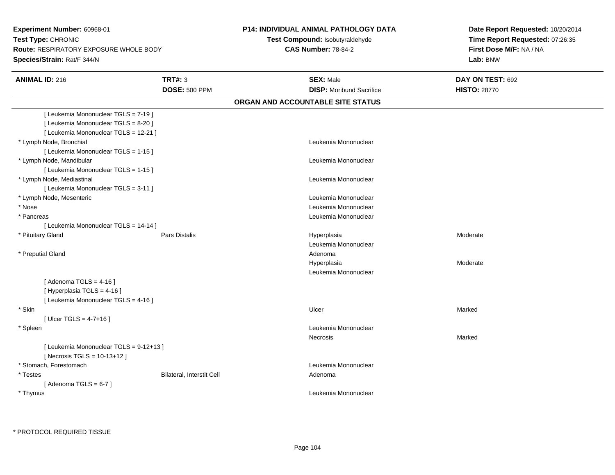**Experiment Number:** 60968-01**Test Type:** CHRONIC **Route:** RESPIRATORY EXPOSURE WHOLE BODY**Species/Strain:** Rat/F 344/N

## **P14: INDIVIDUAL ANIMAL PATHOLOGY DATA**

**Test Compound:** Isobutyraldehyde**CAS Number:** 78-84-2

**Date Report Requested:** 10/20/2014**Time Report Requested:** 07:26:35**First Dose M/F:** NA / NA**Lab:** BNW

| <b>ANIMAL ID: 216</b>                   | <b>TRT#: 3</b>            | <b>SEX: Male</b>                  | DAY ON TEST: 692    |  |
|-----------------------------------------|---------------------------|-----------------------------------|---------------------|--|
|                                         | <b>DOSE: 500 PPM</b>      | <b>DISP:</b> Moribund Sacrifice   | <b>HISTO: 28770</b> |  |
|                                         |                           | ORGAN AND ACCOUNTABLE SITE STATUS |                     |  |
| [ Leukemia Mononuclear TGLS = 7-19 ]    |                           |                                   |                     |  |
| [ Leukemia Mononuclear TGLS = 8-20 ]    |                           |                                   |                     |  |
| [ Leukemia Mononuclear TGLS = 12-21 ]   |                           |                                   |                     |  |
| * Lymph Node, Bronchial                 |                           | Leukemia Mononuclear              |                     |  |
| [ Leukemia Mononuclear TGLS = 1-15 ]    |                           |                                   |                     |  |
| * Lymph Node, Mandibular                |                           | Leukemia Mononuclear              |                     |  |
| [ Leukemia Mononuclear TGLS = 1-15 ]    |                           |                                   |                     |  |
| * Lymph Node, Mediastinal               |                           | Leukemia Mononuclear              |                     |  |
| [ Leukemia Mononuclear TGLS = 3-11 ]    |                           |                                   |                     |  |
| * Lymph Node, Mesenteric                |                           | Leukemia Mononuclear              |                     |  |
| * Nose                                  |                           | Leukemia Mononuclear              |                     |  |
| * Pancreas                              |                           | Leukemia Mononuclear              |                     |  |
| [ Leukemia Mononuclear TGLS = 14-14 ]   |                           |                                   |                     |  |
| * Pituitary Gland                       | Pars Distalis             | Hyperplasia                       | Moderate            |  |
|                                         |                           | Leukemia Mononuclear              |                     |  |
| * Preputial Gland                       |                           | Adenoma                           |                     |  |
|                                         |                           | Hyperplasia                       | Moderate            |  |
|                                         |                           | Leukemia Mononuclear              |                     |  |
| [Adenoma TGLS = $4-16$ ]                |                           |                                   |                     |  |
| [ Hyperplasia TGLS = 4-16 ]             |                           |                                   |                     |  |
| [ Leukemia Mononuclear TGLS = 4-16 ]    |                           |                                   |                     |  |
| * Skin                                  |                           | Ulcer                             | Marked              |  |
| [ Ulcer TGLS = $4-7+16$ ]               |                           |                                   |                     |  |
| * Spleen                                |                           | Leukemia Mononuclear              |                     |  |
|                                         |                           | Necrosis                          | Marked              |  |
| [ Leukemia Mononuclear TGLS = 9-12+13 ] |                           |                                   |                     |  |
| [ Necrosis TGLS = 10-13+12 ]            |                           |                                   |                     |  |
| * Stomach, Forestomach                  |                           | Leukemia Mononuclear              |                     |  |
| * Testes                                | Bilateral, Interstit Cell | Adenoma                           |                     |  |
| [Adenoma TGLS = $6-7$ ]                 |                           |                                   |                     |  |
| * Thymus                                |                           | Leukemia Mononuclear              |                     |  |
|                                         |                           |                                   |                     |  |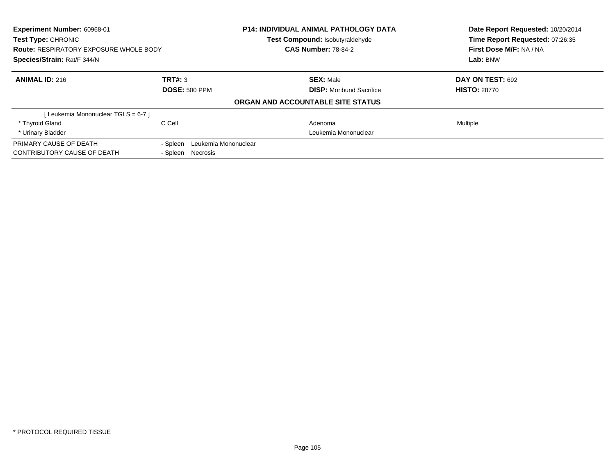| Experiment Number: 60968-01<br><b>Test Type: CHRONIC</b><br><b>Route: RESPIRATORY EXPOSURE WHOLE BODY</b><br>Species/Strain: Rat/F 344/N |                                  | <b>P14: INDIVIDUAL ANIMAL PATHOLOGY DATA</b><br>Test Compound: Isobutyraldehyde<br><b>CAS Number: 78-84-2</b> | Date Report Requested: 10/20/2014<br>Time Report Requested: 07:26:35<br>First Dose M/F: NA / NA<br>Lab: BNW |  |
|------------------------------------------------------------------------------------------------------------------------------------------|----------------------------------|---------------------------------------------------------------------------------------------------------------|-------------------------------------------------------------------------------------------------------------|--|
|                                                                                                                                          |                                  |                                                                                                               |                                                                                                             |  |
| <b>ANIMAL ID: 216</b>                                                                                                                    | TRT#: 3                          | <b>SEX: Male</b>                                                                                              | DAY ON TEST: 692                                                                                            |  |
|                                                                                                                                          | <b>DOSE: 500 PPM</b>             | <b>DISP:</b> Moribund Sacrifice                                                                               | <b>HISTO: 28770</b>                                                                                         |  |
|                                                                                                                                          |                                  | ORGAN AND ACCOUNTABLE SITE STATUS                                                                             |                                                                                                             |  |
| [Leukemia Mononuclear TGLS = 6-7]                                                                                                        |                                  |                                                                                                               |                                                                                                             |  |
| * Thyroid Gland                                                                                                                          | C Cell                           | Adenoma                                                                                                       | Multiple                                                                                                    |  |
| * Urinary Bladder                                                                                                                        |                                  | Leukemia Mononuclear                                                                                          |                                                                                                             |  |
| PRIMARY CAUSE OF DEATH                                                                                                                   | Leukemia Mononuclear<br>- Spleen |                                                                                                               |                                                                                                             |  |
| CONTRIBUTORY CAUSE OF DEATH                                                                                                              | - Spleen<br>Necrosis             |                                                                                                               |                                                                                                             |  |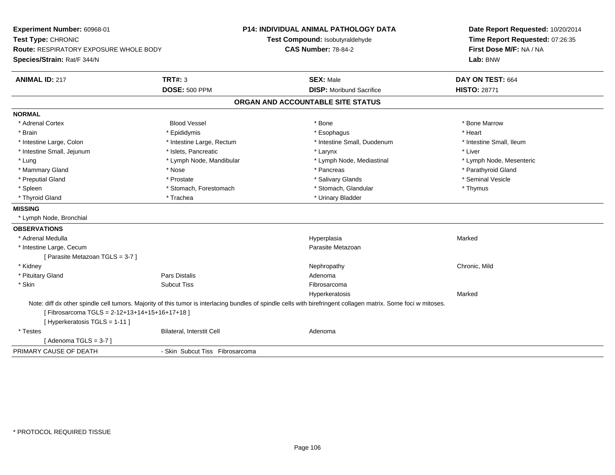| Experiment Number: 60968-01<br>Test Type: CHRONIC<br><b>Route: RESPIRATORY EXPOSURE WHOLE BODY</b><br>Species/Strain: Rat/F 344/N |                                 | <b>P14: INDIVIDUAL ANIMAL PATHOLOGY DATA</b><br>Test Compound: Isobutyraldehyde<br><b>CAS Number: 78-84-2</b>                                                   | Date Report Requested: 10/20/2014<br>Time Report Requested: 07:26:35<br>First Dose M/F: NA / NA<br>Lab: BNW |
|-----------------------------------------------------------------------------------------------------------------------------------|---------------------------------|-----------------------------------------------------------------------------------------------------------------------------------------------------------------|-------------------------------------------------------------------------------------------------------------|
| <b>ANIMAL ID: 217</b>                                                                                                             | TRT#: 3                         | <b>SEX: Male</b>                                                                                                                                                | DAY ON TEST: 664                                                                                            |
|                                                                                                                                   | <b>DOSE: 500 PPM</b>            | <b>DISP:</b> Moribund Sacrifice                                                                                                                                 | <b>HISTO: 28771</b>                                                                                         |
|                                                                                                                                   |                                 | ORGAN AND ACCOUNTABLE SITE STATUS                                                                                                                               |                                                                                                             |
| <b>NORMAL</b>                                                                                                                     |                                 |                                                                                                                                                                 |                                                                                                             |
| * Adrenal Cortex                                                                                                                  | <b>Blood Vessel</b>             | * Bone                                                                                                                                                          | * Bone Marrow                                                                                               |
| * Brain                                                                                                                           | * Epididymis                    | * Esophagus                                                                                                                                                     | * Heart                                                                                                     |
| * Intestine Large, Colon                                                                                                          | * Intestine Large, Rectum       | * Intestine Small, Duodenum                                                                                                                                     | * Intestine Small, Ileum                                                                                    |
| * Intestine Small, Jejunum                                                                                                        | * Islets, Pancreatic            | * Larynx                                                                                                                                                        | * Liver                                                                                                     |
| * Lung                                                                                                                            | * Lymph Node, Mandibular        | * Lymph Node, Mediastinal                                                                                                                                       | * Lymph Node, Mesenteric                                                                                    |
| * Mammary Gland                                                                                                                   | * Nose                          | * Pancreas                                                                                                                                                      | * Parathyroid Gland                                                                                         |
| * Preputial Gland                                                                                                                 | * Prostate                      | * Salivary Glands                                                                                                                                               | * Seminal Vesicle                                                                                           |
| * Spleen                                                                                                                          | * Stomach, Forestomach          | * Stomach, Glandular                                                                                                                                            | * Thymus                                                                                                    |
| * Thyroid Gland                                                                                                                   | * Trachea                       | * Urinary Bladder                                                                                                                                               |                                                                                                             |
| <b>MISSING</b>                                                                                                                    |                                 |                                                                                                                                                                 |                                                                                                             |
| * Lymph Node, Bronchial                                                                                                           |                                 |                                                                                                                                                                 |                                                                                                             |
| <b>OBSERVATIONS</b>                                                                                                               |                                 |                                                                                                                                                                 |                                                                                                             |
| * Adrenal Medulla                                                                                                                 |                                 | Hyperplasia                                                                                                                                                     | Marked                                                                                                      |
| * Intestine Large, Cecum                                                                                                          |                                 | Parasite Metazoan                                                                                                                                               |                                                                                                             |
| [ Parasite Metazoan TGLS = 3-7 ]                                                                                                  |                                 |                                                                                                                                                                 |                                                                                                             |
| * Kidney                                                                                                                          |                                 | Nephropathy                                                                                                                                                     | Chronic, Mild                                                                                               |
| * Pituitary Gland                                                                                                                 | <b>Pars Distalis</b>            | Adenoma                                                                                                                                                         |                                                                                                             |
| * Skin                                                                                                                            | <b>Subcut Tiss</b>              | Fibrosarcoma                                                                                                                                                    |                                                                                                             |
|                                                                                                                                   |                                 | Hyperkeratosis                                                                                                                                                  | Marked                                                                                                      |
| [Fibrosarcoma TGLS = 2-12+13+14+15+16+17+18]<br>[ Hyperkeratosis TGLS = 1-11 ]                                                    |                                 | Note: diff dx other spindle cell tumors. Majority of this tumor is interlacing bundles of spindle cells with birefringent collagen matrix. Some foci w mitoses. |                                                                                                             |
| * Testes                                                                                                                          | Bilateral, Interstit Cell       | Adenoma                                                                                                                                                         |                                                                                                             |
| [Adenoma TGLS = 3-7]                                                                                                              |                                 |                                                                                                                                                                 |                                                                                                             |
| PRIMARY CAUSE OF DEATH                                                                                                            | - Skin Subcut Tiss Fibrosarcoma |                                                                                                                                                                 |                                                                                                             |
|                                                                                                                                   |                                 |                                                                                                                                                                 |                                                                                                             |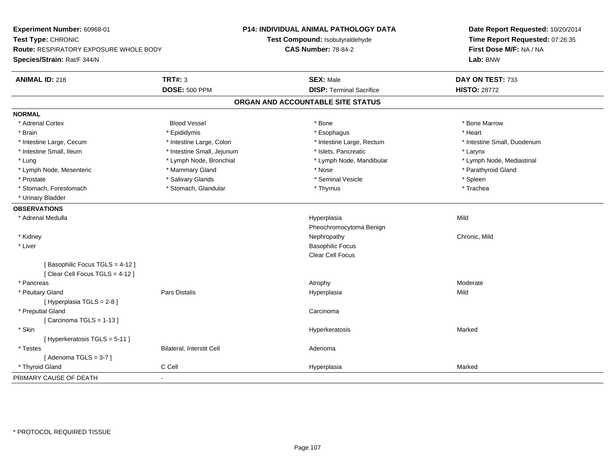**Experiment Number:** 60968-01**Test Type:** CHRONIC **Route:** RESPIRATORY EXPOSURE WHOLE BODY**Species/Strain:** Rat/F 344/N**P14: INDIVIDUAL ANIMAL PATHOLOGY DATATest Compound:** Isobutyraldehyde**CAS Number:** 78-84-2**Date Report Requested:** 10/20/2014**Time Report Requested:** 07:26:35**First Dose M/F:** NA / NA**Lab:** BNW**ANIMAL ID:** 218**TRT#:** 3 **SEX:** Male **DAY ON TEST:** 733 **DOSE:** 500 PPM**DISP:** Terminal Sacrifice **HISTO:** 28772 **ORGAN AND ACCOUNTABLE SITE STATUSNORMAL**\* Adrenal Cortex \* Adrenal Cortex \* Attack the state of the state of the Blood Vessel the state of the state of the state of the Marrow \* Bone Marrow \* Bone Marrow \* Bone Marrow \* Bone Marrow \* Bone Marrow \* Bone Marrow \* Bone Marrow \* Bon \* Brain \* \* Esophagus \* \* Esophagus \* \* Esophagus \* \* Esophagus \* \* Esophagus \* Heart \* Heart \* Heart \* Heart \* Intestine Large, Cecum \* Intestine Large, Colon \* Intestine Large, Rectum \* Intestine Small, Duodenum \* Intestine Small, Ileum \* Intestine Small, Jejunum \* Islets, Pancreatic \* Larynx\* Lymph Node, Mediastinal \* Lung \* Lymph Node, Bronchial \* Lymph Node, Mandibular \* Lymph Node, Mandibular \* Lymph Node, Mesenteric \* \* Mammary Gland \* Mammary Gland \* Nose \* Nose \* \* Parathyroid Gland \* Parathyroid Gland \* Prostate \* \* Seminal Vesicle \* \* Seminal Vesicle \* \* Seminal Vesicle \* \* Spleen \* \* Spleen \* \* Spleen \* \* Spleen \* \* Spleen \* \* Spleen \* \* Spleen \* \* Spleen \* \* Spleen \* \* Spleen \* \* Spleen \* \* Spleen \* \* Spleen \* \* Sple \* Trachea \* Stomach, Forestomach \* Thymus \* Stomach, Glandular \* Thymus \* Thymus \* Thymus \* Thymus \* Thymus \* Thymus \* Thymus \* Thymus \* Thymus \* Thymus \* Thymus \* Thymus \* Thymus \* Thymus \* Thymus \* Thymus \* Thymus \* Thymus \* Thymu \* Urinary Bladder**OBSERVATIONS** \* Adrenal Medulla Hyperplasia Mild Pheochromocytoma Benign \* Kidneyy the controller of the controller of the controller of the controller of the controller of the chronic, Mild \* Liver Basophilic Focus Clear Cell Focus[ Basophilic Focus TGLS = 4-12 ][ Clear Cell Focus TGLS = 4-12 ] \* Pancreass and the contract of the contract of the contract of the contract of the contract of the contract of the contract of  $\lambda$  \* Pituitary Gland Pars Distalis Hyperplasia Mild [ Hyperplasia TGLS = 2-8 ] \* Preputial Glandd<sub>d</sub> Carcinoma  $[$  Carcinoma TGLS = 1-13  $]$  \* Skin Hyperkeratosis Marked [ Hyperkeratosis TGLS = 5-11 ] \* TestesBilateral, Interstit Cell **Adenoma** Adenoma  $[$  Adenoma TGLS = 3-7  $]$  \* Thyroid Gland C Cell Hyperplasia Marked PRIMARY CAUSE OF DEATH-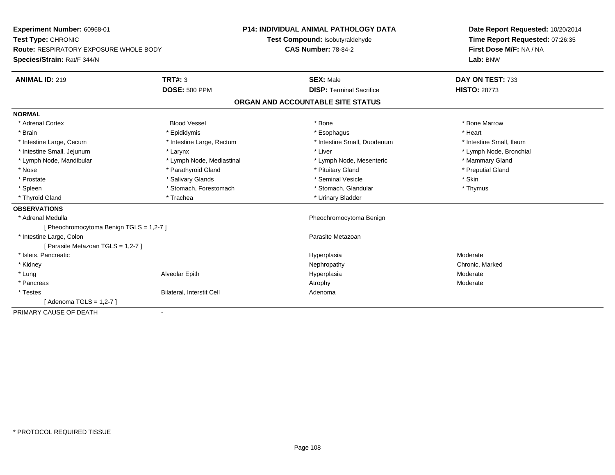| Experiment Number: 60968-01<br>Test Type: CHRONIC<br><b>Route: RESPIRATORY EXPOSURE WHOLE BODY</b> |                                  | P14: INDIVIDUAL ANIMAL PATHOLOGY DATA | Date Report Requested: 10/20/2014 |  |
|----------------------------------------------------------------------------------------------------|----------------------------------|---------------------------------------|-----------------------------------|--|
|                                                                                                    |                                  | Test Compound: Isobutyraldehyde       | Time Report Requested: 07:26:35   |  |
|                                                                                                    |                                  | <b>CAS Number: 78-84-2</b>            | First Dose M/F: NA / NA           |  |
| Species/Strain: Rat/F 344/N                                                                        |                                  |                                       | Lab: BNW                          |  |
| <b>ANIMAL ID: 219</b>                                                                              | TRT#: 3                          | <b>SEX: Male</b>                      | DAY ON TEST: 733                  |  |
|                                                                                                    | <b>DOSE: 500 PPM</b>             | <b>DISP: Terminal Sacrifice</b>       | <b>HISTO: 28773</b>               |  |
|                                                                                                    |                                  | ORGAN AND ACCOUNTABLE SITE STATUS     |                                   |  |
| <b>NORMAL</b>                                                                                      |                                  |                                       |                                   |  |
| * Adrenal Cortex                                                                                   | <b>Blood Vessel</b>              | * Bone                                | * Bone Marrow                     |  |
| * Brain                                                                                            | * Epididymis                     | * Esophagus                           | * Heart                           |  |
| * Intestine Large, Cecum                                                                           | * Intestine Large, Rectum        | * Intestine Small, Duodenum           | * Intestine Small, Ileum          |  |
| * Intestine Small, Jejunum                                                                         | * Larynx                         | * Liver                               | * Lymph Node, Bronchial           |  |
| * Lymph Node, Mandibular                                                                           | * Lymph Node, Mediastinal        | * Lymph Node, Mesenteric              | * Mammary Gland                   |  |
| * Nose                                                                                             | * Parathyroid Gland              | * Pituitary Gland                     | * Preputial Gland                 |  |
| * Prostate                                                                                         | * Salivary Glands                | * Seminal Vesicle                     | * Skin                            |  |
| * Spleen                                                                                           | * Stomach, Forestomach           | * Stomach, Glandular                  | * Thymus                          |  |
| * Thyroid Gland                                                                                    | * Trachea                        | * Urinary Bladder                     |                                   |  |
| <b>OBSERVATIONS</b>                                                                                |                                  |                                       |                                   |  |
| * Adrenal Medulla                                                                                  |                                  | Pheochromocytoma Benign               |                                   |  |
| [ Pheochromocytoma Benign TGLS = 1,2-7 ]                                                           |                                  |                                       |                                   |  |
| * Intestine Large, Colon                                                                           |                                  | Parasite Metazoan                     |                                   |  |
| [ Parasite Metazoan TGLS = 1,2-7 ]                                                                 |                                  |                                       |                                   |  |
| * Islets, Pancreatic                                                                               |                                  | Hyperplasia                           | Moderate                          |  |
| * Kidney                                                                                           |                                  | Nephropathy                           | Chronic, Marked                   |  |
| * Lung                                                                                             | Alveolar Epith                   | Hyperplasia                           | Moderate                          |  |
| * Pancreas                                                                                         |                                  | Atrophy                               | Moderate                          |  |
| * Testes                                                                                           | <b>Bilateral, Interstit Cell</b> | Adenoma                               |                                   |  |
| [Adenoma TGLS = 1,2-7]                                                                             |                                  |                                       |                                   |  |
| PRIMARY CAUSE OF DEATH                                                                             | $\blacksquare$                   |                                       |                                   |  |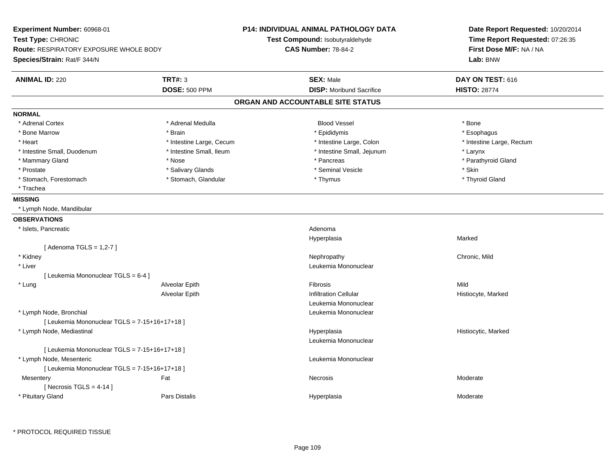| <b>Experiment Number: 60968-01</b><br>Test Type: CHRONIC<br><b>Route: RESPIRATORY EXPOSURE WHOLE BODY</b><br>Species/Strain: Rat/F 344/N |                                        | P14: INDIVIDUAL ANIMAL PATHOLOGY DATA<br>Test Compound: Isobutyraldehyde<br><b>CAS Number: 78-84-2</b> | Date Report Requested: 10/20/2014<br>Time Report Requested: 07:26:35<br>First Dose M/F: NA / NA<br>Lab: BNW |
|------------------------------------------------------------------------------------------------------------------------------------------|----------------------------------------|--------------------------------------------------------------------------------------------------------|-------------------------------------------------------------------------------------------------------------|
| <b>ANIMAL ID: 220</b>                                                                                                                    | <b>TRT#: 3</b><br><b>DOSE: 500 PPM</b> | <b>SEX: Male</b><br><b>DISP:</b> Moribund Sacrifice                                                    | DAY ON TEST: 616<br><b>HISTO: 28774</b>                                                                     |
|                                                                                                                                          |                                        | ORGAN AND ACCOUNTABLE SITE STATUS                                                                      |                                                                                                             |
| <b>NORMAL</b>                                                                                                                            |                                        |                                                                                                        |                                                                                                             |
| * Adrenal Cortex                                                                                                                         | * Adrenal Medulla                      | <b>Blood Vessel</b>                                                                                    | * Bone                                                                                                      |
| * Bone Marrow                                                                                                                            | * Brain                                | * Epididymis                                                                                           | * Esophagus                                                                                                 |
| * Heart                                                                                                                                  | * Intestine Large, Cecum               | * Intestine Large, Colon                                                                               | * Intestine Large, Rectum                                                                                   |
| * Intestine Small, Duodenum                                                                                                              | * Intestine Small, Ileum               | * Intestine Small, Jejunum                                                                             | * Larynx                                                                                                    |
| * Mammary Gland                                                                                                                          | * Nose                                 | * Pancreas                                                                                             | * Parathyroid Gland                                                                                         |
| * Prostate                                                                                                                               | * Salivary Glands                      | * Seminal Vesicle                                                                                      | * Skin                                                                                                      |
| * Stomach, Forestomach                                                                                                                   | * Stomach, Glandular                   | * Thymus                                                                                               | * Thyroid Gland                                                                                             |
| * Trachea                                                                                                                                |                                        |                                                                                                        |                                                                                                             |
| <b>MISSING</b>                                                                                                                           |                                        |                                                                                                        |                                                                                                             |
| * Lymph Node, Mandibular                                                                                                                 |                                        |                                                                                                        |                                                                                                             |
| <b>OBSERVATIONS</b>                                                                                                                      |                                        |                                                                                                        |                                                                                                             |
| * Islets, Pancreatic                                                                                                                     |                                        | Adenoma                                                                                                |                                                                                                             |
|                                                                                                                                          |                                        | Hyperplasia                                                                                            | Marked                                                                                                      |
| [ Adenoma TGLS = 1,2-7 ]                                                                                                                 |                                        |                                                                                                        |                                                                                                             |
| * Kidney                                                                                                                                 |                                        | Nephropathy                                                                                            | Chronic, Mild                                                                                               |
| * Liver                                                                                                                                  |                                        | Leukemia Mononuclear                                                                                   |                                                                                                             |
| [ Leukemia Mononuclear TGLS = 6-4 ]                                                                                                      |                                        |                                                                                                        |                                                                                                             |
| * Lung                                                                                                                                   | Alveolar Epith                         | <b>Fibrosis</b>                                                                                        | Mild                                                                                                        |
|                                                                                                                                          | Alveolar Epith                         | <b>Infiltration Cellular</b>                                                                           | Histiocyte, Marked                                                                                          |
|                                                                                                                                          |                                        | Leukemia Mononuclear                                                                                   |                                                                                                             |
| * Lymph Node, Bronchial                                                                                                                  |                                        | Leukemia Mononuclear                                                                                   |                                                                                                             |
| [ Leukemia Mononuclear TGLS = 7-15+16+17+18 ]                                                                                            |                                        |                                                                                                        |                                                                                                             |
| * Lymph Node, Mediastinal                                                                                                                |                                        | Hyperplasia                                                                                            | Histiocytic, Marked                                                                                         |
|                                                                                                                                          |                                        | Leukemia Mononuclear                                                                                   |                                                                                                             |
| [ Leukemia Mononuclear TGLS = 7-15+16+17+18 ]                                                                                            |                                        |                                                                                                        |                                                                                                             |
| * Lymph Node, Mesenteric                                                                                                                 |                                        | Leukemia Mononuclear                                                                                   |                                                                                                             |
| [ Leukemia Mononuclear TGLS = 7-15+16+17+18 ]                                                                                            |                                        |                                                                                                        |                                                                                                             |
| Mesentery                                                                                                                                | Fat                                    | Necrosis                                                                                               | Moderate                                                                                                    |
| [Necrosis TGLS = $4-14$ ]                                                                                                                |                                        |                                                                                                        |                                                                                                             |
| * Pituitary Gland                                                                                                                        | Pars Distalis                          | Hyperplasia                                                                                            | Moderate                                                                                                    |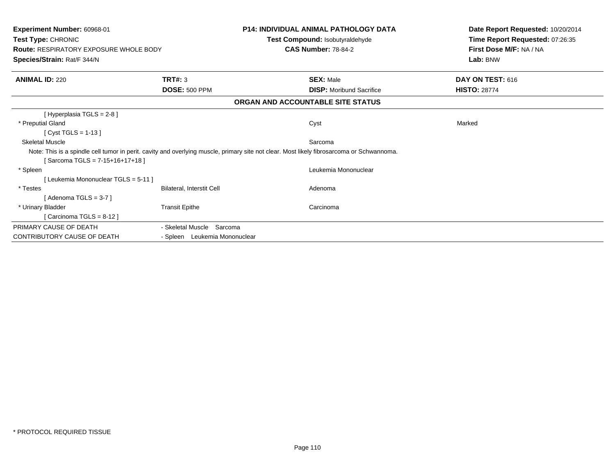| Experiment Number: 60968-01<br>Test Type: CHRONIC<br><b>Route: RESPIRATORY EXPOSURE WHOLE BODY</b><br>Species/Strain: Rat/F 344/N |                               | <b>P14: INDIVIDUAL ANIMAL PATHOLOGY DATA</b><br>Test Compound: Isobutyraldehyde<br><b>CAS Number: 78-84-2</b>                             | Date Report Requested: 10/20/2014<br>Time Report Requested: 07:26:35<br>First Dose M/F: NA / NA<br>Lab: BNW |  |
|-----------------------------------------------------------------------------------------------------------------------------------|-------------------------------|-------------------------------------------------------------------------------------------------------------------------------------------|-------------------------------------------------------------------------------------------------------------|--|
| <b>ANIMAL ID: 220</b>                                                                                                             | <b>TRT#: 3</b>                | <b>SEX: Male</b>                                                                                                                          | DAY ON TEST: 616                                                                                            |  |
|                                                                                                                                   | <b>DOSE: 500 PPM</b>          | <b>DISP:</b> Moribund Sacrifice                                                                                                           | <b>HISTO: 28774</b>                                                                                         |  |
|                                                                                                                                   |                               | ORGAN AND ACCOUNTABLE SITE STATUS                                                                                                         |                                                                                                             |  |
| [ Hyperplasia TGLS = 2-8 ]                                                                                                        |                               |                                                                                                                                           |                                                                                                             |  |
| * Preputial Gland                                                                                                                 |                               | Cyst                                                                                                                                      | Marked                                                                                                      |  |
| [ $Cyst TGLS = 1-13$ ]                                                                                                            |                               |                                                                                                                                           |                                                                                                             |  |
| <b>Skeletal Muscle</b>                                                                                                            |                               | Sarcoma                                                                                                                                   |                                                                                                             |  |
| [Sarcoma TGLS = $7-15+16+17+18$ ]                                                                                                 |                               | Note: This is a spindle cell tumor in perit. cavity and overlying muscle, primary site not clear. Most likely fibrosarcoma or Schwannoma. |                                                                                                             |  |
| * Spleen                                                                                                                          |                               | Leukemia Mononuclear                                                                                                                      |                                                                                                             |  |
| [Leukemia Mononuclear TGLS = 5-11]                                                                                                |                               |                                                                                                                                           |                                                                                                             |  |
| * Testes                                                                                                                          | Bilateral, Interstit Cell     | Adenoma                                                                                                                                   |                                                                                                             |  |
| [Adenoma TGLS = $3-7$ ]                                                                                                           |                               |                                                                                                                                           |                                                                                                             |  |
| * Urinary Bladder                                                                                                                 | <b>Transit Epithe</b>         | Carcinoma                                                                                                                                 |                                                                                                             |  |
| [Carcinoma TGLS = $8-12$ ]                                                                                                        |                               |                                                                                                                                           |                                                                                                             |  |
| PRIMARY CAUSE OF DEATH                                                                                                            | - Skeletal Muscle Sarcoma     |                                                                                                                                           |                                                                                                             |  |
| <b>CONTRIBUTORY CAUSE OF DEATH</b>                                                                                                | - Spleen Leukemia Mononuclear |                                                                                                                                           |                                                                                                             |  |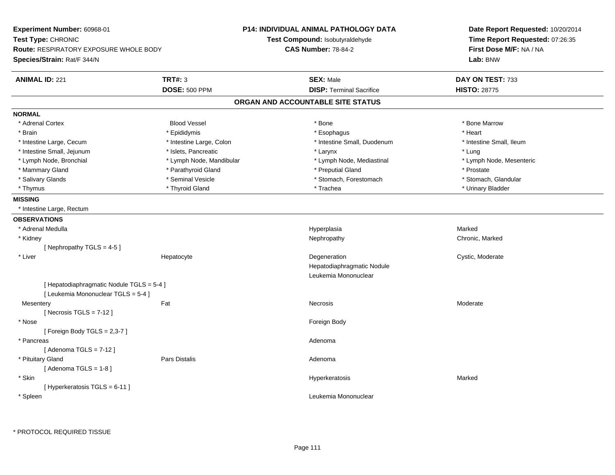| Experiment Number: 60968-01                   |                          | <b>P14: INDIVIDUAL ANIMAL PATHOLOGY DATA</b> | Date Report Requested: 10/20/2014<br>Time Report Requested: 07:26:35<br>First Dose M/F: NA / NA |  |
|-----------------------------------------------|--------------------------|----------------------------------------------|-------------------------------------------------------------------------------------------------|--|
| Test Type: CHRONIC                            |                          | Test Compound: Isobutyraldehyde              |                                                                                                 |  |
| <b>Route: RESPIRATORY EXPOSURE WHOLE BODY</b> |                          | <b>CAS Number: 78-84-2</b>                   |                                                                                                 |  |
| Species/Strain: Rat/F 344/N                   |                          |                                              | Lab: BNW                                                                                        |  |
| <b>ANIMAL ID: 221</b>                         | <b>TRT#: 3</b>           | <b>SEX: Male</b>                             | DAY ON TEST: 733                                                                                |  |
|                                               | <b>DOSE: 500 PPM</b>     | <b>DISP: Terminal Sacrifice</b>              | <b>HISTO: 28775</b>                                                                             |  |
|                                               |                          | ORGAN AND ACCOUNTABLE SITE STATUS            |                                                                                                 |  |
| <b>NORMAL</b>                                 |                          |                                              |                                                                                                 |  |
| * Adrenal Cortex                              | <b>Blood Vessel</b>      | * Bone                                       | * Bone Marrow                                                                                   |  |
| * Brain                                       | * Epididymis             | * Esophagus                                  | * Heart                                                                                         |  |
| * Intestine Large, Cecum                      | * Intestine Large, Colon | * Intestine Small, Duodenum                  | * Intestine Small, Ileum                                                                        |  |
| * Intestine Small, Jejunum                    | * Islets, Pancreatic     | * Larynx                                     | * Lung                                                                                          |  |
| * Lymph Node, Bronchial                       | * Lymph Node, Mandibular | * Lymph Node, Mediastinal                    | * Lymph Node, Mesenteric                                                                        |  |
| * Mammary Gland                               | * Parathyroid Gland      | * Preputial Gland                            | * Prostate                                                                                      |  |
| * Salivary Glands                             | * Seminal Vesicle        | * Stomach, Forestomach                       | * Stomach, Glandular                                                                            |  |
| * Thymus                                      | * Thyroid Gland          | * Trachea                                    | * Urinary Bladder                                                                               |  |
| <b>MISSING</b>                                |                          |                                              |                                                                                                 |  |
| * Intestine Large, Rectum                     |                          |                                              |                                                                                                 |  |
| <b>OBSERVATIONS</b>                           |                          |                                              |                                                                                                 |  |
| * Adrenal Medulla                             |                          | Hyperplasia                                  | Marked                                                                                          |  |
| * Kidney                                      |                          | Nephropathy                                  | Chronic, Marked                                                                                 |  |
| [Nephropathy TGLS = $4-5$ ]                   |                          |                                              |                                                                                                 |  |
| * Liver                                       | Hepatocyte               | Degeneration                                 | Cystic, Moderate                                                                                |  |
|                                               |                          | Hepatodiaphragmatic Nodule                   |                                                                                                 |  |
|                                               |                          | Leukemia Mononuclear                         |                                                                                                 |  |
| [ Hepatodiaphragmatic Nodule TGLS = 5-4 ]     |                          |                                              |                                                                                                 |  |
| [ Leukemia Mononuclear TGLS = 5-4 ]           |                          |                                              |                                                                                                 |  |
| Mesentery                                     | Fat                      | <b>Necrosis</b>                              | Moderate                                                                                        |  |
| [Necrosis $TGLS = 7-12$ ]                     |                          |                                              |                                                                                                 |  |
| * Nose                                        |                          | Foreign Body                                 |                                                                                                 |  |
| [Foreign Body TGLS = 2,3-7]                   |                          |                                              |                                                                                                 |  |
| * Pancreas                                    |                          | Adenoma                                      |                                                                                                 |  |
| [Adenoma TGLS = $7-12$ ]                      |                          |                                              |                                                                                                 |  |
| * Pituitary Gland                             | Pars Distalis            | Adenoma                                      |                                                                                                 |  |
| [Adenoma TGLS = $1-8$ ]                       |                          |                                              |                                                                                                 |  |
| * Skin                                        |                          | Hyperkeratosis                               | Marked                                                                                          |  |
| [ Hyperkeratosis TGLS = 6-11 ]                |                          |                                              |                                                                                                 |  |
| * Spleen                                      |                          | Leukemia Mononuclear                         |                                                                                                 |  |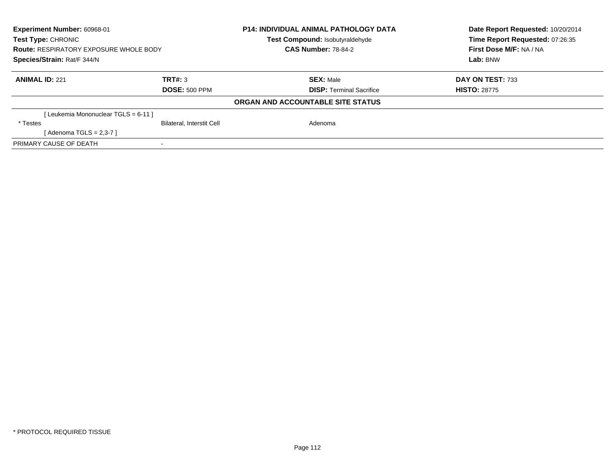| Experiment Number: 60968-01<br><b>Test Type: CHRONIC</b><br><b>Route: RESPIRATORY EXPOSURE WHOLE BODY</b><br>Species/Strain: Rat/F 344/N |                           | <b>P14: INDIVIDUAL ANIMAL PATHOLOGY DATA</b><br>Test Compound: Isobutyraldehyde<br><b>CAS Number: 78-84-2</b> |  | Date Report Requested: 10/20/2014<br>Time Report Requested: 07:26:35<br>First Dose M/F: NA / NA<br>Lab: BNW |
|------------------------------------------------------------------------------------------------------------------------------------------|---------------------------|---------------------------------------------------------------------------------------------------------------|--|-------------------------------------------------------------------------------------------------------------|
| <b>ANIMAL ID: 221</b>                                                                                                                    | TRT#: 3                   | <b>SEX: Male</b>                                                                                              |  | <b>DAY ON TEST: 733</b>                                                                                     |
|                                                                                                                                          | <b>DOSE: 500 PPM</b>      | <b>DISP:</b> Terminal Sacrifice                                                                               |  | <b>HISTO: 28775</b>                                                                                         |
|                                                                                                                                          |                           | ORGAN AND ACCOUNTABLE SITE STATUS                                                                             |  |                                                                                                             |
| [Leukemia Mononuclear TGLS = 6-11]                                                                                                       |                           |                                                                                                               |  |                                                                                                             |
| * Testes                                                                                                                                 | Bilateral, Interstit Cell | Adenoma                                                                                                       |  |                                                                                                             |
| [Adenoma TGLS = $2,3-7$ ]                                                                                                                |                           |                                                                                                               |  |                                                                                                             |
| PRIMARY CAUSE OF DEATH                                                                                                                   |                           |                                                                                                               |  |                                                                                                             |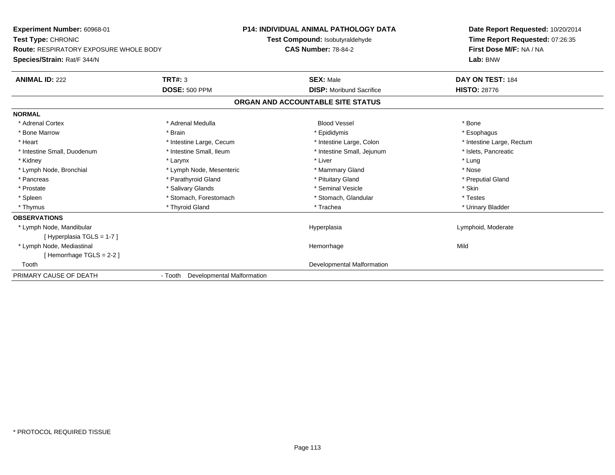**Experiment Number:** 60968-01**Test Type:** CHRONIC **Route:** RESPIRATORY EXPOSURE WHOLE BODY**Species/Strain:** Rat/F 344/N**P14: INDIVIDUAL ANIMAL PATHOLOGY DATATest Compound:** Isobutyraldehyde**CAS Number:** 78-84-2**Date Report Requested:** 10/20/2014**Time Report Requested:** 07:26:35**First Dose M/F:** NA / NA**Lab:** BNW**ANIMAL ID:** 222 **TRT#:** <sup>3</sup> **SEX:** Male **DAY ON TEST:** <sup>184</sup> **DOSE:** 500 PPM**DISP:** Moribund Sacrifice **HISTO:** 28776 **ORGAN AND ACCOUNTABLE SITE STATUSNORMAL**\* Adrenal Cortex \* Adrenal Medulla \* \* Book \* Blood Vessel \* Book \* Bone \* Bone \* Bone \* Bone \* Bone \* Bone \* Bone \* Bone \* Bone \* Esophagus \* Bone Marrow \* Brain \* Epididymis \* Esophagus \* Intestine Large, Rectum \* Heart \* Intestine Large, Cecum \* Intestine Large, Cecum \* Intestine Large, Colon \* Intestine Small, Duodenum \* Intestine Small, Ileum \* Intestine Small, Intestine Small, Jejunum \* Islets, Pancreatic \* Kidney \* Larynx \* Liver \* Lung\* Nose \* Lymph Node, Bronchial \* Lymph Node, Mesenteric \* Mammary Gland \* Mammary Gland \* Preputial Gland \* Pancreas \* \* Parathyroid Gland \* \* Parathyroid Gland \* \* Pituitary Gland \* \* Preputial Gland \* \* Preputial Gland \* Prostate \* \* Salivary Glands \* \* Salivary Glands \* \* Seminal Vesicle \* \* \* Seminal Yestrich \* \* Skin \* \* Skin \* Testes \* Spleen \* Stomach, Forestomach \* Stomach \* Stomach, Glandular \* Stomach, Glandular \* Urinary Bladder \* Thymus \* Thyroid Gland \* Trachea \* Urinary Bladder \* **OBSERVATIONS** \* Lymph Node, Mandibular Hyperplasia Lymphoid, Moderate [ Hyperplasia TGLS = 1-7 ] \* Lymph Node, Mediastinal Hemorrhagee Mild [ Hemorrhage TGLS = 2-2 ] Tooth Developmental Malformation PRIMARY CAUSE OF DEATH- Tooth Developmental Malformation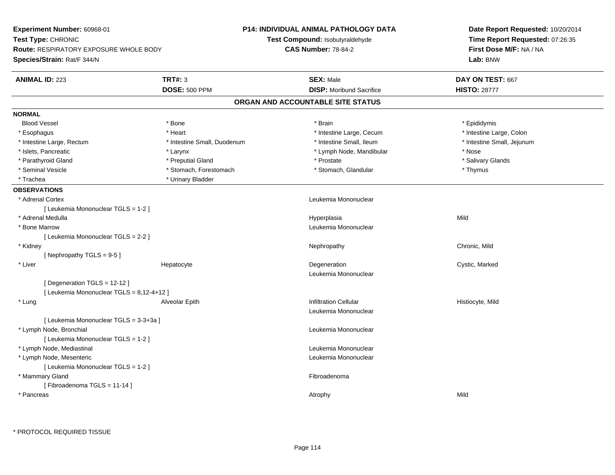**Experiment Number:** 60968-01**Test Type:** CHRONIC **Route:** RESPIRATORY EXPOSURE WHOLE BODY**Species/Strain:** Rat/F 344/N**P14: INDIVIDUAL ANIMAL PATHOLOGY DATATest Compound:** Isobutyraldehyde**CAS Number:** 78-84-2**Date Report Requested:** 10/20/2014**Time Report Requested:** 07:26:35**First Dose M/F:** NA / NA**Lab:** BNW**ANIMAL ID:** 223**TRT#:** 3 **SEX:** Male **DAY ON TEST:** 667 **DOSE:** 500 PPM**DISP:** Moribund Sacrifice **HISTO: 28777 ORGAN AND ACCOUNTABLE SITE STATUSNORMALBlood Vessel**  Blood Vessel \* Bone \* Brain \* Epididymis\* Intestine Large, Colon \* Esophagus \* **Intestine Large, Cecum \* Intestine Large, Cecum \* Intestine Large, Cecum \*** Intestine Large, Cecum \* Intestine Large, Rectum \* Thestine Small, Duodenum \* Number of the small, Ileum \* Intestine Small, Jejunum \* Intestine Small, Jejunum \* Islets, Pancreatic \* The same \* Larynx \* Larynx \* Lymph Node, Mandibular \* Lymph Node, Mandibular \* Nose \* Salivary Glands \* Parathyroid Gland \* \* \* Preputial Gland \* \* Preputial Gland \* \* Prostate \* \* Salivary Glands \* Salivary Glands \* Seminal Vesicle \* Thymus \* Stomach, Forestomach \* Northern \* Stomach, Glandular \* Thymus \* Thymus \* Trachea **\*** Urinary Bladder **OBSERVATIONS** \* Adrenal Cortex Leukemia Mononuclear [ Leukemia Mononuclear TGLS = 1-2 ] \* Adrenal Medulla Hyperplasia Mild \* Bone Marrow Leukemia Mononuclear [ Leukemia Mononuclear TGLS = 2-2 ] \* Kidneyy the controller of the controller of the controller of the controller of the controller of the chronic, Mild [ Nephropathy TGLS = 9-5 ] \* Liver Hepatocytee which is the contract of the Degeneration contract the contract of the Cystic, Marked Cystic, Marked Cystic, Leukemia Mononuclear[ Degeneration TGLS = 12-12 ][ Leukemia Mononuclear TGLS = 8,12-4+12 ] \* Lung Alveolar Epith Infiltration Cellular Histiocyte, Mild Leukemia Mononuclear[ Leukemia Mononuclear TGLS = 3-3+3a ] \* Lymph Node, Bronchial Leukemia Mononuclear[ Leukemia Mononuclear TGLS = 1-2 ] \* Lymph Node, Mediastinal Leukemia Mononuclear \* Lymph Node, Mesenteric Leukemia Mononuclear [ Leukemia Mononuclear TGLS = 1-2 ] \* Mammary Glandd **Executive Contract of the Contract Contract Contract Contract Contract Contract Contract Contract Contract Contract Contract Contract Contract Contract Contract Contract Contract Contract Contract Contract Contract Cont** [ Fibroadenoma TGLS = 11-14 ] \* Pancreass the control of the control of the control of the control of the control of the control of the control of the control of the control of the control of the control of the control of the control of the control of the contro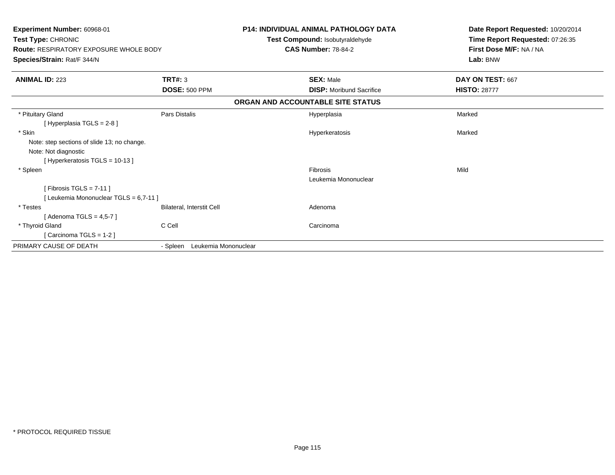| Experiment Number: 60968-01<br>Test Type: CHRONIC<br><b>Route: RESPIRATORY EXPOSURE WHOLE BODY</b><br>Species/Strain: Rat/F 344/N |                                  | <b>P14: INDIVIDUAL ANIMAL PATHOLOGY DATA</b><br>Test Compound: Isobutyraldehyde<br><b>CAS Number: 78-84-2</b> | Date Report Requested: 10/20/2014<br>Time Report Requested: 07:26:35<br>First Dose M/F: NA / NA<br>Lab: BNW |
|-----------------------------------------------------------------------------------------------------------------------------------|----------------------------------|---------------------------------------------------------------------------------------------------------------|-------------------------------------------------------------------------------------------------------------|
| <b>ANIMAL ID: 223</b>                                                                                                             | TRT#: 3                          | <b>SEX: Male</b>                                                                                              | DAY ON TEST: 667                                                                                            |
|                                                                                                                                   | <b>DOSE: 500 PPM</b>             | <b>DISP:</b> Moribund Sacrifice                                                                               | <b>HISTO: 28777</b>                                                                                         |
|                                                                                                                                   |                                  | ORGAN AND ACCOUNTABLE SITE STATUS                                                                             |                                                                                                             |
| * Pituitary Gland<br>[Hyperplasia TGLS = $2-8$ ]                                                                                  | Pars Distalis                    | Hyperplasia                                                                                                   | Marked                                                                                                      |
| * Skin<br>Note: step sections of slide 13; no change.<br>Note: Not diagnostic<br>[Hyperkeratosis TGLS = 10-13]                    |                                  | Hyperkeratosis                                                                                                | Marked                                                                                                      |
| * Spleen<br>[Fibrosis TGLS = $7-11$ ]                                                                                             |                                  | Fibrosis<br>Leukemia Mononuclear                                                                              | Mild                                                                                                        |
| [Leukemia Mononuclear TGLS = 6,7-11]<br>* Testes<br>[Adenoma TGLS = $4,5-7$ ]                                                     | Bilateral, Interstit Cell        | Adenoma                                                                                                       |                                                                                                             |
| * Thyroid Gland<br>[Carcinoma TGLS = $1-2$ ]                                                                                      | C Cell                           | Carcinoma                                                                                                     |                                                                                                             |
| PRIMARY CAUSE OF DEATH                                                                                                            | Leukemia Mononuclear<br>- Spleen |                                                                                                               |                                                                                                             |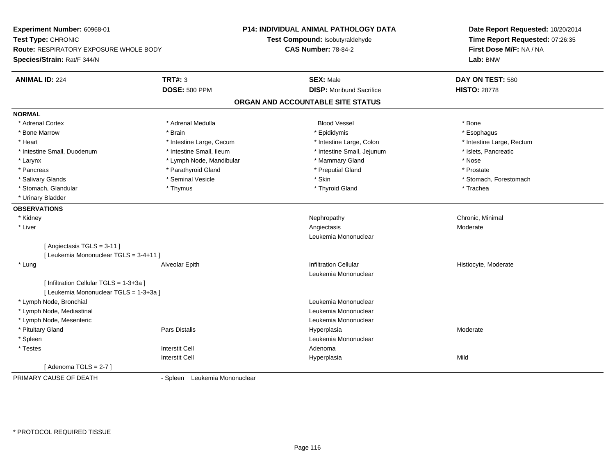**Experiment Number:** 60968-01**Test Type:** CHRONIC **Route:** RESPIRATORY EXPOSURE WHOLE BODY**Species/Strain:** Rat/F 344/N**P14: INDIVIDUAL ANIMAL PATHOLOGY DATATest Compound:** Isobutyraldehyde**CAS Number:** 78-84-2**Date Report Requested:** 10/20/2014**Time Report Requested:** 07:26:35**First Dose M/F:** NA / NA**Lab:** BNW**ANIMAL ID:** 224**TRT#:** 3 **SEX:** Male **DAY ON TEST:** 580 **DOSE:** 500 PPM**DISP:** Moribund Sacrifice **HISTO:** 28778 **ORGAN AND ACCOUNTABLE SITE STATUSNORMAL**\* Adrenal Cortex \* Adrenal Cortex \* Adrenal Medulla Blood Vessel \* Bone\* Esophagus \* Bone Marrow \* Brain \* Epididymis \* Esophagus \* Intestine Large, Rectum \* Heart **\*** Intestine Large, Cecum **\* Intestine Large, Cecum** \* Intestine Large, Colon \* Intestine Large, Colon \* Intestine Small, Duodenum \* Intestine Small, Ileum \* Intestine Small, Intestine Small, Jejunum \* Islets, Pancreatic \* Larynx **\* Example 19** \* Lymph Node, Mandibular \* Mammary Gland \* Mose \* Nose \* Nose \* Prostate \* Pancreas \* Pancreas \* Parathyroid Gland \* Pancreas \* Peputial Gland \* Salivary Glands \* The state of the seminal Vesicle \* Skin \* Skin \* Skin \* Stomach, Forestomach, Forestomach, Forestomach, Forestomach, Forestomach, Forestomach, Forestomach, Forestomach, Forestomach, Forestomach, Foresto \* Stomach, Glandular \* Thymus \* Thymus \* Thymus \* Thyroid Gland \* Thyroid Gland \* Trachea \* Urinary Bladder**OBSERVATIONS** \* Kidneyy the controller of the controller of the controller of the controller of the controller of the controller of the controller of the controller of the controller of the controller of the controller of the controller of the \* Liverr and the contract of the contract of the contract of the contract of the contract of the contract of the contract of the contract of the contract of the contract of the contract of the contract of the contract of the cont Angiectasis Moderate Leukemia Mononuclear[ Angiectasis TGLS = 3-11 ][ Leukemia Mononuclear TGLS = 3-4+11 ] \* Lung Alveolar Epith Infiltration Cellular Histiocyte, Moderate Leukemia Mononuclear[ Infiltration Cellular TGLS = 1-3+3a ][ Leukemia Mononuclear TGLS = 1-3+3a ] \* Lymph Node, Bronchial Leukemia Mononuclear \* Lymph Node, Mediastinal Leukemia Mononuclear \* Lymph Node, Mesenteric Leukemia Mononuclear \* Pituitary Gland Pars Distalis Hyperplasia Moderate \* Spleen Leukemia Mononuclear \* Testes Interstit Cell AdenomaI **Hyperplasia** Interstit Cella Mild  $[$  Adenoma TGLS = 2-7  $]$ PRIMARY CAUSE OF DEATH- Spleen Leukemia Mononuclear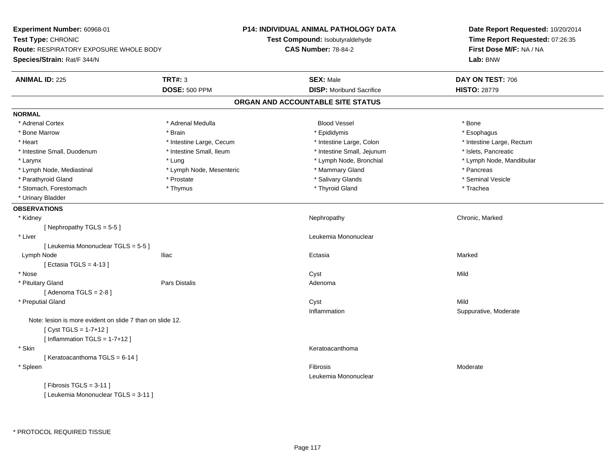**Experiment Number:** 60968-01**Test Type:** CHRONIC **Route:** RESPIRATORY EXPOSURE WHOLE BODY**Species/Strain:** Rat/F 344/N**P14: INDIVIDUAL ANIMAL PATHOLOGY DATATest Compound:** Isobutyraldehyde**CAS Number:** 78-84-2**Date Report Requested:** 10/20/2014**Time Report Requested:** 07:26:35**First Dose M/F:** NA / NA**Lab:** BNW**ANIMAL ID:** 225 **TRT#:** <sup>3</sup> **SEX:** Male **DAY ON TEST:** <sup>706</sup> **DOSE:** 500 PPM**DISP:** Moribund Sacrifice **HISTO:** 28779 **ORGAN AND ACCOUNTABLE SITE STATUSNORMAL**\* Adrenal Cortex \* Adrenal Cortex \* Adrenal Medulla Blood Vessel \* Bone\* Esophagus \* Bone Marrow \* Brain \* Epididymis \* Esophagus \* Heart Thestine Large, Cecum Thestine Large, Cecum Assessment Carge, Colon Thestine Large, Rectum \* Intestine Large, Rectum \* Intestine Large, Rectum \* Intestine Small, Duodenum \* Intestine Small, Ileum \* Intestine Small, Intestine Small, Jejunum \* Islets, Pancreatic \* Larynx \* Lung \* Lymph Node, Bronchial \* Lymph Node, Mandibular \* Lymph Node, Mediastinal \* The mode is the second of the second term in the second term in the second term in the second term in the second term in the second term in the second term in the second term in the second term \* Seminal Vesicle \* Parathyroid Gland \* \* \* Prostate \* \* Prostate \* \* Salivary Glands \* \* Salivary Glands \* \* Seminal Vesicle \* Stomach, Forestomach \* Trachea \* Thymus \* Thymus \* Thyroid Gland \* Thyroid Gland \* Trachea \* Trachea \* Urinary Bladder**OBSERVATIONS** \* Kidneyy the controller of the controller of the controller of the Nephropathy Chronic, Marked ( $\alpha$  ) of the controller of the controller of the controller of the controller of the controller of the controller of the controller [ Nephropathy TGLS = 5-5 ] \* Liver Leukemia Mononuclear [ Leukemia Mononuclear TGLS = 5-5 ] Lymph Nodee en anno 1920 - Iliac anno 1920 - Iliac anno 1920 - Ectasia anno 1920 - Anno 1920 - Marked Marked II<br>Iomraidhean  $[$  Ectasia TGLS = 4-13  $]$  \* Nosee and the control of the control of the control of the control of the control of the control of the control of the control of the control of the control of the control of the control of the control of the control of the co \* Pituitary Glandd and the contract of Pars Distalis and the contract of Adenoma and Adenoma and the Adenoma and the Adenoma and  $\lambda$  $[$  Adenoma TGLS = 2-8  $]$  \* Preputial Glandd and the control of the control of the control of the control of the control of the control of the control of the control of the control of the control of the control of the control of the control of the control of the co Inflammation Suppurative, Moderate Note: lesion is more evident on slide 7 than on slide 12.[ Cyst TGLS = 1-7+12 ] $[$  Inflammation TGLS = 1-7+12  $]$  \* Skinn anns an t-ainmeile anns an t-ainmeile anns an t-ainmeile anns an t-ainmeile anns an t-ainmeile anns an t-ainm [ Keratoacanthoma TGLS = 6-14 ] \* Spleenn and the contract of the contract of the contract of the contract of the contract of the contract of the contract of the contract of the contract of the contract of the contract of the contract of the contract of the cont Leukemia Mononuclear $[$  Fibrosis TGLS = 3-11  $]$ [ Leukemia Mononuclear TGLS = 3-11 ]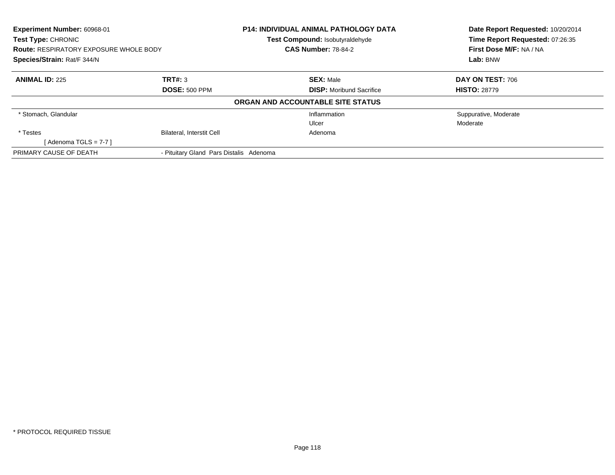| Experiment Number: 60968-01<br>Test Type: CHRONIC<br><b>Route: RESPIRATORY EXPOSURE WHOLE BODY</b><br>Species/Strain: Rat/F 344/N |                                         | <b>P14: INDIVIDUAL ANIMAL PATHOLOGY DATA</b><br>Test Compound: Isobutyraldehyde<br><b>CAS Number: 78-84-2</b> | Date Report Requested: 10/20/2014<br>Time Report Requested: 07:26:35<br>First Dose M/F: NA / NA<br>Lab: BNW |
|-----------------------------------------------------------------------------------------------------------------------------------|-----------------------------------------|---------------------------------------------------------------------------------------------------------------|-------------------------------------------------------------------------------------------------------------|
| <b>ANIMAL ID: 225</b>                                                                                                             | TRT#: 3<br><b>DOSE: 500 PPM</b>         | <b>SEX: Male</b><br><b>DISP:</b> Moribund Sacrifice                                                           | DAY ON TEST: 706<br><b>HISTO: 28779</b>                                                                     |
|                                                                                                                                   |                                         | ORGAN AND ACCOUNTABLE SITE STATUS                                                                             |                                                                                                             |
| * Stomach, Glandular                                                                                                              |                                         | Inflammation<br>Ulcer                                                                                         | Suppurative, Moderate<br>Moderate                                                                           |
| * Testes<br>[Adenoma TGLS = $7-7$ ]                                                                                               | <b>Bilateral, Interstit Cell</b>        | Adenoma                                                                                                       |                                                                                                             |
| PRIMARY CAUSE OF DEATH                                                                                                            | - Pituitary Gland Pars Distalis Adenoma |                                                                                                               |                                                                                                             |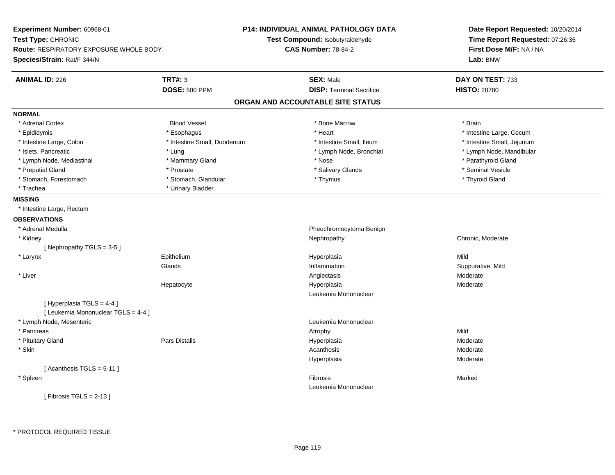| <b>Experiment Number: 60968-01</b><br>Test Type: CHRONIC<br><b>Route: RESPIRATORY EXPOSURE WHOLE BODY</b><br>Species/Strain: Rat/F 344/N |                             | <b>P14: INDIVIDUAL ANIMAL PATHOLOGY DATA</b><br>Test Compound: Isobutyraldehyde<br><b>CAS Number: 78-84-2</b> | Date Report Requested: 10/20/2014<br>Time Report Requested: 07:26:35<br>First Dose M/F: NA / NA<br>Lab: BNW |
|------------------------------------------------------------------------------------------------------------------------------------------|-----------------------------|---------------------------------------------------------------------------------------------------------------|-------------------------------------------------------------------------------------------------------------|
| <b>ANIMAL ID: 226</b>                                                                                                                    | <b>TRT#: 3</b>              | <b>SEX: Male</b>                                                                                              | DAY ON TEST: 733                                                                                            |
|                                                                                                                                          | <b>DOSE: 500 PPM</b>        | <b>DISP: Terminal Sacrifice</b>                                                                               | <b>HISTO: 28780</b>                                                                                         |
|                                                                                                                                          |                             | ORGAN AND ACCOUNTABLE SITE STATUS                                                                             |                                                                                                             |
| <b>NORMAL</b>                                                                                                                            |                             |                                                                                                               |                                                                                                             |
| * Adrenal Cortex                                                                                                                         | <b>Blood Vessel</b>         | * Bone Marrow                                                                                                 | * Brain                                                                                                     |
| * Epididymis                                                                                                                             | * Esophagus                 | * Heart                                                                                                       | * Intestine Large, Cecum                                                                                    |
| * Intestine Large, Colon                                                                                                                 | * Intestine Small, Duodenum | * Intestine Small, Ileum                                                                                      | * Intestine Small, Jejunum                                                                                  |
| * Islets, Pancreatic                                                                                                                     | * Lung                      | * Lymph Node, Bronchial                                                                                       | * Lymph Node, Mandibular                                                                                    |
| * Lymph Node, Mediastinal                                                                                                                | * Mammary Gland             | * Nose                                                                                                        | * Parathyroid Gland                                                                                         |
| * Preputial Gland                                                                                                                        | * Prostate                  | * Salivary Glands                                                                                             | * Seminal Vesicle                                                                                           |
| * Stomach, Forestomach                                                                                                                   | * Stomach, Glandular        | * Thymus                                                                                                      | * Thyroid Gland                                                                                             |
| * Trachea                                                                                                                                | * Urinary Bladder           |                                                                                                               |                                                                                                             |
| <b>MISSING</b>                                                                                                                           |                             |                                                                                                               |                                                                                                             |
| * Intestine Large, Rectum                                                                                                                |                             |                                                                                                               |                                                                                                             |
| <b>OBSERVATIONS</b>                                                                                                                      |                             |                                                                                                               |                                                                                                             |
| * Adrenal Medulla                                                                                                                        |                             | Pheochromocytoma Benign                                                                                       |                                                                                                             |
| * Kidney                                                                                                                                 |                             | Nephropathy                                                                                                   | Chronic, Moderate                                                                                           |
| [Nephropathy TGLS = 3-5]                                                                                                                 |                             |                                                                                                               |                                                                                                             |
| * Larynx                                                                                                                                 | Epithelium                  | Hyperplasia                                                                                                   | Mild                                                                                                        |
|                                                                                                                                          | Glands                      | Inflammation                                                                                                  | Suppurative, Mild                                                                                           |
| $^{\star}$ Liver                                                                                                                         |                             | Angiectasis                                                                                                   | Moderate                                                                                                    |
|                                                                                                                                          | Hepatocyte                  | Hyperplasia                                                                                                   | Moderate                                                                                                    |
|                                                                                                                                          |                             | Leukemia Mononuclear                                                                                          |                                                                                                             |
| [ Hyperplasia TGLS = 4-4 ]                                                                                                               |                             |                                                                                                               |                                                                                                             |
| [ Leukemia Mononuclear TGLS = 4-4 ]                                                                                                      |                             |                                                                                                               |                                                                                                             |
| * Lymph Node, Mesenteric                                                                                                                 |                             | Leukemia Mononuclear                                                                                          |                                                                                                             |
| * Pancreas                                                                                                                               |                             | Atrophy                                                                                                       | Mild                                                                                                        |
| * Pituitary Gland                                                                                                                        | Pars Distalis               | Hyperplasia                                                                                                   | Moderate                                                                                                    |
| * Skin                                                                                                                                   |                             | Acanthosis                                                                                                    | Moderate                                                                                                    |
|                                                                                                                                          |                             | Hyperplasia                                                                                                   | Moderate                                                                                                    |
| [Acanthosis TGLS = $5-11$ ]                                                                                                              |                             |                                                                                                               |                                                                                                             |
| * Spleen                                                                                                                                 |                             | Fibrosis                                                                                                      | Marked                                                                                                      |
|                                                                                                                                          |                             | Leukemia Mononuclear                                                                                          |                                                                                                             |
| [ Fibrosis TGLS = $2-13$ ]                                                                                                               |                             |                                                                                                               |                                                                                                             |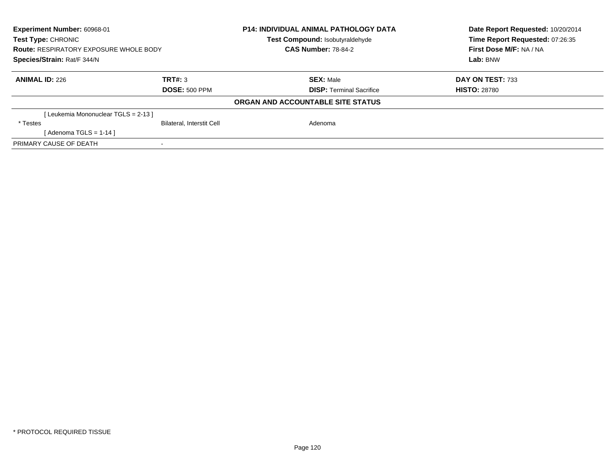| Experiment Number: 60968-01<br><b>Test Type: CHRONIC</b><br><b>Route: RESPIRATORY EXPOSURE WHOLE BODY</b><br>Species/Strain: Rat/F 344/N |                                  | <b>P14: INDIVIDUAL ANIMAL PATHOLOGY DATA</b><br><b>Test Compound: Isobutyraldehyde</b><br><b>CAS Number: 78-84-2</b> |                                 | Date Report Requested: 10/20/2014<br>Time Report Requested: 07:26:35<br>First Dose M/F: NA / NA |
|------------------------------------------------------------------------------------------------------------------------------------------|----------------------------------|----------------------------------------------------------------------------------------------------------------------|---------------------------------|-------------------------------------------------------------------------------------------------|
|                                                                                                                                          |                                  |                                                                                                                      |                                 | Lab: BNW                                                                                        |
| <b>ANIMAL ID: 226</b>                                                                                                                    | TRT#: 3                          |                                                                                                                      | <b>SEX: Male</b>                | DAY ON TEST: 733                                                                                |
|                                                                                                                                          | <b>DOSE: 500 PPM</b>             |                                                                                                                      | <b>DISP: Terminal Sacrifice</b> | <b>HISTO: 28780</b>                                                                             |
|                                                                                                                                          |                                  | ORGAN AND ACCOUNTABLE SITE STATUS                                                                                    |                                 |                                                                                                 |
| [Leukemia Mononuclear TGLS = 2-13 ]                                                                                                      |                                  |                                                                                                                      |                                 |                                                                                                 |
| * Testes                                                                                                                                 | <b>Bilateral, Interstit Cell</b> |                                                                                                                      | Adenoma                         |                                                                                                 |
| [Adenoma TGLS = $1-14$ ]                                                                                                                 |                                  |                                                                                                                      |                                 |                                                                                                 |
| PRIMARY CAUSE OF DEATH                                                                                                                   |                                  |                                                                                                                      |                                 |                                                                                                 |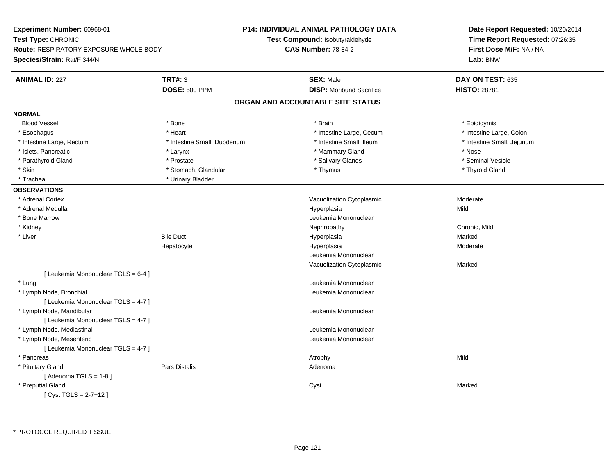**Experiment Number:** 60968-01**Test Type:** CHRONIC **Route:** RESPIRATORY EXPOSURE WHOLE BODY**Species/Strain:** Rat/F 344/N**P14: INDIVIDUAL ANIMAL PATHOLOGY DATATest Compound:** Isobutyraldehyde**CAS Number:** 78-84-2**Date Report Requested:** 10/20/2014**Time Report Requested:** 07:26:35**First Dose M/F:** NA / NA**Lab:** BNW**ANIMAL ID:** 227**TRT#:** 3 **SEX:** Male **DAY ON TEST:** 635 **DOSE:** 500 PPM**DISP:** Moribund Sacrifice **HISTO:** 28781 **ORGAN AND ACCOUNTABLE SITE STATUSNORMALBlood Vessel**  Blood Vessel \* Bone \* Brain \* Epididymis\* Intestine Large, Colon \* Esophagus \* **Heart \* Intestine Large, Cecum \* Intestine Large, Cecum \*** Intestine Large, Cecum \* Intestine Large, Rectum \* Thestine Small, Duodenum \* Number of the small, Ileum \* Intestine Small, Jejunum \* Intestine Small, Jejunum \* Islets, Pancreatic \* Larynx \* Mammary Gland \* Nose \* Seminal Vesicle \* Parathyroid Gland \* \* \* Prostate \* \* Prostate \* \* Salivary Glands \* \* Salivary Glands \* \* Seminal Vesicle \* Skin \* Stomach, Glandular \* Stomach, Glandular \* Thymus \* Thymus \* Thymus \* Thyroid Gland \* Trachea **\*** Urinary Bladder **OBSERVATIONS** \* Adrenal CortexVacuolization Cytoplasmic **Moderate** Moderate \* Adrenal Medulla Hyperplasia Mild \* Bone MarrowLeukemia Mononuclear<br>Nephropathy \* Kidneyy the controller of the controller of the controller of the controller of the controller of the chronic, Mild \* Liverr Bile Duct Hyperplasia a and a study of the state of the Marked Hepatocyte Hyperplasia Moderate Leukemia MononuclearVacuolization Cytoplasmic Marked[ Leukemia Mononuclear TGLS = 6-4 ] \* Lungg and the set of the set of the set of the set of the set of the set of the set of the set of the set of the set of the set of the set of the set of the set of the set of the set of the set of the set of the set of the set \* Lymph Node, Bronchial Leukemia Mononuclear[ Leukemia Mononuclear TGLS = 4-7 ] \* Lymph Node, Mandibular Leukemia Mononuclear [ Leukemia Mononuclear TGLS = 4-7 ] \* Lymph Node, Mediastinal Leukemia Mononuclear \* Lymph Node, Mesenteric Leukemia Mononuclear [ Leukemia Mononuclear TGLS = 4-7 ] \* Pancreass the control of the control of the control of the control of the control of the control of the control of the control of the control of the control of the control of the control of the control of the control of the contro \* Pituitary Glandd and the contract of Pars Distalis and the contract of Adenoma and Adenoma and the Adenoma and the Adenoma and  $\lambda$  $[$  Adenoma TGLS = 1-8  $]$  \* Preputial Glandd and the control of the control of the control of the control of the control of the control of the control of the control of the control of the control of the control of the control of the control of the control of the co  $[$  Cyst TGLS = 2-7+12  $]$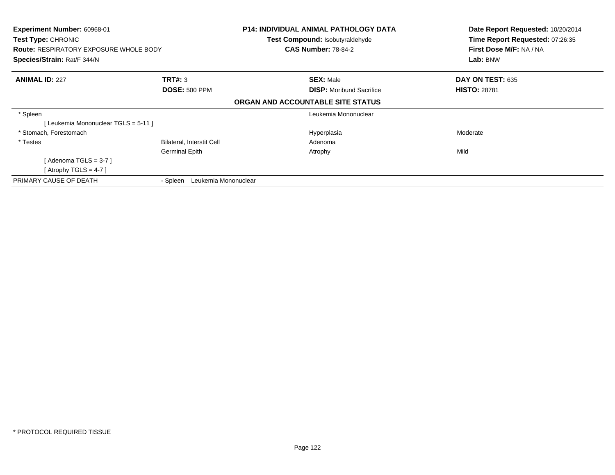| Experiment Number: 60968-01<br>Test Type: CHRONIC<br><b>Route: RESPIRATORY EXPOSURE WHOLE BODY</b><br>Species/Strain: Rat/F 344/N |                                  | P14: INDIVIDUAL ANIMAL PATHOLOGY DATA<br>Test Compound: Isobutyraldehyde<br><b>CAS Number: 78-84-2</b> | Date Report Requested: 10/20/2014<br>Time Report Requested: 07:26:35<br>First Dose M/F: NA / NA<br>Lab: BNW |
|-----------------------------------------------------------------------------------------------------------------------------------|----------------------------------|--------------------------------------------------------------------------------------------------------|-------------------------------------------------------------------------------------------------------------|
| <b>ANIMAL ID: 227</b>                                                                                                             | TRT#: 3<br><b>DOSE: 500 PPM</b>  | <b>SEX: Male</b><br><b>DISP:</b> Moribund Sacrifice                                                    | DAY ON TEST: 635<br><b>HISTO: 28781</b>                                                                     |
|                                                                                                                                   |                                  | ORGAN AND ACCOUNTABLE SITE STATUS                                                                      |                                                                                                             |
| * Spleen<br>[Leukemia Mononuclear TGLS = 5-11]                                                                                    |                                  | Leukemia Mononuclear                                                                                   |                                                                                                             |
| * Stomach, Forestomach                                                                                                            |                                  | Hyperplasia                                                                                            | Moderate                                                                                                    |
| * Testes                                                                                                                          | Bilateral, Interstit Cell        | Adenoma                                                                                                |                                                                                                             |
|                                                                                                                                   | <b>Germinal Epith</b>            | Atrophy                                                                                                | Mild                                                                                                        |
| [ Adenoma TGLS = 3-7 ]                                                                                                            |                                  |                                                                                                        |                                                                                                             |
| [Atrophy TGLS = 4-7 ]                                                                                                             |                                  |                                                                                                        |                                                                                                             |
| PRIMARY CAUSE OF DEATH                                                                                                            | Leukemia Mononuclear<br>- Spleen |                                                                                                        |                                                                                                             |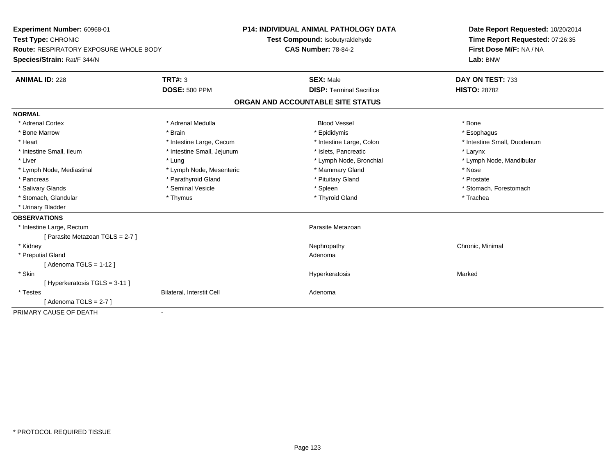**Experiment Number:** 60968-01**Test Type:** CHRONIC **Route:** RESPIRATORY EXPOSURE WHOLE BODY**Species/Strain:** Rat/F 344/N**P14: INDIVIDUAL ANIMAL PATHOLOGY DATATest Compound:** Isobutyraldehyde**CAS Number:** 78-84-2**Date Report Requested:** 10/20/2014**Time Report Requested:** 07:26:35**First Dose M/F:** NA / NA**Lab:** BNW**ANIMAL ID:** 228**TRT#:** 3 **SEX:** Male **DAY ON TEST:** 733 **DOSE:** 500 PPM**DISP:** Terminal Sacrifice **HISTO:** 28782 **ORGAN AND ACCOUNTABLE SITE STATUSNORMAL**\* Adrenal Cortex \* Adrenal Medulla \* \* Book \* Blood Vessel \* Book \* Bone \* Bone \* Bone \* Bone \* Bone \* Bone \* Bone \* Bone \* Bone \* Esophagus \* Bone Marrow \* Brain \* Epididymis \* Esophagus \* Intestine Small, Duodenum \* Heart \* Intestine Large, Cecum \* Intestine Large, Cecum \* Intestine Large, Colon \* Intestine Small, Ileum \* Thestine Small, Jejunum \* 1998 \* Islets, Pancreatic \* The manus \* Larynx \* Larynx \* Liver which is the settlement of the term of the settlement of the settlement of the settlement of the settlement of the settlement of the settlement of the settlement of the settlement of the settlement of the settlemen \* Lymph Node, Mediastinal \* Nose \* Lymph Node, Mesenteric \* \* Mammary Gland \* Memmary Gland \* Nose \* Prostate \* Pancreas \* Parathyroid Gland \* Parathyroid Gland \* Parathyroid Gland \* Prituitary Gland \* Salivary Glands \* The state of the seminal Vesicle \* The state \* Spleen \* Spleen \* Stomach, Forestomach, Forestomach \* Stomach, Glandular \* Thymus \* Thymus \* Thymus \* Thyroid Gland \* Thyroid Gland \* Trachea \* Urinary Bladder**OBSERVATIONS** \* Intestine Large, Rectumm<br>
Parasite Metazoan [ Parasite Metazoan TGLS = 2-7 ] \* Kidneyy the controller of the controller of the controller of the controller of the controller of the controller of the controller of the controller of the controller of the controller of the controller of the controller of the \* Preputial Glandd and a state of the control of the control of the control of the control of the control of the control of the control of the control of the control of the control of the control of the control of the control of the contro [ Adenoma TGLS = 1-12 ] \* Skin Hyperkeratosis Marked [ Hyperkeratosis TGLS = 3-11 ] \* TestesBilateral, Interstit Cell **Adenoma** Adenoma  $[$  Adenoma TGLS = 2-7  $]$ PRIMARY CAUSE OF DEATH-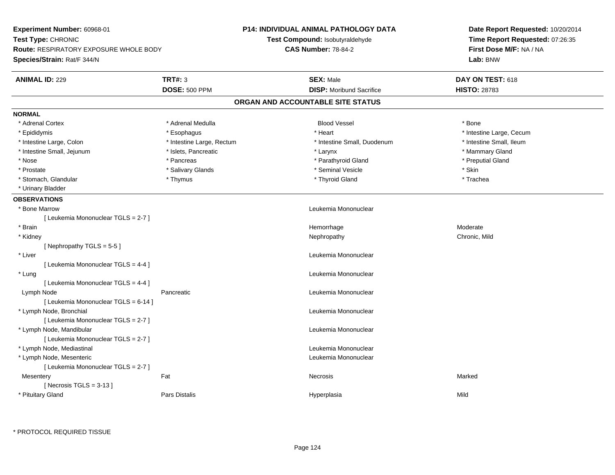| Experiment Number: 60968-01                                                                                      |                                                                      |
|------------------------------------------------------------------------------------------------------------------|----------------------------------------------------------------------|
| Test Type: CHRONIC<br>Test Compound: Isobutyraldehyde                                                            | Date Report Requested: 10/20/2014<br>Time Report Requested: 07:26:35 |
| <b>CAS Number: 78-84-2</b><br><b>Route: RESPIRATORY EXPOSURE WHOLE BODY</b>                                      | First Dose M/F: NA / NA                                              |
| Lab: BNW<br><b>Species/Strain: Rat/F 344/N</b>                                                                   |                                                                      |
| <b>TRT#: 3</b><br><b>ANIMAL ID: 229</b><br><b>SEX: Male</b><br>DAY ON TEST: 618                                  |                                                                      |
| <b>DOSE: 500 PPM</b><br><b>DISP:</b> Moribund Sacrifice<br><b>HISTO: 28783</b>                                   |                                                                      |
| ORGAN AND ACCOUNTABLE SITE STATUS                                                                                |                                                                      |
| <b>NORMAL</b>                                                                                                    |                                                                      |
| * Adrenal Cortex<br>* Adrenal Medulla<br><b>Blood Vessel</b><br>* Bone                                           |                                                                      |
| * Heart<br>* Epididymis<br>* Esophagus<br>* Intestine Large, Cecum                                               |                                                                      |
| * Intestine Small, Ileum<br>* Intestine Large, Colon<br>* Intestine Large, Rectum<br>* Intestine Small, Duodenum |                                                                      |
| * Intestine Small, Jejunum<br>* Islets, Pancreatic<br>* Mammary Gland<br>* Larynx                                |                                                                      |
| * Parathyroid Gland<br>* Preputial Gland<br>* Nose<br>* Pancreas                                                 |                                                                      |
| * Seminal Vesicle<br>* Skin<br>* Prostate<br>* Salivary Glands                                                   |                                                                      |
| * Stomach, Glandular<br>* Thymus<br>* Thyroid Gland<br>* Trachea                                                 |                                                                      |
| * Urinary Bladder                                                                                                |                                                                      |
| <b>OBSERVATIONS</b>                                                                                              |                                                                      |
| Leukemia Mononuclear<br>* Bone Marrow                                                                            |                                                                      |
| [ Leukemia Mononuclear TGLS = 2-7 ]                                                                              |                                                                      |
| * Brain<br>Hemorrhage<br>Moderate                                                                                |                                                                      |
| * Kidney<br>Chronic, Mild<br>Nephropathy                                                                         |                                                                      |
| [Nephropathy TGLS = 5-5]                                                                                         |                                                                      |
| * Liver<br>Leukemia Mononuclear                                                                                  |                                                                      |
| [ Leukemia Mononuclear TGLS = 4-4 ]                                                                              |                                                                      |
| Leukemia Mononuclear<br>* Lung                                                                                   |                                                                      |
| [ Leukemia Mononuclear TGLS = 4-4 ]                                                                              |                                                                      |
| Lymph Node<br>Leukemia Mononuclear<br>Pancreatic                                                                 |                                                                      |
| [ Leukemia Mononuclear TGLS = 6-14 ]                                                                             |                                                                      |
| * Lymph Node, Bronchial<br>Leukemia Mononuclear                                                                  |                                                                      |
| [ Leukemia Mononuclear TGLS = 2-7 ]                                                                              |                                                                      |
| * Lymph Node, Mandibular<br>Leukemia Mononuclear                                                                 |                                                                      |
| [ Leukemia Mononuclear TGLS = 2-7 ]                                                                              |                                                                      |
| * Lymph Node, Mediastinal<br>Leukemia Mononuclear                                                                |                                                                      |
| * Lymph Node, Mesenteric<br>Leukemia Mononuclear                                                                 |                                                                      |
| [ Leukemia Mononuclear TGLS = 2-7 ]                                                                              |                                                                      |
| Fat<br>Marked<br><b>Necrosis</b><br>Mesentery                                                                    |                                                                      |
| [Necrosis TGLS = $3-13$ ]                                                                                        |                                                                      |
| * Pituitary Gland<br><b>Pars Distalis</b><br>Mild<br>Hyperplasia                                                 |                                                                      |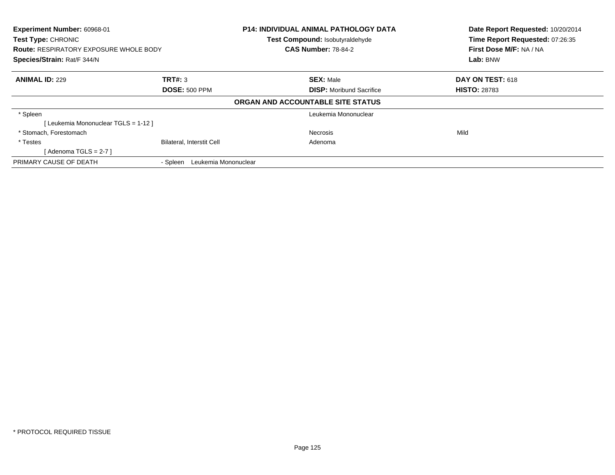| Experiment Number: 60968-01<br>Test Type: CHRONIC<br><b>Route: RESPIRATORY EXPOSURE WHOLE BODY</b><br>Species/Strain: Rat/F 344/N |                                  | <b>P14: INDIVIDUAL ANIMAL PATHOLOGY DATA</b><br>Test Compound: Isobutyraldehyde<br><b>CAS Number: 78-84-2</b> | Date Report Requested: 10/20/2014<br>Time Report Requested: 07:26:35<br>First Dose M/F: NA / NA<br>Lab: BNW |
|-----------------------------------------------------------------------------------------------------------------------------------|----------------------------------|---------------------------------------------------------------------------------------------------------------|-------------------------------------------------------------------------------------------------------------|
| <b>ANIMAL ID: 229</b>                                                                                                             | TRT#: 3                          | <b>SEX: Male</b>                                                                                              | <b>DAY ON TEST: 618</b>                                                                                     |
|                                                                                                                                   | <b>DOSE: 500 PPM</b>             | <b>DISP:</b> Moribund Sacrifice<br>ORGAN AND ACCOUNTABLE SITE STATUS                                          | <b>HISTO: 28783</b>                                                                                         |
| * Spleen<br>[Leukemia Mononuclear TGLS = 1-12]                                                                                    |                                  | Leukemia Mononuclear                                                                                          |                                                                                                             |
| * Stomach, Forestomach                                                                                                            |                                  | <b>Necrosis</b>                                                                                               | Mild                                                                                                        |
| * Testes<br>[Adenoma TGLS = $2-7$ ]                                                                                               | <b>Bilateral, Interstit Cell</b> | Adenoma                                                                                                       |                                                                                                             |
| PRIMARY CAUSE OF DEATH                                                                                                            | Leukemia Mononuclear<br>- Spleen |                                                                                                               |                                                                                                             |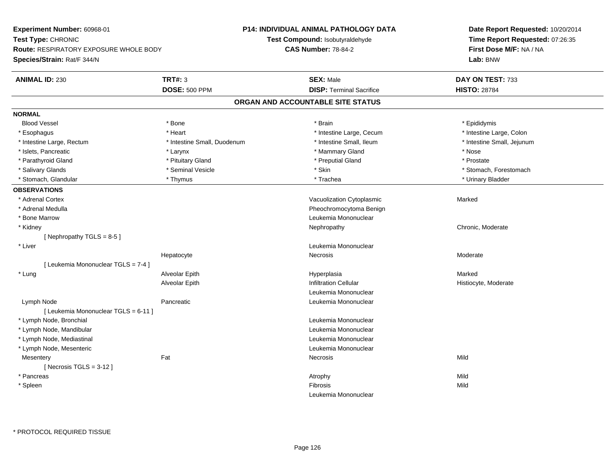**Experiment Number:** 60968-01**Test Type:** CHRONIC **Route:** RESPIRATORY EXPOSURE WHOLE BODY**Species/Strain:** Rat/F 344/N**P14: INDIVIDUAL ANIMAL PATHOLOGY DATATest Compound:** Isobutyraldehyde**CAS Number:** 78-84-2**Date Report Requested:** 10/20/2014**Time Report Requested:** 07:26:35**First Dose M/F:** NA / NA**Lab:** BNW**ANIMAL ID:** 230**C TRT#:** 3 **SEX:** Male **DAY ON TEST:** 733 **DOSE:** 500 PPM**DISP:** Terminal Sacrifice **HISTO:** 28784 **ORGAN AND ACCOUNTABLE SITE STATUSNORMALBlood Vessel**  Blood Vessel \* Bone \* Brain \* Epididymis\* Intestine Large, Colon \* Esophagus \* **Heart \* Intestine Large, Cecum \* Intestine Large, Cecum \*** Intestine Large, Cecum \* Intestine Small, Jejunum \* Intestine Large, Rectum \* Intestine Small, Duodenum \* Intestine Small, Duodenum \* \* Intestine Small, Ileum \* Islets, Pancreatic \* Larynx \* Mammary Gland \* Nose \* Prostate \* Parathyroid Gland \* \* Pituitary Gland \* Pituitary Gland \* \* Preputial Gland \* Preputial Gland \* Salivary Glands \* The state of the seminal Vesicle \* Skin \* Skin \* Skin \* Stomach, Forestomach, Forestomach, Forestomach, Forestomach, Forestomach, Forestomach, Forestomach, Forestomach, Forestomach, Forestomach, Foresto \* Stomach, Glandular \* Thymus \* Thymus \* Thomas \* Trachea \* Trachea \* Trachea \* Trachea \* Urinary Bladder **OBSERVATIONS** \* Adrenal CortexVacuolization Cytoplasmic **Marked** Marked \* Adrenal Medulla Pheochromocytoma Benign \* Bone MarrowLeukemia Mononuclear<br>Nephropathy \* Kidneyy the chronic, Moderate and September 2012 of the Chronic Moderate and September 2013 of the Chronic, Moderate [ Nephropathy  $TGLS = 8-5$  ] \* Liver Leukemia Mononuclear Hepatocyte Necrosis Moderate [ Leukemia Mononuclear TGLS = 7-4 ] \* Lung Alveolar Epith Hyperplasia Marked Alveolar EpithInfiltration Cellular **Histiocyte**, Moderate Leukemia Mononuclear Lymph NodePancreatic **Leukemia Mononuclear** [ Leukemia Mononuclear TGLS = 6-11 ] \* Lymph Node, Bronchial Leukemia Mononuclear \* Lymph Node, Mandibular Leukemia Mononuclear \* Lymph Node, Mediastinal Leukemia Mononuclear \* Lymph Node, Mesenteric Leukemia Mononuclear **Mesentery** y the contract of the contract of the contract of the contract of the contract of the contract of the contract of the contract of the contract of the contract of the contract of the contract of the contract of the contract  $[$  Necrosis TGLS = 3-12  $]$  \* Pancreass the control of the control of the control of the control of the control of the control of the control of the control of the control of the control of the control of the control of the control of the control of the contro Mild \* Spleenn and the control of the control of the control of the control of the control of the control of the control of the control of the control of the control of the control of the control of the control of the control of the co Leukemia Mononuclear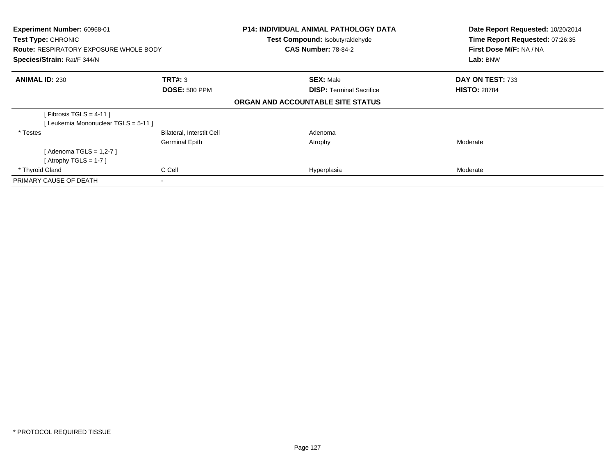| Experiment Number: 60968-01<br>Test Type: CHRONIC<br><b>Route: RESPIRATORY EXPOSURE WHOLE BODY</b><br>Species/Strain: Rat/F 344/N |                                  | <b>P14: INDIVIDUAL ANIMAL PATHOLOGY DATA</b><br>Test Compound: Isobutyraldehyde<br><b>CAS Number: 78-84-2</b> | Date Report Requested: 10/20/2014<br>Time Report Requested: 07:26:35<br>First Dose M/F: NA / NA<br>Lab: BNW |
|-----------------------------------------------------------------------------------------------------------------------------------|----------------------------------|---------------------------------------------------------------------------------------------------------------|-------------------------------------------------------------------------------------------------------------|
| <b>ANIMAL ID: 230</b>                                                                                                             | TRT#: 3                          | <b>SEX: Male</b>                                                                                              | DAY ON TEST: 733                                                                                            |
|                                                                                                                                   | <b>DOSE: 500 PPM</b>             | <b>DISP:</b> Terminal Sacrifice                                                                               | <b>HISTO: 28784</b>                                                                                         |
|                                                                                                                                   |                                  | ORGAN AND ACCOUNTABLE SITE STATUS                                                                             |                                                                                                             |
| [ Fibrosis TGLS = $4-11$ ]                                                                                                        |                                  |                                                                                                               |                                                                                                             |
| [Leukemia Mononuclear TGLS = 5-11]                                                                                                |                                  |                                                                                                               |                                                                                                             |
| * Testes                                                                                                                          | <b>Bilateral, Interstit Cell</b> | Adenoma                                                                                                       |                                                                                                             |
|                                                                                                                                   | <b>Germinal Epith</b>            | Atrophy                                                                                                       | Moderate                                                                                                    |
| [ Adenoma TGLS = 1,2-7 ]                                                                                                          |                                  |                                                                                                               |                                                                                                             |
| [Atrophy TGLS = 1-7]                                                                                                              |                                  |                                                                                                               |                                                                                                             |
| * Thyroid Gland                                                                                                                   | C Cell                           | Hyperplasia                                                                                                   | Moderate                                                                                                    |
| PRIMARY CAUSE OF DEATH                                                                                                            |                                  |                                                                                                               |                                                                                                             |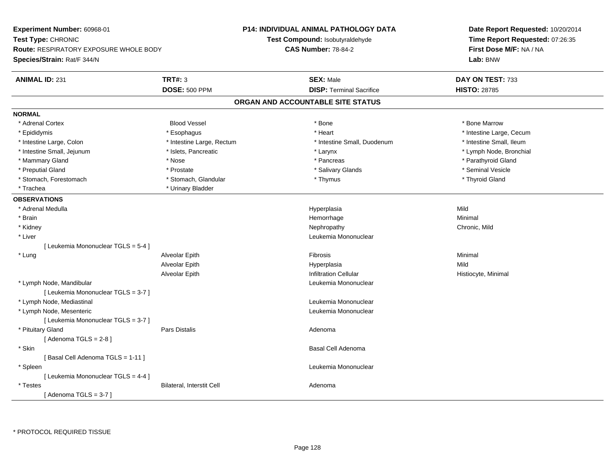**Experiment Number:** 60968-01**Test Type:** CHRONIC **Route:** RESPIRATORY EXPOSURE WHOLE BODY**Species/Strain:** Rat/F 344/N**P14: INDIVIDUAL ANIMAL PATHOLOGY DATATest Compound:** Isobutyraldehyde**CAS Number:** 78-84-2**Date Report Requested:** 10/20/2014**Time Report Requested:** 07:26:35**First Dose M/F:** NA / NA**Lab:** BNW**ANIMAL ID:** 231**TRT#:** 3 **SEX:** Male **DAY ON TEST:** 733 **DOSE:** 500 PPM**DISP:** Terminal Sacrifice **HISTO:** 28785 **ORGAN AND ACCOUNTABLE SITE STATUSNORMAL**\* Adrenal Cortex \* Adrenal Cortex \* Attack the state of the state of the Blood Vessel the state of the state of the state of the Marrow \* Bone Marrow \* Bone Marrow \* Bone Marrow \* Bone Marrow \* Bone Marrow \* Bone Marrow \* Bone Marrow \* Bon \* Epididymis \* https://www.fragusta.com/windows/windows/windows/windows/windows/windows/windows/windows/windows/ \* Intestine Small, Ileum \* Intestine Large, Colon \* Intestine Large, Rectum \* Intestine Small, Duodenum \* 1 \* Lymph Node, Bronchial \* Intestine Small, Jejunum \* Nodel \* Islets, Pancreatic \* Nodel \* Larynx \* Larynx \* Larynx \* Larynx \* Larynx \* Larynx \* Larynx \* Larynx \* Larynx \* Larynx \* Larynx \* Larynx \* Larynx \* Larynx \* Larynx \* Larynx \* Larynx \* Lar \* Mammary Gland \* \* Nose \* \* Nose \* \* Pancreas \* Pancreas \* \* Pancreas \* \* Pancreas \* \* Pancreas \* \* Parathyroid Gland \* Preputial Gland \* \* Annual vesicle \* \* Prostate \* \* Salivary Glands \* \* Salivary Glands \* \* Seminal Vesicle \* \* Stomach, Forestomach \* Thyroid Gland \* Stomach, Glandular \* Thymus \* Thymus \* Thymus \* Thyroid Gland \* Thyroid Gland \* Trachea **\*** Urinary Bladder **OBSERVATIONS** \* Adrenal Medulla Hyperplasia Mild \* Brainn and the state of the state of the state of the state of the Minimal Control of the Minimal Control of the Minimal Control of the Minimal Control of the State of the State of the State of the State of the State of the Sta \* Kidneyy the controller of the controller of the controller of the controller of the controller of the chronic, Mild \* Liver Leukemia Mononuclear [ Leukemia Mononuclear TGLS = 5-4 ] \* Lung Alveolar Epith Fibrosis Minimal Alveolar Epithh anns an t-Imperplasia anns an t-Imperplasia anns an t-Imperplasia anns an t-Imperplasia anns an t-Imperplasi Alveolar EpithInfiltration Cellular **Histiocyte**, Minimal \* Lymph Node, Mandibular Leukemia Mononuclear [ Leukemia Mononuclear TGLS = 3-7 ] \* Lymph Node, Mediastinal Leukemia Mononuclear \* Lymph Node, Mesenteric Leukemia Mononuclear [ Leukemia Mononuclear TGLS = 3-7 ] \* Pituitary Glandd and the contract of Pars Distalis and the contract of Adenoma and Adenoma and the Adenoma and the Adenoma and  $\lambda$  $[$  Adenoma TGLS = 2-8  $]$  \* Skinn and the set of the set of the set of the set of the set of the set of the set of the set of the set of the s [ Basal Cell Adenoma TGLS = 1-11 ] \* Spleen Leukemia Mononuclear [ Leukemia Mononuclear TGLS = 4-4 ] \* TestesBilateral, Interstit Cell **Adenoma** Adenoma  $[$  Adenoma TGLS = 3-7  $]$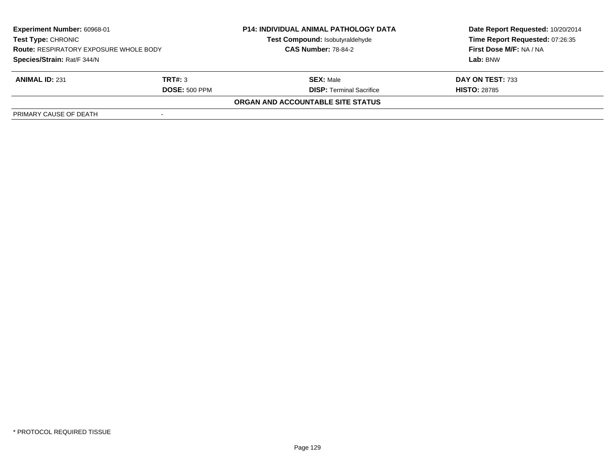| <b>Experiment Number: 60968-01</b><br><b>Test Type: CHRONIC</b><br><b>Route: RESPIRATORY EXPOSURE WHOLE BODY</b><br>Species/Strain: Rat/F 344/N |                      | <b>P14: INDIVIDUAL ANIMAL PATHOLOGY DATA</b><br>Test Compound: Isobutyraldehyde<br><b>CAS Number: 78-84-2</b> | Date Report Requested: 10/20/2014<br>Time Report Requested: 07:26:35<br><b>First Dose M/F: NA / NA</b><br>Lab: BNW |
|-------------------------------------------------------------------------------------------------------------------------------------------------|----------------------|---------------------------------------------------------------------------------------------------------------|--------------------------------------------------------------------------------------------------------------------|
|                                                                                                                                                 |                      |                                                                                                               |                                                                                                                    |
| <b>ANIMAL ID: 231</b>                                                                                                                           | TRT#: 3              | <b>SEX: Male</b>                                                                                              | DAY ON TEST: 733                                                                                                   |
|                                                                                                                                                 | <b>DOSE: 500 PPM</b> | <b>DISP: Terminal Sacrifice</b>                                                                               | <b>HISTO: 28785</b>                                                                                                |
|                                                                                                                                                 |                      | <b>ORGAN AND ACCOUNTABLE SITE STATUS</b>                                                                      |                                                                                                                    |
| PRIMARY CAUSE OF DEATH                                                                                                                          |                      |                                                                                                               |                                                                                                                    |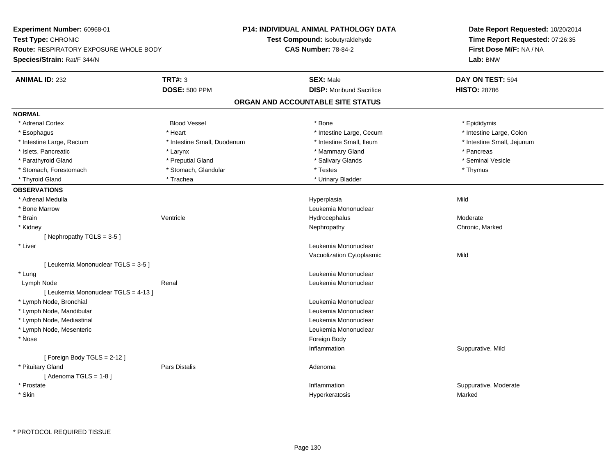**Experiment Number:** 60968-01**Test Type:** CHRONIC **Route:** RESPIRATORY EXPOSURE WHOLE BODY**Species/Strain:** Rat/F 344/N**P14: INDIVIDUAL ANIMAL PATHOLOGY DATATest Compound:** Isobutyraldehyde**CAS Number:** 78-84-2**Date Report Requested:** 10/20/2014**Time Report Requested:** 07:26:35**First Dose M/F:** NA / NA**Lab:** BNW**ANIMAL ID:** 232**TRT#:** 3 **SEX:** Male **DAY ON TEST:** 594 **DOSE:** 500 PPM**DISP:** Moribund Sacrifice **HISTO:** 28786 **ORGAN AND ACCOUNTABLE SITE STATUSNORMAL**\* Adrenal Cortex \* Adrenal Cortex \* \* Epididymis \* Adrenal Cortex \* \* Epididymis \* Bone \* \* Epididymis \* Epididymis \* Epididymis \* Epididymis \* Epididymis \* Epididymis \* Epididymis \* Epididymis \* Epididymis \* Epididymis \* Epididymis \* Epid \* Intestine Large, Colon \* Esophagus \* **Heart \* Intestine Large, Cecum \* Intestine Large, Cecum \*** Intestine Large, Cecum \* Intestine Large, Rectum \* Thestine Small, Duodenum \* Number of the small, Ileum \* Intestine Small, Jejunum \* Intestine Small, Jejunum \* Islets, Pancreatic \* \* Andrew \* Larynx \* Larynx \* The matrix of the matrix of the matrix of the matrix of the matrix of the matrix of the matrix of the matrix of the matrix of the matrix of the matrix of the matrix of th \* Seminal Vesicle \* Parathyroid Gland \* \* Annual Cland \* \* Preputial Gland \* \* \* Salivary Glands \* \* Salivary Glands \* \* Seminal Vesicle \* Stomach, Forestomach \* Thymus \* Stomach, Glandular \* Testes \* Testes \* Thymus \* Thymus \* Thymus \* Thyroid Gland \* Trachea \* Trachea \* Trachea \* Thyroid Gland \* Urinary Bladder **OBSERVATIONS** \* Adrenal Medulla Hyperplasia Mild \* Bone MarrowLeukemia Mononuclear<br>
Untricle<br>
Unterstand Hydrocephalus<br>
Unterstand Hydrocephalus \* Brainn wenne alle the Ventricle wenne and the Hydrocephalus Moderate Moderate Moderate Moderate and the Ventricle o \* Kidneyy the controller of the controller of the controller of the Nephropathy Chronic, Marked ( $\alpha$  ) of the controller of the controller of the controller of the controller of the controller of the controller of the controller [ Nephropathy TGLS = 3-5 ] \* Liver Leukemia Mononuclear Vacuolization Cytoplasmicc Mild [ Leukemia Mononuclear TGLS = 3-5 ] \* Lung Leukemia Mononuclear Lymph Node Renal Leukemia Mononuclear [ Leukemia Mononuclear TGLS = 4-13 ] \* Lymph Node, Bronchial Leukemia Mononuclear \* Lymph Node, Mandibular Leukemia Mononuclear \* Lymph Node, Mediastinal Leukemia Mononuclear \* Lymph Node, Mesenteric Leukemia Mononuclear \* Nosee and the state of the state of the state of the state of the state of the state of the state of the state of the state of the state of the state of the state of the state of the state of the state of the state of the stat Inflammation Suppurative, Mild [ Foreign Body TGLS = 2-12 ] \* Pituitary Glandd and the contract of Pars Distalis and the contract of Adenoma and Adenoma and the Adenoma and the Adenoma and  $\lambda$  $[$  Adenoma TGLS = 1-8  $]$  \* Prostatee inflammation inflammation in the support of the Suppurative, Moderate expansion in the Suppurative, Moderate \* SkinHyperkeratosis Marked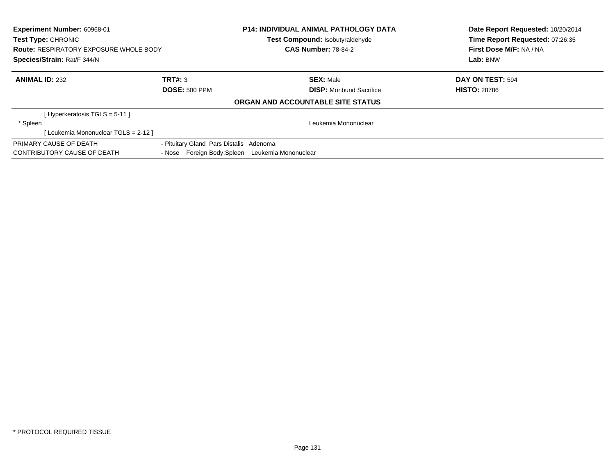| Experiment Number: 60968-01<br><b>Test Type: CHRONIC</b><br><b>Route: RESPIRATORY EXPOSURE WHOLE BODY</b><br>Species/Strain: Rat/F 344/N |                                                  | <b>P14: INDIVIDUAL ANIMAL PATHOLOGY DATA</b><br>Test Compound: Isobutyraldehyde<br><b>CAS Number: 78-84-2</b> |  | Date Report Requested: 10/20/2014<br>Time Report Requested: 07:26:35<br>First Dose M/F: NA / NA<br>Lab: BNW |
|------------------------------------------------------------------------------------------------------------------------------------------|--------------------------------------------------|---------------------------------------------------------------------------------------------------------------|--|-------------------------------------------------------------------------------------------------------------|
| <b>ANIMAL ID: 232</b>                                                                                                                    | TRT#: 3                                          | <b>SEX: Male</b>                                                                                              |  | DAY ON TEST: 594                                                                                            |
|                                                                                                                                          | <b>DOSE: 500 PPM</b>                             | <b>DISP:</b> Moribund Sacrifice                                                                               |  | <b>HISTO: 28786</b>                                                                                         |
|                                                                                                                                          |                                                  | ORGAN AND ACCOUNTABLE SITE STATUS                                                                             |  |                                                                                                             |
| [Hyperkeratosis TGLS = 5-11]                                                                                                             |                                                  |                                                                                                               |  |                                                                                                             |
| * Spleen                                                                                                                                 |                                                  | Leukemia Mononuclear                                                                                          |  |                                                                                                             |
| [Leukemia Mononuclear TGLS = 2-12 ]                                                                                                      |                                                  |                                                                                                               |  |                                                                                                             |
| PRIMARY CAUSE OF DEATH                                                                                                                   | - Pituitary Gland Pars Distalis Adenoma          |                                                                                                               |  |                                                                                                             |
| CONTRIBUTORY CAUSE OF DEATH                                                                                                              | - Nose Foreign Body; Spleen Leukemia Mononuclear |                                                                                                               |  |                                                                                                             |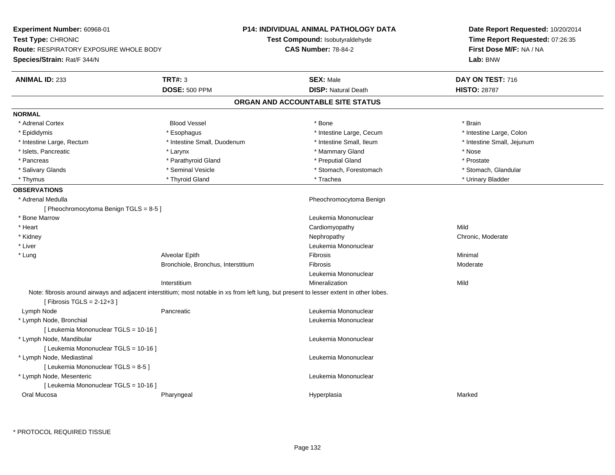| Experiment Number: 60968-01<br>Test Type: CHRONIC<br><b>Route: RESPIRATORY EXPOSURE WHOLE BODY</b><br>Species/Strain: Rat/F 344/N |                                                                                                                                          | <b>P14: INDIVIDUAL ANIMAL PATHOLOGY DATA</b><br>Test Compound: Isobutyraldehyde<br><b>CAS Number: 78-84-2</b> | Date Report Requested: 10/20/2014<br>Time Report Requested: 07:26:35<br>First Dose M/F: NA / NA<br>Lab: BNW |
|-----------------------------------------------------------------------------------------------------------------------------------|------------------------------------------------------------------------------------------------------------------------------------------|---------------------------------------------------------------------------------------------------------------|-------------------------------------------------------------------------------------------------------------|
| <b>ANIMAL ID: 233</b>                                                                                                             | <b>TRT#: 3</b>                                                                                                                           | <b>SEX: Male</b>                                                                                              | DAY ON TEST: 716                                                                                            |
|                                                                                                                                   | <b>DOSE: 500 PPM</b>                                                                                                                     | <b>DISP: Natural Death</b>                                                                                    | <b>HISTO: 28787</b>                                                                                         |
|                                                                                                                                   |                                                                                                                                          | ORGAN AND ACCOUNTABLE SITE STATUS                                                                             |                                                                                                             |
| <b>NORMAL</b>                                                                                                                     |                                                                                                                                          |                                                                                                               |                                                                                                             |
| * Adrenal Cortex                                                                                                                  | <b>Blood Vessel</b>                                                                                                                      | * Bone                                                                                                        | * Brain                                                                                                     |
| * Epididymis                                                                                                                      | * Esophagus                                                                                                                              | * Intestine Large, Cecum                                                                                      | * Intestine Large, Colon                                                                                    |
| * Intestine Large, Rectum                                                                                                         | * Intestine Small, Duodenum                                                                                                              | * Intestine Small, Ileum                                                                                      | * Intestine Small, Jejunum                                                                                  |
| * Islets, Pancreatic                                                                                                              | * Larynx                                                                                                                                 | * Mammary Gland                                                                                               | * Nose                                                                                                      |
| * Pancreas                                                                                                                        | * Parathyroid Gland                                                                                                                      | * Preputial Gland                                                                                             | * Prostate                                                                                                  |
| * Salivary Glands                                                                                                                 | * Seminal Vesicle                                                                                                                        | * Stomach, Forestomach                                                                                        | * Stomach, Glandular                                                                                        |
| * Thymus                                                                                                                          | * Thyroid Gland                                                                                                                          | * Trachea                                                                                                     | * Urinary Bladder                                                                                           |
| <b>OBSERVATIONS</b>                                                                                                               |                                                                                                                                          |                                                                                                               |                                                                                                             |
| * Adrenal Medulla                                                                                                                 |                                                                                                                                          | Pheochromocytoma Benign                                                                                       |                                                                                                             |
| [Pheochromocytoma Benign TGLS = 8-5]                                                                                              |                                                                                                                                          |                                                                                                               |                                                                                                             |
| * Bone Marrow                                                                                                                     |                                                                                                                                          | Leukemia Mononuclear                                                                                          |                                                                                                             |
| * Heart                                                                                                                           |                                                                                                                                          | Cardiomyopathy                                                                                                | Mild                                                                                                        |
| * Kidney                                                                                                                          |                                                                                                                                          | Nephropathy                                                                                                   | Chronic, Moderate                                                                                           |
| * Liver                                                                                                                           |                                                                                                                                          | Leukemia Mononuclear                                                                                          |                                                                                                             |
| * Lung                                                                                                                            | Alveolar Epith                                                                                                                           | Fibrosis                                                                                                      | Minimal                                                                                                     |
|                                                                                                                                   | Bronchiole, Bronchus, Interstitium                                                                                                       | Fibrosis                                                                                                      | Moderate                                                                                                    |
|                                                                                                                                   |                                                                                                                                          | Leukemia Mononuclear                                                                                          |                                                                                                             |
|                                                                                                                                   | Interstitium                                                                                                                             | Mineralization                                                                                                | Mild                                                                                                        |
| [Fibrosis TGLS = $2-12+3$ ]                                                                                                       | Note: fibrosis around airways and adjacent interstitium; most notable in xs from left lung, but present to lesser extent in other lobes. |                                                                                                               |                                                                                                             |
| Lymph Node                                                                                                                        | Pancreatic                                                                                                                               | Leukemia Mononuclear                                                                                          |                                                                                                             |
| * Lymph Node, Bronchial<br>[ Leukemia Mononuclear TGLS = 10-16 ]                                                                  |                                                                                                                                          | Leukemia Mononuclear                                                                                          |                                                                                                             |
| * Lymph Node, Mandibular<br>[ Leukemia Mononuclear TGLS = 10-16 ]                                                                 |                                                                                                                                          | Leukemia Mononuclear                                                                                          |                                                                                                             |
| * Lymph Node, Mediastinal<br>[ Leukemia Mononuclear TGLS = 8-5 ]                                                                  |                                                                                                                                          | Leukemia Mononuclear                                                                                          |                                                                                                             |
| * Lymph Node, Mesenteric                                                                                                          |                                                                                                                                          | Leukemia Mononuclear                                                                                          |                                                                                                             |
| [ Leukemia Mononuclear TGLS = 10-16 ]<br>Oral Mucosa                                                                              | Pharyngeal                                                                                                                               | Hyperplasia                                                                                                   | Marked                                                                                                      |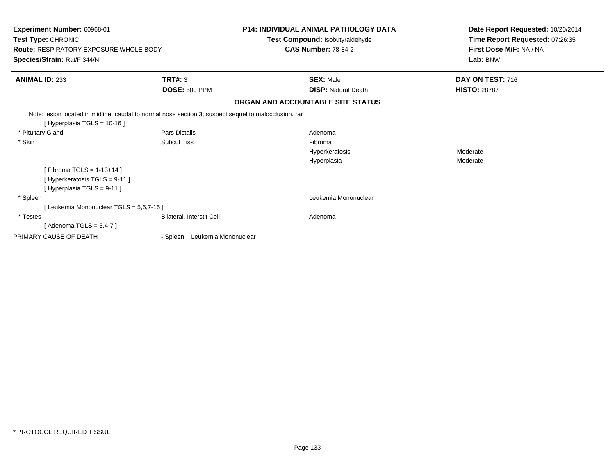| Experiment Number: 60968-01                                                                           |                                  | <b>P14: INDIVIDUAL ANIMAL PATHOLOGY DATA</b>                  | Date Report Requested: 10/20/2014                          |
|-------------------------------------------------------------------------------------------------------|----------------------------------|---------------------------------------------------------------|------------------------------------------------------------|
| Test Type: CHRONIC<br><b>Route: RESPIRATORY EXPOSURE WHOLE BODY</b>                                   |                                  | Test Compound: Isobutyraldehyde<br><b>CAS Number: 78-84-2</b> | Time Report Requested: 07:26:35<br>First Dose M/F: NA / NA |
| Species/Strain: Rat/F 344/N                                                                           |                                  |                                                               | Lab: BNW                                                   |
|                                                                                                       |                                  |                                                               |                                                            |
| <b>ANIMAL ID: 233</b>                                                                                 | TRT#: 3                          | <b>SEX: Male</b>                                              | DAY ON TEST: 716                                           |
|                                                                                                       | <b>DOSE: 500 PPM</b>             | <b>DISP: Natural Death</b>                                    | <b>HISTO: 28787</b>                                        |
|                                                                                                       |                                  | ORGAN AND ACCOUNTABLE SITE STATUS                             |                                                            |
| Note: lesion located in midline, caudal to normal nose section 3; suspect sequel to malocclusion. rar |                                  |                                                               |                                                            |
| [Hyperplasia TGLS = 10-16]                                                                            |                                  |                                                               |                                                            |
| * Pituitary Gland                                                                                     | Pars Distalis                    | Adenoma                                                       |                                                            |
| * Skin                                                                                                | <b>Subcut Tiss</b>               | Fibroma                                                       |                                                            |
|                                                                                                       |                                  | Hyperkeratosis                                                | Moderate                                                   |
|                                                                                                       |                                  | Hyperplasia                                                   | Moderate                                                   |
| [Fibroma TGLS = $1-13+14$ ]                                                                           |                                  |                                                               |                                                            |
| [ Hyperkeratosis TGLS = 9-11 ]                                                                        |                                  |                                                               |                                                            |
| [ Hyperplasia TGLS = 9-11 ]                                                                           |                                  |                                                               |                                                            |
| * Spleen                                                                                              |                                  | Leukemia Mononuclear                                          |                                                            |
| [Leukemia Mononuclear TGLS = 5,6,7-15]                                                                |                                  |                                                               |                                                            |
| * Testes                                                                                              | Bilateral, Interstit Cell        | Adenoma                                                       |                                                            |
| [Adenoma TGLS = $3,4-7$ ]                                                                             |                                  |                                                               |                                                            |
| PRIMARY CAUSE OF DEATH                                                                                | Leukemia Mononuclear<br>- Spleen |                                                               |                                                            |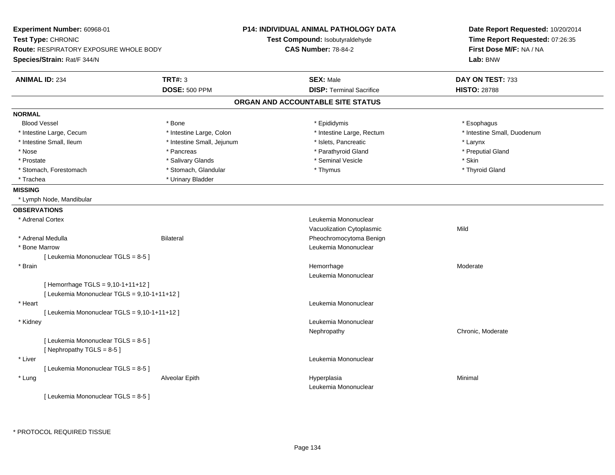| Experiment Number: 60968-01<br>Test Type: CHRONIC<br><b>Route: RESPIRATORY EXPOSURE WHOLE BODY</b><br>Species/Strain: Rat/F 344/N |                            | P14: INDIVIDUAL ANIMAL PATHOLOGY DATA<br>Test Compound: Isobutyraldehyde<br><b>CAS Number: 78-84-2</b> | Date Report Requested: 10/20/2014<br>Time Report Requested: 07:26:35<br>First Dose M/F: NA / NA<br>Lab: BNW |
|-----------------------------------------------------------------------------------------------------------------------------------|----------------------------|--------------------------------------------------------------------------------------------------------|-------------------------------------------------------------------------------------------------------------|
| <b>ANIMAL ID: 234</b>                                                                                                             | <b>TRT#: 3</b>             | <b>SEX: Male</b>                                                                                       | DAY ON TEST: 733                                                                                            |
|                                                                                                                                   | <b>DOSE: 500 PPM</b>       | <b>DISP: Terminal Sacrifice</b>                                                                        | <b>HISTO: 28788</b>                                                                                         |
|                                                                                                                                   |                            | ORGAN AND ACCOUNTABLE SITE STATUS                                                                      |                                                                                                             |
| <b>NORMAL</b>                                                                                                                     |                            |                                                                                                        |                                                                                                             |
| <b>Blood Vessel</b>                                                                                                               | * Bone                     | * Epididymis                                                                                           | * Esophagus                                                                                                 |
| * Intestine Large, Cecum                                                                                                          | * Intestine Large, Colon   | * Intestine Large, Rectum                                                                              | * Intestine Small, Duodenum                                                                                 |
| * Intestine Small, Ileum                                                                                                          | * Intestine Small, Jejunum | * Islets, Pancreatic                                                                                   | * Larynx                                                                                                    |
| * Nose                                                                                                                            | * Pancreas                 | * Parathyroid Gland                                                                                    | * Preputial Gland                                                                                           |
| * Prostate                                                                                                                        | * Salivary Glands          | * Seminal Vesicle                                                                                      | * Skin                                                                                                      |
| * Stomach, Forestomach                                                                                                            | * Stomach, Glandular       | * Thymus                                                                                               | * Thyroid Gland                                                                                             |
| * Trachea                                                                                                                         | * Urinary Bladder          |                                                                                                        |                                                                                                             |
| <b>MISSING</b>                                                                                                                    |                            |                                                                                                        |                                                                                                             |
| * Lymph Node, Mandibular                                                                                                          |                            |                                                                                                        |                                                                                                             |
| <b>OBSERVATIONS</b>                                                                                                               |                            |                                                                                                        |                                                                                                             |
| * Adrenal Cortex                                                                                                                  |                            | Leukemia Mononuclear                                                                                   |                                                                                                             |
|                                                                                                                                   |                            | Vacuolization Cytoplasmic                                                                              | Mild                                                                                                        |
| * Adrenal Medulla                                                                                                                 | <b>Bilateral</b>           | Pheochromocytoma Benign                                                                                |                                                                                                             |
| * Bone Marrow                                                                                                                     |                            | Leukemia Mononuclear                                                                                   |                                                                                                             |
| [Leukemia Mononuclear TGLS = 8-5]                                                                                                 |                            |                                                                                                        |                                                                                                             |
| * Brain                                                                                                                           |                            | Hemorrhage                                                                                             | Moderate                                                                                                    |
|                                                                                                                                   |                            | Leukemia Mononuclear                                                                                   |                                                                                                             |
| [Hemorrhage TGLS = 9,10-1+11+12]                                                                                                  |                            |                                                                                                        |                                                                                                             |
| [ Leukemia Mononuclear TGLS = 9,10-1+11+12 ]                                                                                      |                            |                                                                                                        |                                                                                                             |
| * Heart                                                                                                                           |                            | Leukemia Mononuclear                                                                                   |                                                                                                             |
| [ Leukemia Mononuclear TGLS = 9,10-1+11+12 ]                                                                                      |                            |                                                                                                        |                                                                                                             |
| * Kidney                                                                                                                          |                            | Leukemia Mononuclear                                                                                   |                                                                                                             |
|                                                                                                                                   |                            | Nephropathy                                                                                            | Chronic, Moderate                                                                                           |
| [ Leukemia Mononuclear TGLS = 8-5 ]<br>[Nephropathy TGLS = 8-5]                                                                   |                            |                                                                                                        |                                                                                                             |
| * Liver                                                                                                                           |                            | Leukemia Mononuclear                                                                                   |                                                                                                             |
| [ Leukemia Mononuclear TGLS = 8-5 ]                                                                                               |                            |                                                                                                        |                                                                                                             |
| * Lung                                                                                                                            | Alveolar Epith             | Hyperplasia                                                                                            | Minimal                                                                                                     |
|                                                                                                                                   |                            | Leukemia Mononuclear                                                                                   |                                                                                                             |
| [ Leukemia Mononuclear TGLS = 8-5 ]                                                                                               |                            |                                                                                                        |                                                                                                             |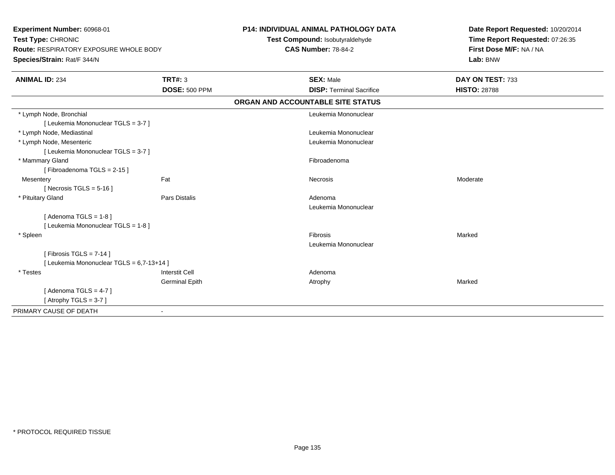| Experiment Number: 60968-01<br>Test Type: CHRONIC<br>Route: RESPIRATORY EXPOSURE WHOLE BODY |                       | <b>P14: INDIVIDUAL ANIMAL PATHOLOGY DATA</b><br>Test Compound: Isobutyraldehyde | Date Report Requested: 10/20/2014<br>Time Report Requested: 07:26:35 |
|---------------------------------------------------------------------------------------------|-----------------------|---------------------------------------------------------------------------------|----------------------------------------------------------------------|
|                                                                                             |                       | <b>CAS Number: 78-84-2</b>                                                      | First Dose M/F: NA / NA                                              |
| Species/Strain: Rat/F 344/N                                                                 |                       |                                                                                 | Lab: BNW                                                             |
| <b>ANIMAL ID: 234</b>                                                                       | <b>TRT#: 3</b>        | <b>SEX: Male</b>                                                                | DAY ON TEST: 733                                                     |
|                                                                                             | <b>DOSE: 500 PPM</b>  | <b>DISP: Terminal Sacrifice</b>                                                 | <b>HISTO: 28788</b>                                                  |
|                                                                                             |                       | ORGAN AND ACCOUNTABLE SITE STATUS                                               |                                                                      |
| * Lymph Node, Bronchial                                                                     |                       | Leukemia Mononuclear                                                            |                                                                      |
| [ Leukemia Mononuclear TGLS = 3-7 ]                                                         |                       |                                                                                 |                                                                      |
| * Lymph Node, Mediastinal                                                                   |                       | Leukemia Mononuclear                                                            |                                                                      |
| * Lymph Node, Mesenteric                                                                    |                       | Leukemia Mononuclear                                                            |                                                                      |
| [ Leukemia Mononuclear TGLS = 3-7 ]                                                         |                       |                                                                                 |                                                                      |
| * Mammary Gland                                                                             |                       | Fibroadenoma                                                                    |                                                                      |
| [Fibroadenoma TGLS = 2-15]                                                                  |                       |                                                                                 |                                                                      |
| Mesentery                                                                                   | Fat                   | Necrosis                                                                        | Moderate                                                             |
| [Necrosis TGLS = $5-16$ ]                                                                   |                       |                                                                                 |                                                                      |
| * Pituitary Gland                                                                           | <b>Pars Distalis</b>  | Adenoma                                                                         |                                                                      |
|                                                                                             |                       | Leukemia Mononuclear                                                            |                                                                      |
| [Adenoma TGLS = $1-8$ ]                                                                     |                       |                                                                                 |                                                                      |
| [ Leukemia Mononuclear TGLS = 1-8 ]                                                         |                       |                                                                                 |                                                                      |
| * Spleen                                                                                    |                       | Fibrosis                                                                        | Marked                                                               |
|                                                                                             |                       | Leukemia Mononuclear                                                            |                                                                      |
| [ Fibrosis TGLS = $7-14$ ]                                                                  |                       |                                                                                 |                                                                      |
| [ Leukemia Mononuclear TGLS = 6,7-13+14 ]                                                   |                       |                                                                                 |                                                                      |
| * Testes                                                                                    | <b>Interstit Cell</b> | Adenoma                                                                         |                                                                      |
|                                                                                             | <b>Germinal Epith</b> | Atrophy                                                                         | Marked                                                               |
| [Adenoma TGLS = $4-7$ ]                                                                     |                       |                                                                                 |                                                                      |
| [Atrophy TGLS = $3-7$ ]                                                                     |                       |                                                                                 |                                                                      |
| PRIMARY CAUSE OF DEATH                                                                      | $\blacksquare$        |                                                                                 |                                                                      |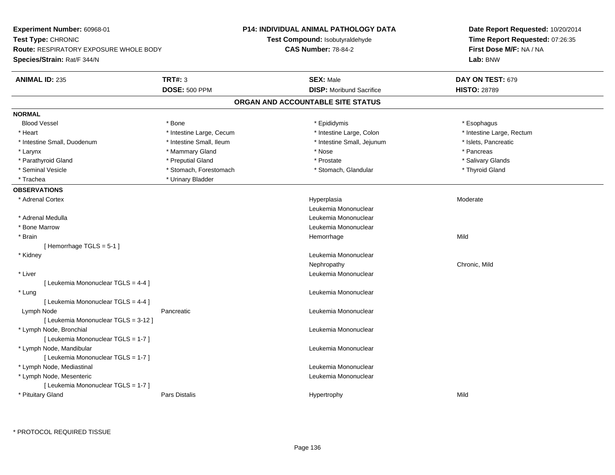| Experiment Number: 60968-01                   |                          | <b>P14: INDIVIDUAL ANIMAL PATHOLOGY DATA</b> | Date Report Requested: 10/20/2014 |  |
|-----------------------------------------------|--------------------------|----------------------------------------------|-----------------------------------|--|
| Test Type: CHRONIC                            |                          | Test Compound: Isobutyraldehyde              | Time Report Requested: 07:26:35   |  |
| <b>Route: RESPIRATORY EXPOSURE WHOLE BODY</b> |                          | <b>CAS Number: 78-84-2</b>                   | First Dose M/F: NA / NA           |  |
| Species/Strain: Rat/F 344/N                   |                          |                                              | Lab: BNW                          |  |
| <b>ANIMAL ID: 235</b>                         | <b>TRT#: 3</b>           | <b>SEX: Male</b>                             | DAY ON TEST: 679                  |  |
|                                               | <b>DOSE: 500 PPM</b>     | <b>DISP:</b> Moribund Sacrifice              | <b>HISTO: 28789</b>               |  |
|                                               |                          | ORGAN AND ACCOUNTABLE SITE STATUS            |                                   |  |
| <b>NORMAL</b>                                 |                          |                                              |                                   |  |
| <b>Blood Vessel</b>                           | * Bone                   | * Epididymis                                 | * Esophagus                       |  |
| * Heart                                       | * Intestine Large, Cecum | * Intestine Large, Colon                     | * Intestine Large, Rectum         |  |
| * Intestine Small, Duodenum                   | * Intestine Small, Ileum | * Intestine Small, Jejunum                   | * Islets, Pancreatic              |  |
| * Larynx                                      | * Mammary Gland          | * Nose                                       | * Pancreas                        |  |
| * Parathyroid Gland                           | * Preputial Gland        | * Prostate                                   | * Salivary Glands                 |  |
| * Seminal Vesicle                             | * Stomach, Forestomach   | * Stomach, Glandular                         | * Thyroid Gland                   |  |
| * Trachea                                     | * Urinary Bladder        |                                              |                                   |  |
| <b>OBSERVATIONS</b>                           |                          |                                              |                                   |  |
| * Adrenal Cortex                              |                          | Hyperplasia                                  | Moderate                          |  |
|                                               |                          | Leukemia Mononuclear                         |                                   |  |
| * Adrenal Medulla                             |                          | Leukemia Mononuclear                         |                                   |  |
| * Bone Marrow                                 |                          | Leukemia Mononuclear                         |                                   |  |
| * Brain                                       |                          | Hemorrhage                                   | Mild                              |  |
| [Hemorrhage TGLS = 5-1]                       |                          |                                              |                                   |  |
| * Kidney                                      |                          | Leukemia Mononuclear                         |                                   |  |
|                                               |                          | Nephropathy                                  | Chronic, Mild                     |  |
| * Liver                                       |                          | Leukemia Mononuclear                         |                                   |  |
| [ Leukemia Mononuclear TGLS = 4-4 ]           |                          |                                              |                                   |  |
| * Lung                                        |                          | Leukemia Mononuclear                         |                                   |  |
| [ Leukemia Mononuclear TGLS = 4-4 ]           |                          |                                              |                                   |  |
| Lymph Node                                    | Pancreatic               | Leukemia Mononuclear                         |                                   |  |
| [ Leukemia Mononuclear TGLS = 3-12 ]          |                          |                                              |                                   |  |
| * Lymph Node, Bronchial                       |                          | Leukemia Mononuclear                         |                                   |  |
| [ Leukemia Mononuclear TGLS = 1-7 ]           |                          |                                              |                                   |  |
| * Lymph Node, Mandibular                      |                          | Leukemia Mononuclear                         |                                   |  |
| [ Leukemia Mononuclear TGLS = 1-7 ]           |                          |                                              |                                   |  |
| * Lymph Node, Mediastinal                     |                          | Leukemia Mononuclear                         |                                   |  |
| * Lymph Node, Mesenteric                      |                          | Leukemia Mononuclear                         |                                   |  |
| [ Leukemia Mononuclear TGLS = 1-7 ]           |                          |                                              |                                   |  |
| * Pituitary Gland                             | <b>Pars Distalis</b>     | Hypertrophy                                  | Mild                              |  |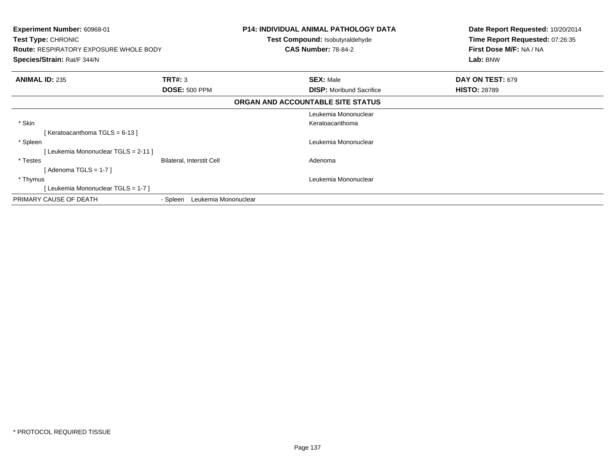| <b>Experiment Number: 60968-01</b><br><b>Test Type: CHRONIC</b><br><b>Route: RESPIRATORY EXPOSURE WHOLE BODY</b><br>Species/Strain: Rat/F 344/N |                                  | <b>P14: INDIVIDUAL ANIMAL PATHOLOGY DATA</b><br><b>Test Compound: Isobutyraldehyde</b><br><b>CAS Number: 78-84-2</b> | Date Report Requested: 10/20/2014<br>Time Report Requested: 07:26:35<br>First Dose M/F: NA / NA<br>Lab: BNW |
|-------------------------------------------------------------------------------------------------------------------------------------------------|----------------------------------|----------------------------------------------------------------------------------------------------------------------|-------------------------------------------------------------------------------------------------------------|
| <b>ANIMAL ID: 235</b>                                                                                                                           | <b>TRT#: 3</b>                   | <b>SEX: Male</b>                                                                                                     | DAY ON TEST: 679                                                                                            |
|                                                                                                                                                 | <b>DOSE: 500 PPM</b>             | <b>DISP:</b> Moribund Sacrifice                                                                                      | <b>HISTO: 28789</b>                                                                                         |
|                                                                                                                                                 |                                  | ORGAN AND ACCOUNTABLE SITE STATUS                                                                                    |                                                                                                             |
|                                                                                                                                                 |                                  | Leukemia Mononuclear                                                                                                 |                                                                                                             |
| * Skin                                                                                                                                          |                                  | Keratoacanthoma                                                                                                      |                                                                                                             |
| [Keratoacanthoma TGLS = 6-13]                                                                                                                   |                                  |                                                                                                                      |                                                                                                             |
| * Spleen                                                                                                                                        |                                  | Leukemia Mononuclear                                                                                                 |                                                                                                             |
| Leukemia Mononuclear TGLS = 2-11 ]                                                                                                              |                                  |                                                                                                                      |                                                                                                             |
| * Testes                                                                                                                                        | <b>Bilateral, Interstit Cell</b> | Adenoma                                                                                                              |                                                                                                             |
| [ Adenoma TGLS = 1-7 ]                                                                                                                          |                                  |                                                                                                                      |                                                                                                             |
| * Thymus                                                                                                                                        |                                  | Leukemia Mononuclear                                                                                                 |                                                                                                             |
| Leukemia Mononuclear TGLS = 1-7 ]                                                                                                               |                                  |                                                                                                                      |                                                                                                             |
| PRIMARY CAUSE OF DEATH                                                                                                                          | Leukemia Mononuclear<br>- Spleen |                                                                                                                      |                                                                                                             |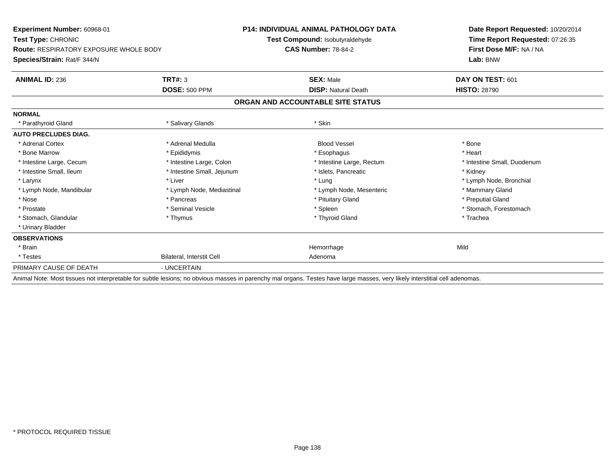| Experiment Number: 60968-01<br>Test Type: CHRONIC |                                  | P14: INDIVIDUAL ANIMAL PATHOLOGY DATA                                                                                                                                       | Date Report Requested: 10/20/2014<br>Time Report Requested: 07:26:35 |  |
|---------------------------------------------------|----------------------------------|-----------------------------------------------------------------------------------------------------------------------------------------------------------------------------|----------------------------------------------------------------------|--|
|                                                   |                                  | Test Compound: Isobutyraldehyde                                                                                                                                             |                                                                      |  |
| <b>Route: RESPIRATORY EXPOSURE WHOLE BODY</b>     |                                  | <b>CAS Number: 78-84-2</b>                                                                                                                                                  | First Dose M/F: NA / NA                                              |  |
| Species/Strain: Rat/F 344/N                       |                                  |                                                                                                                                                                             | Lab: BNW                                                             |  |
| <b>ANIMAL ID: 236</b>                             | TRT#: 3                          | <b>SEX: Male</b>                                                                                                                                                            | DAY ON TEST: 601                                                     |  |
|                                                   | <b>DOSE: 500 PPM</b>             | <b>DISP: Natural Death</b>                                                                                                                                                  | <b>HISTO: 28790</b>                                                  |  |
|                                                   |                                  | ORGAN AND ACCOUNTABLE SITE STATUS                                                                                                                                           |                                                                      |  |
| <b>NORMAL</b>                                     |                                  |                                                                                                                                                                             |                                                                      |  |
| * Parathyroid Gland                               | * Salivary Glands                | * Skin                                                                                                                                                                      |                                                                      |  |
| <b>AUTO PRECLUDES DIAG.</b>                       |                                  |                                                                                                                                                                             |                                                                      |  |
| * Adrenal Cortex                                  | * Adrenal Medulla                | <b>Blood Vessel</b>                                                                                                                                                         | * Bone                                                               |  |
| * Bone Marrow                                     | * Epididymis                     | * Esophagus                                                                                                                                                                 | * Heart                                                              |  |
| * Intestine Large, Cecum                          | * Intestine Large, Colon         | * Intestine Large, Rectum                                                                                                                                                   | * Intestine Small, Duodenum                                          |  |
| * Intestine Small, Ileum                          | * Intestine Small, Jejunum       | * Islets. Pancreatic                                                                                                                                                        | * Kidney                                                             |  |
| * Larynx                                          | * Liver                          | * Lung                                                                                                                                                                      | * Lymph Node, Bronchial                                              |  |
| * Lymph Node, Mandibular                          | * Lymph Node, Mediastinal        | * Lymph Node, Mesenteric                                                                                                                                                    | * Mammary Gland                                                      |  |
| * Nose                                            | * Pancreas                       | * Pituitary Gland                                                                                                                                                           | * Preputial Gland                                                    |  |
| * Prostate                                        | * Seminal Vesicle                | * Spleen                                                                                                                                                                    | * Stomach. Forestomach                                               |  |
| * Stomach, Glandular                              | * Thymus                         | * Thyroid Gland                                                                                                                                                             | * Trachea                                                            |  |
| * Urinary Bladder                                 |                                  |                                                                                                                                                                             |                                                                      |  |
| <b>OBSERVATIONS</b>                               |                                  |                                                                                                                                                                             |                                                                      |  |
| * Brain                                           |                                  | Hemorrhage                                                                                                                                                                  | Mild                                                                 |  |
| * Testes                                          | <b>Bilateral, Interstit Cell</b> | Adenoma                                                                                                                                                                     |                                                                      |  |
| PRIMARY CAUSE OF DEATH                            | - UNCERTAIN                      |                                                                                                                                                                             |                                                                      |  |
|                                                   |                                  | Apimal Note: Most ticques not interpretable for cubtle logione; no obvious masses in parapoky mal ergans. Testes have large masses, yory likely interstitial cell adoptomas |                                                                      |  |

Animal Note: Most tissues not interpretable for subtle lesions; no obvious masses in parenchy mal organs. Testes have large masses, very likely interstitial cell adenomas.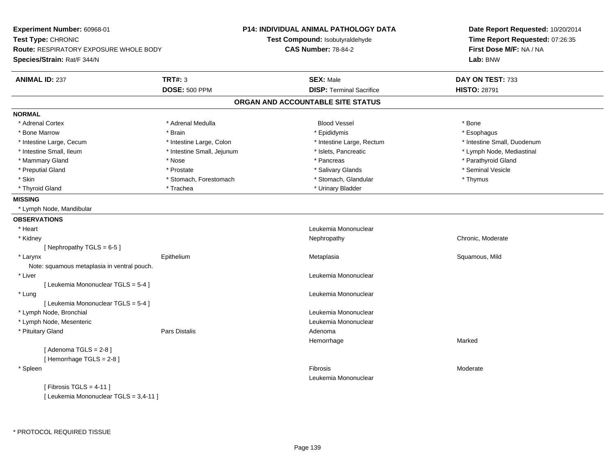**Experiment Number:** 60968-01**Test Type:** CHRONIC **Route:** RESPIRATORY EXPOSURE WHOLE BODY**Species/Strain:** Rat/F 344/N**P14: INDIVIDUAL ANIMAL PATHOLOGY DATATest Compound:** Isobutyraldehyde**CAS Number:** 78-84-2**Date Report Requested:** 10/20/2014**Time Report Requested:** 07:26:35**First Dose M/F:** NA / NA**Lab:** BNW**ANIMAL ID:** 237**TRT#:** 3 **SEX:** Male **DAY ON TEST:** 733 **DOSE:** 500 PPM**DISP:** Terminal Sacrifice **HISTO:** 28791 **ORGAN AND ACCOUNTABLE SITE STATUSNORMAL**\* Adrenal Cortex \* Adrenal Cortex \* Adrenal Medulla Blood Vessel \* Bone\* Esophagus \* Bone Marrow \* Brain \* Epididymis \* Esophagus \* Intestine Small. Duodenum \* Intestine Large, Cecum \* Intestine Large, Colon \* Intestine Sarge, Rectum \* Intestine Large, Rectum \* Lymph Node, Mediastinal \* Intestine Small, Ileum \* 100 mm \* Intestine Small, Jejunum \* Intestine Node, Mediastic \* Lymph Node, Mediastinal \* Mammary Gland \* \* Nose \* \* Nose \* \* Pancreas \* Pancreas \* \* Pancreas \* \* Pancreas \* \* Pancreas \* \* Parathyroid Gland \* Preputial Gland \* \* Annual vesicle \* \* Prostate \* \* Salivary Glands \* \* Salivary Glands \* \* Seminal Vesicle \* \* Skin \* Stomach, Forestomach \* Stomach \* Stomach, Glandular \* Thymus \* Thymus \* Thyroid Gland \* Trachea \* Trachea \* Trachea \* Urinary Bladder **MISSING** \* Lymph Node, Mandibular**OBSERVATIONS** \* Heart Leukemia Mononuclear \* Kidneyy the chronic, Moderate and September 2011 of the Chronic Moderate and September 2012 of the Chronic, Moderate [ Nephropathy TGLS = 6-5 ] \* Larynx Epithelium Metaplasia Squamous, Mild Note: squamous metaplasia in ventral pouch. \* Liver Leukemia Mononuclear [ Leukemia Mononuclear TGLS = 5-4 ] \* Lung Leukemia Mononuclear [ Leukemia Mononuclear TGLS = 5-4 ] \* Lymph Node, Bronchial Leukemia Mononuclear \* Lymph Node, Mesenteric Leukemia Mononuclear \* Pituitary Glandd and the set of Pars Distalis and the Second Adenomal Adenomal Second Second Pars Distallis Hemorrhagee Marked Marked  $[$  Adenoma TGLS = 2-8  $]$ [ Hemorrhage TGLS = 2-8 ] \* Spleenn and the control of the control of the control of the control of the control of the control of the control of the control of the control of the control of the control of the control of the control of the control of the co Leukemia Mononuclear $[$  Fibrosis TGLS = 4-11  $]$ [ Leukemia Mononuclear TGLS = 3,4-11 ]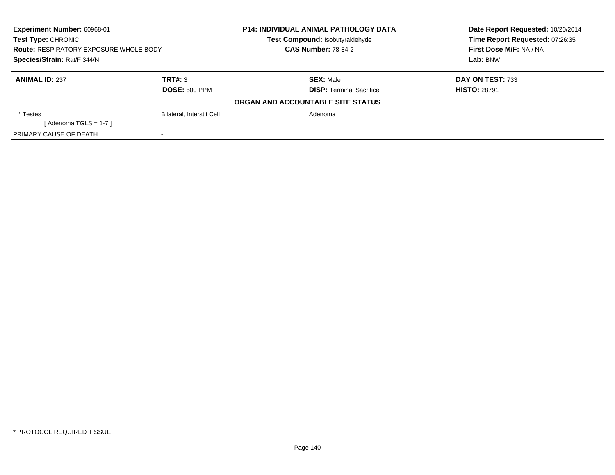| <b>Experiment Number: 60968-01</b><br>Test Type: CHRONIC<br><b>Route: RESPIRATORY EXPOSURE WHOLE BODY</b> |                                  | <b>P14: INDIVIDUAL ANIMAL PATHOLOGY DATA</b><br>Test Compound: Isobutyraldehyde | Date Report Requested: 10/20/2014<br>Time Report Requested: 07:26:35<br>First Dose M/F: NA / NA |
|-----------------------------------------------------------------------------------------------------------|----------------------------------|---------------------------------------------------------------------------------|-------------------------------------------------------------------------------------------------|
|                                                                                                           |                                  | <b>CAS Number: 78-84-2</b>                                                      |                                                                                                 |
| Species/Strain: Rat/F 344/N                                                                               |                                  |                                                                                 | Lab: BNW                                                                                        |
| <b>ANIMAL ID: 237</b>                                                                                     | TRT#: 3                          | <b>SEX:</b> Male                                                                | DAY ON TEST: 733                                                                                |
|                                                                                                           | <b>DOSE: 500 PPM</b>             | <b>DISP:</b> Terminal Sacrifice                                                 | <b>HISTO: 28791</b>                                                                             |
|                                                                                                           |                                  | ORGAN AND ACCOUNTABLE SITE STATUS                                               |                                                                                                 |
| * Testes                                                                                                  | <b>Bilateral, Interstit Cell</b> | Adenoma                                                                         |                                                                                                 |
| [Adenoma TGLS = $1-7$ ]                                                                                   |                                  |                                                                                 |                                                                                                 |
| PRIMARY CAUSE OF DEATH                                                                                    | $\,$                             |                                                                                 |                                                                                                 |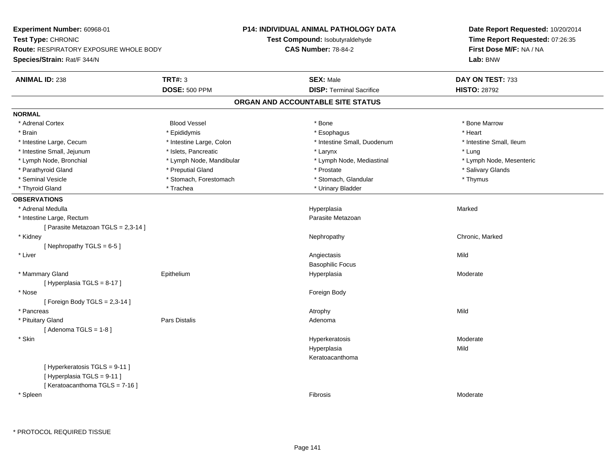**Experiment Number:** 60968-01**Test Type:** CHRONIC **Route:** RESPIRATORY EXPOSURE WHOLE BODY**Species/Strain:** Rat/F 344/N**P14: INDIVIDUAL ANIMAL PATHOLOGY DATATest Compound:** Isobutyraldehyde**CAS Number:** 78-84-2**Date Report Requested:** 10/20/2014**Time Report Requested:** 07:26:35**First Dose M/F:** NA / NA**Lab:** BNW**ANIMAL ID:** 238**TRT#:** 3 **SEX:** Male **DAY ON TEST:** 733 **DOSE:** 500 PPM**DISP:** Terminal Sacrifice **HISTO:** 28792 **ORGAN AND ACCOUNTABLE SITE STATUSNORMAL**\* Adrenal Cortex \* Adrenal Cortex \* Attack the state of the state of the Blood Vessel the state of the state of the state of the Marrow \* Bone Marrow \* Bone Marrow \* Bone Marrow \* Bone Marrow \* Bone Marrow \* Bone Marrow \* Bone Marrow \* Bon \* Brain \* \* Esophagus \* \* Esophagus \* \* Esophagus \* \* Esophagus \* \* Esophagus \* Heart \* Heart \* Heart \* Heart \* Intestine Large, Cecum \* Intestine Large, Colon \* Intestine Small, Duodenum \* Intestine Small, Ileum\* Intestine Small, Jejunum \* 1998 \* \* Islets, Pancreatic \* Maxwell \* Larynx \* Larynx \* Larynx \* Lung \* Lymph Node, Mesenteric \* Lymph Node, Bronchial \* Lymph Node, Mandibular \* Lymph Node, Mediastinal \* Lymph Node, Mediastinal \* Parathyroid Gland \* \* \* Preputial Gland \* \* Preputial Gland \* \* Prostate \* \* Salivary Glands \* Salivary Glands \* Seminal Vesicle \* Thymus \* Stomach, Forestomach \* Northern \* Stomach, Glandular \* Thymus \* Thymus \* Thyroid Gland \* Trachea \* Trachea \* Trachea \* Urinary Bladder **OBSERVATIONS** \* Adrenal Medullaa and the state of the state of the state of the state of the Hyperplasia and the Marked Marked of the State o \* Intestine Large, Rectumm<br>
Parasite Metazoan [ Parasite Metazoan TGLS = 2,3-14 ] \* Kidneyy the controller of the controller of the controller of the Nephropathy Chronic, Marked ( $\alpha$  ) of the controller of the controller of the controller of the controller of the controller of the controller of the controller [ Nephropathy TGLS = 6-5 ] \* Liverr and the contract of the contract of the contract of the contract of the contract of the contract of the contract of the contract of the contract of the contract of the contract of the contract of the contract of the cont s Mild Basophilic Focus \* Mammary Gland Epitheliumm and the Hyperplasia Moderate Moderate Share is a moderate of the Moderate of the Moderate of the Moderate of  $\mathsf{M}$ [ Hyperplasia TGLS = 8-17 ] \* Nosee and the state of the state of the state of the state of the state of the state of the state of the state of the state of the state of the state of the state of the state of the state of the state of the state of the stat  $[$  Foreign Body TGLS = 2,3-14  $]$  \* Pancreass the control of the control of the control of the control of the control of the control of the control of the control of the control of the control of the control of the control of the control of the control of the contro \* Pituitary Glandd and the contract of Pars Distalis and the contract of Adenoma and Adenoma and the Adenoma and the Adenoma and  $\lambda$  $[$  Adenoma TGLS = 1-8  $]$  \* Skinn and the state of the state of the state of the Hyperkeratosis and the Moderate of the Moderate of the Shankov<br>In the state of the state of the state of the state of the state of the state of the state of the state of the Hyperplasiaa Mild Keratoacanthoma[ Hyperkeratosis TGLS = 9-11 ][ Hyperplasia TGLS = 9-11 ][ Keratoacanthoma TGLS = 7-16 ] \* Spleenn and the contract of the contract of the contract of the contract of the contract of the contract of the contract of the contract of the contract of the contract of the contract of the contract of the contract of the cont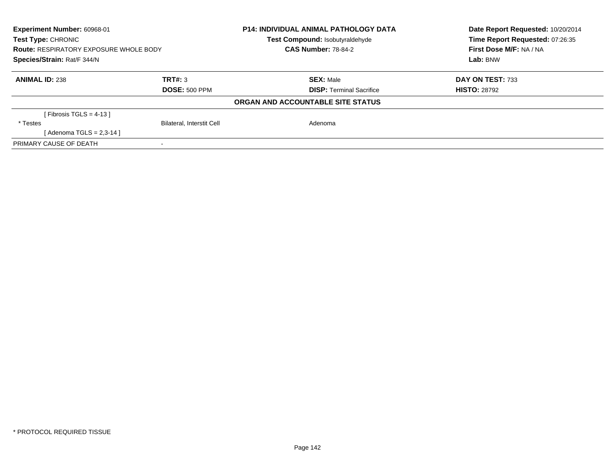| Experiment Number: 60968-01<br><b>Test Type: CHRONIC</b> |                                  | <b>P14: INDIVIDUAL ANIMAL PATHOLOGY DATA</b><br><b>Test Compound: Isobutyraldehyde</b> | Date Report Requested: 10/20/2014<br>Time Report Requested: 07:26:35 |
|----------------------------------------------------------|----------------------------------|----------------------------------------------------------------------------------------|----------------------------------------------------------------------|
| <b>Route: RESPIRATORY EXPOSURE WHOLE BODY</b>            |                                  | <b>CAS Number: 78-84-2</b>                                                             | First Dose M/F: NA / NA                                              |
| Species/Strain: Rat/F 344/N                              |                                  |                                                                                        | Lab: BNW                                                             |
| <b>ANIMAL ID: 238</b>                                    | TRT#: 3                          | <b>SEX: Male</b>                                                                       | DAY ON TEST: 733                                                     |
|                                                          | <b>DOSE: 500 PPM</b>             | <b>DISP: Terminal Sacrifice</b>                                                        | <b>HISTO: 28792</b>                                                  |
|                                                          |                                  | ORGAN AND ACCOUNTABLE SITE STATUS                                                      |                                                                      |
| [Fibrosis TGLS = 4-13]                                   |                                  |                                                                                        |                                                                      |
| * Testes                                                 | <b>Bilateral, Interstit Cell</b> | Adenoma                                                                                |                                                                      |
| [Adenoma TGLS = $2,3-14$ ]                               |                                  |                                                                                        |                                                                      |
| PRIMARY CAUSE OF DEATH                                   |                                  |                                                                                        |                                                                      |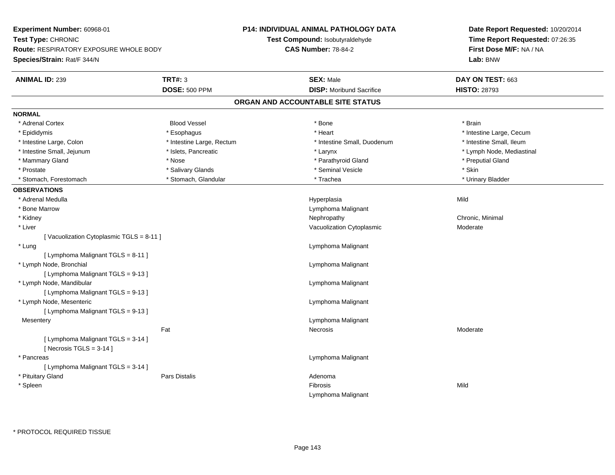**Experiment Number:** 60968-01**Test Type:** CHRONIC **Route:** RESPIRATORY EXPOSURE WHOLE BODY**Species/Strain:** Rat/F 344/N**P14: INDIVIDUAL ANIMAL PATHOLOGY DATATest Compound:** Isobutyraldehyde**CAS Number:** 78-84-2**Date Report Requested:** 10/20/2014**Time Report Requested:** 07:26:35**First Dose M/F:** NA / NA**Lab:** BNW**ANIMAL ID:** 239**TRT#:** 3 **SEX:** Male **DAY ON TEST:** 663 **DOSE:** 500 PPM **DISP:** Moribund Sacrifice **HISTO:** <sup>28793</sup> **ORGAN AND ACCOUNTABLE SITE STATUSNORMAL**\* Adrenal Cortex \* Adrenal Cortex \* Brain \* Brain \* Brain \* Brain \* Bood Vessel \* \* \* \* Brain \* Bone \* \* \* \* \* \* \* Brain \* \* Brain \* \* Brain \* \* Brain \* \* Brain \* \* Brain \* \* Brain \* \* Brain \* \* Brain \* \* Brain \* \* Brain \* \* Brain \* \* Brai \* Epididymis **Account 19 and 19 and 19 and 19 and 19 and 19 and 19 and 19 and 19 and 19 and 19 and 19 and 19 and 19 and 19 and 19 and 19 and 19 and 19 and 19 and 19 and 19 and 19 and 19 and 19 and 19 and 19 and 19 and 19 a** \* Intestine Small. Ileum \* Intestine Large, Colon \* Intestine Large, Rectum \* Intestine Small, Duodenum \* 1 \* Lymph Node, Mediastinal \* Intestine Small, Jejunum \* Nodel \* Islets, Pancreatic \* Nodel \* Larynx \* Larynx \* Larynx \* Larynx \* Larynx \* Larynx \* Larynx \* Larynx \* Larynx \* Larynx \* Larynx \* Larynx \* Larynx \* Larynx \* Larynx \* Larynx \* Larynx \* Lar \* Mammary Gland \* \* And \* \* Nose \* \* Posser \* Preputial Gland \* Preputial Gland \* Preputial Gland \* \* Preputial Gland \* \* Preputial Gland \* \* Preputial Gland \* \* Preputial Gland \* \* Preputial Gland \* \* Preputial Gland \* \* \* Prostate \* \* Salivary Glands \* \* Salivary Glands \* \* Seminal Vesicle \* \* \* Seminal Yestrich \* \* Skin \* \* Skin \* Urinary Bladder \* Stomach, Forestomach \* North and \* Stomach, Glandular \* Trachea \* Trachea \* Trachea **OBSERVATIONS** \* Adrenal Medulla Hyperplasia Mild \* Bone MarrowLymphoma Malignant<br>Nephropathy \* Kidneyy the controller of the controller of the controller of the controller of the controller of the controller of the controller of the controller of the controller of the controller of the controller of the controller of the \* Liver Vacuolization Cytoplasmic Moderate[ Vacuolization Cytoplasmic TGLS = 8-11 ] \* Lung Lymphoma Malignant [ Lymphoma Malignant TGLS = 8-11 ] \* Lymph Node, Bronchial Lymphoma Malignant[ Lymphoma Malignant TGLS = 9-13 ] \* Lymph Node, Mandibular Lymphoma Malignant [ Lymphoma Malignant TGLS = 9-13 ] \* Lymph Node, Mesenteric Lymphoma Malignant [ Lymphoma Malignant TGLS = 9-13 ]**Mesentery**  Lymphoma Malignant Fat Necrosis Moderate[ Lymphoma Malignant TGLS = 3-14 ] $[$  Necrosis TGLS = 3-14  $]$  \* Pancreas Lymphoma Malignant [ Lymphoma Malignant TGLS = 3-14 ] \* Pituitary Glandd and the contract of Pars Distalis and the contract of Adenoma and Adenoma and the Adenoma and the Adenoma and  $\lambda$  \* Spleenn and the control of the control of the control of the control of the control of the control of the control of the control of the control of the control of the control of the control of the control of the control of the co Lymphoma Malignant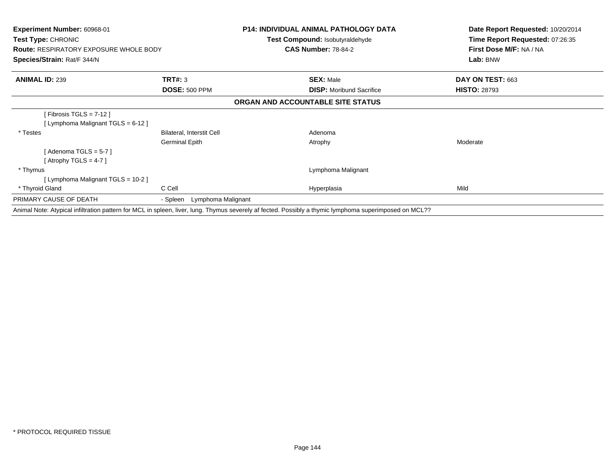| <b>Experiment Number: 60968-01</b><br><b>Test Type: CHRONIC</b><br><b>Route: RESPIRATORY EXPOSURE WHOLE BODY</b><br>Species/Strain: Rat/F 344/N |                             | <b>P14: INDIVIDUAL ANIMAL PATHOLOGY DATA</b><br><b>Test Compound: Isobutyraldehyde</b><br><b>CAS Number: 78-84-2</b>                                   | Date Report Requested: 10/20/2014<br>Time Report Requested: 07:26:35<br>First Dose M/F: NA / NA<br>Lab: BNW |
|-------------------------------------------------------------------------------------------------------------------------------------------------|-----------------------------|--------------------------------------------------------------------------------------------------------------------------------------------------------|-------------------------------------------------------------------------------------------------------------|
|                                                                                                                                                 |                             |                                                                                                                                                        |                                                                                                             |
| <b>ANIMAL ID: 239</b>                                                                                                                           | TRT#: 3                     | <b>SEX: Male</b>                                                                                                                                       | DAY ON TEST: 663                                                                                            |
|                                                                                                                                                 | <b>DOSE: 500 PPM</b>        | <b>DISP:</b> Moribund Sacrifice                                                                                                                        | <b>HISTO: 28793</b>                                                                                         |
|                                                                                                                                                 |                             | ORGAN AND ACCOUNTABLE SITE STATUS                                                                                                                      |                                                                                                             |
| [Fibrosis TGLS = $7-12$ ]                                                                                                                       |                             |                                                                                                                                                        |                                                                                                             |
| [ Lymphoma Malignant TGLS = 6-12 ]                                                                                                              |                             |                                                                                                                                                        |                                                                                                             |
| * Testes                                                                                                                                        | Bilateral, Interstit Cell   | Adenoma                                                                                                                                                |                                                                                                             |
|                                                                                                                                                 | Germinal Epith              | Atrophy                                                                                                                                                | Moderate                                                                                                    |
| [Adenoma TGLS = $5-7$ ]                                                                                                                         |                             |                                                                                                                                                        |                                                                                                             |
| [Atrophy TGLS = 4-7 ]                                                                                                                           |                             |                                                                                                                                                        |                                                                                                             |
| * Thymus                                                                                                                                        |                             | Lymphoma Malignant                                                                                                                                     |                                                                                                             |
| [ Lymphoma Malignant TGLS = 10-2 ]                                                                                                              |                             |                                                                                                                                                        |                                                                                                             |
| * Thyroid Gland                                                                                                                                 | C Cell                      | Hyperplasia                                                                                                                                            | Mild                                                                                                        |
| PRIMARY CAUSE OF DEATH                                                                                                                          | - Spleen Lymphoma Malignant |                                                                                                                                                        |                                                                                                             |
|                                                                                                                                                 |                             | Animal Note: Atypical infiltration pattern for MCL in spleen, liver, lung. Thymus severely af fected. Possibly a thymic lymphoma superimposed on MCL?? |                                                                                                             |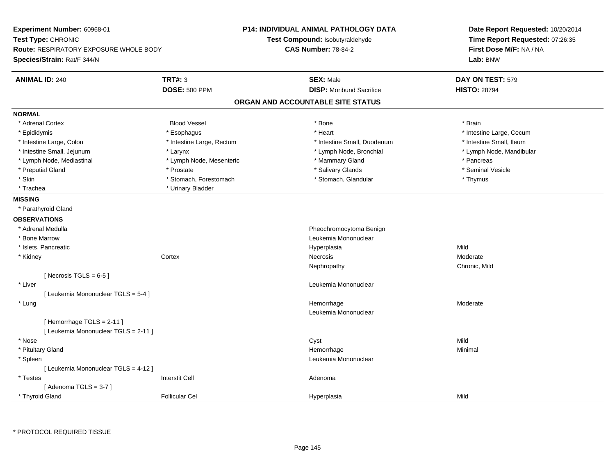| Experiment Number: 60968-01<br>Test Type: CHRONIC<br>Route: RESPIRATORY EXPOSURE WHOLE BODY<br>Species/Strain: Rat/F 344/N |                           |                                   | P14: INDIVIDUAL ANIMAL PATHOLOGY DATA<br>Test Compound: Isobutyraldehyde<br><b>CAS Number: 78-84-2</b> | Date Report Requested: 10/20/2014<br>Time Report Requested: 07:26:35<br>First Dose M/F: NA / NA<br>Lab: BNW |
|----------------------------------------------------------------------------------------------------------------------------|---------------------------|-----------------------------------|--------------------------------------------------------------------------------------------------------|-------------------------------------------------------------------------------------------------------------|
| <b>ANIMAL ID: 240</b>                                                                                                      | <b>TRT#: 3</b>            |                                   | <b>SEX: Male</b>                                                                                       | DAY ON TEST: 579                                                                                            |
|                                                                                                                            | <b>DOSE: 500 PPM</b>      |                                   | <b>DISP:</b> Moribund Sacrifice                                                                        | <b>HISTO: 28794</b>                                                                                         |
|                                                                                                                            |                           | ORGAN AND ACCOUNTABLE SITE STATUS |                                                                                                        |                                                                                                             |
| <b>NORMAL</b>                                                                                                              |                           |                                   |                                                                                                        |                                                                                                             |
| * Adrenal Cortex                                                                                                           | <b>Blood Vessel</b>       |                                   | * Bone                                                                                                 | * Brain                                                                                                     |
| * Epididymis                                                                                                               | * Esophagus               |                                   | * Heart                                                                                                | * Intestine Large, Cecum                                                                                    |
| * Intestine Large, Colon                                                                                                   | * Intestine Large, Rectum |                                   | * Intestine Small, Duodenum                                                                            | * Intestine Small, Ileum                                                                                    |
| * Intestine Small, Jejunum                                                                                                 | * Larynx                  |                                   | * Lymph Node, Bronchial                                                                                | * Lymph Node, Mandibular                                                                                    |
| * Lymph Node, Mediastinal                                                                                                  | * Lymph Node, Mesenteric  |                                   | * Mammary Gland                                                                                        | * Pancreas                                                                                                  |
| * Preputial Gland                                                                                                          | * Prostate                |                                   | * Salivary Glands                                                                                      | * Seminal Vesicle                                                                                           |
| * Skin                                                                                                                     | * Stomach, Forestomach    |                                   | * Stomach, Glandular                                                                                   | * Thymus                                                                                                    |
| * Trachea                                                                                                                  | * Urinary Bladder         |                                   |                                                                                                        |                                                                                                             |
| <b>MISSING</b>                                                                                                             |                           |                                   |                                                                                                        |                                                                                                             |
| * Parathyroid Gland                                                                                                        |                           |                                   |                                                                                                        |                                                                                                             |
| <b>OBSERVATIONS</b>                                                                                                        |                           |                                   |                                                                                                        |                                                                                                             |
| * Adrenal Medulla                                                                                                          |                           |                                   | Pheochromocytoma Benign                                                                                |                                                                                                             |
| * Bone Marrow                                                                                                              |                           |                                   | Leukemia Mononuclear                                                                                   |                                                                                                             |
| * Islets, Pancreatic                                                                                                       |                           |                                   | Hyperplasia                                                                                            | Mild                                                                                                        |
| * Kidney                                                                                                                   | Cortex                    |                                   | Necrosis                                                                                               | Moderate                                                                                                    |
|                                                                                                                            |                           |                                   | Nephropathy                                                                                            | Chronic, Mild                                                                                               |
| [Necrosis TGLS = $6-5$ ]                                                                                                   |                           |                                   |                                                                                                        |                                                                                                             |
| * Liver                                                                                                                    |                           |                                   | Leukemia Mononuclear                                                                                   |                                                                                                             |
| [ Leukemia Mononuclear TGLS = 5-4 ]                                                                                        |                           |                                   |                                                                                                        |                                                                                                             |
| * Lung                                                                                                                     |                           |                                   | Hemorrhage                                                                                             | Moderate                                                                                                    |
|                                                                                                                            |                           |                                   | Leukemia Mononuclear                                                                                   |                                                                                                             |
| [Hemorrhage TGLS = 2-11]                                                                                                   |                           |                                   |                                                                                                        |                                                                                                             |
| [ Leukemia Mononuclear TGLS = 2-11 ]                                                                                       |                           |                                   |                                                                                                        |                                                                                                             |
| * Nose                                                                                                                     |                           |                                   | Cyst                                                                                                   | Mild                                                                                                        |
| * Pituitary Gland                                                                                                          |                           |                                   | Hemorrhage                                                                                             | Minimal                                                                                                     |
| * Spleen                                                                                                                   |                           |                                   | Leukemia Mononuclear                                                                                   |                                                                                                             |
| [ Leukemia Mononuclear TGLS = 4-12 ]                                                                                       |                           |                                   |                                                                                                        |                                                                                                             |
| * Testes                                                                                                                   | <b>Interstit Cell</b>     |                                   | Adenoma                                                                                                |                                                                                                             |
| [Adenoma TGLS = $3-7$ ]                                                                                                    |                           |                                   |                                                                                                        |                                                                                                             |
| * Thyroid Gland                                                                                                            | <b>Follicular Cel</b>     |                                   | Hyperplasia                                                                                            | Mild                                                                                                        |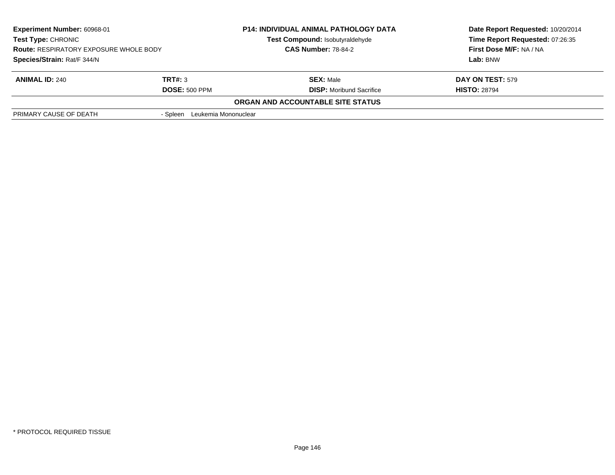| <b>Experiment Number: 60968-01</b><br><b>Test Type: CHRONIC</b> |                                  | <b>P14: INDIVIDUAL ANIMAL PATHOLOGY DATA</b> | Date Report Requested: 10/20/2014 |
|-----------------------------------------------------------------|----------------------------------|----------------------------------------------|-----------------------------------|
|                                                                 |                                  | Test Compound: Isobutyraldehyde              | Time Report Requested: 07:26:35   |
| <b>Route: RESPIRATORY EXPOSURE WHOLE BODY</b>                   |                                  | <b>CAS Number: 78-84-2</b>                   | First Dose M/F: NA / NA           |
| Species/Strain: Rat/F 344/N                                     |                                  |                                              | Lab: BNW                          |
| <b>ANIMAL ID: 240</b>                                           | TRT#: 3                          | <b>SEX: Male</b>                             | <b>DAY ON TEST: 579</b>           |
|                                                                 | <b>DOSE: 500 PPM</b>             | <b>DISP:</b> Moribund Sacrifice              | <b>HISTO: 28794</b>               |
|                                                                 |                                  | ORGAN AND ACCOUNTABLE SITE STATUS            |                                   |
| PRIMARY CAUSE OF DEATH                                          | Leukemia Mononuclear<br>- Spleen |                                              |                                   |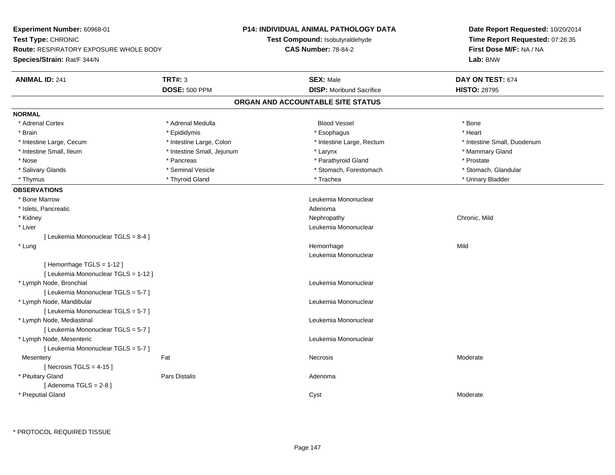| Experiment Number: 60968-01            |                            | <b>P14: INDIVIDUAL ANIMAL PATHOLOGY DATA</b> | Date Report Requested: 10/20/2014 |  |
|----------------------------------------|----------------------------|----------------------------------------------|-----------------------------------|--|
| Test Type: CHRONIC                     |                            | Test Compound: Isobutyraldehyde              | Time Report Requested: 07:26:35   |  |
| Route: RESPIRATORY EXPOSURE WHOLE BODY |                            | <b>CAS Number: 78-84-2</b>                   | First Dose M/F: NA / NA           |  |
| Species/Strain: Rat/F 344/N            |                            |                                              | Lab: BNW                          |  |
| <b>ANIMAL ID: 241</b>                  | <b>TRT#: 3</b>             | <b>SEX: Male</b>                             | DAY ON TEST: 674                  |  |
|                                        | <b>DOSE: 500 PPM</b>       | <b>DISP:</b> Moribund Sacrifice              | <b>HISTO: 28795</b>               |  |
|                                        |                            | ORGAN AND ACCOUNTABLE SITE STATUS            |                                   |  |
| <b>NORMAL</b>                          |                            |                                              |                                   |  |
| * Adrenal Cortex                       | * Adrenal Medulla          | <b>Blood Vessel</b>                          | * Bone                            |  |
| * Brain                                | * Epididymis               | * Esophagus                                  | * Heart                           |  |
| * Intestine Large, Cecum               | * Intestine Large, Colon   | * Intestine Large, Rectum                    | * Intestine Small, Duodenum       |  |
| * Intestine Small, Ileum               | * Intestine Small, Jejunum | * Larynx                                     | * Mammary Gland                   |  |
| * Nose                                 | * Pancreas                 | * Parathyroid Gland                          | * Prostate                        |  |
| * Salivary Glands                      | * Seminal Vesicle          | * Stomach, Forestomach                       | * Stomach, Glandular              |  |
| * Thymus                               | * Thyroid Gland            | * Trachea                                    | * Urinary Bladder                 |  |
| <b>OBSERVATIONS</b>                    |                            |                                              |                                   |  |
| * Bone Marrow                          |                            | Leukemia Mononuclear                         |                                   |  |
| * Islets, Pancreatic                   |                            | Adenoma                                      |                                   |  |
| * Kidney                               |                            | Nephropathy                                  | Chronic, Mild                     |  |
| * Liver                                |                            | Leukemia Mononuclear                         |                                   |  |
| [ Leukemia Mononuclear TGLS = 8-4 ]    |                            |                                              |                                   |  |
| * Lung                                 |                            | Hemorrhage                                   | Mild                              |  |
|                                        |                            | Leukemia Mononuclear                         |                                   |  |
| [Hemorrhage TGLS = 1-12]               |                            |                                              |                                   |  |
| [ Leukemia Mononuclear TGLS = 1-12 ]   |                            |                                              |                                   |  |
| * Lymph Node, Bronchial                |                            | Leukemia Mononuclear                         |                                   |  |
| [ Leukemia Mononuclear TGLS = 5-7 ]    |                            |                                              |                                   |  |
| * Lymph Node, Mandibular               |                            | Leukemia Mononuclear                         |                                   |  |
| [ Leukemia Mononuclear TGLS = 5-7 ]    |                            |                                              |                                   |  |
| * Lymph Node, Mediastinal              |                            | Leukemia Mononuclear                         |                                   |  |
| [ Leukemia Mononuclear TGLS = 5-7 ]    |                            |                                              |                                   |  |
| * Lymph Node, Mesenteric               |                            | Leukemia Mononuclear                         |                                   |  |
| [ Leukemia Mononuclear TGLS = 5-7 ]    |                            |                                              |                                   |  |
| Mesentery                              | Fat                        | Necrosis                                     | Moderate                          |  |
| [ Necrosis TGLS = $4-15$ ]             |                            |                                              |                                   |  |
| * Pituitary Gland                      | Pars Distalis              | Adenoma                                      |                                   |  |
| [Adenoma TGLS = $2-8$ ]                |                            |                                              |                                   |  |
| * Preputial Gland                      |                            | Cyst                                         | Moderate                          |  |
|                                        |                            |                                              |                                   |  |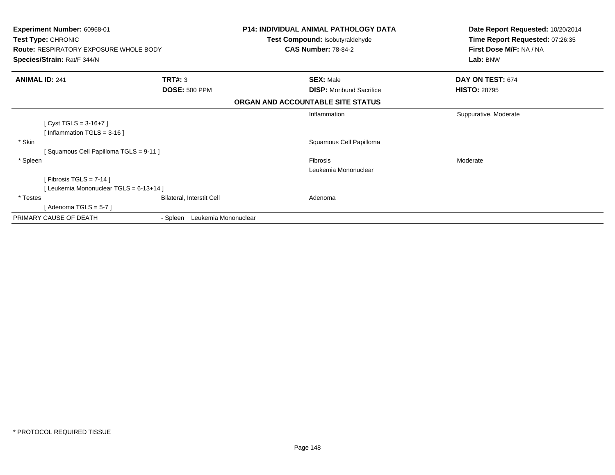| Experiment Number: 60968-01<br>Test Type: CHRONIC<br><b>Route: RESPIRATORY EXPOSURE WHOLE BODY</b><br>Species/Strain: Rat/F 344/N |                                  | <b>P14: INDIVIDUAL ANIMAL PATHOLOGY DATA</b><br>Test Compound: Isobutyraldehyde<br><b>CAS Number: 78-84-2</b> | Date Report Requested: 10/20/2014<br>Time Report Requested: 07:26:35<br>First Dose M/F: NA / NA<br>Lab: BNW |
|-----------------------------------------------------------------------------------------------------------------------------------|----------------------------------|---------------------------------------------------------------------------------------------------------------|-------------------------------------------------------------------------------------------------------------|
| <b>ANIMAL ID: 241</b>                                                                                                             | TRT#: 3                          | <b>SEX: Male</b>                                                                                              | DAY ON TEST: 674                                                                                            |
|                                                                                                                                   | <b>DOSE: 500 PPM</b>             | <b>DISP:</b> Moribund Sacrifice                                                                               | <b>HISTO: 28795</b>                                                                                         |
|                                                                                                                                   |                                  | ORGAN AND ACCOUNTABLE SITE STATUS                                                                             |                                                                                                             |
| [Cyst TGLS = $3-16+7$ ]<br>[Inflammation TGLS = $3-16$ ]                                                                          |                                  | Inflammation                                                                                                  | Suppurative, Moderate                                                                                       |
| * Skin<br>Squamous Cell Papilloma TGLS = 9-11 ]                                                                                   |                                  | Squamous Cell Papilloma                                                                                       |                                                                                                             |
| * Spleen<br>[Fibrosis TGLS = $7-14$ ]<br>[Leukemia Mononuclear TGLS = 6-13+14]                                                    |                                  | <b>Fibrosis</b><br>Leukemia Mononuclear                                                                       | Moderate                                                                                                    |
| * Testes<br>[Adenoma TGLS = $5-7$ ]                                                                                               | Bilateral, Interstit Cell        | Adenoma                                                                                                       |                                                                                                             |
| PRIMARY CAUSE OF DEATH                                                                                                            | Leukemia Mononuclear<br>- Spleen |                                                                                                               |                                                                                                             |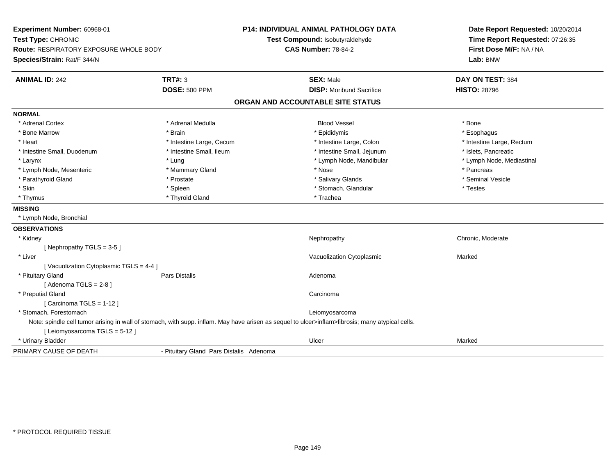| Experiment Number: 60968-01<br>Test Type: CHRONIC<br><b>Route: RESPIRATORY EXPOSURE WHOLE BODY</b> |                                                                                                                                                  | <b>P14: INDIVIDUAL ANIMAL PATHOLOGY DATA</b><br>Test Compound: Isobutyraldehyde<br><b>CAS Number: 78-84-2</b> | Date Report Requested: 10/20/2014<br>Time Report Requested: 07:26:35<br>First Dose M/F: NA / NA |
|----------------------------------------------------------------------------------------------------|--------------------------------------------------------------------------------------------------------------------------------------------------|---------------------------------------------------------------------------------------------------------------|-------------------------------------------------------------------------------------------------|
| Species/Strain: Rat/F 344/N                                                                        |                                                                                                                                                  |                                                                                                               | Lab: BNW                                                                                        |
| <b>ANIMAL ID: 242</b>                                                                              | TRT#: 3                                                                                                                                          | <b>SEX: Male</b>                                                                                              | DAY ON TEST: 384                                                                                |
|                                                                                                    | <b>DOSE: 500 PPM</b>                                                                                                                             | <b>DISP:</b> Moribund Sacrifice                                                                               | <b>HISTO: 28796</b>                                                                             |
|                                                                                                    |                                                                                                                                                  | ORGAN AND ACCOUNTABLE SITE STATUS                                                                             |                                                                                                 |
| <b>NORMAL</b>                                                                                      |                                                                                                                                                  |                                                                                                               |                                                                                                 |
| * Adrenal Cortex                                                                                   | * Adrenal Medulla                                                                                                                                | <b>Blood Vessel</b>                                                                                           | * Bone                                                                                          |
| * Bone Marrow                                                                                      | * Brain                                                                                                                                          | * Epididymis                                                                                                  | * Esophagus                                                                                     |
| * Heart                                                                                            | * Intestine Large, Cecum                                                                                                                         | * Intestine Large, Colon                                                                                      | * Intestine Large, Rectum                                                                       |
| * Intestine Small, Duodenum                                                                        | * Intestine Small, Ileum                                                                                                                         | * Intestine Small, Jejunum                                                                                    | * Islets, Pancreatic                                                                            |
| * Larynx                                                                                           | * Lung                                                                                                                                           | * Lymph Node, Mandibular                                                                                      | * Lymph Node, Mediastinal                                                                       |
| * Lymph Node, Mesenteric                                                                           | * Mammary Gland                                                                                                                                  | * Nose                                                                                                        | * Pancreas                                                                                      |
| * Parathyroid Gland                                                                                | * Prostate                                                                                                                                       | * Salivary Glands                                                                                             | * Seminal Vesicle                                                                               |
| * Skin                                                                                             | * Spleen                                                                                                                                         | * Stomach, Glandular                                                                                          | * Testes                                                                                        |
| * Thymus                                                                                           | * Thyroid Gland                                                                                                                                  | * Trachea                                                                                                     |                                                                                                 |
| <b>MISSING</b>                                                                                     |                                                                                                                                                  |                                                                                                               |                                                                                                 |
| * Lymph Node, Bronchial                                                                            |                                                                                                                                                  |                                                                                                               |                                                                                                 |
| <b>OBSERVATIONS</b>                                                                                |                                                                                                                                                  |                                                                                                               |                                                                                                 |
| * Kidney                                                                                           |                                                                                                                                                  | Nephropathy                                                                                                   | Chronic, Moderate                                                                               |
| [Nephropathy TGLS = $3-5$ ]                                                                        |                                                                                                                                                  |                                                                                                               |                                                                                                 |
| * Liver                                                                                            |                                                                                                                                                  | Vacuolization Cytoplasmic                                                                                     | Marked                                                                                          |
| [Vacuolization Cytoplasmic TGLS = 4-4]                                                             |                                                                                                                                                  |                                                                                                               |                                                                                                 |
| * Pituitary Gland                                                                                  | <b>Pars Distalis</b>                                                                                                                             | Adenoma                                                                                                       |                                                                                                 |
| [Adenoma TGLS = $2-8$ ]                                                                            |                                                                                                                                                  |                                                                                                               |                                                                                                 |
| * Preputial Gland                                                                                  |                                                                                                                                                  | Carcinoma                                                                                                     |                                                                                                 |
| [ Carcinoma TGLS = 1-12 ]                                                                          |                                                                                                                                                  |                                                                                                               |                                                                                                 |
| * Stomach, Forestomach                                                                             |                                                                                                                                                  | Leiomyosarcoma                                                                                                |                                                                                                 |
|                                                                                                    | Note: spindle cell tumor arising in wall of stomach, with supp. inflam. May have arisen as sequel to ulcer>inflam>fibrosis; many atypical cells. |                                                                                                               |                                                                                                 |
| [ Leiomyosarcoma TGLS = 5-12 ]                                                                     |                                                                                                                                                  |                                                                                                               |                                                                                                 |
| * Urinary Bladder                                                                                  |                                                                                                                                                  | Ulcer                                                                                                         | Marked                                                                                          |
| PRIMARY CAUSE OF DEATH                                                                             | - Pituitary Gland Pars Distalis Adenoma                                                                                                          |                                                                                                               |                                                                                                 |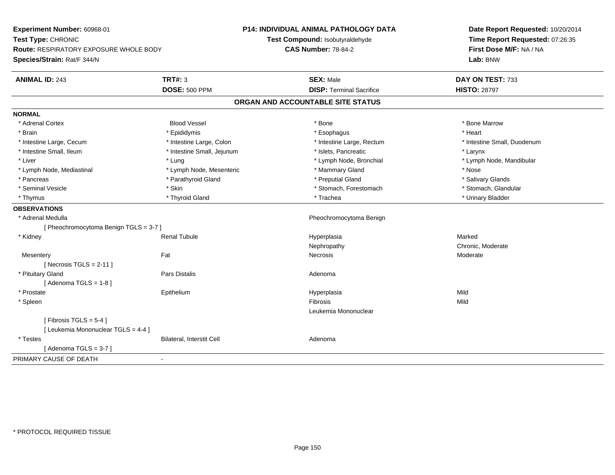**Experiment Number:** 60968-01**Test Type:** CHRONIC **Route:** RESPIRATORY EXPOSURE WHOLE BODY**Species/Strain:** Rat/F 344/N**P14: INDIVIDUAL ANIMAL PATHOLOGY DATATest Compound:** Isobutyraldehyde**CAS Number:** 78-84-2**Date Report Requested:** 10/20/2014**Time Report Requested:** 07:26:35**First Dose M/F:** NA / NA**Lab:** BNW**ANIMAL ID:** 243**TRT#:** 3 **SEX:** Male **DAY ON TEST:** 733 **DOSE:** 500 PPM**DISP:** Terminal Sacrifice **HISTO:** 28797 **ORGAN AND ACCOUNTABLE SITE STATUSNORMAL**\* Adrenal Cortex \* Adrenal Cortex \* Attack the state of the state of the Blood Vessel the state of the state of the state of the Marrow \* Bone Marrow \* Bone Marrow \* Bone Marrow \* Bone Marrow \* Bone Marrow \* Bone Marrow \* Bone Marrow \* Bon \* Brain \* \* Esophagus \* \* Esophagus \* \* Esophagus \* \* Esophagus \* \* Esophagus \* Heart \* Heart \* Heart \* Heart \* Intestine Large, Cecum \* Intestine Large, Colon \* Intestine Large, Rectum \* Intestine Small, Duodenum\* Intestine Small, Ileum \* Thestine Small, Jejunum \* 1998 \* Islets, Pancreatic \* The manus \* Larynx \* Larynx \* Liver which is the settlement of the term of the settlement of the settlement of the settlement of the settlement of the settlement of the settlement of the settlement of the settlement of the settlement of the settlemen \* Lymph Node, Mediastinal \* Nose \* Lymph Node, Mesenteric \* \* Mammary Gland \* Memmary Gland \* Nose \* Salivary Glands \* Pancreas \* And the section of the section of the section of the section of the section of the section of the section of the section of the section of the section of the section of the section of the section of the sectio \* Stomach, Glandular \* Seminal Vesicle \* Skin \* Skin \* Skin \* Stomach, Forestomach \* Stomach, Forestomach \* Thymus \* Thyroid Gland \* Trachea \* Urinary Bladder \* **OBSERVATIONS** \* Adrenal Medulla Pheochromocytoma Benign [ Pheochromocytoma Benign TGLS = 3-7 ] \* Kidney Renal Tubule Hyperplasia Marked Nephropathy Chronic, Moderate**Mesentery** y the control of the set of the control of the Moderate of the Moderate of the Moderate of the Moderate of the Moderate of the Moderate of the Moderate of the Moderate of the Moderate of the Moderate of the Moderate of the  $[$  Necrosis TGLS = 2-11  $]$  \* Pituitary Glandd and the contract of Pars Distalis and the contract of Adenoma and Adenoma and the Adenoma and the Adenoma and  $\lambda$  $[$  Adenoma TGLS = 1-8  $]$  \* Prostate Epithelium Hyperplasia Mild \* Spleenn and the control of the control of the control of the control of the control of the control of the control of the control of the control of the control of the control of the control of the control of the control of the co Leukemia Mononuclear $[$  Fibrosis TGLS = 5-4  $]$ [ Leukemia Mononuclear TGLS = 4-4 ] \* TestesBilateral, Interstit Cell **Adenoma** Adenoma  $[$  Adenoma TGLS = 3-7  $]$ PRIMARY CAUSE OF DEATH-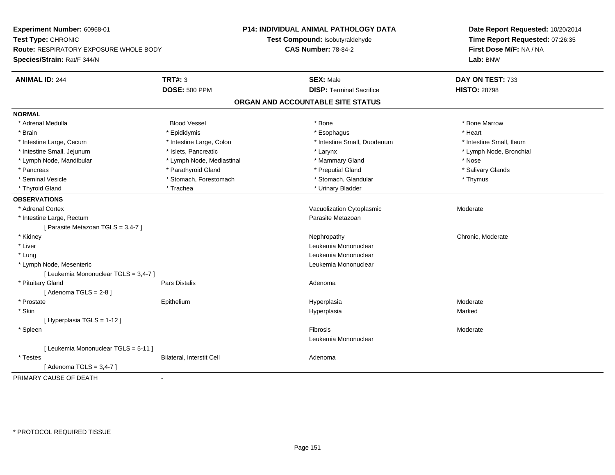**Experiment Number:** 60968-01**Test Type:** CHRONIC **Route:** RESPIRATORY EXPOSURE WHOLE BODY**Species/Strain:** Rat/F 344/N**P14: INDIVIDUAL ANIMAL PATHOLOGY DATATest Compound:** Isobutyraldehyde**CAS Number:** 78-84-2**Date Report Requested:** 10/20/2014**Time Report Requested:** 07:26:35**First Dose M/F:** NA / NA**Lab:** BNW**ANIMAL ID:** 244**TRT#:** 3 **SEX:** Male **DAY ON TEST:** 733 **DOSE:** 500 PPM**DISP:** Terminal Sacrifice **HISTO:** 28798 **ORGAN AND ACCOUNTABLE SITE STATUSNORMAL** \* Adrenal Medulla Blood Vessel \* Bone \* Bone Marrow\* Brain \* \* Esophagus \* \* Esophagus \* \* Esophagus \* \* Esophagus \* \* Esophagus \* Heart \* Heart \* Heart \* Heart \* Intestine Large, Cecum \* Intestine Large, Colon \* Intestine Small, Duodenum \* Intestine Small, Ileum\* Lymph Node, Bronchial \* Intestine Small, Jejunum \* Nodel \* Islets, Pancreatic \* Nodel \* Larynx \* Larynx \* Larynx \* Larynx \* Larynx \* Larynx \* Larynx \* Larynx \* Larynx \* Larynx \* Larynx \* Larynx \* Larynx \* Larynx \* Larynx \* Larynx \* Larynx \* Lar \* Lymph Node, Mandibular \* Lymph Node, Mediastinal \* Mammary Gland \* Nose\* Salivary Glands \* Pancreas \* And the section of the section of the section of the section of the section of the section of the section of the section of the section of the section of the section of the section of the section of the sectio \* Seminal Vesicle \* Thymus \* Stomach, Forestomach \* Northern \* Stomach, Glandular \* Thymus \* Thymus \* Thyroid Gland \* Trachea \* Trachea \* Trachea \* Urinary Bladder **OBSERVATIONS** \* Adrenal CortexVacuolization Cytoplasmic **Moderate** Moderate \* Intestine Large, Rectumm<br>
Parasite Metazoan [ Parasite Metazoan TGLS = 3,4-7 ] \* Kidneyy the chronic, Moderate and September 2012 of the Chronic Moderate and September 2013 of the Chronic, Moderate \* Liver Leukemia Mononuclear \* Lungg and the set of the set of the set of the set of the set of the set of the set of the set of the set of the set of the set of the set of the set of the set of the set of the set of the set of the set of the set of the set \* Lymph Node, Mesenteric Leukemia Mononuclear [ Leukemia Mononuclear TGLS = 3,4-7 ] \* Pituitary Glandd and the contract of Pars Distalis and the contract of Adenoma and Adenoma and the Adenoma and the Adenoma and  $\lambda$  $[$  Adenoma TGLS = 2-8  $]$  \* Prostate Epithelium Hyperplasia Moderate \* Skinn and the state of the state of the state of the state of the Hyperplasia Marked State of the Marked State of the State of the State of the State of the State of the State of the State of the State of the State of the Stat [ Hyperplasia TGLS = 1-12 ] \* Spleenn and the state of the state of the state of the state of the state of the state of the state of the state of the state of the state of the state of the state of the state of the state of the state of the state of the stat Leukemia Mononuclear[ Leukemia Mononuclear TGLS = 5-11 ] \* TestesBilateral, Interstit Cell **Adenoma** Adenoma [ Adenoma TGLS = 3,4-7 ]PRIMARY CAUSE OF DEATH-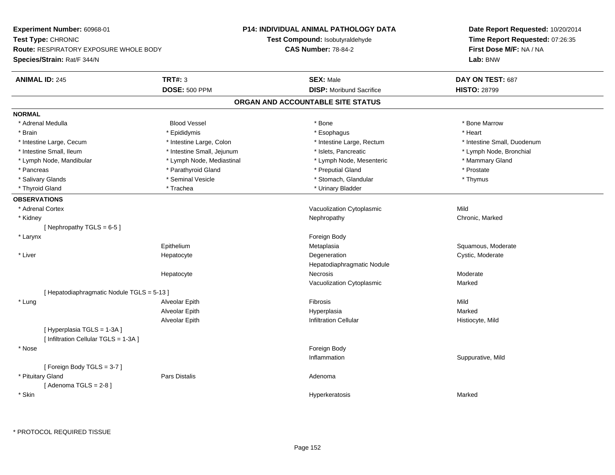**Experiment Number:** 60968-01**Test Type:** CHRONIC **Route:** RESPIRATORY EXPOSURE WHOLE BODY**Species/Strain:** Rat/F 344/N**P14: INDIVIDUAL ANIMAL PATHOLOGY DATATest Compound:** Isobutyraldehyde**CAS Number:** 78-84-2**Date Report Requested:** 10/20/2014**Time Report Requested:** 07:26:35**First Dose M/F:** NA / NA**Lab:** BNW**ANIMAL ID:** 245**TRT#:** 3 **SEX:** Male **DAY ON TEST:** 687 **DOSE:** 500 PPM**DISP:** Moribund Sacrifice **HISTO:** 28799 **ORGAN AND ACCOUNTABLE SITE STATUSNORMAL** \* Adrenal Medulla Blood Vessel \* Bone \* Bone Marrow\* Brain \* \* Esophagus \* \* Esophagus \* \* Esophagus \* \* Esophagus \* \* Esophagus \* Heart \* Heart \* Heart \* Heart \* Intestine Large, Cecum \* Intestine Large, Colon \* Intestine Large, Rectum \* Intestine Small, Duodenum \* Intestine Small, Ileum \* Intestine Small, Jejunum \* Islets, Pancreatic \* Lymph Node, Bronchial \* Lymph Node, Mandibular \* Lymph Node, Mediastinal \* Lymph Node, Mesenteric \* Mammary Gland\* Pancreas \* Parathyroid Gland \* Parathyroid Gland \* Preputial Gland \* Preputial Gland \* Prostate \* Thymus \* Salivary Glands \* Seminal Vesicle \* Stomach, Glandular \* Thymus\* Thyroid Gland \* Trachea \* Trachea \* Trachea \* Urinary Bladder **OBSERVATIONS** \* Adrenal CortexVacuolization Cytoplasmic Mild Chronic, Marked \* Kidneyy the controller of the controller of the controller of the Nephropathy Chronic, Marked Schronic, Marked Schronic, Marked Schronic, Marked Schronic, Marked Schronic, Marked Schronic, Marked Schronic, Marked Schronic, Marke [ Nephropathy  $TGLS = 6-5$  ] \* Larynx**x** and the contract of the contract of the contract of the contract of the contract of the contract of the contract of the contract of the contract of the contract of the contract of the contract of the contract of the co Epithelium Metaplasia Squamous, Moderate \* Liver HepatocyteDegeneration Cystic, Moderate Hepatodiaphragmatic NoduleHepatocyte Necrosis Moderate Vacuolization Cytoplasmic Marked[ Hepatodiaphragmatic Nodule TGLS = 5-13 ] \* Lung Alveolar Epith Fibrosis Mild Alveolar Epithh Marked Marked (1999) and Hyperplasia Alveolar EpithInfiltration Cellular **Histiocyte**, Mild [ Hyperplasia TGLS = 1-3A ][ Infiltration Cellular TGLS = 1-3A ] \* Nosee and the state of the state of the state of the state of the state of the state of the state of the state of the state of the state of the state of the state of the state of the state of the state of the state of the stat Inflammation Suppurative, Mild [ Foreign Body TGLS = 3-7 ] \* Pituitary Glandd and the contract of Pars Distalis and the contract of Adenoma and Adenoma and the Adenoma and the Adenoma and  $\lambda$  $[$  Adenoma TGLS = 2-8  $]$  \* SkinHyperkeratosis Marked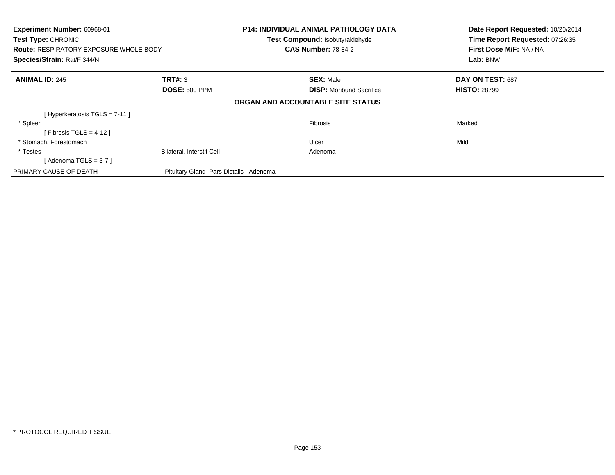| Experiment Number: 60968-01<br><b>Test Type: CHRONIC</b><br><b>Route: RESPIRATORY EXPOSURE WHOLE BODY</b><br>Species/Strain: Rat/F 344/N |                                         | <b>P14: INDIVIDUAL ANIMAL PATHOLOGY DATA</b><br>Test Compound: Isobutyraldehyde<br><b>CAS Number: 78-84-2</b> | Date Report Requested: 10/20/2014<br>Time Report Requested: 07:26:35<br>First Dose M/F: NA / NA<br>Lab: BNW |
|------------------------------------------------------------------------------------------------------------------------------------------|-----------------------------------------|---------------------------------------------------------------------------------------------------------------|-------------------------------------------------------------------------------------------------------------|
| <b>ANIMAL ID: 245</b>                                                                                                                    | <b>TRT#: 3</b>                          | <b>SEX: Male</b>                                                                                              | DAY ON TEST: 687                                                                                            |
|                                                                                                                                          | <b>DOSE: 500 PPM</b>                    | <b>DISP:</b> Moribund Sacrifice                                                                               | <b>HISTO: 28799</b>                                                                                         |
|                                                                                                                                          |                                         | ORGAN AND ACCOUNTABLE SITE STATUS                                                                             |                                                                                                             |
| [Hyperkeratosis TGLS = 7-11]                                                                                                             |                                         |                                                                                                               |                                                                                                             |
| * Spleen                                                                                                                                 |                                         | <b>Fibrosis</b>                                                                                               | Marked                                                                                                      |
| [Fibrosis TGLS = 4-12]                                                                                                                   |                                         |                                                                                                               |                                                                                                             |
| * Stomach, Forestomach                                                                                                                   |                                         | Ulcer                                                                                                         | Mild                                                                                                        |
| * Testes                                                                                                                                 | <b>Bilateral, Interstit Cell</b>        | Adenoma                                                                                                       |                                                                                                             |
| [ Adenoma TGLS = 3-7 ]                                                                                                                   |                                         |                                                                                                               |                                                                                                             |
| PRIMARY CAUSE OF DEATH                                                                                                                   | - Pituitary Gland Pars Distalis Adenoma |                                                                                                               |                                                                                                             |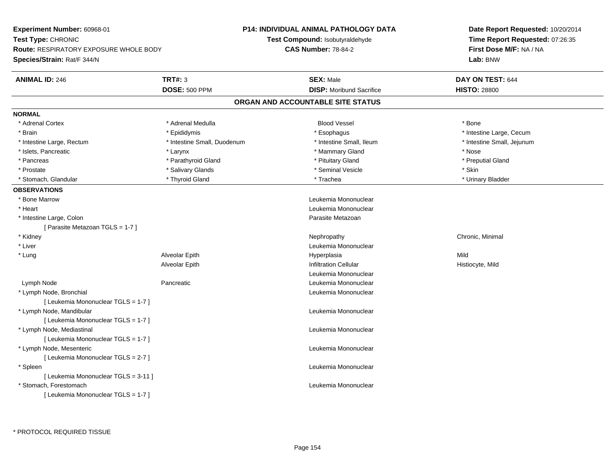**Experiment Number:** 60968-01**Test Type:** CHRONIC **Route:** RESPIRATORY EXPOSURE WHOLE BODY**Species/Strain:** Rat/F 344/N**P14: INDIVIDUAL ANIMAL PATHOLOGY DATATest Compound:** Isobutyraldehyde**CAS Number:** 78-84-2**Date Report Requested:** 10/20/2014**Time Report Requested:** 07:26:35**First Dose M/F:** NA / NA**Lab:** BNW**ANIMAL ID:** 246**6 DAY ON TEST:** 644 **DOSE:** 500 PPM**DISP:** Moribund Sacrifice **HISTO:** 28800 **ORGAN AND ACCOUNTABLE SITE STATUSNORMAL**\* Adrenal Cortex \* Adrenal Medulla \* \* Book \* Blood Vessel \* Book \* Bone \* Bone \* Bone \* Bone \* Bone \* Bone \* Bone \* Bone \* Bone \* Brain \* Esophagus \* Esophagus \* Esophagus \* Esophagus \* Esophagus \* Intestine Large, Cecum \* \* Esophagus \* Intestine Large, Cecum \* Intestine Large, Rectum \* Thestine Small, Duodenum \* \* Intestine Small, Ileum \* \* Intestine Small, Jejunum \* Intestine Small, Jejunum \* Islets, Pancreatic \* Larynx \* Mammary Gland \* Nose \* Preputial Gland \* Pancreas \* \* Parathyroid Gland \* \* Parathyroid Gland \* \* Pituitary Gland \* \* Preputial Gland \* \* Preputial Gland \* Prostate \* \* Salivary Glands \* \* Salivary Glands \* \* Seminal Vesicle \* \* \* Seminal Yestrich \* \* Skin \* \* Skin \* Urinary Bladder \* Stomach, Glandular \* \* Thyroid Gland \* \* Thyroid Gland \* \* Trachea \* \* Trachea \* \* Urinary Bladder \* \* Urinary Bladder \* \* Urinary Bladder \* \* Urinary Bladder \* \* Urinary Bladder \* \* Urinary Bladder \* \* Urinary Bladder \* **OBSERVATIONS** \* Bone Marrow Leukemia Mononuclear \* Heart Leukemia Mononuclear \* Intestine Large, Colon Parasite Metazoan [ Parasite Metazoan TGLS = 1-7 ] \* Kidneyy the controller of the controller of the controller of the controller of the controller of the controller of the controller of the controller of the controller of the controller of the controller of the controller of the \* Liver Leukemia Mononuclear \* Lung Alveolar Epith Hyperplasia Mild Alveolar EpithInfiltration Cellular **Histiocyte**, Mild Leukemia Mononuclear Lymph Node Pancreatic Leukemia Mononuclear \* Lymph Node, Bronchial Leukemia Mononuclear[ Leukemia Mononuclear TGLS = 1-7 ] \* Lymph Node, Mandibular Leukemia Mononuclear [ Leukemia Mononuclear TGLS = 1-7 ] \* Lymph Node, Mediastinal Leukemia Mononuclear[ Leukemia Mononuclear TGLS = 1-7 ] \* Lymph Node, Mesenteric Leukemia Mononuclear [ Leukemia Mononuclear TGLS = 2-7 ] \* Spleen Leukemia Mononuclear [ Leukemia Mononuclear TGLS = 3-11 ] \* Stomach, Forestomach Leukemia Mononuclear [ Leukemia Mononuclear TGLS = 1-7 ]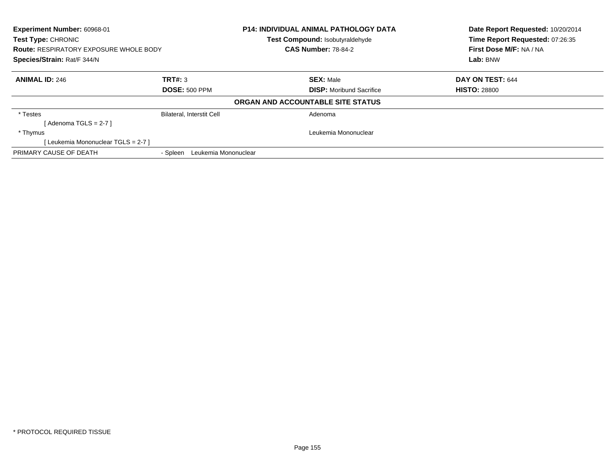| <b>Experiment Number: 60968-01</b><br><b>Test Type: CHRONIC</b> |                                  | P14: INDIVIDUAL ANIMAL PATHOLOGY DATA<br>Test Compound: Isobutyraldehyde | Date Report Requested: 10/20/2014<br>Time Report Requested: 07:26:35 |
|-----------------------------------------------------------------|----------------------------------|--------------------------------------------------------------------------|----------------------------------------------------------------------|
| <b>Route: RESPIRATORY EXPOSURE WHOLE BODY</b>                   |                                  | <b>CAS Number: 78-84-2</b>                                               | First Dose M/F: NA / NA                                              |
| Species/Strain: Rat/F 344/N                                     |                                  |                                                                          | Lab: BNW                                                             |
| <b>ANIMAL ID: 246</b>                                           | TRT#: 3                          | <b>SEX: Male</b>                                                         | DAY ON TEST: 644                                                     |
|                                                                 | <b>DOSE: 500 PPM</b>             | <b>DISP:</b> Moribund Sacrifice                                          | <b>HISTO: 28800</b>                                                  |
|                                                                 |                                  | ORGAN AND ACCOUNTABLE SITE STATUS                                        |                                                                      |
| * Testes                                                        | <b>Bilateral, Interstit Cell</b> | Adenoma                                                                  |                                                                      |
| [ Adenoma TGLS = 2-7 ]                                          |                                  |                                                                          |                                                                      |
| * Thymus                                                        |                                  | Leukemia Mononuclear                                                     |                                                                      |
| [Leukemia Mononuclear TGLS = 2-7]                               |                                  |                                                                          |                                                                      |
| PRIMARY CAUSE OF DEATH                                          | Leukemia Mononuclear<br>- Spleen |                                                                          |                                                                      |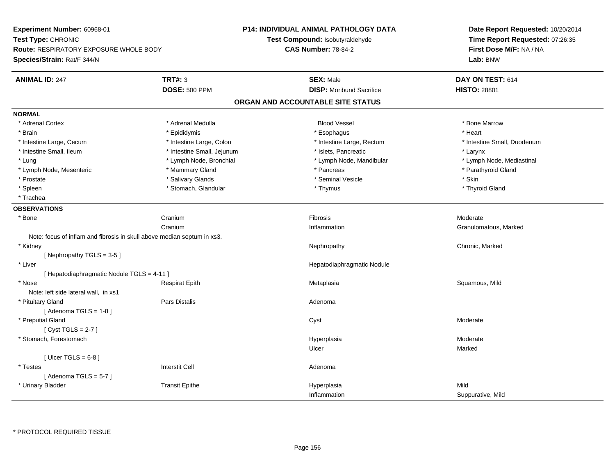**Experiment Number:** 60968-01**Test Type:** CHRONIC **Route:** RESPIRATORY EXPOSURE WHOLE BODY**Species/Strain:** Rat/F 344/N**P14: INDIVIDUAL ANIMAL PATHOLOGY DATATest Compound:** Isobutyraldehyde**CAS Number:** 78-84-2**Date Report Requested:** 10/20/2014**Time Report Requested:** 07:26:35**First Dose M/F:** NA / NA**Lab:** BNW**ANIMAL ID:** 247**TRT#:** 3 **SEX:** Male **DAY ON TEST:** 614 **DOSE:** 500 PPM**DISP:** Moribund Sacrifice **HISTO:** 28801 **ORGAN AND ACCOUNTABLE SITE STATUSNORMAL**\* Adrenal Cortex \* Adrenal Medulla **\*** Adrenal Medulla **blood Vessel \* Bone Marrow** \* Bone Marrow \* Brain \* \* Esophagus \* \* Esophagus \* \* Esophagus \* \* Esophagus \* \* Esophagus \* Heart \* Heart \* Heart \* Heart \* Intestine Large, Cecum \* Intestine Large, Colon \* Intestine Large, Rectum \* Intestine Small, Duodenum \* Intestine Small, Ileum \* Intestine Small, Jejunum \* Islets, Pancreatic \* Larynx\* Lymph Node, Mediastinal \* Lung \* Lymph Node, Bronchial \* Lymph Node, Aandibular \* Lymph Node, Mandibular \* Lymph Node, Mesenteric \* \* Mammary Gland \* Mammary Gland \* Pancreas \* Pancreas \* \* Pancreas \* Parathyroid Gland \* Prostate \* \* Salivary Glands \* \* Salivary Glands \* \* Seminal Vesicle \* \* \* Seminal Yestrich \* \* Skin \* \* Skin \* Thyroid Gland \* Spleen \* Stomach, Glandular \* Thymus \* Thymus \* Thymus \* Thymus \* Thymus \* Thymus \* Thymus \* Thymus \* Thymus \* Thymus \* Thymus \* Thymus \* Thymus \* Thymus \* Thymus \* Thymus \* Thymus \* Thymus \* Thymus \* Thymus \* Thymus \* T \* Trachea**OBSERVATIONS** \* Bonee Cranium m and the set of the set of the set of the set of the set of the set of the set of the set of the set of the s<br>Alternative set of the set of the set of the set of the set of the set of the set of the set of the set of the CraniumInflammation **Granulomatous**, Marked Note: focus of inflam and fibrosis in skull above median septum in xs3. \* Kidneyy the controller of the controller of the controller of the Nephropathy Chronic, Marked Schronic, Marked Schronic, Marked Schronic, Marked Schronic, Marked Schronic, Marked Schronic, Marked Schronic, Marked Schronic, Marke [ Nephropathy TGLS = 3-5 ] \* Liver Hepatodiaphragmatic Nodule[ Hepatodiaphragmatic Nodule TGLS = 4-11 ] \* Nose Respirat Epith Metaplasia Squamous, Mild Note: left side lateral wall, in xs1 \* Pituitary Glandd and the contract of Pars Distalis and the contract of Adenoma and Adenoma and the Adenoma and the Adenoma and  $\lambda$  $[$  Adenoma TGLS = 1-8  $]$  \* Preputial Glandd and the control of the control of the control of the control of the control of the control of the control of the control of the control of the control of the control of the control of the control of the control of the co [ Cyst TGLS = 2-7 ] \* Stomach, Forestomachh ann an chaidh ann an t-ainmeile ann an t-ainmeile ann an t-ainmeile an t-ainmeile an t-ainmeile an t-ainmeil Ulcerr **Marked**  $[$  Ulcer TGLS = 6-8  $]$  \* Testes Interstit Cell Adenoma $[$  Adenoma TGLS = 5-7  $]$  \* Urinary Bladder Transit Epithe Hyperplasia Mild InflammationSuppurative, Mild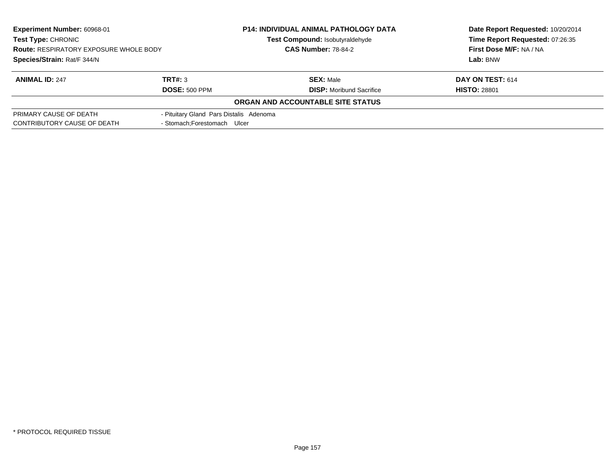| <b>Experiment Number: 60968-01</b>            |                                         | <b>P14: INDIVIDUAL ANIMAL PATHOLOGY DATA</b> | Date Report Requested: 10/20/2014<br>Time Report Requested: 07:26:35 |
|-----------------------------------------------|-----------------------------------------|----------------------------------------------|----------------------------------------------------------------------|
| <b>Test Type: CHRONIC</b>                     |                                         | Test Compound: Isobutyraldehyde              |                                                                      |
| <b>Route: RESPIRATORY EXPOSURE WHOLE BODY</b> |                                         | <b>CAS Number: 78-84-2</b>                   | First Dose M/F: NA / NA                                              |
| Species/Strain: Rat/F 344/N                   |                                         |                                              | Lab: BNW                                                             |
| <b>ANIMAL ID: 247</b>                         | TRT#: 3                                 | <b>SEX: Male</b>                             | DAY ON TEST: 614                                                     |
|                                               | <b>DOSE: 500 PPM</b>                    | <b>DISP:</b> Moribund Sacrifice              | <b>HISTO: 28801</b>                                                  |
|                                               |                                         | ORGAN AND ACCOUNTABLE SITE STATUS            |                                                                      |
| PRIMARY CAUSE OF DEATH                        | - Pituitary Gland Pars Distalis Adenoma |                                              |                                                                      |
| CONTRIBUTORY CAUSE OF DEATH                   | - Stomach: Forestomach Ulcer            |                                              |                                                                      |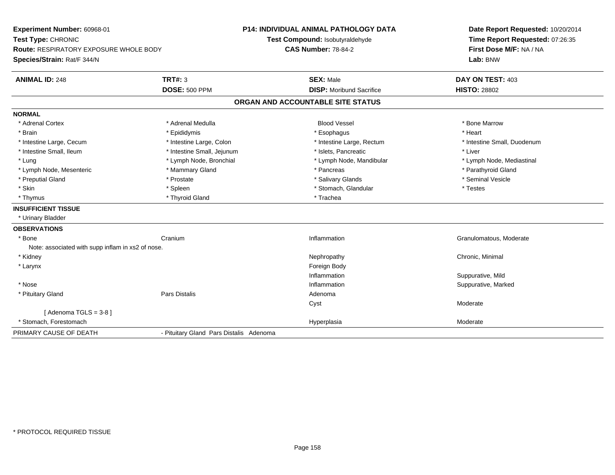**Experiment Number:** 60968-01**Test Type:** CHRONIC **Route:** RESPIRATORY EXPOSURE WHOLE BODY**Species/Strain:** Rat/F 344/N**P14: INDIVIDUAL ANIMAL PATHOLOGY DATATest Compound:** Isobutyraldehyde**CAS Number:** 78-84-2**Date Report Requested:** 10/20/2014**Time Report Requested:** 07:26:35**First Dose M/F:** NA / NA**Lab:** BNW**ANIMAL ID:** 248**TRT#:** 3 **SEX:** Male **DAY ON TEST:** 403 **DOSE:** 500 PPM**DISP:** Moribund Sacrifice **HISTO:** 28802 **ORGAN AND ACCOUNTABLE SITE STATUSNORMAL**\* Adrenal Cortex \* Adrenal Medulla **\*** Adrenal Medulla **blood Vessel \* Bone Marrow** \* Bone Marrow \* Brain \* \* Esophagus \* \* Esophagus \* \* Esophagus \* \* Esophagus \* \* Esophagus \* Heart \* Heart \* Heart \* Heart \* Intestine Large, Cecum \* Intestine Large, Colon \* Intestine Large, Rectum \* Intestine Small, Duodenum \* Intestine Small, Ileum \* Intestine Small, Jejunum \* Islets, Pancreatic \* Liver\* Lung \* Lymph Node, Bronchial \* Lymph Node, and ibular \* Lymph Node, Mandibular \* Lymph Node, Mediastinal \* Lymph Node, Mediastinal \* Lymph Node, Mesenteric \* \* Mammary Gland \* Mammary Gland \* Pancreas \* Pancreas \* \* Pancreas \* \* Parathyroid Gland \* Preputial Gland \* \* Annual vesicle \* \* Prostate \* \* Salivary Glands \* \* Salivary Glands \* \* Seminal Vesicle \* \* Skin \* Spleen \* Spleen \* Spleen \* Stomach, Glandular \* Testes \* Testes \* Testes \* Thymus \* Thyroid Gland \* Thyroid Gland \* Thymus \* Trachea **INSUFFICIENT TISSUE** \* Urinary Bladder**OBSERVATIONS** \* Bonee Cranium Inflammation Granulomatous, Moderate Note: associated with supp inflam in xs2 of nose. \* Kidneyy the controller of the controller of the controller of the controller of the controller of the controller of the controller of the controller of the controller of the controller of the controller of the controller of the \* Larynx**x** and the contract of the contract of the contract of the contract of the contract of the contract of the contract of the contract of the contract of the contract of the contract of the contract of the contract of the co InflammationInflammation **Example 2018** Suppurative, Mild<br>
Inflammation **Example 2018** Suppurative, Marked \* Nosee the contraction of the contraction of the contraction of the contraction of the contraction of the contraction of  $\mathbf S$ uppurative, Marked \* Pituitary Glandd and the set of Pars Distalis and the Second Adenomal Adenomal Second Second Pars Distallis Cystt **the contract of the contract of the contract of the contract of the contract of the contract of the contract of the contract of the contract of the contract of the contract of the contract of the contract of the contrac** [ Adenoma TGLS = 3-8 ] \* Stomach, Forestomachh ann an t-ainm an t-ainm ann an t-ainm an t-ainm an t-ainm an t-ainm an t-ainm an t-ainm an t-ainm an t-ainm an t-ainm an t-ainm an t-ainm ann an t-ainm an t-ainm an t-ainm an t-ainm an t-ainm an t-ainm an t-ainm an t-ain PRIMARY CAUSE OF DEATH- Pituitary Gland Pars Distalis Adenoma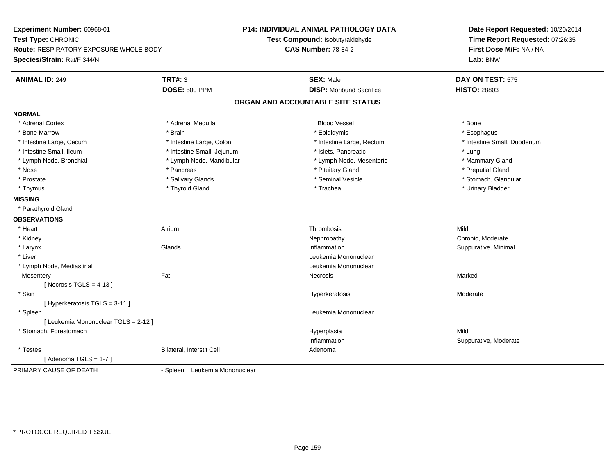**Experiment Number:** 60968-01**Test Type:** CHRONIC **Route:** RESPIRATORY EXPOSURE WHOLE BODY**Species/Strain:** Rat/F 344/N**P14: INDIVIDUAL ANIMAL PATHOLOGY DATATest Compound:** Isobutyraldehyde**CAS Number:** 78-84-2**Date Report Requested:** 10/20/2014**Time Report Requested:** 07:26:35**First Dose M/F:** NA / NA**Lab:** BNW**ANIMAL ID:** 249**SEX:** Male **DAY ON TEST:** 575 **DOSE:** 500 PPM**DISP:** Moribund Sacrifice **HISTO:** 28803 **ORGAN AND ACCOUNTABLE SITE STATUSNORMAL**\* Adrenal Cortex \* Adrenal Cortex \* Adrenal Medulla Blood Vessel \* Bone\* Esophagus \* Bone Marrow \* Brain \* Epididymis \* Esophagus \* Intestine Small, Duodenum \* Intestine Large, Cecum \* Intestine Large, Colon \* Intestine Sarge, Rectum \* Intestine Large, Rectum \* Intestine Small, Ileum \* https://www.fatheratic \* Lung \* Intestine Small, Jejunum \* Islets, Pancreatic \* Lung \* Lung \* Mammary Gland \* Lymph Node, Bronchial \* Lymph Node, Mandibular \* Lymph Node, Mesenteric \* Lymph Node, Mesenteric \* Preputial Gland \* Nose \* Pancreas \* Pituitary Gland \* Preputial Gland \* Stomach. Glandular \* Prostate \* \* Salivary Glands \* Salivary Glands \* \* Seminal Vesicle \* \* Stomach, Glandular \* Stomach, Glandular \* Stomach, Glandular \* Stomach, Glandular \* Stomach, Glandular \* Stomach, Glandular \* Stomach, Glandular \* St \* Thymus \* Thyroid Gland \* Trachea \* Urinary Bladder \* **MISSING** \* Parathyroid Gland**OBSERVATIONS** \* Heartt **the contract of the contract of the contract of the contract of the contract of the contract of the contract of the contract of the contract of the contract of the contract of the contract of the contract of the contrac**  Thrombosis Mild \* Kidneyy the chronic, Moderate and September 2011 of the Chronic Moderate and September 2012 of the Chronic, Moderate n Suppurative, Minimal \* Larynxx and the set of the Glands of the Glands of the set of the set of the set of the set of the set of the set of the set of the set of the set of the set of the set of the set of the set of the set of the set of the set of t \* Liver Leukemia Mononuclear \* Lymph Node, Mediastinal Leukemia Mononuclear**Mesentery** y the controller of the state of the controller of the Marked State of the Marked State of the Marked State of  $[$  Necrosis TGLS = 4-13  $]$  \* Skinn and the state of the state of the state of the state of the Hyperkeratosis and the moderate of the Moderate [ Hyperkeratosis TGLS = 3-11 ] \* Spleenn and the control of the control of the control of the control of the control of the control of the control of the control of the control of the control of the control of the control of the control of the control of the co [ Leukemia Mononuclear TGLS = 2-12 ] \* Stomach, Forestomachh ann an t-ainm an t-ainm an t-ainm an t-ainm ann an t-ainm an t-ainm an t-ainm an t-ainm an t-ainm an t-ainm a<br>Iomraidhean Inflammation Suppurative, Moderate \* TestesBilateral, Interstit Cell **Adenoma** Adenoma  $[$  Adenoma TGLS = 1-7  $]$ PRIMARY CAUSE OF DEATH- Spleen Leukemia Mononuclear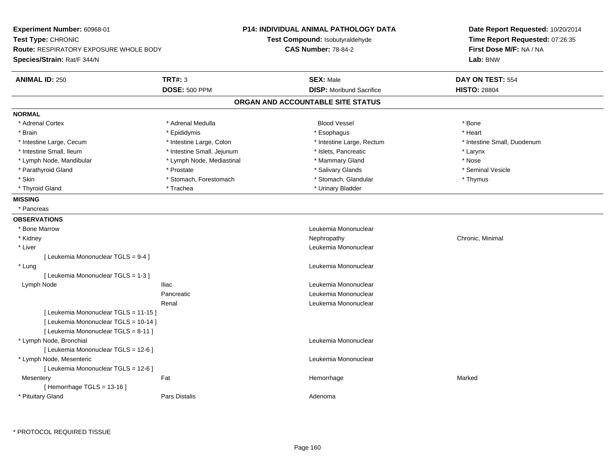| Experiment Number: 60968-01            |                            | P14: INDIVIDUAL ANIMAL PATHOLOGY DATA | Date Report Requested: 10/20/2014<br>Time Report Requested: 07:26:35 |  |
|----------------------------------------|----------------------------|---------------------------------------|----------------------------------------------------------------------|--|
| Test Type: CHRONIC                     |                            | Test Compound: Isobutyraldehyde       |                                                                      |  |
| Route: RESPIRATORY EXPOSURE WHOLE BODY |                            | <b>CAS Number: 78-84-2</b>            | First Dose M/F: NA / NA<br>Lab: BNW                                  |  |
| Species/Strain: Rat/F 344/N            |                            |                                       |                                                                      |  |
| <b>ANIMAL ID: 250</b>                  | TRT#: 3                    | <b>SEX: Male</b>                      | DAY ON TEST: 554                                                     |  |
|                                        | <b>DOSE: 500 PPM</b>       | <b>DISP:</b> Moribund Sacrifice       | <b>HISTO: 28804</b>                                                  |  |
|                                        |                            | ORGAN AND ACCOUNTABLE SITE STATUS     |                                                                      |  |
| <b>NORMAL</b>                          |                            |                                       |                                                                      |  |
| * Adrenal Cortex                       | * Adrenal Medulla          | <b>Blood Vessel</b>                   | * Bone                                                               |  |
| * Brain                                | * Epididymis               | * Esophagus                           | * Heart                                                              |  |
| * Intestine Large, Cecum               | * Intestine Large, Colon   | * Intestine Large, Rectum             | * Intestine Small, Duodenum                                          |  |
| * Intestine Small, Ileum               | * Intestine Small, Jejunum | * Islets, Pancreatic                  | * Larynx                                                             |  |
| * Lymph Node, Mandibular               | * Lymph Node, Mediastinal  | * Mammary Gland                       | * Nose                                                               |  |
| * Parathyroid Gland                    | * Prostate                 | * Salivary Glands                     | * Seminal Vesicle                                                    |  |
| $^\star$ Skin                          | * Stomach, Forestomach     | * Stomach, Glandular                  | * Thymus                                                             |  |
| * Thyroid Gland                        | * Trachea                  | * Urinary Bladder                     |                                                                      |  |
| <b>MISSING</b>                         |                            |                                       |                                                                      |  |
| * Pancreas                             |                            |                                       |                                                                      |  |
| <b>OBSERVATIONS</b>                    |                            |                                       |                                                                      |  |
| * Bone Marrow                          |                            | Leukemia Mononuclear                  |                                                                      |  |
| * Kidney                               |                            | Nephropathy                           | Chronic, Minimal                                                     |  |
| * Liver                                |                            | Leukemia Mononuclear                  |                                                                      |  |
| [ Leukemia Mononuclear TGLS = 9-4 ]    |                            |                                       |                                                                      |  |
| * Lung                                 |                            | Leukemia Mononuclear                  |                                                                      |  |
| [ Leukemia Mononuclear TGLS = 1-3 ]    |                            |                                       |                                                                      |  |
| Lymph Node                             | <b>Iliac</b>               | Leukemia Mononuclear                  |                                                                      |  |
|                                        | Pancreatic                 | Leukemia Mononuclear                  |                                                                      |  |
|                                        | Renal                      | Leukemia Mononuclear                  |                                                                      |  |
| [ Leukemia Mononuclear TGLS = 11-15 ]  |                            |                                       |                                                                      |  |
| [ Leukemia Mononuclear TGLS = 10-14 ]  |                            |                                       |                                                                      |  |
| [ Leukemia Mononuclear TGLS = 8-11 ]   |                            |                                       |                                                                      |  |
| * Lymph Node, Bronchial                |                            | Leukemia Mononuclear                  |                                                                      |  |
| [ Leukemia Mononuclear TGLS = 12-6 ]   |                            |                                       |                                                                      |  |
| * Lymph Node, Mesenteric               |                            | Leukemia Mononuclear                  |                                                                      |  |
| [ Leukemia Mononuclear TGLS = 12-6 ]   |                            |                                       |                                                                      |  |
| Mesentery                              | Fat                        | Hemorrhage                            | Marked                                                               |  |
| [Hemorrhage TGLS = $13-16$ ]           |                            |                                       |                                                                      |  |
| * Pituitary Gland                      | <b>Pars Distalis</b>       | Adenoma                               |                                                                      |  |

\* PROTOCOL REQUIRED TISSUE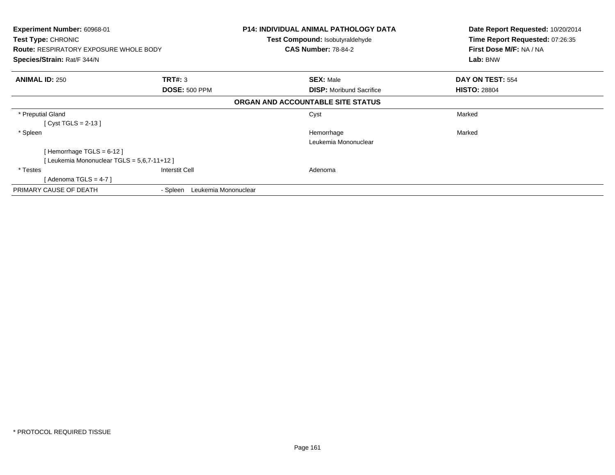| <b>Experiment Number: 60968-01</b><br>Test Type: CHRONIC |                                  | <b>P14: INDIVIDUAL ANIMAL PATHOLOGY DATA</b> | Date Report Requested: 10/20/2014 |
|----------------------------------------------------------|----------------------------------|----------------------------------------------|-----------------------------------|
|                                                          |                                  | <b>Test Compound: Isobutyraldehyde</b>       | Time Report Requested: 07:26:35   |
| <b>Route: RESPIRATORY EXPOSURE WHOLE BODY</b>            |                                  | <b>CAS Number: 78-84-2</b>                   | First Dose M/F: NA / NA           |
| Species/Strain: Rat/F 344/N                              |                                  |                                              | Lab: BNW                          |
| <b>ANIMAL ID: 250</b>                                    | TRT#: 3                          | <b>SEX: Male</b>                             | DAY ON TEST: 554                  |
|                                                          | <b>DOSE: 500 PPM</b>             | <b>DISP:</b> Moribund Sacrifice              | <b>HISTO: 28804</b>               |
|                                                          |                                  | ORGAN AND ACCOUNTABLE SITE STATUS            |                                   |
| * Preputial Gland                                        |                                  | Cyst                                         | Marked                            |
| [ Cyst TGLS = 2-13 ]                                     |                                  |                                              |                                   |
| * Spleen                                                 |                                  | Hemorrhage                                   | Marked                            |
|                                                          |                                  | Leukemia Mononuclear                         |                                   |
| [Hemorrhage TGLS = $6-12$ ]                              |                                  |                                              |                                   |
| [Leukemia Mononuclear TGLS = 5,6,7-11+12]                |                                  |                                              |                                   |
| * Testes                                                 | Interstit Cell                   | Adenoma                                      |                                   |
| [ Adenoma TGLS = 4-7 ]                                   |                                  |                                              |                                   |
| PRIMARY CAUSE OF DEATH                                   | Leukemia Mononuclear<br>- Spleen |                                              |                                   |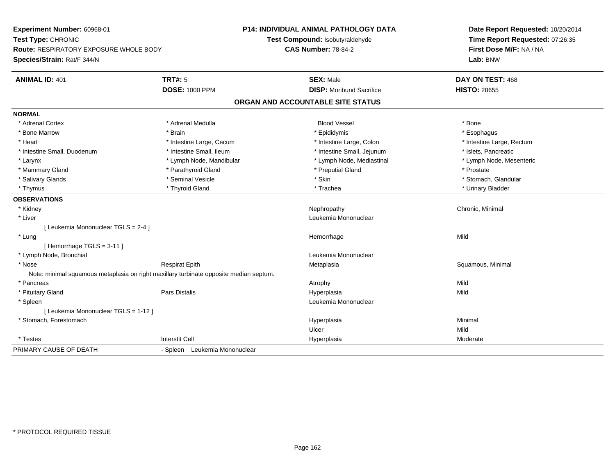**Experiment Number:** 60968-01**Test Type:** CHRONIC **Route:** RESPIRATORY EXPOSURE WHOLE BODY**Species/Strain:** Rat/F 344/N**P14: INDIVIDUAL ANIMAL PATHOLOGY DATATest Compound:** Isobutyraldehyde**CAS Number:** 78-84-2**Date Report Requested:** 10/20/2014**Time Report Requested:** 07:26:35**First Dose M/F:** NA / NA**Lab:** BNW**ANIMAL ID:** 401**TRT#:** 5 **SEX:** Male **DAY ON TEST:** 468 **DOSE:** 1000 PPM**DISP:** Moribund Sacrifice **HISTO:** 28655 **ORGAN AND ACCOUNTABLE SITE STATUSNORMAL**\* Adrenal Cortex \* Adrenal Cortex \* Adrenal Medulla Blood Vessel \* Bone\* Esophagus \* Bone Marrow \* Brain \* Epididymis \* Esophagus \* Intestine Large, Rectum \* Heart \* Intestine Large, Cecum \* Intestine Large, Cecum \* Intestine Large, Colon \* Intestine Small, Duodenum \* Intestine Small, Ileum \* Intestine Small, Intestine Small, Jejunum \* Islets, Pancreatic \* Lymph Node, Mesenteric \* Larynx **\*** Lymph Node, Mandibular \* Lymph Node, Mediastinal \* Lymph Node, Mediastinal \* Mammary Gland \* Parathyroid Gland \* Preputial Gland \* Prostate\* Stomach. Glandular \* Salivary Glands \* \* Stomach, Glandular \* Seminal Vesicle \* \* Stomach, Stomach, Stomach, Glandular \* Stomach, Glandular \* Stomach, Glandular \* Stomach, Glandular \* Stomach, Glandular \* Stomach, Glandular \* Stomach, Glandu \* Thymus \* Thyroid Gland \* Trachea \* Urinary Bladder \* **OBSERVATIONS** \* Kidneyy the controller of the controller of the controller of the controller of the controller of the controller of the controller of the controller of the controller of the controller of the controller of the controller of the \* Liver Leukemia Mononuclear [ Leukemia Mononuclear TGLS = 2-4 ] \* Lungg and the state of the state of the state of the state of the Hemorrhage state of the Mild of the Mild of the S [ Hemorrhage TGLS = 3-11 ] \* Lymph Node, Bronchial Leukemia Mononuclear \* Nose Respirat Epith Metaplasia Squamous, Minimal Note: minimal squamous metaplasia on right maxillary turbinate opposite median septum. \* Pancreass the control of the control of the control of the control of the control of the control of the control of the control of the control of the control of the control of the control of the control of the control of the contro Mild \* Pituitary Gland Pars Distalis Hyperplasia Mild \* Spleen Leukemia Mononuclear [ Leukemia Mononuclear TGLS = 1-12 ] \* Stomach, Forestomachh anns an t-aisimeil anns an t-aisimeil anns an t-aisimeil an t-aisimeil an t-aisimeil an t-aisimeil an t-aisi Ulcerr Mild Moderate \* Testess Interstit Cell Hyperplasia a Moderate PRIMARY CAUSE OF DEATH- Spleen Leukemia Mononuclear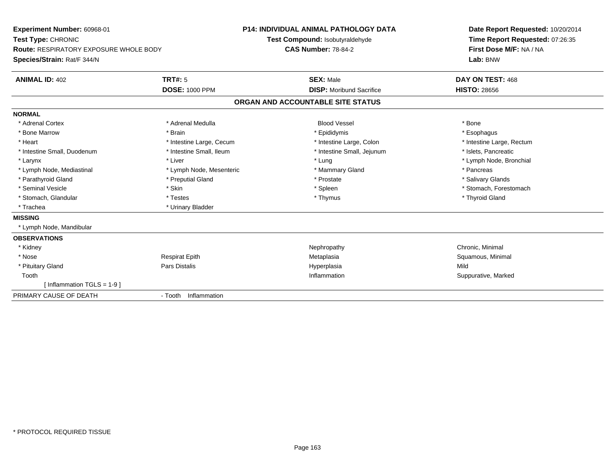| Experiment Number: 60968-01                   |                          | <b>P14: INDIVIDUAL ANIMAL PATHOLOGY DATA</b> | Date Report Requested: 10/20/2014 |  |
|-----------------------------------------------|--------------------------|----------------------------------------------|-----------------------------------|--|
| Test Type: CHRONIC                            |                          | Test Compound: Isobutyraldehyde              | Time Report Requested: 07:26:35   |  |
| <b>Route: RESPIRATORY EXPOSURE WHOLE BODY</b> |                          | <b>CAS Number: 78-84-2</b>                   | First Dose M/F: NA / NA           |  |
| Species/Strain: Rat/F 344/N                   |                          |                                              | Lab: BNW                          |  |
| <b>ANIMAL ID: 402</b>                         | TRT#: 5                  | <b>SEX: Male</b>                             | DAY ON TEST: 468                  |  |
|                                               | <b>DOSE: 1000 PPM</b>    | <b>DISP:</b> Moribund Sacrifice              | <b>HISTO: 28656</b>               |  |
|                                               |                          | ORGAN AND ACCOUNTABLE SITE STATUS            |                                   |  |
| <b>NORMAL</b>                                 |                          |                                              |                                   |  |
| * Adrenal Cortex                              | * Adrenal Medulla        | <b>Blood Vessel</b>                          | * Bone                            |  |
| * Bone Marrow                                 | * Brain                  | * Epididymis                                 | * Esophagus                       |  |
| * Heart                                       | * Intestine Large, Cecum | * Intestine Large, Colon                     | * Intestine Large, Rectum         |  |
| * Intestine Small, Duodenum                   | * Intestine Small, Ileum | * Intestine Small, Jejunum                   | * Islets, Pancreatic              |  |
| * Larynx                                      | * Liver                  | * Lung                                       | * Lymph Node, Bronchial           |  |
| * Lymph Node, Mediastinal                     | * Lymph Node, Mesenteric | * Mammary Gland                              | * Pancreas                        |  |
| * Parathyroid Gland                           | * Preputial Gland        | * Prostate                                   | * Salivary Glands                 |  |
| * Seminal Vesicle                             | * Skin                   | * Spleen                                     | * Stomach, Forestomach            |  |
| * Stomach, Glandular                          | * Testes                 | * Thymus                                     | * Thyroid Gland                   |  |
| * Trachea                                     | * Urinary Bladder        |                                              |                                   |  |
| <b>MISSING</b>                                |                          |                                              |                                   |  |
| * Lymph Node, Mandibular                      |                          |                                              |                                   |  |
| <b>OBSERVATIONS</b>                           |                          |                                              |                                   |  |
| * Kidney                                      |                          | Nephropathy                                  | Chronic, Minimal                  |  |
| * Nose                                        | <b>Respirat Epith</b>    | Metaplasia                                   | Squamous, Minimal                 |  |
| * Pituitary Gland                             | Pars Distalis            | Hyperplasia                                  | Mild                              |  |
| Tooth                                         |                          | Inflammation                                 | Suppurative, Marked               |  |
| [Inflammation TGLS = $1-9$ ]                  |                          |                                              |                                   |  |
| PRIMARY CAUSE OF DEATH                        | - Tooth Inflammation     |                                              |                                   |  |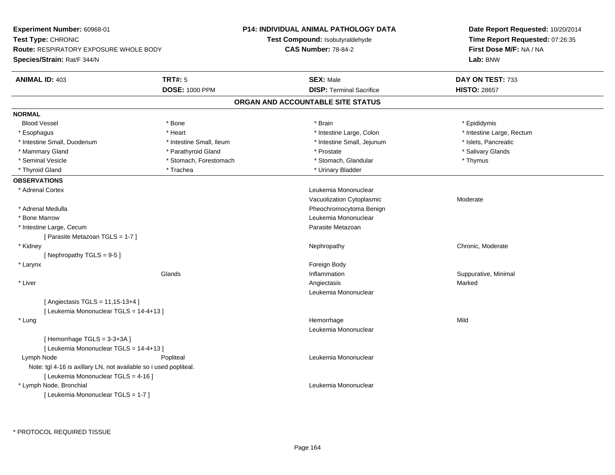| Experiment Number: 60968-01<br><b>Test Type: CHRONIC</b><br><b>Route: RESPIRATORY EXPOSURE WHOLE BODY</b> |                          | P14: INDIVIDUAL ANIMAL PATHOLOGY DATA  | Date Report Requested: 10/20/2014<br>Time Report Requested: 07:26:35<br>First Dose M/F: NA / NA |  |
|-----------------------------------------------------------------------------------------------------------|--------------------------|----------------------------------------|-------------------------------------------------------------------------------------------------|--|
|                                                                                                           |                          | <b>Test Compound: Isobutyraldehyde</b> |                                                                                                 |  |
|                                                                                                           |                          | <b>CAS Number: 78-84-2</b>             |                                                                                                 |  |
| Species/Strain: Rat/F 344/N                                                                               |                          |                                        | Lab: BNW                                                                                        |  |
| <b>ANIMAL ID: 403</b>                                                                                     | <b>TRT#: 5</b>           | <b>SEX: Male</b>                       | DAY ON TEST: 733                                                                                |  |
|                                                                                                           | <b>DOSE: 1000 PPM</b>    | <b>DISP: Terminal Sacrifice</b>        | <b>HISTO: 28657</b>                                                                             |  |
|                                                                                                           |                          | ORGAN AND ACCOUNTABLE SITE STATUS      |                                                                                                 |  |
| <b>NORMAL</b>                                                                                             |                          |                                        |                                                                                                 |  |
| <b>Blood Vessel</b>                                                                                       | * Bone                   | * Brain                                | * Epididymis                                                                                    |  |
| * Esophagus                                                                                               | * Heart                  | * Intestine Large, Colon               | * Intestine Large, Rectum                                                                       |  |
| * Intestine Small, Duodenum                                                                               | * Intestine Small, Ileum | * Intestine Small, Jejunum             | * Islets, Pancreatic                                                                            |  |
| * Mammary Gland                                                                                           | * Parathyroid Gland      | * Prostate                             | * Salivary Glands                                                                               |  |
| * Seminal Vesicle                                                                                         | * Stomach, Forestomach   | * Stomach, Glandular                   | * Thymus                                                                                        |  |
| * Thyroid Gland                                                                                           | * Trachea                | * Urinary Bladder                      |                                                                                                 |  |
| <b>OBSERVATIONS</b>                                                                                       |                          |                                        |                                                                                                 |  |
| * Adrenal Cortex                                                                                          |                          | Leukemia Mononuclear                   |                                                                                                 |  |
|                                                                                                           |                          | Vacuolization Cytoplasmic              | Moderate                                                                                        |  |
| * Adrenal Medulla                                                                                         |                          | Pheochromocytoma Benign                |                                                                                                 |  |
| * Bone Marrow                                                                                             |                          | Leukemia Mononuclear                   |                                                                                                 |  |
| * Intestine Large, Cecum                                                                                  |                          | Parasite Metazoan                      |                                                                                                 |  |
| [ Parasite Metazoan TGLS = 1-7 ]                                                                          |                          |                                        |                                                                                                 |  |
| * Kidney                                                                                                  |                          | Nephropathy                            | Chronic, Moderate                                                                               |  |
| [Nephropathy TGLS = 9-5]                                                                                  |                          |                                        |                                                                                                 |  |
| * Larynx                                                                                                  |                          | Foreign Body                           |                                                                                                 |  |
|                                                                                                           | Glands                   | Inflammation                           | Suppurative, Minimal                                                                            |  |
| * Liver                                                                                                   |                          | Angiectasis                            | Marked                                                                                          |  |
|                                                                                                           |                          | Leukemia Mononuclear                   |                                                                                                 |  |
| [ Angiectasis TGLS = $11,15-13+4$ ]                                                                       |                          |                                        |                                                                                                 |  |
| [ Leukemia Mononuclear TGLS = 14-4+13 ]                                                                   |                          |                                        |                                                                                                 |  |
| * Lung                                                                                                    |                          | Hemorrhage                             | Mild                                                                                            |  |
|                                                                                                           |                          | Leukemia Mononuclear                   |                                                                                                 |  |
| [Hemorrhage TGLS = 3-3+3A]                                                                                |                          |                                        |                                                                                                 |  |
| [ Leukemia Mononuclear TGLS = 14-4+13 ]                                                                   |                          |                                        |                                                                                                 |  |
| Lymph Node                                                                                                | Popliteal                | Leukemia Mononuclear                   |                                                                                                 |  |
| Note: tgl 4-16 is axillary LN, not available so i used popliteal.                                         |                          |                                        |                                                                                                 |  |
| [ Leukemia Mononuclear TGLS = 4-16 ]                                                                      |                          |                                        |                                                                                                 |  |
| * Lymph Node, Bronchial                                                                                   |                          | Leukemia Mononuclear                   |                                                                                                 |  |
| [ Leukemia Mononuclear TGLS = 1-7 ]                                                                       |                          |                                        |                                                                                                 |  |
|                                                                                                           |                          |                                        |                                                                                                 |  |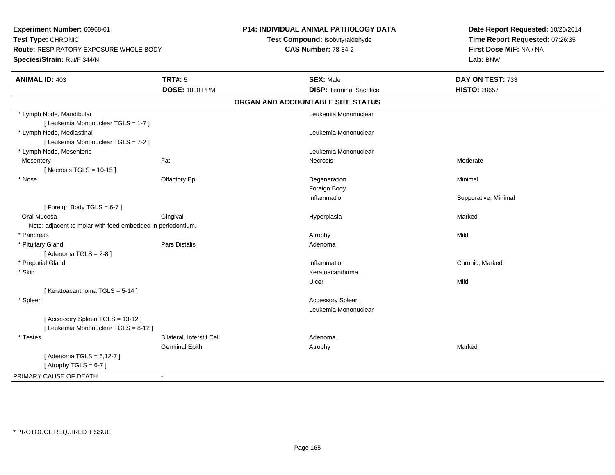**Experiment Number:** 60968-01**Test Type:** CHRONIC **Route:** RESPIRATORY EXPOSURE WHOLE BODY**Species/Strain:** Rat/F 344/N**P14: INDIVIDUAL ANIMAL PATHOLOGY DATATest Compound:** Isobutyraldehyde**CAS Number:** 78-84-2**Date Report Requested:** 10/20/2014**Time Report Requested:** 07:26:35**First Dose M/F:** NA / NA**Lab:** BNW**ANIMAL ID:** 403**TRT#:** 5 **SEX:** Male **DAY ON TEST:** 733 **DOSE:** 1000 PPM**DISP:** Terminal Sacrifice **HISTO:** 28657 **ORGAN AND ACCOUNTABLE SITE STATUS** \* Lymph Node, Mandibular Leukemia Mononuclear [ Leukemia Mononuclear TGLS = 1-7 ] \* Lymph Node, Mediastinal Leukemia Mononuclear[ Leukemia Mononuclear TGLS = 7-2 ] \* Lymph Node, Mesenteric Leukemia Mononuclear **Mesentery** y the control of the set of the control of the Moderate of the Moderate of the Moderate of the Moderate of the Moderate of the Moderate of the Moderate of the Moderate of the Moderate of the Moderate of the Moderate of the  $[$  Necrosis TGLS = 10-15  $]$  \* Nosee and the Colombia Colombia Degeneration and the Colombia Degeneration and the Colombia Minimal Minimal of Minimal State of the Colombia Degeneration and the Minimal Minimal of the Colombia Degeneration and the Colombia De Foreign Body Inflammation Suppurative, Minimal [ Foreign Body TGLS = 6-7 ] Oral Mucosa Gingival Hyperplasia Marked Note: adjacent to molar with feed embedded in periodontium. \* Pancreass the control of the control of the control of the control of the control of the control of the control of the control of the control of the control of the control of the control of the control of the control of the contro \* Pituitary Glandd and the set of Pars Distalis and the Second Adenomal Adenomal Second Second Pars Distallis  $[$  Adenoma TGLS = 2-8  $]$  \* Preputial Glandd **Example 2018 Inflammation** Chronic, Marked Chronic, Marked 2019 **Chronic**, Marked 2019 **Chronic**, Marked 2019 \* Skinn anns an t-ainmeile anns an t-ainmeile anns an t-ainmeile anns an t-ainmeile anns an t-ainmeile anns an t-ainm Ulcerr **Mild** [ Keratoacanthoma TGLS = 5-14 ] \* Spleen Accessory Spleen Leukemia Mononuclear[ Accessory Spleen TGLS = 13-12 ][ Leukemia Mononuclear TGLS = 8-12 ] \* TestesBilateral, Interstit Cell **Adenoma** Adenoma Germinal Epithh and the matter of the Atrophy and the Marked Marked Marked Street and the Marked Marked Street and Marked Street and Marked Street and Marked Street and Marked Street and Marked Street and Marked Street and Marked Street  $[$  Adenoma TGLS = 6,12-7  $]$ [ Atrophy  $TGLS = 6-7$  ] PRIMARY CAUSE OF DEATH-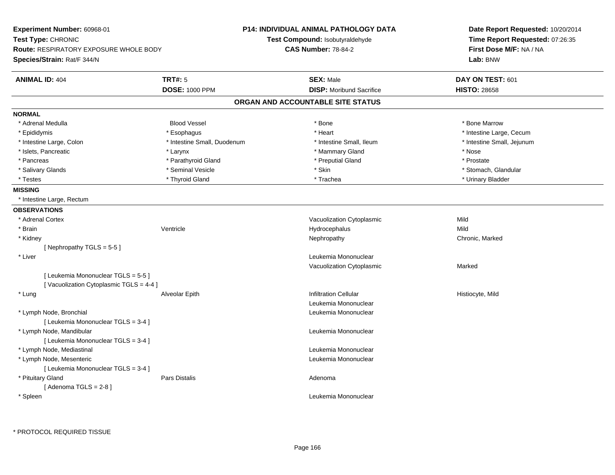| Experiment Number: 60968-01                                                   | <b>P14: INDIVIDUAL ANIMAL PATHOLOGY DATA</b> |                                        | Date Report Requested: 10/20/2014 |
|-------------------------------------------------------------------------------|----------------------------------------------|----------------------------------------|-----------------------------------|
| Test Type: CHRONIC                                                            |                                              | <b>Test Compound: Isobutyraldehyde</b> | Time Report Requested: 07:26:35   |
| <b>Route: RESPIRATORY EXPOSURE WHOLE BODY</b>                                 |                                              | <b>CAS Number: 78-84-2</b>             | First Dose M/F: NA / NA           |
| Species/Strain: Rat/F 344/N                                                   |                                              |                                        | Lab: BNW                          |
| <b>TRT#: 5</b><br><b>ANIMAL ID: 404</b>                                       |                                              | <b>SEX: Male</b>                       | DAY ON TEST: 601                  |
|                                                                               | <b>DOSE: 1000 PPM</b>                        | <b>DISP:</b> Moribund Sacrifice        | <b>HISTO: 28658</b>               |
|                                                                               |                                              | ORGAN AND ACCOUNTABLE SITE STATUS      |                                   |
| <b>NORMAL</b>                                                                 |                                              |                                        |                                   |
| * Adrenal Medulla                                                             | <b>Blood Vessel</b>                          | * Bone                                 | * Bone Marrow                     |
| * Epididymis                                                                  | * Esophagus                                  | * Heart                                | * Intestine Large, Cecum          |
| * Intestine Large, Colon                                                      | * Intestine Small, Duodenum                  | * Intestine Small, Ileum               | * Intestine Small, Jejunum        |
| * Islets, Pancreatic<br>* Larynx                                              |                                              | * Mammary Gland                        | * Nose                            |
| * Pancreas                                                                    | * Parathyroid Gland                          | * Preputial Gland                      | * Prostate                        |
| * Salivary Glands                                                             | * Seminal Vesicle                            | * Skin                                 | * Stomach, Glandular              |
| * Testes                                                                      | * Thyroid Gland                              | * Trachea                              | * Urinary Bladder                 |
| <b>MISSING</b>                                                                |                                              |                                        |                                   |
| * Intestine Large, Rectum                                                     |                                              |                                        |                                   |
| <b>OBSERVATIONS</b>                                                           |                                              |                                        |                                   |
| * Adrenal Cortex                                                              |                                              | Vacuolization Cytoplasmic              | Mild                              |
| * Brain<br>Ventricle                                                          |                                              | Hydrocephalus                          | Mild                              |
| * Kidney                                                                      |                                              | Nephropathy                            | Chronic, Marked                   |
| [ Nephropathy TGLS = $5-5$ ]                                                  |                                              |                                        |                                   |
| * Liver                                                                       |                                              | Leukemia Mononuclear                   |                                   |
|                                                                               |                                              | Vacuolization Cytoplasmic              | Marked                            |
| [ Leukemia Mononuclear TGLS = 5-5 ]<br>[Vacuolization Cytoplasmic TGLS = 4-4] |                                              |                                        |                                   |
| * Lung                                                                        | Alveolar Epith                               | <b>Infiltration Cellular</b>           | Histiocyte, Mild                  |
|                                                                               |                                              | Leukemia Mononuclear                   |                                   |
| * Lymph Node, Bronchial                                                       |                                              | Leukemia Mononuclear                   |                                   |
| [ Leukemia Mononuclear TGLS = 3-4 ]                                           |                                              |                                        |                                   |
| * Lymph Node, Mandibular                                                      |                                              | Leukemia Mononuclear                   |                                   |
| [ Leukemia Mononuclear TGLS = 3-4 ]                                           |                                              |                                        |                                   |
| * Lymph Node, Mediastinal                                                     |                                              | Leukemia Mononuclear                   |                                   |
| * Lymph Node, Mesenteric                                                      |                                              | Leukemia Mononuclear                   |                                   |
| [ Leukemia Mononuclear TGLS = 3-4 ]                                           |                                              |                                        |                                   |
| * Pituitary Gland<br>Pars Distalis                                            |                                              | Adenoma                                |                                   |
| [Adenoma TGLS = $2-8$ ]                                                       |                                              |                                        |                                   |
| * Spleen                                                                      |                                              | Leukemia Mononuclear                   |                                   |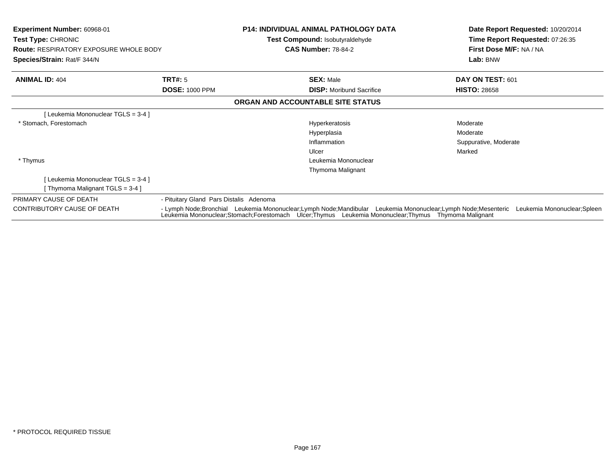| <b>Experiment Number: 60968-01</b><br><b>Test Type: CHRONIC</b><br><b>Route: RESPIRATORY EXPOSURE WHOLE BODY</b><br>Species/Strain: Rat/F 344/N |                                                                                                                                                                                                                                                 | P14: INDIVIDUAL ANIMAL PATHOLOGY DATA<br><b>Test Compound: Isobutyraldehyde</b><br><b>CAS Number: 78-84-2</b> | Date Report Requested: 10/20/2014<br>Time Report Requested: 07:26:35<br>First Dose M/F: NA / NA<br>Lab: BNW |
|-------------------------------------------------------------------------------------------------------------------------------------------------|-------------------------------------------------------------------------------------------------------------------------------------------------------------------------------------------------------------------------------------------------|---------------------------------------------------------------------------------------------------------------|-------------------------------------------------------------------------------------------------------------|
| <b>ANIMAL ID: 404</b>                                                                                                                           | <b>TRT#:</b> 5                                                                                                                                                                                                                                  | <b>SEX: Male</b>                                                                                              | DAY ON TEST: 601                                                                                            |
|                                                                                                                                                 | <b>DOSE: 1000 PPM</b>                                                                                                                                                                                                                           | <b>DISP:</b> Moribund Sacrifice                                                                               | <b>HISTO: 28658</b>                                                                                         |
|                                                                                                                                                 |                                                                                                                                                                                                                                                 | ORGAN AND ACCOUNTABLE SITE STATUS                                                                             |                                                                                                             |
| [Leukemia Mononuclear TGLS = 3-4 ]                                                                                                              |                                                                                                                                                                                                                                                 |                                                                                                               |                                                                                                             |
| * Stomach, Forestomach                                                                                                                          |                                                                                                                                                                                                                                                 | Hyperkeratosis                                                                                                | Moderate                                                                                                    |
|                                                                                                                                                 |                                                                                                                                                                                                                                                 | Hyperplasia                                                                                                   | Moderate                                                                                                    |
|                                                                                                                                                 |                                                                                                                                                                                                                                                 | Inflammation                                                                                                  | Suppurative, Moderate                                                                                       |
|                                                                                                                                                 |                                                                                                                                                                                                                                                 | Ulcer                                                                                                         | Marked                                                                                                      |
| * Thymus                                                                                                                                        |                                                                                                                                                                                                                                                 | Leukemia Mononuclear                                                                                          |                                                                                                             |
|                                                                                                                                                 |                                                                                                                                                                                                                                                 | Thymoma Malignant                                                                                             |                                                                                                             |
| [Leukemia Mononuclear TGLS = 3-4 ]                                                                                                              |                                                                                                                                                                                                                                                 |                                                                                                               |                                                                                                             |
| [Thymoma Malignant TGLS = 3-4]                                                                                                                  |                                                                                                                                                                                                                                                 |                                                                                                               |                                                                                                             |
| PRIMARY CAUSE OF DEATH                                                                                                                          | - Pituitary Gland Pars Distalis Adenoma                                                                                                                                                                                                         |                                                                                                               |                                                                                                             |
| <b>CONTRIBUTORY CAUSE OF DEATH</b>                                                                                                              | - Lymph Node;Bronchial Leukemia Mononuclear;Lymph Node;Mandibular Leukemia Mononuclear;Lymph Node;Mesenteric Leukemia Mononuclear;Spleen<br>Leukemia Mononuclear;Stomach;Forestomach Ulcer;Thymus Leukemia Mononuclear;Thymus Thymoma Malignant |                                                                                                               |                                                                                                             |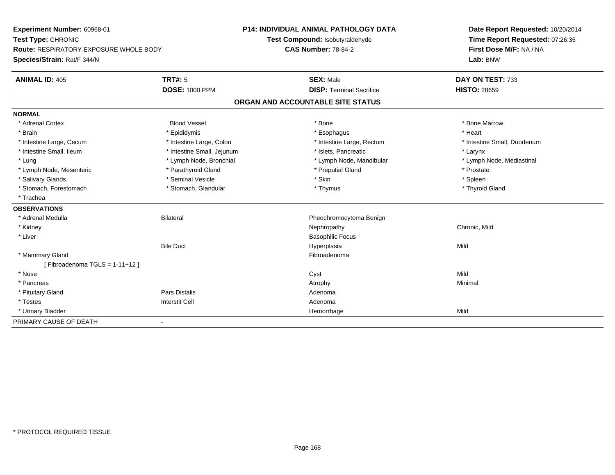**Experiment Number:** 60968-01**Test Type:** CHRONIC **Route:** RESPIRATORY EXPOSURE WHOLE BODY**Species/Strain:** Rat/F 344/N**P14: INDIVIDUAL ANIMAL PATHOLOGY DATATest Compound:** Isobutyraldehyde**CAS Number:** 78-84-2**Date Report Requested:** 10/20/2014**Time Report Requested:** 07:26:35**First Dose M/F:** NA / NA**Lab:** BNW**ANIMAL ID:** 405**TRT#:** 5 **SEX:** Male **DAY ON TEST:** 733 **DOSE:** 1000 PPM**DISP:** Terminal Sacrifice **HISTO:** 28659 **ORGAN AND ACCOUNTABLE SITE STATUSNORMAL**\* Adrenal Cortex \* Adrenal Cortex \* Attack the state of the state of the Blood Vessel the state of the state of the state of the Marrow \* Bone Marrow \* Bone Marrow \* Bone Marrow \* Bone Marrow \* Bone Marrow \* Bone Marrow \* Bone Marrow \* Bon \* Brain \* \* Esophagus \* \* Esophagus \* \* Esophagus \* \* Esophagus \* \* Esophagus \* Heart \* Heart \* Heart \* Heart \* Intestine Large, Cecum \* Intestine Large, Colon \* Intestine Large, Rectum \* Intestine Small, Duodenum\* Intestine Small, Ileum \* Thestine Small, Jejunum \* 1998 \* Islets, Pancreatic \* The manus \* Larynx \* Larynx \* Lymph Node, Mediastinal \* Lung \* Lymph Node, Bronchial \* Lymph Node, Mandibular \* Lymph Node, Mandibular \* Lymph Node, Mesenteric \* The state \* Parathyroid Gland \* The state \* Preputial Gland \* Prostate \* Prostate \* Prostate \* Spleen \* Salivary Glands \* \* \* Sheen \* Seminal Vesicle \* \* \* Stan \* \* Skin \* \* Skin \* \* Spleen \* \* Spleen \* \* Spleen \* \* Thyroid Gland \* Stomach, Forestomach \* Thymus \* Stomach, Glandular \* Thymus \* Thymus \* Thymus \* Thymus \* Thymus \* Thymus \* Thymus \* Thymus \* Thymus \* Thymus \* Thymus \* Thymus \* Thymus \* Thymus \* Thymus \* Thymus \* Thymus \* Thymus \* Thymu \* Trachea **OBSERVATIONS** \* Adrenal MedullaBilateral **Pheochromocytoma Benign**  \* Kidneyy the controller of the controller of the controller of the controller of the controller of the chronic, Mild \* Liver Basophilic FocusBile Duct Hyperplasiaa Mild \* Mammary Glandd **Executive Contract of the Contract Contract Contract Contract Contract Contract Contract Contract Contract Contract Contract Contract Contract Contract Contract Contract Contract Contract Contract Contract Contract Cont**  $[$  Fibroadenoma TGLS = 1-11+12 $]$  \* Nosee and the control of the control of the control of the control of the control of the control of the control of the control of the control of the control of the control of the control of the control of the control of the co \* Pancreass the control of the control of the control of the control of the control of the control of the control of the control of the control of the control of the control of the control of the control of the control of the contro \* Pituitary Glandd and the contract of Pars Distalis and the contract of Adenoma and Adenoma and the Adenoma and the Adenoma and  $\lambda$  \* Testes Interstit Cell Adenoma \* Urinary Bladder Hemorrhagee Mild PRIMARY CAUSE OF DEATH-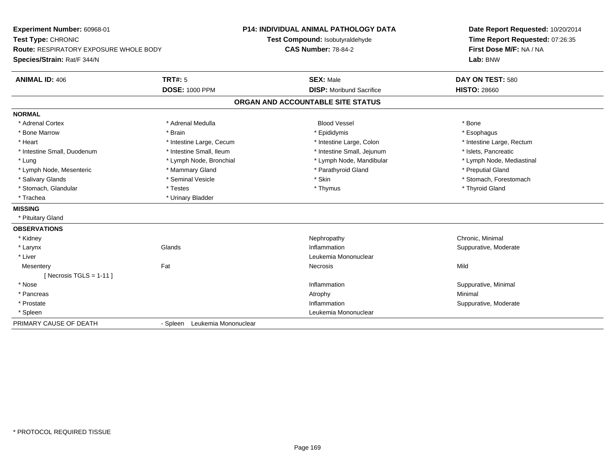**Experiment Number:** 60968-01**Test Type:** CHRONIC **Route:** RESPIRATORY EXPOSURE WHOLE BODY**Species/Strain:** Rat/F 344/N**P14: INDIVIDUAL ANIMAL PATHOLOGY DATATest Compound:** Isobutyraldehyde**CAS Number:** 78-84-2**Date Report Requested:** 10/20/2014**Time Report Requested:** 07:26:35**First Dose M/F:** NA / NA**Lab:** BNW**ANIMAL ID:** 406**TRT#:** 5 **SEX:** Male **DAY ON TEST:** 580 **DOSE:** 1000 PPM**DISP:** Moribund Sacrifice **HISTO:** 28660 **ORGAN AND ACCOUNTABLE SITE STATUSNORMAL**\* Adrenal Cortex \* Adrenal Medulla \* \* Book \* Blood Vessel \* Book \* Bone \* Bone \* Bone \* Bone \* Bone \* Bone \* Bone \* Bone \* Bone \* Esophagus \* Bone Marrow \* Brain \* Epididymis \* Esophagus \* Intestine Large, Rectum \* Heart \* Intestine Large, Cecum \* Intestine Large, Cecum \* Intestine Large, Colon \* Intestine Small, Duodenum \* Intestine Small, Ileum \* Intestine Small, Intestine Small, Jejunum \* Islets, Pancreatic \* Lymph Node, Mediastinal \* Lung \* Lymph Node, Bronchial \* Lymph Node, Mandibular \* Lymph Node, Mandibular \* Lymph Node, Mesenteric \* The puting the Mammary Gland \* The mathyroid Gland \* Parathyroid Gland \* Preputial Gland \* Salivary Glands \* The state of the seminal Vesicle \* Skin \* Skin \* Skin \* Stomach, Forestomach, Forestomach, Forestomach, Forestomach, Forestomach, Forestomach, Forestomach, Forestomach, Forestomach, Forestomach, Foresto \* Stomach, Glandular \* Thestes \* Testes \* Thymus \* Thymus \* Thymus \* Thymus \* Thyroid Gland \* Trachea **\*** Urinary Bladder **MISSING** \* Pituitary Gland**OBSERVATIONS** \* Kidneyy the controller of the controller of the controller of the controller of the controller of the controller of the controller of the controller of the controller of the controller of the controller of the controller of the \* Larynxx and the set of the Glands of the Glands of the set of the set of the set of the set of the set of the set of the set of the set of the set of the set of the set of the set of the set of the set of the set of the set of t Inflammation **Suppurative, Moderate**  \* Liver Leukemia Mononuclear **Mesentery** y the contract of the contract of the contract of the contract of the contract of the contract of the contract of the contract of the contract of the contract of the contract of the contract of the contract of the contract  $[$  Necrosis TGLS = 1-11  $]$  \* Nosee the contraction of the contraction of the contraction of the contraction of the contraction of the contraction of  $\mathbf S$ uppurative, Minimal of the contraction of the contraction of the contraction of the contraction of t \* Pancreass the control of the control of the control of the control of the control of the control of the control of the control of the control of the control of the control of the control of the control of the control of the contro \* Prostatee inflammation and the suppurative, Moderate entry of the state of the state of the state of the state of the state of the state of the state of the state of the state of the state of the state of the state of the state of \* Spleen Leukemia Mononuclear PRIMARY CAUSE OF DEATH- Spleen Leukemia Mononuclear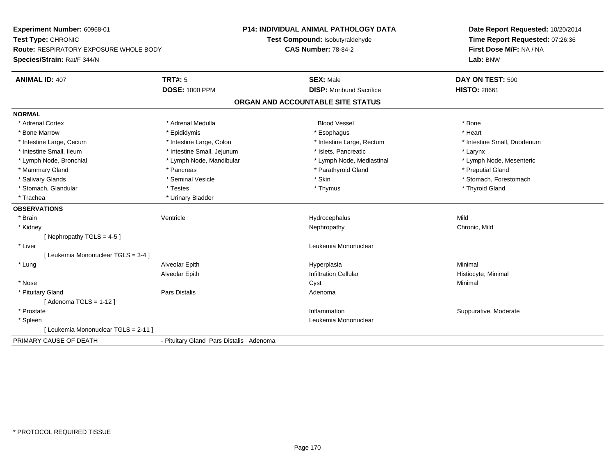**Experiment Number:** 60968-01**Test Type:** CHRONIC **Route:** RESPIRATORY EXPOSURE WHOLE BODY**Species/Strain:** Rat/F 344/N**P14: INDIVIDUAL ANIMAL PATHOLOGY DATATest Compound:** Isobutyraldehyde**CAS Number:** 78-84-2**Date Report Requested:** 10/20/2014**Time Report Requested:** 07:26:36**First Dose M/F:** NA / NA**Lab:** BNW**ANIMAL ID:** 407**TRT#:** 5 **SEX:** Male **DAY ON TEST:** 590 **DOSE:** 1000 PPM**DISP:** Moribund Sacrifice **HISTO:** 28661 **ORGAN AND ACCOUNTABLE SITE STATUSNORMAL**\* Adrenal Cortex \* Adrenal Medulla \* \* Book \* Blood Vessel \* Book \* Bone \* Bone \* Bone \* Bone \* Bone \* Bone \* Bone \* Bone \* Bone \* Heart \* Bone Marrow \* Epididymis \* Esophagus \* Heart \* Intestine Large, Cecum \* Intestine Large, Colon \* Intestine Large, Rectum \* Intestine Small, Duodenum \* Intestine Small, Ileum \* Intestine Small, Jejunum \* Islets, Pancreatic \* Larynx\* Lymph Node, Mesenteric \* Lymph Node, Bronchial \* Lymph Node, Mandibular \* Lymph Node, Mediastinal \* Lymph Node, Mediastinal \* Mammary Gland \* \* American \* Pancreas \* Pancreas \* \* Parathyroid Gland \* Parathyroid Gland \* \* Preputial Gland \* \* Preputial Gland \* \* Preputial Gland \* \* Preputial Gland \* \* Preputial Gland \* \* Preputial Gland \* \* Prepu \* Salivary Glands \* The state of the seminal Vesicle \* Skin \* Skin \* Skin \* Stomach, Forestomach, Forestomach, Forestomach, Forestomach, Forestomach, Forestomach, Forestomach, Forestomach, Forestomach, Forestomach, Foresto \* Stomach, Glandular \* Thestes \* Testes \* Thymus \* Thymus \* Thymus \* Thymus \* Thymus \* Thyroid Gland \* Trachea **\*** Urinary Bladder **OBSERVATIONS** \* Brainn and the Unit of the Mentricle Contribution of the Hydrocephalus Contribution of Mild \* Kidneyy the controller of the controller of the controller of the controller of the controller of the chronic, Mild [ Nephropathy TGLS = 4-5 ] \* Liver Leukemia Mononuclear [ Leukemia Mononuclear TGLS = 3-4 ] \* Lung Alveolar Epith Hyperplasia Minimal Alveolar EpithInfiltration Cellular **Histiocyte**, Minimal \* Nosee and the control of the control of the control of the control of the control of the control of the control of the control of the control of the control of the control of the control of the control of the control of the co \* Pituitary Glandd and the contract of Pars Distalis and the contract of Adenoma and Adenoma and the Adenoma and the Adenoma and  $\lambda$ [ Adenoma TGLS = 1-12 ] \* Prostatee inflammation inflammation in the support of the Suppurative, Moderate expansion in the Suppurative, Moderate \* Spleen Leukemia Mononuclear [ Leukemia Mononuclear TGLS = 2-11 ]PRIMARY CAUSE OF DEATH- Pituitary Gland Pars Distalis Adenoma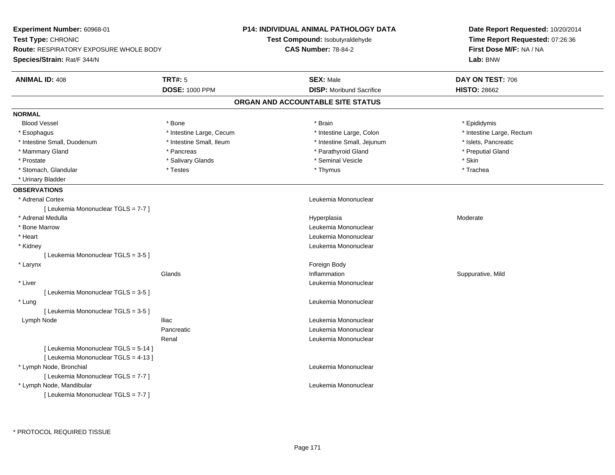| Experiment Number: 60968-01                   | <b>P14: INDIVIDUAL ANIMAL PATHOLOGY DATA</b> |                                   | Date Report Requested: 10/20/2014 |  |
|-----------------------------------------------|----------------------------------------------|-----------------------------------|-----------------------------------|--|
| <b>Test Type: CHRONIC</b>                     |                                              | Test Compound: Isobutyraldehyde   | Time Report Requested: 07:26:36   |  |
| <b>Route: RESPIRATORY EXPOSURE WHOLE BODY</b> |                                              | <b>CAS Number: 78-84-2</b>        | First Dose M/F: NA / NA           |  |
| Species/Strain: Rat/F 344/N                   |                                              |                                   | Lab: BNW                          |  |
| <b>ANIMAL ID: 408</b>                         | <b>TRT#: 5</b>                               | <b>SEX: Male</b>                  | DAY ON TEST: 706                  |  |
|                                               | <b>DOSE: 1000 PPM</b>                        | <b>DISP: Moribund Sacrifice</b>   | <b>HISTO: 28662</b>               |  |
|                                               |                                              | ORGAN AND ACCOUNTABLE SITE STATUS |                                   |  |
| <b>NORMAL</b>                                 |                                              |                                   |                                   |  |
| <b>Blood Vessel</b>                           | * Bone                                       | * Brain                           | * Epididymis                      |  |
| * Esophagus                                   | * Intestine Large, Cecum                     | * Intestine Large, Colon          | * Intestine Large, Rectum         |  |
| * Intestine Small, Duodenum                   | * Intestine Small, Ileum                     | * Intestine Small, Jejunum        | * Islets, Pancreatic              |  |
| * Mammary Gland                               | * Pancreas                                   | * Parathyroid Gland               | * Preputial Gland                 |  |
| * Prostate                                    | * Salivary Glands                            | * Seminal Vesicle                 | * Skin                            |  |
| * Stomach, Glandular                          | * Testes                                     | * Thymus                          | * Trachea                         |  |
| * Urinary Bladder                             |                                              |                                   |                                   |  |
| <b>OBSERVATIONS</b>                           |                                              |                                   |                                   |  |
| * Adrenal Cortex                              |                                              | Leukemia Mononuclear              |                                   |  |
| [ Leukemia Mononuclear TGLS = 7-7 ]           |                                              |                                   |                                   |  |
| * Adrenal Medulla                             |                                              | Hyperplasia                       | Moderate                          |  |
| * Bone Marrow                                 |                                              | Leukemia Mononuclear              |                                   |  |
| * Heart                                       |                                              | Leukemia Mononuclear              |                                   |  |
| * Kidney                                      |                                              | Leukemia Mononuclear              |                                   |  |
| [ Leukemia Mononuclear TGLS = 3-5 ]           |                                              |                                   |                                   |  |
| * Larynx                                      |                                              | Foreign Body                      |                                   |  |
|                                               | Glands                                       | Inflammation                      | Suppurative, Mild                 |  |
| * Liver                                       |                                              | Leukemia Mononuclear              |                                   |  |
| [ Leukemia Mononuclear TGLS = 3-5 ]           |                                              |                                   |                                   |  |
| * Lung                                        |                                              | Leukemia Mononuclear              |                                   |  |
| [Leukemia Mononuclear TGLS = 3-5]             |                                              |                                   |                                   |  |
| Lymph Node                                    | <b>Iliac</b>                                 | Leukemia Mononuclear              |                                   |  |
|                                               | Pancreatic                                   | Leukemia Mononuclear              |                                   |  |
|                                               | Renal                                        | Leukemia Mononuclear              |                                   |  |
| [ Leukemia Mononuclear TGLS = 5-14 ]          |                                              |                                   |                                   |  |
| [ Leukemia Mononuclear TGLS = 4-13 ]          |                                              |                                   |                                   |  |
| * Lymph Node, Bronchial                       |                                              | Leukemia Mononuclear              |                                   |  |
| [ Leukemia Mononuclear TGLS = 7-7 ]           |                                              |                                   |                                   |  |
| * Lymph Node, Mandibular                      |                                              | Leukemia Mononuclear              |                                   |  |
| [ Leukemia Mononuclear TGLS = 7-7 ]           |                                              |                                   |                                   |  |
|                                               |                                              |                                   |                                   |  |

\* PROTOCOL REQUIRED TISSUE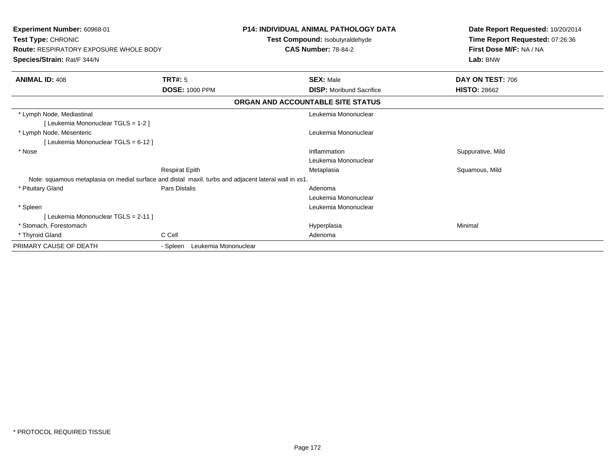| Experiment Number: 60968-01<br>Test Type: CHRONIC<br><b>Route: RESPIRATORY EXPOSURE WHOLE BODY</b><br>Species/Strain: Rat/F 344/N |                                                                                                       | <b>P14: INDIVIDUAL ANIMAL PATHOLOGY DATA</b><br>Test Compound: Isobutyraldehyde<br><b>CAS Number: 78-84-2</b> | Date Report Requested: 10/20/2014<br>Time Report Requested: 07:26:36<br>First Dose M/F: NA / NA<br>Lab: BNW |
|-----------------------------------------------------------------------------------------------------------------------------------|-------------------------------------------------------------------------------------------------------|---------------------------------------------------------------------------------------------------------------|-------------------------------------------------------------------------------------------------------------|
| <b>ANIMAL ID: 408</b>                                                                                                             | TRT#: 5                                                                                               | <b>SEX: Male</b>                                                                                              | DAY ON TEST: 706                                                                                            |
|                                                                                                                                   | <b>DOSE: 1000 PPM</b>                                                                                 | <b>DISP:</b> Moribund Sacrifice                                                                               | <b>HISTO: 28662</b>                                                                                         |
|                                                                                                                                   |                                                                                                       | ORGAN AND ACCOUNTABLE SITE STATUS                                                                             |                                                                                                             |
| * Lymph Node, Mediastinal<br>[Leukemia Mononuclear TGLS = 1-2]                                                                    |                                                                                                       | Leukemia Mononuclear                                                                                          |                                                                                                             |
| * Lymph Node, Mesenteric<br>[ Leukemia Mononuclear TGLS = 6-12 ]                                                                  |                                                                                                       | Leukemia Mononuclear                                                                                          |                                                                                                             |
| * Nose                                                                                                                            |                                                                                                       | Inflammation<br>Leukemia Mononuclear                                                                          | Suppurative, Mild                                                                                           |
|                                                                                                                                   | <b>Respirat Epith</b>                                                                                 | Metaplasia                                                                                                    | Squamous, Mild                                                                                              |
|                                                                                                                                   | Note: squamous metaplasia on medial surface and distal maxil. turbs and adjacent lateral wall in xs1. |                                                                                                               |                                                                                                             |
| * Pituitary Gland                                                                                                                 | <b>Pars Distalis</b>                                                                                  | Adenoma                                                                                                       |                                                                                                             |
|                                                                                                                                   |                                                                                                       | Leukemia Mononuclear                                                                                          |                                                                                                             |
| * Spleen                                                                                                                          |                                                                                                       | Leukemia Mononuclear                                                                                          |                                                                                                             |
| [ Leukemia Mononuclear TGLS = 2-11 ]                                                                                              |                                                                                                       |                                                                                                               |                                                                                                             |
| * Stomach. Forestomach                                                                                                            |                                                                                                       | Hyperplasia                                                                                                   | Minimal                                                                                                     |
| * Thyroid Gland                                                                                                                   | C Cell                                                                                                | Adenoma                                                                                                       |                                                                                                             |
| PRIMARY CAUSE OF DEATH                                                                                                            | Leukemia Mononuclear<br>- Spleen                                                                      |                                                                                                               |                                                                                                             |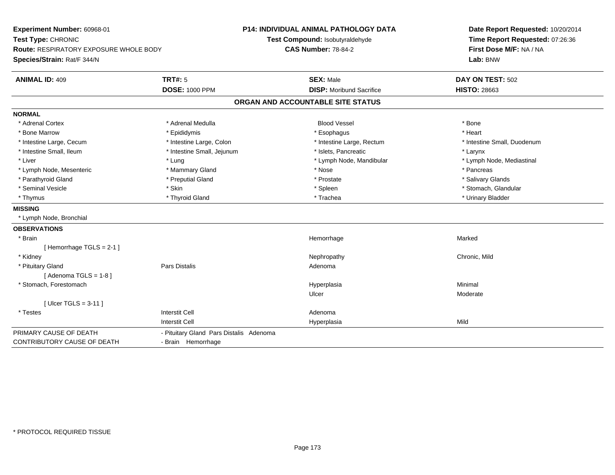**Experiment Number:** 60968-01**Test Type:** CHRONIC **Route:** RESPIRATORY EXPOSURE WHOLE BODY**Species/Strain:** Rat/F 344/N**P14: INDIVIDUAL ANIMAL PATHOLOGY DATATest Compound:** Isobutyraldehyde**CAS Number:** 78-84-2**Date Report Requested:** 10/20/2014**Time Report Requested:** 07:26:36**First Dose M/F:** NA / NA**Lab:** BNW**ANIMAL ID:** 409**TRT#:** 5 **SEX:** Male **DAY ON TEST:** 502 **DOSE:** 1000 PPM**DISP:** Moribund Sacrifice **HISTO:** 28663 **ORGAN AND ACCOUNTABLE SITE STATUSNORMAL**\* Adrenal Cortex \* Adrenal Medulla \* \* Book \* Blood Vessel \* Book \* Bone \* Bone \* Bone \* Bone \* Bone \* Bone \* Bone \* Bone \* Bone \* Heart \* Bone Marrow \* Epididymis \* Esophagus \* Heart \* Intestine Large, Cecum \* Intestine Large, Colon \* Intestine Large, Rectum \* Intestine Small, Duodenum \* Intestine Small, Ileum \* Intestine Small, Jejunum \* Islets, Pancreatic \* Larynx\* Lymph Node, Mediastinal \* Liver \* Lung \* Lung \* Lung \* Lung \* Lymph Node, Mandibular \* Lymph Node, Mandibular \* Lymph Node, Mesenteric \* \* The mannery Gland \* Mammary Gland \* Nose \* Nose \* \* Pancreas \* Pancreas \* Pancreas \* Salivary Glands \* Parathyroid Gland \* **Example 20** \* Preputial Gland \* Prostate \*  $\frac{1}{2}$  \* Prostate \*  $\frac{1}{2}$  \* Prostate \* Seminal Vesicle \* The store of the set of the set of the set of the set of the set of the set of the set of the set of the set of the set of the set of the set of the set of the set of the set of the set of the set of th \* Thymus \* Thyroid Gland \* Trachea \* Urinary Bladder \* **MISSING** \* Lymph Node, Bronchial**OBSERVATIONS** \* Brainn and the state of the state of the state of the state of the Marked Marked of the Marked Marked of the Marked  $\eta$ [ Hemorrhage TGLS = 2-1 ] \* Kidneyy the controller of the controller of the controller of the controller of the controller of the chronic, Mild \* Pituitary Glandd and the set of Pars Distalis and the Second Adenomal Adenomal Second Second Pars Distallis [ Adenoma TGLS = 1-8 ] \* Stomach, Forestomachh anns an t-aisimeil anns an t-aisimeil anns an t-aisimeil an t-aisimeil an t-aisimeil an t-aisimeil an t-aisi Ulcer Moderate[ Ulcer TGLS = 3-11 ] \* Testess and the contractive contractive contractive contractive contractive contractive contractive contractive contractive contractive contractive contractive contractive contractive contractive contractive contractive contract I Contract to the Contract of the Hyperplasia Interstit Cella Mild PRIMARY CAUSE OF DEATH - Pituitary Gland Pars Distalis Adenoma CONTRIBUTORY CAUSE OF DEATH- Brain Hemorrhage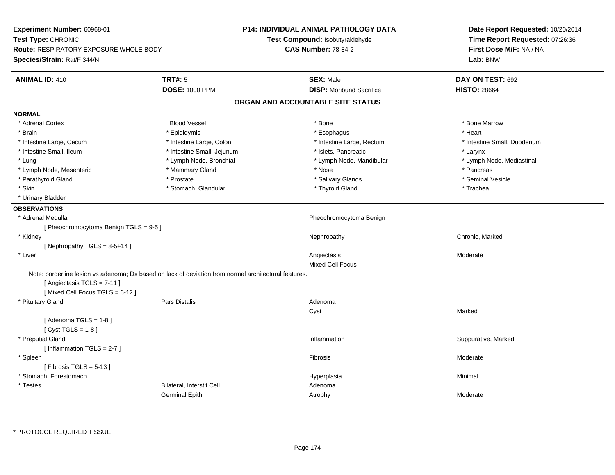**Experiment Number:** 60968-01**Test Type:** CHRONIC **Route:** RESPIRATORY EXPOSURE WHOLE BODY**Species/Strain:** Rat/F 344/N**P14: INDIVIDUAL ANIMAL PATHOLOGY DATATest Compound:** Isobutyraldehyde**CAS Number:** 78-84-2**Date Report Requested:** 10/20/2014**Time Report Requested:** 07:26:36**First Dose M/F:** NA / NA**Lab:** BNW**ANIMAL ID:** 410**TRT#:** 5 **SEX:** Male **DAY ON TEST:** 692 **DOSE:** 1000 PPM**DISP:** Moribund Sacrifice **HISTO:** 28664 **ORGAN AND ACCOUNTABLE SITE STATUSNORMAL**\* Adrenal Cortex \* Adrenal Cortex \* Attack the state of the state of the Blood Vessel the state of the state of the state of the Marrow \* Bone Marrow \* Bone Marrow \* Bone Marrow \* Bone Marrow \* Bone Marrow \* Bone Marrow \* Bone Marrow \* Bon \* Brain \* \* Esophagus \* \* Esophagus \* \* Esophagus \* \* Esophagus \* \* Esophagus \* Heart \* Heart \* Heart \* Heart \* Intestine Large, Cecum \* Intestine Large, Colon \* Intestine Large, Rectum \* Intestine Small, Duodenum \* Intestine Small, Ileum \* Intestine Small, Jejunum \* Islets, Pancreatic \* Larynx\* Lymph Node, Mediastinal \* Lung \* Lymph Node, Bronchial \* Lymph Node, Aandibular \* Lymph Node, Mandibular \* Lymph Node, Mesenteric \* \* The mannery Gland \* Mammary Gland \* Nose \* Nose \* \* Pancreas \* Pancreas \* Pancreas \* Seminal Vesicle \* Parathyroid Gland \* November 2008 \* Prostate \* Prostate \* Salivary Glands \* Salivary Glands \* \* Skin \* Stomach, Glandular \* Thyroid Gland \* Thyroid Stand \* The \* The \* The \* Trachea \* Urinary Bladder**OBSERVATIONS** \* Adrenal Medulla Pheochromocytoma Benign [ Pheochromocytoma Benign TGLS = 9-5 ] \* Kidneyy the controller of the controller of the controller of the Nephropathy Chronic, Marked Schronic, Marked Schronic, Marked Schronic, Marked Schronic, Marked Schronic, Marked Schronic, Marked Schronic, Marked Schronic, Marke  $[$  Nephropathy TGLS = 8-5+14 ] \* Liverr and the contract of the contract of the contract of the contract of the contract of the contract of the contract of the contract of the contract of the contract of the contract of the contract of the contract of the cont s Moderate Mixed Cell FocusNote: borderline lesion vs adenoma; Dx based on lack of deviation from normal architectural features.[ Angiectasis TGLS = 7-11 ] $[$  Mixed Cell Focus TGLS = 6-12  $]$  \* Pituitary Glandd and the contract of Pars Distalis and the contract of Adenoma and Adenoma and the Adenoma and the Adenoma and  $\lambda$ Cyst Marked $[$  Adenoma TGLS = 1-8  $]$ [ Cyst TGLS = 1-8 ] \* Preputial Glandd with the suppurative, Marked and Suppurative, Marked and Suppurative, Marked and Suppurative, Marked and Suppurative, Marked and Suppurative, Marked and Suppurative, Marked and Suppurative, Marked and Suppurative, Marked [ Inflammation TGLS = 2-7 ] \* Spleenn and the state of the state of the state of the state of the state of the state of the state of the state of the state of the state of the state of the state of the state of the state of the state of the state of the stat  $[$  Fibrosis TGLS = 5-13  $]$  \* Stomach, Forestomachh anns an t-aisimeil anns an t-aisimeil anns an t-aisimeil an t-aisimeil an t-aisimeil an t-aisimeil an t-aisi \* TestesBilateral, Interstit Cell **Adenoma** Adenoma Germinal Epithh and the control of the Atrophy and the Moderate of the Moderate of the Moderate of the Moderate of the Moderate of the Moderate of the Moderate of the Moderate of the Moderate of the Moderate of the Moderate of the Moder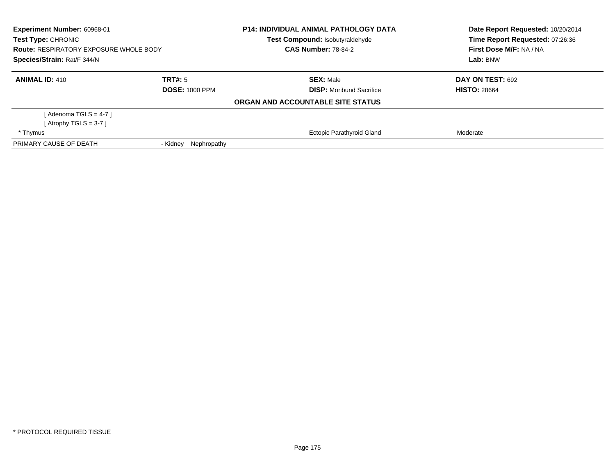| Experiment Number: 60968-01<br>Test Type: CHRONIC<br><b>Route: RESPIRATORY EXPOSURE WHOLE BODY</b><br>Species/Strain: Rat/F 344/N |                         | <b>P14: INDIVIDUAL ANIMAL PATHOLOGY DATA</b><br>Test Compound: Isobutyraldehyde<br><b>CAS Number: 78-84-2</b> | Date Report Requested: 10/20/2014<br>Time Report Requested: 07:26:36<br>First Dose M/F: NA / NA<br>Lab: BNW |
|-----------------------------------------------------------------------------------------------------------------------------------|-------------------------|---------------------------------------------------------------------------------------------------------------|-------------------------------------------------------------------------------------------------------------|
|                                                                                                                                   |                         |                                                                                                               |                                                                                                             |
| <b>ANIMAL ID: 410</b>                                                                                                             | TRT#: 5                 | <b>SEX: Male</b>                                                                                              | DAY ON TEST: 692                                                                                            |
|                                                                                                                                   | <b>DOSE: 1000 PPM</b>   | <b>DISP:</b> Moribund Sacrifice                                                                               | <b>HISTO: 28664</b>                                                                                         |
|                                                                                                                                   |                         | ORGAN AND ACCOUNTABLE SITE STATUS                                                                             |                                                                                                             |
| [ Adenoma TGLS = 4-7 ]                                                                                                            |                         |                                                                                                               |                                                                                                             |
| [Atrophy TGLS = 3-7 ]                                                                                                             |                         |                                                                                                               |                                                                                                             |
| * Thymus                                                                                                                          |                         | <b>Ectopic Parathyroid Gland</b>                                                                              | Moderate                                                                                                    |
| PRIMARY CAUSE OF DEATH                                                                                                            | Nephropathy<br>- Kidney |                                                                                                               |                                                                                                             |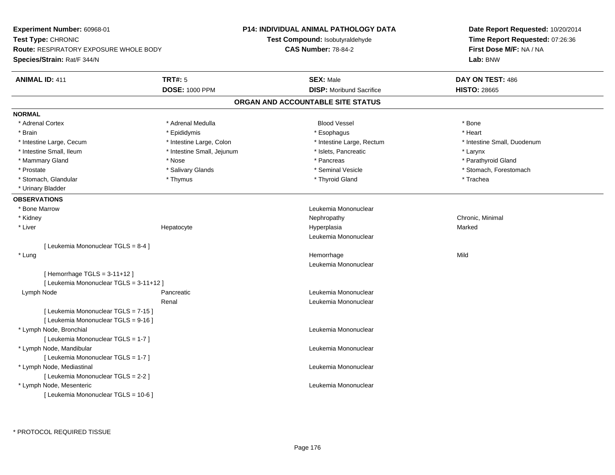**Experiment Number:** 60968-01**Test Type:** CHRONIC **Route:** RESPIRATORY EXPOSURE WHOLE BODY**Species/Strain:** Rat/F 344/N**P14: INDIVIDUAL ANIMAL PATHOLOGY DATATest Compound:** Isobutyraldehyde**CAS Number:** 78-84-2**Date Report Requested:** 10/20/2014**Time Report Requested:** 07:26:36**First Dose M/F:** NA / NA**Lab:** BNW**ANIMAL ID:** 411**TRT#:** 5 **SEX:** Male **DAY ON TEST:** 486 **DOSE:** 1000 PPM**DISP:** Moribund Sacrifice **HISTO:** 28665 **ORGAN AND ACCOUNTABLE SITE STATUSNORMAL**\* Adrenal Cortex \* Adrenal Medulla \* \* Book \* Blood Vessel \* Book \* Bone \* Bone \* Bone \* Bone \* Bone \* Bone \* Bone \* Bone \* Bone \* Heart \* Brain \* \* Esophagus \* \* Esophagus \* \* Esophagus \* \* Esophagus \* \* Esophagus \* Heart \* Heart \* Heart \* Heart \* Intestine Large, Cecum \* Intestine Large, Colon \* Intestine Large, Rectum \* Intestine Small, Duodenum \* Intestine Small, Ileum \* Intestine Small, Jejunum \* Islets, Pancreatic \* Larynx\* Parathyroid Gland \* Mammary Gland \* \* Nose \* \* Nose \* \* Pancreas \* Pancreas \* \* Pancreas \* \* Pancreas \* \* Pancreas \* \* Parathyroid Gland \* Prostate \* The state \* Salivary Glands \* Seminal Vesicle \* Seminal Vesicle \* Stomach, Forestomach \* Stomach, Glandular \* Thymus \* Thyroid Gland \* Trachea \* Urinary Bladder**OBSERVATIONS** \* Bone MarrowLeukemia Mononuclear<br>Nephropathy \* Kidneyy the controller of the controller of the controller of the controller of the controller of the controller of the controller of the controller of the controller of the controller of the controller of the controller of the \* Liver Hepatocyte Hyperplasia Marked Leukemia Mononuclear[ Leukemia Mononuclear TGLS = 8-4 ] \* Lungg and the state of the state of the state of the state of the Hemorrhage state of the Mild of the Mild of the S Leukemia Mononuclear[ Hemorrhage TGLS = 3-11+12 ][ Leukemia Mononuclear TGLS = 3-11+12 ] Lymph NodePancreatic **Leukemia Mononuclear Leukemia Mononuclear** Renal Leukemia Mononuclear[ Leukemia Mononuclear TGLS = 7-15 ][ Leukemia Mononuclear TGLS = 9-16 ] \* Lymph Node, Bronchial Leukemia Mononuclear[ Leukemia Mononuclear TGLS = 1-7 ] \* Lymph Node, Mandibular Leukemia Mononuclear [ Leukemia Mononuclear TGLS = 1-7 ] \* Lymph Node, Mediastinal Leukemia Mononuclear[ Leukemia Mononuclear TGLS = 2-2 ] \* Lymph Node, Mesenteric Leukemia Mononuclear [ Leukemia Mononuclear TGLS = 10-6 ]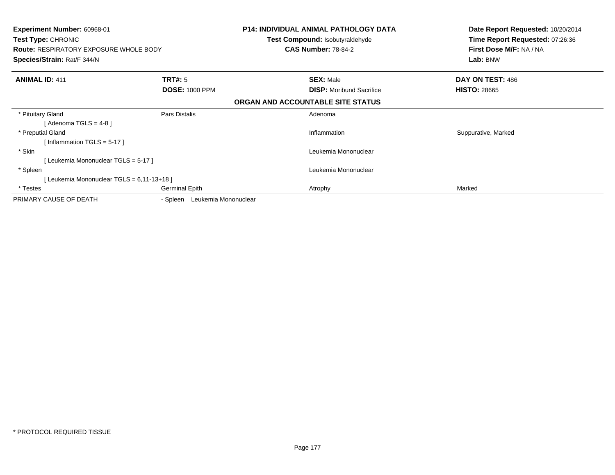| <b>Experiment Number: 60968-01</b><br><b>Test Type: CHRONIC</b><br><b>Route: RESPIRATORY EXPOSURE WHOLE BODY</b><br>Species/Strain: Rat/F 344/N |                                  | <b>P14: INDIVIDUAL ANIMAL PATHOLOGY DATA</b><br><b>Test Compound: Isobutyraldehyde</b><br><b>CAS Number: 78-84-2</b> | Date Report Requested: 10/20/2014<br>Time Report Requested: 07:26:36<br>First Dose M/F: NA / NA<br>Lab: BNW |
|-------------------------------------------------------------------------------------------------------------------------------------------------|----------------------------------|----------------------------------------------------------------------------------------------------------------------|-------------------------------------------------------------------------------------------------------------|
| <b>ANIMAL ID: 411</b>                                                                                                                           | <b>TRT#:</b> 5                   | <b>SEX: Male</b>                                                                                                     | DAY ON TEST: 486                                                                                            |
|                                                                                                                                                 | <b>DOSE: 1000 PPM</b>            | <b>DISP:</b> Moribund Sacrifice                                                                                      | <b>HISTO: 28665</b>                                                                                         |
|                                                                                                                                                 |                                  | ORGAN AND ACCOUNTABLE SITE STATUS                                                                                    |                                                                                                             |
| * Pituitary Gland                                                                                                                               | Pars Distalis                    | Adenoma                                                                                                              |                                                                                                             |
| [Adenoma TGLS = $4-8$ ]                                                                                                                         |                                  |                                                                                                                      |                                                                                                             |
| * Preputial Gland                                                                                                                               |                                  | Inflammation                                                                                                         | Suppurative, Marked                                                                                         |
| [Inflammation TGLS = $5-17$ ]                                                                                                                   |                                  |                                                                                                                      |                                                                                                             |
| * Skin                                                                                                                                          |                                  | Leukemia Mononuclear                                                                                                 |                                                                                                             |
| [Leukemia Mononuclear TGLS = 5-17]                                                                                                              |                                  |                                                                                                                      |                                                                                                             |
| * Spleen                                                                                                                                        |                                  | Leukemia Mononuclear                                                                                                 |                                                                                                             |
| [Leukemia Mononuclear TGLS = 6,11-13+18]                                                                                                        |                                  |                                                                                                                      |                                                                                                             |
| * Testes                                                                                                                                        | <b>Germinal Epith</b>            | Atrophy                                                                                                              | Marked                                                                                                      |
| PRIMARY CAUSE OF DEATH                                                                                                                          | Leukemia Mononuclear<br>- Spleen |                                                                                                                      |                                                                                                             |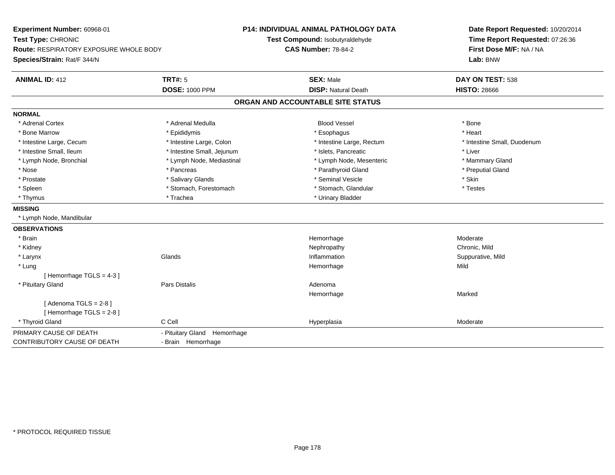**Experiment Number:** 60968-01**Test Type:** CHRONIC **Route:** RESPIRATORY EXPOSURE WHOLE BODY**Species/Strain:** Rat/F 344/N**P14: INDIVIDUAL ANIMAL PATHOLOGY DATATest Compound:** Isobutyraldehyde**CAS Number:** 78-84-2**Date Report Requested:** 10/20/2014**Time Report Requested:** 07:26:36**First Dose M/F:** NA / NA**Lab:** BNW**ANIMAL ID:** 412**TRT#:** 5 **SEX:** Male **DAY ON TEST:** 538 **DOSE:** 1000 PPM**DISP:** Natural Death **HISTO:** 28666 **ORGAN AND ACCOUNTABLE SITE STATUSNORMAL**\* Adrenal Cortex \* Adrenal Medulla \* \* Book \* Blood Vessel \* Book \* Bone \* Bone \* Bone \* Bone \* Bone \* Bone \* Bone \* Bone \* Bone \* Heart \* Bone Marrow \* Epididymis \* Esophagus \* Heart \* Intestine Large, Cecum \* Intestine Large, Colon \* Intestine Large, Rectum \* Intestine Small, Duodenum \* Intestine Small, Ileum \* Intestine Small, Jejunum \* Islets, Pancreatic \* Liver\* Lymph Node, Bronchial \* Lymph Node, Mediastinal \* Lymph Node, Mesenteric \* Mammary Gland \* Preputial Gland \* Nose \* Pancreas \* Parathyroid Gland \* Preputial Gland \* Prostate \* \* Salivary Glands \* \* Salivary Glands \* \* Seminal Vesicle \* \* \* Seminal Yestrich \* \* Skin \* \* Skin \* Testes \* Spleen \* Stomach, Forestomach \* Stomach, Spleen \* Stomach, Glandular \* Testestess \* Stomach, Glandular \* Thymus \* Trachea \* Trachea \* Trachea \* Urinary Bladder **MISSING** \* Lymph Node, Mandibular**OBSERVATIONS** \* Brainn and the most settled and the most settled and the most settled and the Moderate most settled and the Moderate \* Kidneyy the controller of the controller of the controller of the controller of the controller of the chronic, Mild n Suppurative, Mild \* Larynxx and the set of the Glands of the Glands of the set of the set of the set of the set of the set of the set of the set of the set of the set of the set of the set of the set of the set of the set of the set of the set of t \* Lungg and the state of the state of the state of the state of the Hemorrhage state of the Mild state of the Mild state of the State of the State of the State of the State of the State of the State of the State of the State of [ Hemorrhage TGLS = 4-3 ] \* Pituitary Glandd and the set of Pars Distalis and the Second Adenomal Adenomal Second Second Pars Distallis Hemorrhagee Marked Marked  $[$  Adenoma TGLS = 2-8  $]$ [ Hemorrhage TGLS = 2-8 ] \* Thyroid Glandd and the CCell CCell Constants of the CCell CCE of the Hyperplasia Moderate Moderate Moderate of the Moderate PRIMARY CAUSE OF DEATH - Pituitary Gland Hemorrhage CONTRIBUTORY CAUSE OF DEATH- Brain Hemorrhage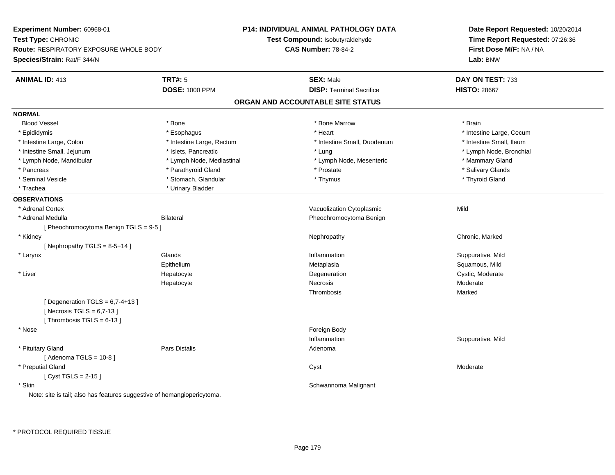**Experiment Number:** 60968-01**Test Type:** CHRONIC **Route:** RESPIRATORY EXPOSURE WHOLE BODY**Species/Strain:** Rat/F 344/N**P14: INDIVIDUAL ANIMAL PATHOLOGY DATATest Compound:** Isobutyraldehyde**CAS Number:** 78-84-2**Date Report Requested:** 10/20/2014**Time Report Requested:** 07:26:36**First Dose M/F:** NA / NA**Lab:** BNW**ANIMAL ID:** 413**TRT#:** 5 **SEX:** Male **DAY ON TEST:** 733 **DOSE:** 1000 PPM**DISP:** Terminal Sacrifice **HISTO:** 28667 **ORGAN AND ACCOUNTABLE SITE STATUSNORMALBlood Vessel**  Blood Vessel \* Bone \* Bone Marrow \* Brain\* Epididymis **Account 19 and 19 and 19 and 19 and 19 and 19 and 19 and 19 and 19 and 19 and 19 and 19 and 19 and 19 and 19 and 19 and 19 and 19 and 19 and 19 and 19 and 19 and 19 and 19 and 19 and 19 and 19 and 19 and 19 a** \* Intestine Small. Ileum \* Intestine Large, Colon \* Intestine Large, Rectum \* Intestine Small, Duodenum \* Intestine Small, Duodenum \* Lymph Node, Bronchial \* Intestine Small, Jejunum \* Mathematic \* Lung \* Islets, Pancreatic \* Mathematic \* Lung \* Lung \* Node, Bronchial \* Lymph Node, Mandibular \* Lymph Node, Mediastinal \* Lymph Node, Mesenteric \* Mammary Gland\* Salivary Glands \* Pancreas \* And the second term in the second term in the second term in the second term in the second term in the second term in the second term in the second term in the second term in the second term in the second term \* Seminal Vesicle \* \* Thyroid Gland \* Stomach, Glandular \* \* Thymus \* Thymus \* Thyroid Gland \* Thyroid Gland \* \* Trachea \* Urinary Bladder**OBSERVATIONS** \* Adrenal CortexVacuolization Cytoplasmic **Mild**  \* Adrenal MedullaBilateral **Pheochromocytoma Benign** [ Pheochromocytoma Benign TGLS = 9-5 ] \* Kidneyy the controller of the controller of the controller of the Nephropathy Chronic, Marked Schronic, Marked Schronic, Marked Schronic, Marked Schronic, Marked Schronic, Marked Schronic, Marked Schronic, Marked Schronic, Marke  $[$  Nephropathy TGLS = 8-5+14 ] \* Larynxx and the set of the Glands of the Glands of the set of the set of the set of the set of the set of the set of the set of the set of the set of the set of the set of the set of the set of the set of the set of the set of t Inflammation **Suppurative, Mild** Epithelium Metaplasia Squamous, Mild \* Liver HepatocyteDegeneration Cystic, Moderate Hepatocyte Necrosis Moderate Thrombosis Marked $[$  Degeneration TGLS = 6,7-4+13 ]  $[$  Necrosis TGLS = 6,7-13  $]$ [ Thrombosis  $TGLS = 6-13$  ] \* Nosee and the state of the state of the state of the state of the state of the state of the state of the state of the state of the state of the state of the state of the state of the state of the state of the state of the stat Inflammation Suppurative, Mild \* Pituitary Glandd and the contract of Pars Distalis and the contract of Adenoma and Adenoma and the Adenoma and the Adenoma and  $\lambda$ [ Adenoma TGLS = 10-8 ] \* Preputial Glandd and the control of the control of the control of the control of the control of the control of the control of the control of the control of the control of the control of the control of the control of the control of the co [ Cyst TGLS = 2-15 ] \* Skin Schwannoma Malignant Note: site is tail; also has features suggestive of hemangiopericytoma.

\* PROTOCOL REQUIRED TISSUE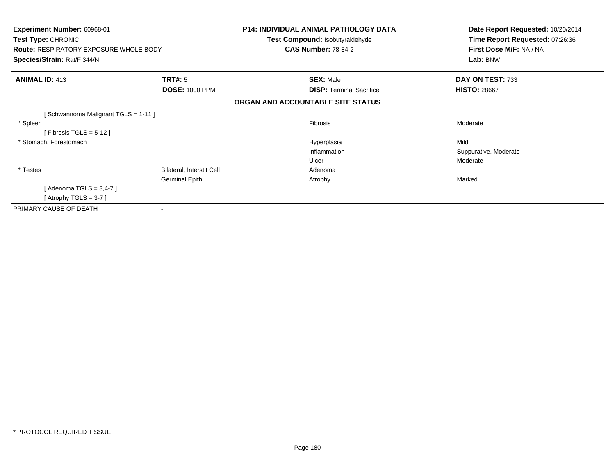| <b>Experiment Number: 60968-01</b><br>Test Type: CHRONIC<br><b>Route: RESPIRATORY EXPOSURE WHOLE BODY</b><br>Species/Strain: Rat/F 344/N |                           | <b>P14: INDIVIDUAL ANIMAL PATHOLOGY DATA</b><br>Test Compound: Isobutyraldehyde<br><b>CAS Number: 78-84-2</b> | Date Report Requested: 10/20/2014<br>Time Report Requested: 07:26:36<br>First Dose M/F: NA / NA<br>Lab: BNW |
|------------------------------------------------------------------------------------------------------------------------------------------|---------------------------|---------------------------------------------------------------------------------------------------------------|-------------------------------------------------------------------------------------------------------------|
|                                                                                                                                          |                           |                                                                                                               |                                                                                                             |
| <b>ANIMAL ID: 413</b>                                                                                                                    | TRT#: 5                   | <b>SEX: Male</b>                                                                                              | DAY ON TEST: 733                                                                                            |
|                                                                                                                                          | <b>DOSE: 1000 PPM</b>     | <b>DISP: Terminal Sacrifice</b>                                                                               | <b>HISTO: 28667</b>                                                                                         |
|                                                                                                                                          |                           | ORGAN AND ACCOUNTABLE SITE STATUS                                                                             |                                                                                                             |
| [Schwannoma Malignant TGLS = 1-11]                                                                                                       |                           |                                                                                                               |                                                                                                             |
| * Spleen                                                                                                                                 |                           | Fibrosis                                                                                                      | Moderate                                                                                                    |
| [Fibrosis TGLS = $5-12$ ]                                                                                                                |                           |                                                                                                               |                                                                                                             |
| * Stomach, Forestomach                                                                                                                   |                           | Hyperplasia                                                                                                   | Mild                                                                                                        |
|                                                                                                                                          |                           | Inflammation                                                                                                  | Suppurative, Moderate                                                                                       |
|                                                                                                                                          |                           | Ulcer                                                                                                         | Moderate                                                                                                    |
| * Testes                                                                                                                                 | Bilateral, Interstit Cell | Adenoma                                                                                                       |                                                                                                             |
|                                                                                                                                          | <b>Germinal Epith</b>     | Atrophy                                                                                                       | Marked                                                                                                      |
| [Adenoma TGLS = $3,4$ -7]                                                                                                                |                           |                                                                                                               |                                                                                                             |
| [Atrophy TGLS = $3-7$ ]                                                                                                                  |                           |                                                                                                               |                                                                                                             |
| PRIMARY CAUSE OF DEATH                                                                                                                   |                           |                                                                                                               |                                                                                                             |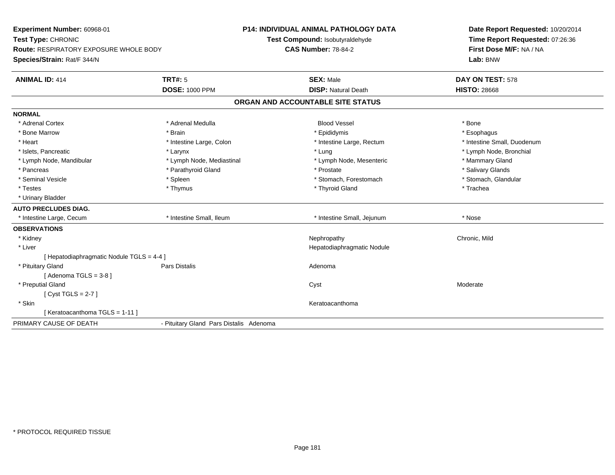**Experiment Number:** 60968-01**Test Type:** CHRONIC **Route:** RESPIRATORY EXPOSURE WHOLE BODY**Species/Strain:** Rat/F 344/N**P14: INDIVIDUAL ANIMAL PATHOLOGY DATATest Compound:** Isobutyraldehyde**CAS Number:** 78-84-2**Date Report Requested:** 10/20/2014**Time Report Requested:** 07:26:36**First Dose M/F:** NA / NA**Lab:** BNW**ANIMAL ID:** 414**TRT#:** 5 **SEX:** Male **DAY ON TEST:** 578 **DOSE:** 1000 PPM**DISP:** Natural Death **HISTO:** 28668 **ORGAN AND ACCOUNTABLE SITE STATUSNORMAL**\* Adrenal Cortex \* Adrenal Cortex \* Adrenal Medulla Blood Vessel \* Bone\* Esophagus \* Bone Marrow \* Brain \* Epididymis \* Esophagus \* Intestine Small, Duodenum \* Heart \* Intestine Large, Colon \* Intestine Large, Colon \* 11testine Large, Rectum \* Islets, Pancreatic **\* Larynx \* Larynx** \* Larynx \* Lung \* Lung \* Lung \* Lymph Node, Bronchial \* Lymph Node, Mandibular \* Lymph Node, Mediastinal \* Lymph Node, Mesenteric \* Mammary Gland \* Salivary Glands \* Pancreas \* And the second term in the second term in the second term in the second term in the second term in the second term in the second term in the second term in the second term in the second term in the second term \* Stomach. Glandular \* Seminal Vesicle \* Spleen \* Spleen \* Spleen \* Stomach, Forestomach \* Stomach, Forestomach \* Testes \* Thymus \* Thyroid Gland \* Trachea \* Urinary Bladder**AUTO PRECLUDES DIAG.** \* Intestine Large, Cecum \* Intestine Small, Ileum \* Intestine Small, Jejunum \* Nose**OBSERVATIONS** \* Kidneyy the controller of the controller of the controller of the controller of the controller of the chronic, Mild \* Liver Hepatodiaphragmatic Nodule[ Hepatodiaphragmatic Nodule TGLS = 4-4 ] \* Pituitary Glandd and the set of Pars Distalis and the Second Adenomal Adenomal Second Second Pars Distallis  $[$  Adenoma TGLS = 3-8  $]$  \* Preputial Glandd and the control of the control of the control of the control of the control of the control of the control of the control of the control of the control of the control of the control of the control of the control of the co [ Cyst TGLS = 2-7 ] \* Skinn anns an t-ainmeile anns an t-ainmeile anns an t-ainmeile anns an t-ainmeile anns an t-ainmeile anns an t-ainm [ Keratoacanthoma TGLS = 1-11 ]PRIMARY CAUSE OF DEATH- Pituitary Gland Pars Distalis Adenoma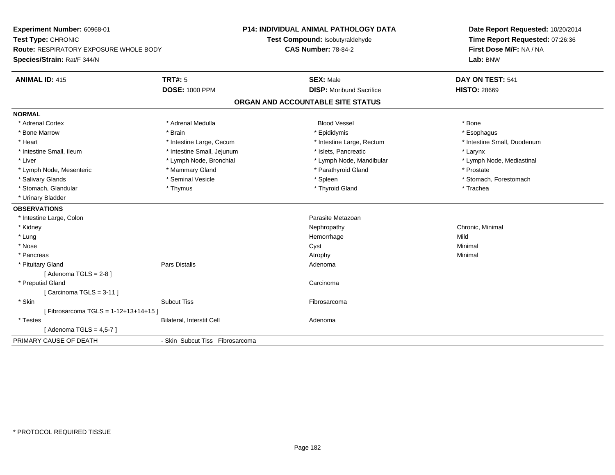**Experiment Number:** 60968-01**Test Type:** CHRONIC **Route:** RESPIRATORY EXPOSURE WHOLE BODY**Species/Strain:** Rat/F 344/N**P14: INDIVIDUAL ANIMAL PATHOLOGY DATATest Compound:** Isobutyraldehyde**CAS Number:** 78-84-2**Date Report Requested:** 10/20/2014**Time Report Requested:** 07:26:36**First Dose M/F:** NA / NA**Lab:** BNW**ANIMAL ID:** 415 **TRT#:** <sup>5</sup> **SEX:** Male **DAY ON TEST:** <sup>541</sup> **DOSE:** 1000 PPM**DISP:** Moribund Sacrifice **HISTO:** 28669 **ORGAN AND ACCOUNTABLE SITE STATUSNORMAL**\* Adrenal Cortex \* Adrenal Medulla \* \* Book \* Blood Vessel \* Book \* Bone \* Bone \* Bone \* Bone \* Bone \* Bone \* Bone \* Bone \* Bone \* Esophagus \* Bone Marrow \* Brain \* Epididymis \* Esophagus \* Intestine Small, Duodenum \* Heart \* Intestine Large, Cecum \* Intestine Large, Cecum \* Intestine Large, Rectum \* Intestine Small, Ileum \* Intestine Small, Jejunum \* Islets, Pancreatic \* Larynx\* Lymph Node, Mediastinal \* Liver \* Lymph Node, Bronchial \* Lymph Node, Mandibular \* Lymph Node, Mandibular \* Lymph Node, Mesenteric \* \* The \* Mammary Gland \* The \* Prostate \* Prostate \* Prostate \* Prostate \* Prostate \* Salivary Glands \* The state of the seminal Vesicle \* The state \* Spleen \* Spleen \* Stomach, Forestomach, Forestomach \* Stomach, Glandular \* Thymus \* Thymus \* Thymus \* Thyroid Gland \* Thyroid Gland \* The \* Trachea \* Urinary Bladder**OBSERVATIONS** \* Intestine Large, Colon Parasite Metazoan \* Kidneyy the controller controller that the controller controller the controller controller chronic, Minimal of the chronic, Minimal of the chronic, Minimal of the chronic chronic, Minimal of the chronic chronic chronic chronic c \* Lungg and the state of the state of the state of the state of the Hemorrhage state of the Mild state of the Mild state of the State of the State of the State of the State of the State of the State of the State of the State of \* Nosee and the control of the control of the control of the control of the control of the control of the control of the control of the control of the control of the control of the control of the control of the control of the co \* Pancreass the control of the control of the control of the control of the control of the control of the control of the control of the control of the control of the control of the control of the control of the control of the contro \* Pituitary Glandd and the contract of Pars Distalis and the contract of Adenoma and Adenoma and the Adenoma and the Adenoma and  $\lambda$  $[$  Adenoma TGLS = 2-8  $]$  \* Preputial Glandd<sub>d</sub> Carcinoma  $[$  Carcinoma TGLS = 3-11  $]$  \* Skinn and the subcut Tiss the subset of the set of the set of the set of the set of the set of the set of the set o [ Fibrosarcoma TGLS = 1-12+13+14+15 ] \* TestesBilateral, Interstit Cell **Adenoma** [ Adenoma TGLS =  $4,5-7$  ] PRIMARY CAUSE OF DEATH- Skin Subcut Tiss Fibrosarcoma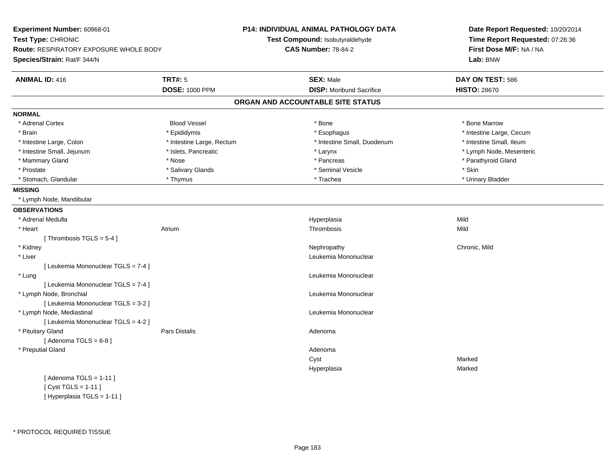| Experiment Number: 60968-01            |                            | P14: INDIVIDUAL ANIMAL PATHOLOGY DATA | Date Report Requested: 10/20/2014<br>Time Report Requested: 07:26:36 |
|----------------------------------------|----------------------------|---------------------------------------|----------------------------------------------------------------------|
| Test Type: CHRONIC                     |                            | Test Compound: Isobutyraldehyde       |                                                                      |
| Route: RESPIRATORY EXPOSURE WHOLE BODY | <b>CAS Number: 78-84-2</b> |                                       | First Dose M/F: NA / NA                                              |
| Species/Strain: Rat/F 344/N            |                            |                                       | Lab: BNW                                                             |
| <b>ANIMAL ID: 416</b>                  | <b>TRT#: 5</b>             | <b>SEX: Male</b>                      | DAY ON TEST: 586                                                     |
|                                        | <b>DOSE: 1000 PPM</b>      | <b>DISP: Moribund Sacrifice</b>       | <b>HISTO: 28670</b>                                                  |
|                                        |                            | ORGAN AND ACCOUNTABLE SITE STATUS     |                                                                      |
| <b>NORMAL</b>                          |                            |                                       |                                                                      |
| * Adrenal Cortex                       | <b>Blood Vessel</b>        | * Bone                                | * Bone Marrow                                                        |
| * Brain                                | * Epididymis               | * Esophagus                           | * Intestine Large, Cecum                                             |
| * Intestine Large, Colon               | * Intestine Large, Rectum  | * Intestine Small, Duodenum           | * Intestine Small, Ileum                                             |
| * Intestine Small, Jejunum             | * Islets, Pancreatic       | * Larynx                              | * Lymph Node, Mesenteric                                             |
| * Mammary Gland                        | * Nose                     | * Pancreas                            | * Parathyroid Gland                                                  |
| * Prostate                             | * Salivary Glands          | * Seminal Vesicle                     | * Skin                                                               |
| * Stomach, Glandular                   | * Thymus                   | * Trachea                             | * Urinary Bladder                                                    |
| <b>MISSING</b>                         |                            |                                       |                                                                      |
| * Lymph Node, Mandibular               |                            |                                       |                                                                      |
| <b>OBSERVATIONS</b>                    |                            |                                       |                                                                      |
| * Adrenal Medulla                      |                            | Hyperplasia                           | Mild                                                                 |
| * Heart                                | Atrium                     | Thrombosis                            | Mild                                                                 |
| [Thrombosis TGLS = $5-4$ ]             |                            |                                       |                                                                      |
| * Kidney                               |                            | Nephropathy                           | Chronic, Mild                                                        |
| * Liver                                |                            | Leukemia Mononuclear                  |                                                                      |
| [ Leukemia Mononuclear TGLS = 7-4 ]    |                            |                                       |                                                                      |
| * Lung                                 |                            | Leukemia Mononuclear                  |                                                                      |
| [ Leukemia Mononuclear TGLS = 7-4 ]    |                            |                                       |                                                                      |
| * Lymph Node, Bronchial                |                            | Leukemia Mononuclear                  |                                                                      |
| [ Leukemia Mononuclear TGLS = 3-2 ]    |                            |                                       |                                                                      |
| * Lymph Node, Mediastinal              |                            | Leukemia Mononuclear                  |                                                                      |
| [ Leukemia Mononuclear TGLS = 4-2 ]    |                            |                                       |                                                                      |
| * Pituitary Gland                      | Pars Distalis              | Adenoma                               |                                                                      |
| [Adenoma TGLS = $6-8$ ]                |                            |                                       |                                                                      |
| * Preputial Gland                      |                            | Adenoma                               |                                                                      |
|                                        |                            | Cyst                                  | Marked                                                               |
|                                        |                            | Hyperplasia                           | Marked                                                               |
| [Adenoma TGLS = $1-11$ ]               |                            |                                       |                                                                      |
| [ Cyst TGLS = 1-11 ]                   |                            |                                       |                                                                      |

[ Hyperplasia TGLS = 1-11 ]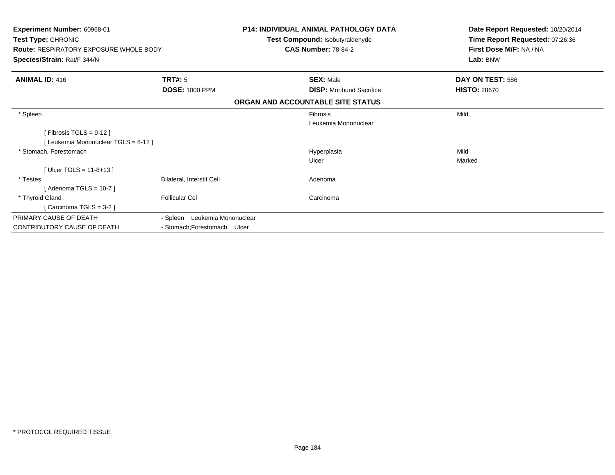| Experiment Number: 60968-01<br>Test Type: CHRONIC<br><b>Route: RESPIRATORY EXPOSURE WHOLE BODY</b><br>Species/Strain: Rat/F 344/N |                                         | <b>P14: INDIVIDUAL ANIMAL PATHOLOGY DATA</b><br>Test Compound: Isobutyraldehyde<br><b>CAS Number: 78-84-2</b> | Date Report Requested: 10/20/2014<br>Time Report Requested: 07:26:36<br>First Dose M/F: NA / NA<br>Lab: BNW |
|-----------------------------------------------------------------------------------------------------------------------------------|-----------------------------------------|---------------------------------------------------------------------------------------------------------------|-------------------------------------------------------------------------------------------------------------|
| <b>ANIMAL ID: 416</b>                                                                                                             | <b>TRT#: 5</b><br><b>DOSE: 1000 PPM</b> | <b>SEX: Male</b><br><b>DISP:</b> Moribund Sacrifice                                                           | DAY ON TEST: 586<br><b>HISTO: 28670</b>                                                                     |
|                                                                                                                                   |                                         | ORGAN AND ACCOUNTABLE SITE STATUS                                                                             |                                                                                                             |
| * Spleen                                                                                                                          |                                         | Fibrosis<br>Leukemia Mononuclear                                                                              | Mild                                                                                                        |
| [Fibrosis TGLS = $9-12$ ]                                                                                                         |                                         |                                                                                                               |                                                                                                             |
| [Leukemia Mononuclear TGLS = 8-12]                                                                                                |                                         |                                                                                                               |                                                                                                             |
| * Stomach, Forestomach                                                                                                            |                                         | Hyperplasia                                                                                                   | Mild                                                                                                        |
|                                                                                                                                   |                                         | Ulcer                                                                                                         | Marked                                                                                                      |
| [Ulcer TGLS = 11-8+13]                                                                                                            |                                         |                                                                                                               |                                                                                                             |
| * Testes                                                                                                                          | Bilateral, Interstit Cell               | Adenoma                                                                                                       |                                                                                                             |
| [ Adenoma TGLS = 10-7 ]                                                                                                           |                                         |                                                                                                               |                                                                                                             |
| * Thyroid Gland                                                                                                                   | <b>Follicular Cel</b>                   | Carcinoma                                                                                                     |                                                                                                             |
| Carcinoma TGLS = 3-2 ]                                                                                                            |                                         |                                                                                                               |                                                                                                             |
| PRIMARY CAUSE OF DEATH                                                                                                            | - Spleen Leukemia Mononuclear           |                                                                                                               |                                                                                                             |
| CONTRIBUTORY CAUSE OF DEATH                                                                                                       | - Stomach; Forestomach Ulcer            |                                                                                                               |                                                                                                             |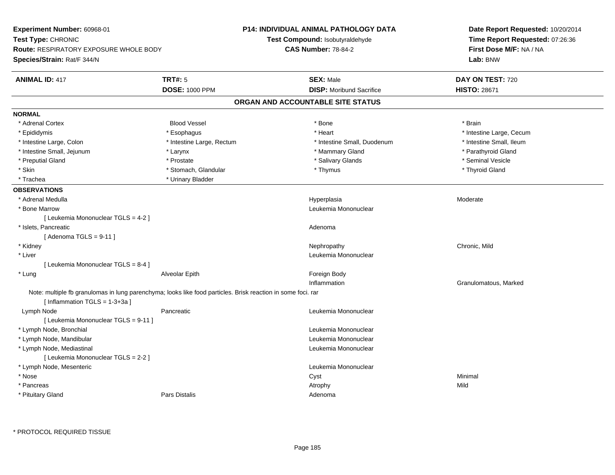| Experiment Number: 60968-01            |                                                                                                              | <b>P14: INDIVIDUAL ANIMAL PATHOLOGY DATA</b> | Date Report Requested: 10/20/2014<br>Time Report Requested: 07:26:36<br>First Dose M/F: NA / NA |  |
|----------------------------------------|--------------------------------------------------------------------------------------------------------------|----------------------------------------------|-------------------------------------------------------------------------------------------------|--|
| Test Type: CHRONIC                     |                                                                                                              | Test Compound: Isobutyraldehyde              |                                                                                                 |  |
| Route: RESPIRATORY EXPOSURE WHOLE BODY |                                                                                                              | <b>CAS Number: 78-84-2</b>                   |                                                                                                 |  |
| Species/Strain: Rat/F 344/N            |                                                                                                              |                                              | Lab: BNW                                                                                        |  |
| <b>ANIMAL ID: 417</b>                  | <b>TRT#: 5</b>                                                                                               | <b>SEX: Male</b>                             | DAY ON TEST: 720                                                                                |  |
|                                        | <b>DOSE: 1000 PPM</b>                                                                                        | <b>DISP:</b> Moribund Sacrifice              | <b>HISTO: 28671</b>                                                                             |  |
|                                        |                                                                                                              | ORGAN AND ACCOUNTABLE SITE STATUS            |                                                                                                 |  |
| <b>NORMAL</b>                          |                                                                                                              |                                              |                                                                                                 |  |
| * Adrenal Cortex                       | <b>Blood Vessel</b>                                                                                          | * Bone                                       | * Brain                                                                                         |  |
| * Epididymis                           | * Esophagus                                                                                                  | * Heart                                      | * Intestine Large, Cecum                                                                        |  |
| * Intestine Large, Colon               | * Intestine Large, Rectum                                                                                    | * Intestine Small, Duodenum                  | * Intestine Small, Ileum                                                                        |  |
| * Intestine Small, Jejunum             | * Larynx                                                                                                     | * Mammary Gland                              | * Parathyroid Gland                                                                             |  |
| * Preputial Gland                      | * Prostate                                                                                                   | * Salivary Glands                            | * Seminal Vesicle                                                                               |  |
| * Skin                                 | * Stomach, Glandular                                                                                         | * Thymus                                     | * Thyroid Gland                                                                                 |  |
| * Trachea                              | * Urinary Bladder                                                                                            |                                              |                                                                                                 |  |
| <b>OBSERVATIONS</b>                    |                                                                                                              |                                              |                                                                                                 |  |
| * Adrenal Medulla                      |                                                                                                              | Hyperplasia                                  | Moderate                                                                                        |  |
| * Bone Marrow                          |                                                                                                              | Leukemia Mononuclear                         |                                                                                                 |  |
| [ Leukemia Mononuclear TGLS = 4-2 ]    |                                                                                                              |                                              |                                                                                                 |  |
| * Islets, Pancreatic                   |                                                                                                              | Adenoma                                      |                                                                                                 |  |
| [Adenoma TGLS = $9-11$ ]               |                                                                                                              |                                              |                                                                                                 |  |
| * Kidney                               |                                                                                                              | Nephropathy                                  | Chronic, Mild                                                                                   |  |
| * Liver                                |                                                                                                              | Leukemia Mononuclear                         |                                                                                                 |  |
| [ Leukemia Mononuclear TGLS = 8-4 ]    |                                                                                                              |                                              |                                                                                                 |  |
| * Lung                                 | Alveolar Epith                                                                                               | Foreign Body                                 |                                                                                                 |  |
|                                        |                                                                                                              | Inflammation                                 | Granulomatous, Marked                                                                           |  |
| [Inflammation $TGLS = 1-3+3a$ ]        | Note: multiple fb granulomas in lung parenchyma; looks like food particles. Brisk reaction in some foci. rar |                                              |                                                                                                 |  |
| Lymph Node                             | Pancreatic                                                                                                   | Leukemia Mononuclear                         |                                                                                                 |  |
| [ Leukemia Mononuclear TGLS = 9-11 ]   |                                                                                                              |                                              |                                                                                                 |  |
| * Lymph Node, Bronchial                |                                                                                                              | Leukemia Mononuclear                         |                                                                                                 |  |
| * Lymph Node, Mandibular               |                                                                                                              | Leukemia Mononuclear                         |                                                                                                 |  |
| * Lymph Node, Mediastinal              |                                                                                                              | Leukemia Mononuclear                         |                                                                                                 |  |
| [ Leukemia Mononuclear TGLS = 2-2 ]    |                                                                                                              |                                              |                                                                                                 |  |
| * Lymph Node, Mesenteric               |                                                                                                              | Leukemia Mononuclear                         |                                                                                                 |  |
| * Nose                                 |                                                                                                              | Cyst                                         | Minimal                                                                                         |  |
| * Pancreas                             |                                                                                                              | Atrophy                                      | Mild                                                                                            |  |
| * Pituitary Gland                      | Pars Distalis                                                                                                | Adenoma                                      |                                                                                                 |  |
|                                        |                                                                                                              |                                              |                                                                                                 |  |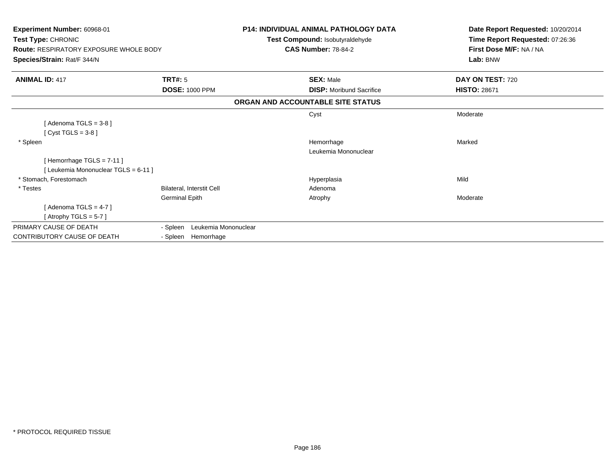| Experiment Number: 60968-01<br>Test Type: CHRONIC<br><b>Route: RESPIRATORY EXPOSURE WHOLE BODY</b> |                                  | <b>P14: INDIVIDUAL ANIMAL PATHOLOGY DATA</b><br>Test Compound: Isobutyraldehyde<br><b>CAS Number: 78-84-2</b> | Date Report Requested: 10/20/2014<br>Time Report Requested: 07:26:36<br>First Dose M/F: NA / NA |  |
|----------------------------------------------------------------------------------------------------|----------------------------------|---------------------------------------------------------------------------------------------------------------|-------------------------------------------------------------------------------------------------|--|
| Species/Strain: Rat/F 344/N                                                                        |                                  |                                                                                                               | Lab: BNW                                                                                        |  |
| <b>ANIMAL ID: 417</b>                                                                              | <b>TRT#: 5</b>                   | <b>SEX: Male</b>                                                                                              | DAY ON TEST: 720                                                                                |  |
|                                                                                                    | <b>DOSE: 1000 PPM</b>            | <b>DISP:</b> Moribund Sacrifice                                                                               | <b>HISTO: 28671</b>                                                                             |  |
|                                                                                                    |                                  | ORGAN AND ACCOUNTABLE SITE STATUS                                                                             |                                                                                                 |  |
|                                                                                                    |                                  | Cyst                                                                                                          | Moderate                                                                                        |  |
| [Adenoma TGLS = $3-8$ ]                                                                            |                                  |                                                                                                               |                                                                                                 |  |
| [Cyst TGLS = $3-8$ ]                                                                               |                                  |                                                                                                               |                                                                                                 |  |
| * Spleen                                                                                           |                                  | Hemorrhage                                                                                                    | Marked                                                                                          |  |
|                                                                                                    |                                  | Leukemia Mononuclear                                                                                          |                                                                                                 |  |
| [Hemorrhage $TGLS = 7-11$ ]                                                                        |                                  |                                                                                                               |                                                                                                 |  |
| [Leukemia Mononuclear TGLS = 6-11]                                                                 |                                  |                                                                                                               |                                                                                                 |  |
| * Stomach, Forestomach                                                                             |                                  | Hyperplasia                                                                                                   | Mild                                                                                            |  |
| * Testes                                                                                           | <b>Bilateral, Interstit Cell</b> | Adenoma                                                                                                       |                                                                                                 |  |
|                                                                                                    | <b>Germinal Epith</b>            | Atrophy                                                                                                       | Moderate                                                                                        |  |
| [Adenoma TGLS = $4-7$ ]                                                                            |                                  |                                                                                                               |                                                                                                 |  |
| [Atrophy TGLS = $5-7$ ]                                                                            |                                  |                                                                                                               |                                                                                                 |  |
| PRIMARY CAUSE OF DEATH                                                                             | Leukemia Mononuclear<br>- Spleen |                                                                                                               |                                                                                                 |  |
| CONTRIBUTORY CAUSE OF DEATH                                                                        | - Spleen Hemorrhage              |                                                                                                               |                                                                                                 |  |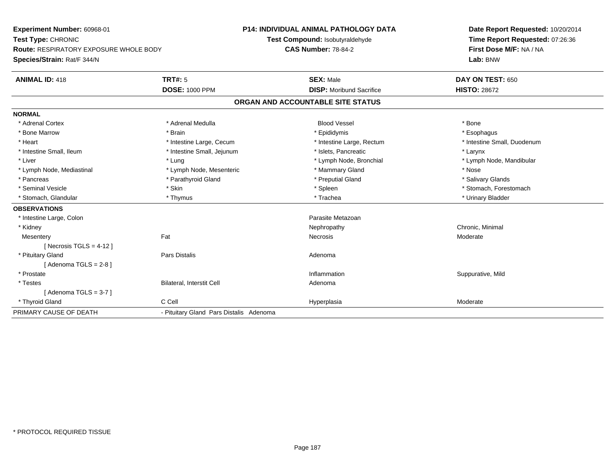**Experiment Number:** 60968-01**Test Type:** CHRONIC **Route:** RESPIRATORY EXPOSURE WHOLE BODY**Species/Strain:** Rat/F 344/N**P14: INDIVIDUAL ANIMAL PATHOLOGY DATATest Compound:** Isobutyraldehyde**CAS Number:** 78-84-2**Date Report Requested:** 10/20/2014**Time Report Requested:** 07:26:36**First Dose M/F:** NA / NA**Lab:** BNW**ANIMAL ID:** 418**TRT#:** 5 **SEX:** Male **DAY ON TEST:** 650 **DOSE:** 1000 PPM**DISP:** Moribund Sacrifice **HISTO:** 28672 **ORGAN AND ACCOUNTABLE SITE STATUSNORMAL**\* Adrenal Cortex \* Adrenal Medulla \* \* Book \* Blood Vessel \* Book \* Bone \* Bone \* Bone \* Bone \* Bone \* Bone \* Bone \* Bone \* Bone \* Esophagus \* Bone Marrow \* Brain \* Epididymis \* Esophagus \* Intestine Small, Duodenum \* Heart \* Intestine Large, Cecum \* Intestine Large, Cecum \* Intestine Large, Rectum \* Intestine Small, Ileum \* Thestine Small, Jejunum \* 1998 \* Islets, Pancreatic \* The manus \* Larynx \* Larynx \* Liver which is the settlement of the term of the settlement of the settlement of the settlement of the settlement of the settlement of the settlement of the settlement of the settlement of the settlement of the settlemen \* Lymph Node, Mediastinal \* Nose \* Lymph Node, Mesenteric \* \* Mammary Gland \* Memmary Gland \* Nose \* Salivary Glands \* Pancreas \* And the section of the section of the section of the section of the section of the section of the section of the section of the section of the section of the section of the section of the section of the sectio \* Seminal Vesicle \* The state of the set of the set of the set of the set of the set of the set of the set of the set of the set of the set of the set of the set of the set of the set of the set of the set of the set of th \* Stomach, Glandular \* \* \* Thymus \* \* Thymus \* \* The \* \* Trachea \* \* Trachea \* \* Urinary Bladder \* \* Urinary Bladder \* **OBSERVATIONS** \* Intestine Large, Colon Parasite Metazoan \* Kidneyy the controller controller that the controller controller the controller controller chronic, Minimal of the chronic, Minimal of the chronic, Minimal of the chronic chronic, Minimal of the chronic chronic chronic chronic c **Mesentery** y the control of the state of the control of the Necrosis and the Moderate of the Moderate of the Moderate of the Moderate of the Moderate of the Moderate of the Moderate of the Moderate of the Moderate of the Moderate of  $[$  Necrosis TGLS = 4-12  $]$  \* Pituitary Glandd and the contract of Pars Distalis and the contract of Adenoma and Adenoma and the Adenoma and the Adenoma and  $\lambda$  $[$  Adenoma TGLS = 2-8  $]$  \* Prostatee inflammation inflammation in the suppurative, Mild (Suppurative, Mild in the suppurative, Mild in the suppurative, Mild in the suppurative, Mild in the suppurative, Mild in the suppurative, Mild in the suppurative, Mild \* TestesBilateral, Interstit Cell **Adenoma** Adenoma  $[$  Adenoma TGLS = 3-7  $]$  \* Thyroid Glandd and the CCell CCell Constants of the Hyperplasia Moderate Moderate Moderate of the Moderate of the Moderate  $\sim$ PRIMARY CAUSE OF DEATH- Pituitary Gland Pars Distalis Adenoma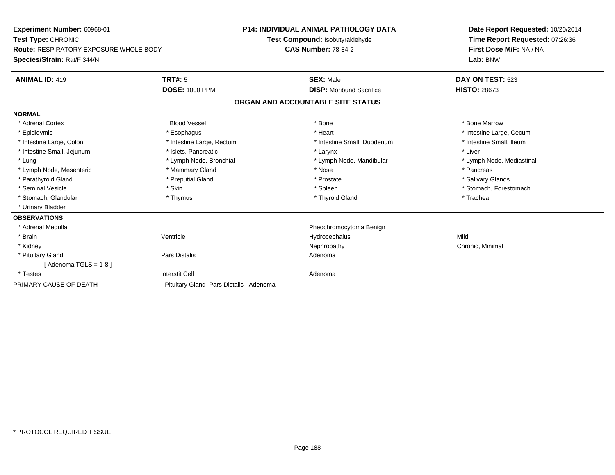**Experiment Number:** 60968-01**Test Type:** CHRONIC **Route:** RESPIRATORY EXPOSURE WHOLE BODY**Species/Strain:** Rat/F 344/N**P14: INDIVIDUAL ANIMAL PATHOLOGY DATATest Compound:** Isobutyraldehyde**CAS Number:** 78-84-2**Date Report Requested:** 10/20/2014**Time Report Requested:** 07:26:36**First Dose M/F:** NA / NA**Lab:** BNW**ANIMAL ID:** 419**TRT#:** 5 **SEX:** Male **DAY ON TEST:** 523 **DOSE:** 1000 PPM**DISP:** Moribund Sacrifice **HISTO:** 28673 **ORGAN AND ACCOUNTABLE SITE STATUSNORMAL**\* Adrenal Cortex \* Adrenal Cortex \* Attack the state of the state of the Blood Vessel the state of the state of the state of the Marrow \* Bone Marrow \* Bone Marrow \* Bone Marrow \* Bone Marrow \* Bone Marrow \* Bone Marrow \* Bone Marrow \* Bon \* Epididymis \* https://www.fragusta.com/windows/windows/windows/windows/windows/windows/windows/windows/windows/ \* Intestine Small, Ileum \* Intestine Large, Colon \* Intestine Large, Rectum \* Intestine Small, Duodenum \* Intestine Small, Duodenum \* Intestine Small, Jejunum \* 1998 \* The settlement of the settlement of the settlement of the settlement of the settlement of the settlement of the settlement of the settlement of the settlement of the settlement of the se \* Lung **\* Lymph Node, Bronchial \*** Lymph Node, Bronchial \* Lymph Node, Mandibular \* Lymph Node, Mediastinal \* Lymph Node, Mesenteric \* \* The mannery Gland \* Mammary Gland \* Nose \* Nose \* \* Pancreas \* Pancreas \* Pancreas \* Salivary Glands \* Parathyroid Gland \* **Example 20** \* Preputial Gland \* Prostate \* Prostate \* Prostate \* Seminal Vesicle \* The state of the set of the set of the set of the set of the set of the set of the set of the set of the set of the set of the set of the set of the set of the set of the set of the set of the set of th \* Stomach, Glandular \* Thymus \* Thyroid Gland \* Trachea \* Urinary Bladder**OBSERVATIONS** \* Adrenal Medulla Pheochromocytoma Benign \* Brainn and the Unit of the Unit of the Mild of the Mild of the Mild of the Mild of the Mild of the Mild of the Mild o \* Kidneyy the controller controller that the controller controller the controller controller chronic, Minimal of the chronic, Minimal of the chronic, Minimal of the chronic chronic, Minimal of the chronic chronic chronic chronic c \* Pituitary Glandd and the contract of Pars Distalis and the contract of Adenoma and Adenoma and the Adenoma and the Adenoma and  $\lambda$  $[$  Adenoma TGLS = 1-8  $]$  \* Testess and the contract of the contract of the contract of the contract of the contract of the contract of the contract of the contract of the contract of the contract of the contract of the contract of the contract of the cont PRIMARY CAUSE OF DEATH- Pituitary Gland Pars Distalis Adenoma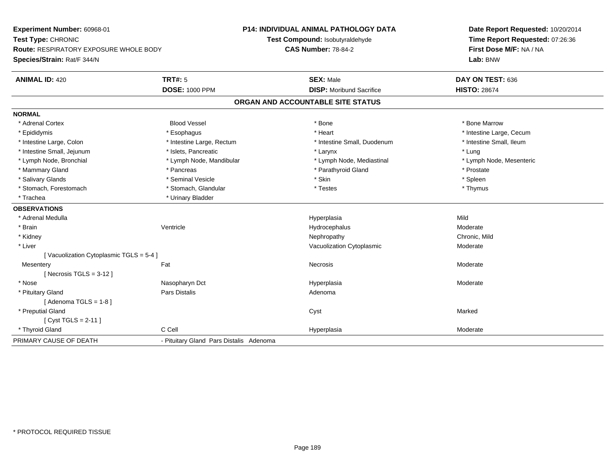**Experiment Number:** 60968-01**Test Type:** CHRONIC **Route:** RESPIRATORY EXPOSURE WHOLE BODY**Species/Strain:** Rat/F 344/N**P14: INDIVIDUAL ANIMAL PATHOLOGY DATATest Compound:** Isobutyraldehyde**CAS Number:** 78-84-2**Date Report Requested:** 10/20/2014**Time Report Requested:** 07:26:36**First Dose M/F:** NA / NA**Lab:** BNW**ANIMAL ID:** 420**TRT#:** 5 **SEX:** Male **DAY ON TEST:** 636 **DOSE:** 1000 PPM**DISP:** Moribund Sacrifice **HISTO:** 28674 **ORGAN AND ACCOUNTABLE SITE STATUSNORMAL**\* Adrenal Cortex \* Adrenal Cortex \* Attack the state of the state of the Blood Vessel the state of the state of the state of the Marrow \* Bone Marrow \* Bone Marrow \* Bone Marrow \* Bone Marrow \* Bone Marrow \* Bone Marrow \* Bone Marrow \* Bon \* Epididymis \* https://www.fragusta.com/windows/windows/windows/windows/windows/windows/windows/windows/windows/ \* Intestine Small. Ileum \* Intestine Large, Colon \* Intestine Large, Rectum \* Intestine Small, Duodenum \* Intestine Small, Duodenum \* Intestine Small, Jejunum \* 1997 \* The state of the state of the state of the state of the state of the state of the state of the state of the state of the state of the state of the state of the state of the state of the \* Lymph Node, Mesenteric \* Lymph Node, Bronchial \* Lymph Node, Mandibular \* Lymph Node, Mediastinal \* Lymph Node, Mediastinal \* Mammary Gland \* Pancreas \* Pancreas \* Pancreas \* Parathyroid Gland \* Prostate \* Prostate \* Prostate \* Spleen \* Salivary Glands \* \* \* Sheen \* Seminal Vesicle \* \* \* Stan \* \* Skin \* \* Skin \* \* Spleen \* \* Spleen \* \* Spleen \* \* Thymus \* Stomach, Forestomach \* Testes \* Stomach, Glandular \* Testes \* Testes \* Testes \* Testes \* Testes \* Testes \* T \* Trachea **\*** Urinary Bladder **OBSERVATIONS** \* Adrenal Medulla Hyperplasia Mild \* Brainn wenne alle the Ventricle wenne and the Hydrocephalus Moderate Moderate Moderate Moderate and the Ventricle o \* Kidneyy the controller of the controller of the controller of the controller of the controller of the chronic, Mild \* Liver Vacuolization Cytoplasmic Moderate[ Vacuolization Cytoplasmic TGLS = 5-4 ]**Mesentery** y the control of the state of the control of the Necrosis and the Moderate of the Moderate of the Moderate of the Moderate of the Moderate of the Moderate of the Moderate of the Moderate of the Moderate of the Moderate of  $[$  Necrosis TGLS = 3-12  $]$  \* Nose Nasopharyn Dct Hyperplasia Moderate \* Pituitary Glandd and the contract of Pars Distalis and the contract of Adenoma and Adenoma and the Adenoma and the Adenoma and  $\lambda$  $[$  Adenoma TGLS = 1-8  $]$  \* Preputial Glandd and the control of the control of the control of the control of the control of the control of the control of the control of the control of the control of the control of the control of the control of the control of the co [ Cyst TGLS = 2-11 ] \* Thyroid Glandd and the CCell CCell Constants of the Hyperplasia Moderate Moderate Moderate of the Moderate of the Moderate  $\sim$ PRIMARY CAUSE OF DEATH- Pituitary Gland Pars Distalis Adenoma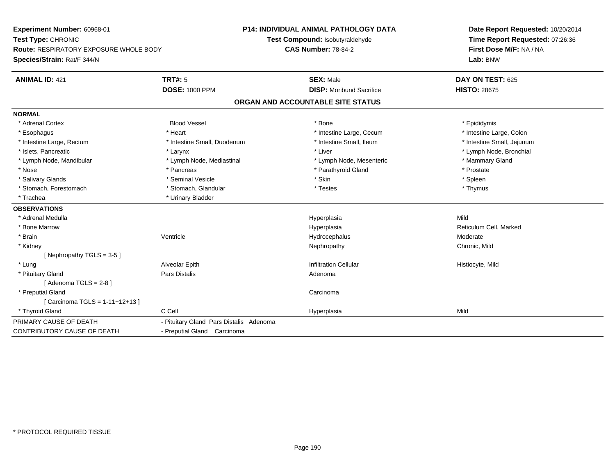**Experiment Number:** 60968-01**Test Type:** CHRONIC **Route:** RESPIRATORY EXPOSURE WHOLE BODY**Species/Strain:** Rat/F 344/N**P14: INDIVIDUAL ANIMAL PATHOLOGY DATATest Compound:** Isobutyraldehyde**CAS Number:** 78-84-2**Date Report Requested:** 10/20/2014**Time Report Requested:** 07:26:36**First Dose M/F:** NA / NA**Lab:** BNW**ANIMAL ID:** 421**TRT#:** 5 **SEX:** Male **DAY ON TEST:** 625 **DOSE:** 1000 PPM**DISP:** Moribund Sacrifice **HISTO:** 28675 **ORGAN AND ACCOUNTABLE SITE STATUSNORMAL**\* Adrenal Cortex \* Adrenal Cortex \* \* Epididymis \* Adrenal Cortex \* \* Epididymis \* Bone \* \* Epididymis \* Epididymis \* Epididymis \* Epididymis \* Epididymis \* Epididymis \* Epididymis \* Epididymis \* Epididymis \* Epididymis \* Epididymis \* Epid \* Intestine Large, Colon \* Esophagus \* **Heart \* Intestine Large, Cecum \* Intestine Large, Cecum \*** Intestine Large, Cecum \* Intestine Large, Rectum \* Thestine Small, Duodenum \* Number of the small, Ileum \* Intestine Small, Jejunum \* Intestine Small, Jejunum \* Islets, Pancreatic \* Larynx \* Liver \* Lymph Node, Bronchial \* Lymph Node, Mandibular \* The mode of the Mediastinal The Mediastinal the Mediastinal the Mediasting the Mammary Gland \* Nose \* Pancreas \* Pancreas \* Pancreas \* Parathyroid Gland \* Prostate \* Prostate \* Spleen \* Salivary Glands \* \* \* Sheen \* Seminal Vesicle \* \* \* Stan \* \* Skin \* \* Skin \* \* Spleen \* \* Spleen \* \* Spleen \* \* Thymus \* Stomach, Forestomach \* Testes \* Stomach, Glandular \* Testes \* Testes \* Testes \* Trachea **\*** Urinary Bladder **OBSERVATIONS** \* Adrenal Medulla Hyperplasia Mild \* Bone Marroww where the controller experiment of the Hyperplasia and the Reticulum Cell, Marked and Reticulum Cell, Marked \* Brainn wenne alle the Ventricle wenne and the Hydrocephalus Moderate Moderate Moderate Moderate and the Ventricle o \* Kidneyy the controller of the controller of the controller of the controller of the controller of the chronic, Mild [ Nephropathy TGLS = 3-5 ] \* Lung Alveolar Epith Infiltration Cellular Histiocyte, Mild \* Pituitary Glandd and the contract of Pars Distalis and the contract of Adenoma and Adenoma and the Adenoma and the Adenoma and  $\lambda$  $[$  Adenoma TGLS = 2-8  $]$  \* Preputial Glandd<sub>d</sub> Carcinoma [ Carcinoma TGLS = 1-11+12+13 ] \* Thyroid Gland C Cell Hyperplasia Mild PRIMARY CAUSE OF DEATH - Pituitary Gland Pars Distalis Adenoma CONTRIBUTORY CAUSE OF DEATH- Preputial Gland Carcinoma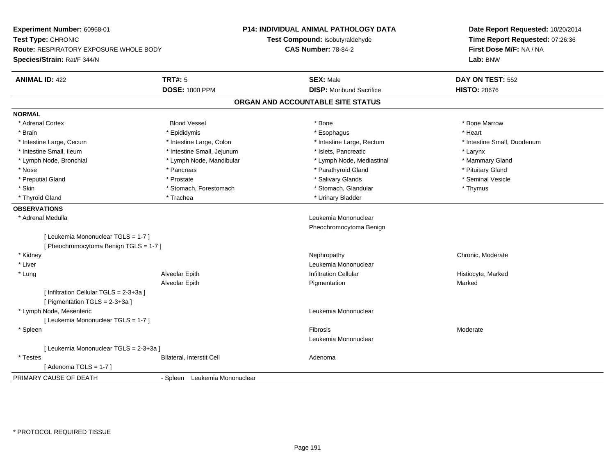**Experiment Number:** 60968-01**Test Type:** CHRONIC **Route:** RESPIRATORY EXPOSURE WHOLE BODY**Species/Strain:** Rat/F 344/N**P14: INDIVIDUAL ANIMAL PATHOLOGY DATATest Compound:** Isobutyraldehyde**CAS Number:** 78-84-2**Date Report Requested:** 10/20/2014**Time Report Requested:** 07:26:36**First Dose M/F:** NA / NA**Lab:** BNW**ANIMAL ID:** 422**TRT#:** 5 **SEX:** Male **DAY ON TEST:** 552 **DOSE:** 1000 PPM**DISP:** Moribund Sacrifice **HISTO:** 28676 **ORGAN AND ACCOUNTABLE SITE STATUSNORMAL**\* Adrenal Cortex \* Adrenal Cortex \* Attack the state of the state of the Blood Vessel the state of the state of the state of the Marrow \* Bone Marrow \* Bone Marrow \* Bone Marrow \* Bone Marrow \* Bone Marrow \* Bone Marrow \* Bone Marrow \* Bon \* Brain \* \* Esophagus \* \* Esophagus \* \* Esophagus \* \* Esophagus \* \* Esophagus \* Heart \* Heart \* Heart \* Heart \* Intestine Large, Cecum \* Intestine Large, Colon \* Intestine Large, Rectum \* Intestine Small, Duodenum \* Intestine Small, Ileum \* Intestine Small, Jejunum \* Islets, Pancreatic \* Larynx\* Mammary Gland \* Lymph Node, Bronchial \* Lymph Node, Mandibular \* Lymph Node, Mediastinal \* Lymph Node, Mediastinal \* Nose \* Pancreas \* Pancreas \* Pancreas \* Parathyroid Gland \* Parathyroid Gland \* Pituitary Gland \* Pituitary Stand \* Pituitary Communisty of the standard \* Parathyroid Gland \* Pituitary Gland \* Pituitary Gland \* Pituitary \* Seminal Vesicle \* Preputial Gland \* \* Annual vesicle \* \* Prostate \* \* Salivary Glands \* \* Salivary Glands \* \* Seminal Vesicle \* \* Skin \* Stomach, Forestomach \* Stomach \* Stomach, Glandular \* Thymus \* Thymus \* Thyroid Gland \* Trachea \* Trachea \* Trachea \* Thyroid Gland \* Urinary Bladder **OBSERVATIONS** \* Adrenal Medulla Leukemia Mononuclear Pheochromocytoma Benign[ Leukemia Mononuclear TGLS = 1-7 ][ Pheochromocytoma Benign TGLS = 1-7 ] \* Kidneyy which is a controlled that the controller controller the chronic of the chronic chronic, Moderate  $\lambda$  \* Liver Leukemia Mononuclear \* Lung Alveolar Epith Infiltration Cellular Histiocyte, Marked Alveolar Epithh ann an Dùmhanasachadh Pigmentation ann an Dùmhan Marked Marked ann an Aonaichte an Aonaichte an Aonaichte an [ Infiltration Cellular TGLS = 2-3+3a ][ Pigmentation TGLS = 2-3+3a ] \* Lymph Node, Mesenteric Leukemia Mononuclear [ Leukemia Mononuclear TGLS = 1-7 ] \* Spleenn and the state of the state of the state of the state of the state of the state of the state of the state of the state of the state of the state of the state of the state of the state of the state of the state of the stat Leukemia Mononuclear[ Leukemia Mononuclear TGLS = 2-3+3a ] \* TestesBilateral, Interstit Cell **Adenoma** Adenoma  $[$  Adenoma TGLS = 1-7  $]$ PRIMARY CAUSE OF DEATH- Spleen Leukemia Mononuclear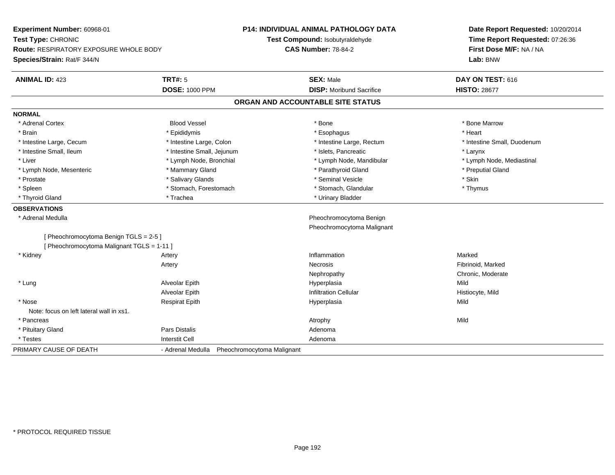**Experiment Number:** 60968-01**Test Type:** CHRONIC **Route:** RESPIRATORY EXPOSURE WHOLE BODY**Species/Strain:** Rat/F 344/N**P14: INDIVIDUAL ANIMAL PATHOLOGY DATATest Compound:** Isobutyraldehyde**CAS Number:** 78-84-2**Date Report Requested:** 10/20/2014**Time Report Requested:** 07:26:36**First Dose M/F:** NA / NA**Lab:** BNW**ANIMAL ID:** 423**TRT#:** 5 **SEX:** Male **DAY ON TEST:** 616 **DOSE:** 1000 PPM**DISP:** Moribund Sacrifice **HISTO: 28677 ORGAN AND ACCOUNTABLE SITE STATUSNORMAL**\* Adrenal Cortex \* Adrenal Cortex \* Attack the state of the state of the Blood Vessel the state of the state of the state of the Marrow \* Bone Marrow \* Bone Marrow \* Bone Marrow \* Bone Marrow \* Bone Marrow \* Bone Marrow \* Bone Marrow \* Bon \* Brain \* \* Esophagus \* \* Esophagus \* \* Esophagus \* \* Esophagus \* \* Esophagus \* Heart \* Heart \* Heart \* Heart \* Intestine Large, Cecum \* Intestine Large, Colon \* Intestine Large, Rectum \* Intestine Small, Duodenum\* Intestine Small, Ileum \* Thestine Small, Jejunum \* 1998 \* Islets, Pancreatic \* The manus \* Larynx \* Larynx \* Lymph Node, Mediastinal \* Liver \* Lymph Node, Bronchial \* Lymph Node, Annual \* Lymph Node, Mandibular \* Lymph Node, Mandibular \* Lymph Node, Mesenteric \* The puting the Mammary Gland \* The mathyroid Gland \* Parathyroid Gland \* Preputial Gland \* Prostate \* \* Salivary Glands \* \* Salivary Glands \* \* Seminal Vesicle \* \* \* Seminal Yestrich \* \* Skin \* \* Skin \* Thymus \* Spleen \* Stomach, Forestomach \* Stomach, Forestomach \* Stomach, Slandular \* Stomach, Glandular \* Thyroid Gland \* Trachea \* Trachea \* Trachea \* Thyroid Gland **OBSERVATIONS** \* Adrenal Medulla Pheochromocytoma Benign Pheochromocytoma Malignant[ Pheochromocytoma Benign TGLS = 2-5 ][ Pheochromocytoma Malignant TGLS = 1-11 ] \* Kidneyy the control of the control of the control of the control of the control of the control of the control of the control of the control of the control of the control of the control of the control of the control of the contro n Marked Artery Necrosis Fibrinoid, Markedy **Chronic, Moderate** Chronic, Moderate Nephropathy \* Lung Alveolar Epith Hyperplasia Mild Alveolar EpithInfiltration Cellular **Histiocyte**, Mild \* Nose Respirat Epith Hyperplasia Mild Note: focus on left lateral wall in xs1. \* Pancreass the control of the control of the control of the control of the control of the control of the control of the control of the control of the control of the control of the control of the control of the control of the contro \* Pituitary Glandd and the contract of Pars Distalis and the contract of Adenoma and Adenoma and the Adenoma and the Adenoma and  $\lambda$  \* Testess and the contract of the contract of the contract of the contract of the contract of the contract of the contract of the contract of the contract of the contract of the contract of the contract of the contract of the cont PRIMARY CAUSE OF DEATH- Adrenal Medulla Pheochromocytoma Malignant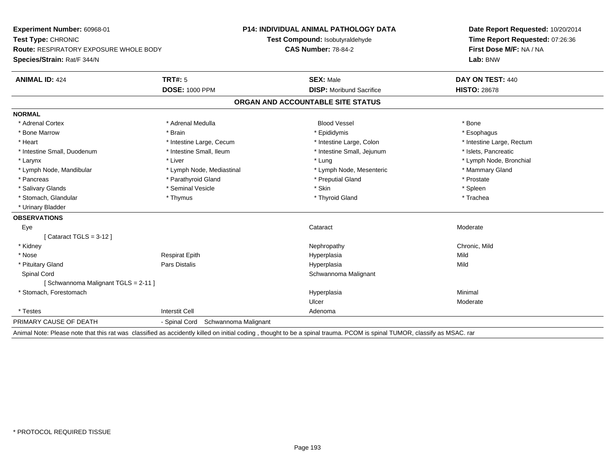**Experiment Number:** 60968-01**Test Type:** CHRONIC **Route:** RESPIRATORY EXPOSURE WHOLE BODY**Species/Strain:** Rat/F 344/N**P14: INDIVIDUAL ANIMAL PATHOLOGY DATATest Compound:** Isobutyraldehyde**CAS Number:** 78-84-2**Date Report Requested:** 10/20/2014**Time Report Requested:** 07:26:36**First Dose M/F:** NA / NA**Lab:** BNW**ANIMAL ID:** 424**TRT#:** 5 **SEX:** Male **DAY ON TEST:** 440 **DOSE:** 1000 PPM**DISP:** Moribund Sacrifice **HISTO:** 28678 **ORGAN AND ACCOUNTABLE SITE STATUSNORMAL**\* Adrenal Cortex \* Adrenal Cortex \* Adrenal Medulla Blood Vessel \* Bone\* Esophagus \* Bone Marrow \* Brain \* Epididymis \* Esophagus \* Heart Thestine Large, Cecum Thestine Large, Cecum Assessment Carge, Colon Thestine Large, Rectum \* Intestine Large, Rectum \* Intestine Large, Rectum \* Intestine Small, Duodenum \* Intestine Small, Ileum \* Intestine Small, Intestine Small, Jejunum \* Islets, Pancreatic \* Larynx \* Louis \* Liver \* Lung \* Lung \* Lung \* Lung \* Lung \* Lymph Node, Bronchial \* Lymph Node, Bronchial \* \* Lymph Node, Mandibular \* Lymph Node, Mediastinal \* Lymph Node, Mesenteric \* Mammary Gland \* Pancreas \* Parathyroid Gland \* Parathyroid Gland \* Preputial Gland \* Preputial Gland \* Prostate \* Spleen \* Salivary Glands \* \* \* Sheen \* Seminal Vesicle \* \* \* Stan \* \* Skin \* \* Skin \* \* Spleen \* \* Spleen \* \* Spleen \* \* Trachea \* Stomach, Glandular \* Thymus \* Thymus \* Thymus \* Thymus \* Thyroid Gland \* Thyroid Gland \* \* Urinary Bladder**OBSERVATIONS** Eyee and the contract of the contract of the contract of the contract of the contract of the contract of the contract of the contract of the contract of the contract of the contract of the contract of the contract of the cont [ Cataract TGLS = 3-12 ] \* Kidneyy the controller of the controller of the controller of the controller of the controller of the chronic, Mild \* Nose Respirat Epith Hyperplasia Mild \* Pituitary Gland Pars Distalis Hyperplasia Mild Spinal Cord Schwannoma Malignant [ Schwannoma Malignant TGLS = 2-11 ] \* Stomach, Forestomachh anns an t-aisimeil anns an t-aisimeil anns an t-aisimeil an t-aisimeil an t-aisimeil an t-aisimeil an t-aisi Ulcer Moderate \* Testess and the contract of the contract of the contract of the contract of the contract of the contract of the contract of the contract of the contract of the contract of the contract of the contract of the contract of the cont PRIMARY CAUSE OF DEATH- Spinal Cord Schwannoma Malignant

Animal Note: Please note that this rat was classified as accidently killed on initial coding , thought to be a spinal trauma. PCOM is spinal TUMOR, classify as MSAC. rar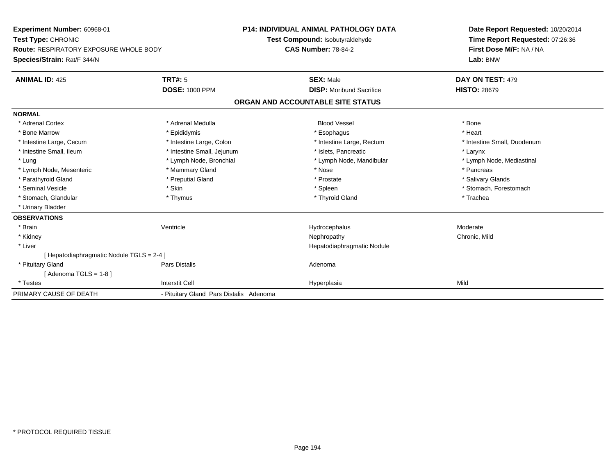**Experiment Number:** 60968-01**Test Type:** CHRONIC **Route:** RESPIRATORY EXPOSURE WHOLE BODY**Species/Strain:** Rat/F 344/N**P14: INDIVIDUAL ANIMAL PATHOLOGY DATATest Compound:** Isobutyraldehyde**CAS Number:** 78-84-2**Date Report Requested:** 10/20/2014**Time Report Requested:** 07:26:36**First Dose M/F:** NA / NA**Lab:** BNW**ANIMAL ID:** 425**TRT#:** 5 **SEX:** Male **DAY ON TEST:** 479 **DOSE:** 1000 PPM**DISP:** Moribund Sacrifice **HISTO:** 28679 **ORGAN AND ACCOUNTABLE SITE STATUSNORMAL**\* Adrenal Cortex \* Adrenal Medulla \* \* Book \* Blood Vessel \* Book \* Bone \* Bone \* Bone \* Bone \* Bone \* Bone \* Bone \* Bone \* Bone \* Heart \* Bone Marrow \* Epididymis \* Esophagus \* Heart \* Intestine Large, Cecum \* Intestine Large, Colon \* Intestine Large, Rectum \* Intestine Small, Duodenum \* Intestine Small, Ileum \* Intestine Small, Jejunum \* Islets, Pancreatic \* Larynx\* Lymph Node, Mediastinal \* Lung \* Lymph Node, Bronchial \* Lymph Node, Mandibular \* Lymph Node, Mandibular \* Lymph Node, Mesenteric \* \* The mannery Gland \* Mammary Gland \* Nose \* Nose \* \* Pancreas \* Pancreas \* Pancreas \* Salivary Glands \* Parathyroid Gland \* **Example 20** \* Preputial Gland \* Prostate \* Prostate \* Prostate \* Seminal Vesicle \* The state of the set of the set of the set of the set of the set of the set of the set of the set of the set of the set of the set of the set of the set of the set of the set of the set of the set of th \* Stomach, Glandular \* Thymus \* Thyroid Gland \* Trachea \* Urinary Bladder**OBSERVATIONS** \* Brainn wenne alle the Ventricle wenne and the Hydrocephalus Moderate Moderate Moderate Moderate and the Ventricle o \* Kidneyy the controller of the controller of the controller of the controller of the controller of the chronic, Mild \* Liver Hepatodiaphragmatic Nodule[ Hepatodiaphragmatic Nodule TGLS = 2-4 ] \* Pituitary Glandd and the contract of Pars Distalis and the contract of Adenoma and Adenoma and the Adenoma and the Adenoma and  $\lambda$  $[$  Adenoma TGLS = 1-8  $]$  \* Testess and the contract of the contract of the contract of the contract of the contract of the contract of the contract of the contract of the contract of the contract of the contract of the contract of the contract of the cont a Mild PRIMARY CAUSE OF DEATH- Pituitary Gland Pars Distalis Adenoma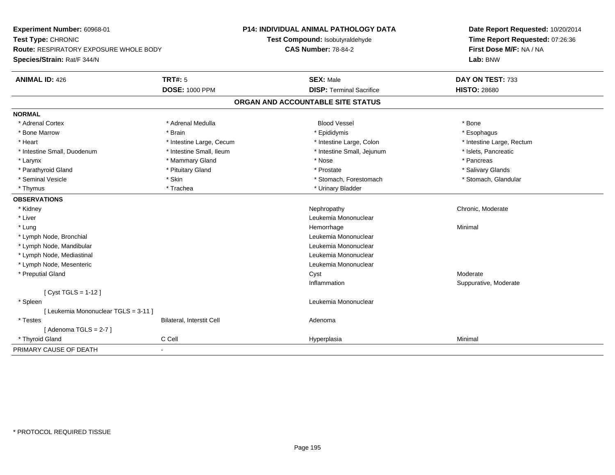**Experiment Number:** 60968-01**Test Type:** CHRONIC **Route:** RESPIRATORY EXPOSURE WHOLE BODY**Species/Strain:** Rat/F 344/N**P14: INDIVIDUAL ANIMAL PATHOLOGY DATATest Compound:** Isobutyraldehyde**CAS Number:** 78-84-2**Date Report Requested:** 10/20/2014**Time Report Requested:** 07:26:36**First Dose M/F:** NA / NA**Lab:** BNW**ANIMAL ID:** 426**6 DAY ON TEST:** 733 **DOSE:** 1000 PPM**DISP:** Terminal Sacrifice **HISTO:** 28680 **ORGAN AND ACCOUNTABLE SITE STATUSNORMAL**\* Adrenal Cortex \* Adrenal Medulla \* \* Book \* Blood Vessel \* Book \* Bone \* Bone \* Bone \* Bone \* Bone \* Bone \* Bone \* Bone \* Bone \* Esophagus \* Bone Marrow \* Brain \* Epididymis \* Esophagus \* Intestine Large, Rectum \* Heart \* Intestine Large, Cecum \* Intestine Large, Cecum \* Intestine Large, Colon \* Intestine Small, Duodenum \* Intestine Small, Ileum \* Intestine Small, Intestine Small, Jejunum \* Islets, Pancreatic \* Larynx \* Mammary Gland \* Nose \* Pancreas \* Salivary Glands \* Parathyroid Gland \* \* \* Pituitary Gland \* \* Prostate \* \* Prostate \* \* Salivary Glands \* Salivary Glands \* Salivary Glands \* Salivary Glands \* Salivary Glands \* Salivary Glands \* Salivary Glands \* Salivary Glands \* Saliva \* Stomach, Glandular \* Seminal Vesicle \* Skin \* Skin \* Skin \* Stomach, Forestomach \* Stomach, Forestomach \* Thymus \* Trachea \* Trachea \* Urinary Bladder **OBSERVATIONS** \* Kidneyy which is a controlled that the controller controller the chronic of the chronic chronic, Moderate  $\lambda$  \* Liver Leukemia Mononuclear \* Lungg and the state of the state of the state of the state of the Minimal Section 1, the state of the state of the Minimal Section 1, the state of the state of the state of the state of the state of the state of the state of t \* Lymph Node, Bronchial Leukemia Mononuclear \* Lymph Node, Mandibular Leukemia Mononuclear \* Lymph Node, Mediastinal Leukemia Mononuclear \* Lymph Node, Mesenteric Leukemia Mononuclear \* Preputial Glandd and the control of the control of the control of the control of the control of the control of the control of the control of the control of the control of the control of the control of the control of the control of the co Inflammation Suppurative, Moderate [ Cyst TGLS = 1-12 ] \* Spleen Leukemia Mononuclear [ Leukemia Mononuclear TGLS = 3-11 ] \* TestesBilateral, Interstit Cell **Adenoma** Adenoma  $[$  Adenoma TGLS = 2-7  $]$  \* Thyroid Gland C Cell Hyperplasia Minimal PRIMARY CAUSE OF DEATH-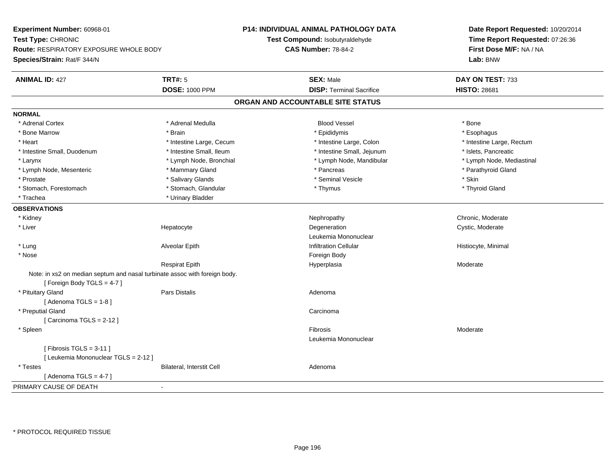**Experiment Number:** 60968-01**Test Type:** CHRONIC **Route:** RESPIRATORY EXPOSURE WHOLE BODY**Species/Strain:** Rat/F 344/N**P14: INDIVIDUAL ANIMAL PATHOLOGY DATATest Compound:** Isobutyraldehyde**CAS Number:** 78-84-2**Date Report Requested:** 10/20/2014**Time Report Requested:** 07:26:36**First Dose M/F:** NA / NA**Lab:** BNW**ANIMAL ID:** 427**TRT#:** 5 **SEX:** Male **DAY ON TEST:** 733 **DOSE:** 1000 PPM**DISP:** Terminal Sacrifice **HISTO:** 28681 **ORGAN AND ACCOUNTABLE SITE STATUSNORMAL**\* Adrenal Cortex \* Adrenal Cortex \* Adrenal Medulla Blood Vessel \* Bone\* Esophagus \* Bone Marrow \* Brain \* Epididymis \* Esophagus \* Heart Thestine Large, Cecum Thestine Large, Cecum Assessment Carge, Colon Thestine Large, Rectum \* Intestine Large, Rectum \* Intestine Large, Rectum \* Intestine Small, Duodenum \* Intestine Small, Ileum \* Intestine Small, Intestine Small, Jejunum \* Islets, Pancreatic \* Lymph Node, Mediastinal \* Larynx **\* Lymph Node, Bronchial \*** Lymph Node, Bronchial \* Lymph Node, Mandibular \* Lymph Node, Mesenteric \* \* Mammary Gland \* Mammary Gland \* Pancreas \* Pancreas \* \* Pancreas \* Parathyroid Gland \* Prostate \* \* Salivary Glands \* \* Salivary Glands \* \* Seminal Vesicle \* \* \* Seminal Yestrich \* \* Skin \* \* Skin \* Thyroid Gland \* Stomach, Forestomach \* Thymus \* Stomach, Glandular \* Thymus \* Thymus \* Thymus \* Thymus \* Thymus \* Thymus \* Thymus \* Thymus \* Thymus \* Thymus \* Thymus \* Thymus \* Thymus \* Thymus \* Thymus \* Thymus \* Thymus \* Thymus \* Thymu \* Trachea **\*** Urinary Bladder **OBSERVATIONS** \* Kidneyy which is a controlled that the controller controller the chronic of the chronic chronic, Moderate  $\lambda$  \* Liver Hepatocytee the contract of the Degeneration of the contract of the Cystic, Moderate contract of Degeneration of the Cystic, Moderate  $\sim$ Leukemia Mononuclear \* Lung Alveolar Epith Infiltration Cellular Histiocyte, Minimal \* Nosee and the state of the state of the state of the state of the state of the state of the state of the state of the state of the state of the state of the state of the state of the state of the state of the state of the stat Respirat Epithh ann an t-India ann an t-Imperplasia ann an t-Imperplasia ann an t-Imperplasia ann an Moderate ann an Moderate Note: in xs2 on median septum and nasal turbinate assoc with foreign body.[ Foreign Body TGLS = 4-7 ] \* Pituitary Glandd and the contract of Pars Distalis and the contract of Adenoma and Adenoma and the Adenoma and the Adenoma and  $\lambda$  $[$  Adenoma TGLS = 1-8  $]$  \* Preputial Glandd<sub>d</sub> Carcinoma  $[$  Carcinoma TGLS = 2-12  $]$  \* Spleenn and the state of the state of the state of the state of the state of the state of the state of the state of the state of the state of the state of the state of the state of the state of the state of the state of the stat Leukemia Mononuclear $[$  Fibrosis TGLS = 3-11  $]$ [ Leukemia Mononuclear TGLS = 2-12 ] \* TestesBilateral, Interstit Cell **Adenoma** Adenoma  $[$  Adenoma TGLS = 4-7  $]$ PRIMARY CAUSE OF DEATH-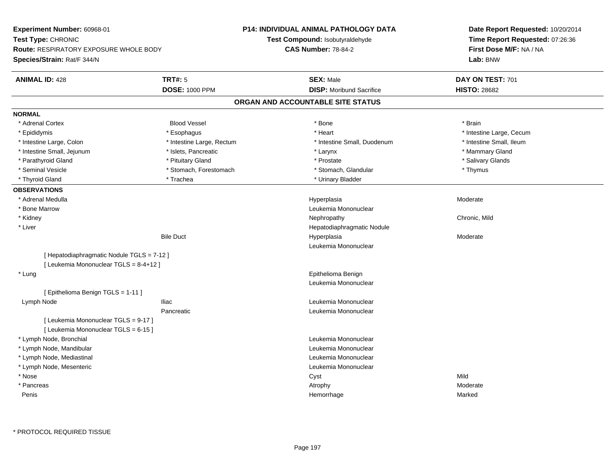**Experiment Number:** 60968-01**Test Type:** CHRONIC **Route:** RESPIRATORY EXPOSURE WHOLE BODY**Species/Strain:** Rat/F 344/N**P14: INDIVIDUAL ANIMAL PATHOLOGY DATATest Compound:** Isobutyraldehyde**CAS Number:** 78-84-2**Date Report Requested:** 10/20/2014**Time Report Requested:** 07:26:36**First Dose M/F:** NA / NA**Lab:** BNW**ANIMAL ID:** 428**TRT#:** 5 **SEX:** Male **SEX:** Male **DAY ON TEST:** 701 **DOSE:** 1000 PPM**DISP:** Moribund Sacrifice **HISTO:** 28682 **ORGAN AND ACCOUNTABLE SITE STATUSNORMAL**\* Adrenal Cortex \* Adrenal Cortex \* Brain \* Brain \* Brain \* Brain \* Bood Vessel \* \* \* \* Brain \* Bone \* \* \* \* \* \* \* Brain \* \* Brain \* \* Brain \* \* Brain \* \* Brain \* \* Brain \* \* Brain \* \* Brain \* \* Brain \* \* Brain \* \* Brain \* \* Brain \* \* Brai \* Epididymis **Account 19 and 19 and 19 and 19 and 19 and 19 and 19 and 19 and 19 and 19 and 19 and 19 and 19 and 19 and 19 and 19 and 19 and 19 and 19 and 19 and 19 and 19 and 19 and 19 and 19 and 19 and 19 and 19 and 19 a** \* Intestine Small, Ileum \* Intestine Large, Colon \* Intestine Large, Rectum \* Intestine Small, Duodenum \* Intestine Small, Duodenum \* Intestine Small, Jejunum \* \* The mannery Gland \* \* Islets, Pancreatic \* The mannery Stand \* Larynx \* Larynx \* Mammary Gland \* Salivary Glands \* Parathyroid Gland \* \* \* Pituitary Gland \* \* Prostate \* \* Prostate \* \* Salivary Glands \* Salivary Glands \* Salivary Glands \* Salivary Glands \* Salivary Glands \* Salivary Glands \* Salivary Glands \* Salivary Glands \* Saliva \* Seminal Vesicle \* Thymus \* Stomach, Forestomach \* Northern \* Stomach, Glandular \* Thymus \* Thymus \* Thyroid Gland \* Trachea \* Trachea \* Trachea \* Thyroid Gland \* Urinary Bladder **OBSERVATIONS** \* Adrenal Medullaa and the state of the state of the state of the Hyperplasia and the Moderate of the Moderate of the Shane and T \* Bone MarrowLeukemia Mononuclear<br>Nephropathy \* Kidneyy the controller of the controller of the controller of the controller of the controller of the chronic, Mild \* Liver Hepatodiaphragmatic NoduleBile Duct Hyperplasia Moderate Leukemia Mononuclear[ Hepatodiaphragmatic Nodule TGLS = 7-12 ][ Leukemia Mononuclear TGLS = 8-4+12 ] \* Lung Epithelioma Benign Leukemia Mononuclear[ Epithelioma Benign TGLS = 1-11 ] Lymph NodeIliac **III** access of the Leukemia Mononuclear **Leukemia Mononuclear** Pancreatic Leukemia Mononuclear [ Leukemia Mononuclear TGLS = 9-17 ][ Leukemia Mononuclear TGLS = 6-15 ] \* Lymph Node, Bronchial Leukemia Mononuclear**Leukemia Mononuclear Contract Contract Contract Contract Contract Contract Contract Contract Contract Contract Contract Contract Contract Contract Contract Contract Contract Contract Contract Contract Contract Contract**  \* Lymph Node, Mandibular \* Lymph Node, Mediastinal Leukemia Mononuclear \* Lymph Node, Mesenteric Leukemia Mononuclear \* Nosee and the control of the control of the control of the control of the control of the control of the control of the control of the control of the control of the control of the control of the control of the control of the co \* Pancreass and the control of the control of the control of the control of the control of the control of the control of the control of the control of the control of the control of the control of the control of the control of the co Peniss and the control of the control of the control of the control of the control of the control of the control of the control of the control of the control of the control of the control of the control of the control of the co e Marked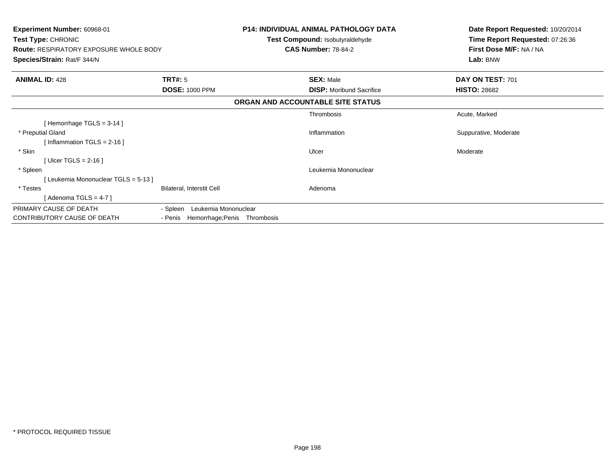| <b>Experiment Number: 60968-01</b><br>Test Type: CHRONIC<br><b>Route: RESPIRATORY EXPOSURE WHOLE BODY</b><br>Species/Strain: Rat/F 344/N |                                      | <b>P14: INDIVIDUAL ANIMAL PATHOLOGY DATA</b><br>Test Compound: Isobutyraldehyde<br><b>CAS Number: 78-84-2</b> | Date Report Requested: 10/20/2014<br>Time Report Requested: 07:26:36<br>First Dose M/F: NA / NA<br>Lab: BNW |
|------------------------------------------------------------------------------------------------------------------------------------------|--------------------------------------|---------------------------------------------------------------------------------------------------------------|-------------------------------------------------------------------------------------------------------------|
| <b>ANIMAL ID: 428</b>                                                                                                                    | TRT#: 5                              | <b>SEX: Male</b>                                                                                              | DAY ON TEST: 701                                                                                            |
|                                                                                                                                          | <b>DOSE: 1000 PPM</b>                | <b>DISP:</b> Moribund Sacrifice                                                                               | <b>HISTO: 28682</b>                                                                                         |
|                                                                                                                                          |                                      | ORGAN AND ACCOUNTABLE SITE STATUS                                                                             |                                                                                                             |
|                                                                                                                                          |                                      | Thrombosis                                                                                                    | Acute, Marked                                                                                               |
| [Hemorrhage TGLS = $3-14$ ]                                                                                                              |                                      |                                                                                                               |                                                                                                             |
| * Preputial Gland                                                                                                                        |                                      | Inflammation                                                                                                  | Suppurative, Moderate                                                                                       |
| [Inflammation TGLS = $2-16$ ]                                                                                                            |                                      |                                                                                                               |                                                                                                             |
| * Skin                                                                                                                                   |                                      | Ulcer                                                                                                         | Moderate                                                                                                    |
| [Ulcer TGLS = $2-16$ ]                                                                                                                   |                                      |                                                                                                               |                                                                                                             |
| * Spleen                                                                                                                                 |                                      | Leukemia Mononuclear                                                                                          |                                                                                                             |
| [Leukemia Mononuclear TGLS = 5-13]                                                                                                       |                                      |                                                                                                               |                                                                                                             |
| * Testes                                                                                                                                 | Bilateral, Interstit Cell            | Adenoma                                                                                                       |                                                                                                             |
| [ Adenoma TGLS = 4-7 ]                                                                                                                   |                                      |                                                                                                               |                                                                                                             |
| PRIMARY CAUSE OF DEATH                                                                                                                   | Leukemia Mononuclear<br>- Spleen     |                                                                                                               |                                                                                                             |
| CONTRIBUTORY CAUSE OF DEATH                                                                                                              | - Penis Hemorrhage; Penis Thrombosis |                                                                                                               |                                                                                                             |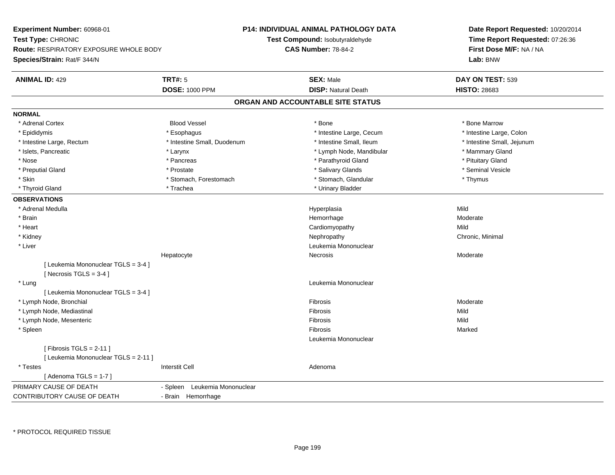**Experiment Number:** 60968-01**Test Type:** CHRONIC **Route:** RESPIRATORY EXPOSURE WHOLE BODY**Species/Strain:** Rat/F 344/N**P14: INDIVIDUAL ANIMAL PATHOLOGY DATATest Compound:** Isobutyraldehyde**CAS Number:** 78-84-2**Date Report Requested:** 10/20/2014**Time Report Requested:** 07:26:36**First Dose M/F:** NA / NA**Lab:** BNW**ANIMAL ID:** 429**TRT#:** 5 **SEX:** Male **DAY ON TEST:** 539 **DOSE:** 1000 PPM**DISP:** Natural Death **HISTO:** 28683 **ORGAN AND ACCOUNTABLE SITE STATUSNORMAL**\* Adrenal Cortex \* Adrenal Cortex \* Attack the state of the state of the Blood Vessel the state of the state of the state of the Marrow \* Bone Marrow \* Bone Marrow \* Bone Marrow \* Bone Marrow \* Bone Marrow \* Bone Marrow \* Bone Marrow \* Bon \* Intestine Large, Colon \* Epididymis \* Esophagus \* Esophagus \* Esophagus \* 11testine Large, Cecum \* Intestine Large, Rectum \* Thestine Small, Duodenum \* Number of the small, Ileum \* Intestine Small, Jejunum \* Intestine Small, Jejunum \* Islets, Pancreatic \* The manner of the Larynx \* Larynx \* Larynx \* Lymph Node, Mandibular \* \* Mammary Gland \* Nose \* Pancreas \* Pancreas \* Parathyroid Gland \* Parathyroid Gland \* Pituitary Gland \* Pituitary Gland \* Pituitary Computer \* Parathyroid Gland \* Pituitary Gland \* Pituitary Gland \* Pituitary Gland \* Pituitary Gland \* Pi \* Seminal Vesicle \* Preputial Gland \* \* Annual vesicle \* \* Prostate \* \* Salivary Glands \* \* Salivary Glands \* \* Seminal Vesicle \* \* Skin \* Stomach, Forestomach \* Stomach \* Stomach, Glandular \* Thymus \* Thymus \* Thyroid Gland \* Trachea \* Trachea \* Trachea \* Urinary Bladder **OBSERVATIONS** \* Adrenal Medulla Hyperplasia Mild \* Brainhemorrhage and the morrhage of the most defined to the Moderate of the Moderate of the Moderate of the Moderate of the Moderate of the Moderate of the Moderate of the Moderate of the Moderate of the Moderate of the Moderat \* Heart Cardiomyopathyy Mild Chronic, Minimal \* Kidneyy the controller controller that the controller controller the controller controller chronic, Minimal of the chronic, Minimal of the chronic, Minimal of the chronic chronic, Minimal of the chronic chronic chronic chronic c \* Liver Leukemia Mononuclear Hepatocyte Necrosis Moderate [ Leukemia Mononuclear TGLS = 3-4 ] $[$  Necrosis TGLS = 3-4  $]$  \* Lung Leukemia Mononuclear [ Leukemia Mononuclear TGLS = 3-4 ] \* Lymph Node, Bronchiall and the control of the control of the control of the control of the control of the control of the control of Moderate \* Lymph Node, Mediastinall and the control of the control of the control of the control of the control of the control of the control of s Mild Mild \* Lymph Node, Mesenteric Fibrosis MildMarked \* Spleenn and the control of the control of the control of the control of the control of the control of the control of the control of the control of the control of the control of the control of the control of the control of the co Leukemia Mononuclear $[$  Fibrosis TGLS = 2-11  $]$ [ Leukemia Mononuclear TGLS = 2-11 ] \* Testes Interstit Cell Adenoma $[$  Adenoma TGLS = 1-7  $]$ PRIMARY CAUSE OF DEATH - Spleen Leukemia Mononuclear CONTRIBUTORY CAUSE OF DEATH- Brain Hemorrhage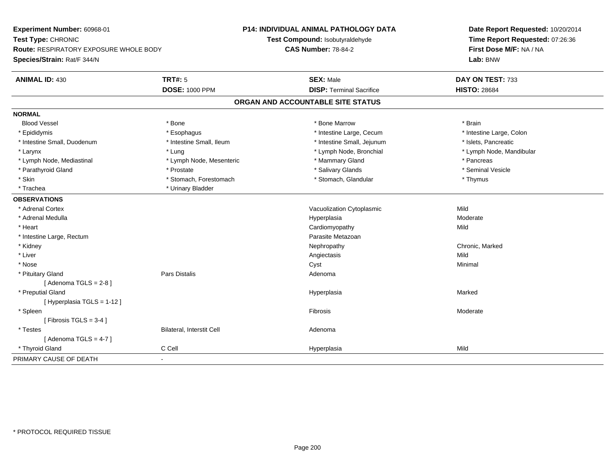**Experiment Number:** 60968-01**Test Type:** CHRONIC **Route:** RESPIRATORY EXPOSURE WHOLE BODY**Species/Strain:** Rat/F 344/N**P14: INDIVIDUAL ANIMAL PATHOLOGY DATATest Compound:** Isobutyraldehyde**CAS Number:** 78-84-2**Date Report Requested:** 10/20/2014**Time Report Requested:** 07:26:36**First Dose M/F:** NA / NA**Lab:** BNW**ANIMAL ID:** 430**TRT#:** 5 **SEX:** Male **DAY ON TEST:** 733 **DOSE:** 1000 PPM**DISP:** Terminal Sacrifice **HISTO:** 28684 **ORGAN AND ACCOUNTABLE SITE STATUSNORMALBlood Vessel**  Blood Vessel \* Bone \* Bone Marrow \* Brain\* Intestine Large, Colon \* Epididymis \* Intestine Large, Cecum \* Esophagus \* Intestine Large, Cecum \* Intestine Large, Cecum \* Intestine Small, Duodenum \* Intestine Small, Ileum \* Intestine Small, Jejunum \* Islets, Pancreatic\* Larynx \* Lung \* Lymph Node, Bronchial \* Lymph Node, Mandibular \* Lymph Node, Mediastinal \* The mode is the second of the second term in the second term in the second term in the second term in the second term in the second term in the second term in the second term in the second term \* Seminal Vesicle \* Parathyroid Gland \* \* \* Prostate \* \* Prostate \* \* Salivary Glands \* \* Salivary Glands \* \* Seminal Vesicle \* Skin \* Stomach, Forestomach \* Stomach \* Stomach, Glandular \* Thymus \* Thymus \* Trachea \* Urinary Bladder**OBSERVATIONS** \* Adrenal CortexVacuolization Cytoplasmic **Mild** Moderate \* Adrenal Medullaa and the state of the state of the state of the Hyperplasia and the Moderate of the Moderate of the Shane and T \* Heart Cardiomyopathyy Mild \* Intestine Large, RectumParasite Metazoan<br>Nephropathy \* Kidneyy the controller of the controller of the controller of the Nephropathy Chronic, Marked Schronic, Marked Schronic, Marked Schronic, Marked Schronic, Marked Schronic, Marked Schronic, Marked Schronic, Marked Schronic, Marke \* Liverr and the contract of the contract of the contract of the contract of the contract of the contract of the contract of the contract of the contract of the contract of the contract of the contract of the contract of the cont s Mild Minimal \* Nosee and the control of the control of the control of the control of the control of the control of the control of the control of the control of the control of the control of the control of the control of the control of the co \* Pituitary Glandd and the contract of Pars Distalis and the contract of Adenoma and Adenoma and the Adenoma and the Adenoma and  $\lambda$  $[$  Adenoma TGLS = 2-8  $]$  \* Preputial Glandd and the control of the control of the control of the Hyperplasia and the control of the Marked Marked of the  $\eta$ [ Hyperplasia TGLS = 1-12 ] \* Spleenn and the state of the state of the state of the state of the state of the state of the state of the state of the state of the state of the state of the state of the state of the state of the state of the state of the stat  $[$  Fibrosis TGLS = 3-4  $]$  \* TestesBilateral, Interstit Cell **Adenoma** Adenoma  $[$  Adenoma TGLS = 4-7  $]$  \* Thyroid Gland C Cell Hyperplasia Mild PRIMARY CAUSE OF DEATH-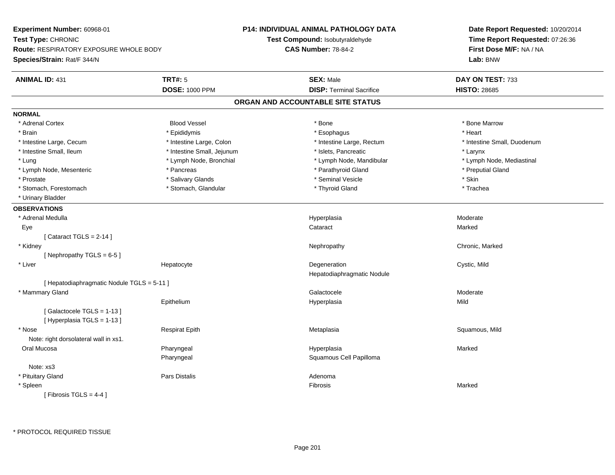**Experiment Number:** 60968-01**Test Type:** CHRONIC **Route:** RESPIRATORY EXPOSURE WHOLE BODY**Species/Strain:** Rat/F 344/N**P14: INDIVIDUAL ANIMAL PATHOLOGY DATATest Compound:** Isobutyraldehyde**CAS Number:** 78-84-2**Date Report Requested:** 10/20/2014**Time Report Requested:** 07:26:36**First Dose M/F:** NA / NA**Lab:** BNW**ANIMAL ID:** 431**TRT#:** 5 **SEX:** Male **DAY ON TEST:** 733 **DOSE:** 1000 PPM**DISP:** Terminal Sacrifice **HISTO:** 28685 **ORGAN AND ACCOUNTABLE SITE STATUSNORMAL**\* Adrenal Cortex \* Adrenal Cortex \* Attack the state of the state of the Blood Vessel the state of the state of the state of the Marrow \* Bone Marrow \* Bone Marrow \* Bone Marrow \* Bone Marrow \* Bone Marrow \* Bone Marrow \* Bone Marrow \* Bon \* Brain \* \* Esophagus \* \* Esophagus \* \* Esophagus \* \* Esophagus \* \* Esophagus \* Heart \* Heart \* Heart \* Heart \* Intestine Large, Cecum \* Intestine Large, Colon \* Intestine Large, Rectum \* Intestine Small, Duodenum \* Intestine Small, Ileum \* Intestine Small, Jejunum \* Islets, Pancreatic \* Larynx\* Lymph Node, Mediastinal \* Lung \* Lymph Node, Bronchial \* Lymph Node, Aandibular \* Lymph Node, Mandibular \* Lymph Node, Mesenteric \* The puting the second of the Pancreas \* Parathyroid Gland \* Parathyroid Gland \* Preputial Gland \* Prostate \* \* Salivary Glands \* \* Salivary Glands \* \* Seminal Vesicle \* \* \* Seminal Yestrich \* \* Skin \* \* Skin \* Trachea \* Stomach, Forestomach \* Thyroid Gland \* Stomach, Glandular \* Thyroid Gland \* Thyroid Gland \* Urinary Bladder**OBSERVATIONS** \* Adrenal Medullaa and the state of the state of the state of the Hyperplasia and the Moderate of the Moderate of the Shane and T Eyee the contract of the contract of the contract of the contract of the contract of the contract of the contract  $\mathsf{M}$ arked  $[$  Cataract TGLS = 2-14  $]$  \* Kidneyy the controller of the controller of the controller of the Nephropathy Chronic, Marked Schronic, Marked Schronic, Marked Schronic, Marked Schronic, Marked Schronic, Marked Schronic, Marked Schronic, Marked Schronic, Marke [ Nephropathy  $TGLS = 6-5$  ] \* Liver Hepatocytee the contract of the Degeneration Cystic, Mild and Cystic, Mild and Cystic, Mild Hepatodiaphragmatic Nodule[ Hepatodiaphragmatic Nodule TGLS = 5-11 ] \* Mammary Glandd and the control of the control of the control of Galactocele and the control of the Moderate  $\sim$  Moderate  $\sim$ Epithelium Hyperplasia Mild [ Galactocele TGLS = 1-13 ][ Hyperplasia TGLS = 1-13 ] \* Nose Respirat Epith Metaplasia Squamous, Mild Note: right dorsolateral wall in xs1. Oral Mucosa Pharyngeal Hyperplasia Marked Pharyngeal Squamous Cell PapillomaNote: xs3 \* Pituitary Glandd and the contract of Pars Distalis and the contract of Adenoma and Adenoma and the Adenoma and the Adenoma and  $\lambda$  \* Spleenn and the control of the control of the control of the control of the control of the control of the control of the control of the control of the control of the control of the control of the control of the control of the co  $[$  Fibrosis TGLS = 4-4  $]$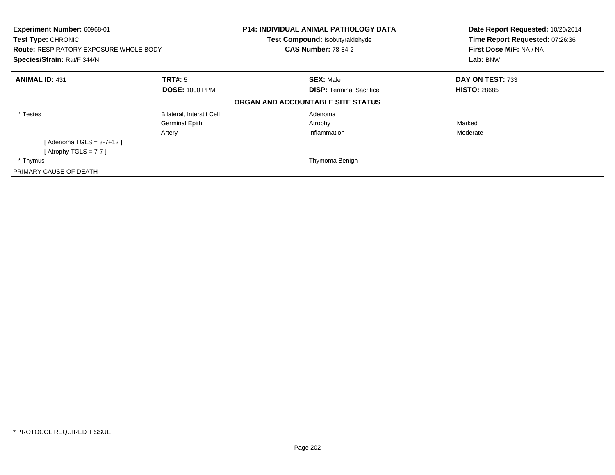| Experiment Number: 60968-01<br>Test Type: CHRONIC<br><b>Route: RESPIRATORY EXPOSURE WHOLE BODY</b><br>Species/Strain: Rat/F 344/N |                           | <b>P14: INDIVIDUAL ANIMAL PATHOLOGY DATA</b><br>Test Compound: Isobutyraldehyde<br><b>CAS Number: 78-84-2</b> | Date Report Requested: 10/20/2014<br>Time Report Requested: 07:26:36<br>First Dose M/F: NA / NA<br>Lab: BNW |
|-----------------------------------------------------------------------------------------------------------------------------------|---------------------------|---------------------------------------------------------------------------------------------------------------|-------------------------------------------------------------------------------------------------------------|
| <b>ANIMAL ID: 431</b>                                                                                                             | TRT#: 5                   | <b>SEX: Male</b>                                                                                              | DAY ON TEST: 733                                                                                            |
|                                                                                                                                   | <b>DOSE: 1000 PPM</b>     | <b>DISP:</b> Terminal Sacrifice                                                                               | <b>HISTO: 28685</b>                                                                                         |
|                                                                                                                                   |                           | ORGAN AND ACCOUNTABLE SITE STATUS                                                                             |                                                                                                             |
| * Testes                                                                                                                          | Bilateral, Interstit Cell | Adenoma                                                                                                       |                                                                                                             |
|                                                                                                                                   | <b>Germinal Epith</b>     | Atrophy                                                                                                       | Marked                                                                                                      |
|                                                                                                                                   | Artery                    | Inflammation                                                                                                  | Moderate                                                                                                    |
| [Adenoma TGLS = 3-7+12 ]                                                                                                          |                           |                                                                                                               |                                                                                                             |
| [Atrophy TGLS = $7-7$ ]                                                                                                           |                           |                                                                                                               |                                                                                                             |
| * Thymus                                                                                                                          |                           | Thymoma Benign                                                                                                |                                                                                                             |
| PRIMARY CAUSE OF DEATH                                                                                                            | $\overline{\phantom{a}}$  |                                                                                                               |                                                                                                             |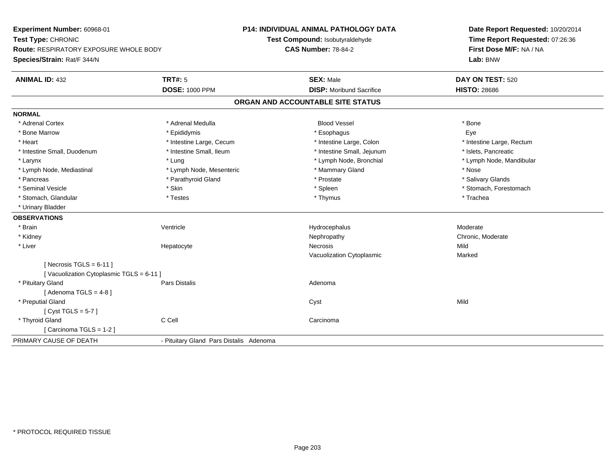**Experiment Number:** 60968-01**Test Type:** CHRONIC **Route:** RESPIRATORY EXPOSURE WHOLE BODY**Species/Strain:** Rat/F 344/N**P14: INDIVIDUAL ANIMAL PATHOLOGY DATATest Compound:** Isobutyraldehyde**CAS Number:** 78-84-2**Date Report Requested:** 10/20/2014**Time Report Requested:** 07:26:36**First Dose M/F:** NA / NA**Lab:** BNW**ANIMAL ID:** 432**TRT#:** 5 **SEX:** Male **DAY ON TEST:** 520 **DOSE:** 1000 PPM**DISP:** Moribund Sacrifice **HISTO:** 28686 **ORGAN AND ACCOUNTABLE SITE STATUSNORMAL**\* Adrenal Cortex \* Adrenal Medulla \* \* Book \* Blood Vessel \* Book \* Bone \* Bone \* Bone \* Bone \* Bone \* Bone \* Bone \* Bone \* Bone Eve \* Bone Marrow \* Epididymis \* Esophagus Eye\* Heart Thestine Large, Cecum Thestine Large, Cecum And Alternative Large, Colon Thestine Large, Rectum \* Intestine Large, Rectum \* Intestine Large, Rectum \* Intestine Small, Duodenum \* Intestine Small, Ileum \* Intestine Small, Intestine Small, Jejunum \* Islets, Pancreatic \* Larynx \* Lung \* Lymph Node, Bronchial \* Lymph Node, Mandibular \* Lymph Node, Mediastinal \* Nose \* Lymph Node, Mesenteric \* \* Mammary Gland \* Memmary Gland \* Nose \* Salivary Glands \* Pancreas \* And the second term in the second term in the second term in the second term in the second term in the second term in the second term in the second term in the second term in the second term in the second term \* Seminal Vesicle \* The state of the set of the set of the set of the set of the set of the set of the set of the set of the set of the set of the set of the set of the set of the set of the set of the set of the set of th \* Stomach, Glandular \* \* \* Trachea \* \* Testes \* \* Thymus \* Thymus \* Thymus \* Trachea \* Trachea \* Urinary Bladder**OBSERVATIONS** \* Brainn wenne alle the Ventricle wenne and the Hydrocephalus Moderate Moderate Moderate Moderate and the Ventricle o \* Kidneyy which is a controlled that the controller controller the chronic of the chronic chronic, Moderate  $\lambda$  \* Liver Hepatocytee the contract of the Necrosis **Mild** Vacuolization Cytoplasmic Marked $[$  Necrosis TGLS = 6-11  $]$ [ Vacuolization Cytoplasmic TGLS = 6-11 ] \* Pituitary Glandd and the contract of Pars Distalis and the contract of Adenoma and Adenoma and the Adenoma and the Adenoma and  $\lambda$  $[$  Adenoma TGLS = 4-8  $]$  \* Preputial Glandd and the control of the control of the control of the control of the control of the control of the control of the control of the control of the control of the control of the control of the control of the control of the co [ Cyst TGLS = 5-7 ] \* Thyroid Glandd C Cell Carcinoma [ Carcinoma TGLS = 1-2 ]PRIMARY CAUSE OF DEATH- Pituitary Gland Pars Distalis Adenoma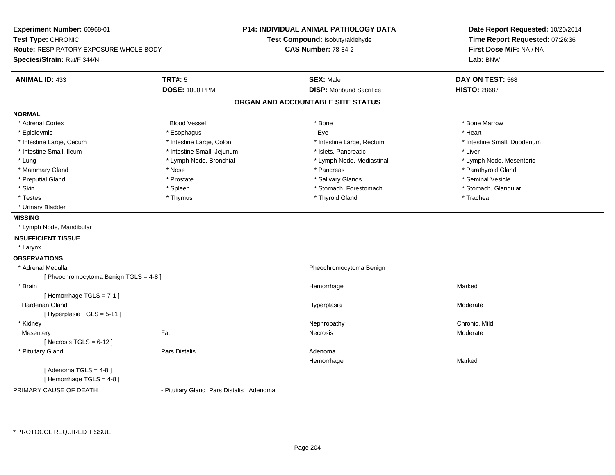**Experiment Number:** 60968-01**Test Type:** CHRONIC **Route:** RESPIRATORY EXPOSURE WHOLE BODY**Species/Strain:** Rat/F 344/N**P14: INDIVIDUAL ANIMAL PATHOLOGY DATATest Compound:** Isobutyraldehyde**CAS Number:** 78-84-2**Date Report Requested:** 10/20/2014**Time Report Requested:** 07:26:36**First Dose M/F:** NA / NA**Lab:** BNW**ANIMAL ID:** 433**TRT#:** 5 **SEX:** Male **DAY ON TEST:** 568 **DOSE:** 1000 PPM**DISP:** Moribund Sacrifice **HISTO:** 28687 **ORGAN AND ACCOUNTABLE SITE STATUSNORMAL**\* Adrenal Cortex \* Adrenal Cortex \* Attack the state of the state of the Blood Vessel the state of the state of the state of the Marrow \* Bone Marrow \* Bone Marrow \* Bone Marrow \* Bone Marrow \* Bone Marrow \* Bone Marrow \* Bone Marrow \* Bon \* Epididymis \* Esophagus Eye \* Heart \* Intestine Large, Cecum \* Intestine Large, Colon \* Intestine Large, Rectum \* Intestine Small, Duodenum \* Intestine Small, Ileum \* Intestine Small, Jejunum \* Islets, Pancreatic \* Liver \* Lung \* Lymph Node, Bronchial \* Lymph Node, Mediastinal \* Lymph Node, Mesenteric\* Mammary Gland \* \* Nose \* \* Nose \* \* Pancreas \* Pancreas \* \* Pancreas \* \* Pancreas \* \* Pancreas \* \* Parathyroid Gland \* Preputial Gland \* \* Annual vesicle \* \* Prostate \* \* Salivary Glands \* \* Salivary Glands \* \* Seminal Vesicle \* \* Stomach, Glandular \* Skin \* Stomach, Forestomach \* Spleen \* Spleen \* Stomach, Forestomach \* Stomach, Forestomach \* Testes \* Thymus \* Thyroid Gland \* Trachea \* Urinary Bladder**MISSING** \* Lymph Node, Mandibular**INSUFFICIENT TISSUE** \* Larynx**OBSERVATIONS** \* Adrenal Medulla Pheochromocytoma Benign [ Pheochromocytoma Benign TGLS = 4-8 ] \* Brainn and the state of the state of the state of the state of the Marked Marked of the Marked Marked of the Marked  $\eta$ [ Hemorrhage TGLS = 7-1 ] Harderian Glandd and the state of the state of the state of the Hyperplasia Moderate of the Moderate of the Moderate of the Moderate of the Moderate of the Moderate of the Moderate of the Moderate of the Moderate of the Moderate of the M [ Hyperplasia TGLS = 5-11 ] \* Kidneyy the controller of the controller of the controller of the controller of the controller of the chronic, Mild **Mesentery** y the control of the state of the control of the Moderate of the Moderate of the Moderate of the Moderate of the Moderate of the Moderate of the Moderate of the Moderate of the Moderate of the Moderate of the Moderate of t  $[$  Necrosis TGLS = 6-12  $]$  \* Pituitary Glandd and the set of Pars Distalis and the Second Adenomal Adenomal Second Second Pars Distallis Hemorrhagee Marked  $[$  Adenoma TGLS = 4-8  $]$ [ Hemorrhage TGLS = 4-8 ]

PRIMARY CAUSE OF DEATH

- Pituitary Gland Pars Distalis Adenoma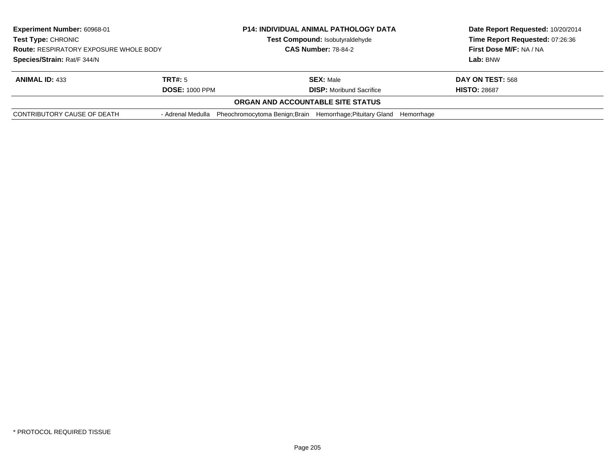| Experiment Number: 60968-01                                                                               |                       | <b>P14: INDIVIDUAL ANIMAL PATHOLOGY DATA</b>                                               | Date Report Requested: 10/20/2014 |
|-----------------------------------------------------------------------------------------------------------|-----------------------|--------------------------------------------------------------------------------------------|-----------------------------------|
| <b>Test Type: CHRONIC</b><br><b>Route: RESPIRATORY EXPOSURE WHOLE BODY</b><br>Species/Strain: Rat/F 344/N |                       | Test Compound: Isobutyraldehyde                                                            | Time Report Requested: 07:26:36   |
|                                                                                                           |                       | <b>CAS Number: 78-84-2</b>                                                                 | First Dose M/F: NA / NA           |
|                                                                                                           |                       |                                                                                            | Lab: BNW                          |
| <b>ANIMAL ID: 433</b>                                                                                     | TRT#: 5               | <b>SEX: Male</b>                                                                           | DAY ON TEST: 568                  |
|                                                                                                           | <b>DOSE: 1000 PPM</b> | <b>DISP:</b> Moribund Sacrifice                                                            | <b>HISTO: 28687</b>               |
|                                                                                                           |                       | ORGAN AND ACCOUNTABLE SITE STATUS                                                          |                                   |
| CONTRIBUTORY CAUSE OF DEATH                                                                               |                       | - Adrenal Medulla Pheochromocytoma Benign; Brain Hemorrhage; Pituitary Gland<br>Hemorrhage |                                   |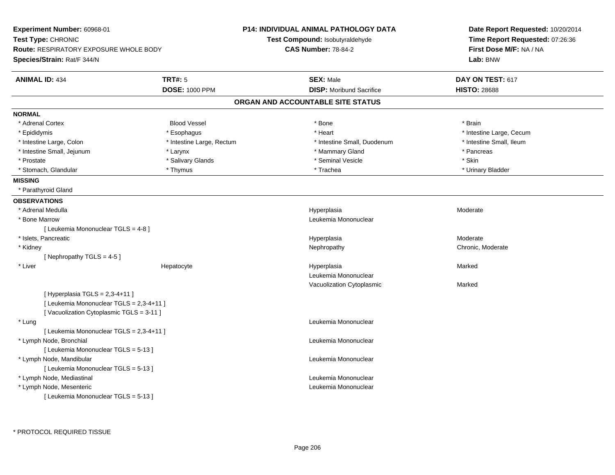| Experiment Number: 60968-01                   |                           | <b>P14: INDIVIDUAL ANIMAL PATHOLOGY DATA</b> | Date Report Requested: 10/20/2014 |
|-----------------------------------------------|---------------------------|----------------------------------------------|-----------------------------------|
| Test Type: CHRONIC                            |                           | Test Compound: Isobutyraldehyde              | Time Report Requested: 07:26:36   |
| <b>Route: RESPIRATORY EXPOSURE WHOLE BODY</b> |                           | <b>CAS Number: 78-84-2</b>                   | First Dose M/F: NA / NA           |
| Species/Strain: Rat/F 344/N                   |                           |                                              | Lab: BNW                          |
| <b>ANIMAL ID: 434</b>                         | TRT#: 5                   | <b>SEX: Male</b>                             | DAY ON TEST: 617                  |
|                                               | <b>DOSE: 1000 PPM</b>     | <b>DISP:</b> Moribund Sacrifice              | <b>HISTO: 28688</b>               |
|                                               |                           | ORGAN AND ACCOUNTABLE SITE STATUS            |                                   |
| <b>NORMAL</b>                                 |                           |                                              |                                   |
| * Adrenal Cortex                              | <b>Blood Vessel</b>       | * Bone                                       | * Brain                           |
| * Epididymis                                  | * Esophagus               | * Heart                                      | * Intestine Large, Cecum          |
| * Intestine Large, Colon                      | * Intestine Large, Rectum | * Intestine Small, Duodenum                  | * Intestine Small, Ileum          |
| * Intestine Small, Jejunum                    | * Larynx                  | * Mammary Gland                              | * Pancreas                        |
| * Prostate                                    | * Salivary Glands         | * Seminal Vesicle                            | * Skin                            |
| * Stomach, Glandular                          | * Thymus                  | * Trachea                                    | * Urinary Bladder                 |
| <b>MISSING</b>                                |                           |                                              |                                   |
| * Parathyroid Gland                           |                           |                                              |                                   |
| <b>OBSERVATIONS</b>                           |                           |                                              |                                   |
| * Adrenal Medulla                             |                           | Hyperplasia                                  | Moderate                          |
| * Bone Marrow                                 |                           | Leukemia Mononuclear                         |                                   |
| [ Leukemia Mononuclear TGLS = 4-8 ]           |                           |                                              |                                   |
| * Islets, Pancreatic                          |                           | Hyperplasia                                  | Moderate                          |
| * Kidney                                      |                           | Nephropathy                                  | Chronic, Moderate                 |
| [Nephropathy TGLS = $4-5$ ]                   |                           |                                              |                                   |
| * Liver                                       | Hepatocyte                | Hyperplasia                                  | Marked                            |
|                                               |                           | Leukemia Mononuclear                         |                                   |
|                                               |                           | Vacuolization Cytoplasmic                    | Marked                            |
| [ Hyperplasia TGLS = $2,3-4+11$ ]             |                           |                                              |                                   |
| [ Leukemia Mononuclear TGLS = 2,3-4+11 ]      |                           |                                              |                                   |
| [Vacuolization Cytoplasmic TGLS = 3-11]       |                           |                                              |                                   |
| * Lung                                        |                           | Leukemia Mononuclear                         |                                   |
| [ Leukemia Mononuclear TGLS = 2,3-4+11 ]      |                           |                                              |                                   |
| * Lymph Node, Bronchial                       |                           | Leukemia Mononuclear                         |                                   |
| [ Leukemia Mononuclear TGLS = 5-13 ]          |                           |                                              |                                   |
| * Lymph Node, Mandibular                      |                           | Leukemia Mononuclear                         |                                   |
| [ Leukemia Mononuclear TGLS = 5-13 ]          |                           |                                              |                                   |
| * Lymph Node, Mediastinal                     |                           | Leukemia Mononuclear                         |                                   |
| * Lymph Node, Mesenteric                      |                           | Leukemia Mononuclear                         |                                   |
| [ Leukemia Mononuclear TGLS = 5-13 ]          |                           |                                              |                                   |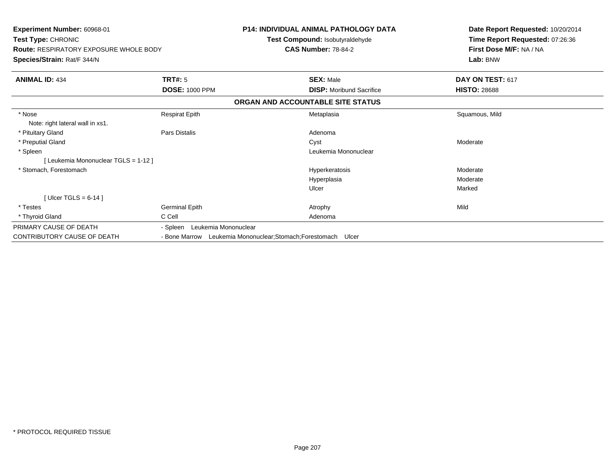| <b>Experiment Number: 60968-01</b><br>Test Type: CHRONIC<br><b>Route: RESPIRATORY EXPOSURE WHOLE BODY</b><br>Species/Strain: Rat/F 344/N |                                  | <b>P14: INDIVIDUAL ANIMAL PATHOLOGY DATA</b><br>Test Compound: Isobutyraldehyde<br><b>CAS Number: 78-84-2</b> | Date Report Requested: 10/20/2014<br>Time Report Requested: 07:26:36<br>First Dose M/F: NA / NA<br>Lab: BNW |
|------------------------------------------------------------------------------------------------------------------------------------------|----------------------------------|---------------------------------------------------------------------------------------------------------------|-------------------------------------------------------------------------------------------------------------|
| <b>ANIMAL ID: 434</b>                                                                                                                    | <b>TRT#: 5</b>                   | <b>SEX: Male</b>                                                                                              | DAY ON TEST: 617                                                                                            |
|                                                                                                                                          | <b>DOSE: 1000 PPM</b>            | <b>DISP:</b> Moribund Sacrifice                                                                               | <b>HISTO: 28688</b>                                                                                         |
|                                                                                                                                          |                                  | ORGAN AND ACCOUNTABLE SITE STATUS                                                                             |                                                                                                             |
| * Nose<br>Note: right lateral wall in xs1.                                                                                               | <b>Respirat Epith</b>            | Metaplasia                                                                                                    | Squamous, Mild                                                                                              |
| * Pituitary Gland                                                                                                                        | Pars Distalis                    | Adenoma                                                                                                       |                                                                                                             |
| * Preputial Gland                                                                                                                        |                                  | Cyst                                                                                                          | Moderate                                                                                                    |
| * Spleen                                                                                                                                 |                                  | Leukemia Mononuclear                                                                                          |                                                                                                             |
| [ Leukemia Mononuclear TGLS = 1-12 ]                                                                                                     |                                  |                                                                                                               |                                                                                                             |
| * Stomach, Forestomach                                                                                                                   |                                  | Hyperkeratosis                                                                                                | Moderate                                                                                                    |
|                                                                                                                                          |                                  | Hyperplasia                                                                                                   | Moderate                                                                                                    |
|                                                                                                                                          |                                  | Ulcer                                                                                                         | Marked                                                                                                      |
| [Ulcer TGLS = $6-14$ ]                                                                                                                   |                                  |                                                                                                               |                                                                                                             |
| * Testes                                                                                                                                 | Germinal Epith                   | Atrophy                                                                                                       | Mild                                                                                                        |
| * Thyroid Gland                                                                                                                          | C Cell                           | Adenoma                                                                                                       |                                                                                                             |
| PRIMARY CAUSE OF DEATH                                                                                                                   | Leukemia Mononuclear<br>- Spleen |                                                                                                               |                                                                                                             |
| CONTRIBUTORY CAUSE OF DEATH                                                                                                              | - Bone Marrow                    | Leukemia Mononuclear; Stomach; Forestomach Ulcer                                                              |                                                                                                             |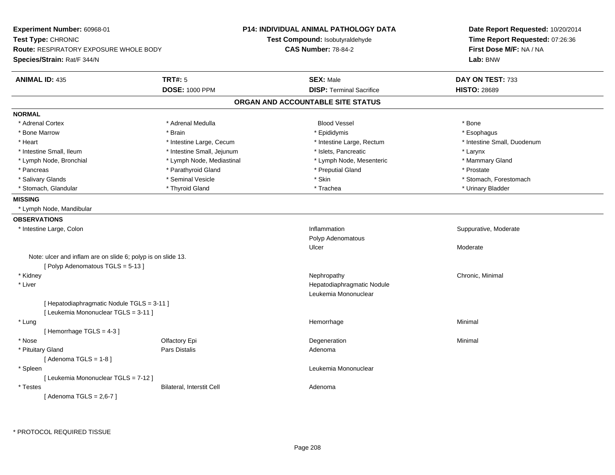| Experiment Number: 60968-01<br>Test Type: CHRONIC<br><b>Route: RESPIRATORY EXPOSURE WHOLE BODY</b><br>Species/Strain: Rat/F 344/N |                                  | <b>P14: INDIVIDUAL ANIMAL PATHOLOGY DATA</b><br>Test Compound: Isobutyraldehyde<br><b>CAS Number: 78-84-2</b> | Date Report Requested: 10/20/2014<br>Time Report Requested: 07:26:36<br>First Dose M/F: NA / NA<br>Lab: BNW |
|-----------------------------------------------------------------------------------------------------------------------------------|----------------------------------|---------------------------------------------------------------------------------------------------------------|-------------------------------------------------------------------------------------------------------------|
| <b>ANIMAL ID: 435</b>                                                                                                             | TRT#: 5<br><b>DOSE: 1000 PPM</b> | <b>SEX: Male</b><br><b>DISP: Terminal Sacrifice</b>                                                           | DAY ON TEST: 733<br><b>HISTO: 28689</b>                                                                     |
|                                                                                                                                   |                                  | ORGAN AND ACCOUNTABLE SITE STATUS                                                                             |                                                                                                             |
| <b>NORMAL</b>                                                                                                                     |                                  |                                                                                                               |                                                                                                             |
| * Adrenal Cortex                                                                                                                  | * Adrenal Medulla                | <b>Blood Vessel</b>                                                                                           | * Bone                                                                                                      |
| * Bone Marrow                                                                                                                     | * Brain                          | * Epididymis                                                                                                  | * Esophagus                                                                                                 |
| * Heart                                                                                                                           | * Intestine Large, Cecum         | * Intestine Large, Rectum                                                                                     | * Intestine Small, Duodenum                                                                                 |
| * Intestine Small, Ileum                                                                                                          | * Intestine Small, Jejunum       | * Islets, Pancreatic                                                                                          | * Larynx                                                                                                    |
| * Lymph Node, Bronchial                                                                                                           | * Lymph Node, Mediastinal        | * Lymph Node, Mesenteric                                                                                      | * Mammary Gland                                                                                             |
| * Pancreas                                                                                                                        | * Parathyroid Gland              | * Preputial Gland                                                                                             | * Prostate                                                                                                  |
| * Salivary Glands                                                                                                                 | * Seminal Vesicle                | * Skin                                                                                                        | * Stomach, Forestomach                                                                                      |
| * Stomach, Glandular                                                                                                              | * Thyroid Gland                  | * Trachea                                                                                                     | * Urinary Bladder                                                                                           |
| <b>MISSING</b>                                                                                                                    |                                  |                                                                                                               |                                                                                                             |
| * Lymph Node, Mandibular                                                                                                          |                                  |                                                                                                               |                                                                                                             |
| <b>OBSERVATIONS</b>                                                                                                               |                                  |                                                                                                               |                                                                                                             |
| * Intestine Large, Colon                                                                                                          |                                  | Inflammation                                                                                                  | Suppurative, Moderate                                                                                       |
|                                                                                                                                   |                                  | Polyp Adenomatous                                                                                             |                                                                                                             |
|                                                                                                                                   |                                  | Ulcer                                                                                                         | Moderate                                                                                                    |
| Note: ulcer and inflam are on slide 6; polyp is on slide 13.                                                                      |                                  |                                                                                                               |                                                                                                             |
| [Polyp Adenomatous TGLS = 5-13]                                                                                                   |                                  |                                                                                                               |                                                                                                             |
| * Kidney                                                                                                                          |                                  | Nephropathy                                                                                                   | Chronic, Minimal                                                                                            |
| * Liver                                                                                                                           |                                  | Hepatodiaphragmatic Nodule                                                                                    |                                                                                                             |
|                                                                                                                                   |                                  | Leukemia Mononuclear                                                                                          |                                                                                                             |
| [ Hepatodiaphragmatic Nodule TGLS = 3-11 ]                                                                                        |                                  |                                                                                                               |                                                                                                             |
| [ Leukemia Mononuclear TGLS = 3-11 ]                                                                                              |                                  |                                                                                                               |                                                                                                             |
| * Lung                                                                                                                            |                                  | Hemorrhage                                                                                                    | Minimal                                                                                                     |
| [Hemorrhage TGLS = 4-3]                                                                                                           |                                  |                                                                                                               |                                                                                                             |
| * Nose                                                                                                                            | Olfactory Epi                    | Degeneration                                                                                                  | Minimal                                                                                                     |
| * Pituitary Gland                                                                                                                 | Pars Distalis                    | Adenoma                                                                                                       |                                                                                                             |
| [Adenoma TGLS = $1-8$ ]                                                                                                           |                                  |                                                                                                               |                                                                                                             |
| * Spleen                                                                                                                          |                                  | Leukemia Mononuclear                                                                                          |                                                                                                             |
| [ Leukemia Mononuclear TGLS = 7-12 ]                                                                                              |                                  |                                                                                                               |                                                                                                             |
| * Testes                                                                                                                          | Bilateral, Interstit Cell        | Adenoma                                                                                                       |                                                                                                             |
| [Adenoma TGLS = $2,6-7$ ]                                                                                                         |                                  |                                                                                                               |                                                                                                             |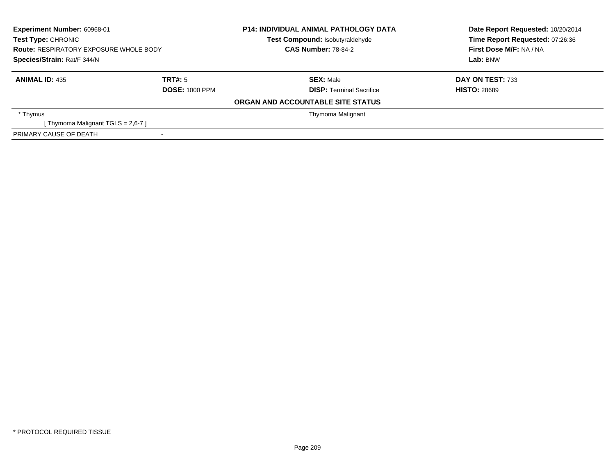| Experiment Number: 60968-01<br><b>Test Type: CHRONIC</b> |                       | <b>P14: INDIVIDUAL ANIMAL PATHOLOGY DATA</b><br>Test Compound: Isobutyraldehyde | Date Report Requested: 10/20/2014<br>Time Report Requested: 07:26:36 |
|----------------------------------------------------------|-----------------------|---------------------------------------------------------------------------------|----------------------------------------------------------------------|
| <b>Route: RESPIRATORY EXPOSURE WHOLE BODY</b>            |                       | <b>CAS Number: 78-84-2</b>                                                      | First Dose M/F: NA / NA                                              |
| Species/Strain: Rat/F 344/N                              |                       |                                                                                 | Lab: BNW                                                             |
| <b>ANIMAL ID: 435</b>                                    | TRT#: 5               | <b>SEX: Male</b>                                                                | <b>DAY ON TEST: 733</b>                                              |
|                                                          | <b>DOSE: 1000 PPM</b> | <b>DISP:</b> Terminal Sacrifice                                                 | <b>HISTO: 28689</b>                                                  |
|                                                          |                       | ORGAN AND ACCOUNTABLE SITE STATUS                                               |                                                                      |
| * Thymus                                                 |                       | Thymoma Malignant                                                               |                                                                      |
| Thymoma Malignant TGLS = 2,6-7 ]                         |                       |                                                                                 |                                                                      |
| PRIMARY CAUSE OF DEATH                                   |                       |                                                                                 |                                                                      |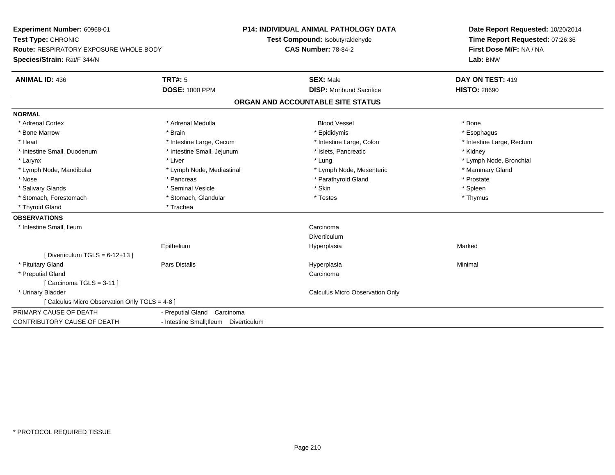**Experiment Number:** 60968-01**Test Type:** CHRONIC **Route:** RESPIRATORY EXPOSURE WHOLE BODY**Species/Strain:** Rat/F 344/N**P14: INDIVIDUAL ANIMAL PATHOLOGY DATATest Compound:** Isobutyraldehyde**CAS Number:** 78-84-2**Date Report Requested:** 10/20/2014**Time Report Requested:** 07:26:36**First Dose M/F:** NA / NA**Lab:** BNW**ANIMAL ID:** 436**TRT#:** 5 **SEX:** Male **DAY ON TEST:** 419 **DOSE:** 1000 PPM**DISP:** Moribund Sacrifice **HISTO:** 28690 **ORGAN AND ACCOUNTABLE SITE STATUSNORMAL**\* Adrenal Cortex \* Adrenal Cortex \* Adrenal Medulla Blood Vessel \* Bone\* Esophagus \* Bone Marrow \* Brain \* Epididymis \* Esophagus \* Heart Thestine Large, Cecum Thestine Large, Cecum Assessment Carge, Colon Thestine Large, Rectum \* Intestine Large, Rectum \* Intestine Large, Rectum \* Intestine Small, Duodenum \* **1992 \* Intestine Small, Jejunum \* 1994** \* Islets, Pancreatic \* \* Kidney \* Kidney \* Larynx \* Louis \* Liver \* Lung \* Lung \* Lung \* Lung \* Lung \* Lymph Node, Bronchial \* Lymph Node, Bronchial \* \* Lymph Node, Mandibular \* Lymph Node, Mediastinal \* Lymph Node, Mesenteric \* Mammary Gland \* Nose \* Pancreas \* Pancreas \* Pancreas \* Pancreas \* Parathyroid Gland \* Prostate \* Prostate \* Spleen \* Salivary Glands \* \* \* Sheen \* Seminal Vesicle \* \* \* Stan \* \* Skin \* \* Skin \* \* Spleen \* \* Spleen \* \* Spleen \* \* Thymus \* Stomach, Forestomach \* Testes \* Stomach, Glandular \* Testes \* Testes \* Testes \* Testes \* Testes \* Testes \* T \* Thyroid Gland \* Trachea**OBSERVATIONS** \* Intestine Small, Ileumm Carcinoma and Carcinoma and Carcinoma and Carcinoma and Carcinoma and Carcinoma and Carcinoma and Carcinoma <br>The contract of the contract of the contract of the contract of the contract of the contract of the contract of DiverticulumHyperplasia Epithelium Hyperplasia Marked  $[$  Diverticulum TGLS = 6-12+13  $]$  \* Pituitary Gland Pars Distalis Hyperplasia Minimal \* Preputial Glandd<sub>d</sub> Carcinoma [ Carcinoma TGLS = 3-11 ] \* Urinary Bladder Calculus Micro Observation Only[ Calculus Micro Observation Only TGLS = 4-8 ]PRIMARY CAUSE OF DEATH - Preputial Gland Carcinoma CONTRIBUTORY CAUSE OF DEATH- Intestine Small;Ileum Diverticulum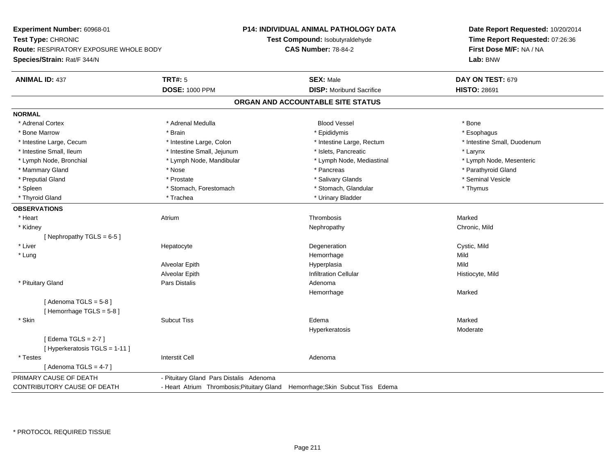**Experiment Number:** 60968-01**Test Type:** CHRONIC **Route:** RESPIRATORY EXPOSURE WHOLE BODY**Species/Strain:** Rat/F 344/N**P14: INDIVIDUAL ANIMAL PATHOLOGY DATATest Compound:** Isobutyraldehyde**CAS Number:** 78-84-2**Date Report Requested:** 10/20/2014**Time Report Requested:** 07:26:36**First Dose M/F:** NA / NA**Lab:** BNW**ANIMAL ID:** 437**TRT#:** 5 **SEX:** Male **DAY ON TEST:** 679 **DOSE:** 1000 PPM**DISP:** Moribund Sacrifice **HISTO:** 28691 **ORGAN AND ACCOUNTABLE SITE STATUSNORMAL**\* Adrenal Cortex \* Adrenal Cortex \* Adrenal Medulla Blood Vessel \* Bone\* Esophagus \* Bone Marrow \* Brain \* Epididymis \* Esophagus \* Intestine Small. Duodenum \* Intestine Large, Cecum \* Intestine Large, Colon \* Intestine Sarge, Rectum \* Intestine Large, Rectum \* Intestine Small, Ileum \* Intestine Small, Jejunum \* Islets, Pancreatic \* Larynx\* Lymph Node, Mesenteric \* Lymph Node, Bronchial \* Lymph Node, Mandibular \* Lymph Node, Mediastinal \* Lymph Node, Mediastinal \* Mammary Gland \* \* Nose \* \* Nose \* \* Pancreas \* Pancreas \* \* Pancreas \* \* Pancreas \* \* Pancreas \* \* Parathyroid Gland \* Preputial Gland \* \* Annual vesicle \* \* Prostate \* \* Salivary Glands \* \* Salivary Glands \* \* Seminal Vesicle \* \* Spleen \* Stomach, Forestomach \* Stomach \* Stomach, Glandular \* Stomach, Glandular \* Thymus \* Thyroid Gland \* Trachea \* Trachea \* Trachea \* Thyroid Gland **OBSERVATIONS** \* Heart Atrium Thrombosis Marked \* Kidneyy the controller of the controller of the controller of the controller of the controller of the chronic, Mild [ Nephropathy  $TGLS = 6-5$  ] \* Liver Hepatocytee the contract of the Degeneration Cystic, Mild and Cystic, Mild and Cystic, Mild \* Lungg and the state of the state of the state of the state of the Hemorrhage state of the Mild state of the Mild state of the State of the State of the State of the State of the State of the State of the State of the State of Alveolar Epithh anns an t-Imperplasia anns an t-Imperplasia anns an t-Imperplasia anns an t-Imperplasia anns an t-Imperplasi Alveolar EpithInfiltration Cellular **Historyte**, Mild \* Pituitary Glandd and the contract of Pars Distalis and the contract of Adenoma and Adenoma and the Adenoma and the Adenoma and  $\lambda$ Hemorrhagee Marked [ Adenoma  $TGLS = 5-8$  ] [ Hemorrhage TGLS = 5-8 ] \* Skinn and the Subcut Tiss the Subcut of the Subcut Tiss of the Subcut Tiss of the Subcut Tiss of the Edema Marked  $\sim$  Marked Hyperkeratosis Moderate[ Edema TGLS = 2-7 ][ Hyperkeratosis TGLS = 1-11 ] \* Testes Interstit Cell Adenoma $[$  Adenoma TGLS = 4-7  $]$ PRIMARY CAUSE OF DEATH - Pituitary Gland Pars Distalis Adenoma CONTRIBUTORY CAUSE OF DEATH- Heart Atrium Thrombosis;Pituitary Gland Hemorrhage;Skin Subcut Tiss Edema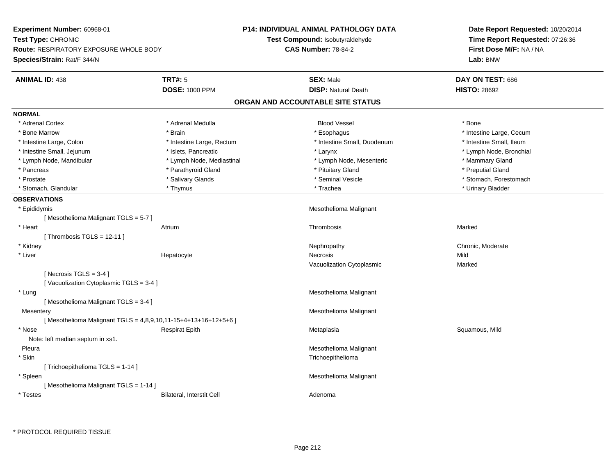**Experiment Number:** 60968-01**Test Type:** CHRONIC **Route:** RESPIRATORY EXPOSURE WHOLE BODY**Species/Strain:** Rat/F 344/N**P14: INDIVIDUAL ANIMAL PATHOLOGY DATATest Compound:** Isobutyraldehyde**CAS Number:** 78-84-2**Date Report Requested:** 10/20/2014**Time Report Requested:** 07:26:36**First Dose M/F:** NA / NA**Lab:** BNW**ANIMAL ID:** 438**TRT#:** 5 **SEX:** Male **DAY ON TEST:** 686 **DOSE:** 1000 PPM**DISP:** Natural Death **HISTO:** 28692 **ORGAN AND ACCOUNTABLE SITE STATUSNORMAL**\* Adrenal Cortex \* Adrenal Cortex \* Adrenal Medulla Blood Vessel \* Bone\* Bone Marrow \* The Large, Cecum \* Brain \* Esophagus \* Esophagus \* Esophagus \* Intestine Large, Cecum \* Intestine Large, Cecum \* Intestine Small, Ileum \* Intestine Large, Colon \* Intestine Large, Rectum \* Intestine Small, Duodenum \* 1 \* Lymph Node, Bronchial \* Intestine Small, Jejunum \* Nodel \* Islets, Pancreatic \* Notes: \* Larynx \* Larynx \* Larynx \* Larynx \* Larynx \* Larynx \* Larynx \* Larynx \* Larynx \* Larynx \* Larynx \* Larynx \* Larynx \* Larynx \* Larynx \* Larynx \* Larynx \* La \* Lymph Node, Mandibular \* Lymph Node, Mediastinal \* Lymph Node, Mesenteric \* Mammary Gland \* Preputial Gland \* Pancreas \* \* Parathyroid Gland \* \* Parathyroid Gland \* \* Pituitary Gland \* \* Preputial Gland \* \* Preputial Gland \* Prostate \* The state \* Salivary Glands \* Seminal Vesicle \* Seminal Vesicle \* Stomach, Forestomach \* Stomach, Glandular \* \* \* Thymus \* \* Thymus \* \* The \* \* Trachea \* \* Trachea \* \* Urinary Bladder \* \* Urinary Bladder \* **OBSERVATIONS** \* Epididymis Mesothelioma Malignant [ Mesothelioma Malignant TGLS = 5-7 ] \* Heart Atriumm and the controller of the Thrombosis and the controller of the Marked Marked Street and the Marked Street and The Marked Street and the Marked Street and the Marked Street and the Marked Street and the Marked Street and  $[$  Thrombosis TGLS = 12-11  $]$  \* Kidneyy which is a controlled that the controller controller the chronic of the chronic chronic, Moderate  $\lambda$  \* Liver Hepatocytee the contract of the Necrosis **Mild** Vacuolization Cytoplasmic Marked $[$  Necrosis TGLS = 3-4  $]$ [ Vacuolization Cytoplasmic TGLS = 3-4 ] \* Lung Mesothelioma Malignant [ Mesothelioma Malignant TGLS = 3-4 ]**Mesentery**  Mesothelioma Malignant  $[$  Mesothelioma Malignant TGLS = 4,8,9,10,11-15+4+13+16+12+5+6  $]$  \* Nose Respirat Epith Metaplasia Squamous, Mild Note: left median septum in xs1. Pleura Mesothelioma Malignant \* Skin Trichoepithelioma [ Trichoepithelioma TGLS = 1-14 ] \* Spleen Mesothelioma Malignant [ Mesothelioma Malignant TGLS = 1-14 ] \* TestesBilateral, Interstit Cell **Adenoma** Adenoma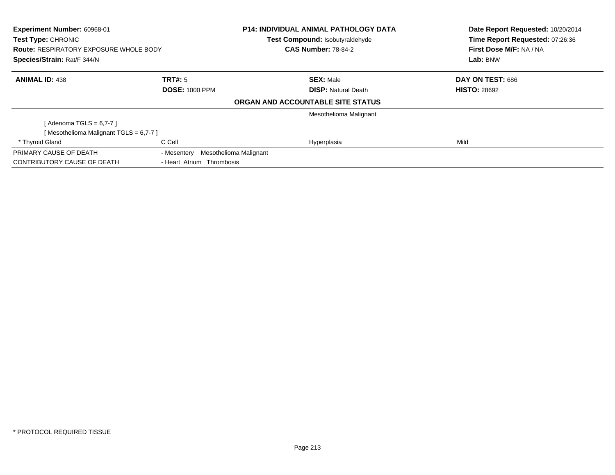| Experiment Number: 60968-01<br>Test Type: CHRONIC<br><b>Route: RESPIRATORY EXPOSURE WHOLE BODY</b> |                           | <b>P14: INDIVIDUAL ANIMAL PATHOLOGY DATA</b> | Date Report Requested: 10/20/2014<br>Time Report Requested: 07:26:36 |
|----------------------------------------------------------------------------------------------------|---------------------------|----------------------------------------------|----------------------------------------------------------------------|
|                                                                                                    |                           | Test Compound: Isobutyraldehyde              |                                                                      |
|                                                                                                    |                           | <b>CAS Number: 78-84-2</b>                   | First Dose M/F: NA / NA                                              |
| Species/Strain: Rat/F 344/N                                                                        |                           |                                              | Lab: BNW                                                             |
| <b>ANIMAL ID: 438</b>                                                                              | TRT#: 5                   | <b>SEX: Male</b>                             | DAY ON TEST: 686                                                     |
|                                                                                                    | <b>DOSE: 1000 PPM</b>     | <b>DISP:</b> Natural Death                   | <b>HISTO: 28692</b>                                                  |
|                                                                                                    |                           | ORGAN AND ACCOUNTABLE SITE STATUS            |                                                                      |
|                                                                                                    |                           | Mesothelioma Malignant                       |                                                                      |
| [ Adenoma TGLS = 6,7-7 ]                                                                           |                           |                                              |                                                                      |
| [Mesothelioma Malignant TGLS = 6,7-7]                                                              |                           |                                              |                                                                      |
| * Thyroid Gland                                                                                    | C Cell                    | Hyperplasia                                  | Mild                                                                 |
| PRIMARY CAUSE OF DEATH                                                                             | - Mesentery               | Mesothelioma Malignant                       |                                                                      |
| CONTRIBUTORY CAUSE OF DEATH                                                                        | - Heart Atrium Thrombosis |                                              |                                                                      |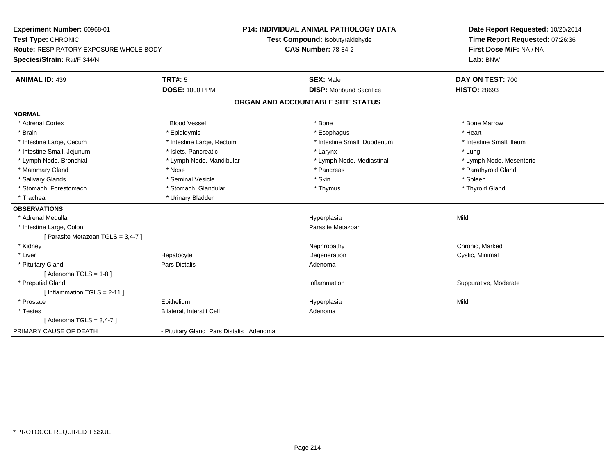**Experiment Number:** 60968-01**Test Type:** CHRONIC **Route:** RESPIRATORY EXPOSURE WHOLE BODY**Species/Strain:** Rat/F 344/N**P14: INDIVIDUAL ANIMAL PATHOLOGY DATATest Compound:** Isobutyraldehyde**CAS Number:** 78-84-2**Date Report Requested:** 10/20/2014**Time Report Requested:** 07:26:36**First Dose M/F:** NA / NA**Lab:** BNW**ANIMAL ID:** 439**TRT#:** 5 **SEX:** Male **DAY ON TEST:** 700 **DOSE:** 1000 PPM**DISP:** Moribund Sacrifice **HISTO:** 28693 **ORGAN AND ACCOUNTABLE SITE STATUSNORMAL**\* Adrenal Cortex \* Adrenal Cortex \* Attack the state of the state of the Blood Vessel the state of the state of the state of the Marrow \* Bone Marrow \* Bone Marrow \* Bone Marrow \* Bone Marrow \* Bone Marrow \* Bone Marrow \* Bone Marrow \* Bon \* Brain \* \* Esophagus \* \* Esophagus \* \* Esophagus \* \* Esophagus \* \* Esophagus \* Heart \* Heart \* Heart \* Heart \* Intestine Large, Cecum \* Intestine Large, Rectum \* Intestine Small, Duodenum \* Intestine Small, Ileum\* Intestine Small, Jejunum \* 1998 \* The state of the state of the state of the state of the state of the state of the state of the state of the state of the state of the state of the state of the state of the state of the \* Lymph Node, Mesenteric \* Lymph Node, Bronchial \* Lymph Node, Mandibular \* Lymph Node, Mediastinal \* Lymph Node, Mediastinal \* Mammary Gland \* \* Nose \* \* Nose \* \* Pancreas \* Pancreas \* \* Pancreas \* \* Pancreas \* \* Pancreas \* \* Parathyroid Gland \* Salivary Glands \* \* \* Sheen \* Seminal Vesicle \* \* \* Stan \* \* Skin \* \* Skin \* \* Spleen \* \* Spleen \* \* Spleen \* \* Thyroid Gland \* Stomach, Forestomach \* Thymus \* Stomach, Glandular \* Thymus \* Thymus \* Thymus \* Thymus \* Thymus \* Thymus \* Thymus \* Thymus \* Thymus \* Thymus \* Thymus \* Thymus \* Thymus \* Thymus \* Thymus \* Thymus \* Thymus \* Thymus \* Thymu \* Trachea **\*** Urinary Bladder **OBSERVATIONS** \* Adrenal Medulla Hyperplasia Mild \* Intestine Large, Colon Parasite Metazoan [ Parasite Metazoan TGLS = 3,4-7 ] \* Kidneyy the controller of the controller of the controller of the Nephropathy Chronic, Marked Schronic, Marked Schronic, Marked Schronic, Marked Schronic, Marked Schronic, Marked Schronic, Marked Schronic, Marked Schronic, Marke Cystic, Minimal \* Liver Hepatocyte Degeneration Cystic, Minimal \* Pituitary Glandd and the contract of Pars Distalis and the contract of Adenoma and Adenoma and the Adenoma and the Adenoma and  $\lambda$  $[$  Adenoma TGLS = 1-8  $]$  \* Preputial GlandInflammation **Suppurative, Moderate** [ Inflammation TGLS = 2-11 ] \* Prostate**Epithelium**  Hyperplasia Mild \* TestesBilateral, Interstit Cell **Adenoma** Adenoma [ Adenoma TGLS = 3,4-7 ]PRIMARY CAUSE OF DEATH- Pituitary Gland Pars Distalis Adenoma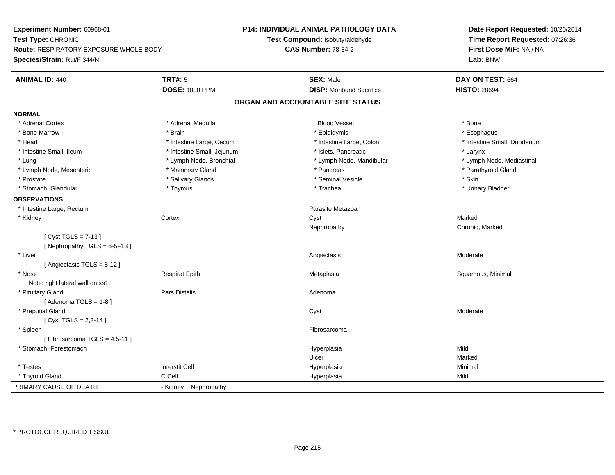**Experiment Number:** 60968-01**Test Type:** CHRONIC **Route:** RESPIRATORY EXPOSURE WHOLE BODY**Species/Strain:** Rat/F 344/N**P14: INDIVIDUAL ANIMAL PATHOLOGY DATATest Compound:** Isobutyraldehyde**CAS Number:** 78-84-2**Date Report Requested:** 10/20/2014**Time Report Requested:** 07:26:36**First Dose M/F:** NA / NA**Lab:** BNW**ANIMAL ID:** 440**TRT#:** 5 **SEX:** Male **DAY ON TEST:** 664 **DOSE:** 1000 PPM**DISP:** Moribund Sacrifice **HISTO:** 28694 **ORGAN AND ACCOUNTABLE SITE STATUSNORMAL**\* Adrenal Cortex \* Adrenal Cortex \* Adrenal Medulla Blood Vessel \* Bone\* Esophagus \* Bone Marrow \* Brain \* Epididymis \* Esophagus \* Intestine Small, Duodenum \* Heart \* Intestine Large, Cecum \* Intestine Large, Cecum \* Intestine Large, Colon \* Intestine Small, Ileum \* Intestine Small, Jejunum \* Islets, Pancreatic \* Larynx\* Lymph Node, Mediastinal \* Lung \* Lymph Node, Bronchial \* Lymph Node, Aandibular \* Lymph Node, Mandibular \* Lymph Node, Mesenteric \* \* Mammary Gland \* Mammary Gland \* Pancreas \* Pancreas \* \* Pancreas \* \* Parathyroid Gland \* Prostate \* \* Salivary Glands \* \* Salivary Glands \* \* Seminal Vesicle \* \* \* Seminal Yestrich \* \* Skin \* \* Skin \* Urinary Bladder \* Stomach, Glandular \* \* \* Thymus \* \* Thymus \* \* The \* \* Trachea \* \* Trachea \* \* Urinary Bladder \* \* Urinary Bladder \* **OBSERVATIONS** \* Intestine Large, Rectumm<br>Parasite Metazoan<br>Parasite Metazoan \* Kidneyy the cortex cortex content of the cortex content of the cortex content of the cortex content of the cortex content of the cortex content of the cortex content of the cortex content of the cortex content of the cortex cont y Chronic, Marked Nephropathy[ Cyst TGLS = 7-13 ] $[$  Nephropathy TGLS = 6-5+13 ] \* Liverr and the contract of the contract of the contract of the contract of the contract of the contract of the contract of the contract of the contract of the contract of the contract of the contract of the contract of the cont s Moderate [ Angiectasis TGLS = 8-12 ] \* Nose Respirat Epith Metaplasia Squamous, Minimal Note: right lateral wall on xs1. \* Pituitary Glandd and the contract of Pars Distalis and the contract of Adenoma and Adenoma and the Adenoma and the Adenoma and  $\lambda$  $[$  Adenoma TGLS = 1-8  $]$  \* Preputial Glandd and the control of the control of the control of the control of the control of the control of the control of the control of the control of the control of the control of the control of the control of the control of the co  $[$  Cyst TGLS = 2,3-14  $]$  \* Spleenn and the control of the control of the control of the control of the control of the control of the control of the control of the control of the control of the control of the control of the control of the control of the co  $[$  Fibrosarcoma TGLS = 4,5-11  $]$  \* Stomach, Forestomachh ann an t-ìre ann an t-ìre ann an t-ìre ann an t-ìre ann an t-ìre ann an t-ìre ann an Mild ann an Mild ann an Ulcerr **Marked** Minimal \* Testes Interstit Cell Hyperplasiaa and a studies of the studies of the Minimal \* Thyroid Gland C Cell Hyperplasia Mild PRIMARY CAUSE OF DEATH- Kidney Nephropathy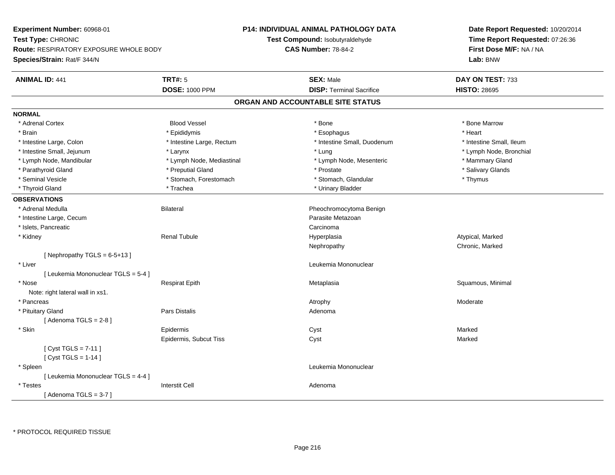**Experiment Number:** 60968-01**Test Type:** CHRONIC **Route:** RESPIRATORY EXPOSURE WHOLE BODY**Species/Strain:** Rat/F 344/N**P14: INDIVIDUAL ANIMAL PATHOLOGY DATATest Compound:** Isobutyraldehyde**CAS Number:** 78-84-2**Date Report Requested:** 10/20/2014**Time Report Requested:** 07:26:36**First Dose M/F:** NA / NA**Lab:** BNW**ANIMAL ID:** 441**TRT#:** 5 **SEX:** Male **DAY ON TEST:** 733 **DOSE:** 1000 PPM**DISP:** Terminal Sacrifice **HISTO:** 28695 **ORGAN AND ACCOUNTABLE SITE STATUSNORMAL**\* Adrenal Cortex \* Adrenal Cortex \* Attack the state of the state of the Blood Vessel the state of the state of the state of the Marrow \* Bone Marrow \* Bone Marrow \* Bone Marrow \* Bone Marrow \* Bone Marrow \* Bone Marrow \* Bone Marrow \* Bon \* Brain \* \* Esophagus \* \* Esophagus \* \* Esophagus \* \* Esophagus \* \* Esophagus \* Heart \* Heart \* Heart \* Heart \* Intestine Large, Colon \* Intestine Large, Rectum \* Intestine Small, Duodenum \* Intestine Small, Ileum \* Intestine Small, Ileum \* Lymph Node, Bronchial \* Intestine Small, Jejunum \* **Manufally and According the Contract According to According the According to According the Node, Bronch in the According to According the Lung \* Lung \* Lung \* Lung \* Lung \* Lung \* Lung \* Lung** \* Lymph Node, Mandibular \* Lymph Node, Mediastinal \* Lymph Node, Mesenteric \* Mammary Gland \* Salivary Glands \* Parathyroid Gland \* \* \* Preputial Gland \* \* Preputial Gland \* \* Prostate \* \* Salivary Glands \* Salivary Glands \* Seminal Vesicle \* Thymus \* Stomach, Forestomach \* Northern \* Stomach, Glandular \* Thymus \* Thymus \* Thyroid Gland \* Trachea \* Trachea \* Trachea \* Thyroid Gland \* Urinary Bladder **OBSERVATIONS** \* Adrenal Medulla Bilateral Pheochromocytoma Benign \* Intestine Large, Cecumm and the contract of the contract of the contract of the contract of the Metazoan Parasite Metazoan and the c<br>The contract of the contract of the contract of the contract of the contract of the contract of the contract of \* Islets, Pancreaticc contract the contract of the contract of the contract of the contract of the contract of the contract of the contract of the contract of the contract of the contract of the contract of the contract of the contract of the Hyperplasia \* Kidney Renal Tubule Hyperplasia Atypical, Marked Nephropathy Chronic, Marked $[$  Nephropathy TGLS = 6-5+13 ] \* Liver Leukemia Mononuclear [ Leukemia Mononuclear TGLS = 5-4 ] \* Nose Respirat Epith Metaplasia Squamous, Minimal Note: right lateral wall in xs1. \* Pancreass and the control of the control of the control of the control of the control of the control of the control of the control of the control of the control of the control of the control of the control of the control of the co \* Pituitary Glandd and the contract of Pars Distalis and the contract of Adenoma and Adenoma and the Adenoma and the Adenoma and  $\lambda$  $[$  Adenoma TGLS = 2-8  $]$  \* Skinn and the extent of the extended of the extended of the extended of the extended of the extended of the extend<br>In the extended of the extended of the extended of the extended of the extended of the extended of the extended Epidermis, Subcut Tiss Cyst Marked[ Cyst TGLS = 7-11 ][ Cyst TGLS = 1-14 ] \* Spleen Leukemia Mononuclear [ Leukemia Mononuclear TGLS = 4-4 ] \* Testes Interstit Cell Adenoma $[$  Adenoma TGLS = 3-7  $]$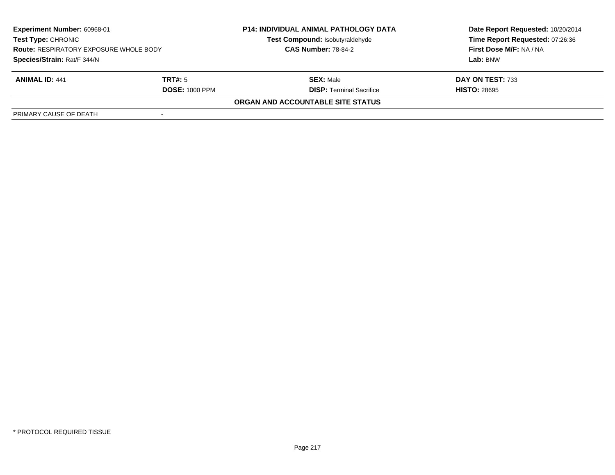| <b>Experiment Number: 60968-01</b><br>Test Type: CHRONIC<br><b>Route: RESPIRATORY EXPOSURE WHOLE BODY</b> |                       | <b>P14: INDIVIDUAL ANIMAL PATHOLOGY DATA</b><br>Test Compound: Isobutyraldehyde<br><b>CAS Number: 78-84-2</b> | Date Report Requested: 10/20/2014<br>Time Report Requested: 07:26:36<br>First Dose M/F: NA / NA |
|-----------------------------------------------------------------------------------------------------------|-----------------------|---------------------------------------------------------------------------------------------------------------|-------------------------------------------------------------------------------------------------|
| Species/Strain: Rat/F 344/N                                                                               |                       |                                                                                                               | Lab: BNW                                                                                        |
| <b>ANIMAL ID: 441</b>                                                                                     | TRT#: 5               | <b>SEX: Male</b>                                                                                              | DAY ON TEST: 733                                                                                |
|                                                                                                           | <b>DOSE: 1000 PPM</b> | <b>DISP: Terminal Sacrifice</b>                                                                               | <b>HISTO: 28695</b>                                                                             |
|                                                                                                           |                       | ORGAN AND ACCOUNTABLE SITE STATUS                                                                             |                                                                                                 |
| PRIMARY CAUSE OF DEATH                                                                                    |                       |                                                                                                               |                                                                                                 |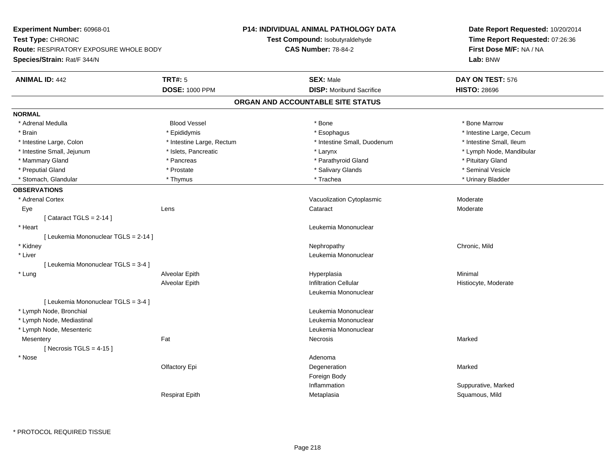**Experiment Number:** 60968-01**Test Type:** CHRONIC **Route:** RESPIRATORY EXPOSURE WHOLE BODY**Species/Strain:** Rat/F 344/N**P14: INDIVIDUAL ANIMAL PATHOLOGY DATATest Compound:** Isobutyraldehyde**CAS Number:** 78-84-2**Date Report Requested:** 10/20/2014**Time Report Requested:** 07:26:36**First Dose M/F:** NA / NA**Lab:** BNW**ANIMAL ID:** 442**TRT#:** 5 **SEX:** Male **DAY ON TEST:** 576 **DOSE:** 1000 PPM**DISP:** Moribund Sacrifice **HISTO:** 28696 **ORGAN AND ACCOUNTABLE SITE STATUSNORMAL** \* Adrenal Medulla Blood Vessel \* Bone \* Bone Marrow\* Brain \* Explorer \* Epididymis \* \* Epididymis \* \* Esophagus \* Esophagus \* \* Esophagus \* Intestine Large, Cecum \* \* Intestine Large, Cecum \* Intestine Small, Ileum \* Intestine Large, Colon \* Intestine Large, Rectum \* Intestine Small, Duodenum \* Intestine Small, Duodenum \* Lymph Node, Mandibular \* Intestine Small, Jejunum \* Nodel \* Islets, Pancreatic \* Nodel \* Larynx \* Larynx \* Larynx \* Larynx \* Larynx \* Larynx \* Larynx \* Larynx \* Larynx \* Larynx \* Larynx \* Larynx \* Larynx \* Larynx \* Larynx \* Larynx \* Larynx \* Lar \* Mammary Gland \* **All and \* Pancreas** \* Pancreas \* Parathyroid Gland \* Parathyroid Gland \* Pituitary Gland \* Pituitary Gland \* Seminal Vesicle \* Preputial Gland \* \* Annual vesicle \* \* Prostate \* \* Salivary Glands \* \* Salivary Glands \* \* Seminal Vesicle \* \* Urinary Bladder \* Stomach, Glandular \* \* \* Thymus \* \* Thymus \* \* The \* \* Trachea \* \* Trachea \* \* Urinary Bladder \* \* Urinary Bladder \* **OBSERVATIONS** \* Adrenal CortexVacuolization Cytoplasmic **Moderate** Moderate Moderate Eyee which contains the contract contains the contract contains the contract of the contract contract contract of  $\sim$  Moderate contract contract  $\sim$  Moderate contract contract contract contract contract contract contract co  $[$  Cataract TGLS = 2-14  $]$  \* Heart Leukemia Mononuclear[ Leukemia Mononuclear TGLS = 2-14 ] \* Kidneyy the controller of the controller of the controller of the controller of the chronic controller of the chronic, Mild \* Liver Leukemia Mononuclear [ Leukemia Mononuclear TGLS = 3-4 ] \* Lung Alveolar Epith Hyperplasia Minimal Alveolar EpithInfiltration Cellular **Histiocyte**, Moderate Leukemia Mononuclear[ Leukemia Mononuclear TGLS = 3-4 ] \* Lymph Node, Bronchial Leukemia Mononuclear \* Lymph Node, Mediastinal Leukemia Mononuclear \* Lymph Node, Mesenteric Leukemia Mononuclear **Mesentery** y the control of the Marked States of the Marked States of the Marked States of the Marked States of the Marked States of the Marked States of the Marked States of the Marked States of the Marked States of the Marked State  $[$  Necrosis TGLS = 4-15  $]$  \* Nosee de la contradicto de la contradicto de la contradicto de la contradicto de la contradicto de la contradicto d<br>Adenoma Olfactory Epi Degenerationn Marked Foreign Body Inflammation Suppurative, Marked Respirat EpithMetaplasia Squamous, Mild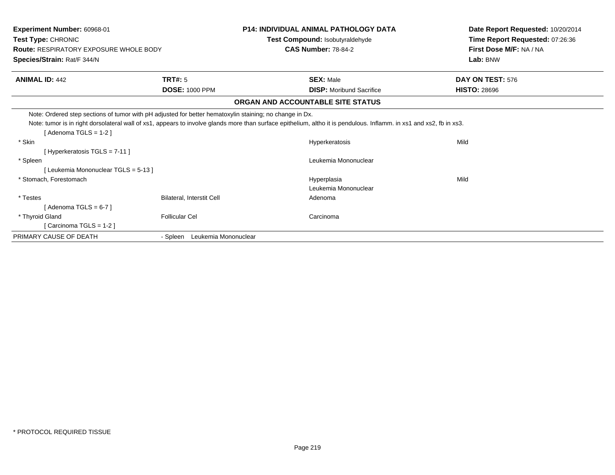| Experiment Number: 60968-01                                                                                                     |                                  | <b>P14: INDIVIDUAL ANIMAL PATHOLOGY DATA</b>                                                                                                                         | Date Report Requested: 10/20/2014 |  |
|---------------------------------------------------------------------------------------------------------------------------------|----------------------------------|----------------------------------------------------------------------------------------------------------------------------------------------------------------------|-----------------------------------|--|
| Test Type: CHRONIC                                                                                                              |                                  | Test Compound: Isobutyraldehyde                                                                                                                                      | Time Report Requested: 07:26:36   |  |
| <b>Route: RESPIRATORY EXPOSURE WHOLE BODY</b>                                                                                   |                                  | <b>CAS Number: 78-84-2</b>                                                                                                                                           | First Dose M/F: NA / NA           |  |
| Species/Strain: Rat/F 344/N                                                                                                     |                                  |                                                                                                                                                                      | Lab: BNW                          |  |
| <b>ANIMAL ID: 442</b>                                                                                                           | <b>TRT#: 5</b>                   | <b>SEX: Male</b>                                                                                                                                                     | DAY ON TEST: 576                  |  |
|                                                                                                                                 | <b>DOSE: 1000 PPM</b>            | <b>DISP:</b> Moribund Sacrifice                                                                                                                                      | <b>HISTO: 28696</b>               |  |
|                                                                                                                                 |                                  | ORGAN AND ACCOUNTABLE SITE STATUS                                                                                                                                    |                                   |  |
| Note: Ordered step sections of tumor with pH adjusted for better hematoxylin staining; no change in Dx.<br>[Adenoma TGLS = 1-2] |                                  | Note: tumor is in right dorsolateral wall of xs1, appears to involve glands more than surface epithelium, altho it is pendulous. Inflamm. in xs1 and xs2, fb in xs3. |                                   |  |
| * Skin                                                                                                                          |                                  | Hyperkeratosis                                                                                                                                                       | Mild                              |  |
| [Hyperkeratosis TGLS = 7-11]                                                                                                    |                                  |                                                                                                                                                                      |                                   |  |
| * Spleen                                                                                                                        |                                  | Leukemia Mononuclear                                                                                                                                                 |                                   |  |
| [Leukemia Mononuclear TGLS = 5-13]                                                                                              |                                  |                                                                                                                                                                      |                                   |  |
| * Stomach, Forestomach                                                                                                          |                                  | Hyperplasia                                                                                                                                                          | Mild                              |  |
|                                                                                                                                 |                                  | Leukemia Mononuclear                                                                                                                                                 |                                   |  |
| * Testes                                                                                                                        | Bilateral, Interstit Cell        | Adenoma                                                                                                                                                              |                                   |  |
| [Adenoma TGLS = 6-7]                                                                                                            |                                  |                                                                                                                                                                      |                                   |  |
| * Thyroid Gland                                                                                                                 | <b>Follicular Cel</b>            | Carcinoma                                                                                                                                                            |                                   |  |
| [Carcinoma TGLS = 1-2]                                                                                                          |                                  |                                                                                                                                                                      |                                   |  |
| PRIMARY CAUSE OF DEATH                                                                                                          | Leukemia Mononuclear<br>- Spleen |                                                                                                                                                                      |                                   |  |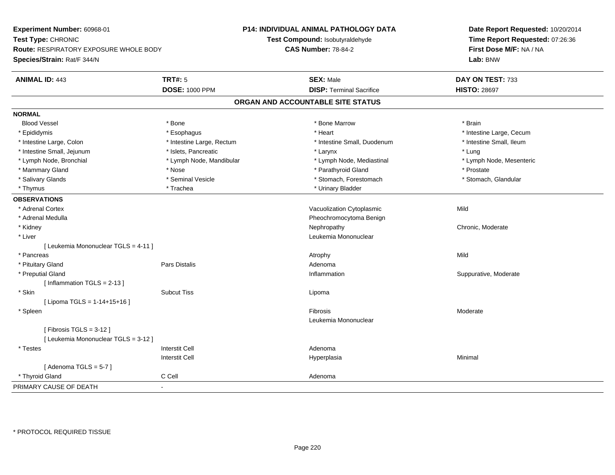**Experiment Number:** 60968-01**Test Type:** CHRONIC **Route:** RESPIRATORY EXPOSURE WHOLE BODY**Species/Strain:** Rat/F 344/N**P14: INDIVIDUAL ANIMAL PATHOLOGY DATATest Compound:** Isobutyraldehyde**CAS Number:** 78-84-2**Date Report Requested:** 10/20/2014**Time Report Requested:** 07:26:36**First Dose M/F:** NA / NA**Lab:** BNW**ANIMAL ID:** 443**TRT#:** 5 **SEX:** Male **DAY ON TEST:** 733 **DOSE:** 1000 PPM**DISP:** Terminal Sacrifice **HISTO:** 28697 **ORGAN AND ACCOUNTABLE SITE STATUSNORMALBlood Vessel**  Blood Vessel \* Bone \* Bone Marrow \* Brain\* Epididymis **Account 19 and 19 and 19 and 19 and 19 and 19 and 19 and 19 and 19 and 19 and 19 and 19 and 19 and 19 and 19 and 19 and 19 and 19 and 19 and 19 and 19 and 19 and 19 and 19 and 19 and 19 and 19 and 19 and 19 a** \* Intestine Small. Ileum \* Intestine Large, Colon \* Intestine Large, Rectum \* Intestine Small, Duodenum \* Intestine Small, Duodenum \* Intestine Small, Jejunum \* \* 19ets, Pancreatic \* Larynx \* Larynx \* Larynx \* Larynx \* Lung \* Lymph Node, Mesenteric \* Lymph Node, Bronchial \* Lymph Node, Mandibular \* Lymph Node, Mediastinal \* Lymph Node, Mediastinal \* Mammary Gland \* The state \* Nose \* Nose \* Prostate \* Prostate \* Prostate \* Prostate \* Prostate \* Prostate \* Prostate \* Stomach. Glandular \* Salivary Glands \* Seminal Vesicle \* Seminal Vesicle \* \* Stomach, Forestomach \* Stomach, Forestomach \* Thymus \* Trachea \* Trachea \* Trachea \* Urinary Bladder **OBSERVATIONS** \* Adrenal CortexVacuolization Cytoplasmic **Mild**  \* Adrenal Medulla Pheochromocytoma Benign \* Kidneyy the chronic, Moderate and September 2012 of the Chronic Moderate and September 2013 of the Chronic, Moderate \* Liver Leukemia Mononuclear [ Leukemia Mononuclear TGLS = 4-11 ] \* Pancreass the control of the control of the control of the control of the control of the control of the control of the control of the control of the control of the control of the control of the control of the control of the contro \* Pituitary Glandd and the contract of Pars Distalis and the contract of Adenoma and Adenoma and the Adenoma and the Adenoma and  $\lambda$  \* Preputial Glandd inflammation inflammation in the Suppurative, Moderate in the Suppurative, Moderate in the Suppurative, Moderate in the Suppurative, Moderate in the Suppurative, Moderate in the Suppurative, Moderate in the Suppurative, [ Inflammation TGLS = 2-13 ] \* Skinn and the subcut Tiss of the subset of the set of the set of the set of the set of the set of the set of the s [ Lipoma TGLS = 1-14+15+16 ] \* Spleenn and the state of the state of the state of the state of the state of the state of the state of the state of the state of the state of the state of the state of the state of the state of the state of the state of the stat Leukemia Mononuclear[ Fibrosis TGLS = 3-12 ][ Leukemia Mononuclear TGLS = 3-12 ] \* Testes Interstit Cell AdenomaI **Hyperplasia** Interstit Cella and a studies of the studies of the Minimal  $[$  Adenoma TGLS = 5-7  $]$  \* Thyroid Glandd C Cell C Cell Adenoma PRIMARY CAUSE OF DEATH-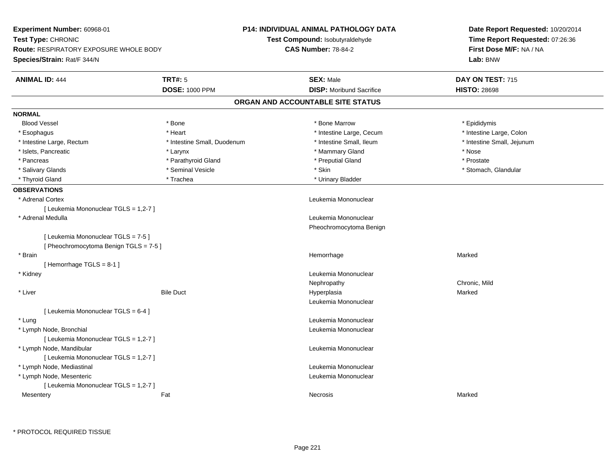| Experiment Number: 60968-01                   |                             | <b>P14: INDIVIDUAL ANIMAL PATHOLOGY DATA</b> | Date Report Requested: 10/20/2014<br>Time Report Requested: 07:26:36 |  |
|-----------------------------------------------|-----------------------------|----------------------------------------------|----------------------------------------------------------------------|--|
| Test Type: CHRONIC                            |                             | Test Compound: Isobutyraldehyde              |                                                                      |  |
| <b>Route: RESPIRATORY EXPOSURE WHOLE BODY</b> |                             | <b>CAS Number: 78-84-2</b>                   | First Dose M/F: NA / NA<br>Lab: BNW                                  |  |
| Species/Strain: Rat/F 344/N                   |                             |                                              |                                                                      |  |
| <b>ANIMAL ID: 444</b>                         | <b>TRT#: 5</b>              | <b>SEX: Male</b>                             | DAY ON TEST: 715                                                     |  |
|                                               | <b>DOSE: 1000 PPM</b>       | <b>DISP:</b> Moribund Sacrifice              | <b>HISTO: 28698</b>                                                  |  |
|                                               |                             | ORGAN AND ACCOUNTABLE SITE STATUS            |                                                                      |  |
| <b>NORMAL</b>                                 |                             |                                              |                                                                      |  |
| <b>Blood Vessel</b>                           | * Bone                      | * Bone Marrow                                | * Epididymis                                                         |  |
| * Esophagus                                   | * Heart                     | * Intestine Large, Cecum                     | * Intestine Large, Colon                                             |  |
| * Intestine Large, Rectum                     | * Intestine Small, Duodenum | * Intestine Small, Ileum                     | * Intestine Small, Jejunum                                           |  |
| * Islets, Pancreatic                          | * Larynx                    | * Mammary Gland                              | * Nose                                                               |  |
| * Pancreas                                    | * Parathyroid Gland         | * Preputial Gland                            | * Prostate                                                           |  |
| * Salivary Glands                             | * Seminal Vesicle           | * Skin                                       | * Stomach, Glandular                                                 |  |
| * Thyroid Gland                               | * Trachea                   | * Urinary Bladder                            |                                                                      |  |
| <b>OBSERVATIONS</b>                           |                             |                                              |                                                                      |  |
| * Adrenal Cortex                              |                             | Leukemia Mononuclear                         |                                                                      |  |
| [ Leukemia Mononuclear TGLS = 1,2-7 ]         |                             |                                              |                                                                      |  |
| * Adrenal Medulla                             |                             | Leukemia Mononuclear                         |                                                                      |  |
|                                               |                             | Pheochromocytoma Benign                      |                                                                      |  |
| [ Leukemia Mononuclear TGLS = 7-5 ]           |                             |                                              |                                                                      |  |
| [ Pheochromocytoma Benign TGLS = 7-5 ]        |                             |                                              |                                                                      |  |
| * Brain                                       |                             | Hemorrhage                                   | Marked                                                               |  |
| [Hemorrhage TGLS = $8-1$ ]                    |                             |                                              |                                                                      |  |
| * Kidney                                      |                             | Leukemia Mononuclear                         |                                                                      |  |
|                                               |                             | Nephropathy                                  | Chronic, Mild                                                        |  |
| * Liver                                       | <b>Bile Duct</b>            | Hyperplasia                                  | Marked                                                               |  |
|                                               |                             | Leukemia Mononuclear                         |                                                                      |  |
| [ Leukemia Mononuclear TGLS = 6-4 ]           |                             |                                              |                                                                      |  |
| * Lung                                        |                             | Leukemia Mononuclear                         |                                                                      |  |
| * Lymph Node, Bronchial                       |                             | Leukemia Mononuclear                         |                                                                      |  |
| [ Leukemia Mononuclear TGLS = 1,2-7 ]         |                             |                                              |                                                                      |  |
| * Lymph Node, Mandibular                      |                             | Leukemia Mononuclear                         |                                                                      |  |
| [ Leukemia Mononuclear TGLS = 1,2-7 ]         |                             |                                              |                                                                      |  |
| * Lymph Node, Mediastinal                     |                             | Leukemia Mononuclear                         |                                                                      |  |
| * Lymph Node, Mesenteric                      |                             | Leukemia Mononuclear                         |                                                                      |  |
| [ Leukemia Mononuclear TGLS = 1,2-7 ]         |                             |                                              |                                                                      |  |
| Mesentery                                     | Fat                         | Necrosis                                     | Marked                                                               |  |
|                                               |                             |                                              |                                                                      |  |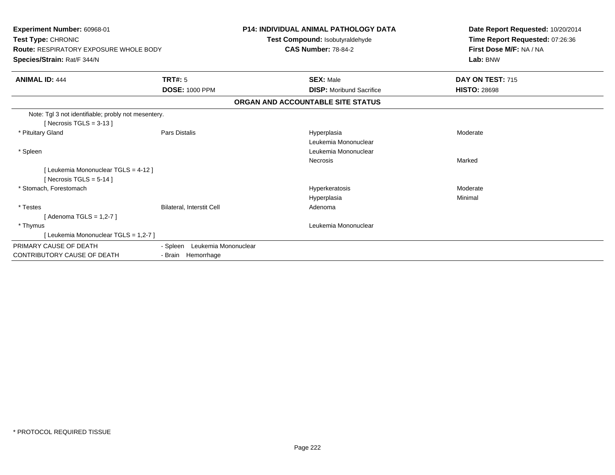| Experiment Number: 60968-01<br>Test Type: CHRONIC<br><b>Route: RESPIRATORY EXPOSURE WHOLE BODY</b><br>Species/Strain: Rat/F 344/N |                                  | <b>P14: INDIVIDUAL ANIMAL PATHOLOGY DATA</b><br>Test Compound: Isobutyraldehyde<br><b>CAS Number: 78-84-2</b> | Date Report Requested: 10/20/2014<br>Time Report Requested: 07:26:36<br>First Dose M/F: NA / NA<br>Lab: BNW |
|-----------------------------------------------------------------------------------------------------------------------------------|----------------------------------|---------------------------------------------------------------------------------------------------------------|-------------------------------------------------------------------------------------------------------------|
| <b>ANIMAL ID: 444</b>                                                                                                             | <b>TRT#: 5</b>                   | <b>SEX: Male</b>                                                                                              | DAY ON TEST: 715                                                                                            |
|                                                                                                                                   | <b>DOSE: 1000 PPM</b>            | <b>DISP:</b> Moribund Sacrifice                                                                               | <b>HISTO: 28698</b>                                                                                         |
|                                                                                                                                   |                                  | ORGAN AND ACCOUNTABLE SITE STATUS                                                                             |                                                                                                             |
| Note: Tgl 3 not identifiable; probly not mesentery.<br>[ Necrosis TGLS = $3-13$ ]                                                 |                                  |                                                                                                               |                                                                                                             |
| * Pituitary Gland                                                                                                                 | Pars Distalis                    | Hyperplasia<br>Leukemia Mononuclear                                                                           | Moderate                                                                                                    |
| * Spleen                                                                                                                          |                                  | Leukemia Mononuclear                                                                                          |                                                                                                             |
|                                                                                                                                   |                                  | <b>Necrosis</b>                                                                                               | Marked                                                                                                      |
| [ Leukemia Mononuclear TGLS = 4-12 ]                                                                                              |                                  |                                                                                                               |                                                                                                             |
| [ Necrosis TGLS = $5-14$ ]                                                                                                        |                                  |                                                                                                               |                                                                                                             |
| * Stomach, Forestomach                                                                                                            |                                  | Hyperkeratosis                                                                                                | Moderate                                                                                                    |
|                                                                                                                                   |                                  | Hyperplasia                                                                                                   | Minimal                                                                                                     |
| * Testes                                                                                                                          | Bilateral, Interstit Cell        | Adenoma                                                                                                       |                                                                                                             |
| [Adenoma TGLS = 1,2-7]                                                                                                            |                                  |                                                                                                               |                                                                                                             |
| * Thymus                                                                                                                          |                                  | Leukemia Mononuclear                                                                                          |                                                                                                             |
| [ Leukemia Mononuclear TGLS = 1,2-7 ]                                                                                             |                                  |                                                                                                               |                                                                                                             |
| PRIMARY CAUSE OF DEATH                                                                                                            | - Spleen<br>Leukemia Mononuclear |                                                                                                               |                                                                                                             |
| CONTRIBUTORY CAUSE OF DEATH                                                                                                       | - Brain Hemorrhage               |                                                                                                               |                                                                                                             |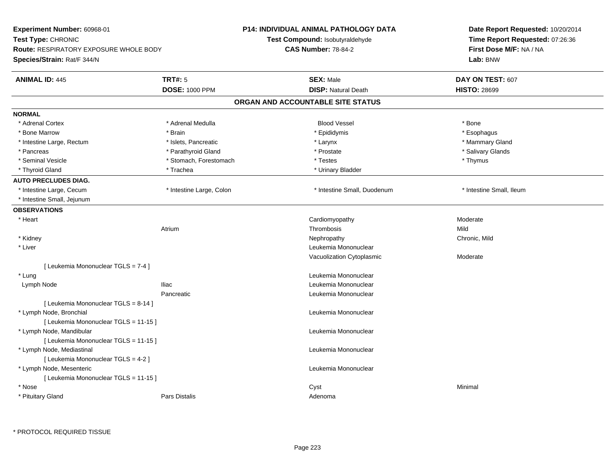| <b>Experiment Number: 60968-01</b>                                  |                          | P14: INDIVIDUAL ANIMAL PATHOLOGY DATA | Date Report Requested: 10/20/2014 |  |
|---------------------------------------------------------------------|--------------------------|---------------------------------------|-----------------------------------|--|
| Test Type: CHRONIC<br><b>Route: RESPIRATORY EXPOSURE WHOLE BODY</b> |                          | Test Compound: Isobutyraldehyde       | Time Report Requested: 07:26:36   |  |
|                                                                     |                          | <b>CAS Number: 78-84-2</b>            | First Dose M/F: NA / NA           |  |
| Species/Strain: Rat/F 344/N                                         |                          |                                       | Lab: BNW                          |  |
| <b>ANIMAL ID: 445</b>                                               | <b>TRT#: 5</b>           | <b>SEX: Male</b>                      | DAY ON TEST: 607                  |  |
|                                                                     | <b>DOSE: 1000 PPM</b>    | <b>DISP: Natural Death</b>            | <b>HISTO: 28699</b>               |  |
|                                                                     |                          | ORGAN AND ACCOUNTABLE SITE STATUS     |                                   |  |
| <b>NORMAL</b>                                                       |                          |                                       |                                   |  |
| * Adrenal Cortex                                                    | * Adrenal Medulla        | <b>Blood Vessel</b>                   | * Bone                            |  |
| * Bone Marrow                                                       | * Brain                  | * Epididymis                          | * Esophagus                       |  |
| * Intestine Large, Rectum                                           | * Islets, Pancreatic     | * Larynx                              | * Mammary Gland                   |  |
| * Pancreas                                                          | * Parathyroid Gland      | * Prostate                            | * Salivary Glands                 |  |
| * Seminal Vesicle                                                   | * Stomach, Forestomach   | * Testes                              | * Thymus                          |  |
| * Thyroid Gland                                                     | * Trachea                | * Urinary Bladder                     |                                   |  |
| <b>AUTO PRECLUDES DIAG.</b>                                         |                          |                                       |                                   |  |
| * Intestine Large, Cecum                                            | * Intestine Large, Colon | * Intestine Small, Duodenum           | * Intestine Small, Ileum          |  |
| * Intestine Small, Jejunum                                          |                          |                                       |                                   |  |
| <b>OBSERVATIONS</b>                                                 |                          |                                       |                                   |  |
| * Heart                                                             |                          | Cardiomyopathy                        | Moderate                          |  |
|                                                                     | Atrium                   | Thrombosis                            | Mild                              |  |
| * Kidney                                                            |                          | Nephropathy                           | Chronic, Mild                     |  |
| * Liver                                                             |                          | Leukemia Mononuclear                  |                                   |  |
|                                                                     |                          | Vacuolization Cytoplasmic             | Moderate                          |  |
| [ Leukemia Mononuclear TGLS = 7-4 ]                                 |                          |                                       |                                   |  |
| * Lung                                                              |                          | Leukemia Mononuclear                  |                                   |  |
| Lymph Node                                                          | <b>Iliac</b>             | Leukemia Mononuclear                  |                                   |  |
|                                                                     | Pancreatic               | Leukemia Mononuclear                  |                                   |  |
| [ Leukemia Mononuclear TGLS = 8-14 ]                                |                          |                                       |                                   |  |
| * Lymph Node, Bronchial                                             |                          | Leukemia Mononuclear                  |                                   |  |
| [ Leukemia Mononuclear TGLS = 11-15 ]                               |                          |                                       |                                   |  |
| * Lymph Node, Mandibular                                            |                          | Leukemia Mononuclear                  |                                   |  |
| [ Leukemia Mononuclear TGLS = 11-15 ]                               |                          |                                       |                                   |  |
| * Lymph Node, Mediastinal                                           |                          | Leukemia Mononuclear                  |                                   |  |
| [ Leukemia Mononuclear TGLS = 4-2 ]                                 |                          |                                       |                                   |  |
| * Lymph Node, Mesenteric                                            |                          | Leukemia Mononuclear                  |                                   |  |
| [ Leukemia Mononuclear TGLS = 11-15 ]                               |                          |                                       |                                   |  |
| * Nose                                                              |                          | Cyst                                  | Minimal                           |  |
| * Pituitary Gland                                                   | Pars Distalis            | Adenoma                               |                                   |  |
|                                                                     |                          |                                       |                                   |  |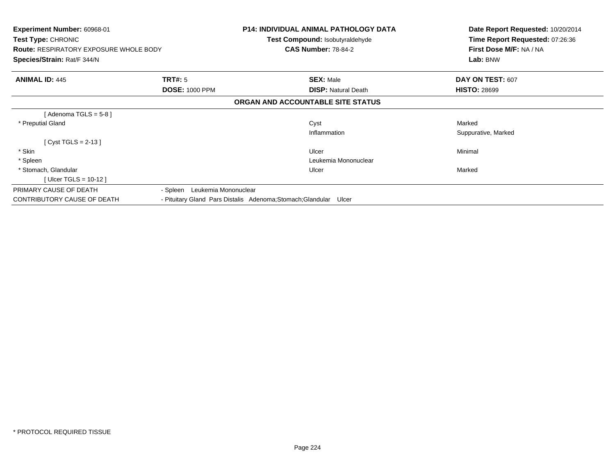| Experiment Number: 60968-01<br><b>Test Type: CHRONIC</b><br><b>Route: RESPIRATORY EXPOSURE WHOLE BODY</b><br>Species/Strain: Rat/F 344/N |                                         | <b>P14: INDIVIDUAL ANIMAL PATHOLOGY DATA</b><br><b>Test Compound: Isobutyraldehyde</b><br><b>CAS Number: 78-84-2</b> | Date Report Requested: 10/20/2014<br>Time Report Requested: 07:26:36<br>First Dose M/F: NA / NA<br>Lab: BNW |
|------------------------------------------------------------------------------------------------------------------------------------------|-----------------------------------------|----------------------------------------------------------------------------------------------------------------------|-------------------------------------------------------------------------------------------------------------|
| <b>ANIMAL ID: 445</b>                                                                                                                    | <b>TRT#:</b> 5<br><b>DOSE: 1000 PPM</b> | <b>SEX: Male</b><br><b>DISP: Natural Death</b>                                                                       | DAY ON TEST: 607<br><b>HISTO: 28699</b>                                                                     |
|                                                                                                                                          |                                         | ORGAN AND ACCOUNTABLE SITE STATUS                                                                                    |                                                                                                             |
| [Adenoma TGLS = $5-8$ ]                                                                                                                  |                                         |                                                                                                                      |                                                                                                             |
| * Preputial Gland                                                                                                                        |                                         | Cyst                                                                                                                 | Marked                                                                                                      |
|                                                                                                                                          |                                         | Inflammation                                                                                                         | Suppurative, Marked                                                                                         |
| [Cyst TGLS = 2-13]                                                                                                                       |                                         |                                                                                                                      |                                                                                                             |
| * Skin                                                                                                                                   |                                         | Ulcer                                                                                                                | Minimal                                                                                                     |
| * Spleen                                                                                                                                 |                                         | Leukemia Mononuclear                                                                                                 |                                                                                                             |
| * Stomach, Glandular                                                                                                                     |                                         | Ulcer                                                                                                                | Marked                                                                                                      |
| [ Ulcer TGLS = $10-12$ ]                                                                                                                 |                                         |                                                                                                                      |                                                                                                             |
| PRIMARY CAUSE OF DEATH                                                                                                                   | - Spleen Leukemia Mononuclear           |                                                                                                                      |                                                                                                             |
| CONTRIBUTORY CAUSE OF DEATH                                                                                                              |                                         | - Pituitary Gland Pars Distalis Adenoma; Stomach; Glandular Ulcer                                                    |                                                                                                             |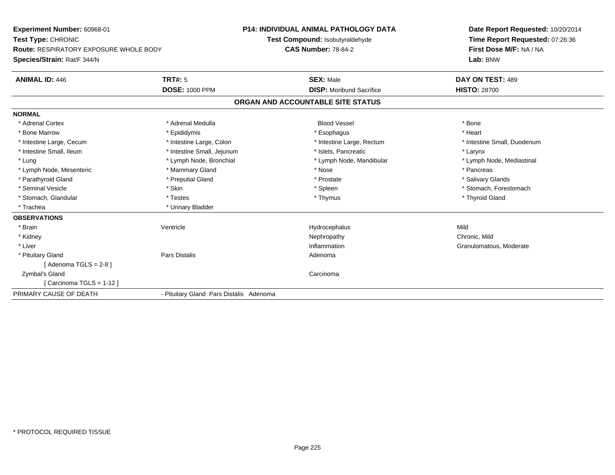**Experiment Number:** 60968-01**Test Type:** CHRONIC **Route:** RESPIRATORY EXPOSURE WHOLE BODY**Species/Strain:** Rat/F 344/N**P14: INDIVIDUAL ANIMAL PATHOLOGY DATATest Compound:** Isobutyraldehyde**CAS Number:** 78-84-2**Date Report Requested:** 10/20/2014**Time Report Requested:** 07:26:36**First Dose M/F:** NA / NA**Lab:** BNW**ANIMAL ID:** 446**TRT#:** 5 **SEX:** Male **DAY ON TEST:** 489 **DOSE:** 1000 PPM**DISP:** Moribund Sacrifice **HISTO:** 28700 **ORGAN AND ACCOUNTABLE SITE STATUSNORMAL**\* Adrenal Cortex \* Adrenal Medulla \* \* Book \* Blood Vessel \* Book \* Bone \* Bone \* Bone \* Bone \* Bone \* Bone \* Bone \* Bone \* Bone \* Heart \* Bone Marrow \* Epididymis \* Esophagus \* Heart \* Intestine Large, Cecum \* Intestine Large, Colon \* Intestine Large, Rectum \* Intestine Small, Duodenum \* Intestine Small, Ileum \* Intestine Small, Jejunum \* Islets, Pancreatic \* Larynx\* Lymph Node, Mediastinal \* Lung \* Lymph Node, Bronchial \* Lymph Node, Mandibular \* Lymph Node, Mandibular \* Lymph Node, Mesenteric \* \* The mannery Gland \* Mammary Gland \* Nose \* Nose \* \* Pancreas \* Pancreas \* Pancreas \* Salivary Glands \* Parathyroid Gland \* **Example 20** \* Preputial Gland \* Prostate \* Prostate \* Prostate \* Seminal Vesicle \* The state of the set of the set of the set of the set of the set of the set of the set of the set of the set of the set of the set of the set of the set of the set of the set of the set of the set of th \* Stomach, Glandular \* \* \* Thyroid Glandular \* Thestes \* \* Thymus \* Thymus \* Thyroid Glandular \* Thyroid Gland \* Trachea \* Urinary Bladder**OBSERVATIONS** \* Brainn and the Unit of the Mentricle Contribution of the Hydrocephalus Contribution of Mild \* Kidneyy the controller of the controller of the controller of the controller of the controller of the chronic, Mild n **Granulomatous, Moderate**  \* Liver**Inflammation**  \* Pituitary Glandd and the contract of Pars Distalis and the contract of Adenoma and Adenoma and the Adenoma and the Adenoma and  $\lambda$  $[$  Adenoma TGLS = 2-8  $]$  Zymbal's Glandd<sub>d</sub> Carcinoma [ Carcinoma TGLS = 1-12 ]PRIMARY CAUSE OF DEATH- Pituitary Gland Pars Distalis Adenoma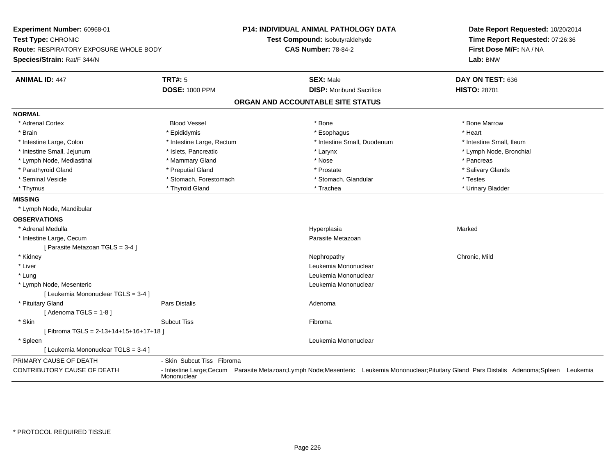| Experiment Number: 60968-01<br>Test Type: CHRONIC<br><b>Route: RESPIRATORY EXPOSURE WHOLE BODY</b><br>Species/Strain: Rat/F 344/N |                            | <b>P14: INDIVIDUAL ANIMAL PATHOLOGY DATA</b><br>Test Compound: Isobutyraldehyde<br><b>CAS Number: 78-84-2</b> |                                 | Date Report Requested: 10/20/2014<br>Time Report Requested: 07:26:36<br>First Dose M/F: NA / NA<br>Lab: BNW                                |  |
|-----------------------------------------------------------------------------------------------------------------------------------|----------------------------|---------------------------------------------------------------------------------------------------------------|---------------------------------|--------------------------------------------------------------------------------------------------------------------------------------------|--|
| <b>ANIMAL ID: 447</b>                                                                                                             | <b>TRT#: 5</b>             | <b>SEX: Male</b>                                                                                              |                                 | DAY ON TEST: 636                                                                                                                           |  |
|                                                                                                                                   | <b>DOSE: 1000 PPM</b>      |                                                                                                               | <b>DISP:</b> Moribund Sacrifice | <b>HISTO: 28701</b>                                                                                                                        |  |
|                                                                                                                                   |                            | ORGAN AND ACCOUNTABLE SITE STATUS                                                                             |                                 |                                                                                                                                            |  |
| <b>NORMAL</b>                                                                                                                     |                            |                                                                                                               |                                 |                                                                                                                                            |  |
| * Adrenal Cortex                                                                                                                  | <b>Blood Vessel</b>        | * Bone                                                                                                        |                                 | * Bone Marrow                                                                                                                              |  |
| * Brain                                                                                                                           | * Epididymis               | * Esophagus                                                                                                   |                                 | * Heart                                                                                                                                    |  |
| * Intestine Large, Colon                                                                                                          | * Intestine Large, Rectum  |                                                                                                               | * Intestine Small, Duodenum     | * Intestine Small, Ileum                                                                                                                   |  |
| * Intestine Small, Jejunum                                                                                                        | * Islets, Pancreatic       | $*$ Larynx                                                                                                    |                                 | * Lymph Node, Bronchial                                                                                                                    |  |
| * Lymph Node, Mediastinal                                                                                                         | * Mammary Gland            | * Nose                                                                                                        |                                 | * Pancreas                                                                                                                                 |  |
| * Parathyroid Gland                                                                                                               | * Preputial Gland          | * Prostate                                                                                                    |                                 | * Salivary Glands                                                                                                                          |  |
| * Seminal Vesicle                                                                                                                 | * Stomach, Forestomach     |                                                                                                               | * Stomach, Glandular            | * Testes                                                                                                                                   |  |
| * Thymus                                                                                                                          | * Thyroid Gland            | * Trachea                                                                                                     |                                 | * Urinary Bladder                                                                                                                          |  |
| <b>MISSING</b>                                                                                                                    |                            |                                                                                                               |                                 |                                                                                                                                            |  |
| * Lymph Node, Mandibular                                                                                                          |                            |                                                                                                               |                                 |                                                                                                                                            |  |
| <b>OBSERVATIONS</b>                                                                                                               |                            |                                                                                                               |                                 |                                                                                                                                            |  |
| * Adrenal Medulla                                                                                                                 |                            | Hyperplasia                                                                                                   |                                 | Marked                                                                                                                                     |  |
| * Intestine Large, Cecum                                                                                                          |                            |                                                                                                               | Parasite Metazoan               |                                                                                                                                            |  |
| [ Parasite Metazoan TGLS = 3-4 ]                                                                                                  |                            |                                                                                                               |                                 |                                                                                                                                            |  |
| * Kidney                                                                                                                          |                            | Nephropathy                                                                                                   |                                 | Chronic, Mild                                                                                                                              |  |
| * Liver                                                                                                                           |                            |                                                                                                               | Leukemia Mononuclear            |                                                                                                                                            |  |
| * Lung                                                                                                                            |                            |                                                                                                               | Leukemia Mononuclear            |                                                                                                                                            |  |
| * Lymph Node, Mesenteric                                                                                                          |                            |                                                                                                               | Leukemia Mononuclear            |                                                                                                                                            |  |
| [ Leukemia Mononuclear TGLS = 3-4 ]                                                                                               |                            |                                                                                                               |                                 |                                                                                                                                            |  |
| * Pituitary Gland                                                                                                                 | Pars Distalis              | Adenoma                                                                                                       |                                 |                                                                                                                                            |  |
| [Adenoma TGLS = $1-8$ ]                                                                                                           |                            |                                                                                                               |                                 |                                                                                                                                            |  |
| * Skin                                                                                                                            | <b>Subcut Tiss</b>         | Fibroma                                                                                                       |                                 |                                                                                                                                            |  |
| [Fibroma TGLS = 2-13+14+15+16+17+18]                                                                                              |                            |                                                                                                               |                                 |                                                                                                                                            |  |
| * Spleen                                                                                                                          |                            |                                                                                                               | Leukemia Mononuclear            |                                                                                                                                            |  |
| [ Leukemia Mononuclear TGLS = 3-4 ]                                                                                               |                            |                                                                                                               |                                 |                                                                                                                                            |  |
| PRIMARY CAUSE OF DEATH                                                                                                            | - Skin Subcut Tiss Fibroma |                                                                                                               |                                 |                                                                                                                                            |  |
| CONTRIBUTORY CAUSE OF DEATH                                                                                                       | Mononuclear                |                                                                                                               |                                 | - Intestine Large;Cecum Parasite Metazoan;Lymph Node;Mesenteric Leukemia Mononuclear;Pituitary Gland Pars Distalis Adenoma;Spleen Leukemia |  |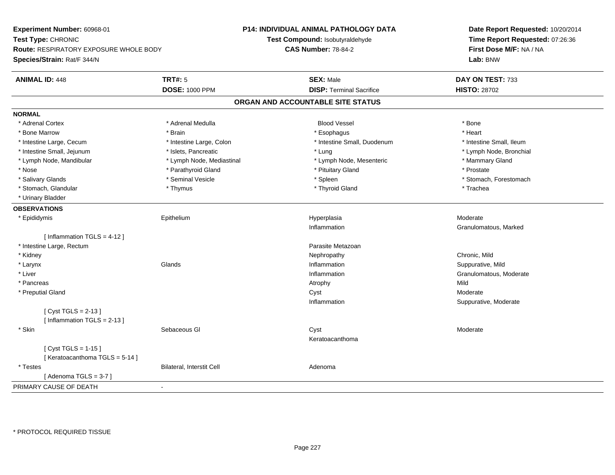**Experiment Number:** 60968-01**Test Type:** CHRONIC **Route:** RESPIRATORY EXPOSURE WHOLE BODY**Species/Strain:** Rat/F 344/N**P14: INDIVIDUAL ANIMAL PATHOLOGY DATATest Compound:** Isobutyraldehyde**CAS Number:** 78-84-2**Date Report Requested:** 10/20/2014**Time Report Requested:** 07:26:36**First Dose M/F:** NA / NA**Lab:** BNW**ANIMAL ID:** 448**TRT#:** 5 **SEX:** Male **DAY ON TEST:** 733 **DOSE:** 1000 PPM**DISP:** Terminal Sacrifice **HISTO:** 28702 **ORGAN AND ACCOUNTABLE SITE STATUSNORMAL**\* Adrenal Cortex \* Adrenal Cortex \* Adrenal Medulla Blood Vessel \* Bone\* Heart \* Bone Marrow \* Brain \* Esophagus \* Heart \* Intestine Large, Cecum \* Intestine Large, Colon \* Intestine Small, Duodenum \* Intestine Small, Ileum \* Intestine Small, Ileum \* Lymph Node, Bronchial \* Intestine Small, Jejunum \* Mathematic \* Lung \* Islets, Pancreatic \* Mathematic \* Lung \* Lung \* Node, Bronchial \* Lymph Node, Mandibular \* The mode of the Mediastinal The Mediastinal the Mediastinal the Mediasting the Mammary Gland \* Nose \* Parathyroid Gland \* Parathyroid Gland \* Prostate \* Prostate \* Prostate \* Prostate \* Prostate \* Prostate \* Salivary Glands \* The state of the seminal Vesicle \* The state \* Spleen \* Spleen \* Stomach, Forestomach, Forestomach \* Stomach, Glandular \* Thymus \* Thymus \* Thymus \* Thyroid Gland \* Thyroid Gland \* Thachea \* Urinary Bladder**OBSERVATIONS** \* Epididymis Epithelium Hyperplasia Moderate Inflammation Granulomatous, Marked [ Inflammation TGLS = 4-12 ] \* Intestine Large, Rectumm and the contract of the contract of the contract of the contract of the contract of the contract of the contract of the contract of the contract of the contract of the contract of the contract of the contract of the cont \* Kidneyy the controller of the controller of the controller of the controller of the controller of the chronic, Mild n Suppurative, Mild \* Larynxx and the set of the Glands of the Glands of the set of the set of the set of the set of the set of the set of the set of the set of the set of the set of the set of the set of the set of the set of the set of the set of t \* Liver**Inflammation** Inflammation **Granulomatous**, Moderate \* Pancreass the control of the control of the control of the control of the control of the control of the control of the control of the control of the control of the control of the control of the control of the control of the contro Moderate \* Preputial Glandd and the control of the control of the control of the control of the control of the control of the control of the control of the control of the control of the control of the control of the control of the control of the co Inflammation Suppurative, Moderate [ Cyst TGLS = 2-13 ][ Inflammation TGLS = 2-13 ] \* Skinn and the Sebaceous Glass Controller and the Cyst Cyst Controller and the Moderate Moderate Keratoacanthoma[ Cyst TGLS = 1-15 ][ Keratoacanthoma TGLS = 5-14 ] \* TestesBilateral, Interstit Cell **Adenoma** Adenoma  $[$  Adenoma TGLS = 3-7  $]$ PRIMARY CAUSE OF DEATH-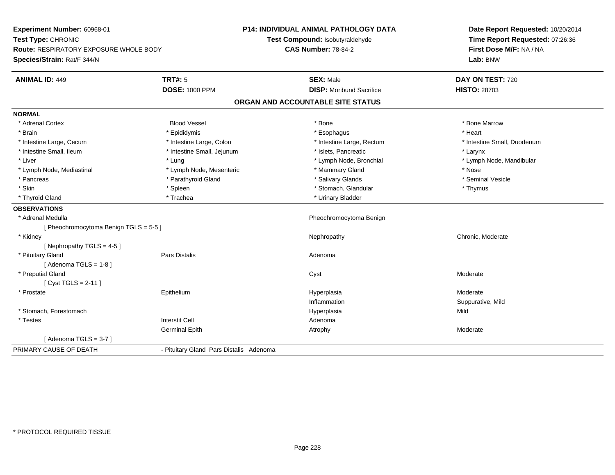**Experiment Number:** 60968-01**Test Type:** CHRONIC **Route:** RESPIRATORY EXPOSURE WHOLE BODY**Species/Strain:** Rat/F 344/N**P14: INDIVIDUAL ANIMAL PATHOLOGY DATATest Compound:** Isobutyraldehyde**CAS Number:** 78-84-2**Date Report Requested:** 10/20/2014**Time Report Requested:** 07:26:36**First Dose M/F:** NA / NA**Lab:** BNW**ANIMAL ID:** 449**TRT#:** 5 **SEX:** Male **DAY ON TEST:** 720 **DOSE:** 1000 PPM**DISP:** Moribund Sacrifice **HISTO:** 28703 **ORGAN AND ACCOUNTABLE SITE STATUSNORMAL**\* Adrenal Cortex \* Adrenal Cortex \* Attack the state of the state of the Blood Vessel the state of the state of the state of the Marrow \* Bone Marrow \* Bone Marrow \* Bone Marrow \* Bone Marrow \* Bone Marrow \* Bone Marrow \* Bone Marrow \* Bon \* Brain \* \* Esophagus \* \* Esophagus \* \* Esophagus \* \* Esophagus \* \* Esophagus \* Heart \* Heart \* Heart \* Heart \* Intestine Large, Cecum \* Intestine Large, Colon \* Intestine Large, Rectum \* Intestine Small, Duodenum \* Intestine Small, Ileum \* Intestine Small, Jejunum \* Islets, Pancreatic \* Larynx\* Liver which is the settlement of the term of the settlement of the settlement of the settlement of the settlement of the settlement of the settlement of the settlement of the settlement of the settlement of the settlemen \* Lymph Node, Mediastinal \* Nose \* Lymph Node, Mesenteric \* \* Mammary Gland \* Memmary Gland \* Nose \* Seminal Vesicle \* Pancreas \* And the section of the state of the state of the state of the state of the state of the state of the state of the state of the state of the state of the state of the state of the state of the state of the stat \* Skin \* Spleen \* Spleen \* Spleen \* Stomach, Glandular \* Stomach, Stomach, Stomach, Stomach, Stomach, Stomach, Stomach, Stomach, Stomach, Stomach, Stomach, Stomach, Stomach, Stomach, Stomach, Stomach, Stomach, Stomach, Sto \* Thyroid Gland \* Trachea \* Trachea \* Trachea \* Thyroid Gland **OBSERVATIONS** \* Adrenal Medulla Pheochromocytoma Benign [ Pheochromocytoma Benign TGLS = 5-5 ] \* Kidneyy the chronic, Moderate and September 2012 of the Chronic Moderate and September 2013 of the Chronic, Moderate [ Nephropathy TGLS = 4-5 ] \* Pituitary Glandd and the contract of Pars Distalis and the contract of Adenoma and Adenoma and the Adenoma and the Adenoma and  $\lambda$  $[$  Adenoma TGLS = 1-8  $]$  \* Preputial Glandd and the control of the control of the control of the control of the control of the control of the control of the control of the control of the control of the control of the control of the control of the control of the co [ Cyst TGLS = 2-11 ] \* Prostate**Epithelium**  Hyperplasia Moderate Inflammation Suppurative, Mild \* Stomach, Forestomachh ann an t-ìre ann an t-ìre ann an t-ìre ann an t-ìre ann an t-ìre ann an t-ìre ann an Mild ann an Mild ann an \* Testes Interstit Cell AdenomaGerminal Epithh and the control of the Atrophy and the Moderate of the Moderate of the Moderate of the Moderate of the Moderate of the Moderate of the Moderate of the Moderate of the Moderate of the Moderate of the Moderate of the Moder  $[$  Adenoma TGLS = 3-7  $]$ PRIMARY CAUSE OF DEATH- Pituitary Gland Pars Distalis Adenoma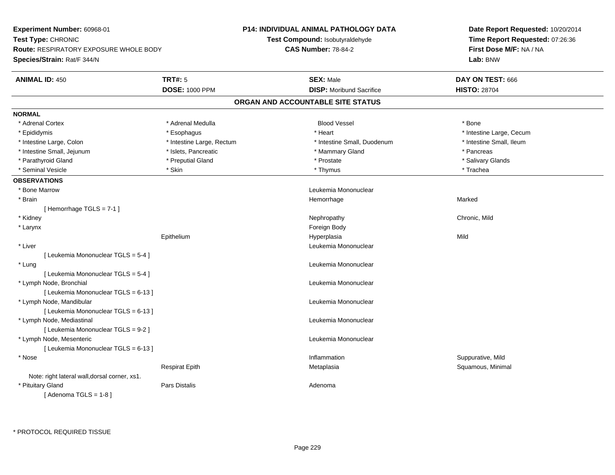**Experiment Number:** 60968-01**Test Type:** CHRONIC **Route:** RESPIRATORY EXPOSURE WHOLE BODY**Species/Strain:** Rat/F 344/N**P14: INDIVIDUAL ANIMAL PATHOLOGY DATATest Compound:** Isobutyraldehyde**CAS Number:** 78-84-2**Date Report Requested:** 10/20/2014**Time Report Requested:** 07:26:36**First Dose M/F:** NA / NA**Lab:** BNW**ANIMAL ID:** 450**TRT#:** 5 **SEX:** Male **DAY ON TEST:** 666 **DOSE:** 1000 PPM**DISP:** Moribund Sacrifice **HISTO:** 28704 **ORGAN AND ACCOUNTABLE SITE STATUSNORMAL**\* Adrenal Cortex \* Adrenal Medulla \* \* Book \* Blood Vessel \* Book \* Bone \* Bone \* Bone \* Bone \* Bone \* Bone \* Bone \* Bone \* Bone \* Epididymis **Account 19 and 19 and 19 and 19 and 19 and 19 and 19 and 19 and 19 and 19 and 19 and 19 and 19 and 19 and 19 and 19 and 19 and 19 and 19 and 19 and 19 and 19 and 19 and 19 and 19 and 19 and 19 and 19 and 19 a** \* Intestine Small. Ileum \* Intestine Large, Colon \* Intestine Large, Rectum \* Intestine Small, Duodenum \* Intestine Small, Duodenum \* Intestine Small, Jejunum \* The metal of the state of the state of the state of the state of the state of the state of the state of the state of the state of the state of the state of the state of the state of the state o \* Salivary Glands \* Parathyroid Gland \* \* \* Preputial Gland \* \* Preputial Gland \* \* Prostate \* \* Salivary Glands \* Salivary Glands \* Seminal Vesicle \* \* \* States \* \* Skin \* \* Thymus \* Thymus \* The \* The \* The \* Trachea **OBSERVATIONS** \* Bone MarrowLeukemia Mononuclear<br>Hemorrhage \* Brainn and the state of the state of the state of the state of the Marked Marked of the Marked State of the Marked State of the Marked State of the State of the Marked State of the State of the State of the State of the State o [ Hemorrhage TGLS = 7-1 ] \* Kidneyy the controller of the controller of the controller of the controller of the controller of the chronic, Mild \* Larynx**x** and the contract of the contract of the contract of the contract of the contract of the contract of the contract of the contract of the contract of the contract of the contract of the contract of the contract of the co Epithelium Hyperplasia Mild \* Liver Leukemia Mononuclear [ Leukemia Mononuclear TGLS = 5-4 ] \* Lung Leukemia Mononuclear [ Leukemia Mononuclear TGLS = 5-4 ] \* Lymph Node, Bronchial Leukemia Mononuclear[ Leukemia Mononuclear TGLS = 6-13 ] \* Lymph Node, Mandibular Leukemia Mononuclear [ Leukemia Mononuclear TGLS = 6-13 ] \* Lymph Node, Mediastinal Leukemia Mononuclear[ Leukemia Mononuclear TGLS = 9-2 ] \* Lymph Node, Mesenteric Leukemia Mononuclear [ Leukemia Mononuclear TGLS = 6-13 ] \* Nosee substitution of the substitution of the substitution of the substitution of the substitution of the substitution  $\mathbf S$ uppurative, Mild Respirat EpithMetaplasia **Squamous, Minimal** Note: right lateral wall,dorsal corner, xs1. \* Pituitary Glandd and the contract of Pars Distalis and the contract of Adenoma and Adenoma and the Adenoma and the Adenoma and  $\lambda$  $[$  Adenoma TGLS = 1-8  $]$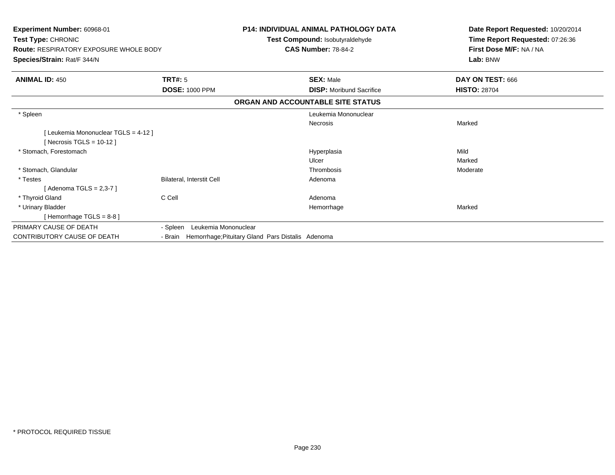| Experiment Number: 60968-01<br>Test Type: CHRONIC<br><b>Route: RESPIRATORY EXPOSURE WHOLE BODY</b><br>Species/Strain: Rat/F 344/N |                                                           | <b>P14: INDIVIDUAL ANIMAL PATHOLOGY DATA</b><br>Test Compound: Isobutyraldehyde<br><b>CAS Number: 78-84-2</b> | Date Report Requested: 10/20/2014<br>Time Report Requested: 07:26:36<br>First Dose M/F: NA / NA<br>Lab: BNW |
|-----------------------------------------------------------------------------------------------------------------------------------|-----------------------------------------------------------|---------------------------------------------------------------------------------------------------------------|-------------------------------------------------------------------------------------------------------------|
|                                                                                                                                   |                                                           |                                                                                                               |                                                                                                             |
| <b>ANIMAL ID: 450</b>                                                                                                             | <b>TRT#: 5</b>                                            | <b>SEX: Male</b>                                                                                              | DAY ON TEST: 666                                                                                            |
|                                                                                                                                   | <b>DOSE: 1000 PPM</b>                                     | <b>DISP:</b> Moribund Sacrifice                                                                               | <b>HISTO: 28704</b>                                                                                         |
|                                                                                                                                   |                                                           | ORGAN AND ACCOUNTABLE SITE STATUS                                                                             |                                                                                                             |
| * Spleen                                                                                                                          |                                                           | Leukemia Mononuclear                                                                                          |                                                                                                             |
|                                                                                                                                   |                                                           | <b>Necrosis</b>                                                                                               | Marked                                                                                                      |
| [ Leukemia Mononuclear TGLS = 4-12 ]<br>[Necrosis TGLS = $10-12$ ]                                                                |                                                           |                                                                                                               |                                                                                                             |
| * Stomach, Forestomach                                                                                                            |                                                           | Hyperplasia                                                                                                   | Mild                                                                                                        |
|                                                                                                                                   |                                                           | Ulcer                                                                                                         | Marked                                                                                                      |
| * Stomach, Glandular                                                                                                              |                                                           | Thrombosis                                                                                                    | Moderate                                                                                                    |
| * Testes                                                                                                                          | Bilateral, Interstit Cell                                 | Adenoma                                                                                                       |                                                                                                             |
| [Adenoma TGLS = 2,3-7]                                                                                                            |                                                           |                                                                                                               |                                                                                                             |
| * Thyroid Gland                                                                                                                   | C Cell                                                    | Adenoma                                                                                                       |                                                                                                             |
| * Urinary Bladder                                                                                                                 |                                                           | Hemorrhage                                                                                                    | Marked                                                                                                      |
| [Hemorrhage TGLS = $8-8$ ]                                                                                                        |                                                           |                                                                                                               |                                                                                                             |
| PRIMARY CAUSE OF DEATH                                                                                                            | Leukemia Mononuclear<br>- Spleen                          |                                                                                                               |                                                                                                             |
| CONTRIBUTORY CAUSE OF DEATH                                                                                                       | - Brain Hemorrhage; Pituitary Gland Pars Distalis Adenoma |                                                                                                               |                                                                                                             |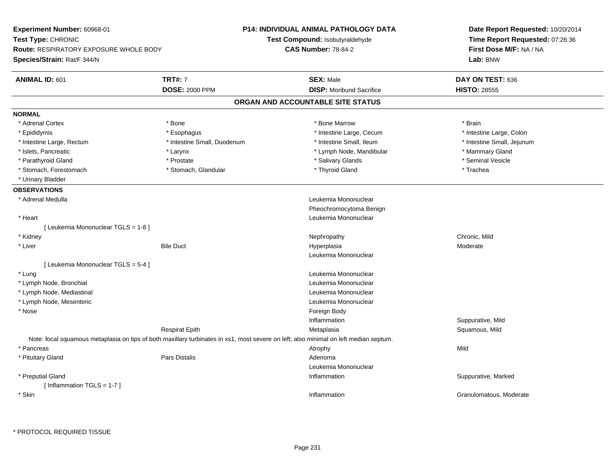**Experiment Number:** 60968-01**Test Type:** CHRONIC **Route:** RESPIRATORY EXPOSURE WHOLE BODY**Species/Strain:** Rat/F 344/N**P14: INDIVIDUAL ANIMAL PATHOLOGY DATATest Compound:** Isobutyraldehyde**CAS Number:** 78-84-2**Date Report Requested:** 10/20/2014**Time Report Requested:** 07:26:36**First Dose M/F:** NA / NA**Lab:** BNW**ANIMAL ID:** 601**TRT#:** 7 **SEX:** Male **DAY ON TEST:** 636 **DOSE:** 2000 PPM**DISP:** Moribund Sacrifice **HISTO:** 28555 **ORGAN AND ACCOUNTABLE SITE STATUSNORMAL**\* Adrenal Cortex \* Adrenal Cortex \* \* Adrenal Cortex \* Brain \* Bone \* \* Bone Marrow \* Bone Marrow \* \* Brain \* Brain \* Brain \* Brain \* Brain \* Brain \* Brain \* Brain \* Brain \* Brain \* Brain \* Brain \* Brain \* Brain \* Brain \* Brain \* Brain \* B \* Epididymis **\* Execution Contract Contract Constructs** \* Intestine Large, Cecum \* Intestine Large, Colon \* Intestine Large, Colon \* Intestine Large, Rectum \* Thestine Small, Duodenum \* Number of the small, Ileum \* Intestine Small, Jejunum \* Intestine Small, Jejunum \* Islets, Pancreatic \* The manner of the Larynx \* Larynx \* Larynx \* Lymph Node, Mandibular \* \* Mammary Gland \* Seminal Vesicle \* Parathyroid Gland \* \* \* Prostate \* \* Prostate \* \* Salivary Glands \* \* Salivary Glands \* \* Seminal Vesicle \* Stomach, Forestomach \* Trachea \* Stomach, Glandular \* Thyroid Gland \* Thyroid Gland \* Trachea \* Urinary Bladder**OBSERVATIONS** \* Adrenal Medulla Leukemia Mononuclear Pheochromocytoma Benign \* Heart Leukemia Mononuclear[ Leukemia Mononuclear TGLS = 1-8 ] \* Kidneyy the controller of the controller of the controller of the controller of the controller of the chronic, Mild \* Liverr Bile Duct Hyperplasia Hyperplasia Moderate Leukemia Mononuclear[ Leukemia Mononuclear TGLS = 5-4 ] \* Lung Leukemia Mononuclear \* Lymph Node, Bronchial Leukemia Mononuclear \* Lymph Node, Mediastinal Leukemia Mononuclear \* Lymph Node, Mesenteric Leukemia Mononuclear \* Nosee and the state of the state of the state of the state of the state of the state of the state of the state of the state of the state of the state of the state of the state of the state of the state of the state of the stat Inflammation Suppurative, Mild Respirat Epith Metaplasia Squamous, Mild Note: focal squamous metaplasia on tips of both maxillary turbinates in xs1, most severe on left; also minimal on left median septum. \* Pancreass the control of the control of the control of the control of the control of the control of the control of the control of the control of the control of the control of the control of the control of the control of the contro \* Pituitary Glandd and the contract of Pars Distalis and the contract of Adenoma and Adenoma and the Adenoma and the Adenoma and  $\lambda$ Leukemia Mononuclear \* Preputial Glandd with the suppurative, Marked and Suppurative, Marked and Suppurative, Marked and Suppurative, Marked and Suppurative, Marked and Suppurative, Marked and Suppurative, Marked and Suppurative, Marked and Suppurative, Marked [ Inflammation TGLS = 1-7 ] \* Skinn de la construction de la construction de la construction de la construction de la construction de la construction<br>Inflammation de la construction de la construction de la construction de la construction de la constructio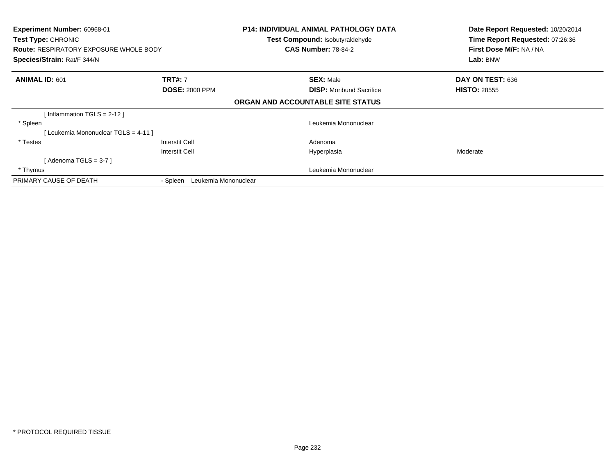| Experiment Number: 60968-01<br>Test Type: CHRONIC<br><b>Route: RESPIRATORY EXPOSURE WHOLE BODY</b><br>Species/Strain: Rat/F 344/N |                                  | <b>P14: INDIVIDUAL ANIMAL PATHOLOGY DATA</b><br>Test Compound: Isobutyraldehyde<br><b>CAS Number: 78-84-2</b> | Date Report Requested: 10/20/2014<br>Time Report Requested: 07:26:36<br>First Dose M/F: NA / NA<br>Lab: BNW |
|-----------------------------------------------------------------------------------------------------------------------------------|----------------------------------|---------------------------------------------------------------------------------------------------------------|-------------------------------------------------------------------------------------------------------------|
| <b>ANIMAL ID: 601</b>                                                                                                             | <b>TRT#: 7</b>                   | <b>SEX: Male</b>                                                                                              | DAY ON TEST: 636                                                                                            |
|                                                                                                                                   | <b>DOSE: 2000 PPM</b>            | <b>DISP:</b> Moribund Sacrifice                                                                               | <b>HISTO: 28555</b>                                                                                         |
|                                                                                                                                   |                                  | ORGAN AND ACCOUNTABLE SITE STATUS                                                                             |                                                                                                             |
| [Inflammation TGLS = $2-12$ ]                                                                                                     |                                  |                                                                                                               |                                                                                                             |
| * Spleen                                                                                                                          |                                  | Leukemia Mononuclear                                                                                          |                                                                                                             |
| [Leukemia Mononuclear TGLS = 4-11]                                                                                                |                                  |                                                                                                               |                                                                                                             |
| * Testes                                                                                                                          | Interstit Cell                   | Adenoma                                                                                                       |                                                                                                             |
|                                                                                                                                   | Interstit Cell                   | Hyperplasia                                                                                                   | Moderate                                                                                                    |
| [ Adenoma TGLS = 3-7 ]                                                                                                            |                                  |                                                                                                               |                                                                                                             |
| * Thymus                                                                                                                          |                                  | Leukemia Mononuclear                                                                                          |                                                                                                             |
| PRIMARY CAUSE OF DEATH                                                                                                            | Leukemia Mononuclear<br>- Spleen |                                                                                                               |                                                                                                             |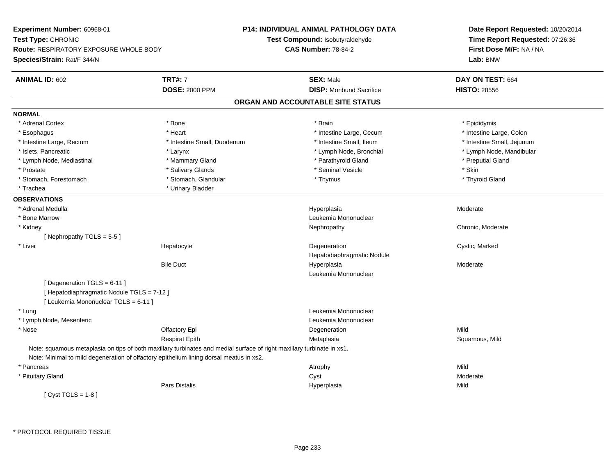**Experiment Number:** 60968-01**Test Type:** CHRONIC **Route:** RESPIRATORY EXPOSURE WHOLE BODY**Species/Strain:** Rat/F 344/N**P14: INDIVIDUAL ANIMAL PATHOLOGY DATATest Compound:** Isobutyraldehyde**CAS Number:** 78-84-2**Date Report Requested:** 10/20/2014**Time Report Requested:** 07:26:36**First Dose M/F:** NA / NA**Lab:** BNW**ANIMAL ID:** 602**TRT#:** 7 **SEX:** Male **DAY ON TEST:** 664 **DOSE:** 2000 PPM**DISP:** Moribund Sacrifice **HISTO:** 28556 **ORGAN AND ACCOUNTABLE SITE STATUSNORMAL**\* Adrenal Cortex \* Adrenal Cortex \* \* Annual Cortex \* Epididymis \* Bone \* \* Bone \* \* Brain \* \* Brain \* \* Epididymis \* Epididymis \* Intestine Large, Colon \* Esophagus \* **Intestine Large, Cecum \* Intestine Large, Cecum \*** Intestine Large, Cecum \* Intestine Large, Rectum \* Thestine Small, Duodenum \* Number of the small, Ileum \* Intestine Small, Jejunum \* Intestine Small, Jejunum \* Islets, Pancreatic \* Larynx \* Lymph Node, Bronchial \* Lymph Node, Mandibular \* Lymph Node, Mediastinal \* The putial Gland \* Mammary Gland \* The mathyroid Gland \* Parathyroid Gland \* Preputial Gland \* Prostate \* \* Salivary Glands \* \* Salivary Glands \* \* Seminal Vesicle \* \* \* Seminal Yestrich \* \* Skin \* \* Skin \* Thyroid Gland \* Stomach, Forestomach \* Thymus \* Stomach, Glandular \* Thymus \* Thymus \* Thymus \* Thymus \* Thymus \* Thymus \* Thymus \* Thymus \* Thymus \* Thymus \* Thymus \* Thymus \* Thymus \* Thymus \* Thymus \* Thymus \* Thymus \* Thymus \* Thymu \* Trachea \* Urinary Bladder**OBSERVATIONS** \* Adrenal Medullaa and the state of the state of the state of the Hyperplasia and the Moderate of the Moderate of the Shane and T \* Bone MarrowLeukemia Mononuclear<br>Nephropathy \* Kidneyy the chronic, Moderate and September 2012 of the Chronic Moderate and September 2013 of the Chronic, Moderate [ Nephropathy TGLS = 5-5 ] \* Liver Hepatocytee which is the degeneration of the control of the cystic, Marked Cystic, Marked Cystic, Marked Cystic, Marked Cystic, Marked Cystic, Marked Cystic, Marked Cystic, Marked Cystic, Marked Cystic, Marked Cystic, Marked Cystic, Hepatodiaphragmatic NoduleBile Duct Hyperplasia Moderate Leukemia Mononuclear $[$  Degeneration TGLS = 6-11  $]$ [ Hepatodiaphragmatic Nodule TGLS = 7-12 ][ Leukemia Mononuclear TGLS = 6-11 ] \* Lung Leukemia Mononuclear \* Lymph Node, Mesenteric Leukemia Mononuclear \* Nosee and the Contractory Epi and the Contractor of the Contractor of the Contractor of the Mild of the Mild of the Mild of the Mild of the Contractor of the Mild of the Contractor of the Contractor of the Contractor of the Co Respirat EpithMetaplasia **Squamous, Mild** Note: squamous metaplasia on tips of both maxillary turbinates and medial surface of right maxillary turbinate in xs1.Note: Minimal to mild degeneration of olfactory epithelium lining dorsal meatus in xs2. \* Pancreass the control of the control of the control of the control of the control of the control of the control of the control of the control of the control of the control of the control of the control of the control of the contro Moderate \* Pituitary Glandd and the control of the control of the control of the control of the control of the control of the control of the control of the control of the control of the control of the control of the control of the control of the co Pars Distalis Hyperplasiaa Mild  $[$  Cyst TGLS = 1-8  $]$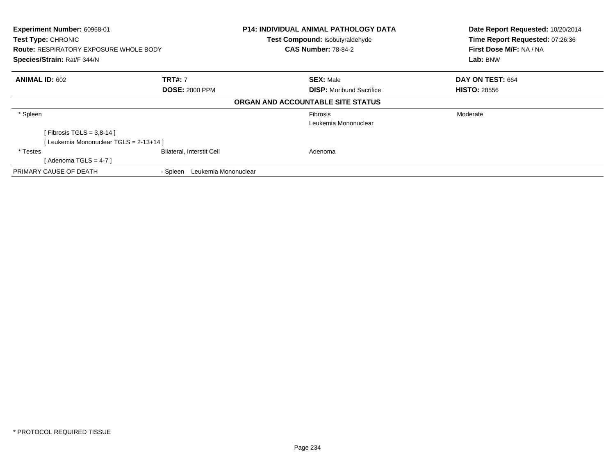| Experiment Number: 60968-01<br>Test Type: CHRONIC<br><b>Route: RESPIRATORY EXPOSURE WHOLE BODY</b><br>Species/Strain: Rat/F 344/N |                                  | <b>P14: INDIVIDUAL ANIMAL PATHOLOGY DATA</b><br>Test Compound: Isobutyraldehyde<br><b>CAS Number: 78-84-2</b> | Date Report Requested: 10/20/2014<br>Time Report Requested: 07:26:36<br>First Dose M/F: NA / NA<br>Lab: BNW |
|-----------------------------------------------------------------------------------------------------------------------------------|----------------------------------|---------------------------------------------------------------------------------------------------------------|-------------------------------------------------------------------------------------------------------------|
| <b>ANIMAL ID: 602</b>                                                                                                             | <b>TRT#: 7</b>                   | <b>SEX: Male</b>                                                                                              | DAY ON TEST: 664                                                                                            |
|                                                                                                                                   | <b>DOSE: 2000 PPM</b>            | <b>DISP:</b> Moribund Sacrifice                                                                               | <b>HISTO: 28556</b>                                                                                         |
|                                                                                                                                   |                                  | ORGAN AND ACCOUNTABLE SITE STATUS                                                                             |                                                                                                             |
| * Spleen                                                                                                                          |                                  | <b>Fibrosis</b>                                                                                               | Moderate                                                                                                    |
|                                                                                                                                   |                                  | Leukemia Mononuclear                                                                                          |                                                                                                             |
| [ Fibrosis TGLS = $3,8-14$ ]                                                                                                      |                                  |                                                                                                               |                                                                                                             |
| [ Leukemia Mononuclear TGLS = 2-13+14 ]                                                                                           |                                  |                                                                                                               |                                                                                                             |
| * Testes                                                                                                                          | <b>Bilateral, Interstit Cell</b> | Adenoma                                                                                                       |                                                                                                             |
| [Adenoma TGLS = $4-7$ ]                                                                                                           |                                  |                                                                                                               |                                                                                                             |
| PRIMARY CAUSE OF DEATH                                                                                                            | Leukemia Mononuclear<br>- Spleen |                                                                                                               |                                                                                                             |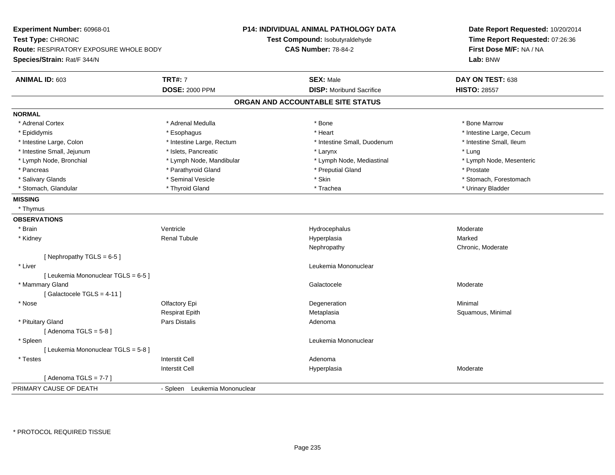| <b>Experiment Number: 60968-01</b>            |                               | <b>P14: INDIVIDUAL ANIMAL PATHOLOGY DATA</b> | Date Report Requested: 10/20/2014 |
|-----------------------------------------------|-------------------------------|----------------------------------------------|-----------------------------------|
| Test Type: CHRONIC                            |                               | Test Compound: Isobutyraldehyde              | Time Report Requested: 07:26:36   |
| <b>Route: RESPIRATORY EXPOSURE WHOLE BODY</b> |                               | <b>CAS Number: 78-84-2</b>                   | First Dose M/F: NA / NA           |
| Species/Strain: Rat/F 344/N                   |                               |                                              | Lab: BNW                          |
| ANIMAL ID: 603                                | <b>TRT#: 7</b>                | <b>SEX: Male</b>                             | DAY ON TEST: 638                  |
|                                               | <b>DOSE: 2000 PPM</b>         | <b>DISP:</b> Moribund Sacrifice              | <b>HISTO: 28557</b>               |
|                                               |                               | ORGAN AND ACCOUNTABLE SITE STATUS            |                                   |
| <b>NORMAL</b>                                 |                               |                                              |                                   |
| * Adrenal Cortex                              | * Adrenal Medulla             | * Bone                                       | * Bone Marrow                     |
| * Epididymis                                  | * Esophagus                   | * Heart                                      | * Intestine Large, Cecum          |
| * Intestine Large, Colon                      | * Intestine Large, Rectum     | * Intestine Small, Duodenum                  | * Intestine Small, Ileum          |
| * Intestine Small, Jejunum                    | * Islets, Pancreatic          | * Larynx                                     | * Lung                            |
| * Lymph Node, Bronchial                       | * Lymph Node, Mandibular      | * Lymph Node, Mediastinal                    | * Lymph Node, Mesenteric          |
| * Pancreas                                    | * Parathyroid Gland           | * Preputial Gland                            | * Prostate                        |
| * Salivary Glands                             | * Seminal Vesicle             | * Skin                                       | * Stomach, Forestomach            |
| * Stomach, Glandular                          | * Thyroid Gland               | * Trachea                                    | * Urinary Bladder                 |
| <b>MISSING</b>                                |                               |                                              |                                   |
| * Thymus                                      |                               |                                              |                                   |
| <b>OBSERVATIONS</b>                           |                               |                                              |                                   |
| * Brain                                       | Ventricle                     | Hydrocephalus                                | Moderate                          |
| * Kidney                                      | <b>Renal Tubule</b>           | Hyperplasia                                  | Marked                            |
|                                               |                               | Nephropathy                                  | Chronic, Moderate                 |
| [Nephropathy TGLS = 6-5]                      |                               |                                              |                                   |
| * Liver                                       |                               | Leukemia Mononuclear                         |                                   |
| [ Leukemia Mononuclear TGLS = 6-5 ]           |                               |                                              |                                   |
| * Mammary Gland                               |                               | Galactocele                                  | Moderate                          |
| [Galactocele TGLS = 4-11]                     |                               |                                              |                                   |
| * Nose                                        | Olfactory Epi                 | Degeneration                                 | Minimal                           |
|                                               | <b>Respirat Epith</b>         | Metaplasia                                   | Squamous, Minimal                 |
| * Pituitary Gland                             | Pars Distalis                 | Adenoma                                      |                                   |
| [Adenoma TGLS = $5-8$ ]                       |                               |                                              |                                   |
| * Spleen                                      |                               | Leukemia Mononuclear                         |                                   |
| [ Leukemia Mononuclear TGLS = 5-8 ]           |                               |                                              |                                   |
| * Testes                                      | <b>Interstit Cell</b>         | Adenoma                                      |                                   |
|                                               | <b>Interstit Cell</b>         | Hyperplasia                                  | Moderate                          |
| [Adenoma TGLS = $7-7$ ]                       |                               |                                              |                                   |
| PRIMARY CAUSE OF DEATH                        | - Spleen Leukemia Mononuclear |                                              |                                   |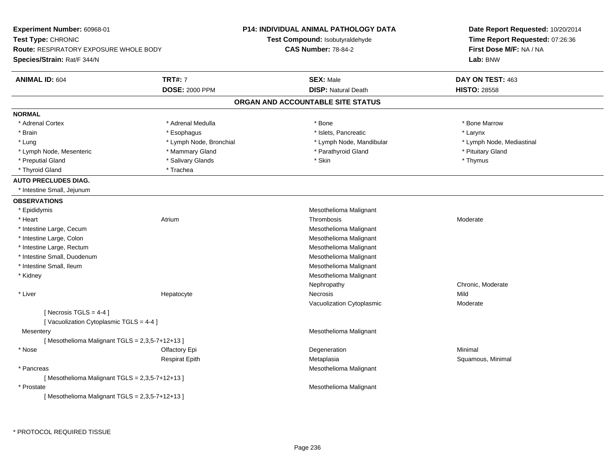| Experiment Number: 60968-01                                  |                         | P14: INDIVIDUAL ANIMAL PATHOLOGY DATA | Date Report Requested: 10/20/2014                          |  |
|--------------------------------------------------------------|-------------------------|---------------------------------------|------------------------------------------------------------|--|
| Test Type: CHRONIC<br>Route: RESPIRATORY EXPOSURE WHOLE BODY |                         | Test Compound: Isobutyraldehyde       | Time Report Requested: 07:26:36<br>First Dose M/F: NA / NA |  |
|                                                              |                         | <b>CAS Number: 78-84-2</b>            |                                                            |  |
| Species/Strain: Rat/F 344/N                                  |                         |                                       | Lab: BNW                                                   |  |
| <b>ANIMAL ID: 604</b>                                        | <b>TRT#: 7</b>          | <b>SEX: Male</b>                      | DAY ON TEST: 463                                           |  |
|                                                              | <b>DOSE: 2000 PPM</b>   | <b>DISP: Natural Death</b>            | <b>HISTO: 28558</b>                                        |  |
|                                                              |                         | ORGAN AND ACCOUNTABLE SITE STATUS     |                                                            |  |
| <b>NORMAL</b>                                                |                         |                                       |                                                            |  |
| * Adrenal Cortex                                             | * Adrenal Medulla       | * Bone                                | * Bone Marrow                                              |  |
| * Brain                                                      | * Esophagus             | * Islets, Pancreatic                  | * Larynx                                                   |  |
| * Lung                                                       | * Lymph Node, Bronchial | * Lymph Node, Mandibular              | * Lymph Node, Mediastinal                                  |  |
| * Lymph Node, Mesenteric                                     | * Mammary Gland         | * Parathyroid Gland                   | * Pituitary Gland                                          |  |
| * Preputial Gland                                            | * Salivary Glands       | * Skin                                | * Thymus                                                   |  |
| * Thyroid Gland                                              | * Trachea               |                                       |                                                            |  |
| <b>AUTO PRECLUDES DIAG.</b>                                  |                         |                                       |                                                            |  |
| * Intestine Small, Jejunum                                   |                         |                                       |                                                            |  |
| <b>OBSERVATIONS</b>                                          |                         |                                       |                                                            |  |
| * Epididymis                                                 |                         | Mesothelioma Malignant                |                                                            |  |
| * Heart                                                      | Atrium                  | Thrombosis                            | Moderate                                                   |  |
| * Intestine Large, Cecum                                     |                         | Mesothelioma Malignant                |                                                            |  |
| * Intestine Large, Colon                                     |                         | Mesothelioma Malignant                |                                                            |  |
| * Intestine Large, Rectum                                    |                         | Mesothelioma Malignant                |                                                            |  |
| * Intestine Small, Duodenum                                  |                         | Mesothelioma Malignant                |                                                            |  |
| * Intestine Small, Ileum                                     |                         | Mesothelioma Malignant                |                                                            |  |
| * Kidney                                                     |                         | Mesothelioma Malignant                |                                                            |  |
|                                                              |                         | Nephropathy                           | Chronic, Moderate                                          |  |
| * Liver                                                      | Hepatocyte              | Necrosis                              | Mild                                                       |  |
|                                                              |                         | Vacuolization Cytoplasmic             | Moderate                                                   |  |
| [Necrosis TGLS = $4-4$ ]                                     |                         |                                       |                                                            |  |
| [Vacuolization Cytoplasmic TGLS = 4-4]                       |                         |                                       |                                                            |  |
| Mesentery                                                    |                         | Mesothelioma Malignant                |                                                            |  |
| [Mesothelioma Malignant TGLS = 2,3,5-7+12+13]                |                         |                                       |                                                            |  |
| * Nose                                                       | Olfactory Epi           | Degeneration                          | Minimal                                                    |  |
|                                                              | <b>Respirat Epith</b>   | Metaplasia                            | Squamous, Minimal                                          |  |
| * Pancreas                                                   |                         | Mesothelioma Malignant                |                                                            |  |
| [Mesothelioma Malignant TGLS = 2,3,5-7+12+13]                |                         |                                       |                                                            |  |
| * Prostate                                                   |                         | Mesothelioma Malignant                |                                                            |  |
| [Mesothelioma Malignant TGLS = 2,3,5-7+12+13]                |                         |                                       |                                                            |  |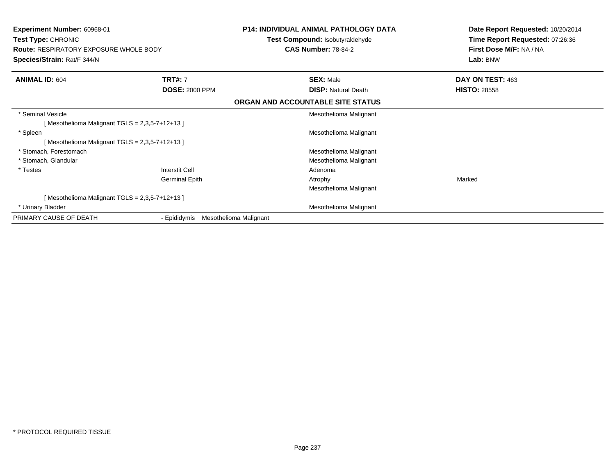| <b>Experiment Number: 60968-01</b><br>Test Type: CHRONIC<br><b>Route: RESPIRATORY EXPOSURE WHOLE BODY</b><br>Species/Strain: Rat/F 344/N |                                         | <b>P14: INDIVIDUAL ANIMAL PATHOLOGY DATA</b><br>Test Compound: Isobutyraldehyde<br><b>CAS Number: 78-84-2</b> | Date Report Requested: 10/20/2014<br>Time Report Requested: 07:26:36<br>First Dose M/F: NA / NA<br>Lab: BNW |
|------------------------------------------------------------------------------------------------------------------------------------------|-----------------------------------------|---------------------------------------------------------------------------------------------------------------|-------------------------------------------------------------------------------------------------------------|
|                                                                                                                                          |                                         |                                                                                                               |                                                                                                             |
| <b>ANIMAL ID: 604</b>                                                                                                                    | <b>TRT#: 7</b><br><b>DOSE: 2000 PPM</b> | <b>SEX: Male</b><br><b>DISP:</b> Natural Death                                                                | DAY ON TEST: 463<br><b>HISTO: 28558</b>                                                                     |
|                                                                                                                                          |                                         | ORGAN AND ACCOUNTABLE SITE STATUS                                                                             |                                                                                                             |
| * Seminal Vesicle<br>[Mesothelioma Malignant TGLS = $2,3,5-7+12+13$ ]                                                                    |                                         | Mesothelioma Malignant                                                                                        |                                                                                                             |
| * Spleen<br>[Mesothelioma Malignant TGLS = 2,3,5-7+12+13]                                                                                |                                         | Mesothelioma Malignant                                                                                        |                                                                                                             |
| * Stomach, Forestomach                                                                                                                   |                                         | Mesothelioma Malignant                                                                                        |                                                                                                             |
| * Stomach, Glandular                                                                                                                     |                                         | Mesothelioma Malignant                                                                                        |                                                                                                             |
| * Testes                                                                                                                                 | <b>Interstit Cell</b>                   | Adenoma                                                                                                       |                                                                                                             |
|                                                                                                                                          | <b>Germinal Epith</b>                   | Atrophy                                                                                                       | Marked                                                                                                      |
|                                                                                                                                          |                                         | Mesothelioma Malignant                                                                                        |                                                                                                             |
| [Mesothelioma Malignant TGLS = $2,3,5-7+12+13$ ]                                                                                         |                                         |                                                                                                               |                                                                                                             |
| * Urinary Bladder                                                                                                                        |                                         | Mesothelioma Malignant                                                                                        |                                                                                                             |
| PRIMARY CAUSE OF DEATH                                                                                                                   | - Epididymis                            | Mesothelioma Malignant                                                                                        |                                                                                                             |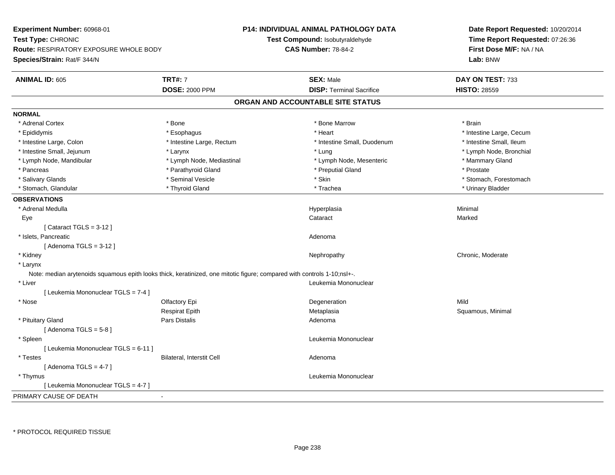| Experiment Number: 60968-01<br>Test Type: CHRONIC<br><b>Route: RESPIRATORY EXPOSURE WHOLE BODY</b>                      |                           | <b>P14: INDIVIDUAL ANIMAL PATHOLOGY DATA</b> | Date Report Requested: 10/20/2014                          |  |
|-------------------------------------------------------------------------------------------------------------------------|---------------------------|----------------------------------------------|------------------------------------------------------------|--|
|                                                                                                                         |                           | Test Compound: Isobutyraldehyde              | Time Report Requested: 07:26:36<br>First Dose M/F: NA / NA |  |
|                                                                                                                         |                           | <b>CAS Number: 78-84-2</b>                   |                                                            |  |
| Species/Strain: Rat/F 344/N                                                                                             |                           |                                              | Lab: BNW                                                   |  |
| <b>ANIMAL ID: 605</b>                                                                                                   | <b>TRT#: 7</b>            | <b>SEX: Male</b>                             | DAY ON TEST: 733                                           |  |
|                                                                                                                         | <b>DOSE: 2000 PPM</b>     | <b>DISP: Terminal Sacrifice</b>              | <b>HISTO: 28559</b>                                        |  |
|                                                                                                                         |                           | ORGAN AND ACCOUNTABLE SITE STATUS            |                                                            |  |
| <b>NORMAL</b>                                                                                                           |                           |                                              |                                                            |  |
| * Adrenal Cortex                                                                                                        | * Bone                    | * Bone Marrow                                | * Brain                                                    |  |
| * Epididymis                                                                                                            | * Esophagus               | * Heart                                      | * Intestine Large, Cecum                                   |  |
| * Intestine Large, Colon                                                                                                | * Intestine Large, Rectum | * Intestine Small, Duodenum                  | * Intestine Small, Ileum                                   |  |
| * Intestine Small, Jejunum                                                                                              | * Larynx                  | * Lung                                       | * Lymph Node, Bronchial                                    |  |
| * Lymph Node, Mandibular                                                                                                | * Lymph Node, Mediastinal | * Lymph Node, Mesenteric                     | * Mammary Gland                                            |  |
| * Pancreas                                                                                                              | * Parathyroid Gland       | * Preputial Gland                            | * Prostate                                                 |  |
| * Salivary Glands                                                                                                       | * Seminal Vesicle         | * Skin                                       | * Stomach, Forestomach                                     |  |
| * Stomach, Glandular                                                                                                    | * Thyroid Gland           | * Trachea                                    | * Urinary Bladder                                          |  |
| <b>OBSERVATIONS</b>                                                                                                     |                           |                                              |                                                            |  |
| * Adrenal Medulla                                                                                                       |                           | Hyperplasia                                  | Minimal                                                    |  |
| Eye                                                                                                                     |                           | Cataract                                     | Marked                                                     |  |
| [Cataract TGLS = $3-12$ ]                                                                                               |                           |                                              |                                                            |  |
| * Islets, Pancreatic                                                                                                    |                           | Adenoma                                      |                                                            |  |
| [Adenoma TGLS = $3-12$ ]                                                                                                |                           |                                              |                                                            |  |
| * Kidney                                                                                                                |                           | Nephropathy                                  | Chronic, Moderate                                          |  |
| * Larynx                                                                                                                |                           |                                              |                                                            |  |
| Note: median arytenoids squamous epith looks thick, keratinized, one mitotic figure; compared with controls 1-10;nsl+-. |                           |                                              |                                                            |  |
| * Liver                                                                                                                 |                           | Leukemia Mononuclear                         |                                                            |  |
| [ Leukemia Mononuclear TGLS = 7-4 ]                                                                                     |                           |                                              |                                                            |  |
| * Nose                                                                                                                  | Olfactory Epi             | Degeneration                                 | Mild                                                       |  |
|                                                                                                                         | <b>Respirat Epith</b>     | Metaplasia                                   | Squamous, Minimal                                          |  |
| * Pituitary Gland                                                                                                       | Pars Distalis             | Adenoma                                      |                                                            |  |
| [Adenoma TGLS = $5-8$ ]                                                                                                 |                           |                                              |                                                            |  |
| * Spleen                                                                                                                |                           | Leukemia Mononuclear                         |                                                            |  |
| [ Leukemia Mononuclear TGLS = 6-11 ]                                                                                    |                           |                                              |                                                            |  |
| * Testes                                                                                                                | Bilateral, Interstit Cell | Adenoma                                      |                                                            |  |
| [Adenoma TGLS = $4-7$ ]                                                                                                 |                           |                                              |                                                            |  |
| * Thymus                                                                                                                |                           | Leukemia Mononuclear                         |                                                            |  |
| [ Leukemia Mononuclear TGLS = 4-7 ]                                                                                     |                           |                                              |                                                            |  |
| PRIMARY CAUSE OF DEATH                                                                                                  |                           |                                              |                                                            |  |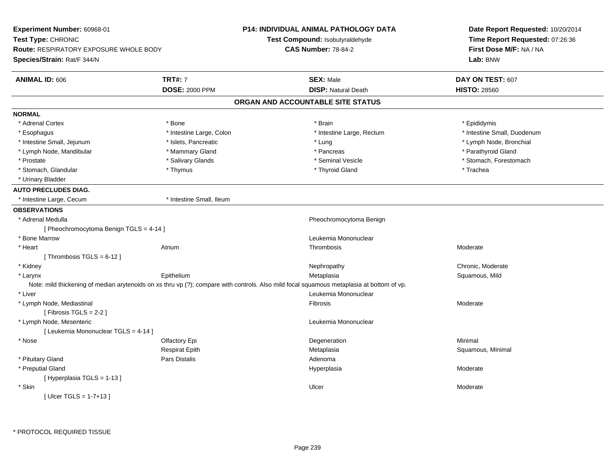| Experiment Number: 60968-01                   |                          | <b>P14: INDIVIDUAL ANIMAL PATHOLOGY DATA</b>                                                                                              | Date Report Requested: 10/20/2014                          |  |
|-----------------------------------------------|--------------------------|-------------------------------------------------------------------------------------------------------------------------------------------|------------------------------------------------------------|--|
| Test Type: CHRONIC                            |                          | Test Compound: Isobutyraldehyde                                                                                                           | Time Report Requested: 07:26:36<br>First Dose M/F: NA / NA |  |
| <b>Route: RESPIRATORY EXPOSURE WHOLE BODY</b> |                          | <b>CAS Number: 78-84-2</b>                                                                                                                |                                                            |  |
| Species/Strain: Rat/F 344/N                   |                          |                                                                                                                                           | Lab: BNW                                                   |  |
| <b>ANIMAL ID: 606</b>                         | <b>TRT#: 7</b>           | <b>SEX: Male</b>                                                                                                                          | DAY ON TEST: 607                                           |  |
|                                               | <b>DOSE: 2000 PPM</b>    | <b>DISP: Natural Death</b>                                                                                                                | <b>HISTO: 28560</b>                                        |  |
|                                               |                          | ORGAN AND ACCOUNTABLE SITE STATUS                                                                                                         |                                                            |  |
| <b>NORMAL</b>                                 |                          |                                                                                                                                           |                                                            |  |
| * Adrenal Cortex                              | $*$ Bone                 | * Brain                                                                                                                                   | * Epididymis                                               |  |
| * Esophagus                                   | * Intestine Large, Colon | * Intestine Large, Rectum                                                                                                                 | * Intestine Small, Duodenum                                |  |
| * Intestine Small, Jejunum                    | * Islets, Pancreatic     | * Lung                                                                                                                                    | * Lymph Node, Bronchial                                    |  |
| * Lymph Node, Mandibular                      | * Mammary Gland          | * Pancreas                                                                                                                                | * Parathyroid Gland                                        |  |
| * Prostate                                    | * Salivary Glands        | * Seminal Vesicle                                                                                                                         | * Stomach, Forestomach                                     |  |
| * Stomach, Glandular                          | * Thymus                 | * Thyroid Gland                                                                                                                           | * Trachea                                                  |  |
| * Urinary Bladder                             |                          |                                                                                                                                           |                                                            |  |
| <b>AUTO PRECLUDES DIAG.</b>                   |                          |                                                                                                                                           |                                                            |  |
| * Intestine Large, Cecum                      | * Intestine Small, Ileum |                                                                                                                                           |                                                            |  |
| <b>OBSERVATIONS</b>                           |                          |                                                                                                                                           |                                                            |  |
| * Adrenal Medulla                             |                          | Pheochromocytoma Benign                                                                                                                   |                                                            |  |
| [ Pheochromocytoma Benign TGLS = 4-14 ]       |                          |                                                                                                                                           |                                                            |  |
| * Bone Marrow                                 |                          | Leukemia Mononuclear                                                                                                                      |                                                            |  |
| * Heart                                       | Atrium                   | Thrombosis                                                                                                                                | Moderate                                                   |  |
| [Thrombosis TGLS = $6-12$ ]                   |                          |                                                                                                                                           |                                                            |  |
| * Kidney                                      |                          | Nephropathy                                                                                                                               | Chronic, Moderate                                          |  |
| * Larynx                                      | Epithelium               | Metaplasia                                                                                                                                | Squamous, Mild                                             |  |
|                                               |                          | Note: mild thickening of median arytenoids on xs thru vp (?); compare with controls. Also mild focal squamous metaplasia at bottom of vp. |                                                            |  |
| * Liver                                       |                          | Leukemia Mononuclear                                                                                                                      |                                                            |  |
| * Lymph Node, Mediastinal                     |                          | Fibrosis                                                                                                                                  | Moderate                                                   |  |
| [Fibrosis TGLS = $2-2$ ]                      |                          |                                                                                                                                           |                                                            |  |
| * Lymph Node, Mesenteric                      |                          | Leukemia Mononuclear                                                                                                                      |                                                            |  |
| [ Leukemia Mononuclear TGLS = 4-14 ]          |                          |                                                                                                                                           |                                                            |  |
| * Nose                                        | Olfactory Epi            | Degeneration                                                                                                                              | Minimal                                                    |  |
|                                               | <b>Respirat Epith</b>    | Metaplasia                                                                                                                                | Squamous, Minimal                                          |  |
| * Pituitary Gland                             | Pars Distalis            | Adenoma                                                                                                                                   |                                                            |  |
| * Preputial Gland                             |                          | Hyperplasia                                                                                                                               | Moderate                                                   |  |
| [Hyperplasia TGLS = 1-13]                     |                          |                                                                                                                                           |                                                            |  |
| * Skin                                        |                          | Ulcer                                                                                                                                     | Moderate                                                   |  |
| [ Ulcer TGLS = $1-7+13$ ]                     |                          |                                                                                                                                           |                                                            |  |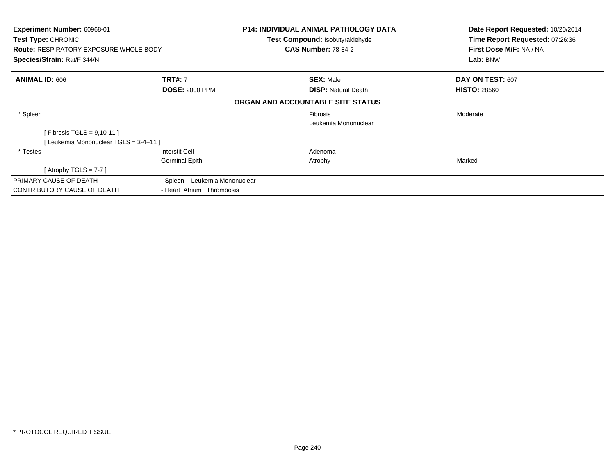| <b>Experiment Number: 60968-01</b><br><b>Test Type: CHRONIC</b><br><b>Route: RESPIRATORY EXPOSURE WHOLE BODY</b> |                                  | P14: INDIVIDUAL ANIMAL PATHOLOGY DATA<br><b>Test Compound: Isobutyraldehyde</b><br><b>CAS Number: 78-84-2</b> | Date Report Requested: 10/20/2014<br>Time Report Requested: 07:26:36<br>First Dose M/F: NA / NA |
|------------------------------------------------------------------------------------------------------------------|----------------------------------|---------------------------------------------------------------------------------------------------------------|-------------------------------------------------------------------------------------------------|
| Species/Strain: Rat/F 344/N                                                                                      |                                  |                                                                                                               | Lab: BNW                                                                                        |
| <b>ANIMAL ID: 606</b>                                                                                            | <b>TRT#: 7</b>                   | <b>SEX: Male</b>                                                                                              | DAY ON TEST: 607                                                                                |
|                                                                                                                  | <b>DOSE: 2000 PPM</b>            | <b>DISP:</b> Natural Death                                                                                    | <b>HISTO: 28560</b>                                                                             |
|                                                                                                                  |                                  | ORGAN AND ACCOUNTABLE SITE STATUS                                                                             |                                                                                                 |
| * Spleen                                                                                                         |                                  | Fibrosis                                                                                                      | Moderate                                                                                        |
|                                                                                                                  |                                  | Leukemia Mononuclear                                                                                          |                                                                                                 |
| [Fibrosis TGLS = $9,10-11$ ]                                                                                     |                                  |                                                                                                               |                                                                                                 |
| [Leukemia Mononuclear TGLS = 3-4+11]                                                                             |                                  |                                                                                                               |                                                                                                 |
| * Testes                                                                                                         | Interstit Cell                   | Adenoma                                                                                                       |                                                                                                 |
|                                                                                                                  | <b>Germinal Epith</b>            | Atrophy                                                                                                       | Marked                                                                                          |
| [Atrophy TGLS = $7-7$ ]                                                                                          |                                  |                                                                                                               |                                                                                                 |
| PRIMARY CAUSE OF DEATH                                                                                           | Leukemia Mononuclear<br>- Spleen |                                                                                                               |                                                                                                 |
| CONTRIBUTORY CAUSE OF DEATH                                                                                      | - Heart Atrium Thrombosis        |                                                                                                               |                                                                                                 |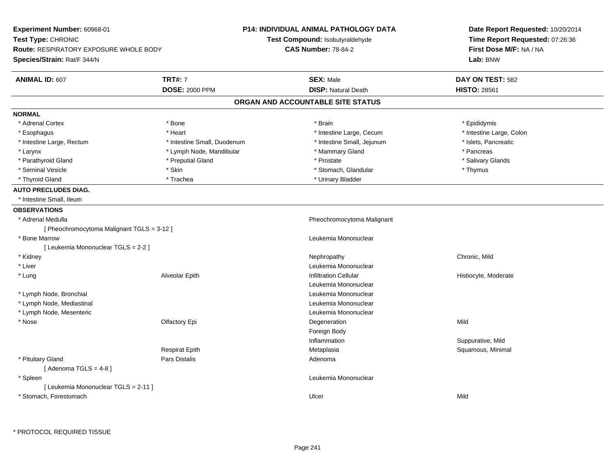| <b>Experiment Number: 60968-01</b><br>Test Type: CHRONIC<br><b>Route: RESPIRATORY EXPOSURE WHOLE BODY</b><br>Species/Strain: Rat/F 344/N |                             | <b>P14: INDIVIDUAL ANIMAL PATHOLOGY DATA</b><br>Test Compound: Isobutyraldehyde<br><b>CAS Number: 78-84-2</b> | Date Report Requested: 10/20/2014<br>Time Report Requested: 07:26:36<br>First Dose M/F: NA / NA<br>Lab: BNW |
|------------------------------------------------------------------------------------------------------------------------------------------|-----------------------------|---------------------------------------------------------------------------------------------------------------|-------------------------------------------------------------------------------------------------------------|
| <b>ANIMAL ID: 607</b>                                                                                                                    | <b>TRT#: 7</b>              | <b>SEX: Male</b>                                                                                              | DAY ON TEST: 582                                                                                            |
|                                                                                                                                          | <b>DOSE: 2000 PPM</b>       | <b>DISP: Natural Death</b>                                                                                    | <b>HISTO: 28561</b>                                                                                         |
|                                                                                                                                          |                             | ORGAN AND ACCOUNTABLE SITE STATUS                                                                             |                                                                                                             |
| <b>NORMAL</b>                                                                                                                            |                             |                                                                                                               |                                                                                                             |
| * Adrenal Cortex                                                                                                                         | $*$ Bone                    | * Brain                                                                                                       | * Epididymis                                                                                                |
| * Esophagus                                                                                                                              | * Heart                     | * Intestine Large, Cecum                                                                                      | * Intestine Large, Colon                                                                                    |
| * Intestine Large, Rectum                                                                                                                | * Intestine Small, Duodenum | * Intestine Small, Jejunum                                                                                    | * Islets, Pancreatic                                                                                        |
| * Larynx                                                                                                                                 | * Lymph Node, Mandibular    | * Mammary Gland                                                                                               | * Pancreas                                                                                                  |
| * Parathyroid Gland                                                                                                                      | * Preputial Gland           | * Prostate                                                                                                    | * Salivary Glands                                                                                           |
| * Seminal Vesicle                                                                                                                        | * Skin                      | * Stomach, Glandular                                                                                          | * Thymus                                                                                                    |
| * Thyroid Gland                                                                                                                          | * Trachea                   | * Urinary Bladder                                                                                             |                                                                                                             |
| <b>AUTO PRECLUDES DIAG.</b><br>* Intestine Small, Ileum                                                                                  |                             |                                                                                                               |                                                                                                             |
| <b>OBSERVATIONS</b>                                                                                                                      |                             |                                                                                                               |                                                                                                             |
| * Adrenal Medulla                                                                                                                        |                             | Pheochromocytoma Malignant                                                                                    |                                                                                                             |
| [ Pheochromocytoma Malignant TGLS = 3-12 ]                                                                                               |                             |                                                                                                               |                                                                                                             |
| * Bone Marrow                                                                                                                            |                             | Leukemia Mononuclear                                                                                          |                                                                                                             |
| [ Leukemia Mononuclear TGLS = 2-2 ]                                                                                                      |                             |                                                                                                               |                                                                                                             |
| * Kidney                                                                                                                                 |                             | Nephropathy                                                                                                   | Chronic, Mild                                                                                               |
| * Liver                                                                                                                                  |                             | Leukemia Mononuclear                                                                                          |                                                                                                             |
| * Lung                                                                                                                                   | Alveolar Epith              | Infiltration Cellular                                                                                         | Histiocyte, Moderate                                                                                        |
|                                                                                                                                          |                             | Leukemia Mononuclear                                                                                          |                                                                                                             |
| * Lymph Node, Bronchial                                                                                                                  |                             | Leukemia Mononuclear                                                                                          |                                                                                                             |
| * Lymph Node, Mediastinal                                                                                                                |                             | Leukemia Mononuclear                                                                                          |                                                                                                             |
| * Lymph Node, Mesenteric                                                                                                                 |                             | Leukemia Mononuclear                                                                                          |                                                                                                             |
| * Nose                                                                                                                                   | Olfactory Epi               | Degeneration                                                                                                  | Mild                                                                                                        |
|                                                                                                                                          |                             | Foreign Body                                                                                                  |                                                                                                             |
|                                                                                                                                          |                             | Inflammation                                                                                                  | Suppurative, Mild                                                                                           |
|                                                                                                                                          | <b>Respirat Epith</b>       | Metaplasia                                                                                                    | Squamous, Minimal                                                                                           |
| * Pituitary Gland<br>[Adenoma TGLS = $4-8$ ]                                                                                             | Pars Distalis               | Adenoma                                                                                                       |                                                                                                             |
| * Spleen                                                                                                                                 |                             | Leukemia Mononuclear                                                                                          |                                                                                                             |
| [ Leukemia Mononuclear TGLS = 2-11 ]                                                                                                     |                             |                                                                                                               |                                                                                                             |
| * Stomach, Forestomach                                                                                                                   |                             | Ulcer                                                                                                         | Mild                                                                                                        |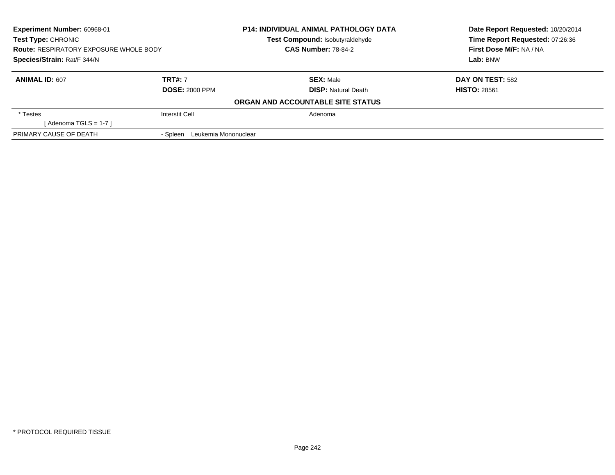| <b>Experiment Number: 60968-01</b><br>Test Type: CHRONIC<br><b>Route: RESPIRATORY EXPOSURE WHOLE BODY</b><br>Species/Strain: Rat/F 344/N |                                  | <b>P14: INDIVIDUAL ANIMAL PATHOLOGY DATA</b><br>Test Compound: Isobutyraldehyde | Date Report Requested: 10/20/2014<br>Time Report Requested: 07:26:36 |
|------------------------------------------------------------------------------------------------------------------------------------------|----------------------------------|---------------------------------------------------------------------------------|----------------------------------------------------------------------|
|                                                                                                                                          |                                  | <b>CAS Number: 78-84-2</b>                                                      | First Dose M/F: NA / NA                                              |
|                                                                                                                                          |                                  |                                                                                 | Lab: BNW                                                             |
| <b>ANIMAL ID: 607</b>                                                                                                                    | <b>TRT#: 7</b>                   | <b>SEX: Male</b>                                                                | DAY ON TEST: 582                                                     |
|                                                                                                                                          | <b>DOSE: 2000 PPM</b>            | <b>DISP: Natural Death</b>                                                      | <b>HISTO: 28561</b>                                                  |
|                                                                                                                                          |                                  | ORGAN AND ACCOUNTABLE SITE STATUS                                               |                                                                      |
| * Testes                                                                                                                                 | <b>Interstit Cell</b>            | Adenoma                                                                         |                                                                      |
| [Adenoma TGLS = $1-7$ ]                                                                                                                  |                                  |                                                                                 |                                                                      |
| PRIMARY CAUSE OF DEATH                                                                                                                   | Leukemia Mononuclear<br>- Spleen |                                                                                 |                                                                      |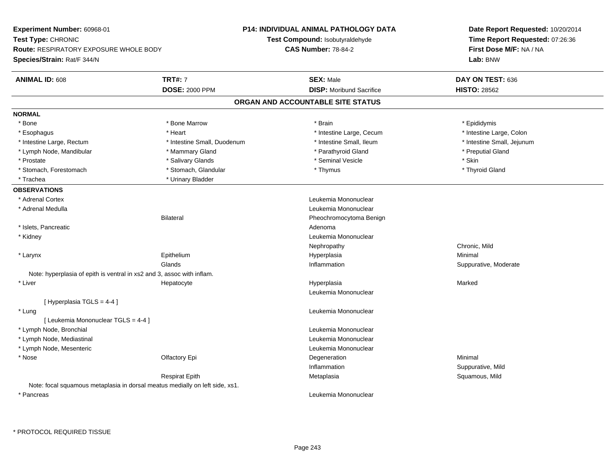**Experiment Number:** 60968-01**Test Type:** CHRONIC **Route:** RESPIRATORY EXPOSURE WHOLE BODY**Species/Strain:** Rat/F 344/N**P14: INDIVIDUAL ANIMAL PATHOLOGY DATATest Compound:** Isobutyraldehyde**CAS Number:** 78-84-2**Date Report Requested:** 10/20/2014**Time Report Requested:** 07:26:36**First Dose M/F:** NA / NA**Lab:** BNW**ANIMAL ID:** 608**TRT#:** 7 **SEX:** Male **DAY ON TEST:** 636 **DOSE:** 2000 PPM**DISP:** Moribund Sacrifice **HISTO:** 28562 **ORGAN AND ACCOUNTABLE SITE STATUSNORMAL**\* Bone \* Bone \* Bone Marrow \* Brain \* Epididymis \* Esophagus \* Thestine Large, Colon \* Intestine Large, Cecum \* Intestine Large, Cecum \* Intestine Large, Colon \* Intestine Large, Colon \* Intestine Large, Rectum \* Thestine Small, Duodenum \* Number of the small, Ileum \* Intestine Small, Jejunum \* Intestine Small, Jejunum \* Lymph Node, Mandibular \* The putial Gland \* Mammary Gland \* The mathyroid Gland \* Parathyroid Gland \* \* Preputial Gland \* Prostate \* \* Salivary Glands \* \* Salivary Glands \* \* Seminal Vesicle \* \* \* Seminal Yestrich \* \* Skin \* \* Skin \* Thyroid Gland \* Stomach, Forestomach \* Thymus \* Stomach, Glandular \* Thymus \* Thymus \* Thymus \* Thymus \* Thymus \* Thymus \* Thymus \* Thymus \* Thymus \* Thymus \* Thymus \* Thymus \* Thymus \* Thymus \* Thymus \* Thymus \* Thymus \* Thymus \* Thymu \* Trachea **\*** Urinary Bladder **OBSERVATIONS** \* Adrenal Cortex Leukemia Mononuclear \* Adrenal Medulla Leukemia Mononuclear Bilateral Pheochromocytoma Benign \* Islets, Pancreaticc and the contract of the contract of the contract of the contract of the contract of the contract of the contract of the contract of the contract of the contract of the contract of the contract of the contract of the cont Leukemia Mononuclear \* KidneyNephropathy Chronic, Mild \* Larynx Epithelium Hyperplasia Minimal **Glands**  Inflammation Suppurative, Moderate Note: hyperplasia of epith is ventral in xs2 and 3, assoc with inflam. \* Liver Hepatocyte Hyperplasia Marked Leukemia Mononuclear[ Hyperplasia TGLS = 4-4 ] \* Lung Leukemia Mononuclear [ Leukemia Mononuclear TGLS = 4-4 ] \* Lymph Node, Bronchial Leukemia Mononuclear \* Lymph Node, Mediastinal Leukemia Mononuclear \* Lymph Node, Mesenteric Leukemia Mononuclear \* Nosee and the Colombia Colombia Degeneration and the Colombia Degeneration and the Colombia Minimal Minimal of the Minimal State of the Colombia Degeneration and the Minimal of the Colombia Degeneration of the Colombia Degener Inflammation Suppurative, Mild Respirat Epith Metaplasia Squamous, Mild Note: focal squamous metaplasia in dorsal meatus medially on left side, xs1. \* PancreasLeukemia Mononuclear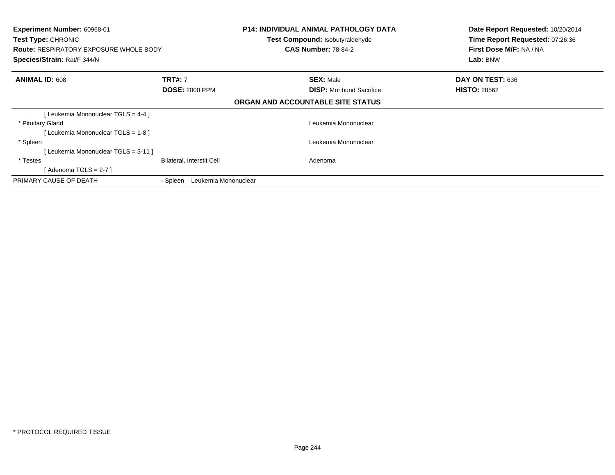| <b>Experiment Number: 60968-01</b><br>Test Type: CHRONIC<br><b>Route: RESPIRATORY EXPOSURE WHOLE BODY</b><br>Species/Strain: Rat/F 344/N |                                  | <b>P14: INDIVIDUAL ANIMAL PATHOLOGY DATA</b><br>Test Compound: Isobutyraldehyde<br><b>CAS Number: 78-84-2</b> | Date Report Requested: 10/20/2014<br>Time Report Requested: 07:26:36<br>First Dose M/F: NA / NA<br>Lab: BNW |
|------------------------------------------------------------------------------------------------------------------------------------------|----------------------------------|---------------------------------------------------------------------------------------------------------------|-------------------------------------------------------------------------------------------------------------|
| <b>ANIMAL ID: 608</b>                                                                                                                    | <b>TRT#: 7</b>                   | <b>SEX: Male</b>                                                                                              | DAY ON TEST: 636                                                                                            |
|                                                                                                                                          | <b>DOSE: 2000 PPM</b>            | <b>DISP:</b> Moribund Sacrifice                                                                               | <b>HISTO: 28562</b>                                                                                         |
|                                                                                                                                          |                                  | ORGAN AND ACCOUNTABLE SITE STATUS                                                                             |                                                                                                             |
| [ Leukemia Mononuclear TGLS = 4-4 ]                                                                                                      |                                  |                                                                                                               |                                                                                                             |
| * Pituitary Gland                                                                                                                        |                                  | Leukemia Mononuclear                                                                                          |                                                                                                             |
| [Leukemia Mononuclear TGLS = 1-8]                                                                                                        |                                  |                                                                                                               |                                                                                                             |
| * Spleen                                                                                                                                 |                                  | Leukemia Mononuclear                                                                                          |                                                                                                             |
| [Leukemia Mononuclear TGLS = 3-11 ]                                                                                                      |                                  |                                                                                                               |                                                                                                             |
| * Testes                                                                                                                                 | <b>Bilateral, Interstit Cell</b> | Adenoma                                                                                                       |                                                                                                             |
| [Adenoma TGLS = $2-7$ ]                                                                                                                  |                                  |                                                                                                               |                                                                                                             |
| PRIMARY CAUSE OF DEATH                                                                                                                   | Leukemia Mononuclear<br>- Spleen |                                                                                                               |                                                                                                             |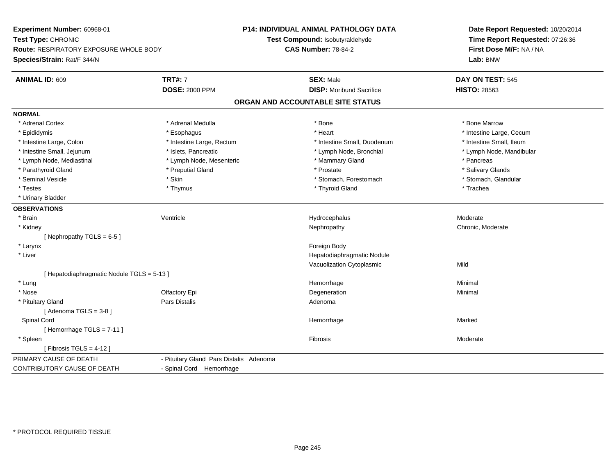**Experiment Number:** 60968-01**Test Type:** CHRONIC **Route:** RESPIRATORY EXPOSURE WHOLE BODY**Species/Strain:** Rat/F 344/N**P14: INDIVIDUAL ANIMAL PATHOLOGY DATATest Compound:** Isobutyraldehyde**CAS Number:** 78-84-2**Date Report Requested:** 10/20/2014**Time Report Requested:** 07:26:36**First Dose M/F:** NA / NA**Lab:** BNW**ANIMAL ID:** 609**TRT#:** 7 **SEX:** Male **DAY ON TEST:** 545 **DOSE:** 2000 PPM**DISP:** Moribund Sacrifice **HISTO:** 28563 **ORGAN AND ACCOUNTABLE SITE STATUSNORMAL**\* Adrenal Cortex \* Adrenal Medulla \* Adrenal Medulla \* Bone \* Bone \* Bone \* Bone \* Bone Marrow \* Epididymis \* https://www.fragusta.com/windows/windows/windows/windows/windows/windows/windows/windows/windows/ \* Intestine Small. Ileum \* Intestine Large, Colon \* Intestine Large, Rectum \* Intestine Small, Duodenum \* Intestine Small, Duodenum \* Intestine Small, Jejunum \* \* et \* \* steeks, Pancreatic \* \* Lymph Node, Bronchial \* Lymph Node, Mandibular \* Lymph Node, Mandibular \* Lymph Node, Mandibular \* Lymph Node, Mandibular \* Lymph Node, Mandibular \* Lymph Node, \* Lymph Node, Mediastinal \* The mode of the Mesenteric the manner of Mammary Gland \* The manner \* Pancreas \* Salivary Glands \* Parathyroid Gland \* \* \* Preputial Gland \* \* Preputial Gland \* \* Prostate \* \* Salivary Glands \* Salivary Glands \* Stomach. Glandular \* Seminal Vesicle \* Skin \* Skin \* Skin \* Stomach, Forestomach \* Stomach, Forestomach \* Testes \* Thymus \* Thyroid Gland \* Trachea \* Urinary Bladder**OBSERVATIONS** \* Brainn wenne alle the Ventricle wenne and the Hydrocephalus Moderate Moderate Moderate Moderate and the Ventricle o \* Kidneyy the chronic, Moderate and September 2012 of the Chronic Moderate and September 2013 of the Chronic, Moderate [ Nephropathy  $TGLS = 6-5$  ] \* Larynx**x** and the contract of the contract of the contract of the contract of the contract of the contract of the contract of the contract of the contract of the contract of the contract of the contract of the contract of the co \* Liver Hepatodiaphragmatic NoduleVacuolization Cytoplasmicc Mild [ Hepatodiaphragmatic Nodule TGLS = 5-13 ] \* Lungg and the state of the state of the state of the state of the Minimal Section 1, the state of the state of the Minimal Section 1, the state of the state of the state of the state of the state of the state of the state of t \* Nosee and the Colombia Colombia Degeneration and the Colombia Degeneration and the Colombia Minimal Minimal of the Minimal State of the Colombia Degeneration and the Minimal of the Colombia Degeneration of the Colombia Degener \* Pituitary Glandd and the contract of Pars Distalis and the contract of Adenoma and Adenoma and the Adenoma and the Adenoma and  $\lambda$  $[$  Adenoma TGLS = 3-8  $]$  Spinal Cordd and the state of the state of the state of the state of the Marked Marked of the State of the Marked of the Marked of the State of the Marked of the State of the Marked of the State of the State of the State of the State [ Hemorrhage TGLS = 7-11 ] \* Spleenn and the state of the state of the state of the state of the state of the state of the state of the state of the state of the state of the state of the state of the state of the state of the state of the state of the stat  $[$  Fibrosis TGLS = 4-12  $]$ PRIMARY CAUSE OF DEATH - Pituitary Gland Pars Distalis Adenoma CONTRIBUTORY CAUSE OF DEATH- Spinal Cord Hemorrhage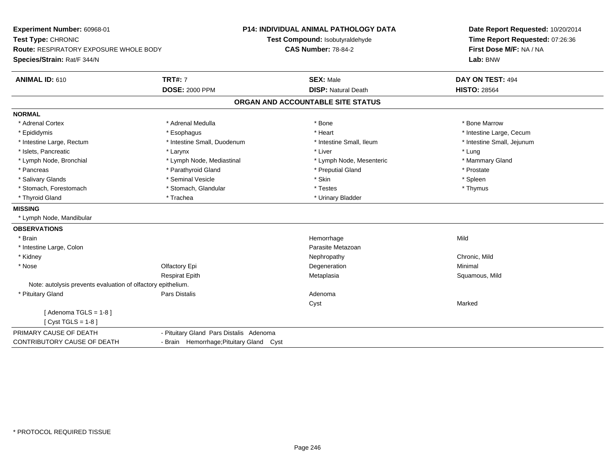**Experiment Number:** 60968-01**Test Type:** CHRONIC **Route:** RESPIRATORY EXPOSURE WHOLE BODY**Species/Strain:** Rat/F 344/N**P14: INDIVIDUAL ANIMAL PATHOLOGY DATATest Compound:** Isobutyraldehyde**CAS Number:** 78-84-2**Date Report Requested:** 10/20/2014**Time Report Requested:** 07:26:36**First Dose M/F:** NA / NA**Lab:** BNW**ANIMAL ID:** 610**TRT#:** 7 **SEX:** Male **DAY ON TEST:** 494 **DOSE:** 2000 PPM**DISP:** Natural Death **HISTO:** 28564 **ORGAN AND ACCOUNTABLE SITE STATUSNORMAL**\* Adrenal Cortex \* Adrenal Medulla \* Adrenal Medulla \* Bone \* Bone \* Bone \* Bone \* Bone Marrow \* Epididymis \* https://www.fragusta.com/windows/windows/windows/windows/windows/windows/windows/windows/windows/ \* Intestine Large, Rectum \* Thestine Small, Duodenum \* \* Intestine Small, Ileum \* \* Intestine Small, Jejunum \* Intestine Small, Jejunum \* Islets, Pancreatic \* \* \* Larynx \* Larynx \* Larynx \* Liver \* Liver \* Liver \* Larynx \* Lung \* Mammary Gland \* Lymph Node, Bronchial \* Lymph Node, Mediastinal \* Lymph Node, Mesenteric \* Lymph Node, Mesenteric \* Pancreas \* Parathyroid Gland \* Parathyroid Gland \* Preputial Gland \* Preputial Gland \* Prostate \* Spleen \* Salivary Glands \* \* \* Sheen \* Seminal Vesicle \* \* \* Stan \* \* Skin \* \* Skin \* \* Spleen \* \* Spleen \* \* Spleen \* \* Thymus \* Stomach, Forestomach \* Testes \* Stomach, Glandular \* Testes \* Testes \* Testes \* Testes \* Testes \* \* Testes \*  $\sim$  \* Testes \*  $\sim$  \* Testes \*  $\sim$  \* Testes \* \* Testes \* \* Testes \* \* \* Testes \* \* \* Testes \* \* \* \* \* \* \* \* \* \* Thyroid Gland \* Trachea \* Trachea \* Trachea \* Thyroid Gland **MISSING** \* Lymph Node, Mandibular**OBSERVATIONS** \* Brainn and the state of the state of the state of the state of the Middle State of the Middle State of the Middle St \* Intestine Large, ColonParasite Metazoan<br>Nephropathy \* Kidneyy the controller of the controller of the controller of the controller of the controller of the chronic, Mild \* Nosee and the Colombia Colombia Defectory Epi and the Colombia Degeneration and the Colombia Minimal Minimal Degeneration Respirat EpithMetaplasia **Squamous, Mild** Note: autolysis prevents evaluation of olfactory epithelium. \* Pituitary Glandd and the set of Pars Distalis and the Second Adenomal Adenomal Second Second Pars Distallis Cystt **the contract of the contract of the contract of the contract of the contract of the contract of the contract of the contract of the contract of the contract of the contract of the contract of the contract of the contrac**  $[$  Adenoma TGLS = 1-8  $]$  $[$  Cyst TGLS = 1-8  $]$ PRIMARY CAUSE OF DEATH - Pituitary Gland Pars Distalis Adenoma CONTRIBUTORY CAUSE OF DEATH- Brain Hemorrhage;Pituitary Gland Cyst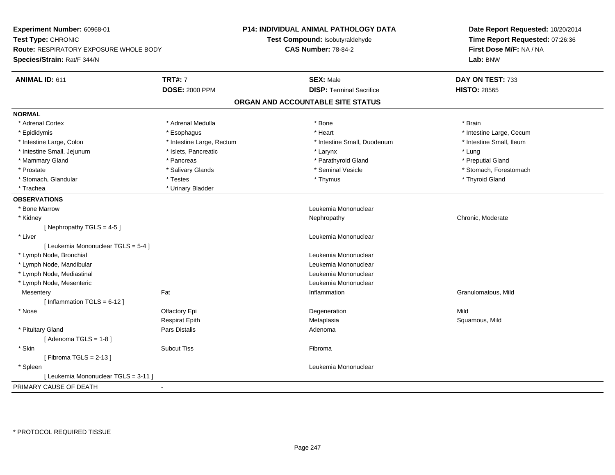| Experiment Number: 60968-01<br>Test Type: CHRONIC<br><b>Route: RESPIRATORY EXPOSURE WHOLE BODY</b><br>Species/Strain: Rat/F 344/N |                           | <b>P14: INDIVIDUAL ANIMAL PATHOLOGY DATA</b><br>Test Compound: Isobutyraldehyde<br><b>CAS Number: 78-84-2</b> | Date Report Requested: 10/20/2014<br>Time Report Requested: 07:26:36<br>First Dose M/F: NA / NA<br>Lab: BNW |
|-----------------------------------------------------------------------------------------------------------------------------------|---------------------------|---------------------------------------------------------------------------------------------------------------|-------------------------------------------------------------------------------------------------------------|
| ANIMAL ID: 611                                                                                                                    | <b>TRT#: 7</b>            | <b>SEX: Male</b>                                                                                              | DAY ON TEST: 733                                                                                            |
|                                                                                                                                   | <b>DOSE: 2000 PPM</b>     | <b>DISP: Terminal Sacrifice</b>                                                                               | <b>HISTO: 28565</b>                                                                                         |
|                                                                                                                                   |                           | ORGAN AND ACCOUNTABLE SITE STATUS                                                                             |                                                                                                             |
| <b>NORMAL</b>                                                                                                                     |                           |                                                                                                               |                                                                                                             |
| * Adrenal Cortex                                                                                                                  | * Adrenal Medulla         | * Bone                                                                                                        | * Brain                                                                                                     |
| * Epididymis                                                                                                                      | * Esophagus               | * Heart                                                                                                       | * Intestine Large, Cecum                                                                                    |
| * Intestine Large, Colon                                                                                                          | * Intestine Large, Rectum | * Intestine Small, Duodenum                                                                                   | * Intestine Small, Ileum                                                                                    |
| * Intestine Small, Jejunum                                                                                                        | * Islets, Pancreatic      | * Larynx                                                                                                      | * Lung                                                                                                      |
| * Mammary Gland                                                                                                                   | * Pancreas                | * Parathyroid Gland                                                                                           | * Preputial Gland                                                                                           |
| * Prostate                                                                                                                        | * Salivary Glands         | * Seminal Vesicle                                                                                             | * Stomach, Forestomach                                                                                      |
| * Stomach, Glandular                                                                                                              | * Testes                  | * Thymus                                                                                                      | * Thyroid Gland                                                                                             |
| * Trachea                                                                                                                         | * Urinary Bladder         |                                                                                                               |                                                                                                             |
| <b>OBSERVATIONS</b>                                                                                                               |                           |                                                                                                               |                                                                                                             |
| * Bone Marrow                                                                                                                     |                           | Leukemia Mononuclear                                                                                          |                                                                                                             |
| * Kidney                                                                                                                          |                           | Nephropathy                                                                                                   | Chronic, Moderate                                                                                           |
| [Nephropathy TGLS = 4-5]                                                                                                          |                           |                                                                                                               |                                                                                                             |
| * Liver                                                                                                                           |                           | Leukemia Mononuclear                                                                                          |                                                                                                             |
| [ Leukemia Mononuclear TGLS = 5-4 ]                                                                                               |                           |                                                                                                               |                                                                                                             |
| * Lymph Node, Bronchial                                                                                                           |                           | Leukemia Mononuclear                                                                                          |                                                                                                             |
| * Lymph Node, Mandibular                                                                                                          |                           | Leukemia Mononuclear                                                                                          |                                                                                                             |
| * Lymph Node, Mediastinal                                                                                                         |                           | Leukemia Mononuclear                                                                                          |                                                                                                             |
| * Lymph Node, Mesenteric                                                                                                          |                           | Leukemia Mononuclear                                                                                          |                                                                                                             |
| Mesentery                                                                                                                         | Fat                       | Inflammation                                                                                                  | Granulomatous, Mild                                                                                         |
| [Inflammation TGLS = $6-12$ ]                                                                                                     |                           |                                                                                                               |                                                                                                             |
| * Nose                                                                                                                            | Olfactory Epi             | Degeneration                                                                                                  | Mild                                                                                                        |
|                                                                                                                                   | <b>Respirat Epith</b>     | Metaplasia                                                                                                    | Squamous, Mild                                                                                              |
| * Pituitary Gland                                                                                                                 | Pars Distalis             | Adenoma                                                                                                       |                                                                                                             |
| [Adenoma TGLS = $1-8$ ]                                                                                                           |                           |                                                                                                               |                                                                                                             |
| * Skin                                                                                                                            | <b>Subcut Tiss</b>        | Fibroma                                                                                                       |                                                                                                             |
| [Fibroma TGLS = $2-13$ ]                                                                                                          |                           |                                                                                                               |                                                                                                             |
| * Spleen                                                                                                                          |                           | Leukemia Mononuclear                                                                                          |                                                                                                             |
| [ Leukemia Mononuclear TGLS = 3-11 ]                                                                                              |                           |                                                                                                               |                                                                                                             |
| PRIMARY CAUSE OF DEATH                                                                                                            | $\sim$                    |                                                                                                               |                                                                                                             |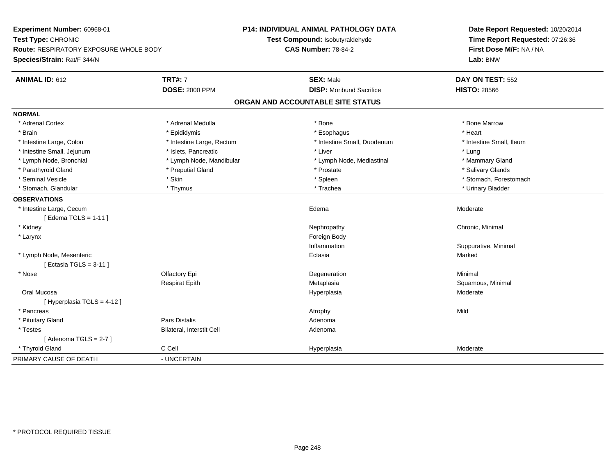**Experiment Number:** 60968-01**Test Type:** CHRONIC **Route:** RESPIRATORY EXPOSURE WHOLE BODY**Species/Strain:** Rat/F 344/N**P14: INDIVIDUAL ANIMAL PATHOLOGY DATATest Compound:** Isobutyraldehyde**CAS Number:** 78-84-2**Date Report Requested:** 10/20/2014**Time Report Requested:** 07:26:36**First Dose M/F:** NA / NA**Lab:** BNW**ANIMAL ID:** 612 **TRT#:** <sup>7</sup> **SEX:** Male **DAY ON TEST:** <sup>552</sup> **DOSE:** 2000 PPM**DISP:** Moribund Sacrifice **HISTO:** 28566 **ORGAN AND ACCOUNTABLE SITE STATUSNORMAL**\* Adrenal Cortex \* Adrenal Medulla \* Adrenal Medulla \* Bone \* Bone \* Bone \* Bone \* Bone Marrow \* Brain \* \* Esophagus \* \* Esophagus \* \* Esophagus \* \* Esophagus \* \* Esophagus \* Heart \* Heart \* Heart \* Heart \* Intestine Large, Colon \* Intestine Large, Rectum \* Intestine Small, Duodenum \* Intestine Small, Ileum\* Intestine Small, Jejunum \* \* 19ets, Pancreatic \* Liver \* Liver \* Liver \* Liver \* Lung \* Mammary Gland \* Lymph Node, Bronchial \* Lymph Node, Mandibular \* Lymph Node, Mediastinal \* Lymph Node, Mediastinal \* Salivary Glands \* Parathyroid Gland \* \* \* Preputial Gland \* \* Preputial Gland \* \* Prostate \* \* Salivary Glands \* Salivary Glands \* Seminal Vesicle \* The state of the set of the set of the set of the set of the set of the set of the set of the set of the set of the set of the set of the set of the set of the set of the set of the set of the set of th \* Stomach, Glandular \* \* \* Thymus \* \* Thymus \* \* The \* \* Trachea \* \* Trachea \* \* Urinary Bladder \* \* Urinary Bladder \* **OBSERVATIONS** \* Intestine Large, Cecum Edema Moderate [ Edema TGLS = 1-11 ] \* Kidneyy the controller controller that the controller controller the controller controller chronic, Minimal of the chronic, Minimal of the chronic, Minimal of the chronic chronic, Minimal of the chronic chronic chronic chronic c \* Larynx**x** and the contract of the contract of the contract of the contract of the contract of the contract of the contract of the contract of the contract of the contract of the contract of the contract of the contract of the co Inflammation Suppurative, Minimal \* Lymph Node, Mesentericc **Ectasia** a and a study of the state of the Marked [ Ectasia TGLS = 3-11 ] \* Nosee and the Colombia Colombia Degeneration and the Colombia Degeneration and the Colombia Minimal Minimal of the Minimal State of the Colombia Degeneration and the Minimal of the Colombia Degeneration of the Colombia Degener Respirat EpithMetaplasia **Squamous, Minimal**  Oral Mucosaa and the state of the state of the state of the Hyperplasia and the Moderate of the Moderate of the Shane and Moderate  $\sim$  Moderate of the state of the state of the state of the state of the state of the state of the sta [ Hyperplasia TGLS = 4-12 ] \* Pancreass the control of the control of the control of the control of the control of the control of the control of the control of the control of the control of the control of the control of the control of the control of the contro \* Pituitary Glandd and the contract of Pars Distalis and the contract of Adenoma and Adenoma and the Adenoma and the Adenoma and  $\lambda$  \* TestesBilateral, Interstit Cell **Adenoma** Adenoma  $[$  Adenoma TGLS = 2-7  $]$  \* Thyroid Glandd and the CCell CCell Constants of the Hyperplasia Moderate Moderate Moderate of the Moderate of the Moderate  $\sim$ PRIMARY CAUSE OF DEATH- UNCERTAIN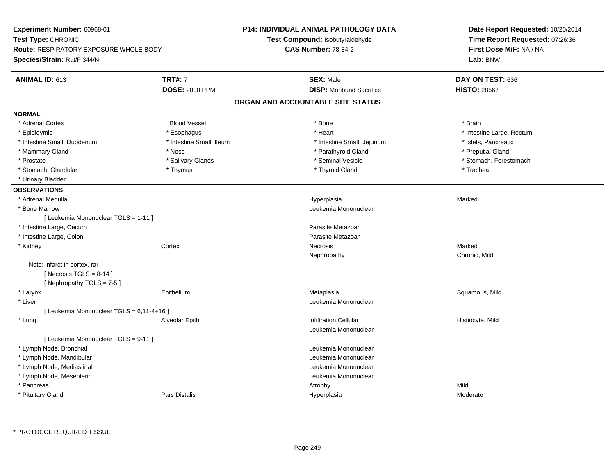| Experiment Number: 60968-01                                                                        |                          | <b>P14: INDIVIDUAL ANIMAL PATHOLOGY DATA</b> | Date Report Requested: 10/20/2014                          |
|----------------------------------------------------------------------------------------------------|--------------------------|----------------------------------------------|------------------------------------------------------------|
| Test Type: CHRONIC<br><b>Route: RESPIRATORY EXPOSURE WHOLE BODY</b><br>Species/Strain: Rat/F 344/N |                          | Test Compound: Isobutyraldehyde              | Time Report Requested: 07:26:36<br>First Dose M/F: NA / NA |
|                                                                                                    |                          | <b>CAS Number: 78-84-2</b>                   |                                                            |
|                                                                                                    |                          |                                              | Lab: BNW                                                   |
| <b>ANIMAL ID: 613</b>                                                                              | <b>TRT#: 7</b>           | <b>SEX: Male</b>                             | DAY ON TEST: 636                                           |
|                                                                                                    | <b>DOSE: 2000 PPM</b>    | <b>DISP:</b> Moribund Sacrifice              | <b>HISTO: 28567</b>                                        |
|                                                                                                    |                          | ORGAN AND ACCOUNTABLE SITE STATUS            |                                                            |
| <b>NORMAL</b>                                                                                      |                          |                                              |                                                            |
| * Adrenal Cortex                                                                                   | <b>Blood Vessel</b>      | * Bone                                       | * Brain                                                    |
| * Epididymis                                                                                       | * Esophagus              | * Heart                                      | * Intestine Large, Rectum                                  |
| * Intestine Small, Duodenum                                                                        | * Intestine Small, Ileum | * Intestine Small, Jejunum                   | * Islets, Pancreatic                                       |
| * Mammary Gland                                                                                    | * Nose                   | * Parathyroid Gland                          | * Preputial Gland                                          |
| * Prostate                                                                                         | * Salivary Glands        | * Seminal Vesicle                            | * Stomach, Forestomach                                     |
| * Stomach, Glandular                                                                               | * Thymus                 | * Thyroid Gland                              | * Trachea                                                  |
| * Urinary Bladder                                                                                  |                          |                                              |                                                            |
| <b>OBSERVATIONS</b>                                                                                |                          |                                              |                                                            |
| * Adrenal Medulla                                                                                  |                          | Hyperplasia                                  | Marked                                                     |
| * Bone Marrow                                                                                      |                          | Leukemia Mononuclear                         |                                                            |
| [ Leukemia Mononuclear TGLS = 1-11 ]                                                               |                          |                                              |                                                            |
| * Intestine Large, Cecum                                                                           |                          | Parasite Metazoan                            |                                                            |
| * Intestine Large, Colon                                                                           |                          | Parasite Metazoan                            |                                                            |
| * Kidney                                                                                           | Cortex                   | Necrosis                                     | Marked                                                     |
|                                                                                                    |                          | Nephropathy                                  | Chronic, Mild                                              |
| Note: infarct in cortex. rar                                                                       |                          |                                              |                                                            |
| [Necrosis TGLS = $8-14$ ]                                                                          |                          |                                              |                                                            |
| [ Nephropathy $TGLS = 7-5$ ]                                                                       |                          |                                              |                                                            |
| * Larynx                                                                                           | Epithelium               | Metaplasia                                   | Squamous, Mild                                             |
| * Liver                                                                                            |                          | Leukemia Mononuclear                         |                                                            |
| [ Leukemia Mononuclear TGLS = 6,11-4+16 ]                                                          |                          |                                              |                                                            |
| * Lung                                                                                             | Alveolar Epith           | <b>Infiltration Cellular</b>                 | Histiocyte, Mild                                           |
|                                                                                                    |                          | Leukemia Mononuclear                         |                                                            |
| [ Leukemia Mononuclear TGLS = 9-11 ]                                                               |                          |                                              |                                                            |
| * Lymph Node, Bronchial                                                                            |                          | Leukemia Mononuclear                         |                                                            |
| * Lymph Node, Mandibular                                                                           |                          | Leukemia Mononuclear                         |                                                            |
| * Lymph Node, Mediastinal                                                                          |                          | Leukemia Mononuclear                         |                                                            |
| * Lymph Node, Mesenteric                                                                           |                          | Leukemia Mononuclear                         |                                                            |
| * Pancreas                                                                                         |                          | Atrophy                                      | Mild                                                       |
| * Pituitary Gland                                                                                  | <b>Pars Distalis</b>     | Hyperplasia                                  | Moderate                                                   |
|                                                                                                    |                          |                                              |                                                            |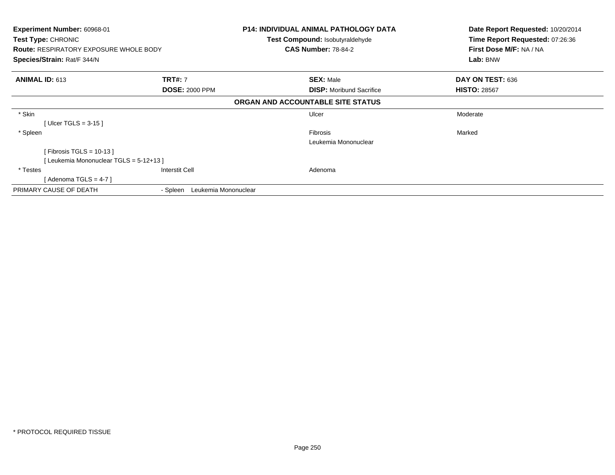| <b>Experiment Number: 60968-01</b>            |                                  | <b>P14: INDIVIDUAL ANIMAL PATHOLOGY DATA</b> | Date Report Requested: 10/20/2014 |
|-----------------------------------------------|----------------------------------|----------------------------------------------|-----------------------------------|
| Test Type: CHRONIC                            |                                  | <b>Test Compound: Isobutyraldehyde</b>       | Time Report Requested: 07:26:36   |
| <b>Route: RESPIRATORY EXPOSURE WHOLE BODY</b> |                                  | <b>CAS Number: 78-84-2</b>                   | First Dose M/F: NA / NA           |
| Species/Strain: Rat/F 344/N                   |                                  |                                              | Lab: BNW                          |
| <b>ANIMAL ID: 613</b>                         | <b>TRT#: 7</b>                   | <b>SEX: Male</b>                             | DAY ON TEST: 636                  |
|                                               | <b>DOSE: 2000 PPM</b>            | <b>DISP:</b> Moribund Sacrifice              | <b>HISTO: 28567</b>               |
|                                               |                                  | ORGAN AND ACCOUNTABLE SITE STATUS            |                                   |
| * Skin                                        |                                  | Ulcer                                        | Moderate                          |
| [Ulcer TGLS = $3-15$ ]                        |                                  |                                              |                                   |
| * Spleen                                      |                                  | <b>Fibrosis</b>                              | Marked                            |
|                                               |                                  | Leukemia Mononuclear                         |                                   |
| [Fibrosis TGLS = 10-13]                       |                                  |                                              |                                   |
| [Leukemia Mononuclear TGLS = 5-12+13 ]        |                                  |                                              |                                   |
| * Testes                                      | Interstit Cell                   | Adenoma                                      |                                   |
| [Adenoma TGLS = 4-7]                          |                                  |                                              |                                   |
| PRIMARY CAUSE OF DEATH                        | Leukemia Mononuclear<br>- Spleen |                                              |                                   |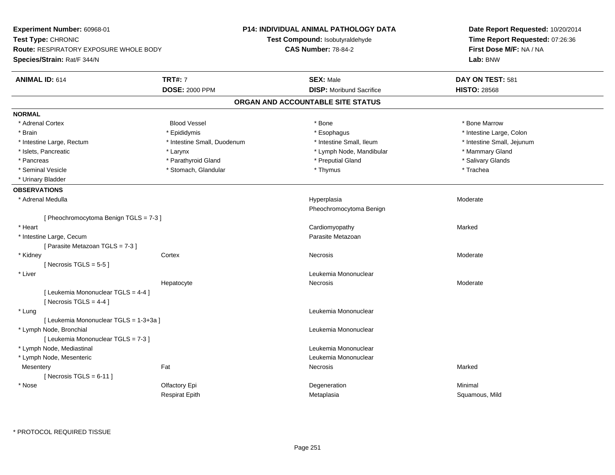| Experiment Number: 60968-01<br>Test Type: CHRONIC<br><b>Route: RESPIRATORY EXPOSURE WHOLE BODY</b> |                             | P14: INDIVIDUAL ANIMAL PATHOLOGY DATA<br>Test Compound: Isobutyraldehyde | Date Report Requested: 10/20/2014<br>Time Report Requested: 07:26:36 |  |
|----------------------------------------------------------------------------------------------------|-----------------------------|--------------------------------------------------------------------------|----------------------------------------------------------------------|--|
|                                                                                                    |                             | <b>CAS Number: 78-84-2</b>                                               |                                                                      |  |
| Species/Strain: Rat/F 344/N                                                                        |                             |                                                                          | First Dose M/F: NA / NA<br>Lab: BNW                                  |  |
| <b>ANIMAL ID: 614</b>                                                                              | <b>TRT#: 7</b>              | <b>SEX: Male</b>                                                         | DAY ON TEST: 581                                                     |  |
|                                                                                                    | <b>DOSE: 2000 PPM</b>       | <b>DISP:</b> Moribund Sacrifice                                          | <b>HISTO: 28568</b>                                                  |  |
|                                                                                                    |                             | ORGAN AND ACCOUNTABLE SITE STATUS                                        |                                                                      |  |
| <b>NORMAL</b>                                                                                      |                             |                                                                          |                                                                      |  |
| * Adrenal Cortex                                                                                   | <b>Blood Vessel</b>         | * Bone                                                                   | * Bone Marrow                                                        |  |
| * Brain                                                                                            | * Epididymis                | * Esophagus                                                              | * Intestine Large, Colon                                             |  |
| * Intestine Large, Rectum                                                                          | * Intestine Small, Duodenum | * Intestine Small, Ileum                                                 | * Intestine Small, Jejunum                                           |  |
| * Islets, Pancreatic                                                                               | * Larynx                    | * Lymph Node, Mandibular                                                 | * Mammary Gland                                                      |  |
| * Pancreas                                                                                         | * Parathyroid Gland         | * Preputial Gland                                                        | * Salivary Glands                                                    |  |
| * Seminal Vesicle                                                                                  | * Stomach, Glandular        | * Thymus                                                                 | * Trachea                                                            |  |
| * Urinary Bladder                                                                                  |                             |                                                                          |                                                                      |  |
| <b>OBSERVATIONS</b>                                                                                |                             |                                                                          |                                                                      |  |
| * Adrenal Medulla                                                                                  |                             | Hyperplasia<br>Pheochromocytoma Benign                                   | Moderate                                                             |  |
| [ Pheochromocytoma Benign TGLS = 7-3 ]                                                             |                             |                                                                          |                                                                      |  |
| * Heart                                                                                            |                             | Cardiomyopathy                                                           | Marked                                                               |  |
| * Intestine Large, Cecum                                                                           |                             | Parasite Metazoan                                                        |                                                                      |  |
| [ Parasite Metazoan TGLS = 7-3 ]                                                                   |                             |                                                                          |                                                                      |  |
| * Kidney                                                                                           | Cortex                      | Necrosis                                                                 | Moderate                                                             |  |
| [ Necrosis TGLS = $5-5$ ]                                                                          |                             |                                                                          |                                                                      |  |
| * Liver                                                                                            |                             | Leukemia Mononuclear                                                     |                                                                      |  |
|                                                                                                    | Hepatocyte                  | Necrosis                                                                 | Moderate                                                             |  |
| [ Leukemia Mononuclear TGLS = 4-4 ]<br>[Necrosis $TGLS = 4-4$ ]                                    |                             |                                                                          |                                                                      |  |
| * Lung                                                                                             |                             | Leukemia Mononuclear                                                     |                                                                      |  |
| [ Leukemia Mononuclear TGLS = 1-3+3a ]                                                             |                             |                                                                          |                                                                      |  |
| * Lymph Node, Bronchial                                                                            |                             | Leukemia Mononuclear                                                     |                                                                      |  |
| [ Leukemia Mononuclear TGLS = 7-3 ]                                                                |                             |                                                                          |                                                                      |  |
| * Lymph Node, Mediastinal                                                                          |                             | Leukemia Mononuclear                                                     |                                                                      |  |
| * Lymph Node, Mesenteric                                                                           |                             | Leukemia Mononuclear                                                     |                                                                      |  |
| Mesentery                                                                                          | Fat                         | Necrosis                                                                 | Marked                                                               |  |
| [ Necrosis TGLS = $6-11$ ]                                                                         |                             |                                                                          |                                                                      |  |
| * Nose                                                                                             | Olfactory Epi               | Degeneration                                                             | Minimal                                                              |  |
|                                                                                                    | <b>Respirat Epith</b>       | Metaplasia                                                               | Squamous, Mild                                                       |  |
|                                                                                                    |                             |                                                                          |                                                                      |  |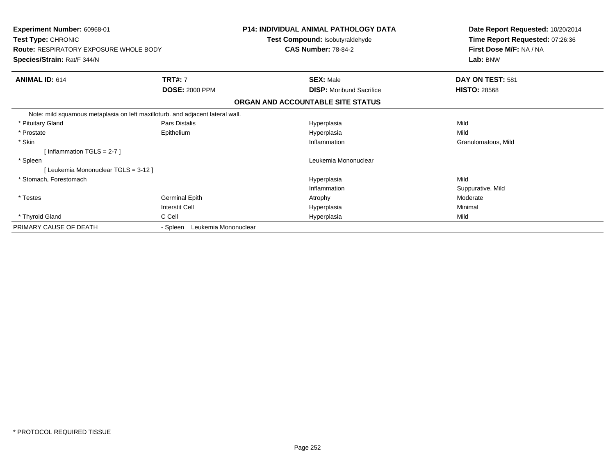| <b>Experiment Number: 60968-01</b><br>Test Type: CHRONIC<br><b>Route: RESPIRATORY EXPOSURE WHOLE BODY</b> |                                  | <b>P14: INDIVIDUAL ANIMAL PATHOLOGY DATA</b><br>Test Compound: Isobutyraldehyde<br><b>CAS Number: 78-84-2</b> | Date Report Requested: 10/20/2014<br>Time Report Requested: 07:26:36<br>First Dose M/F: NA / NA |  |
|-----------------------------------------------------------------------------------------------------------|----------------------------------|---------------------------------------------------------------------------------------------------------------|-------------------------------------------------------------------------------------------------|--|
| Species/Strain: Rat/F 344/N                                                                               |                                  |                                                                                                               | Lab: BNW                                                                                        |  |
| <b>ANIMAL ID: 614</b>                                                                                     | <b>TRT#: 7</b>                   | <b>SEX: Male</b>                                                                                              | DAY ON TEST: 581                                                                                |  |
|                                                                                                           | <b>DOSE: 2000 PPM</b>            | <b>DISP:</b> Moribund Sacrifice                                                                               | <b>HISTO: 28568</b>                                                                             |  |
|                                                                                                           |                                  | ORGAN AND ACCOUNTABLE SITE STATUS                                                                             |                                                                                                 |  |
| Note: mild squamous metaplasia on left maxilloturb. and adjacent lateral wall.                            |                                  |                                                                                                               |                                                                                                 |  |
| * Pituitary Gland                                                                                         | Pars Distalis                    | Hyperplasia                                                                                                   | Mild                                                                                            |  |
| * Prostate                                                                                                | Epithelium                       | Hyperplasia                                                                                                   | Mild                                                                                            |  |
| * Skin                                                                                                    |                                  | Inflammation                                                                                                  | Granulomatous, Mild                                                                             |  |
| [Inflammation TGLS = $2-7$ ]                                                                              |                                  |                                                                                                               |                                                                                                 |  |
| * Spleen                                                                                                  |                                  | Leukemia Mononuclear                                                                                          |                                                                                                 |  |
| [Leukemia Mononuclear TGLS = 3-12]                                                                        |                                  |                                                                                                               |                                                                                                 |  |
| * Stomach, Forestomach                                                                                    |                                  | Hyperplasia                                                                                                   | Mild                                                                                            |  |
|                                                                                                           |                                  | Inflammation                                                                                                  | Suppurative, Mild                                                                               |  |
| * Testes                                                                                                  | <b>Germinal Epith</b>            | Atrophy                                                                                                       | Moderate                                                                                        |  |
|                                                                                                           | <b>Interstit Cell</b>            | Hyperplasia                                                                                                   | Minimal                                                                                         |  |
| * Thyroid Gland                                                                                           | C Cell                           | Hyperplasia                                                                                                   | Mild                                                                                            |  |
| PRIMARY CAUSE OF DEATH                                                                                    | Leukemia Mononuclear<br>- Spleen |                                                                                                               |                                                                                                 |  |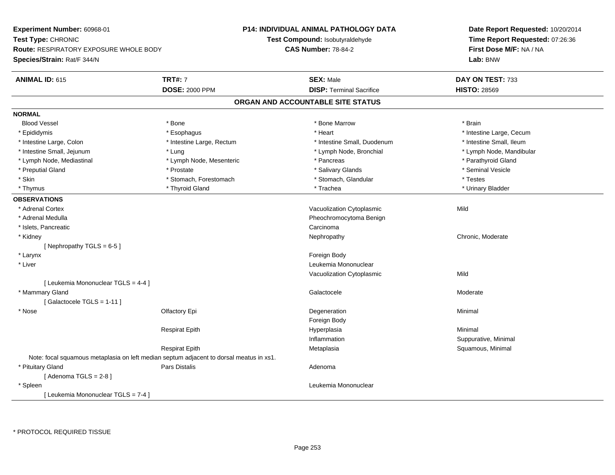**Experiment Number:** 60968-01**Test Type:** CHRONIC **Route:** RESPIRATORY EXPOSURE WHOLE BODY**Species/Strain:** Rat/F 344/N**P14: INDIVIDUAL ANIMAL PATHOLOGY DATATest Compound:** Isobutyraldehyde**CAS Number:** 78-84-2**Date Report Requested:** 10/20/2014**Time Report Requested:** 07:26:36**First Dose M/F:** NA / NA**Lab:** BNW**ANIMAL ID:** 615**TRT#:** 7 **SEX:** Male **DAY ON TEST:** 733 **DOSE:** 2000 PPM**DISP:** Terminal Sacrifice **HISTO:** 28569 **ORGAN AND ACCOUNTABLE SITE STATUSNORMALBlood Vessel**  Blood Vessel \* Bone \* Bone Marrow \* Brain\* Epididymis **Account 19 and 19 and 19 and 19 and 19 and 19 and 19 and 19 and 19 and 19 and 19 and 19 and 19 and 19 and 19 and 19 and 19 and 19 and 19 and 19 and 19 and 19 and 19 and 19 and 19 and 19 and 19 and 19 and 19 a** \* Intestine Small, Ileum \* Intestine Large, Colon \* Intestine Large, Rectum \* Intestine Small, Duodenum \* Intestine Small, Duodenum \* Lymph Node, Mandibular \* Intestine Small, Jejunum \* 1992 \* Lung \* Lung \* Lymph Node, Bronchial \* Lymph Node, Bronchial \* \* Lymph Node, Mediastinal \* Lymph Node, Mesenteric \* \* Pancreas \* Pancreas \* \* Pancreas \* Parathyroid Gland \* Preputial Gland \* \* Annual vesicle \* \* Prostate \* \* Salivary Glands \* \* Salivary Glands \* \* Seminal Vesicle \* \* Skin \* Stomach, Forestomach \* Stomach \* Stomach, Stomach, Glandular \* Testes \* Testes \* Urinary Bladder \* Thymus \* Thyroid Gland \* Trachea \* Urinary Bladder \* **OBSERVATIONS** \* Adrenal CortexVacuolization Cytoplasmic Mild \* Adrenal Medulla Pheochromocytoma Benign \* Islets, Pancreaticc contract the contract of the contract of the contract of the contract of the contract of the contract of the contract of the contract of the contract of the contract of the contract of the contract of the contract of the Nephropathy \* Kidneyy the chronic, Moderate and September 2012 of the Chronic Moderate and September 2013 of the Chronic, Moderate [ Nephropathy TGLS = 6-5 ] \* Larynx**x** and the contract of the contract of the contract of the contract of the contract of the contract of the contract of the contract of the contract of the contract of the contract of the contract of the contract of the co \* Liver Leukemia Mononuclear Vacuolization Cytoplasmicc Mild [ Leukemia Mononuclear TGLS = 4-4 ] \* Mammary Glandd and the control of the control of the control of Galactocele and the control of the Moderate  $\sim$  Moderate  $\sim$ [ Galactocele TGLS = 1-11 ] \* Nosee and the Colombia Colombia Colombia Colombia Colombia Degeneration and the Colombia Colombia Colombia Colombi<br>Property and the Colombia Colombia Colombia Colombia Colombia Colombia Colombia Colombia Colombia Colombia Col Foreign BodyRespirat Epithh anns an t-Imperplasia anns an t-Imperplasia anns an t-Imperplasia anns an t-Imperplasia anns an t-Imperplasi<br>Iomraidhean Inflammation Suppurative, Minimal Respirat EpithMetaplasia **Squamous, Minimal** Note: focal squamous metaplasia on left median septum adjacent to dorsal meatus in xs1. \* Pituitary Glandd and the contract of Pars Distalis and the contract of Adenoma and Adenoma and the Adenoma and the Adenoma and  $\alpha$  $[$  Adenoma TGLS = 2-8  $]$  \* Spleen Leukemia Mononuclear [ Leukemia Mononuclear TGLS = 7-4 ]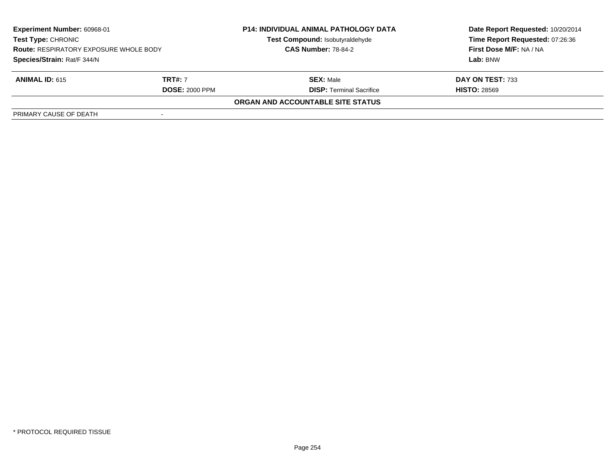| <b>Experiment Number: 60968-01</b><br>Test Type: CHRONIC<br><b>Route: RESPIRATORY EXPOSURE WHOLE BODY</b><br>Species/Strain: Rat/F 344/N |                       | <b>P14: INDIVIDUAL ANIMAL PATHOLOGY DATA</b><br>Test Compound: Isobutyraldehyde<br><b>CAS Number: 78-84-2</b> | Date Report Requested: 10/20/2014<br>Time Report Requested: 07:26:36<br>First Dose M/F: NA / NA<br>Lab: BNW |
|------------------------------------------------------------------------------------------------------------------------------------------|-----------------------|---------------------------------------------------------------------------------------------------------------|-------------------------------------------------------------------------------------------------------------|
|                                                                                                                                          |                       |                                                                                                               |                                                                                                             |
| <b>ANIMAL ID: 615</b>                                                                                                                    | <b>TRT#: 7</b>        | <b>SEX: Male</b>                                                                                              | DAY ON TEST: 733                                                                                            |
|                                                                                                                                          | <b>DOSE: 2000 PPM</b> | <b>DISP: Terminal Sacrifice</b>                                                                               | <b>HISTO: 28569</b>                                                                                         |
|                                                                                                                                          |                       | ORGAN AND ACCOUNTABLE SITE STATUS                                                                             |                                                                                                             |
| PRIMARY CAUSE OF DEATH                                                                                                                   |                       |                                                                                                               |                                                                                                             |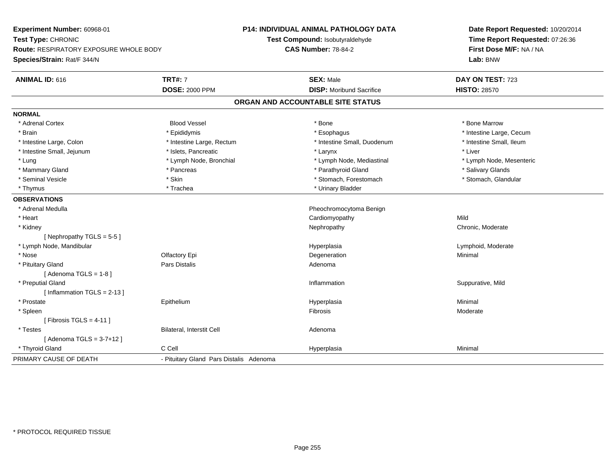**Experiment Number:** 60968-01**Test Type:** CHRONIC **Route:** RESPIRATORY EXPOSURE WHOLE BODY**Species/Strain:** Rat/F 344/N**P14: INDIVIDUAL ANIMAL PATHOLOGY DATATest Compound:** Isobutyraldehyde**CAS Number:** 78-84-2**Date Report Requested:** 10/20/2014**Time Report Requested:** 07:26:36**First Dose M/F:** NA / NA**Lab:** BNW**ANIMAL ID:** 616**TRT#:** 7 **SEX:** Male **DAY ON TEST:** 723 **DOSE:** 2000 PPM**DISP:** Moribund Sacrifice **HISTO:** 28570 **ORGAN AND ACCOUNTABLE SITE STATUSNORMAL**\* Adrenal Cortex \* Adrenal Cortex \* Attack the state of the state of the Blood Vessel the state of the state of the state of the Marrow \* Bone Marrow \* Bone Marrow \* Bone Marrow \* Bone Marrow \* Bone Marrow \* Bone Marrow \* Bone Marrow \* Bon \* Brain \* Explorer \* Epididymis \* \* Epididymis \* \* Esophagus \* Esophagus \* \* Esophagus \* Intestine Large, Cecum \* \* Intestine Large, Cecum \* Intestine Small. Ileum \* Intestine Large, Colon \* Intestine Large, Rectum \* Intestine Small, Duodenum \* Intestine Small, Duodenum \* Intestine Small, Jejunum \* 1992 \* \* Islets, Pancreatic \* Martin American \* Larynx \* Liver \* Liver \* Lung \* Lymph Node, Bronchial \* Lymph Node, Mediastinal \* Lymph Node, Mesenteric\* Mammary Gland \* \* Andreas \* \* Pancreas \* \* Parathyroid Gland \* \* Parathyroid Gland \* \* Salivary Glands \* Salivary Glands \* Salivary Glands \* Salivary Glands \* Salivary Glands \* Salivary Glands \* Salivary Glands \* Salivar \* Stomach. Glandular \* Seminal Vesicle \* Skin \* Skin \* Skin \* Stomach, Forestomach \* Stomach, Forestomach \* Thymus \* Trachea \* Trachea \* Trachea \* Urinary Bladder **OBSERVATIONS** \* Adrenal Medulla Pheochromocytoma Benign \* Heart Cardiomyopathyy Mild Chronic, Moderate \* Kidneyy the chronic, Moderate and September 2012 of the Chronic Moderate and September 2013 of the Chronic, Moderate [ Nephropathy TGLS = 5-5 ] \* Lymph Node, Mandibular Hyperplasia Lymphoid, Moderate \* Nosee and the Colombia Colombia Colombia Colombia Colombia Colombia Degeneration and the Colombia Colombia Minimal<br>Colombia Colombia Colombia Colombia Colombia Colombia Colombia Colombia Colombia Colombia Colombia Colombia Co \* Pituitary Glandd and the contract of Pars Distalis and the contract of Adenoma and Adenoma and the Adenoma and the Adenoma and  $\alpha$  $[$  Adenoma TGLS = 1-8  $]$  \* Preputial Glandd inflammation in the suppurative, Mild and Suppurative, Mild and Suppurative, Mild and Suppurative, Mild and Suppurative, Mild and Suppurative, Mild and Suppurative, Mild and Suppurative, Mild and Suppurative, Mild and Su [ Inflammation TGLS = 2-13 ] \* Prostate Epithelium Hyperplasia Minimal \* Spleenn and the contract of the contract of the contract of the contract of the contract of the contract of the contract of the contract of the contract of the contract of the contract of the contract of the contract of the cont  $[$  Fibrosis TGLS = 4-11  $]$  \* TestesBilateral, Interstit Cell **Adenoma** Adenoma [ Adenoma TGLS = 3-7+12 ] \* Thyroid Gland C Cell Hyperplasia Minimal PRIMARY CAUSE OF DEATH- Pituitary Gland Pars Distalis Adenoma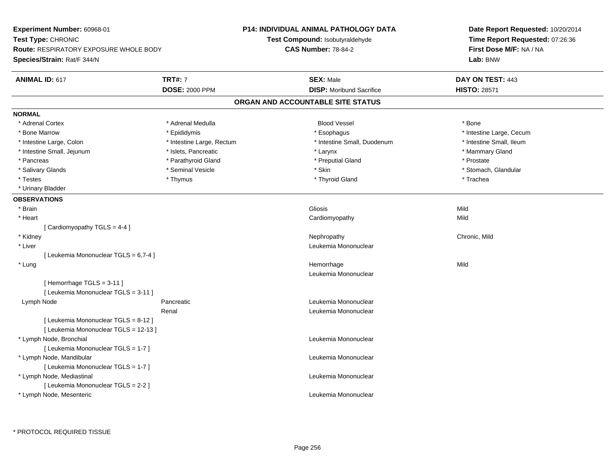**Experiment Number:** 60968-01**Test Type:** CHRONIC **Route:** RESPIRATORY EXPOSURE WHOLE BODY**Species/Strain:** Rat/F 344/N**P14: INDIVIDUAL ANIMAL PATHOLOGY DATATest Compound:** Isobutyraldehyde**CAS Number:** 78-84-2**Date Report Requested:** 10/20/2014**Time Report Requested:** 07:26:36**First Dose M/F:** NA / NA**Lab:** BNW**ANIMAL ID:** 617**TRT#:** 7 **SEX:** Male **DAY ON TEST:** 443 **DOSE:** 2000 PPM**DISP:** Moribund Sacrifice **HISTO:** 28571 **ORGAN AND ACCOUNTABLE SITE STATUSNORMAL**\* Adrenal Cortex \* Adrenal Medulla \* \* Book \* Blood Vessel \* Book \* Bone \* Bone \* Bone \* Bone \* Bone \* Bone \* Bone \* Bone \* Bone \* Bone Marrow \* The Large, Cecum \* Epididymis \* Esophagus \* Esophagus \* Esophagus \* Intestine Large, Cecum \* \* Intestine Small, Ileum \* Intestine Large, Colon \* Intestine Large, Rectum \* Intestine Small, Duodenum \* Intestine Small, Duodenum \* Intestine Small, Jejunum \* The matches of the state of the state of the state of the state of the state of the state of the state of the state of the state of the state of the state of the state of the state of the state \* Pancreas \* Parathyroid Gland \* Parathyroid Gland \* Preputial Gland \* Preputial Gland \* Prostate \* Salivary Glands \* The storm of the seminal Vesicle the second term in the second term in the second term in the second second term in the second second term in the second second term in the second second term in the seco \* Testes \* Thymus \* Thyroid Gland \* Trachea \* Urinary Bladder**OBSERVATIONS** \* Brainn and the control of the control of the control of the control of Gliosis and Clicking and Clicking and Mild and Mild \* Heart Cardiomyopathyy Mild [ Cardiomyopathy TGLS = 4-4 ] \* Kidneyy the controller of the controller of the controller of the controller of the controller of the chronic, Mild \* Liver Leukemia Mononuclear [ Leukemia Mononuclear TGLS = 6,7-4 ] \* Lungg and the state of the state of the state of the state of the Hemorrhage state of the Mild state of the Mild state of the State of the State of the State of the State of the State of the State of the State of the State of Leukemia Mononuclear[ Hemorrhage TGLS = 3-11 ][ Leukemia Mononuclear TGLS = 3-11 ] Lymph NodePancreatic **Leukemia Mononuclear Leukemia Mononuclear** Renal Leukemia Mononuclear[ Leukemia Mononuclear TGLS = 8-12 ][ Leukemia Mononuclear TGLS = 12-13 ] \* Lymph Node, Bronchial Leukemia Mononuclear[ Leukemia Mononuclear TGLS = 1-7 ] \* Lymph Node, Mandibular Leukemia Mononuclear [ Leukemia Mononuclear TGLS = 1-7 ] \* Lymph Node, Mediastinal Leukemia Mononuclear[ Leukemia Mononuclear TGLS = 2-2 ] \* Lymph Node, MesentericLeukemia Mononuclear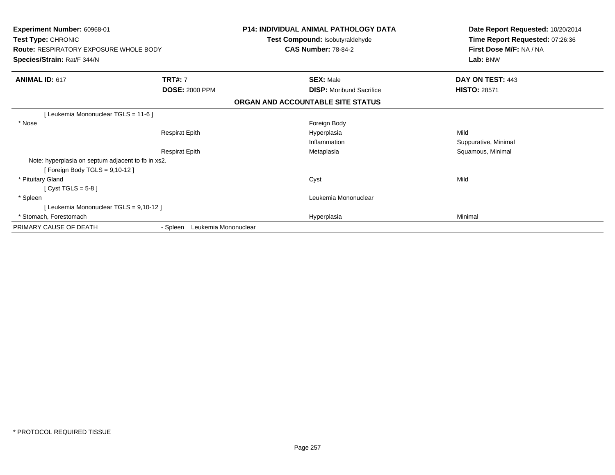| <b>Experiment Number: 60968-01</b><br>Test Type: CHRONIC<br><b>Route: RESPIRATORY EXPOSURE WHOLE BODY</b><br>Species/Strain: Rat/F 344/N |                                  | <b>P14: INDIVIDUAL ANIMAL PATHOLOGY DATA</b><br>Test Compound: Isobutyraldehyde<br><b>CAS Number: 78-84-2</b> | Date Report Requested: 10/20/2014<br>Time Report Requested: 07:26:36<br>First Dose M/F: NA / NA<br>Lab: BNW |
|------------------------------------------------------------------------------------------------------------------------------------------|----------------------------------|---------------------------------------------------------------------------------------------------------------|-------------------------------------------------------------------------------------------------------------|
| <b>ANIMAL ID: 617</b>                                                                                                                    | <b>TRT#: 7</b>                   | <b>SEX: Male</b>                                                                                              | DAY ON TEST: 443                                                                                            |
|                                                                                                                                          | <b>DOSE: 2000 PPM</b>            | <b>DISP:</b> Moribund Sacrifice                                                                               | <b>HISTO: 28571</b>                                                                                         |
|                                                                                                                                          |                                  | ORGAN AND ACCOUNTABLE SITE STATUS                                                                             |                                                                                                             |
| [Leukemia Mononuclear TGLS = 11-6]                                                                                                       |                                  |                                                                                                               |                                                                                                             |
| * Nose                                                                                                                                   |                                  | Foreign Body                                                                                                  |                                                                                                             |
|                                                                                                                                          | <b>Respirat Epith</b>            | Hyperplasia                                                                                                   | Mild                                                                                                        |
|                                                                                                                                          |                                  | Inflammation                                                                                                  | Suppurative, Minimal                                                                                        |
|                                                                                                                                          | <b>Respirat Epith</b>            | Metaplasia                                                                                                    | Squamous, Minimal                                                                                           |
| Note: hyperplasia on septum adjacent to fb in xs2.                                                                                       |                                  |                                                                                                               |                                                                                                             |
| [ Foreign Body TGLS = 9,10-12 ]                                                                                                          |                                  |                                                                                                               |                                                                                                             |
| * Pituitary Gland                                                                                                                        |                                  | Cyst                                                                                                          | Mild                                                                                                        |
| [Cyst TGLS = $5-8$ ]                                                                                                                     |                                  |                                                                                                               |                                                                                                             |
| * Spleen                                                                                                                                 |                                  | Leukemia Mononuclear                                                                                          |                                                                                                             |
| [Leukemia Mononuclear TGLS = 9,10-12]                                                                                                    |                                  |                                                                                                               |                                                                                                             |
| * Stomach, Forestomach                                                                                                                   |                                  | Hyperplasia                                                                                                   | Minimal                                                                                                     |
| PRIMARY CAUSE OF DEATH                                                                                                                   | Leukemia Mononuclear<br>- Spleen |                                                                                                               |                                                                                                             |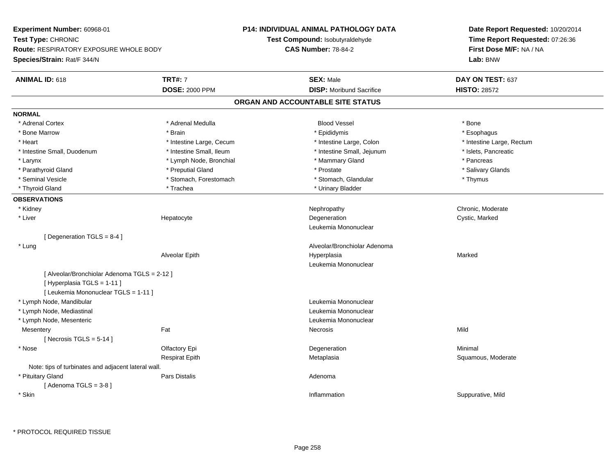**Experiment Number:** 60968-01**Test Type:** CHRONIC **Route:** RESPIRATORY EXPOSURE WHOLE BODY**Species/Strain:** Rat/F 344/N**P14: INDIVIDUAL ANIMAL PATHOLOGY DATATest Compound:** Isobutyraldehyde**CAS Number:** 78-84-2**Date Report Requested:** 10/20/2014**Time Report Requested:** 07:26:36**First Dose M/F:** NA / NA**Lab:** BNW**ANIMAL ID:** 618**TRT#:** 7 **SEX:** Male **DAY ON TEST:** 637 **DOSE:** 2000 PPM**DISP:** Moribund Sacrifice **HISTO:** 28572 **ORGAN AND ACCOUNTABLE SITE STATUSNORMAL**\* Adrenal Cortex \* Adrenal Cortex \* Adrenal Medulla Blood Vessel \* Bone\* Esophagus \* Bone Marrow \* Brain \* Epididymis \* Esophagus \* Heart Thestine Large, Cecum Thestine Large, Cecum Assessment Carge, Colon Thestine Large, Rectum \* Intestine Large, Rectum \* Intestine Large, Rectum \* Intestine Small, Duodenum \* Intestine Small, Ileum \* Intestine Small, Jejunum \* Islets, Pancreatic\* Larynx **\* Lymph Node, Bronchial \*** Mammary Gland \* \* Memmary Gland \* \* Pancreas \* Salivary Glands \* Parathyroid Gland \* \* \* Preputial Gland \* \* Preputial Gland \* \* Prostate \* \* Salivary Glands \* Salivary Glands \* Seminal Vesicle \* Thymus \* Stomach, Forestomach \* Northern \* Stomach, Glandular \* Thymus \* Thymus \* Thyroid Gland \* Trachea \* Trachea \* Trachea \* Thyroid Gland \* Urinary Bladder **OBSERVATIONS** \* Kidneyy the chronic, Moderate and September 2012 of the Chronic Moderate and September 2013 of the Chronic, Moderate \* Liver Hepatocytee which is the degeneration of the control of the cystic, Marked Cystic, Marked Cystic, Marked Cystic, Marked Cystic, Marked Cystic, Marked Cystic, Marked Cystic, Marked Cystic, Marked Cystic, Marked Cystic, Marked Cystic, Leukemia Mononuclear[ Degeneration TGLS = 8-4 ] \* Lung Alveolar/Bronchiolar Adenoma Alveolar Epithh Marked Marked (1999) and Hyperplasia Leukemia Mononuclear[ Alveolar/Bronchiolar Adenoma TGLS = 2-12 ][ Hyperplasia TGLS = 1-11 ][ Leukemia Mononuclear TGLS = 1-11 ] \* Lymph Node, Mandibular Leukemia Mononuclear \* Lymph Node, Mediastinal Leukemia Mononuclear \* Lymph Node, Mesenteric Leukemia Mononuclear **Mesentery** y the contract of the contract of the contract of the contract of the contract of the contract of the contract of the contract of the contract of the contract of the contract of the contract of the contract of the contract  $[$  Necrosis TGLS = 5-14  $]$  \* Nosee and the Colombia Colombia Colombia Colombia Colombia Colombia Degeneration and the Colombia Colombia Minimal<br>Colombia Colombia Colombia Colombia Colombia Colombia Colombia Colombia Colombia Colombia Colombia Colombia Co Respirat EpithMetaplasia **Squamous, Moderate** Squamous, Moderate Note: tips of turbinates and adjacent lateral wall. \* Pituitary Glandd and the contract of Pars Distalis and the contract of Adenoma and Adenoma and the Adenoma and the Adenoma and  $\alpha$  $[$  Adenoma TGLS = 3-8  $]$  \* Skinn inflammation in the suppurative, Mild (i.e.,  $\blacksquare$  ) inflammation in the suppurative, Mild (i.e.,  $\blacksquare$  ) is the suppurative, Mild (i.e.,  $\blacksquare$  ) is the suppurative,  $\blacksquare$  ) is the suppurative,  $\blacksquare$  ) is the suppur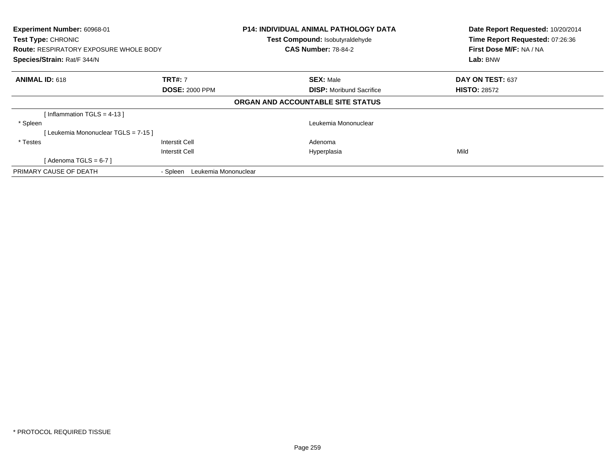| Experiment Number: 60968-01<br>Test Type: CHRONIC<br><b>Route: RESPIRATORY EXPOSURE WHOLE BODY</b><br>Species/Strain: Rat/F 344/N |                                  | <b>P14: INDIVIDUAL ANIMAL PATHOLOGY DATA</b><br>Test Compound: Isobutyraldehyde<br><b>CAS Number: 78-84-2</b> | Date Report Requested: 10/20/2014<br>Time Report Requested: 07:26:36<br>First Dose M/F: NA / NA<br>Lab: BNW |
|-----------------------------------------------------------------------------------------------------------------------------------|----------------------------------|---------------------------------------------------------------------------------------------------------------|-------------------------------------------------------------------------------------------------------------|
| <b>ANIMAL ID: 618</b>                                                                                                             | <b>TRT#: 7</b>                   | <b>SEX: Male</b>                                                                                              | DAY ON TEST: 637                                                                                            |
|                                                                                                                                   | <b>DOSE: 2000 PPM</b>            | <b>DISP:</b> Moribund Sacrifice                                                                               | <b>HISTO: 28572</b>                                                                                         |
|                                                                                                                                   |                                  | ORGAN AND ACCOUNTABLE SITE STATUS                                                                             |                                                                                                             |
| [Inflammation TGLS = 4-13]                                                                                                        |                                  |                                                                                                               |                                                                                                             |
| * Spleen                                                                                                                          |                                  | Leukemia Mononuclear                                                                                          |                                                                                                             |
| [Leukemia Mononuclear TGLS = 7-15]                                                                                                |                                  |                                                                                                               |                                                                                                             |
| * Testes                                                                                                                          | <b>Interstit Cell</b>            | Adenoma                                                                                                       |                                                                                                             |
|                                                                                                                                   | <b>Interstit Cell</b>            | Hyperplasia                                                                                                   | Mild                                                                                                        |
| [Adenoma TGLS = $6-7$ ]                                                                                                           |                                  |                                                                                                               |                                                                                                             |
| PRIMARY CAUSE OF DEATH                                                                                                            | Leukemia Mononuclear<br>- Spleen |                                                                                                               |                                                                                                             |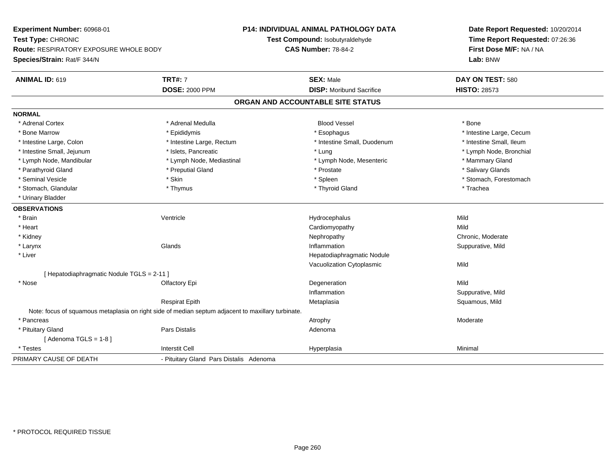**Experiment Number:** 60968-01**Test Type:** CHRONIC **Route:** RESPIRATORY EXPOSURE WHOLE BODY**Species/Strain:** Rat/F 344/N**P14: INDIVIDUAL ANIMAL PATHOLOGY DATATest Compound:** Isobutyraldehyde**CAS Number:** 78-84-2**Date Report Requested:** 10/20/2014**Time Report Requested:** 07:26:36**First Dose M/F:** NA / NA**Lab:** BNW**ANIMAL ID:** 619**TRT#:** 7 **SEX:** Male **DAY ON TEST:** 580 **DOSE:** 2000 PPM**DISP:** Moribund Sacrifice **HISTO:** 28573 **ORGAN AND ACCOUNTABLE SITE STATUSNORMAL**\* Adrenal Cortex \* Adrenal Medulla \* \* Book \* Blood Vessel \* Book \* Bone \* Bone \* Bone \* Bone \* Bone \* Bone \* Bone \* Bone \* Bone \* Bone Marrow \* The Large, Cecum \* Epididymis \* Esophagus \* Esophagus \* Esophagus \* Intestine Large, Cecum \* \* Intestine Small, Ileum \* Intestine Large, Colon \* Intestine Large, Rectum \* Intestine Small, Duodenum \* Intestine Small, Duodenum \* Lymph Node, Bronchial \* Intestine Small, Jejunum \* Mathematic \* Lung \* Islets, Pancreatic \* Mathematic \* Lung \* Lung \* Node, Bronchial \* Lymph Node, Mandibular \* The mode of the Mediastinal The Mediastinal the Mediastinal the Mediasting the Mammary Gland \* Salivary Glands \* Parathyroid Gland \* \* \* Preputial Gland \* \* Preputial Gland \* \* Prostate \* \* Salivary Glands \* Salivary Glands \* Seminal Vesicle \* The state of the set of the set of the set of the set of the set of the set of the set of the set of the set of the set of the set of the set of the set of the set of the set of the set of the set of th \* Stomach, Glandular \* Thymus \* Thymus \* Thymus \* Thyroid Gland \* Thyroid Gland \* Thachea \* Urinary Bladder**OBSERVATIONS** \* Brainn and the Unit of the Unit of the Mild of the Mild of the Mild of the Mild of the Mild of the Mild of the Mild o \* Heart Cardiomyopathyy Mild Chronic, Moderate \* Kidneyy the chronic, Moderate and September 2012 of the Chronic Moderate and September 2013 of the Chronic, Moderate n Suppurative, Mild \* Larynxx and the set of the Glands of the Glands of the set of the set of the set of the set of the set of the set of the set of the set of the set of the set of the set of the set of the set of the set of the set of the set of t \* Liver Hepatodiaphragmatic NoduleVacuolization Cytoplasmicc Mild [ Hepatodiaphragmatic Nodule TGLS = 2-11 ] \* Nosee and the Computer Control of Computer Control of the Computer Computer Control of Computer Control of Mild Inflammation Suppurative, Mild Respirat Epith Metaplasia Squamous, Mild Note: focus of squamous metaplasia on right side of median septum adjacent to maxillary turbinate. \* Pancreass and the control of the control of the control of the control of the control of the control of the control of the control of the control of the control of the control of the control of the control of the control of the co \* Pituitary Glandd and the contract of Pars Distalis and the contract of Adenoma and Adenoma and the Adenoma and the Adenoma and  $\alpha$  $[$  Adenoma TGLS = 1-8  $]$  \* Testess and the contract of the contract of the contract of the contract of the contract of the contract of the contract of the contract of the contract of the contract of the contract of the contract of the contract of the cont a Minimal PRIMARY CAUSE OF DEATH- Pituitary Gland Pars Distalis Adenoma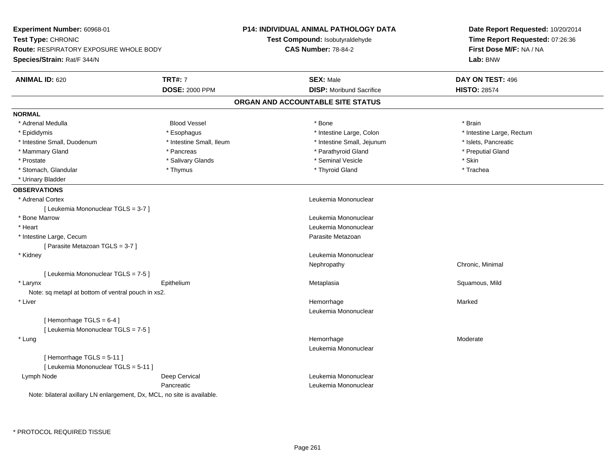| Experiment Number: 60968-01                                                                 |                          | <b>P14: INDIVIDUAL ANIMAL PATHOLOGY DATA</b> | Date Report Requested: 10/20/2014                                      |
|---------------------------------------------------------------------------------------------|--------------------------|----------------------------------------------|------------------------------------------------------------------------|
| Test Type: CHRONIC<br>Route: RESPIRATORY EXPOSURE WHOLE BODY<br>Species/Strain: Rat/F 344/N |                          | Test Compound: Isobutyraldehyde              | Time Report Requested: 07:26:36<br>First Dose M/F: NA / NA<br>Lab: BNW |
|                                                                                             |                          | <b>CAS Number: 78-84-2</b>                   |                                                                        |
|                                                                                             |                          |                                              |                                                                        |
| <b>ANIMAL ID: 620</b>                                                                       | <b>TRT#: 7</b>           | <b>SEX: Male</b>                             | DAY ON TEST: 496                                                       |
|                                                                                             | <b>DOSE: 2000 PPM</b>    | <b>DISP:</b> Moribund Sacrifice              | <b>HISTO: 28574</b>                                                    |
|                                                                                             |                          | ORGAN AND ACCOUNTABLE SITE STATUS            |                                                                        |
| <b>NORMAL</b>                                                                               |                          |                                              |                                                                        |
| * Adrenal Medulla                                                                           | <b>Blood Vessel</b>      | * Bone                                       | * Brain                                                                |
| * Epididymis                                                                                | * Esophagus              | * Intestine Large, Colon                     | * Intestine Large, Rectum                                              |
| * Intestine Small, Duodenum                                                                 | * Intestine Small, Ileum | * Intestine Small, Jejunum                   | * Islets, Pancreatic                                                   |
| * Mammary Gland                                                                             | * Pancreas               | * Parathyroid Gland                          | * Preputial Gland                                                      |
| * Prostate                                                                                  | * Salivary Glands        | * Seminal Vesicle                            | * Skin                                                                 |
| * Stomach, Glandular                                                                        | * Thymus                 | * Thyroid Gland                              | * Trachea                                                              |
| * Urinary Bladder                                                                           |                          |                                              |                                                                        |
| <b>OBSERVATIONS</b>                                                                         |                          |                                              |                                                                        |
| * Adrenal Cortex                                                                            |                          | Leukemia Mononuclear                         |                                                                        |
| [ Leukemia Mononuclear TGLS = 3-7 ]                                                         |                          |                                              |                                                                        |
| * Bone Marrow                                                                               |                          | Leukemia Mononuclear                         |                                                                        |
| * Heart                                                                                     |                          | Leukemia Mononuclear                         |                                                                        |
| * Intestine Large, Cecum                                                                    |                          | Parasite Metazoan                            |                                                                        |
| [ Parasite Metazoan TGLS = 3-7 ]                                                            |                          |                                              |                                                                        |
| * Kidney                                                                                    |                          | Leukemia Mononuclear                         |                                                                        |
|                                                                                             |                          | Nephropathy                                  | Chronic, Minimal                                                       |
| [ Leukemia Mononuclear TGLS = 7-5 ]                                                         |                          |                                              |                                                                        |
| * Larynx                                                                                    | Epithelium               | Metaplasia                                   | Squamous, Mild                                                         |
| Note: sq metapl at bottom of ventral pouch in xs2.                                          |                          |                                              |                                                                        |
| * Liver                                                                                     |                          | Hemorrhage                                   | Marked                                                                 |
|                                                                                             |                          | Leukemia Mononuclear                         |                                                                        |
| [Hemorrhage TGLS = $6-4$ ]                                                                  |                          |                                              |                                                                        |
| [Leukemia Mononuclear TGLS = 7-5]                                                           |                          |                                              |                                                                        |
| * Lung                                                                                      |                          | Hemorrhage                                   | Moderate                                                               |
|                                                                                             |                          | Leukemia Mononuclear                         |                                                                        |
| [Hemorrhage TGLS = 5-11]                                                                    |                          |                                              |                                                                        |
| [ Leukemia Mononuclear TGLS = 5-11 ]                                                        |                          |                                              |                                                                        |
| Lymph Node                                                                                  | Deep Cervical            | Leukemia Mononuclear                         |                                                                        |
|                                                                                             | Pancreatic               | Leukemia Mononuclear                         |                                                                        |
| Note: bilateral axillary LN enlargement, Dx, MCL, no site is available.                     |                          |                                              |                                                                        |
|                                                                                             |                          |                                              |                                                                        |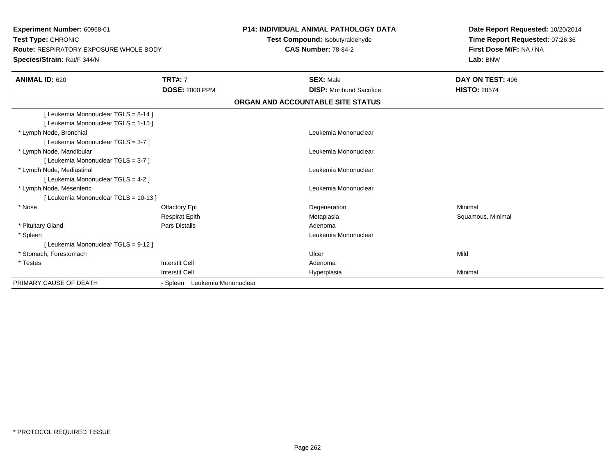**Experiment Number:** 60968-01**Test Type:** CHRONIC **Route:** RESPIRATORY EXPOSURE WHOLE BODY**Species/Strain:** Rat/F 344/N**P14: INDIVIDUAL ANIMAL PATHOLOGY DATATest Compound:** Isobutyraldehyde**CAS Number:** 78-84-2**Date Report Requested:** 10/20/2014**Time Report Requested:** 07:26:36**First Dose M/F:** NA / NA**Lab:** BNW**ANIMAL ID:** 620**TRT#:** 7 **SEX:** Male **DAY ON TEST:** 496 **DOSE:** 2000 PPM**DISP:** Moribund Sacrifice **HISTO:** 28574 **ORGAN AND ACCOUNTABLE SITE STATUS**[ Leukemia Mononuclear TGLS = 8-14 ][ Leukemia Mononuclear TGLS = 1-15 ] \* Lymph Node, Bronchial Leukemia Mononuclear[ Leukemia Mononuclear TGLS = 3-7 ] \* Lymph Node, Mandibular Leukemia Mononuclear [ Leukemia Mononuclear TGLS = 3-7 ] \* Lymph Node, Mediastinal Leukemia Mononuclear[ Leukemia Mononuclear TGLS = 4-2 ] \* Lymph Node, Mesenteric Leukemia Mononuclear [ Leukemia Mononuclear TGLS = 10-13 ] \* Nosee and the Colombia Colombia Degeneration and the Colombia Degeneration and the Colombia Minimal Minimal of Minimal State of the Colombia Degeneration and the Minimal Minimal of the Colombia Degeneration and the Colombia De Respirat Epith Metaplasia Squamous, Minimal \* Pituitary Glandd and the set of Pars Distalis and the Second Adenomal Adenomal Second Second Pars Distallis \* Spleen Leukemia Mononuclear [ Leukemia Mononuclear TGLS = 9-12 ] \* Stomach, Forestomachh ann an t-ìre ann an t-ìre ann an t-ìre ann an Ulcer ann an t-ìre ann an t-ìre ann an Mild \* Testess and the contract of the contract of the contract of the contract of the contract of the contract of the contract of  $\mathbb{R}^n$ I Contract to the Contract of the Hyperplasia Interstit Cella Minimal PRIMARY CAUSE OF DEATH- Spleen Leukemia Mononuclear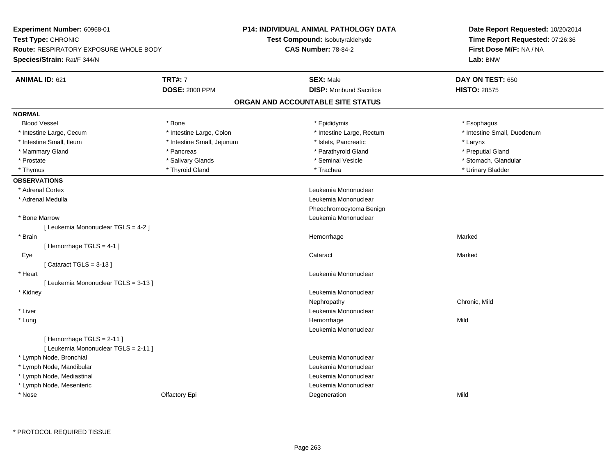| Experiment Number: 60968-01                   |                            | P14: INDIVIDUAL ANIMAL PATHOLOGY DATA | Date Report Requested: 10/20/2014<br>Time Report Requested: 07:26:36<br>First Dose M/F: NA / NA |
|-----------------------------------------------|----------------------------|---------------------------------------|-------------------------------------------------------------------------------------------------|
| Test Type: CHRONIC                            |                            | Test Compound: Isobutyraldehyde       |                                                                                                 |
| <b>Route: RESPIRATORY EXPOSURE WHOLE BODY</b> |                            | <b>CAS Number: 78-84-2</b>            |                                                                                                 |
| Species/Strain: Rat/F 344/N                   |                            |                                       | Lab: BNW                                                                                        |
| <b>ANIMAL ID: 621</b>                         | <b>TRT#: 7</b>             | <b>SEX: Male</b>                      | DAY ON TEST: 650                                                                                |
|                                               | <b>DOSE: 2000 PPM</b>      | <b>DISP:</b> Moribund Sacrifice       | <b>HISTO: 28575</b>                                                                             |
|                                               |                            | ORGAN AND ACCOUNTABLE SITE STATUS     |                                                                                                 |
| <b>NORMAL</b>                                 |                            |                                       |                                                                                                 |
| <b>Blood Vessel</b>                           | * Bone                     | * Epididymis                          | * Esophagus                                                                                     |
| * Intestine Large, Cecum                      | * Intestine Large, Colon   | * Intestine Large, Rectum             | * Intestine Small, Duodenum                                                                     |
| * Intestine Small, Ileum                      | * Intestine Small, Jejunum | * Islets, Pancreatic                  | * Larynx                                                                                        |
| * Mammary Gland                               | * Pancreas                 | * Parathyroid Gland                   | * Preputial Gland                                                                               |
| * Prostate                                    | * Salivary Glands          | * Seminal Vesicle                     | * Stomach, Glandular                                                                            |
| * Thymus                                      | * Thyroid Gland            | * Trachea                             | * Urinary Bladder                                                                               |
| <b>OBSERVATIONS</b>                           |                            |                                       |                                                                                                 |
| * Adrenal Cortex                              |                            | Leukemia Mononuclear                  |                                                                                                 |
| * Adrenal Medulla                             |                            | Leukemia Mononuclear                  |                                                                                                 |
|                                               |                            | Pheochromocytoma Benign               |                                                                                                 |
| * Bone Marrow                                 |                            | Leukemia Mononuclear                  |                                                                                                 |
| [ Leukemia Mononuclear TGLS = 4-2 ]           |                            |                                       |                                                                                                 |
| * Brain                                       |                            | Hemorrhage                            | Marked                                                                                          |
| [Hemorrhage TGLS = 4-1]                       |                            |                                       |                                                                                                 |
| Eye                                           |                            | Cataract                              | Marked                                                                                          |
| [Cataract TGLS = $3-13$ ]                     |                            |                                       |                                                                                                 |
| * Heart                                       |                            | Leukemia Mononuclear                  |                                                                                                 |
| [ Leukemia Mononuclear TGLS = 3-13 ]          |                            |                                       |                                                                                                 |
| * Kidney                                      |                            | Leukemia Mononuclear                  |                                                                                                 |
|                                               |                            | Nephropathy                           | Chronic, Mild                                                                                   |
| * Liver                                       |                            | Leukemia Mononuclear                  |                                                                                                 |
| * Lung                                        |                            | Hemorrhage                            | Mild                                                                                            |
|                                               |                            | Leukemia Mononuclear                  |                                                                                                 |
| [Hemorrhage TGLS = 2-11]                      |                            |                                       |                                                                                                 |
| [ Leukemia Mononuclear TGLS = 2-11 ]          |                            |                                       |                                                                                                 |
| * Lymph Node, Bronchial                       |                            | Leukemia Mononuclear                  |                                                                                                 |
| * Lymph Node, Mandibular                      |                            | Leukemia Mononuclear                  |                                                                                                 |
| * Lymph Node, Mediastinal                     |                            | Leukemia Mononuclear                  |                                                                                                 |
| * Lymph Node, Mesenteric                      |                            | Leukemia Mononuclear                  |                                                                                                 |
| * Nose                                        | Olfactory Epi              | Degeneration                          | Mild                                                                                            |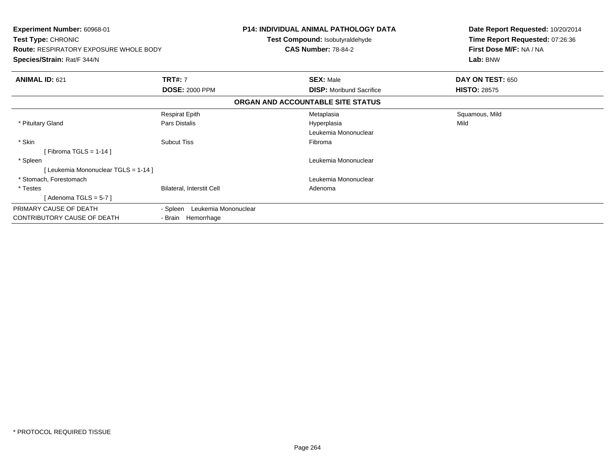| <b>Experiment Number: 60968-01</b><br>Test Type: CHRONIC<br><b>Route: RESPIRATORY EXPOSURE WHOLE BODY</b><br>Species/Strain: Rat/F 344/N |                                  | <b>P14: INDIVIDUAL ANIMAL PATHOLOGY DATA</b><br>Test Compound: Isobutyraldehyde<br><b>CAS Number: 78-84-2</b> | Date Report Requested: 10/20/2014<br>Time Report Requested: 07:26:36<br>First Dose M/F: NA / NA<br>Lab: BNW |
|------------------------------------------------------------------------------------------------------------------------------------------|----------------------------------|---------------------------------------------------------------------------------------------------------------|-------------------------------------------------------------------------------------------------------------|
| <b>ANIMAL ID: 621</b>                                                                                                                    | <b>TRT#: 7</b>                   | <b>SEX: Male</b>                                                                                              | DAY ON TEST: 650                                                                                            |
|                                                                                                                                          | <b>DOSE: 2000 PPM</b>            | <b>DISP:</b> Moribund Sacrifice                                                                               | <b>HISTO: 28575</b>                                                                                         |
|                                                                                                                                          |                                  | ORGAN AND ACCOUNTABLE SITE STATUS                                                                             |                                                                                                             |
|                                                                                                                                          | <b>Respirat Epith</b>            | Metaplasia                                                                                                    | Squamous, Mild                                                                                              |
| * Pituitary Gland                                                                                                                        | Pars Distalis                    | Hyperplasia                                                                                                   | Mild                                                                                                        |
|                                                                                                                                          |                                  | Leukemia Mononuclear                                                                                          |                                                                                                             |
| * Skin                                                                                                                                   | <b>Subcut Tiss</b>               | Fibroma                                                                                                       |                                                                                                             |
| [Fibroma TGLS = 1-14]                                                                                                                    |                                  |                                                                                                               |                                                                                                             |
| * Spleen                                                                                                                                 |                                  | Leukemia Mononuclear                                                                                          |                                                                                                             |
| [Leukemia Mononuclear TGLS = 1-14]                                                                                                       |                                  |                                                                                                               |                                                                                                             |
| * Stomach. Forestomach                                                                                                                   |                                  | Leukemia Mononuclear                                                                                          |                                                                                                             |
| * Testes                                                                                                                                 | Bilateral, Interstit Cell        | Adenoma                                                                                                       |                                                                                                             |
| [ Adenoma TGLS = 5-7 ]                                                                                                                   |                                  |                                                                                                               |                                                                                                             |
| PRIMARY CAUSE OF DEATH                                                                                                                   | Leukemia Mononuclear<br>- Spleen |                                                                                                               |                                                                                                             |
| CONTRIBUTORY CAUSE OF DEATH                                                                                                              | - Brain Hemorrhage               |                                                                                                               |                                                                                                             |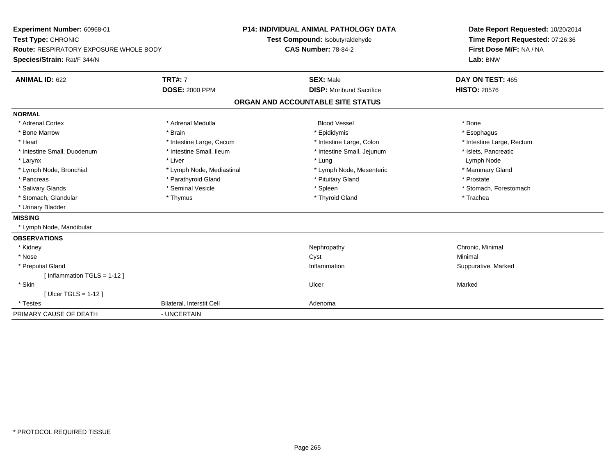**Experiment Number:** 60968-01**Test Type:** CHRONIC **Route:** RESPIRATORY EXPOSURE WHOLE BODY**Species/Strain:** Rat/F 344/N**P14: INDIVIDUAL ANIMAL PATHOLOGY DATATest Compound:** Isobutyraldehyde**CAS Number:** 78-84-2**Date Report Requested:** 10/20/2014**Time Report Requested:** 07:26:36**First Dose M/F:** NA / NA**Lab:** BNW**ANIMAL ID:** 622**TRT#:** 7 **SEX:** Male **DAY ON TEST:** 465 **DOSE:** 2000 PPM**DISP:** Moribund Sacrifice **HISTO:** 28576 **ORGAN AND ACCOUNTABLE SITE STATUSNORMAL**\* Adrenal Cortex \* Adrenal Medulla \* \* Book \* Blood Vessel \* Book \* Bone \* Bone \* Bone \* Bone \* Bone \* Bone \* Bone \* Bone \* Bone \* Esophagus \* Bone Marrow \* Brain \* Epididymis \* Esophagus \* Intestine Large, Rectum \* Heart \* Intestine Large, Cecum \* Intestine Large, Cecum \* Intestine Large, Colon \* Intestine Small, Duodenum \* Intestine Small, Ileum \* 1ntestine Small, Intestine Small, Jejunum \* Islets, Pancreatic \* Larynx \* Liver \* Lung Lymph Node \* Mammary Gland \* Lymph Node, Bronchial \* Lymph Node, Mediastinal \* Lymph Node, Mesenteric \* Lymph Node, Mesenteric \* Pancreas \* Parathyroid Gland \* Parathyroid Gland \* Prituitary Gland \* Prostate \* Prostate \* Salivary Glands \* The state of the seminal Vesicle \* The state \* Spleen \* Spleen \* Stomach, Forestomach, Forestomach \* Stomach, Glandular \* Thymus \* Thymus \* Thymus \* Thyroid Gland \* Thyroid Gland \* Trachea \* Urinary Bladder**MISSING** \* Lymph Node, Mandibular**OBSERVATIONS** \* Kidneyy the controller of the controller of the controller of the Nephropathy Chronic, Minimal (Chronic, Minimal  $\mu$  \* Nosee and the control of the control of the control of the control of the control of the control of the control of the control of the control of the control of the control of the control of the control of the control of the co \* Preputial Glandd the suppurative, Marked of the Suppuration of the Suppuration of the Suppurative, Marked of the Suppurative, Marked of the Suppuration of the Suppuration of the Suppuration of the Suppuration of the Suppuration of the Su [ Inflammation TGLS = 1-12 ] \* Skinn and the control of the control of the control of the control of the control of the control of the control of the control of the control of the control of the control of the control of the control of the control of the co [ Ulcer TGLS = 1-12 ] \* TestesBilateral, Interstit Cell **Adenoma** Adenoma PRIMARY CAUSE OF DEATH- UNCERTAIN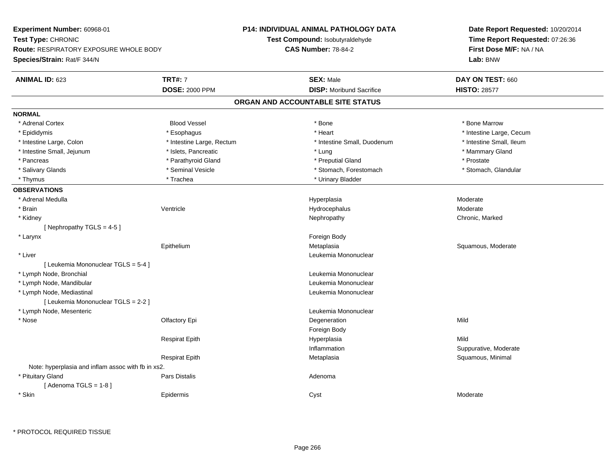| Experiment Number: 60968-01                                         |                           | <b>P14: INDIVIDUAL ANIMAL PATHOLOGY DATA</b> | Date Report Requested: 10/20/2014                          |  |
|---------------------------------------------------------------------|---------------------------|----------------------------------------------|------------------------------------------------------------|--|
| Test Type: CHRONIC<br><b>Route: RESPIRATORY EXPOSURE WHOLE BODY</b> |                           | Test Compound: Isobutyraldehyde              | Time Report Requested: 07:26:36<br>First Dose M/F: NA / NA |  |
|                                                                     |                           | <b>CAS Number: 78-84-2</b>                   |                                                            |  |
| Species/Strain: Rat/F 344/N                                         |                           |                                              | Lab: BNW                                                   |  |
| <b>ANIMAL ID: 623</b>                                               | <b>TRT#: 7</b>            | <b>SEX: Male</b>                             | DAY ON TEST: 660                                           |  |
|                                                                     | <b>DOSE: 2000 PPM</b>     | <b>DISP:</b> Moribund Sacrifice              | <b>HISTO: 28577</b>                                        |  |
|                                                                     |                           | ORGAN AND ACCOUNTABLE SITE STATUS            |                                                            |  |
| <b>NORMAL</b>                                                       |                           |                                              |                                                            |  |
| * Adrenal Cortex                                                    | <b>Blood Vessel</b>       | * Bone                                       | * Bone Marrow                                              |  |
| * Epididymis                                                        | * Esophagus               | * Heart                                      | * Intestine Large, Cecum                                   |  |
| * Intestine Large, Colon                                            | * Intestine Large, Rectum | * Intestine Small, Duodenum                  | * Intestine Small, Ileum                                   |  |
| * Intestine Small, Jejunum                                          | * Islets, Pancreatic      | * Lung                                       | * Mammary Gland                                            |  |
| * Pancreas                                                          | * Parathyroid Gland       | * Preputial Gland                            | * Prostate                                                 |  |
| * Salivary Glands                                                   | * Seminal Vesicle         | * Stomach, Forestomach                       | * Stomach, Glandular                                       |  |
| * Thymus                                                            | * Trachea                 | * Urinary Bladder                            |                                                            |  |
| <b>OBSERVATIONS</b>                                                 |                           |                                              |                                                            |  |
| * Adrenal Medulla                                                   |                           | Hyperplasia                                  | Moderate                                                   |  |
| * Brain                                                             | Ventricle                 | Hydrocephalus                                | Moderate                                                   |  |
| * Kidney                                                            |                           | Nephropathy                                  | Chronic, Marked                                            |  |
| [Nephropathy TGLS = 4-5]                                            |                           |                                              |                                                            |  |
| * Larynx                                                            |                           | Foreign Body                                 |                                                            |  |
|                                                                     | Epithelium                | Metaplasia                                   | Squamous, Moderate                                         |  |
| * Liver                                                             |                           | Leukemia Mononuclear                         |                                                            |  |
| [ Leukemia Mononuclear TGLS = 5-4 ]                                 |                           |                                              |                                                            |  |
| * Lymph Node, Bronchial                                             |                           | Leukemia Mononuclear                         |                                                            |  |
| * Lymph Node, Mandibular                                            |                           | Leukemia Mononuclear                         |                                                            |  |
| * Lymph Node, Mediastinal                                           |                           | Leukemia Mononuclear                         |                                                            |  |
| [ Leukemia Mononuclear TGLS = 2-2 ]                                 |                           |                                              |                                                            |  |
| * Lymph Node, Mesenteric                                            |                           | Leukemia Mononuclear                         |                                                            |  |
| $*$ Nose                                                            | Olfactory Epi             | Degeneration                                 | Mild                                                       |  |
|                                                                     |                           | Foreign Body                                 |                                                            |  |
|                                                                     | <b>Respirat Epith</b>     | Hyperplasia                                  | Mild                                                       |  |
|                                                                     |                           | Inflammation                                 | Suppurative, Moderate                                      |  |
|                                                                     | <b>Respirat Epith</b>     | Metaplasia                                   | Squamous, Minimal                                          |  |
| Note: hyperplasia and inflam assoc with fb in xs2.                  |                           |                                              |                                                            |  |
| * Pituitary Gland<br>[Adenoma TGLS = $1-8$ ]                        | Pars Distalis             | Adenoma                                      |                                                            |  |
| * Skin                                                              | Epidermis                 | Cyst                                         | Moderate                                                   |  |

\* PROTOCOL REQUIRED TISSUE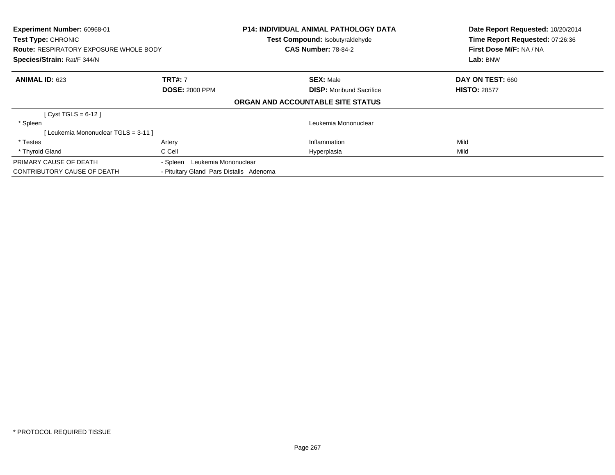| Experiment Number: 60968-01<br>Test Type: CHRONIC<br><b>Route: RESPIRATORY EXPOSURE WHOLE BODY</b><br>Species/Strain: Rat/F 344/N |                                         | <b>P14: INDIVIDUAL ANIMAL PATHOLOGY DATA</b><br>Test Compound: Isobutyraldehyde<br><b>CAS Number: 78-84-2</b> | Date Report Requested: 10/20/2014<br>Time Report Requested: 07:26:36<br>First Dose M/F: NA / NA<br>Lab: BNW |
|-----------------------------------------------------------------------------------------------------------------------------------|-----------------------------------------|---------------------------------------------------------------------------------------------------------------|-------------------------------------------------------------------------------------------------------------|
| <b>ANIMAL ID: 623</b>                                                                                                             | <b>TRT#: 7</b>                          | <b>SEX: Male</b>                                                                                              | DAY ON TEST: 660                                                                                            |
|                                                                                                                                   | <b>DOSE: 2000 PPM</b>                   | <b>DISP:</b> Moribund Sacrifice                                                                               | <b>HISTO: 28577</b>                                                                                         |
|                                                                                                                                   |                                         | ORGAN AND ACCOUNTABLE SITE STATUS                                                                             |                                                                                                             |
| [Cyst TGLS = $6-12$ ]                                                                                                             |                                         |                                                                                                               |                                                                                                             |
| * Spleen                                                                                                                          |                                         | Leukemia Mononuclear                                                                                          |                                                                                                             |
| [Leukemia Mononuclear TGLS = 3-11]                                                                                                |                                         |                                                                                                               |                                                                                                             |
| * Testes                                                                                                                          | Artery                                  | Inflammation                                                                                                  | Mild                                                                                                        |
| * Thyroid Gland                                                                                                                   | C Cell                                  | Hyperplasia                                                                                                   | Mild                                                                                                        |
| PRIMARY CAUSE OF DEATH                                                                                                            | - Spleen Leukemia Mononuclear           |                                                                                                               |                                                                                                             |
| <b>CONTRIBUTORY CAUSE OF DEATH</b>                                                                                                | - Pituitary Gland Pars Distalis Adenoma |                                                                                                               |                                                                                                             |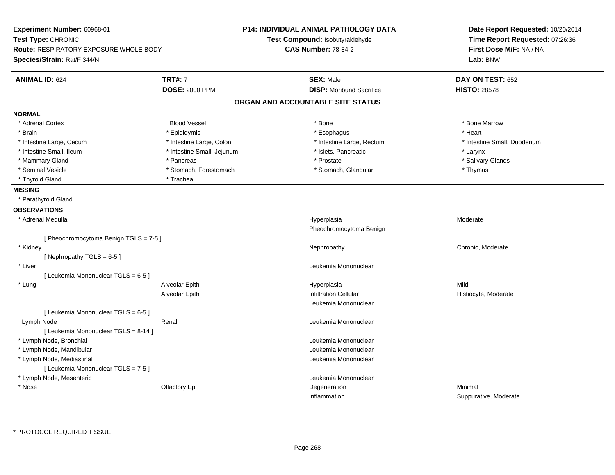| Experiment Number: 60968-01<br>Test Type: CHRONIC<br><b>Route: RESPIRATORY EXPOSURE WHOLE BODY</b><br>Species/Strain: Rat/F 344/N |                            | <b>P14: INDIVIDUAL ANIMAL PATHOLOGY DATA</b><br>Test Compound: Isobutyraldehyde<br><b>CAS Number: 78-84-2</b> | Date Report Requested: 10/20/2014<br>Time Report Requested: 07:26:36<br>First Dose M/F: NA / NA<br>Lab: BNW |
|-----------------------------------------------------------------------------------------------------------------------------------|----------------------------|---------------------------------------------------------------------------------------------------------------|-------------------------------------------------------------------------------------------------------------|
| <b>ANIMAL ID: 624</b>                                                                                                             | <b>TRT#: 7</b>             | <b>SEX: Male</b>                                                                                              | DAY ON TEST: 652                                                                                            |
|                                                                                                                                   | <b>DOSE: 2000 PPM</b>      | <b>DISP:</b> Moribund Sacrifice                                                                               | <b>HISTO: 28578</b>                                                                                         |
|                                                                                                                                   |                            | ORGAN AND ACCOUNTABLE SITE STATUS                                                                             |                                                                                                             |
| NORMAL                                                                                                                            |                            |                                                                                                               |                                                                                                             |
| * Adrenal Cortex                                                                                                                  | <b>Blood Vessel</b>        | * Bone                                                                                                        | * Bone Marrow                                                                                               |
| * Brain                                                                                                                           | * Epididymis               | * Esophagus                                                                                                   | * Heart                                                                                                     |
| * Intestine Large, Cecum                                                                                                          | * Intestine Large, Colon   | * Intestine Large, Rectum                                                                                     | * Intestine Small, Duodenum                                                                                 |
| * Intestine Small, Ileum                                                                                                          | * Intestine Small, Jejunum | * Islets, Pancreatic                                                                                          | * Larynx                                                                                                    |
| * Mammary Gland                                                                                                                   | * Pancreas                 | * Prostate                                                                                                    | * Salivary Glands                                                                                           |
| * Seminal Vesicle                                                                                                                 | * Stomach, Forestomach     | * Stomach, Glandular                                                                                          | * Thymus                                                                                                    |
| * Thyroid Gland                                                                                                                   | * Trachea                  |                                                                                                               |                                                                                                             |
| <b>MISSING</b>                                                                                                                    |                            |                                                                                                               |                                                                                                             |
| * Parathyroid Gland                                                                                                               |                            |                                                                                                               |                                                                                                             |
| <b>OBSERVATIONS</b>                                                                                                               |                            |                                                                                                               |                                                                                                             |
| * Adrenal Medulla                                                                                                                 |                            | Hyperplasia                                                                                                   | Moderate                                                                                                    |
|                                                                                                                                   |                            | Pheochromocytoma Benign                                                                                       |                                                                                                             |
| [Pheochromocytoma Benign TGLS = 7-5]                                                                                              |                            |                                                                                                               |                                                                                                             |
| * Kidney                                                                                                                          |                            | Nephropathy                                                                                                   | Chronic, Moderate                                                                                           |
| [Nephropathy TGLS = 6-5]                                                                                                          |                            |                                                                                                               |                                                                                                             |
| * Liver                                                                                                                           |                            | Leukemia Mononuclear                                                                                          |                                                                                                             |
| [ Leukemia Mononuclear TGLS = 6-5 ]                                                                                               |                            |                                                                                                               |                                                                                                             |
| * Lung                                                                                                                            | Alveolar Epith             | Hyperplasia                                                                                                   | Mild                                                                                                        |
|                                                                                                                                   | Alveolar Epith             | <b>Infiltration Cellular</b>                                                                                  | Histiocyte, Moderate                                                                                        |
|                                                                                                                                   |                            | Leukemia Mononuclear                                                                                          |                                                                                                             |
| [ Leukemia Mononuclear TGLS = 6-5 ]                                                                                               |                            |                                                                                                               |                                                                                                             |
| Lymph Node                                                                                                                        | Renal                      | Leukemia Mononuclear                                                                                          |                                                                                                             |
| [ Leukemia Mononuclear TGLS = 8-14 ]                                                                                              |                            |                                                                                                               |                                                                                                             |
| * Lymph Node, Bronchial                                                                                                           |                            | Leukemia Mononuclear                                                                                          |                                                                                                             |
| * Lymph Node, Mandibular                                                                                                          |                            | Leukemia Mononuclear                                                                                          |                                                                                                             |
| * Lymph Node, Mediastinal                                                                                                         |                            | Leukemia Mononuclear                                                                                          |                                                                                                             |
| [ Leukemia Mononuclear TGLS = 7-5 ]                                                                                               |                            |                                                                                                               |                                                                                                             |
| * Lymph Node, Mesenteric                                                                                                          |                            | Leukemia Mononuclear                                                                                          |                                                                                                             |
| * Nose                                                                                                                            | Olfactory Epi              | Degeneration                                                                                                  | Minimal                                                                                                     |
|                                                                                                                                   |                            | Inflammation                                                                                                  | Suppurative, Moderate                                                                                       |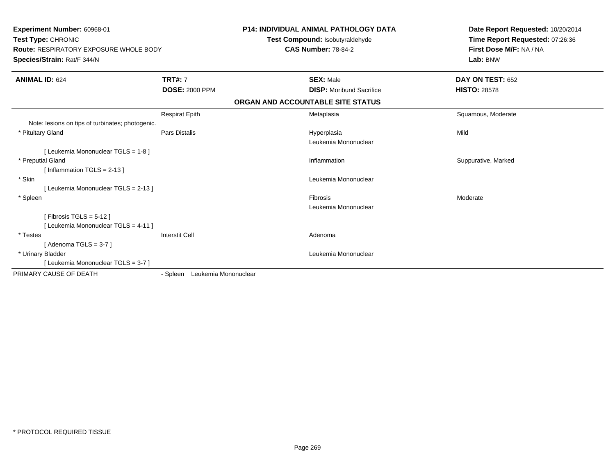| Experiment Number: 60968-01<br>Test Type: CHRONIC<br><b>Route: RESPIRATORY EXPOSURE WHOLE BODY</b><br>Species/Strain: Rat/F 344/N |                                  | <b>P14: INDIVIDUAL ANIMAL PATHOLOGY DATA</b><br>Test Compound: Isobutyraldehyde<br><b>CAS Number: 78-84-2</b> | Date Report Requested: 10/20/2014<br>Time Report Requested: 07:26:36<br>First Dose M/F: NA / NA<br>Lab: BNW |
|-----------------------------------------------------------------------------------------------------------------------------------|----------------------------------|---------------------------------------------------------------------------------------------------------------|-------------------------------------------------------------------------------------------------------------|
| <b>ANIMAL ID: 624</b>                                                                                                             | <b>TRT#: 7</b>                   | <b>SEX: Male</b>                                                                                              | DAY ON TEST: 652                                                                                            |
|                                                                                                                                   | <b>DOSE: 2000 PPM</b>            | <b>DISP: Moribund Sacrifice</b>                                                                               | <b>HISTO: 28578</b>                                                                                         |
|                                                                                                                                   |                                  | ORGAN AND ACCOUNTABLE SITE STATUS                                                                             |                                                                                                             |
|                                                                                                                                   | <b>Respirat Epith</b>            | Metaplasia                                                                                                    | Squamous, Moderate                                                                                          |
| Note: lesions on tips of turbinates; photogenic.                                                                                  |                                  |                                                                                                               |                                                                                                             |
| * Pituitary Gland                                                                                                                 | Pars Distalis                    | Hyperplasia<br>Leukemia Mononuclear                                                                           | Mild                                                                                                        |
| [ Leukemia Mononuclear TGLS = 1-8 ]                                                                                               |                                  |                                                                                                               |                                                                                                             |
| * Preputial Gland<br>[Inflammation TGLS = $2-13$ ]                                                                                |                                  | Inflammation                                                                                                  | Suppurative, Marked                                                                                         |
| * Skin                                                                                                                            |                                  | Leukemia Mononuclear                                                                                          |                                                                                                             |
| [ Leukemia Mononuclear TGLS = 2-13 ]                                                                                              |                                  |                                                                                                               |                                                                                                             |
| * Spleen                                                                                                                          |                                  | Fibrosis                                                                                                      | Moderate                                                                                                    |
|                                                                                                                                   |                                  | Leukemia Mononuclear                                                                                          |                                                                                                             |
| [Fibrosis TGLS = $5-12$ ]<br>[ Leukemia Mononuclear TGLS = 4-11 ]                                                                 |                                  |                                                                                                               |                                                                                                             |
| * Testes                                                                                                                          | <b>Interstit Cell</b>            | Adenoma                                                                                                       |                                                                                                             |
| [ Adenoma TGLS = 3-7 ]                                                                                                            |                                  |                                                                                                               |                                                                                                             |
| * Urinary Bladder                                                                                                                 |                                  | Leukemia Mononuclear                                                                                          |                                                                                                             |
| [ Leukemia Mononuclear TGLS = 3-7 ]                                                                                               |                                  |                                                                                                               |                                                                                                             |
| PRIMARY CAUSE OF DEATH                                                                                                            | Leukemia Mononuclear<br>- Spleen |                                                                                                               |                                                                                                             |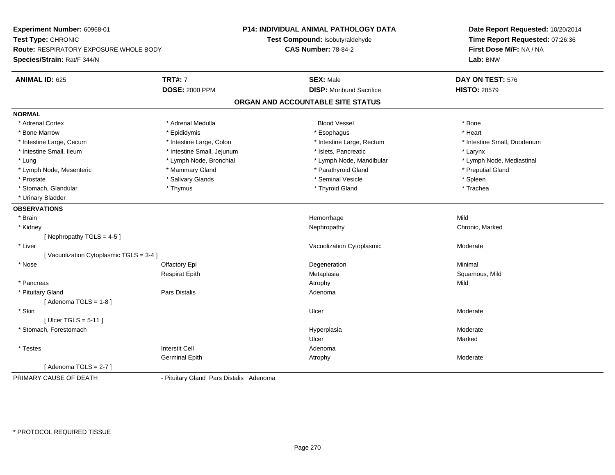**Experiment Number:** 60968-01**Test Type:** CHRONIC **Route:** RESPIRATORY EXPOSURE WHOLE BODY**Species/Strain:** Rat/F 344/N**P14: INDIVIDUAL ANIMAL PATHOLOGY DATATest Compound:** Isobutyraldehyde**CAS Number:** 78-84-2**Date Report Requested:** 10/20/2014**Time Report Requested:** 07:26:36**First Dose M/F:** NA / NA**Lab:** BNW**ANIMAL ID:** 625**TRT#:** 7 **SEX:** Male **DAY ON TEST:** 576 **DOSE:** 2000 PPM**DISP:** Moribund Sacrifice **HISTO:** 28579 **ORGAN AND ACCOUNTABLE SITE STATUSNORMAL**\* Adrenal Cortex \* Adrenal Medulla \* \* Book \* Blood Vessel \* Book \* Bone \* Bone \* Bone \* Bone \* Bone \* Bone \* Bone \* Bone \* Bone \* Heart \* Bone Marrow \* Epididymis \* Esophagus \* Heart \* Intestine Large, Cecum \* Intestine Large, Colon \* Intestine Large, Rectum \* Intestine Small, Duodenum \* Intestine Small, Ileum \* Intestine Small, Jejunum \* Islets, Pancreatic \* Larynx\* Lymph Node, Mediastinal \* Lung \* Lymph Node, Bronchial \* Lymph Node, Mandibular \* Lymph Node, Mandibular \* Lymph Node, Mesenteric \* The puting the Mammary Gland \* The mathyroid Gland \* Parathyroid Gland \* Preputial Gland \* Prostate \* \* Seminal Vesicle \* \* Seminal Vesicle \* \* Seminal Vesicle \* \* Spleen \* \* Spleen \* \* Spleen \* \* Spleen \* \* Spleen \* \* Spleen \* \* Spleen \* \* Spleen \* \* Spleen \* \* Spleen \* \* Spleen \* \* Spleen \* \* Spleen \* \* Sple \* Trachea \* Stomach, Glandular \* Thymus \* Thymus \* Thymus \* Thyroid Gland \* Thyroid Gland \* \* Urinary Bladder**OBSERVATIONS** \* Brainn and the state of the state of the state of the state of the Mild and the Mild and the Mild and the Mild and M<br>The state of the state of the state of the state of the state of the state of the state of the state of the st \* Kidneyy the controller of the controller of the controller of the Nephropathy Chronic, Marked Schronic, Marked Schronic, Marked Schronic, Marked Schronic, Marked Schronic, Marked Schronic, Marked Schronic, Marked Schronic, Marke [ Nephropathy  $TGLS = 4-5$  ] \* Liver Vacuolization Cytoplasmic Moderate[ Vacuolization Cytoplasmic TGLS = 3-4 ] \* Nosee and the Colombia Colombia Colombia Colombia Colombia Colombia Degeneration and the Colombia Colombia Minimal<br>Colombia Colombia Colombia Colombia Colombia Colombia Colombia Colombia Colombia Colombia Colombia Colombia Co Respirat Epith Metaplasia Squamous, Mild \* Pancreass the control of the control of the control of the control of the control of the control of the control of the control of the control of the control of the control of the control of the control of the control of the contro \* Pituitary Glandd and the contract of Pars Distalis and the contract of Adenoma and Adenoma and the Adenoma and the Adenoma and  $\alpha$  $[$  Adenoma TGLS = 1-8  $]$  \* Skinn and the control of the control of the control of the control of the control of the control of the control of the control of the control of the control of the control of the control of the control of the control of the co [ Ulcer TGLS = 5-11 ] \* Stomach, Forestomachh ann an choimhean ann an t-ainmeile ann an t-ainmeile ann an t-ainmeile an t-ainmeile an t-ainmeile an t-ainm Ulcerr **Marked**  \* Testes Interstit Cell AdenomaGerminal Epithh and the control of the Atrophy and the Moderate of the Moderate of the Moderate of the Moderate of the Moderate of the Moderate of the Moderate of the Moderate of the Moderate of the Moderate of the Moderate of the Moder  $[$  Adenoma TGLS = 2-7  $]$ PRIMARY CAUSE OF DEATH- Pituitary Gland Pars Distalis Adenoma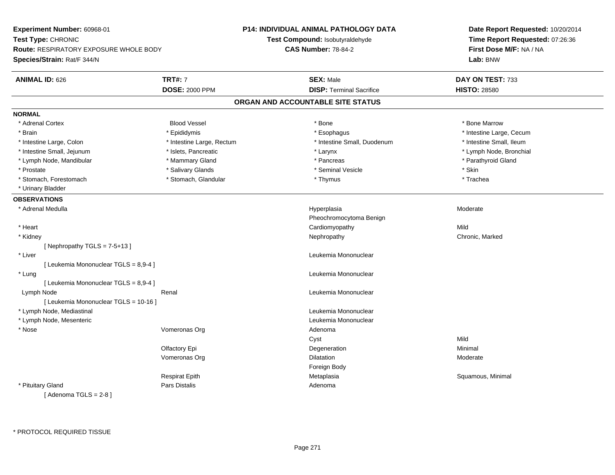**Experiment Number:** 60968-01**Test Type:** CHRONIC **Route:** RESPIRATORY EXPOSURE WHOLE BODY**Species/Strain:** Rat/F 344/N**P14: INDIVIDUAL ANIMAL PATHOLOGY DATATest Compound:** Isobutyraldehyde**CAS Number:** 78-84-2**Date Report Requested:** 10/20/2014**Time Report Requested:** 07:26:36**First Dose M/F:** NA / NA**Lab:** BNW**ANIMAL ID:** 626**6 DAY ON TEST:** 733 **DOSE:** 2000 PPM**DISP:** Terminal Sacrifice **HISTO:** 28580 **ORGAN AND ACCOUNTABLE SITE STATUSNORMAL**\* Adrenal Cortex \* Adrenal Cortex \* Attack the state of the state of the Blood Vessel the state of the state of the state of the Marrow \* Bone Marrow \* Bone Marrow \* Bone Marrow \* Bone Marrow \* Bone Marrow \* Bone Marrow \* Bone Marrow \* Bon \* Brain \* Explorer \* Epididymis \* \* Epididymis \* \* Esophagus \* Esophagus \* \* Esophagus \* Intestine Large, Cecum \* \* Intestine Large, Cecum \* Intestine Small. Ileum \* Intestine Large, Colon \* Intestine Large, Rectum \* Intestine Small, Duodenum \* Intestine Small, Duodenum \* Lymph Node, Bronchial \* Intestine Small, Jejunum \* Nodel \* Islets, Pancreatic \* Notes \* Larynx \* Larynx \* Larynx \* Larynx \* Larynx \* Larynx \* Larynx \* Larynx \* Larynx \* Larynx \* Larynx \* Larynx \* Larynx \* Larynx \* Larynx \* Larynx \* Larynx \* Lar \* Lymph Node, Mandibular \* \* The mannery Gland \* Mammary Gland \* \* Pancreas \* \* Pancreas \* \* Pancreas \* \* Parathyroid Gland \* Prostate \* \* Salivary Glands \* \* Salivary Glands \* \* Seminal Vesicle \* \* \* Seminal Yestrich \* \* Skin \* \* Skin \* Trachea \* Stomach, Forestomach \* Thymus \* Stomach, Glandular \* Thymus \* Thymus \* Thymus \* Thymus \* Thymus \* Thymus \* Thymus \* Thymus \* Thymus \* Thymus \* Thymus \* Thymus \* Thymus \* Thymus \* Thymus \* Thymus \* Thymus \* Thymus \* Thymu \* Urinary Bladder**OBSERVATIONS** \* Adrenal Medullaa and the state of the state of the state of the Hyperplasia and the Moderate of the Moderate of the Shane and T Pheochromocytoma Benign \* Heart Cardiomyopathyy Mild Chronic, Marked \* Kidneyy the controller of the controller of the controller of the Nephropathy Chronic, Marked Schronic, Marked Schronic, Marked Schronic, Marked Schronic, Marked Schronic, Marked Schronic, Marked Schronic, Marked Schronic, Marke  $[$  Nephropathy TGLS = 7-5+13  $]$  \* Liver Leukemia Mononuclear [ Leukemia Mononuclear TGLS = 8,9-4 ] \* Lung Leukemia Mononuclear [ Leukemia Mononuclear TGLS = 8,9-4 ] Lymph NodeRenal **Renal** Renal Leukemia Mononuclear [ Leukemia Mononuclear TGLS = 10-16 ] \* Lymph Node, Mediastinal Leukemia Mononuclear \* Lymph Node, Mesenteric Leukemia Mononuclear \* NoseVomeronas Org **Adenoma** Adenoma Cystt behavior of the contract of the contract of the contract of the contract of the contract of the contract of the contract of the contract of the contract of the contract of the contract of the contract of the contract of Minimal Olfactory Epi Degenerationn Minimal Vomeronas Orgg and the Dilatation Contract of the Dilatation of the Moderate Moderate of the Moderate of the Moderate of the Moderate of the Moderate of the Moderate of the Moderate of the Moderate of the Moderate of the Moderate of th Foreign BodyRespirat Epith Metaplasia Squamous, Minimal \* Pituitary Glandd and the contract of Pars Distalis and the contract of Adenoma and Adenoma and the Adenoma and the Adenoma and  $\alpha$  $[$  Adenoma TGLS = 2-8  $]$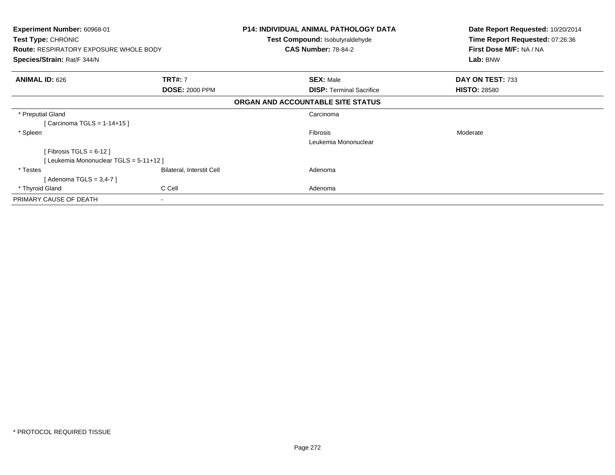| <b>Experiment Number: 60968-01</b><br><b>Test Type: CHRONIC</b><br><b>Route: RESPIRATORY EXPOSURE WHOLE BODY</b><br>Species/Strain: Rat/F 344/N |                                  | <b>P14: INDIVIDUAL ANIMAL PATHOLOGY DATA</b><br><b>Test Compound: Isobutyraldehyde</b><br><b>CAS Number: 78-84-2</b> | Date Report Requested: 10/20/2014<br>Time Report Requested: 07:26:36<br>First Dose M/F: NA / NA<br>Lab: BNW |
|-------------------------------------------------------------------------------------------------------------------------------------------------|----------------------------------|----------------------------------------------------------------------------------------------------------------------|-------------------------------------------------------------------------------------------------------------|
| <b>ANIMAL ID: 626</b>                                                                                                                           | <b>TRT#: 7</b>                   | <b>SEX: Male</b>                                                                                                     | DAY ON TEST: 733                                                                                            |
|                                                                                                                                                 | <b>DOSE: 2000 PPM</b>            | <b>DISP:</b> Terminal Sacrifice                                                                                      | <b>HISTO: 28580</b>                                                                                         |
|                                                                                                                                                 |                                  | ORGAN AND ACCOUNTABLE SITE STATUS                                                                                    |                                                                                                             |
| * Preputial Gland                                                                                                                               |                                  | Carcinoma                                                                                                            |                                                                                                             |
| [ Carcinoma TGLS = 1-14+15 ]                                                                                                                    |                                  |                                                                                                                      |                                                                                                             |
| * Spleen                                                                                                                                        |                                  | <b>Fibrosis</b>                                                                                                      | Moderate                                                                                                    |
|                                                                                                                                                 |                                  | Leukemia Mononuclear                                                                                                 |                                                                                                             |
| [Fibrosis TGLS = $6-12$ ]                                                                                                                       |                                  |                                                                                                                      |                                                                                                             |
| [Leukemia Mononuclear TGLS = 5-11+12]                                                                                                           |                                  |                                                                                                                      |                                                                                                             |
| * Testes                                                                                                                                        | <b>Bilateral, Interstit Cell</b> | Adenoma                                                                                                              |                                                                                                             |
| [Adenoma TGLS = 3,4-7]                                                                                                                          |                                  |                                                                                                                      |                                                                                                             |
| * Thyroid Gland                                                                                                                                 | C Cell                           | Adenoma                                                                                                              |                                                                                                             |
| PRIMARY CAUSE OF DEATH                                                                                                                          | $\sim$                           |                                                                                                                      |                                                                                                             |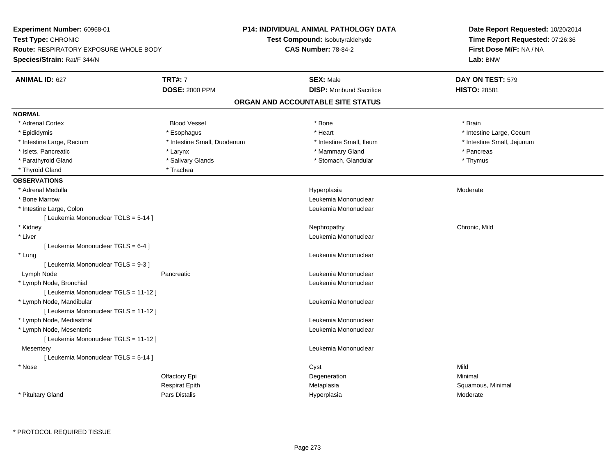| Experiment Number: 60968-01                   |                             | <b>P14: INDIVIDUAL ANIMAL PATHOLOGY DATA</b> | Date Report Requested: 10/20/2014<br>Time Report Requested: 07:26:36 |
|-----------------------------------------------|-----------------------------|----------------------------------------------|----------------------------------------------------------------------|
| Test Type: CHRONIC                            |                             | Test Compound: Isobutyraldehyde              |                                                                      |
| <b>Route: RESPIRATORY EXPOSURE WHOLE BODY</b> |                             | <b>CAS Number: 78-84-2</b>                   | First Dose M/F: NA / NA                                              |
| Species/Strain: Rat/F 344/N                   |                             |                                              | Lab: BNW                                                             |
| <b>ANIMAL ID: 627</b>                         | <b>TRT#: 7</b>              | <b>SEX: Male</b>                             | DAY ON TEST: 579                                                     |
|                                               | <b>DOSE: 2000 PPM</b>       | <b>DISP:</b> Moribund Sacrifice              | <b>HISTO: 28581</b>                                                  |
|                                               |                             | ORGAN AND ACCOUNTABLE SITE STATUS            |                                                                      |
| <b>NORMAL</b>                                 |                             |                                              |                                                                      |
| * Adrenal Cortex                              | <b>Blood Vessel</b>         | * Bone                                       | * Brain                                                              |
| * Epididymis                                  | * Esophagus                 | * Heart                                      | * Intestine Large, Cecum                                             |
| * Intestine Large, Rectum                     | * Intestine Small, Duodenum | * Intestine Small, Ileum                     | * Intestine Small, Jejunum                                           |
| * Islets, Pancreatic                          | * Larynx                    | * Mammary Gland                              | * Pancreas                                                           |
| * Parathyroid Gland                           | * Salivary Glands           | * Stomach, Glandular                         | * Thymus                                                             |
| * Thyroid Gland                               | * Trachea                   |                                              |                                                                      |
| <b>OBSERVATIONS</b>                           |                             |                                              |                                                                      |
| * Adrenal Medulla                             |                             | Hyperplasia                                  | Moderate                                                             |
| * Bone Marrow                                 |                             | Leukemia Mononuclear                         |                                                                      |
| * Intestine Large, Colon                      |                             | Leukemia Mononuclear                         |                                                                      |
| [ Leukemia Mononuclear TGLS = 5-14 ]          |                             |                                              |                                                                      |
| * Kidney                                      |                             | Nephropathy                                  | Chronic, Mild                                                        |
| * Liver                                       |                             | Leukemia Mononuclear                         |                                                                      |
| [ Leukemia Mononuclear TGLS = 6-4 ]           |                             |                                              |                                                                      |
| * Lung                                        |                             | Leukemia Mononuclear                         |                                                                      |
| [Leukemia Mononuclear TGLS = 9-3]             |                             |                                              |                                                                      |
| Lymph Node                                    | Pancreatic                  | Leukemia Mononuclear                         |                                                                      |
| * Lymph Node, Bronchial                       |                             | Leukemia Mononuclear                         |                                                                      |
| [ Leukemia Mononuclear TGLS = 11-12 ]         |                             |                                              |                                                                      |
| * Lymph Node, Mandibular                      |                             | Leukemia Mononuclear                         |                                                                      |
| [ Leukemia Mononuclear TGLS = 11-12 ]         |                             |                                              |                                                                      |
| * Lymph Node, Mediastinal                     |                             | Leukemia Mononuclear                         |                                                                      |
| * Lymph Node, Mesenteric                      |                             | Leukemia Mononuclear                         |                                                                      |
| [ Leukemia Mononuclear TGLS = 11-12 ]         |                             |                                              |                                                                      |
| Mesentery                                     |                             | Leukemia Mononuclear                         |                                                                      |
| [ Leukemia Mononuclear TGLS = 5-14 ]          |                             |                                              |                                                                      |
| * Nose                                        |                             | Cyst                                         | Mild                                                                 |
|                                               | Olfactory Epi               | Degeneration                                 | Minimal                                                              |
|                                               | <b>Respirat Epith</b>       | Metaplasia                                   | Squamous, Minimal                                                    |
| * Pituitary Gland                             | Pars Distalis               | Hyperplasia                                  | Moderate                                                             |
|                                               |                             |                                              |                                                                      |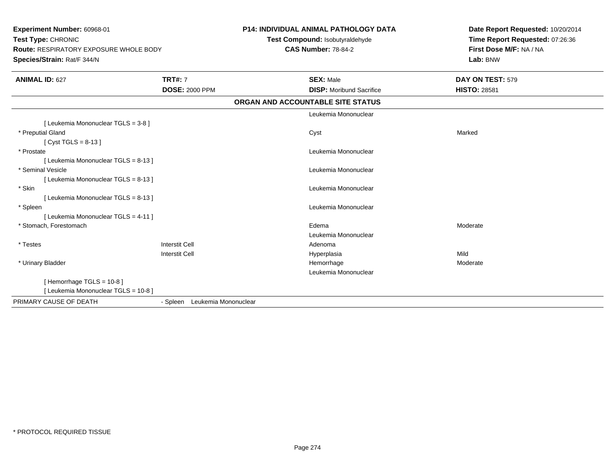| Experiment Number: 60968-01<br>Test Type: CHRONIC<br><b>Route: RESPIRATORY EXPOSURE WHOLE BODY</b><br>Species/Strain: Rat/F 344/N |                               | P14: INDIVIDUAL ANIMAL PATHOLOGY DATA<br>Date Report Requested: 10/20/2014<br>Test Compound: Isobutyraldehyde<br>Time Report Requested: 07:26:36<br>First Dose M/F: NA / NA<br><b>CAS Number: 78-84-2</b><br>Lab: BNW |                     |
|-----------------------------------------------------------------------------------------------------------------------------------|-------------------------------|-----------------------------------------------------------------------------------------------------------------------------------------------------------------------------------------------------------------------|---------------------|
| <b>ANIMAL ID: 627</b>                                                                                                             | <b>TRT#: 7</b>                | <b>SEX: Male</b>                                                                                                                                                                                                      | DAY ON TEST: 579    |
|                                                                                                                                   | <b>DOSE: 2000 PPM</b>         | <b>DISP:</b> Moribund Sacrifice                                                                                                                                                                                       | <b>HISTO: 28581</b> |
|                                                                                                                                   |                               | ORGAN AND ACCOUNTABLE SITE STATUS                                                                                                                                                                                     |                     |
|                                                                                                                                   |                               | Leukemia Mononuclear                                                                                                                                                                                                  |                     |
| [ Leukemia Mononuclear TGLS = 3-8 ]                                                                                               |                               |                                                                                                                                                                                                                       |                     |
| * Preputial Gland                                                                                                                 |                               | Cyst                                                                                                                                                                                                                  | Marked              |
| [ Cyst TGLS = $8-13$ ]                                                                                                            |                               |                                                                                                                                                                                                                       |                     |
| * Prostate                                                                                                                        |                               | Leukemia Mononuclear                                                                                                                                                                                                  |                     |
| [ Leukemia Mononuclear TGLS = 8-13 ]                                                                                              |                               |                                                                                                                                                                                                                       |                     |
| * Seminal Vesicle                                                                                                                 |                               | Leukemia Mononuclear                                                                                                                                                                                                  |                     |
| [ Leukemia Mononuclear TGLS = 8-13 ]                                                                                              |                               |                                                                                                                                                                                                                       |                     |
| * Skin                                                                                                                            |                               | Leukemia Mononuclear                                                                                                                                                                                                  |                     |
| [ Leukemia Mononuclear TGLS = 8-13 ]                                                                                              |                               |                                                                                                                                                                                                                       |                     |
| * Spleen                                                                                                                          |                               | Leukemia Mononuclear                                                                                                                                                                                                  |                     |
| [ Leukemia Mononuclear TGLS = 4-11 ]                                                                                              |                               |                                                                                                                                                                                                                       |                     |
| * Stomach, Forestomach                                                                                                            |                               | Edema                                                                                                                                                                                                                 | Moderate            |
|                                                                                                                                   |                               | Leukemia Mononuclear                                                                                                                                                                                                  |                     |
| * Testes                                                                                                                          | <b>Interstit Cell</b>         | Adenoma                                                                                                                                                                                                               |                     |
|                                                                                                                                   | <b>Interstit Cell</b>         | Hyperplasia                                                                                                                                                                                                           | Mild                |
| * Urinary Bladder                                                                                                                 |                               | Hemorrhage                                                                                                                                                                                                            | Moderate            |
|                                                                                                                                   |                               | Leukemia Mononuclear                                                                                                                                                                                                  |                     |
| [Hemorrhage TGLS = $10-8$ ]                                                                                                       |                               |                                                                                                                                                                                                                       |                     |
| [ Leukemia Mononuclear TGLS = 10-8 ]                                                                                              |                               |                                                                                                                                                                                                                       |                     |
| PRIMARY CAUSE OF DEATH                                                                                                            | - Spleen Leukemia Mononuclear |                                                                                                                                                                                                                       |                     |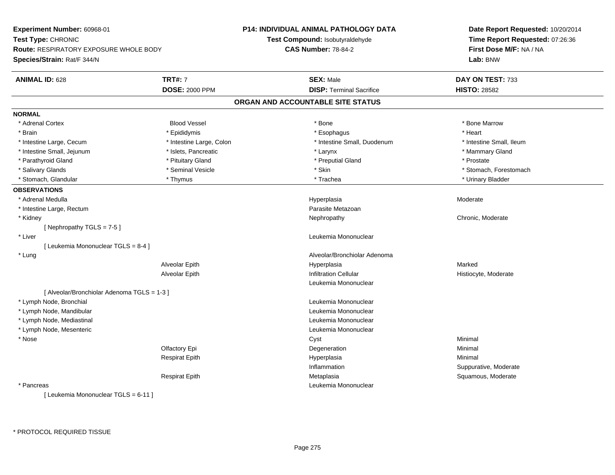| Experiment Number: 60968-01<br>Test Type: CHRONIC<br><b>Route: RESPIRATORY EXPOSURE WHOLE BODY</b><br>Species/Strain: Rat/F 344/N |                          | <b>P14: INDIVIDUAL ANIMAL PATHOLOGY DATA</b> | Date Report Requested: 10/20/2014<br>Time Report Requested: 07:26:36<br>First Dose M/F: NA / NA |
|-----------------------------------------------------------------------------------------------------------------------------------|--------------------------|----------------------------------------------|-------------------------------------------------------------------------------------------------|
|                                                                                                                                   |                          | Test Compound: Isobutyraldehyde              |                                                                                                 |
|                                                                                                                                   |                          | <b>CAS Number: 78-84-2</b>                   |                                                                                                 |
|                                                                                                                                   |                          |                                              | Lab: BNW                                                                                        |
| <b>ANIMAL ID: 628</b>                                                                                                             | <b>TRT#: 7</b>           | <b>SEX: Male</b>                             | DAY ON TEST: 733                                                                                |
|                                                                                                                                   | <b>DOSE: 2000 PPM</b>    | <b>DISP: Terminal Sacrifice</b>              | <b>HISTO: 28582</b>                                                                             |
|                                                                                                                                   |                          | ORGAN AND ACCOUNTABLE SITE STATUS            |                                                                                                 |
| <b>NORMAL</b>                                                                                                                     |                          |                                              |                                                                                                 |
| * Adrenal Cortex                                                                                                                  | <b>Blood Vessel</b>      | * Bone                                       | * Bone Marrow                                                                                   |
| * Brain                                                                                                                           | * Epididymis             | * Esophagus                                  | * Heart                                                                                         |
| * Intestine Large, Cecum                                                                                                          | * Intestine Large, Colon | * Intestine Small, Duodenum                  | * Intestine Small, Ileum                                                                        |
| * Intestine Small, Jejunum                                                                                                        | * Islets, Pancreatic     | * Larynx                                     | * Mammary Gland                                                                                 |
| * Parathyroid Gland                                                                                                               | * Pituitary Gland        | * Preputial Gland                            | * Prostate                                                                                      |
| * Salivary Glands                                                                                                                 | * Seminal Vesicle        | * Skin                                       | * Stomach, Forestomach                                                                          |
| * Stomach, Glandular                                                                                                              | * Thymus                 | * Trachea                                    | * Urinary Bladder                                                                               |
| <b>OBSERVATIONS</b>                                                                                                               |                          |                                              |                                                                                                 |
| * Adrenal Medulla                                                                                                                 |                          | Hyperplasia                                  | Moderate                                                                                        |
| * Intestine Large, Rectum                                                                                                         |                          | Parasite Metazoan                            |                                                                                                 |
| * Kidney                                                                                                                          |                          | Nephropathy                                  | Chronic, Moderate                                                                               |
| [Nephropathy TGLS = 7-5]                                                                                                          |                          |                                              |                                                                                                 |
| * Liver                                                                                                                           |                          | Leukemia Mononuclear                         |                                                                                                 |
| [ Leukemia Mononuclear TGLS = 8-4 ]                                                                                               |                          |                                              |                                                                                                 |
| * Lung                                                                                                                            |                          | Alveolar/Bronchiolar Adenoma                 |                                                                                                 |
|                                                                                                                                   | Alveolar Epith           | Hyperplasia                                  | Marked                                                                                          |
|                                                                                                                                   | Alveolar Epith           | <b>Infiltration Cellular</b>                 | Histiocyte, Moderate                                                                            |
|                                                                                                                                   |                          | Leukemia Mononuclear                         |                                                                                                 |
| [ Alveolar/Bronchiolar Adenoma TGLS = 1-3 ]                                                                                       |                          |                                              |                                                                                                 |
| * Lymph Node, Bronchial                                                                                                           |                          | Leukemia Mononuclear                         |                                                                                                 |
| * Lymph Node, Mandibular                                                                                                          |                          | Leukemia Mononuclear                         |                                                                                                 |
| * Lymph Node, Mediastinal                                                                                                         |                          | Leukemia Mononuclear                         |                                                                                                 |
| * Lymph Node, Mesenteric                                                                                                          |                          | Leukemia Mononuclear                         |                                                                                                 |
| * Nose                                                                                                                            |                          | Cyst                                         | Minimal                                                                                         |
|                                                                                                                                   | Olfactory Epi            | Degeneration                                 | Minimal                                                                                         |
|                                                                                                                                   | <b>Respirat Epith</b>    | Hyperplasia                                  | Minimal                                                                                         |
|                                                                                                                                   |                          | Inflammation                                 | Suppurative, Moderate                                                                           |
|                                                                                                                                   | <b>Respirat Epith</b>    | Metaplasia                                   | Squamous, Moderate                                                                              |
| * Pancreas                                                                                                                        |                          | Leukemia Mononuclear                         |                                                                                                 |
| [ Leukemia Mononuclear TGLS = 6-11 ]                                                                                              |                          |                                              |                                                                                                 |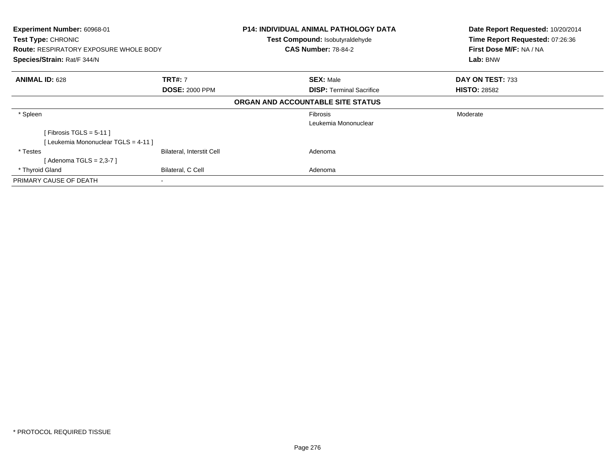| Experiment Number: 60968-01<br>Test Type: CHRONIC<br><b>Route: RESPIRATORY EXPOSURE WHOLE BODY</b> |                           |                                   | P14: INDIVIDUAL ANIMAL PATHOLOGY DATA<br>Date Report Requested: 10/20/2014<br>Time Report Requested: 07:26:36<br>Test Compound: Isobutyraldehyde<br>First Dose M/F: NA / NA<br><b>CAS Number: 78-84-2</b> |                     |
|----------------------------------------------------------------------------------------------------|---------------------------|-----------------------------------|-----------------------------------------------------------------------------------------------------------------------------------------------------------------------------------------------------------|---------------------|
| Species/Strain: Rat/F 344/N                                                                        |                           |                                   |                                                                                                                                                                                                           | Lab: BNW            |
| <b>ANIMAL ID: 628</b>                                                                              | <b>TRT#: 7</b>            |                                   | <b>SEX: Male</b>                                                                                                                                                                                          | DAY ON TEST: 733    |
|                                                                                                    | <b>DOSE: 2000 PPM</b>     |                                   | <b>DISP: Terminal Sacrifice</b>                                                                                                                                                                           | <b>HISTO: 28582</b> |
|                                                                                                    |                           | ORGAN AND ACCOUNTABLE SITE STATUS |                                                                                                                                                                                                           |                     |
| * Spleen                                                                                           |                           |                                   | Fibrosis                                                                                                                                                                                                  | Moderate            |
|                                                                                                    |                           |                                   | Leukemia Mononuclear                                                                                                                                                                                      |                     |
| [Fibrosis TGLS = $5-11$ ]                                                                          |                           |                                   |                                                                                                                                                                                                           |                     |
| [Leukemia Mononuclear TGLS = 4-11]                                                                 |                           |                                   |                                                                                                                                                                                                           |                     |
| * Testes                                                                                           | Bilateral, Interstit Cell |                                   | Adenoma                                                                                                                                                                                                   |                     |
| [ Adenoma TGLS = 2,3-7 ]                                                                           |                           |                                   |                                                                                                                                                                                                           |                     |
| * Thyroid Gland                                                                                    | Bilateral, C Cell         |                                   | Adenoma                                                                                                                                                                                                   |                     |
| PRIMARY CAUSE OF DEATH                                                                             |                           |                                   |                                                                                                                                                                                                           |                     |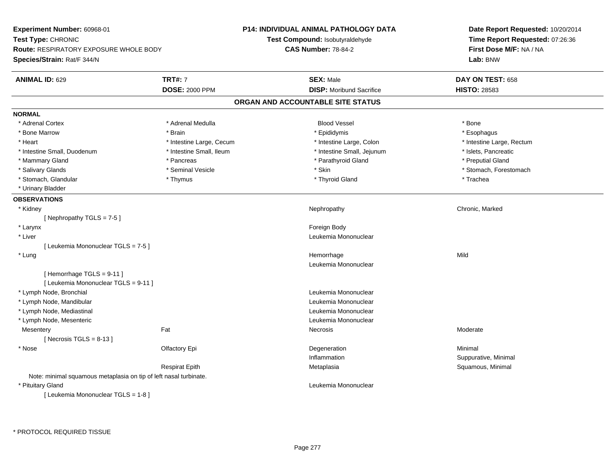| Experiment Number: 60968-01                                           |                          | <b>P14: INDIVIDUAL ANIMAL PATHOLOGY DATA</b> | Date Report Requested: 10/20/2014 |
|-----------------------------------------------------------------------|--------------------------|----------------------------------------------|-----------------------------------|
| Test Type: CHRONIC                                                    |                          | Test Compound: Isobutyraldehyde              | Time Report Requested: 07:26:36   |
| Route: RESPIRATORY EXPOSURE WHOLE BODY<br>Species/Strain: Rat/F 344/N |                          | <b>CAS Number: 78-84-2</b>                   | First Dose M/F: NA / NA           |
|                                                                       |                          |                                              | Lab: BNW                          |
| <b>ANIMAL ID: 629</b>                                                 | <b>TRT#: 7</b>           | <b>SEX: Male</b>                             | DAY ON TEST: 658                  |
|                                                                       | <b>DOSE: 2000 PPM</b>    | <b>DISP:</b> Moribund Sacrifice              | <b>HISTO: 28583</b>               |
|                                                                       |                          | ORGAN AND ACCOUNTABLE SITE STATUS            |                                   |
| <b>NORMAL</b>                                                         |                          |                                              |                                   |
| * Adrenal Cortex                                                      | * Adrenal Medulla        | <b>Blood Vessel</b>                          | * Bone                            |
| * Bone Marrow                                                         | * Brain                  | * Epididymis                                 | * Esophagus                       |
| * Heart                                                               | * Intestine Large, Cecum | * Intestine Large, Colon                     | * Intestine Large, Rectum         |
| * Intestine Small, Duodenum                                           | * Intestine Small, Ileum | * Intestine Small, Jejunum                   | * Islets, Pancreatic              |
| * Mammary Gland                                                       | * Pancreas               | * Parathyroid Gland                          | * Preputial Gland                 |
| * Salivary Glands                                                     | * Seminal Vesicle        | * Skin                                       | * Stomach, Forestomach            |
| * Stomach, Glandular                                                  | * Thymus                 | * Thyroid Gland                              | * Trachea                         |
| * Urinary Bladder                                                     |                          |                                              |                                   |
| <b>OBSERVATIONS</b>                                                   |                          |                                              |                                   |
| * Kidney                                                              |                          | Nephropathy                                  | Chronic, Marked                   |
| [Nephropathy TGLS = 7-5]                                              |                          |                                              |                                   |
| * Larynx                                                              |                          | Foreign Body                                 |                                   |
| * Liver                                                               |                          | Leukemia Mononuclear                         |                                   |
| [ Leukemia Mononuclear TGLS = 7-5 ]                                   |                          |                                              |                                   |
| * Lung                                                                |                          | Hemorrhage                                   | Mild                              |
|                                                                       |                          | Leukemia Mononuclear                         |                                   |
| [Hemorrhage TGLS = 9-11]<br>[ Leukemia Mononuclear TGLS = 9-11 ]      |                          |                                              |                                   |
| * Lymph Node, Bronchial                                               |                          | Leukemia Mononuclear                         |                                   |
| * Lymph Node, Mandibular                                              |                          | Leukemia Mononuclear                         |                                   |
| * Lymph Node, Mediastinal                                             |                          | Leukemia Mononuclear                         |                                   |
| * Lymph Node, Mesenteric                                              |                          | Leukemia Mononuclear                         |                                   |
| Mesentery                                                             | Fat                      | <b>Necrosis</b>                              | Moderate                          |
| [Necrosis $TGLS = 8-13$ ]                                             |                          |                                              |                                   |
| * Nose                                                                | Olfactory Epi            | Degeneration                                 | Minimal                           |
|                                                                       |                          | Inflammation                                 | Suppurative, Minimal              |
|                                                                       | <b>Respirat Epith</b>    | Metaplasia                                   | Squamous, Minimal                 |
| Note: minimal squamous metaplasia on tip of left nasal turbinate.     |                          |                                              |                                   |
| * Pituitary Gland                                                     |                          | Leukemia Mononuclear                         |                                   |
| [ Leukemia Mononuclear TGLS = 1-8 ]                                   |                          |                                              |                                   |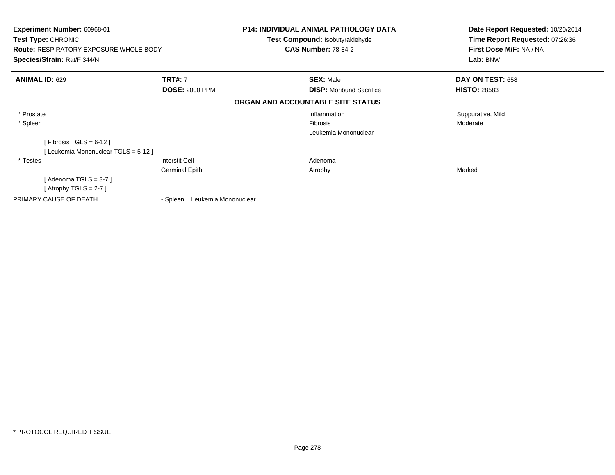| Experiment Number: 60968-01<br>Test Type: CHRONIC<br><b>Route: RESPIRATORY EXPOSURE WHOLE BODY</b><br>Species/Strain: Rat/F 344/N |                                  | <b>P14: INDIVIDUAL ANIMAL PATHOLOGY DATA</b><br>Test Compound: Isobutyraldehyde<br><b>CAS Number: 78-84-2</b> | Date Report Requested: 10/20/2014<br>Time Report Requested: 07:26:36<br>First Dose M/F: NA / NA<br>Lab: BNW |
|-----------------------------------------------------------------------------------------------------------------------------------|----------------------------------|---------------------------------------------------------------------------------------------------------------|-------------------------------------------------------------------------------------------------------------|
| <b>ANIMAL ID: 629</b>                                                                                                             | <b>TRT#: 7</b>                   | <b>SEX: Male</b>                                                                                              | DAY ON TEST: 658                                                                                            |
|                                                                                                                                   | <b>DOSE: 2000 PPM</b>            | <b>DISP:</b> Moribund Sacrifice                                                                               | <b>HISTO: 28583</b>                                                                                         |
|                                                                                                                                   |                                  | ORGAN AND ACCOUNTABLE SITE STATUS                                                                             |                                                                                                             |
| * Prostate                                                                                                                        |                                  | Inflammation                                                                                                  | Suppurative, Mild                                                                                           |
| * Spleen                                                                                                                          |                                  | <b>Fibrosis</b>                                                                                               | Moderate                                                                                                    |
|                                                                                                                                   |                                  | Leukemia Mononuclear                                                                                          |                                                                                                             |
| [Fibrosis TGLS = $6-12$ ]                                                                                                         |                                  |                                                                                                               |                                                                                                             |
| [Leukemia Mononuclear TGLS = 5-12]                                                                                                |                                  |                                                                                                               |                                                                                                             |
| * Testes                                                                                                                          | Interstit Cell                   | Adenoma                                                                                                       |                                                                                                             |
|                                                                                                                                   | <b>Germinal Epith</b>            | Atrophy                                                                                                       | Marked                                                                                                      |
| [ Adenoma TGLS = 3-7 ]                                                                                                            |                                  |                                                                                                               |                                                                                                             |
| [Atrophy TGLS = 2-7 ]                                                                                                             |                                  |                                                                                                               |                                                                                                             |
| PRIMARY CAUSE OF DEATH                                                                                                            | Leukemia Mononuclear<br>- Spleen |                                                                                                               |                                                                                                             |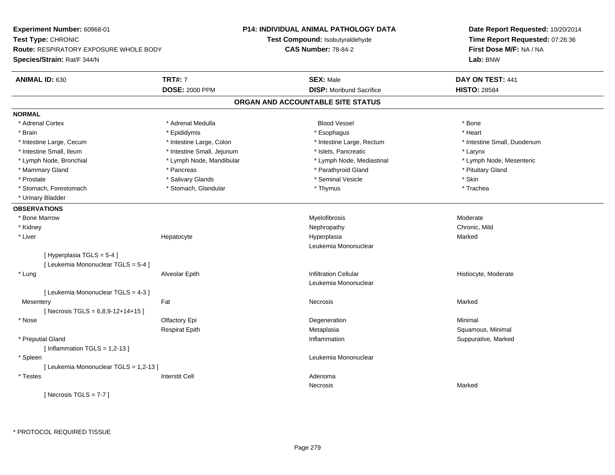**Experiment Number:** 60968-01**Test Type:** CHRONIC **Route:** RESPIRATORY EXPOSURE WHOLE BODY**Species/Strain:** Rat/F 344/N**P14: INDIVIDUAL ANIMAL PATHOLOGY DATATest Compound:** Isobutyraldehyde**CAS Number:** 78-84-2**Date Report Requested:** 10/20/2014**Time Report Requested:** 07:26:36**First Dose M/F:** NA / NA**Lab:** BNW**ANIMAL ID:** 630**C TRT#:** 7 **SEX:** Male **DAY ON TEST:** 441 **DOSE:** 2000 PPM**DISP:** Moribund Sacrifice **HISTO:** 28584 **ORGAN AND ACCOUNTABLE SITE STATUSNORMAL**\* Adrenal Cortex \* Adrenal Medulla \* \* Book \* Blood Vessel \* Book \* Bone \* Bone \* Bone \* Bone \* Bone \* Bone \* Bone \* Bone \* Bone \* Heart \* Brain \* \* Esophagus \* \* Esophagus \* \* Esophagus \* \* Esophagus \* \* Esophagus \* Heart \* Heart \* Heart \* Heart \* Intestine Large, Cecum \* Intestine Large, Colon \* Intestine Large, Rectum \* Intestine Small, Duodenum \* Intestine Small, Ileum \* Intestine Small, Jejunum \* Islets, Pancreatic \* Larynx\* Lymph Node, Mesenteric \* Lymph Node, Bronchial \* Lymph Node, Mandibular \* Lymph Node, Mediastinal \* Lymph Node, Mediastinal \* Mammary Gland \* **All and \* Pancreas** \* Pancreas \* Parathyroid Gland \* Parathyroid Gland \* Pituitary Gland \* Pituitary Gland \* Prostate \* \* Salivary Glands \* \* Salivary Glands \* \* Seminal Vesicle \* \* \* Seminal Yestrich \* \* Skin \* \* Skin \* Trachea \* Stomach, Forestomach \* Thymus \* Stomach, Glandular \* Thymus \* Thymus \* Thymus \* Thymus \* Thymus \* Thymus \* Thymus \* Thymus \* Thymus \* Thymus \* Thymus \* Thymus \* Thymus \* Thymus \* Thymus \* Thymus \* Thymus \* Thymus \* Thymu \* Urinary Bladder**OBSERVATIONS** \* Bone Marroww Myelofibrosis and the method of the Moderate Myelofibrosis and the Moderate Moderate  $\sim$  Moderate  $\sim$  \* Kidneyy the controller of the controller of the controller of the controller of the controller of the chronic, Mild \* Liver Hepatocyte Hyperplasia Marked Leukemia Mononuclear[ Hyperplasia TGLS = 5-4 ][ Leukemia Mononuclear TGLS = 5-4 ] \* Lung Alveolar Epith Infiltration Cellular Histiocyte, Moderate Leukemia Mononuclear[ Leukemia Mononuclear TGLS = 4-3 ]**Mesentery** y the control of the Marked States of the Marked States of the Marked States of the Marked States of the Marked States of the Marked States of the Marked States of the Marked States of the Marked States of the Marked State  $[$  Necrosis TGLS = 6,8,9-12+14+15 ] \* Nosee and the Colombia Colombia Colombia Colombia Colombia Colombia Degeneration and the Colombia Colombia Minimal<br>Colombia Colombia Colombia Colombia Colombia Colombia Colombia Colombia Colombia Colombia Colombia Colombia Co Respirat EpithMetaplasia **Squamous, Minimal**  \* Preputial Glandd with the suppurative, Marked and Suppurative, Marked and Suppurative, Marked and Suppurative, Marked and Suppurative, Marked and Suppurative, Marked and Suppurative, Marked and Suppurative, Marked and Suppurative, Marked  $[$  Inflammation TGLS = 1,2-13  $]$  \* Spleen Leukemia Mononuclear [ Leukemia Mononuclear TGLS = 1,2-13 ] \* Testes Interstit Cell Adenoma Necrosiss and the contract of the Marked  $[$  Necrosis TGLS = 7-7  $]$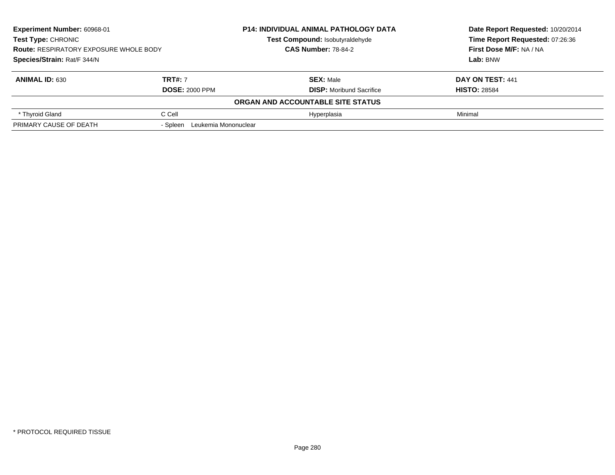| <b>Experiment Number: 60968-01</b><br><b>Test Type: CHRONIC</b> |                               | <b>P14: INDIVIDUAL ANIMAL PATHOLOGY DATA</b> | Date Report Requested: 10/20/2014<br>Time Report Requested: 07:26:36 |
|-----------------------------------------------------------------|-------------------------------|----------------------------------------------|----------------------------------------------------------------------|
|                                                                 |                               | Test Compound: Isobutyraldehyde              |                                                                      |
| <b>Route: RESPIRATORY EXPOSURE WHOLE BODY</b>                   |                               | <b>CAS Number: 78-84-2</b>                   | First Dose M/F: NA / NA                                              |
| Species/Strain: Rat/F 344/N                                     |                               |                                              | Lab: BNW                                                             |
| <b>ANIMAL ID: 630</b>                                           | <b>TRT#: 7</b>                | <b>SEX: Male</b>                             | DAY ON TEST: 441                                                     |
|                                                                 | <b>DOSE: 2000 PPM</b>         | <b>DISP:</b> Moribund Sacrifice              | <b>HISTO: 28584</b>                                                  |
|                                                                 |                               | ORGAN AND ACCOUNTABLE SITE STATUS            |                                                                      |
| * Thyroid Gland                                                 | C Cell                        | Hyperplasia                                  | Minimal                                                              |
| PRIMARY CAUSE OF DEATH                                          | - Spleen Leukemia Mononuclear |                                              |                                                                      |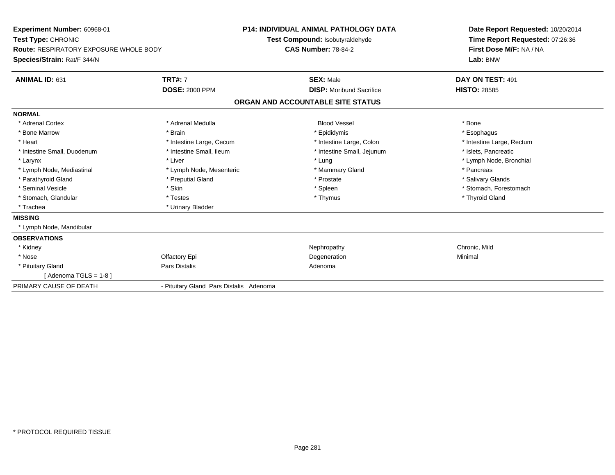| Experiment Number: 60968-01<br>Test Type: CHRONIC<br><b>Route: RESPIRATORY EXPOSURE WHOLE BODY</b><br>Species/Strain: Rat/F 344/N |                                         | <b>P14: INDIVIDUAL ANIMAL PATHOLOGY DATA</b><br>Test Compound: Isobutyraldehyde<br><b>CAS Number: 78-84-2</b> | Date Report Requested: 10/20/2014<br>Time Report Requested: 07:26:36<br>First Dose M/F: NA / NA<br>Lab: BNW |
|-----------------------------------------------------------------------------------------------------------------------------------|-----------------------------------------|---------------------------------------------------------------------------------------------------------------|-------------------------------------------------------------------------------------------------------------|
| ANIMAL ID: 631                                                                                                                    | <b>TRT#: 7</b><br><b>DOSE: 2000 PPM</b> | <b>SEX: Male</b><br><b>DISP: Moribund Sacrifice</b>                                                           | DAY ON TEST: 491<br><b>HISTO: 28585</b>                                                                     |
|                                                                                                                                   |                                         | ORGAN AND ACCOUNTABLE SITE STATUS                                                                             |                                                                                                             |
| <b>NORMAL</b>                                                                                                                     |                                         |                                                                                                               |                                                                                                             |
| * Adrenal Cortex                                                                                                                  | * Adrenal Medulla                       | <b>Blood Vessel</b>                                                                                           | * Bone                                                                                                      |
| * Bone Marrow                                                                                                                     | * Brain                                 | * Epididymis                                                                                                  | * Esophagus                                                                                                 |
| * Heart                                                                                                                           | * Intestine Large, Cecum                | * Intestine Large, Colon                                                                                      | * Intestine Large, Rectum                                                                                   |
| * Intestine Small, Duodenum                                                                                                       | * Intestine Small, Ileum                | * Intestine Small, Jejunum                                                                                    | * Islets, Pancreatic                                                                                        |
| * Larynx                                                                                                                          | * Liver                                 | * Lung                                                                                                        | * Lymph Node, Bronchial                                                                                     |
| * Lymph Node, Mediastinal                                                                                                         | * Lymph Node, Mesenteric                | * Mammary Gland                                                                                               | * Pancreas                                                                                                  |
| * Parathyroid Gland                                                                                                               | * Preputial Gland                       | * Prostate                                                                                                    | * Salivary Glands                                                                                           |
| * Seminal Vesicle                                                                                                                 | * Skin                                  | * Spleen                                                                                                      | * Stomach, Forestomach                                                                                      |
| * Stomach, Glandular                                                                                                              | * Testes                                | * Thymus                                                                                                      | * Thyroid Gland                                                                                             |
| * Trachea                                                                                                                         | * Urinary Bladder                       |                                                                                                               |                                                                                                             |
| <b>MISSING</b>                                                                                                                    |                                         |                                                                                                               |                                                                                                             |
| * Lymph Node, Mandibular                                                                                                          |                                         |                                                                                                               |                                                                                                             |
| <b>OBSERVATIONS</b>                                                                                                               |                                         |                                                                                                               |                                                                                                             |
| * Kidney                                                                                                                          |                                         | Nephropathy                                                                                                   | Chronic, Mild                                                                                               |
| * Nose                                                                                                                            | Olfactory Epi                           | Degeneration                                                                                                  | Minimal                                                                                                     |
| * Pituitary Gland                                                                                                                 | Pars Distalis                           | Adenoma                                                                                                       |                                                                                                             |
| [Adenoma TGLS = $1-8$ ]                                                                                                           |                                         |                                                                                                               |                                                                                                             |
| PRIMARY CAUSE OF DEATH                                                                                                            | - Pituitary Gland Pars Distalis Adenoma |                                                                                                               |                                                                                                             |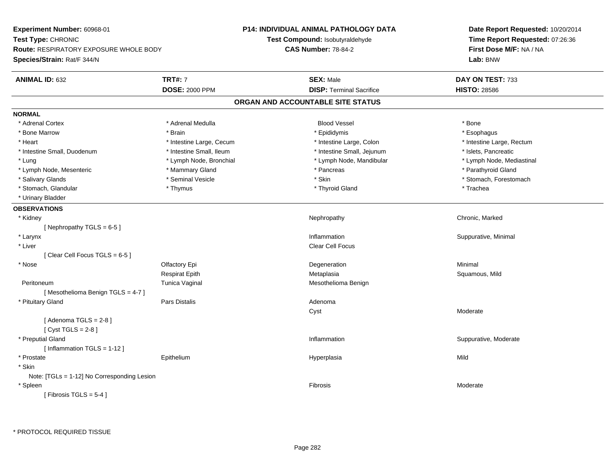**Experiment Number:** 60968-01**Test Type:** CHRONIC **Route:** RESPIRATORY EXPOSURE WHOLE BODY**Species/Strain:** Rat/F 344/N**P14: INDIVIDUAL ANIMAL PATHOLOGY DATATest Compound:** Isobutyraldehyde**CAS Number:** 78-84-2**Date Report Requested:** 10/20/2014**Time Report Requested:** 07:26:36**First Dose M/F:** NA / NA**Lab:** BNW**ANIMAL ID:** 632**TRT#:** 7 **SEX:** Male **DAY ON TEST:** 733 **DOSE:** 2000 PPM**DISP:** Terminal Sacrifice **HISTO:** 28586 **ORGAN AND ACCOUNTABLE SITE STATUSNORMAL**\* Adrenal Cortex \* Adrenal Cortex \* Adrenal Medulla Blood Vessel \* Bone\* Esophagus \* Bone Marrow \* Brain \* Epididymis \* Esophagus \* Heart Thestine Large, Cecum Thestine Large, Cecum Assessment Carge, Colon Thestine Large, Rectum \* Intestine Large, Rectum \* Intestine Large, Rectum \* Intestine Small, Duodenum \* Intestine Small, Ileum \* Intestine Small, Jejunum \* Islets, Pancreatic\* Lymph Node, Mediastinal \* Lung \* Lymph Node, Bronchial \* Lymph Node, Mandibular \* Lymph Node, Mandibular \* Lymph Node, Mesenteric \* \* Mammary Gland \* Mammary Gland \* Pancreas \* Pancreas \* \* Pancreas \* Parathyroid Gland \* Salivary Glands \* The state of the seminal Vesicle \* Skin \* Skin \* Skin \* Stomach, Forestomach, Forestomach, Forestomach, Forestomach, Forestomach, Forestomach, Forestomach, Forestomach, Forestomach, Forestomach, Foresto \* Stomach, Glandular \* Thymus \* Thymus \* Thymus \* Thyroid Gland \* Thyroid Gland \* Thachea \* Urinary Bladder**OBSERVATIONS** \* Kidneyy the controller of the controller of the controller of the Nephropathy Chronic, Marked Schronic, Marked Schronic, Marked Schronic, Marked Schronic, Marked Schronic, Marked Schronic, Marked Schronic, Marked Schronic, Marke [ Nephropathy  $TGLS = 6-5$  ] \* Larynx**x** and the contract of the contract of the contract of the contract of the contract of the contract of the contract of the contract of the contract of the contract of the contract of the contract of the contract of the co Inflammation **Suppurative, Minimal**  \* Liver Clear Cell Focus[ Clear Cell Focus TGLS = 6-5 ] \* Nosee and the Colombia Colombia Colombia Colombia Colombia Colombia Degeneration and the Colombia Colombia Minimal<br>Colombia Colombia Colombia Colombia Colombia Colombia Colombia Colombia Colombia Colombia Colombia Colombia Co Respirat Epith Metaplasia Squamous, Mild PeritoneumTunica Vaginal Mesothelioma Benign [ Mesothelioma Benign TGLS = 4-7 ] \* Pituitary Glandd and the contract of Pars Distalis and the contract of Adenoma and Adenoma and the Adenoma and the Adenoma and  $\alpha$ Cyst Moderate $[$  Adenoma TGLS = 2-8  $]$ [ Cyst TGLS = 2-8 ] \* Preputial Glandd inflammation inflammation in the Suppurative, Moderate in the Suppurative, Moderate in the Suppurative, Moderate in the Suppurative, Moderate in the Suppurative, Moderate in the Suppurative, Moderate in the Suppurative, [ Inflammation TGLS = 1-12 ] \* Prostate Epithelium Hyperplasia Mild \* Skin Note: [TGLs = 1-12] No Corresponding Lesion \* Spleenn and the contract of the contract of the contract of the contract of the contract of the contract of the contract of the contract of the contract of the contract of the contract of the contract of the contract of the cont  $[$  Fibrosis TGLS = 5-4  $]$ 

\* PROTOCOL REQUIRED TISSUE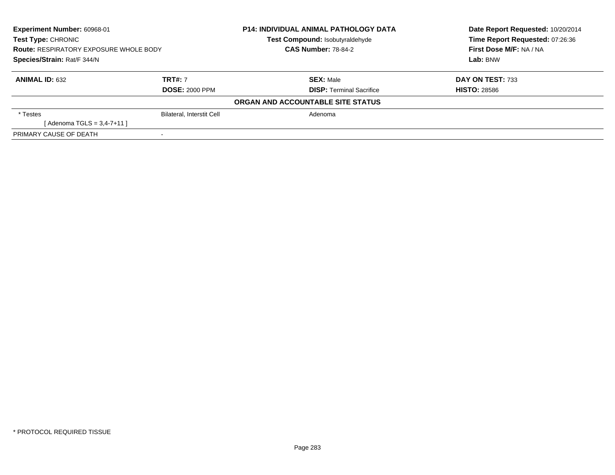| <b>Experiment Number: 60968-01</b><br>Test Type: CHRONIC<br><b>Route: RESPIRATORY EXPOSURE WHOLE BODY</b><br>Species/Strain: Rat/F 344/N |                                         | <b>P14: INDIVIDUAL ANIMAL PATHOLOGY DATA</b><br><b>Test Compound: Isobutyraldehyde</b> | Date Report Requested: 10/20/2014<br>Time Report Requested: 07:26:36<br>First Dose M/F: NA / NA<br>Lab: BNW |
|------------------------------------------------------------------------------------------------------------------------------------------|-----------------------------------------|----------------------------------------------------------------------------------------|-------------------------------------------------------------------------------------------------------------|
|                                                                                                                                          |                                         | <b>CAS Number: 78-84-2</b>                                                             |                                                                                                             |
| <b>ANIMAL ID: 632</b>                                                                                                                    | <b>TRT#: 7</b><br><b>DOSE: 2000 PPM</b> | <b>SEX: Male</b><br><b>DISP:</b> Terminal Sacrifice                                    | DAY ON TEST: 733<br><b>HISTO: 28586</b>                                                                     |
|                                                                                                                                          |                                         | ORGAN AND ACCOUNTABLE SITE STATUS                                                      |                                                                                                             |
| * Testes                                                                                                                                 | <b>Bilateral, Interstit Cell</b>        | Adenoma                                                                                |                                                                                                             |
| [Adenoma TGLS = $3,4-7+11$ ]                                                                                                             |                                         |                                                                                        |                                                                                                             |
| PRIMARY CAUSE OF DEATH                                                                                                                   |                                         |                                                                                        |                                                                                                             |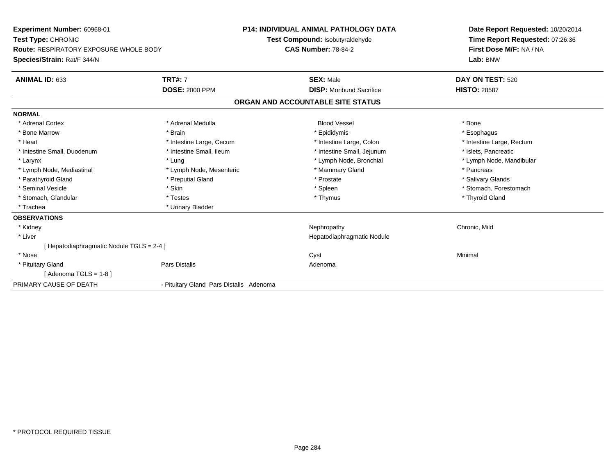| <b>Experiment Number: 60968-01</b><br>Test Type: CHRONIC<br><b>Route: RESPIRATORY EXPOSURE WHOLE BODY</b><br>Species/Strain: Rat/F 344/N |                                         | <b>P14: INDIVIDUAL ANIMAL PATHOLOGY DATA</b><br>Test Compound: Isobutyraldehyde<br><b>CAS Number: 78-84-2</b> | Date Report Requested: 10/20/2014<br>Time Report Requested: 07:26:36<br>First Dose M/F: NA / NA<br>Lab: BNW |
|------------------------------------------------------------------------------------------------------------------------------------------|-----------------------------------------|---------------------------------------------------------------------------------------------------------------|-------------------------------------------------------------------------------------------------------------|
| <b>ANIMAL ID: 633</b>                                                                                                                    | <b>TRT#: 7</b><br><b>DOSE: 2000 PPM</b> | <b>SEX: Male</b><br><b>DISP:</b> Moribund Sacrifice                                                           | DAY ON TEST: 520<br><b>HISTO: 28587</b>                                                                     |
|                                                                                                                                          |                                         | ORGAN AND ACCOUNTABLE SITE STATUS                                                                             |                                                                                                             |
| <b>NORMAL</b>                                                                                                                            |                                         |                                                                                                               |                                                                                                             |
| * Adrenal Cortex                                                                                                                         | * Adrenal Medulla                       | <b>Blood Vessel</b>                                                                                           | * Bone                                                                                                      |
| * Bone Marrow                                                                                                                            | * Brain                                 | * Epididymis                                                                                                  | * Esophagus                                                                                                 |
| * Heart                                                                                                                                  | * Intestine Large, Cecum                | * Intestine Large, Colon                                                                                      | * Intestine Large, Rectum                                                                                   |
| * Intestine Small, Duodenum                                                                                                              | * Intestine Small, Ileum                | * Intestine Small, Jejunum                                                                                    | * Islets, Pancreatic                                                                                        |
| * Larynx                                                                                                                                 | * Lung                                  | * Lymph Node, Bronchial                                                                                       | * Lymph Node, Mandibular                                                                                    |
| * Lymph Node, Mediastinal                                                                                                                | * Lymph Node, Mesenteric                | * Mammary Gland                                                                                               | * Pancreas                                                                                                  |
| * Parathyroid Gland                                                                                                                      | * Preputial Gland                       | * Prostate                                                                                                    | * Salivary Glands                                                                                           |
| * Seminal Vesicle                                                                                                                        | * Skin                                  | * Spleen                                                                                                      | * Stomach. Forestomach                                                                                      |
| * Stomach, Glandular                                                                                                                     | * Testes                                | * Thymus                                                                                                      | * Thyroid Gland                                                                                             |
| * Trachea                                                                                                                                | * Urinary Bladder                       |                                                                                                               |                                                                                                             |
| <b>OBSERVATIONS</b>                                                                                                                      |                                         |                                                                                                               |                                                                                                             |
| * Kidney                                                                                                                                 |                                         | Nephropathy                                                                                                   | Chronic, Mild                                                                                               |
| * Liver                                                                                                                                  |                                         | Hepatodiaphragmatic Nodule                                                                                    |                                                                                                             |
| [Hepatodiaphragmatic Nodule TGLS = 2-4 ]                                                                                                 |                                         |                                                                                                               |                                                                                                             |
| * Nose                                                                                                                                   |                                         | Cyst                                                                                                          | Minimal                                                                                                     |
| * Pituitary Gland                                                                                                                        | <b>Pars Distalis</b>                    | Adenoma                                                                                                       |                                                                                                             |
| [ Adenoma TGLS = 1-8 ]                                                                                                                   |                                         |                                                                                                               |                                                                                                             |
| PRIMARY CAUSE OF DEATH                                                                                                                   | - Pituitary Gland Pars Distalis Adenoma |                                                                                                               |                                                                                                             |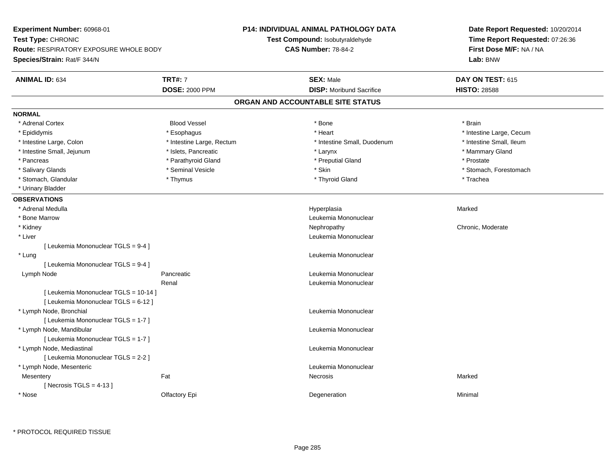**Experiment Number:** 60968-01**Test Type:** CHRONIC **Route:** RESPIRATORY EXPOSURE WHOLE BODY**Species/Strain:** Rat/F 344/N**P14: INDIVIDUAL ANIMAL PATHOLOGY DATATest Compound:** Isobutyraldehyde**CAS Number:** 78-84-2**Date Report Requested:** 10/20/2014**Time Report Requested:** 07:26:36**First Dose M/F:** NA / NA**Lab:** BNW**ANIMAL ID:** 634**TRT#:** 7 **SEX:** Male **DAY ON TEST:** 615 **DOSE:** 2000 PPM**DISP:** Moribund Sacrifice **HISTO:** 28588 **ORGAN AND ACCOUNTABLE SITE STATUSNORMAL**\* Adrenal Cortex \* Adrenal Cortex \* Brain \* Brain \* Brain \* Brain \* Bood Vessel \* \* \* \* Brain \* Bone \* \* \* \* \* \* \* Brain \* \* Brain \* \* Brain \* \* Brain \* \* Brain \* \* Brain \* \* Brain \* \* Brain \* \* Brain \* \* Brain \* \* Brain \* \* Brain \* \* Brai \* Epididymis **Account 19 and 19 and 19 and 19 and 19 and 19 and 19 and 19 and 19 and 19 and 19 and 19 and 19 and 19 and 19 and 19 and 19 and 19 and 19 and 19 and 19 and 19 and 19 and 19 and 19 and 19 and 19 and 19 and 19 a** \* Intestine Small, Ileum \* Intestine Large, Colon \* Intestine Large, Rectum \* Intestine Small, Duodenum \* 1 \* Intestine Small, Jejunum \* \* The mannery Gland \* \* Islets, Pancreatic \* The mannery Stand \* Larynx \* Larynx \* Mammary Gland \* Pancreas \* Parathyroid Gland \* Parathyroid Gland \* Preputial Gland \* Preputial Gland \* Prostate \* Salivary Glands \* The state of the seminal Vesicle \* Skin \* Skin \* Skin \* Stomach, Forestomach, Forestomach, Forestomach, Forestomach, Forestomach, Forestomach, Forestomach, Forestomach, Forestomach, Forestomach, Foresto \* Stomach, Glandular \* Thymus \* Thymus \* Thymus \* Thyroid Gland \* Thyroid Gland \* Trachea \* Urinary Bladder**OBSERVATIONS** \* Adrenal Medullaa and the state of the state of the state of the state of the Hyperplasia and the Marked Marked of the State o \* Bone MarrowLeukemia Mononuclear<br>Nephropathy \* Kidneyy the chronic, Moderate and September 2012 of the Chronic Moderate and September 2013 of the Chronic, Moderate \* Liver Leukemia Mononuclear [ Leukemia Mononuclear TGLS = 9-4 ] \* Lungg and the set of the set of the set of the set of the set of the set of the set of the set of the set of the set of the set of the set of the set of the set of the set of the set of the set of the set of the set of the set [ Leukemia Mononuclear TGLS = 9-4 ] Lymph Node Pancreatic Leukemia Mononuclear Renal Leukemia Mononuclear[ Leukemia Mononuclear TGLS = 10-14 ][ Leukemia Mononuclear TGLS = 6-12 ] \* Lymph Node, Bronchial Leukemia Mononuclear[ Leukemia Mononuclear TGLS = 1-7 ] \* Lymph Node, Mandibular Leukemia Mononuclear [ Leukemia Mononuclear TGLS = 1-7 ] \* Lymph Node, Mediastinal Leukemia Mononuclear[ Leukemia Mononuclear TGLS = 2-2 ] \* Lymph Node, Mesenteric Leukemia Mononuclear **Mesentery** y the control of the Marked States of the Marked States of the Marked States of the Marked States of the Marked States of the Marked States of the Marked States of the Marked States of the Marked States of the Marked State  $[$  Necrosis TGLS = 4-13  $]$  \* Nosee and the Colombia Colombia Colombia Colombia Colombia Colombia Degeneration and the Colombia Colombia Minimal<br>Colombia Colombia Colombia Colombia Colombia Colombia Colombia Colombia Colombia Colombia Colombia Colombia Co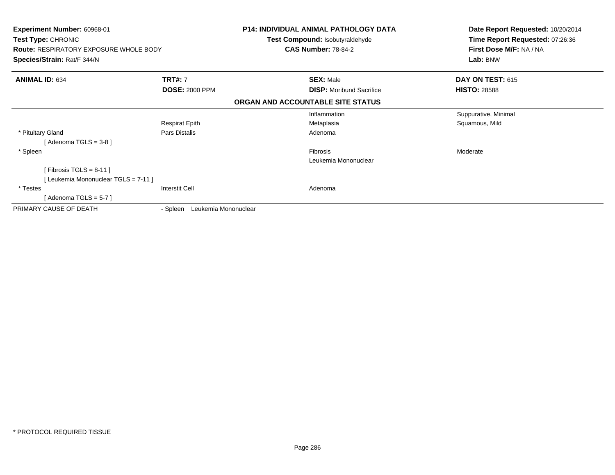| <b>Experiment Number: 60968-01</b><br>Test Type: CHRONIC<br><b>Route: RESPIRATORY EXPOSURE WHOLE BODY</b><br>Species/Strain: Rat/F 344/N |                                  | <b>P14: INDIVIDUAL ANIMAL PATHOLOGY DATA</b><br>Date Report Requested: 10/20/2014<br>Time Report Requested: 07:26:36<br>Test Compound: Isobutyraldehyde<br>First Dose M/F: NA / NA<br><b>CAS Number: 78-84-2</b><br>Lab: BNW |                      |
|------------------------------------------------------------------------------------------------------------------------------------------|----------------------------------|------------------------------------------------------------------------------------------------------------------------------------------------------------------------------------------------------------------------------|----------------------|
| <b>ANIMAL ID: 634</b>                                                                                                                    | <b>TRT#: 7</b>                   | <b>SEX: Male</b>                                                                                                                                                                                                             | DAY ON TEST: 615     |
|                                                                                                                                          | <b>DOSE: 2000 PPM</b>            | <b>DISP:</b> Moribund Sacrifice                                                                                                                                                                                              | <b>HISTO: 28588</b>  |
|                                                                                                                                          |                                  | ORGAN AND ACCOUNTABLE SITE STATUS                                                                                                                                                                                            |                      |
|                                                                                                                                          |                                  | Inflammation                                                                                                                                                                                                                 | Suppurative, Minimal |
|                                                                                                                                          | <b>Respirat Epith</b>            | Metaplasia                                                                                                                                                                                                                   | Squamous, Mild       |
| * Pituitary Gland                                                                                                                        | Pars Distalis                    | Adenoma                                                                                                                                                                                                                      |                      |
| [ Adenoma TGLS = 3-8 ]                                                                                                                   |                                  |                                                                                                                                                                                                                              |                      |
| * Spleen                                                                                                                                 |                                  | Fibrosis                                                                                                                                                                                                                     | Moderate             |
|                                                                                                                                          |                                  | Leukemia Mononuclear                                                                                                                                                                                                         |                      |
| [Fibrosis TGLS = $8-11$ ]                                                                                                                |                                  |                                                                                                                                                                                                                              |                      |
| [ Leukemia Mononuclear TGLS = 7-11 ]                                                                                                     |                                  |                                                                                                                                                                                                                              |                      |
| * Testes                                                                                                                                 | <b>Interstit Cell</b>            | Adenoma                                                                                                                                                                                                                      |                      |
| [ Adenoma TGLS = 5-7 ]                                                                                                                   |                                  |                                                                                                                                                                                                                              |                      |
| PRIMARY CAUSE OF DEATH                                                                                                                   | Leukemia Mononuclear<br>- Spleen |                                                                                                                                                                                                                              |                      |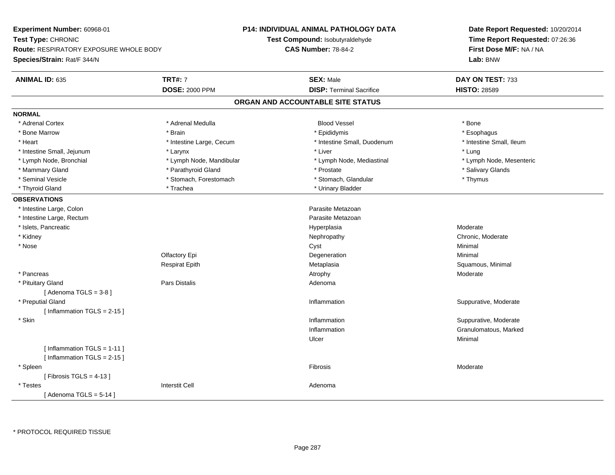**Experiment Number:** 60968-01**Test Type:** CHRONIC **Route:** RESPIRATORY EXPOSURE WHOLE BODY**Species/Strain:** Rat/F 344/N**P14: INDIVIDUAL ANIMAL PATHOLOGY DATATest Compound:** Isobutyraldehyde**CAS Number:** 78-84-2**Date Report Requested:** 10/20/2014**Time Report Requested:** 07:26:36**First Dose M/F:** NA / NA**Lab:** BNW**ANIMAL ID:** 635**TRT#:** 7 **SEX:** Male **DAY ON TEST:** 733 **DOSE:** 2000 PPM**DISP:** Terminal Sacrifice **HISTO:** 28589 **ORGAN AND ACCOUNTABLE SITE STATUSNORMAL**\* Adrenal Cortex \* Adrenal Cortex \* Adrenal Medulla Blood Vessel \* Bone\* Esophagus \* Bone Marrow \* Brain \* Epididymis \* Esophagus \* Intestine Small, Ileum \* Heart **\*** Intestine Large, Cecum **\* The Small, Duodenum \*** Intestine Small, Duodenum \* Intestine Small, Jejunum \* Larynx \* Larynx \* Larynx \* Liver \* Liver \* Liver \* Liver \* Lung \* Lymph Node, Mesenteric \* Lymph Node, Bronchial \* Lymph Node, Mandibular \* Lymph Node, Mediastinal \* Lymph Node, Mediastinal \* Mammary Gland \* \* Andrew \* Parathyroid Gland \* \* Prostate \* \* Prostate \* \* Salivary Glands \* Salivary Glands \* Salivary Glands \* Salivary Glands \* Salivary Glands \* Salivary Glands \* Salivary Glands \* Salivary Glands \* S \* Seminal Vesicle \* Thymus \* Stomach, Forestomach \* Northern \* Stomach, Glandular \* Thymus \* Thymus \* Thyroid Gland \* Trachea \* Trachea \* Trachea \* Thyroid Gland \* Urinary Bladder **OBSERVATIONS** \* Intestine Large, Colon Parasite Metazoan \* Intestine Large, Rectumm and the contract of the contract of the contract of the contract of the contract of the contract of the contract of the contract of the contract of the contract of the contract of the contract of the contract of the cont \* Islets, Pancreaticc description of the control of the control of the control of the control of the control of the control of the control of the control of the control of the control of the control of the control of the control of the contro Hyperplasia Moderate Moderate<br>
Nephropathy Megalem Megalem Moderate Chronic, Moderate \* Kidneyy the chronic, Moderate and September 2012 of the Chronic Moderate and September 2013 of the Chronic, Moderate \* Nosee and the control of the control of the control of the control of the control of the control of the control of the control of the control of the control of the control of the control of the control of the control of the co Olfactory Epi Degenerationn Minimal Respirat EpithMetaplasia **Squamous, Minimal**  \* Pancreass and the control of the control of the control of the control of the control of the control of the control of the control of the control of the control of the control of the control of the control of the control of the co \* Pituitary Glandd and the contract of Pars Distalis and the contract of Adenoma and Adenoma and the Adenoma and the Adenoma and  $\alpha$  $[$  Adenoma TGLS = 3-8  $]$  \* Preputial Glandd inflammation inflammation in the Suppurative, Moderate in the Suppurative, Moderate in the Suppurative, Moderate in the Suppurative, Moderate in the Suppurative, Moderate in the Suppurative, Moderate in the Suppurative,  $[$  Inflammation TGLS = 2-15  $]$  \* Skinn and the support of the set of the set of the set of the set of the set of the set of the set of the set of the set of the set of the set of the set of the set of the set of the set of the set of the set of the set of the Inflammation Granulomatous, Marked Ulcerr **Minimal** [ Inflammation TGLS = 1-11 ] $[$  Inflammation TGLS = 2-15  $]$  \* Spleenn and the contract of the contract of the contract of the contract of the contract of the contract of the contract of the contract of the contract of the contract of the contract of the contract of the contract of the cont  $[$  Fibrosis TGLS = 4-13  $]$  \* Testes Interstit Cell Adenoma $[$  Adenoma TGLS = 5-14  $]$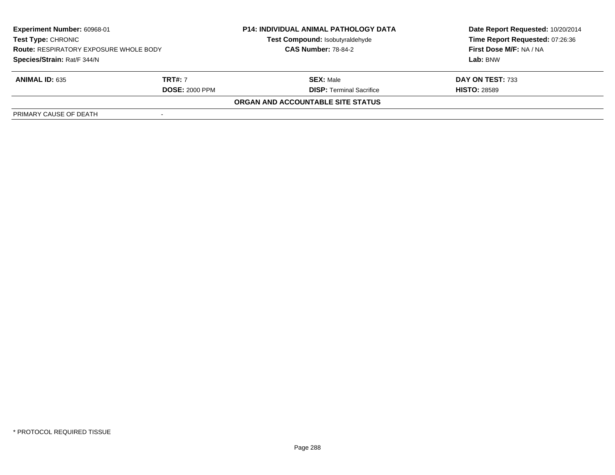| <b>Experiment Number: 60968-01</b><br>Test Type: CHRONIC<br><b>Route: RESPIRATORY EXPOSURE WHOLE BODY</b><br>Species/Strain: Rat/F 344/N |                       | <b>P14: INDIVIDUAL ANIMAL PATHOLOGY DATA</b><br>Test Compound: Isobutyraldehyde<br><b>CAS Number: 78-84-2</b> | Date Report Requested: 10/20/2014<br>Time Report Requested: 07:26:36<br>First Dose M/F: NA / NA |
|------------------------------------------------------------------------------------------------------------------------------------------|-----------------------|---------------------------------------------------------------------------------------------------------------|-------------------------------------------------------------------------------------------------|
|                                                                                                                                          |                       |                                                                                                               | Lab: BNW                                                                                        |
| <b>ANIMAL ID: 635</b>                                                                                                                    | <b>TRT#: 7</b>        | <b>SEX: Male</b>                                                                                              | DAY ON TEST: 733                                                                                |
|                                                                                                                                          | <b>DOSE: 2000 PPM</b> | <b>DISP: Terminal Sacrifice</b>                                                                               | <b>HISTO: 28589</b>                                                                             |
|                                                                                                                                          |                       | ORGAN AND ACCOUNTABLE SITE STATUS                                                                             |                                                                                                 |
| PRIMARY CAUSE OF DEATH                                                                                                                   |                       |                                                                                                               |                                                                                                 |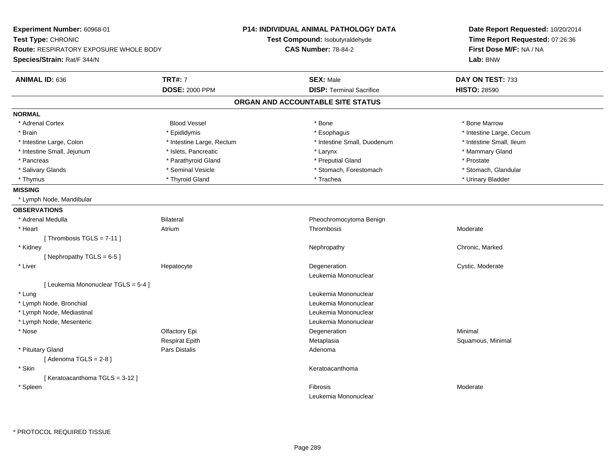| Experiment Number: 60968-01                   |                           | <b>P14: INDIVIDUAL ANIMAL PATHOLOGY DATA</b> | Date Report Requested: 10/20/2014<br>Time Report Requested: 07:26:36 |
|-----------------------------------------------|---------------------------|----------------------------------------------|----------------------------------------------------------------------|
| Test Type: CHRONIC                            |                           | Test Compound: Isobutyraldehyde              |                                                                      |
| <b>Route: RESPIRATORY EXPOSURE WHOLE BODY</b> |                           | <b>CAS Number: 78-84-2</b>                   | First Dose M/F: NA / NA                                              |
| Species/Strain: Rat/F 344/N                   |                           |                                              | Lab: BNW                                                             |
| <b>ANIMAL ID: 636</b>                         | <b>TRT#: 7</b>            | <b>SEX: Male</b>                             | DAY ON TEST: 733                                                     |
|                                               | <b>DOSE: 2000 PPM</b>     | <b>DISP: Terminal Sacrifice</b>              | <b>HISTO: 28590</b>                                                  |
|                                               |                           | ORGAN AND ACCOUNTABLE SITE STATUS            |                                                                      |
| <b>NORMAL</b>                                 |                           |                                              |                                                                      |
| * Adrenal Cortex                              | <b>Blood Vessel</b>       | * Bone                                       | * Bone Marrow                                                        |
| * Brain                                       | * Epididymis              | * Esophagus                                  | * Intestine Large, Cecum                                             |
| * Intestine Large, Colon                      | * Intestine Large, Rectum | * Intestine Small, Duodenum                  | * Intestine Small, Ileum                                             |
| * Intestine Small, Jejunum                    | * Islets, Pancreatic      | * Larynx                                     | * Mammary Gland                                                      |
| * Pancreas                                    | * Parathyroid Gland       | * Preputial Gland                            | * Prostate                                                           |
| * Salivary Glands                             | * Seminal Vesicle         | * Stomach, Forestomach                       | * Stomach, Glandular                                                 |
| * Thymus                                      | * Thyroid Gland           | * Trachea                                    | * Urinary Bladder                                                    |
| <b>MISSING</b>                                |                           |                                              |                                                                      |
| * Lymph Node, Mandibular                      |                           |                                              |                                                                      |
| <b>OBSERVATIONS</b>                           |                           |                                              |                                                                      |
| * Adrenal Medulla                             | <b>Bilateral</b>          | Pheochromocytoma Benign                      |                                                                      |
| * Heart                                       | Atrium                    | Thrombosis                                   | Moderate                                                             |
| [Thrombosis TGLS = $7-11$ ]                   |                           |                                              |                                                                      |
| * Kidney                                      |                           | Nephropathy                                  | Chronic, Marked                                                      |
| [Nephropathy TGLS = $6-5$ ]                   |                           |                                              |                                                                      |
| * Liver                                       | Hepatocyte                | Degeneration                                 | Cystic, Moderate                                                     |
|                                               |                           | Leukemia Mononuclear                         |                                                                      |
| [ Leukemia Mononuclear TGLS = 5-4 ]           |                           |                                              |                                                                      |
| * Lung                                        |                           | Leukemia Mononuclear                         |                                                                      |
| * Lymph Node, Bronchial                       |                           | Leukemia Mononuclear                         |                                                                      |
| * Lymph Node, Mediastinal                     |                           | Leukemia Mononuclear                         |                                                                      |
| * Lymph Node, Mesenteric                      |                           | Leukemia Mononuclear                         |                                                                      |
| * Nose                                        | Olfactory Epi             | Degeneration                                 | Minimal                                                              |
|                                               | Respirat Epith            | Metaplasia                                   | Squamous, Minimal                                                    |
| * Pituitary Gland                             | Pars Distalis             | Adenoma                                      |                                                                      |
| [Adenoma TGLS = $2-8$ ]                       |                           |                                              |                                                                      |
| * Skin                                        |                           | Keratoacanthoma                              |                                                                      |
| [Keratoacanthoma TGLS = 3-12]                 |                           |                                              |                                                                      |
| * Spleen                                      |                           | Fibrosis                                     | Moderate                                                             |
|                                               |                           | Leukemia Mononuclear                         |                                                                      |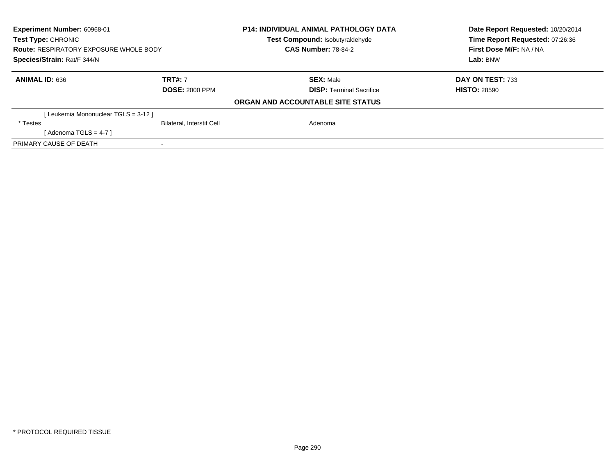| Experiment Number: 60968-01<br>Test Type: CHRONIC<br><b>Route: RESPIRATORY EXPOSURE WHOLE BODY</b><br>Species/Strain: Rat/F 344/N |                                         | <b>P14: INDIVIDUAL ANIMAL PATHOLOGY DATA</b><br>Test Compound: Isobutyraldehyde<br><b>CAS Number: 78-84-2</b> | Date Report Requested: 10/20/2014<br>Time Report Requested: 07:26:36<br>First Dose M/F: NA / NA<br>Lab: BNW |
|-----------------------------------------------------------------------------------------------------------------------------------|-----------------------------------------|---------------------------------------------------------------------------------------------------------------|-------------------------------------------------------------------------------------------------------------|
| <b>ANIMAL ID: 636</b>                                                                                                             | <b>TRT#: 7</b><br><b>DOSE: 2000 PPM</b> | <b>SEX: Male</b><br><b>DISP:</b> Terminal Sacrifice                                                           | DAY ON TEST: 733<br><b>HISTO: 28590</b>                                                                     |
|                                                                                                                                   |                                         | ORGAN AND ACCOUNTABLE SITE STATUS                                                                             |                                                                                                             |
| [Leukemia Mononuclear TGLS = 3-12 ]                                                                                               |                                         |                                                                                                               |                                                                                                             |
| * Testes                                                                                                                          | <b>Bilateral, Interstit Cell</b>        | Adenoma                                                                                                       |                                                                                                             |
| [Adenoma TGLS = $4-7$ ]                                                                                                           |                                         |                                                                                                               |                                                                                                             |
| PRIMARY CAUSE OF DEATH                                                                                                            |                                         |                                                                                                               |                                                                                                             |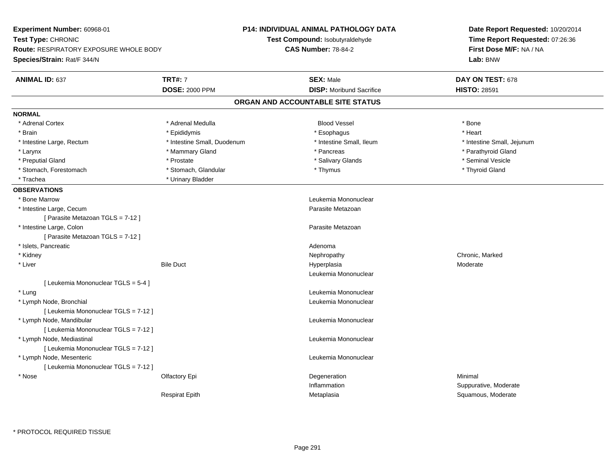| Experiment Number: 60968-01            |                             | <b>P14: INDIVIDUAL ANIMAL PATHOLOGY DATA</b> | Date Report Requested: 10/20/2014<br>Time Report Requested: 07:26:36<br>First Dose M/F: NA / NA |  |
|----------------------------------------|-----------------------------|----------------------------------------------|-------------------------------------------------------------------------------------------------|--|
| Test Type: CHRONIC                     |                             | <b>Test Compound: Isobutyraldehyde</b>       |                                                                                                 |  |
| Route: RESPIRATORY EXPOSURE WHOLE BODY |                             | <b>CAS Number: 78-84-2</b>                   |                                                                                                 |  |
| Species/Strain: Rat/F 344/N            |                             |                                              | Lab: BNW                                                                                        |  |
| <b>ANIMAL ID: 637</b>                  | <b>TRT#: 7</b>              | <b>SEX: Male</b>                             | DAY ON TEST: 678                                                                                |  |
|                                        | <b>DOSE: 2000 PPM</b>       | <b>DISP: Moribund Sacrifice</b>              | <b>HISTO: 28591</b>                                                                             |  |
|                                        |                             | ORGAN AND ACCOUNTABLE SITE STATUS            |                                                                                                 |  |
| <b>NORMAL</b>                          |                             |                                              |                                                                                                 |  |
| * Adrenal Cortex                       | * Adrenal Medulla           | <b>Blood Vessel</b>                          | * Bone                                                                                          |  |
| * Brain                                | * Epididymis                | * Esophagus                                  | * Heart                                                                                         |  |
| * Intestine Large, Rectum              | * Intestine Small, Duodenum | * Intestine Small, Ileum                     | * Intestine Small, Jejunum                                                                      |  |
| * Larynx                               | * Mammary Gland             | * Pancreas                                   | * Parathyroid Gland                                                                             |  |
| * Preputial Gland                      | * Prostate                  | * Salivary Glands                            | * Seminal Vesicle                                                                               |  |
| * Stomach, Forestomach                 | * Stomach, Glandular        | * Thymus                                     | * Thyroid Gland                                                                                 |  |
| * Trachea                              | * Urinary Bladder           |                                              |                                                                                                 |  |
| <b>OBSERVATIONS</b>                    |                             |                                              |                                                                                                 |  |
| <b>Bone Marrow</b>                     |                             | Leukemia Mononuclear                         |                                                                                                 |  |
| * Intestine Large, Cecum               |                             | Parasite Metazoan                            |                                                                                                 |  |
| [ Parasite Metazoan TGLS = 7-12 ]      |                             |                                              |                                                                                                 |  |
| * Intestine Large, Colon               |                             | Parasite Metazoan                            |                                                                                                 |  |
| [ Parasite Metazoan TGLS = 7-12 ]      |                             |                                              |                                                                                                 |  |
| * Islets, Pancreatic                   |                             | Adenoma                                      |                                                                                                 |  |
| * Kidney                               |                             | Nephropathy                                  | Chronic, Marked                                                                                 |  |
| * Liver                                | <b>Bile Duct</b>            | Hyperplasia                                  | Moderate                                                                                        |  |
|                                        |                             | Leukemia Mononuclear                         |                                                                                                 |  |
| [ Leukemia Mononuclear TGLS = 5-4 ]    |                             |                                              |                                                                                                 |  |
| * Lung                                 |                             | Leukemia Mononuclear                         |                                                                                                 |  |
| * Lymph Node, Bronchial                |                             | Leukemia Mononuclear                         |                                                                                                 |  |
| [ Leukemia Mononuclear TGLS = 7-12 ]   |                             |                                              |                                                                                                 |  |
| * Lymph Node, Mandibular               |                             | Leukemia Mononuclear                         |                                                                                                 |  |
| [ Leukemia Mononuclear TGLS = 7-12 ]   |                             |                                              |                                                                                                 |  |
| * Lymph Node, Mediastinal              |                             | Leukemia Mononuclear                         |                                                                                                 |  |
| [ Leukemia Mononuclear TGLS = 7-12 ]   |                             |                                              |                                                                                                 |  |
| * Lymph Node, Mesenteric               |                             | Leukemia Mononuclear                         |                                                                                                 |  |
| [ Leukemia Mononuclear TGLS = 7-12 ]   |                             |                                              |                                                                                                 |  |
| * Nose                                 | Olfactory Epi               | Degeneration                                 | Minimal                                                                                         |  |
|                                        |                             | Inflammation                                 | Suppurative, Moderate                                                                           |  |
|                                        | <b>Respirat Epith</b>       | Metaplasia                                   | Squamous, Moderate                                                                              |  |
|                                        |                             |                                              |                                                                                                 |  |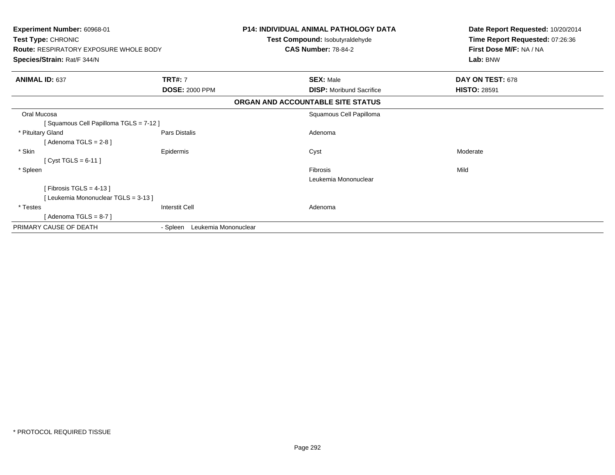| Experiment Number: 60968-01<br><b>Test Type: CHRONIC</b><br><b>Route: RESPIRATORY EXPOSURE WHOLE BODY</b><br>Species/Strain: Rat/F 344/N |                                  | <b>P14: INDIVIDUAL ANIMAL PATHOLOGY DATA</b><br><b>Test Compound: Isobutyraldehyde</b><br><b>CAS Number: 78-84-2</b> | Date Report Requested: 10/20/2014<br>Time Report Requested: 07:26:36<br>First Dose M/F: NA / NA<br>Lab: BNW |
|------------------------------------------------------------------------------------------------------------------------------------------|----------------------------------|----------------------------------------------------------------------------------------------------------------------|-------------------------------------------------------------------------------------------------------------|
| <b>ANIMAL ID: 637</b>                                                                                                                    | <b>TRT#: 7</b>                   | <b>SEX: Male</b>                                                                                                     | DAY ON TEST: 678                                                                                            |
|                                                                                                                                          | <b>DOSE: 2000 PPM</b>            | <b>DISP:</b> Moribund Sacrifice                                                                                      | <b>HISTO: 28591</b>                                                                                         |
|                                                                                                                                          |                                  | ORGAN AND ACCOUNTABLE SITE STATUS                                                                                    |                                                                                                             |
| Oral Mucosa                                                                                                                              |                                  | Squamous Cell Papilloma                                                                                              |                                                                                                             |
| [Squamous Cell Papilloma TGLS = 7-12]                                                                                                    |                                  |                                                                                                                      |                                                                                                             |
| * Pituitary Gland                                                                                                                        | Pars Distalis                    | Adenoma                                                                                                              |                                                                                                             |
| [Adenoma TGLS = $2-8$ ]                                                                                                                  |                                  |                                                                                                                      |                                                                                                             |
| * Skin                                                                                                                                   | Epidermis                        | Cyst                                                                                                                 | Moderate                                                                                                    |
| [ Cyst TGLS = $6-11$ ]                                                                                                                   |                                  |                                                                                                                      |                                                                                                             |
| * Spleen                                                                                                                                 |                                  | Fibrosis                                                                                                             | Mild                                                                                                        |
|                                                                                                                                          |                                  | Leukemia Mononuclear                                                                                                 |                                                                                                             |
| [Fibrosis TGLS = $4-13$ ]                                                                                                                |                                  |                                                                                                                      |                                                                                                             |
| [Leukemia Mononuclear TGLS = 3-13]                                                                                                       |                                  |                                                                                                                      |                                                                                                             |
| * Testes                                                                                                                                 | Interstit Cell                   | Adenoma                                                                                                              |                                                                                                             |
| [Adenoma TGLS = $8-7$ ]                                                                                                                  |                                  |                                                                                                                      |                                                                                                             |
| PRIMARY CAUSE OF DEATH                                                                                                                   | Leukemia Mononuclear<br>- Spleen |                                                                                                                      |                                                                                                             |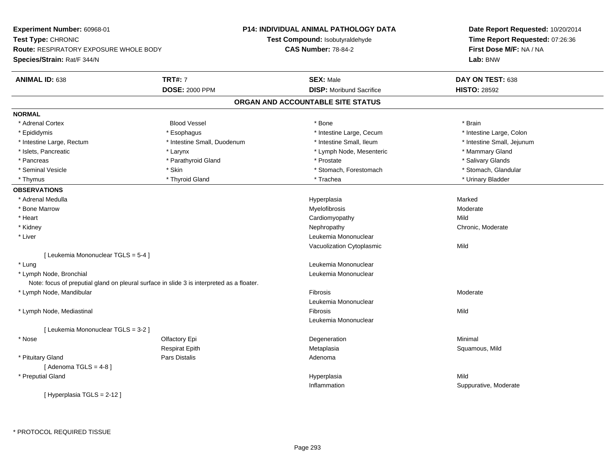**Experiment Number:** 60968-01**Test Type:** CHRONIC **Route:** RESPIRATORY EXPOSURE WHOLE BODY**Species/Strain:** Rat/F 344/N**P14: INDIVIDUAL ANIMAL PATHOLOGY DATATest Compound:** Isobutyraldehyde**CAS Number:** 78-84-2**Date Report Requested:** 10/20/2014**Time Report Requested:** 07:26:36**First Dose M/F:** NA / NA**Lab:** BNW**ANIMAL ID:** 638**TRT#:** 7 **SEX:** Male **DAY ON TEST:** 638 **DOSE:** 2000 PPM**DISP:** Moribund Sacrifice **HISTO:** 28592 **ORGAN AND ACCOUNTABLE SITE STATUSNORMAL**\* Adrenal Cortex \* Adrenal Cortex \* Brain \* Brain \* Brain \* Brain \* Bood Vessel \* \* \* \* Brain \* Bone \* \* \* \* \* \* \* Brain \* \* Brain \* \* Brain \* \* Brain \* \* Brain \* \* Brain \* \* Brain \* \* Brain \* \* Brain \* \* Brain \* \* Brain \* \* Brain \* \* Brai \* Epididymis **\* Execution Contract Contract Constructs** \* Intestine Large, Cecum \* Intestine Large, Colon \* Intestine Large, Colon \* Intestine Large, Rectum \* Thestine Small, Duodenum \* Number of the small, Ileum \* Intestine Small, Jejunum \* Intestine Small, Jejunum \* Islets, Pancreatic \* The manner of the Larynx \* Larynx \* Larynx \* Lymph Node, Mesenteric \* \* Mammary Gland \* Salivary Glands \* Pancreas \* And the second term in the second term in the second term in the second term in the second term in the second term in the second term in the second term in the second term in the second term in the second term \* Stomach, Glandular \* Seminal Vesicle \* Stomach, Forestomach \* Skin \* Skin \* Stomach, Forestomach \* Stomach, Forestomach \* Thymus \* Thyroid Gland \* Trachea \* Urinary Bladder \* **OBSERVATIONS** \* Adrenal Medullaa and the state of the state of the state of the state of the Hyperplasia and the state of the Marked State of \* Bone Marroww Myelofibrosis and the method of the Moderate Myelofibrosis and the Moderate Moderate  $\mathsf{M}$  \* Heart Cardiomyopathyy Mild Chronic, Moderate \* Kidneyy the chronic, Moderate and September 2012 of the Chronic Moderate and September 2013 of the Chronic, Moderate \* Liver Leukemia Mononuclear Vacuolization Cytoplasmicc Mild [ Leukemia Mononuclear TGLS = 5-4 ] \* Lungg and the set of the set of the set of the set of the set of the set of the set of the set of the set of the s \* Lymph Node, Bronchial Leukemia MononuclearNote: focus of preputial gland on pleural surface in slide 3 is interpreted as a floater. \* Lymph Node, Mandibularr and the contract of the contract of the contract of the contract of the contract of the contract of the contract of the contract of the contract of the contract of the contract of the contract of the contract of the cont Fibrosis Moderate Leukemia Mononuclear \* Lymph Node, Mediastinall and the control of the control of the control of the control of the control of the control of the control of s Mild Leukemia Mononuclear[ Leukemia Mononuclear TGLS = 3-2 ] \* Nosee and the Colombia Colombia Colombia Colombia Colombia Colombia Degeneration and the Colombia Colombia Minimal<br>Colombia Colombia Colombia Colombia Colombia Colombia Colombia Colombia Colombia Colombia Colombia Colombia Co Respirat Epith Metaplasia Squamous, Mild \* Pituitary Glandd and the contract of Pars Distalis and the contract of Adenoma and Adenoma and the Adenoma and the Adenoma and  $\lambda$  $[$  Adenoma TGLS = 4-8  $]$  \* Preputial Glandd and the control of the control of the control of the Hyperplasia and the control of the Mild of the control of the control of the control of the control of the control of the control of the control of the control of the Inflammation Suppurative, Moderate [ Hyperplasia TGLS = 2-12 ]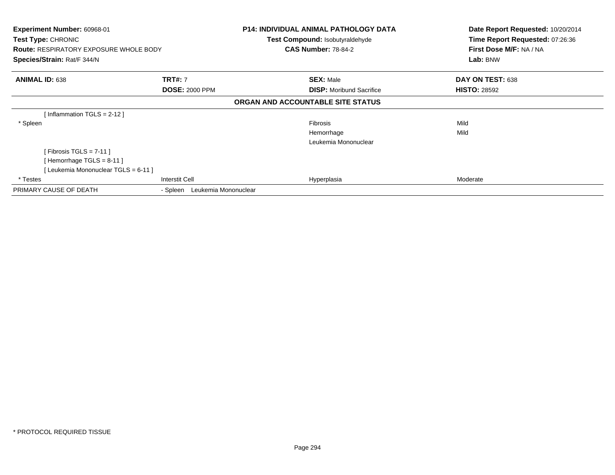| Experiment Number: 60968-01                   |                                  | P14: INDIVIDUAL ANIMAL PATHOLOGY DATA  | Date Report Requested: 10/20/2014 |
|-----------------------------------------------|----------------------------------|----------------------------------------|-----------------------------------|
| Test Type: CHRONIC                            |                                  | <b>Test Compound: Isobutyraldehyde</b> | Time Report Requested: 07:26:36   |
| <b>Route: RESPIRATORY EXPOSURE WHOLE BODY</b> |                                  | <b>CAS Number: 78-84-2</b>             | First Dose M/F: NA / NA           |
| Species/Strain: Rat/F 344/N                   |                                  |                                        | Lab: BNW                          |
| <b>ANIMAL ID: 638</b>                         | <b>TRT#: 7</b>                   | <b>SEX: Male</b>                       | DAY ON TEST: 638                  |
|                                               | <b>DOSE: 2000 PPM</b>            | <b>DISP:</b> Moribund Sacrifice        | <b>HISTO: 28592</b>               |
|                                               |                                  | ORGAN AND ACCOUNTABLE SITE STATUS      |                                   |
| [Inflammation TGLS = $2-12$ ]                 |                                  |                                        |                                   |
| * Spleen                                      |                                  | Fibrosis                               | Mild                              |
|                                               |                                  | Hemorrhage                             | Mild                              |
|                                               |                                  | Leukemia Mononuclear                   |                                   |
| [Fibrosis TGLS = $7-11$ ]                     |                                  |                                        |                                   |
| [Hemorrhage TGLS = $8-11$ ]                   |                                  |                                        |                                   |
| [ Leukemia Mononuclear TGLS = 6-11 ]          |                                  |                                        |                                   |
| * Testes                                      | <b>Interstit Cell</b>            | Hyperplasia                            | Moderate                          |
| PRIMARY CAUSE OF DEATH                        | Leukemia Mononuclear<br>- Spleen |                                        |                                   |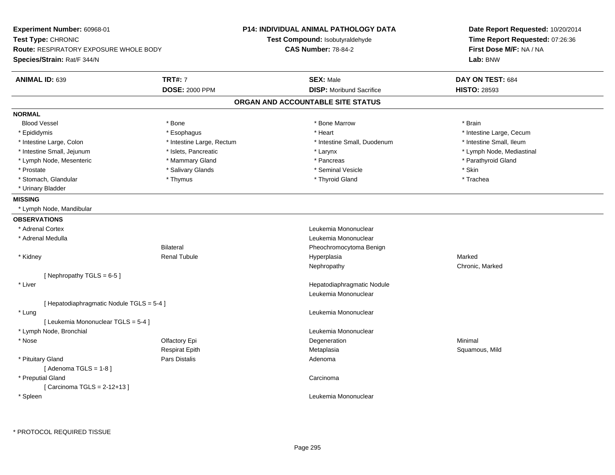**Experiment Number:** 60968-01**Test Type:** CHRONIC **Route:** RESPIRATORY EXPOSURE WHOLE BODY**Species/Strain:** Rat/F 344/N**P14: INDIVIDUAL ANIMAL PATHOLOGY DATATest Compound:** Isobutyraldehyde**CAS Number:** 78-84-2**Date Report Requested:** 10/20/2014**Time Report Requested:** 07:26:36**First Dose M/F:** NA / NA**Lab:** BNW**ANIMAL ID:** 639 **TRT#:** <sup>7</sup> **SEX:** Male **DAY ON TEST:** <sup>684</sup> **DOSE:** 2000 PPM**DISP:** Moribund Sacrifice **HISTO:** 28593 **ORGAN AND ACCOUNTABLE SITE STATUSNORMALBlood Vessel**  Blood Vessel \* Bone \* Bone Marrow \* Brain\* Epididymis **Account 19 and 19 and 19 and 19 and 19 and 19 and 19 and 19 and 19 and 19 and 19 and 19 and 19 and 19 and 19 and 19 and 19 and 19 and 19 and 19 and 19 and 19 and 19 and 19 and 19 and 19 and 19 and 19 and 19 a** \* Intestine Small, Ileum \* Intestine Large, Colon \* Intestine Large, Rectum \* Intestine Small, Duodenum \* Intestine Small, Duodenum \* Intestine Small, Jejunum \* \* \* https://www.fargorital.com/intervalue.com/intervalue.com/intervalue.com/intervalue.com/intervalue.com/intervalue.com/intervalue.com/intervalue.com/intervalue.com/intervalue.com/intervalue.c \* Lymph Node, Mesenteric \* \* Mammary Gland \* Mammary Gland \* Pancreas \* Pancreas \* \* Pancreas \* \* Parathyroid Gland \* Prostate \* \* Salivary Glands \* \* Salivary Glands \* \* Seminal Vesicle \* \* \* Seminal Yestrich \* \* Skin \* \* Skin \* Trachea \* Stomach, Glandular \* Thymus \* Thyroid Gland \* Trachea \* Urinary Bladder**MISSING** \* Lymph Node, Mandibular**OBSERVATIONS** \* Adrenal Cortex Leukemia Mononuclear \* Adrenal Medulla Leukemia Mononuclear Bilateral Pheochromocytoma Benign \* Kidney Renal Tubule Hyperplasia Marked Nephropathy Chronic, Marked $[$  Nephropathy TGLS = 6-5  $]$  \* Liver Hepatodiaphragmatic NoduleLeukemia Mononuclear[ Hepatodiaphragmatic Nodule TGLS = 5-4 ] \* Lungg and the set of the set of the set of the set of the set of the set of the set of the set of the set of the s [ Leukemia Mononuclear TGLS = 5-4 ] \* Lymph Node, Bronchial Leukemia Mononuclear \* Nosee and the Colombia Colombia Defectory Epi and the Colombia Degeneration and the Colombia Minimal Minimal Degeneration Respirat Epithh is a community of the Metaplasia service of the Squamous, Mild and Squamous, Mild and Squamous, Mild and Squamous, Mild and Squamous, Mild and Squamous, Mild and Squamous, Mild and Squamous, Mild and Squamous, Mild and S \* Pituitary Glandd and the set of Pars Distalis and the Second Adenomal Adenomal Second Second Pars Distallis  $[$  Adenoma TGLS = 1-8  $]$  \* Preputial Glandd<sub>d</sub> Carcinoma [ Carcinoma TGLS = 2-12+13 ] \* Spleenn and the control of the control of the control of the control of the control of the control of the control of the control of the control of the control of the control of the control of the control of the control of the co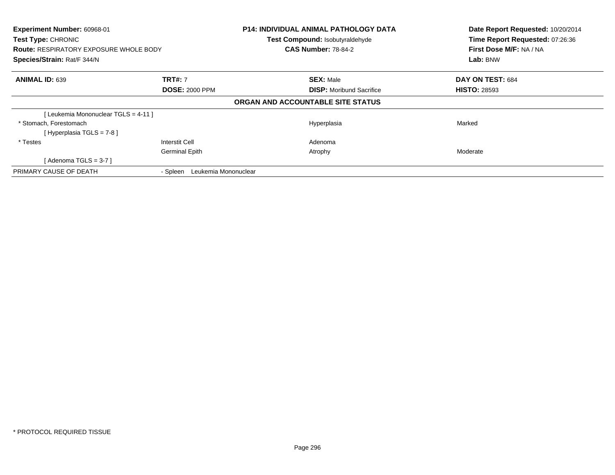| Experiment Number: 60968-01<br><b>Test Type: CHRONIC</b><br><b>Route: RESPIRATORY EXPOSURE WHOLE BODY</b><br>Species/Strain: Rat/F 344/N |                               | <b>P14: INDIVIDUAL ANIMAL PATHOLOGY DATA</b><br>Test Compound: Isobutyraldehyde<br><b>CAS Number: 78-84-2</b> | Date Report Requested: 10/20/2014<br>Time Report Requested: 07:26:36<br>First Dose M/F: NA / NA<br>Lab: BNW |
|------------------------------------------------------------------------------------------------------------------------------------------|-------------------------------|---------------------------------------------------------------------------------------------------------------|-------------------------------------------------------------------------------------------------------------|
| <b>ANIMAL ID: 639</b>                                                                                                                    | <b>TRT#: 7</b>                | <b>SEX: Male</b>                                                                                              | DAY ON TEST: 684                                                                                            |
|                                                                                                                                          | <b>DOSE: 2000 PPM</b>         | <b>DISP:</b> Moribund Sacrifice                                                                               | <b>HISTO: 28593</b>                                                                                         |
|                                                                                                                                          |                               | ORGAN AND ACCOUNTABLE SITE STATUS                                                                             |                                                                                                             |
| [Leukemia Mononuclear TGLS = 4-11]                                                                                                       |                               |                                                                                                               |                                                                                                             |
| * Stomach, Forestomach                                                                                                                   |                               | Hyperplasia                                                                                                   | Marked                                                                                                      |
| [Hyperplasia TGLS = 7-8]                                                                                                                 |                               |                                                                                                               |                                                                                                             |
| * Testes                                                                                                                                 | Interstit Cell                | Adenoma                                                                                                       |                                                                                                             |
|                                                                                                                                          | <b>Germinal Epith</b>         | Atrophy                                                                                                       | Moderate                                                                                                    |
| [Adenoma TGLS = $3-7$ ]                                                                                                                  |                               |                                                                                                               |                                                                                                             |
| PRIMARY CAUSE OF DEATH                                                                                                                   | - Spleen Leukemia Mononuclear |                                                                                                               |                                                                                                             |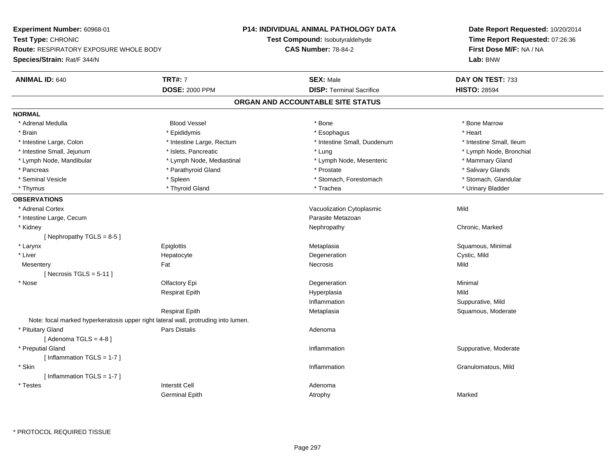**Experiment Number:** 60968-01**Test Type:** CHRONIC **Route:** RESPIRATORY EXPOSURE WHOLE BODY**Species/Strain:** Rat/F 344/N**P14: INDIVIDUAL ANIMAL PATHOLOGY DATATest Compound:** Isobutyraldehyde**CAS Number:** 78-84-2**Date Report Requested:** 10/20/2014**Time Report Requested:** 07:26:36**First Dose M/F:** NA / NA**Lab:** BNW**ANIMAL ID:** 640**TRT#:** 7 **SEX:** Male **DAY ON TEST:** 733 **DOSE:** 2000 PPM**DISP:** Terminal Sacrifice **HISTO:** 28594 **ORGAN AND ACCOUNTABLE SITE STATUSNORMAL** \* Adrenal Medulla Blood Vessel \* Bone \* Bone Marrow\* Brain \* \* Esophagus \* \* Esophagus \* \* Esophagus \* \* Esophagus \* \* Esophagus \* Heart \* Heart \* Heart \* Heart \* Intestine Large, Colon \* Intestine Large, Rectum \* Intestine Small, Duodenum \* Intestine Small, Ileum \* Intestine Small, Ileum \* Lymph Node, Bronchial \* Intestine Small, Jejunum \* Mathematic \* Lung \* Islets, Pancreatic \* Mathematic \* Lung \* Lung \* Node, Bronchial \* Lymph Node, Mandibular \* The mode of the Mediastinal The Mediastinal the Mediastinal the Mediasting the Mammary Gland \* Salivary Glands \* Pancreas \* And the second term in the second term in the second term in the second term in the second term in the second term in the second term in the second term in the second term in the second term in the second term \* Stomach. Glandular \* Seminal Vesicle \* Spleen \* Spleen \* Spleen \* Stomach, Forestomach \* Stomach, Forestomach \* Thymus \* Thyroid Gland \* Trachea \* Urinary Bladder \* **OBSERVATIONS** \* Adrenal CortexVacuolization Cytoplasmic Mild \* Intestine Large, Cecumm and the contract of the contract of the contract of the contract of the contract of the Metazoan Parasite Metazoan<br>The contract of the contract of the contract of the contract of the contract of the contract of the contr \* Kidneyy the controller of the controller of the controller of the Nephropathy Chronic, Marked ( $\alpha$  ) of the controller of the controller of the controller of the controller of the controller of the controller of the controller [ Nephropathy  $TGLS = 8-5$  ] \* Larynx Epiglottis MetaplasiaMetaplasia **Mataplasia** et al. et al. et al. et al. et al. et al. et al. et al. et al. et al. et al. et al. et a \* Liver Hepatocytee the contract of the Degeneration Cystic, Mild and Cystic, Mild and Cystic, Mild **Mesentery** y the contract of the contract of the contract of the contract of the contract of the contract of the contract of the contract of the contract of the contract of the contract of the contract of the contract of the contract  $[$  Necrosis TGLS = 5-11  $]$  \* Nosee and the Colombia Colombia Colombia Colombia Colombia Colombia Degeneration and the Colombia Colombia Minimal<br>Colombia Colombia Colombia Colombia Colombia Colombia Colombia Colombia Colombia Colombia Colombia Colombia Co Respirat Epith Hyperplasia Mild Inflammation Suppurative, Mild Respirat EpithMetaplasia **Squamous, Moderate** Note: focal marked hyperkeratosis upper right lateral wall, protruding into lumen. \* Pituitary Glandd and the contract of Pars Distalis and the contract of Adenoma and Adenoma and the Adenoma and the Adenoma and  $\lambda$  $[$  Adenoma TGLS = 4-8  $]$  \* Preputial Glandd inflammation inflammation in the Suppurative, Moderate in the Suppurative, Moderate in the Suppurative, Moderate in the Suppurative, Moderate in the Suppurative, Moderate in the Suppurative, Moderate in the Suppurative, [ Inflammation TGLS = 1-7 ] \* Skinn and the control of the control of the control of the control of the control of the control of the control of the control of the control of the control of the control of the control of the control of the control of the co [ Inflammation TGLS = 1-7 ] \* Testes Interstit Cell AdenomaGerminal Epithh and the control of the Atrophy and the Marked Marked Marked Street and the Marked Street and Marked Street and Marked Street and Marked Street and Marked Street and Marked Street and Marked Street and Marked Street and M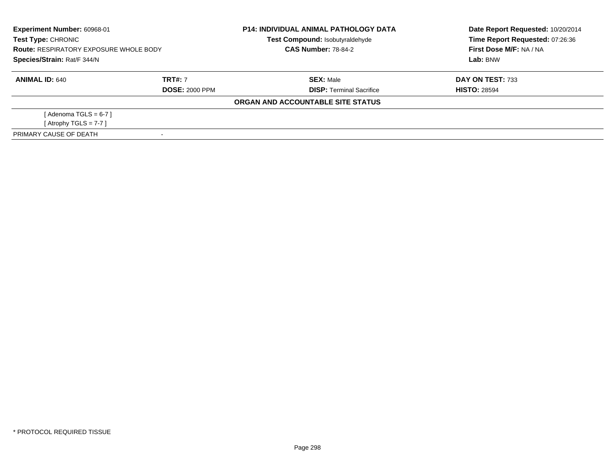| Experiment Number: 60968-01<br><b>Test Type: CHRONIC</b><br><b>Route: RESPIRATORY EXPOSURE WHOLE BODY</b><br>Species/Strain: Rat/F 344/N |                       | <b>P14: INDIVIDUAL ANIMAL PATHOLOGY DATA</b><br>Test Compound: Isobutyraldehyde | Date Report Requested: 10/20/2014<br>Time Report Requested: 07:26:36 |
|------------------------------------------------------------------------------------------------------------------------------------------|-----------------------|---------------------------------------------------------------------------------|----------------------------------------------------------------------|
|                                                                                                                                          |                       | <b>CAS Number: 78-84-2</b>                                                      | First Dose M/F: NA / NA                                              |
|                                                                                                                                          |                       |                                                                                 | Lab: BNW                                                             |
| <b>ANIMAL ID: 640</b>                                                                                                                    | <b>TRT#: 7</b>        | <b>SEX: Male</b>                                                                | DAY ON TEST: 733                                                     |
|                                                                                                                                          | <b>DOSE: 2000 PPM</b> | <b>DISP: Terminal Sacrifice</b>                                                 | <b>HISTO: 28594</b>                                                  |
|                                                                                                                                          |                       | ORGAN AND ACCOUNTABLE SITE STATUS                                               |                                                                      |
| [ Adenoma TGLS = 6-7 ]                                                                                                                   |                       |                                                                                 |                                                                      |
| [Atrophy TGLS = $7-7$ ]                                                                                                                  |                       |                                                                                 |                                                                      |
| PRIMARY CAUSE OF DEATH                                                                                                                   |                       |                                                                                 |                                                                      |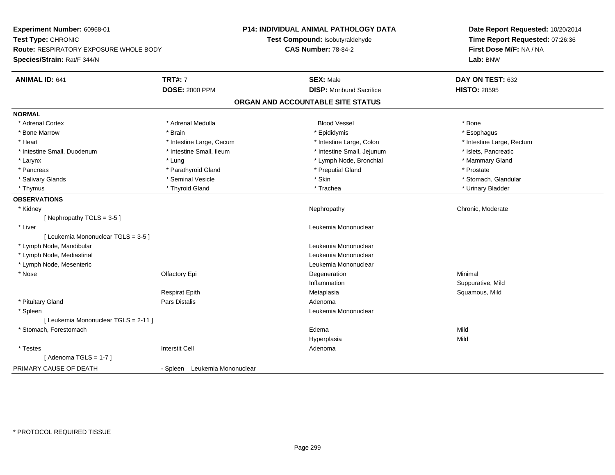**Experiment Number:** 60968-01**Test Type:** CHRONIC **Route:** RESPIRATORY EXPOSURE WHOLE BODY**Species/Strain:** Rat/F 344/N**P14: INDIVIDUAL ANIMAL PATHOLOGY DATATest Compound:** Isobutyraldehyde**CAS Number:** 78-84-2**Date Report Requested:** 10/20/2014**Time Report Requested:** 07:26:36**First Dose M/F:** NA / NA**Lab:** BNW**ANIMAL ID:** 641**TRT#:** 7 **SEX:** Male **DAY ON TEST:** 632 **DOSE:** 2000 PPM**DISP:** Moribund Sacrifice **HISTO:** 28595 **ORGAN AND ACCOUNTABLE SITE STATUSNORMAL**\* Adrenal Cortex \* Adrenal Cortex \* Adrenal Medulla Blood Vessel \* Bone\* Esophagus \* Bone Marrow \* Brain \* Epididymis \* Esophagus \* Heart Thestine Large, Cecum Thestine Large, Cecum Assessment Carge, Colon Thestine Large, Rectum \* Intestine Large, Rectum \* Intestine Large, Rectum \* Intestine Small, Duodenum \* Intestine Small, Ileum \* Intestine Small, Intestine Small, Jejunum \* Islets, Pancreatic \* Mammary Gland \* Larynx **\* Lung \* Lung \* Lung \* Ammary Gland** \* Annual \* Lymph Node, Bronchial \* Mammary Gland \* Mammary Gland \* Mammary Gland \* Mammary F \* Pancreas \* Parathyroid Gland \* Parathyroid Gland \* Preputial Gland \* Preputial Gland \* Prostate \* Stomach. Glandular \* Salivary Glands \* \* Stomach, Glandular \* Seminal Vesicle \* \* Stomach, Stomach, Stomach, Glandular \* Stomach, Glandular \* Stomach, Glandular \* Stomach, Glandular \* Stomach, Glandular \* Stomach, Glandular \* Stomach, Glandu \* Thymus \* Thyroid Gland \* Trachea \* Urinary Bladder \* **OBSERVATIONS** \* Kidneyy the chronic, Moderate and September 2012 of the Chronic Moderate and September 2013 of the Chronic, Moderate [ Nephropathy TGLS = 3-5 ] \* Liver Leukemia Mononuclear [ Leukemia Mononuclear TGLS = 3-5 ] \* Lymph Node, Mandibular Leukemia Mononuclear \* Lymph Node, Mediastinal Leukemia Mononuclear \* Lymph Node, Mesenteric Leukemia Mononuclear \* Nosee and the Colombia Colombia Colombia Colombia Colombia Colombia Degeneration and the Colombia Colombia Minimal<br>Colombia Colombia Colombia Colombia Colombia Colombia Colombia Colombia Colombia Colombia Colombia Colombia Co Inflammation Suppurative, Mild Respirat Epith Metaplasia Squamous, Mild \* Pituitary Glandd and the contract of Pars Distalis and the contract of Adenoma and Adenoma and the Adenoma and the Adenoma and  $\lambda$  \* Spleen Leukemia Mononuclear [ Leukemia Mononuclear TGLS = 2-11 ] \* Stomach, Forestomachh anns an t-ainm an t-ainm anns an t-ainm an t-ainm an t-ainm an t-ainm an t-ainm an t-ainm an t-ainm an t-ainm Hyperplasiaa Mild \* Testes Interstit Cell Adenoma $[$  Adenoma TGLS = 1-7  $]$ PRIMARY CAUSE OF DEATH- Spleen Leukemia Mononuclear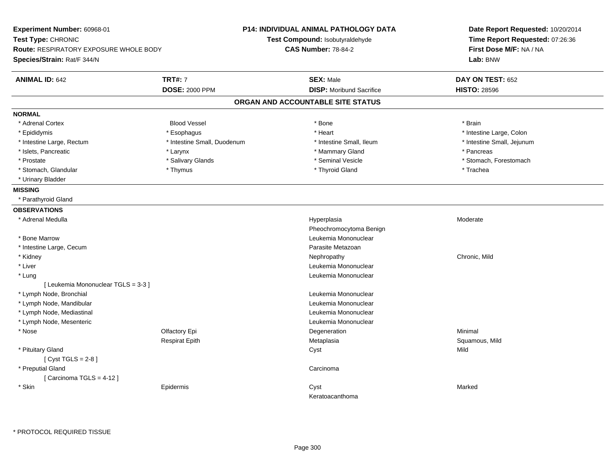| Experiment Number: 60968-01<br>Test Type: CHRONIC<br><b>Route: RESPIRATORY EXPOSURE WHOLE BODY</b><br>Species/Strain: Rat/F 344/N |                             | P14: INDIVIDUAL ANIMAL PATHOLOGY DATA<br>Test Compound: Isobutyraldehyde<br><b>CAS Number: 78-84-2</b> | Date Report Requested: 10/20/2014<br>Time Report Requested: 07:26:36<br>First Dose M/F: NA / NA<br>Lab: BNW |
|-----------------------------------------------------------------------------------------------------------------------------------|-----------------------------|--------------------------------------------------------------------------------------------------------|-------------------------------------------------------------------------------------------------------------|
| <b>ANIMAL ID: 642</b>                                                                                                             | <b>TRT#: 7</b>              | <b>SEX: Male</b>                                                                                       | DAY ON TEST: 652                                                                                            |
|                                                                                                                                   | <b>DOSE: 2000 PPM</b>       | <b>DISP:</b> Moribund Sacrifice                                                                        | <b>HISTO: 28596</b>                                                                                         |
|                                                                                                                                   |                             | ORGAN AND ACCOUNTABLE SITE STATUS                                                                      |                                                                                                             |
| <b>NORMAL</b>                                                                                                                     |                             |                                                                                                        |                                                                                                             |
| * Adrenal Cortex                                                                                                                  | <b>Blood Vessel</b>         | * Bone                                                                                                 | * Brain                                                                                                     |
| * Epididymis                                                                                                                      | * Esophagus                 | * Heart                                                                                                | * Intestine Large, Colon                                                                                    |
| * Intestine Large, Rectum                                                                                                         | * Intestine Small, Duodenum | * Intestine Small, Ileum                                                                               | * Intestine Small, Jejunum                                                                                  |
| * Islets, Pancreatic                                                                                                              | * Larynx                    | * Mammary Gland                                                                                        | * Pancreas                                                                                                  |
| * Prostate                                                                                                                        | * Salivary Glands           | * Seminal Vesicle                                                                                      | * Stomach, Forestomach                                                                                      |
| * Stomach, Glandular                                                                                                              | * Thymus                    | * Thyroid Gland                                                                                        | * Trachea                                                                                                   |
| * Urinary Bladder                                                                                                                 |                             |                                                                                                        |                                                                                                             |
| <b>MISSING</b>                                                                                                                    |                             |                                                                                                        |                                                                                                             |
| * Parathyroid Gland                                                                                                               |                             |                                                                                                        |                                                                                                             |
| <b>OBSERVATIONS</b>                                                                                                               |                             |                                                                                                        |                                                                                                             |
| * Adrenal Medulla                                                                                                                 |                             | Hyperplasia                                                                                            | Moderate                                                                                                    |
|                                                                                                                                   |                             | Pheochromocytoma Benign                                                                                |                                                                                                             |
| * Bone Marrow                                                                                                                     |                             | Leukemia Mononuclear                                                                                   |                                                                                                             |
| * Intestine Large, Cecum                                                                                                          |                             | Parasite Metazoan                                                                                      |                                                                                                             |
| * Kidney                                                                                                                          |                             | Nephropathy                                                                                            | Chronic, Mild                                                                                               |
| * Liver                                                                                                                           |                             | Leukemia Mononuclear                                                                                   |                                                                                                             |
| * Lung                                                                                                                            |                             | Leukemia Mononuclear                                                                                   |                                                                                                             |
| [Leukemia Mononuclear TGLS = 3-3]                                                                                                 |                             |                                                                                                        |                                                                                                             |
| * Lymph Node, Bronchial                                                                                                           |                             | Leukemia Mononuclear                                                                                   |                                                                                                             |
| * Lymph Node, Mandibular                                                                                                          |                             | Leukemia Mononuclear                                                                                   |                                                                                                             |
| * Lymph Node, Mediastinal                                                                                                         |                             | Leukemia Mononuclear                                                                                   |                                                                                                             |
| * Lymph Node, Mesenteric                                                                                                          |                             | Leukemia Mononuclear                                                                                   |                                                                                                             |
| * Nose                                                                                                                            | Olfactory Epi               | Degeneration                                                                                           | Minimal                                                                                                     |
|                                                                                                                                   | <b>Respirat Epith</b>       | Metaplasia                                                                                             | Squamous, Mild                                                                                              |
| * Pituitary Gland                                                                                                                 |                             | Cyst                                                                                                   | Mild                                                                                                        |
| [Cyst TGLS = $2-8$ ]                                                                                                              |                             |                                                                                                        |                                                                                                             |
| * Preputial Gland                                                                                                                 |                             | Carcinoma                                                                                              |                                                                                                             |
| [Carcinoma TGLS = 4-12]                                                                                                           |                             |                                                                                                        |                                                                                                             |
| * Skin                                                                                                                            | Epidermis                   | Cyst                                                                                                   | Marked                                                                                                      |
|                                                                                                                                   |                             | Keratoacanthoma                                                                                        |                                                                                                             |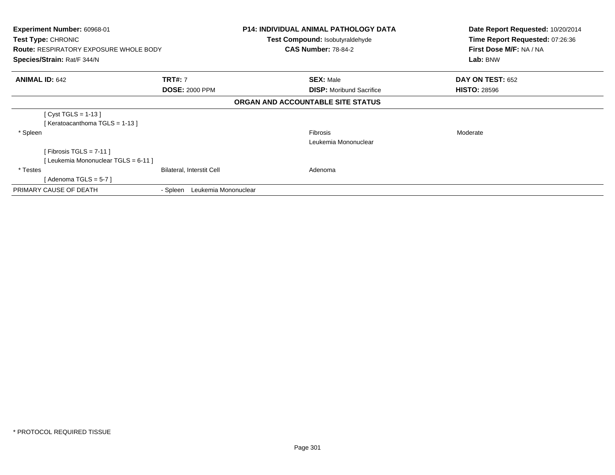| <b>Experiment Number: 60968-01</b><br>Test Type: CHRONIC<br><b>Route: RESPIRATORY EXPOSURE WHOLE BODY</b><br>Species/Strain: Rat/F 344/N |                                  | <b>P14: INDIVIDUAL ANIMAL PATHOLOGY DATA</b><br><b>Test Compound: Isobutyraldehyde</b><br><b>CAS Number: 78-84-2</b> | Date Report Requested: 10/20/2014<br>Time Report Requested: 07:26:36<br>First Dose M/F: NA / NA<br>Lab: BNW |
|------------------------------------------------------------------------------------------------------------------------------------------|----------------------------------|----------------------------------------------------------------------------------------------------------------------|-------------------------------------------------------------------------------------------------------------|
| <b>ANIMAL ID: 642</b>                                                                                                                    | <b>TRT#: 7</b>                   | <b>SEX: Male</b>                                                                                                     | DAY ON TEST: 652                                                                                            |
|                                                                                                                                          | <b>DOSE: 2000 PPM</b>            | <b>DISP:</b> Moribund Sacrifice                                                                                      | <b>HISTO: 28596</b>                                                                                         |
|                                                                                                                                          |                                  | ORGAN AND ACCOUNTABLE SITE STATUS                                                                                    |                                                                                                             |
| [ Cyst TGLS = 1-13 ]<br>[Keratoacanthoma TGLS = 1-13]                                                                                    |                                  |                                                                                                                      |                                                                                                             |
| * Spleen                                                                                                                                 |                                  | <b>Fibrosis</b>                                                                                                      | Moderate                                                                                                    |
|                                                                                                                                          |                                  | Leukemia Mononuclear                                                                                                 |                                                                                                             |
| [Fibrosis TGLS = $7-11$ ]                                                                                                                |                                  |                                                                                                                      |                                                                                                             |
| [Leukemia Mononuclear TGLS = 6-11]                                                                                                       |                                  |                                                                                                                      |                                                                                                             |
| * Testes                                                                                                                                 | <b>Bilateral, Interstit Cell</b> | Adenoma                                                                                                              |                                                                                                             |
| [ Adenoma TGLS = 5-7 ]                                                                                                                   |                                  |                                                                                                                      |                                                                                                             |
| PRIMARY CAUSE OF DEATH                                                                                                                   | Leukemia Mononuclear<br>- Spleen |                                                                                                                      |                                                                                                             |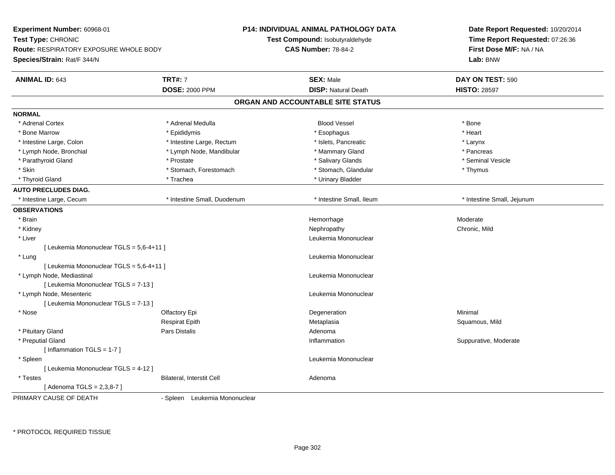| Experiment Number: 60968-01<br>Test Type: CHRONIC<br><b>Route: RESPIRATORY EXPOSURE WHOLE BODY</b><br>Species/Strain: Rat/F 344/N |                               | P14: INDIVIDUAL ANIMAL PATHOLOGY DATA<br>Test Compound: Isobutyraldehyde<br><b>CAS Number: 78-84-2</b> | Date Report Requested: 10/20/2014<br>Time Report Requested: 07:26:36<br>First Dose M/F: NA / NA<br>Lab: BNW |
|-----------------------------------------------------------------------------------------------------------------------------------|-------------------------------|--------------------------------------------------------------------------------------------------------|-------------------------------------------------------------------------------------------------------------|
| <b>ANIMAL ID: 643</b>                                                                                                             | <b>TRT#: 7</b>                | <b>SEX: Male</b>                                                                                       | DAY ON TEST: 590                                                                                            |
|                                                                                                                                   | <b>DOSE: 2000 PPM</b>         | <b>DISP: Natural Death</b>                                                                             | <b>HISTO: 28597</b>                                                                                         |
|                                                                                                                                   |                               | ORGAN AND ACCOUNTABLE SITE STATUS                                                                      |                                                                                                             |
| <b>NORMAL</b>                                                                                                                     |                               |                                                                                                        |                                                                                                             |
| * Adrenal Cortex                                                                                                                  | * Adrenal Medulla             | <b>Blood Vessel</b>                                                                                    | * Bone                                                                                                      |
| * Bone Marrow                                                                                                                     | * Epididymis                  | * Esophagus                                                                                            | * Heart                                                                                                     |
| * Intestine Large, Colon                                                                                                          | * Intestine Large, Rectum     | * Islets, Pancreatic                                                                                   | * Larynx                                                                                                    |
| * Lymph Node, Bronchial                                                                                                           | * Lymph Node, Mandibular      | * Mammary Gland                                                                                        | * Pancreas                                                                                                  |
| * Parathyroid Gland                                                                                                               | * Prostate                    | * Salivary Glands                                                                                      | * Seminal Vesicle                                                                                           |
| * Skin                                                                                                                            | * Stomach, Forestomach        | * Stomach, Glandular                                                                                   | * Thymus                                                                                                    |
| * Thyroid Gland                                                                                                                   | * Trachea                     | * Urinary Bladder                                                                                      |                                                                                                             |
| <b>AUTO PRECLUDES DIAG.</b>                                                                                                       |                               |                                                                                                        |                                                                                                             |
| * Intestine Large, Cecum                                                                                                          | * Intestine Small, Duodenum   | * Intestine Small, Ileum                                                                               | * Intestine Small, Jejunum                                                                                  |
| <b>OBSERVATIONS</b>                                                                                                               |                               |                                                                                                        |                                                                                                             |
| * Brain                                                                                                                           |                               | Hemorrhage                                                                                             | Moderate                                                                                                    |
| * Kidney                                                                                                                          |                               | Nephropathy                                                                                            | Chronic, Mild                                                                                               |
| * Liver                                                                                                                           |                               | Leukemia Mononuclear                                                                                   |                                                                                                             |
| [ Leukemia Mononuclear TGLS = 5,6-4+11 ]                                                                                          |                               |                                                                                                        |                                                                                                             |
| * Lung                                                                                                                            |                               | Leukemia Mononuclear                                                                                   |                                                                                                             |
| [ Leukemia Mononuclear TGLS = 5,6-4+11 ]                                                                                          |                               |                                                                                                        |                                                                                                             |
| * Lymph Node, Mediastinal                                                                                                         |                               | Leukemia Mononuclear                                                                                   |                                                                                                             |
| [ Leukemia Mononuclear TGLS = 7-13 ]                                                                                              |                               |                                                                                                        |                                                                                                             |
| * Lymph Node, Mesenteric                                                                                                          |                               | Leukemia Mononuclear                                                                                   |                                                                                                             |
| [ Leukemia Mononuclear TGLS = 7-13 ]                                                                                              |                               |                                                                                                        |                                                                                                             |
| * Nose                                                                                                                            | Olfactory Epi                 | Degeneration                                                                                           | Minimal                                                                                                     |
|                                                                                                                                   | Respirat Epith                | Metaplasia                                                                                             | Squamous, Mild                                                                                              |
| * Pituitary Gland                                                                                                                 | <b>Pars Distalis</b>          | Adenoma                                                                                                |                                                                                                             |
| * Preputial Gland                                                                                                                 |                               | Inflammation                                                                                           | Suppurative, Moderate                                                                                       |
| [Inflammation TGLS = 1-7]                                                                                                         |                               |                                                                                                        |                                                                                                             |
| * Spleen                                                                                                                          |                               | Leukemia Mononuclear                                                                                   |                                                                                                             |
| [ Leukemia Mononuclear TGLS = 4-12 ]                                                                                              |                               |                                                                                                        |                                                                                                             |
| * Testes                                                                                                                          | Bilateral, Interstit Cell     | Adenoma                                                                                                |                                                                                                             |
| [Adenoma TGLS = 2,3,8-7]                                                                                                          |                               |                                                                                                        |                                                                                                             |
| PRIMARY CAUSE OF DEATH                                                                                                            | - Spleen Leukemia Mononuclear |                                                                                                        |                                                                                                             |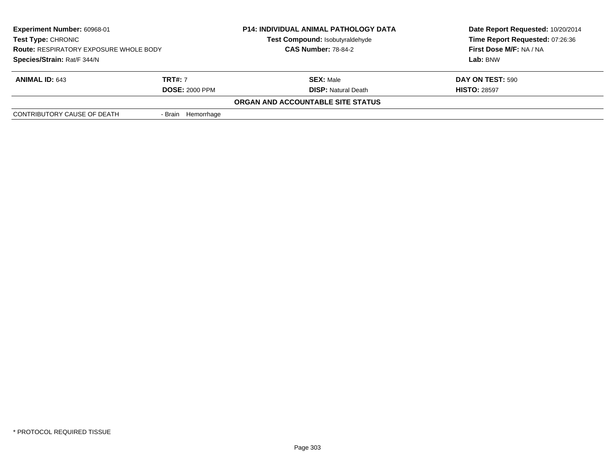| <b>Experiment Number: 60968-01</b><br><b>Test Type: CHRONIC</b><br><b>Route: RESPIRATORY EXPOSURE WHOLE BODY</b><br>Species/Strain: Rat/F 344/N |                    | <b>P14: INDIVIDUAL ANIMAL PATHOLOGY DATA</b><br>Test Compound: Isobutyraldehyde<br><b>CAS Number: 78-84-2</b> | Date Report Requested: 10/20/2014<br>Time Report Requested: 07:26:36<br>First Dose M/F: NA / NA<br>Lab: BNW |
|-------------------------------------------------------------------------------------------------------------------------------------------------|--------------------|---------------------------------------------------------------------------------------------------------------|-------------------------------------------------------------------------------------------------------------|
| <b>TRT#:</b> 7<br><b>ANIMAL ID: 643</b><br><b>DOSE: 2000 PPM</b>                                                                                |                    | <b>SEX: Male</b><br><b>DISP: Natural Death</b>                                                                | DAY ON TEST: 590<br><b>HISTO: 28597</b>                                                                     |
|                                                                                                                                                 |                    | ORGAN AND ACCOUNTABLE SITE STATUS                                                                             |                                                                                                             |
| CONTRIBUTORY CAUSE OF DEATH                                                                                                                     | - Brain Hemorrhage |                                                                                                               |                                                                                                             |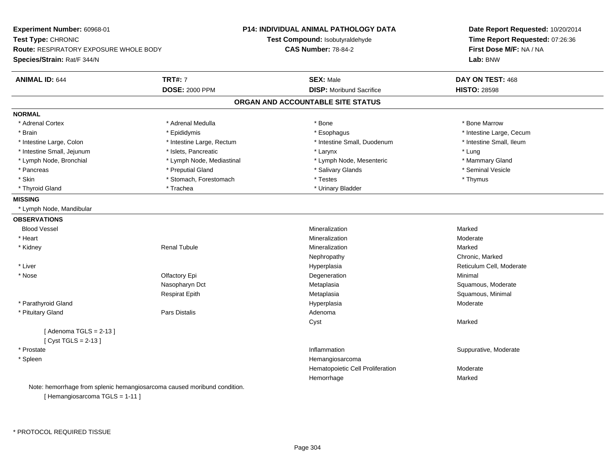| Experiment Number: 60968-01<br>Test Type: CHRONIC<br>Route: RESPIRATORY EXPOSURE WHOLE BODY<br>Species/Strain: Rat/F 344/N |                                                                          | P14: INDIVIDUAL ANIMAL PATHOLOGY DATA<br>Test Compound: Isobutyraldehyde<br><b>CAS Number: 78-84-2</b> | Date Report Requested: 10/20/2014<br>Time Report Requested: 07:26:36<br>First Dose M/F: NA / NA<br>Lab: BNW |
|----------------------------------------------------------------------------------------------------------------------------|--------------------------------------------------------------------------|--------------------------------------------------------------------------------------------------------|-------------------------------------------------------------------------------------------------------------|
| <b>ANIMAL ID: 644</b>                                                                                                      | <b>TRT#: 7</b>                                                           | <b>SEX: Male</b>                                                                                       | DAY ON TEST: 468                                                                                            |
|                                                                                                                            | <b>DOSE: 2000 PPM</b>                                                    | <b>DISP:</b> Moribund Sacrifice                                                                        | <b>HISTO: 28598</b>                                                                                         |
|                                                                                                                            |                                                                          | ORGAN AND ACCOUNTABLE SITE STATUS                                                                      |                                                                                                             |
| <b>NORMAL</b>                                                                                                              |                                                                          |                                                                                                        |                                                                                                             |
| * Adrenal Cortex                                                                                                           | * Adrenal Medulla                                                        | * Bone                                                                                                 | * Bone Marrow                                                                                               |
| * Brain                                                                                                                    | * Epididymis                                                             | * Esophagus                                                                                            | * Intestine Large, Cecum                                                                                    |
| * Intestine Large, Colon                                                                                                   | * Intestine Large, Rectum                                                | * Intestine Small, Duodenum                                                                            | * Intestine Small, Ileum                                                                                    |
| * Intestine Small, Jejunum                                                                                                 | * Islets, Pancreatic                                                     | * Larynx                                                                                               | * Lung                                                                                                      |
| * Lymph Node, Bronchial                                                                                                    | * Lymph Node, Mediastinal                                                | * Lymph Node, Mesenteric                                                                               | * Mammary Gland                                                                                             |
| * Pancreas                                                                                                                 | * Preputial Gland                                                        | * Salivary Glands                                                                                      | * Seminal Vesicle                                                                                           |
| * Skin                                                                                                                     | * Stomach, Forestomach                                                   | * Testes                                                                                               | * Thymus                                                                                                    |
| * Thyroid Gland                                                                                                            | * Trachea                                                                | * Urinary Bladder                                                                                      |                                                                                                             |
| <b>MISSING</b>                                                                                                             |                                                                          |                                                                                                        |                                                                                                             |
| * Lymph Node, Mandibular                                                                                                   |                                                                          |                                                                                                        |                                                                                                             |
| <b>OBSERVATIONS</b>                                                                                                        |                                                                          |                                                                                                        |                                                                                                             |
| <b>Blood Vessel</b>                                                                                                        |                                                                          | Mineralization                                                                                         | Marked                                                                                                      |
| * Heart                                                                                                                    |                                                                          | Mineralization                                                                                         | Moderate                                                                                                    |
| * Kidney                                                                                                                   | <b>Renal Tubule</b>                                                      | Mineralization                                                                                         | Marked                                                                                                      |
|                                                                                                                            |                                                                          | Nephropathy                                                                                            | Chronic, Marked                                                                                             |
| * Liver                                                                                                                    |                                                                          | Hyperplasia                                                                                            | Reticulum Cell, Moderate                                                                                    |
| * Nose                                                                                                                     | Olfactory Epi                                                            | Degeneration                                                                                           | Minimal                                                                                                     |
|                                                                                                                            | Nasopharyn Dct                                                           | Metaplasia                                                                                             | Squamous, Moderate                                                                                          |
|                                                                                                                            | <b>Respirat Epith</b>                                                    | Metaplasia                                                                                             | Squamous, Minimal                                                                                           |
| * Parathyroid Gland                                                                                                        |                                                                          | Hyperplasia                                                                                            | Moderate                                                                                                    |
| * Pituitary Gland                                                                                                          | <b>Pars Distalis</b>                                                     | Adenoma                                                                                                |                                                                                                             |
|                                                                                                                            |                                                                          | Cyst                                                                                                   | Marked                                                                                                      |
| [Adenoma TGLS = $2-13$ ]<br>[Cyst TGLS = $2-13$ ]                                                                          |                                                                          |                                                                                                        |                                                                                                             |
| * Prostate                                                                                                                 |                                                                          | Inflammation                                                                                           | Suppurative, Moderate                                                                                       |
| * Spleen                                                                                                                   |                                                                          | Hemangiosarcoma                                                                                        |                                                                                                             |
|                                                                                                                            |                                                                          | Hematopoietic Cell Proliferation                                                                       | Moderate                                                                                                    |
|                                                                                                                            |                                                                          | Hemorrhage                                                                                             | Marked                                                                                                      |
|                                                                                                                            | Note: hemorrhage from splenic hemangiosarcoma caused moribund condition. |                                                                                                        |                                                                                                             |

Note: hemorrhage from splenic hemangiosarcoma caused moribund condition.[ Hemangiosarcoma TGLS = 1-11 ]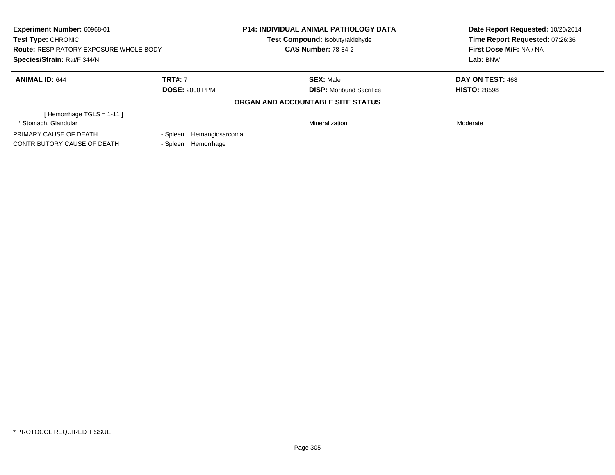| Experiment Number: 60968-01<br><b>Test Type: CHRONIC</b><br><b>Route: RESPIRATORY EXPOSURE WHOLE BODY</b><br>Species/Strain: Rat/F 344/N |                             | <b>P14: INDIVIDUAL ANIMAL PATHOLOGY DATA</b> | Date Report Requested: 10/20/2014<br>Time Report Requested: 07:26:36<br>First Dose M/F: NA / NA<br>Lab: BNW |
|------------------------------------------------------------------------------------------------------------------------------------------|-----------------------------|----------------------------------------------|-------------------------------------------------------------------------------------------------------------|
|                                                                                                                                          |                             | Test Compound: Isobutyraldehyde              |                                                                                                             |
|                                                                                                                                          |                             | <b>CAS Number: 78-84-2</b>                   |                                                                                                             |
|                                                                                                                                          |                             |                                              |                                                                                                             |
| <b>ANIMAL ID: 644</b>                                                                                                                    | <b>TRT#: 7</b>              | <b>SEX: Male</b>                             | DAY ON TEST: 468                                                                                            |
|                                                                                                                                          | <b>DOSE: 2000 PPM</b>       | <b>DISP:</b> Moribund Sacrifice              | <b>HISTO: 28598</b>                                                                                         |
|                                                                                                                                          |                             | ORGAN AND ACCOUNTABLE SITE STATUS            |                                                                                                             |
| [Hemorrhage TGLS = $1-11$ ]                                                                                                              |                             |                                              |                                                                                                             |
| * Stomach, Glandular                                                                                                                     |                             | Mineralization                               | Moderate                                                                                                    |
| PRIMARY CAUSE OF DEATH                                                                                                                   | - Spleen<br>Hemangiosarcoma |                                              |                                                                                                             |
| CONTRIBUTORY CAUSE OF DEATH                                                                                                              | - Spleen<br>Hemorrhage      |                                              |                                                                                                             |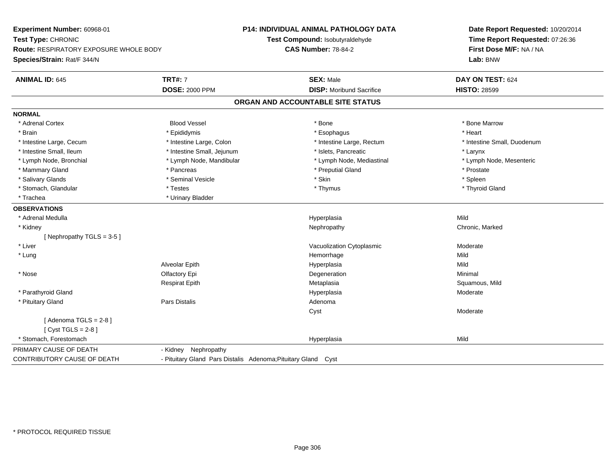**Experiment Number:** 60968-01**Test Type:** CHRONIC **Route:** RESPIRATORY EXPOSURE WHOLE BODY**Species/Strain:** Rat/F 344/N**P14: INDIVIDUAL ANIMAL PATHOLOGY DATATest Compound:** Isobutyraldehyde**CAS Number:** 78-84-2**Date Report Requested:** 10/20/2014**Time Report Requested:** 07:26:36**First Dose M/F:** NA / NA**Lab:** BNW**ANIMAL ID:** 645**TRT#:** 7 **SEX:** Male **DAY ON TEST:** 624 **DOSE:** 2000 PPM**DISP:** Moribund Sacrifice **HISTO:** 28599 **ORGAN AND ACCOUNTABLE SITE STATUSNORMAL**\* Adrenal Cortex \* Adrenal Cortex \* Attack the state of the state of the Blood Vessel the state of the state of the state of the Marrow \* Bone Marrow \* Bone Marrow \* Bone Marrow \* Bone Marrow \* Bone Marrow \* Bone Marrow \* Bone Marrow \* Bon \* Brain \* \* Esophagus \* \* Esophagus \* \* Esophagus \* \* Esophagus \* \* Esophagus \* Heart \* Heart \* Heart \* Heart \* Intestine Large, Cecum \* Intestine Large, Colon \* Intestine Large, Rectum \* Intestine Small, Duodenum \* Intestine Small, Ileum \* Intestine Small, Jejunum \* Islets, Pancreatic \* Larynx\* Lymph Node, Mesenteric \* Lymph Node, Bronchial \* Lymph Node, Mandibular \* Lymph Node, Mediastinal \* Lymph Node, Mediastinal \* Mammary Gland \* \* Postate \* \* Pancreas \* \* Pancreas \* \* Preputial Gland \* \* Preputial Gland \* \* Prostate \* Spleen \* Salivary Glands \* \* \* Sheen \* Seminal Vesicle \* \* \* Stan \* \* Skin \* \* Skin \* \* Spleen \* \* Spleen \* \* Spleen \* \* Thyroid Gland \* Stomach, Glandular \* Testes \* Thymus \* Thymus \* Thymus \* Thymus \* Thymus \* Thymus \* Thymus \* Thymus \* Thymus \* Trachea **\*** Urinary Bladder **OBSERVATIONS** \* Adrenal Medulla Hyperplasia Mild \* Kidneyy the controller of the controller of the controller of the Nephropathy Chronic, Marked Schronic, Marked Schronic, Marked Schronic, Marked Schronic, Marked Schronic, Marked Schronic, Marked Schronic, Marked Schronic, Marke [ Nephropathy TGLS = 3-5 ] \* Liver Vacuolization Cytoplasmic Moderate \* Lungg and the state of the state of the state of the state of the Hemorrhage state of the Mild state of the Mild state of the State of the State of the State of the State of the State of the State of the State of the State of Alveolar Epithh anns an t-Imperplasia anns an t-Imperplasia anns an t-Imperplasia anns an t-Imperplasia anns an t-Imperplasi \* Nosee and the Colombia Colombia Colombia Colombia Colombia Colombia Degeneration and the Colombia Colombia Minimal<br>Colombia Colombia Colombia Colombia Colombia Colombia Colombia Colombia Colombia Colombia Colombia Colombia Co Respirat Epith Metaplasia Squamous, Mild \* Parathyroid Glandd and the set of the set of the set of the Hyperplasia Moderate and the Moderate  $\sim$  Moderate  $\sim$  \* Pituitary Glandd and the contract of Pars Distalis and the contract of Adenoma and Adenoma and the Adenoma and the Adenoma and  $\lambda$ Cyst Moderate $[$  Adenoma TGLS = 2-8  $]$  $[$  Cyst TGLS = 2-8  $]$  \* Stomach, Forestomachh ann an Chaidh ann an t-ainm an t-ainm an t-ainm an t-ainm an t-ainm an t-ainm an t-ainm an t-ainm an t-ainm a<br>Tha ann an t-ainm an t-ainm an t-ainm an t-ainm an t-ainm an t-ainm an t-ainm an t-ainm an t-ainm an t-ainm an PRIMARY CAUSE OF DEATH - Kidney Nephropathy CONTRIBUTORY CAUSE OF DEATH- Pituitary Gland Pars Distalis Adenoma;Pituitary Gland Cyst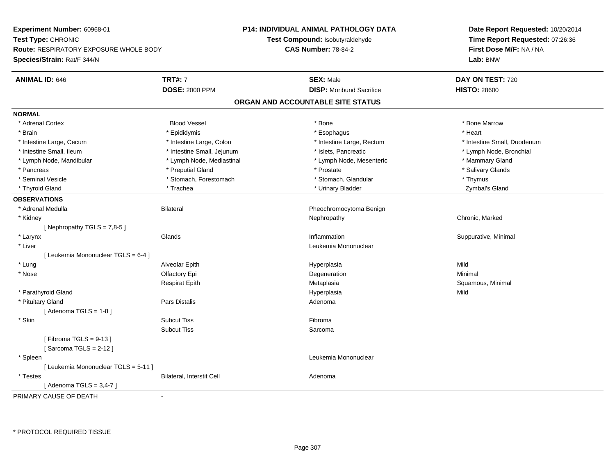**Experiment Number:** 60968-01**Test Type:** CHRONIC **Route:** RESPIRATORY EXPOSURE WHOLE BODY**Species/Strain:** Rat/F 344/N**P14: INDIVIDUAL ANIMAL PATHOLOGY DATATest Compound:** Isobutyraldehyde**CAS Number:** 78-84-2**Date Report Requested:** 10/20/2014**Time Report Requested:** 07:26:36**First Dose M/F:** NA / NA**Lab:** BNW**ANIMAL ID:** 646**TRT#:** 7 **SEX:** Male **DAY ON TEST:** 720 **DOSE:** 2000 PPM**DISP:** Moribund Sacrifice **HISTO:** 28600 **ORGAN AND ACCOUNTABLE SITE STATUSNORMAL**\* Adrenal Cortex \* Adrenal Cortex \* Attack the state of the state of the Blood Vessel the state of the state of the state of the Marrow \* Bone Marrow \* Bone Marrow \* Bone Marrow \* Bone Marrow \* Bone Marrow \* Bone Marrow \* Bone Marrow \* Bon \* Brain \* \* Esophagus \* \* Esophagus \* \* Esophagus \* \* Esophagus \* \* Esophagus \* Heart \* Heart \* Heart \* Heart \* Intestine Large, Cecum \* Intestine Large, Colon \* Intestine Large, Rectum \* Intestine Small, Duodenum \* Intestine Small, Ileum \* Intestine Small, Jejunum \* Islets, Pancreatic \* Lymph Node, Bronchial \* Lymph Node, Mandibular \* Lymph Node, Mediastinal \* Lymph Node, Mesenteric \* Mammary Gland\* Salivary Glands \* Pancreas \* And the second term in the second term in the second term in the second term in the second term in the second term in the second term in the second term in the second term in the second term in the second term \* Seminal Vesicle \* Thymus \* Stomach, Forestomach \* Northern \* Stomach, Glandular \* Thymus \* Thymus Zymbal's Gland \* Thyroid Gland \* \* Trachea \* \* Trachea \* Trachea \* \* Urinary Bladder \* \* Urinary Bladder \* \* Zymbal's Gland \* **OBSERVATIONS** \* Adrenal MedullaBilateral **Pheochromocytoma Benign**  \* Kidneyy the controller of the controller of the controller of the Nephropathy Chronic, Marked Schronic, Marked Schronic, Marked Schronic, Marked Schronic, Marked Schronic, Marked Schronic, Marked Schronic, Marked Schronic, Marke [ Nephropathy  $TGLS = 7,8-5$  ] \* Larynxx and the set of the Glands of the Glands of the set of the set of the set of the set of the set of the set of the set of the set of the set of the set of the set of the set of the set of the set of the set of the set of t Inflammation **Suppurative, Minimal**  \* Liver Leukemia Mononuclear [ Leukemia Mononuclear TGLS = 6-4 ] \* Lung Alveolar Epith Hyperplasia Mild \* Nosee and the Colombia Colombia Colombia Colombia Colombia Colombia Degeneration and the Colombia Colombia Minimal<br>Colombia Colombia Colombia Colombia Colombia Colombia Colombia Colombia Colombia Colombia Colombia Colombia Co Respirat EpithMetaplasia **Squamous, Minimal**  \* Parathyroid Glandd and the control of the control of the control of the Hyperplasia and the control of the Mild of the control of the control of the control of the control of the control of the control of the control of the control of the \* Pituitary Glandd and the contract of Pars Distalis and the contract of Adenoma and Adenoma and the Adenoma and the Adenoma and  $\lambda$  $[$  Adenoma TGLS = 1-8  $]$  \* Skinn and the state of the Subcut Tiss and the state of the Subset of the Subset of the Subset of the Subset of the Subset of the Subset of the Subset of the Subset of the Subset of the Subset of the Subset of the Subset of th Subcut Tiss Sarcoma $[$  Fibroma TGLS = 9-13  $]$ [ Sarcoma TGLS = 2-12 ] \* Spleen Leukemia Mononuclear [ Leukemia Mononuclear TGLS = 5-11 ] \* TestesBilateral, Interstit Cell **Adenoma** Adenoma  $[$  Adenoma TGLS = 3,4-7  $]$ PRIMARY CAUSE OF DEATH-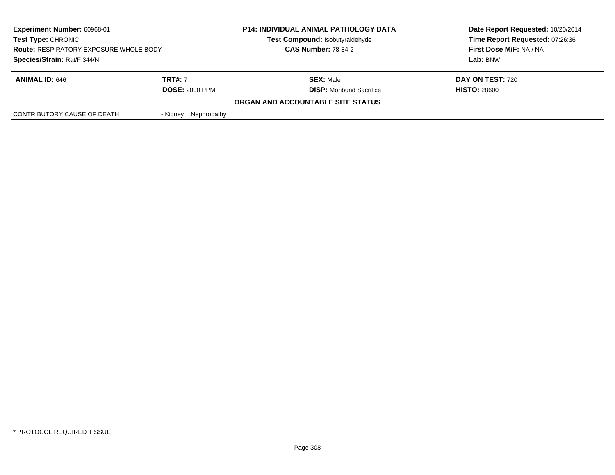| Experiment Number: 60968-01<br><b>Test Type: CHRONIC</b><br><b>Route: RESPIRATORY EXPOSURE WHOLE BODY</b><br>Species/Strain: Rat/F 344/N |                       | <b>P14: INDIVIDUAL ANIMAL PATHOLOGY DATA</b><br>Test Compound: Isobutyraldehyde<br><b>CAS Number: 78-84-2</b> | Date Report Requested: 10/20/2014<br>Time Report Requested: 07:26:36<br>First Dose M/F: NA / NA<br>Lab: BNW |
|------------------------------------------------------------------------------------------------------------------------------------------|-----------------------|---------------------------------------------------------------------------------------------------------------|-------------------------------------------------------------------------------------------------------------|
|                                                                                                                                          |                       |                                                                                                               |                                                                                                             |
| <b>ANIMAL ID: 646</b>                                                                                                                    | <b>TRT#: 7</b>        | <b>SEX: Male</b>                                                                                              | <b>DAY ON TEST: 720</b>                                                                                     |
|                                                                                                                                          | <b>DOSE: 2000 PPM</b> | <b>DISP:</b> Moribund Sacrifice                                                                               | <b>HISTO: 28600</b>                                                                                         |
|                                                                                                                                          |                       | ORGAN AND ACCOUNTABLE SITE STATUS                                                                             |                                                                                                             |
| CONTRIBUTORY CAUSE OF DEATH                                                                                                              | - Kidney Nephropathy  |                                                                                                               |                                                                                                             |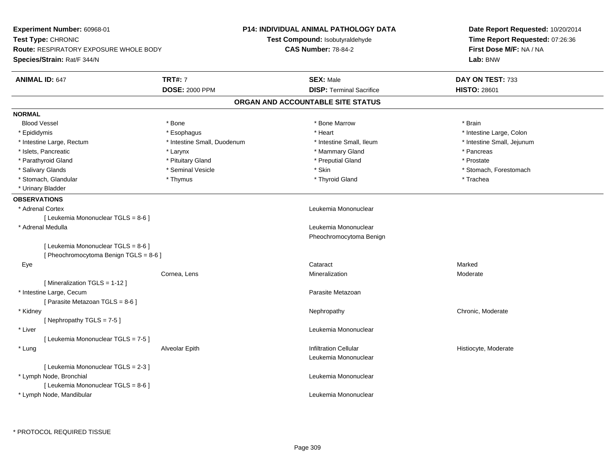| Experiment Number: 60968-01            |                             | <b>P14: INDIVIDUAL ANIMAL PATHOLOGY DATA</b> | Date Report Requested: 10/20/2014<br>Time Report Requested: 07:26:36<br>First Dose M/F: NA / NA |  |
|----------------------------------------|-----------------------------|----------------------------------------------|-------------------------------------------------------------------------------------------------|--|
| Test Type: CHRONIC                     |                             | Test Compound: Isobutyraldehyde              |                                                                                                 |  |
| Route: RESPIRATORY EXPOSURE WHOLE BODY |                             | <b>CAS Number: 78-84-2</b>                   |                                                                                                 |  |
| Species/Strain: Rat/F 344/N            |                             |                                              | Lab: BNW                                                                                        |  |
| <b>ANIMAL ID: 647</b>                  | <b>TRT#: 7</b>              | <b>SEX: Male</b>                             | DAY ON TEST: 733                                                                                |  |
|                                        | <b>DOSE: 2000 PPM</b>       | <b>DISP: Terminal Sacrifice</b>              | <b>HISTO: 28601</b>                                                                             |  |
|                                        |                             | ORGAN AND ACCOUNTABLE SITE STATUS            |                                                                                                 |  |
| <b>NORMAL</b>                          |                             |                                              |                                                                                                 |  |
| <b>Blood Vessel</b>                    | * Bone                      | * Bone Marrow                                | * Brain                                                                                         |  |
| * Epididymis                           | * Esophagus                 | * Heart                                      | * Intestine Large, Colon                                                                        |  |
| * Intestine Large, Rectum              | * Intestine Small, Duodenum | * Intestine Small, Ileum                     | * Intestine Small, Jejunum                                                                      |  |
| * Islets, Pancreatic                   | * Larynx                    | * Mammary Gland                              | * Pancreas                                                                                      |  |
| * Parathyroid Gland                    | * Pituitary Gland           | * Preputial Gland                            | * Prostate                                                                                      |  |
| * Salivary Glands                      | * Seminal Vesicle           | * Skin                                       | * Stomach, Forestomach                                                                          |  |
| * Stomach, Glandular                   | * Thymus                    | * Thyroid Gland                              | * Trachea                                                                                       |  |
| * Urinary Bladder                      |                             |                                              |                                                                                                 |  |
| <b>OBSERVATIONS</b>                    |                             |                                              |                                                                                                 |  |
| * Adrenal Cortex                       |                             | Leukemia Mononuclear                         |                                                                                                 |  |
| [ Leukemia Mononuclear TGLS = 8-6 ]    |                             |                                              |                                                                                                 |  |
| * Adrenal Medulla                      |                             | Leukemia Mononuclear                         |                                                                                                 |  |
|                                        |                             | Pheochromocytoma Benign                      |                                                                                                 |  |
| [ Leukemia Mononuclear TGLS = 8-6 ]    |                             |                                              |                                                                                                 |  |
| [ Pheochromocytoma Benign TGLS = 8-6 ] |                             |                                              |                                                                                                 |  |
| Eye                                    |                             | Cataract                                     | Marked                                                                                          |  |
|                                        | Cornea, Lens                | Mineralization                               | Moderate                                                                                        |  |
| [ Mineralization TGLS = 1-12 ]         |                             |                                              |                                                                                                 |  |
| * Intestine Large, Cecum               |                             | Parasite Metazoan                            |                                                                                                 |  |
| [ Parasite Metazoan TGLS = 8-6 ]       |                             |                                              |                                                                                                 |  |
| * Kidney                               |                             | Nephropathy                                  | Chronic, Moderate                                                                               |  |
| [Nephropathy TGLS = 7-5]               |                             |                                              |                                                                                                 |  |
| * Liver                                |                             | Leukemia Mononuclear                         |                                                                                                 |  |
| [ Leukemia Mononuclear TGLS = 7-5 ]    |                             |                                              |                                                                                                 |  |
| * Lung                                 | Alveolar Epith              | <b>Infiltration Cellular</b>                 | Histiocyte, Moderate                                                                            |  |
|                                        |                             | Leukemia Mononuclear                         |                                                                                                 |  |
| [ Leukemia Mononuclear TGLS = 2-3 ]    |                             |                                              |                                                                                                 |  |
| * Lymph Node, Bronchial                |                             | Leukemia Mononuclear                         |                                                                                                 |  |
| [ Leukemia Mononuclear TGLS = 8-6 ]    |                             |                                              |                                                                                                 |  |
| * Lymph Node, Mandibular               |                             | Leukemia Mononuclear                         |                                                                                                 |  |
|                                        |                             |                                              |                                                                                                 |  |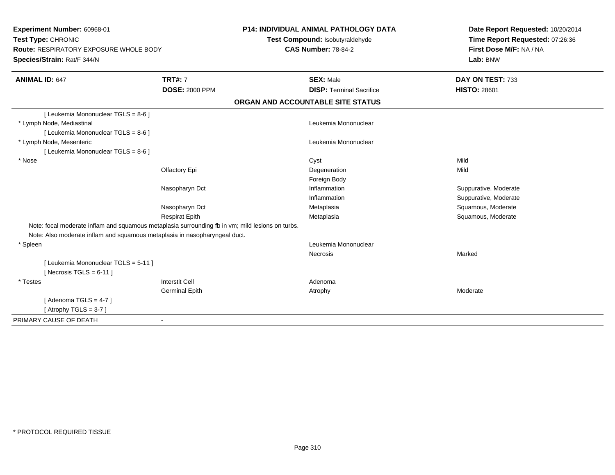**Experiment Number:** 60968-01**Test Type:** CHRONIC **Route:** RESPIRATORY EXPOSURE WHOLE BODY**Species/Strain:** Rat/F 344/N**P14: INDIVIDUAL ANIMAL PATHOLOGY DATATest Compound:** Isobutyraldehyde**CAS Number:** 78-84-2**Date Report Requested:** 10/20/2014**Time Report Requested:** 07:26:36**First Dose M/F:** NA / NA**Lab:** BNW**ANIMAL ID:** 647**TRT#:** 7 **SEX:** Male **DAY ON TEST:** 733 **DOSE:** 2000 PPM**DISP:** Terminal Sacrifice **HISTO:** 28601 **ORGAN AND ACCOUNTABLE SITE STATUS**[ Leukemia Mononuclear TGLS = 8-6 ] \* Lymph Node, Mediastinal Leukemia Mononuclear[ Leukemia Mononuclear TGLS = 8-6 ] \* Lymph Node, Mesenteric Leukemia Mononuclear [ Leukemia Mononuclear TGLS = 8-6 ] \* Nosee and the control of the control of the control of the control of the control of the control of the control of the control of the control of the control of the control of the control of the control of the control of the co Olfactory Epi Degenerationn Mild Foreign Bodyt **Inflammation** Nasopharyn Dct Suppurative, Moderate Inflammation Suppurative, Moderate Nasopharyn Dct Metaplasia Squamous, Moderate Respirat EpithMetaplasia **Squamous, Moderate** Note: focal moderate inflam and squamous metaplasia surrounding fb in vm; mild lesions on turbs.Note: Also moderate inflam and squamous metaplasia in nasopharyngeal duct. \* Spleenn and the control of the control of the control of the control of the control of the control of the control of the control of the control of the control of the control of the control of the control of the control of the co **Necrosis** s and the contract of the Marked [ Leukemia Mononuclear TGLS = 5-11 ] $[$  Necrosis TGLS = 6-11  $]$  \* Testess and the contract of the contract of the contract of the contract of the contract of the contract of the contract of  $\mathbb{R}^n$ Germinal Epithh and the control of the Atrophy and the Moderate of the Moderate of the Moderate of the Moderate of the Moderate of the Moderate of the Moderate of the Moderate of the Moderate of the Moderate of the Moderate of the Moder  $[$  Adenoma TGLS = 4-7  $]$  $[$  Atrophy TGLS = 3-7  $]$ PRIMARY CAUSE OF DEATH-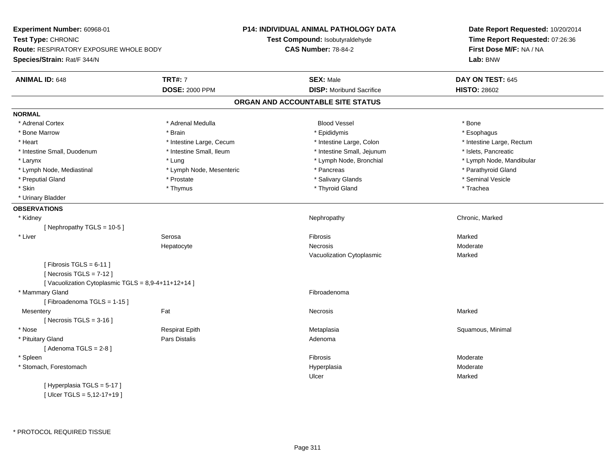**Experiment Number:** 60968-01**Test Type:** CHRONIC **Route:** RESPIRATORY EXPOSURE WHOLE BODY**Species/Strain:** Rat/F 344/N**P14: INDIVIDUAL ANIMAL PATHOLOGY DATATest Compound:** Isobutyraldehyde**CAS Number:** 78-84-2**Date Report Requested:** 10/20/2014**Time Report Requested:** 07:26:36**First Dose M/F:** NA / NA**Lab:** BNW**ANIMAL ID:** 648**TRT#:** 7 **SEX:** Male **DAY ON TEST:** 645 **DOSE:** 2000 PPM**DISP:** Moribund Sacrifice **HISTO:** 28602 **ORGAN AND ACCOUNTABLE SITE STATUSNORMAL**\* Adrenal Cortex \* Adrenal Cortex \* Adrenal Medulla Blood Vessel \* Bone\* Esophagus \* Bone Marrow \* Brain \* Epididymis \* Esophagus \* Heart Thestine Large, Cecum Thestine Large, Cecum Assessment Carge, Colon Thestine Large, Rectum \* Intestine Large, Rectum \* Intestine Large, Rectum \* Intestine Small, Duodenum \* Intestine Small, Ileum \* Intestine Small, Intestine Small, Jejunum \* Islets, Pancreatic \* Larynx \* Lung \* Lymph Node, Bronchial \* Lymph Node, Mandibular \* Lymph Node, Mediastinal \* The state of the state of the Mesenteric \* Pancreas \* Pancreas \* Parathyroid Gland \* Preputial Gland \* \* Annual vesicle \* \* Prostate \* \* Salivary Glands \* \* Salivary Glands \* \* Seminal Vesicle \* \* Skin \* \* Thymus \* Thymus \* \* Thymus \* \* Thyroid Gland \* \* Thyroid Thurbury \* Trachea \* Urinary Bladder**OBSERVATIONS** \* Kidneyy the controller of the controller of the controller of the Nephropathy Chronic, Marked Schronic, Marked Schronic, Marked Schronic, Marked Schronic, Marked Schronic, Marked Schronic, Marked Schronic, Marked Schronic, Marke [ Nephropathy TGLS = 10-5 ] \* Liver Serosaa and the set of the set of the set of the set of the set of the set of the set of the set of the set of the s Hepatocyte Necrosis Moderate Vacuolization Cytoplasmic Marked $[$  Fibrosis TGLS = 6-11  $]$  $[$  Necrosis TGLS = 7-12  $]$ [ Vacuolization Cytoplasmic  $TGLS = 8,9-4+11+12+14$  ] \* Mammary Glandd **Exercía de Santo Constituída e a constituída e a constituída e a constituída e a constituída e a constituída**<br>Exercípcio [ Fibroadenoma TGLS = 1-15 ]**Mesentery** y the control of the Marked States of the Marked States of the Marked States of the Marked States of the Marked States of the Marked States of the Marked States of the Marked States of the Marked States of the Marked State  $[$  Necrosis TGLS = 3-16  $]$  \* Nose Respirat Epith Metaplasia Squamous, Minimal \* Pituitary Glandd and the contract of Pars Distalis and the contract of Adenoma and Adenoma and the Adenoma and the Adenoma and  $\lambda$  $[$  Adenoma TGLS = 2-8  $]$  \* Spleenn and the state of the state of the state of the state of the state of the state of the state of the state of the state of the state of the state of the state of the state of the state of the state of the state of the stat \* Stomach, Forestomachh ann an chaidh ann an t-ainmeile ann an t-ainmeile ann an t-ainmeile an t-ainmeile an t-ainmeile an t-ainmeil Ulcerr **Marked** [ Hyperplasia TGLS = 5-17 ][ Ulcer TGLS = 5,12-17+19 ]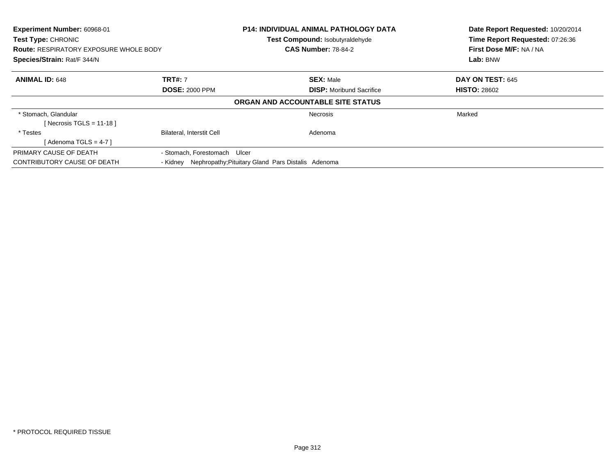| Experiment Number: 60968-01<br><b>Test Type: CHRONIC</b><br><b>Route: RESPIRATORY EXPOSURE WHOLE BODY</b><br>Species/Strain: Rat/F 344/N |                                         | <b>P14: INDIVIDUAL ANIMAL PATHOLOGY DATA</b><br><b>Test Compound: Isobutyraldehyde</b><br><b>CAS Number: 78-84-2</b> | Date Report Requested: 10/20/2014<br>Time Report Requested: 07:26:36<br>First Dose M/F: NA / NA<br>Lab: BNW |
|------------------------------------------------------------------------------------------------------------------------------------------|-----------------------------------------|----------------------------------------------------------------------------------------------------------------------|-------------------------------------------------------------------------------------------------------------|
| <b>ANIMAL ID: 648</b>                                                                                                                    | <b>TRT#: 7</b><br><b>DOSE: 2000 PPM</b> | <b>SEX: Male</b><br><b>DISP:</b> Moribund Sacrifice                                                                  | DAY ON TEST: 645<br><b>HISTO: 28602</b>                                                                     |
|                                                                                                                                          |                                         | ORGAN AND ACCOUNTABLE SITE STATUS                                                                                    |                                                                                                             |
| * Stomach, Glandular<br>[ Necrosis TGLS = $11-18$ ]                                                                                      |                                         | <b>Necrosis</b>                                                                                                      | Marked                                                                                                      |
| * Testes<br>[Adenoma TGLS = 4-7]                                                                                                         | <b>Bilateral, Interstit Cell</b>        | Adenoma                                                                                                              |                                                                                                             |
| PRIMARY CAUSE OF DEATH<br>CONTRIBUTORY CAUSE OF DEATH                                                                                    | - Stomach, Forestomach Ulcer            | - Kidney Nephropathy; Pituitary Gland Pars Distalis Adenoma                                                          |                                                                                                             |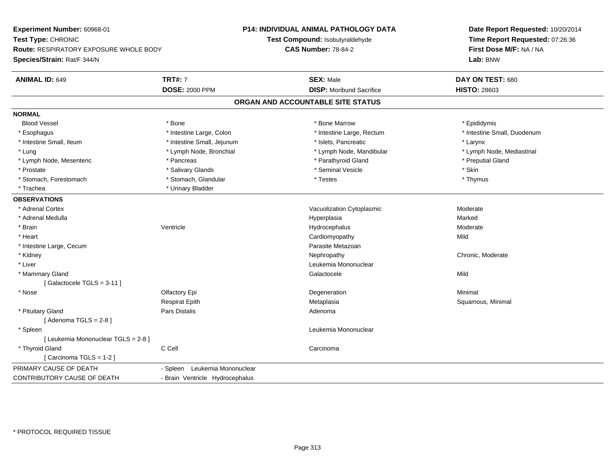**Experiment Number:** 60968-01**Test Type:** CHRONIC **Route:** RESPIRATORY EXPOSURE WHOLE BODY**Species/Strain:** Rat/F 344/N**P14: INDIVIDUAL ANIMAL PATHOLOGY DATATest Compound:** Isobutyraldehyde**CAS Number:** 78-84-2**Date Report Requested:** 10/20/2014**Time Report Requested:** 07:26:36**First Dose M/F:** NA / NA**Lab:** BNW**ANIMAL ID:** 649**TRT#:** 7 **SEX:** Male **DAY ON TEST:** 680 **DOSE:** 2000 PPM**DISP:** Moribund Sacrifice **HISTO:** 28603 **ORGAN AND ACCOUNTABLE SITE STATUSNORMALBlood Vessel**  Blood Vessel \* Bone \* Bone Marrow \* Epididymis\* Esophagus \* Thestine Large, Colon \* 11testine Large, Colon \* Intestine Large, Rectum \* Intestine Small, Duodenum \* Intestine Small, Ileum \* Intestine Small, Jejunum \* Islets, Pancreatic \* Larynx\* Lymph Node, Mediastinal \* Lung \* Lymph Node, Bronchial \* Lymph Node, Aandibular \* Lymph Node, Mandibular \* Lymph Node, Mesenteric \* The puting the second of the Pancreas \* Parathyroid Gland \* Parathyroid Gland \* Preputial Gland \* Prostate \* \* Salivary Glands \* \* Salivary Glands \* \* Seminal Vesicle \* \* \* Seminal Yestrich \* \* Skin \* \* Skin \* Thymus \* Stomach, Forestomach \* Testes \* Stomach, Glandular \* Testes \* Testes \* Testes \* Testes \* Testes \* Testes \* T \* Trachea \* Urinary Bladder**OBSERVATIONS** \* Adrenal CortexVacuolization Cytoplasmic **Moderate** Moderate \* Adrenal Medullaa and the state of the state of the state of the state of the Hyperplasia and the state of the Marked State of \* Brainn wenne alle the Ventricle wenne and the Hydrocephalus Moderate Moderate Moderate Moderate and the Ventricle o \* Heart Cardiomyopathyy Mild \* Intestine Large, CecumParasite Metazoan<br>Nephropathy \* Kidneyy the chronic, Moderate and September 2012 of the Chronic Moderate and September 2013 of the Chronic, Moderate \* Liver Leukemia Mononuclear \* Mammary Glandd and the control of the control of the control of the control of Galactocele and the control of Mild of the C [ Galactocele TGLS = 3-11 ] \* Nosee and the Colombia Colombia Colombia Colombia Colombia Colombia Degeneration and the Colombia Colombia Minimal<br>Colombia Colombia Colombia Colombia Colombia Colombia Colombia Colombia Colombia Colombia Colombia Colombia Co Respirat EpithMetaplasia **Squamous, Minimal**  \* Pituitary Glandd and the contract of Pars Distalis and the contract of Adenoma and Adenoma and the Adenoma and the Adenoma and  $\lambda$  $[$  Adenoma TGLS = 2-8  $]$  \* Spleen Leukemia Mononuclear [ Leukemia Mononuclear TGLS = 2-8 ] \* Thyroid Glandd C Cell Carcinoma [ Carcinoma TGLS = 1-2 ]PRIMARY CAUSE OF DEATH - Spleen Leukemia Mononuclear CONTRIBUTORY CAUSE OF DEATH- Brain Ventricle Hydrocephalus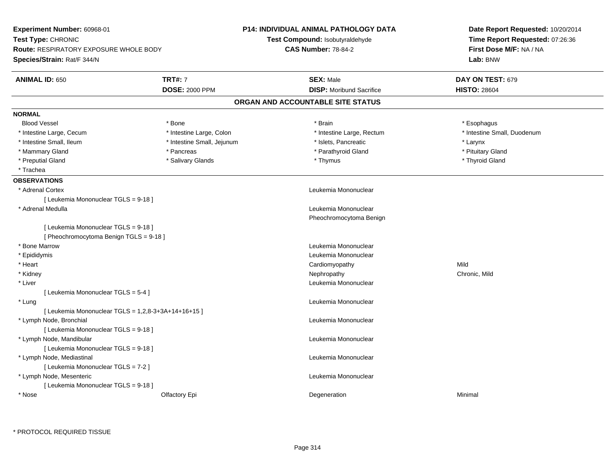| Experiment Number: 60968-01<br>Test Type: CHRONIC<br>Route: RESPIRATORY EXPOSURE WHOLE BODY<br>Species/Strain: Rat/F 344/N |                                         | P14: INDIVIDUAL ANIMAL PATHOLOGY DATA<br>Test Compound: Isobutyraldehyde<br><b>CAS Number: 78-84-2</b> | Date Report Requested: 10/20/2014<br>Time Report Requested: 07:26:36<br>First Dose M/F: NA / NA<br>Lab: BNW |
|----------------------------------------------------------------------------------------------------------------------------|-----------------------------------------|--------------------------------------------------------------------------------------------------------|-------------------------------------------------------------------------------------------------------------|
| <b>ANIMAL ID: 650</b>                                                                                                      | <b>TRT#: 7</b><br><b>DOSE: 2000 PPM</b> | <b>SEX: Male</b><br><b>DISP:</b> Moribund Sacrifice                                                    | DAY ON TEST: 679<br><b>HISTO: 28604</b>                                                                     |
|                                                                                                                            |                                         | ORGAN AND ACCOUNTABLE SITE STATUS                                                                      |                                                                                                             |
| <b>NORMAL</b>                                                                                                              |                                         |                                                                                                        |                                                                                                             |
| <b>Blood Vessel</b>                                                                                                        | * Bone                                  | * Brain                                                                                                | * Esophagus                                                                                                 |
| * Intestine Large, Cecum                                                                                                   | * Intestine Large, Colon                | * Intestine Large, Rectum                                                                              | * Intestine Small, Duodenum                                                                                 |
| * Intestine Small, Ileum                                                                                                   | * Intestine Small, Jejunum              | * Islets, Pancreatic                                                                                   | * Larynx                                                                                                    |
| * Mammary Gland                                                                                                            | * Pancreas                              | * Parathyroid Gland                                                                                    | * Pituitary Gland                                                                                           |
| * Preputial Gland                                                                                                          | * Salivary Glands                       | * Thymus                                                                                               | * Thyroid Gland                                                                                             |
| * Trachea                                                                                                                  |                                         |                                                                                                        |                                                                                                             |
| <b>OBSERVATIONS</b>                                                                                                        |                                         |                                                                                                        |                                                                                                             |
| * Adrenal Cortex                                                                                                           |                                         | Leukemia Mononuclear                                                                                   |                                                                                                             |
| [ Leukemia Mononuclear TGLS = 9-18 ]                                                                                       |                                         |                                                                                                        |                                                                                                             |
| * Adrenal Medulla                                                                                                          |                                         | Leukemia Mononuclear                                                                                   |                                                                                                             |
|                                                                                                                            |                                         | Pheochromocytoma Benign                                                                                |                                                                                                             |
| [ Leukemia Mononuclear TGLS = 9-18 ]                                                                                       |                                         |                                                                                                        |                                                                                                             |
| [ Pheochromocytoma Benign TGLS = 9-18 ]                                                                                    |                                         |                                                                                                        |                                                                                                             |
| * Bone Marrow                                                                                                              |                                         | Leukemia Mononuclear                                                                                   |                                                                                                             |
| * Epididymis                                                                                                               |                                         | Leukemia Mononuclear                                                                                   |                                                                                                             |
| * Heart                                                                                                                    |                                         | Cardiomyopathy                                                                                         | Mild                                                                                                        |
| * Kidney                                                                                                                   |                                         | Nephropathy                                                                                            | Chronic, Mild                                                                                               |
| * Liver                                                                                                                    |                                         | Leukemia Mononuclear                                                                                   |                                                                                                             |
| [ Leukemia Mononuclear TGLS = 5-4 ]                                                                                        |                                         |                                                                                                        |                                                                                                             |
| * Lung                                                                                                                     |                                         | Leukemia Mononuclear                                                                                   |                                                                                                             |
| [Leukemia Mononuclear TGLS = $1,2,8-3+3A+14+16+15$ ]                                                                       |                                         |                                                                                                        |                                                                                                             |
| * Lymph Node, Bronchial                                                                                                    |                                         | Leukemia Mononuclear                                                                                   |                                                                                                             |
| [ Leukemia Mononuclear TGLS = 9-18 ]                                                                                       |                                         |                                                                                                        |                                                                                                             |
| * Lymph Node, Mandibular                                                                                                   |                                         | Leukemia Mononuclear                                                                                   |                                                                                                             |
| [ Leukemia Mononuclear TGLS = 9-18 ]                                                                                       |                                         |                                                                                                        |                                                                                                             |
| * Lymph Node, Mediastinal                                                                                                  |                                         | Leukemia Mononuclear                                                                                   |                                                                                                             |
| [ Leukemia Mononuclear TGLS = 7-2 ]                                                                                        |                                         |                                                                                                        |                                                                                                             |
| * Lymph Node, Mesenteric                                                                                                   |                                         | Leukemia Mononuclear                                                                                   |                                                                                                             |
| [ Leukemia Mononuclear TGLS = 9-18 ]                                                                                       |                                         |                                                                                                        |                                                                                                             |
| * Nose                                                                                                                     | Olfactory Epi                           | Degeneration                                                                                           | Minimal                                                                                                     |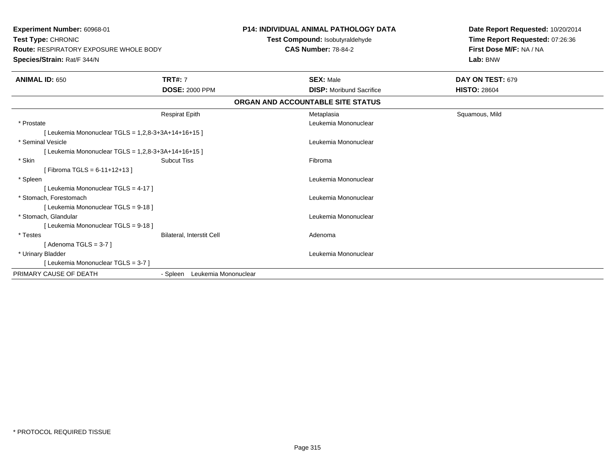**Experiment Number:** 60968-01**Test Type:** CHRONIC **Route:** RESPIRATORY EXPOSURE WHOLE BODY**Species/Strain:** Rat/F 344/N**P14: INDIVIDUAL ANIMAL PATHOLOGY DATATest Compound:** Isobutyraldehyde**CAS Number:** 78-84-2**Date Report Requested:** 10/20/2014**Time Report Requested:** 07:26:36**First Dose M/F:** NA / NA**Lab:** BNW**ANIMAL ID:** 650**TRT#:** 7 **SEX:** Male **DAY ON TEST:** 679 **DOSE:** 2000 PPM**DISP:** Moribund Sacrifice **HISTO:** 28604 **ORGAN AND ACCOUNTABLE SITE STATUS**Respirat Epith Metaplasia Squamous, Mild \* Prostate Leukemia Mononuclear  $[$  Leukemia Mononuclear TGLS = 1,2,8-3+3A+14+16+15  $]$  \* Seminal Vesicle Leukemia Mononuclear  $[$  Leukemia Mononuclear TGLS = 1,2,8-3+3A+14+16+15  $]$  \* Skinn and the subcut Tiss the set of the set of the set of the set of the set of the set of the set of the set of t  $[$  Fibroma TGLS = 6-11+12+13  $]$  \* Spleen Leukemia Mononuclear [ Leukemia Mononuclear TGLS = 4-17 ] \* Stomach, Forestomach Leukemia Mononuclear [ Leukemia Mononuclear TGLS = 9-18 ] \* Stomach, Glandular Leukemia Mononuclear [ Leukemia Mononuclear TGLS = 9-18 ] \* TestesBilateral, Interstit Cell **Adenoma**  $[$  Adenoma TGLS = 3-7  $]$  \* Urinary Bladder Leukemia Mononuclear [ Leukemia Mononuclear TGLS = 3-7 ]PRIMARY CAUSE OF DEATH- Spleen Leukemia Mononuclear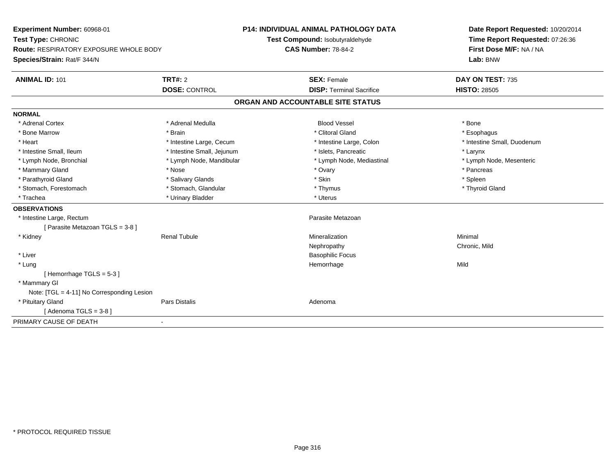| Experiment Number: 60968-01<br>Test Type: CHRONIC<br><b>Route: RESPIRATORY EXPOSURE WHOLE BODY</b><br>Species/Strain: Rat/F 344/N |                            | <b>P14: INDIVIDUAL ANIMAL PATHOLOGY DATA</b><br>Test Compound: Isobutyraldehyde | Date Report Requested: 10/20/2014<br>Time Report Requested: 07:26:36 |
|-----------------------------------------------------------------------------------------------------------------------------------|----------------------------|---------------------------------------------------------------------------------|----------------------------------------------------------------------|
|                                                                                                                                   |                            | <b>CAS Number: 78-84-2</b>                                                      | First Dose M/F: NA / NA<br>Lab: BNW                                  |
| <b>ANIMAL ID: 101</b>                                                                                                             | <b>TRT#: 2</b>             | <b>SEX: Female</b>                                                              | DAY ON TEST: 735                                                     |
|                                                                                                                                   | <b>DOSE: CONTROL</b>       | <b>DISP: Terminal Sacrifice</b>                                                 | <b>HISTO: 28505</b>                                                  |
|                                                                                                                                   |                            | ORGAN AND ACCOUNTABLE SITE STATUS                                               |                                                                      |
| <b>NORMAL</b>                                                                                                                     |                            |                                                                                 |                                                                      |
| * Adrenal Cortex                                                                                                                  | * Adrenal Medulla          | <b>Blood Vessel</b>                                                             | * Bone                                                               |
| * Bone Marrow                                                                                                                     | * Brain                    | * Clitoral Gland                                                                | * Esophagus                                                          |
| * Heart                                                                                                                           | * Intestine Large, Cecum   | * Intestine Large, Colon                                                        | * Intestine Small, Duodenum                                          |
| * Intestine Small, Ileum                                                                                                          | * Intestine Small, Jejunum | * Islets. Pancreatic                                                            | * Larynx                                                             |
| * Lymph Node, Bronchial                                                                                                           | * Lymph Node, Mandibular   | * Lymph Node, Mediastinal                                                       | * Lymph Node, Mesenteric                                             |
| * Mammary Gland                                                                                                                   | * Nose                     | * Ovary                                                                         | * Pancreas                                                           |
| * Parathyroid Gland                                                                                                               | * Salivary Glands          | * Skin                                                                          | * Spleen                                                             |
| * Stomach, Forestomach                                                                                                            | * Stomach, Glandular       | * Thymus                                                                        | * Thyroid Gland                                                      |
| * Trachea                                                                                                                         | * Urinary Bladder          | * Uterus                                                                        |                                                                      |
| <b>OBSERVATIONS</b>                                                                                                               |                            |                                                                                 |                                                                      |
| * Intestine Large, Rectum                                                                                                         |                            | Parasite Metazoan                                                               |                                                                      |
| [Parasite Metazoan TGLS = 3-8]                                                                                                    |                            |                                                                                 |                                                                      |
| * Kidney                                                                                                                          | <b>Renal Tubule</b>        | Mineralization                                                                  | Minimal                                                              |
|                                                                                                                                   |                            | Nephropathy                                                                     | Chronic, Mild                                                        |
| * Liver                                                                                                                           |                            | <b>Basophilic Focus</b>                                                         |                                                                      |
| * Lung                                                                                                                            |                            | Hemorrhage                                                                      | Mild                                                                 |
| [Hemorrhage TGLS = 5-3]                                                                                                           |                            |                                                                                 |                                                                      |
| * Mammary GI                                                                                                                      |                            |                                                                                 |                                                                      |
| Note: [TGL = 4-11] No Corresponding Lesion                                                                                        |                            |                                                                                 |                                                                      |
| * Pituitary Gland                                                                                                                 | <b>Pars Distalis</b>       | Adenoma                                                                         |                                                                      |
| [Adenoma TGLS = $3-8$ ]                                                                                                           |                            |                                                                                 |                                                                      |
| PRIMARY CAUSE OF DEATH                                                                                                            | $\blacksquare$             |                                                                                 |                                                                      |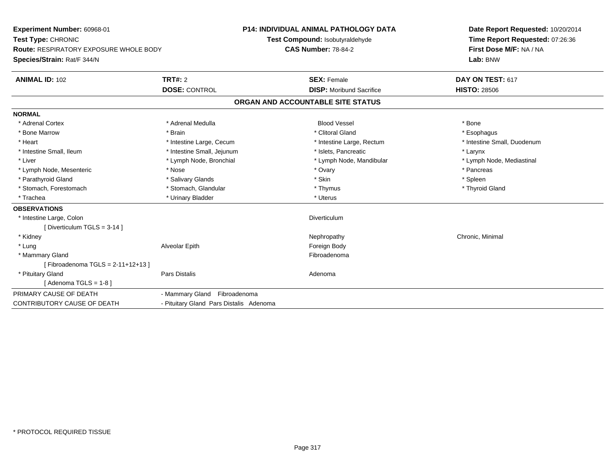| Experiment Number: 60968-01                   |                                         | <b>P14: INDIVIDUAL ANIMAL PATHOLOGY DATA</b> | Date Report Requested: 10/20/2014 |
|-----------------------------------------------|-----------------------------------------|----------------------------------------------|-----------------------------------|
| Test Type: CHRONIC                            |                                         | Test Compound: Isobutyraldehyde              | Time Report Requested: 07:26:36   |
| <b>Route: RESPIRATORY EXPOSURE WHOLE BODY</b> |                                         | <b>CAS Number: 78-84-2</b>                   | First Dose M/F: NA / NA           |
| Species/Strain: Rat/F 344/N                   |                                         |                                              | Lab: BNW                          |
| <b>ANIMAL ID: 102</b>                         | TRT#: 2                                 | <b>SEX: Female</b>                           | DAY ON TEST: 617                  |
|                                               | <b>DOSE: CONTROL</b>                    | <b>DISP:</b> Moribund Sacrifice              | <b>HISTO: 28506</b>               |
|                                               |                                         | ORGAN AND ACCOUNTABLE SITE STATUS            |                                   |
| <b>NORMAL</b>                                 |                                         |                                              |                                   |
| * Adrenal Cortex                              | * Adrenal Medulla                       | <b>Blood Vessel</b>                          | * Bone                            |
| * Bone Marrow                                 | * Brain                                 | * Clitoral Gland                             | * Esophagus                       |
| * Heart                                       | * Intestine Large, Cecum                | * Intestine Large, Rectum                    | * Intestine Small, Duodenum       |
| * Intestine Small, Ileum                      | * Intestine Small, Jejunum              | * Islets, Pancreatic                         | * Larynx                          |
| * Liver                                       | * Lymph Node, Bronchial                 | * Lymph Node, Mandibular                     | * Lymph Node, Mediastinal         |
| * Lymph Node, Mesenteric                      | * Nose                                  | * Ovary                                      | * Pancreas                        |
| * Parathyroid Gland                           | * Salivary Glands                       | * Skin                                       | * Spleen                          |
| * Stomach, Forestomach                        | * Stomach, Glandular                    | * Thymus                                     | * Thyroid Gland                   |
| * Trachea                                     | * Urinary Bladder                       | * Uterus                                     |                                   |
| <b>OBSERVATIONS</b>                           |                                         |                                              |                                   |
| * Intestine Large, Colon                      |                                         | Diverticulum                                 |                                   |
| [Diverticulum TGLS = $3-14$ ]                 |                                         |                                              |                                   |
| * Kidney                                      |                                         | Nephropathy                                  | Chronic, Minimal                  |
| * Lung                                        | Alveolar Epith                          | Foreign Body                                 |                                   |
| * Mammary Gland                               |                                         | Fibroadenoma                                 |                                   |
| [Fibroadenoma TGLS = $2-11+12+13$ ]           |                                         |                                              |                                   |
| * Pituitary Gland                             | Pars Distalis                           | Adenoma                                      |                                   |
| [Adenoma TGLS = $1-8$ ]                       |                                         |                                              |                                   |
| PRIMARY CAUSE OF DEATH                        | - Mammary Gland Fibroadenoma            |                                              |                                   |
| <b>CONTRIBUTORY CAUSE OF DEATH</b>            | - Pituitary Gland Pars Distalis Adenoma |                                              |                                   |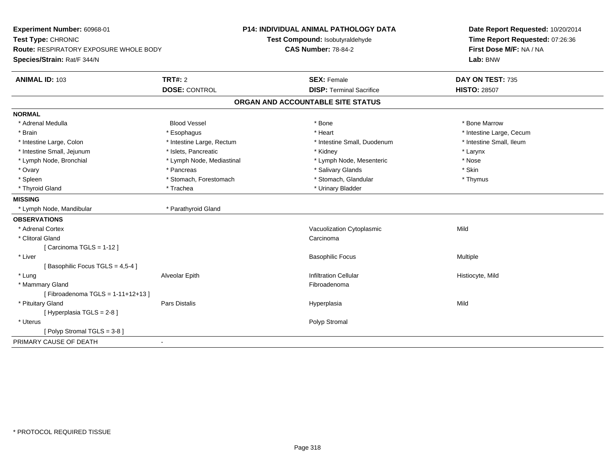| Experiment Number: 60968-01<br>Test Type: CHRONIC<br><b>Route: RESPIRATORY EXPOSURE WHOLE BODY</b><br>Species/Strain: Rat/F 344/N |                           | <b>P14: INDIVIDUAL ANIMAL PATHOLOGY DATA</b><br>Test Compound: Isobutyraldehyde<br><b>CAS Number: 78-84-2</b> |                                   | Date Report Requested: 10/20/2014<br>Time Report Requested: 07:26:36<br>First Dose M/F: NA / NA<br>Lab: BNW |
|-----------------------------------------------------------------------------------------------------------------------------------|---------------------------|---------------------------------------------------------------------------------------------------------------|-----------------------------------|-------------------------------------------------------------------------------------------------------------|
| ANIMAL ID: 103                                                                                                                    | TRT#: 2                   |                                                                                                               | <b>SEX: Female</b>                | DAY ON TEST: 735                                                                                            |
|                                                                                                                                   | <b>DOSE: CONTROL</b>      |                                                                                                               | <b>DISP: Terminal Sacrifice</b>   | <b>HISTO: 28507</b>                                                                                         |
|                                                                                                                                   |                           |                                                                                                               | ORGAN AND ACCOUNTABLE SITE STATUS |                                                                                                             |
| <b>NORMAL</b>                                                                                                                     |                           |                                                                                                               |                                   |                                                                                                             |
| * Adrenal Medulla                                                                                                                 | <b>Blood Vessel</b>       |                                                                                                               | * Bone                            | * Bone Marrow                                                                                               |
| * Brain                                                                                                                           | * Esophagus               |                                                                                                               | * Heart                           | * Intestine Large, Cecum                                                                                    |
| * Intestine Large, Colon                                                                                                          | * Intestine Large, Rectum |                                                                                                               | * Intestine Small, Duodenum       | * Intestine Small, Ileum                                                                                    |
| * Intestine Small, Jejunum                                                                                                        | * Islets, Pancreatic      |                                                                                                               | * Kidney                          | * Larynx                                                                                                    |
| * Lymph Node, Bronchial                                                                                                           | * Lymph Node, Mediastinal |                                                                                                               | * Lymph Node, Mesenteric          | * Nose                                                                                                      |
| * Ovary                                                                                                                           | * Pancreas                |                                                                                                               | * Salivary Glands                 | * Skin                                                                                                      |
| * Spleen                                                                                                                          | * Stomach, Forestomach    |                                                                                                               | * Stomach, Glandular              | * Thymus                                                                                                    |
| * Thyroid Gland                                                                                                                   | * Trachea                 |                                                                                                               | * Urinary Bladder                 |                                                                                                             |
| <b>MISSING</b>                                                                                                                    |                           |                                                                                                               |                                   |                                                                                                             |
| * Lymph Node, Mandibular                                                                                                          | * Parathyroid Gland       |                                                                                                               |                                   |                                                                                                             |
| <b>OBSERVATIONS</b>                                                                                                               |                           |                                                                                                               |                                   |                                                                                                             |
| * Adrenal Cortex                                                                                                                  |                           |                                                                                                               | Vacuolization Cytoplasmic         | Mild                                                                                                        |
| * Clitoral Gland                                                                                                                  |                           |                                                                                                               | Carcinoma                         |                                                                                                             |
| [Carcinoma TGLS = 1-12]                                                                                                           |                           |                                                                                                               |                                   |                                                                                                             |
| * Liver                                                                                                                           |                           |                                                                                                               | <b>Basophilic Focus</b>           | Multiple                                                                                                    |
| [Basophilic Focus TGLS = 4,5-4]                                                                                                   |                           |                                                                                                               |                                   |                                                                                                             |
| * Lung                                                                                                                            | Alveolar Epith            |                                                                                                               | <b>Infiltration Cellular</b>      | Histiocyte, Mild                                                                                            |
| * Mammary Gland                                                                                                                   |                           |                                                                                                               | Fibroadenoma                      |                                                                                                             |
| [Fibroadenoma TGLS = $1-11+12+13$ ]                                                                                               |                           |                                                                                                               |                                   |                                                                                                             |
| * Pituitary Gland                                                                                                                 | Pars Distalis             |                                                                                                               | Hyperplasia                       | Mild                                                                                                        |
| [Hyperplasia TGLS = 2-8]                                                                                                          |                           |                                                                                                               |                                   |                                                                                                             |
| * Uterus                                                                                                                          |                           |                                                                                                               | Polyp Stromal                     |                                                                                                             |
| [Polyp Stromal TGLS = 3-8]                                                                                                        |                           |                                                                                                               |                                   |                                                                                                             |
| PRIMARY CAUSE OF DEATH                                                                                                            | $\blacksquare$            |                                                                                                               |                                   |                                                                                                             |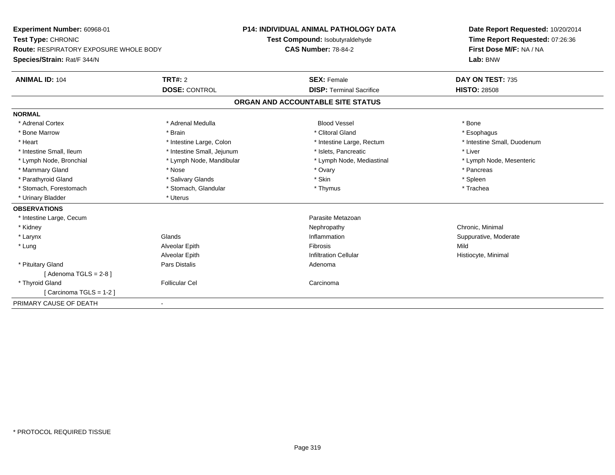**Experiment Number:** 60968-01**Test Type:** CHRONIC **Route:** RESPIRATORY EXPOSURE WHOLE BODY**Species/Strain:** Rat/F 344/N**P14: INDIVIDUAL ANIMAL PATHOLOGY DATATest Compound:** Isobutyraldehyde**CAS Number:** 78-84-2**Date Report Requested:** 10/20/2014**Time Report Requested:** 07:26:36**First Dose M/F:** NA / NA**Lab:** BNW**ANIMAL ID:** 104**TRT#:** 2 **SEX:** Female **DAY ON TEST:** 735 **DOSE:** CONTROL**DISP:** Terminal Sacrifice **HISTO:** 28508 **ORGAN AND ACCOUNTABLE SITE STATUSNORMAL**\* Adrenal Cortex \* Adrenal Medulla \* \* Book \* Blood Vessel \* Book \* Bone \* Bone \* Bone \* Bone \* Bone \* Bone \* Bone \* Bone \* Bone \* Esophagus \* Bone Marrow \* \* Android \* Brain \* Brain \* Clitoral Gland \* Clitoral Gland \* Esophagus \* Esophagus \* Esophagus \* Intestine Small, Duodenum \* Heart \* Intestine Large, Colon \* Intestine Large, Colon \* 11testine Large, Rectum \* Intestine Small, Ileum \* Intestine Small, Jejunum \* Islets, Pancreatic \* Liver \* Lymph Node, Bronchial \* Lymph Node, Mandibular \* Lymph Node, Mediastinal \* Lymph Node, Mesenteric\* Mammary Gland \* \* Andrew \* Nose \* \* Nose \* \* Ovary \* Ovary \* Ovary \* \* Ovary \* \* Pancreas \* \* Pancreas \* \* Pancreas \* \* Pancreas \* \* Pancreas \* \* Pancreas \* \* Pancreas \* \* Pancreas \* \* Pancreas \* \* Pancreas \* \* Pancreas \* Parathyroid Gland \* \* Salivary Glands \* Salivary Glands \* Skin \* Skin \* State \* Spleen \* Spleen \* Spleen \* Spleen \* Trachea \* Stomach, Forestomach \* Thymus \* Stomach, Glandular \* Thymus \* Thymus \* Thymus \* Thymus \* Thymus \* Thymus \* Thymus \* Thymus \* Thymus \* Thymus \* Thymus \* Thymus \* Thymus \* Thymus \* Thymus \* Thymus \* Thymus \* Thymus \* Thymu \* Urinary Bladder \* Uterus **OBSERVATIONS** \* Intestine Large, Cecumm and the contract of the contract of the contract of the contract of the contract of the Metazoan Parasite Metazoan<br>The contract of the contract of the contract of the contract of the contract of the contract of the contr \* Kidneyy the controller of the controller of the controller of the controller of the controller of the controller of the controller of the controller of the controller of the controller of the controller of the controller of the \* Larynxx and the set of the Glands of the Glands of the set of the set of the set of the set of the set of the set of the set of the set of the set of the set of the set of the set of the set of the set of the set of the set of t Inflammation **Suppurative, Moderate**  \* Lung Alveolar Epith Fibrosis Mild Alveolar EpithInfiltration Cellular **Histiocyte**, Minimal \* Pituitary Glandd and the contract of Pars Distalis and the contract of Adenoma and Adenoma and the Adenoma and the Adenoma and  $\lambda$  $[$  Adenoma TGLS = 2-8  $]$  \* Thyroid Glandd Carcinoma **Follicular Cel** Carcinoma Carcinoma Carcinoma Carcinoma Carcinoma Carcinoma Carcinoma Carcinoma Carcinoma Carcinoma Carcinoma Carcinoma Carcinoma Carcinoma Carcinoma Carcinoma Carcinoma Carcinoma Carcinoma Car [ Carcinoma TGLS = 1-2 ]PRIMARY CAUSE OF DEATH-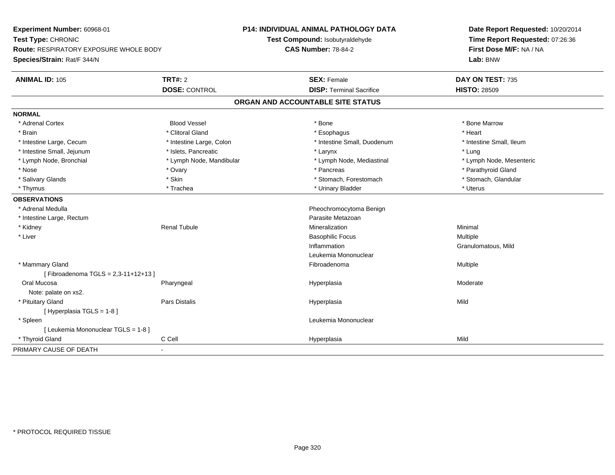| Experiment Number: 60968-01                                         |                          | <b>P14: INDIVIDUAL ANIMAL PATHOLOGY DATA</b> | Date Report Requested: 10/20/2014 |
|---------------------------------------------------------------------|--------------------------|----------------------------------------------|-----------------------------------|
| Test Type: CHRONIC<br><b>Route: RESPIRATORY EXPOSURE WHOLE BODY</b> |                          | Test Compound: Isobutyraldehyde              | Time Report Requested: 07:26:36   |
|                                                                     |                          | <b>CAS Number: 78-84-2</b>                   | First Dose M/F: NA / NA           |
| Species/Strain: Rat/F 344/N                                         |                          |                                              | Lab: BNW                          |
| <b>ANIMAL ID: 105</b>                                               | <b>TRT#: 2</b>           | <b>SEX: Female</b>                           | DAY ON TEST: 735                  |
|                                                                     | <b>DOSE: CONTROL</b>     | <b>DISP: Terminal Sacrifice</b>              | <b>HISTO: 28509</b>               |
|                                                                     |                          | ORGAN AND ACCOUNTABLE SITE STATUS            |                                   |
| <b>NORMAL</b>                                                       |                          |                                              |                                   |
| * Adrenal Cortex                                                    | <b>Blood Vessel</b>      | * Bone                                       | * Bone Marrow                     |
| * Brain                                                             | * Clitoral Gland         | * Esophagus                                  | * Heart                           |
| * Intestine Large, Cecum                                            | * Intestine Large, Colon | * Intestine Small, Duodenum                  | * Intestine Small, Ileum          |
| * Intestine Small, Jejunum                                          | * Islets, Pancreatic     | * Larynx                                     | * Lung                            |
| * Lymph Node, Bronchial                                             | * Lymph Node, Mandibular | * Lymph Node, Mediastinal                    | * Lymph Node, Mesenteric          |
| * Nose                                                              | * Ovary                  | * Pancreas                                   | * Parathyroid Gland               |
| * Salivary Glands                                                   | * Skin                   | * Stomach, Forestomach                       | * Stomach, Glandular              |
| * Thymus                                                            | * Trachea                | * Urinary Bladder                            | * Uterus                          |
| <b>OBSERVATIONS</b>                                                 |                          |                                              |                                   |
| * Adrenal Medulla                                                   |                          | Pheochromocytoma Benign                      |                                   |
| * Intestine Large, Rectum                                           |                          | Parasite Metazoan                            |                                   |
| * Kidney                                                            | <b>Renal Tubule</b>      | Mineralization                               | Minimal                           |
| * Liver                                                             |                          | <b>Basophilic Focus</b>                      | Multiple                          |
|                                                                     |                          | Inflammation                                 | Granulomatous, Mild               |
|                                                                     |                          | Leukemia Mononuclear                         |                                   |
| * Mammary Gland                                                     |                          | Fibroadenoma                                 | Multiple                          |
| [Fibroadenoma TGLS = 2,3-11+12+13]                                  |                          |                                              |                                   |
| Oral Mucosa                                                         | Pharyngeal               | Hyperplasia                                  | Moderate                          |
| Note: palate on xs2.                                                |                          |                                              |                                   |
| * Pituitary Gland                                                   | Pars Distalis            | Hyperplasia                                  | Mild                              |
| [Hyperplasia TGLS = 1-8]                                            |                          |                                              |                                   |
| * Spleen                                                            |                          | Leukemia Mononuclear                         |                                   |
| [ Leukemia Mononuclear TGLS = 1-8 ]                                 |                          |                                              |                                   |
| * Thyroid Gland                                                     | C Cell                   | Hyperplasia                                  | Mild                              |
| PRIMARY CAUSE OF DEATH                                              |                          |                                              |                                   |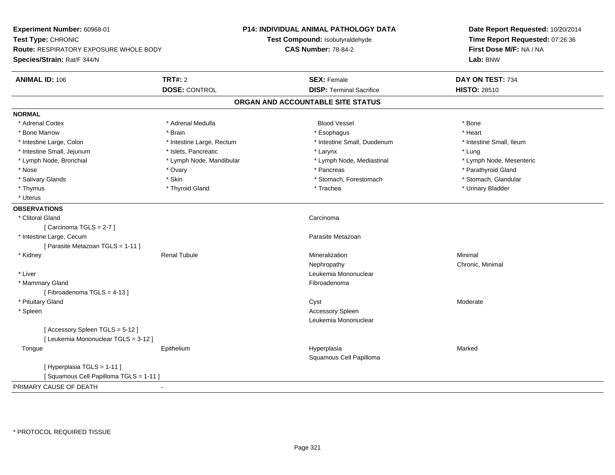| Experiment Number: 60968-01<br>Test Type: CHRONIC                            |                           | <b>P14: INDIVIDUAL ANIMAL PATHOLOGY DATA</b><br>Test Compound: Isobutyraldehyde | Date Report Requested: 10/20/2014<br>Time Report Requested: 07:26:36 |  |
|------------------------------------------------------------------------------|---------------------------|---------------------------------------------------------------------------------|----------------------------------------------------------------------|--|
| <b>Route: RESPIRATORY EXPOSURE WHOLE BODY</b><br>Species/Strain: Rat/F 344/N |                           | <b>CAS Number: 78-84-2</b>                                                      | First Dose M/F: NA / NA<br>Lab: BNW                                  |  |
|                                                                              |                           |                                                                                 |                                                                      |  |
| <b>ANIMAL ID: 106</b>                                                        | <b>TRT#: 2</b>            | <b>SEX: Female</b>                                                              | DAY ON TEST: 734                                                     |  |
|                                                                              | <b>DOSE: CONTROL</b>      | <b>DISP: Terminal Sacrifice</b>                                                 | <b>HISTO: 28510</b>                                                  |  |
|                                                                              |                           | ORGAN AND ACCOUNTABLE SITE STATUS                                               |                                                                      |  |
| <b>NORMAL</b>                                                                |                           |                                                                                 |                                                                      |  |
| * Adrenal Cortex                                                             | * Adrenal Medulla         | <b>Blood Vessel</b>                                                             | * Bone                                                               |  |
| * Bone Marrow                                                                | * Brain                   | * Esophagus                                                                     | * Heart                                                              |  |
| * Intestine Large, Colon                                                     | * Intestine Large, Rectum | * Intestine Small, Duodenum                                                     | * Intestine Small, Ileum                                             |  |
| * Intestine Small, Jejunum                                                   | * Islets, Pancreatic      | * Larynx                                                                        | * Lung                                                               |  |
| * Lymph Node, Bronchial                                                      | * Lymph Node, Mandibular  | * Lymph Node, Mediastinal                                                       | * Lymph Node, Mesenteric                                             |  |
| * Nose                                                                       | * Ovary                   | * Pancreas                                                                      | * Parathyroid Gland                                                  |  |
| * Salivary Glands                                                            | * Skin                    | * Stomach, Forestomach                                                          | * Stomach, Glandular                                                 |  |
| * Thymus                                                                     | * Thyroid Gland           | * Trachea                                                                       | * Urinary Bladder                                                    |  |
| * Uterus                                                                     |                           |                                                                                 |                                                                      |  |
| <b>OBSERVATIONS</b>                                                          |                           |                                                                                 |                                                                      |  |
| * Clitoral Gland                                                             |                           | Carcinoma                                                                       |                                                                      |  |
| [Carcinoma TGLS = 2-7]                                                       |                           |                                                                                 |                                                                      |  |
| * Intestine Large, Cecum                                                     |                           | Parasite Metazoan                                                               |                                                                      |  |
| [ Parasite Metazoan TGLS = 1-11 ]                                            |                           |                                                                                 |                                                                      |  |
| * Kidney                                                                     | <b>Renal Tubule</b>       | Mineralization                                                                  | Minimal                                                              |  |
|                                                                              |                           | Nephropathy                                                                     | Chronic, Minimal                                                     |  |
| * Liver                                                                      |                           | Leukemia Mononuclear                                                            |                                                                      |  |
| * Mammary Gland                                                              |                           | Fibroadenoma                                                                    |                                                                      |  |
| [Fibroadenoma TGLS = 4-13]                                                   |                           |                                                                                 |                                                                      |  |
| * Pituitary Gland                                                            |                           | Cyst                                                                            | Moderate                                                             |  |
| * Spleen                                                                     |                           | Accessory Spleen                                                                |                                                                      |  |
|                                                                              |                           | Leukemia Mononuclear                                                            |                                                                      |  |
| [Accessory Spleen TGLS = 5-12]                                               |                           |                                                                                 |                                                                      |  |
| [ Leukemia Mononuclear TGLS = 3-12 ]                                         |                           |                                                                                 |                                                                      |  |
| Tongue                                                                       | Epithelium                | Hyperplasia                                                                     | Marked                                                               |  |
|                                                                              |                           | Squamous Cell Papilloma                                                         |                                                                      |  |
| [ Hyperplasia TGLS = 1-11 ]                                                  |                           |                                                                                 |                                                                      |  |
| [Squamous Cell Papilloma TGLS = 1-11]                                        |                           |                                                                                 |                                                                      |  |
| PRIMARY CAUSE OF DEATH                                                       |                           |                                                                                 |                                                                      |  |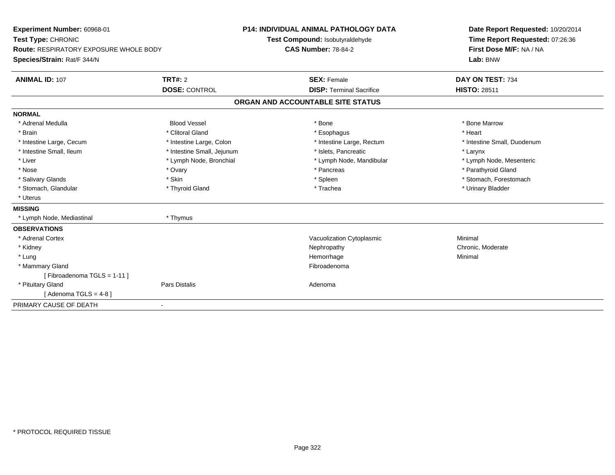| Experiment Number: 60968-01<br>Test Type: CHRONIC<br><b>Route: RESPIRATORY EXPOSURE WHOLE BODY</b><br>Species/Strain: Rat/F 344/N |                            | <b>P14: INDIVIDUAL ANIMAL PATHOLOGY DATA</b><br>Test Compound: Isobutyraldehyde<br><b>CAS Number: 78-84-2</b> | Date Report Requested: 10/20/2014<br>Time Report Requested: 07:26:36<br>First Dose M/F: NA / NA<br>Lab: BNW |
|-----------------------------------------------------------------------------------------------------------------------------------|----------------------------|---------------------------------------------------------------------------------------------------------------|-------------------------------------------------------------------------------------------------------------|
| <b>ANIMAL ID: 107</b>                                                                                                             | <b>TRT#: 2</b>             | <b>SEX: Female</b>                                                                                            | DAY ON TEST: 734                                                                                            |
|                                                                                                                                   | <b>DOSE: CONTROL</b>       | <b>DISP: Terminal Sacrifice</b>                                                                               | <b>HISTO: 28511</b>                                                                                         |
|                                                                                                                                   |                            | ORGAN AND ACCOUNTABLE SITE STATUS                                                                             |                                                                                                             |
| <b>NORMAL</b>                                                                                                                     |                            |                                                                                                               |                                                                                                             |
| * Adrenal Medulla                                                                                                                 | <b>Blood Vessel</b>        | * Bone                                                                                                        | * Bone Marrow                                                                                               |
| * Brain                                                                                                                           | * Clitoral Gland           | * Esophagus                                                                                                   | * Heart                                                                                                     |
| * Intestine Large, Cecum                                                                                                          | * Intestine Large, Colon   | * Intestine Large, Rectum                                                                                     | * Intestine Small, Duodenum                                                                                 |
| * Intestine Small, Ileum                                                                                                          | * Intestine Small, Jejunum | * Islets, Pancreatic                                                                                          | * Larynx                                                                                                    |
| * Liver                                                                                                                           | * Lymph Node, Bronchial    | * Lymph Node, Mandibular                                                                                      | * Lymph Node, Mesenteric                                                                                    |
| * Nose                                                                                                                            | * Ovary                    | * Pancreas                                                                                                    | * Parathyroid Gland                                                                                         |
| * Salivary Glands                                                                                                                 | * Skin                     | * Spleen                                                                                                      | * Stomach, Forestomach                                                                                      |
| * Stomach, Glandular                                                                                                              | * Thyroid Gland            | * Trachea                                                                                                     | * Urinary Bladder                                                                                           |
| * Uterus                                                                                                                          |                            |                                                                                                               |                                                                                                             |
| <b>MISSING</b>                                                                                                                    |                            |                                                                                                               |                                                                                                             |
| * Lymph Node, Mediastinal                                                                                                         | * Thymus                   |                                                                                                               |                                                                                                             |
| <b>OBSERVATIONS</b>                                                                                                               |                            |                                                                                                               |                                                                                                             |
| * Adrenal Cortex                                                                                                                  |                            | Vacuolization Cytoplasmic                                                                                     | Minimal                                                                                                     |
| * Kidney                                                                                                                          |                            | Nephropathy                                                                                                   | Chronic, Moderate                                                                                           |
| * Lung                                                                                                                            |                            | Hemorrhage                                                                                                    | Minimal                                                                                                     |
| * Mammary Gland                                                                                                                   |                            | Fibroadenoma                                                                                                  |                                                                                                             |
| [Fibroadenoma TGLS = 1-11]                                                                                                        |                            |                                                                                                               |                                                                                                             |
| * Pituitary Gland                                                                                                                 | <b>Pars Distalis</b>       | Adenoma                                                                                                       |                                                                                                             |
| [ Adenoma TGLS = 4-8 ]                                                                                                            |                            |                                                                                                               |                                                                                                             |
| PRIMARY CAUSE OF DEATH                                                                                                            | $\blacksquare$             |                                                                                                               |                                                                                                             |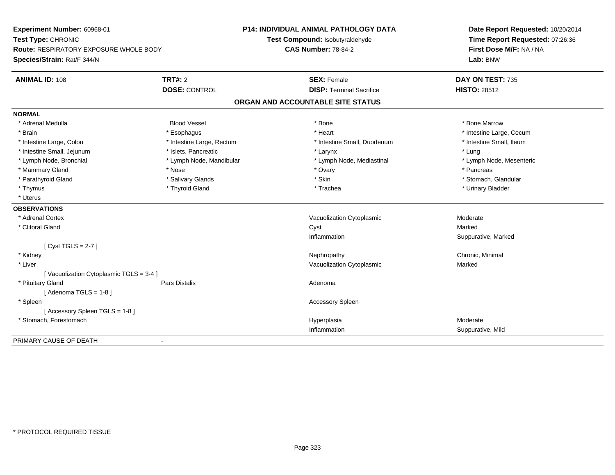| Experiment Number: 60968-01<br>Test Type: CHRONIC<br>Route: RESPIRATORY EXPOSURE WHOLE BODY<br>Species/Strain: Rat/F 344/N |                           | P14: INDIVIDUAL ANIMAL PATHOLOGY DATA<br>Test Compound: Isobutyraldehyde<br><b>CAS Number: 78-84-2</b> | Date Report Requested: 10/20/2014<br>Time Report Requested: 07:26:36<br>First Dose M/F: NA / NA<br>Lab: BNW |
|----------------------------------------------------------------------------------------------------------------------------|---------------------------|--------------------------------------------------------------------------------------------------------|-------------------------------------------------------------------------------------------------------------|
| <b>ANIMAL ID: 108</b>                                                                                                      | <b>TRT#: 2</b>            | <b>SEX: Female</b>                                                                                     | DAY ON TEST: 735                                                                                            |
|                                                                                                                            | <b>DOSE: CONTROL</b>      | <b>DISP: Terminal Sacrifice</b>                                                                        | <b>HISTO: 28512</b>                                                                                         |
|                                                                                                                            |                           | ORGAN AND ACCOUNTABLE SITE STATUS                                                                      |                                                                                                             |
| <b>NORMAL</b>                                                                                                              |                           |                                                                                                        |                                                                                                             |
| * Adrenal Medulla                                                                                                          | <b>Blood Vessel</b>       | * Bone                                                                                                 | * Bone Marrow                                                                                               |
| * Brain                                                                                                                    | * Esophagus               | * Heart                                                                                                | * Intestine Large, Cecum                                                                                    |
| * Intestine Large, Colon                                                                                                   | * Intestine Large, Rectum | * Intestine Small, Duodenum                                                                            | * Intestine Small, Ileum                                                                                    |
| * Intestine Small, Jejunum                                                                                                 | * Islets, Pancreatic      | * Larynx                                                                                               | * Lung                                                                                                      |
| * Lymph Node, Bronchial                                                                                                    | * Lymph Node, Mandibular  | * Lymph Node, Mediastinal                                                                              | * Lymph Node, Mesenteric                                                                                    |
| * Mammary Gland                                                                                                            | * Nose                    | * Ovary                                                                                                | * Pancreas                                                                                                  |
| * Parathyroid Gland                                                                                                        | * Salivary Glands         | * Skin                                                                                                 | * Stomach, Glandular                                                                                        |
| * Thymus                                                                                                                   | * Thyroid Gland           | * Trachea                                                                                              | * Urinary Bladder                                                                                           |
| * Uterus                                                                                                                   |                           |                                                                                                        |                                                                                                             |
| <b>OBSERVATIONS</b>                                                                                                        |                           |                                                                                                        |                                                                                                             |
| * Adrenal Cortex                                                                                                           |                           | Vacuolization Cytoplasmic                                                                              | Moderate                                                                                                    |
| * Clitoral Gland                                                                                                           |                           | Cyst                                                                                                   | Marked                                                                                                      |
|                                                                                                                            |                           | Inflammation                                                                                           | Suppurative, Marked                                                                                         |
| [Cyst TGLS = $2-7$ ]                                                                                                       |                           |                                                                                                        |                                                                                                             |
| * Kidney                                                                                                                   |                           | Nephropathy                                                                                            | Chronic, Minimal                                                                                            |
| * Liver                                                                                                                    |                           | Vacuolization Cytoplasmic                                                                              | Marked                                                                                                      |
| [Vacuolization Cytoplasmic TGLS = 3-4]                                                                                     |                           |                                                                                                        |                                                                                                             |
| * Pituitary Gland                                                                                                          | <b>Pars Distalis</b>      | Adenoma                                                                                                |                                                                                                             |
| [Adenoma TGLS = $1-8$ ]                                                                                                    |                           |                                                                                                        |                                                                                                             |
| * Spleen                                                                                                                   |                           | <b>Accessory Spleen</b>                                                                                |                                                                                                             |
| [Accessory Spleen TGLS = 1-8]                                                                                              |                           |                                                                                                        |                                                                                                             |
| * Stomach, Forestomach                                                                                                     |                           | Hyperplasia                                                                                            | Moderate                                                                                                    |
|                                                                                                                            |                           | Inflammation                                                                                           | Suppurative, Mild                                                                                           |
| PRIMARY CAUSE OF DEATH                                                                                                     | $\blacksquare$            |                                                                                                        |                                                                                                             |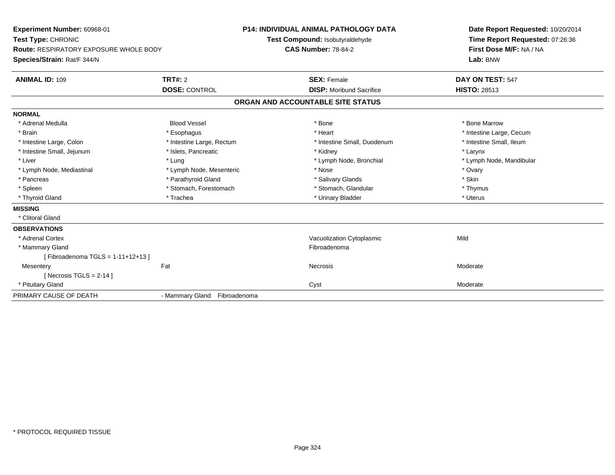| Experiment Number: 60968-01                   |                                 | <b>P14: INDIVIDUAL ANIMAL PATHOLOGY DATA</b> | Date Report Requested: 10/20/2014 |
|-----------------------------------------------|---------------------------------|----------------------------------------------|-----------------------------------|
| Test Type: CHRONIC                            | Test Compound: Isobutyraldehyde |                                              | Time Report Requested: 07:26:36   |
| <b>Route: RESPIRATORY EXPOSURE WHOLE BODY</b> |                                 | <b>CAS Number: 78-84-2</b>                   | First Dose M/F: NA / NA           |
| Species/Strain: Rat/F 344/N                   |                                 |                                              | Lab: BNW                          |
| <b>ANIMAL ID: 109</b>                         | <b>TRT#: 2</b>                  | <b>SEX: Female</b>                           | DAY ON TEST: 547                  |
|                                               | <b>DOSE: CONTROL</b>            | <b>DISP:</b> Moribund Sacrifice              | <b>HISTO: 28513</b>               |
|                                               |                                 | ORGAN AND ACCOUNTABLE SITE STATUS            |                                   |
| <b>NORMAL</b>                                 |                                 |                                              |                                   |
| * Adrenal Medulla                             | <b>Blood Vessel</b>             | * Bone                                       | * Bone Marrow                     |
| * Brain                                       | * Esophagus                     | * Heart                                      | * Intestine Large, Cecum          |
| * Intestine Large, Colon                      | * Intestine Large, Rectum       | * Intestine Small, Duodenum                  | * Intestine Small. Ileum          |
| * Intestine Small, Jejunum                    | * Islets, Pancreatic            | * Kidney                                     | * Larynx                          |
| * Liver                                       | * Lung                          | * Lymph Node, Bronchial                      | * Lymph Node, Mandibular          |
| * Lymph Node, Mediastinal                     | * Lymph Node, Mesenteric        | * Nose                                       | * Ovary                           |
| * Pancreas                                    | * Parathyroid Gland             | * Salivary Glands                            | * Skin                            |
| * Spleen                                      | * Stomach, Forestomach          | * Stomach, Glandular                         | * Thymus                          |
| * Thyroid Gland                               | * Trachea                       | * Urinary Bladder                            | * Uterus                          |
| <b>MISSING</b>                                |                                 |                                              |                                   |
| * Clitoral Gland                              |                                 |                                              |                                   |
| <b>OBSERVATIONS</b>                           |                                 |                                              |                                   |
| * Adrenal Cortex                              |                                 | Vacuolization Cytoplasmic                    | Mild                              |
| * Mammary Gland                               |                                 | Fibroadenoma                                 |                                   |
| [Fibroadenoma TGLS = $1-11+12+13$ ]           |                                 |                                              |                                   |
| Mesentery                                     | Fat                             | Necrosis                                     | Moderate                          |
| [Necrosis TGLS = $2-14$ ]                     |                                 |                                              |                                   |
| * Pituitary Gland                             |                                 | Cyst                                         | Moderate                          |
| PRIMARY CAUSE OF DEATH                        | - Mammary Gland Fibroadenoma    |                                              |                                   |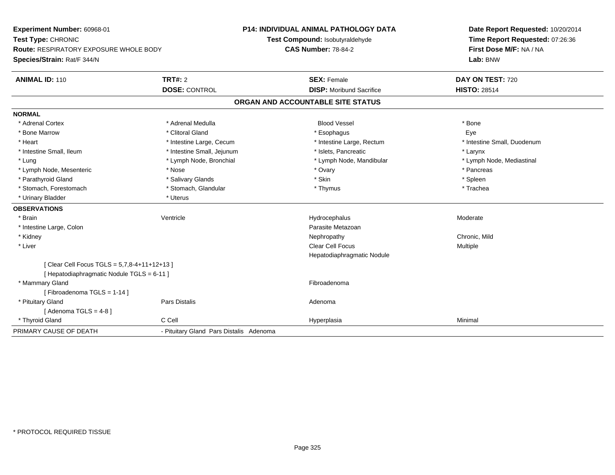| Experiment Number: 60968-01                   |                                         | <b>P14: INDIVIDUAL ANIMAL PATHOLOGY DATA</b> | Date Report Requested: 10/20/2014<br>Time Report Requested: 07:26:36<br>First Dose M/F: NA / NA |
|-----------------------------------------------|-----------------------------------------|----------------------------------------------|-------------------------------------------------------------------------------------------------|
| Test Type: CHRONIC                            |                                         | Test Compound: Isobutyraldehyde              |                                                                                                 |
| <b>Route: RESPIRATORY EXPOSURE WHOLE BODY</b> |                                         | <b>CAS Number: 78-84-2</b>                   |                                                                                                 |
| Species/Strain: Rat/F 344/N                   |                                         |                                              | Lab: BNW                                                                                        |
| <b>ANIMAL ID: 110</b>                         | TRT#: 2                                 | <b>SEX: Female</b>                           | DAY ON TEST: 720                                                                                |
|                                               | <b>DOSE: CONTROL</b>                    | <b>DISP:</b> Moribund Sacrifice              | <b>HISTO: 28514</b>                                                                             |
|                                               |                                         | ORGAN AND ACCOUNTABLE SITE STATUS            |                                                                                                 |
| <b>NORMAL</b>                                 |                                         |                                              |                                                                                                 |
| * Adrenal Cortex                              | * Adrenal Medulla                       | <b>Blood Vessel</b>                          | * Bone                                                                                          |
| * Bone Marrow                                 | * Clitoral Gland                        | * Esophagus                                  | Eye                                                                                             |
| * Heart                                       | * Intestine Large, Cecum                | * Intestine Large, Rectum                    | * Intestine Small, Duodenum                                                                     |
| * Intestine Small, Ileum                      | * Intestine Small, Jejunum              | * Islets, Pancreatic                         | * Larynx                                                                                        |
| * Lung                                        | * Lymph Node, Bronchial                 | * Lymph Node, Mandibular                     | * Lymph Node, Mediastinal                                                                       |
| * Lymph Node, Mesenteric                      | * Nose                                  | * Ovary                                      | * Pancreas                                                                                      |
| * Parathyroid Gland                           | * Salivary Glands                       | * Skin                                       | * Spleen                                                                                        |
| * Stomach, Forestomach                        | * Stomach, Glandular                    | * Thymus                                     | * Trachea                                                                                       |
| * Urinary Bladder                             | * Uterus                                |                                              |                                                                                                 |
| <b>OBSERVATIONS</b>                           |                                         |                                              |                                                                                                 |
| * Brain                                       | Ventricle                               | Hydrocephalus                                | Moderate                                                                                        |
| * Intestine Large, Colon                      |                                         | Parasite Metazoan                            |                                                                                                 |
| * Kidney                                      |                                         | Nephropathy                                  | Chronic, Mild                                                                                   |
| * Liver                                       |                                         | Clear Cell Focus                             | Multiple                                                                                        |
|                                               |                                         | Hepatodiaphragmatic Nodule                   |                                                                                                 |
| [ Clear Cell Focus TGLS = 5,7,8-4+11+12+13 ]  |                                         |                                              |                                                                                                 |
| [ Hepatodiaphragmatic Nodule TGLS = 6-11 ]    |                                         |                                              |                                                                                                 |
| * Mammary Gland                               |                                         | Fibroadenoma                                 |                                                                                                 |
| [Fibroadenoma TGLS = 1-14]                    |                                         |                                              |                                                                                                 |
| * Pituitary Gland                             | <b>Pars Distalis</b>                    | Adenoma                                      |                                                                                                 |
| [Adenoma TGLS = $4-8$ ]                       |                                         |                                              |                                                                                                 |
| * Thyroid Gland                               | C Cell                                  | Hyperplasia                                  | Minimal                                                                                         |
| PRIMARY CAUSE OF DEATH                        | - Pituitary Gland Pars Distalis Adenoma |                                              |                                                                                                 |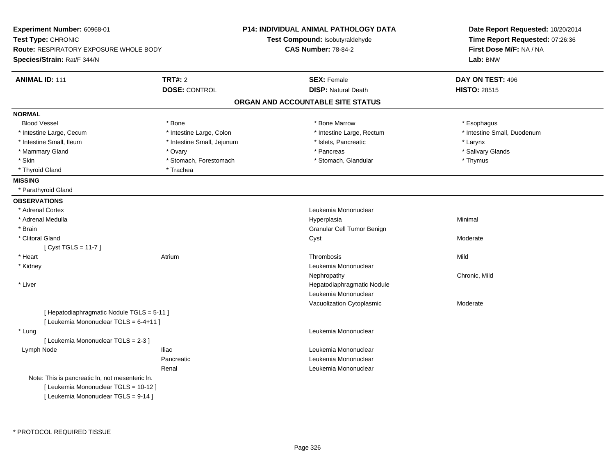| Experiment Number: 60968-01                     |                            | P14: INDIVIDUAL ANIMAL PATHOLOGY DATA | Date Report Requested: 10/20/2014 |  |
|-------------------------------------------------|----------------------------|---------------------------------------|-----------------------------------|--|
| Test Type: CHRONIC                              |                            | Test Compound: Isobutyraldehyde       | Time Report Requested: 07:26:36   |  |
| <b>Route: RESPIRATORY EXPOSURE WHOLE BODY</b>   |                            | <b>CAS Number: 78-84-2</b>            | First Dose M/F: NA / NA           |  |
| Species/Strain: Rat/F 344/N                     |                            |                                       | Lab: BNW                          |  |
| <b>ANIMAL ID: 111</b>                           | <b>TRT#: 2</b>             | <b>SEX: Female</b>                    | DAY ON TEST: 496                  |  |
|                                                 | <b>DOSE: CONTROL</b>       | <b>DISP: Natural Death</b>            | <b>HISTO: 28515</b>               |  |
|                                                 |                            | ORGAN AND ACCOUNTABLE SITE STATUS     |                                   |  |
| <b>NORMAL</b>                                   |                            |                                       |                                   |  |
| <b>Blood Vessel</b>                             | * Bone                     | * Bone Marrow                         | * Esophagus                       |  |
| * Intestine Large, Cecum                        | * Intestine Large, Colon   | * Intestine Large, Rectum             | * Intestine Small, Duodenum       |  |
| * Intestine Small, Ileum                        | * Intestine Small, Jejunum | * Islets, Pancreatic                  | * Larynx                          |  |
| * Mammary Gland                                 | * Ovary                    | * Pancreas                            | * Salivary Glands                 |  |
| * Skin                                          | * Stomach, Forestomach     | * Stomach, Glandular                  | * Thymus                          |  |
| * Thyroid Gland                                 | * Trachea                  |                                       |                                   |  |
| <b>MISSING</b>                                  |                            |                                       |                                   |  |
| * Parathyroid Gland                             |                            |                                       |                                   |  |
| <b>OBSERVATIONS</b>                             |                            |                                       |                                   |  |
| * Adrenal Cortex                                |                            | Leukemia Mononuclear                  |                                   |  |
| * Adrenal Medulla                               |                            | Hyperplasia                           | Minimal                           |  |
| * Brain                                         |                            | Granular Cell Tumor Benign            |                                   |  |
| * Clitoral Gland                                |                            | Cyst                                  | Moderate                          |  |
| [ $Cyst TGLS = 11-7$ ]                          |                            |                                       |                                   |  |
| * Heart                                         | Atrium                     | Thrombosis                            | Mild                              |  |
| * Kidney                                        |                            | Leukemia Mononuclear                  |                                   |  |
|                                                 |                            | Nephropathy                           | Chronic, Mild                     |  |
| * Liver                                         |                            | Hepatodiaphragmatic Nodule            |                                   |  |
|                                                 |                            | Leukemia Mononuclear                  |                                   |  |
|                                                 |                            | Vacuolization Cytoplasmic             | Moderate                          |  |
| [ Hepatodiaphragmatic Nodule TGLS = 5-11 ]      |                            |                                       |                                   |  |
| [ Leukemia Mononuclear TGLS = 6-4+11 ]          |                            |                                       |                                   |  |
| * Lung                                          |                            | Leukemia Mononuclear                  |                                   |  |
| [ Leukemia Mononuclear TGLS = 2-3 ]             |                            |                                       |                                   |  |
| Lymph Node                                      | <b>Iliac</b>               | Leukemia Mononuclear                  |                                   |  |
|                                                 | Pancreatic                 | Leukemia Mononuclear                  |                                   |  |
|                                                 | Renal                      | Leukemia Mononuclear                  |                                   |  |
| Note: This is pancreatic ln, not mesenteric ln. |                            |                                       |                                   |  |
| [ Leukemia Mononuclear TGLS = 10-12 ]           |                            |                                       |                                   |  |
| [ Leukemia Mononuclear TGLS = 9-14 ]            |                            |                                       |                                   |  |
|                                                 |                            |                                       |                                   |  |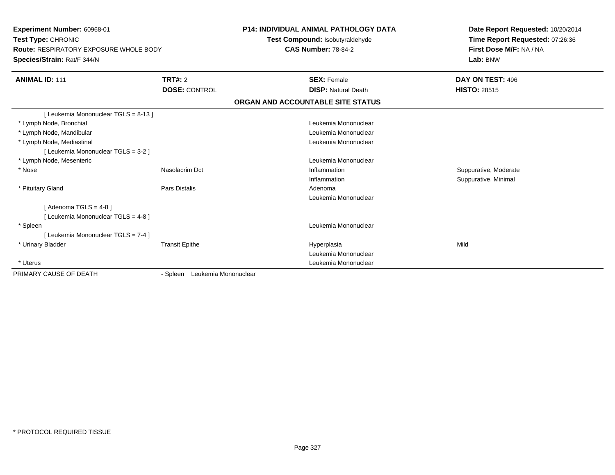| Experiment Number: 60968-01<br>Test Type: CHRONIC<br><b>Route: RESPIRATORY EXPOSURE WHOLE BODY</b><br>Species/Strain: Rat/F 344/N |                                  | <b>P14: INDIVIDUAL ANIMAL PATHOLOGY DATA</b><br>Test Compound: Isobutyraldehyde<br><b>CAS Number: 78-84-2</b> | Date Report Requested: 10/20/2014<br>Time Report Requested: 07:26:36<br>First Dose M/F: NA / NA<br>Lab: BNW |  |
|-----------------------------------------------------------------------------------------------------------------------------------|----------------------------------|---------------------------------------------------------------------------------------------------------------|-------------------------------------------------------------------------------------------------------------|--|
| <b>ANIMAL ID: 111</b>                                                                                                             | TRT#: 2                          | <b>SEX: Female</b>                                                                                            | DAY ON TEST: 496                                                                                            |  |
|                                                                                                                                   | <b>DOSE: CONTROL</b>             | <b>DISP: Natural Death</b>                                                                                    | <b>HISTO: 28515</b>                                                                                         |  |
|                                                                                                                                   |                                  | ORGAN AND ACCOUNTABLE SITE STATUS                                                                             |                                                                                                             |  |
| [ Leukemia Mononuclear TGLS = 8-13 ]                                                                                              |                                  |                                                                                                               |                                                                                                             |  |
| * Lymph Node, Bronchial                                                                                                           |                                  | Leukemia Mononuclear                                                                                          |                                                                                                             |  |
| * Lymph Node, Mandibular                                                                                                          |                                  | Leukemia Mononuclear                                                                                          |                                                                                                             |  |
| * Lymph Node, Mediastinal                                                                                                         |                                  | Leukemia Mononuclear                                                                                          |                                                                                                             |  |
| [ Leukemia Mononuclear TGLS = 3-2 ]                                                                                               |                                  |                                                                                                               |                                                                                                             |  |
| * Lymph Node, Mesenteric                                                                                                          |                                  | Leukemia Mononuclear                                                                                          |                                                                                                             |  |
| * Nose                                                                                                                            | Nasolacrim Dct                   | Inflammation                                                                                                  | Suppurative, Moderate                                                                                       |  |
|                                                                                                                                   |                                  | Inflammation                                                                                                  | Suppurative, Minimal                                                                                        |  |
| * Pituitary Gland                                                                                                                 | Pars Distalis                    | Adenoma                                                                                                       |                                                                                                             |  |
|                                                                                                                                   |                                  | Leukemia Mononuclear                                                                                          |                                                                                                             |  |
| [Adenoma TGLS = $4-8$ ]                                                                                                           |                                  |                                                                                                               |                                                                                                             |  |
| [ Leukemia Mononuclear TGLS = 4-8 ]                                                                                               |                                  |                                                                                                               |                                                                                                             |  |
| * Spleen                                                                                                                          |                                  | Leukemia Mononuclear                                                                                          |                                                                                                             |  |
| [ Leukemia Mononuclear TGLS = 7-4 ]                                                                                               |                                  |                                                                                                               |                                                                                                             |  |
| * Urinary Bladder                                                                                                                 | <b>Transit Epithe</b>            | Hyperplasia                                                                                                   | Mild                                                                                                        |  |
|                                                                                                                                   |                                  | Leukemia Mononuclear                                                                                          |                                                                                                             |  |
| * Uterus                                                                                                                          |                                  | Leukemia Mononuclear                                                                                          |                                                                                                             |  |
| PRIMARY CAUSE OF DEATH                                                                                                            | Leukemia Mononuclear<br>- Spleen |                                                                                                               |                                                                                                             |  |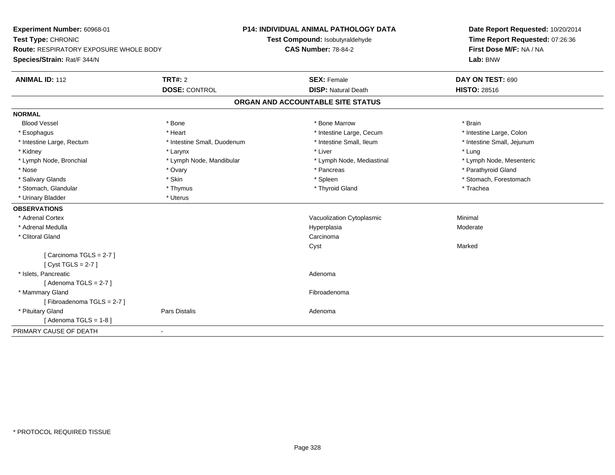**Experiment Number:** 60968-01**Test Type:** CHRONIC **Route:** RESPIRATORY EXPOSURE WHOLE BODY**Species/Strain:** Rat/F 344/N**P14: INDIVIDUAL ANIMAL PATHOLOGY DATATest Compound:** Isobutyraldehyde**CAS Number:** 78-84-2**Date Report Requested:** 10/20/2014**Time Report Requested:** 07:26:36**First Dose M/F:** NA / NA**Lab:** BNW**ANIMAL ID:** 112**TRT#:** 2 **SEX:** Female **DAY ON TEST:** 690 **DOSE:** CONTROL**DISP:** Natural Death **HISTO:** 28516 **ORGAN AND ACCOUNTABLE SITE STATUSNORMALBlood Vessel**  Blood Vessel \* Bone \* Bone Marrow \* Brain\* Intestine Large, Colon \* Esophagus \* **Heart \* Intestine Large, Cecum \* Intestine Large, Cecum \*** Intestine Large, Cecum \* Intestine Large, Rectum \* Thestine Small, Duodenum \* Number of the small, Ileum \* Intestine Small, Jejunum \* Intestine Small, Jejunum \* Kidney \* Larynx \* Liver \* Lung \* Lymph Node, Bronchial \* Lymph Node, Mandibular \* Lymph Node, Mediastinal \* Lymph Node, Mesenteric\* Nose \* Ovary \* Pancreas \* Parathyroid Gland \* Salivary Glands \* The stomach \* Skin \* Spleen \* Spleen \* Stomach, Forestomach \* Stomach, Forestomach \* Stomach, Forestomach \* Stomach, Glandular \* Thymus \* Thymus \* Thymus \* Thyroid Gland \* Thyroid Gland \* Thachea \* Urinary Bladder \* Uterus **OBSERVATIONS** \* Adrenal CortexVacuolization Cytoplasmic **Minimal**  \* Adrenal Medullaa and the state of the state of the state of the Hyperplasia and the Moderate of the Moderate of the Shane and T \* Clitoral Glandd<sub>d</sub> Carcinoma Cyst Marked[ Carcinoma TGLS = 2-7 ][ Cyst TGLS = 2-7 ] \* Islets, Pancreaticc and the contract of the contract of the contract of the contract of the contract of the contract of the contract of the contract of the contract of the contract of the contract of the contract of the contract of the cont [ Adenoma TGLS = 2-7 ] \* Mammary Glandd **Executive Contract of the Contract Contract Contract Contract Contract Contract Contract Contract Contract Contract Contract Contract Contract Contract Contract Contract Contract Contract Contract Contract Contract Cont** [ Fibroadenoma TGLS = 2-7 ] \* Pituitary Glandd and the contract of Pars Distalis and the contract of Adenoma and Adenoma and the Adenoma and the Adenoma and  $\lambda$  $[$  Adenoma TGLS = 1-8  $]$ PRIMARY CAUSE OF DEATH-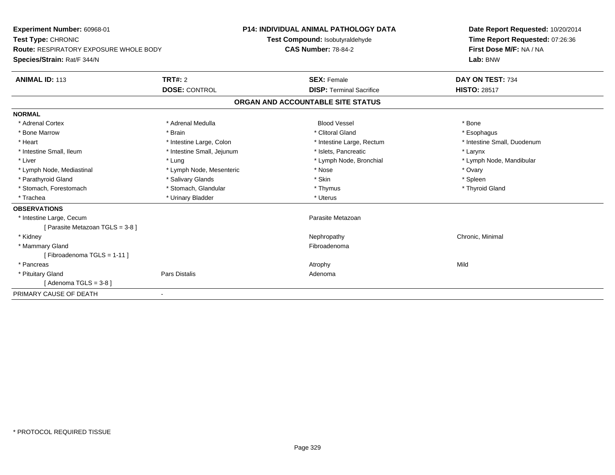| Experiment Number: 60968-01            |                            | P14: INDIVIDUAL ANIMAL PATHOLOGY DATA | Date Report Requested: 10/20/2014 |  |
|----------------------------------------|----------------------------|---------------------------------------|-----------------------------------|--|
| Test Type: CHRONIC                     |                            | Test Compound: Isobutyraldehyde       | Time Report Requested: 07:26:36   |  |
| Route: RESPIRATORY EXPOSURE WHOLE BODY |                            | <b>CAS Number: 78-84-2</b>            | First Dose M/F: NA / NA           |  |
| Species/Strain: Rat/F 344/N            |                            |                                       | Lab: BNW                          |  |
| <b>ANIMAL ID: 113</b>                  | TRT#: 2                    | <b>SEX: Female</b>                    | DAY ON TEST: 734                  |  |
|                                        | <b>DOSE: CONTROL</b>       | <b>DISP: Terminal Sacrifice</b>       | <b>HISTO: 28517</b>               |  |
|                                        |                            | ORGAN AND ACCOUNTABLE SITE STATUS     |                                   |  |
| <b>NORMAL</b>                          |                            |                                       |                                   |  |
| * Adrenal Cortex                       | * Adrenal Medulla          | <b>Blood Vessel</b>                   | * Bone                            |  |
| * Bone Marrow                          | * Brain                    | * Clitoral Gland                      | * Esophagus                       |  |
| * Heart                                | * Intestine Large, Colon   | * Intestine Large, Rectum             | * Intestine Small, Duodenum       |  |
| * Intestine Small, Ileum               | * Intestine Small, Jejunum | * Islets, Pancreatic                  | * Larynx                          |  |
| * Liver                                | * Lung                     | * Lymph Node, Bronchial               | * Lymph Node, Mandibular          |  |
| * Lymph Node, Mediastinal              | * Lymph Node, Mesenteric   | * Nose                                | * Ovary                           |  |
| * Parathyroid Gland                    | * Salivary Glands          | * Skin                                | * Spleen                          |  |
| * Stomach, Forestomach                 | * Stomach, Glandular       | * Thymus                              | * Thyroid Gland                   |  |
| * Trachea                              | * Urinary Bladder          | * Uterus                              |                                   |  |
| <b>OBSERVATIONS</b>                    |                            |                                       |                                   |  |
| * Intestine Large, Cecum               |                            | Parasite Metazoan                     |                                   |  |
| [Parasite Metazoan TGLS = 3-8 ]        |                            |                                       |                                   |  |
| * Kidney                               |                            | Nephropathy                           | Chronic, Minimal                  |  |
| * Mammary Gland                        |                            | Fibroadenoma                          |                                   |  |
| [Fibroadenoma TGLS = 1-11]             |                            |                                       |                                   |  |
| * Pancreas                             |                            | Atrophy                               | Mild                              |  |
| * Pituitary Gland                      | Pars Distalis              | Adenoma                               |                                   |  |
| [Adenoma TGLS = $3-8$ ]                |                            |                                       |                                   |  |
| PRIMARY CAUSE OF DEATH                 |                            |                                       |                                   |  |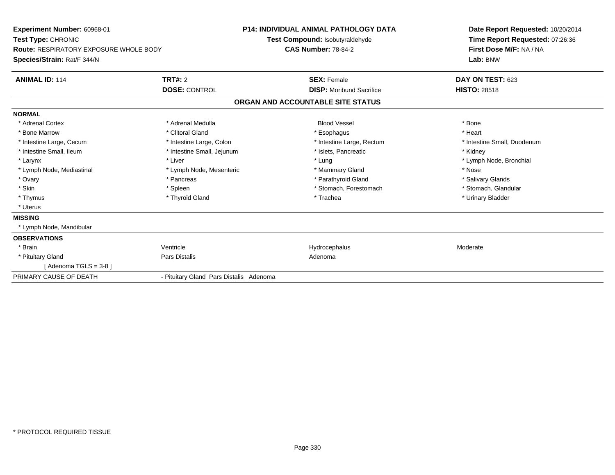| <b>Experiment Number: 60968-01</b><br>Test Type: CHRONIC<br>Route: RESPIRATORY EXPOSURE WHOLE BODY<br>Species/Strain: Rat/F 344/N |                                         | <b>P14: INDIVIDUAL ANIMAL PATHOLOGY DATA</b><br>Test Compound: Isobutyraldehyde<br><b>CAS Number: 78-84-2</b> | Date Report Requested: 10/20/2014<br>Time Report Requested: 07:26:36<br>First Dose M/F: NA / NA<br>Lab: BNW |
|-----------------------------------------------------------------------------------------------------------------------------------|-----------------------------------------|---------------------------------------------------------------------------------------------------------------|-------------------------------------------------------------------------------------------------------------|
| <b>ANIMAL ID: 114</b>                                                                                                             | <b>TRT#: 2</b>                          | <b>SEX: Female</b>                                                                                            | DAY ON TEST: 623                                                                                            |
|                                                                                                                                   | <b>DOSE: CONTROL</b>                    | <b>DISP:</b> Moribund Sacrifice                                                                               | <b>HISTO: 28518</b>                                                                                         |
|                                                                                                                                   |                                         | ORGAN AND ACCOUNTABLE SITE STATUS                                                                             |                                                                                                             |
| <b>NORMAL</b>                                                                                                                     |                                         |                                                                                                               |                                                                                                             |
| * Adrenal Cortex                                                                                                                  | * Adrenal Medulla                       | <b>Blood Vessel</b>                                                                                           | * Bone                                                                                                      |
| * Bone Marrow                                                                                                                     | * Clitoral Gland                        | * Esophagus                                                                                                   | * Heart                                                                                                     |
| * Intestine Large, Cecum                                                                                                          | * Intestine Large, Colon                | * Intestine Large, Rectum                                                                                     | * Intestine Small, Duodenum                                                                                 |
| * Intestine Small, Ileum                                                                                                          | * Intestine Small, Jejunum              | * Islets. Pancreatic                                                                                          | * Kidney                                                                                                    |
| * Larynx                                                                                                                          | * Liver                                 | * Lung                                                                                                        | * Lymph Node, Bronchial                                                                                     |
| * Lymph Node, Mediastinal                                                                                                         | * Lymph Node, Mesenteric                | * Mammary Gland                                                                                               | * Nose                                                                                                      |
| * Ovary                                                                                                                           | * Pancreas                              | * Parathyroid Gland                                                                                           | * Salivary Glands                                                                                           |
| * Skin                                                                                                                            | * Spleen                                | * Stomach, Forestomach                                                                                        | * Stomach, Glandular                                                                                        |
| * Thymus                                                                                                                          | * Thyroid Gland                         | * Trachea                                                                                                     | * Urinary Bladder                                                                                           |
| * Uterus                                                                                                                          |                                         |                                                                                                               |                                                                                                             |
| <b>MISSING</b>                                                                                                                    |                                         |                                                                                                               |                                                                                                             |
| * Lymph Node, Mandibular                                                                                                          |                                         |                                                                                                               |                                                                                                             |
| <b>OBSERVATIONS</b>                                                                                                               |                                         |                                                                                                               |                                                                                                             |
| * Brain                                                                                                                           | Ventricle                               | Hydrocephalus                                                                                                 | Moderate                                                                                                    |
| * Pituitary Gland                                                                                                                 | Pars Distalis                           | Adenoma                                                                                                       |                                                                                                             |
| [Adenoma TGLS = $3-8$ ]                                                                                                           |                                         |                                                                                                               |                                                                                                             |
| PRIMARY CAUSE OF DEATH                                                                                                            | - Pituitary Gland Pars Distalis Adenoma |                                                                                                               |                                                                                                             |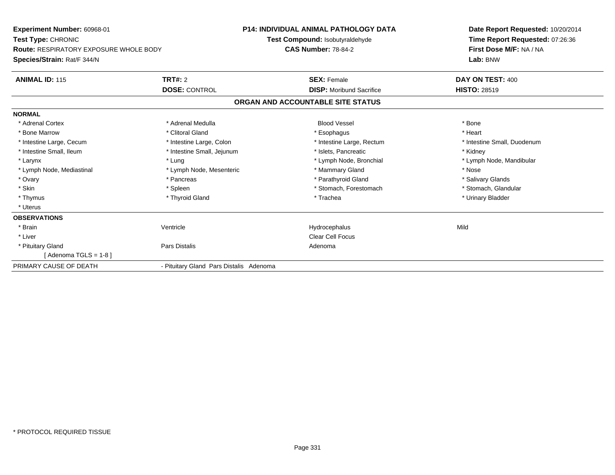| Experiment Number: 60968-01<br>Test Type: CHRONIC<br><b>Route: RESPIRATORY EXPOSURE WHOLE BODY</b> |                                         | <b>P14: INDIVIDUAL ANIMAL PATHOLOGY DATA</b><br>Test Compound: Isobutyraldehyde<br><b>CAS Number: 78-84-2</b> | Date Report Requested: 10/20/2014<br>Time Report Requested: 07:26:36<br>First Dose M/F: NA / NA |
|----------------------------------------------------------------------------------------------------|-----------------------------------------|---------------------------------------------------------------------------------------------------------------|-------------------------------------------------------------------------------------------------|
| Species/Strain: Rat/F 344/N                                                                        |                                         |                                                                                                               | Lab: BNW                                                                                        |
| <b>ANIMAL ID: 115</b>                                                                              | <b>TRT#: 2</b>                          | <b>SEX: Female</b>                                                                                            | DAY ON TEST: 400                                                                                |
|                                                                                                    | <b>DOSE: CONTROL</b>                    | <b>DISP:</b> Moribund Sacrifice                                                                               | <b>HISTO: 28519</b>                                                                             |
|                                                                                                    |                                         | ORGAN AND ACCOUNTABLE SITE STATUS                                                                             |                                                                                                 |
| <b>NORMAL</b>                                                                                      |                                         |                                                                                                               |                                                                                                 |
| * Adrenal Cortex                                                                                   | * Adrenal Medulla                       | <b>Blood Vessel</b>                                                                                           | * Bone                                                                                          |
| * Bone Marrow                                                                                      | * Clitoral Gland                        | * Esophagus                                                                                                   | * Heart                                                                                         |
| * Intestine Large, Cecum                                                                           | * Intestine Large, Colon                | * Intestine Large, Rectum                                                                                     | * Intestine Small, Duodenum                                                                     |
| * Intestine Small, Ileum                                                                           | * Intestine Small, Jejunum              | * Islets, Pancreatic                                                                                          | * Kidney                                                                                        |
| * Larynx                                                                                           | * Lung                                  | * Lymph Node, Bronchial                                                                                       | * Lymph Node, Mandibular                                                                        |
| * Lymph Node, Mediastinal                                                                          | * Lymph Node, Mesenteric                | * Mammary Gland                                                                                               | * Nose                                                                                          |
| * Ovary                                                                                            | * Pancreas                              | * Parathyroid Gland                                                                                           | * Salivary Glands                                                                               |
| * Skin                                                                                             | * Spleen                                | * Stomach, Forestomach                                                                                        | * Stomach, Glandular                                                                            |
| * Thymus                                                                                           | * Thyroid Gland                         | * Trachea                                                                                                     | * Urinary Bladder                                                                               |
| * Uterus                                                                                           |                                         |                                                                                                               |                                                                                                 |
| <b>OBSERVATIONS</b>                                                                                |                                         |                                                                                                               |                                                                                                 |
| * Brain                                                                                            | Ventricle                               | Hydrocephalus                                                                                                 | Mild                                                                                            |
| * Liver                                                                                            |                                         | <b>Clear Cell Focus</b>                                                                                       |                                                                                                 |
| * Pituitary Gland                                                                                  | Pars Distalis                           | Adenoma                                                                                                       |                                                                                                 |
| [Adenoma TGLS = $1-8$ ]                                                                            |                                         |                                                                                                               |                                                                                                 |
| PRIMARY CAUSE OF DEATH                                                                             | - Pituitary Gland Pars Distalis Adenoma |                                                                                                               |                                                                                                 |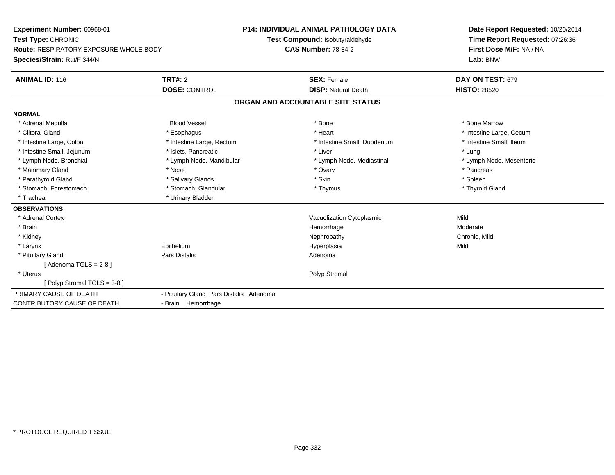| Experiment Number: 60968-01                   |                                         | <b>P14: INDIVIDUAL ANIMAL PATHOLOGY DATA</b> | Date Report Requested: 10/20/2014                          |  |
|-----------------------------------------------|-----------------------------------------|----------------------------------------------|------------------------------------------------------------|--|
| Test Type: CHRONIC                            |                                         | Test Compound: Isobutyraldehyde              | Time Report Requested: 07:26:36<br>First Dose M/F: NA / NA |  |
| <b>Route: RESPIRATORY EXPOSURE WHOLE BODY</b> |                                         | <b>CAS Number: 78-84-2</b>                   |                                                            |  |
| Species/Strain: Rat/F 344/N                   |                                         |                                              | Lab: BNW                                                   |  |
| <b>ANIMAL ID: 116</b>                         | TRT#: 2                                 | <b>SEX: Female</b>                           | DAY ON TEST: 679                                           |  |
|                                               | <b>DOSE: CONTROL</b>                    | <b>DISP: Natural Death</b>                   | <b>HISTO: 28520</b>                                        |  |
|                                               |                                         | ORGAN AND ACCOUNTABLE SITE STATUS            |                                                            |  |
| <b>NORMAL</b>                                 |                                         |                                              |                                                            |  |
| * Adrenal Medulla                             | <b>Blood Vessel</b>                     | * Bone                                       | * Bone Marrow                                              |  |
| * Clitoral Gland                              | * Esophagus                             | * Heart                                      | * Intestine Large, Cecum                                   |  |
| * Intestine Large, Colon                      | * Intestine Large, Rectum               | * Intestine Small, Duodenum                  | * Intestine Small, Ileum                                   |  |
| * Intestine Small, Jejunum                    | * Islets, Pancreatic                    | * Liver                                      | * Lung                                                     |  |
| * Lymph Node, Bronchial                       | * Lymph Node, Mandibular                | * Lymph Node, Mediastinal                    | * Lymph Node, Mesenteric                                   |  |
| * Mammary Gland                               | * Nose                                  | * Ovary                                      | * Pancreas                                                 |  |
| * Parathyroid Gland                           | * Salivary Glands                       | * Skin                                       | * Spleen                                                   |  |
| * Stomach, Forestomach                        | * Stomach, Glandular                    | * Thymus                                     | * Thyroid Gland                                            |  |
| * Trachea                                     | * Urinary Bladder                       |                                              |                                                            |  |
| <b>OBSERVATIONS</b>                           |                                         |                                              |                                                            |  |
| * Adrenal Cortex                              |                                         | Vacuolization Cytoplasmic                    | Mild                                                       |  |
| * Brain                                       |                                         | Hemorrhage                                   | Moderate                                                   |  |
| * Kidney                                      |                                         | Nephropathy                                  | Chronic, Mild                                              |  |
| * Larynx                                      | Epithelium                              | Hyperplasia                                  | Mild                                                       |  |
| * Pituitary Gland                             | <b>Pars Distalis</b>                    | Adenoma                                      |                                                            |  |
| [Adenoma TGLS = $2-8$ ]                       |                                         |                                              |                                                            |  |
| * Uterus                                      |                                         | Polyp Stromal                                |                                                            |  |
| [Polyp Stromal TGLS = 3-8]                    |                                         |                                              |                                                            |  |
| PRIMARY CAUSE OF DEATH                        | - Pituitary Gland Pars Distalis Adenoma |                                              |                                                            |  |
| <b>CONTRIBUTORY CAUSE OF DEATH</b>            | - Brain Hemorrhage                      |                                              |                                                            |  |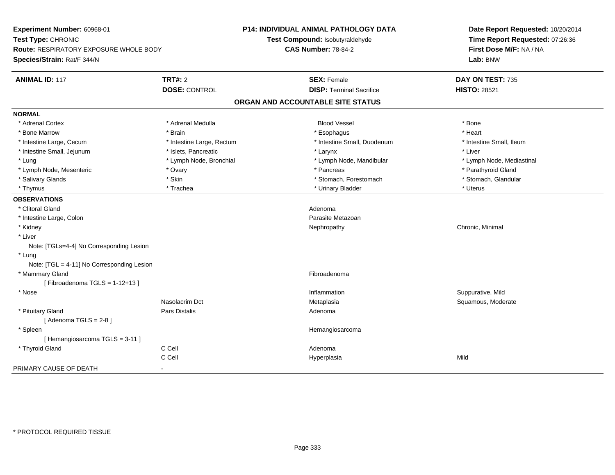| Experiment Number: 60968-01<br>Test Type: CHRONIC<br>Route: RESPIRATORY EXPOSURE WHOLE BODY<br>Species/Strain: Rat/F 344/N |                           | <b>P14: INDIVIDUAL ANIMAL PATHOLOGY DATA</b><br>Test Compound: Isobutyraldehyde<br><b>CAS Number: 78-84-2</b> | Date Report Requested: 10/20/2014<br>Time Report Requested: 07:26:36<br>First Dose M/F: NA / NA<br>Lab: BNW |
|----------------------------------------------------------------------------------------------------------------------------|---------------------------|---------------------------------------------------------------------------------------------------------------|-------------------------------------------------------------------------------------------------------------|
|                                                                                                                            |                           |                                                                                                               |                                                                                                             |
| <b>ANIMAL ID: 117</b>                                                                                                      | <b>TRT#: 2</b>            | <b>SEX: Female</b>                                                                                            | DAY ON TEST: 735                                                                                            |
|                                                                                                                            | <b>DOSE: CONTROL</b>      | <b>DISP: Terminal Sacrifice</b>                                                                               | <b>HISTO: 28521</b>                                                                                         |
|                                                                                                                            |                           | ORGAN AND ACCOUNTABLE SITE STATUS                                                                             |                                                                                                             |
| <b>NORMAL</b>                                                                                                              |                           |                                                                                                               |                                                                                                             |
| * Adrenal Cortex                                                                                                           | * Adrenal Medulla         | <b>Blood Vessel</b>                                                                                           | * Bone                                                                                                      |
| * Bone Marrow                                                                                                              | * Brain                   | * Esophagus                                                                                                   | * Heart                                                                                                     |
| * Intestine Large, Cecum                                                                                                   | * Intestine Large, Rectum | * Intestine Small, Duodenum                                                                                   | * Intestine Small, Ileum                                                                                    |
| * Intestine Small, Jejunum                                                                                                 | * Islets, Pancreatic      | * Larynx                                                                                                      | * Liver                                                                                                     |
| * Lung                                                                                                                     | * Lymph Node, Bronchial   | * Lymph Node, Mandibular                                                                                      | * Lymph Node, Mediastinal                                                                                   |
| * Lymph Node, Mesenteric                                                                                                   | * Ovary                   | * Pancreas                                                                                                    | * Parathyroid Gland                                                                                         |
| * Salivary Glands                                                                                                          | * Skin                    | * Stomach, Forestomach                                                                                        | * Stomach, Glandular                                                                                        |
| * Thymus                                                                                                                   | * Trachea                 | * Urinary Bladder                                                                                             | * Uterus                                                                                                    |
| <b>OBSERVATIONS</b>                                                                                                        |                           |                                                                                                               |                                                                                                             |
| * Clitoral Gland                                                                                                           |                           | Adenoma                                                                                                       |                                                                                                             |
| * Intestine Large, Colon                                                                                                   |                           | Parasite Metazoan                                                                                             |                                                                                                             |
| * Kidney                                                                                                                   |                           | Nephropathy                                                                                                   | Chronic, Minimal                                                                                            |
| * Liver                                                                                                                    |                           |                                                                                                               |                                                                                                             |
| Note: [TGLs=4-4] No Corresponding Lesion                                                                                   |                           |                                                                                                               |                                                                                                             |
| * Lung                                                                                                                     |                           |                                                                                                               |                                                                                                             |
| Note: [TGL = 4-11] No Corresponding Lesion                                                                                 |                           |                                                                                                               |                                                                                                             |
| * Mammary Gland                                                                                                            |                           | Fibroadenoma                                                                                                  |                                                                                                             |
| [Fibroadenoma TGLS = $1-12+13$ ]                                                                                           |                           |                                                                                                               |                                                                                                             |
| * Nose                                                                                                                     |                           | Inflammation                                                                                                  | Suppurative, Mild                                                                                           |
|                                                                                                                            | Nasolacrim Dct            | Metaplasia                                                                                                    | Squamous, Moderate                                                                                          |
| * Pituitary Gland                                                                                                          | Pars Distalis             | Adenoma                                                                                                       |                                                                                                             |
| [Adenoma TGLS = $2-8$ ]                                                                                                    |                           |                                                                                                               |                                                                                                             |
| * Spleen                                                                                                                   |                           | Hemangiosarcoma                                                                                               |                                                                                                             |
| [Hemangiosarcoma TGLS = 3-11]                                                                                              |                           |                                                                                                               |                                                                                                             |
| * Thyroid Gland                                                                                                            | C Cell                    | Adenoma                                                                                                       |                                                                                                             |
|                                                                                                                            | C Cell                    | Hyperplasia                                                                                                   | Mild                                                                                                        |
| PRIMARY CAUSE OF DEATH                                                                                                     |                           |                                                                                                               |                                                                                                             |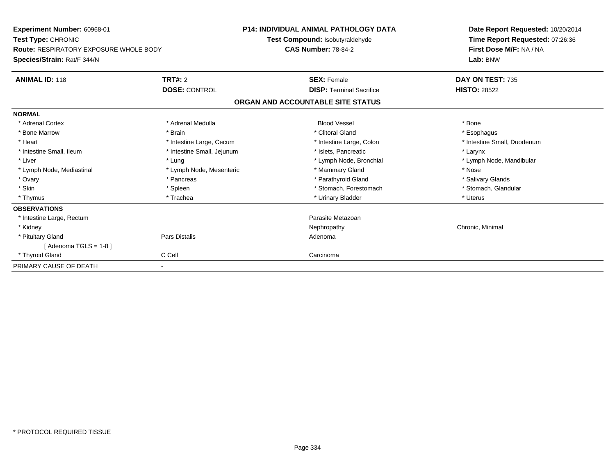| Experiment Number: 60968-01<br>Test Type: CHRONIC<br>Route: RESPIRATORY EXPOSURE WHOLE BODY<br>Species/Strain: Rat/F 344/N |                            | P14: INDIVIDUAL ANIMAL PATHOLOGY DATA<br>Test Compound: Isobutyraldehyde | Date Report Requested: 10/20/2014<br>Time Report Requested: 07:26:36 |
|----------------------------------------------------------------------------------------------------------------------------|----------------------------|--------------------------------------------------------------------------|----------------------------------------------------------------------|
|                                                                                                                            |                            | <b>CAS Number: 78-84-2</b>                                               | First Dose M/F: NA / NA<br>Lab: BNW                                  |
| <b>ANIMAL ID: 118</b>                                                                                                      | TRT#: 2                    | <b>SEX: Female</b>                                                       | DAY ON TEST: 735                                                     |
|                                                                                                                            | <b>DOSE: CONTROL</b>       | <b>DISP: Terminal Sacrifice</b>                                          | <b>HISTO: 28522</b>                                                  |
|                                                                                                                            |                            | ORGAN AND ACCOUNTABLE SITE STATUS                                        |                                                                      |
| <b>NORMAL</b>                                                                                                              |                            |                                                                          |                                                                      |
| * Adrenal Cortex                                                                                                           | * Adrenal Medulla          | <b>Blood Vessel</b>                                                      | * Bone                                                               |
| * Bone Marrow                                                                                                              | * Brain                    | * Clitoral Gland                                                         | * Esophagus                                                          |
| * Heart                                                                                                                    | * Intestine Large, Cecum   | * Intestine Large, Colon                                                 | * Intestine Small, Duodenum                                          |
| * Intestine Small, Ileum                                                                                                   | * Intestine Small, Jejunum | * Islets, Pancreatic                                                     | * Larynx                                                             |
| * Liver                                                                                                                    | * Lung                     | * Lymph Node, Bronchial                                                  | * Lymph Node, Mandibular                                             |
| * Lymph Node, Mediastinal                                                                                                  | * Lymph Node, Mesenteric   | * Mammary Gland                                                          | * Nose                                                               |
| * Ovary                                                                                                                    | * Pancreas                 | * Parathyroid Gland                                                      | * Salivary Glands                                                    |
| * Skin                                                                                                                     | * Spleen                   | * Stomach, Forestomach                                                   | * Stomach, Glandular                                                 |
| * Thymus                                                                                                                   | * Trachea                  | * Urinary Bladder                                                        | * Uterus                                                             |
| <b>OBSERVATIONS</b>                                                                                                        |                            |                                                                          |                                                                      |
| * Intestine Large, Rectum                                                                                                  |                            | Parasite Metazoan                                                        |                                                                      |
| * Kidney                                                                                                                   |                            | Nephropathy                                                              | Chronic, Minimal                                                     |
| * Pituitary Gland                                                                                                          | Pars Distalis              | Adenoma                                                                  |                                                                      |
| [Adenoma TGLS = $1-8$ ]                                                                                                    |                            |                                                                          |                                                                      |
| * Thyroid Gland                                                                                                            | C Cell                     | Carcinoma                                                                |                                                                      |
| PRIMARY CAUSE OF DEATH                                                                                                     |                            |                                                                          |                                                                      |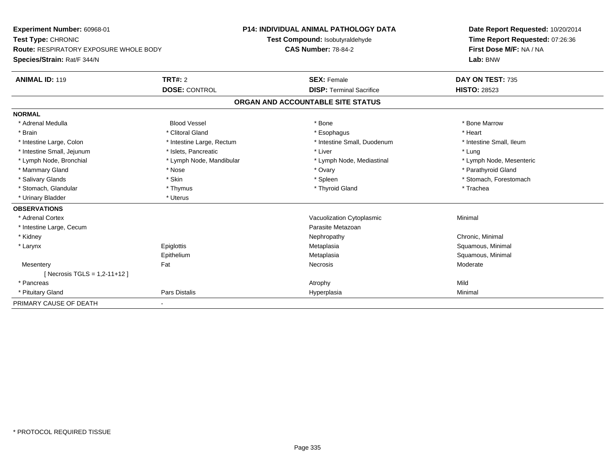| Experiment Number: 60968-01                   |                           | <b>P14: INDIVIDUAL ANIMAL PATHOLOGY DATA</b> |                                   | Date Report Requested: 10/20/2014 |
|-----------------------------------------------|---------------------------|----------------------------------------------|-----------------------------------|-----------------------------------|
| Test Type: CHRONIC                            |                           |                                              | Test Compound: Isobutyraldehyde   | Time Report Requested: 07:26:36   |
| <b>Route: RESPIRATORY EXPOSURE WHOLE BODY</b> |                           | <b>CAS Number: 78-84-2</b>                   |                                   | First Dose M/F: NA / NA           |
| Species/Strain: Rat/F 344/N                   |                           |                                              |                                   | Lab: BNW                          |
| <b>ANIMAL ID: 119</b>                         | <b>TRT#: 2</b>            |                                              | <b>SEX: Female</b>                | DAY ON TEST: 735                  |
|                                               | <b>DOSE: CONTROL</b>      |                                              | <b>DISP: Terminal Sacrifice</b>   | <b>HISTO: 28523</b>               |
|                                               |                           |                                              | ORGAN AND ACCOUNTABLE SITE STATUS |                                   |
| <b>NORMAL</b>                                 |                           |                                              |                                   |                                   |
| * Adrenal Medulla                             | <b>Blood Vessel</b>       |                                              | * Bone                            | * Bone Marrow                     |
| * Brain                                       | * Clitoral Gland          |                                              | * Esophagus                       | * Heart                           |
| * Intestine Large, Colon                      | * Intestine Large, Rectum |                                              | * Intestine Small, Duodenum       | * Intestine Small, Ileum          |
| * Intestine Small, Jejunum                    | * Islets, Pancreatic      |                                              | * Liver                           | * Lung                            |
| * Lymph Node, Bronchial                       | * Lymph Node, Mandibular  |                                              | * Lymph Node, Mediastinal         | * Lymph Node, Mesenteric          |
| * Mammary Gland                               | * Nose                    |                                              | * Ovary                           | * Parathyroid Gland               |
| * Salivary Glands                             | * Skin                    |                                              | * Spleen                          | * Stomach, Forestomach            |
| * Stomach, Glandular                          | * Thymus                  |                                              | * Thyroid Gland                   | * Trachea                         |
| * Urinary Bladder                             | * Uterus                  |                                              |                                   |                                   |
| <b>OBSERVATIONS</b>                           |                           |                                              |                                   |                                   |
| * Adrenal Cortex                              |                           |                                              | Vacuolization Cytoplasmic         | Minimal                           |
| * Intestine Large, Cecum                      |                           |                                              | Parasite Metazoan                 |                                   |
| * Kidney                                      |                           |                                              | Nephropathy                       | Chronic, Minimal                  |
| * Larynx                                      | Epiglottis                |                                              | Metaplasia                        | Squamous, Minimal                 |
|                                               | Epithelium                |                                              | Metaplasia                        | Squamous, Minimal                 |
| Mesentery                                     | Fat                       |                                              | Necrosis                          | Moderate                          |
| [ Necrosis TGLS = 1,2-11+12 ]                 |                           |                                              |                                   |                                   |
| * Pancreas                                    |                           |                                              | Atrophy                           | Mild                              |
| * Pituitary Gland                             | Pars Distalis             |                                              | Hyperplasia                       | Minimal                           |
| PRIMARY CAUSE OF DEATH                        |                           |                                              |                                   |                                   |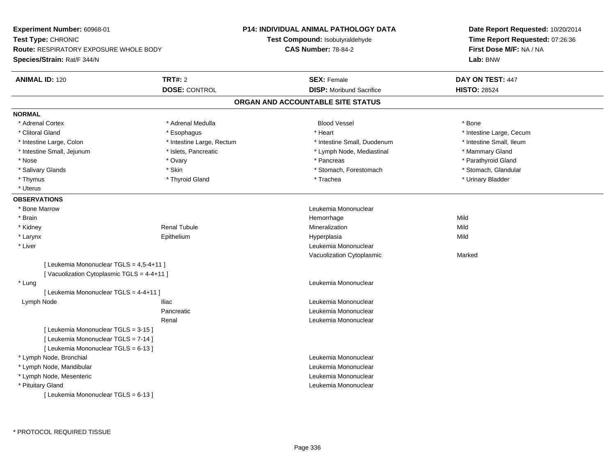**Experiment Number:** 60968-01**Test Type:** CHRONIC **Route:** RESPIRATORY EXPOSURE WHOLE BODY**Species/Strain:** Rat/F 344/N**P14: INDIVIDUAL ANIMAL PATHOLOGY DATATest Compound:** Isobutyraldehyde**CAS Number:** 78-84-2**Date Report Requested:** 10/20/2014**Time Report Requested:** 07:26:36**First Dose M/F:** NA / NA**Lab:** BNW**ANIMAL ID:** 120**CONSOLE SEX:** Female **DAY ON TEST:** 447 **DOSE:** CONTROL**DISP:** Moribund Sacrifice **HISTO:** 28524 **ORGAN AND ACCOUNTABLE SITE STATUSNORMAL**\* Adrenal Cortex \* Adrenal Medulla \* \* Book \* Blood Vessel \* Book \* Bone \* Bone \* Bone \* Bone \* Bone \* Bone \* Bone \* Bone \* Bone \* Clitoral Gland \* \* exphagus \* Esophagus \* \* Heart \* Heart \* Intestine Large, Cecum \* Intestine Small, Ileum \* Intestine Large, Colon \* Intestine Large, Rectum \* Intestine Small, Duodenum \* Intestine Small, Duodenum \* Intestine Small, Jejunum \* \* Mammary Gland \* \* Islets, Pancreatic \* The \* Lymph Node, Mediastinal \* Mammary Gland \* Parathyroid Gland \* Nose \* Ovary \* Pancreas \* Parathyroid Gland \* Stomach, Glandular \* Salivary Glands \* Stomach, Forestomach \* Skin \* Skin \* Stomach, Forestomach \* Stomach, Forestomach \* Thymus \* Thyroid Gland \* Trachea \* Urinary Bladder \* \* Uterus**OBSERVATIONS** \* Bone MarrowLeukemia Mononuclear<br>Hemorrhage \* Brainn and the state of the state of the state of the state of the Mild and the Mild and the Mild and the Mild and the Mild and the Mild and the Mild and the Mild and the Mild and the Mild and the Mild and the Mild and the Mild \* Kidney Renal Tubulee and the matrix of the Mineralization and the Mild Mild of the Mild Mild of the Mild of the Mild of the Mild o \* Larynx Epithelium Hyperplasia Mild \* Liver Leukemia Mononuclear Vacuolization Cytoplasmic Marked[ Leukemia Mononuclear TGLS = 4,5-4+11 ][ Vacuolization Cytoplasmic TGLS = 4-4+11 ] \* Lung Leukemia Mononuclear [ Leukemia Mononuclear TGLS = 4-4+11 ] Lymph NodeIliac **III** Contract Leukemia Mononuclear Pancreatic Leukemia Mononuclear Renal Leukemia Mononuclear[ Leukemia Mononuclear TGLS = 3-15 ][ Leukemia Mononuclear TGLS = 7-14 ][ Leukemia Mononuclear TGLS = 6-13 ] \* Lymph Node, Bronchial Leukemia Mononuclear \* Lymph Node, Mandibular Leukemia Mononuclear \* Lymph Node, Mesenteric Leukemia Mononuclear \* Pituitary Gland Leukemia Mononuclear [ Leukemia Mononuclear TGLS = 6-13 ]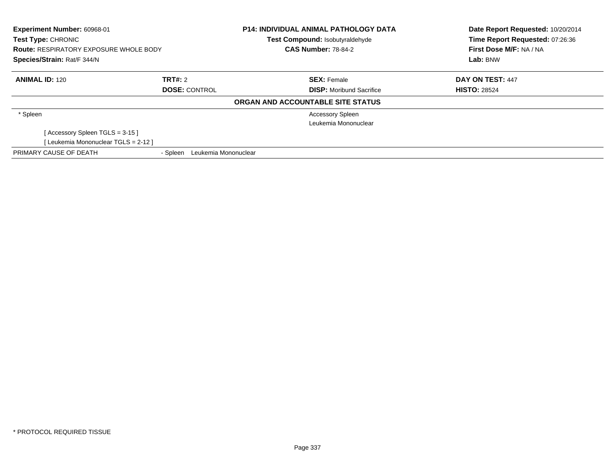| Experiment Number: 60968-01<br>Test Type: CHRONIC |                                  | <b>P14: INDIVIDUAL ANIMAL PATHOLOGY DATA</b><br>Test Compound: Isobutyraldehyde | Date Report Requested: 10/20/2014<br>Time Report Requested: 07:26:36 |
|---------------------------------------------------|----------------------------------|---------------------------------------------------------------------------------|----------------------------------------------------------------------|
| <b>Route: RESPIRATORY EXPOSURE WHOLE BODY</b>     |                                  | <b>CAS Number: 78-84-2</b>                                                      | First Dose M/F: NA / NA                                              |
| Species/Strain: Rat/F 344/N                       |                                  |                                                                                 | Lab: BNW                                                             |
| <b>ANIMAL ID: 120</b>                             | TRT#: 2                          | <b>SEX: Female</b>                                                              | DAY ON TEST: 447                                                     |
|                                                   | <b>DOSE: CONTROL</b>             | <b>DISP:</b> Moribund Sacrifice                                                 | <b>HISTO: 28524</b>                                                  |
|                                                   |                                  | ORGAN AND ACCOUNTABLE SITE STATUS                                               |                                                                      |
| * Spleen                                          |                                  | <b>Accessory Spleen</b>                                                         |                                                                      |
|                                                   |                                  | Leukemia Mononuclear                                                            |                                                                      |
| [Accessory Spleen TGLS = 3-15]                    |                                  |                                                                                 |                                                                      |
| [Leukemia Mononuclear TGLS = 2-12 ]               |                                  |                                                                                 |                                                                      |
| PRIMARY CAUSE OF DEATH                            | Leukemia Mononuclear<br>- Spleen |                                                                                 |                                                                      |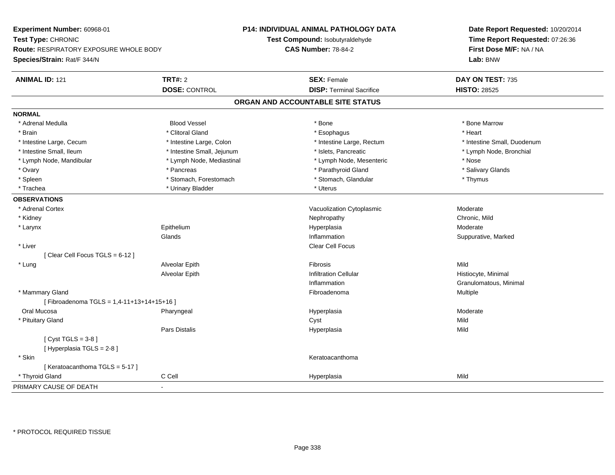| Experiment Number: 60968-01                       |                            | <b>P14: INDIVIDUAL ANIMAL PATHOLOGY DATA</b> | Date Report Requested: 10/20/2014<br>Time Report Requested: 07:26:36 |  |
|---------------------------------------------------|----------------------------|----------------------------------------------|----------------------------------------------------------------------|--|
| Test Type: CHRONIC                                |                            | Test Compound: Isobutyraldehyde              |                                                                      |  |
| <b>Route: RESPIRATORY EXPOSURE WHOLE BODY</b>     |                            | <b>CAS Number: 78-84-2</b>                   | First Dose M/F: NA / NA                                              |  |
| Species/Strain: Rat/F 344/N                       |                            |                                              | Lab: BNW                                                             |  |
| <b>ANIMAL ID: 121</b>                             | TRT#: 2                    | <b>SEX: Female</b>                           | DAY ON TEST: 735                                                     |  |
|                                                   | <b>DOSE: CONTROL</b>       | <b>DISP: Terminal Sacrifice</b>              | <b>HISTO: 28525</b>                                                  |  |
|                                                   |                            | ORGAN AND ACCOUNTABLE SITE STATUS            |                                                                      |  |
| <b>NORMAL</b>                                     |                            |                                              |                                                                      |  |
| * Adrenal Medulla                                 | <b>Blood Vessel</b>        | * Bone                                       | * Bone Marrow                                                        |  |
| * Brain                                           | * Clitoral Gland           | * Esophagus                                  | * Heart                                                              |  |
| * Intestine Large, Cecum                          | * Intestine Large, Colon   | * Intestine Large, Rectum                    | * Intestine Small, Duodenum                                          |  |
| * Intestine Small, Ileum                          | * Intestine Small, Jejunum | * Islets, Pancreatic                         | * Lymph Node, Bronchial                                              |  |
| * Lymph Node, Mandibular                          | * Lymph Node, Mediastinal  | * Lymph Node, Mesenteric                     | * Nose                                                               |  |
| * Ovary                                           | * Pancreas                 | * Parathyroid Gland                          | * Salivary Glands                                                    |  |
| * Spleen                                          | * Stomach, Forestomach     | * Stomach, Glandular                         | * Thymus                                                             |  |
| * Trachea                                         | * Urinary Bladder          | * Uterus                                     |                                                                      |  |
| <b>OBSERVATIONS</b>                               |                            |                                              |                                                                      |  |
| * Adrenal Cortex                                  |                            | Vacuolization Cytoplasmic                    | Moderate                                                             |  |
| * Kidney                                          |                            | Nephropathy                                  | Chronic, Mild                                                        |  |
| * Larynx                                          | Epithelium                 | Hyperplasia                                  | Moderate                                                             |  |
|                                                   | Glands                     | Inflammation                                 | Suppurative, Marked                                                  |  |
| * Liver                                           |                            | <b>Clear Cell Focus</b>                      |                                                                      |  |
| [Clear Cell Focus TGLS = 6-12]                    |                            |                                              |                                                                      |  |
| * Lung                                            | Alveolar Epith             | Fibrosis                                     | Mild                                                                 |  |
|                                                   | Alveolar Epith             | <b>Infiltration Cellular</b>                 | Histiocyte, Minimal                                                  |  |
|                                                   |                            | Inflammation                                 | Granulomatous, Minimal                                               |  |
| * Mammary Gland                                   |                            | Fibroadenoma                                 | Multiple                                                             |  |
| [Fibroadenoma TGLS = 1,4-11+13+14+15+16]          |                            |                                              |                                                                      |  |
| Oral Mucosa                                       | Pharyngeal                 | Hyperplasia                                  | Moderate                                                             |  |
| * Pituitary Gland                                 |                            | Cyst                                         | Mild                                                                 |  |
|                                                   | Pars Distalis              | Hyperplasia                                  | Mild                                                                 |  |
| [Cyst TGLS = $3-8$ ]<br>[ Hyperplasia TGLS = 2-8] |                            |                                              |                                                                      |  |
| * Skin                                            |                            | Keratoacanthoma                              |                                                                      |  |
| [Keratoacanthoma TGLS = 5-17]                     |                            |                                              |                                                                      |  |
| * Thyroid Gland                                   | C Cell                     | Hyperplasia                                  | Mild                                                                 |  |
| PRIMARY CAUSE OF DEATH                            | $\blacksquare$             |                                              |                                                                      |  |
|                                                   |                            |                                              |                                                                      |  |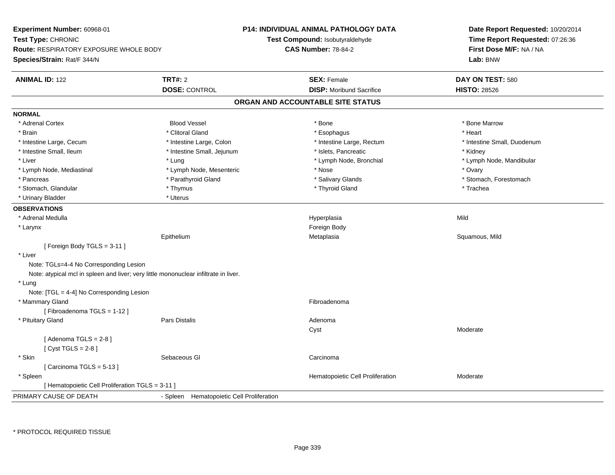| Experiment Number: 60968-01                                                          |                                           | <b>P14: INDIVIDUAL ANIMAL PATHOLOGY DATA</b> | Date Report Requested: 10/20/2014<br>Time Report Requested: 07:26:36 |  |
|--------------------------------------------------------------------------------------|-------------------------------------------|----------------------------------------------|----------------------------------------------------------------------|--|
| Test Type: CHRONIC                                                                   |                                           | Test Compound: Isobutyraldehyde              |                                                                      |  |
| <b>Route: RESPIRATORY EXPOSURE WHOLE BODY</b>                                        |                                           | <b>CAS Number: 78-84-2</b>                   | First Dose M/F: NA / NA                                              |  |
| Species/Strain: Rat/F 344/N                                                          |                                           |                                              | Lab: BNW                                                             |  |
| <b>ANIMAL ID: 122</b>                                                                | <b>TRT#: 2</b>                            | <b>SEX: Female</b>                           | DAY ON TEST: 580                                                     |  |
|                                                                                      | <b>DOSE: CONTROL</b>                      | <b>DISP:</b> Moribund Sacrifice              | <b>HISTO: 28526</b>                                                  |  |
|                                                                                      |                                           | ORGAN AND ACCOUNTABLE SITE STATUS            |                                                                      |  |
| <b>NORMAL</b>                                                                        |                                           |                                              |                                                                      |  |
| * Adrenal Cortex                                                                     | <b>Blood Vessel</b>                       | * Bone                                       | * Bone Marrow                                                        |  |
| * Brain                                                                              | * Clitoral Gland                          | * Esophagus                                  | * Heart                                                              |  |
| * Intestine Large, Cecum                                                             | * Intestine Large, Colon                  | * Intestine Large, Rectum                    | * Intestine Small, Duodenum                                          |  |
| * Intestine Small, Ileum                                                             | * Intestine Small, Jejunum                | * Islets, Pancreatic                         | * Kidney                                                             |  |
| * Liver                                                                              | * Lung                                    | * Lymph Node, Bronchial                      | * Lymph Node, Mandibular                                             |  |
| * Lymph Node, Mediastinal                                                            | * Lymph Node, Mesenteric                  | * Nose                                       | * Ovary                                                              |  |
| * Pancreas                                                                           | * Parathyroid Gland                       | * Salivary Glands                            | * Stomach, Forestomach                                               |  |
| * Stomach, Glandular                                                                 | * Thymus                                  | * Thyroid Gland                              | * Trachea                                                            |  |
| * Urinary Bladder                                                                    | * Uterus                                  |                                              |                                                                      |  |
| <b>OBSERVATIONS</b>                                                                  |                                           |                                              |                                                                      |  |
| * Adrenal Medulla                                                                    |                                           | Hyperplasia                                  | Mild                                                                 |  |
| * Larynx                                                                             |                                           | Foreign Body                                 |                                                                      |  |
|                                                                                      | Epithelium                                | Metaplasia                                   | Squamous, Mild                                                       |  |
| [Foreign Body TGLS = 3-11]                                                           |                                           |                                              |                                                                      |  |
| * Liver                                                                              |                                           |                                              |                                                                      |  |
| Note: TGLs=4-4 No Corresponding Lesion                                               |                                           |                                              |                                                                      |  |
| Note: atypical mcl in spleen and liver; very little mononuclear infiltrate in liver. |                                           |                                              |                                                                      |  |
| * Lung                                                                               |                                           |                                              |                                                                      |  |
| Note: [TGL = 4-4] No Corresponding Lesion                                            |                                           |                                              |                                                                      |  |
| * Mammary Gland                                                                      |                                           | Fibroadenoma                                 |                                                                      |  |
| [Fibroadenoma TGLS = 1-12]                                                           |                                           |                                              |                                                                      |  |
| * Pituitary Gland                                                                    | Pars Distalis                             | Adenoma                                      |                                                                      |  |
|                                                                                      |                                           | Cyst                                         | Moderate                                                             |  |
| [Adenoma TGLS = $2-8$ ]                                                              |                                           |                                              |                                                                      |  |
| [Cyst TGLS = $2-8$ ]                                                                 |                                           |                                              |                                                                      |  |
| * Skin                                                                               | Sebaceous GI                              | Carcinoma                                    |                                                                      |  |
| [Carcinoma TGLS = $5-13$ ]                                                           |                                           |                                              |                                                                      |  |
| * Spleen                                                                             |                                           | Hematopoietic Cell Proliferation             | Moderate                                                             |  |
| [ Hematopoietic Cell Proliferation TGLS = 3-11 ]                                     |                                           |                                              |                                                                      |  |
| PRIMARY CAUSE OF DEATH                                                               | - Spleen Hematopoietic Cell Proliferation |                                              |                                                                      |  |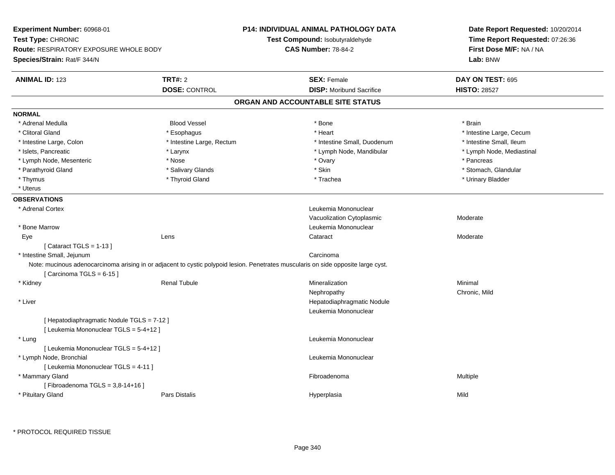| Experiment Number: 60968-01                   |                                                                                                                                    | <b>P14: INDIVIDUAL ANIMAL PATHOLOGY DATA</b> | Date Report Requested: 10/20/2014 |  |
|-----------------------------------------------|------------------------------------------------------------------------------------------------------------------------------------|----------------------------------------------|-----------------------------------|--|
| Test Type: CHRONIC                            |                                                                                                                                    | <b>Test Compound: Isobutyraldehyde</b>       | Time Report Requested: 07:26:36   |  |
| <b>Route: RESPIRATORY EXPOSURE WHOLE BODY</b> |                                                                                                                                    | <b>CAS Number: 78-84-2</b>                   | First Dose M/F: NA / NA           |  |
| Species/Strain: Rat/F 344/N                   |                                                                                                                                    |                                              | Lab: BNW                          |  |
| <b>ANIMAL ID: 123</b>                         | <b>TRT#: 2</b>                                                                                                                     | <b>SEX: Female</b>                           | DAY ON TEST: 695                  |  |
|                                               | <b>DOSE: CONTROL</b>                                                                                                               | <b>DISP:</b> Moribund Sacrifice              | <b>HISTO: 28527</b>               |  |
|                                               |                                                                                                                                    | ORGAN AND ACCOUNTABLE SITE STATUS            |                                   |  |
| <b>NORMAL</b>                                 |                                                                                                                                    |                                              |                                   |  |
| * Adrenal Medulla                             | <b>Blood Vessel</b>                                                                                                                | * Bone                                       | * Brain                           |  |
| * Clitoral Gland                              | * Esophagus                                                                                                                        | * Heart                                      | * Intestine Large, Cecum          |  |
| * Intestine Large, Colon                      | * Intestine Large, Rectum                                                                                                          | * Intestine Small, Duodenum                  | * Intestine Small, Ileum          |  |
| * Islets, Pancreatic                          | * Larynx                                                                                                                           | * Lymph Node, Mandibular                     | * Lymph Node, Mediastinal         |  |
| * Lymph Node, Mesenteric                      | $*$ Nose                                                                                                                           | * Ovary                                      | * Pancreas                        |  |
| * Parathyroid Gland                           | * Salivary Glands                                                                                                                  | * Skin                                       | * Stomach, Glandular              |  |
| * Thymus                                      | * Thyroid Gland                                                                                                                    | * Trachea                                    | * Urinary Bladder                 |  |
| * Uterus                                      |                                                                                                                                    |                                              |                                   |  |
| <b>OBSERVATIONS</b>                           |                                                                                                                                    |                                              |                                   |  |
| * Adrenal Cortex                              |                                                                                                                                    | Leukemia Mononuclear                         |                                   |  |
|                                               |                                                                                                                                    | Vacuolization Cytoplasmic                    | Moderate                          |  |
| * Bone Marrow                                 |                                                                                                                                    | Leukemia Mononuclear                         |                                   |  |
| Eye                                           | Lens                                                                                                                               | Cataract                                     | Moderate                          |  |
| [Cataract TGLS = $1-13$ ]                     |                                                                                                                                    |                                              |                                   |  |
| * Intestine Small, Jejunum                    |                                                                                                                                    | Carcinoma                                    |                                   |  |
|                                               | Note: mucinous adenocarcinoma arising in or adjacent to cystic polypoid lesion. Penetrates muscularis on side opposite large cyst. |                                              |                                   |  |
| [ Carcinoma TGLS = $6-15$ ]                   |                                                                                                                                    |                                              |                                   |  |
| * Kidney                                      | <b>Renal Tubule</b>                                                                                                                | Mineralization                               | Minimal                           |  |
|                                               |                                                                                                                                    | Nephropathy                                  | Chronic, Mild                     |  |
| * Liver                                       |                                                                                                                                    | Hepatodiaphragmatic Nodule                   |                                   |  |
|                                               |                                                                                                                                    | Leukemia Mononuclear                         |                                   |  |
| [ Hepatodiaphragmatic Nodule TGLS = 7-12 ]    |                                                                                                                                    |                                              |                                   |  |
| [ Leukemia Mononuclear TGLS = 5-4+12 ]        |                                                                                                                                    |                                              |                                   |  |
| * Lung                                        |                                                                                                                                    | Leukemia Mononuclear                         |                                   |  |
| [ Leukemia Mononuclear TGLS = 5-4+12 ]        |                                                                                                                                    |                                              |                                   |  |
| * Lymph Node, Bronchial                       |                                                                                                                                    | Leukemia Mononuclear                         |                                   |  |
| [ Leukemia Mononuclear TGLS = 4-11 ]          |                                                                                                                                    |                                              |                                   |  |
| * Mammary Gland                               |                                                                                                                                    | Fibroadenoma                                 | Multiple                          |  |
| [Fibroadenoma TGLS = $3,8-14+16$ ]            |                                                                                                                                    |                                              |                                   |  |
| * Pituitary Gland                             | Pars Distalis                                                                                                                      | Hyperplasia                                  | Mild                              |  |
|                                               |                                                                                                                                    |                                              |                                   |  |

\* PROTOCOL REQUIRED TISSUE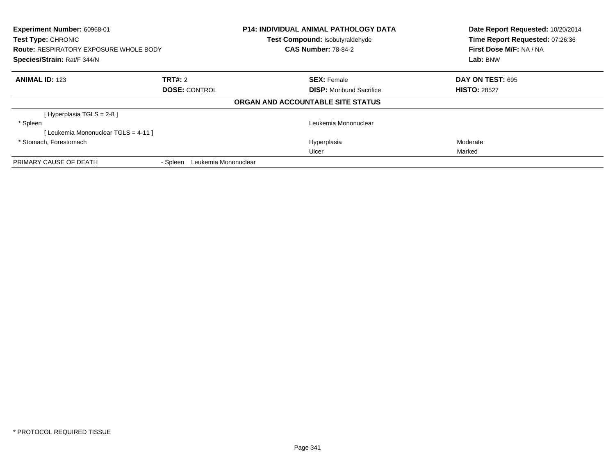| Experiment Number: 60968-01<br>Test Type: CHRONIC<br><b>Route: RESPIRATORY EXPOSURE WHOLE BODY</b><br>Species/Strain: Rat/F 344/N |                                  | <b>P14: INDIVIDUAL ANIMAL PATHOLOGY DATA</b><br>Test Compound: Isobutyraldehyde<br><b>CAS Number: 78-84-2</b> | Date Report Requested: 10/20/2014<br>Time Report Requested: 07:26:36<br>First Dose M/F: NA / NA<br>Lab: BNW |
|-----------------------------------------------------------------------------------------------------------------------------------|----------------------------------|---------------------------------------------------------------------------------------------------------------|-------------------------------------------------------------------------------------------------------------|
| <b>ANIMAL ID: 123</b>                                                                                                             | TRT#: 2                          | <b>SEX: Female</b>                                                                                            | <b>DAY ON TEST: 695</b>                                                                                     |
|                                                                                                                                   | <b>DOSE: CONTROL</b>             | <b>DISP:</b> Moribund Sacrifice                                                                               | <b>HISTO: 28527</b>                                                                                         |
|                                                                                                                                   |                                  | ORGAN AND ACCOUNTABLE SITE STATUS                                                                             |                                                                                                             |
| [Hyperplasia TGLS = 2-8]                                                                                                          |                                  |                                                                                                               |                                                                                                             |
| * Spleen                                                                                                                          |                                  | Leukemia Mononuclear                                                                                          |                                                                                                             |
| [ Leukemia Mononuclear TGLS = 4-11 ]                                                                                              |                                  |                                                                                                               |                                                                                                             |
| * Stomach, Forestomach                                                                                                            |                                  | Hyperplasia                                                                                                   | Moderate                                                                                                    |
|                                                                                                                                   |                                  | Ulcer                                                                                                         | Marked                                                                                                      |
| PRIMARY CAUSE OF DEATH                                                                                                            | Leukemia Mononuclear<br>- Spleen |                                                                                                               |                                                                                                             |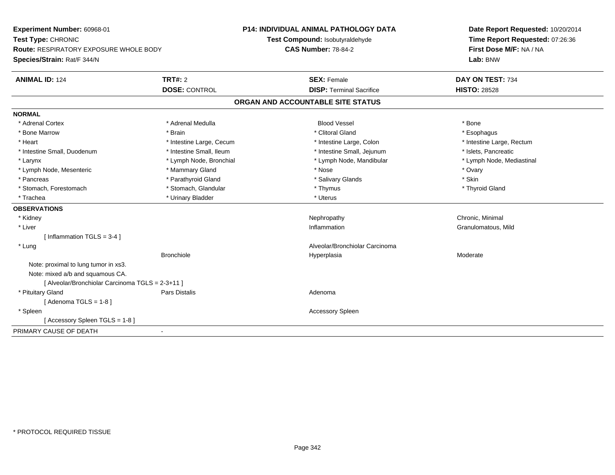| Experiment Number: 60968-01                      |                          | <b>P14: INDIVIDUAL ANIMAL PATHOLOGY DATA</b> | Date Report Requested: 10/20/2014 |  |
|--------------------------------------------------|--------------------------|----------------------------------------------|-----------------------------------|--|
| Test Type: CHRONIC                               |                          | Test Compound: Isobutyraldehyde              | Time Report Requested: 07:26:36   |  |
| <b>Route: RESPIRATORY EXPOSURE WHOLE BODY</b>    |                          | <b>CAS Number: 78-84-2</b>                   | First Dose M/F: NA / NA           |  |
| Species/Strain: Rat/F 344/N                      |                          |                                              | Lab: BNW                          |  |
| <b>ANIMAL ID: 124</b>                            | <b>TRT#: 2</b>           | <b>SEX: Female</b>                           | DAY ON TEST: 734                  |  |
|                                                  | <b>DOSE: CONTROL</b>     | <b>DISP: Terminal Sacrifice</b>              | <b>HISTO: 28528</b>               |  |
|                                                  |                          | ORGAN AND ACCOUNTABLE SITE STATUS            |                                   |  |
| <b>NORMAL</b>                                    |                          |                                              |                                   |  |
| * Adrenal Cortex                                 | * Adrenal Medulla        | <b>Blood Vessel</b>                          | * Bone                            |  |
| * Bone Marrow                                    | * Brain                  | * Clitoral Gland                             | * Esophagus                       |  |
| * Heart                                          | * Intestine Large, Cecum | * Intestine Large, Colon                     | * Intestine Large, Rectum         |  |
| * Intestine Small, Duodenum                      | * Intestine Small. Ileum | * Intestine Small, Jejunum                   | * Islets, Pancreatic              |  |
| * Larynx                                         | * Lymph Node, Bronchial  | * Lymph Node, Mandibular                     | * Lymph Node, Mediastinal         |  |
| * Lymph Node, Mesenteric                         | * Mammary Gland          | * Nose                                       | * Ovary                           |  |
| * Pancreas                                       | * Parathyroid Gland      | * Salivary Glands                            | * Skin                            |  |
| * Stomach, Forestomach                           | * Stomach, Glandular     | * Thymus                                     | * Thyroid Gland                   |  |
| * Trachea                                        | * Urinary Bladder        | * Uterus                                     |                                   |  |
| <b>OBSERVATIONS</b>                              |                          |                                              |                                   |  |
| * Kidney                                         |                          | Nephropathy                                  | Chronic, Minimal                  |  |
| * Liver                                          |                          | Inflammation                                 | Granulomatous, Mild               |  |
| [Inflammation TGLS = 3-4]                        |                          |                                              |                                   |  |
| * Lung                                           |                          | Alveolar/Bronchiolar Carcinoma               |                                   |  |
|                                                  | <b>Bronchiole</b>        | Hyperplasia                                  | Moderate                          |  |
| Note: proximal to lung tumor in xs3.             |                          |                                              |                                   |  |
| Note: mixed a/b and squamous CA.                 |                          |                                              |                                   |  |
| [ Alveolar/Bronchiolar Carcinoma TGLS = 2-3+11 ] |                          |                                              |                                   |  |
| * Pituitary Gland                                | <b>Pars Distalis</b>     | Adenoma                                      |                                   |  |
| [Adenoma TGLS = $1-8$ ]                          |                          |                                              |                                   |  |
| * Spleen                                         |                          | <b>Accessory Spleen</b>                      |                                   |  |
| [Accessory Spleen TGLS = 1-8]                    |                          |                                              |                                   |  |
| PRIMARY CAUSE OF DEATH                           | $\sim$                   |                                              |                                   |  |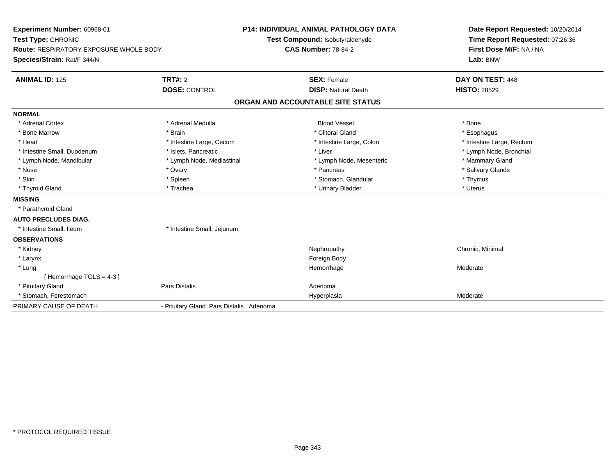| Experiment Number: 60968-01<br>Test Type: CHRONIC<br><b>Route: RESPIRATORY EXPOSURE WHOLE BODY</b><br>Species/Strain: Rat/F 344/N<br><b>ANIMAL ID: 125</b>                              | TRT#: 2<br><b>DOSE: CONTROL</b>                                                                                                                   | <b>P14: INDIVIDUAL ANIMAL PATHOLOGY DATA</b><br>Test Compound: Isobutyraldehyde<br><b>CAS Number: 78-84-2</b><br><b>SEX: Female</b><br><b>DISP: Natural Death</b>     | Date Report Requested: 10/20/2014<br>Time Report Requested: 07:26:36<br>First Dose M/F: NA / NA<br>Lab: BNW<br>DAY ON TEST: 448<br><b>HISTO: 28529</b> |
|-----------------------------------------------------------------------------------------------------------------------------------------------------------------------------------------|---------------------------------------------------------------------------------------------------------------------------------------------------|-----------------------------------------------------------------------------------------------------------------------------------------------------------------------|--------------------------------------------------------------------------------------------------------------------------------------------------------|
|                                                                                                                                                                                         |                                                                                                                                                   | ORGAN AND ACCOUNTABLE SITE STATUS                                                                                                                                     |                                                                                                                                                        |
| <b>NORMAL</b>                                                                                                                                                                           |                                                                                                                                                   |                                                                                                                                                                       |                                                                                                                                                        |
| * Adrenal Cortex<br>* Bone Marrow<br>* Heart<br>* Intestine Small, Duodenum<br>* Lymph Node, Mandibular<br>* Nose<br>* Skin<br>* Thyroid Gland<br><b>MISSING</b><br>* Parathyroid Gland | * Adrenal Medulla<br>* Brain<br>* Intestine Large, Cecum<br>* Islets, Pancreatic<br>* Lymph Node, Mediastinal<br>* Ovary<br>* Spleen<br>* Trachea | <b>Blood Vessel</b><br>* Clitoral Gland<br>* Intestine Large, Colon<br>* Liver<br>* Lymph Node, Mesenteric<br>* Pancreas<br>* Stomach, Glandular<br>* Urinary Bladder | * Bone<br>* Esophagus<br>* Intestine Large, Rectum<br>* Lymph Node, Bronchial<br>* Mammary Gland<br>* Salivary Glands<br>* Thymus<br>* Uterus          |
| <b>AUTO PRECLUDES DIAG.</b>                                                                                                                                                             |                                                                                                                                                   |                                                                                                                                                                       |                                                                                                                                                        |
| * Intestine Small, Ileum                                                                                                                                                                | * Intestine Small, Jejunum                                                                                                                        |                                                                                                                                                                       |                                                                                                                                                        |
| <b>OBSERVATIONS</b><br>* Kidney<br>* Larynx<br>* Lung                                                                                                                                   |                                                                                                                                                   | Nephropathy<br>Foreign Body<br>Hemorrhage                                                                                                                             | Chronic, Minimal<br>Moderate                                                                                                                           |
| [Hemorrhage TGLS = $4-3$ ]<br>* Pituitary Gland<br>* Stomach, Forestomach                                                                                                               | <b>Pars Distalis</b>                                                                                                                              | Adenoma<br>Hyperplasia                                                                                                                                                | Moderate                                                                                                                                               |
| PRIMARY CAUSE OF DEATH                                                                                                                                                                  | - Pituitary Gland Pars Distalis Adenoma                                                                                                           |                                                                                                                                                                       |                                                                                                                                                        |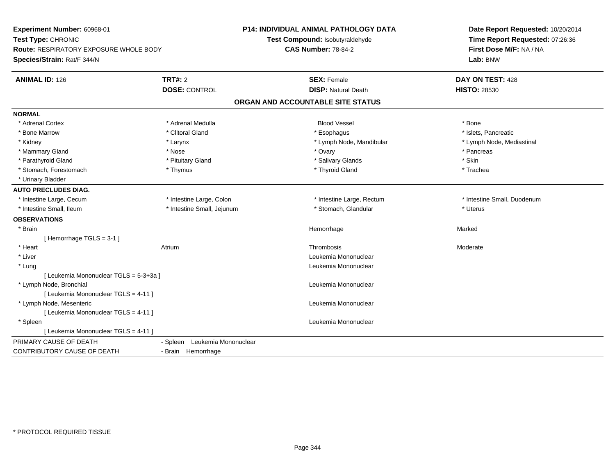| Experiment Number: 60968-01<br>Test Type: CHRONIC<br><b>Route: RESPIRATORY EXPOSURE WHOLE BODY</b><br>Species/Strain: Rat/F 344/N |                                 | <b>P14: INDIVIDUAL ANIMAL PATHOLOGY DATA</b><br>Test Compound: Isobutyraldehyde<br><b>CAS Number: 78-84-2</b> | Date Report Requested: 10/20/2014<br>Time Report Requested: 07:26:36<br>First Dose M/F: NA / NA<br>Lab: BNW |  |
|-----------------------------------------------------------------------------------------------------------------------------------|---------------------------------|---------------------------------------------------------------------------------------------------------------|-------------------------------------------------------------------------------------------------------------|--|
| <b>ANIMAL ID: 126</b>                                                                                                             | TRT#: 2<br><b>DOSE: CONTROL</b> | <b>SEX: Female</b><br><b>DISP: Natural Death</b>                                                              | DAY ON TEST: 428<br><b>HISTO: 28530</b>                                                                     |  |
|                                                                                                                                   |                                 | ORGAN AND ACCOUNTABLE SITE STATUS                                                                             |                                                                                                             |  |
| <b>NORMAL</b>                                                                                                                     |                                 |                                                                                                               |                                                                                                             |  |
| * Adrenal Cortex                                                                                                                  | * Adrenal Medulla               | <b>Blood Vessel</b>                                                                                           | * Bone                                                                                                      |  |
| * Bone Marrow                                                                                                                     | * Clitoral Gland                | * Esophagus                                                                                                   | * Islets, Pancreatic                                                                                        |  |
| * Kidney                                                                                                                          | * Larynx                        | * Lymph Node, Mandibular                                                                                      | * Lymph Node, Mediastinal                                                                                   |  |
| * Mammary Gland                                                                                                                   | * Nose                          | * Ovary                                                                                                       | * Pancreas                                                                                                  |  |
| * Parathyroid Gland                                                                                                               | * Pituitary Gland               | * Salivary Glands                                                                                             | * Skin                                                                                                      |  |
| * Stomach, Forestomach                                                                                                            | * Thymus                        | * Thyroid Gland                                                                                               | * Trachea                                                                                                   |  |
| * Urinary Bladder                                                                                                                 |                                 |                                                                                                               |                                                                                                             |  |
| <b>AUTO PRECLUDES DIAG.</b>                                                                                                       |                                 |                                                                                                               |                                                                                                             |  |
| * Intestine Large, Cecum                                                                                                          | * Intestine Large, Colon        | * Intestine Large, Rectum                                                                                     | * Intestine Small, Duodenum                                                                                 |  |
| * Intestine Small, Ileum                                                                                                          | * Intestine Small, Jejunum      | * Stomach, Glandular                                                                                          | * Uterus                                                                                                    |  |
| <b>OBSERVATIONS</b>                                                                                                               |                                 |                                                                                                               |                                                                                                             |  |
| * Brain                                                                                                                           |                                 | Hemorrhage                                                                                                    | Marked                                                                                                      |  |
| [Hemorrhage TGLS = $3-1$ ]                                                                                                        |                                 |                                                                                                               |                                                                                                             |  |
| * Heart                                                                                                                           | Atrium                          | Thrombosis                                                                                                    | Moderate                                                                                                    |  |
| * Liver                                                                                                                           |                                 | Leukemia Mononuclear                                                                                          |                                                                                                             |  |
| * Lung                                                                                                                            |                                 | Leukemia Mononuclear                                                                                          |                                                                                                             |  |
| [ Leukemia Mononuclear TGLS = 5-3+3a ]                                                                                            |                                 |                                                                                                               |                                                                                                             |  |
| * Lymph Node, Bronchial                                                                                                           |                                 | Leukemia Mononuclear                                                                                          |                                                                                                             |  |
| [ Leukemia Mononuclear TGLS = 4-11 ]                                                                                              |                                 |                                                                                                               |                                                                                                             |  |
| * Lymph Node, Mesenteric                                                                                                          |                                 | Leukemia Mononuclear                                                                                          |                                                                                                             |  |
| [ Leukemia Mononuclear TGLS = 4-11 ]                                                                                              |                                 |                                                                                                               |                                                                                                             |  |
| * Spleen                                                                                                                          |                                 | Leukemia Mononuclear                                                                                          |                                                                                                             |  |
| [ Leukemia Mononuclear TGLS = 4-11 ]                                                                                              |                                 |                                                                                                               |                                                                                                             |  |
| PRIMARY CAUSE OF DEATH                                                                                                            | - Spleen Leukemia Mononuclear   |                                                                                                               |                                                                                                             |  |
| <b>CONTRIBUTORY CAUSE OF DEATH</b>                                                                                                | - Brain Hemorrhage              |                                                                                                               |                                                                                                             |  |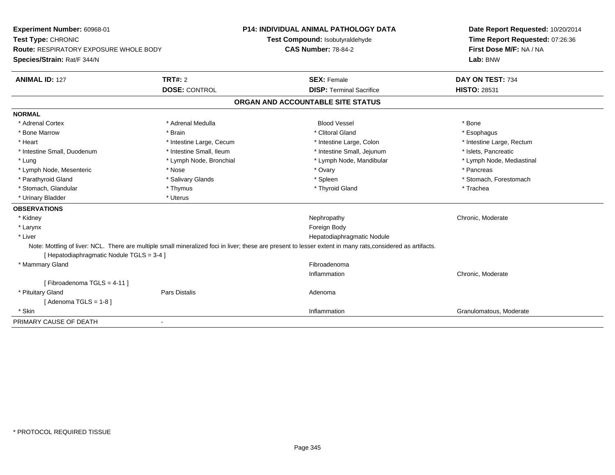| Experiment Number: 60968-01<br>Test Type: CHRONIC<br><b>Route: RESPIRATORY EXPOSURE WHOLE BODY</b><br>Species/Strain: Rat/F 344/N |                          | <b>P14: INDIVIDUAL ANIMAL PATHOLOGY DATA</b><br>Test Compound: Isobutyraldehyde<br><b>CAS Number: 78-84-2</b>                                               | Date Report Requested: 10/20/2014<br>Time Report Requested: 07:26:36<br>First Dose M/F: NA / NA<br>Lab: BNW |
|-----------------------------------------------------------------------------------------------------------------------------------|--------------------------|-------------------------------------------------------------------------------------------------------------------------------------------------------------|-------------------------------------------------------------------------------------------------------------|
| <b>ANIMAL ID: 127</b>                                                                                                             | TRT#: 2                  | <b>SEX: Female</b>                                                                                                                                          | DAY ON TEST: 734                                                                                            |
|                                                                                                                                   | <b>DOSE: CONTROL</b>     | <b>DISP: Terminal Sacrifice</b>                                                                                                                             | <b>HISTO: 28531</b>                                                                                         |
|                                                                                                                                   |                          | ORGAN AND ACCOUNTABLE SITE STATUS                                                                                                                           |                                                                                                             |
| <b>NORMAL</b>                                                                                                                     |                          |                                                                                                                                                             |                                                                                                             |
| * Adrenal Cortex                                                                                                                  | * Adrenal Medulla        | <b>Blood Vessel</b>                                                                                                                                         | * Bone                                                                                                      |
| * Bone Marrow                                                                                                                     | * Brain                  | * Clitoral Gland                                                                                                                                            | * Esophagus                                                                                                 |
| * Heart                                                                                                                           | * Intestine Large, Cecum | * Intestine Large, Colon                                                                                                                                    | * Intestine Large, Rectum                                                                                   |
| * Intestine Small, Duodenum                                                                                                       | * Intestine Small, Ileum | * Intestine Small, Jejunum                                                                                                                                  | * Islets, Pancreatic                                                                                        |
| * Lung                                                                                                                            | * Lymph Node, Bronchial  | * Lymph Node, Mandibular                                                                                                                                    | * Lymph Node, Mediastinal                                                                                   |
| * Lymph Node, Mesenteric                                                                                                          | * Nose                   | * Ovary                                                                                                                                                     | * Pancreas                                                                                                  |
| * Parathyroid Gland                                                                                                               | * Salivary Glands        | * Spleen                                                                                                                                                    | * Stomach, Forestomach                                                                                      |
| * Stomach, Glandular                                                                                                              | * Thymus                 | * Thyroid Gland                                                                                                                                             | * Trachea                                                                                                   |
| * Urinary Bladder                                                                                                                 | * Uterus                 |                                                                                                                                                             |                                                                                                             |
| <b>OBSERVATIONS</b>                                                                                                               |                          |                                                                                                                                                             |                                                                                                             |
| * Kidney                                                                                                                          |                          | Nephropathy                                                                                                                                                 | Chronic, Moderate                                                                                           |
| * Larynx                                                                                                                          |                          | Foreign Body                                                                                                                                                |                                                                                                             |
| * Liver                                                                                                                           |                          | Hepatodiaphragmatic Nodule                                                                                                                                  |                                                                                                             |
| [ Hepatodiaphragmatic Nodule TGLS = 3-4 ]                                                                                         |                          | Note: Mottling of liver: NCL. There are multiple small mineralized foci in liver; these are present to lesser extent in many rats, considered as artifacts. |                                                                                                             |
| * Mammary Gland                                                                                                                   |                          | Fibroadenoma                                                                                                                                                |                                                                                                             |
|                                                                                                                                   |                          | Inflammation                                                                                                                                                | Chronic, Moderate                                                                                           |
| [Fibroadenoma TGLS = 4-11]                                                                                                        |                          |                                                                                                                                                             |                                                                                                             |
| * Pituitary Gland                                                                                                                 | <b>Pars Distalis</b>     | Adenoma                                                                                                                                                     |                                                                                                             |
| [Adenoma TGLS = $1-8$ ]                                                                                                           |                          |                                                                                                                                                             |                                                                                                             |
| * Skin                                                                                                                            |                          | Inflammation                                                                                                                                                | Granulomatous, Moderate                                                                                     |
| PRIMARY CAUSE OF DEATH                                                                                                            | $\blacksquare$           |                                                                                                                                                             |                                                                                                             |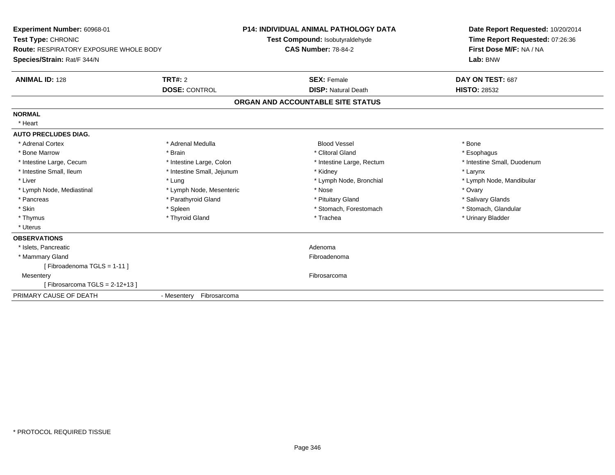| <b>Experiment Number: 60968-01</b><br>Test Type: CHRONIC<br><b>Route: RESPIRATORY EXPOSURE WHOLE BODY</b><br>Species/Strain: Rat/F 344/N<br><b>ANIMAL ID: 128</b> | TRT#: 2                    | <b>P14: INDIVIDUAL ANIMAL PATHOLOGY DATA</b><br>Test Compound: Isobutyraldehyde<br><b>CAS Number: 78-84-2</b><br><b>SEX: Female</b> | Lab: BNW<br>DAY ON TEST: 687 | Date Report Requested: 10/20/2014<br>Time Report Requested: 07:26:36<br>First Dose M/F: NA / NA |
|-------------------------------------------------------------------------------------------------------------------------------------------------------------------|----------------------------|-------------------------------------------------------------------------------------------------------------------------------------|------------------------------|-------------------------------------------------------------------------------------------------|
|                                                                                                                                                                   | <b>DOSE: CONTROL</b>       | <b>DISP: Natural Death</b>                                                                                                          | <b>HISTO: 28532</b>          |                                                                                                 |
|                                                                                                                                                                   |                            | ORGAN AND ACCOUNTABLE SITE STATUS                                                                                                   |                              |                                                                                                 |
| <b>NORMAL</b>                                                                                                                                                     |                            |                                                                                                                                     |                              |                                                                                                 |
| * Heart                                                                                                                                                           |                            |                                                                                                                                     |                              |                                                                                                 |
| <b>AUTO PRECLUDES DIAG.</b>                                                                                                                                       |                            |                                                                                                                                     |                              |                                                                                                 |
| * Adrenal Cortex                                                                                                                                                  | * Adrenal Medulla          | <b>Blood Vessel</b>                                                                                                                 | * Bone                       |                                                                                                 |
| * Bone Marrow                                                                                                                                                     | * Brain                    | * Clitoral Gland                                                                                                                    | * Esophagus                  |                                                                                                 |
| * Intestine Large, Cecum                                                                                                                                          | * Intestine Large, Colon   | * Intestine Large, Rectum                                                                                                           |                              | * Intestine Small, Duodenum                                                                     |
| * Intestine Small, Ileum                                                                                                                                          | * Intestine Small, Jejunum | * Kidney                                                                                                                            | * Larynx                     |                                                                                                 |
| * Liver                                                                                                                                                           | * Lung                     | * Lymph Node, Bronchial                                                                                                             |                              | * Lymph Node, Mandibular                                                                        |
| * Lymph Node, Mediastinal                                                                                                                                         | * Lymph Node, Mesenteric   | * Nose                                                                                                                              | * Ovary                      |                                                                                                 |
| * Pancreas                                                                                                                                                        | * Parathyroid Gland        | * Pituitary Gland                                                                                                                   | * Salivary Glands            |                                                                                                 |
| * Skin                                                                                                                                                            | * Spleen                   | * Stomach, Forestomach                                                                                                              | * Stomach, Glandular         |                                                                                                 |
| * Thymus                                                                                                                                                          | * Thyroid Gland            | * Trachea                                                                                                                           | * Urinary Bladder            |                                                                                                 |
| * Uterus                                                                                                                                                          |                            |                                                                                                                                     |                              |                                                                                                 |
| <b>OBSERVATIONS</b>                                                                                                                                               |                            |                                                                                                                                     |                              |                                                                                                 |
| * Islets, Pancreatic                                                                                                                                              |                            | Adenoma                                                                                                                             |                              |                                                                                                 |
| * Mammary Gland                                                                                                                                                   |                            | Fibroadenoma                                                                                                                        |                              |                                                                                                 |
| [Fibroadenoma TGLS = 1-11]                                                                                                                                        |                            |                                                                                                                                     |                              |                                                                                                 |
| Mesentery                                                                                                                                                         |                            | Fibrosarcoma                                                                                                                        |                              |                                                                                                 |
| [Fibrosarcoma TGLS = 2-12+13]                                                                                                                                     |                            |                                                                                                                                     |                              |                                                                                                 |
| PRIMARY CAUSE OF DEATH                                                                                                                                            | - Mesentery Fibrosarcoma   |                                                                                                                                     |                              |                                                                                                 |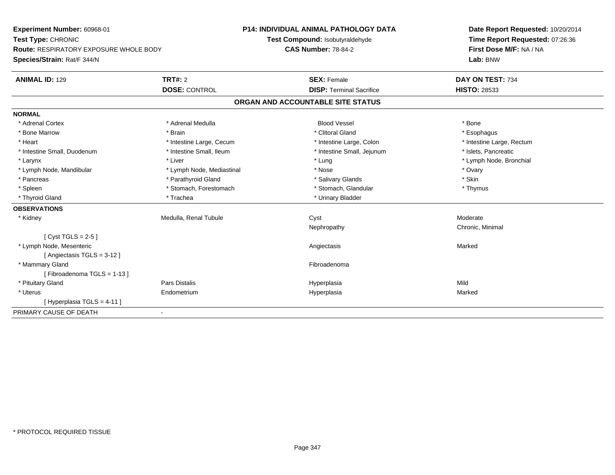| Experiment Number: 60968-01            |                           | <b>P14: INDIVIDUAL ANIMAL PATHOLOGY DATA</b> | Date Report Requested: 10/20/2014 |
|----------------------------------------|---------------------------|----------------------------------------------|-----------------------------------|
| Test Type: CHRONIC                     |                           | Test Compound: Isobutyraldehyde              | Time Report Requested: 07:26:36   |
| Route: RESPIRATORY EXPOSURE WHOLE BODY |                           | <b>CAS Number: 78-84-2</b>                   | First Dose M/F: NA / NA           |
| Species/Strain: Rat/F 344/N            |                           |                                              | Lab: BNW                          |
| <b>ANIMAL ID: 129</b>                  | TRT#: 2                   | <b>SEX: Female</b>                           | DAY ON TEST: 734                  |
|                                        | <b>DOSE: CONTROL</b>      | <b>DISP: Terminal Sacrifice</b>              | <b>HISTO: 28533</b>               |
|                                        |                           | ORGAN AND ACCOUNTABLE SITE STATUS            |                                   |
| <b>NORMAL</b>                          |                           |                                              |                                   |
| * Adrenal Cortex                       | * Adrenal Medulla         | <b>Blood Vessel</b>                          | * Bone                            |
| * Bone Marrow                          | * Brain                   | * Clitoral Gland                             | * Esophagus                       |
| * Heart                                | * Intestine Large, Cecum  | * Intestine Large, Colon                     | * Intestine Large, Rectum         |
| * Intestine Small, Duodenum            | * Intestine Small, Ileum  | * Intestine Small, Jejunum                   | * Islets, Pancreatic              |
| * Larynx                               | * Liver                   | * Lung                                       | * Lymph Node, Bronchial           |
| * Lymph Node, Mandibular               | * Lymph Node, Mediastinal | * Nose                                       | * Ovary                           |
| * Pancreas                             | * Parathyroid Gland       | * Salivary Glands                            | * Skin                            |
| * Spleen                               | * Stomach, Forestomach    | * Stomach, Glandular                         | * Thymus                          |
| * Thyroid Gland                        | * Trachea                 | * Urinary Bladder                            |                                   |
| <b>OBSERVATIONS</b>                    |                           |                                              |                                   |
| * Kidney                               | Medulla, Renal Tubule     | Cyst                                         | Moderate                          |
|                                        |                           | Nephropathy                                  | Chronic, Minimal                  |
| [Cyst TGLS = $2-5$ ]                   |                           |                                              |                                   |
| * Lymph Node, Mesenteric               |                           | Angiectasis                                  | Marked                            |
| [Angiectasis TGLS = 3-12]              |                           |                                              |                                   |
| * Mammary Gland                        |                           | Fibroadenoma                                 |                                   |
| [Fibroadenoma TGLS = 1-13]             |                           |                                              |                                   |
| * Pituitary Gland                      | Pars Distalis             | Hyperplasia                                  | Mild                              |
| * Uterus                               | Endometrium               | Hyperplasia                                  | Marked                            |
| [Hyperplasia TGLS = 4-11]              |                           |                                              |                                   |
| PRIMARY CAUSE OF DEATH                 | $\blacksquare$            |                                              |                                   |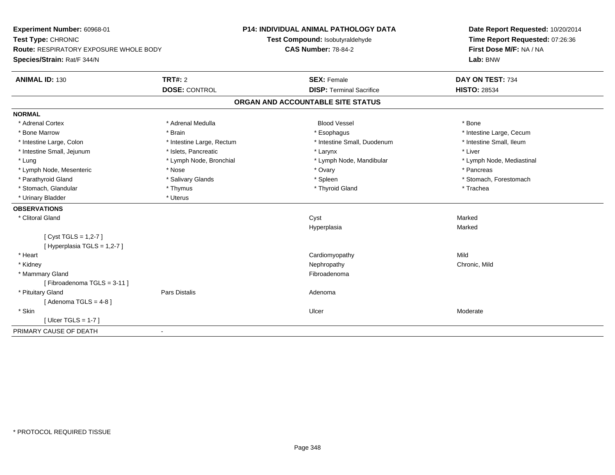| Experiment Number: 60968-01                   |                           | <b>P14: INDIVIDUAL ANIMAL PATHOLOGY DATA</b> | Date Report Requested: 10/20/2014<br>Time Report Requested: 07:26:36<br>First Dose M/F: NA / NA |
|-----------------------------------------------|---------------------------|----------------------------------------------|-------------------------------------------------------------------------------------------------|
| Test Type: CHRONIC                            |                           | Test Compound: Isobutyraldehyde              |                                                                                                 |
| <b>Route: RESPIRATORY EXPOSURE WHOLE BODY</b> |                           | <b>CAS Number: 78-84-2</b>                   |                                                                                                 |
| Species/Strain: Rat/F 344/N                   |                           |                                              | Lab: BNW                                                                                        |
| <b>ANIMAL ID: 130</b>                         | <b>TRT#: 2</b>            | <b>SEX: Female</b>                           | DAY ON TEST: 734                                                                                |
|                                               | <b>DOSE: CONTROL</b>      | <b>DISP: Terminal Sacrifice</b>              | <b>HISTO: 28534</b>                                                                             |
|                                               |                           | ORGAN AND ACCOUNTABLE SITE STATUS            |                                                                                                 |
| <b>NORMAL</b>                                 |                           |                                              |                                                                                                 |
| * Adrenal Cortex                              | * Adrenal Medulla         | <b>Blood Vessel</b>                          | * Bone                                                                                          |
| * Bone Marrow                                 | * Brain                   | * Esophagus                                  | * Intestine Large, Cecum                                                                        |
| * Intestine Large, Colon                      | * Intestine Large, Rectum | * Intestine Small, Duodenum                  | * Intestine Small, Ileum                                                                        |
| * Intestine Small, Jejunum                    | * Islets, Pancreatic      | * Larynx                                     | * Liver                                                                                         |
| * Lung                                        | * Lymph Node, Bronchial   | * Lymph Node, Mandibular                     | * Lymph Node, Mediastinal                                                                       |
| * Lymph Node, Mesenteric                      | * Nose                    | * Ovary                                      | * Pancreas                                                                                      |
| * Parathyroid Gland                           | * Salivary Glands         | * Spleen                                     | * Stomach, Forestomach                                                                          |
| * Stomach, Glandular                          | * Thymus                  | * Thyroid Gland                              | * Trachea                                                                                       |
| * Urinary Bladder                             | * Uterus                  |                                              |                                                                                                 |
| <b>OBSERVATIONS</b>                           |                           |                                              |                                                                                                 |
| * Clitoral Gland                              |                           | Cyst                                         | Marked                                                                                          |
|                                               |                           | Hyperplasia                                  | Marked                                                                                          |
| [Cyst TGLS = $1,2-7$ ]                        |                           |                                              |                                                                                                 |
| [ Hyperplasia TGLS = 1,2-7 ]                  |                           |                                              |                                                                                                 |
| * Heart                                       |                           | Cardiomyopathy                               | Mild                                                                                            |
| * Kidney                                      |                           | Nephropathy                                  | Chronic, Mild                                                                                   |
| * Mammary Gland                               |                           | Fibroadenoma                                 |                                                                                                 |
| [Fibroadenoma TGLS = $3-11$ ]                 |                           |                                              |                                                                                                 |
| * Pituitary Gland                             | Pars Distalis             | Adenoma                                      |                                                                                                 |
| [Adenoma TGLS = $4-8$ ]                       |                           |                                              |                                                                                                 |
| * Skin                                        |                           | Ulcer                                        | Moderate                                                                                        |
| [ Ulcer TGLS = $1-7$ ]                        |                           |                                              |                                                                                                 |
| PRIMARY CAUSE OF DEATH<br>$\blacksquare$      |                           |                                              |                                                                                                 |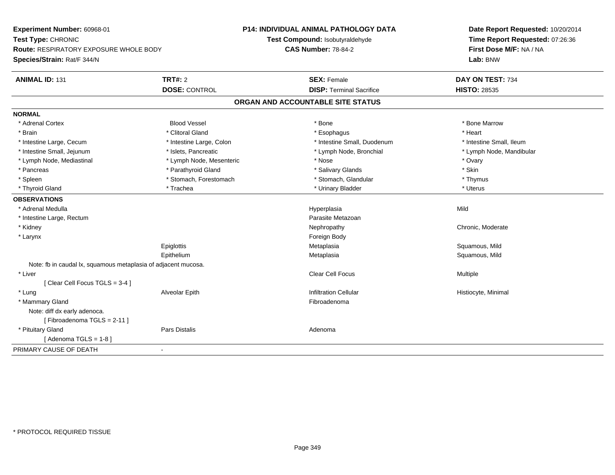| Experiment Number: 60968-01                                    |                          | <b>P14: INDIVIDUAL ANIMAL PATHOLOGY DATA</b> | Date Report Requested: 10/20/2014 |
|----------------------------------------------------------------|--------------------------|----------------------------------------------|-----------------------------------|
| Test Type: CHRONIC                                             |                          | Test Compound: Isobutyraldehyde              | Time Report Requested: 07:26:36   |
| <b>Route: RESPIRATORY EXPOSURE WHOLE BODY</b>                  |                          | <b>CAS Number: 78-84-2</b>                   | First Dose M/F: NA / NA           |
| Species/Strain: Rat/F 344/N                                    |                          |                                              | Lab: BNW                          |
| <b>ANIMAL ID: 131</b>                                          | <b>TRT#: 2</b>           | <b>SEX: Female</b>                           | DAY ON TEST: 734                  |
|                                                                | <b>DOSE: CONTROL</b>     | <b>DISP: Terminal Sacrifice</b>              | <b>HISTO: 28535</b>               |
|                                                                |                          | ORGAN AND ACCOUNTABLE SITE STATUS            |                                   |
| <b>NORMAL</b>                                                  |                          |                                              |                                   |
| * Adrenal Cortex                                               | <b>Blood Vessel</b>      | * Bone                                       | * Bone Marrow                     |
| * Brain                                                        | * Clitoral Gland         | * Esophagus                                  | * Heart                           |
| * Intestine Large, Cecum                                       | * Intestine Large, Colon | * Intestine Small, Duodenum                  | * Intestine Small, Ileum          |
| * Intestine Small, Jejunum                                     | * Islets, Pancreatic     | * Lymph Node, Bronchial                      | * Lymph Node, Mandibular          |
| * Lymph Node, Mediastinal                                      | * Lymph Node, Mesenteric | * Nose                                       | * Ovary                           |
| * Pancreas                                                     | * Parathyroid Gland      | * Salivary Glands                            | * Skin                            |
| * Spleen                                                       | * Stomach, Forestomach   | * Stomach, Glandular                         | * Thymus                          |
| * Thyroid Gland                                                | * Trachea                | * Urinary Bladder                            | * Uterus                          |
| <b>OBSERVATIONS</b>                                            |                          |                                              |                                   |
| * Adrenal Medulla                                              |                          | Hyperplasia                                  | Mild                              |
| * Intestine Large, Rectum                                      |                          | Parasite Metazoan                            |                                   |
| * Kidney                                                       |                          | Nephropathy                                  | Chronic, Moderate                 |
| * Larynx                                                       |                          | Foreign Body                                 |                                   |
|                                                                | Epiglottis               | Metaplasia                                   | Squamous, Mild                    |
|                                                                | Epithelium               | Metaplasia                                   | Squamous, Mild                    |
| Note: fb in caudal lx, squamous metaplasia of adjacent mucosa. |                          |                                              |                                   |
| * Liver                                                        |                          | Clear Cell Focus                             | Multiple                          |
| [Clear Cell Focus TGLS = 3-4]                                  |                          |                                              |                                   |
| * Lung                                                         | Alveolar Epith           | <b>Infiltration Cellular</b>                 | Histiocyte, Minimal               |
| * Mammary Gland                                                |                          | Fibroadenoma                                 |                                   |
| Note: diff dx early adenoca.                                   |                          |                                              |                                   |
| [Fibroadenoma TGLS = 2-11]                                     |                          |                                              |                                   |
| * Pituitary Gland                                              | <b>Pars Distalis</b>     | Adenoma                                      |                                   |
| [Adenoma TGLS = $1-8$ ]                                        |                          |                                              |                                   |
| PRIMARY CAUSE OF DEATH                                         | ٠                        |                                              |                                   |
|                                                                |                          |                                              |                                   |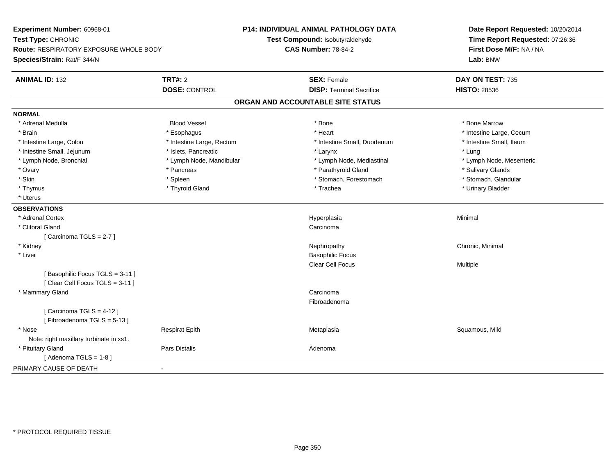| Experiment Number: 60968-01<br>Test Type: CHRONIC<br>Route: RESPIRATORY EXPOSURE WHOLE BODY<br>Species/Strain: Rat/F 344/N |                           | P14: INDIVIDUAL ANIMAL PATHOLOGY DATA<br>Test Compound: Isobutyraldehyde<br><b>CAS Number: 78-84-2</b> | Date Report Requested: 10/20/2014<br>Time Report Requested: 07:26:36<br>First Dose M/F: NA / NA<br>Lab: BNW |
|----------------------------------------------------------------------------------------------------------------------------|---------------------------|--------------------------------------------------------------------------------------------------------|-------------------------------------------------------------------------------------------------------------|
| <b>ANIMAL ID: 132</b>                                                                                                      | <b>TRT#: 2</b>            | <b>SEX: Female</b>                                                                                     | DAY ON TEST: 735                                                                                            |
|                                                                                                                            | <b>DOSE: CONTROL</b>      | <b>DISP: Terminal Sacrifice</b>                                                                        | <b>HISTO: 28536</b>                                                                                         |
|                                                                                                                            |                           | ORGAN AND ACCOUNTABLE SITE STATUS                                                                      |                                                                                                             |
| <b>NORMAL</b>                                                                                                              |                           |                                                                                                        |                                                                                                             |
| * Adrenal Medulla                                                                                                          | <b>Blood Vessel</b>       | * Bone                                                                                                 | * Bone Marrow                                                                                               |
| * Brain                                                                                                                    | * Esophagus               | * Heart                                                                                                | * Intestine Large, Cecum                                                                                    |
| * Intestine Large, Colon                                                                                                   | * Intestine Large, Rectum | * Intestine Small, Duodenum                                                                            | * Intestine Small, Ileum                                                                                    |
| * Intestine Small, Jejunum                                                                                                 | * Islets, Pancreatic      | * Larynx                                                                                               | * Lung                                                                                                      |
| * Lymph Node, Bronchial                                                                                                    | * Lymph Node, Mandibular  | * Lymph Node, Mediastinal                                                                              | * Lymph Node, Mesenteric                                                                                    |
| * Ovary                                                                                                                    | * Pancreas                | * Parathyroid Gland                                                                                    | * Salivary Glands                                                                                           |
| * Skin                                                                                                                     | * Spleen                  | * Stomach, Forestomach                                                                                 | * Stomach, Glandular                                                                                        |
| * Thymus                                                                                                                   | * Thyroid Gland           | * Trachea                                                                                              | * Urinary Bladder                                                                                           |
| * Uterus                                                                                                                   |                           |                                                                                                        |                                                                                                             |
| <b>OBSERVATIONS</b>                                                                                                        |                           |                                                                                                        |                                                                                                             |
| * Adrenal Cortex                                                                                                           |                           | Hyperplasia                                                                                            | Minimal                                                                                                     |
| * Clitoral Gland                                                                                                           |                           | Carcinoma                                                                                              |                                                                                                             |
| [Carcinoma TGLS = 2-7]                                                                                                     |                           |                                                                                                        |                                                                                                             |
| * Kidney                                                                                                                   |                           | Nephropathy                                                                                            | Chronic, Minimal                                                                                            |
| * Liver                                                                                                                    |                           | <b>Basophilic Focus</b>                                                                                |                                                                                                             |
|                                                                                                                            |                           | <b>Clear Cell Focus</b>                                                                                | Multiple                                                                                                    |
| [Basophilic Focus TGLS = 3-11]<br>[Clear Cell Focus TGLS = 3-11]                                                           |                           |                                                                                                        |                                                                                                             |
| * Mammary Gland                                                                                                            |                           | Carcinoma                                                                                              |                                                                                                             |
|                                                                                                                            |                           | Fibroadenoma                                                                                           |                                                                                                             |
| [Carcinoma TGLS = 4-12]                                                                                                    |                           |                                                                                                        |                                                                                                             |
| [Fibroadenoma TGLS = 5-13]                                                                                                 |                           |                                                                                                        |                                                                                                             |
| * Nose                                                                                                                     | <b>Respirat Epith</b>     | Metaplasia                                                                                             | Squamous, Mild                                                                                              |
| Note: right maxillary turbinate in xs1.                                                                                    |                           |                                                                                                        |                                                                                                             |
| * Pituitary Gland                                                                                                          | Pars Distalis             | Adenoma                                                                                                |                                                                                                             |
| [Adenoma TGLS = $1-8$ ]                                                                                                    |                           |                                                                                                        |                                                                                                             |
| PRIMARY CAUSE OF DEATH<br>$\blacksquare$                                                                                   |                           |                                                                                                        |                                                                                                             |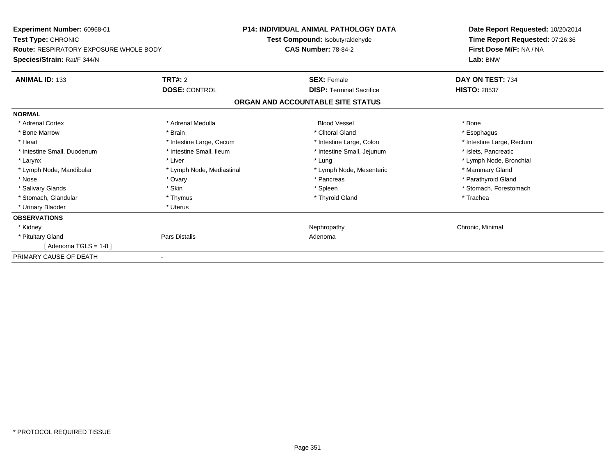| Experiment Number: 60968-01                   | <b>P14: INDIVIDUAL ANIMAL PATHOLOGY DATA</b> |                                   | Date Report Requested: 10/20/2014<br>Time Report Requested: 07:26:36 |
|-----------------------------------------------|----------------------------------------------|-----------------------------------|----------------------------------------------------------------------|
| Test Type: CHRONIC                            |                                              | Test Compound: Isobutyraldehyde   |                                                                      |
| <b>Route: RESPIRATORY EXPOSURE WHOLE BODY</b> |                                              | <b>CAS Number: 78-84-2</b>        | First Dose M/F: NA / NA                                              |
| Species/Strain: Rat/F 344/N                   |                                              |                                   | Lab: BNW                                                             |
| <b>ANIMAL ID: 133</b>                         | <b>TRT#: 2</b>                               | <b>SEX: Female</b>                | DAY ON TEST: 734                                                     |
|                                               | <b>DOSE: CONTROL</b>                         | <b>DISP: Terminal Sacrifice</b>   | <b>HISTO: 28537</b>                                                  |
|                                               |                                              | ORGAN AND ACCOUNTABLE SITE STATUS |                                                                      |
| <b>NORMAL</b>                                 |                                              |                                   |                                                                      |
| * Adrenal Cortex                              | * Adrenal Medulla                            | <b>Blood Vessel</b>               | * Bone                                                               |
| * Bone Marrow                                 | * Brain                                      | * Clitoral Gland                  | * Esophagus                                                          |
| * Heart                                       | * Intestine Large, Cecum                     | * Intestine Large, Colon          | * Intestine Large, Rectum                                            |
| * Intestine Small, Duodenum                   | * Intestine Small, Ileum                     | * Intestine Small, Jejunum        | * Islets, Pancreatic                                                 |
| * Larynx                                      | * Liver                                      | * Lung                            | * Lymph Node, Bronchial                                              |
| * Lymph Node, Mandibular                      | * Lymph Node, Mediastinal                    | * Lymph Node, Mesenteric          | * Mammary Gland                                                      |
| * Nose                                        | * Ovary                                      | * Pancreas                        | * Parathyroid Gland                                                  |
| * Salivary Glands                             | * Skin                                       | * Spleen                          | * Stomach, Forestomach                                               |
| * Stomach, Glandular                          | * Thymus                                     | * Thyroid Gland                   | * Trachea                                                            |
| * Urinary Bladder                             | * Uterus                                     |                                   |                                                                      |
| <b>OBSERVATIONS</b>                           |                                              |                                   |                                                                      |
| * Kidney                                      |                                              | Nephropathy                       | Chronic, Minimal                                                     |
| * Pituitary Gland                             | Pars Distalis                                | Adenoma                           |                                                                      |
| [Adenoma TGLS = $1-8$ ]                       |                                              |                                   |                                                                      |
| PRIMARY CAUSE OF DEATH                        |                                              |                                   |                                                                      |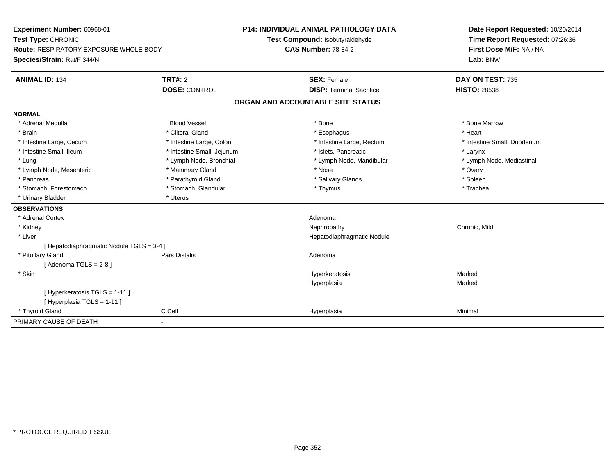| Experiment Number: 60968-01<br>Test Type: CHRONIC<br><b>Route: RESPIRATORY EXPOSURE WHOLE BODY</b><br>Species/Strain: Rat/F 344/N |                            | <b>P14: INDIVIDUAL ANIMAL PATHOLOGY DATA</b>                  | Date Report Requested: 10/20/2014<br>Time Report Requested: 07:26:36 |
|-----------------------------------------------------------------------------------------------------------------------------------|----------------------------|---------------------------------------------------------------|----------------------------------------------------------------------|
|                                                                                                                                   |                            | Test Compound: Isobutyraldehyde<br><b>CAS Number: 78-84-2</b> |                                                                      |
|                                                                                                                                   |                            |                                                               | First Dose M/F: NA / NA<br>Lab: BNW                                  |
| <b>ANIMAL ID: 134</b>                                                                                                             | <b>TRT#: 2</b>             | <b>SEX: Female</b>                                            | DAY ON TEST: 735                                                     |
|                                                                                                                                   | <b>DOSE: CONTROL</b>       | <b>DISP: Terminal Sacrifice</b>                               | <b>HISTO: 28538</b>                                                  |
|                                                                                                                                   |                            | ORGAN AND ACCOUNTABLE SITE STATUS                             |                                                                      |
| <b>NORMAL</b>                                                                                                                     |                            |                                                               |                                                                      |
| * Adrenal Medulla                                                                                                                 | <b>Blood Vessel</b>        | * Bone                                                        | * Bone Marrow                                                        |
| * Brain                                                                                                                           | * Clitoral Gland           | * Esophagus                                                   | * Heart                                                              |
| * Intestine Large, Cecum                                                                                                          | * Intestine Large, Colon   | * Intestine Large, Rectum                                     | * Intestine Small, Duodenum                                          |
| * Intestine Small, Ileum                                                                                                          | * Intestine Small, Jejunum | * Islets, Pancreatic                                          | * Larynx                                                             |
| * Lung                                                                                                                            | * Lymph Node, Bronchial    | * Lymph Node, Mandibular                                      | * Lymph Node, Mediastinal                                            |
| * Lymph Node, Mesenteric                                                                                                          | * Mammary Gland            | * Nose                                                        | * Ovary                                                              |
| * Pancreas                                                                                                                        | * Parathyroid Gland        | * Salivary Glands                                             | * Spleen                                                             |
| * Stomach, Forestomach                                                                                                            | * Stomach, Glandular       | * Thymus                                                      | * Trachea                                                            |
| * Urinary Bladder                                                                                                                 | * Uterus                   |                                                               |                                                                      |
| <b>OBSERVATIONS</b>                                                                                                               |                            |                                                               |                                                                      |
| * Adrenal Cortex                                                                                                                  |                            | Adenoma                                                       |                                                                      |
| * Kidney                                                                                                                          |                            | Nephropathy                                                   | Chronic, Mild                                                        |
| * Liver                                                                                                                           |                            | Hepatodiaphragmatic Nodule                                    |                                                                      |
| [ Hepatodiaphragmatic Nodule TGLS = 3-4 ]                                                                                         |                            |                                                               |                                                                      |
| * Pituitary Gland                                                                                                                 | <b>Pars Distalis</b>       | Adenoma                                                       |                                                                      |
| [Adenoma TGLS = $2-8$ ]                                                                                                           |                            |                                                               |                                                                      |
| * Skin                                                                                                                            |                            | Hyperkeratosis                                                | Marked                                                               |
|                                                                                                                                   |                            | Hyperplasia                                                   | Marked                                                               |
| [ Hyperkeratosis TGLS = 1-11 ]                                                                                                    |                            |                                                               |                                                                      |
| [Hyperplasia TGLS = 1-11]                                                                                                         |                            |                                                               |                                                                      |
| * Thyroid Gland                                                                                                                   | C Cell                     | Hyperplasia                                                   | Minimal                                                              |
| PRIMARY CAUSE OF DEATH                                                                                                            | $\blacksquare$             |                                                               |                                                                      |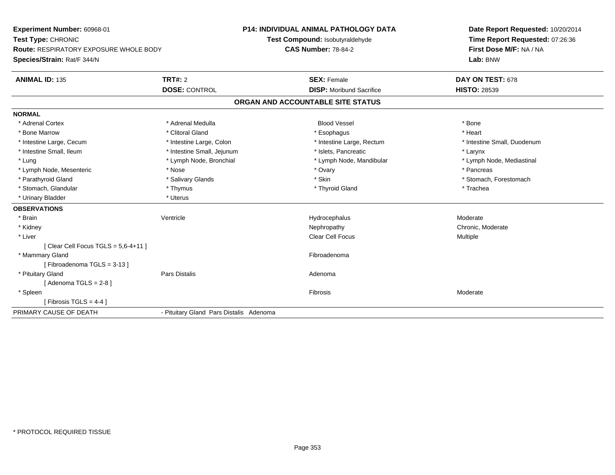| Experiment Number: 60968-01                   |                                         | <b>P14: INDIVIDUAL ANIMAL PATHOLOGY DATA</b> | Date Report Requested: 10/20/2014                          |  |
|-----------------------------------------------|-----------------------------------------|----------------------------------------------|------------------------------------------------------------|--|
| Test Type: CHRONIC                            |                                         | Test Compound: Isobutyraldehyde              | Time Report Requested: 07:26:36<br>First Dose M/F: NA / NA |  |
| <b>Route: RESPIRATORY EXPOSURE WHOLE BODY</b> |                                         | <b>CAS Number: 78-84-2</b>                   |                                                            |  |
| Species/Strain: Rat/F 344/N                   |                                         |                                              | Lab: BNW                                                   |  |
| <b>ANIMAL ID: 135</b>                         | TRT#: 2                                 | <b>SEX: Female</b>                           | DAY ON TEST: 678                                           |  |
|                                               | <b>DOSE: CONTROL</b>                    | <b>DISP:</b> Moribund Sacrifice              | <b>HISTO: 28539</b>                                        |  |
|                                               |                                         | ORGAN AND ACCOUNTABLE SITE STATUS            |                                                            |  |
| <b>NORMAL</b>                                 |                                         |                                              |                                                            |  |
| * Adrenal Cortex                              | * Adrenal Medulla                       | <b>Blood Vessel</b>                          | * Bone                                                     |  |
| * Bone Marrow                                 | * Clitoral Gland                        | * Esophagus                                  | * Heart                                                    |  |
| * Intestine Large, Cecum                      | * Intestine Large, Colon                | * Intestine Large, Rectum                    | * Intestine Small, Duodenum                                |  |
| * Intestine Small, Ileum                      | * Intestine Small, Jejunum              | * Islets, Pancreatic                         | * Larynx                                                   |  |
| * Lung                                        | * Lymph Node, Bronchial                 | * Lymph Node, Mandibular                     | * Lymph Node, Mediastinal                                  |  |
| * Lymph Node, Mesenteric                      | * Nose                                  | * Ovary                                      | * Pancreas                                                 |  |
| * Parathyroid Gland                           | * Salivary Glands                       | * Skin                                       | * Stomach, Forestomach                                     |  |
| * Stomach, Glandular                          | * Thymus                                | * Thyroid Gland                              | * Trachea                                                  |  |
| * Urinary Bladder                             | * Uterus                                |                                              |                                                            |  |
| <b>OBSERVATIONS</b>                           |                                         |                                              |                                                            |  |
| * Brain                                       | Ventricle                               | Hydrocephalus                                | Moderate                                                   |  |
| * Kidney                                      |                                         | Nephropathy                                  | Chronic, Moderate                                          |  |
| * Liver                                       |                                         | <b>Clear Cell Focus</b>                      | Multiple                                                   |  |
| [Clear Cell Focus TGLS = $5,6-4+11$ ]         |                                         |                                              |                                                            |  |
| * Mammary Gland                               |                                         | Fibroadenoma                                 |                                                            |  |
| [Fibroadenoma TGLS = 3-13]                    |                                         |                                              |                                                            |  |
| * Pituitary Gland                             | <b>Pars Distalis</b>                    | Adenoma                                      |                                                            |  |
| [Adenoma TGLS = $2-8$ ]                       |                                         |                                              |                                                            |  |
| * Spleen                                      |                                         | Fibrosis                                     | Moderate                                                   |  |
| [Fibrosis TGLS = 4-4]                         |                                         |                                              |                                                            |  |
| PRIMARY CAUSE OF DEATH                        | - Pituitary Gland Pars Distalis Adenoma |                                              |                                                            |  |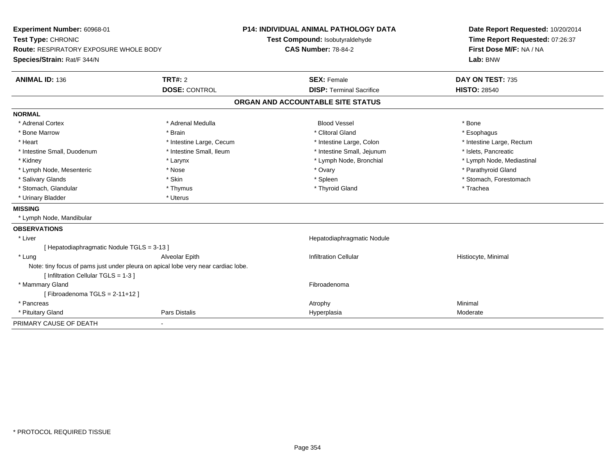| Experiment Number: 60968-01<br>Test Type: CHRONIC<br>Route: RESPIRATORY EXPOSURE WHOLE BODY |                          | <b>P14: INDIVIDUAL ANIMAL PATHOLOGY DATA</b><br>Test Compound: Isobutyraldehyde<br><b>CAS Number: 78-84-2</b> | Date Report Requested: 10/20/2014<br>Time Report Requested: 07:26:37<br>First Dose M/F: NA / NA |
|---------------------------------------------------------------------------------------------|--------------------------|---------------------------------------------------------------------------------------------------------------|-------------------------------------------------------------------------------------------------|
| Species/Strain: Rat/F 344/N                                                                 |                          |                                                                                                               | Lab: BNW                                                                                        |
| <b>ANIMAL ID: 136</b>                                                                       | <b>TRT#: 2</b>           | <b>SEX: Female</b>                                                                                            | DAY ON TEST: 735                                                                                |
|                                                                                             | <b>DOSE: CONTROL</b>     | <b>DISP: Terminal Sacrifice</b>                                                                               | <b>HISTO: 28540</b>                                                                             |
|                                                                                             |                          | ORGAN AND ACCOUNTABLE SITE STATUS                                                                             |                                                                                                 |
| <b>NORMAL</b>                                                                               |                          |                                                                                                               |                                                                                                 |
| * Adrenal Cortex                                                                            | * Adrenal Medulla        | <b>Blood Vessel</b>                                                                                           | * Bone                                                                                          |
| * Bone Marrow                                                                               | * Brain                  | * Clitoral Gland                                                                                              | * Esophagus                                                                                     |
| * Heart                                                                                     | * Intestine Large, Cecum | * Intestine Large, Colon                                                                                      | * Intestine Large, Rectum                                                                       |
| * Intestine Small, Duodenum                                                                 | * Intestine Small, Ileum | * Intestine Small, Jejunum                                                                                    | * Islets, Pancreatic                                                                            |
| * Kidney                                                                                    | * Larynx                 | * Lymph Node, Bronchial                                                                                       | * Lymph Node, Mediastinal                                                                       |
| * Lymph Node, Mesenteric                                                                    | * Nose                   | * Ovary                                                                                                       | * Parathyroid Gland                                                                             |
| * Salivary Glands                                                                           | * Skin                   | * Spleen                                                                                                      | * Stomach, Forestomach                                                                          |
| * Stomach, Glandular                                                                        | * Thymus                 | * Thyroid Gland                                                                                               | * Trachea                                                                                       |
| * Urinary Bladder                                                                           | * Uterus                 |                                                                                                               |                                                                                                 |
| <b>MISSING</b>                                                                              |                          |                                                                                                               |                                                                                                 |
| * Lymph Node, Mandibular                                                                    |                          |                                                                                                               |                                                                                                 |
| <b>OBSERVATIONS</b>                                                                         |                          |                                                                                                               |                                                                                                 |
| * Liver                                                                                     |                          | Hepatodiaphragmatic Nodule                                                                                    |                                                                                                 |
| [ Hepatodiaphragmatic Nodule TGLS = 3-13 ]                                                  |                          |                                                                                                               |                                                                                                 |
| * Lung                                                                                      | Alveolar Epith           | <b>Infiltration Cellular</b>                                                                                  | Histiocyte, Minimal                                                                             |
| Note: tiny focus of pams just under pleura on apical lobe very near cardiac lobe.           |                          |                                                                                                               |                                                                                                 |
| [Infiltration Cellular TGLS = 1-3]                                                          |                          |                                                                                                               |                                                                                                 |
| * Mammary Gland                                                                             |                          | Fibroadenoma                                                                                                  |                                                                                                 |
| [Fibroadenoma TGLS = $2-11+12$ ]                                                            |                          |                                                                                                               |                                                                                                 |
| * Pancreas                                                                                  |                          | Atrophy                                                                                                       | Minimal                                                                                         |
| * Pituitary Gland                                                                           | <b>Pars Distalis</b>     | Hyperplasia                                                                                                   | Moderate                                                                                        |
| PRIMARY CAUSE OF DEATH                                                                      |                          |                                                                                                               |                                                                                                 |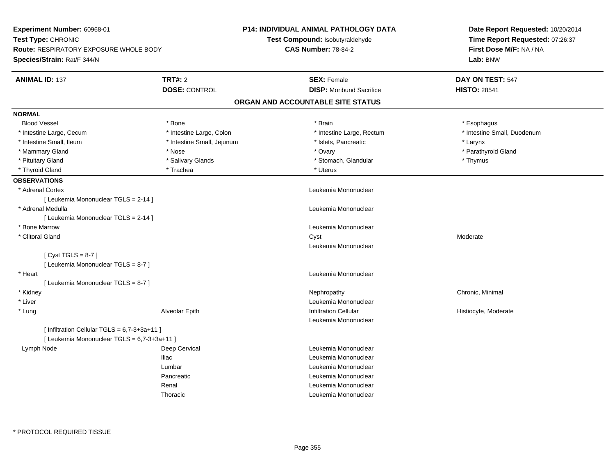| Experiment Number: 60968-01                   |                            | <b>P14: INDIVIDUAL ANIMAL PATHOLOGY DATA</b> | Date Report Requested: 10/20/2014                          |  |
|-----------------------------------------------|----------------------------|----------------------------------------------|------------------------------------------------------------|--|
| Test Type: CHRONIC                            |                            | Test Compound: Isobutyraldehyde              | Time Report Requested: 07:26:37<br>First Dose M/F: NA / NA |  |
| <b>Route: RESPIRATORY EXPOSURE WHOLE BODY</b> |                            | <b>CAS Number: 78-84-2</b>                   |                                                            |  |
| Species/Strain: Rat/F 344/N                   |                            |                                              | Lab: BNW                                                   |  |
| <b>ANIMAL ID: 137</b>                         | <b>TRT#: 2</b>             | <b>SEX: Female</b>                           | DAY ON TEST: 547                                           |  |
|                                               | <b>DOSE: CONTROL</b>       | <b>DISP:</b> Moribund Sacrifice              | <b>HISTO: 28541</b>                                        |  |
|                                               |                            | ORGAN AND ACCOUNTABLE SITE STATUS            |                                                            |  |
| <b>NORMAL</b>                                 |                            |                                              |                                                            |  |
| <b>Blood Vessel</b>                           | * Bone                     | * Brain                                      | * Esophagus                                                |  |
| * Intestine Large, Cecum                      | * Intestine Large, Colon   | * Intestine Large, Rectum                    | * Intestine Small, Duodenum                                |  |
| * Intestine Small, Ileum                      | * Intestine Small, Jejunum | * Islets, Pancreatic                         | * Larynx                                                   |  |
| * Mammary Gland                               | * Nose                     | * Ovary                                      | * Parathyroid Gland                                        |  |
| * Pituitary Gland                             | * Salivary Glands          | * Stomach, Glandular                         | * Thymus                                                   |  |
| * Thyroid Gland                               | * Trachea                  | * Uterus                                     |                                                            |  |
| <b>OBSERVATIONS</b>                           |                            |                                              |                                                            |  |
| * Adrenal Cortex                              |                            | Leukemia Mononuclear                         |                                                            |  |
| [ Leukemia Mononuclear TGLS = 2-14 ]          |                            |                                              |                                                            |  |
| * Adrenal Medulla                             |                            | Leukemia Mononuclear                         |                                                            |  |
| [ Leukemia Mononuclear TGLS = 2-14 ]          |                            |                                              |                                                            |  |
| * Bone Marrow                                 |                            | Leukemia Mononuclear                         |                                                            |  |
| * Clitoral Gland                              |                            | Cyst                                         | Moderate                                                   |  |
|                                               |                            | Leukemia Mononuclear                         |                                                            |  |
| [Cyst TGLS = $8-7$ ]                          |                            |                                              |                                                            |  |
| [ Leukemia Mononuclear TGLS = 8-7 ]           |                            |                                              |                                                            |  |
| * Heart                                       |                            | Leukemia Mononuclear                         |                                                            |  |
| [ Leukemia Mononuclear TGLS = 8-7 ]           |                            |                                              |                                                            |  |
| * Kidney                                      |                            | Nephropathy                                  | Chronic, Minimal                                           |  |
| * Liver                                       |                            | Leukemia Mononuclear                         |                                                            |  |
| * Lung                                        | Alveolar Epith             | <b>Infiltration Cellular</b>                 | Histiocyte, Moderate                                       |  |
|                                               |                            | Leukemia Mononuclear                         |                                                            |  |
| [ Infiltration Cellular TGLS = 6,7-3+3a+11 ]  |                            |                                              |                                                            |  |
| [ Leukemia Mononuclear TGLS = 6,7-3+3a+11 ]   |                            |                                              |                                                            |  |
| Lymph Node                                    | Deep Cervical              | Leukemia Mononuclear                         |                                                            |  |
|                                               | <b>Iliac</b>               | Leukemia Mononuclear                         |                                                            |  |
|                                               | Lumbar                     | Leukemia Mononuclear                         |                                                            |  |
|                                               | Pancreatic                 | Leukemia Mononuclear                         |                                                            |  |
|                                               | Renal                      | Leukemia Mononuclear                         |                                                            |  |
|                                               | Thoracic                   | Leukemia Mononuclear                         |                                                            |  |
|                                               |                            |                                              |                                                            |  |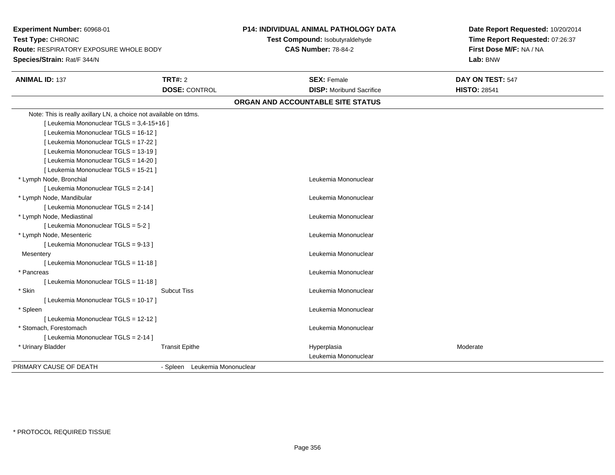| Experiment Number: 60968-01<br>Test Type: CHRONIC<br><b>Route: RESPIRATORY EXPOSURE WHOLE BODY</b><br>Species/Strain: Rat/F 344/N |                               | P14: INDIVIDUAL ANIMAL PATHOLOGY DATA<br>Test Compound: Isobutyraldehyde<br><b>CAS Number: 78-84-2</b> | Date Report Requested: 10/20/2014<br>Time Report Requested: 07:26:37<br>First Dose M/F: NA / NA<br>Lab: BNW |
|-----------------------------------------------------------------------------------------------------------------------------------|-------------------------------|--------------------------------------------------------------------------------------------------------|-------------------------------------------------------------------------------------------------------------|
| <b>ANIMAL ID: 137</b>                                                                                                             | <b>TRT#: 2</b>                | <b>SEX: Female</b>                                                                                     | DAY ON TEST: 547                                                                                            |
|                                                                                                                                   | <b>DOSE: CONTROL</b>          | <b>DISP:</b> Moribund Sacrifice                                                                        | <b>HISTO: 28541</b>                                                                                         |
|                                                                                                                                   |                               | ORGAN AND ACCOUNTABLE SITE STATUS                                                                      |                                                                                                             |
| Note: This is really axillary LN, a choice not available on tdms.                                                                 |                               |                                                                                                        |                                                                                                             |
| [ Leukemia Mononuclear TGLS = 3,4-15+16 ]                                                                                         |                               |                                                                                                        |                                                                                                             |
| [ Leukemia Mononuclear TGLS = 16-12 ]                                                                                             |                               |                                                                                                        |                                                                                                             |
| [ Leukemia Mononuclear TGLS = 17-22 ]                                                                                             |                               |                                                                                                        |                                                                                                             |
| [ Leukemia Mononuclear TGLS = 13-19 ]                                                                                             |                               |                                                                                                        |                                                                                                             |
| [ Leukemia Mononuclear TGLS = 14-20 ]                                                                                             |                               |                                                                                                        |                                                                                                             |
| [ Leukemia Mononuclear TGLS = 15-21 ]                                                                                             |                               |                                                                                                        |                                                                                                             |
| * Lymph Node, Bronchial                                                                                                           |                               | Leukemia Mononuclear                                                                                   |                                                                                                             |
| [ Leukemia Mononuclear TGLS = 2-14 ]                                                                                              |                               |                                                                                                        |                                                                                                             |
| * Lymph Node, Mandibular                                                                                                          |                               | Leukemia Mononuclear                                                                                   |                                                                                                             |
| [ Leukemia Mononuclear TGLS = 2-14 ]                                                                                              |                               |                                                                                                        |                                                                                                             |
| * Lymph Node, Mediastinal                                                                                                         |                               | Leukemia Mononuclear                                                                                   |                                                                                                             |
| [Leukemia Mononuclear TGLS = 5-2]                                                                                                 |                               |                                                                                                        |                                                                                                             |
| * Lymph Node, Mesenteric                                                                                                          |                               | Leukemia Mononuclear                                                                                   |                                                                                                             |
| [ Leukemia Mononuclear TGLS = 9-13 ]                                                                                              |                               |                                                                                                        |                                                                                                             |
| Mesentery                                                                                                                         |                               | Leukemia Mononuclear                                                                                   |                                                                                                             |
| [ Leukemia Mononuclear TGLS = 11-18 ]                                                                                             |                               |                                                                                                        |                                                                                                             |
| * Pancreas                                                                                                                        |                               | Leukemia Mononuclear                                                                                   |                                                                                                             |
| [ Leukemia Mononuclear TGLS = 11-18 ]                                                                                             |                               |                                                                                                        |                                                                                                             |
| * Skin                                                                                                                            | <b>Subcut Tiss</b>            | Leukemia Mononuclear                                                                                   |                                                                                                             |
| [ Leukemia Mononuclear TGLS = 10-17 ]                                                                                             |                               |                                                                                                        |                                                                                                             |
| * Spleen                                                                                                                          |                               | Leukemia Mononuclear                                                                                   |                                                                                                             |
| [ Leukemia Mononuclear TGLS = 12-12 ]                                                                                             |                               |                                                                                                        |                                                                                                             |
| * Stomach, Forestomach                                                                                                            |                               | Leukemia Mononuclear                                                                                   |                                                                                                             |
| [ Leukemia Mononuclear TGLS = 2-14 ]                                                                                              |                               |                                                                                                        |                                                                                                             |
| * Urinary Bladder                                                                                                                 | <b>Transit Epithe</b>         | Hyperplasia<br>Leukemia Mononuclear                                                                    | Moderate                                                                                                    |
| PRIMARY CAUSE OF DEATH                                                                                                            | - Spleen Leukemia Mononuclear |                                                                                                        |                                                                                                             |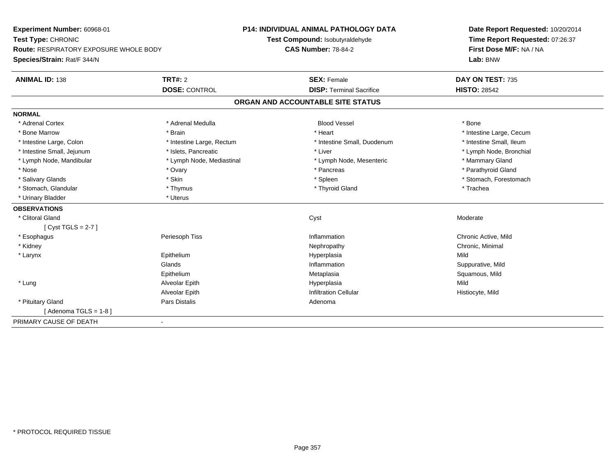| <b>Experiment Number: 60968-01</b>            |                           | <b>P14: INDIVIDUAL ANIMAL PATHOLOGY DATA</b> | Date Report Requested: 10/20/2014 |  |
|-----------------------------------------------|---------------------------|----------------------------------------------|-----------------------------------|--|
| Test Type: CHRONIC                            |                           | Test Compound: Isobutyraldehyde              | Time Report Requested: 07:26:37   |  |
| <b>Route: RESPIRATORY EXPOSURE WHOLE BODY</b> |                           | <b>CAS Number: 78-84-2</b>                   | First Dose M/F: NA / NA           |  |
| Species/Strain: Rat/F 344/N                   |                           |                                              | Lab: BNW                          |  |
| <b>ANIMAL ID: 138</b>                         | <b>TRT#: 2</b>            | <b>SEX: Female</b>                           | DAY ON TEST: 735                  |  |
|                                               | <b>DOSE: CONTROL</b>      | <b>DISP: Terminal Sacrifice</b>              | <b>HISTO: 28542</b>               |  |
|                                               |                           | ORGAN AND ACCOUNTABLE SITE STATUS            |                                   |  |
| <b>NORMAL</b>                                 |                           |                                              |                                   |  |
| * Adrenal Cortex                              | * Adrenal Medulla         | <b>Blood Vessel</b>                          | * Bone                            |  |
| * Bone Marrow                                 | * Brain                   | * Heart                                      | * Intestine Large, Cecum          |  |
| * Intestine Large, Colon                      | * Intestine Large, Rectum | * Intestine Small, Duodenum                  | * Intestine Small, Ileum          |  |
| * Intestine Small, Jejunum                    | * Islets. Pancreatic      | * Liver                                      | * Lymph Node, Bronchial           |  |
| * Lymph Node, Mandibular                      | * Lymph Node, Mediastinal | * Lymph Node, Mesenteric                     | * Mammary Gland                   |  |
| * Nose                                        | * Ovary                   | * Pancreas                                   | * Parathyroid Gland               |  |
| * Salivary Glands                             | * Skin                    | * Spleen                                     | * Stomach, Forestomach            |  |
| * Stomach, Glandular                          | * Thymus                  | * Thyroid Gland                              | * Trachea                         |  |
| * Urinary Bladder                             | * Uterus                  |                                              |                                   |  |
| <b>OBSERVATIONS</b>                           |                           |                                              |                                   |  |
| * Clitoral Gland                              |                           | Cyst                                         | Moderate                          |  |
| [Cyst TGLS = $2-7$ ]                          |                           |                                              |                                   |  |
| * Esophagus                                   | Periesoph Tiss            | Inflammation                                 | Chronic Active, Mild              |  |
| * Kidney                                      |                           | Nephropathy                                  | Chronic, Minimal                  |  |
| * Larynx                                      | Epithelium                | Hyperplasia                                  | Mild                              |  |
|                                               | Glands                    | Inflammation                                 | Suppurative, Mild                 |  |
|                                               | Epithelium                | Metaplasia                                   | Squamous, Mild                    |  |
| * Lung                                        | Alveolar Epith            | Hyperplasia                                  | Mild                              |  |
|                                               | Alveolar Epith            | <b>Infiltration Cellular</b>                 | Histiocyte, Mild                  |  |
| * Pituitary Gland                             | Pars Distalis             | Adenoma                                      |                                   |  |
| [Adenoma TGLS = $1-8$ ]                       |                           |                                              |                                   |  |
| PRIMARY CAUSE OF DEATH<br>$\blacksquare$      |                           |                                              |                                   |  |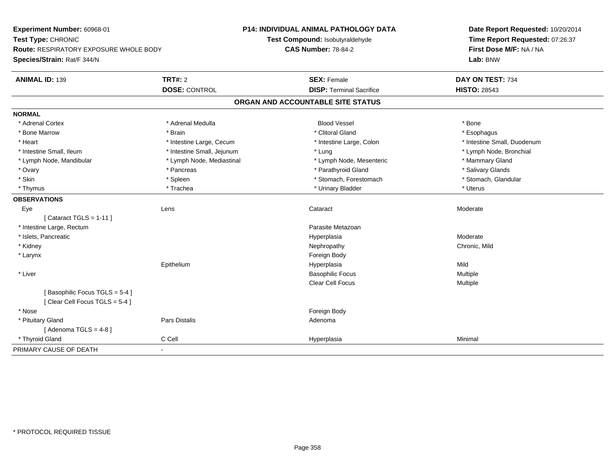| Experiment Number: 60968-01                                    |                            | <b>P14: INDIVIDUAL ANIMAL PATHOLOGY DATA</b> | Date Report Requested: 10/20/2014 |
|----------------------------------------------------------------|----------------------------|----------------------------------------------|-----------------------------------|
| Test Type: CHRONIC                                             |                            | Test Compound: Isobutyraldehyde              | Time Report Requested: 07:26:37   |
| <b>Route: RESPIRATORY EXPOSURE WHOLE BODY</b>                  |                            | <b>CAS Number: 78-84-2</b>                   | First Dose M/F: NA / NA           |
| Species/Strain: Rat/F 344/N                                    |                            |                                              | Lab: BNW                          |
| <b>ANIMAL ID: 139</b>                                          | <b>TRT#: 2</b>             | <b>SEX: Female</b>                           | DAY ON TEST: 734                  |
|                                                                | <b>DOSE: CONTROL</b>       | <b>DISP: Terminal Sacrifice</b>              | <b>HISTO: 28543</b>               |
|                                                                |                            | ORGAN AND ACCOUNTABLE SITE STATUS            |                                   |
| <b>NORMAL</b>                                                  |                            |                                              |                                   |
| * Adrenal Cortex                                               | * Adrenal Medulla          | <b>Blood Vessel</b>                          | * Bone                            |
| * Bone Marrow                                                  | * Brain                    | * Clitoral Gland                             | * Esophagus                       |
| * Heart                                                        | * Intestine Large, Cecum   | * Intestine Large, Colon                     | * Intestine Small, Duodenum       |
| * Intestine Small, Ileum                                       | * Intestine Small, Jejunum | * Lung                                       | * Lymph Node, Bronchial           |
| * Lymph Node, Mandibular                                       | * Lymph Node, Mediastinal  | * Lymph Node, Mesenteric                     | * Mammary Gland                   |
| * Ovary                                                        | * Pancreas                 | * Parathyroid Gland                          | * Salivary Glands                 |
| * Skin                                                         | * Spleen                   | * Stomach, Forestomach                       | * Stomach, Glandular              |
| * Thymus                                                       | * Trachea                  | * Urinary Bladder                            | * Uterus                          |
| <b>OBSERVATIONS</b>                                            |                            |                                              |                                   |
| Eye<br>Lens                                                    |                            | Cataract                                     | Moderate                          |
| [ Cataract TGLS = $1-11$ ]                                     |                            |                                              |                                   |
| * Intestine Large, Rectum                                      |                            | Parasite Metazoan                            |                                   |
| * Islets, Pancreatic                                           |                            | Hyperplasia                                  | Moderate                          |
| * Kidney                                                       |                            | Nephropathy                                  | Chronic, Mild                     |
| * Larynx                                                       |                            | Foreign Body                                 |                                   |
|                                                                | Epithelium                 | Hyperplasia                                  | Mild                              |
| * Liver                                                        |                            | <b>Basophilic Focus</b>                      | <b>Multiple</b>                   |
|                                                                |                            | Clear Cell Focus                             | Multiple                          |
| [Basophilic Focus TGLS = 5-4]<br>[Clear Cell Focus TGLS = 5-4] |                            |                                              |                                   |
| * Nose                                                         |                            | Foreign Body                                 |                                   |
| * Pituitary Gland                                              | <b>Pars Distalis</b>       | Adenoma                                      |                                   |
| [Adenoma TGLS = $4-8$ ]                                        |                            |                                              |                                   |
| * Thyroid Gland                                                | C Cell                     | Hyperplasia                                  | Minimal                           |
| PRIMARY CAUSE OF DEATH<br>$\blacksquare$                       |                            |                                              |                                   |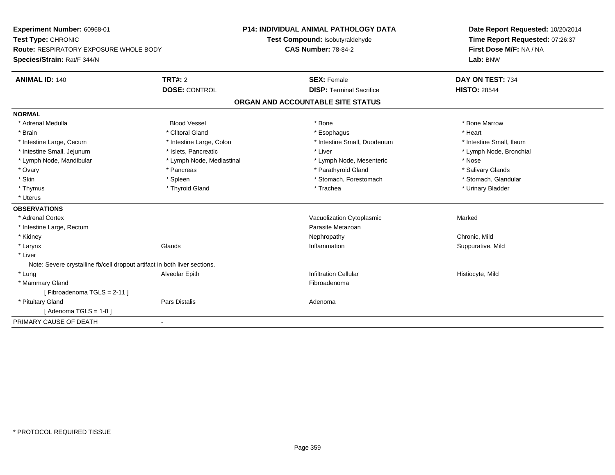| Experiment Number: 60968-01                                               |                           | <b>P14: INDIVIDUAL ANIMAL PATHOLOGY DATA</b> | Date Report Requested: 10/20/2014<br>Time Report Requested: 07:26:37 |  |
|---------------------------------------------------------------------------|---------------------------|----------------------------------------------|----------------------------------------------------------------------|--|
| Test Type: CHRONIC                                                        |                           | Test Compound: Isobutyraldehyde              |                                                                      |  |
| <b>Route: RESPIRATORY EXPOSURE WHOLE BODY</b>                             |                           | <b>CAS Number: 78-84-2</b>                   | First Dose M/F: NA / NA                                              |  |
| Species/Strain: Rat/F 344/N                                               |                           |                                              | Lab: BNW                                                             |  |
| <b>ANIMAL ID: 140</b>                                                     | <b>TRT#: 2</b>            | <b>SEX: Female</b>                           | DAY ON TEST: 734                                                     |  |
|                                                                           | <b>DOSE: CONTROL</b>      | <b>DISP: Terminal Sacrifice</b>              | <b>HISTO: 28544</b>                                                  |  |
|                                                                           |                           | ORGAN AND ACCOUNTABLE SITE STATUS            |                                                                      |  |
| <b>NORMAL</b>                                                             |                           |                                              |                                                                      |  |
| * Adrenal Medulla                                                         | <b>Blood Vessel</b>       | * Bone                                       | * Bone Marrow                                                        |  |
| * Brain                                                                   | * Clitoral Gland          | * Esophagus                                  | * Heart                                                              |  |
| * Intestine Large, Cecum                                                  | * Intestine Large, Colon  | * Intestine Small, Duodenum                  | * Intestine Small, Ileum                                             |  |
| * Intestine Small, Jejunum                                                | * Islets. Pancreatic      | * Liver                                      | * Lymph Node, Bronchial                                              |  |
| * Lymph Node, Mandibular                                                  | * Lymph Node, Mediastinal | * Lymph Node, Mesenteric                     | * Nose                                                               |  |
| * Ovary                                                                   | * Pancreas                | * Parathyroid Gland                          | * Salivary Glands                                                    |  |
| * Skin                                                                    | * Spleen                  | * Stomach, Forestomach                       | * Stomach, Glandular                                                 |  |
| * Thymus                                                                  | * Thyroid Gland           | * Trachea                                    | * Urinary Bladder                                                    |  |
| * Uterus                                                                  |                           |                                              |                                                                      |  |
| <b>OBSERVATIONS</b>                                                       |                           |                                              |                                                                      |  |
| * Adrenal Cortex                                                          |                           | Vacuolization Cytoplasmic                    | Marked                                                               |  |
| * Intestine Large, Rectum                                                 |                           | Parasite Metazoan                            |                                                                      |  |
| * Kidney                                                                  |                           | Nephropathy                                  | Chronic, Mild                                                        |  |
| * Larynx                                                                  | Glands                    | Inflammation                                 | Suppurative, Mild                                                    |  |
| * Liver                                                                   |                           |                                              |                                                                      |  |
| Note: Severe crystalline fb/cell dropout artifact in both liver sections. |                           |                                              |                                                                      |  |
| * Lung                                                                    | Alveolar Epith            | <b>Infiltration Cellular</b>                 | Histiocyte, Mild                                                     |  |
| * Mammary Gland                                                           |                           | Fibroadenoma                                 |                                                                      |  |
| [Fibroadenoma TGLS = 2-11]                                                |                           |                                              |                                                                      |  |
| * Pituitary Gland                                                         | <b>Pars Distalis</b>      | Adenoma                                      |                                                                      |  |
| [Adenoma TGLS = $1-8$ ]                                                   |                           |                                              |                                                                      |  |
| PRIMARY CAUSE OF DEATH                                                    |                           |                                              |                                                                      |  |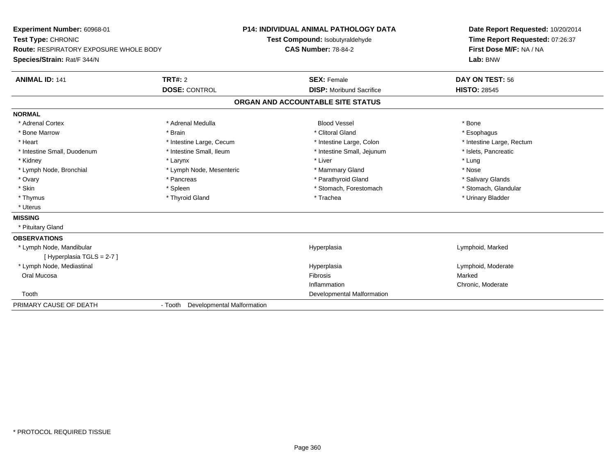| Experiment Number: 60968-01            |                                    | <b>P14: INDIVIDUAL ANIMAL PATHOLOGY DATA</b> | Date Report Requested: 10/20/2014<br>Time Report Requested: 07:26:37 |
|----------------------------------------|------------------------------------|----------------------------------------------|----------------------------------------------------------------------|
| Test Type: CHRONIC                     |                                    | Test Compound: Isobutyraldehyde              |                                                                      |
| Route: RESPIRATORY EXPOSURE WHOLE BODY |                                    | <b>CAS Number: 78-84-2</b>                   | First Dose M/F: NA / NA                                              |
| Species/Strain: Rat/F 344/N            |                                    |                                              | Lab: BNW                                                             |
| <b>ANIMAL ID: 141</b>                  | TRT#: 2                            | <b>SEX: Female</b>                           | DAY ON TEST: 56                                                      |
|                                        | <b>DOSE: CONTROL</b>               | <b>DISP:</b> Moribund Sacrifice              | <b>HISTO: 28545</b>                                                  |
|                                        |                                    | ORGAN AND ACCOUNTABLE SITE STATUS            |                                                                      |
| <b>NORMAL</b>                          |                                    |                                              |                                                                      |
| * Adrenal Cortex                       | * Adrenal Medulla                  | <b>Blood Vessel</b>                          | * Bone                                                               |
| * Bone Marrow                          | * Brain                            | * Clitoral Gland                             | * Esophagus                                                          |
| * Heart                                | * Intestine Large, Cecum           | * Intestine Large, Colon                     | * Intestine Large, Rectum                                            |
| * Intestine Small, Duodenum            | * Intestine Small, Ileum           | * Intestine Small, Jejunum                   | * Islets, Pancreatic                                                 |
| * Kidney                               | * Larynx                           | * Liver                                      | * Lung                                                               |
| * Lymph Node, Bronchial                | * Lymph Node, Mesenteric           | * Mammary Gland                              | * Nose                                                               |
| * Ovary                                | * Pancreas                         | * Parathyroid Gland                          | * Salivary Glands                                                    |
| * Skin                                 | * Spleen                           | * Stomach, Forestomach                       | * Stomach, Glandular                                                 |
| * Thymus                               | * Thyroid Gland                    | * Trachea                                    | * Urinary Bladder                                                    |
| * Uterus                               |                                    |                                              |                                                                      |
| <b>MISSING</b>                         |                                    |                                              |                                                                      |
| * Pituitary Gland                      |                                    |                                              |                                                                      |
| <b>OBSERVATIONS</b>                    |                                    |                                              |                                                                      |
| * Lymph Node, Mandibular               |                                    | Hyperplasia                                  | Lymphoid, Marked                                                     |
| [ Hyperplasia TGLS = 2-7 ]             |                                    |                                              |                                                                      |
| * Lymph Node, Mediastinal              |                                    | Hyperplasia                                  | Lymphoid, Moderate                                                   |
| Oral Mucosa                            |                                    | Fibrosis                                     | Marked                                                               |
|                                        |                                    | Inflammation                                 | Chronic, Moderate                                                    |
| Tooth                                  |                                    | Developmental Malformation                   |                                                                      |
| PRIMARY CAUSE OF DEATH                 | - Tooth Developmental Malformation |                                              |                                                                      |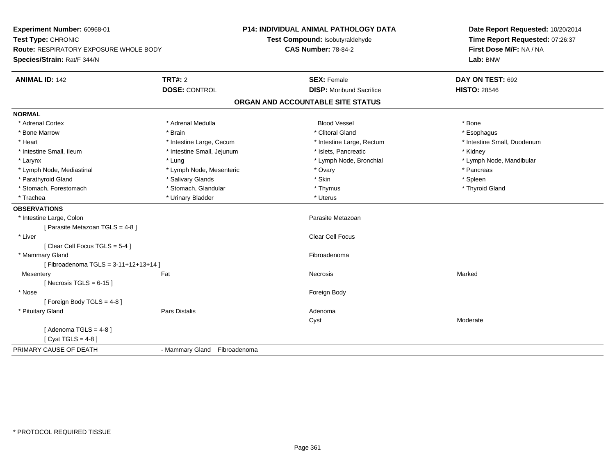| Experiment Number: 60968-01            |                              | <b>P14: INDIVIDUAL ANIMAL PATHOLOGY DATA</b> | Date Report Requested: 10/20/2014 |  |
|----------------------------------------|------------------------------|----------------------------------------------|-----------------------------------|--|
| Test Type: CHRONIC                     |                              | Test Compound: Isobutyraldehyde              | Time Report Requested: 07:26:37   |  |
| Route: RESPIRATORY EXPOSURE WHOLE BODY |                              | <b>CAS Number: 78-84-2</b>                   | First Dose M/F: NA / NA           |  |
| Species/Strain: Rat/F 344/N            |                              |                                              | Lab: BNW                          |  |
| <b>ANIMAL ID: 142</b>                  | <b>TRT#: 2</b>               | <b>SEX: Female</b>                           | DAY ON TEST: 692                  |  |
|                                        | <b>DOSE: CONTROL</b>         | <b>DISP: Moribund Sacrifice</b>              | <b>HISTO: 28546</b>               |  |
|                                        |                              | ORGAN AND ACCOUNTABLE SITE STATUS            |                                   |  |
| NORMAL                                 |                              |                                              |                                   |  |
| * Adrenal Cortex                       | * Adrenal Medulla            | <b>Blood Vessel</b>                          | * Bone                            |  |
| * Bone Marrow                          | * Brain                      | * Clitoral Gland                             | * Esophagus                       |  |
| * Heart                                | * Intestine Large, Cecum     | * Intestine Large, Rectum                    | * Intestine Small, Duodenum       |  |
| * Intestine Small, Ileum               | * Intestine Small, Jejunum   | * Islets, Pancreatic                         | * Kidney                          |  |
| * Larynx                               | * Lung                       | * Lymph Node, Bronchial                      | * Lymph Node, Mandibular          |  |
| * Lymph Node, Mediastinal              | * Lymph Node, Mesenteric     | * Ovary                                      | * Pancreas                        |  |
| * Parathyroid Gland                    | * Salivary Glands            | * Skin                                       | $*$ Spleen                        |  |
| * Stomach, Forestomach                 | * Stomach, Glandular         | * Thymus                                     | * Thyroid Gland                   |  |
| * Trachea                              | * Urinary Bladder            | * Uterus                                     |                                   |  |
| <b>OBSERVATIONS</b>                    |                              |                                              |                                   |  |
| * Intestine Large, Colon               |                              | Parasite Metazoan                            |                                   |  |
| [ Parasite Metazoan TGLS = 4-8 ]       |                              |                                              |                                   |  |
| * Liver                                |                              | <b>Clear Cell Focus</b>                      |                                   |  |
| [Clear Cell Focus TGLS = 5-4]          |                              |                                              |                                   |  |
| * Mammary Gland                        |                              | Fibroadenoma                                 |                                   |  |
| [Fibroadenoma TGLS = 3-11+12+13+14]    |                              |                                              |                                   |  |
| Mesentery                              | Fat                          | Necrosis                                     | Marked                            |  |
| [Necrosis TGLS = $6-15$ ]              |                              |                                              |                                   |  |
| * Nose                                 |                              | Foreign Body                                 |                                   |  |
| [Foreign Body TGLS = 4-8]              |                              |                                              |                                   |  |
| * Pituitary Gland                      | <b>Pars Distalis</b>         | Adenoma                                      |                                   |  |
|                                        |                              | Cyst                                         | Moderate                          |  |
| [Adenoma TGLS = $4-8$ ]                |                              |                                              |                                   |  |
| [ $Cyst TGLS = 4-8$ ]                  |                              |                                              |                                   |  |
| PRIMARY CAUSE OF DEATH                 | - Mammary Gland Fibroadenoma |                                              |                                   |  |
|                                        |                              |                                              |                                   |  |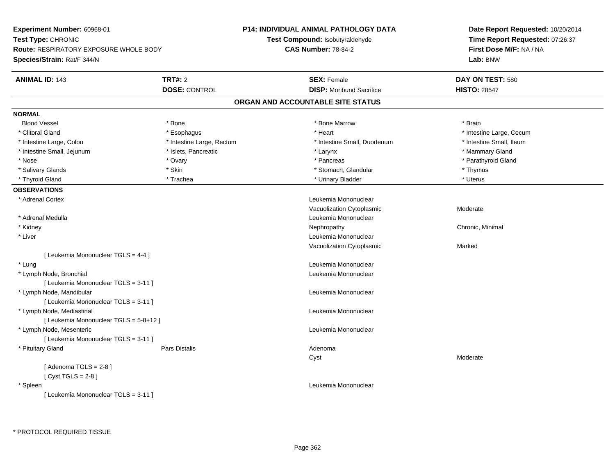**Experiment Number:** 60968-01**Test Type:** CHRONIC **Route:** RESPIRATORY EXPOSURE WHOLE BODY**Species/Strain:** Rat/F 344/N**P14: INDIVIDUAL ANIMAL PATHOLOGY DATATest Compound:** Isobutyraldehyde**CAS Number:** 78-84-2**Date Report Requested:** 10/20/2014**Time Report Requested:** 07:26:37**First Dose M/F:** NA / NA**Lab:** BNW**ANIMAL ID:** 143**TRT#:** 2 **SEX:** Female **DAY ON TEST:** 580 **DOSE:** CONTROL**DISP:** Moribund Sacrifice **HISTO:** 28547 **ORGAN AND ACCOUNTABLE SITE STATUSNORMALBlood Vessel**  Blood Vessel \* Bone \* Bone Marrow \* Brain\* Clitoral Gland \* \* exphagus \* Esophagus \* \* Heart \* Heart \* Intestine Large, Cecum \* Intestine Small, Ileum \* Intestine Large, Colon \* Intestine Large, Rectum \* Intestine Small, Duodenum \* Intestine Small, Duodenum \* Intestine Small, Jejunum \* \* The mannery Gland \* \* Islets, Pancreatic \* The mannery State \* Mammary Gland \* Mammary Gland \* Parathyroid Gland \* Nose \* Ovary \* Pancreas \* Parathyroid Gland \* Salivary Glands \* Thymus \* Skin \* Skin \* \* Stomach, Glandular \* Stomach, Glandular \* Thymus \* Thymus \* Uterus \* Thyroid Gland \* Trachea \* Trachea \* Trachea \* Urinary Bladder \* Urinary Bladder **OBSERVATIONS** \* Adrenal Cortex Leukemia Mononuclear Vacuolization Cytoplasmic Moderate \* Adrenal Medulla Leukemia Mononuclear \* Kidneyy the controller of the controller of the controller of the controller of the controller of the controller of the controller of the controller of the controller of the controller of the controller of the controller of the \* Liver Leukemia Mononuclear Vacuolization Cytoplasmic Marked[ Leukemia Mononuclear TGLS = 4-4 ] \* Lung Leukemia Mononuclear \* Lymph Node, Bronchial Leukemia Mononuclear[ Leukemia Mononuclear TGLS = 3-11 ] \* Lymph Node, Mandibular Leukemia Mononuclear [ Leukemia Mononuclear TGLS = 3-11 ] \* Lymph Node, Mediastinal Leukemia Mononuclear[ Leukemia Mononuclear TGLS = 5-8+12 ] \* Lymph Node, Mesenteric Leukemia Mononuclear [ Leukemia Mononuclear TGLS = 3-11 ] \* Pituitary Glandd and the contract of Pars Distalis and the contract of Adenoma and Adenoma and the Adenoma and the Adenoma and  $\lambda$ Cyst Moderate $[$  Adenoma TGLS = 2-8  $]$  $[$  Cyst TGLS = 2-8  $]$  \* Spleen Leukemia Mononuclear [ Leukemia Mononuclear TGLS = 3-11 ]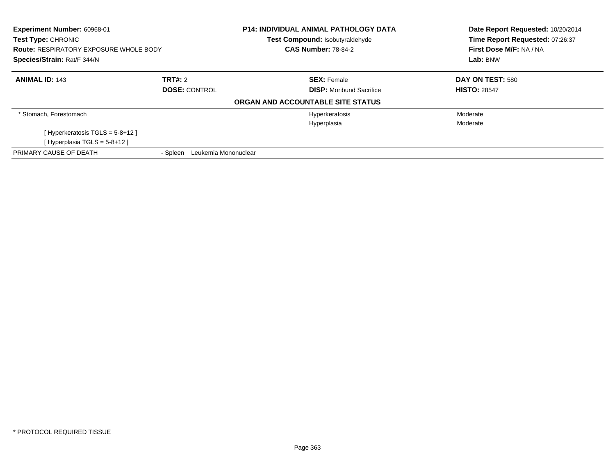| Experiment Number: 60968-01<br><b>Test Type: CHRONIC</b> |                                  | <b>P14: INDIVIDUAL ANIMAL PATHOLOGY DATA</b><br><b>Test Compound: Isobutyraldehyde</b> | Date Report Requested: 10/20/2014<br>Time Report Requested: 07:26:37<br>First Dose M/F: NA / NA |  |
|----------------------------------------------------------|----------------------------------|----------------------------------------------------------------------------------------|-------------------------------------------------------------------------------------------------|--|
| <b>Route: RESPIRATORY EXPOSURE WHOLE BODY</b>            |                                  | <b>CAS Number: 78-84-2</b>                                                             |                                                                                                 |  |
| Species/Strain: Rat/F 344/N                              |                                  |                                                                                        | Lab: BNW                                                                                        |  |
| <b>ANIMAL ID: 143</b>                                    | TRT#: 2                          | <b>SEX: Female</b>                                                                     | DAY ON TEST: 580                                                                                |  |
|                                                          | <b>DOSE: CONTROL</b>             | <b>DISP:</b> Moribund Sacrifice                                                        | <b>HISTO: 28547</b>                                                                             |  |
|                                                          |                                  | ORGAN AND ACCOUNTABLE SITE STATUS                                                      |                                                                                                 |  |
| * Stomach. Forestomach                                   |                                  | Hyperkeratosis                                                                         | Moderate                                                                                        |  |
|                                                          |                                  | Hyperplasia                                                                            | Moderate                                                                                        |  |
| [Hyperkeratosis TGLS = $5-8+12$ ]                        |                                  |                                                                                        |                                                                                                 |  |
| [Hyperplasia TGLS = $5-8+12$ ]                           |                                  |                                                                                        |                                                                                                 |  |
| PRIMARY CAUSE OF DEATH                                   | Leukemia Mononuclear<br>- Spleen |                                                                                        |                                                                                                 |  |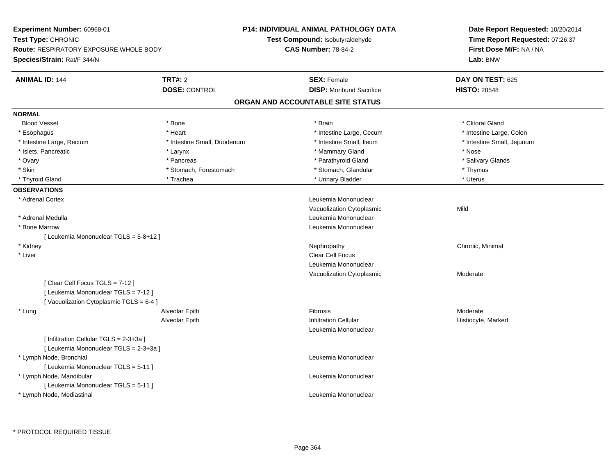| Experiment Number: 60968-01<br>Test Type: CHRONIC<br><b>Route: RESPIRATORY EXPOSURE WHOLE BODY</b>               |                             | <b>P14: INDIVIDUAL ANIMAL PATHOLOGY DATA</b> | Date Report Requested: 10/20/2014<br>Time Report Requested: 07:26:37<br>First Dose M/F: NA / NA |  |
|------------------------------------------------------------------------------------------------------------------|-----------------------------|----------------------------------------------|-------------------------------------------------------------------------------------------------|--|
|                                                                                                                  |                             | Test Compound: Isobutyraldehyde              |                                                                                                 |  |
|                                                                                                                  |                             | <b>CAS Number: 78-84-2</b>                   |                                                                                                 |  |
| Species/Strain: Rat/F 344/N                                                                                      |                             |                                              | Lab: BNW                                                                                        |  |
| <b>ANIMAL ID: 144</b>                                                                                            | <b>TRT#: 2</b>              | <b>SEX: Female</b>                           | DAY ON TEST: 625                                                                                |  |
|                                                                                                                  | <b>DOSE: CONTROL</b>        | <b>DISP:</b> Moribund Sacrifice              | <b>HISTO: 28548</b>                                                                             |  |
|                                                                                                                  |                             | ORGAN AND ACCOUNTABLE SITE STATUS            |                                                                                                 |  |
| <b>NORMAL</b>                                                                                                    |                             |                                              |                                                                                                 |  |
| <b>Blood Vessel</b>                                                                                              | * Bone                      | * Brain                                      | * Clitoral Gland                                                                                |  |
| * Esophagus                                                                                                      | * Heart                     | * Intestine Large, Cecum                     | * Intestine Large, Colon                                                                        |  |
| * Intestine Large, Rectum                                                                                        | * Intestine Small, Duodenum | * Intestine Small, Ileum                     | * Intestine Small, Jejunum                                                                      |  |
| * Islets, Pancreatic                                                                                             | * Larynx                    | * Mammary Gland                              | * Nose                                                                                          |  |
| * Ovary                                                                                                          | * Pancreas                  | * Parathyroid Gland                          | * Salivary Glands                                                                               |  |
| * Skin                                                                                                           | * Stomach, Forestomach      | * Stomach, Glandular                         | * Thymus                                                                                        |  |
| * Thyroid Gland                                                                                                  | * Trachea                   | * Urinary Bladder                            | * Uterus                                                                                        |  |
| <b>OBSERVATIONS</b>                                                                                              |                             |                                              |                                                                                                 |  |
| * Adrenal Cortex                                                                                                 |                             | Leukemia Mononuclear                         |                                                                                                 |  |
|                                                                                                                  |                             | Vacuolization Cytoplasmic                    | Mild                                                                                            |  |
| * Adrenal Medulla                                                                                                |                             | Leukemia Mononuclear                         |                                                                                                 |  |
| * Bone Marrow                                                                                                    |                             | Leukemia Mononuclear                         |                                                                                                 |  |
| [ Leukemia Mononuclear TGLS = 5-8+12 ]                                                                           |                             |                                              |                                                                                                 |  |
| * Kidney                                                                                                         |                             | Nephropathy                                  | Chronic, Minimal                                                                                |  |
| * Liver                                                                                                          |                             | Clear Cell Focus                             |                                                                                                 |  |
|                                                                                                                  |                             | Leukemia Mononuclear                         |                                                                                                 |  |
|                                                                                                                  |                             | Vacuolization Cytoplasmic                    | Moderate                                                                                        |  |
| [Clear Cell Focus TGLS = 7-12]<br>[ Leukemia Mononuclear TGLS = 7-12 ]<br>[Vacuolization Cytoplasmic TGLS = 6-4] |                             |                                              |                                                                                                 |  |
| * Lung                                                                                                           | Alveolar Epith              | Fibrosis                                     | Moderate                                                                                        |  |
|                                                                                                                  | Alveolar Epith              | <b>Infiltration Cellular</b>                 | Histiocyte, Marked                                                                              |  |
|                                                                                                                  |                             | Leukemia Mononuclear                         |                                                                                                 |  |
| [ Infiltration Cellular TGLS = 2-3+3a ]<br>[ Leukemia Mononuclear TGLS = 2-3+3a ]                                |                             |                                              |                                                                                                 |  |
| * Lymph Node, Bronchial                                                                                          |                             | Leukemia Mononuclear                         |                                                                                                 |  |
| [ Leukemia Mononuclear TGLS = 5-11 ]                                                                             |                             |                                              |                                                                                                 |  |
| * Lymph Node, Mandibular                                                                                         |                             | Leukemia Mononuclear                         |                                                                                                 |  |
| [ Leukemia Mononuclear TGLS = 5-11 ]<br>* Lymph Node, Mediastinal                                                |                             | Leukemia Mononuclear                         |                                                                                                 |  |
|                                                                                                                  |                             |                                              |                                                                                                 |  |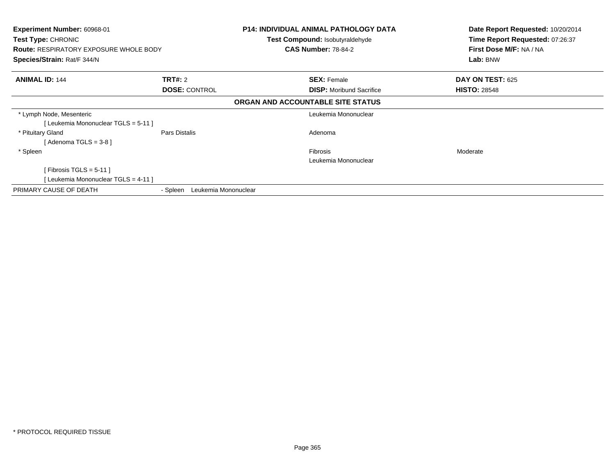| <b>Experiment Number: 60968-01</b><br>Test Type: CHRONIC<br><b>Route: RESPIRATORY EXPOSURE WHOLE BODY</b><br>Species/Strain: Rat/F 344/N |                                  | <b>P14: INDIVIDUAL ANIMAL PATHOLOGY DATA</b><br><b>Test Compound: Isobutyraldehyde</b><br><b>CAS Number: 78-84-2</b> | Date Report Requested: 10/20/2014<br>Time Report Requested: 07:26:37<br>First Dose M/F: NA / NA<br>Lab: BNW |
|------------------------------------------------------------------------------------------------------------------------------------------|----------------------------------|----------------------------------------------------------------------------------------------------------------------|-------------------------------------------------------------------------------------------------------------|
|                                                                                                                                          |                                  |                                                                                                                      |                                                                                                             |
| <b>ANIMAL ID: 144</b>                                                                                                                    | TRT#: 2                          | <b>SEX: Female</b>                                                                                                   | <b>DAY ON TEST: 625</b>                                                                                     |
|                                                                                                                                          | <b>DOSE: CONTROL</b>             | <b>DISP:</b> Moribund Sacrifice                                                                                      | <b>HISTO: 28548</b>                                                                                         |
|                                                                                                                                          |                                  | ORGAN AND ACCOUNTABLE SITE STATUS                                                                                    |                                                                                                             |
| * Lymph Node, Mesenteric                                                                                                                 |                                  | Leukemia Mononuclear                                                                                                 |                                                                                                             |
| [Leukemia Mononuclear TGLS = 5-11]                                                                                                       |                                  |                                                                                                                      |                                                                                                             |
| * Pituitary Gland                                                                                                                        | Pars Distalis                    | Adenoma                                                                                                              |                                                                                                             |
| [Adenoma TGLS = $3-8$ ]                                                                                                                  |                                  |                                                                                                                      |                                                                                                             |
| * Spleen                                                                                                                                 |                                  | <b>Fibrosis</b>                                                                                                      | Moderate                                                                                                    |
|                                                                                                                                          |                                  | Leukemia Mononuclear                                                                                                 |                                                                                                             |
| [Fibrosis TGLS = $5-11$ ]                                                                                                                |                                  |                                                                                                                      |                                                                                                             |
| [ Leukemia Mononuclear TGLS = 4-11 ]                                                                                                     |                                  |                                                                                                                      |                                                                                                             |
| PRIMARY CAUSE OF DEATH                                                                                                                   | Leukemia Mononuclear<br>- Spleen |                                                                                                                      |                                                                                                             |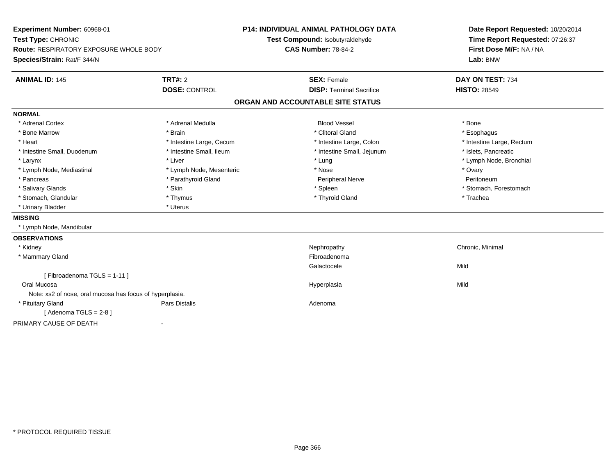| Experiment Number: 60968-01<br>Test Type: CHRONIC<br>Route: RESPIRATORY EXPOSURE WHOLE BODY<br>Species/Strain: Rat/F 344/N |                          | P14: INDIVIDUAL ANIMAL PATHOLOGY DATA<br>Test Compound: Isobutyraldehyde<br><b>CAS Number: 78-84-2</b> | Date Report Requested: 10/20/2014<br>Time Report Requested: 07:26:37<br>First Dose M/F: NA / NA<br>Lab: BNW |
|----------------------------------------------------------------------------------------------------------------------------|--------------------------|--------------------------------------------------------------------------------------------------------|-------------------------------------------------------------------------------------------------------------|
| <b>ANIMAL ID: 145</b>                                                                                                      | TRT#: 2                  | <b>SEX: Female</b>                                                                                     | DAY ON TEST: 734                                                                                            |
|                                                                                                                            | <b>DOSE: CONTROL</b>     | <b>DISP: Terminal Sacrifice</b>                                                                        | <b>HISTO: 28549</b>                                                                                         |
|                                                                                                                            |                          | ORGAN AND ACCOUNTABLE SITE STATUS                                                                      |                                                                                                             |
| <b>NORMAL</b>                                                                                                              |                          |                                                                                                        |                                                                                                             |
| * Adrenal Cortex                                                                                                           | * Adrenal Medulla        | <b>Blood Vessel</b>                                                                                    | * Bone                                                                                                      |
| * Bone Marrow                                                                                                              | * Brain                  | * Clitoral Gland                                                                                       | * Esophagus                                                                                                 |
| * Heart                                                                                                                    | * Intestine Large, Cecum | * Intestine Large, Colon                                                                               | * Intestine Large, Rectum                                                                                   |
| * Intestine Small, Duodenum                                                                                                | * Intestine Small, Ileum | * Intestine Small, Jejunum                                                                             | * Islets, Pancreatic                                                                                        |
| * Larynx                                                                                                                   | * Liver                  | * Lung                                                                                                 | * Lymph Node, Bronchial                                                                                     |
| * Lymph Node, Mediastinal                                                                                                  | * Lymph Node, Mesenteric | * Nose                                                                                                 | * Ovary                                                                                                     |
| * Pancreas                                                                                                                 | * Parathyroid Gland      | Peripheral Nerve                                                                                       | Peritoneum                                                                                                  |
| * Salivary Glands                                                                                                          | * Skin                   | * Spleen                                                                                               | * Stomach, Forestomach                                                                                      |
| * Stomach, Glandular                                                                                                       | * Thymus                 | * Thyroid Gland                                                                                        | * Trachea                                                                                                   |
| * Urinary Bladder                                                                                                          | * Uterus                 |                                                                                                        |                                                                                                             |
| <b>MISSING</b>                                                                                                             |                          |                                                                                                        |                                                                                                             |
| * Lymph Node, Mandibular                                                                                                   |                          |                                                                                                        |                                                                                                             |
| <b>OBSERVATIONS</b>                                                                                                        |                          |                                                                                                        |                                                                                                             |
| * Kidney                                                                                                                   |                          | Nephropathy                                                                                            | Chronic, Minimal                                                                                            |
| * Mammary Gland                                                                                                            |                          | Fibroadenoma                                                                                           |                                                                                                             |
|                                                                                                                            |                          | Galactocele                                                                                            | Mild                                                                                                        |
| [Fibroadenoma TGLS = 1-11]                                                                                                 |                          |                                                                                                        |                                                                                                             |
| Oral Mucosa                                                                                                                |                          | Hyperplasia                                                                                            | Mild                                                                                                        |
| Note: xs2 of nose, oral mucosa has focus of hyperplasia.                                                                   |                          |                                                                                                        |                                                                                                             |
| * Pituitary Gland                                                                                                          | Pars Distalis            | Adenoma                                                                                                |                                                                                                             |
| [Adenoma TGLS = $2-8$ ]                                                                                                    |                          |                                                                                                        |                                                                                                             |
| PRIMARY CAUSE OF DEATH                                                                                                     | ۰                        |                                                                                                        |                                                                                                             |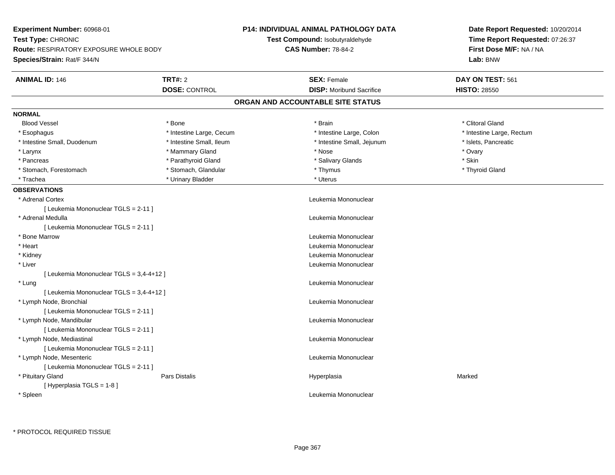| Experiment Number: 60968-01<br>Test Type: CHRONIC<br><b>Route: RESPIRATORY EXPOSURE WHOLE BODY</b><br>Species/Strain: Rat/F 344/N |                          | <b>P14: INDIVIDUAL ANIMAL PATHOLOGY DATA</b> | Date Report Requested: 10/20/2014<br>Time Report Requested: 07:26:37 |  |
|-----------------------------------------------------------------------------------------------------------------------------------|--------------------------|----------------------------------------------|----------------------------------------------------------------------|--|
|                                                                                                                                   |                          | Test Compound: Isobutyraldehyde              |                                                                      |  |
|                                                                                                                                   |                          | <b>CAS Number: 78-84-2</b>                   | First Dose M/F: NA / NA<br>Lab: BNW                                  |  |
|                                                                                                                                   |                          |                                              |                                                                      |  |
| <b>ANIMAL ID: 146</b>                                                                                                             | <b>TRT#: 2</b>           | <b>SEX: Female</b>                           | DAY ON TEST: 561                                                     |  |
|                                                                                                                                   | <b>DOSE: CONTROL</b>     | <b>DISP:</b> Moribund Sacrifice              | <b>HISTO: 28550</b>                                                  |  |
|                                                                                                                                   |                          | ORGAN AND ACCOUNTABLE SITE STATUS            |                                                                      |  |
| <b>NORMAL</b>                                                                                                                     |                          |                                              |                                                                      |  |
| <b>Blood Vessel</b>                                                                                                               | * Bone                   | * Brain                                      | * Clitoral Gland                                                     |  |
| * Esophagus                                                                                                                       | * Intestine Large, Cecum | * Intestine Large, Colon                     | * Intestine Large, Rectum                                            |  |
| * Intestine Small, Duodenum                                                                                                       | * Intestine Small, Ileum | * Intestine Small, Jejunum                   | * Islets, Pancreatic                                                 |  |
| * Larynx                                                                                                                          | * Mammary Gland          | * Nose                                       | * Ovary                                                              |  |
| * Pancreas                                                                                                                        | * Parathyroid Gland      | * Salivary Glands                            | * Skin                                                               |  |
| * Stomach, Forestomach                                                                                                            | * Stomach, Glandular     | * Thymus                                     | * Thyroid Gland                                                      |  |
| * Trachea                                                                                                                         | * Urinary Bladder        | * Uterus                                     |                                                                      |  |
| <b>OBSERVATIONS</b>                                                                                                               |                          |                                              |                                                                      |  |
| * Adrenal Cortex                                                                                                                  |                          | Leukemia Mononuclear                         |                                                                      |  |
| [ Leukemia Mononuclear TGLS = 2-11 ]                                                                                              |                          |                                              |                                                                      |  |
| * Adrenal Medulla                                                                                                                 |                          | Leukemia Mononuclear                         |                                                                      |  |
| [ Leukemia Mononuclear TGLS = 2-11 ]                                                                                              |                          |                                              |                                                                      |  |
| * Bone Marrow                                                                                                                     |                          | Leukemia Mononuclear                         |                                                                      |  |
| * Heart                                                                                                                           |                          | Leukemia Mononuclear                         |                                                                      |  |
| * Kidney                                                                                                                          |                          | Leukemia Mononuclear                         |                                                                      |  |
| * Liver                                                                                                                           |                          | Leukemia Mononuclear                         |                                                                      |  |
| [ Leukemia Mononuclear TGLS = 3,4-4+12 ]                                                                                          |                          |                                              |                                                                      |  |
| * Lung                                                                                                                            |                          | Leukemia Mononuclear                         |                                                                      |  |
| [ Leukemia Mononuclear TGLS = 3,4-4+12 ]                                                                                          |                          |                                              |                                                                      |  |
| * Lymph Node, Bronchial                                                                                                           |                          | Leukemia Mononuclear                         |                                                                      |  |
| [ Leukemia Mononuclear TGLS = 2-11 ]                                                                                              |                          |                                              |                                                                      |  |
| * Lymph Node, Mandibular                                                                                                          |                          | Leukemia Mononuclear                         |                                                                      |  |
| [ Leukemia Mononuclear TGLS = 2-11 ]                                                                                              |                          |                                              |                                                                      |  |
| * Lymph Node, Mediastinal                                                                                                         |                          | Leukemia Mononuclear                         |                                                                      |  |
| [ Leukemia Mononuclear TGLS = 2-11 ]                                                                                              |                          |                                              |                                                                      |  |
| * Lymph Node, Mesenteric                                                                                                          |                          | Leukemia Mononuclear                         |                                                                      |  |
| [ Leukemia Mononuclear TGLS = 2-11 ]                                                                                              |                          |                                              |                                                                      |  |
| * Pituitary Gland                                                                                                                 | Pars Distalis            | Hyperplasia                                  | Marked                                                               |  |
| [Hyperplasia TGLS = 1-8]                                                                                                          |                          |                                              |                                                                      |  |
| * Spleen                                                                                                                          |                          | Leukemia Mononuclear                         |                                                                      |  |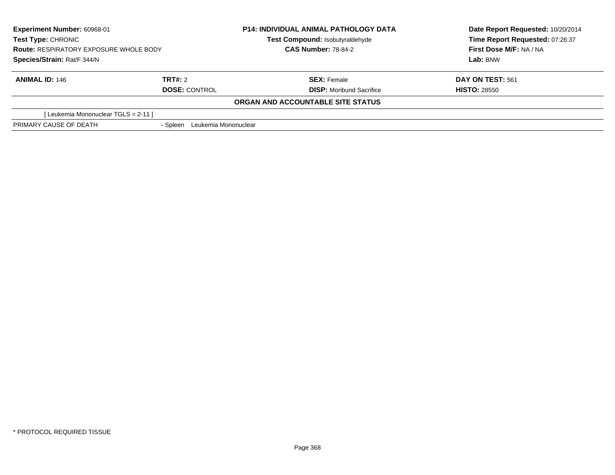| <b>Experiment Number: 60968-01</b><br><b>Test Type: CHRONIC</b><br><b>Route: RESPIRATORY EXPOSURE WHOLE BODY</b><br>Species/Strain: Rat/F 344/N |                                  | <b>P14: INDIVIDUAL ANIMAL PATHOLOGY DATA</b> | Date Report Requested: 10/20/2014<br>Time Report Requested: 07:26:37<br>First Dose M/F: NA / NA<br>Lab: BNW |
|-------------------------------------------------------------------------------------------------------------------------------------------------|----------------------------------|----------------------------------------------|-------------------------------------------------------------------------------------------------------------|
|                                                                                                                                                 |                                  | Test Compound: Isobutyraldehyde              |                                                                                                             |
|                                                                                                                                                 |                                  | <b>CAS Number: 78-84-2</b>                   |                                                                                                             |
|                                                                                                                                                 |                                  |                                              |                                                                                                             |
| <b>ANIMAL ID: 146</b>                                                                                                                           | TRT#: 2                          | <b>SEX: Female</b>                           | <b>DAY ON TEST: 561</b>                                                                                     |
|                                                                                                                                                 | <b>DOSE: CONTROL</b>             | <b>DISP:</b> Moribund Sacrifice              | <b>HISTO: 28550</b>                                                                                         |
|                                                                                                                                                 |                                  | <b>ORGAN AND ACCOUNTABLE SITE STATUS</b>     |                                                                                                             |
| [Leukemia Mononuclear TGLS = 2-11]                                                                                                              |                                  |                                              |                                                                                                             |
| PRIMARY CAUSE OF DEATH                                                                                                                          | Leukemia Mononuclear<br>- Spleen |                                              |                                                                                                             |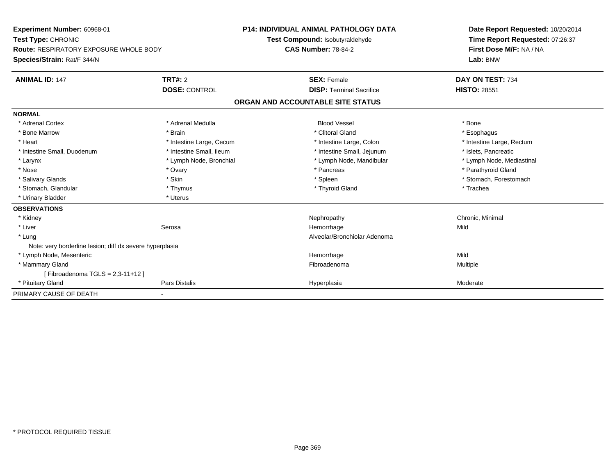| Experiment Number: 60968-01                              |                          | <b>P14: INDIVIDUAL ANIMAL PATHOLOGY DATA</b> |                                 | Date Report Requested: 10/20/2014   |  |
|----------------------------------------------------------|--------------------------|----------------------------------------------|---------------------------------|-------------------------------------|--|
| Test Type: CHRONIC                                       |                          | Test Compound: Isobutyraldehyde              |                                 | Time Report Requested: 07:26:37     |  |
| <b>Route: RESPIRATORY EXPOSURE WHOLE BODY</b>            |                          | <b>CAS Number: 78-84-2</b>                   |                                 | First Dose M/F: NA / NA<br>Lab: BNW |  |
| Species/Strain: Rat/F 344/N                              |                          |                                              |                                 |                                     |  |
| <b>ANIMAL ID: 147</b>                                    | TRT#: 2                  | <b>SEX: Female</b>                           |                                 | DAY ON TEST: 734                    |  |
|                                                          | <b>DOSE: CONTROL</b>     |                                              | <b>DISP: Terminal Sacrifice</b> | <b>HISTO: 28551</b>                 |  |
|                                                          |                          | ORGAN AND ACCOUNTABLE SITE STATUS            |                                 |                                     |  |
| <b>NORMAL</b>                                            |                          |                                              |                                 |                                     |  |
| * Adrenal Cortex                                         | * Adrenal Medulla        | <b>Blood Vessel</b>                          |                                 | * Bone                              |  |
| * Bone Marrow                                            | * Brain                  | * Clitoral Gland                             |                                 | * Esophagus                         |  |
| * Heart                                                  | * Intestine Large, Cecum |                                              | * Intestine Large, Colon        | * Intestine Large, Rectum           |  |
| * Intestine Small, Duodenum                              | * Intestine Small, Ileum |                                              | * Intestine Small, Jejunum      | * Islets, Pancreatic                |  |
| * Larynx                                                 | * Lymph Node, Bronchial  |                                              | * Lymph Node, Mandibular        | * Lymph Node, Mediastinal           |  |
| * Nose                                                   | * Ovary                  | * Pancreas                                   |                                 | * Parathyroid Gland                 |  |
| * Salivary Glands                                        | * Skin                   | * Spleen                                     |                                 | * Stomach, Forestomach              |  |
| * Stomach, Glandular                                     | * Thymus                 | * Thyroid Gland                              |                                 | * Trachea                           |  |
| * Urinary Bladder                                        | * Uterus                 |                                              |                                 |                                     |  |
| <b>OBSERVATIONS</b>                                      |                          |                                              |                                 |                                     |  |
| * Kidney                                                 |                          | Nephropathy                                  |                                 | Chronic, Minimal                    |  |
| * Liver                                                  | Serosa                   | Hemorrhage                                   |                                 | Mild                                |  |
| * Lung                                                   |                          |                                              | Alveolar/Bronchiolar Adenoma    |                                     |  |
| Note: very borderline lesion; diff dx severe hyperplasia |                          |                                              |                                 |                                     |  |
| * Lymph Node, Mesenteric                                 |                          | Hemorrhage                                   |                                 | Mild                                |  |
| * Mammary Gland                                          |                          | Fibroadenoma                                 |                                 | Multiple                            |  |
| [Fibroadenoma TGLS = $2,3-11+12$ ]                       |                          |                                              |                                 |                                     |  |
| * Pituitary Gland                                        | Pars Distalis            | Hyperplasia                                  |                                 | Moderate                            |  |
| PRIMARY CAUSE OF DEATH                                   |                          |                                              |                                 |                                     |  |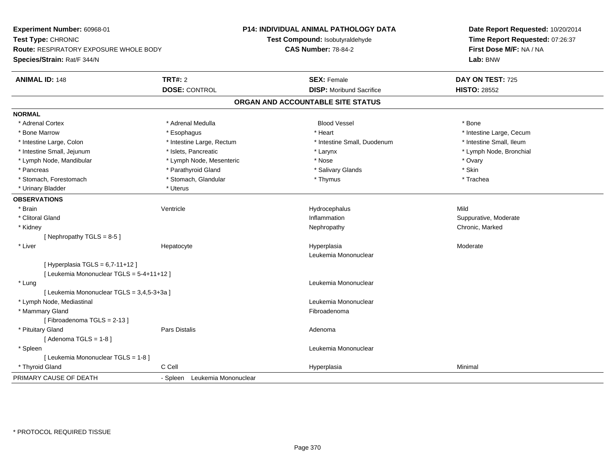| Experiment Number: 60968-01                |                               | <b>P14: INDIVIDUAL ANIMAL PATHOLOGY DATA</b> | Date Report Requested: 10/20/2014 |  |
|--------------------------------------------|-------------------------------|----------------------------------------------|-----------------------------------|--|
| Test Type: CHRONIC                         |                               | Test Compound: Isobutyraldehyde              | Time Report Requested: 07:26:37   |  |
| Route: RESPIRATORY EXPOSURE WHOLE BODY     |                               | <b>CAS Number: 78-84-2</b>                   | First Dose M/F: NA / NA           |  |
| Species/Strain: Rat/F 344/N                |                               |                                              | Lab: BNW                          |  |
| <b>ANIMAL ID: 148</b>                      | TRT#: 2                       | <b>SEX: Female</b>                           | DAY ON TEST: 725                  |  |
|                                            | <b>DOSE: CONTROL</b>          | <b>DISP:</b> Moribund Sacrifice              | <b>HISTO: 28552</b>               |  |
|                                            |                               | ORGAN AND ACCOUNTABLE SITE STATUS            |                                   |  |
| <b>NORMAL</b>                              |                               |                                              |                                   |  |
| * Adrenal Cortex                           | * Adrenal Medulla             | <b>Blood Vessel</b>                          | * Bone                            |  |
| * Bone Marrow                              | * Esophagus                   | * Heart                                      | * Intestine Large, Cecum          |  |
| * Intestine Large, Colon                   | * Intestine Large, Rectum     | * Intestine Small, Duodenum                  | * Intestine Small, Ileum          |  |
| * Intestine Small, Jejunum                 | * Islets, Pancreatic          | * Larynx                                     | * Lymph Node, Bronchial           |  |
| * Lymph Node, Mandibular                   | * Lymph Node, Mesenteric      | * Nose                                       | * Ovary                           |  |
| * Pancreas                                 | * Parathyroid Gland           | * Salivary Glands                            | * Skin                            |  |
| * Stomach, Forestomach                     | * Stomach, Glandular          | * Thymus                                     | * Trachea                         |  |
| * Urinary Bladder                          | * Uterus                      |                                              |                                   |  |
| <b>OBSERVATIONS</b>                        |                               |                                              |                                   |  |
| * Brain                                    | Ventricle                     | Hydrocephalus                                | Mild                              |  |
| * Clitoral Gland                           |                               | Inflammation                                 | Suppurative, Moderate             |  |
| * Kidney                                   |                               | Nephropathy                                  | Chronic, Marked                   |  |
| [Nephropathy TGLS = $8-5$ ]                |                               |                                              |                                   |  |
| * Liver                                    | Hepatocyte                    | Hyperplasia                                  | Moderate                          |  |
|                                            |                               | Leukemia Mononuclear                         |                                   |  |
| [Hyperplasia TGLS = $6,7-11+12$ ]          |                               |                                              |                                   |  |
| [ Leukemia Mononuclear TGLS = 5-4+11+12 ]  |                               |                                              |                                   |  |
| * Lung                                     |                               | Leukemia Mononuclear                         |                                   |  |
| [ Leukemia Mononuclear TGLS = 3,4,5-3+3a ] |                               |                                              |                                   |  |
| * Lymph Node, Mediastinal                  |                               | Leukemia Mononuclear                         |                                   |  |
| * Mammary Gland                            |                               | Fibroadenoma                                 |                                   |  |
| [Fibroadenoma TGLS = $2-13$ ]              |                               |                                              |                                   |  |
| * Pituitary Gland                          | <b>Pars Distalis</b>          | Adenoma                                      |                                   |  |
| [Adenoma TGLS = $1-8$ ]                    |                               |                                              |                                   |  |
| * Spleen                                   |                               | Leukemia Mononuclear                         |                                   |  |
| [ Leukemia Mononuclear TGLS = 1-8]         |                               |                                              |                                   |  |
| * Thyroid Gland                            | C Cell                        | Hyperplasia                                  | Minimal                           |  |
| PRIMARY CAUSE OF DEATH                     | - Spleen Leukemia Mononuclear |                                              |                                   |  |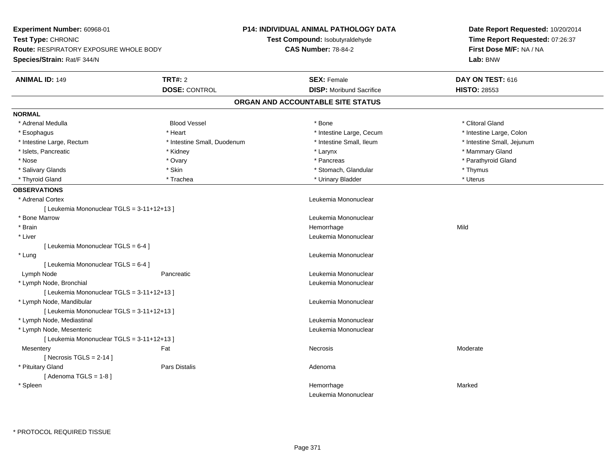| Experiment Number: 60968-01                   |                             | <b>P14: INDIVIDUAL ANIMAL PATHOLOGY DATA</b> | Date Report Requested: 10/20/2014<br>Time Report Requested: 07:26:37<br>First Dose M/F: NA / NA |  |
|-----------------------------------------------|-----------------------------|----------------------------------------------|-------------------------------------------------------------------------------------------------|--|
| Test Type: CHRONIC                            |                             | Test Compound: Isobutyraldehyde              |                                                                                                 |  |
| <b>Route: RESPIRATORY EXPOSURE WHOLE BODY</b> |                             | <b>CAS Number: 78-84-2</b>                   |                                                                                                 |  |
| Species/Strain: Rat/F 344/N                   |                             |                                              | Lab: BNW                                                                                        |  |
| <b>ANIMAL ID: 149</b>                         | <b>TRT#: 2</b>              | <b>SEX: Female</b>                           | DAY ON TEST: 616                                                                                |  |
|                                               | <b>DOSE: CONTROL</b>        | <b>DISP:</b> Moribund Sacrifice              | <b>HISTO: 28553</b>                                                                             |  |
|                                               |                             | ORGAN AND ACCOUNTABLE SITE STATUS            |                                                                                                 |  |
| <b>NORMAL</b>                                 |                             |                                              |                                                                                                 |  |
| * Adrenal Medulla                             | <b>Blood Vessel</b>         | * Bone                                       | * Clitoral Gland                                                                                |  |
| * Esophagus                                   | * Heart                     | * Intestine Large, Cecum                     | * Intestine Large, Colon                                                                        |  |
| * Intestine Large, Rectum                     | * Intestine Small, Duodenum | * Intestine Small, Ileum                     | * Intestine Small, Jejunum                                                                      |  |
| * Islets, Pancreatic                          | * Kidney                    | * Larynx                                     | * Mammary Gland                                                                                 |  |
| * Nose                                        | * Ovary                     | * Pancreas                                   | * Parathyroid Gland                                                                             |  |
| * Salivary Glands                             | * Skin                      | * Stomach, Glandular                         | * Thymus                                                                                        |  |
| * Thyroid Gland                               | * Trachea                   | * Urinary Bladder                            | * Uterus                                                                                        |  |
| <b>OBSERVATIONS</b>                           |                             |                                              |                                                                                                 |  |
| * Adrenal Cortex                              |                             | Leukemia Mononuclear                         |                                                                                                 |  |
| [ Leukemia Mononuclear TGLS = 3-11+12+13 ]    |                             |                                              |                                                                                                 |  |
| * Bone Marrow                                 |                             | Leukemia Mononuclear                         |                                                                                                 |  |
| * Brain                                       |                             | Hemorrhage                                   | Mild                                                                                            |  |
| * Liver                                       |                             | Leukemia Mononuclear                         |                                                                                                 |  |
| [ Leukemia Mononuclear TGLS = 6-4 ]           |                             |                                              |                                                                                                 |  |
| * Lung                                        |                             | Leukemia Mononuclear                         |                                                                                                 |  |
| [ Leukemia Mononuclear TGLS = 6-4 ]           |                             |                                              |                                                                                                 |  |
| Lymph Node                                    | Pancreatic                  | Leukemia Mononuclear                         |                                                                                                 |  |
| * Lymph Node, Bronchial                       |                             | Leukemia Mononuclear                         |                                                                                                 |  |
| [ Leukemia Mononuclear TGLS = 3-11+12+13 ]    |                             |                                              |                                                                                                 |  |
| * Lymph Node, Mandibular                      |                             | Leukemia Mononuclear                         |                                                                                                 |  |
| [Leukemia Mononuclear TGLS = 3-11+12+13]      |                             |                                              |                                                                                                 |  |
| * Lymph Node, Mediastinal                     |                             | Leukemia Mononuclear                         |                                                                                                 |  |
| * Lymph Node, Mesenteric                      |                             | Leukemia Mononuclear                         |                                                                                                 |  |
| [ Leukemia Mononuclear TGLS = 3-11+12+13 ]    |                             |                                              |                                                                                                 |  |
| Mesentery                                     | Fat                         | Necrosis                                     | Moderate                                                                                        |  |
| [Necrosis TGLS = $2-14$ ]                     |                             |                                              |                                                                                                 |  |
| * Pituitary Gland                             | Pars Distalis               | Adenoma                                      |                                                                                                 |  |
| [Adenoma TGLS = $1-8$ ]                       |                             |                                              |                                                                                                 |  |
| * Spleen                                      |                             | Hemorrhage                                   | Marked                                                                                          |  |
|                                               |                             | Leukemia Mononuclear                         |                                                                                                 |  |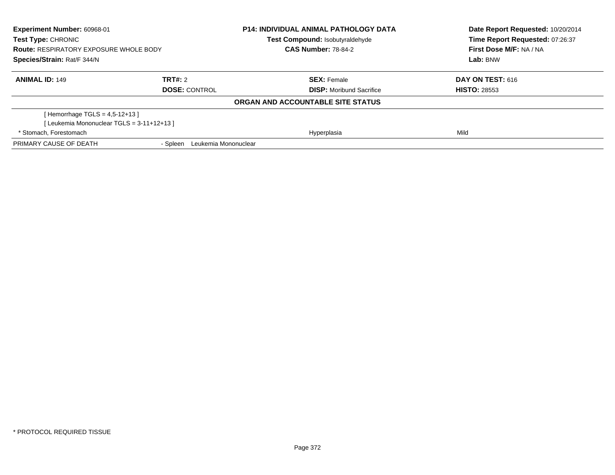| <b>Experiment Number: 60968-01</b><br><b>Test Type: CHRONIC</b><br><b>Route: RESPIRATORY EXPOSURE WHOLE BODY</b><br>Species/Strain: Rat/F 344/N |                                  | <b>P14: INDIVIDUAL ANIMAL PATHOLOGY DATA</b><br><b>Test Compound: Isobutyraldehyde</b><br><b>CAS Number: 78-84-2</b> | Date Report Requested: 10/20/2014<br>Time Report Requested: 07:26:37<br>First Dose M/F: NA / NA<br>Lab: BNW |
|-------------------------------------------------------------------------------------------------------------------------------------------------|----------------------------------|----------------------------------------------------------------------------------------------------------------------|-------------------------------------------------------------------------------------------------------------|
|                                                                                                                                                 |                                  |                                                                                                                      |                                                                                                             |
| <b>ANIMAL ID: 149</b>                                                                                                                           | <b>TRT#:</b> 2                   | <b>SEX: Female</b>                                                                                                   | <b>DAY ON TEST: 616</b>                                                                                     |
|                                                                                                                                                 | <b>DOSE: CONTROL</b>             | <b>DISP:</b> Moribund Sacrifice                                                                                      | <b>HISTO: 28553</b>                                                                                         |
|                                                                                                                                                 |                                  | ORGAN AND ACCOUNTABLE SITE STATUS                                                                                    |                                                                                                             |
| [Hemorrhage TGLS = $4,5-12+13$ ]                                                                                                                |                                  |                                                                                                                      |                                                                                                             |
| [Leukemia Mononuclear TGLS = 3-11+12+13]                                                                                                        |                                  |                                                                                                                      |                                                                                                             |
| * Stomach, Forestomach                                                                                                                          |                                  | Hyperplasia                                                                                                          | Mild                                                                                                        |
| PRIMARY CAUSE OF DEATH                                                                                                                          | Leukemia Mononuclear<br>- Spleen |                                                                                                                      |                                                                                                             |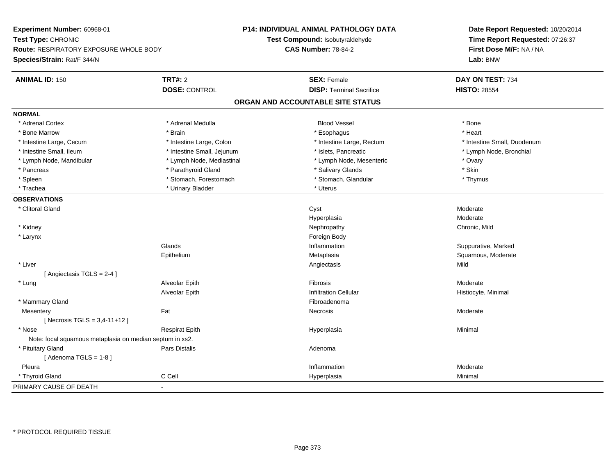| Experiment Number: 60968-01<br>Test Type: CHRONIC<br>Route: RESPIRATORY EXPOSURE WHOLE BODY<br>Species/Strain: Rat/F 344/N |                            | P14: INDIVIDUAL ANIMAL PATHOLOGY DATA | Date Report Requested: 10/20/2014<br>Time Report Requested: 07:26:37<br>First Dose M/F: NA / NA |
|----------------------------------------------------------------------------------------------------------------------------|----------------------------|---------------------------------------|-------------------------------------------------------------------------------------------------|
|                                                                                                                            |                            | Test Compound: Isobutyraldehyde       |                                                                                                 |
|                                                                                                                            |                            | <b>CAS Number: 78-84-2</b>            |                                                                                                 |
|                                                                                                                            |                            |                                       | Lab: BNW                                                                                        |
| <b>ANIMAL ID: 150</b>                                                                                                      | <b>TRT#: 2</b>             | <b>SEX: Female</b>                    | DAY ON TEST: 734                                                                                |
|                                                                                                                            | <b>DOSE: CONTROL</b>       | <b>DISP: Terminal Sacrifice</b>       | <b>HISTO: 28554</b>                                                                             |
|                                                                                                                            |                            | ORGAN AND ACCOUNTABLE SITE STATUS     |                                                                                                 |
| <b>NORMAL</b>                                                                                                              |                            |                                       |                                                                                                 |
| * Adrenal Cortex                                                                                                           | * Adrenal Medulla          | <b>Blood Vessel</b>                   | * Bone                                                                                          |
| * Bone Marrow                                                                                                              | * Brain                    | * Esophagus                           | * Heart                                                                                         |
| * Intestine Large, Cecum                                                                                                   | * Intestine Large, Colon   | * Intestine Large, Rectum             | * Intestine Small, Duodenum                                                                     |
| * Intestine Small, Ileum                                                                                                   | * Intestine Small, Jejunum | * Islets, Pancreatic                  | * Lymph Node, Bronchial                                                                         |
| * Lymph Node, Mandibular                                                                                                   | * Lymph Node, Mediastinal  | * Lymph Node, Mesenteric              | * Ovary                                                                                         |
| * Pancreas                                                                                                                 | * Parathyroid Gland        | * Salivary Glands                     | * Skin                                                                                          |
| * Spleen                                                                                                                   | * Stomach, Forestomach     | * Stomach, Glandular                  | * Thymus                                                                                        |
| * Trachea                                                                                                                  | * Urinary Bladder          | * Uterus                              |                                                                                                 |
| <b>OBSERVATIONS</b>                                                                                                        |                            |                                       |                                                                                                 |
| * Clitoral Gland                                                                                                           |                            | Cyst                                  | Moderate                                                                                        |
|                                                                                                                            |                            | Hyperplasia                           | Moderate                                                                                        |
| * Kidney                                                                                                                   |                            | Nephropathy                           | Chronic, Mild                                                                                   |
| * Larynx                                                                                                                   |                            | Foreign Body                          |                                                                                                 |
|                                                                                                                            | Glands                     | Inflammation                          | Suppurative, Marked                                                                             |
|                                                                                                                            | Epithelium                 | Metaplasia                            | Squamous, Moderate                                                                              |
| * Liver                                                                                                                    |                            | Angiectasis                           | Mild                                                                                            |
| [Angiectasis TGLS = 2-4]                                                                                                   |                            |                                       |                                                                                                 |
| * Lung                                                                                                                     | Alveolar Epith             | Fibrosis                              | Moderate                                                                                        |
|                                                                                                                            | Alveolar Epith             | <b>Infiltration Cellular</b>          | Histiocyte, Minimal                                                                             |
| * Mammary Gland                                                                                                            |                            | Fibroadenoma                          |                                                                                                 |
| Mesentery                                                                                                                  | Fat                        | Necrosis                              | Moderate                                                                                        |
| [Necrosis TGLS = $3,4-11+12$ ]                                                                                             |                            |                                       |                                                                                                 |
| * Nose                                                                                                                     | <b>Respirat Epith</b>      | Hyperplasia                           | Minimal                                                                                         |
| Note: focal squamous metaplasia on median septum in xs2.                                                                   |                            |                                       |                                                                                                 |
| * Pituitary Gland                                                                                                          | <b>Pars Distalis</b>       | Adenoma                               |                                                                                                 |
| [Adenoma TGLS = $1-8$ ]                                                                                                    |                            |                                       |                                                                                                 |
| Pleura                                                                                                                     |                            | Inflammation                          | Moderate                                                                                        |
| * Thyroid Gland                                                                                                            | C Cell                     | Hyperplasia                           | Minimal                                                                                         |
| PRIMARY CAUSE OF DEATH                                                                                                     |                            |                                       |                                                                                                 |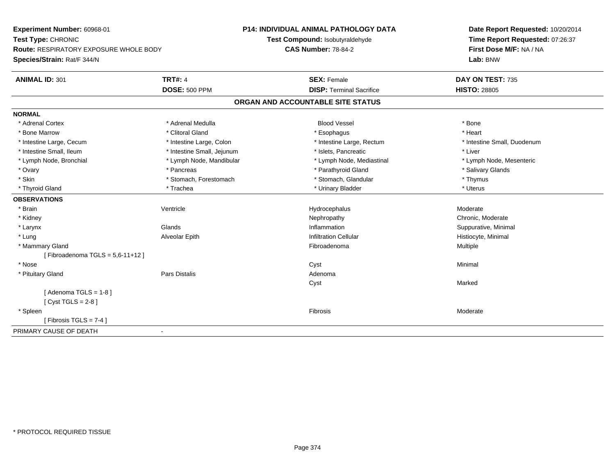| Experiment Number: 60968-01                            | <b>P14: INDIVIDUAL ANIMAL PATHOLOGY DATA</b> | Date Report Requested: 10/20/2014                          |
|--------------------------------------------------------|----------------------------------------------|------------------------------------------------------------|
| Test Type: CHRONIC                                     | Test Compound: Isobutyraldehyde              | Time Report Requested: 07:26:37<br>First Dose M/F: NA / NA |
| <b>Route: RESPIRATORY EXPOSURE WHOLE BODY</b>          | <b>CAS Number: 78-84-2</b>                   |                                                            |
| Species/Strain: Rat/F 344/N                            |                                              | Lab: BNW                                                   |
| <b>TRT#: 4</b><br><b>ANIMAL ID: 301</b>                | <b>SEX: Female</b>                           | DAY ON TEST: 735                                           |
| <b>DOSE: 500 PPM</b>                                   | <b>DISP: Terminal Sacrifice</b>              | <b>HISTO: 28805</b>                                        |
|                                                        | ORGAN AND ACCOUNTABLE SITE STATUS            |                                                            |
| <b>NORMAL</b>                                          |                                              |                                                            |
| * Adrenal Cortex<br>* Adrenal Medulla                  | <b>Blood Vessel</b>                          | * Bone                                                     |
| * Clitoral Gland<br>* Bone Marrow                      | * Esophagus                                  | * Heart                                                    |
| * Intestine Large, Cecum<br>* Intestine Large, Colon   | * Intestine Large, Rectum                    | * Intestine Small, Duodenum                                |
| * Intestine Small, Ileum<br>* Intestine Small, Jejunum | * Islets, Pancreatic                         | * Liver                                                    |
| * Lymph Node, Bronchial<br>* Lymph Node, Mandibular    | * Lymph Node, Mediastinal                    | * Lymph Node, Mesenteric                                   |
| * Ovary<br>* Pancreas                                  | * Parathyroid Gland                          | * Salivary Glands                                          |
| * Skin<br>* Stomach, Forestomach                       | * Stomach, Glandular                         | * Thymus                                                   |
| * Thyroid Gland<br>* Trachea                           | * Urinary Bladder                            | * Uterus                                                   |
| <b>OBSERVATIONS</b>                                    |                                              |                                                            |
| Ventricle<br>* Brain                                   | Hydrocephalus                                | Moderate                                                   |
| * Kidney                                               | Nephropathy                                  | Chronic, Moderate                                          |
| * Larynx<br>Glands                                     | Inflammation                                 | Suppurative, Minimal                                       |
| * Lung<br>Alveolar Epith                               | <b>Infiltration Cellular</b>                 | Histiocyte, Minimal                                        |
| * Mammary Gland                                        | Fibroadenoma                                 | <b>Multiple</b>                                            |
| [Fibroadenoma TGLS = $5,6-11+12$ ]                     |                                              |                                                            |
| * Nose                                                 | Cyst                                         | Minimal                                                    |
| * Pituitary Gland<br>Pars Distalis                     | Adenoma                                      |                                                            |
|                                                        | Cyst                                         | Marked                                                     |
| [Adenoma TGLS = $1-8$ ]<br>[ $Cyst TGLS = 2-8$ ]       |                                              |                                                            |
| * Spleen                                               | Fibrosis                                     | Moderate                                                   |
| [Fibrosis TGLS = $7-4$ ]                               |                                              |                                                            |
| PRIMARY CAUSE OF DEATH<br>$\blacksquare$               |                                              |                                                            |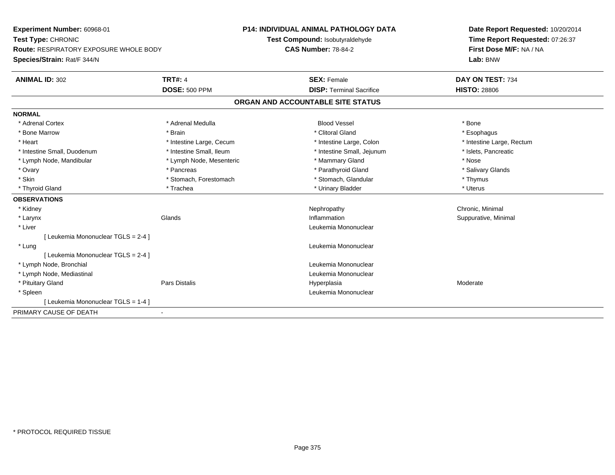| Experiment Number: 60968-01                   |                          | <b>P14: INDIVIDUAL ANIMAL PATHOLOGY DATA</b> |  | Date Report Requested: 10/20/2014 |
|-----------------------------------------------|--------------------------|----------------------------------------------|--|-----------------------------------|
| Test Type: CHRONIC                            |                          | Test Compound: Isobutyraldehyde              |  | Time Report Requested: 07:26:37   |
| <b>Route: RESPIRATORY EXPOSURE WHOLE BODY</b> |                          | <b>CAS Number: 78-84-2</b>                   |  | First Dose M/F: NA / NA           |
| Species/Strain: Rat/F 344/N                   |                          |                                              |  | Lab: BNW                          |
| <b>ANIMAL ID: 302</b>                         | <b>TRT#: 4</b>           | <b>SEX: Female</b>                           |  | DAY ON TEST: 734                  |
|                                               | <b>DOSE: 500 PPM</b>     | <b>DISP: Terminal Sacrifice</b>              |  | <b>HISTO: 28806</b>               |
|                                               |                          | ORGAN AND ACCOUNTABLE SITE STATUS            |  |                                   |
| <b>NORMAL</b>                                 |                          |                                              |  |                                   |
| * Adrenal Cortex                              | * Adrenal Medulla        | <b>Blood Vessel</b>                          |  | * Bone                            |
| * Bone Marrow                                 | * Brain                  | * Clitoral Gland                             |  | * Esophagus                       |
| * Heart                                       | * Intestine Large, Cecum | * Intestine Large, Colon                     |  | * Intestine Large, Rectum         |
| * Intestine Small, Duodenum                   | * Intestine Small, Ileum | * Intestine Small, Jejunum                   |  | * Islets, Pancreatic              |
| * Lymph Node, Mandibular                      | * Lymph Node, Mesenteric | * Mammary Gland                              |  | * Nose                            |
| * Ovary                                       | * Pancreas               | * Parathyroid Gland                          |  | * Salivary Glands                 |
| * Skin                                        | * Stomach, Forestomach   | * Stomach, Glandular                         |  | * Thymus                          |
| * Thyroid Gland                               | * Trachea                | * Urinary Bladder                            |  | * Uterus                          |
| <b>OBSERVATIONS</b>                           |                          |                                              |  |                                   |
| * Kidney                                      |                          | Nephropathy                                  |  | Chronic, Minimal                  |
| * Larynx                                      | Glands                   | Inflammation                                 |  | Suppurative, Minimal              |
| * Liver                                       |                          | Leukemia Mononuclear                         |  |                                   |
| [Leukemia Mononuclear TGLS = 2-4 ]            |                          |                                              |  |                                   |
| * Lung                                        |                          | Leukemia Mononuclear                         |  |                                   |
| [ Leukemia Mononuclear TGLS = 2-4 ]           |                          |                                              |  |                                   |
| * Lymph Node, Bronchial                       |                          | Leukemia Mononuclear                         |  |                                   |
| * Lymph Node, Mediastinal                     |                          | Leukemia Mononuclear                         |  |                                   |
| * Pituitary Gland                             | Pars Distalis            | Hyperplasia                                  |  | Moderate                          |
| * Spleen                                      |                          | Leukemia Mononuclear                         |  |                                   |
| [Leukemia Mononuclear TGLS = 1-4]             |                          |                                              |  |                                   |
| PRIMARY CAUSE OF DEATH                        |                          |                                              |  |                                   |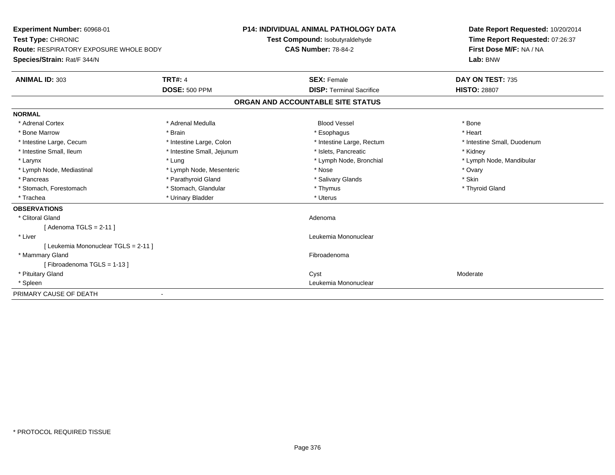| Experiment Number: 60968-01<br>Test Type: CHRONIC<br><b>Route: RESPIRATORY EXPOSURE WHOLE BODY</b> |                            | <b>P14: INDIVIDUAL ANIMAL PATHOLOGY DATA</b><br>Test Compound: Isobutyraldehyde<br><b>CAS Number: 78-84-2</b> |                                   | Date Report Requested: 10/20/2014<br>Time Report Requested: 07:26:37<br>First Dose M/F: NA / NA |  |
|----------------------------------------------------------------------------------------------------|----------------------------|---------------------------------------------------------------------------------------------------------------|-----------------------------------|-------------------------------------------------------------------------------------------------|--|
| Species/Strain: Rat/F 344/N                                                                        |                            |                                                                                                               |                                   | Lab: BNW                                                                                        |  |
| <b>ANIMAL ID: 303</b>                                                                              | <b>TRT#: 4</b>             |                                                                                                               | <b>SEX: Female</b>                | DAY ON TEST: 735                                                                                |  |
|                                                                                                    | <b>DOSE: 500 PPM</b>       |                                                                                                               | <b>DISP: Terminal Sacrifice</b>   | <b>HISTO: 28807</b>                                                                             |  |
|                                                                                                    |                            |                                                                                                               | ORGAN AND ACCOUNTABLE SITE STATUS |                                                                                                 |  |
| <b>NORMAL</b>                                                                                      |                            |                                                                                                               |                                   |                                                                                                 |  |
| * Adrenal Cortex                                                                                   | * Adrenal Medulla          |                                                                                                               | <b>Blood Vessel</b>               | * Bone                                                                                          |  |
| * Bone Marrow                                                                                      | * Brain                    |                                                                                                               | * Esophagus                       | * Heart                                                                                         |  |
| * Intestine Large, Cecum                                                                           | * Intestine Large, Colon   |                                                                                                               | * Intestine Large, Rectum         | * Intestine Small, Duodenum                                                                     |  |
| * Intestine Small, Ileum                                                                           | * Intestine Small, Jejunum |                                                                                                               | * Islets. Pancreatic              | * Kidney                                                                                        |  |
| * Larynx                                                                                           | * Lung                     |                                                                                                               | * Lymph Node, Bronchial           | * Lymph Node, Mandibular                                                                        |  |
| * Lymph Node, Mediastinal                                                                          | * Lymph Node, Mesenteric   |                                                                                                               | * Nose                            | * Ovary                                                                                         |  |
| * Pancreas                                                                                         | * Parathyroid Gland        |                                                                                                               | * Salivary Glands                 | * Skin                                                                                          |  |
| * Stomach, Forestomach                                                                             | * Stomach, Glandular       |                                                                                                               | * Thymus                          | * Thyroid Gland                                                                                 |  |
| * Trachea                                                                                          | * Urinary Bladder          |                                                                                                               | * Uterus                          |                                                                                                 |  |
| <b>OBSERVATIONS</b>                                                                                |                            |                                                                                                               |                                   |                                                                                                 |  |
| * Clitoral Gland                                                                                   |                            |                                                                                                               | Adenoma                           |                                                                                                 |  |
| [Adenoma TGLS = $2-11$ ]                                                                           |                            |                                                                                                               |                                   |                                                                                                 |  |
| * Liver                                                                                            |                            |                                                                                                               | Leukemia Mononuclear              |                                                                                                 |  |
| [ Leukemia Mononuclear TGLS = 2-11 ]                                                               |                            |                                                                                                               |                                   |                                                                                                 |  |
| * Mammary Gland                                                                                    |                            |                                                                                                               | Fibroadenoma                      |                                                                                                 |  |
| [Fibroadenoma TGLS = 1-13]                                                                         |                            |                                                                                                               |                                   |                                                                                                 |  |
| * Pituitary Gland                                                                                  |                            |                                                                                                               | Cyst                              | Moderate                                                                                        |  |
| * Spleen                                                                                           |                            |                                                                                                               | Leukemia Mononuclear              |                                                                                                 |  |
| PRIMARY CAUSE OF DEATH                                                                             |                            |                                                                                                               |                                   |                                                                                                 |  |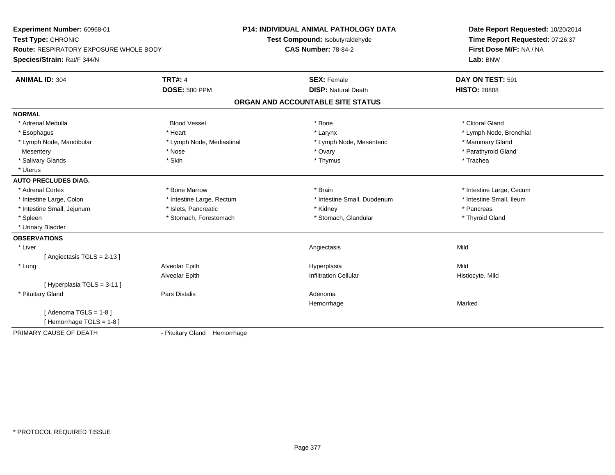| Experiment Number: 60968-01<br>Test Type: CHRONIC<br><b>Route: RESPIRATORY EXPOSURE WHOLE BODY</b><br>Species/Strain: Rat/F 344/N |                              | <b>P14: INDIVIDUAL ANIMAL PATHOLOGY DATA</b><br>Test Compound: Isobutyraldehyde<br><b>CAS Number: 78-84-2</b> | Date Report Requested: 10/20/2014<br>Time Report Requested: 07:26:37<br>First Dose M/F: NA / NA<br>Lab: BNW |
|-----------------------------------------------------------------------------------------------------------------------------------|------------------------------|---------------------------------------------------------------------------------------------------------------|-------------------------------------------------------------------------------------------------------------|
|                                                                                                                                   |                              |                                                                                                               |                                                                                                             |
| <b>ANIMAL ID: 304</b>                                                                                                             | <b>TRT#: 4</b>               | <b>SEX: Female</b>                                                                                            | DAY ON TEST: 591                                                                                            |
|                                                                                                                                   | <b>DOSE: 500 PPM</b>         | <b>DISP: Natural Death</b>                                                                                    | <b>HISTO: 28808</b>                                                                                         |
|                                                                                                                                   |                              | ORGAN AND ACCOUNTABLE SITE STATUS                                                                             |                                                                                                             |
| <b>NORMAL</b>                                                                                                                     |                              |                                                                                                               |                                                                                                             |
| * Adrenal Medulla                                                                                                                 | <b>Blood Vessel</b>          | * Bone                                                                                                        | * Clitoral Gland                                                                                            |
| * Esophagus                                                                                                                       | * Heart                      | * Larynx                                                                                                      | * Lymph Node, Bronchial                                                                                     |
| * Lymph Node, Mandibular                                                                                                          | * Lymph Node, Mediastinal    | * Lymph Node, Mesenteric                                                                                      | * Mammary Gland                                                                                             |
| Mesentery                                                                                                                         | * Nose                       | * Ovary                                                                                                       | * Parathyroid Gland                                                                                         |
| * Salivary Glands                                                                                                                 | * Skin                       | * Thymus                                                                                                      | * Trachea                                                                                                   |
| * Uterus                                                                                                                          |                              |                                                                                                               |                                                                                                             |
| <b>AUTO PRECLUDES DIAG.</b>                                                                                                       |                              |                                                                                                               |                                                                                                             |
| * Adrenal Cortex                                                                                                                  | * Bone Marrow                | * Brain                                                                                                       | * Intestine Large, Cecum                                                                                    |
| * Intestine Large, Colon                                                                                                          | * Intestine Large, Rectum    | * Intestine Small, Duodenum                                                                                   | * Intestine Small, Ileum                                                                                    |
| * Intestine Small, Jejunum                                                                                                        | * Islets, Pancreatic         | * Kidney                                                                                                      | * Pancreas                                                                                                  |
| * Spleen                                                                                                                          | * Stomach, Forestomach       | * Stomach, Glandular                                                                                          | * Thyroid Gland                                                                                             |
| * Urinary Bladder                                                                                                                 |                              |                                                                                                               |                                                                                                             |
| <b>OBSERVATIONS</b>                                                                                                               |                              |                                                                                                               |                                                                                                             |
| * Liver                                                                                                                           |                              | Angiectasis                                                                                                   | Mild                                                                                                        |
| [Angiectasis TGLS = 2-13]                                                                                                         |                              |                                                                                                               |                                                                                                             |
| * Lung                                                                                                                            | Alveolar Epith               | Hyperplasia                                                                                                   | Mild                                                                                                        |
|                                                                                                                                   | Alveolar Epith               | <b>Infiltration Cellular</b>                                                                                  | Histiocyte, Mild                                                                                            |
| [ Hyperplasia TGLS = 3-11 ]                                                                                                       |                              |                                                                                                               |                                                                                                             |
| * Pituitary Gland                                                                                                                 | Pars Distalis                | Adenoma                                                                                                       |                                                                                                             |
|                                                                                                                                   |                              | Hemorrhage                                                                                                    | Marked                                                                                                      |
| [Adenoma TGLS = $1-8$ ]                                                                                                           |                              |                                                                                                               |                                                                                                             |
| [Hemorrhage TGLS = 1-8]                                                                                                           |                              |                                                                                                               |                                                                                                             |
| PRIMARY CAUSE OF DEATH                                                                                                            | - Pituitary Gland Hemorrhage |                                                                                                               |                                                                                                             |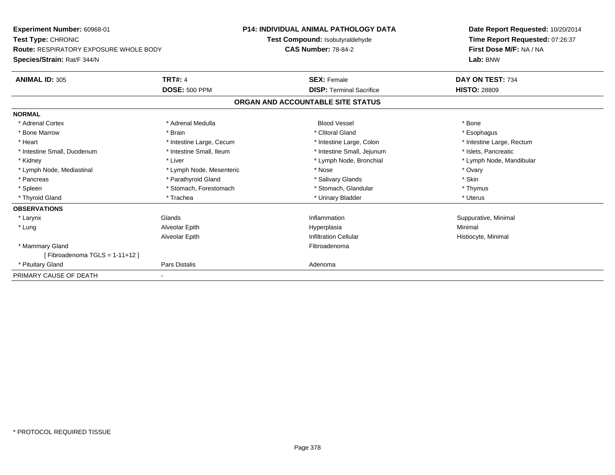**Experiment Number:** 60968-01**Test Type:** CHRONIC **Route:** RESPIRATORY EXPOSURE WHOLE BODY**Species/Strain:** Rat/F 344/N**P14: INDIVIDUAL ANIMAL PATHOLOGY DATATest Compound:** Isobutyraldehyde**CAS Number:** 78-84-2**Date Report Requested:** 10/20/2014**Time Report Requested:** 07:26:37**First Dose M/F:** NA / NA**Lab:** BNW**ANIMAL ID:** 305**TRT#:** 4 **SEX:** Female **SEX: Female DAY ON TEST:** 734 **DOSE:** 500 PPM**DISP:** Terminal Sacrifice **HISTO:** 28809 **ORGAN AND ACCOUNTABLE SITE STATUSNORMAL**\* Adrenal Cortex \* Adrenal Medulla \* \* Book \* Blood Vessel \* Book \* Bone \* Bone \* Bone \* Bone \* Bone \* Bone \* Bone \* Bone \* Bone \* Esophagus \* Bone Marrow \* \* Android \* Brain \* Brain \* Clitoral Gland \* Clitoral Gland \* Esophagus \* Esophagus \* Esophagus \* Intestine Large, Rectum \* Heart \* Intestine Large, Cecum \* Intestine Large, Cecum \* Intestine Large, Colon \* Intestine Small, Duodenum \* Intestine Small, Ileum \* 1ntestine Small, Intestine Small, Jejunum \* Islets, Pancreatic \* Lymph Node, Mandibular \* Kidney \* Liver \* Liver \* Liver \* Liver \* Liver \* Node, Bronchial \* Lymph Node, Bronchial \* Liver \* Node, Mandibular \* Lymph Node, Bronchial \* Lymph Node, Bronchial \* Liver \* Node,  $B$ \* Lymph Node, Mediastinal \* Nose \* Ovary \* Lymph Node, Mesenteric \* Nose \* Nose \* Nose \* Ovary \* Ovary \* Ovary \* Skin \* Pancreas \* **Example 2018** \* Pancreas \* Pancreas \* Salivary Glands \* Salivary Glands \* Structure \* Structure \* Structure \* Structure \* Structure \* Structure \* Structure \* Structure \* Structure \* Structure \* Structure \* St \* Thymus \* Spleen \* Stomach, Forestomach \* Stomach, Spleen \* Stomach, Glandular \* Thymus \* Stomach, Glandular \* Uterus \* Thyroid Gland \* \* Trachea \* \* Trachea \* Trachea \* \* Urinary Bladder \* \* Urinary Bladder \* \* Uterus \* Uterus **OBSERVATIONS** \* Larynxx and the set of the Glands of the Glands of the set of the set of the set of the set of the set of the set of the set of the set of the set of the set of the set of the set of the set of the set of the set of the set of t Inflammation **Suppurative, Minimal**  \* Lung Alveolar Epith Hyperplasia Minimal Alveolar EpithInfiltration Cellular **Histiocyte**, Minimal \* Mammary Glandd **Executive Contract of the Contract Contract Contract Contract Contract Contract Contract Contract Contract Contract Contract Contract Contract Contract Contract Contract Contract Contract Contract Contract Contract Cont**  $[$  Fibroadenoma TGLS = 1-11+12  $]$  \* Pituitary Glandd **Exercise Control of Pars Distalis Pars Distalis Adenoma** PRIMARY CAUSE OF DEATH-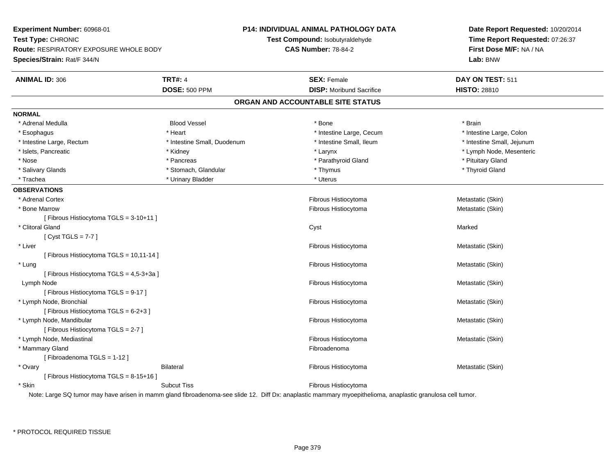**Experiment Number:** 60968-01**Test Type:** CHRONIC **Route:** RESPIRATORY EXPOSURE WHOLE BODY**Species/Strain:** Rat/F 344/N**P14: INDIVIDUAL ANIMAL PATHOLOGY DATATest Compound:** Isobutyraldehyde**CAS Number:** 78-84-2**Date Report Requested:** 10/20/2014**Time Report Requested:** 07:26:37**First Dose M/F:** NA / NA**Lab:** BNW**ANIMAL ID:** 306**6 TRT#:** 4 **TRT#:** 4 **SEX:** Female **SEX: Female DAY ON TEST:** 511 **DOSE:** 500 PPM**DISP:** Moribund Sacrifice **HISTO:** 28810 **ORGAN AND ACCOUNTABLE SITE STATUSNORMAL** \* Adrenal Medulla Blood Vessel \* Bone \* Brain\* Intestine Large, Colon \* Esophagus \* **Intestine Large, Cecum \* Intestine Large, Cecum \* Intestine Large, Cecum \*** Intestine Large, Cecum \* Intestine Large, Rectum \* Thestine Small, Duodenum \* Number of the small, Ileum \* Intestine Small, Jejunum \* Intestine Small, Jejunum \* Islets, Pancreatic \* \* Widney \* Kidney \* \* Kidney \* Larynx \* Larynx \* Larynx \* Letter \* Number \* Larynx \* Lymph Node, Mesenteric \* Nose \* Pancreas \* Pancreas \* Parathyroid Gland \* Parathyroid Gland \* Pituitary Gland \* Pituitary Gland \* Pituitary Computer \* Parathyroid Gland \* Pituitary Gland \* Pituitary Gland \* Pituitary Gland \* Pituitary Gland \* Pi \* Thyroid Gland \* Salivary Glands \* Thymus \* Stomach, Glandular \* Thymus \* Thymus \* Thymus \* Thymus \* Thymus \* Thymus \* Thymus \* Thymus \* Thymus \* Thymus \* Thymus \* Thymus \* Thymus \* Thymus \* Thymus \* Thymus \* Thymus \* Thymus \* Thymus \* T \* Trachea \* Urinary Bladder \* Urinary Bladder \* Urinary Bladder \* Uterus **OBSERVATIONS** \* Adrenal Cortex Fibrous Histiocytoma Metastatic (Skin) \* Bone Marroww which is the extended of the Historytoma Metastatic (Skin) and Metastatic (Skin) [ Fibrous Histiocytoma TGLS = 3-10+11 ] \* Clitoral Glandd and the control of the control of the control of the control of the control of the control of the control of the control of the control of the control of the control of the control of the control of the control of the co [ Cyst TGLS = 7-7 ] \* Liver Fibrous Histiocytoma Metastatic (Skin) [ Fibrous Histiocytoma TGLS = 10,11-14 ] \* Lungg and the state of the state of the state of the state of the state of the state of the state of the state of the state of the state of the state of the state of the state of the state of the state of the state of the stat [ Fibrous Histiocytoma TGLS = 4,5-3+3a ] Lymph Nodee and the state of the state of the state of the state of the state of the state of the state of the state of the state of the state of the state of the state of the state of the state of the state of the state of the stat [ Fibrous Histiocytoma TGLS = 9-17 ] \* Lymph Node, Bronchial Fibrous Histiocytoma Metastatic (Skin) [ Fibrous Histiocytoma TGLS = 6-2+3 ] \* Lymph Node, Mandibular Fibrous Histiocytoma Metastatic (Skin) [ Fibrous Histiocytoma TGLS = 2-7 ] \* Lymph Node, Mediastinal Fibrous Histiocytoma Metastatic (Skin) \* Mammary Glandd **Executive Contract of the Contract Contract Contract Contract Contract Contract Contract Contract Contract Contract Contract Contract Contract Contract Contract Contract Contract Contract Contract Contract Contract Cont** [ Fibroadenoma TGLS = 1-12 ] \* OvaryBilateral Fibrous Histiocytoma Metastatic (Skin) [ Fibrous Histiocytoma TGLS = 8-15+16 ] \* SkinSubcut Tiss **Fibrous Histiocytoma** Note: Large SQ tumor may have arisen in mamm gland fibroadenoma-see slide 12. Diff Dx: anaplastic mammary myoepithelioma, anaplastic granulosa cell tumor.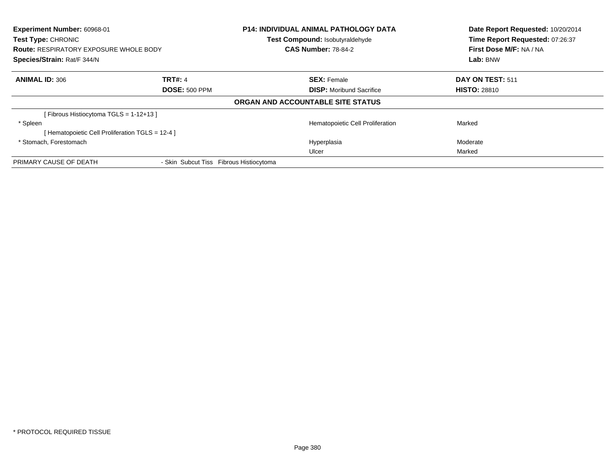| Experiment Number: 60968-01<br>Test Type: CHRONIC |                                         | <b>P14: INDIVIDUAL ANIMAL PATHOLOGY DATA</b> | Date Report Requested: 10/20/2014 |  |
|---------------------------------------------------|-----------------------------------------|----------------------------------------------|-----------------------------------|--|
|                                                   |                                         | Test Compound: Isobutyraldehyde              | Time Report Requested: 07:26:37   |  |
| <b>Route: RESPIRATORY EXPOSURE WHOLE BODY</b>     |                                         | <b>CAS Number: 78-84-2</b>                   | First Dose M/F: NA / NA           |  |
| Species/Strain: Rat/F 344/N                       |                                         |                                              | Lab: BNW                          |  |
| <b>ANIMAL ID: 306</b>                             | <b>TRT#: 4</b>                          | <b>SEX: Female</b>                           | DAY ON TEST: 511                  |  |
|                                                   | <b>DOSE: 500 PPM</b>                    | <b>DISP:</b> Moribund Sacrifice              | <b>HISTO: 28810</b>               |  |
|                                                   |                                         | ORGAN AND ACCOUNTABLE SITE STATUS            |                                   |  |
| [Fibrous Histiocytoma TGLS = 1-12+13]             |                                         |                                              |                                   |  |
| * Spleen                                          |                                         | Hematopoietic Cell Proliferation             | Marked                            |  |
| [Hematopoietic Cell Proliferation TGLS = 12-4 ]   |                                         |                                              |                                   |  |
| * Stomach, Forestomach                            |                                         | Hyperplasia                                  | Moderate                          |  |
|                                                   |                                         | Ulcer                                        | Marked                            |  |
| PRIMARY CAUSE OF DEATH                            | - Skin Subcut Tiss Fibrous Histiocytoma |                                              |                                   |  |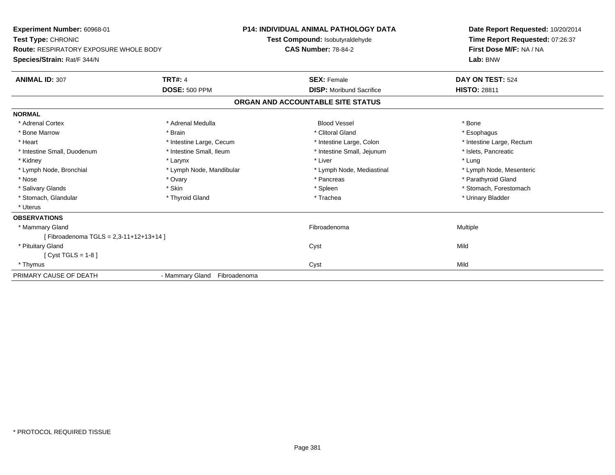**Experiment Number:** 60968-01**Test Type:** CHRONIC **Route:** RESPIRATORY EXPOSURE WHOLE BODY**Species/Strain:** Rat/F 344/N**P14: INDIVIDUAL ANIMAL PATHOLOGY DATATest Compound:** Isobutyraldehyde**CAS Number:** 78-84-2**Date Report Requested:** 10/20/2014**Time Report Requested:** 07:26:37**First Dose M/F:** NA / NA**Lab:** BNW**ANIMAL ID:** 307**TRT#:** 4 **SEX:** Female **SEX: Female DAY ON TEST:** 524 **DOSE:** 500 PPM**DISP:** Moribund Sacrifice **HISTO:** 28811 **ORGAN AND ACCOUNTABLE SITE STATUSNORMAL**\* Adrenal Cortex \* Adrenal Medulla \* \* Book \* Blood Vessel \* Book \* Bone \* Bone \* Bone \* Bone \* Bone \* Bone \* Bone \* Bone \* Bone \* Esophagus \* Bone Marrow \* \* Android \* Brain \* Brain \* Clitoral Gland \* Clitoral Gland \* Esophagus \* Esophagus \* Esophagus \* Intestine Large, Rectum \* Heart \* Intestine Large, Cecum \* Intestine Large, Cecum \* Intestine Large, Colon \* Intestine Small, Duodenum \* Intestine Small, Ileum \* 1ntestine Small, Intestine Small, Jejunum \* Islets, Pancreatic \* Kidney \* Larynx \* Liver \* Lung\* Lymph Node, Mesenteric \* Lymph Node, Bronchial \* Lymph Node, Mandibular \* Lymph Node, Mediastinal \* Lymph Node, Mediastinal \* Nose \* Ovary \* Pancreas \* Parathyroid Gland \* Salivary Glands \* The stomach \* Skin \* Spleen \* Spleen \* Stomach, Forestomach \* Stomach, Forestomach \* Stomach, Forestomach \* Stomach, Glandular \* Thyroid Gland \* Thyroid Gland \* Trachea \* Trachea \* Trachea \* Urinary Bladder \* Uterus**OBSERVATIONS** \* Mammary Glandd and the state of the state of the state of the state of the state of the state of the state of the state of the state of the state of the state of the state of the state of the state of the state of the state of the stat [ Fibroadenoma TGLS = 2,3-11+12+13+14 ] \* Pituitary Glandd and the control of the control of the control of the control of the control of the control of the control of the control of the control of the control of the control of the control of the control of the control of the co [ Cyst TGLS = 1-8 ] \* Thymuss and the contract of the contract of the contract of the contract of the contract of the contract of the contract of the contract of the contract of the contract of the contract of the contract of the contract of the cont PRIMARY CAUSE OF DEATH- Mammary Gland Fibroadenoma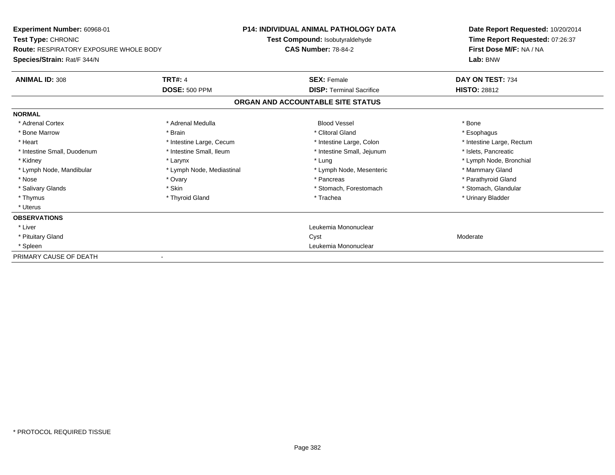| <b>Experiment Number: 60968-01</b><br>Test Type: CHRONIC |                           | <b>P14: INDIVIDUAL ANIMAL PATHOLOGY DATA</b> | Date Report Requested: 10/20/2014 |
|----------------------------------------------------------|---------------------------|----------------------------------------------|-----------------------------------|
|                                                          |                           | Test Compound: Isobutyraldehyde              | Time Report Requested: 07:26:37   |
| <b>Route: RESPIRATORY EXPOSURE WHOLE BODY</b>            |                           | <b>CAS Number: 78-84-2</b>                   | First Dose M/F: NA / NA           |
| Species/Strain: Rat/F 344/N                              |                           |                                              | Lab: BNW                          |
| <b>ANIMAL ID: 308</b>                                    | <b>TRT#: 4</b>            | <b>SEX: Female</b>                           | DAY ON TEST: 734                  |
|                                                          | <b>DOSE: 500 PPM</b>      | <b>DISP: Terminal Sacrifice</b>              | <b>HISTO: 28812</b>               |
|                                                          |                           | ORGAN AND ACCOUNTABLE SITE STATUS            |                                   |
| <b>NORMAL</b>                                            |                           |                                              |                                   |
| * Adrenal Cortex                                         | * Adrenal Medulla         | <b>Blood Vessel</b>                          | * Bone                            |
| * Bone Marrow                                            | * Brain                   | * Clitoral Gland                             | * Esophagus                       |
| * Heart                                                  | * Intestine Large, Cecum  | * Intestine Large, Colon                     | * Intestine Large, Rectum         |
| * Intestine Small, Duodenum                              | * Intestine Small, Ileum  | * Intestine Small, Jejunum                   | * Islets, Pancreatic              |
| * Kidney                                                 | * Larynx                  | * Lung                                       | * Lymph Node, Bronchial           |
| * Lymph Node, Mandibular                                 | * Lymph Node, Mediastinal | * Lymph Node, Mesenteric                     | * Mammary Gland                   |
| * Nose                                                   | * Ovary                   | * Pancreas                                   | * Parathyroid Gland               |
| * Salivary Glands                                        | * Skin                    | * Stomach, Forestomach                       | * Stomach, Glandular              |
| * Thymus                                                 | * Thyroid Gland           | * Trachea                                    | * Urinary Bladder                 |
| * Uterus                                                 |                           |                                              |                                   |
| <b>OBSERVATIONS</b>                                      |                           |                                              |                                   |
| * Liver                                                  |                           | Leukemia Mononuclear                         |                                   |
| * Pituitary Gland                                        |                           | Cyst                                         | Moderate                          |
| * Spleen                                                 |                           | Leukemia Mononuclear                         |                                   |
| PRIMARY CAUSE OF DEATH                                   |                           |                                              |                                   |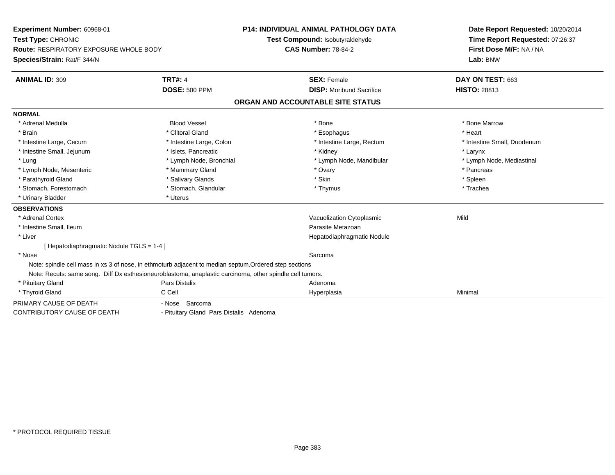| Experiment Number: 60968-01                                                                              |                                         | <b>P14: INDIVIDUAL ANIMAL PATHOLOGY DATA</b> | Date Report Requested: 10/20/2014 |
|----------------------------------------------------------------------------------------------------------|-----------------------------------------|----------------------------------------------|-----------------------------------|
| Test Type: CHRONIC                                                                                       |                                         | Test Compound: Isobutyraldehyde              | Time Report Requested: 07:26:37   |
| <b>Route: RESPIRATORY EXPOSURE WHOLE BODY</b>                                                            |                                         | <b>CAS Number: 78-84-2</b>                   | First Dose M/F: NA / NA           |
| Species/Strain: Rat/F 344/N                                                                              |                                         |                                              | Lab: BNW                          |
| <b>ANIMAL ID: 309</b>                                                                                    | <b>TRT#: 4</b>                          | <b>SEX: Female</b>                           | DAY ON TEST: 663                  |
|                                                                                                          | <b>DOSE: 500 PPM</b>                    | <b>DISP:</b> Moribund Sacrifice              | <b>HISTO: 28813</b>               |
|                                                                                                          |                                         | ORGAN AND ACCOUNTABLE SITE STATUS            |                                   |
| <b>NORMAL</b>                                                                                            |                                         |                                              |                                   |
| * Adrenal Medulla                                                                                        | <b>Blood Vessel</b>                     | * Bone                                       | * Bone Marrow                     |
| * Brain                                                                                                  | * Clitoral Gland                        | * Esophagus                                  | * Heart                           |
| * Intestine Large, Cecum                                                                                 | * Intestine Large, Colon                | * Intestine Large, Rectum                    | * Intestine Small, Duodenum       |
| * Intestine Small, Jejunum                                                                               | * Islets, Pancreatic                    | * Kidney                                     | * Larynx                          |
| * Lung                                                                                                   | * Lymph Node, Bronchial                 | * Lymph Node, Mandibular                     | * Lymph Node, Mediastinal         |
| * Lymph Node, Mesenteric                                                                                 | * Mammary Gland                         | * Ovary                                      | * Pancreas                        |
| * Parathyroid Gland                                                                                      | * Salivary Glands                       | * Skin                                       | * Spleen                          |
| * Stomach, Forestomach                                                                                   | * Stomach, Glandular                    | * Thymus                                     | * Trachea                         |
| * Urinary Bladder                                                                                        | * Uterus                                |                                              |                                   |
| <b>OBSERVATIONS</b>                                                                                      |                                         |                                              |                                   |
| * Adrenal Cortex                                                                                         |                                         | Vacuolization Cytoplasmic                    | Mild                              |
| * Intestine Small, Ileum                                                                                 |                                         | Parasite Metazoan                            |                                   |
| * Liver                                                                                                  |                                         | Hepatodiaphragmatic Nodule                   |                                   |
| [Hepatodiaphragmatic Nodule TGLS = 1-4]                                                                  |                                         |                                              |                                   |
| * Nose                                                                                                   |                                         | Sarcoma                                      |                                   |
| Note: spindle cell mass in xs 3 of nose, in ethmoturb adjacent to median septum. Ordered step sections   |                                         |                                              |                                   |
| Note: Recuts: same song. Diff Dx esthesioneuroblastoma, anaplastic carcinoma, other spindle cell tumors. |                                         |                                              |                                   |
| * Pituitary Gland                                                                                        | Pars Distalis                           | Adenoma                                      |                                   |
| * Thyroid Gland                                                                                          | C Cell                                  | Hyperplasia                                  | Minimal                           |
| PRIMARY CAUSE OF DEATH                                                                                   | - Nose Sarcoma                          |                                              |                                   |
| <b>CONTRIBUTORY CAUSE OF DEATH</b>                                                                       | - Pituitary Gland Pars Distalis Adenoma |                                              |                                   |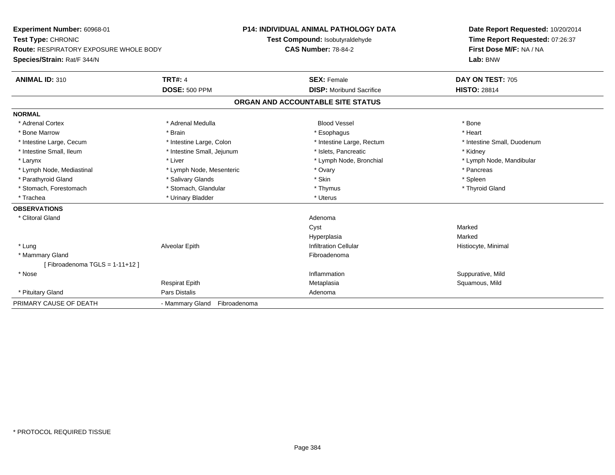| Experiment Number: 60968-01<br>Test Type: CHRONIC<br><b>Route: RESPIRATORY EXPOSURE WHOLE BODY</b> |                                 | <b>P14: INDIVIDUAL ANIMAL PATHOLOGY DATA</b> | Date Report Requested: 10/20/2014 |  |
|----------------------------------------------------------------------------------------------------|---------------------------------|----------------------------------------------|-----------------------------------|--|
|                                                                                                    |                                 | Test Compound: Isobutyraldehyde              | Time Report Requested: 07:26:37   |  |
|                                                                                                    |                                 | <b>CAS Number: 78-84-2</b>                   | First Dose M/F: NA / NA           |  |
| Species/Strain: Rat/F 344/N                                                                        |                                 |                                              | Lab: BNW                          |  |
| <b>ANIMAL ID: 310</b>                                                                              | <b>TRT#: 4</b>                  | <b>SEX: Female</b>                           | DAY ON TEST: 705                  |  |
|                                                                                                    | <b>DOSE: 500 PPM</b>            | <b>DISP:</b> Moribund Sacrifice              | <b>HISTO: 28814</b>               |  |
|                                                                                                    |                                 | ORGAN AND ACCOUNTABLE SITE STATUS            |                                   |  |
| <b>NORMAL</b>                                                                                      |                                 |                                              |                                   |  |
| * Adrenal Cortex                                                                                   | * Adrenal Medulla               | <b>Blood Vessel</b>                          | * Bone                            |  |
| * Bone Marrow                                                                                      | * Brain                         | * Esophagus                                  | * Heart                           |  |
| * Intestine Large, Cecum                                                                           | * Intestine Large, Colon        | * Intestine Large, Rectum                    | * Intestine Small, Duodenum       |  |
| * Intestine Small, Ileum                                                                           | * Intestine Small, Jejunum      | * Islets, Pancreatic                         | * Kidney                          |  |
| * Larynx                                                                                           | * Liver                         | * Lymph Node, Bronchial                      | * Lymph Node, Mandibular          |  |
| * Lymph Node, Mediastinal                                                                          | * Lymph Node, Mesenteric        | * Ovary                                      | * Pancreas                        |  |
| * Parathyroid Gland                                                                                | * Salivary Glands               | * Skin                                       | * Spleen                          |  |
| * Stomach, Forestomach                                                                             | * Stomach, Glandular            | * Thymus                                     | * Thyroid Gland                   |  |
| * Trachea                                                                                          | * Urinary Bladder               | * Uterus                                     |                                   |  |
| <b>OBSERVATIONS</b>                                                                                |                                 |                                              |                                   |  |
| * Clitoral Gland                                                                                   |                                 | Adenoma                                      |                                   |  |
|                                                                                                    |                                 | Cyst                                         | Marked                            |  |
|                                                                                                    |                                 | Hyperplasia                                  | Marked                            |  |
| * Lung                                                                                             | Alveolar Epith                  | <b>Infiltration Cellular</b>                 | Histiocyte, Minimal               |  |
| * Mammary Gland                                                                                    |                                 | Fibroadenoma                                 |                                   |  |
| [Fibroadenoma TGLS = $1-11+12$ ]                                                                   |                                 |                                              |                                   |  |
| * Nose                                                                                             |                                 | Inflammation                                 | Suppurative, Mild                 |  |
|                                                                                                    | <b>Respirat Epith</b>           | Metaplasia                                   | Squamous, Mild                    |  |
| * Pituitary Gland                                                                                  | <b>Pars Distalis</b>            | Adenoma                                      |                                   |  |
| PRIMARY CAUSE OF DEATH                                                                             | - Mammary Gland<br>Fibroadenoma |                                              |                                   |  |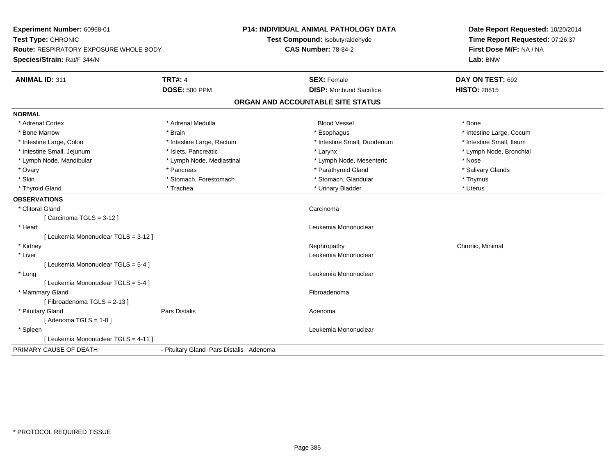| Experiment Number: 60968-01                                  |                                         | <b>P14: INDIVIDUAL ANIMAL PATHOLOGY DATA</b>                  | Date Report Requested: 10/20/2014                          |  |
|--------------------------------------------------------------|-----------------------------------------|---------------------------------------------------------------|------------------------------------------------------------|--|
| Test Type: CHRONIC<br>Route: RESPIRATORY EXPOSURE WHOLE BODY |                                         | Test Compound: Isobutyraldehyde<br><b>CAS Number: 78-84-2</b> | Time Report Requested: 07:26:37<br>First Dose M/F: NA / NA |  |
| Species/Strain: Rat/F 344/N                                  |                                         |                                                               | Lab: BNW                                                   |  |
|                                                              |                                         |                                                               |                                                            |  |
| <b>ANIMAL ID: 311</b>                                        | <b>TRT#: 4</b>                          | <b>SEX: Female</b>                                            | DAY ON TEST: 692                                           |  |
|                                                              | <b>DOSE: 500 PPM</b>                    | <b>DISP:</b> Moribund Sacrifice                               | <b>HISTO: 28815</b>                                        |  |
|                                                              |                                         | ORGAN AND ACCOUNTABLE SITE STATUS                             |                                                            |  |
| <b>NORMAL</b>                                                |                                         |                                                               |                                                            |  |
| * Adrenal Cortex                                             | * Adrenal Medulla                       | <b>Blood Vessel</b>                                           | * Bone                                                     |  |
| * Bone Marrow                                                | * Brain                                 | * Esophagus                                                   | * Intestine Large, Cecum                                   |  |
| * Intestine Large, Colon                                     | * Intestine Large, Rectum               | * Intestine Small, Duodenum                                   | * Intestine Small, Ileum                                   |  |
| * Intestine Small, Jejunum                                   | * Islets, Pancreatic                    | * Larynx                                                      | * Lymph Node, Bronchial                                    |  |
| * Lymph Node, Mandibular                                     | * Lymph Node, Mediastinal               | * Lymph Node, Mesenteric                                      | * Nose                                                     |  |
| * Ovary                                                      | * Pancreas                              | * Parathyroid Gland                                           | * Salivary Glands                                          |  |
| * Skin                                                       | * Stomach, Forestomach                  | * Stomach, Glandular                                          | * Thymus                                                   |  |
| * Thyroid Gland                                              | * Trachea                               | * Urinary Bladder                                             | * Uterus                                                   |  |
| <b>OBSERVATIONS</b>                                          |                                         |                                                               |                                                            |  |
| * Clitoral Gland                                             |                                         | Carcinoma                                                     |                                                            |  |
| [Carcinoma TGLS = 3-12]                                      |                                         |                                                               |                                                            |  |
| * Heart                                                      |                                         | Leukemia Mononuclear                                          |                                                            |  |
| [ Leukemia Mononuclear TGLS = 3-12 ]                         |                                         |                                                               |                                                            |  |
| * Kidney                                                     |                                         | Nephropathy                                                   | Chronic, Minimal                                           |  |
| * Liver                                                      |                                         | Leukemia Mononuclear                                          |                                                            |  |
| [ Leukemia Mononuclear TGLS = 5-4 ]                          |                                         |                                                               |                                                            |  |
| * Lung                                                       |                                         | Leukemia Mononuclear                                          |                                                            |  |
| [ Leukemia Mononuclear TGLS = 5-4 ]                          |                                         |                                                               |                                                            |  |
| * Mammary Gland                                              |                                         | Fibroadenoma                                                  |                                                            |  |
| [Fibroadenoma TGLS = 2-13]                                   |                                         |                                                               |                                                            |  |
| * Pituitary Gland                                            | <b>Pars Distalis</b>                    | Adenoma                                                       |                                                            |  |
| [Adenoma TGLS = $1-8$ ]                                      |                                         |                                                               |                                                            |  |
| * Spleen                                                     |                                         | Leukemia Mononuclear                                          |                                                            |  |
| [ Leukemia Mononuclear TGLS = 4-11 ]                         |                                         |                                                               |                                                            |  |
| PRIMARY CAUSE OF DEATH                                       | - Pituitary Gland Pars Distalis Adenoma |                                                               |                                                            |  |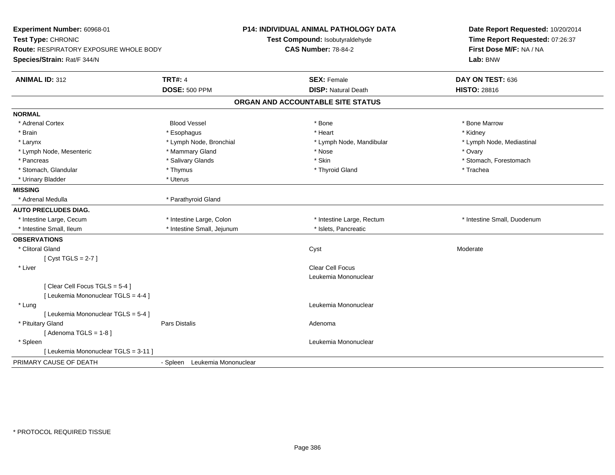| Experiment Number: 60968-01<br>Test Type: CHRONIC<br><b>Route: RESPIRATORY EXPOSURE WHOLE BODY</b><br>Species/Strain: Rat/F 344/N |                               | P14: INDIVIDUAL ANIMAL PATHOLOGY DATA<br>Test Compound: Isobutyraldehyde<br><b>CAS Number: 78-84-2</b> | Date Report Requested: 10/20/2014<br>Time Report Requested: 07:26:37<br>First Dose M/F: NA / NA<br>Lab: BNW |  |
|-----------------------------------------------------------------------------------------------------------------------------------|-------------------------------|--------------------------------------------------------------------------------------------------------|-------------------------------------------------------------------------------------------------------------|--|
| <b>ANIMAL ID: 312</b>                                                                                                             | <b>TRT#: 4</b>                | <b>SEX: Female</b>                                                                                     | DAY ON TEST: 636                                                                                            |  |
|                                                                                                                                   | <b>DOSE: 500 PPM</b>          | <b>DISP: Natural Death</b>                                                                             | <b>HISTO: 28816</b>                                                                                         |  |
|                                                                                                                                   |                               | ORGAN AND ACCOUNTABLE SITE STATUS                                                                      |                                                                                                             |  |
| <b>NORMAL</b>                                                                                                                     |                               |                                                                                                        |                                                                                                             |  |
| * Adrenal Cortex                                                                                                                  | <b>Blood Vessel</b>           | $*$ Bone                                                                                               | * Bone Marrow                                                                                               |  |
| * Brain                                                                                                                           | * Esophagus                   | * Heart                                                                                                | * Kidney                                                                                                    |  |
| * Larynx                                                                                                                          | * Lymph Node, Bronchial       | * Lymph Node, Mandibular                                                                               | * Lymph Node, Mediastinal                                                                                   |  |
| * Lymph Node, Mesenteric                                                                                                          | * Mammary Gland               | * Nose                                                                                                 | * Ovary                                                                                                     |  |
| * Pancreas                                                                                                                        | * Salivary Glands             | * Skin                                                                                                 | * Stomach, Forestomach                                                                                      |  |
| * Stomach, Glandular                                                                                                              | * Thymus                      | * Thyroid Gland                                                                                        | * Trachea                                                                                                   |  |
| * Urinary Bladder                                                                                                                 | * Uterus                      |                                                                                                        |                                                                                                             |  |
| <b>MISSING</b>                                                                                                                    |                               |                                                                                                        |                                                                                                             |  |
| * Adrenal Medulla                                                                                                                 | * Parathyroid Gland           |                                                                                                        |                                                                                                             |  |
| <b>AUTO PRECLUDES DIAG.</b>                                                                                                       |                               |                                                                                                        |                                                                                                             |  |
| * Intestine Large, Cecum                                                                                                          | * Intestine Large, Colon      | * Intestine Large, Rectum                                                                              | * Intestine Small, Duodenum                                                                                 |  |
| * Intestine Small, Ileum                                                                                                          | * Intestine Small, Jejunum    | * Islets, Pancreatic                                                                                   |                                                                                                             |  |
| <b>OBSERVATIONS</b>                                                                                                               |                               |                                                                                                        |                                                                                                             |  |
| * Clitoral Gland                                                                                                                  |                               | Cyst                                                                                                   | Moderate                                                                                                    |  |
| [Cyst TGLS = $2-7$ ]                                                                                                              |                               |                                                                                                        |                                                                                                             |  |
| * Liver                                                                                                                           |                               | <b>Clear Cell Focus</b>                                                                                |                                                                                                             |  |
|                                                                                                                                   |                               | Leukemia Mononuclear                                                                                   |                                                                                                             |  |
| [Clear Cell Focus TGLS = 5-4]                                                                                                     |                               |                                                                                                        |                                                                                                             |  |
| [ Leukemia Mononuclear TGLS = 4-4 ]                                                                                               |                               |                                                                                                        |                                                                                                             |  |
| * Lung                                                                                                                            |                               | Leukemia Mononuclear                                                                                   |                                                                                                             |  |
| [ Leukemia Mononuclear TGLS = 5-4 ]                                                                                               |                               |                                                                                                        |                                                                                                             |  |
| * Pituitary Gland                                                                                                                 | Pars Distalis                 | Adenoma                                                                                                |                                                                                                             |  |
| [Adenoma TGLS = $1-8$ ]                                                                                                           |                               |                                                                                                        |                                                                                                             |  |
| * Spleen                                                                                                                          |                               | Leukemia Mononuclear                                                                                   |                                                                                                             |  |
| [ Leukemia Mononuclear TGLS = 3-11 ]                                                                                              |                               |                                                                                                        |                                                                                                             |  |
| PRIMARY CAUSE OF DEATH                                                                                                            | - Spleen Leukemia Mononuclear |                                                                                                        |                                                                                                             |  |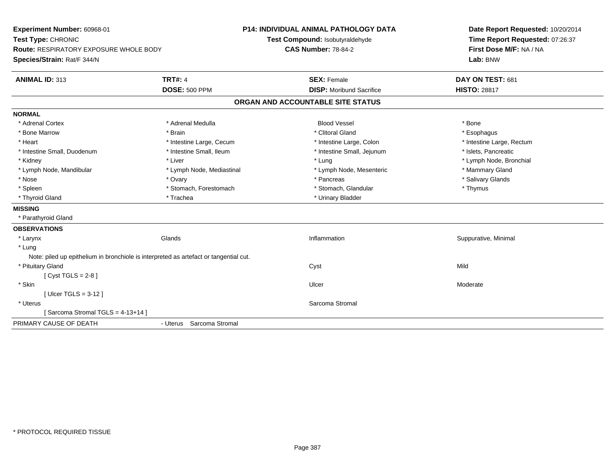| Experiment Number: 60968-01<br>Test Type: CHRONIC<br><b>Route: RESPIRATORY EXPOSURE WHOLE BODY</b><br>Species/Strain: Rat/F 344/N |                           | P14: INDIVIDUAL ANIMAL PATHOLOGY DATA<br>Test Compound: Isobutyraldehyde<br><b>CAS Number: 78-84-2</b> | Date Report Requested: 10/20/2014<br>Time Report Requested: 07:26:37<br>First Dose M/F: NA / NA<br>Lab: BNW |
|-----------------------------------------------------------------------------------------------------------------------------------|---------------------------|--------------------------------------------------------------------------------------------------------|-------------------------------------------------------------------------------------------------------------|
| <b>ANIMAL ID: 313</b>                                                                                                             | <b>TRT#: 4</b>            | <b>SEX: Female</b>                                                                                     | DAY ON TEST: 681                                                                                            |
|                                                                                                                                   | <b>DOSE: 500 PPM</b>      | <b>DISP:</b> Moribund Sacrifice                                                                        | <b>HISTO: 28817</b>                                                                                         |
|                                                                                                                                   |                           | ORGAN AND ACCOUNTABLE SITE STATUS                                                                      |                                                                                                             |
| <b>NORMAL</b>                                                                                                                     |                           |                                                                                                        |                                                                                                             |
| * Adrenal Cortex                                                                                                                  | * Adrenal Medulla         | <b>Blood Vessel</b>                                                                                    | * Bone                                                                                                      |
| * Bone Marrow                                                                                                                     | * Brain                   | * Clitoral Gland                                                                                       | * Esophagus                                                                                                 |
| * Heart                                                                                                                           | * Intestine Large, Cecum  | * Intestine Large, Colon                                                                               | * Intestine Large, Rectum                                                                                   |
| * Intestine Small, Duodenum                                                                                                       | * Intestine Small, Ileum  | * Intestine Small, Jejunum                                                                             | * Islets, Pancreatic                                                                                        |
| * Kidney                                                                                                                          | * Liver                   | * Lung                                                                                                 | * Lymph Node, Bronchial                                                                                     |
| * Lymph Node, Mandibular                                                                                                          | * Lymph Node, Mediastinal | * Lymph Node, Mesenteric                                                                               | * Mammary Gland                                                                                             |
| * Nose                                                                                                                            | * Ovary                   | * Pancreas                                                                                             | * Salivary Glands                                                                                           |
| * Spleen                                                                                                                          | * Stomach, Forestomach    | * Stomach, Glandular                                                                                   | * Thymus                                                                                                    |
| * Thyroid Gland                                                                                                                   | * Trachea                 | * Urinary Bladder                                                                                      |                                                                                                             |
| <b>MISSING</b>                                                                                                                    |                           |                                                                                                        |                                                                                                             |
| * Parathyroid Gland                                                                                                               |                           |                                                                                                        |                                                                                                             |
| <b>OBSERVATIONS</b>                                                                                                               |                           |                                                                                                        |                                                                                                             |
| * Larynx                                                                                                                          | Glands                    | Inflammation                                                                                           | Suppurative, Minimal                                                                                        |
| * Lung                                                                                                                            |                           |                                                                                                        |                                                                                                             |
| Note: piled up epithelium in bronchiole is interpreted as artefact or tangential cut.                                             |                           |                                                                                                        |                                                                                                             |
| * Pituitary Gland                                                                                                                 |                           | Cyst                                                                                                   | Mild                                                                                                        |
| [Cyst TGLS = $2-8$ ]                                                                                                              |                           |                                                                                                        |                                                                                                             |
| * Skin                                                                                                                            |                           | Ulcer                                                                                                  | Moderate                                                                                                    |
| [ Ulcer TGLS = $3-12$ ]                                                                                                           |                           |                                                                                                        |                                                                                                             |
| * Uterus                                                                                                                          |                           | Sarcoma Stromal                                                                                        |                                                                                                             |
| [Sarcoma Stromal TGLS = 4-13+14]                                                                                                  |                           |                                                                                                        |                                                                                                             |
| PRIMARY CAUSE OF DEATH                                                                                                            | - Uterus Sarcoma Stromal  |                                                                                                        |                                                                                                             |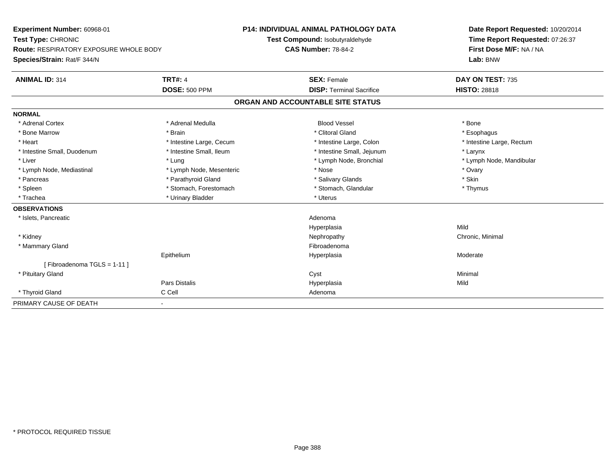| Experiment Number: 60968-01                   | <b>P14: INDIVIDUAL ANIMAL PATHOLOGY DATA</b> |                                   | Date Report Requested: 10/20/2014 |
|-----------------------------------------------|----------------------------------------------|-----------------------------------|-----------------------------------|
| Test Type: CHRONIC                            |                                              | Test Compound: Isobutyraldehyde   | Time Report Requested: 07:26:37   |
| <b>Route: RESPIRATORY EXPOSURE WHOLE BODY</b> |                                              | <b>CAS Number: 78-84-2</b>        | First Dose M/F: NA / NA           |
| Species/Strain: Rat/F 344/N                   |                                              |                                   | Lab: BNW                          |
| <b>ANIMAL ID: 314</b>                         | <b>TRT#: 4</b>                               | <b>SEX: Female</b>                | DAY ON TEST: 735                  |
|                                               | <b>DOSE: 500 PPM</b>                         | <b>DISP: Terminal Sacrifice</b>   | <b>HISTO: 28818</b>               |
|                                               |                                              | ORGAN AND ACCOUNTABLE SITE STATUS |                                   |
| <b>NORMAL</b>                                 |                                              |                                   |                                   |
| * Adrenal Cortex                              | * Adrenal Medulla                            | <b>Blood Vessel</b>               | * Bone                            |
| * Bone Marrow                                 | * Brain                                      | * Clitoral Gland                  | * Esophagus                       |
| * Heart                                       | * Intestine Large, Cecum                     | * Intestine Large, Colon          | * Intestine Large, Rectum         |
| * Intestine Small, Duodenum                   | * Intestine Small, Ileum                     | * Intestine Small, Jejunum        | * Larynx                          |
| * Liver                                       | * Lung                                       | * Lymph Node, Bronchial           | * Lymph Node, Mandibular          |
| * Lymph Node, Mediastinal                     | * Lymph Node, Mesenteric                     | * Nose                            | * Ovary                           |
| * Pancreas                                    | * Parathyroid Gland                          | * Salivary Glands                 | * Skin                            |
| * Spleen                                      | * Stomach, Forestomach                       | * Stomach, Glandular              | * Thymus                          |
| * Trachea                                     | * Urinary Bladder                            | * Uterus                          |                                   |
| <b>OBSERVATIONS</b>                           |                                              |                                   |                                   |
| * Islets, Pancreatic                          |                                              | Adenoma                           |                                   |
|                                               |                                              | Hyperplasia                       | Mild                              |
| * Kidney                                      |                                              | Nephropathy                       | Chronic, Minimal                  |
| * Mammary Gland                               |                                              | Fibroadenoma                      |                                   |
|                                               | Epithelium                                   | Hyperplasia                       | Moderate                          |
| [Fibroadenoma TGLS = $1-11$ ]                 |                                              |                                   |                                   |
| * Pituitary Gland                             |                                              | Cyst                              | Minimal                           |
|                                               | <b>Pars Distalis</b>                         | Hyperplasia                       | Mild                              |
| * Thyroid Gland                               | C Cell                                       | Adenoma                           |                                   |
| PRIMARY CAUSE OF DEATH                        | ۰                                            |                                   |                                   |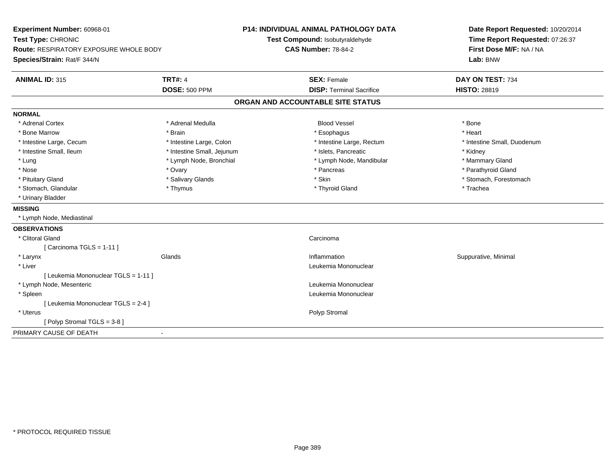| Experiment Number: 60968-01<br>Test Type: CHRONIC<br><b>Route: RESPIRATORY EXPOSURE WHOLE BODY</b><br>Species/Strain: Rat/F 344/N |                            | P14: INDIVIDUAL ANIMAL PATHOLOGY DATA<br>Test Compound: Isobutyraldehyde<br><b>CAS Number: 78-84-2</b> | Date Report Requested: 10/20/2014<br>Time Report Requested: 07:26:37<br>First Dose M/F: NA / NA<br>Lab: BNW |
|-----------------------------------------------------------------------------------------------------------------------------------|----------------------------|--------------------------------------------------------------------------------------------------------|-------------------------------------------------------------------------------------------------------------|
| <b>ANIMAL ID: 315</b>                                                                                                             | <b>TRT#: 4</b>             | <b>SEX: Female</b>                                                                                     | DAY ON TEST: 734                                                                                            |
|                                                                                                                                   | <b>DOSE: 500 PPM</b>       | <b>DISP: Terminal Sacrifice</b>                                                                        | <b>HISTO: 28819</b>                                                                                         |
|                                                                                                                                   |                            | ORGAN AND ACCOUNTABLE SITE STATUS                                                                      |                                                                                                             |
| <b>NORMAL</b>                                                                                                                     |                            |                                                                                                        |                                                                                                             |
| * Adrenal Cortex                                                                                                                  | * Adrenal Medulla          | <b>Blood Vessel</b>                                                                                    | * Bone                                                                                                      |
| * Bone Marrow                                                                                                                     | * Brain                    | * Esophagus                                                                                            | * Heart                                                                                                     |
| * Intestine Large, Cecum                                                                                                          | * Intestine Large, Colon   | * Intestine Large, Rectum                                                                              | * Intestine Small, Duodenum                                                                                 |
| * Intestine Small, Ileum                                                                                                          | * Intestine Small, Jejunum | * Islets, Pancreatic                                                                                   | * Kidney                                                                                                    |
| * Lung                                                                                                                            | * Lymph Node, Bronchial    | * Lymph Node, Mandibular                                                                               | * Mammary Gland                                                                                             |
| * Nose                                                                                                                            | * Ovary                    | * Pancreas                                                                                             | * Parathyroid Gland                                                                                         |
| * Pituitary Gland                                                                                                                 | * Salivary Glands          | * Skin                                                                                                 | * Stomach, Forestomach                                                                                      |
| * Stomach, Glandular                                                                                                              | * Thymus                   | * Thyroid Gland                                                                                        | * Trachea                                                                                                   |
| * Urinary Bladder                                                                                                                 |                            |                                                                                                        |                                                                                                             |
| <b>MISSING</b>                                                                                                                    |                            |                                                                                                        |                                                                                                             |
| * Lymph Node, Mediastinal                                                                                                         |                            |                                                                                                        |                                                                                                             |
| <b>OBSERVATIONS</b>                                                                                                               |                            |                                                                                                        |                                                                                                             |
| * Clitoral Gland                                                                                                                  |                            | Carcinoma                                                                                              |                                                                                                             |
| [ Carcinoma TGLS = 1-11 ]                                                                                                         |                            |                                                                                                        |                                                                                                             |
| * Larynx                                                                                                                          | Glands                     | Inflammation                                                                                           | Suppurative, Minimal                                                                                        |
| * Liver                                                                                                                           |                            | Leukemia Mononuclear                                                                                   |                                                                                                             |
| [ Leukemia Mononuclear TGLS = 1-11 ]                                                                                              |                            |                                                                                                        |                                                                                                             |
| * Lymph Node, Mesenteric                                                                                                          |                            | Leukemia Mononuclear                                                                                   |                                                                                                             |
| * Spleen                                                                                                                          |                            | Leukemia Mononuclear                                                                                   |                                                                                                             |
| [ Leukemia Mononuclear TGLS = 2-4 ]                                                                                               |                            |                                                                                                        |                                                                                                             |
| * Uterus                                                                                                                          |                            | Polyp Stromal                                                                                          |                                                                                                             |
| [Polyp Stromal TGLS = 3-8]                                                                                                        |                            |                                                                                                        |                                                                                                             |
| PRIMARY CAUSE OF DEATH                                                                                                            |                            |                                                                                                        |                                                                                                             |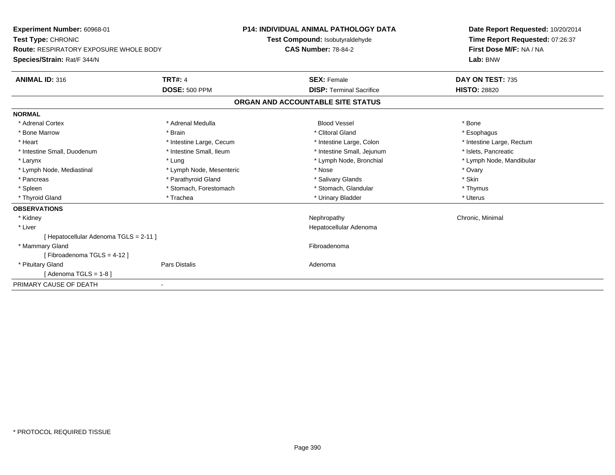| Experiment Number: 60968-01<br>Test Type: CHRONIC<br><b>Route: RESPIRATORY EXPOSURE WHOLE BODY</b><br>Species/Strain: Rat/F 344/N |                          | <b>P14: INDIVIDUAL ANIMAL PATHOLOGY DATA</b> | Date Report Requested: 10/20/2014 |
|-----------------------------------------------------------------------------------------------------------------------------------|--------------------------|----------------------------------------------|-----------------------------------|
|                                                                                                                                   |                          | Test Compound: Isobutyraldehyde              | Time Report Requested: 07:26:37   |
|                                                                                                                                   |                          | <b>CAS Number: 78-84-2</b>                   | First Dose M/F: NA / NA           |
|                                                                                                                                   |                          |                                              | Lab: BNW                          |
| <b>ANIMAL ID: 316</b>                                                                                                             | <b>TRT#: 4</b>           | <b>SEX: Female</b>                           | DAY ON TEST: 735                  |
|                                                                                                                                   | <b>DOSE: 500 PPM</b>     | <b>DISP: Terminal Sacrifice</b>              | <b>HISTO: 28820</b>               |
|                                                                                                                                   |                          | ORGAN AND ACCOUNTABLE SITE STATUS            |                                   |
| <b>NORMAL</b>                                                                                                                     |                          |                                              |                                   |
| * Adrenal Cortex                                                                                                                  | * Adrenal Medulla        | <b>Blood Vessel</b>                          | * Bone                            |
| * Bone Marrow                                                                                                                     | * Brain                  | * Clitoral Gland                             | * Esophagus                       |
| * Heart                                                                                                                           | * Intestine Large, Cecum | * Intestine Large, Colon                     | * Intestine Large, Rectum         |
| * Intestine Small, Duodenum                                                                                                       | * Intestine Small, Ileum | * Intestine Small, Jejunum                   | * Islets, Pancreatic              |
| * Larynx                                                                                                                          | * Lung                   | * Lymph Node, Bronchial                      | * Lymph Node, Mandibular          |
| * Lymph Node, Mediastinal                                                                                                         | * Lymph Node, Mesenteric | * Nose                                       | * Ovary                           |
| * Pancreas                                                                                                                        | * Parathyroid Gland      | * Salivary Glands                            | * Skin                            |
| * Spleen                                                                                                                          | * Stomach, Forestomach   | * Stomach, Glandular                         | * Thymus                          |
| * Thyroid Gland                                                                                                                   | * Trachea                | * Urinary Bladder                            | * Uterus                          |
| <b>OBSERVATIONS</b>                                                                                                               |                          |                                              |                                   |
| * Kidney                                                                                                                          |                          | Nephropathy                                  | Chronic, Minimal                  |
| * Liver                                                                                                                           |                          | Hepatocellular Adenoma                       |                                   |
| [ Hepatocellular Adenoma TGLS = 2-11 ]                                                                                            |                          |                                              |                                   |
| * Mammary Gland                                                                                                                   |                          | Fibroadenoma                                 |                                   |
| [Fibroadenoma TGLS = $4-12$ ]                                                                                                     |                          |                                              |                                   |
| * Pituitary Gland                                                                                                                 | Pars Distalis            | Adenoma                                      |                                   |
| [ Adenoma TGLS = 1-8 ]                                                                                                            |                          |                                              |                                   |
| PRIMARY CAUSE OF DEATH                                                                                                            |                          |                                              |                                   |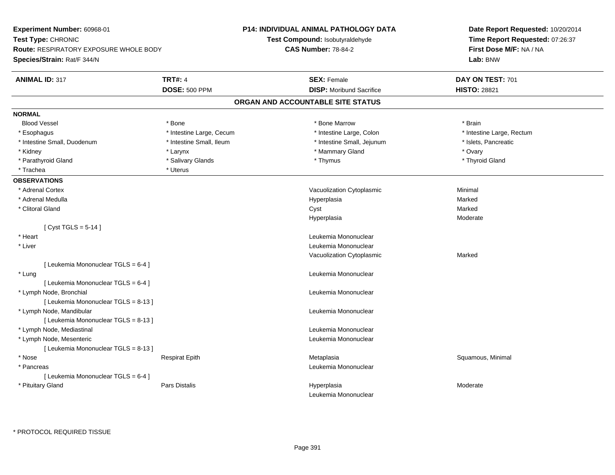| Experiment Number: 60968-01            | <b>P14: INDIVIDUAL ANIMAL PATHOLOGY DATA</b><br>Test Compound: Isobutyraldehyde |                                     | Date Report Requested: 10/20/2014<br>Time Report Requested: 07:26:37 |  |
|----------------------------------------|---------------------------------------------------------------------------------|-------------------------------------|----------------------------------------------------------------------|--|
| Test Type: CHRONIC                     |                                                                                 |                                     |                                                                      |  |
| Route: RESPIRATORY EXPOSURE WHOLE BODY |                                                                                 | <b>CAS Number: 78-84-2</b>          | First Dose M/F: NA / NA<br>Lab: BNW                                  |  |
| Species/Strain: Rat/F 344/N            |                                                                                 |                                     |                                                                      |  |
| <b>ANIMAL ID: 317</b>                  | <b>TRT#: 4</b>                                                                  | <b>SEX: Female</b>                  | DAY ON TEST: 701                                                     |  |
|                                        | <b>DOSE: 500 PPM</b>                                                            | <b>DISP:</b> Moribund Sacrifice     | <b>HISTO: 28821</b>                                                  |  |
|                                        |                                                                                 | ORGAN AND ACCOUNTABLE SITE STATUS   |                                                                      |  |
| <b>NORMAL</b>                          |                                                                                 |                                     |                                                                      |  |
| <b>Blood Vessel</b>                    | $*$ Bone                                                                        | * Bone Marrow                       | * Brain                                                              |  |
| * Esophagus                            | * Intestine Large, Cecum                                                        | * Intestine Large, Colon            | * Intestine Large, Rectum                                            |  |
| * Intestine Small, Duodenum            | * Intestine Small, Ileum                                                        | * Intestine Small, Jejunum          | * Islets, Pancreatic                                                 |  |
| * Kidney                               | * Larynx                                                                        | * Mammary Gland                     | * Ovary                                                              |  |
| * Parathyroid Gland                    | * Salivary Glands                                                               | * Thymus                            | * Thyroid Gland                                                      |  |
| * Trachea                              | * Uterus                                                                        |                                     |                                                                      |  |
| <b>OBSERVATIONS</b>                    |                                                                                 |                                     |                                                                      |  |
| * Adrenal Cortex                       |                                                                                 | Vacuolization Cytoplasmic           | Minimal                                                              |  |
| * Adrenal Medulla                      |                                                                                 | Hyperplasia                         | Marked                                                               |  |
| * Clitoral Gland                       |                                                                                 | Cyst                                | Marked                                                               |  |
|                                        |                                                                                 | Hyperplasia                         | Moderate                                                             |  |
| [Cyst TGLS = $5-14$ ]                  |                                                                                 |                                     |                                                                      |  |
| * Heart                                |                                                                                 | Leukemia Mononuclear                |                                                                      |  |
| * Liver                                |                                                                                 | Leukemia Mononuclear                |                                                                      |  |
|                                        |                                                                                 | Vacuolization Cytoplasmic           | Marked                                                               |  |
| [ Leukemia Mononuclear TGLS = 6-4 ]    |                                                                                 |                                     |                                                                      |  |
| * Lung                                 |                                                                                 | Leukemia Mononuclear                |                                                                      |  |
| [ Leukemia Mononuclear TGLS = 6-4 ]    |                                                                                 |                                     |                                                                      |  |
| * Lymph Node, Bronchial                |                                                                                 | Leukemia Mononuclear                |                                                                      |  |
| [ Leukemia Mononuclear TGLS = 8-13 ]   |                                                                                 |                                     |                                                                      |  |
| * Lymph Node, Mandibular               |                                                                                 | Leukemia Mononuclear                |                                                                      |  |
| [ Leukemia Mononuclear TGLS = 8-13 ]   |                                                                                 |                                     |                                                                      |  |
| * Lymph Node, Mediastinal              |                                                                                 | Leukemia Mononuclear                |                                                                      |  |
| * Lymph Node, Mesenteric               |                                                                                 | Leukemia Mononuclear                |                                                                      |  |
| [ Leukemia Mononuclear TGLS = 8-13 ]   |                                                                                 |                                     |                                                                      |  |
| * Nose                                 | <b>Respirat Epith</b>                                                           | Metaplasia                          | Squamous, Minimal                                                    |  |
| * Pancreas                             |                                                                                 | Leukemia Mononuclear                |                                                                      |  |
| [ Leukemia Mononuclear TGLS = 6-4 ]    |                                                                                 |                                     |                                                                      |  |
| * Pituitary Gland                      | Pars Distalis                                                                   | Hyperplasia<br>Leukemia Mononuclear | Moderate                                                             |  |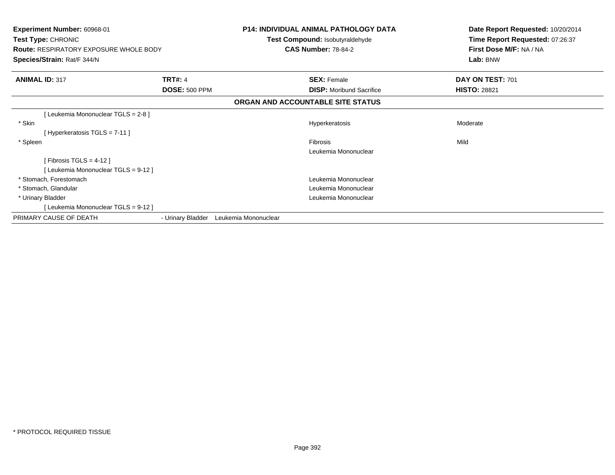| Experiment Number: 60968-01<br>Test Type: CHRONIC<br><b>Route: RESPIRATORY EXPOSURE WHOLE BODY</b><br>Species/Strain: Rat/F 344/N |                      |                      | <b>P14: INDIVIDUAL ANIMAL PATHOLOGY DATA</b><br>Test Compound: Isobutyraldehyde<br><b>CAS Number: 78-84-2</b> | Date Report Requested: 10/20/2014<br>Time Report Requested: 07:26:37<br>First Dose M/F: NA / NA<br>Lab: BNW |
|-----------------------------------------------------------------------------------------------------------------------------------|----------------------|----------------------|---------------------------------------------------------------------------------------------------------------|-------------------------------------------------------------------------------------------------------------|
| <b>ANIMAL ID: 317</b>                                                                                                             | <b>TRT#: 4</b>       |                      | <b>SEX: Female</b>                                                                                            | DAY ON TEST: 701                                                                                            |
|                                                                                                                                   | <b>DOSE: 500 PPM</b> |                      | <b>DISP:</b> Moribund Sacrifice                                                                               | <b>HISTO: 28821</b>                                                                                         |
|                                                                                                                                   |                      |                      | ORGAN AND ACCOUNTABLE SITE STATUS                                                                             |                                                                                                             |
| [Leukemia Mononuclear TGLS = 2-8]                                                                                                 |                      |                      |                                                                                                               |                                                                                                             |
| * Skin                                                                                                                            |                      |                      | Hyperkeratosis                                                                                                | Moderate                                                                                                    |
| [Hyperkeratosis TGLS = 7-11]                                                                                                      |                      |                      |                                                                                                               |                                                                                                             |
| * Spleen                                                                                                                          |                      |                      | <b>Fibrosis</b>                                                                                               | Mild                                                                                                        |
|                                                                                                                                   |                      |                      | Leukemia Mononuclear                                                                                          |                                                                                                             |
| [Fibrosis TGLS = $4-12$ ]                                                                                                         |                      |                      |                                                                                                               |                                                                                                             |
| [Leukemia Mononuclear TGLS = 9-12]                                                                                                |                      |                      |                                                                                                               |                                                                                                             |
| * Stomach, Forestomach                                                                                                            |                      |                      | Leukemia Mononuclear                                                                                          |                                                                                                             |
| * Stomach, Glandular                                                                                                              |                      |                      | Leukemia Mononuclear                                                                                          |                                                                                                             |
| * Urinary Bladder                                                                                                                 |                      |                      | Leukemia Mononuclear                                                                                          |                                                                                                             |
| [Leukemia Mononuclear TGLS = 9-12]                                                                                                |                      |                      |                                                                                                               |                                                                                                             |
| PRIMARY CAUSE OF DEATH                                                                                                            | - Urinary Bladder    | Leukemia Mononuclear |                                                                                                               |                                                                                                             |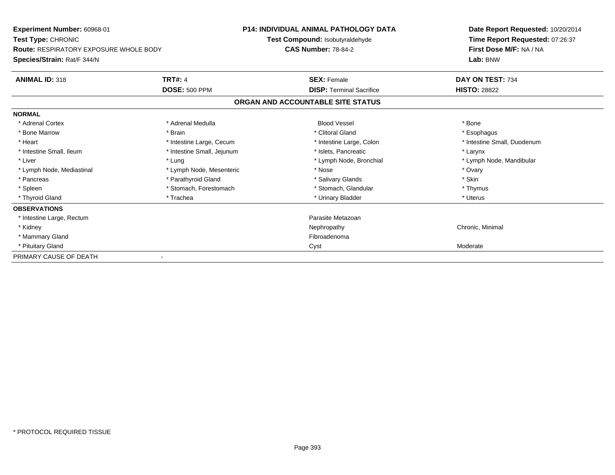| <b>Experiment Number: 60968-01</b><br>Test Type: CHRONIC<br><b>Route: RESPIRATORY EXPOSURE WHOLE BODY</b><br>Species/Strain: Rat/F 344/N |                            | <b>P14: INDIVIDUAL ANIMAL PATHOLOGY DATA</b> | Date Report Requested: 10/20/2014<br>Time Report Requested: 07:26:37<br>First Dose M/F: NA / NA |
|------------------------------------------------------------------------------------------------------------------------------------------|----------------------------|----------------------------------------------|-------------------------------------------------------------------------------------------------|
|                                                                                                                                          |                            | Test Compound: Isobutyraldehyde              |                                                                                                 |
|                                                                                                                                          |                            | <b>CAS Number: 78-84-2</b>                   |                                                                                                 |
|                                                                                                                                          |                            |                                              | Lab: BNW                                                                                        |
| <b>ANIMAL ID: 318</b>                                                                                                                    | <b>TRT#: 4</b>             | <b>SEX: Female</b>                           | DAY ON TEST: 734                                                                                |
|                                                                                                                                          | <b>DOSE: 500 PPM</b>       | <b>DISP: Terminal Sacrifice</b>              | <b>HISTO: 28822</b>                                                                             |
|                                                                                                                                          |                            | ORGAN AND ACCOUNTABLE SITE STATUS            |                                                                                                 |
| <b>NORMAL</b>                                                                                                                            |                            |                                              |                                                                                                 |
| * Adrenal Cortex                                                                                                                         | * Adrenal Medulla          | <b>Blood Vessel</b>                          | * Bone                                                                                          |
| * Bone Marrow                                                                                                                            | * Brain                    | * Clitoral Gland                             | * Esophagus                                                                                     |
| * Heart                                                                                                                                  | * Intestine Large, Cecum   | * Intestine Large, Colon                     | * Intestine Small, Duodenum                                                                     |
| * Intestine Small, Ileum                                                                                                                 | * Intestine Small, Jejunum | * Islets. Pancreatic                         | * Larynx                                                                                        |
| * Liver                                                                                                                                  | * Lung                     | * Lymph Node, Bronchial                      | * Lymph Node, Mandibular                                                                        |
| * Lymph Node, Mediastinal                                                                                                                | * Lymph Node, Mesenteric   | * Nose                                       | * Ovary                                                                                         |
| * Pancreas                                                                                                                               | * Parathyroid Gland        | * Salivary Glands                            | * Skin                                                                                          |
| * Spleen                                                                                                                                 | * Stomach, Forestomach     | * Stomach, Glandular                         | * Thymus                                                                                        |
| * Thyroid Gland                                                                                                                          | * Trachea                  | * Urinary Bladder                            | * Uterus                                                                                        |
| <b>OBSERVATIONS</b>                                                                                                                      |                            |                                              |                                                                                                 |
| * Intestine Large, Rectum                                                                                                                |                            | Parasite Metazoan                            |                                                                                                 |
| * Kidney                                                                                                                                 |                            | Nephropathy                                  | Chronic, Minimal                                                                                |
| * Mammary Gland                                                                                                                          |                            | Fibroadenoma                                 |                                                                                                 |
| * Pituitary Gland                                                                                                                        |                            | Cyst                                         | Moderate                                                                                        |
| PRIMARY CAUSE OF DEATH                                                                                                                   |                            |                                              |                                                                                                 |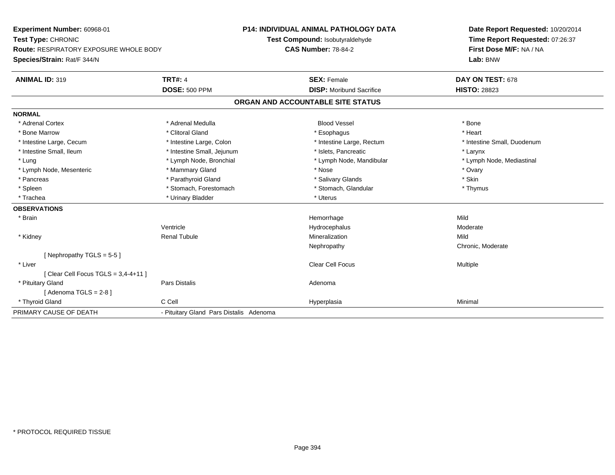**Experiment Number:** 60968-01**Test Type:** CHRONIC **Route:** RESPIRATORY EXPOSURE WHOLE BODY**Species/Strain:** Rat/F 344/N**P14: INDIVIDUAL ANIMAL PATHOLOGY DATATest Compound:** Isobutyraldehyde**CAS Number:** 78-84-2**Date Report Requested:** 10/20/2014**Time Report Requested:** 07:26:37**First Dose M/F:** NA / NA**Lab:** BNW**ANIMAL ID:** 319**TRT#:** 4 **SEX:** Female **SEX: Female DAY ON TEST:** 678 **DOSE:** 500 PPM**DISP:** Moribund Sacrifice **HISTO:** 28823 **ORGAN AND ACCOUNTABLE SITE STATUSNORMAL**\* Adrenal Cortex \* Adrenal Medulla \* \* Book \* Blood Vessel \* Book \* Bone \* Bone \* Bone \* Bone \* Bone \* Bone \* Bone \* Bone \* Bone \* Heart \* Bone Marrow \* Clitoral Gland \* Esophagus \* Heart \* Intestine Large, Cecum \* Intestine Large, Colon \* Intestine Large, Rectum \* Intestine Small, Duodenum\* Intestine Small, Ileum \* Thestine Small, Jejunum \* 1998 \* Islets, Pancreatic \* The manus \* Larynx \* Larynx \* Lymph Node, Mediastinal \* Lung \* Lymph Node, Bronchial \* Lymph Node, Aandibular \* Lymph Node, Mandibular \* Lymph Node, Mesenteric \* \* \* Mammary Gland \* \* Nose \* Nose \* Ovary \* Ovary \* Ovary \* Ovary \* Ovary \* Ovary \* Ovary \* Skin \* Pancreas \* Pancreas \* Pancreas \* Pancreas \* Pancreas \* Salivary Glands \* Salivary Glands \* Salivary Glands \* \* Thymus \* Spleen \* Stomach, Forestomach \* Stomach, Forestomach \* Stomach, Glandular \* Stomach, Glandular \* Trachea \* Urinary Bladder \* Urinary Bladder \* Urinary Bladder \* Urinary Bladder \* Uterus **OBSERVATIONS** \* Brainn and the state of the state of the state of the state of the Mild and the Mild and the Mild and the Mild and the Mild and the Mild and the Mild and the Mild and the Mild and the Mild and the Mild and the Mild and the Mild Ventricle Hydrocephalus Moderate \* Kidney Renal Tubulee and the matrix of the Mineralization and the Mild Mild of the Mild Mild of the Mild of the Mild of the Mild o Nephropathy Chronic, Moderate[ Nephropathy TGLS = 5-5 ] \* Liver Clear Cell Focus Multiple[ Clear Cell Focus TGLS = 3,4-4+11 ] \* Pituitary Glandd and the contract of Pars Distalis and the contract of Adenoma and Adenoma and the Adenoma and the Adenoma and  $\lambda$  $[$  Adenoma TGLS = 2-8  $]$  \* Thyroid Gland C Cell Hyperplasia Minimal PRIMARY CAUSE OF DEATH- Pituitary Gland Pars Distalis Adenoma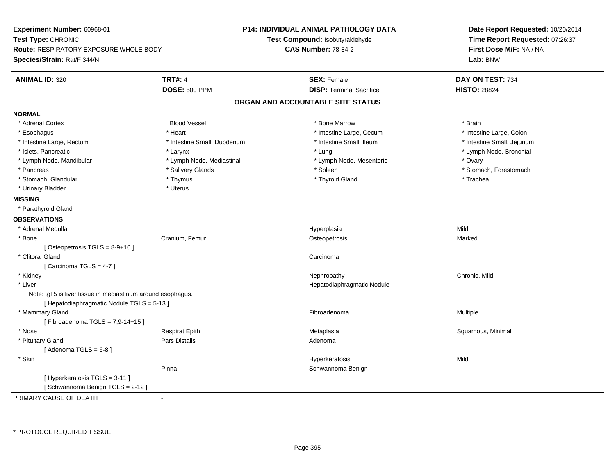| Experiment Number: 60968-01<br>Test Type: CHRONIC<br>Route: RESPIRATORY EXPOSURE WHOLE BODY<br>Species/Strain: Rat/F 344/N |                             | <b>P14: INDIVIDUAL ANIMAL PATHOLOGY DATA</b><br>Test Compound: Isobutyraldehyde<br><b>CAS Number: 78-84-2</b> | Date Report Requested: 10/20/2014<br>Time Report Requested: 07:26:37<br>First Dose M/F: NA / NA<br>Lab: BNW |
|----------------------------------------------------------------------------------------------------------------------------|-----------------------------|---------------------------------------------------------------------------------------------------------------|-------------------------------------------------------------------------------------------------------------|
| <b>ANIMAL ID: 320</b>                                                                                                      | <b>TRT#: 4</b>              | <b>SEX: Female</b>                                                                                            | DAY ON TEST: 734                                                                                            |
|                                                                                                                            | <b>DOSE: 500 PPM</b>        | <b>DISP: Terminal Sacrifice</b>                                                                               | <b>HISTO: 28824</b>                                                                                         |
|                                                                                                                            |                             | ORGAN AND ACCOUNTABLE SITE STATUS                                                                             |                                                                                                             |
| <b>NORMAL</b>                                                                                                              |                             |                                                                                                               |                                                                                                             |
| * Adrenal Cortex                                                                                                           | <b>Blood Vessel</b>         | * Bone Marrow                                                                                                 | * Brain                                                                                                     |
| * Esophagus                                                                                                                | * Heart                     | * Intestine Large, Cecum                                                                                      | * Intestine Large, Colon                                                                                    |
| * Intestine Large, Rectum                                                                                                  | * Intestine Small, Duodenum | * Intestine Small, Ileum                                                                                      | * Intestine Small, Jejunum                                                                                  |
| * Islets, Pancreatic                                                                                                       | * Larynx                    | * Lung                                                                                                        | * Lymph Node, Bronchial                                                                                     |
| * Lymph Node, Mandibular                                                                                                   | * Lymph Node, Mediastinal   | * Lymph Node, Mesenteric                                                                                      | * Ovary                                                                                                     |
| * Pancreas                                                                                                                 | * Salivary Glands           | * Spleen                                                                                                      | * Stomach, Forestomach                                                                                      |
| * Stomach, Glandular                                                                                                       | * Thymus                    | * Thyroid Gland                                                                                               | * Trachea                                                                                                   |
| * Urinary Bladder                                                                                                          | * Uterus                    |                                                                                                               |                                                                                                             |
| <b>MISSING</b>                                                                                                             |                             |                                                                                                               |                                                                                                             |
| * Parathyroid Gland                                                                                                        |                             |                                                                                                               |                                                                                                             |
| <b>OBSERVATIONS</b>                                                                                                        |                             |                                                                                                               |                                                                                                             |
| * Adrenal Medulla                                                                                                          |                             | Hyperplasia                                                                                                   | Mild                                                                                                        |
| * Bone                                                                                                                     | Cranium, Femur              | Osteopetrosis                                                                                                 | Marked                                                                                                      |
| [Osteopetrosis $TGLS = 8-9+10$ ]                                                                                           |                             |                                                                                                               |                                                                                                             |
| * Clitoral Gland                                                                                                           |                             | Carcinoma                                                                                                     |                                                                                                             |
| [Carcinoma TGLS = $4-7$ ]                                                                                                  |                             |                                                                                                               |                                                                                                             |
| * Kidney                                                                                                                   |                             | Nephropathy                                                                                                   | Chronic, Mild                                                                                               |
| * Liver                                                                                                                    |                             | Hepatodiaphragmatic Nodule                                                                                    |                                                                                                             |
| Note: tgl 5 is liver tissue in mediastinum around esophagus.                                                               |                             |                                                                                                               |                                                                                                             |
| [ Hepatodiaphragmatic Nodule TGLS = 5-13 ]                                                                                 |                             |                                                                                                               |                                                                                                             |
| * Mammary Gland                                                                                                            |                             | Fibroadenoma                                                                                                  | Multiple                                                                                                    |
| [Fibroadenoma TGLS = 7,9-14+15]                                                                                            |                             |                                                                                                               |                                                                                                             |
| * Nose                                                                                                                     | <b>Respirat Epith</b>       | Metaplasia                                                                                                    | Squamous, Minimal                                                                                           |
| * Pituitary Gland                                                                                                          | Pars Distalis               | Adenoma                                                                                                       |                                                                                                             |
| [Adenoma TGLS = $6-8$ ]                                                                                                    |                             |                                                                                                               |                                                                                                             |
| * Skin                                                                                                                     |                             | Hyperkeratosis                                                                                                | Mild                                                                                                        |
|                                                                                                                            | Pinna                       | Schwannoma Benign                                                                                             |                                                                                                             |
| [ Hyperkeratosis TGLS = 3-11 ]<br>[Schwannoma Benign TGLS = 2-12]                                                          |                             |                                                                                                               |                                                                                                             |
|                                                                                                                            |                             |                                                                                                               |                                                                                                             |

PRIMARY CAUSE OF DEATH-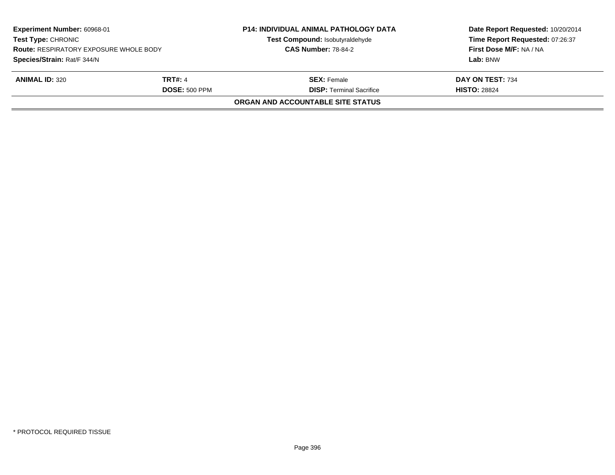| Experiment Number: 60968-01<br><b>Test Type: CHRONIC</b><br><b>Route: RESPIRATORY EXPOSURE WHOLE BODY</b> |                      | <b>P14: INDIVIDUAL ANIMAL PATHOLOGY DATA</b><br>Test Compound: Isobutyraldehyde | Date Report Requested: 10/20/2014<br>Time Report Requested: 07:26:37<br>First Dose M/F: NA / NA |
|-----------------------------------------------------------------------------------------------------------|----------------------|---------------------------------------------------------------------------------|-------------------------------------------------------------------------------------------------|
|                                                                                                           |                      | <b>CAS Number: 78-84-2</b>                                                      |                                                                                                 |
| Species/Strain: Rat/F 344/N                                                                               |                      |                                                                                 | Lab: BNW                                                                                        |
| <b>ANIMAL ID: 320</b>                                                                                     | <b>TRT#: 4</b>       | <b>SEX: Female</b>                                                              | DAY ON TEST: 734                                                                                |
|                                                                                                           | <b>DOSE: 500 PPM</b> | <b>DISP: Terminal Sacrifice</b>                                                 | <b>HISTO: 28824</b>                                                                             |
|                                                                                                           |                      | ORGAN AND ACCOUNTABLE SITE STATUS                                               |                                                                                                 |
|                                                                                                           |                      |                                                                                 |                                                                                                 |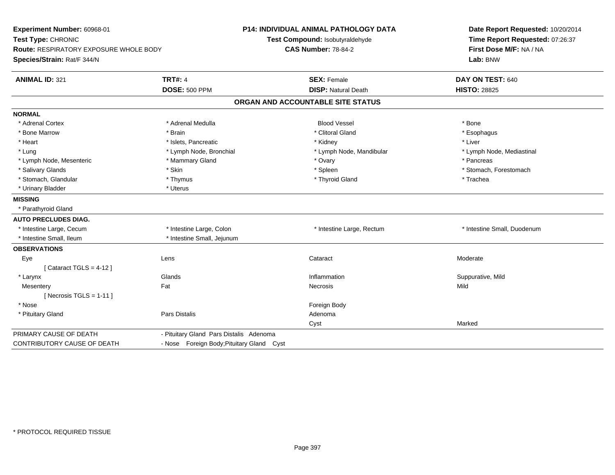| Experiment Number: 60968-01<br>Test Type: CHRONIC<br>Route: RESPIRATORY EXPOSURE WHOLE BODY<br>Species/Strain: Rat/F 344/N |                                           | <b>P14: INDIVIDUAL ANIMAL PATHOLOGY DATA</b><br>Test Compound: Isobutyraldehyde<br><b>CAS Number: 78-84-2</b> | Date Report Requested: 10/20/2014<br>Time Report Requested: 07:26:37<br>First Dose M/F: NA / NA<br>Lab: BNW |
|----------------------------------------------------------------------------------------------------------------------------|-------------------------------------------|---------------------------------------------------------------------------------------------------------------|-------------------------------------------------------------------------------------------------------------|
| <b>ANIMAL ID: 321</b>                                                                                                      | <b>TRT#: 4</b>                            | <b>SEX: Female</b>                                                                                            | DAY ON TEST: 640                                                                                            |
|                                                                                                                            | <b>DOSE: 500 PPM</b>                      | <b>DISP: Natural Death</b>                                                                                    | <b>HISTO: 28825</b>                                                                                         |
|                                                                                                                            |                                           | ORGAN AND ACCOUNTABLE SITE STATUS                                                                             |                                                                                                             |
| <b>NORMAL</b>                                                                                                              |                                           |                                                                                                               |                                                                                                             |
| * Adrenal Cortex                                                                                                           | * Adrenal Medulla                         | <b>Blood Vessel</b>                                                                                           | * Bone                                                                                                      |
| * Bone Marrow                                                                                                              | * Brain                                   | * Clitoral Gland                                                                                              | * Esophagus                                                                                                 |
| * Heart                                                                                                                    | * Islets, Pancreatic                      | * Kidney                                                                                                      | * Liver                                                                                                     |
| * Lung                                                                                                                     | * Lymph Node, Bronchial                   | * Lymph Node, Mandibular                                                                                      | * Lymph Node, Mediastinal                                                                                   |
| * Lymph Node, Mesenteric                                                                                                   | * Mammary Gland                           | * Ovary                                                                                                       | * Pancreas                                                                                                  |
| * Salivary Glands                                                                                                          | * Skin                                    | * Spleen                                                                                                      | * Stomach, Forestomach                                                                                      |
| * Stomach, Glandular                                                                                                       | * Thymus                                  | * Thyroid Gland                                                                                               | * Trachea                                                                                                   |
| * Urinary Bladder                                                                                                          | * Uterus                                  |                                                                                                               |                                                                                                             |
| <b>MISSING</b>                                                                                                             |                                           |                                                                                                               |                                                                                                             |
| * Parathyroid Gland                                                                                                        |                                           |                                                                                                               |                                                                                                             |
| <b>AUTO PRECLUDES DIAG.</b>                                                                                                |                                           |                                                                                                               |                                                                                                             |
| * Intestine Large, Cecum                                                                                                   | * Intestine Large, Colon                  | * Intestine Large, Rectum                                                                                     | * Intestine Small, Duodenum                                                                                 |
| * Intestine Small. Ileum                                                                                                   | * Intestine Small, Jejunum                |                                                                                                               |                                                                                                             |
| <b>OBSERVATIONS</b>                                                                                                        |                                           |                                                                                                               |                                                                                                             |
| Eye                                                                                                                        | Lens                                      | Cataract                                                                                                      | Moderate                                                                                                    |
| [Cataract TGLS = $4-12$ ]                                                                                                  |                                           |                                                                                                               |                                                                                                             |
| * Larynx                                                                                                                   | Glands                                    | Inflammation                                                                                                  | Suppurative, Mild                                                                                           |
| Mesentery                                                                                                                  | Fat                                       | Necrosis                                                                                                      | Mild                                                                                                        |
| [ Necrosis TGLS = $1-11$ ]                                                                                                 |                                           |                                                                                                               |                                                                                                             |
| * Nose                                                                                                                     |                                           | Foreign Body                                                                                                  |                                                                                                             |
| * Pituitary Gland                                                                                                          | <b>Pars Distalis</b>                      | Adenoma                                                                                                       |                                                                                                             |
|                                                                                                                            |                                           | Cyst                                                                                                          | Marked                                                                                                      |
| PRIMARY CAUSE OF DEATH                                                                                                     | - Pituitary Gland Pars Distalis Adenoma   |                                                                                                               |                                                                                                             |
| CONTRIBUTORY CAUSE OF DEATH                                                                                                | - Nose Foreign Body; Pituitary Gland Cyst |                                                                                                               |                                                                                                             |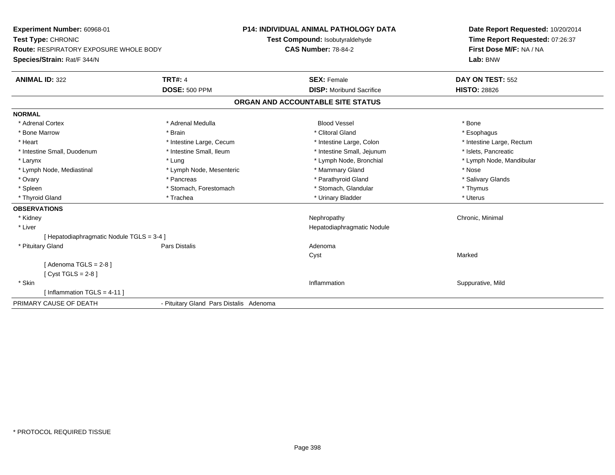| Experiment Number: 60968-01                   |                                         | <b>P14: INDIVIDUAL ANIMAL PATHOLOGY DATA</b> | Date Report Requested: 10/20/2014 |
|-----------------------------------------------|-----------------------------------------|----------------------------------------------|-----------------------------------|
| Test Type: CHRONIC                            |                                         | Test Compound: Isobutyraldehyde              | Time Report Requested: 07:26:37   |
| <b>Route: RESPIRATORY EXPOSURE WHOLE BODY</b> |                                         | <b>CAS Number: 78-84-2</b>                   | First Dose M/F: NA / NA           |
| Species/Strain: Rat/F 344/N                   |                                         |                                              | Lab: BNW                          |
| <b>ANIMAL ID: 322</b>                         | <b>TRT#: 4</b>                          | <b>SEX: Female</b>                           | DAY ON TEST: 552                  |
|                                               | <b>DOSE: 500 PPM</b>                    | <b>DISP:</b> Moribund Sacrifice              | <b>HISTO: 28826</b>               |
|                                               |                                         | ORGAN AND ACCOUNTABLE SITE STATUS            |                                   |
| <b>NORMAL</b>                                 |                                         |                                              |                                   |
| * Adrenal Cortex                              | * Adrenal Medulla                       | <b>Blood Vessel</b>                          | * Bone                            |
| * Bone Marrow                                 | * Brain                                 | * Clitoral Gland                             | * Esophagus                       |
| * Heart                                       | * Intestine Large, Cecum                | * Intestine Large, Colon                     | * Intestine Large, Rectum         |
| * Intestine Small, Duodenum                   | * Intestine Small, Ileum                | * Intestine Small, Jejunum                   | * Islets, Pancreatic              |
| * Larynx                                      | * Lung                                  | * Lymph Node, Bronchial                      | * Lymph Node, Mandibular          |
| * Lymph Node, Mediastinal                     | * Lymph Node, Mesenteric                | * Mammary Gland                              | * Nose                            |
| * Ovary                                       | * Pancreas                              | * Parathyroid Gland                          | * Salivary Glands                 |
| * Spleen                                      | * Stomach, Forestomach                  | * Stomach, Glandular                         | * Thymus                          |
| * Thyroid Gland                               | * Trachea                               | * Urinary Bladder                            | * Uterus                          |
| <b>OBSERVATIONS</b>                           |                                         |                                              |                                   |
| * Kidney                                      |                                         | Nephropathy                                  | Chronic, Minimal                  |
| * Liver                                       |                                         | Hepatodiaphragmatic Nodule                   |                                   |
| [ Hepatodiaphragmatic Nodule TGLS = 3-4 ]     |                                         |                                              |                                   |
| * Pituitary Gland                             | Pars Distalis                           | Adenoma                                      |                                   |
|                                               |                                         | Cyst                                         | Marked                            |
| [Adenoma TGLS = $2-8$ ]                       |                                         |                                              |                                   |
| [ $Cyst TGLS = 2-8$ ]                         |                                         |                                              |                                   |
| * Skin                                        |                                         | Inflammation                                 | Suppurative, Mild                 |
| [Inflammation TGLS = $4-11$ ]                 |                                         |                                              |                                   |
| PRIMARY CAUSE OF DEATH                        | - Pituitary Gland Pars Distalis Adenoma |                                              |                                   |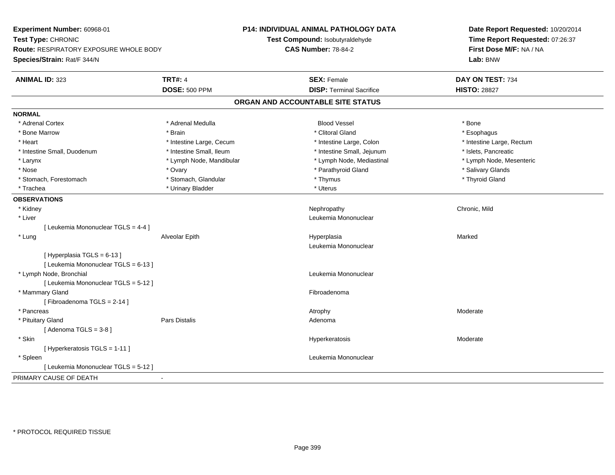| Experiment Number: 60968-01<br>Test Type: CHRONIC<br><b>Route: RESPIRATORY EXPOSURE WHOLE BODY</b> |                          | <b>P14: INDIVIDUAL ANIMAL PATHOLOGY DATA</b> | Date Report Requested: 10/20/2014<br>Time Report Requested: 07:26:37 |
|----------------------------------------------------------------------------------------------------|--------------------------|----------------------------------------------|----------------------------------------------------------------------|
|                                                                                                    |                          | Test Compound: Isobutyraldehyde              |                                                                      |
|                                                                                                    |                          | <b>CAS Number: 78-84-2</b>                   | First Dose M/F: NA / NA                                              |
| Species/Strain: Rat/F 344/N                                                                        |                          |                                              | Lab: BNW                                                             |
| <b>ANIMAL ID: 323</b>                                                                              | <b>TRT#: 4</b>           | <b>SEX: Female</b>                           | DAY ON TEST: 734                                                     |
|                                                                                                    | <b>DOSE: 500 PPM</b>     | <b>DISP: Terminal Sacrifice</b>              | <b>HISTO: 28827</b>                                                  |
|                                                                                                    |                          | ORGAN AND ACCOUNTABLE SITE STATUS            |                                                                      |
| <b>NORMAL</b>                                                                                      |                          |                                              |                                                                      |
| * Adrenal Cortex                                                                                   | * Adrenal Medulla        | <b>Blood Vessel</b>                          | * Bone                                                               |
| * Bone Marrow                                                                                      | * Brain                  | * Clitoral Gland                             | * Esophagus                                                          |
| * Heart                                                                                            | * Intestine Large, Cecum | * Intestine Large, Colon                     | * Intestine Large, Rectum                                            |
| * Intestine Small, Duodenum                                                                        | * Intestine Small, Ileum | * Intestine Small, Jejunum                   | * Islets, Pancreatic                                                 |
| * Larynx                                                                                           | * Lymph Node, Mandibular | * Lymph Node, Mediastinal                    | * Lymph Node, Mesenteric                                             |
| * Nose                                                                                             | * Ovary                  | * Parathyroid Gland                          | * Salivary Glands                                                    |
| * Stomach, Forestomach                                                                             | * Stomach, Glandular     | * Thymus                                     | * Thyroid Gland                                                      |
| * Trachea                                                                                          | * Urinary Bladder        | * Uterus                                     |                                                                      |
| <b>OBSERVATIONS</b>                                                                                |                          |                                              |                                                                      |
| * Kidney                                                                                           |                          | Nephropathy                                  | Chronic, Mild                                                        |
| * Liver                                                                                            |                          | Leukemia Mononuclear                         |                                                                      |
| [ Leukemia Mononuclear TGLS = 4-4 ]                                                                |                          |                                              |                                                                      |
| * Lung                                                                                             | Alveolar Epith           | Hyperplasia                                  | Marked                                                               |
|                                                                                                    |                          | Leukemia Mononuclear                         |                                                                      |
| [Hyperplasia TGLS = 6-13]                                                                          |                          |                                              |                                                                      |
| [ Leukemia Mononuclear TGLS = 6-13 ]                                                               |                          |                                              |                                                                      |
| * Lymph Node, Bronchial                                                                            |                          | Leukemia Mononuclear                         |                                                                      |
| [ Leukemia Mononuclear TGLS = 5-12 ]                                                               |                          |                                              |                                                                      |
| * Mammary Gland                                                                                    |                          | Fibroadenoma                                 |                                                                      |
| [Fibroadenoma TGLS = $2-14$ ]                                                                      |                          |                                              |                                                                      |
| * Pancreas                                                                                         |                          | Atrophy                                      | Moderate                                                             |
| * Pituitary Gland                                                                                  | Pars Distalis            | Adenoma                                      |                                                                      |
| [Adenoma TGLS = $3-8$ ]                                                                            |                          |                                              |                                                                      |
| * Skin                                                                                             |                          | Hyperkeratosis                               | Moderate                                                             |
| [ Hyperkeratosis TGLS = 1-11 ]                                                                     |                          |                                              |                                                                      |
| * Spleen                                                                                           |                          | Leukemia Mononuclear                         |                                                                      |
| [ Leukemia Mononuclear TGLS = 5-12 ]                                                               |                          |                                              |                                                                      |
| PRIMARY CAUSE OF DEATH                                                                             | $\blacksquare$           |                                              |                                                                      |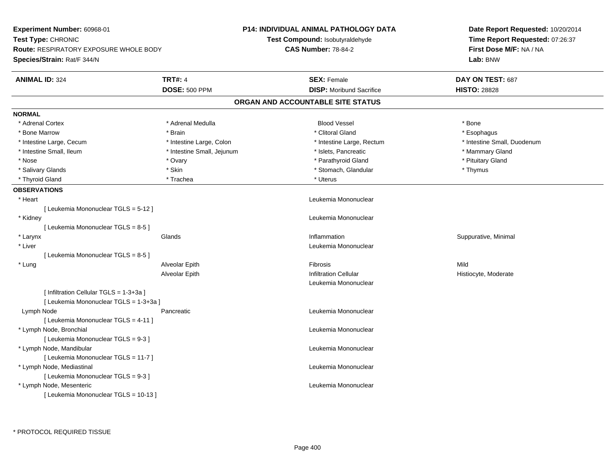| Test Type: CHRONIC<br>Test Compound: Isobutyraldehyde<br>Time Report Requested: 07:26:37<br><b>CAS Number: 78-84-2</b><br>First Dose M/F: NA / NA<br><b>Route: RESPIRATORY EXPOSURE WHOLE BODY</b><br>Species/Strain: Rat/F 344/N<br>Lab: BNW<br><b>TRT#: 4</b><br><b>ANIMAL ID: 324</b><br><b>SEX: Female</b><br>DAY ON TEST: 687<br><b>DOSE: 500 PPM</b><br><b>DISP:</b> Moribund Sacrifice<br><b>HISTO: 28828</b><br>ORGAN AND ACCOUNTABLE SITE STATUS<br><b>NORMAL</b><br>* Adrenal Cortex<br>* Adrenal Medulla<br><b>Blood Vessel</b><br>* Bone<br>* Brain<br>* Clitoral Gland<br>* Bone Marrow<br>* Esophagus<br>* Intestine Large, Cecum<br>* Intestine Large, Colon<br>* Intestine Large, Rectum<br>* Intestine Small, Duodenum<br>* Intestine Small, Ileum<br>* Intestine Small, Jejunum<br>* Islets, Pancreatic<br>* Mammary Gland<br>* Parathyroid Gland<br>* Pituitary Gland<br>* Nose<br>* Ovary<br>$*$ Skin<br>* Salivary Glands<br>* Stomach, Glandular<br>* Thymus<br>* Trachea<br>* Uterus<br>* Thyroid Gland<br><b>OBSERVATIONS</b><br>* Heart<br>Leukemia Mononuclear<br>[ Leukemia Mononuclear TGLS = 5-12 ]<br>* Kidney<br>Leukemia Mononuclear<br>[Leukemia Mononuclear TGLS = 8-5]<br>Glands<br>Inflammation<br>Suppurative, Minimal<br>* Larynx<br>* Liver<br>Leukemia Mononuclear<br>[Leukemia Mononuclear TGLS = 8-5]<br>Fibrosis<br>* Lung<br>Alveolar Epith<br>Mild<br><b>Infiltration Cellular</b><br>Alveolar Epith<br>Histiocyte, Moderate<br>Leukemia Mononuclear<br>[ Infiltration Cellular TGLS = 1-3+3a ]<br>[ Leukemia Mononuclear TGLS = 1-3+3a ]<br>Lymph Node<br>Pancreatic<br>Leukemia Mononuclear<br>[ Leukemia Mononuclear TGLS = 4-11 ]<br>* Lymph Node, Bronchial<br>Leukemia Mononuclear<br>[ Leukemia Mononuclear TGLS = 9-3 ]<br>* Lymph Node, Mandibular<br>Leukemia Mononuclear<br>[ Leukemia Mononuclear TGLS = 11-7 ]<br>* Lymph Node, Mediastinal<br>Leukemia Mononuclear<br>[ Leukemia Mononuclear TGLS = 9-3 ]<br>* Lymph Node, Mesenteric<br>Leukemia Mononuclear<br>[ Leukemia Mononuclear TGLS = 10-13 ] | Experiment Number: 60968-01 |  | <b>P14: INDIVIDUAL ANIMAL PATHOLOGY DATA</b> | Date Report Requested: 10/20/2014 |  |
|-------------------------------------------------------------------------------------------------------------------------------------------------------------------------------------------------------------------------------------------------------------------------------------------------------------------------------------------------------------------------------------------------------------------------------------------------------------------------------------------------------------------------------------------------------------------------------------------------------------------------------------------------------------------------------------------------------------------------------------------------------------------------------------------------------------------------------------------------------------------------------------------------------------------------------------------------------------------------------------------------------------------------------------------------------------------------------------------------------------------------------------------------------------------------------------------------------------------------------------------------------------------------------------------------------------------------------------------------------------------------------------------------------------------------------------------------------------------------------------------------------------------------------------------------------------------------------------------------------------------------------------------------------------------------------------------------------------------------------------------------------------------------------------------------------------------------------------------------------------------------------------------------------------------------------------------------------------------------------------------------------------------------------------------------------------------|-----------------------------|--|----------------------------------------------|-----------------------------------|--|
|                                                                                                                                                                                                                                                                                                                                                                                                                                                                                                                                                                                                                                                                                                                                                                                                                                                                                                                                                                                                                                                                                                                                                                                                                                                                                                                                                                                                                                                                                                                                                                                                                                                                                                                                                                                                                                                                                                                                                                                                                                                                   |                             |  |                                              |                                   |  |
|                                                                                                                                                                                                                                                                                                                                                                                                                                                                                                                                                                                                                                                                                                                                                                                                                                                                                                                                                                                                                                                                                                                                                                                                                                                                                                                                                                                                                                                                                                                                                                                                                                                                                                                                                                                                                                                                                                                                                                                                                                                                   |                             |  |                                              |                                   |  |
|                                                                                                                                                                                                                                                                                                                                                                                                                                                                                                                                                                                                                                                                                                                                                                                                                                                                                                                                                                                                                                                                                                                                                                                                                                                                                                                                                                                                                                                                                                                                                                                                                                                                                                                                                                                                                                                                                                                                                                                                                                                                   |                             |  |                                              |                                   |  |
|                                                                                                                                                                                                                                                                                                                                                                                                                                                                                                                                                                                                                                                                                                                                                                                                                                                                                                                                                                                                                                                                                                                                                                                                                                                                                                                                                                                                                                                                                                                                                                                                                                                                                                                                                                                                                                                                                                                                                                                                                                                                   |                             |  |                                              |                                   |  |
|                                                                                                                                                                                                                                                                                                                                                                                                                                                                                                                                                                                                                                                                                                                                                                                                                                                                                                                                                                                                                                                                                                                                                                                                                                                                                                                                                                                                                                                                                                                                                                                                                                                                                                                                                                                                                                                                                                                                                                                                                                                                   |                             |  |                                              |                                   |  |
|                                                                                                                                                                                                                                                                                                                                                                                                                                                                                                                                                                                                                                                                                                                                                                                                                                                                                                                                                                                                                                                                                                                                                                                                                                                                                                                                                                                                                                                                                                                                                                                                                                                                                                                                                                                                                                                                                                                                                                                                                                                                   |                             |  |                                              |                                   |  |
|                                                                                                                                                                                                                                                                                                                                                                                                                                                                                                                                                                                                                                                                                                                                                                                                                                                                                                                                                                                                                                                                                                                                                                                                                                                                                                                                                                                                                                                                                                                                                                                                                                                                                                                                                                                                                                                                                                                                                                                                                                                                   |                             |  |                                              |                                   |  |
|                                                                                                                                                                                                                                                                                                                                                                                                                                                                                                                                                                                                                                                                                                                                                                                                                                                                                                                                                                                                                                                                                                                                                                                                                                                                                                                                                                                                                                                                                                                                                                                                                                                                                                                                                                                                                                                                                                                                                                                                                                                                   |                             |  |                                              |                                   |  |
|                                                                                                                                                                                                                                                                                                                                                                                                                                                                                                                                                                                                                                                                                                                                                                                                                                                                                                                                                                                                                                                                                                                                                                                                                                                                                                                                                                                                                                                                                                                                                                                                                                                                                                                                                                                                                                                                                                                                                                                                                                                                   |                             |  |                                              |                                   |  |
|                                                                                                                                                                                                                                                                                                                                                                                                                                                                                                                                                                                                                                                                                                                                                                                                                                                                                                                                                                                                                                                                                                                                                                                                                                                                                                                                                                                                                                                                                                                                                                                                                                                                                                                                                                                                                                                                                                                                                                                                                                                                   |                             |  |                                              |                                   |  |
|                                                                                                                                                                                                                                                                                                                                                                                                                                                                                                                                                                                                                                                                                                                                                                                                                                                                                                                                                                                                                                                                                                                                                                                                                                                                                                                                                                                                                                                                                                                                                                                                                                                                                                                                                                                                                                                                                                                                                                                                                                                                   |                             |  |                                              |                                   |  |
|                                                                                                                                                                                                                                                                                                                                                                                                                                                                                                                                                                                                                                                                                                                                                                                                                                                                                                                                                                                                                                                                                                                                                                                                                                                                                                                                                                                                                                                                                                                                                                                                                                                                                                                                                                                                                                                                                                                                                                                                                                                                   |                             |  |                                              |                                   |  |
|                                                                                                                                                                                                                                                                                                                                                                                                                                                                                                                                                                                                                                                                                                                                                                                                                                                                                                                                                                                                                                                                                                                                                                                                                                                                                                                                                                                                                                                                                                                                                                                                                                                                                                                                                                                                                                                                                                                                                                                                                                                                   |                             |  |                                              |                                   |  |
|                                                                                                                                                                                                                                                                                                                                                                                                                                                                                                                                                                                                                                                                                                                                                                                                                                                                                                                                                                                                                                                                                                                                                                                                                                                                                                                                                                                                                                                                                                                                                                                                                                                                                                                                                                                                                                                                                                                                                                                                                                                                   |                             |  |                                              |                                   |  |
|                                                                                                                                                                                                                                                                                                                                                                                                                                                                                                                                                                                                                                                                                                                                                                                                                                                                                                                                                                                                                                                                                                                                                                                                                                                                                                                                                                                                                                                                                                                                                                                                                                                                                                                                                                                                                                                                                                                                                                                                                                                                   |                             |  |                                              |                                   |  |
|                                                                                                                                                                                                                                                                                                                                                                                                                                                                                                                                                                                                                                                                                                                                                                                                                                                                                                                                                                                                                                                                                                                                                                                                                                                                                                                                                                                                                                                                                                                                                                                                                                                                                                                                                                                                                                                                                                                                                                                                                                                                   |                             |  |                                              |                                   |  |
|                                                                                                                                                                                                                                                                                                                                                                                                                                                                                                                                                                                                                                                                                                                                                                                                                                                                                                                                                                                                                                                                                                                                                                                                                                                                                                                                                                                                                                                                                                                                                                                                                                                                                                                                                                                                                                                                                                                                                                                                                                                                   |                             |  |                                              |                                   |  |
|                                                                                                                                                                                                                                                                                                                                                                                                                                                                                                                                                                                                                                                                                                                                                                                                                                                                                                                                                                                                                                                                                                                                                                                                                                                                                                                                                                                                                                                                                                                                                                                                                                                                                                                                                                                                                                                                                                                                                                                                                                                                   |                             |  |                                              |                                   |  |
|                                                                                                                                                                                                                                                                                                                                                                                                                                                                                                                                                                                                                                                                                                                                                                                                                                                                                                                                                                                                                                                                                                                                                                                                                                                                                                                                                                                                                                                                                                                                                                                                                                                                                                                                                                                                                                                                                                                                                                                                                                                                   |                             |  |                                              |                                   |  |
|                                                                                                                                                                                                                                                                                                                                                                                                                                                                                                                                                                                                                                                                                                                                                                                                                                                                                                                                                                                                                                                                                                                                                                                                                                                                                                                                                                                                                                                                                                                                                                                                                                                                                                                                                                                                                                                                                                                                                                                                                                                                   |                             |  |                                              |                                   |  |
|                                                                                                                                                                                                                                                                                                                                                                                                                                                                                                                                                                                                                                                                                                                                                                                                                                                                                                                                                                                                                                                                                                                                                                                                                                                                                                                                                                                                                                                                                                                                                                                                                                                                                                                                                                                                                                                                                                                                                                                                                                                                   |                             |  |                                              |                                   |  |
|                                                                                                                                                                                                                                                                                                                                                                                                                                                                                                                                                                                                                                                                                                                                                                                                                                                                                                                                                                                                                                                                                                                                                                                                                                                                                                                                                                                                                                                                                                                                                                                                                                                                                                                                                                                                                                                                                                                                                                                                                                                                   |                             |  |                                              |                                   |  |
|                                                                                                                                                                                                                                                                                                                                                                                                                                                                                                                                                                                                                                                                                                                                                                                                                                                                                                                                                                                                                                                                                                                                                                                                                                                                                                                                                                                                                                                                                                                                                                                                                                                                                                                                                                                                                                                                                                                                                                                                                                                                   |                             |  |                                              |                                   |  |
|                                                                                                                                                                                                                                                                                                                                                                                                                                                                                                                                                                                                                                                                                                                                                                                                                                                                                                                                                                                                                                                                                                                                                                                                                                                                                                                                                                                                                                                                                                                                                                                                                                                                                                                                                                                                                                                                                                                                                                                                                                                                   |                             |  |                                              |                                   |  |
|                                                                                                                                                                                                                                                                                                                                                                                                                                                                                                                                                                                                                                                                                                                                                                                                                                                                                                                                                                                                                                                                                                                                                                                                                                                                                                                                                                                                                                                                                                                                                                                                                                                                                                                                                                                                                                                                                                                                                                                                                                                                   |                             |  |                                              |                                   |  |
|                                                                                                                                                                                                                                                                                                                                                                                                                                                                                                                                                                                                                                                                                                                                                                                                                                                                                                                                                                                                                                                                                                                                                                                                                                                                                                                                                                                                                                                                                                                                                                                                                                                                                                                                                                                                                                                                                                                                                                                                                                                                   |                             |  |                                              |                                   |  |
|                                                                                                                                                                                                                                                                                                                                                                                                                                                                                                                                                                                                                                                                                                                                                                                                                                                                                                                                                                                                                                                                                                                                                                                                                                                                                                                                                                                                                                                                                                                                                                                                                                                                                                                                                                                                                                                                                                                                                                                                                                                                   |                             |  |                                              |                                   |  |
|                                                                                                                                                                                                                                                                                                                                                                                                                                                                                                                                                                                                                                                                                                                                                                                                                                                                                                                                                                                                                                                                                                                                                                                                                                                                                                                                                                                                                                                                                                                                                                                                                                                                                                                                                                                                                                                                                                                                                                                                                                                                   |                             |  |                                              |                                   |  |
|                                                                                                                                                                                                                                                                                                                                                                                                                                                                                                                                                                                                                                                                                                                                                                                                                                                                                                                                                                                                                                                                                                                                                                                                                                                                                                                                                                                                                                                                                                                                                                                                                                                                                                                                                                                                                                                                                                                                                                                                                                                                   |                             |  |                                              |                                   |  |
|                                                                                                                                                                                                                                                                                                                                                                                                                                                                                                                                                                                                                                                                                                                                                                                                                                                                                                                                                                                                                                                                                                                                                                                                                                                                                                                                                                                                                                                                                                                                                                                                                                                                                                                                                                                                                                                                                                                                                                                                                                                                   |                             |  |                                              |                                   |  |
|                                                                                                                                                                                                                                                                                                                                                                                                                                                                                                                                                                                                                                                                                                                                                                                                                                                                                                                                                                                                                                                                                                                                                                                                                                                                                                                                                                                                                                                                                                                                                                                                                                                                                                                                                                                                                                                                                                                                                                                                                                                                   |                             |  |                                              |                                   |  |
|                                                                                                                                                                                                                                                                                                                                                                                                                                                                                                                                                                                                                                                                                                                                                                                                                                                                                                                                                                                                                                                                                                                                                                                                                                                                                                                                                                                                                                                                                                                                                                                                                                                                                                                                                                                                                                                                                                                                                                                                                                                                   |                             |  |                                              |                                   |  |
|                                                                                                                                                                                                                                                                                                                                                                                                                                                                                                                                                                                                                                                                                                                                                                                                                                                                                                                                                                                                                                                                                                                                                                                                                                                                                                                                                                                                                                                                                                                                                                                                                                                                                                                                                                                                                                                                                                                                                                                                                                                                   |                             |  |                                              |                                   |  |
|                                                                                                                                                                                                                                                                                                                                                                                                                                                                                                                                                                                                                                                                                                                                                                                                                                                                                                                                                                                                                                                                                                                                                                                                                                                                                                                                                                                                                                                                                                                                                                                                                                                                                                                                                                                                                                                                                                                                                                                                                                                                   |                             |  |                                              |                                   |  |
|                                                                                                                                                                                                                                                                                                                                                                                                                                                                                                                                                                                                                                                                                                                                                                                                                                                                                                                                                                                                                                                                                                                                                                                                                                                                                                                                                                                                                                                                                                                                                                                                                                                                                                                                                                                                                                                                                                                                                                                                                                                                   |                             |  |                                              |                                   |  |
|                                                                                                                                                                                                                                                                                                                                                                                                                                                                                                                                                                                                                                                                                                                                                                                                                                                                                                                                                                                                                                                                                                                                                                                                                                                                                                                                                                                                                                                                                                                                                                                                                                                                                                                                                                                                                                                                                                                                                                                                                                                                   |                             |  |                                              |                                   |  |
|                                                                                                                                                                                                                                                                                                                                                                                                                                                                                                                                                                                                                                                                                                                                                                                                                                                                                                                                                                                                                                                                                                                                                                                                                                                                                                                                                                                                                                                                                                                                                                                                                                                                                                                                                                                                                                                                                                                                                                                                                                                                   |                             |  |                                              |                                   |  |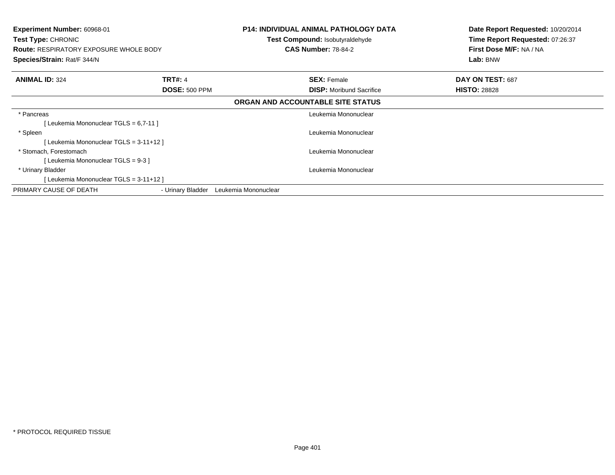| <b>Experiment Number: 60968-01</b><br><b>Test Type: CHRONIC</b> |                      | <b>P14: INDIVIDUAL ANIMAL PATHOLOGY DATA</b><br><b>Test Compound: Isobutyraldehyde</b> | Date Report Requested: 10/20/2014<br>Time Report Requested: 07:26:37 |
|-----------------------------------------------------------------|----------------------|----------------------------------------------------------------------------------------|----------------------------------------------------------------------|
| <b>Route: RESPIRATORY EXPOSURE WHOLE BODY</b>                   |                      | <b>CAS Number: 78-84-2</b>                                                             | First Dose M/F: NA / NA                                              |
| Species/Strain: Rat/F 344/N                                     |                      |                                                                                        | Lab: BNW                                                             |
| <b>ANIMAL ID: 324</b>                                           | <b>TRT#: 4</b>       | <b>SEX: Female</b>                                                                     | DAY ON TEST: 687                                                     |
|                                                                 | <b>DOSE: 500 PPM</b> | <b>DISP:</b> Moribund Sacrifice                                                        | <b>HISTO: 28828</b>                                                  |
|                                                                 |                      | ORGAN AND ACCOUNTABLE SITE STATUS                                                      |                                                                      |
| * Pancreas                                                      |                      | Leukemia Mononuclear                                                                   |                                                                      |
| [ Leukemia Mononuclear TGLS = 6,7-11 ]                          |                      |                                                                                        |                                                                      |
| * Spleen                                                        |                      | Leukemia Mononuclear                                                                   |                                                                      |
| [Leukemia Mononuclear TGLS = 3-11+12]                           |                      |                                                                                        |                                                                      |
| * Stomach, Forestomach                                          |                      | Leukemia Mononuclear                                                                   |                                                                      |
| [Leukemia Mononuclear TGLS = 9-3 ]                              |                      |                                                                                        |                                                                      |
| * Urinary Bladder                                               |                      | Leukemia Mononuclear                                                                   |                                                                      |
| [Leukemia Mononuclear TGLS = 3-11+12 ]                          |                      |                                                                                        |                                                                      |
| PRIMARY CAUSE OF DEATH                                          | - Urinary Bladder    | Leukemia Mononuclear                                                                   |                                                                      |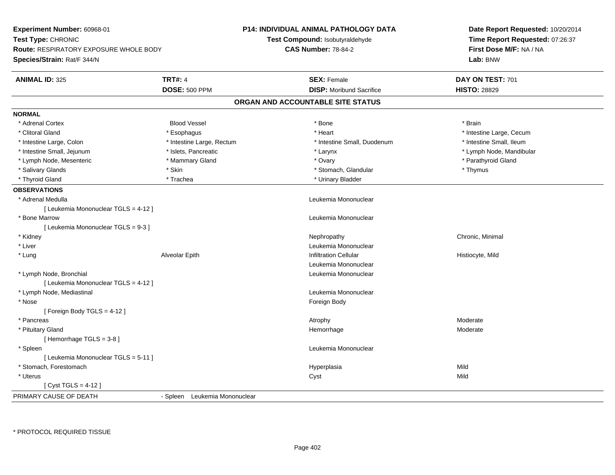| Experiment Number: 60968-01                   |                               | <b>P14: INDIVIDUAL ANIMAL PATHOLOGY DATA</b> | Date Report Requested: 10/20/2014 |  |
|-----------------------------------------------|-------------------------------|----------------------------------------------|-----------------------------------|--|
| Test Type: CHRONIC                            |                               | Test Compound: Isobutyraldehyde              | Time Report Requested: 07:26:37   |  |
| <b>Route: RESPIRATORY EXPOSURE WHOLE BODY</b> |                               | <b>CAS Number: 78-84-2</b>                   | First Dose M/F: NA / NA           |  |
| Species/Strain: Rat/F 344/N                   |                               |                                              | Lab: BNW                          |  |
| <b>ANIMAL ID: 325</b>                         | <b>TRT#: 4</b>                | <b>SEX: Female</b>                           | DAY ON TEST: 701                  |  |
|                                               | <b>DOSE: 500 PPM</b>          | <b>DISP:</b> Moribund Sacrifice              | <b>HISTO: 28829</b>               |  |
|                                               |                               | ORGAN AND ACCOUNTABLE SITE STATUS            |                                   |  |
| <b>NORMAL</b>                                 |                               |                                              |                                   |  |
| * Adrenal Cortex                              | <b>Blood Vessel</b>           | * Bone                                       | * Brain                           |  |
| * Clitoral Gland                              | * Esophagus                   | * Heart                                      | * Intestine Large, Cecum          |  |
| * Intestine Large, Colon                      | * Intestine Large, Rectum     | * Intestine Small, Duodenum                  | * Intestine Small, Ileum          |  |
| * Intestine Small, Jejunum                    | * Islets, Pancreatic          | * Larynx                                     | * Lymph Node, Mandibular          |  |
| * Lymph Node, Mesenteric                      | * Mammary Gland               | * Ovary                                      | * Parathyroid Gland               |  |
| * Salivary Glands                             | * Skin                        | * Stomach, Glandular                         | * Thymus                          |  |
| * Thyroid Gland                               | * Trachea                     | * Urinary Bladder                            |                                   |  |
| <b>OBSERVATIONS</b>                           |                               |                                              |                                   |  |
| * Adrenal Medulla                             |                               | Leukemia Mononuclear                         |                                   |  |
| [ Leukemia Mononuclear TGLS = 4-12 ]          |                               |                                              |                                   |  |
| * Bone Marrow                                 |                               | Leukemia Mononuclear                         |                                   |  |
| [Leukemia Mononuclear TGLS = 9-3]             |                               |                                              |                                   |  |
| * Kidney                                      |                               | Nephropathy                                  | Chronic, Minimal                  |  |
| * Liver                                       |                               | Leukemia Mononuclear                         |                                   |  |
| * Lung                                        | Alveolar Epith                | <b>Infiltration Cellular</b>                 | Histiocyte, Mild                  |  |
|                                               |                               | Leukemia Mononuclear                         |                                   |  |
| * Lymph Node, Bronchial                       |                               | Leukemia Mononuclear                         |                                   |  |
| [ Leukemia Mononuclear TGLS = 4-12 ]          |                               |                                              |                                   |  |
| * Lymph Node, Mediastinal                     |                               | Leukemia Mononuclear                         |                                   |  |
| * Nose                                        |                               | Foreign Body                                 |                                   |  |
| [ Foreign Body TGLS = $4-12$ ]                |                               |                                              |                                   |  |
| * Pancreas                                    |                               | Atrophy                                      | Moderate                          |  |
| * Pituitary Gland                             |                               | Hemorrhage                                   | Moderate                          |  |
| [Hemorrhage TGLS = 3-8]                       |                               |                                              |                                   |  |
| * Spleen                                      |                               | Leukemia Mononuclear                         |                                   |  |
| [ Leukemia Mononuclear TGLS = 5-11 ]          |                               |                                              |                                   |  |
| * Stomach, Forestomach                        |                               | Hyperplasia                                  | Mild                              |  |
| * Uterus                                      |                               | Cyst                                         | Mild                              |  |
| [Cyst TGLS = $4-12$ ]                         |                               |                                              |                                   |  |
| PRIMARY CAUSE OF DEATH                        | - Spleen Leukemia Mononuclear |                                              |                                   |  |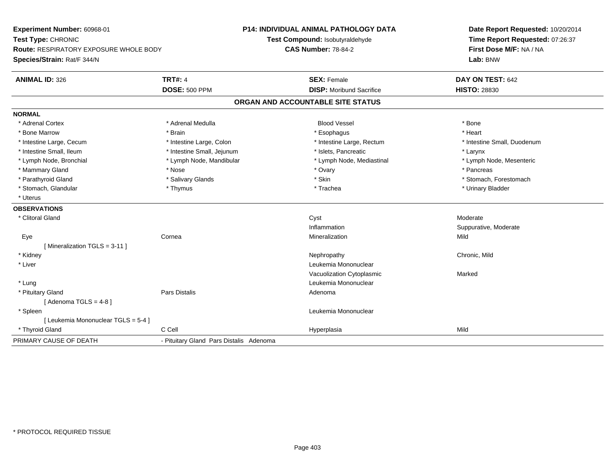**Experiment Number:** 60968-01**Test Type:** CHRONIC **Route:** RESPIRATORY EXPOSURE WHOLE BODY**Species/Strain:** Rat/F 344/N**P14: INDIVIDUAL ANIMAL PATHOLOGY DATATest Compound:** Isobutyraldehyde**CAS Number:** 78-84-2**Date Report Requested:** 10/20/2014**Time Report Requested:** 07:26:37**First Dose M/F:** NA / NA**Lab:** BNW**ANIMAL ID:** 326**6 DAY ON TEST:** 642 **DOSE:** 500 PPM**DISP:** Moribund Sacrifice **HISTO:** 28830 **ORGAN AND ACCOUNTABLE SITE STATUSNORMAL**\* Adrenal Cortex \* Adrenal Cortex \* Adrenal Medulla Blood Vessel \* Bone\* Heart \* Bone Marrow \* Brain \* Esophagus \* Heart \* Intestine Large, Cecum \* Intestine Large, Colon \* Intestine Large, Rectum \* Intestine Small, Duodenum\* Intestine Small, Ileum \* Thestine Small, Jejunum \* 1998 \* Islets, Pancreatic \* The manus \* Larynx \* Larynx \* Lymph Node, Mesenteric \* Lymph Node, Bronchial \* Lymph Node, Mandibular \* Lymph Node, Mediastinal \* Lymph Node, Mediastinal \* Mammary Gland \* \* Andrew \* Nose \* \* Nose \* \* Ovary \* Ovary \* Ovary \* \* Ovary \* \* Pancreas \* \* Pancreas \* \* Pancreas \* \* Pancreas \* \* Pancreas \* \* Pancreas \* \* Pancreas \* \* Pancreas \* \* Pancreas \* \* Pancreas \* \* Pancreas \* Parathyroid Gland \* \* Salivary Glands \* Salivary Glands \* Skin \* \* Skin \* \* Stomach, Forestomach, Forestomach \* Stomach, Glandular \* Thymus \* Thymus \* Thymus \* Trachea \* Trachea \* Trachea \* Urinary Bladder \* Uterus**OBSERVATIONS** \* Clitoral Glandd and the control of the control of the control of the control of the control of the control of the control of the control of the control of the control of the control of the control of the control of the control of the co InflammationInflammation **Example 2 and Suppurative, Moderate**<br>
Mild Mineralization **Mild**  Eyee the cornea cornea communication of the corneal control of the corneal control of the control of the control o<br>Corneal control of the control of the control of the control of the control of the control of the control of t [ Mineralization TGLS = 3-11 ] \* Kidneyy the controller of the controller of the controller of the controller of the controller of the chronic, Mild \* Liver Leukemia Mononuclear Vacuolization Cytoplasmic Marked \* Lung Leukemia Mononuclear \* Pituitary Glandd and the contract of Pars Distalis and the contract of Adenoma and Adenoma and the Adenoma and the Adenoma and  $\lambda$  $[$  Adenoma TGLS = 4-8  $]$  \* Spleen Leukemia Mononuclear [ Leukemia Mononuclear TGLS = 5-4 ] \* Thyroid Gland C Cell Hyperplasia Mild PRIMARY CAUSE OF DEATH- Pituitary Gland Pars Distalis Adenoma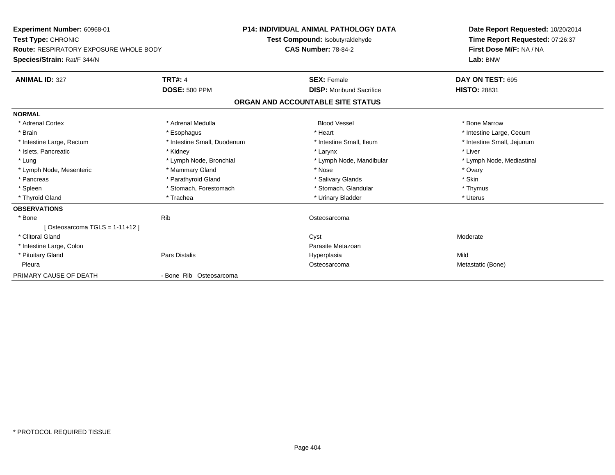**Experiment Number:** 60968-01**Test Type:** CHRONIC **Route:** RESPIRATORY EXPOSURE WHOLE BODY**Species/Strain:** Rat/F 344/N**P14: INDIVIDUAL ANIMAL PATHOLOGY DATATest Compound:** Isobutyraldehyde**CAS Number:** 78-84-2**Date Report Requested:** 10/20/2014**Time Report Requested:** 07:26:37**First Dose M/F:** NA / NA**Lab:** BNW**ANIMAL ID:** 327**TRT#:** 4 **SEX:** Female **SEX: Female DAY ON TEST:** 695 **DOSE:** 500 PPM**DISP:** Moribund Sacrifice **HISTO:** 28831 **ORGAN AND ACCOUNTABLE SITE STATUSNORMAL**\* Adrenal Cortex \* Adrenal Medulla **\*** Adrenal Medulla **blood Vessel \* Bone Marrow** \* Bone Marrow \* Brain \* Alternative \* Esophagus \* \* Esophagus \* \* Heart \* Heart \* Intestine Large, Cecum \* Intestine Large, Cecum \* Intestine Large, Cecum \* Large \* Intestine Large \* Large \* Large \* Large \* Large \* Large \* Large \* Large \* Intestine Small, Jejunum \* Intestine Large, Rectum \* Intestine Small, Duodenum \* Intestine Small, Ileum \* Intestine Small, Ileum \* Islets, Pancreatic \* The method of the state of the state of the state of the state of the state of the state of the state of the state of the state of the state of the state of the state of the state of the state of the \* Lung **\* Lymph Node, Bronchial \*** Lymph Node, Bronchial \* Lymph Node, Mandibular \* Lymph Node, Mediastinal \* Lymph Node, Mesenteric \* \* \* Mammary Gland \* \* Nose \* Nose \* \* Nose \* \* Nose \* Ovary \* Ovary \* Ovary \* Ovary \* Skin \* Pancreas \* **Example 2018** \* Pancreas \* Pancreas \* Salivary Glands \* Salivary Glands \* Structure \* Structure \* Structure \* Structure \* Structure \* Structure \* Structure \* Structure \* Structure \* Structure \* Structure \* St \* Thymus \* Spleen \* Stomach, Forestomach \* Stomach, Spleen \* Stomach, Glandular \* Thymus \* Stomach, Glandular \* Uterus \* Thyroid Gland \* \* Trachea \* \* Trachea \* Trachea \* \* Urinary Bladder \* \* Urinary Bladder \* \* Uterus \* Uterus **OBSERVATIONS** \* Bonee in the settlement of the Rib Controller of the Second Controller of the Osteosarcoma  $[Osteosarcoma TGLS = 1-11+12]$  \* Clitoral Glandd and the control of the control of the control of the control of the control of the control of the control of the control of the control of the control of the control of the control of the control of the control of the co \* Intestine Large, Colon Parasite Metazoan \* Pituitary Gland Pars Distalis Hyperplasia Mild Pleura Osteosarcoma Metastatic (Bone) PRIMARY CAUSE OF DEATH- Bone Rib Osteosarcoma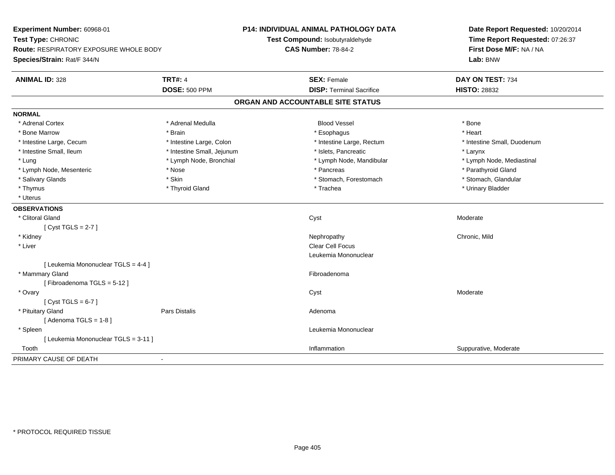| Experiment Number: 60968-01            |                            | P14: INDIVIDUAL ANIMAL PATHOLOGY DATA | Date Report Requested: 10/20/2014<br>Time Report Requested: 07:26:37 |
|----------------------------------------|----------------------------|---------------------------------------|----------------------------------------------------------------------|
| Test Type: CHRONIC                     |                            | Test Compound: Isobutyraldehyde       |                                                                      |
| Route: RESPIRATORY EXPOSURE WHOLE BODY |                            | <b>CAS Number: 78-84-2</b>            | First Dose M/F: NA / NA                                              |
| Species/Strain: Rat/F 344/N            |                            |                                       | Lab: BNW                                                             |
| <b>ANIMAL ID: 328</b>                  | <b>TRT#: 4</b>             | <b>SEX: Female</b>                    | DAY ON TEST: 734                                                     |
|                                        | <b>DOSE: 500 PPM</b>       | <b>DISP: Terminal Sacrifice</b>       | <b>HISTO: 28832</b>                                                  |
|                                        |                            | ORGAN AND ACCOUNTABLE SITE STATUS     |                                                                      |
| <b>NORMAL</b>                          |                            |                                       |                                                                      |
| * Adrenal Cortex                       | * Adrenal Medulla          | <b>Blood Vessel</b>                   | * Bone                                                               |
| * Bone Marrow                          | * Brain                    | * Esophagus                           | * Heart                                                              |
| * Intestine Large, Cecum               | * Intestine Large, Colon   | * Intestine Large, Rectum             | * Intestine Small, Duodenum                                          |
| * Intestine Small, Ileum               | * Intestine Small, Jejunum | * Islets, Pancreatic                  | * Larynx                                                             |
| * Lung                                 | * Lymph Node, Bronchial    | * Lymph Node, Mandibular              | * Lymph Node, Mediastinal                                            |
| * Lymph Node, Mesenteric               | * Nose                     | * Pancreas                            | * Parathyroid Gland                                                  |
| * Salivary Glands                      | * Skin                     | * Stomach, Forestomach                | * Stomach, Glandular                                                 |
| * Thymus                               | * Thyroid Gland            | * Trachea                             | * Urinary Bladder                                                    |
| * Uterus                               |                            |                                       |                                                                      |
| <b>OBSERVATIONS</b>                    |                            |                                       |                                                                      |
| * Clitoral Gland                       |                            | Cyst                                  | Moderate                                                             |
| [Cyst TGLS = $2-7$ ]                   |                            |                                       |                                                                      |
| * Kidney                               |                            | Nephropathy                           | Chronic, Mild                                                        |
| * Liver                                |                            | Clear Cell Focus                      |                                                                      |
|                                        |                            | Leukemia Mononuclear                  |                                                                      |
| [ Leukemia Mononuclear TGLS = 4-4 ]    |                            |                                       |                                                                      |
| * Mammary Gland                        |                            | Fibroadenoma                          |                                                                      |
| [Fibroadenoma TGLS = 5-12]             |                            |                                       |                                                                      |
| * Ovary                                |                            | Cyst                                  | Moderate                                                             |
| [Cyst TGLS = $6-7$ ]                   |                            |                                       |                                                                      |
| * Pituitary Gland                      | Pars Distalis              | Adenoma                               |                                                                      |
| [Adenoma TGLS = $1-8$ ]                |                            |                                       |                                                                      |
| * Spleen                               |                            | Leukemia Mononuclear                  |                                                                      |
| [ Leukemia Mononuclear TGLS = 3-11 ]   |                            |                                       |                                                                      |
| Tooth                                  |                            | Inflammation                          | Suppurative, Moderate                                                |
| PRIMARY CAUSE OF DEATH                 | $\blacksquare$             |                                       |                                                                      |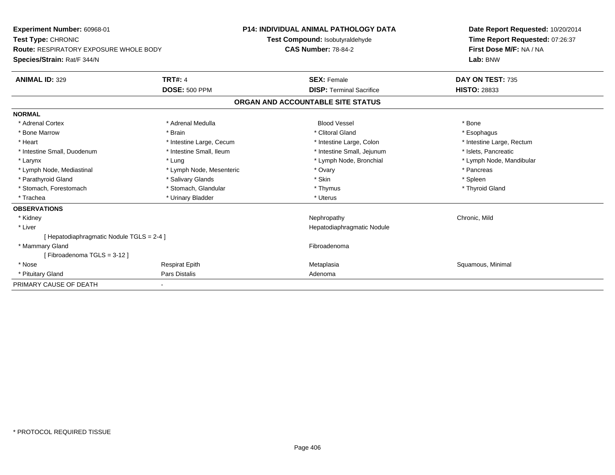| Experiment Number: 60968-01<br>Test Type: CHRONIC |                          | <b>P14: INDIVIDUAL ANIMAL PATHOLOGY DATA</b><br>Test Compound: Isobutyraldehyde |                                   | Date Report Requested: 10/20/2014 |
|---------------------------------------------------|--------------------------|---------------------------------------------------------------------------------|-----------------------------------|-----------------------------------|
|                                                   |                          |                                                                                 |                                   | Time Report Requested: 07:26:37   |
| <b>Route: RESPIRATORY EXPOSURE WHOLE BODY</b>     |                          | <b>CAS Number: 78-84-2</b>                                                      |                                   | First Dose M/F: NA / NA           |
| Species/Strain: Rat/F 344/N                       |                          |                                                                                 |                                   | Lab: BNW                          |
| <b>ANIMAL ID: 329</b>                             | <b>TRT#: 4</b>           |                                                                                 | <b>SEX: Female</b>                | DAY ON TEST: 735                  |
|                                                   | <b>DOSE: 500 PPM</b>     |                                                                                 | <b>DISP: Terminal Sacrifice</b>   | <b>HISTO: 28833</b>               |
|                                                   |                          |                                                                                 | ORGAN AND ACCOUNTABLE SITE STATUS |                                   |
| <b>NORMAL</b>                                     |                          |                                                                                 |                                   |                                   |
| * Adrenal Cortex                                  | * Adrenal Medulla        |                                                                                 | <b>Blood Vessel</b>               | * Bone                            |
| * Bone Marrow                                     | * Brain                  |                                                                                 | * Clitoral Gland                  | * Esophagus                       |
| * Heart                                           | * Intestine Large, Cecum |                                                                                 | * Intestine Large, Colon          | * Intestine Large, Rectum         |
| * Intestine Small, Duodenum                       | * Intestine Small, Ileum |                                                                                 | * Intestine Small, Jejunum        | * Islets, Pancreatic              |
| * Larynx                                          | * Lung                   |                                                                                 | * Lymph Node, Bronchial           | * Lymph Node, Mandibular          |
| * Lymph Node, Mediastinal                         | * Lymph Node, Mesenteric |                                                                                 | * Ovary                           | * Pancreas                        |
| * Parathyroid Gland                               | * Salivary Glands        |                                                                                 | * Skin                            | * Spleen                          |
| * Stomach, Forestomach                            | * Stomach, Glandular     |                                                                                 | * Thymus                          | * Thyroid Gland                   |
| * Trachea                                         | * Urinary Bladder        |                                                                                 | * Uterus                          |                                   |
| <b>OBSERVATIONS</b>                               |                          |                                                                                 |                                   |                                   |
| * Kidney                                          |                          |                                                                                 | Nephropathy                       | Chronic, Mild                     |
| * Liver                                           |                          |                                                                                 | Hepatodiaphragmatic Nodule        |                                   |
| [ Hepatodiaphragmatic Nodule TGLS = 2-4 ]         |                          |                                                                                 |                                   |                                   |
| * Mammary Gland                                   |                          |                                                                                 | Fibroadenoma                      |                                   |
| [Fibroadenoma TGLS = 3-12]                        |                          |                                                                                 |                                   |                                   |
| * Nose                                            | <b>Respirat Epith</b>    |                                                                                 | Metaplasia                        | Squamous, Minimal                 |
| * Pituitary Gland                                 | Pars Distalis            |                                                                                 | Adenoma                           |                                   |
| PRIMARY CAUSE OF DEATH                            |                          |                                                                                 |                                   |                                   |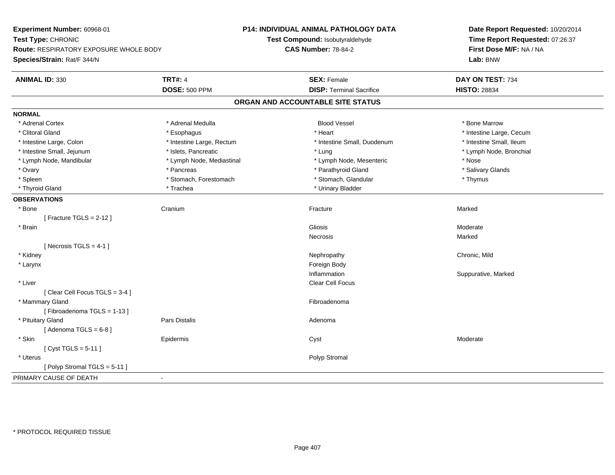**Experiment Number:** 60968-01**Test Type:** CHRONIC **Route:** RESPIRATORY EXPOSURE WHOLE BODY**Species/Strain:** Rat/F 344/N**P14: INDIVIDUAL ANIMAL PATHOLOGY DATATest Compound:** Isobutyraldehyde**CAS Number:** 78-84-2**Date Report Requested:** 10/20/2014**Time Report Requested:** 07:26:37**First Dose M/F:** NA / NA**Lab:** BNW**ANIMAL ID:** 330**C TRT#:** 4 **SEX:** Female **SEX: Female DAY ON TEST:** 734 **DOSE:** 500 PPM**DISP:** Terminal Sacrifice **HISTO:** 28834 **ORGAN AND ACCOUNTABLE SITE STATUSNORMAL**\* Adrenal Cortex \* Adrenal Medulla **\*** Adrenal Medulla **blood Vessel \* Bone Marrow** \* Bone Marrow \* Clitoral Gland \* \* exphagus \* Esophagus \* \* Heart \* Heart \* Heart \* Intestine Large, Cecum \* Intestine Large + \* L \* Intestine Small. Ileum \* Intestine Large, Colon \* Intestine Large, Rectum \* Intestine Small, Duodenum \* Intestine Small, Duodenum \* Lymph Node, Bronchial \* Intestine Small, Jejunum \* Mathematic \* Islets, Pancreatic \* Mathematic \* Lung \* Lung \* Node, Bronchial \* Node, Bronchial \* Node, Bronchial \* Node, Bronchial \* Node, Bronchial \* Node, Bronchial \* Node, Bronchial \* Node, \* Lymph Node, Mandibular \* The state of the state of the Mediastinal \* Lymph Node, Mesenteric \* Nose \* Salivary Glands \* Ovary \* \* Pancreas \* \* Pancreas \* \* Pancreas \* \* Parathyroid Gland \* \* Salivary Glands \* Salivary Glands \* Salivary Glands \* Salivary Glands \* Salivary Glands \* Salivary Glands \* Salivary Glands \* \* Salivary Glands \* \* S \* Spleen \* Stomach, Forestomach \* Stomach \* Stomach, Glandular \* Stomach, Glandular \* Thymus \* Thyroid Gland \* Trachea \* Trachea \* Trachea \* Urinary Bladder **OBSERVATIONS** \* Bonee Cranium m and the state of the Fracture of the Second State of the Marked Marked State of the Marked State of the Marked State of the Marked State of the Marked State of the Marked State of the Marked State of the Marked State of [ Fracture TGLS = 2-12 ] \* Brainn and the control of the control of the control of the control of Gliosis and Clicking and Clicking and Clicking of the control of the control of the control of the control of the control of the control of the control of t Necrosiss and the contract of the Marked  $[$  Necrosis TGLS = 4-1  $]$  \* Kidneyy the controller of the controller of the controller of the controller of the controller of the chronic, Mild \* Larynx**x** and the contract of the contract of the contract of the contract of the contract of the contract of the contract of the contract of the contract of the contract of the contract of the contract of the contract of the co Inflammation Suppurative, Marked \* Liverr and the control of the control of the control of the control of the control of the Clear Cell Focus of the control of the control of the control of the control of the control of the control of the control of the control [ Clear Cell Focus TGLS = 3-4 ] \* Mammary Glandd **Executive Contract of the Contract Contract Contract Contract Contract Contract Contract Contract Contract Contract Contract Contract Contract Contract Contract Contract Contract Contract Contract Contract Contract Cont** [ Fibroadenoma TGLS = 1-13 ] \* Pituitary Glandd and the contract of Pars Distalis and the contract of Adenoma and Adenoma and the Adenoma and the Adenoma and  $\lambda$  $[$  Adenoma TGLS =  $6-8$ ] \* Skin Epidermis Cyst Moderate [ Cyst TGLS = 5-11 ] \* Uteruss and the contract of the contract of the contract of the contract of the contract of the contract of the contract of the contract of the contract of the contract of the contract of the contract of the contract of the cont [ Polyp Stromal TGLS = 5-11 ]PRIMARY CAUSE OF DEATH-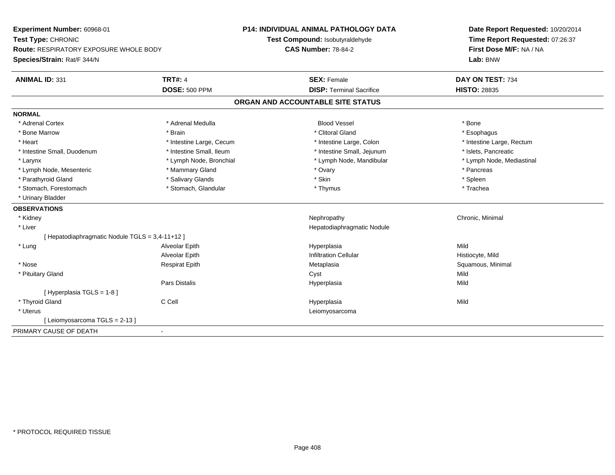**Experiment Number:** 60968-01**Test Type:** CHRONIC **Route:** RESPIRATORY EXPOSURE WHOLE BODY**Species/Strain:** Rat/F 344/N**P14: INDIVIDUAL ANIMAL PATHOLOGY DATATest Compound:** Isobutyraldehyde**CAS Number:** 78-84-2**Date Report Requested:** 10/20/2014**Time Report Requested:** 07:26:37**First Dose M/F:** NA / NA**Lab:** BNW**ANIMAL ID:** 331**TRT#:** 4 **SEX:** Female **SEX: Female DAY ON TEST:** 734 **DOSE:** 500 PPM**DISP:** Terminal Sacrifice **HISTO:** 28835 **ORGAN AND ACCOUNTABLE SITE STATUSNORMAL**\* Adrenal Cortex \* Adrenal Medulla \* \* Book \* Blood Vessel \* Book \* Bone \* Bone \* Bone \* Bone \* Bone \* Bone \* Bone \* Bone \* Bone \* Esophagus \* Bone Marrow \* \* Android \* Brain \* Brain \* Clitoral Gland \* Clitoral Gland \* Esophagus \* Esophagus \* Esophagus \* Intestine Large, Rectum \* Heart \* Intestine Large, Cecum \* Intestine Large, Cecum \* Intestine Large, Colon \* Intestine Small, Duodenum \* Intestine Small, Ileum \* Intestine Small, Intestine Small, Jejunum \* Islets, Pancreatic \* Lymph Node, Mediastinal \* Larynx **\*** Lymph Node, Bronchial \* Lymph Node, Mandibular \* Lymph Node, Mandibular \* Lymph Node, Mesenteric \* \* The matter of the Mammary Gland \* The matter of the matter of the matter of the matter of the matter of the matter of the matter of the Manmary Gland \* Pancreas \* Pancreas \* Pancreas \* Pancreas \* Parathyroid Gland \* \* Salivary Glands \* Salivary Glands \* Skin \* Skin \* State \* Spleen \* Spleen \* Spleen \* Spleen \* Trachea \* Stomach, Forestomach \* Thymus \* Stomach, Glandular \* Thymus \* Thymus \* Thymus \* Thymus \* Thymus \* Thymus \* Thymus \* Thymus \* Thymus \* Thymus \* Thymus \* Thymus \* Thymus \* Thymus \* Thymus \* Thymus \* Thymus \* Thymus \* Thymu \* Urinary Bladder**OBSERVATIONS** \* Kidneyy the controller of the controller of the controller of the controller of the controller of the controller of the controller of the controller of the controller of the controller of the controller of the controller of the \* Liver Hepatodiaphragmatic Nodule[ Hepatodiaphragmatic Nodule TGLS = 3,4-11+12 ] \* Lung Alveolar Epith Hyperplasia Mild Alveolar EpithInfiltration Cellular **Histiocyte**, Mild \* Nose Respirat Epith Metaplasia Squamous, Minimal \* Pituitary Glandd and the control of the control of the control of the control of the control of the control of the control of the control of the control of the control of the control of the control of the control of the control of the co Pars Distalis Hyperplasiaa Mild [ Hyperplasia TGLS = 1-8 ] \* Thyroid Gland C Cell Hyperplasia Mild \* Uterus Leiomyosarcoma[ Leiomyosarcoma TGLS = 2-13 ]PRIMARY CAUSE OF DEATH-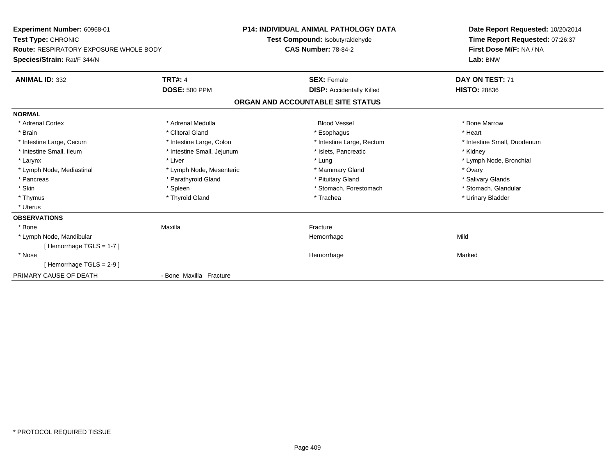**Experiment Number:** 60968-01**Test Type:** CHRONIC **Route:** RESPIRATORY EXPOSURE WHOLE BODY**Species/Strain:** Rat/F 344/N**P14: INDIVIDUAL ANIMAL PATHOLOGY DATATest Compound:** Isobutyraldehyde**CAS Number:** 78-84-2**Date Report Requested:** 10/20/2014**Time Report Requested:** 07:26:37**First Dose M/F:** NA / NA**Lab:** BNW**ANIMAL ID:** 332**TRT#:** 4 **SEX:** Female **DAY ON TEST:** 71 **DOSE:** 500 PPM**DISP:** Accidentally Killed **HISTO:** 28836 **ORGAN AND ACCOUNTABLE SITE STATUSNORMAL**\* Adrenal Cortex \* Adrenal Medulla **\*** Adrenal Medulla **blood Vessel \* Bone Marrow** \* Bone Marrow \* Brain \* Alternative of the state of the state of the state of the state of the state of the state of the state of the state of the state of the state of the state of the state of the state of the state of the state of th \* Intestine Large, Cecum \* Intestine Large, Colon \* Intestine Large, Rectum \* Intestine Small, Duodenum \* Intestine Small, Ileum \* **Alleman \* Intestine Small, Jejunum** \* The \* Islets, Pancreatic \* \* \* Kidney \* Kidney \* Larynx \* Louis \* Liver \* Lung \* Lung \* Lung \* Lung \* Lung \* Lymph Node, Bronchial \* Lymph Node, Bronchial \* \* Lymph Node, Mediastinal \* The metal of the Mesenteric the metal and the Mammary Gland \* Ovary \* Ovary \* Ovary \* Salivary Glands \* Pancreas \* And the section of the section of the section of the section of the section of the section of the section of the section of the section of the section of the section of the section of the section of the sectio \* Stomach, Glandular \* Skin \* Spleen \* Spleen \* Spleen \* Stomach, Forestomach \* Stomach, Forestomach \* Thymus \* Thyroid Gland \* Trachea \* Urinary Bladder \* \* Uterus**OBSERVATIONS** \* Bone Maxilla Fracture \* Lymph Node, Mandibular Hemorrhagee Mild [ Hemorrhage TGLS = 1-7 ] \* Nosee and the state of the state of the state of the state of the Marked Marked of the State of the Marked of the Marked of the State of the Marked of the State of the Marked of the State of the State of the State of the State [ Hemorrhage TGLS = 2-9 ]PRIMARY CAUSE OF DEATH- Bone Maxilla Fracture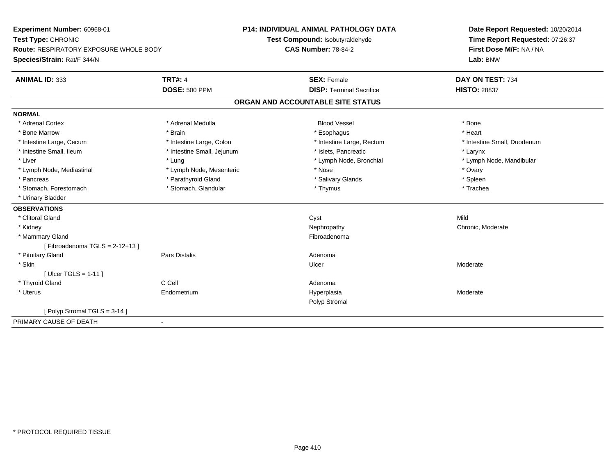| Experiment Number: 60968-01<br>Test Type: CHRONIC<br><b>Route: RESPIRATORY EXPOSURE WHOLE BODY</b><br>Species/Strain: Rat/F 344/N |                            | <b>P14: INDIVIDUAL ANIMAL PATHOLOGY DATA</b><br>Test Compound: Isobutyraldehyde | Date Report Requested: 10/20/2014<br>Time Report Requested: 07:26:37 |
|-----------------------------------------------------------------------------------------------------------------------------------|----------------------------|---------------------------------------------------------------------------------|----------------------------------------------------------------------|
|                                                                                                                                   |                            | <b>CAS Number: 78-84-2</b>                                                      | First Dose M/F: NA / NA<br>Lab: BNW                                  |
| <b>ANIMAL ID: 333</b>                                                                                                             | <b>TRT#: 4</b>             | <b>SEX: Female</b>                                                              | DAY ON TEST: 734                                                     |
|                                                                                                                                   | <b>DOSE: 500 PPM</b>       | <b>DISP: Terminal Sacrifice</b>                                                 | <b>HISTO: 28837</b>                                                  |
|                                                                                                                                   |                            | ORGAN AND ACCOUNTABLE SITE STATUS                                               |                                                                      |
| <b>NORMAL</b>                                                                                                                     |                            |                                                                                 |                                                                      |
| * Adrenal Cortex                                                                                                                  | * Adrenal Medulla          | <b>Blood Vessel</b>                                                             | * Bone                                                               |
| * Bone Marrow                                                                                                                     | * Brain                    | * Esophagus                                                                     | * Heart                                                              |
| * Intestine Large, Cecum                                                                                                          | * Intestine Large, Colon   | * Intestine Large, Rectum                                                       | * Intestine Small, Duodenum                                          |
| * Intestine Small, Ileum                                                                                                          | * Intestine Small, Jejunum | * Islets. Pancreatic                                                            | * Larynx                                                             |
| * Liver                                                                                                                           | * Lung                     | * Lymph Node, Bronchial                                                         | * Lymph Node, Mandibular                                             |
| * Lymph Node, Mediastinal                                                                                                         | * Lymph Node, Mesenteric   | * Nose                                                                          | * Ovary                                                              |
| * Pancreas                                                                                                                        | * Parathyroid Gland        | * Salivary Glands                                                               | * Spleen                                                             |
| * Stomach, Forestomach                                                                                                            | * Stomach, Glandular       | * Thymus                                                                        | * Trachea                                                            |
| * Urinary Bladder                                                                                                                 |                            |                                                                                 |                                                                      |
| <b>OBSERVATIONS</b>                                                                                                               |                            |                                                                                 |                                                                      |
| * Clitoral Gland                                                                                                                  |                            | Cyst                                                                            | Mild                                                                 |
| * Kidney                                                                                                                          |                            | Nephropathy                                                                     | Chronic, Moderate                                                    |
| * Mammary Gland                                                                                                                   |                            | Fibroadenoma                                                                    |                                                                      |
| [Fibroadenoma TGLS = $2-12+13$ ]                                                                                                  |                            |                                                                                 |                                                                      |
| * Pituitary Gland                                                                                                                 | <b>Pars Distalis</b>       | Adenoma                                                                         |                                                                      |
| * Skin                                                                                                                            |                            | Ulcer                                                                           | Moderate                                                             |
| [ Ulcer TGLS = $1-11$ ]                                                                                                           |                            |                                                                                 |                                                                      |
| * Thyroid Gland                                                                                                                   | C Cell                     | Adenoma                                                                         |                                                                      |
| * Uterus                                                                                                                          | Endometrium                | Hyperplasia                                                                     | Moderate                                                             |
|                                                                                                                                   |                            | Polyp Stromal                                                                   |                                                                      |
| [Polyp Stromal TGLS = 3-14]                                                                                                       |                            |                                                                                 |                                                                      |
| PRIMARY CAUSE OF DEATH                                                                                                            | $\blacksquare$             |                                                                                 |                                                                      |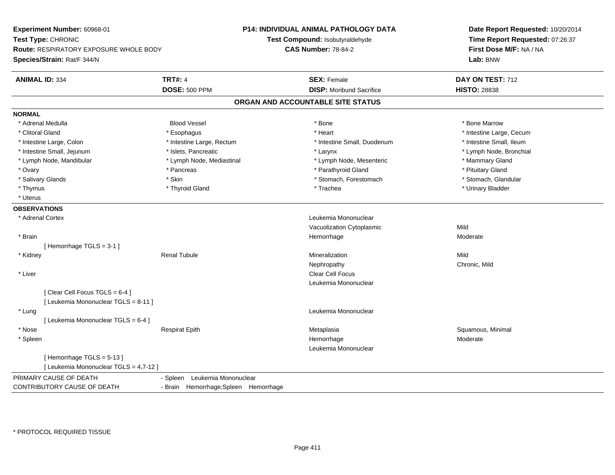**Experiment Number:** 60968-01**Test Type:** CHRONIC **Route:** RESPIRATORY EXPOSURE WHOLE BODY**Species/Strain:** Rat/F 344/N**P14: INDIVIDUAL ANIMAL PATHOLOGY DATATest Compound:** Isobutyraldehyde**CAS Number:** 78-84-2**Date Report Requested:** 10/20/2014**Time Report Requested:** 07:26:37**First Dose M/F:** NA / NA**Lab:** BNW**ANIMAL ID:** 334**TRT#:** 4 **SEX:** Female **DAY ON TEST:** 712 **DOSE:** 500 PPM**DISP:** Moribund Sacrifice **HISTO:** 28838 **ORGAN AND ACCOUNTABLE SITE STATUSNORMAL** \* Adrenal Medulla Blood Vessel \* Bone \* Bone Marrow\* Clitoral Gland \* \* exphagus \* Esophagus \* \* Heart \* Heart \* Heart \* Intestine Large, Cecum \* Intestine Large + \* L \* Intestine Small. Ileum \* Intestine Large, Colon \* Intestine Large, Rectum \* Intestine Small, Duodenum \* Intestine Small, Duodenum \* Lymph Node, Bronchial \* Intestine Small, Jejunum \* Notestine Theory \* Islets, Pancreatic \* Notes \* Larynx \* Larynx \* Larynx \* Larynx \* Larynx \* Larynx \* Larynx \* Larynx \* Larynx \* Larynx \* Larynx \* Larynx \* Larynx \* Larynx \* Larynx \* Larynx \* L \* Lymph Node, Mandibular \* Lymph Node, Mediastinal \* Lymph Node, Mesenteric \* Mammary Gland\* Ovary \* Pancreas \* Pancreas \* Pancreas \* Parathyroid Gland \* Parathyroid Gland \* Pituitary Gland \* Pituitary Stand \* Pituitary Gland \* Stomach. Glandular \* Salivary Glands \* Stomach, Forestomach \* Stomach, Forestomach \* Stomach, Forestomach \* Stomach, Forestomach \* Thymus \* Thyroid Gland \* Trachea \* Urinary Bladder \* \* Uterus**OBSERVATIONS** \* Adrenal Cortex Leukemia Mononuclear Vacuolization Cytoplasmicc Mild Moderate \* Brainhemorrhage and the morrhage of the most defined to the Moderate of the Moderate of the Moderate of the Moderate of the Moderate of the Moderate of the Moderate of the Moderate of the Moderate of the Moderate of the Moderat [ Hemorrhage TGLS = 3-1 ] \* Kidney Renal Tubulee and the matrix of the Mineralization and the Mild Mild of the Mild Mild of the Mild of the Mild of the Mild o Nephropathy Chronic, Mild \* Liver Clear Cell Focus Leukemia Mononuclear[ Clear Cell Focus TGLS = 6-4 ][ Leukemia Mononuclear TGLS = 8-11 ] \* Lung Leukemia Mononuclear [ Leukemia Mononuclear TGLS = 6-4 ] \* Nose Respirat Epith Metaplasia Squamous, Minimal \* Spleenn and the morphonough the morphonough the morphonough the morphonough the morphonough the morphonough the morphonough  $\mathsf{M}$  Moderate Leukemia Mononuclear[ Hemorrhage TGLS = 5-13 ][ Leukemia Mononuclear TGLS = 4,7-12 ]PRIMARY CAUSE OF DEATH - Spleen Leukemia Mononuclear CONTRIBUTORY CAUSE OF DEATH- Brain Hemorrhage;Spleen Hemorrhage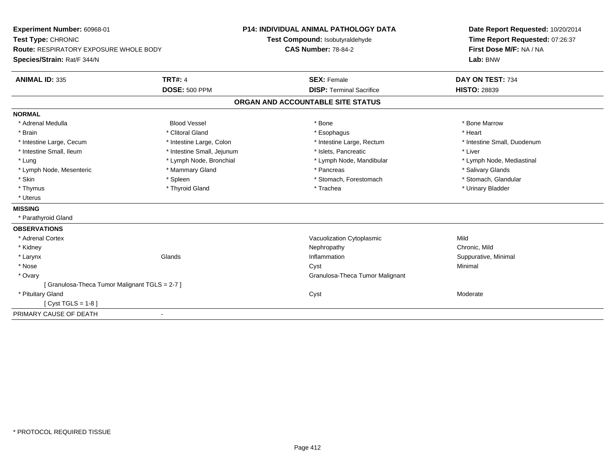| Experiment Number: 60968-01                   |                            | <b>P14: INDIVIDUAL ANIMAL PATHOLOGY DATA</b> | Date Report Requested: 10/20/2014 |
|-----------------------------------------------|----------------------------|----------------------------------------------|-----------------------------------|
| Test Type: CHRONIC                            |                            | Test Compound: Isobutyraldehyde              | Time Report Requested: 07:26:37   |
| <b>Route: RESPIRATORY EXPOSURE WHOLE BODY</b> |                            | <b>CAS Number: 78-84-2</b>                   | First Dose M/F: NA / NA           |
| Species/Strain: Rat/F 344/N                   |                            |                                              | Lab: BNW                          |
| <b>ANIMAL ID: 335</b>                         | <b>TRT#: 4</b>             | <b>SEX: Female</b>                           | DAY ON TEST: 734                  |
|                                               | <b>DOSE: 500 PPM</b>       | <b>DISP: Terminal Sacrifice</b>              | <b>HISTO: 28839</b>               |
|                                               |                            | ORGAN AND ACCOUNTABLE SITE STATUS            |                                   |
| <b>NORMAL</b>                                 |                            |                                              |                                   |
| * Adrenal Medulla                             | <b>Blood Vessel</b>        | * Bone                                       | * Bone Marrow                     |
| * Brain                                       | * Clitoral Gland           | * Esophagus                                  | * Heart                           |
| * Intestine Large, Cecum                      | * Intestine Large, Colon   | * Intestine Large, Rectum                    | * Intestine Small, Duodenum       |
| * Intestine Small, Ileum                      | * Intestine Small, Jejunum | * Islets, Pancreatic                         | * Liver                           |
| * Lung                                        | * Lymph Node, Bronchial    | * Lymph Node, Mandibular                     | * Lymph Node, Mediastinal         |
| * Lymph Node, Mesenteric                      | * Mammary Gland            | * Pancreas                                   | * Salivary Glands                 |
| * Skin                                        | * Spleen                   | * Stomach, Forestomach                       | * Stomach, Glandular              |
| * Thymus                                      | * Thyroid Gland            | * Trachea                                    | * Urinary Bladder                 |
| * Uterus                                      |                            |                                              |                                   |
| <b>MISSING</b>                                |                            |                                              |                                   |
| * Parathyroid Gland                           |                            |                                              |                                   |
| <b>OBSERVATIONS</b>                           |                            |                                              |                                   |
| * Adrenal Cortex                              |                            | Vacuolization Cytoplasmic                    | Mild                              |
| * Kidney                                      |                            | Nephropathy                                  | Chronic, Mild                     |
| * Larynx                                      | Glands                     | Inflammation                                 | Suppurative, Minimal              |
| * Nose                                        |                            | Cyst                                         | Minimal                           |
| * Ovary                                       |                            | Granulosa-Theca Tumor Malignant              |                                   |
| [Granulosa-Theca Tumor Malignant TGLS = 2-7]  |                            |                                              |                                   |
| * Pituitary Gland                             |                            | Cyst                                         | Moderate                          |
| [Cyst TGLS = $1-8$ ]                          |                            |                                              |                                   |
| PRIMARY CAUSE OF DEATH                        |                            |                                              |                                   |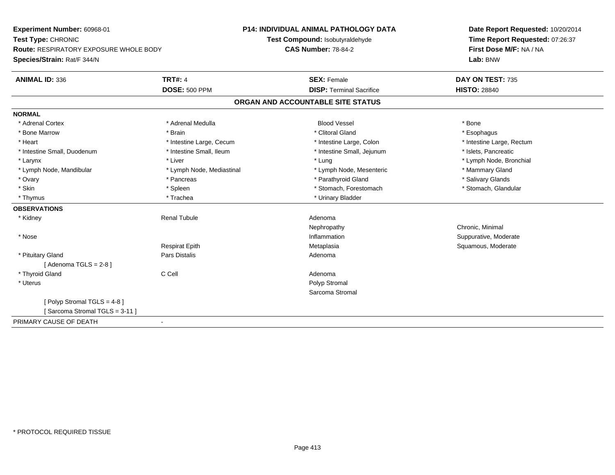**Experiment Number:** 60968-01**Test Type:** CHRONIC **Route:** RESPIRATORY EXPOSURE WHOLE BODY**Species/Strain:** Rat/F 344/N**P14: INDIVIDUAL ANIMAL PATHOLOGY DATATest Compound:** Isobutyraldehyde**CAS Number:** 78-84-2**Date Report Requested:** 10/20/2014**Time Report Requested:** 07:26:37**First Dose M/F:** NA / NA**Lab:** BNW**ANIMAL ID:** 336**6 DAY ON TEST:** 735 **DOSE:** 500 PPM**DISP:** Terminal Sacrifice **HISTO:** 28840 **ORGAN AND ACCOUNTABLE SITE STATUSNORMAL**\* Adrenal Cortex \* Adrenal Medulla \* \* Book \* Blood Vessel \* Book \* Bone \* Bone \* Bone \* Bone \* Bone \* Bone \* Bone \* Bone \* Bone \* Esophagus \* Bone Marrow \* \* Android \* Brain \* Brain \* Clitoral Gland \* Clitoral Gland \* Esophagus \* Esophagus \* Esophagus \* Intestine Large, Rectum \* Heart **\*** Intestine Large, Cecum \* Intestine Large, Cecum \* Intestine Large, Colon \* Intestine Small, Duodenum \* Intestine Small, Ileum \* Intestine Small, Intestine Small, Jejunum \* Islets, Pancreatic \* Larynx \* Louis \* Liver \* Lung \* Lung \* Lung \* Lung \* Lung \* Lymph Node, Bronchial \* Lymph Node, Bronchial \* \* Lymph Node, Mandibular \* Lymph Node, Mediastinal \* Lymph Node, Mesenteric \* Mammary Gland \* Salivary Glands \* Ovary \* \* Pancreas \* \* Pancreas \* \* Pancreas \* \* Parathyroid Gland \* \* Salivary Glands \* Salivary Glands \* Salivary Glands \* Salivary Glands \* Salivary Glands \* Salivary Glands \* Salivary Glands \* \* Salivary Glands \* \* S \* Stomach, Glandular \* Skin \* Spleen \* Spleen \* Spleen \* Stomach, Forestomach \* Stomach, Forestomach \* Thymus \* Trachea \* Trachea \* Urinary Bladder **OBSERVATIONS** \* Kidney Renal Tubule Adenoma Nephropathy Chronic, Minimal \* Nosee inflammation inflammation in the support of the Suppurative, Moderate entry the Suppurative, Moderate entry  $\sim$  Suppurative, Moderate entry  $\sim$  Suppurative, Moderate entry  $\sim$  Suppurative, Moderate entry  $\sim$  Suppurat Respirat Epith Metaplasia Squamous, Moderate \* Pituitary Glandd and the contract of Pars Distalis and the contract of Adenoma and Adenoma and the Adenoma and the Adenoma and  $\lambda$  $[$  Adenoma TGLS = 2-8  $]$  \* Thyroid Glandd C Cell C Cell C Cell Adenoma \* Uteruss and the contract of the contract of the contract of the contract of the contract of the contract of the contract of the contract of the contract of the contract of the contract of the contract of the contract of the cont Sarcoma Stromal[ Polyp Stromal TGLS = 4-8 ][ Sarcoma Stromal TGLS = 3-11 ]PRIMARY CAUSE OF DEATH-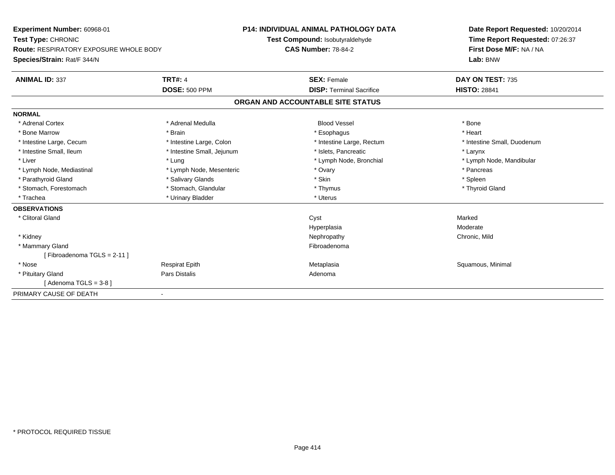| Experiment Number: 60968-01                   |                            | <b>P14: INDIVIDUAL ANIMAL PATHOLOGY DATA</b> | Date Report Requested: 10/20/2014 |
|-----------------------------------------------|----------------------------|----------------------------------------------|-----------------------------------|
| Test Type: CHRONIC                            |                            | Test Compound: Isobutyraldehyde              | Time Report Requested: 07:26:37   |
| <b>Route: RESPIRATORY EXPOSURE WHOLE BODY</b> |                            | <b>CAS Number: 78-84-2</b>                   | First Dose M/F: NA / NA           |
| Species/Strain: Rat/F 344/N                   |                            |                                              | Lab: BNW                          |
| <b>ANIMAL ID: 337</b>                         | <b>TRT#: 4</b>             | <b>SEX: Female</b>                           | DAY ON TEST: 735                  |
|                                               | <b>DOSE: 500 PPM</b>       | <b>DISP: Terminal Sacrifice</b>              | <b>HISTO: 28841</b>               |
|                                               |                            | ORGAN AND ACCOUNTABLE SITE STATUS            |                                   |
| <b>NORMAL</b>                                 |                            |                                              |                                   |
| * Adrenal Cortex                              | * Adrenal Medulla          | <b>Blood Vessel</b>                          | * Bone                            |
| * Bone Marrow                                 | * Brain                    | * Esophagus                                  | * Heart                           |
| * Intestine Large, Cecum                      | * Intestine Large, Colon   | * Intestine Large, Rectum                    | * Intestine Small, Duodenum       |
| * Intestine Small, Ileum                      | * Intestine Small, Jejunum | * Islets. Pancreatic                         | * Larynx                          |
| * Liver                                       | * Lung                     | * Lymph Node, Bronchial                      | * Lymph Node, Mandibular          |
| * Lymph Node, Mediastinal                     | * Lymph Node, Mesenteric   | * Ovary                                      | * Pancreas                        |
| * Parathyroid Gland                           | * Salivary Glands          | * Skin                                       | * Spleen                          |
| * Stomach, Forestomach                        | * Stomach, Glandular       | * Thymus                                     | * Thyroid Gland                   |
| * Trachea                                     | * Urinary Bladder          | * Uterus                                     |                                   |
| <b>OBSERVATIONS</b>                           |                            |                                              |                                   |
| * Clitoral Gland                              |                            | Cyst                                         | Marked                            |
|                                               |                            | Hyperplasia                                  | Moderate                          |
| * Kidney                                      |                            | Nephropathy                                  | Chronic, Mild                     |
| * Mammary Gland                               |                            | Fibroadenoma                                 |                                   |
| [Fibroadenoma TGLS = 2-11]                    |                            |                                              |                                   |
| * Nose                                        | <b>Respirat Epith</b>      | Metaplasia                                   | Squamous, Minimal                 |
| * Pituitary Gland                             | Pars Distalis              | Adenoma                                      |                                   |
| [Adenoma TGLS = $3-8$ ]                       |                            |                                              |                                   |
| PRIMARY CAUSE OF DEATH                        |                            |                                              |                                   |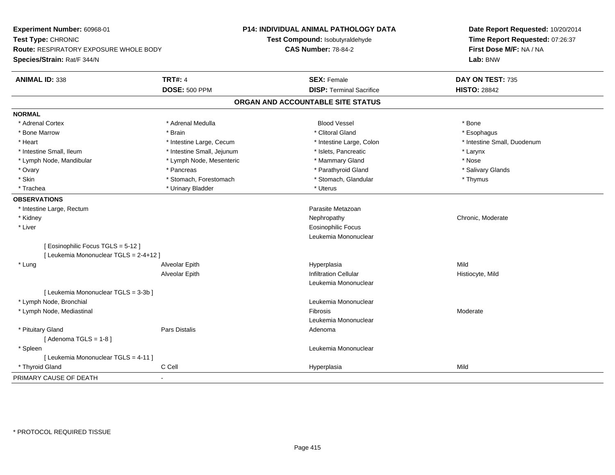| Experiment Number: 60968-01<br>Test Type: CHRONIC<br>Route: RESPIRATORY EXPOSURE WHOLE BODY |                            | P14: INDIVIDUAL ANIMAL PATHOLOGY DATA | Date Report Requested: 10/20/2014<br>Time Report Requested: 07:26:37 |
|---------------------------------------------------------------------------------------------|----------------------------|---------------------------------------|----------------------------------------------------------------------|
|                                                                                             |                            | Test Compound: Isobutyraldehyde       |                                                                      |
|                                                                                             |                            | <b>CAS Number: 78-84-2</b>            | First Dose M/F: NA / NA                                              |
| Species/Strain: Rat/F 344/N                                                                 |                            |                                       | Lab: BNW                                                             |
| <b>ANIMAL ID: 338</b>                                                                       | <b>TRT#: 4</b>             | <b>SEX: Female</b>                    | DAY ON TEST: 735                                                     |
|                                                                                             | <b>DOSE: 500 PPM</b>       | <b>DISP: Terminal Sacrifice</b>       | <b>HISTO: 28842</b>                                                  |
|                                                                                             |                            | ORGAN AND ACCOUNTABLE SITE STATUS     |                                                                      |
| <b>NORMAL</b>                                                                               |                            |                                       |                                                                      |
| * Adrenal Cortex                                                                            | * Adrenal Medulla          | <b>Blood Vessel</b>                   | * Bone                                                               |
| * Bone Marrow                                                                               | * Brain                    | * Clitoral Gland                      | * Esophagus                                                          |
| * Heart                                                                                     | * Intestine Large, Cecum   | * Intestine Large, Colon              | * Intestine Small, Duodenum                                          |
| * Intestine Small, Ileum                                                                    | * Intestine Small, Jejunum | * Islets, Pancreatic                  | * Larynx                                                             |
| * Lymph Node, Mandibular                                                                    | * Lymph Node, Mesenteric   | * Mammary Gland                       | * Nose                                                               |
| * Ovary                                                                                     | * Pancreas                 | * Parathyroid Gland                   | * Salivary Glands                                                    |
| * Skin                                                                                      | * Stomach, Forestomach     | * Stomach, Glandular                  | * Thymus                                                             |
| * Trachea                                                                                   | * Urinary Bladder          | * Uterus                              |                                                                      |
| <b>OBSERVATIONS</b>                                                                         |                            |                                       |                                                                      |
| * Intestine Large, Rectum                                                                   |                            | Parasite Metazoan                     |                                                                      |
| * Kidney                                                                                    |                            | Nephropathy                           | Chronic, Moderate                                                    |
| * Liver                                                                                     |                            | <b>Eosinophilic Focus</b>             |                                                                      |
|                                                                                             |                            | Leukemia Mononuclear                  |                                                                      |
| [ Eosinophilic Focus TGLS = 5-12 ]                                                          |                            |                                       |                                                                      |
| [ Leukemia Mononuclear TGLS = 2-4+12 ]                                                      |                            |                                       |                                                                      |
| * Lung                                                                                      | Alveolar Epith             | Hyperplasia                           | Mild                                                                 |
|                                                                                             | Alveolar Epith             | <b>Infiltration Cellular</b>          | Histiocyte, Mild                                                     |
|                                                                                             |                            | Leukemia Mononuclear                  |                                                                      |
| [ Leukemia Mononuclear TGLS = 3-3b ]                                                        |                            |                                       |                                                                      |
| * Lymph Node, Bronchial                                                                     |                            | Leukemia Mononuclear                  |                                                                      |
| * Lymph Node, Mediastinal                                                                   |                            | Fibrosis                              | Moderate                                                             |
|                                                                                             |                            | Leukemia Mononuclear                  |                                                                      |
| * Pituitary Gland                                                                           | Pars Distalis              | Adenoma                               |                                                                      |
| [Adenoma TGLS = $1-8$ ]                                                                     |                            |                                       |                                                                      |
| * Spleen                                                                                    |                            | Leukemia Mononuclear                  |                                                                      |
| [ Leukemia Mononuclear TGLS = 4-11 ]                                                        |                            |                                       |                                                                      |
| * Thyroid Gland                                                                             | C Cell                     | Hyperplasia                           | Mild                                                                 |
| PRIMARY CAUSE OF DEATH                                                                      | $\blacksquare$             |                                       |                                                                      |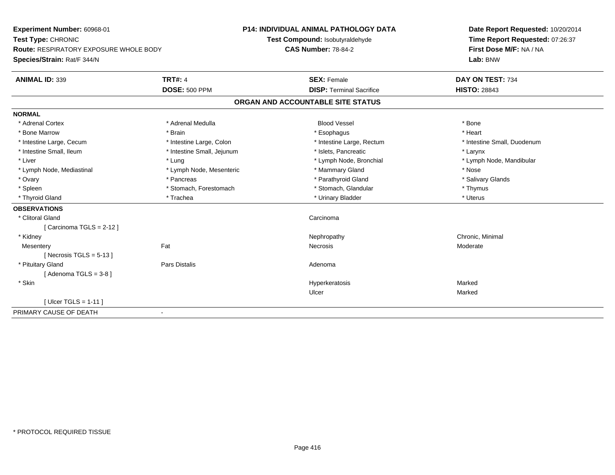| Experiment Number: 60968-01                   |                            | <b>P14: INDIVIDUAL ANIMAL PATHOLOGY DATA</b> | Date Report Requested: 10/20/2014 |
|-----------------------------------------------|----------------------------|----------------------------------------------|-----------------------------------|
| Test Type: CHRONIC                            |                            | Test Compound: Isobutyraldehyde              | Time Report Requested: 07:26:37   |
| <b>Route: RESPIRATORY EXPOSURE WHOLE BODY</b> |                            | <b>CAS Number: 78-84-2</b>                   | First Dose M/F: NA / NA           |
| Species/Strain: Rat/F 344/N                   |                            |                                              | Lab: BNW                          |
| <b>ANIMAL ID: 339</b>                         | <b>TRT#: 4</b>             | <b>SEX: Female</b>                           | DAY ON TEST: 734                  |
|                                               | <b>DOSE: 500 PPM</b>       | <b>DISP: Terminal Sacrifice</b>              | <b>HISTO: 28843</b>               |
|                                               |                            | ORGAN AND ACCOUNTABLE SITE STATUS            |                                   |
| <b>NORMAL</b>                                 |                            |                                              |                                   |
| * Adrenal Cortex                              | * Adrenal Medulla          | <b>Blood Vessel</b>                          | * Bone                            |
| * Bone Marrow                                 | * Brain                    | * Esophagus                                  | * Heart                           |
| * Intestine Large, Cecum                      | * Intestine Large, Colon   | * Intestine Large, Rectum                    | * Intestine Small, Duodenum       |
| * Intestine Small, Ileum                      | * Intestine Small, Jejunum | * Islets, Pancreatic                         | * Larynx                          |
| * Liver                                       | * Lung                     | * Lymph Node, Bronchial                      | * Lymph Node, Mandibular          |
| * Lymph Node, Mediastinal                     | * Lymph Node, Mesenteric   | * Mammary Gland                              | * Nose                            |
| * Ovary                                       | * Pancreas                 | * Parathyroid Gland                          | * Salivary Glands                 |
| * Spleen                                      | * Stomach, Forestomach     | * Stomach, Glandular                         | * Thymus                          |
| * Thyroid Gland                               | * Trachea                  | * Urinary Bladder                            | * Uterus                          |
| <b>OBSERVATIONS</b>                           |                            |                                              |                                   |
| * Clitoral Gland                              |                            | Carcinoma                                    |                                   |
| [Carcinoma TGLS = 2-12]                       |                            |                                              |                                   |
| * Kidney                                      |                            | Nephropathy                                  | Chronic, Minimal                  |
| Mesentery                                     | Fat                        | Necrosis                                     | Moderate                          |
| [Necrosis $TGLS = 5-13$ ]                     |                            |                                              |                                   |
| * Pituitary Gland                             | <b>Pars Distalis</b>       | Adenoma                                      |                                   |
| [Adenoma TGLS = $3-8$ ]                       |                            |                                              |                                   |
| * Skin                                        |                            | Hyperkeratosis                               | Marked                            |
|                                               |                            | Ulcer                                        | Marked                            |
| [ Ulcer TGLS = $1-11$ ]                       |                            |                                              |                                   |
| PRIMARY CAUSE OF DEATH                        | $\blacksquare$             |                                              |                                   |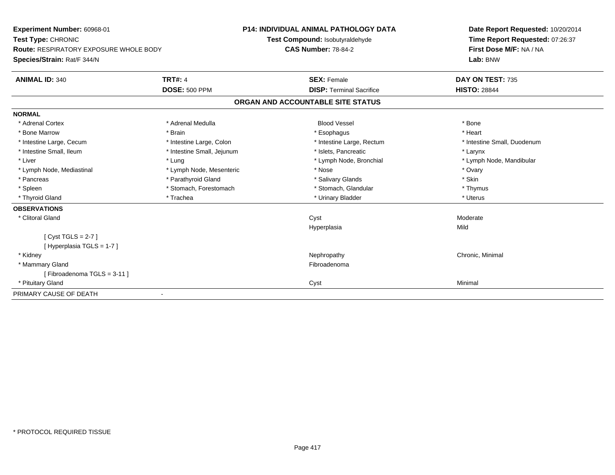| Experiment Number: 60968-01                   |                            | P14: INDIVIDUAL ANIMAL PATHOLOGY DATA | Date Report Requested: 10/20/2014                                      |  |
|-----------------------------------------------|----------------------------|---------------------------------------|------------------------------------------------------------------------|--|
| Test Type: CHRONIC                            |                            | Test Compound: Isobutyraldehyde       | Time Report Requested: 07:26:37<br>First Dose M/F: NA / NA<br>Lab: BNW |  |
| <b>Route: RESPIRATORY EXPOSURE WHOLE BODY</b> |                            | <b>CAS Number: 78-84-2</b>            |                                                                        |  |
| Species/Strain: Rat/F 344/N                   |                            |                                       |                                                                        |  |
| <b>ANIMAL ID: 340</b>                         | <b>TRT#: 4</b>             | <b>SEX: Female</b>                    | DAY ON TEST: 735                                                       |  |
|                                               | <b>DOSE: 500 PPM</b>       | <b>DISP: Terminal Sacrifice</b>       | <b>HISTO: 28844</b>                                                    |  |
|                                               |                            | ORGAN AND ACCOUNTABLE SITE STATUS     |                                                                        |  |
| <b>NORMAL</b>                                 |                            |                                       |                                                                        |  |
| * Adrenal Cortex                              | * Adrenal Medulla          | <b>Blood Vessel</b>                   | * Bone                                                                 |  |
| * Bone Marrow                                 | * Brain                    | * Esophagus                           | * Heart                                                                |  |
| * Intestine Large, Cecum                      | * Intestine Large, Colon   | * Intestine Large, Rectum             | * Intestine Small, Duodenum                                            |  |
| * Intestine Small, Ileum                      | * Intestine Small, Jejunum | * Islets, Pancreatic                  | * Larynx                                                               |  |
| * Liver                                       | * Lung                     | * Lymph Node, Bronchial               | * Lymph Node, Mandibular                                               |  |
| * Lymph Node, Mediastinal                     | * Lymph Node, Mesenteric   | * Nose                                | * Ovary                                                                |  |
| * Pancreas                                    | * Parathyroid Gland        | * Salivary Glands                     | * Skin                                                                 |  |
| * Spleen                                      | * Stomach, Forestomach     | * Stomach, Glandular                  | * Thymus                                                               |  |
| * Thyroid Gland                               | * Trachea                  | * Urinary Bladder                     | * Uterus                                                               |  |
| <b>OBSERVATIONS</b>                           |                            |                                       |                                                                        |  |
| * Clitoral Gland                              |                            | Cyst                                  | Moderate                                                               |  |
|                                               |                            | Hyperplasia                           | Mild                                                                   |  |
| [Cyst TGLS = $2-7$ ]                          |                            |                                       |                                                                        |  |
| [Hyperplasia TGLS = 1-7]                      |                            |                                       |                                                                        |  |
| * Kidney                                      |                            | Nephropathy                           | Chronic, Minimal                                                       |  |
| * Mammary Gland                               |                            | Fibroadenoma                          |                                                                        |  |
| [Fibroadenoma TGLS = 3-11]                    |                            |                                       |                                                                        |  |
| * Pituitary Gland                             |                            | Cyst                                  | Minimal                                                                |  |
| PRIMARY CAUSE OF DEATH                        |                            |                                       |                                                                        |  |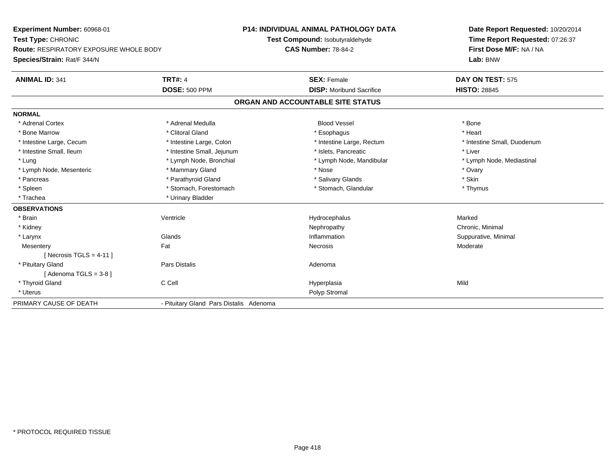**Experiment Number:** 60968-01**Test Type:** CHRONIC **Route:** RESPIRATORY EXPOSURE WHOLE BODY**Species/Strain:** Rat/F 344/N**P14: INDIVIDUAL ANIMAL PATHOLOGY DATATest Compound:** Isobutyraldehyde**CAS Number:** 78-84-2**Date Report Requested:** 10/20/2014**Time Report Requested:** 07:26:37**First Dose M/F:** NA / NA**Lab:** BNW**ANIMAL ID:** 341**TRT#:** 4 **SEX:** Female **SEX: Female DAY ON TEST:** 575 **DOSE:** 500 PPM**DISP:** Moribund Sacrifice **HISTO:** 28845 **ORGAN AND ACCOUNTABLE SITE STATUSNORMAL**\* Adrenal Cortex \* Adrenal Medulla \* \* Book \* Blood Vessel \* Book \* Bone \* Bone \* Bone \* Bone \* Bone \* Bone \* Bone \* Bone \* Bone \* Heart \* Bone Marrow \* Clitoral Gland \* Esophagus \* Heart \* Intestine Large, Cecum \* Intestine Large, Colon \* Intestine Large, Rectum \* Intestine Small, Duodenum \* Intestine Small, Ileum \* Intestine Small, Jejunum \* Islets, Pancreatic \* Liver\* Lung \* Lymph Node, Bronchial \* Lymph Node, and ibular \* Lymph Node, Mandibular \* Lymph Node, Mediastinal \* Lymph Node, Mediastinal \* Lymph Node, Mesenteric \* \* \* Mammary Gland \* \* Nose \* Nose \* Ovary \* Ovary \* Ovary \* Ovary \* Ovary \* Ovary \* Ovary \* Skin \* Pancreas \* Pancreas \* Pancreas \* Pancreas \* Pancreas \* Salivary Glands \* Salivary Glands \* Salivary Glands \* \* Thymus \* Spleen \* Stomach, Forestomach \* Stomach, Forestomach \* Stomach, Glandular \* Stomach, Glandular \* Trachea \* Urinary Bladder**OBSERVATIONS** \* Brainn and the Unit of the Marked School of the Marked School of the Marked School of the Marked School of the Marked School of the Marked School of the Marked School of the Marked School of the Marked School of the Marked Scho \* Kidneyy the controller of the controller of the controller of the controller of the controller of the controller of the controller of the controller of the controller of the controller of the controller of the controller of the \* Larynxx and the set of the Glands of the Glands of the set of the set of the set of the set of the set of the set of the set of the set of the set of the set of the set of the set of the set of the set of the set of the set of t Inflammation **Suppurative, Minimal Mesentery** y the control of the control of the control of the control of the control of the control of the control of the control of the control of the control of the control of the control of the control of the control of the contro  $[$  Necrosis TGLS = 4-11  $]$  \* Pituitary Glandd and the contract of Pars Distalis and the contract of Adenoma and Adenoma and the Adenoma and the Adenoma and  $\lambda$  $[$  Adenoma TGLS = 3-8  $]$  \* Thyroid Gland C Cell Hyperplasia Mild \* Uteruss and the contract of the contract of the contract of the contract of the contract of the contract of the contract of the contract of the contract of the contract of the contract of the contract of the contract of the cont PRIMARY CAUSE OF DEATH- Pituitary Gland Pars Distalis Adenoma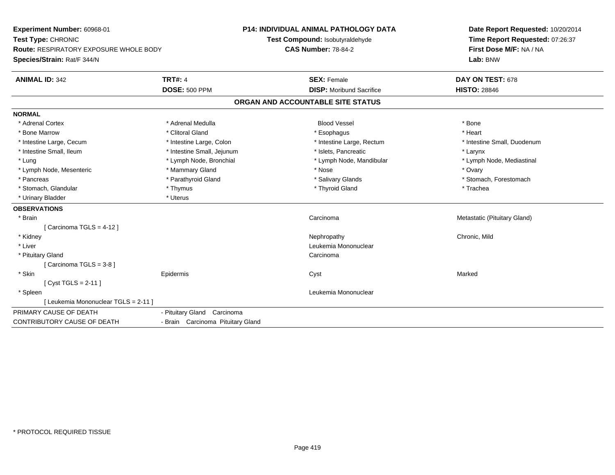| Experiment Number: 60968-01<br>Test Type: CHRONIC<br><b>Route: RESPIRATORY EXPOSURE WHOLE BODY</b><br>Species/Strain: Rat/F 344/N |                                   | <b>P14: INDIVIDUAL ANIMAL PATHOLOGY DATA</b><br>Test Compound: Isobutyraldehyde<br><b>CAS Number: 78-84-2</b> | Date Report Requested: 10/20/2014<br>Time Report Requested: 07:26:37<br>First Dose M/F: NA / NA<br>Lab: BNW |  |
|-----------------------------------------------------------------------------------------------------------------------------------|-----------------------------------|---------------------------------------------------------------------------------------------------------------|-------------------------------------------------------------------------------------------------------------|--|
| <b>ANIMAL ID: 342</b>                                                                                                             | <b>TRT#: 4</b>                    | <b>SEX: Female</b>                                                                                            | DAY ON TEST: 678                                                                                            |  |
|                                                                                                                                   | <b>DOSE: 500 PPM</b>              | <b>DISP:</b> Moribund Sacrifice                                                                               | <b>HISTO: 28846</b>                                                                                         |  |
|                                                                                                                                   |                                   | ORGAN AND ACCOUNTABLE SITE STATUS                                                                             |                                                                                                             |  |
| <b>NORMAL</b>                                                                                                                     |                                   |                                                                                                               |                                                                                                             |  |
| * Adrenal Cortex                                                                                                                  | * Adrenal Medulla                 | <b>Blood Vessel</b>                                                                                           | * Bone                                                                                                      |  |
| * Bone Marrow                                                                                                                     | * Clitoral Gland                  | * Esophagus                                                                                                   | * Heart                                                                                                     |  |
| * Intestine Large, Cecum                                                                                                          | * Intestine Large, Colon          | * Intestine Large, Rectum                                                                                     | * Intestine Small, Duodenum                                                                                 |  |
| * Intestine Small, Ileum                                                                                                          | * Intestine Small, Jejunum        | * Islets, Pancreatic                                                                                          | * Larynx                                                                                                    |  |
| * Lung                                                                                                                            | * Lymph Node, Bronchial           | * Lymph Node, Mandibular                                                                                      | * Lymph Node, Mediastinal                                                                                   |  |
| * Lymph Node, Mesenteric                                                                                                          | * Mammary Gland                   | * Nose                                                                                                        | * Ovary                                                                                                     |  |
| * Pancreas                                                                                                                        | * Parathyroid Gland               | * Salivary Glands                                                                                             | * Stomach, Forestomach                                                                                      |  |
| * Stomach, Glandular                                                                                                              | * Thymus                          | * Thyroid Gland                                                                                               | * Trachea                                                                                                   |  |
| * Urinary Bladder                                                                                                                 | * Uterus                          |                                                                                                               |                                                                                                             |  |
| <b>OBSERVATIONS</b>                                                                                                               |                                   |                                                                                                               |                                                                                                             |  |
| * Brain                                                                                                                           |                                   | Carcinoma                                                                                                     | Metastatic (Pituitary Gland)                                                                                |  |
| [Carcinoma TGLS = $4-12$ ]                                                                                                        |                                   |                                                                                                               |                                                                                                             |  |
| * Kidney                                                                                                                          |                                   | Nephropathy                                                                                                   | Chronic, Mild                                                                                               |  |
| * Liver                                                                                                                           |                                   | Leukemia Mononuclear                                                                                          |                                                                                                             |  |
| * Pituitary Gland                                                                                                                 |                                   | Carcinoma                                                                                                     |                                                                                                             |  |
| [Carcinoma TGLS = 3-8]                                                                                                            |                                   |                                                                                                               |                                                                                                             |  |
| * Skin                                                                                                                            | Epidermis                         | Cyst                                                                                                          | Marked                                                                                                      |  |
| [ $Cyst TGLS = 2-11$ ]                                                                                                            |                                   |                                                                                                               |                                                                                                             |  |
| * Spleen                                                                                                                          |                                   | Leukemia Mononuclear                                                                                          |                                                                                                             |  |
| [ Leukemia Mononuclear TGLS = 2-11 ]                                                                                              |                                   |                                                                                                               |                                                                                                             |  |
| PRIMARY CAUSE OF DEATH                                                                                                            | - Pituitary Gland Carcinoma       |                                                                                                               |                                                                                                             |  |
| <b>CONTRIBUTORY CAUSE OF DEATH</b>                                                                                                | - Brain Carcinoma Pituitary Gland |                                                                                                               |                                                                                                             |  |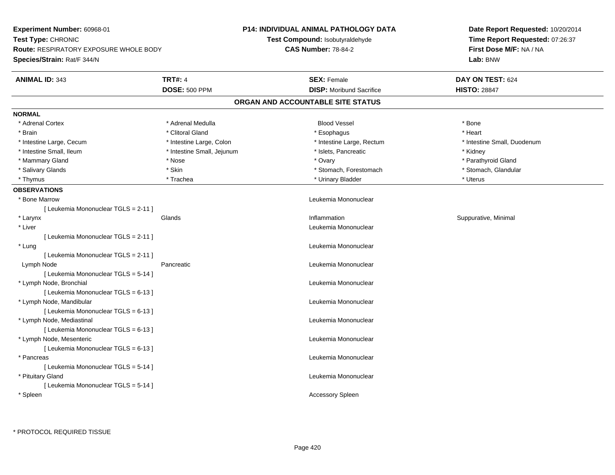| Experiment Number: 60968-01                   |                            | <b>P14: INDIVIDUAL ANIMAL PATHOLOGY DATA</b> | Date Report Requested: 10/20/2014<br>Time Report Requested: 07:26:37 |  |
|-----------------------------------------------|----------------------------|----------------------------------------------|----------------------------------------------------------------------|--|
| Test Type: CHRONIC                            |                            | <b>Test Compound: Isobutyraldehyde</b>       |                                                                      |  |
| <b>Route: RESPIRATORY EXPOSURE WHOLE BODY</b> |                            | <b>CAS Number: 78-84-2</b>                   | First Dose M/F: NA / NA<br>Lab: BNW                                  |  |
| Species/Strain: Rat/F 344/N                   |                            |                                              |                                                                      |  |
| <b>ANIMAL ID: 343</b>                         | <b>TRT#: 4</b>             | <b>SEX: Female</b>                           | DAY ON TEST: 624                                                     |  |
|                                               | <b>DOSE: 500 PPM</b>       | <b>DISP:</b> Moribund Sacrifice              | <b>HISTO: 28847</b>                                                  |  |
|                                               |                            | ORGAN AND ACCOUNTABLE SITE STATUS            |                                                                      |  |
| <b>NORMAL</b>                                 |                            |                                              |                                                                      |  |
| * Adrenal Cortex                              | * Adrenal Medulla          | <b>Blood Vessel</b>                          | * Bone                                                               |  |
| * Brain                                       | * Clitoral Gland           | * Esophagus                                  | * Heart                                                              |  |
| * Intestine Large, Cecum                      | * Intestine Large, Colon   | * Intestine Large, Rectum                    | * Intestine Small, Duodenum                                          |  |
| * Intestine Small, Ileum                      | * Intestine Small, Jejunum | * Islets, Pancreatic                         | * Kidney                                                             |  |
| * Mammary Gland                               | * Nose                     | * Ovary                                      | * Parathyroid Gland                                                  |  |
| * Salivary Glands                             | * Skin                     | * Stomach, Forestomach                       | * Stomach, Glandular                                                 |  |
| * Thymus                                      | * Trachea                  | * Urinary Bladder                            | * Uterus                                                             |  |
| <b>OBSERVATIONS</b>                           |                            |                                              |                                                                      |  |
| * Bone Marrow                                 |                            | Leukemia Mononuclear                         |                                                                      |  |
| [ Leukemia Mononuclear TGLS = 2-11 ]          |                            |                                              |                                                                      |  |
| * Larynx                                      | Glands                     | Inflammation                                 | Suppurative, Minimal                                                 |  |
| * Liver                                       |                            | Leukemia Mononuclear                         |                                                                      |  |
| [ Leukemia Mononuclear TGLS = 2-11 ]          |                            |                                              |                                                                      |  |
| * Lung                                        |                            | Leukemia Mononuclear                         |                                                                      |  |
| [ Leukemia Mononuclear TGLS = 2-11 ]          |                            |                                              |                                                                      |  |
| Lymph Node                                    | Pancreatic                 | Leukemia Mononuclear                         |                                                                      |  |
| [ Leukemia Mononuclear TGLS = 5-14 ]          |                            |                                              |                                                                      |  |
| * Lymph Node, Bronchial                       |                            | Leukemia Mononuclear                         |                                                                      |  |
| [ Leukemia Mononuclear TGLS = 6-13 ]          |                            |                                              |                                                                      |  |
| * Lymph Node, Mandibular                      |                            | Leukemia Mononuclear                         |                                                                      |  |
| [ Leukemia Mononuclear TGLS = 6-13 ]          |                            |                                              |                                                                      |  |
| * Lymph Node, Mediastinal                     |                            | Leukemia Mononuclear                         |                                                                      |  |
| [ Leukemia Mononuclear TGLS = 6-13 ]          |                            |                                              |                                                                      |  |
| * Lymph Node, Mesenteric                      |                            | Leukemia Mononuclear                         |                                                                      |  |
| [ Leukemia Mononuclear TGLS = 6-13 ]          |                            |                                              |                                                                      |  |
| * Pancreas                                    |                            | Leukemia Mononuclear                         |                                                                      |  |
| [ Leukemia Mononuclear TGLS = 5-14 ]          |                            |                                              |                                                                      |  |
| * Pituitary Gland                             |                            | Leukemia Mononuclear                         |                                                                      |  |
| [ Leukemia Mononuclear TGLS = 5-14 ]          |                            |                                              |                                                                      |  |
| * Spleen                                      |                            | <b>Accessory Spleen</b>                      |                                                                      |  |
|                                               |                            |                                              |                                                                      |  |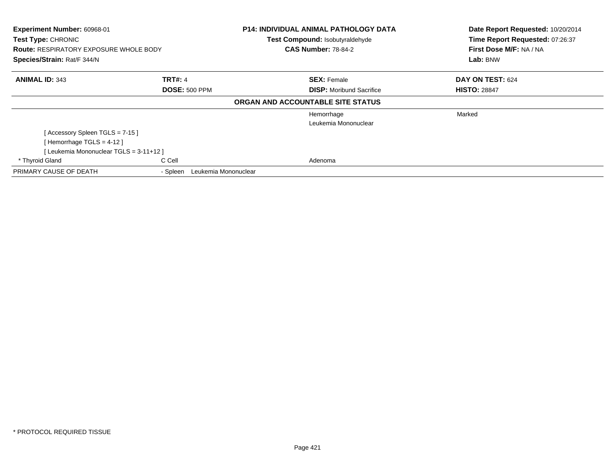| Experiment Number: 60968-01<br>Test Type: CHRONIC<br><b>Route: RESPIRATORY EXPOSURE WHOLE BODY</b><br>Species/Strain: Rat/F 344/N |                                  | <b>P14: INDIVIDUAL ANIMAL PATHOLOGY DATA</b><br>Test Compound: Isobutyraldehyde<br><b>CAS Number: 78-84-2</b> | Date Report Requested: 10/20/2014<br>Time Report Requested: 07:26:37<br>First Dose M/F: NA / NA<br>Lab: BNW |  |
|-----------------------------------------------------------------------------------------------------------------------------------|----------------------------------|---------------------------------------------------------------------------------------------------------------|-------------------------------------------------------------------------------------------------------------|--|
| <b>ANIMAL ID: 343</b>                                                                                                             | <b>TRT#: 4</b>                   | <b>SEX: Female</b>                                                                                            | DAY ON TEST: 624                                                                                            |  |
| <b>DOSE: 500 PPM</b>                                                                                                              |                                  | <b>DISP:</b> Moribund Sacrifice                                                                               | <b>HISTO: 28847</b>                                                                                         |  |
|                                                                                                                                   |                                  | ORGAN AND ACCOUNTABLE SITE STATUS                                                                             |                                                                                                             |  |
|                                                                                                                                   |                                  | Hemorrhage                                                                                                    | Marked                                                                                                      |  |
|                                                                                                                                   |                                  | Leukemia Mononuclear                                                                                          |                                                                                                             |  |
| [Accessory Spleen TGLS = 7-15]                                                                                                    |                                  |                                                                                                               |                                                                                                             |  |
| [Hemorrhage TGLS = $4-12$ ]                                                                                                       |                                  |                                                                                                               |                                                                                                             |  |
| [Leukemia Mononuclear TGLS = 3-11+12 ]                                                                                            |                                  |                                                                                                               |                                                                                                             |  |
| * Thyroid Gland                                                                                                                   | C Cell                           | Adenoma                                                                                                       |                                                                                                             |  |
| PRIMARY CAUSE OF DEATH                                                                                                            | Leukemia Mononuclear<br>- Spleen |                                                                                                               |                                                                                                             |  |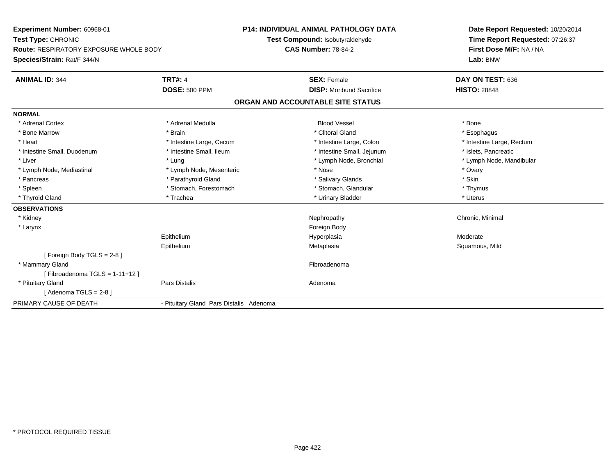**Experiment Number:** 60968-01**Test Type:** CHRONIC **Route:** RESPIRATORY EXPOSURE WHOLE BODY**Species/Strain:** Rat/F 344/N**P14: INDIVIDUAL ANIMAL PATHOLOGY DATATest Compound:** Isobutyraldehyde**CAS Number:** 78-84-2**Date Report Requested:** 10/20/2014**Time Report Requested:** 07:26:37**First Dose M/F:** NA / NA**Lab:** BNW**ANIMAL ID:** 344**TRT#:** 4 **SEX:** Female **SEX: Female DAY ON TEST:** 636 **DOSE:** 500 PPM**DISP:** Moribund Sacrifice **HISTO:** 28848 **ORGAN AND ACCOUNTABLE SITE STATUSNORMAL**\* Adrenal Cortex \* Adrenal Medulla \* \* Book \* Blood Vessel \* Book \* Bone \* Bone \* Bone \* Bone \* Bone \* Bone \* Bone \* Bone \* Bone \* Esophagus \* Bone Marrow \* \* Android \* Brain \* Brain \* Clitoral Gland \* Clitoral Gland \* Esophagus \* Esophagus \* Esophagus \* Intestine Large, Rectum \* Heart \* Intestine Large, Cecum \* Intestine Large, Cecum \* Intestine Large, Colon \* Intestine Small, Duodenum \* Intestine Small, Ileum \* Intestine Small, Intestine Small, Jejunum \* Islets, Pancreatic \* Lymph Node, Mandibular \* Liver \* Liver \* Lung \* Lung \* Lung \* Lung \* Lymph Node, Bronchial \* Lymph Node, Mandibular \* Lymph Node, Mandibular \* Lymph Node, Bronchial \* Lymph Node,  $\frac{1}{2}$ \* Lymph Node, Mediastinal \* Nose \* Ovary \* Lymph Node, Mesenteric \* Nose \* Nose \* Nose \* Ovary \* Ovary \* Ovary \* Skin \* Pancreas \* Pancreas \* Pancreas \* Pancreas \* Pancreas \* Salivary Glands \* Salivary Glands \* Salivary Glands \* \* Thymus \* Spleen \* Stomach, Forestomach \* Stomach, Spleen \* Stomach, Glandular \* Thymus \* Stomach, Glandular \* Uterus \* Thyroid Gland \* \* Trachea \* \* Trachea \* Trachea \* \* Urinary Bladder \* \* Urinary Bladder \* \* Uterus \* Uterus **OBSERVATIONS** \* Kidneyy the controller of the controller of the controller of the controller of the controller of the controller of the controller of the controller of the controller of the controller of the controller of the controller of the \* Larynx**x** and the contract of the contract of the contract of the contract of the contract of the contract of the contract of the contract of the contract of the contract of the contract of the contract of the contract of the co Epithelium Hyperplasia Moderate Epithelium Metaplasia Squamous, Mild [ Foreign Body TGLS = 2-8 ] \* Mammary Glandd **Executive Contract of the Contract Contract Contract Contract Contract Contract Contract Contract Contract Contract Contract Contract Contract Contract Contract Contract Contract Contract Contract Contract Contract Cont**  $[$  Fibroadenoma TGLS = 1-11+12  $]$  \* Pituitary Glandd and the contract of Pars Distalis and the contract of Adenoma and Adenoma and the Adenoma and the Adenoma and  $\lambda$  $[$  Adenoma TGLS = 2-8  $]$ PRIMARY CAUSE OF DEATH- Pituitary Gland Pars Distalis Adenoma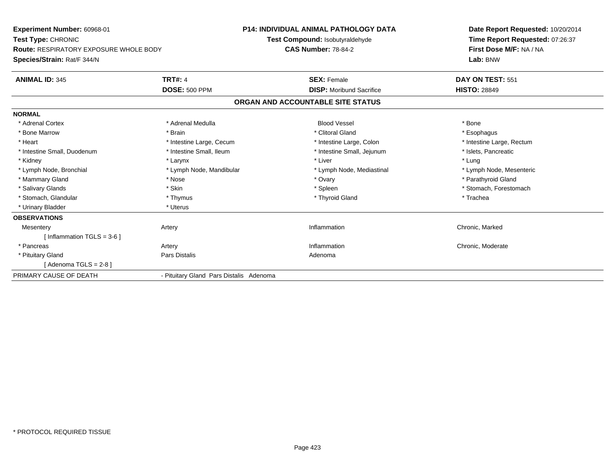**Experiment Number:** 60968-01**Test Type:** CHRONIC **Route:** RESPIRATORY EXPOSURE WHOLE BODY**Species/Strain:** Rat/F 344/N**P14: INDIVIDUAL ANIMAL PATHOLOGY DATATest Compound:** Isobutyraldehyde**CAS Number:** 78-84-2**Date Report Requested:** 10/20/2014**Time Report Requested:** 07:26:37**First Dose M/F:** NA / NA**Lab:** BNW**ANIMAL ID:** 345**TRT#:** 4 **SEX:** Female **SEX: Female DAY ON TEST:** 551 **DOSE:** 500 PPM**DISP:** Moribund Sacrifice **HISTO:** 28849 **ORGAN AND ACCOUNTABLE SITE STATUSNORMAL**\* Adrenal Cortex \* Adrenal Medulla \* \* Book \* Blood Vessel \* Book \* Bone \* Bone \* Bone \* Bone \* Bone \* Bone \* Bone \* Bone \* Bone \* Esophagus \* Bone Marrow \* \* Android \* Brain \* Brain \* Clitoral Gland \* Clitoral Gland \* Esophagus \* Esophagus \* Esophagus \* Intestine Large, Rectum \* Heart \* Intestine Large, Cecum \* Intestine Large, Cecum \* Intestine Large, Colon \* Intestine Small, Duodenum \* Intestine Small, Ileum \* 1ntestine Small, Intestine Small, Jejunum \* Islets, Pancreatic \* Kidney \* Larynx \* Liver \* Lung\* Lymph Node, Mesenteric \* Lymph Node, Bronchial \* Lymph Node, Mandibular \* Lymph Node, Mediastinal \* Lymph Node, Mediastinal \* Mammary Gland \* \* Nose \* \* Nose \* \* Ovary \* Ovary \* Ovary \* The material structure of the term of the term \* Parathyroid Gland \* Parathyroid Gland \* Parathyroid Gland \* Nose \* \* Parathyroid Gland \* \* Parathyroid Gland \* \* Salivary Glands \* The stomach \* Skin \* Spleen \* Spleen \* Stomach, Forestomach \* Stomach, Forestomach \* Stomach, Forestomach \* Stomach, Glandular \* Thymus \* Thymus \* Thymus \* Thyroid Gland \* Thyroid Gland \* Trachea \* Urinary Bladder \* Uterus **OBSERVATIONSMesentery** y the contract of the contract of the contract of the contract of the contract of the contract of the contract of the contract of the contract of the contract of the contract of the contract of the contract of the contract Inflammation **Chronic**, Marked [ Inflammation TGLS = 3-6 ] \* Pancreass and the contract of the contract of the contract of the contract of the contract of the contract of the contract of the contract of the contract of the contract of the contract of the contract of the contract of the cont Inflammation **Chronic, Moderate**  \* Pituitary Glandd and the contract of Pars Distalis and the contract of Adenoma and Adenoma and the Adenoma and the Adenoma and  $\lambda$  $[$  Adenoma TGLS = 2-8  $]$ PRIMARY CAUSE OF DEATH- Pituitary Gland Pars Distalis Adenoma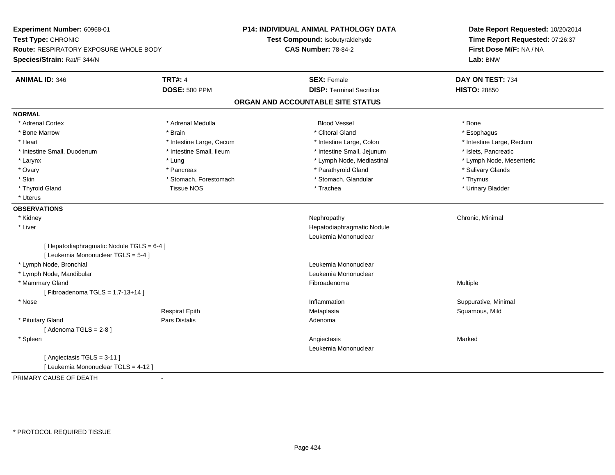**Experiment Number:** 60968-01**Test Type:** CHRONIC **Route:** RESPIRATORY EXPOSURE WHOLE BODY**Species/Strain:** Rat/F 344/N**P14: INDIVIDUAL ANIMAL PATHOLOGY DATATest Compound:** Isobutyraldehyde**CAS Number:** 78-84-2**Date Report Requested:** 10/20/2014**Time Report Requested:** 07:26:37**First Dose M/F:** NA / NA**Lab:** BNW**ANIMAL ID:** 346**6 DAY ON TEST:** 734 **DOSE:** 500 PPM**DISP:** Terminal Sacrifice **HISTO:** 28850 **ORGAN AND ACCOUNTABLE SITE STATUSNORMAL**\* Adrenal Cortex \* Adrenal Cortex \* Adrenal Medulla Blood Vessel \* Bone\* Esophagus \* Bone Marrow \* \* Android \* Brain \* Brain \* Clitoral Gland \* Clitoral Gland \* Esophagus \* Esophagus \* Esophagus \* Intestine Large, Rectum \* Heart **\*** Intestine Large, Cecum \* Intestine Large, Cecum \* Intestine Large, Colon \* Intestine Small, Duodenum \* Intestine Small, Ileum \* Intestine Small, Intestine Small, Jejunum \* Islets, Pancreatic \* Lymph Node, Mesenteric \* Larynx \* Lung \* Lung \* Lung \* Lung \* Larynx \* Lymph Node, Mediastinal \* \* Ovary \* \* Pancreas \* \* Pancreas \* \* Pancreas \* \* Parathyroid Gland \* \* Salivary Glands \* Salivary Glands \* Salivary Glands \* Salivary Glands \* Salivary Glands \* Salivary Glands \* Salivary Glands \* \* Salivary Glands \* \* S \* Skin \* Stomach, Forestomach \* Stomach \* Stomach, Glandular \* Thymus \* Thymus \* Urinary Bladder \* Thyroid Gland \* \* \* The Changes of Tissue NOS \* \* Trachea \* \* Trachea \* \* Trachea \* \* Urinary Bladder \* \* Urinary Bladder \* \* Urinary Bladder \* \* Urinary Bladder \* \* Urinary Bladder \* \* Urinary Bladder \* \* \* Urinary Blad \* Uterus**OBSERVATIONS** \* Kidneyy the controller of the controller of the controller of the controller of the controller of the controller of the controller of the controller of the controller of the controller of the controller of the controller of the \* Liver Hepatodiaphragmatic NoduleLeukemia Mononuclear[ Hepatodiaphragmatic Nodule TGLS = 6-4 ][ Leukemia Mononuclear TGLS = 5-4 ] \* Lymph Node, Bronchial Leukemia Mononuclear \* Lymph Node, Mandibular Leukemia Mononuclear \* Mammary Glandd and the state of the state of the state of the state of the state of the state of the state of the state of the state of the state of the state of the state of the state of the state of the state of the state of the stat [ Fibroadenoma TGLS = 1,7-13+14 ] \* Nosee inflammation inflammation in the suppurative, Minimal (Suppurative, Minimal inflammation in the suppurative, Minimal inflammation in the suppurative, Minimal inflammation in the suppurative, Minimal inflammation in the s Respirat Epith Metaplasia Squamous, Mild \* Pituitary Glandd and the contract of Pars Distalis and the contract of Adenoma and Adenoma and the Adenoma and the Adenoma and  $\lambda$  $[$  Adenoma TGLS = 2-8  $]$  \* Spleenn and the control of the control of the control of the control of the control of the control of the control of the control of the control of the control of the control of the control of the control of the control of the co Leukemia Mononuclear[ Angiectasis TGLS = 3-11 ][ Leukemia Mononuclear TGLS = 4-12 ]PRIMARY CAUSE OF DEATH-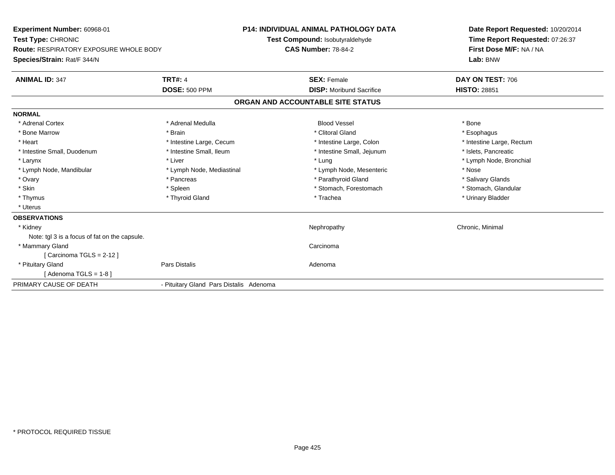| <b>Experiment Number: 60968-01</b>            |                                         | <b>P14: INDIVIDUAL ANIMAL PATHOLOGY DATA</b> | Date Report Requested: 10/20/2014<br>Time Report Requested: 07:26:37 |
|-----------------------------------------------|-----------------------------------------|----------------------------------------------|----------------------------------------------------------------------|
| <b>Test Type: CHRONIC</b>                     |                                         | Test Compound: Isobutyraldehyde              |                                                                      |
| <b>Route: RESPIRATORY EXPOSURE WHOLE BODY</b> |                                         | <b>CAS Number: 78-84-2</b>                   | First Dose M/F: NA / NA                                              |
| Species/Strain: Rat/F 344/N                   |                                         |                                              | Lab: BNW                                                             |
| <b>ANIMAL ID: 347</b>                         | <b>TRT#: 4</b>                          | <b>SEX: Female</b>                           | DAY ON TEST: 706                                                     |
|                                               | <b>DOSE: 500 PPM</b>                    | <b>DISP:</b> Moribund Sacrifice              | <b>HISTO: 28851</b>                                                  |
|                                               |                                         | ORGAN AND ACCOUNTABLE SITE STATUS            |                                                                      |
| <b>NORMAL</b>                                 |                                         |                                              |                                                                      |
| * Adrenal Cortex                              | * Adrenal Medulla                       | <b>Blood Vessel</b>                          | * Bone                                                               |
| * Bone Marrow                                 | * Brain                                 | * Clitoral Gland                             | * Esophagus                                                          |
| * Heart                                       | * Intestine Large, Cecum                | * Intestine Large, Colon                     | * Intestine Large, Rectum                                            |
| * Intestine Small, Duodenum                   | * Intestine Small, Ileum                | * Intestine Small, Jejunum                   | * Islets, Pancreatic                                                 |
| * Larynx                                      | * Liver                                 | * Lung                                       | * Lymph Node, Bronchial                                              |
| * Lymph Node, Mandibular                      | * Lymph Node, Mediastinal               | * Lymph Node, Mesenteric                     | * Nose                                                               |
| * Ovary                                       | * Pancreas                              | * Parathyroid Gland                          | * Salivary Glands                                                    |
| * Skin                                        | * Spleen                                | * Stomach, Forestomach                       | * Stomach, Glandular                                                 |
| * Thymus                                      | * Thyroid Gland                         | * Trachea                                    | * Urinary Bladder                                                    |
| * Uterus                                      |                                         |                                              |                                                                      |
| <b>OBSERVATIONS</b>                           |                                         |                                              |                                                                      |
| * Kidney                                      |                                         | Nephropathy                                  | Chronic, Minimal                                                     |
| Note: tgl 3 is a focus of fat on the capsule. |                                         |                                              |                                                                      |
| * Mammary Gland                               |                                         | Carcinoma                                    |                                                                      |
| [Carcinoma TGLS = $2-12$ ]                    |                                         |                                              |                                                                      |
| * Pituitary Gland                             | Pars Distalis                           | Adenoma                                      |                                                                      |
| [ Adenoma TGLS = 1-8 ]                        |                                         |                                              |                                                                      |
| PRIMARY CAUSE OF DEATH                        | - Pituitary Gland Pars Distalis Adenoma |                                              |                                                                      |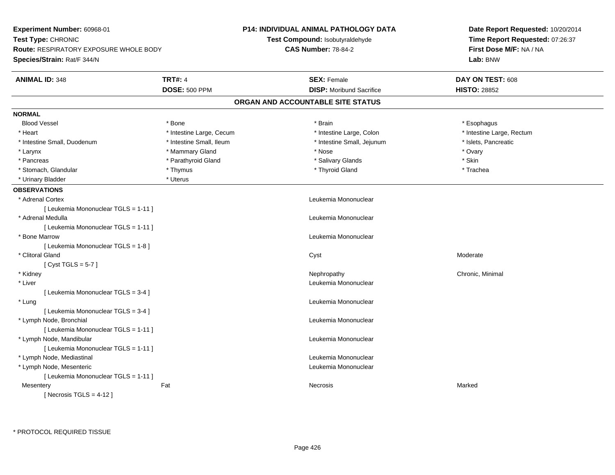| Experiment Number: 60968-01            |                          | <b>P14: INDIVIDUAL ANIMAL PATHOLOGY DATA</b> | Date Report Requested: 10/20/2014<br>Time Report Requested: 07:26:37 |  |
|----------------------------------------|--------------------------|----------------------------------------------|----------------------------------------------------------------------|--|
| Test Type: CHRONIC                     |                          | Test Compound: Isobutyraldehyde              |                                                                      |  |
| Route: RESPIRATORY EXPOSURE WHOLE BODY |                          | <b>CAS Number: 78-84-2</b>                   | First Dose M/F: NA / NA                                              |  |
| Species/Strain: Rat/F 344/N            |                          |                                              | Lab: BNW                                                             |  |
| <b>ANIMAL ID: 348</b>                  | <b>TRT#: 4</b>           | <b>SEX: Female</b>                           | DAY ON TEST: 608                                                     |  |
|                                        | <b>DOSE: 500 PPM</b>     | <b>DISP:</b> Moribund Sacrifice              | <b>HISTO: 28852</b>                                                  |  |
|                                        |                          | ORGAN AND ACCOUNTABLE SITE STATUS            |                                                                      |  |
| <b>NORMAL</b>                          |                          |                                              |                                                                      |  |
| <b>Blood Vessel</b>                    | * Bone                   | * Brain                                      | * Esophagus                                                          |  |
| * Heart                                | * Intestine Large, Cecum | * Intestine Large, Colon                     | * Intestine Large, Rectum                                            |  |
| * Intestine Small, Duodenum            | * Intestine Small, Ileum | * Intestine Small, Jejunum                   | * Islets, Pancreatic                                                 |  |
| * Larynx                               | * Mammary Gland          | * Nose                                       | * Ovary                                                              |  |
| * Pancreas                             | * Parathyroid Gland      | * Salivary Glands                            | * Skin                                                               |  |
| * Stomach, Glandular                   | * Thymus                 | * Thyroid Gland                              | * Trachea                                                            |  |
| * Urinary Bladder                      | * Uterus                 |                                              |                                                                      |  |
| <b>OBSERVATIONS</b>                    |                          |                                              |                                                                      |  |
| * Adrenal Cortex                       |                          | Leukemia Mononuclear                         |                                                                      |  |
| [ Leukemia Mononuclear TGLS = 1-11 ]   |                          |                                              |                                                                      |  |
| * Adrenal Medulla                      |                          | Leukemia Mononuclear                         |                                                                      |  |
| [ Leukemia Mononuclear TGLS = 1-11 ]   |                          |                                              |                                                                      |  |
| * Bone Marrow                          |                          | Leukemia Mononuclear                         |                                                                      |  |
| [ Leukemia Mononuclear TGLS = 1-8 ]    |                          |                                              |                                                                      |  |
| * Clitoral Gland                       |                          | Cyst                                         | Moderate                                                             |  |
| [Cyst TGLS = $5-7$ ]                   |                          |                                              |                                                                      |  |
| * Kidney                               |                          | Nephropathy                                  | Chronic, Minimal                                                     |  |
| * Liver                                |                          | Leukemia Mononuclear                         |                                                                      |  |
| [ Leukemia Mononuclear TGLS = 3-4 ]    |                          |                                              |                                                                      |  |
| * Lung                                 |                          | Leukemia Mononuclear                         |                                                                      |  |
| [ Leukemia Mononuclear TGLS = 3-4 ]    |                          |                                              |                                                                      |  |
| * Lymph Node, Bronchial                |                          | Leukemia Mononuclear                         |                                                                      |  |
| [ Leukemia Mononuclear TGLS = 1-11 ]   |                          |                                              |                                                                      |  |
| * Lymph Node, Mandibular               |                          | Leukemia Mononuclear                         |                                                                      |  |
| [ Leukemia Mononuclear TGLS = 1-11 ]   |                          |                                              |                                                                      |  |
| * Lymph Node, Mediastinal              |                          | Leukemia Mononuclear                         |                                                                      |  |
| * Lymph Node, Mesenteric               |                          | Leukemia Mononuclear                         |                                                                      |  |
| [ Leukemia Mononuclear TGLS = 1-11 ]   |                          |                                              |                                                                      |  |
| Mesentery                              | Fat                      | Necrosis                                     | Marked                                                               |  |
| [Necrosis $TGLS = 4-12$ ]              |                          |                                              |                                                                      |  |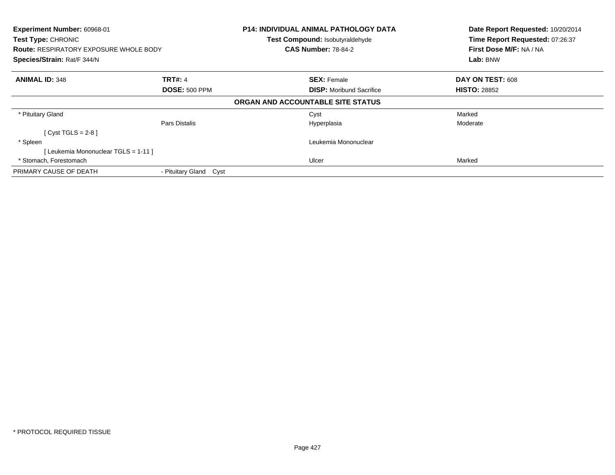| <b>Experiment Number: 60968-01</b><br>Test Type: CHRONIC<br><b>Route: RESPIRATORY EXPOSURE WHOLE BODY</b><br>Species/Strain: Rat/F 344/N |                        | P14: INDIVIDUAL ANIMAL PATHOLOGY DATA | Date Report Requested: 10/20/2014 |
|------------------------------------------------------------------------------------------------------------------------------------------|------------------------|---------------------------------------|-----------------------------------|
|                                                                                                                                          |                        | Test Compound: Isobutyraldehyde       | Time Report Requested: 07:26:37   |
|                                                                                                                                          |                        | <b>CAS Number: 78-84-2</b>            | First Dose M/F: NA / NA           |
|                                                                                                                                          |                        |                                       | Lab: BNW                          |
| <b>ANIMAL ID: 348</b>                                                                                                                    | <b>TRT#: 4</b>         | <b>SEX: Female</b>                    | DAY ON TEST: 608                  |
|                                                                                                                                          | <b>DOSE: 500 PPM</b>   | <b>DISP:</b> Moribund Sacrifice       | <b>HISTO: 28852</b>               |
|                                                                                                                                          |                        | ORGAN AND ACCOUNTABLE SITE STATUS     |                                   |
| * Pituitary Gland                                                                                                                        |                        | Cyst                                  | Marked                            |
|                                                                                                                                          | Pars Distalis          | Hyperplasia                           | Moderate                          |
| $Cvst TGLS = 2-8$                                                                                                                        |                        |                                       |                                   |
| * Spleen                                                                                                                                 |                        | Leukemia Mononuclear                  |                                   |
| [ Leukemia Mononuclear TGLS = 1-11 ]                                                                                                     |                        |                                       |                                   |
| * Stomach, Forestomach                                                                                                                   |                        | Ulcer                                 | Marked                            |
| PRIMARY CAUSE OF DEATH                                                                                                                   | - Pituitary Gland Cyst |                                       |                                   |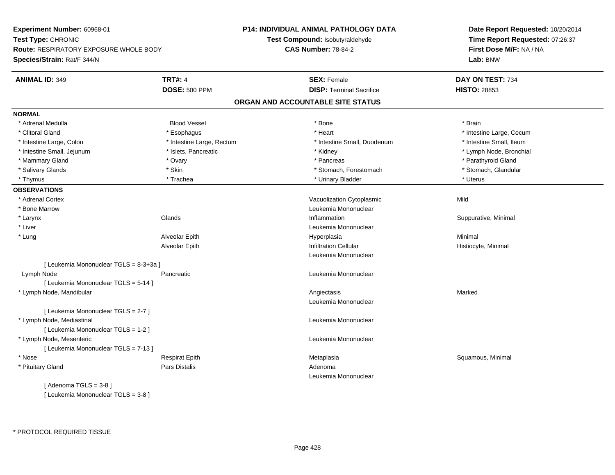| Experiment Number: 60968-01                   |                           | P14: INDIVIDUAL ANIMAL PATHOLOGY DATA | Date Report Requested: 10/20/2014 |  |
|-----------------------------------------------|---------------------------|---------------------------------------|-----------------------------------|--|
| Test Type: CHRONIC                            |                           | Test Compound: Isobutyraldehyde       | Time Report Requested: 07:26:37   |  |
| <b>Route: RESPIRATORY EXPOSURE WHOLE BODY</b> |                           | <b>CAS Number: 78-84-2</b>            | First Dose M/F: NA / NA           |  |
| Species/Strain: Rat/F 344/N                   |                           |                                       | Lab: BNW                          |  |
| <b>ANIMAL ID: 349</b>                         | <b>TRT#: 4</b>            | <b>SEX: Female</b>                    | DAY ON TEST: 734                  |  |
|                                               | <b>DOSE: 500 PPM</b>      | <b>DISP: Terminal Sacrifice</b>       | <b>HISTO: 28853</b>               |  |
|                                               |                           | ORGAN AND ACCOUNTABLE SITE STATUS     |                                   |  |
| <b>NORMAL</b>                                 |                           |                                       |                                   |  |
| * Adrenal Medulla                             | <b>Blood Vessel</b>       | * Bone                                | * Brain                           |  |
| * Clitoral Gland                              | * Esophagus               | * Heart                               | * Intestine Large, Cecum          |  |
| * Intestine Large, Colon                      | * Intestine Large, Rectum | * Intestine Small, Duodenum           | * Intestine Small, Ileum          |  |
| * Intestine Small, Jejunum                    | * Islets, Pancreatic      | * Kidney                              | * Lymph Node, Bronchial           |  |
| * Mammary Gland                               | * Ovary                   | * Pancreas                            | * Parathyroid Gland               |  |
| * Salivary Glands                             | * Skin                    | * Stomach, Forestomach                | * Stomach, Glandular              |  |
| * Thymus                                      | * Trachea                 | * Urinary Bladder                     | * Uterus                          |  |
| <b>OBSERVATIONS</b>                           |                           |                                       |                                   |  |
| * Adrenal Cortex                              |                           | Vacuolization Cytoplasmic             | Mild                              |  |
| * Bone Marrow                                 |                           | Leukemia Mononuclear                  |                                   |  |
| * Larynx                                      | Glands                    | Inflammation                          | Suppurative, Minimal              |  |
| * Liver                                       |                           | Leukemia Mononuclear                  |                                   |  |
| * Lung                                        | Alveolar Epith            | Hyperplasia                           | Minimal                           |  |
|                                               | Alveolar Epith            | <b>Infiltration Cellular</b>          | Histiocyte, Minimal               |  |
|                                               |                           | Leukemia Mononuclear                  |                                   |  |
| [ Leukemia Mononuclear TGLS = 8-3+3a ]        |                           |                                       |                                   |  |
| Lymph Node                                    | Pancreatic                | Leukemia Mononuclear                  |                                   |  |
| [ Leukemia Mononuclear TGLS = 5-14 ]          |                           |                                       |                                   |  |
| * Lymph Node, Mandibular                      |                           | Angiectasis                           | Marked                            |  |
|                                               |                           | Leukemia Mononuclear                  |                                   |  |
| [ Leukemia Mononuclear TGLS = 2-7 ]           |                           |                                       |                                   |  |
| * Lymph Node, Mediastinal                     |                           | Leukemia Mononuclear                  |                                   |  |
| [ Leukemia Mononuclear TGLS = 1-2 ]           |                           |                                       |                                   |  |
| * Lymph Node, Mesenteric                      |                           | Leukemia Mononuclear                  |                                   |  |
| [ Leukemia Mononuclear TGLS = 7-13 ]          |                           |                                       |                                   |  |
| * Nose                                        | <b>Respirat Epith</b>     | Metaplasia                            | Squamous, Minimal                 |  |
| * Pituitary Gland                             | <b>Pars Distalis</b>      | Adenoma                               |                                   |  |
|                                               |                           | Leukemia Mononuclear                  |                                   |  |
| [Adenoma TGLS = $3-8$ ]                       |                           |                                       |                                   |  |
|                                               |                           |                                       |                                   |  |

[ Leukemia Mononuclear TGLS = 3-8 ]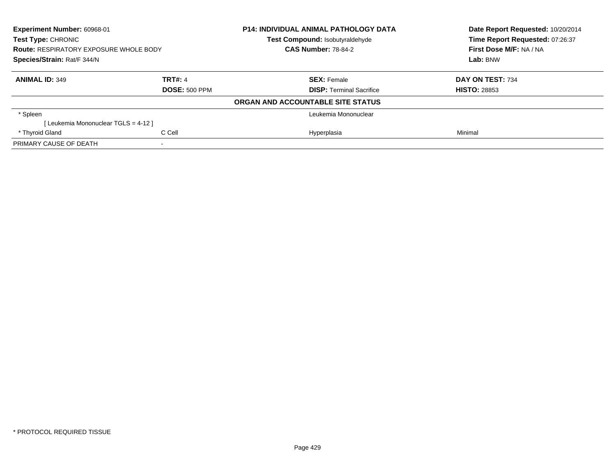| Experiment Number: 60968-01<br><b>Test Type: CHRONIC</b><br><b>Route: RESPIRATORY EXPOSURE WHOLE BODY</b><br>Species/Strain: Rat/F 344/N |                | <b>P14: INDIVIDUAL ANIMAL PATHOLOGY DATA</b> | Date Report Requested: 10/20/2014<br>Time Report Requested: 07:26:37<br>First Dose M/F: NA / NA |
|------------------------------------------------------------------------------------------------------------------------------------------|----------------|----------------------------------------------|-------------------------------------------------------------------------------------------------|
|                                                                                                                                          |                | Test Compound: Isobutyraldehyde              |                                                                                                 |
|                                                                                                                                          |                | <b>CAS Number: 78-84-2</b>                   |                                                                                                 |
|                                                                                                                                          |                |                                              | Lab: BNW                                                                                        |
| <b>ANIMAL ID: 349</b>                                                                                                                    | <b>TRT#: 4</b> | <b>SEX: Female</b>                           | DAY ON TEST: 734                                                                                |
| <b>DOSE: 500 PPM</b>                                                                                                                     |                | <b>DISP:</b> Terminal Sacrifice              | <b>HISTO: 28853</b>                                                                             |
|                                                                                                                                          |                | ORGAN AND ACCOUNTABLE SITE STATUS            |                                                                                                 |
| * Spleen                                                                                                                                 |                | Leukemia Mononuclear                         |                                                                                                 |
| [Leukemia Mononuclear TGLS = 4-12]                                                                                                       |                |                                              |                                                                                                 |
| C Cell<br>* Thyroid Gland                                                                                                                |                | Hyperplasia                                  | Minimal                                                                                         |
| PRIMARY CAUSE OF DEATH                                                                                                                   |                |                                              |                                                                                                 |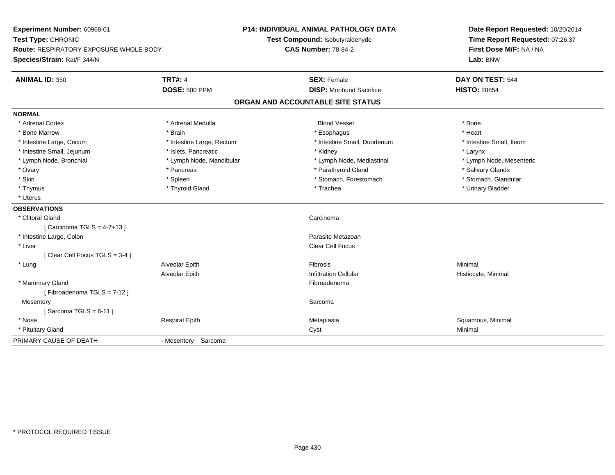| Experiment Number: 60968-01<br>Test Type: CHRONIC<br><b>Route: RESPIRATORY EXPOSURE WHOLE BODY</b> |                           | <b>P14: INDIVIDUAL ANIMAL PATHOLOGY DATA</b> | Date Report Requested: 10/20/2014                          |  |
|----------------------------------------------------------------------------------------------------|---------------------------|----------------------------------------------|------------------------------------------------------------|--|
|                                                                                                    |                           | Test Compound: Isobutyraldehyde              | Time Report Requested: 07:26:37<br>First Dose M/F: NA / NA |  |
|                                                                                                    |                           | <b>CAS Number: 78-84-2</b>                   |                                                            |  |
| Species/Strain: Rat/F 344/N                                                                        |                           |                                              | Lab: BNW                                                   |  |
| <b>ANIMAL ID: 350</b>                                                                              | <b>TRT#: 4</b>            | <b>SEX: Female</b>                           | DAY ON TEST: 544                                           |  |
|                                                                                                    | <b>DOSE: 500 PPM</b>      | <b>DISP:</b> Moribund Sacrifice              | <b>HISTO: 28854</b>                                        |  |
|                                                                                                    |                           | ORGAN AND ACCOUNTABLE SITE STATUS            |                                                            |  |
| <b>NORMAL</b>                                                                                      |                           |                                              |                                                            |  |
| * Adrenal Cortex                                                                                   | * Adrenal Medulla         | <b>Blood Vessel</b>                          | * Bone                                                     |  |
| * Bone Marrow                                                                                      | * Brain                   | * Esophagus                                  | * Heart                                                    |  |
| * Intestine Large, Cecum                                                                           | * Intestine Large, Rectum | * Intestine Small, Duodenum                  | * Intestine Small, Ileum                                   |  |
| * Intestine Small, Jejunum                                                                         | * Islets, Pancreatic      | * Kidney                                     | * Larynx                                                   |  |
| * Lymph Node, Bronchial                                                                            | * Lymph Node, Mandibular  | * Lymph Node, Mediastinal                    | * Lymph Node, Mesenteric                                   |  |
| * Ovary                                                                                            | * Pancreas                | * Parathyroid Gland                          | * Salivary Glands                                          |  |
| * Skin                                                                                             | * Spleen                  | * Stomach, Forestomach                       | * Stomach, Glandular                                       |  |
| * Thymus                                                                                           | * Thyroid Gland           | * Trachea                                    | * Urinary Bladder                                          |  |
| * Uterus                                                                                           |                           |                                              |                                                            |  |
| <b>OBSERVATIONS</b>                                                                                |                           |                                              |                                                            |  |
| * Clitoral Gland                                                                                   |                           | Carcinoma                                    |                                                            |  |
| [Carcinoma TGLS = $4-7+13$ ]                                                                       |                           |                                              |                                                            |  |
| * Intestine Large, Colon                                                                           |                           | Parasite Metazoan                            |                                                            |  |
| * Liver                                                                                            |                           | Clear Cell Focus                             |                                                            |  |
| [Clear Cell Focus TGLS = 3-4]                                                                      |                           |                                              |                                                            |  |
| * Lung                                                                                             | Alveolar Epith            | Fibrosis                                     | Minimal                                                    |  |
|                                                                                                    | Alveolar Epith            | <b>Infiltration Cellular</b>                 | Histiocyte, Minimal                                        |  |
| * Mammary Gland                                                                                    |                           | Fibroadenoma                                 |                                                            |  |
| [Fibroadenoma TGLS = 7-12]                                                                         |                           |                                              |                                                            |  |
| Mesentery                                                                                          |                           | Sarcoma                                      |                                                            |  |
| [Sarcoma TGLS = $6-11$ ]                                                                           |                           |                                              |                                                            |  |
| * Nose                                                                                             | <b>Respirat Epith</b>     | Metaplasia                                   | Squamous, Minimal                                          |  |
| * Pituitary Gland                                                                                  |                           | Cyst                                         | Minimal                                                    |  |
| PRIMARY CAUSE OF DEATH                                                                             | - Mesentery Sarcoma       |                                              |                                                            |  |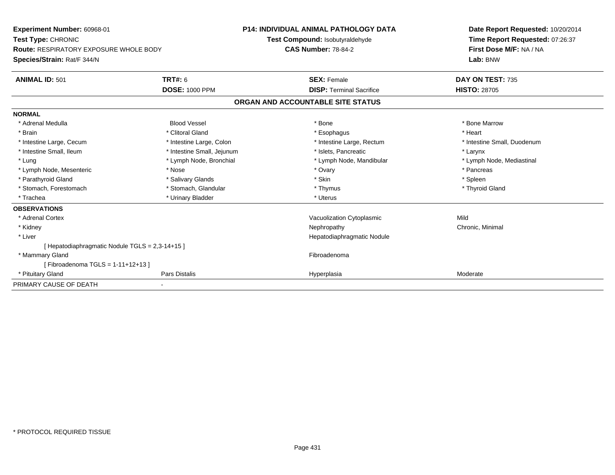| Experiment Number: 60968-01<br>Test Type: CHRONIC<br><b>Route: RESPIRATORY EXPOSURE WHOLE BODY</b> |                            | <b>P14: INDIVIDUAL ANIMAL PATHOLOGY DATA</b><br>Test Compound: Isobutyraldehyde<br><b>CAS Number: 78-84-2</b> |                                 | Date Report Requested: 10/20/2014 |
|----------------------------------------------------------------------------------------------------|----------------------------|---------------------------------------------------------------------------------------------------------------|---------------------------------|-----------------------------------|
|                                                                                                    |                            |                                                                                                               |                                 | Time Report Requested: 07:26:37   |
|                                                                                                    |                            |                                                                                                               |                                 | First Dose M/F: NA / NA           |
| Species/Strain: Rat/F 344/N                                                                        |                            |                                                                                                               |                                 | Lab: BNW                          |
| <b>ANIMAL ID: 501</b>                                                                              | TRT#: 6                    |                                                                                                               | <b>SEX: Female</b>              | DAY ON TEST: 735                  |
|                                                                                                    | <b>DOSE: 1000 PPM</b>      |                                                                                                               | <b>DISP: Terminal Sacrifice</b> | <b>HISTO: 28705</b>               |
|                                                                                                    |                            | ORGAN AND ACCOUNTABLE SITE STATUS                                                                             |                                 |                                   |
| <b>NORMAL</b>                                                                                      |                            |                                                                                                               |                                 |                                   |
| * Adrenal Medulla                                                                                  | <b>Blood Vessel</b>        |                                                                                                               | * Bone                          | * Bone Marrow                     |
| * Brain                                                                                            | * Clitoral Gland           |                                                                                                               | * Esophagus                     | * Heart                           |
| * Intestine Large, Cecum                                                                           | * Intestine Large, Colon   |                                                                                                               | * Intestine Large, Rectum       | * Intestine Small, Duodenum       |
| * Intestine Small, Ileum                                                                           | * Intestine Small, Jejunum |                                                                                                               | * Islets, Pancreatic            | * Larynx                          |
| * Lung                                                                                             | * Lymph Node, Bronchial    |                                                                                                               | * Lymph Node, Mandibular        | * Lymph Node, Mediastinal         |
| * Lymph Node, Mesenteric                                                                           | * Nose                     |                                                                                                               | * Ovary                         | * Pancreas                        |
| * Parathyroid Gland                                                                                | * Salivary Glands          |                                                                                                               | * Skin                          | * Spleen                          |
| * Stomach, Forestomach                                                                             | * Stomach, Glandular       |                                                                                                               | * Thymus                        | * Thyroid Gland                   |
| * Trachea                                                                                          | * Urinary Bladder          |                                                                                                               | * Uterus                        |                                   |
| <b>OBSERVATIONS</b>                                                                                |                            |                                                                                                               |                                 |                                   |
| * Adrenal Cortex                                                                                   |                            |                                                                                                               | Vacuolization Cytoplasmic       | Mild                              |
| * Kidney                                                                                           |                            |                                                                                                               | Nephropathy                     | Chronic, Minimal                  |
| * Liver                                                                                            |                            |                                                                                                               | Hepatodiaphragmatic Nodule      |                                   |
| Hepatodiaphragmatic Nodule TGLS = 2,3-14+15 ]                                                      |                            |                                                                                                               |                                 |                                   |
| * Mammary Gland                                                                                    |                            |                                                                                                               | Fibroadenoma                    |                                   |
| [Fibroadenoma TGLS = $1-11+12+13$ ]                                                                |                            |                                                                                                               |                                 |                                   |
| * Pituitary Gland                                                                                  | <b>Pars Distalis</b>       |                                                                                                               | Hyperplasia                     | Moderate                          |
| PRIMARY CAUSE OF DEATH                                                                             |                            |                                                                                                               |                                 |                                   |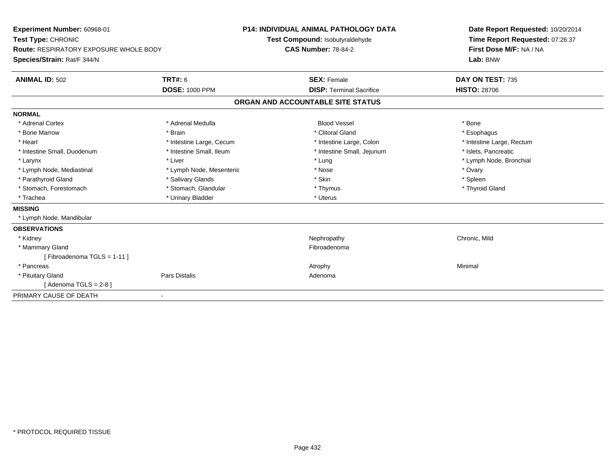| Experiment Number: 60968-01<br>Test Type: CHRONIC<br><b>Route: RESPIRATORY EXPOSURE WHOLE BODY</b><br>Species/Strain: Rat/F 344/N |                          | <b>P14: INDIVIDUAL ANIMAL PATHOLOGY DATA</b><br>Test Compound: Isobutyraldehyde<br><b>CAS Number: 78-84-2</b> | Date Report Requested: 10/20/2014<br>Time Report Requested: 07:26:37<br>First Dose M/F: NA / NA<br>Lab: BNW |
|-----------------------------------------------------------------------------------------------------------------------------------|--------------------------|---------------------------------------------------------------------------------------------------------------|-------------------------------------------------------------------------------------------------------------|
| <b>ANIMAL ID: 502</b>                                                                                                             | <b>TRT#: 6</b>           | <b>SEX: Female</b>                                                                                            | DAY ON TEST: 735                                                                                            |
|                                                                                                                                   | <b>DOSE: 1000 PPM</b>    | <b>DISP: Terminal Sacrifice</b>                                                                               | <b>HISTO: 28706</b>                                                                                         |
|                                                                                                                                   |                          | ORGAN AND ACCOUNTABLE SITE STATUS                                                                             |                                                                                                             |
| <b>NORMAL</b>                                                                                                                     |                          |                                                                                                               |                                                                                                             |
| * Adrenal Cortex                                                                                                                  | * Adrenal Medulla        | <b>Blood Vessel</b>                                                                                           | * Bone                                                                                                      |
| * Bone Marrow                                                                                                                     | * Brain                  | * Clitoral Gland                                                                                              | * Esophagus                                                                                                 |
| * Heart                                                                                                                           | * Intestine Large, Cecum | * Intestine Large, Colon                                                                                      | * Intestine Large, Rectum                                                                                   |
| * Intestine Small, Duodenum                                                                                                       | * Intestine Small, Ileum | * Intestine Small, Jejunum                                                                                    | * Islets, Pancreatic                                                                                        |
| * Larynx                                                                                                                          | * Liver                  | * Lung                                                                                                        | * Lymph Node, Bronchial                                                                                     |
| * Lymph Node, Mediastinal                                                                                                         | * Lymph Node, Mesenteric | * Nose                                                                                                        | * Ovary                                                                                                     |
| * Parathyroid Gland                                                                                                               | * Salivary Glands        | * Skin                                                                                                        | * Spleen                                                                                                    |
| * Stomach, Forestomach                                                                                                            | * Stomach, Glandular     | * Thymus                                                                                                      | * Thyroid Gland                                                                                             |
| * Trachea                                                                                                                         | * Urinary Bladder        | * Uterus                                                                                                      |                                                                                                             |
| <b>MISSING</b>                                                                                                                    |                          |                                                                                                               |                                                                                                             |
| * Lymph Node, Mandibular                                                                                                          |                          |                                                                                                               |                                                                                                             |
| <b>OBSERVATIONS</b>                                                                                                               |                          |                                                                                                               |                                                                                                             |
| * Kidney                                                                                                                          |                          | Nephropathy                                                                                                   | Chronic, Mild                                                                                               |
| * Mammary Gland                                                                                                                   |                          | Fibroadenoma                                                                                                  |                                                                                                             |
| [Fibroadenoma TGLS = 1-11]                                                                                                        |                          |                                                                                                               |                                                                                                             |
| * Pancreas                                                                                                                        |                          | Atrophy                                                                                                       | Minimal                                                                                                     |
| * Pituitary Gland                                                                                                                 | <b>Pars Distalis</b>     | Adenoma                                                                                                       |                                                                                                             |
| [Adenoma TGLS = $2-8$ ]                                                                                                           |                          |                                                                                                               |                                                                                                             |
| PRIMARY CAUSE OF DEATH                                                                                                            |                          |                                                                                                               |                                                                                                             |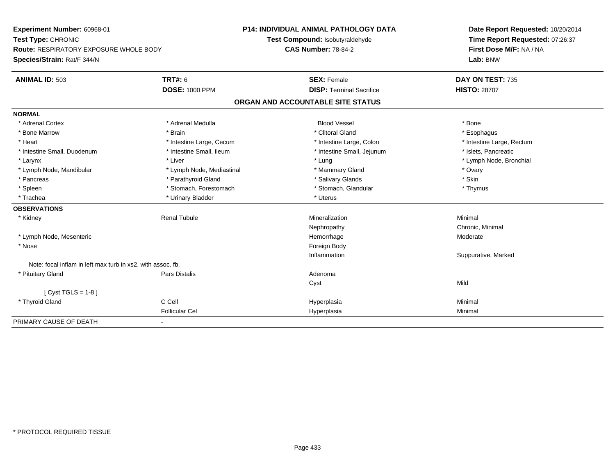**Experiment Number:** 60968-01**Test Type:** CHRONIC **Route:** RESPIRATORY EXPOSURE WHOLE BODY**Species/Strain:** Rat/F 344/N**P14: INDIVIDUAL ANIMAL PATHOLOGY DATATest Compound:** Isobutyraldehyde**CAS Number:** 78-84-2**Date Report Requested:** 10/20/2014**Time Report Requested:** 07:26:37**First Dose M/F:** NA / NA**Lab:** BNW**ANIMAL ID:** 503**TRT#:** 6 **SEX:** Female **SEX: Female DAY ON TEST:** 735 **DOSE:** 1000 PPM**DISP:** Terminal Sacrifice **HISTO:** 28707 **ORGAN AND ACCOUNTABLE SITE STATUSNORMAL**\* Adrenal Cortex \* Adrenal Medulla \* \* Book \* Blood Vessel \* Book \* Bone \* Bone \* Bone \* Bone \* Bone \* Bone \* Bone \* Bone \* Bone \* Esophagus \* Bone Marrow \* \* Android \* Brain \* Brain \* Clitoral Gland \* Clitoral Gland \* Esophagus \* Esophagus \* Esophagus \* Intestine Large, Rectum \* Heart **\*** Intestine Large, Cecum \* Intestine Large, Cecum \* Intestine Large, Colon \* Intestine Small, Duodenum \* Intestine Small, Ileum \* Intestine Small, Intestine Small, Jejunum \* Islets, Pancreatic \* Larynx \* Louis \* Liver \* Lung \* Lung \* Lung \* Lung \* Lung \* Lymph Node, Bronchial \* Lymph Node, Bronchial \* \* Lymph Node, Mandibular \* Notal \* Lymph Node, Mediastinal \* Nammary Gland \* Mammary Gland \* Ovary \* Ovary \* Skin \* Pancreas \* Pancreas \* Pancreas \* Pancreas \* Pancreas \* Salivary Glands \* Salivary Glands \* Salivary Glands \* \* Thymus \* Spleen \* Stomach, Forestomach \* Stomach, Forestomach \* Stomach, Slandular \* Stomach, Glandular \* Trachea \* Urinary Bladder \* Urinary Bladder \* Urinary Bladder \* Uterus **OBSERVATIONS** \* Kidney Renal Tubule Mineralization Minimal Nephropathy Chronic, Minimal \* Lymph Node, Mesentericc and the contract of the contract of the contract of the contract of the contract of the contract of the contract of the contract of the contract of the contract of the contract of the contract of the contract of the cont Hemorrhage Moderate \* Nosee and the state of the state of the state of the state of the state of the state of the state of the state of the state of the state of the state of the state of the state of the state of the state of the state of the stat Inflammation Suppurative, Marked Note: focal inflam in left max turb in xs2, with assoc. fb. \* Pituitary Glandd and the contract of Pars Distalis and the contract of Adenoma and Adenoma and the Adenoma and the Adenoma and  $\lambda$ Cystt behavior of the contract of the contract of the contract of the contract of the contract of the contract of the contract of the contract of the contract of the contract of the contract of the contract of the contract of  $[$  Cyst TGLS = 1-8  $]$  \* Thyroid Gland C Cell Hyperplasia Minimal Follicular Cel Hyperplasiaa Minimal PRIMARY CAUSE OF DEATH-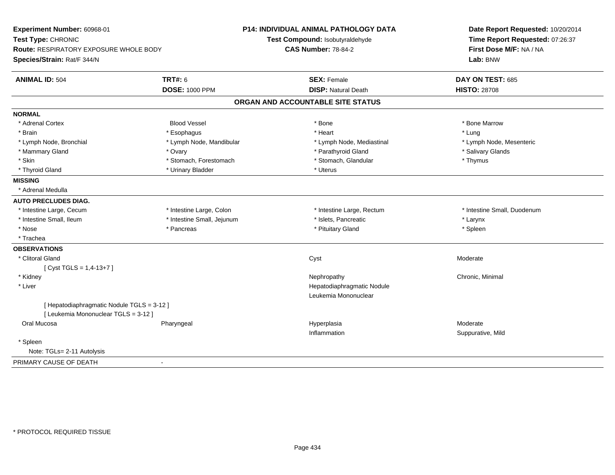| Experiment Number: 60968-01<br>Test Type: CHRONIC<br><b>Route: RESPIRATORY EXPOSURE WHOLE BODY</b><br>Species/Strain: Rat/F 344/N |                            | P14: INDIVIDUAL ANIMAL PATHOLOGY DATA<br>Test Compound: Isobutyraldehyde<br><b>CAS Number: 78-84-2</b> | Date Report Requested: 10/20/2014<br>Time Report Requested: 07:26:37<br>First Dose M/F: NA / NA<br>Lab: BNW |  |
|-----------------------------------------------------------------------------------------------------------------------------------|----------------------------|--------------------------------------------------------------------------------------------------------|-------------------------------------------------------------------------------------------------------------|--|
| <b>ANIMAL ID: 504</b>                                                                                                             | <b>TRT#: 6</b>             | <b>SEX: Female</b>                                                                                     | DAY ON TEST: 685                                                                                            |  |
|                                                                                                                                   | <b>DOSE: 1000 PPM</b>      | <b>DISP: Natural Death</b>                                                                             | <b>HISTO: 28708</b>                                                                                         |  |
|                                                                                                                                   |                            | ORGAN AND ACCOUNTABLE SITE STATUS                                                                      |                                                                                                             |  |
| <b>NORMAL</b>                                                                                                                     |                            |                                                                                                        |                                                                                                             |  |
| * Adrenal Cortex                                                                                                                  | <b>Blood Vessel</b>        | * Bone                                                                                                 | * Bone Marrow                                                                                               |  |
| * Brain                                                                                                                           | * Esophagus                | * Heart                                                                                                | * Lung                                                                                                      |  |
| * Lymph Node, Bronchial                                                                                                           | * Lymph Node, Mandibular   | * Lymph Node, Mediastinal                                                                              | * Lymph Node, Mesenteric                                                                                    |  |
| * Mammary Gland                                                                                                                   | * Ovary                    | * Parathyroid Gland                                                                                    | * Salivary Glands                                                                                           |  |
| * Skin                                                                                                                            | * Stomach, Forestomach     | * Stomach, Glandular                                                                                   | * Thymus                                                                                                    |  |
| * Thyroid Gland                                                                                                                   | * Urinary Bladder          | * Uterus                                                                                               |                                                                                                             |  |
| <b>MISSING</b>                                                                                                                    |                            |                                                                                                        |                                                                                                             |  |
| * Adrenal Medulla                                                                                                                 |                            |                                                                                                        |                                                                                                             |  |
| <b>AUTO PRECLUDES DIAG.</b>                                                                                                       |                            |                                                                                                        |                                                                                                             |  |
| * Intestine Large, Cecum                                                                                                          | * Intestine Large, Colon   | * Intestine Large, Rectum                                                                              | * Intestine Small, Duodenum                                                                                 |  |
| * Intestine Small, Ileum                                                                                                          | * Intestine Small, Jejunum | * Islets, Pancreatic                                                                                   | * Larynx                                                                                                    |  |
| * Nose                                                                                                                            | * Pancreas                 | * Pituitary Gland                                                                                      | * Spleen                                                                                                    |  |
| * Trachea                                                                                                                         |                            |                                                                                                        |                                                                                                             |  |
| <b>OBSERVATIONS</b>                                                                                                               |                            |                                                                                                        |                                                                                                             |  |
| * Clitoral Gland                                                                                                                  |                            | Cyst                                                                                                   | Moderate                                                                                                    |  |
| [Cyst TGLS = $1,4-13+7$ ]                                                                                                         |                            |                                                                                                        |                                                                                                             |  |
| * Kidney                                                                                                                          |                            | Nephropathy                                                                                            | Chronic, Minimal                                                                                            |  |
| * Liver                                                                                                                           |                            | Hepatodiaphragmatic Nodule                                                                             |                                                                                                             |  |
|                                                                                                                                   |                            | Leukemia Mononuclear                                                                                   |                                                                                                             |  |
| [Hepatodiaphragmatic Nodule TGLS = 3-12]                                                                                          |                            |                                                                                                        |                                                                                                             |  |
| [ Leukemia Mononuclear TGLS = 3-12 ]                                                                                              |                            |                                                                                                        |                                                                                                             |  |
| Oral Mucosa                                                                                                                       | Pharyngeal                 | Hyperplasia                                                                                            | Moderate                                                                                                    |  |
|                                                                                                                                   |                            | Inflammation                                                                                           | Suppurative, Mild                                                                                           |  |
| * Spleen                                                                                                                          |                            |                                                                                                        |                                                                                                             |  |
| Note: TGLs= 2-11 Autolysis                                                                                                        |                            |                                                                                                        |                                                                                                             |  |
| PRIMARY CAUSE OF DEATH                                                                                                            | $\blacksquare$             |                                                                                                        |                                                                                                             |  |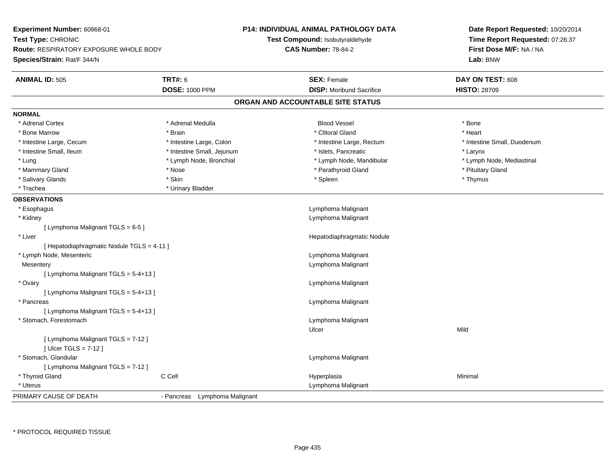| Experiment Number: 60968-01                                   |                               | <b>P14: INDIVIDUAL ANIMAL PATHOLOGY DATA</b> | Date Report Requested: 10/20/2014<br>Time Report Requested: 07:26:37 |  |
|---------------------------------------------------------------|-------------------------------|----------------------------------------------|----------------------------------------------------------------------|--|
| Test Type: CHRONIC                                            |                               | Test Compound: Isobutyraldehyde              |                                                                      |  |
| <b>Route: RESPIRATORY EXPOSURE WHOLE BODY</b>                 |                               | <b>CAS Number: 78-84-2</b>                   | First Dose M/F: NA / NA                                              |  |
| Species/Strain: Rat/F 344/N                                   |                               |                                              | Lab: BNW                                                             |  |
| <b>ANIMAL ID: 505</b>                                         | <b>TRT#: 6</b>                | <b>SEX: Female</b>                           | DAY ON TEST: 608                                                     |  |
|                                                               | <b>DOSE: 1000 PPM</b>         | <b>DISP: Moribund Sacrifice</b>              | <b>HISTO: 28709</b>                                                  |  |
|                                                               |                               | ORGAN AND ACCOUNTABLE SITE STATUS            |                                                                      |  |
| <b>NORMAL</b>                                                 |                               |                                              |                                                                      |  |
| * Adrenal Cortex                                              | * Adrenal Medulla             | <b>Blood Vessel</b>                          | * Bone                                                               |  |
| * Bone Marrow                                                 | * Brain                       | * Clitoral Gland                             | * Heart                                                              |  |
| * Intestine Large, Cecum                                      | * Intestine Large, Colon      | * Intestine Large, Rectum                    | * Intestine Small, Duodenum                                          |  |
| * Intestine Small, Ileum                                      | * Intestine Small, Jejunum    | * Islets, Pancreatic                         | * Larynx                                                             |  |
| * Lung                                                        | * Lymph Node, Bronchial       | * Lymph Node, Mandibular                     | * Lymph Node, Mediastinal                                            |  |
| * Mammary Gland                                               | * Nose                        | * Parathyroid Gland                          | * Pituitary Gland                                                    |  |
| * Salivary Glands                                             | * Skin                        | * Spleen                                     | * Thymus                                                             |  |
| * Trachea                                                     | * Urinary Bladder             |                                              |                                                                      |  |
| <b>OBSERVATIONS</b>                                           |                               |                                              |                                                                      |  |
| * Esophagus                                                   |                               | Lymphoma Malignant                           |                                                                      |  |
| * Kidney                                                      |                               | Lymphoma Malignant                           |                                                                      |  |
| [ Lymphoma Malignant TGLS = 6-5 ]                             |                               |                                              |                                                                      |  |
| * Liver                                                       |                               | Hepatodiaphragmatic Nodule                   |                                                                      |  |
| [ Hepatodiaphragmatic Nodule TGLS = 4-11 ]                    |                               |                                              |                                                                      |  |
| * Lymph Node, Mesenteric                                      |                               | Lymphoma Malignant                           |                                                                      |  |
| Mesentery                                                     |                               | Lymphoma Malignant                           |                                                                      |  |
| [ Lymphoma Malignant TGLS = 5-4+13 ]                          |                               |                                              |                                                                      |  |
| * Ovary                                                       |                               | Lymphoma Malignant                           |                                                                      |  |
| [ Lymphoma Malignant TGLS = 5-4+13 ]                          |                               |                                              |                                                                      |  |
| * Pancreas                                                    |                               | Lymphoma Malignant                           |                                                                      |  |
| [ Lymphoma Malignant TGLS = 5-4+13 ]                          |                               |                                              |                                                                      |  |
| * Stomach, Forestomach                                        |                               | Lymphoma Malignant                           |                                                                      |  |
|                                                               |                               | Ulcer                                        | Mild                                                                 |  |
| [ Lymphoma Malignant TGLS = 7-12 ]<br>[ $Uicer$ TGLS = 7-12 ] |                               |                                              |                                                                      |  |
| * Stomach, Glandular                                          |                               | Lymphoma Malignant                           |                                                                      |  |
| [ Lymphoma Malignant TGLS = 7-12 ]                            |                               |                                              |                                                                      |  |
| * Thyroid Gland                                               | C Cell                        | Hyperplasia                                  | Minimal                                                              |  |
| * Uterus                                                      |                               | Lymphoma Malignant                           |                                                                      |  |
| PRIMARY CAUSE OF DEATH                                        | - Pancreas Lymphoma Malignant |                                              |                                                                      |  |
|                                                               |                               |                                              |                                                                      |  |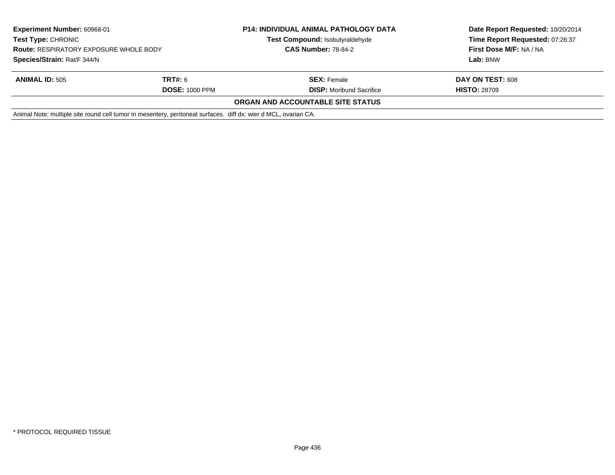| <b>Experiment Number: 60968-01</b><br><b>Test Type: CHRONIC</b><br><b>Route: RESPIRATORY EXPOSURE WHOLE BODY</b><br>Species/Strain: Rat/F 344/N |                                                                                                                 | <b>P14: INDIVIDUAL ANIMAL PATHOLOGY DATA</b><br>Test Compound: Isobutyraldehyde<br><b>CAS Number: 78-84-2</b> | Date Report Requested: 10/20/2014<br>Time Report Requested: 07:26:37<br>First Dose M/F: NA / NA |
|-------------------------------------------------------------------------------------------------------------------------------------------------|-----------------------------------------------------------------------------------------------------------------|---------------------------------------------------------------------------------------------------------------|-------------------------------------------------------------------------------------------------|
|                                                                                                                                                 |                                                                                                                 |                                                                                                               | Lab: BNW                                                                                        |
| <b>ANIMAL ID: 505</b>                                                                                                                           | <b>TRT#:</b> 6                                                                                                  | <b>SEX: Female</b>                                                                                            | DAY ON TEST: 608                                                                                |
| <b>DOSE: 1000 PPM</b>                                                                                                                           |                                                                                                                 | <b>DISP:</b> Moribund Sacrifice                                                                               | <b>HISTO: 28709</b>                                                                             |
|                                                                                                                                                 |                                                                                                                 | <b>ORGAN AND ACCOUNTABLE SITE STATUS</b>                                                                      |                                                                                                 |
|                                                                                                                                                 | Animal Note: multiple site round cell tumor in mesentery, peritoneal surfaces. diff dx: wier d MCL, ovarian CA. |                                                                                                               |                                                                                                 |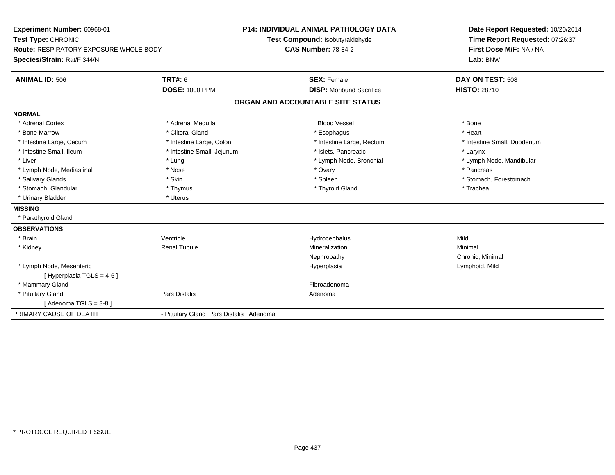| Experiment Number: 60968-01<br>Test Type: CHRONIC                            |                                         | <b>P14: INDIVIDUAL ANIMAL PATHOLOGY DATA</b><br>Test Compound: Isobutyraldehyde | Date Report Requested: 10/20/2014<br>Time Report Requested: 07:26:37 |  |
|------------------------------------------------------------------------------|-----------------------------------------|---------------------------------------------------------------------------------|----------------------------------------------------------------------|--|
| <b>Route: RESPIRATORY EXPOSURE WHOLE BODY</b><br>Species/Strain: Rat/F 344/N | <b>CAS Number: 78-84-2</b>              |                                                                                 | First Dose M/F: NA / NA<br>Lab: BNW                                  |  |
| <b>ANIMAL ID: 506</b>                                                        | <b>TRT#: 6</b>                          | <b>SEX: Female</b>                                                              | DAY ON TEST: 508                                                     |  |
|                                                                              | <b>DOSE: 1000 PPM</b>                   | <b>DISP:</b> Moribund Sacrifice                                                 | <b>HISTO: 28710</b>                                                  |  |
|                                                                              |                                         | ORGAN AND ACCOUNTABLE SITE STATUS                                               |                                                                      |  |
| <b>NORMAL</b>                                                                |                                         |                                                                                 |                                                                      |  |
| * Adrenal Cortex                                                             | * Adrenal Medulla                       | <b>Blood Vessel</b>                                                             | * Bone                                                               |  |
| * Bone Marrow                                                                | * Clitoral Gland                        | * Esophagus                                                                     | * Heart                                                              |  |
| * Intestine Large, Cecum                                                     | * Intestine Large, Colon                | * Intestine Large, Rectum                                                       | * Intestine Small, Duodenum                                          |  |
| * Intestine Small, Ileum                                                     | * Intestine Small, Jejunum              | * Islets, Pancreatic                                                            | * Larynx                                                             |  |
| * Liver                                                                      | * Lung                                  | * Lymph Node, Bronchial                                                         | * Lymph Node, Mandibular                                             |  |
| * Lymph Node, Mediastinal                                                    | * Nose                                  | * Ovary                                                                         | * Pancreas                                                           |  |
| * Salivary Glands                                                            | * Skin                                  | * Spleen                                                                        | * Stomach, Forestomach                                               |  |
| * Stomach, Glandular                                                         | * Thymus                                | * Thyroid Gland                                                                 | * Trachea                                                            |  |
| * Urinary Bladder                                                            | * Uterus                                |                                                                                 |                                                                      |  |
| <b>MISSING</b>                                                               |                                         |                                                                                 |                                                                      |  |
| * Parathyroid Gland                                                          |                                         |                                                                                 |                                                                      |  |
| <b>OBSERVATIONS</b>                                                          |                                         |                                                                                 |                                                                      |  |
| * Brain                                                                      | Ventricle                               | Hydrocephalus                                                                   | Mild                                                                 |  |
| * Kidney                                                                     | <b>Renal Tubule</b>                     | Mineralization                                                                  | Minimal                                                              |  |
|                                                                              |                                         | Nephropathy                                                                     | Chronic, Minimal                                                     |  |
| * Lymph Node, Mesenteric                                                     |                                         | Hyperplasia                                                                     | Lymphoid, Mild                                                       |  |
| [ Hyperplasia TGLS = 4-6 ]                                                   |                                         |                                                                                 |                                                                      |  |
| * Mammary Gland                                                              |                                         | Fibroadenoma                                                                    |                                                                      |  |
| * Pituitary Gland                                                            | Pars Distalis                           | Adenoma                                                                         |                                                                      |  |
| [Adenoma TGLS = $3-8$ ]                                                      |                                         |                                                                                 |                                                                      |  |
| PRIMARY CAUSE OF DEATH                                                       | - Pituitary Gland Pars Distalis Adenoma |                                                                                 |                                                                      |  |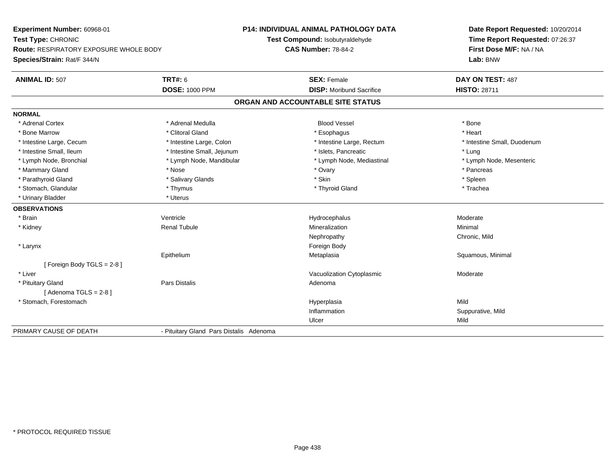**Experiment Number:** 60968-01**Test Type:** CHRONIC **Route:** RESPIRATORY EXPOSURE WHOLE BODY**Species/Strain:** Rat/F 344/N**P14: INDIVIDUAL ANIMAL PATHOLOGY DATATest Compound:** Isobutyraldehyde**CAS Number:** 78-84-2**Date Report Requested:** 10/20/2014**Time Report Requested:** 07:26:37**First Dose M/F:** NA / NA**Lab:** BNW**ANIMAL ID:** 507**TRT#:** 6 **SEX:** Female **SEX: Female DAY ON TEST:** 487 **DOSE:** 1000 PPM**DISP:** Moribund Sacrifice **HISTO:** 28711 **ORGAN AND ACCOUNTABLE SITE STATUSNORMAL**\* Adrenal Cortex \* Adrenal Medulla \* \* Book \* Blood Vessel \* Book \* Bone \* Bone \* Bone \* Bone \* Bone \* Bone \* Bone \* Bone \* Bone \* Heart \* Bone Marrow \* Clitoral Gland \* Esophagus \* Heart \* Intestine Large, Cecum \* Intestine Large, Colon \* Intestine Large, Thestine Large, Rectum \* Intestine Small, Duodenum \* Intestine Small, Ileum \* https://www.fatheratic \* Lung \* Intestine Small, Jejunum \* Islets, Pancreatic \* Lung \* Lung \* Lymph Node, Mesenteric \* Lymph Node, Bronchial \* Lymph Node, Mandibular \* Lymph Node, Mediastinal \* Lymph Node, Mediastinal \* Mammary Gland \* \* Andrew \* Nose \* \* Nose \* \* Ovary \* Ovary \* Ovary \* \* Ovary \* \* Pancreas \* \* Pancreas \* \* Pancreas \* \* Pancreas \* \* Pancreas \* \* Pancreas \* \* Pancreas \* \* Pancreas \* \* Pancreas \* \* Pancreas \* \* Pancreas \* Parathyroid Gland \* \* Salivary Glands \* Salivary Glands \* Skin \* Skin \* State \* Spleen \* Spleen \* Spleen \* Spleen \* Trachea \* Stomach, Glandular \* Thymus \* Thymus \* Thymus \* Thyroid Gland \* Thyroid Gland \* \* Urinary Bladder \* Uterus **OBSERVATIONS** \* Brainn wenne alle the Ventricle wenne and the Hydrocephalus Moderate Moderate Moderate Moderate and the Ventricle o \* Kidney Renal Tubule Mineralization Minimal Nephropathy Chronic, Mild \* Larynx**x** and the contract of the contract of the contract of the contract of the contract of the contract of the contract of the contract of the contract of the contract of the contract of the contract of the contract of the co Epithelium Metaplasia Squamous, Minimal [ Foreign Body TGLS = 2-8 ] \* Liver Vacuolization Cytoplasmic Moderate \* Pituitary Glandd and the contract of Pars Distalis and the contract of Adenoma and Adenoma and the Adenoma and the Adenoma and  $\lambda$  $[$  Adenoma TGLS = 2-8  $]$  \* Stomach, Forestomachh ann an t-ìre ann an t-ìre ann an t-ìre ann an t-ìre ann an t-ìre ann an t-ìre ann an Mild ann an Mild ann an Inflammation Suppurative, Mild Ulcerr Mild PRIMARY CAUSE OF DEATH- Pituitary Gland Pars Distalis Adenoma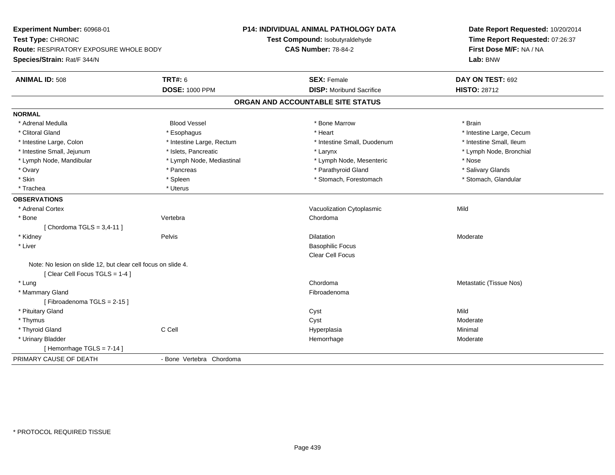| Experiment Number: 60968-01                                                                    |                           | P14: INDIVIDUAL ANIMAL PATHOLOGY DATA | Date Report Requested: 10/20/2014 |  |
|------------------------------------------------------------------------------------------------|---------------------------|---------------------------------------|-----------------------------------|--|
| Test Type: CHRONIC                                                                             |                           | Test Compound: Isobutyraldehyde       | Time Report Requested: 07:26:37   |  |
| Route: RESPIRATORY EXPOSURE WHOLE BODY                                                         |                           | <b>CAS Number: 78-84-2</b>            | First Dose M/F: NA / NA           |  |
| Species/Strain: Rat/F 344/N                                                                    |                           |                                       | Lab: BNW                          |  |
| <b>ANIMAL ID: 508</b>                                                                          | <b>TRT#: 6</b>            | <b>SEX: Female</b>                    | DAY ON TEST: 692                  |  |
|                                                                                                | <b>DOSE: 1000 PPM</b>     | <b>DISP:</b> Moribund Sacrifice       | <b>HISTO: 28712</b>               |  |
|                                                                                                |                           | ORGAN AND ACCOUNTABLE SITE STATUS     |                                   |  |
| <b>NORMAL</b>                                                                                  |                           |                                       |                                   |  |
| * Adrenal Medulla                                                                              | <b>Blood Vessel</b>       | * Bone Marrow                         | * Brain                           |  |
| * Clitoral Gland                                                                               | * Esophagus               | * Heart                               | * Intestine Large, Cecum          |  |
| * Intestine Large, Colon                                                                       | * Intestine Large, Rectum | * Intestine Small, Duodenum           | * Intestine Small, Ileum          |  |
| * Intestine Small, Jejunum                                                                     | * Islets, Pancreatic      | * Larynx                              | * Lymph Node, Bronchial           |  |
| * Lymph Node, Mandibular                                                                       | * Lymph Node, Mediastinal | * Lymph Node, Mesenteric              | * Nose                            |  |
| * Ovary                                                                                        | * Pancreas                | * Parathyroid Gland                   | * Salivary Glands                 |  |
| * Skin                                                                                         | * Spleen                  | * Stomach, Forestomach                | * Stomach, Glandular              |  |
| * Trachea                                                                                      | * Uterus                  |                                       |                                   |  |
| <b>OBSERVATIONS</b>                                                                            |                           |                                       |                                   |  |
| * Adrenal Cortex                                                                               |                           | Vacuolization Cytoplasmic             | Mild                              |  |
| * Bone                                                                                         | Vertebra                  | Chordoma                              |                                   |  |
| [Chordoma TGLS = $3,4-11$ ]                                                                    |                           |                                       |                                   |  |
| * Kidney                                                                                       | Pelvis                    | <b>Dilatation</b>                     | Moderate                          |  |
| * Liver                                                                                        |                           | <b>Basophilic Focus</b>               |                                   |  |
|                                                                                                |                           | <b>Clear Cell Focus</b>               |                                   |  |
| Note: No lesion on slide 12, but clear cell focus on slide 4.<br>[Clear Cell Focus TGLS = 1-4] |                           |                                       |                                   |  |
| * Lung                                                                                         |                           | Chordoma                              | Metastatic (Tissue Nos)           |  |
| * Mammary Gland                                                                                |                           | Fibroadenoma                          |                                   |  |
| [Fibroadenoma TGLS = 2-15]                                                                     |                           |                                       |                                   |  |
| * Pituitary Gland                                                                              |                           | Cyst                                  | Mild                              |  |
| * Thymus                                                                                       |                           | Cyst                                  | Moderate                          |  |
| * Thyroid Gland                                                                                | C Cell                    | Hyperplasia                           | Minimal                           |  |
| * Urinary Bladder                                                                              |                           | Hemorrhage                            | Moderate                          |  |
| [Hemorrhage TGLS = 7-14]                                                                       |                           |                                       |                                   |  |
| PRIMARY CAUSE OF DEATH                                                                         | - Bone Vertebra Chordoma  |                                       |                                   |  |
|                                                                                                |                           |                                       |                                   |  |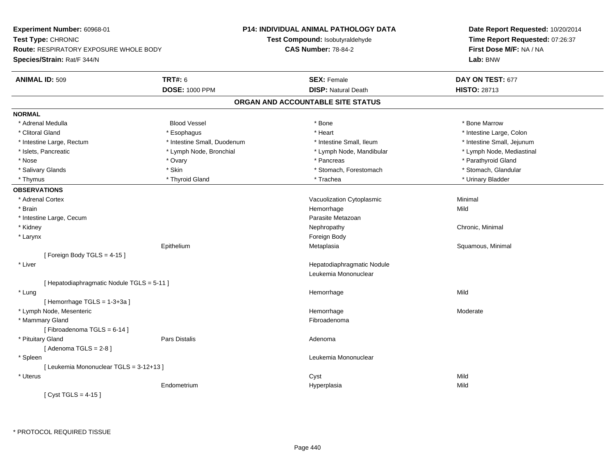**Experiment Number:** 60968-01**Test Type:** CHRONIC **Route:** RESPIRATORY EXPOSURE WHOLE BODY**Species/Strain:** Rat/F 344/N**P14: INDIVIDUAL ANIMAL PATHOLOGY DATATest Compound:** Isobutyraldehyde**CAS Number:** 78-84-2**Date Report Requested:** 10/20/2014**Time Report Requested:** 07:26:37**First Dose M/F:** NA / NA**Lab:** BNW**ANIMAL ID:** 509**TRT#:** 6 **SEX:** Female **SEX: Female DAY ON TEST:** 677 **DOSE:** 1000 PPM**DISP:** Natural Death **HISTO:** 28713 **ORGAN AND ACCOUNTABLE SITE STATUSNORMAL** \* Adrenal Medulla Blood Vessel \* Bone \* Bone Marrow\* Clitoral Gland \* Andrew \* Esophagus \* Andrew \* Heart \* Heart \* Intestine Large, Colon \* Intestine Large, Colon \* \* Intestine Large, Rectum \* Thestine Small, Duodenum \* Number of the small, Ileum \* Intestine Small, Jejunum \* Intestine Small, Jejunum \* Lymph Node, Mediastinal \* Islets, Pancreatic **\* Lymph Node, Bronchial \*** Lymph Node, Bronchial \* Lymph Node, Mandibular \* Nose \* Ovary \* Pancreas \* Parathyroid Gland \* Stomach, Glandular \* Salivary Glands \* Stomach, Forestomach \* Skin \* Skin \* Stomach, Forestomach \* Stomach, Forestomach \* Thymus \* Thyroid Gland \* Trachea \* Urinary Bladder \* **OBSERVATIONS** \* Adrenal CortexVacuolization Cytoplasmic **Minimal**  \* Brainn and the state of the state of the state of the state of the Mild and the Mild and the Mild and the Mild and the Mild and the Mild and the Mild and the Mild and the Mild and the Mild and the Mild and the Mild and the Mild \* Intestine Large, Cecumm and the contract of the contract of the contract of the contract of the contract of the Metazoan Parasite Metazoan<br>The contract of the contract of the contract of the contract of the contract of the contract of the contr \* Kidneyy the controller of the controller of the controller of the controller of the controller of the controller of the controller of the controller of the controller of the controller of the controller of the controller of the \* Larynx**x** and the contract of the contract of the contract of the contract of the contract of the contract of the contract of the contract of the contract of the contract of the contract of the contract of the contract of the co Epithelium Metaplasia Squamous, Minimal [ Foreign Body TGLS = 4-15 ] \* Liver Hepatodiaphragmatic NoduleLeukemia Mononuclear[ Hepatodiaphragmatic Nodule TGLS = 5-11 ] \* Lungg and the state of the state of the state of the state of the Hemorrhage state of the Mild of the Mild of the S  $[$  Hemorrhage TGLS = 1-3+3a  $]$  \* Lymph Node, Mesentericc and the contract of the contract of the contract of the contract of the contract of the contract of the contract of the contract of the contract of the contract of the contract of the contract of the contract of the cont Hemorrhage Moderate \* Mammary Glandd **Executive Contract of the Contract Contract Contract Contract Contract Contract Contract Contract Contract Contract Contract Contract Contract Contract Contract Contract Contract Contract Contract Contract Contract Cont**  $[$  Fibroadenoma TGLS = 6-14  $]$  \* Pituitary Glandd and the contract of Pars Distalis and the contract of Adenoma and Adenoma and the Adenoma and the Adenoma and  $\lambda$  $[$  Adenoma TGLS = 2-8  $]$  \* Spleen Leukemia Mononuclear [ Leukemia Mononuclear TGLS = 3-12+13 ] \* Uteruss the contract of the contract of the contract of the contract of the contract of the contract of the contract of the contract of the contract of the contract of the contract of the contract of the contract of the contract Mild Endometrium Hyperplasia Mild  $[$  Cyst TGLS = 4-15  $]$ 

\* PROTOCOL REQUIRED TISSUE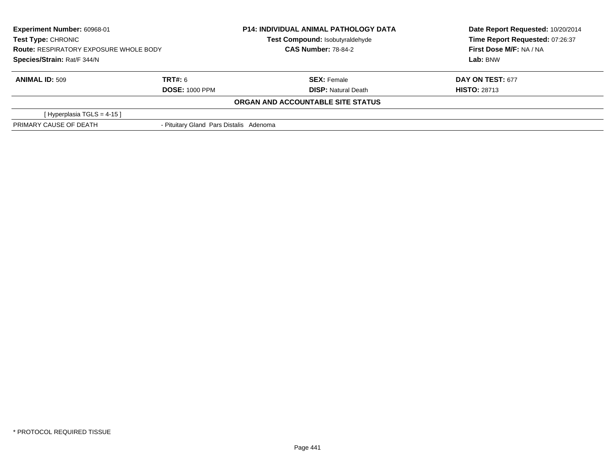| <b>Experiment Number: 60968-01</b><br>Test Type: CHRONIC<br><b>Route: RESPIRATORY EXPOSURE WHOLE BODY</b><br>Species/Strain: Rat/F 344/N |                                         | <b>P14: INDIVIDUAL ANIMAL PATHOLOGY DATA</b><br>Test Compound: Isobutyraldehyde<br><b>CAS Number: 78-84-2</b> | Date Report Requested: 10/20/2014<br>Time Report Requested: 07:26:37<br>First Dose M/F: NA / NA |  |
|------------------------------------------------------------------------------------------------------------------------------------------|-----------------------------------------|---------------------------------------------------------------------------------------------------------------|-------------------------------------------------------------------------------------------------|--|
|                                                                                                                                          |                                         |                                                                                                               | Lab: BNW                                                                                        |  |
| <b>ANIMAL ID: 509</b>                                                                                                                    | TRT#: 6                                 | <b>SEX: Female</b>                                                                                            | <b>DAY ON TEST: 677</b>                                                                         |  |
|                                                                                                                                          | <b>DOSE: 1000 PPM</b>                   | <b>DISP: Natural Death</b>                                                                                    | <b>HISTO: 28713</b>                                                                             |  |
|                                                                                                                                          |                                         | ORGAN AND ACCOUNTABLE SITE STATUS                                                                             |                                                                                                 |  |
| [Hyperplasia TGLS = $4-15$ ]                                                                                                             |                                         |                                                                                                               |                                                                                                 |  |
| PRIMARY CAUSE OF DEATH                                                                                                                   | - Pituitary Gland Pars Distalis Adenoma |                                                                                                               |                                                                                                 |  |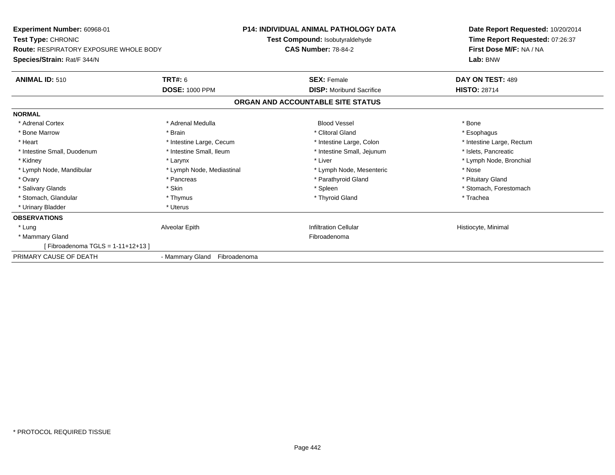| <b>Experiment Number: 60968-01</b><br><b>Test Type: CHRONIC</b><br><b>Route: RESPIRATORY EXPOSURE WHOLE BODY</b><br>Species/Strain: Rat/F 344/N |                              | <b>P14: INDIVIDUAL ANIMAL PATHOLOGY DATA</b><br>Test Compound: Isobutyraldehyde<br><b>CAS Number: 78-84-2</b> | Date Report Requested: 10/20/2014<br>Time Report Requested: 07:26:37<br>First Dose M/F: NA / NA<br>Lab: BNW |
|-------------------------------------------------------------------------------------------------------------------------------------------------|------------------------------|---------------------------------------------------------------------------------------------------------------|-------------------------------------------------------------------------------------------------------------|
| <b>ANIMAL ID: 510</b>                                                                                                                           | TRT#: 6                      | <b>SEX: Female</b>                                                                                            | DAY ON TEST: 489                                                                                            |
|                                                                                                                                                 | <b>DOSE: 1000 PPM</b>        | <b>DISP:</b> Moribund Sacrifice                                                                               | <b>HISTO: 28714</b>                                                                                         |
|                                                                                                                                                 |                              | ORGAN AND ACCOUNTABLE SITE STATUS                                                                             |                                                                                                             |
| <b>NORMAL</b>                                                                                                                                   |                              |                                                                                                               |                                                                                                             |
| * Adrenal Cortex                                                                                                                                | * Adrenal Medulla            | <b>Blood Vessel</b>                                                                                           | * Bone                                                                                                      |
| * Bone Marrow                                                                                                                                   | * Brain                      | * Clitoral Gland                                                                                              | * Esophagus                                                                                                 |
| * Heart                                                                                                                                         | * Intestine Large, Cecum     | * Intestine Large, Colon                                                                                      | * Intestine Large, Rectum                                                                                   |
| * Intestine Small, Duodenum                                                                                                                     | * Intestine Small, Ileum     | * Intestine Small, Jejunum                                                                                    | * Islets, Pancreatic                                                                                        |
| * Kidney                                                                                                                                        | * Larynx                     | * Liver                                                                                                       | * Lymph Node, Bronchial                                                                                     |
| * Lymph Node, Mandibular                                                                                                                        | * Lymph Node, Mediastinal    | * Lymph Node, Mesenteric                                                                                      | * Nose                                                                                                      |
| * Ovary                                                                                                                                         | * Pancreas                   | * Parathyroid Gland                                                                                           | * Pituitary Gland                                                                                           |
| * Salivary Glands                                                                                                                               | * Skin                       | * Spleen                                                                                                      | * Stomach, Forestomach                                                                                      |
| * Stomach, Glandular                                                                                                                            | * Thymus                     | * Thyroid Gland                                                                                               | * Trachea                                                                                                   |
| * Urinary Bladder                                                                                                                               | * Uterus                     |                                                                                                               |                                                                                                             |
| <b>OBSERVATIONS</b>                                                                                                                             |                              |                                                                                                               |                                                                                                             |
| * Lung                                                                                                                                          | Alveolar Epith               | <b>Infiltration Cellular</b>                                                                                  | Histiocyte, Minimal                                                                                         |
| * Mammary Gland                                                                                                                                 |                              | Fibroadenoma                                                                                                  |                                                                                                             |
| [Fibroadenoma TGLS = 1-11+12+13]                                                                                                                |                              |                                                                                                               |                                                                                                             |
| PRIMARY CAUSE OF DEATH                                                                                                                          | - Mammary Gland Fibroadenoma |                                                                                                               |                                                                                                             |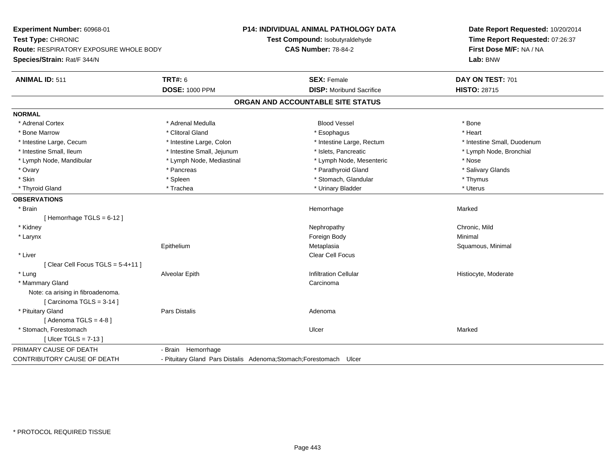| Experiment Number: 60968-01<br>Test Type: CHRONIC |                                                                     | P14: INDIVIDUAL ANIMAL PATHOLOGY DATA<br>Test Compound: Isobutyraldehyde | Date Report Requested: 10/20/2014<br>Time Report Requested: 07:26:37<br>First Dose M/F: NA / NA |  |
|---------------------------------------------------|---------------------------------------------------------------------|--------------------------------------------------------------------------|-------------------------------------------------------------------------------------------------|--|
| <b>Route: RESPIRATORY EXPOSURE WHOLE BODY</b>     |                                                                     | <b>CAS Number: 78-84-2</b>                                               |                                                                                                 |  |
| Species/Strain: Rat/F 344/N                       |                                                                     |                                                                          | Lab: BNW                                                                                        |  |
| <b>ANIMAL ID: 511</b>                             | <b>TRT#: 6</b>                                                      | <b>SEX: Female</b>                                                       | DAY ON TEST: 701                                                                                |  |
|                                                   | <b>DOSE: 1000 PPM</b>                                               | <b>DISP:</b> Moribund Sacrifice                                          | <b>HISTO: 28715</b>                                                                             |  |
|                                                   |                                                                     | ORGAN AND ACCOUNTABLE SITE STATUS                                        |                                                                                                 |  |
| <b>NORMAL</b>                                     |                                                                     |                                                                          |                                                                                                 |  |
| * Adrenal Cortex                                  | * Adrenal Medulla                                                   | <b>Blood Vessel</b>                                                      | * Bone                                                                                          |  |
| * Bone Marrow                                     | * Clitoral Gland                                                    | * Esophagus                                                              | * Heart                                                                                         |  |
| * Intestine Large, Cecum                          | * Intestine Large, Colon                                            | * Intestine Large, Rectum                                                | * Intestine Small, Duodenum                                                                     |  |
| * Intestine Small, Ileum                          | * Intestine Small, Jejunum                                          | * Islets, Pancreatic                                                     | * Lymph Node, Bronchial                                                                         |  |
| * Lymph Node, Mandibular                          | * Lymph Node, Mediastinal                                           | * Lymph Node, Mesenteric                                                 | * Nose                                                                                          |  |
| * Ovary                                           | * Pancreas                                                          | * Parathyroid Gland                                                      | * Salivary Glands                                                                               |  |
| * Skin                                            | * Spleen                                                            | * Stomach, Glandular                                                     | * Thymus                                                                                        |  |
| * Thyroid Gland                                   | * Trachea                                                           | * Urinary Bladder                                                        | * Uterus                                                                                        |  |
| <b>OBSERVATIONS</b>                               |                                                                     |                                                                          |                                                                                                 |  |
| * Brain                                           |                                                                     | Hemorrhage                                                               | Marked                                                                                          |  |
| [Hemorrhage TGLS = 6-12]                          |                                                                     |                                                                          |                                                                                                 |  |
| * Kidney                                          |                                                                     | Nephropathy                                                              | Chronic, Mild                                                                                   |  |
| * Larynx                                          |                                                                     | Foreign Body                                                             | Minimal                                                                                         |  |
|                                                   | Epithelium                                                          | Metaplasia                                                               | Squamous, Minimal                                                                               |  |
| * Liver                                           |                                                                     | Clear Cell Focus                                                         |                                                                                                 |  |
| [ Clear Cell Focus TGLS = 5-4+11 ]                |                                                                     |                                                                          |                                                                                                 |  |
| * Lung                                            | Alveolar Epith                                                      | <b>Infiltration Cellular</b>                                             | Histiocyte, Moderate                                                                            |  |
| * Mammary Gland                                   |                                                                     | Carcinoma                                                                |                                                                                                 |  |
| Note: ca arising in fibroadenoma.                 |                                                                     |                                                                          |                                                                                                 |  |
| [Carcinoma TGLS = 3-14]                           |                                                                     |                                                                          |                                                                                                 |  |
| * Pituitary Gland                                 | Pars Distalis                                                       | Adenoma                                                                  |                                                                                                 |  |
| [Adenoma TGLS = $4-8$ ]                           |                                                                     |                                                                          |                                                                                                 |  |
| * Stomach, Forestomach                            |                                                                     | Ulcer                                                                    | Marked                                                                                          |  |
| [Ulcer TGLS = $7-13$ ]                            |                                                                     |                                                                          |                                                                                                 |  |
| PRIMARY CAUSE OF DEATH                            | - Brain Hemorrhage                                                  |                                                                          |                                                                                                 |  |
| CONTRIBUTORY CAUSE OF DEATH                       | - Pituitary Gland Pars Distalis Adenoma; Stomach; Forestomach Ulcer |                                                                          |                                                                                                 |  |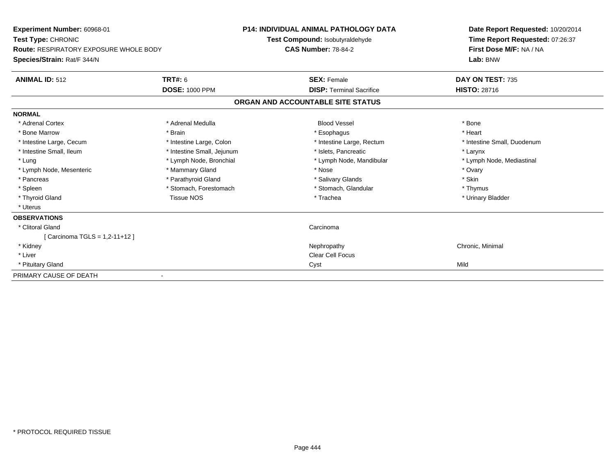| Experiment Number: 60968-01            |                            | <b>P14: INDIVIDUAL ANIMAL PATHOLOGY DATA</b> | Date Report Requested: 10/20/2014                          |  |
|----------------------------------------|----------------------------|----------------------------------------------|------------------------------------------------------------|--|
| <b>Test Type: CHRONIC</b>              |                            | Test Compound: Isobutyraldehyde              | Time Report Requested: 07:26:37<br>First Dose M/F: NA / NA |  |
| Route: RESPIRATORY EXPOSURE WHOLE BODY |                            | <b>CAS Number: 78-84-2</b>                   |                                                            |  |
| Species/Strain: Rat/F 344/N            |                            |                                              | Lab: BNW                                                   |  |
| <b>ANIMAL ID: 512</b>                  | TRT#: 6                    | <b>SEX: Female</b>                           | DAY ON TEST: 735                                           |  |
|                                        | <b>DOSE: 1000 PPM</b>      | <b>DISP: Terminal Sacrifice</b>              | <b>HISTO: 28716</b>                                        |  |
|                                        |                            | ORGAN AND ACCOUNTABLE SITE STATUS            |                                                            |  |
| <b>NORMAL</b>                          |                            |                                              |                                                            |  |
| * Adrenal Cortex                       | * Adrenal Medulla          | <b>Blood Vessel</b>                          | * Bone                                                     |  |
| * Bone Marrow                          | * Brain                    | * Esophagus                                  | * Heart                                                    |  |
| * Intestine Large, Cecum               | * Intestine Large, Colon   | * Intestine Large, Rectum                    | * Intestine Small, Duodenum                                |  |
| * Intestine Small, Ileum               | * Intestine Small, Jejunum | * Islets, Pancreatic                         | * Larynx                                                   |  |
| * Lung                                 | * Lymph Node, Bronchial    | * Lymph Node, Mandibular                     | * Lymph Node, Mediastinal                                  |  |
| * Lymph Node, Mesenteric               | * Mammary Gland            | * Nose                                       | * Ovary                                                    |  |
| * Pancreas                             | * Parathyroid Gland        | * Salivary Glands                            | * Skin                                                     |  |
| * Spleen                               | * Stomach, Forestomach     | * Stomach, Glandular                         | * Thymus                                                   |  |
| * Thyroid Gland                        | <b>Tissue NOS</b>          | * Trachea                                    | * Urinary Bladder                                          |  |
| * Uterus                               |                            |                                              |                                                            |  |
| <b>OBSERVATIONS</b>                    |                            |                                              |                                                            |  |
| * Clitoral Gland                       |                            | Carcinoma                                    |                                                            |  |
| Carcinoma TGLS = 1,2-11+12 ]           |                            |                                              |                                                            |  |
| * Kidney                               |                            | Nephropathy                                  | Chronic, Minimal                                           |  |
| * Liver                                |                            | Clear Cell Focus                             |                                                            |  |
| * Pituitary Gland                      |                            | Cyst                                         | Mild                                                       |  |
| PRIMARY CAUSE OF DEATH                 |                            |                                              |                                                            |  |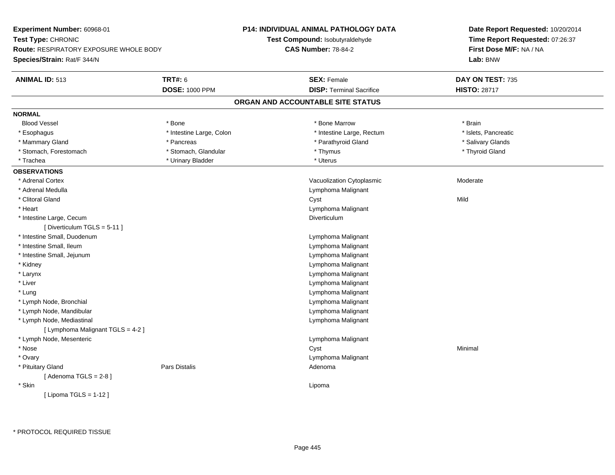| Experiment Number: 60968-01<br>Test Type: CHRONIC |                          | P14: INDIVIDUAL ANIMAL PATHOLOGY DATA | Date Report Requested: 10/20/2014<br>Time Report Requested: 07:26:37 |  |
|---------------------------------------------------|--------------------------|---------------------------------------|----------------------------------------------------------------------|--|
|                                                   |                          | Test Compound: Isobutyraldehyde       |                                                                      |  |
| <b>Route: RESPIRATORY EXPOSURE WHOLE BODY</b>     |                          | <b>CAS Number: 78-84-2</b>            | First Dose M/F: NA / NA                                              |  |
| Species/Strain: Rat/F 344/N                       |                          |                                       | Lab: BNW                                                             |  |
| <b>ANIMAL ID: 513</b>                             | <b>TRT#: 6</b>           | <b>SEX: Female</b>                    | DAY ON TEST: 735                                                     |  |
|                                                   | <b>DOSE: 1000 PPM</b>    | <b>DISP: Terminal Sacrifice</b>       | <b>HISTO: 28717</b>                                                  |  |
|                                                   |                          | ORGAN AND ACCOUNTABLE SITE STATUS     |                                                                      |  |
| <b>NORMAL</b>                                     |                          |                                       |                                                                      |  |
| <b>Blood Vessel</b>                               | * Bone                   | * Bone Marrow                         | * Brain                                                              |  |
| * Esophagus                                       | * Intestine Large, Colon | * Intestine Large, Rectum             | * Islets, Pancreatic                                                 |  |
| * Mammary Gland                                   | * Pancreas               | * Parathyroid Gland                   | * Salivary Glands                                                    |  |
| * Stomach, Forestomach                            | * Stomach, Glandular     | * Thymus                              | * Thyroid Gland                                                      |  |
| * Trachea                                         | * Urinary Bladder        | * Uterus                              |                                                                      |  |
| <b>OBSERVATIONS</b>                               |                          |                                       |                                                                      |  |
| * Adrenal Cortex                                  |                          | Vacuolization Cytoplasmic             | Moderate                                                             |  |
| * Adrenal Medulla                                 |                          | Lymphoma Malignant                    |                                                                      |  |
| * Clitoral Gland                                  |                          | Cyst                                  | Mild                                                                 |  |
| * Heart                                           |                          | Lymphoma Malignant                    |                                                                      |  |
| * Intestine Large, Cecum                          |                          | Diverticulum                          |                                                                      |  |
| [Diverticulum TGLS = $5-11$ ]                     |                          |                                       |                                                                      |  |
| * Intestine Small, Duodenum                       |                          | Lymphoma Malignant                    |                                                                      |  |
| * Intestine Small, Ileum                          |                          | Lymphoma Malignant                    |                                                                      |  |
| * Intestine Small, Jejunum                        |                          | Lymphoma Malignant                    |                                                                      |  |
| * Kidney                                          |                          | Lymphoma Malignant                    |                                                                      |  |
| * Larynx                                          |                          | Lymphoma Malignant                    |                                                                      |  |
| * Liver                                           |                          | Lymphoma Malignant                    |                                                                      |  |
| * Lung                                            |                          | Lymphoma Malignant                    |                                                                      |  |
| * Lymph Node, Bronchial                           |                          | Lymphoma Malignant                    |                                                                      |  |
| * Lymph Node, Mandibular                          |                          | Lymphoma Malignant                    |                                                                      |  |
| * Lymph Node, Mediastinal                         |                          | Lymphoma Malignant                    |                                                                      |  |
| [ Lymphoma Malignant TGLS = 4-2 ]                 |                          |                                       |                                                                      |  |
| * Lymph Node, Mesenteric                          |                          | Lymphoma Malignant                    |                                                                      |  |
| * Nose                                            |                          | Cyst                                  | Minimal                                                              |  |
| * Ovary                                           |                          | Lymphoma Malignant                    |                                                                      |  |
| * Pituitary Gland                                 | <b>Pars Distalis</b>     | Adenoma                               |                                                                      |  |
| [Adenoma TGLS = $2-8$ ]                           |                          |                                       |                                                                      |  |
| * Skin                                            |                          | Lipoma                                |                                                                      |  |
| [ Lipoma TGLS = $1-12$ ]                          |                          |                                       |                                                                      |  |
|                                                   |                          |                                       |                                                                      |  |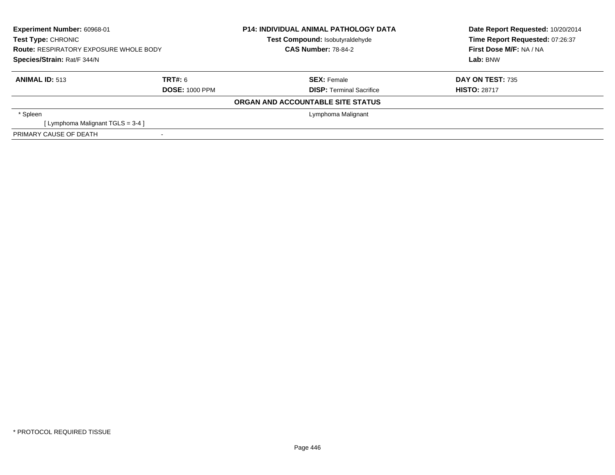| Experiment Number: 60968-01<br><b>Test Type: CHRONIC</b><br><b>Route: RESPIRATORY EXPOSURE WHOLE BODY</b><br>Species/Strain: Rat/F 344/N |                       | <b>P14: INDIVIDUAL ANIMAL PATHOLOGY DATA</b><br>Test Compound: Isobutyraldehyde<br><b>CAS Number: 78-84-2</b> | Date Report Requested: 10/20/2014<br>Time Report Requested: 07:26:37<br>First Dose M/F: NA / NA |  |
|------------------------------------------------------------------------------------------------------------------------------------------|-----------------------|---------------------------------------------------------------------------------------------------------------|-------------------------------------------------------------------------------------------------|--|
|                                                                                                                                          |                       |                                                                                                               | Lab: BNW                                                                                        |  |
| <b>ANIMAL ID: 513</b>                                                                                                                    | TRT#: 6               | <b>SEX: Female</b>                                                                                            | <b>DAY ON TEST: 735</b>                                                                         |  |
|                                                                                                                                          | <b>DOSE: 1000 PPM</b> | <b>DISP:</b> Terminal Sacrifice                                                                               | <b>HISTO: 28717</b>                                                                             |  |
|                                                                                                                                          |                       | ORGAN AND ACCOUNTABLE SITE STATUS                                                                             |                                                                                                 |  |
| * Spleen                                                                                                                                 |                       | Lymphoma Malignant                                                                                            |                                                                                                 |  |
| [Lymphoma Malignant TGLS = 3-4 ]                                                                                                         |                       |                                                                                                               |                                                                                                 |  |
| PRIMARY CAUSE OF DEATH                                                                                                                   |                       |                                                                                                               |                                                                                                 |  |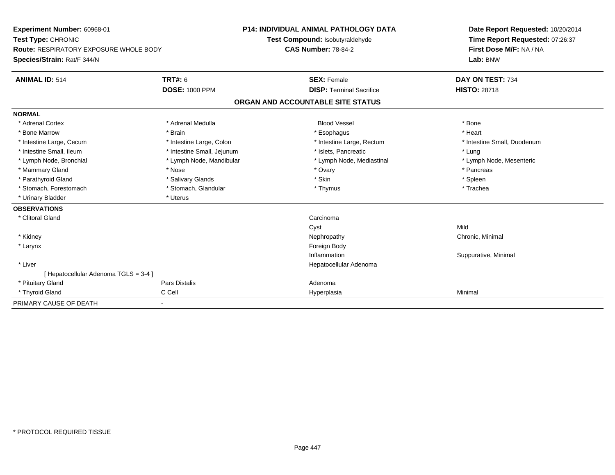| Experiment Number: 60968-01                   | <b>P14: INDIVIDUAL ANIMAL PATHOLOGY DATA</b> |                                 | Date Report Requested: 10/20/2014 |                                 |  |
|-----------------------------------------------|----------------------------------------------|---------------------------------|-----------------------------------|---------------------------------|--|
| Test Type: CHRONIC                            |                                              | Test Compound: Isobutyraldehyde |                                   | Time Report Requested: 07:26:37 |  |
| <b>Route: RESPIRATORY EXPOSURE WHOLE BODY</b> |                                              |                                 | <b>CAS Number: 78-84-2</b>        | First Dose M/F: NA / NA         |  |
| Species/Strain: Rat/F 344/N                   |                                              |                                 | Lab: BNW                          |                                 |  |
| <b>ANIMAL ID: 514</b>                         | <b>TRT#: 6</b>                               |                                 | <b>SEX: Female</b>                | DAY ON TEST: 734                |  |
|                                               | <b>DOSE: 1000 PPM</b>                        |                                 | <b>DISP: Terminal Sacrifice</b>   | <b>HISTO: 28718</b>             |  |
|                                               |                                              |                                 | ORGAN AND ACCOUNTABLE SITE STATUS |                                 |  |
| <b>NORMAL</b>                                 |                                              |                                 |                                   |                                 |  |
| * Adrenal Cortex                              | * Adrenal Medulla                            |                                 | <b>Blood Vessel</b>               | * Bone                          |  |
| * Bone Marrow                                 | * Brain                                      |                                 | * Esophagus                       | * Heart                         |  |
| * Intestine Large, Cecum                      | * Intestine Large, Colon                     |                                 | * Intestine Large, Rectum         | * Intestine Small, Duodenum     |  |
| * Intestine Small, Ileum                      | * Intestine Small, Jejunum                   |                                 | * Islets, Pancreatic              | * Lung                          |  |
| * Lymph Node, Bronchial                       | * Lymph Node, Mandibular                     |                                 | * Lymph Node, Mediastinal         | * Lymph Node, Mesenteric        |  |
| * Mammary Gland                               | * Nose                                       |                                 | * Ovary                           | * Pancreas                      |  |
| * Parathyroid Gland                           | * Salivary Glands                            |                                 | * Skin                            | * Spleen                        |  |
| * Stomach, Forestomach                        | * Stomach, Glandular                         |                                 | * Thymus                          | * Trachea                       |  |
| * Urinary Bladder                             | * Uterus                                     |                                 |                                   |                                 |  |
| <b>OBSERVATIONS</b>                           |                                              |                                 |                                   |                                 |  |
| * Clitoral Gland                              |                                              |                                 | Carcinoma                         |                                 |  |
|                                               |                                              |                                 | Cyst                              | Mild                            |  |
| * Kidney                                      |                                              |                                 | Nephropathy                       | Chronic, Minimal                |  |
| * Larynx                                      |                                              |                                 | Foreign Body                      |                                 |  |
|                                               |                                              |                                 | Inflammation                      | Suppurative, Minimal            |  |
| * Liver                                       |                                              |                                 | Hepatocellular Adenoma            |                                 |  |
| [ Hepatocellular Adenoma TGLS = 3-4 ]         |                                              |                                 |                                   |                                 |  |
| * Pituitary Gland                             | Pars Distalis                                |                                 | Adenoma                           |                                 |  |
| * Thyroid Gland                               | C Cell                                       |                                 | Hyperplasia                       | Minimal                         |  |
| PRIMARY CAUSE OF DEATH                        | $\blacksquare$                               |                                 |                                   |                                 |  |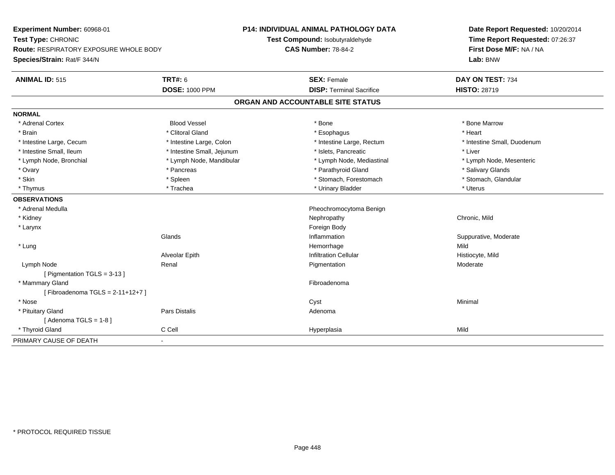| Experiment Number: 60968-01<br>Test Type: CHRONIC |                            | <b>P14: INDIVIDUAL ANIMAL PATHOLOGY DATA</b> | Date Report Requested: 10/20/2014 |  |  |
|---------------------------------------------------|----------------------------|----------------------------------------------|-----------------------------------|--|--|
|                                                   |                            | Test Compound: Isobutyraldehyde              | Time Report Requested: 07:26:37   |  |  |
| Route: RESPIRATORY EXPOSURE WHOLE BODY            |                            | <b>CAS Number: 78-84-2</b>                   | First Dose M/F: NA / NA           |  |  |
| Species/Strain: Rat/F 344/N                       |                            |                                              | Lab: BNW                          |  |  |
| <b>ANIMAL ID: 515</b>                             | <b>TRT#: 6</b>             | <b>SEX: Female</b>                           | DAY ON TEST: 734                  |  |  |
|                                                   | <b>DOSE: 1000 PPM</b>      | <b>DISP: Terminal Sacrifice</b>              | <b>HISTO: 28719</b>               |  |  |
|                                                   |                            | ORGAN AND ACCOUNTABLE SITE STATUS            |                                   |  |  |
| <b>NORMAL</b>                                     |                            |                                              |                                   |  |  |
| * Adrenal Cortex                                  | <b>Blood Vessel</b>        | * Bone                                       | * Bone Marrow                     |  |  |
| * Brain                                           | * Clitoral Gland           | * Esophagus                                  | * Heart                           |  |  |
| * Intestine Large, Cecum                          | * Intestine Large, Colon   | * Intestine Large, Rectum                    | * Intestine Small, Duodenum       |  |  |
| * Intestine Small, Ileum                          | * Intestine Small, Jejunum | * Islets. Pancreatic                         | * Liver                           |  |  |
| * Lymph Node, Bronchial                           | * Lymph Node, Mandibular   | * Lymph Node, Mediastinal                    | * Lymph Node, Mesenteric          |  |  |
| * Ovary                                           | * Pancreas                 | * Parathyroid Gland                          | * Salivary Glands                 |  |  |
| * Skin                                            | * Spleen                   | * Stomach, Forestomach                       | * Stomach, Glandular              |  |  |
| * Thymus                                          | * Trachea                  | * Urinary Bladder                            | * Uterus                          |  |  |
| <b>OBSERVATIONS</b>                               |                            |                                              |                                   |  |  |
| * Adrenal Medulla                                 |                            | Pheochromocytoma Benign                      |                                   |  |  |
| * Kidney                                          |                            | Nephropathy                                  | Chronic, Mild                     |  |  |
| * Larynx                                          |                            | Foreign Body                                 |                                   |  |  |
|                                                   | Glands                     | Inflammation                                 | Suppurative, Moderate             |  |  |
| * Lung                                            |                            | Hemorrhage                                   | Mild                              |  |  |
|                                                   | Alveolar Epith             | <b>Infiltration Cellular</b>                 | Histiocyte, Mild                  |  |  |
| Lymph Node                                        | Renal                      | Pigmentation                                 | Moderate                          |  |  |
| [ Pigmentation TGLS = 3-13 ]                      |                            |                                              |                                   |  |  |
| * Mammary Gland                                   |                            | Fibroadenoma                                 |                                   |  |  |
| [Fibroadenoma TGLS = $2-11+12+7$ ]                |                            |                                              |                                   |  |  |
| * Nose                                            |                            | Cyst                                         | Minimal                           |  |  |
| * Pituitary Gland                                 | <b>Pars Distalis</b>       | Adenoma                                      |                                   |  |  |
| [Adenoma TGLS = $1-8$ ]                           |                            |                                              |                                   |  |  |
| * Thyroid Gland                                   | C Cell                     | Hyperplasia                                  | Mild                              |  |  |
| PRIMARY CAUSE OF DEATH                            | $\blacksquare$             |                                              |                                   |  |  |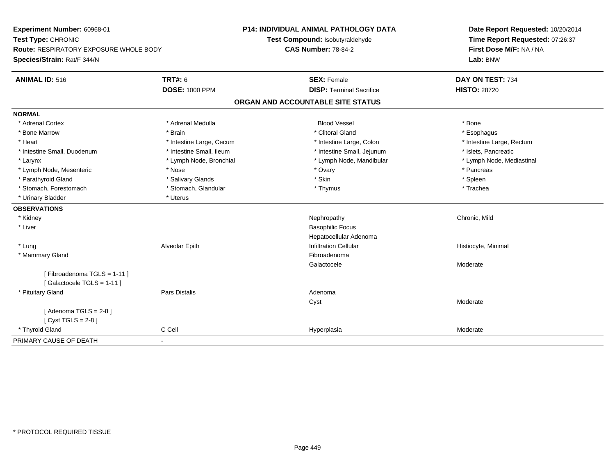| Experiment Number: 60968-01<br>Test Type: CHRONIC       |                          | <b>P14: INDIVIDUAL ANIMAL PATHOLOGY DATA</b> | Date Report Requested: 10/20/2014 |  |  |
|---------------------------------------------------------|--------------------------|----------------------------------------------|-----------------------------------|--|--|
|                                                         |                          | Test Compound: Isobutyraldehyde              | Time Report Requested: 07:26:37   |  |  |
| Route: RESPIRATORY EXPOSURE WHOLE BODY                  |                          | <b>CAS Number: 78-84-2</b>                   | First Dose M/F: NA / NA           |  |  |
| Species/Strain: Rat/F 344/N                             |                          |                                              | Lab: BNW                          |  |  |
| <b>ANIMAL ID: 516</b>                                   | <b>TRT#: 6</b>           | <b>SEX: Female</b>                           | DAY ON TEST: 734                  |  |  |
|                                                         | <b>DOSE: 1000 PPM</b>    | <b>DISP: Terminal Sacrifice</b>              | <b>HISTO: 28720</b>               |  |  |
|                                                         |                          | ORGAN AND ACCOUNTABLE SITE STATUS            |                                   |  |  |
| <b>NORMAL</b>                                           |                          |                                              |                                   |  |  |
| * Adrenal Cortex                                        | * Adrenal Medulla        | <b>Blood Vessel</b>                          | * Bone                            |  |  |
| * Bone Marrow                                           | * Brain                  | * Clitoral Gland                             | * Esophagus                       |  |  |
| * Heart                                                 | * Intestine Large, Cecum | * Intestine Large, Colon                     | * Intestine Large, Rectum         |  |  |
| * Intestine Small, Duodenum                             | * Intestine Small, Ileum | * Intestine Small, Jejunum                   | * Islets, Pancreatic              |  |  |
| * Larynx                                                | * Lymph Node, Bronchial  | * Lymph Node, Mandibular                     | * Lymph Node, Mediastinal         |  |  |
| * Lymph Node, Mesenteric                                | * Nose                   | * Ovary                                      | * Pancreas                        |  |  |
| * Parathyroid Gland                                     | * Salivary Glands        | * Skin                                       | * Spleen                          |  |  |
| * Stomach, Forestomach                                  | * Stomach, Glandular     | * Thymus                                     | * Trachea                         |  |  |
| * Urinary Bladder                                       | * Uterus                 |                                              |                                   |  |  |
| <b>OBSERVATIONS</b>                                     |                          |                                              |                                   |  |  |
| * Kidney                                                |                          | Nephropathy                                  | Chronic, Mild                     |  |  |
| * Liver                                                 |                          | <b>Basophilic Focus</b>                      |                                   |  |  |
|                                                         |                          | Hepatocellular Adenoma                       |                                   |  |  |
| * Lung                                                  | Alveolar Epith           | <b>Infiltration Cellular</b>                 | Histiocyte, Minimal               |  |  |
| * Mammary Gland                                         |                          | Fibroadenoma                                 |                                   |  |  |
|                                                         |                          | Galactocele                                  | Moderate                          |  |  |
| [Fibroadenoma TGLS = 1-11]<br>[Galactocele TGLS = 1-11] |                          |                                              |                                   |  |  |
| * Pituitary Gland                                       | <b>Pars Distalis</b>     | Adenoma                                      |                                   |  |  |
|                                                         |                          | Cyst                                         | Moderate                          |  |  |
| [Adenoma TGLS = $2-8$ ]                                 |                          |                                              |                                   |  |  |
| [Cyst TGLS = $2-8$ ]                                    |                          |                                              |                                   |  |  |
| * Thyroid Gland                                         | C Cell                   | Hyperplasia                                  | Moderate                          |  |  |
| PRIMARY CAUSE OF DEATH                                  | $\blacksquare$           |                                              |                                   |  |  |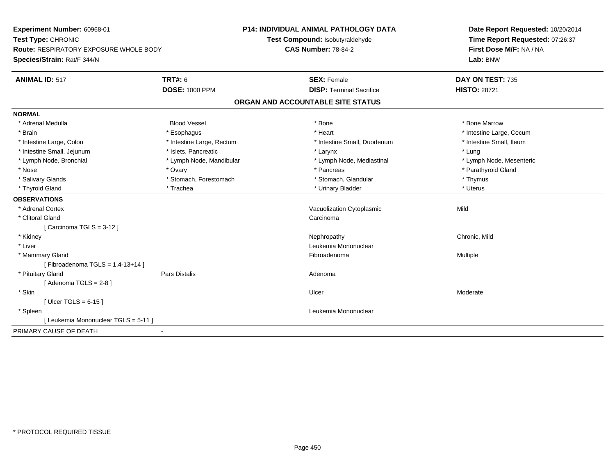| Experiment Number: 60968-01<br>Test Type: CHRONIC<br><b>Route: RESPIRATORY EXPOSURE WHOLE BODY</b> |                           | <b>P14: INDIVIDUAL ANIMAL PATHOLOGY DATA</b><br>Test Compound: Isobutyraldehyde<br><b>CAS Number: 78-84-2</b> | Date Report Requested: 10/20/2014<br>Time Report Requested: 07:26:37<br>First Dose M/F: NA / NA |
|----------------------------------------------------------------------------------------------------|---------------------------|---------------------------------------------------------------------------------------------------------------|-------------------------------------------------------------------------------------------------|
| Species/Strain: Rat/F 344/N                                                                        |                           |                                                                                                               | Lab: BNW                                                                                        |
| <b>ANIMAL ID: 517</b>                                                                              | <b>TRT#: 6</b>            | <b>SEX: Female</b>                                                                                            | DAY ON TEST: 735                                                                                |
|                                                                                                    | <b>DOSE: 1000 PPM</b>     | <b>DISP: Terminal Sacrifice</b>                                                                               | <b>HISTO: 28721</b>                                                                             |
|                                                                                                    |                           | ORGAN AND ACCOUNTABLE SITE STATUS                                                                             |                                                                                                 |
| <b>NORMAL</b>                                                                                      |                           |                                                                                                               |                                                                                                 |
| * Adrenal Medulla                                                                                  | <b>Blood Vessel</b>       | * Bone                                                                                                        | * Bone Marrow                                                                                   |
| * Brain                                                                                            | * Esophagus               | * Heart                                                                                                       | * Intestine Large, Cecum                                                                        |
| * Intestine Large, Colon                                                                           | * Intestine Large, Rectum | * Intestine Small, Duodenum                                                                                   | * Intestine Small, Ileum                                                                        |
| * Intestine Small, Jejunum                                                                         | * Islets, Pancreatic      | * Larynx                                                                                                      | * Lung                                                                                          |
| * Lymph Node, Bronchial                                                                            | * Lymph Node, Mandibular  | * Lymph Node, Mediastinal                                                                                     | * Lymph Node, Mesenteric                                                                        |
| * Nose                                                                                             | * Ovary                   | * Pancreas                                                                                                    | * Parathyroid Gland                                                                             |
| * Salivary Glands                                                                                  | * Stomach, Forestomach    | * Stomach, Glandular                                                                                          | * Thymus                                                                                        |
| * Thyroid Gland                                                                                    | * Trachea                 | * Urinary Bladder                                                                                             | * Uterus                                                                                        |
| <b>OBSERVATIONS</b>                                                                                |                           |                                                                                                               |                                                                                                 |
| * Adrenal Cortex                                                                                   |                           | Vacuolization Cytoplasmic                                                                                     | Mild                                                                                            |
| * Clitoral Gland                                                                                   |                           | Carcinoma                                                                                                     |                                                                                                 |
| [Carcinoma TGLS = $3-12$ ]                                                                         |                           |                                                                                                               |                                                                                                 |
| * Kidney                                                                                           |                           | Nephropathy                                                                                                   | Chronic, Mild                                                                                   |
| * Liver                                                                                            |                           | Leukemia Mononuclear                                                                                          |                                                                                                 |
| * Mammary Gland                                                                                    |                           | Fibroadenoma                                                                                                  | Multiple                                                                                        |
| [Fibroadenoma TGLS = $1,4-13+14$ ]                                                                 |                           |                                                                                                               |                                                                                                 |
| * Pituitary Gland                                                                                  | <b>Pars Distalis</b>      | Adenoma                                                                                                       |                                                                                                 |
| [Adenoma TGLS = $2-8$ ]                                                                            |                           |                                                                                                               |                                                                                                 |
| * Skin                                                                                             |                           | Ulcer                                                                                                         | Moderate                                                                                        |
| [ Ulcer TGLS = $6-15$ ]                                                                            |                           |                                                                                                               |                                                                                                 |
| * Spleen                                                                                           |                           | Leukemia Mononuclear                                                                                          |                                                                                                 |
| [ Leukemia Mononuclear TGLS = 5-11 ]                                                               |                           |                                                                                                               |                                                                                                 |
| PRIMARY CAUSE OF DEATH                                                                             |                           |                                                                                                               |                                                                                                 |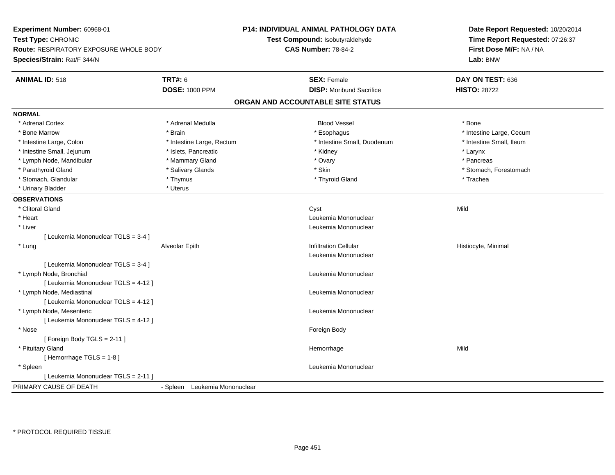| Experiment Number: 60968-01<br>Test Type: CHRONIC<br>Route: RESPIRATORY EXPOSURE WHOLE BODY<br>Species/Strain: Rat/F 344/N |                               | P14: INDIVIDUAL ANIMAL PATHOLOGY DATA<br>Test Compound: Isobutyraldehyde<br><b>CAS Number: 78-84-2</b> | Date Report Requested: 10/20/2014<br>Time Report Requested: 07:26:37<br>First Dose M/F: NA / NA<br>Lab: BNW |  |
|----------------------------------------------------------------------------------------------------------------------------|-------------------------------|--------------------------------------------------------------------------------------------------------|-------------------------------------------------------------------------------------------------------------|--|
| <b>ANIMAL ID: 518</b>                                                                                                      | <b>TRT#: 6</b>                | <b>SEX: Female</b>                                                                                     | DAY ON TEST: 636                                                                                            |  |
|                                                                                                                            | <b>DOSE: 1000 PPM</b>         | <b>DISP:</b> Moribund Sacrifice                                                                        | <b>HISTO: 28722</b>                                                                                         |  |
|                                                                                                                            |                               | ORGAN AND ACCOUNTABLE SITE STATUS                                                                      |                                                                                                             |  |
| <b>NORMAL</b>                                                                                                              |                               |                                                                                                        |                                                                                                             |  |
| * Adrenal Cortex                                                                                                           | * Adrenal Medulla             | <b>Blood Vessel</b>                                                                                    | * Bone                                                                                                      |  |
| * Bone Marrow                                                                                                              | * Brain                       | * Esophagus                                                                                            | * Intestine Large, Cecum                                                                                    |  |
| * Intestine Large, Colon                                                                                                   | * Intestine Large, Rectum     | * Intestine Small, Duodenum                                                                            | * Intestine Small, Ileum                                                                                    |  |
| * Intestine Small, Jejunum                                                                                                 | * Islets, Pancreatic          | * Kidney                                                                                               | * Larynx                                                                                                    |  |
| * Lymph Node, Mandibular                                                                                                   | * Mammary Gland               | * Ovary                                                                                                | * Pancreas                                                                                                  |  |
| * Parathyroid Gland                                                                                                        | * Salivary Glands             | * Skin                                                                                                 | * Stomach, Forestomach                                                                                      |  |
| * Stomach, Glandular                                                                                                       | * Thymus                      | * Thyroid Gland                                                                                        | * Trachea                                                                                                   |  |
| * Urinary Bladder                                                                                                          | * Uterus                      |                                                                                                        |                                                                                                             |  |
| <b>OBSERVATIONS</b>                                                                                                        |                               |                                                                                                        |                                                                                                             |  |
| * Clitoral Gland                                                                                                           |                               | Cyst                                                                                                   | Mild                                                                                                        |  |
| * Heart                                                                                                                    |                               | Leukemia Mononuclear                                                                                   |                                                                                                             |  |
| * Liver                                                                                                                    |                               | Leukemia Mononuclear                                                                                   |                                                                                                             |  |
| [ Leukemia Mononuclear TGLS = 3-4 ]                                                                                        |                               |                                                                                                        |                                                                                                             |  |
| * Lung                                                                                                                     | Alveolar Epith                | <b>Infiltration Cellular</b>                                                                           | Histiocyte, Minimal                                                                                         |  |
|                                                                                                                            |                               | Leukemia Mononuclear                                                                                   |                                                                                                             |  |
| [ Leukemia Mononuclear TGLS = 3-4 ]                                                                                        |                               |                                                                                                        |                                                                                                             |  |
| * Lymph Node, Bronchial                                                                                                    |                               | Leukemia Mononuclear                                                                                   |                                                                                                             |  |
| [ Leukemia Mononuclear TGLS = 4-12 ]                                                                                       |                               |                                                                                                        |                                                                                                             |  |
| * Lymph Node, Mediastinal                                                                                                  |                               | Leukemia Mononuclear                                                                                   |                                                                                                             |  |
| [ Leukemia Mononuclear TGLS = 4-12 ]                                                                                       |                               |                                                                                                        |                                                                                                             |  |
| * Lymph Node, Mesenteric                                                                                                   |                               | Leukemia Mononuclear                                                                                   |                                                                                                             |  |
| [ Leukemia Mononuclear TGLS = 4-12 ]                                                                                       |                               |                                                                                                        |                                                                                                             |  |
| * Nose                                                                                                                     |                               | Foreign Body                                                                                           |                                                                                                             |  |
| [Foreign Body TGLS = 2-11]                                                                                                 |                               |                                                                                                        |                                                                                                             |  |
| * Pituitary Gland                                                                                                          |                               | Hemorrhage                                                                                             | Mild                                                                                                        |  |
| [Hemorrhage TGLS = 1-8]                                                                                                    |                               |                                                                                                        |                                                                                                             |  |
| * Spleen                                                                                                                   |                               | Leukemia Mononuclear                                                                                   |                                                                                                             |  |
| [ Leukemia Mononuclear TGLS = 2-11 ]                                                                                       |                               |                                                                                                        |                                                                                                             |  |
| PRIMARY CAUSE OF DEATH                                                                                                     | - Spleen Leukemia Mononuclear |                                                                                                        |                                                                                                             |  |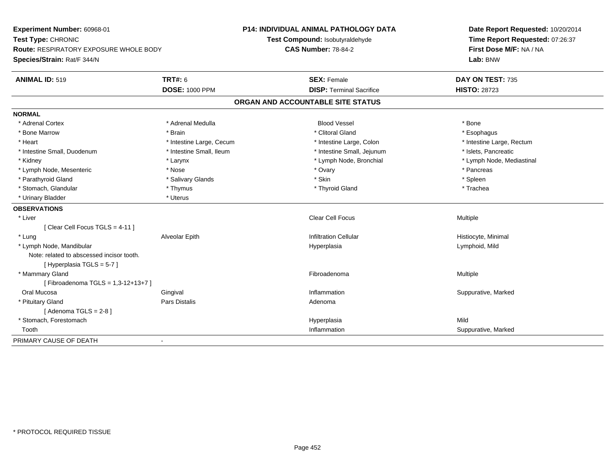| Experiment Number: 60968-01<br>Test Type: CHRONIC |                          | <b>P14: INDIVIDUAL ANIMAL PATHOLOGY DATA</b> | Date Report Requested: 10/20/2014 |
|---------------------------------------------------|--------------------------|----------------------------------------------|-----------------------------------|
|                                                   |                          | Test Compound: Isobutyraldehyde              | Time Report Requested: 07:26:37   |
| <b>Route: RESPIRATORY EXPOSURE WHOLE BODY</b>     |                          | <b>CAS Number: 78-84-2</b>                   | First Dose M/F: NA / NA           |
| Species/Strain: Rat/F 344/N                       |                          |                                              | Lab: BNW                          |
| <b>ANIMAL ID: 519</b>                             | <b>TRT#: 6</b>           | <b>SEX: Female</b>                           | DAY ON TEST: 735                  |
|                                                   | <b>DOSE: 1000 PPM</b>    | <b>DISP: Terminal Sacrifice</b>              | <b>HISTO: 28723</b>               |
|                                                   |                          | ORGAN AND ACCOUNTABLE SITE STATUS            |                                   |
| <b>NORMAL</b>                                     |                          |                                              |                                   |
| * Adrenal Cortex                                  | * Adrenal Medulla        | <b>Blood Vessel</b>                          | * Bone                            |
| * Bone Marrow                                     | * Brain                  | * Clitoral Gland                             | * Esophagus                       |
| * Heart                                           | * Intestine Large, Cecum | * Intestine Large, Colon                     | * Intestine Large, Rectum         |
| * Intestine Small, Duodenum                       | * Intestine Small, Ileum | * Intestine Small, Jejunum                   | * Islets, Pancreatic              |
| * Kidney                                          | * Larynx                 | * Lymph Node, Bronchial                      | * Lymph Node, Mediastinal         |
| * Lymph Node, Mesenteric                          | * Nose                   | * Ovary                                      | * Pancreas                        |
| * Parathyroid Gland                               | * Salivary Glands        | * Skin                                       | * Spleen                          |
| * Stomach, Glandular                              | * Thymus                 | * Thyroid Gland                              | * Trachea                         |
| * Urinary Bladder                                 | * Uterus                 |                                              |                                   |
| <b>OBSERVATIONS</b>                               |                          |                                              |                                   |
| * Liver                                           |                          | Clear Cell Focus                             | Multiple                          |
| [Clear Cell Focus TGLS = 4-11]                    |                          |                                              |                                   |
| * Lung                                            | Alveolar Epith           | <b>Infiltration Cellular</b>                 | Histiocyte, Minimal               |
| * Lymph Node, Mandibular                          |                          | Hyperplasia                                  | Lymphoid, Mild                    |
| Note: related to abscessed incisor tooth.         |                          |                                              |                                   |
| [Hyperplasia TGLS = 5-7]                          |                          |                                              |                                   |
| * Mammary Gland                                   |                          | Fibroadenoma                                 | Multiple                          |
| [Fibroadenoma TGLS = 1,3-12+13+7]                 |                          |                                              |                                   |
| Oral Mucosa                                       | Gingival                 | Inflammation                                 | Suppurative, Marked               |
| * Pituitary Gland                                 | <b>Pars Distalis</b>     | Adenoma                                      |                                   |
| [Adenoma TGLS = $2-8$ ]                           |                          |                                              |                                   |
| * Stomach, Forestomach                            |                          | Hyperplasia                                  | Mild                              |
| Tooth                                             |                          | Inflammation                                 | Suppurative, Marked               |
| PRIMARY CAUSE OF DEATH                            | $\blacksquare$           |                                              |                                   |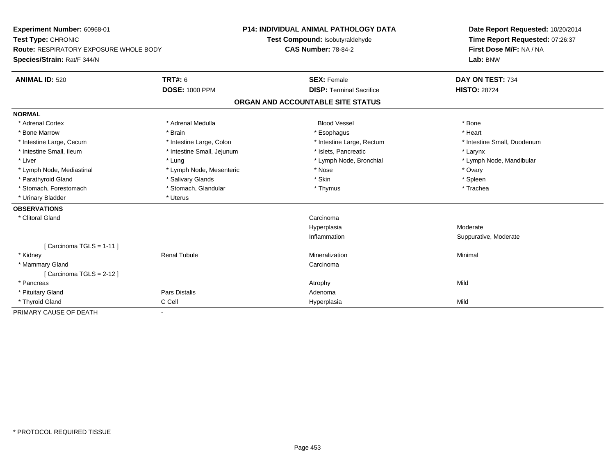| Experiment Number: 60968-01<br>Test Type: CHRONIC |                            | <b>P14: INDIVIDUAL ANIMAL PATHOLOGY DATA</b> | Date Report Requested: 10/20/2014 |  |  |
|---------------------------------------------------|----------------------------|----------------------------------------------|-----------------------------------|--|--|
|                                                   |                            | Test Compound: Isobutyraldehyde              | Time Report Requested: 07:26:37   |  |  |
| <b>Route: RESPIRATORY EXPOSURE WHOLE BODY</b>     |                            | <b>CAS Number: 78-84-2</b>                   | First Dose M/F: NA / NA           |  |  |
| Species/Strain: Rat/F 344/N                       |                            |                                              | Lab: BNW                          |  |  |
| <b>ANIMAL ID: 520</b>                             | <b>TRT#: 6</b>             | <b>SEX: Female</b>                           | DAY ON TEST: 734                  |  |  |
|                                                   | <b>DOSE: 1000 PPM</b>      | <b>DISP: Terminal Sacrifice</b>              | <b>HISTO: 28724</b>               |  |  |
|                                                   |                            | ORGAN AND ACCOUNTABLE SITE STATUS            |                                   |  |  |
| <b>NORMAL</b>                                     |                            |                                              |                                   |  |  |
| * Adrenal Cortex                                  | * Adrenal Medulla          | <b>Blood Vessel</b>                          | * Bone                            |  |  |
| * Bone Marrow                                     | * Brain                    | * Esophagus                                  | * Heart                           |  |  |
| * Intestine Large, Cecum                          | * Intestine Large, Colon   | * Intestine Large, Rectum                    | * Intestine Small, Duodenum       |  |  |
| * Intestine Small, Ileum                          | * Intestine Small, Jejunum | * Islets, Pancreatic                         | * Larynx                          |  |  |
| * Liver                                           | * Lung                     | * Lymph Node, Bronchial                      | * Lymph Node, Mandibular          |  |  |
| * Lymph Node, Mediastinal                         | * Lymph Node, Mesenteric   | * Nose                                       | * Ovary                           |  |  |
| * Parathyroid Gland                               | * Salivary Glands          | * Skin                                       | * Spleen                          |  |  |
| * Stomach, Forestomach                            | * Stomach, Glandular       | * Thymus                                     | * Trachea                         |  |  |
| * Urinary Bladder                                 | * Uterus                   |                                              |                                   |  |  |
| <b>OBSERVATIONS</b>                               |                            |                                              |                                   |  |  |
| * Clitoral Gland                                  |                            | Carcinoma                                    |                                   |  |  |
|                                                   |                            | Hyperplasia                                  | Moderate                          |  |  |
|                                                   |                            | Inflammation                                 | Suppurative, Moderate             |  |  |
| [Carcinoma TGLS = $1-11$ ]                        |                            |                                              |                                   |  |  |
| * Kidney                                          | <b>Renal Tubule</b>        | Mineralization                               | Minimal                           |  |  |
| * Mammary Gland                                   |                            | Carcinoma                                    |                                   |  |  |
| [Carcinoma TGLS = $2-12$ ]                        |                            |                                              |                                   |  |  |
| * Pancreas                                        |                            | Atrophy                                      | Mild                              |  |  |
| * Pituitary Gland                                 | <b>Pars Distalis</b>       | Adenoma                                      |                                   |  |  |
| * Thyroid Gland                                   | C Cell                     | Hyperplasia                                  | Mild                              |  |  |
| PRIMARY CAUSE OF DEATH                            | $\blacksquare$             |                                              |                                   |  |  |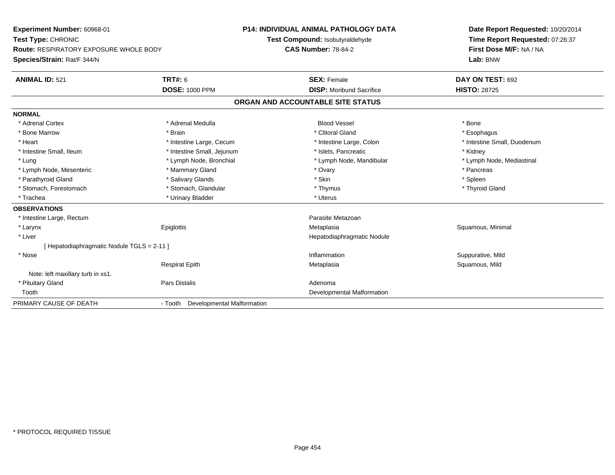**Experiment Number:** 60968-01**Test Type:** CHRONIC **Route:** RESPIRATORY EXPOSURE WHOLE BODY**Species/Strain:** Rat/F 344/N**P14: INDIVIDUAL ANIMAL PATHOLOGY DATATest Compound:** Isobutyraldehyde**CAS Number:** 78-84-2**Date Report Requested:** 10/20/2014**Time Report Requested:** 07:26:37**First Dose M/F:** NA / NA**Lab:** BNW**ANIMAL ID:** 521**TRT#:** 6 **SEX:** Female **SEX: Female DAY ON TEST:** 692 **DOSE:** 1000 PPM**DISP:** Moribund Sacrifice **HISTO:** 28725 **ORGAN AND ACCOUNTABLE SITE STATUSNORMAL**\* Adrenal Cortex \* Adrenal Medulla \* \* Book \* Blood Vessel \* Book \* Bone \* Bone \* Bone \* Bone \* Bone \* Bone \* Bone \* Bone \* Bone \* Esophagus \* Bone Marrow \* \* Android \* Brain \* Brain \* Clitoral Gland \* Clitoral Gland \* Esophagus \* Esophagus \* Esophagus \* Intestine Small, Duodenum \* Heart \* Intestine Large, Cecum \* Intestine Large, Cecum \* Intestine Large, Colon \* Intestine Small, Ileum \* **Alleman \* Intestine Small, Jejunum** \* The \* Islets, Pancreatic \* \* Kidney \* Kidney \* Lymph Node, Mediastinal \* Lung \* Lymph Node, Bronchial \* Lymph Node, Mandibular \* Lymph Node, Mandibular \* Lymph Node, Mesenteric \* \* The matter of the Mammary Gland \* The matter of the matter of the matter of the matter of the matter of the matter of the matter of the Manmary Gland \* Pancreas \* Pancreas \* Pancreas \* Pancreas \* Parathyroid Gland \* \* Salivary Glands \* Salivary Glands \* Skin \* Skin \* State \* Spleen \* Spleen \* Spleen \* Spleen \* Thyroid Gland \* Stomach, Forestomach \* Thymus \* Stomach, Glandular \* Thymus \* Thymus \* Thymus \* Thymus \* Thymus \* Thymus \* Thymus \* Thymus \* Thymus \* Thymus \* Thymus \* Thymus \* Thymus \* Thymus \* Thymus \* Thymus \* Thymus \* Thymus \* Thymu \* Trachea \* Urinary Bladder \* Urinary Bladder \* Urinary Bladder \* Uterus **OBSERVATIONS** \* Intestine Large, Rectumm Parasite Metazoan<br>Parasite Metazoan \* Larynx Epiglottis MetaplasiaMetaplasia **Matagoria and Squamous**, Minimal \* Liver Hepatodiaphragmatic Nodule[ Hepatodiaphragmatic Nodule TGLS = 2-11 ] \* Nosee substitution of the substitution of the substitution of the substitution of the substitution of the substitution  $\mathbf S$ uppurative, Mild Respirat EpithMetaplasia **Squamous, Mild** Note: left maxillary turb in xs1. \* Pituitary Glandd and the contract of Pars Distalis and the contract of Adenoma and Adenoma and the Adenoma and the Adenoma and  $\lambda$  Tooth Developmental Malformation PRIMARY CAUSE OF DEATH- Tooth Developmental Malformation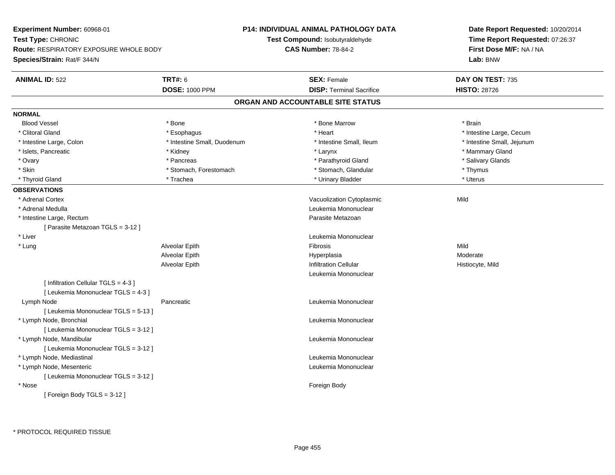| Test Type: CHRONIC<br>Test Compound: Isobutyraldehyde<br>Time Report Requested: 07:26:37<br><b>CAS Number: 78-84-2</b><br>First Dose M/F: NA / NA<br><b>Route: RESPIRATORY EXPOSURE WHOLE BODY</b><br>Species/Strain: Rat/F 344/N<br>Lab: BNW<br><b>TRT#: 6</b><br><b>ANIMAL ID: 522</b><br><b>SEX: Female</b><br>DAY ON TEST: 735<br><b>DOSE: 1000 PPM</b><br><b>DISP: Terminal Sacrifice</b><br><b>HISTO: 28726</b><br>ORGAN AND ACCOUNTABLE SITE STATUS | P14: INDIVIDUAL ANIMAL PATHOLOGY DATA |  | Date Report Requested: 10/20/2014 |  |  |
|------------------------------------------------------------------------------------------------------------------------------------------------------------------------------------------------------------------------------------------------------------------------------------------------------------------------------------------------------------------------------------------------------------------------------------------------------------|---------------------------------------|--|-----------------------------------|--|--|
|                                                                                                                                                                                                                                                                                                                                                                                                                                                            |                                       |  |                                   |  |  |
|                                                                                                                                                                                                                                                                                                                                                                                                                                                            |                                       |  |                                   |  |  |
|                                                                                                                                                                                                                                                                                                                                                                                                                                                            |                                       |  |                                   |  |  |
|                                                                                                                                                                                                                                                                                                                                                                                                                                                            |                                       |  |                                   |  |  |
|                                                                                                                                                                                                                                                                                                                                                                                                                                                            |                                       |  |                                   |  |  |
|                                                                                                                                                                                                                                                                                                                                                                                                                                                            |                                       |  |                                   |  |  |
| <b>NORMAL</b>                                                                                                                                                                                                                                                                                                                                                                                                                                              |                                       |  |                                   |  |  |
| <b>Blood Vessel</b><br>* Bone Marrow<br>* Brain<br>* Bone                                                                                                                                                                                                                                                                                                                                                                                                  |                                       |  |                                   |  |  |
| * Clitoral Gland<br>* Heart<br>* Intestine Large, Cecum<br>* Esophagus                                                                                                                                                                                                                                                                                                                                                                                     |                                       |  |                                   |  |  |
| * Intestine Small, Duodenum<br>* Intestine Small, Ileum<br>* Intestine Small, Jejunum<br>* Intestine Large, Colon                                                                                                                                                                                                                                                                                                                                          |                                       |  |                                   |  |  |
| * Mammary Gland<br>* Islets, Pancreatic<br>* Kidney<br>* Larynx                                                                                                                                                                                                                                                                                                                                                                                            |                                       |  |                                   |  |  |
| * Parathyroid Gland<br>* Salivary Glands<br>* Ovary<br>* Pancreas                                                                                                                                                                                                                                                                                                                                                                                          |                                       |  |                                   |  |  |
| * Skin<br>* Stomach, Glandular<br>* Stomach, Forestomach<br>* Thymus                                                                                                                                                                                                                                                                                                                                                                                       |                                       |  |                                   |  |  |
| * Uterus<br>* Trachea<br>* Urinary Bladder<br>* Thyroid Gland                                                                                                                                                                                                                                                                                                                                                                                              |                                       |  |                                   |  |  |
| <b>OBSERVATIONS</b>                                                                                                                                                                                                                                                                                                                                                                                                                                        |                                       |  |                                   |  |  |
| * Adrenal Cortex<br>Mild<br>Vacuolization Cytoplasmic                                                                                                                                                                                                                                                                                                                                                                                                      |                                       |  |                                   |  |  |
| Leukemia Mononuclear<br>* Adrenal Medulla                                                                                                                                                                                                                                                                                                                                                                                                                  |                                       |  |                                   |  |  |
| * Intestine Large, Rectum<br>Parasite Metazoan                                                                                                                                                                                                                                                                                                                                                                                                             |                                       |  |                                   |  |  |
| [ Parasite Metazoan TGLS = 3-12 ]                                                                                                                                                                                                                                                                                                                                                                                                                          |                                       |  |                                   |  |  |
| * Liver<br>Leukemia Mononuclear                                                                                                                                                                                                                                                                                                                                                                                                                            |                                       |  |                                   |  |  |
| * Lung<br>Alveolar Epith<br>Fibrosis<br>Mild                                                                                                                                                                                                                                                                                                                                                                                                               |                                       |  |                                   |  |  |
| Moderate<br>Alveolar Epith<br>Hyperplasia                                                                                                                                                                                                                                                                                                                                                                                                                  |                                       |  |                                   |  |  |
| <b>Infiltration Cellular</b><br>Alveolar Epith<br>Histiocyte, Mild                                                                                                                                                                                                                                                                                                                                                                                         |                                       |  |                                   |  |  |
| Leukemia Mononuclear                                                                                                                                                                                                                                                                                                                                                                                                                                       |                                       |  |                                   |  |  |
| [ Infiltration Cellular TGLS = 4-3 ]                                                                                                                                                                                                                                                                                                                                                                                                                       |                                       |  |                                   |  |  |
| [ Leukemia Mononuclear TGLS = 4-3 ]                                                                                                                                                                                                                                                                                                                                                                                                                        |                                       |  |                                   |  |  |
| Lymph Node<br>Leukemia Mononuclear<br>Pancreatic                                                                                                                                                                                                                                                                                                                                                                                                           |                                       |  |                                   |  |  |
| [ Leukemia Mononuclear TGLS = 5-13 ]                                                                                                                                                                                                                                                                                                                                                                                                                       |                                       |  |                                   |  |  |
| * Lymph Node, Bronchial<br>Leukemia Mononuclear                                                                                                                                                                                                                                                                                                                                                                                                            |                                       |  |                                   |  |  |
| [ Leukemia Mononuclear TGLS = 3-12 ]                                                                                                                                                                                                                                                                                                                                                                                                                       |                                       |  |                                   |  |  |
| * Lymph Node, Mandibular<br>Leukemia Mononuclear                                                                                                                                                                                                                                                                                                                                                                                                           |                                       |  |                                   |  |  |
| [Leukemia Mononuclear TGLS = 3-12]                                                                                                                                                                                                                                                                                                                                                                                                                         |                                       |  |                                   |  |  |
| * Lymph Node, Mediastinal<br>Leukemia Mononuclear                                                                                                                                                                                                                                                                                                                                                                                                          |                                       |  |                                   |  |  |
| * Lymph Node, Mesenteric<br>Leukemia Mononuclear                                                                                                                                                                                                                                                                                                                                                                                                           |                                       |  |                                   |  |  |
| [ Leukemia Mononuclear TGLS = 3-12 ]                                                                                                                                                                                                                                                                                                                                                                                                                       |                                       |  |                                   |  |  |
| * Nose<br>Foreign Body                                                                                                                                                                                                                                                                                                                                                                                                                                     |                                       |  |                                   |  |  |
| [Foreign Body TGLS = 3-12]                                                                                                                                                                                                                                                                                                                                                                                                                                 |                                       |  |                                   |  |  |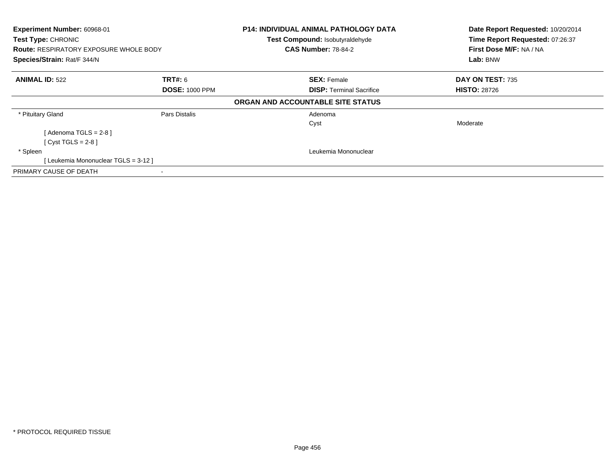| Experiment Number: 60968-01<br>Test Type: CHRONIC<br><b>Route: RESPIRATORY EXPOSURE WHOLE BODY</b><br>Species/Strain: Rat/F 344/N |                                         | <b>P14: INDIVIDUAL ANIMAL PATHOLOGY DATA</b><br>Test Compound: Isobutyraldehyde<br><b>CAS Number: 78-84-2</b> | Date Report Requested: 10/20/2014<br>Time Report Requested: 07:26:37<br>First Dose M/F: NA / NA<br>Lab: BNW |  |
|-----------------------------------------------------------------------------------------------------------------------------------|-----------------------------------------|---------------------------------------------------------------------------------------------------------------|-------------------------------------------------------------------------------------------------------------|--|
| <b>ANIMAL ID: 522</b>                                                                                                             | <b>TRT#:</b> 6<br><b>DOSE: 1000 PPM</b> | <b>SEX: Female</b><br><b>DISP:</b> Terminal Sacrifice                                                         | DAY ON TEST: 735<br><b>HISTO: 28726</b>                                                                     |  |
|                                                                                                                                   |                                         | ORGAN AND ACCOUNTABLE SITE STATUS                                                                             |                                                                                                             |  |
| * Pituitary Gland                                                                                                                 | Pars Distalis                           | Adenoma<br>Cyst                                                                                               | Moderate                                                                                                    |  |
| [ Adenoma TGLS = 2-8 ]<br>[Cyst TGLS = $2-8$ ]                                                                                    |                                         |                                                                                                               |                                                                                                             |  |
| * Spleen<br>[Leukemia Mononuclear TGLS = 3-12]                                                                                    |                                         | Leukemia Mononuclear                                                                                          |                                                                                                             |  |
| PRIMARY CAUSE OF DEATH                                                                                                            |                                         |                                                                                                               |                                                                                                             |  |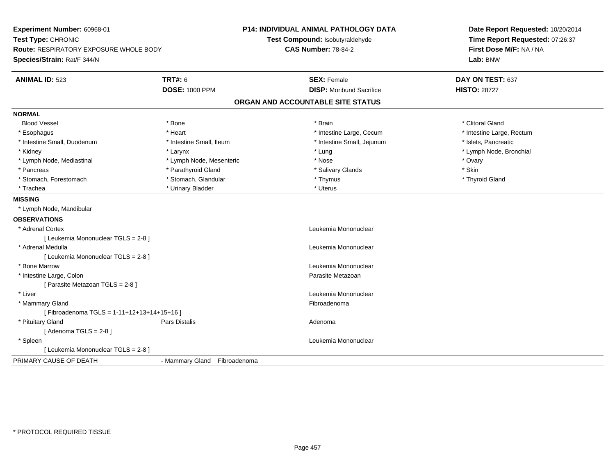| Experiment Number: 60968-01<br>Test Type: CHRONIC<br><b>Route: RESPIRATORY EXPOSURE WHOLE BODY</b><br>Species/Strain: Rat/F 344/N |                              | P14: INDIVIDUAL ANIMAL PATHOLOGY DATA<br>Test Compound: Isobutyraldehyde<br><b>CAS Number: 78-84-2</b> | Date Report Requested: 10/20/2014<br>Time Report Requested: 07:26:37<br>First Dose M/F: NA / NA<br>Lab: BNW |  |
|-----------------------------------------------------------------------------------------------------------------------------------|------------------------------|--------------------------------------------------------------------------------------------------------|-------------------------------------------------------------------------------------------------------------|--|
| <b>ANIMAL ID: 523</b>                                                                                                             | <b>TRT#: 6</b>               | <b>SEX: Female</b>                                                                                     | DAY ON TEST: 637                                                                                            |  |
|                                                                                                                                   | <b>DOSE: 1000 PPM</b>        | <b>DISP:</b> Moribund Sacrifice                                                                        | <b>HISTO: 28727</b>                                                                                         |  |
|                                                                                                                                   |                              | ORGAN AND ACCOUNTABLE SITE STATUS                                                                      |                                                                                                             |  |
| <b>NORMAL</b>                                                                                                                     |                              |                                                                                                        |                                                                                                             |  |
| <b>Blood Vessel</b>                                                                                                               | * Bone                       | * Brain                                                                                                | * Clitoral Gland                                                                                            |  |
| * Esophagus                                                                                                                       | * Heart                      | * Intestine Large, Cecum                                                                               | * Intestine Large, Rectum                                                                                   |  |
| * Intestine Small, Duodenum                                                                                                       | * Intestine Small, Ileum     | * Intestine Small, Jejunum                                                                             | * Islets, Pancreatic                                                                                        |  |
| * Kidney                                                                                                                          | * Larynx                     | * Lung                                                                                                 | * Lymph Node, Bronchial                                                                                     |  |
| * Lymph Node, Mediastinal                                                                                                         | * Lymph Node, Mesenteric     | * Nose                                                                                                 | * Ovary                                                                                                     |  |
| * Pancreas                                                                                                                        | * Parathyroid Gland          | * Salivary Glands                                                                                      | * Skin                                                                                                      |  |
| * Stomach, Forestomach                                                                                                            | * Stomach, Glandular         | * Thymus                                                                                               | * Thyroid Gland                                                                                             |  |
| * Trachea                                                                                                                         | * Urinary Bladder            | * Uterus                                                                                               |                                                                                                             |  |
| <b>MISSING</b>                                                                                                                    |                              |                                                                                                        |                                                                                                             |  |
| * Lymph Node, Mandibular                                                                                                          |                              |                                                                                                        |                                                                                                             |  |
| <b>OBSERVATIONS</b>                                                                                                               |                              |                                                                                                        |                                                                                                             |  |
| * Adrenal Cortex                                                                                                                  |                              | Leukemia Mononuclear                                                                                   |                                                                                                             |  |
| [ Leukemia Mononuclear TGLS = 2-8 ]                                                                                               |                              |                                                                                                        |                                                                                                             |  |
| * Adrenal Medulla                                                                                                                 |                              | Leukemia Mononuclear                                                                                   |                                                                                                             |  |
| [ Leukemia Mononuclear TGLS = 2-8 ]                                                                                               |                              |                                                                                                        |                                                                                                             |  |
| * Bone Marrow                                                                                                                     |                              | Leukemia Mononuclear                                                                                   |                                                                                                             |  |
| * Intestine Large, Colon                                                                                                          |                              | Parasite Metazoan                                                                                      |                                                                                                             |  |
| [ Parasite Metazoan TGLS = 2-8 ]                                                                                                  |                              |                                                                                                        |                                                                                                             |  |
| * Liver                                                                                                                           |                              | Leukemia Mononuclear                                                                                   |                                                                                                             |  |
| * Mammary Gland                                                                                                                   |                              | Fibroadenoma                                                                                           |                                                                                                             |  |
| [Fibroadenoma TGLS = 1-11+12+13+14+15+16]                                                                                         |                              |                                                                                                        |                                                                                                             |  |
| * Pituitary Gland                                                                                                                 | Pars Distalis                | Adenoma                                                                                                |                                                                                                             |  |
| [Adenoma TGLS = $2-8$ ]                                                                                                           |                              |                                                                                                        |                                                                                                             |  |
| * Spleen                                                                                                                          |                              | Leukemia Mononuclear                                                                                   |                                                                                                             |  |
| [ Leukemia Mononuclear TGLS = 2-8 ]                                                                                               |                              |                                                                                                        |                                                                                                             |  |
| PRIMARY CAUSE OF DEATH                                                                                                            | - Mammary Gland Fibroadenoma |                                                                                                        |                                                                                                             |  |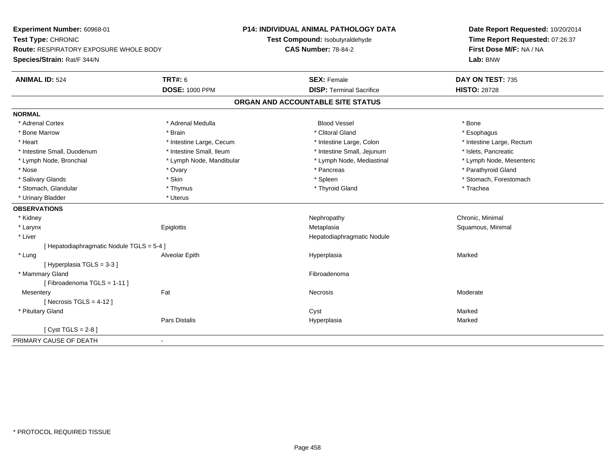| Experiment Number: 60968-01<br>Test Type: CHRONIC |                          | <b>P14: INDIVIDUAL ANIMAL PATHOLOGY DATA</b> | Date Report Requested: 10/20/2014 |  |  |
|---------------------------------------------------|--------------------------|----------------------------------------------|-----------------------------------|--|--|
|                                                   |                          | Test Compound: Isobutyraldehyde              | Time Report Requested: 07:26:37   |  |  |
| Route: RESPIRATORY EXPOSURE WHOLE BODY            |                          | <b>CAS Number: 78-84-2</b>                   | First Dose M/F: NA / NA           |  |  |
| Species/Strain: Rat/F 344/N                       |                          |                                              | Lab: BNW                          |  |  |
| <b>ANIMAL ID: 524</b>                             | <b>TRT#: 6</b>           | <b>SEX: Female</b>                           | DAY ON TEST: 735                  |  |  |
|                                                   | <b>DOSE: 1000 PPM</b>    | <b>DISP: Terminal Sacrifice</b>              | <b>HISTO: 28728</b>               |  |  |
|                                                   |                          | ORGAN AND ACCOUNTABLE SITE STATUS            |                                   |  |  |
| <b>NORMAL</b>                                     |                          |                                              |                                   |  |  |
| * Adrenal Cortex                                  | * Adrenal Medulla        | <b>Blood Vessel</b>                          | * Bone                            |  |  |
| * Bone Marrow                                     | * Brain                  | * Clitoral Gland                             | * Esophagus                       |  |  |
| * Heart                                           | * Intestine Large, Cecum | * Intestine Large, Colon                     | * Intestine Large, Rectum         |  |  |
| * Intestine Small, Duodenum                       | * Intestine Small, Ileum | * Intestine Small, Jejunum                   | * Islets, Pancreatic              |  |  |
| * Lymph Node, Bronchial                           | * Lymph Node, Mandibular | * Lymph Node, Mediastinal                    | * Lymph Node, Mesenteric          |  |  |
| * Nose                                            | * Ovary                  | * Pancreas                                   | * Parathyroid Gland               |  |  |
| * Salivary Glands                                 | * Skin                   | * Spleen                                     | * Stomach, Forestomach            |  |  |
| * Stomach, Glandular                              | * Thymus                 | * Thyroid Gland                              | * Trachea                         |  |  |
| * Urinary Bladder                                 | * Uterus                 |                                              |                                   |  |  |
| <b>OBSERVATIONS</b>                               |                          |                                              |                                   |  |  |
| * Kidney                                          |                          | Nephropathy                                  | Chronic, Minimal                  |  |  |
| * Larynx                                          | Epiglottis               | Metaplasia                                   | Squamous, Minimal                 |  |  |
| * Liver                                           |                          | Hepatodiaphragmatic Nodule                   |                                   |  |  |
| [ Hepatodiaphragmatic Nodule TGLS = 5-4 ]         |                          |                                              |                                   |  |  |
| * Lung                                            | Alveolar Epith           | Hyperplasia                                  | Marked                            |  |  |
| [Hyperplasia TGLS = $3-3$ ]                       |                          |                                              |                                   |  |  |
| * Mammary Gland                                   |                          | Fibroadenoma                                 |                                   |  |  |
| [Fibroadenoma TGLS = 1-11]                        |                          |                                              |                                   |  |  |
| Mesentery                                         | Fat                      | Necrosis                                     | Moderate                          |  |  |
| [ Necrosis $TGLS = 4-12$ ]                        |                          |                                              |                                   |  |  |
| * Pituitary Gland                                 |                          | Cyst                                         | Marked                            |  |  |
|                                                   | Pars Distalis            | Hyperplasia                                  | Marked                            |  |  |
| $\sqrt{C}$ Cyst TGLS = 2-8                        |                          |                                              |                                   |  |  |
| PRIMARY CAUSE OF DEATH                            | $\blacksquare$           |                                              |                                   |  |  |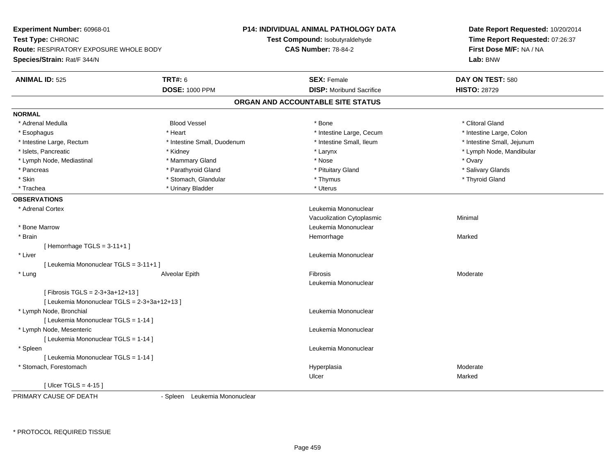**Experiment Number:** 60968-01**Test Type:** CHRONIC **Route:** RESPIRATORY EXPOSURE WHOLE BODY**Species/Strain:** Rat/F 344/N**P14: INDIVIDUAL ANIMAL PATHOLOGY DATATest Compound:** Isobutyraldehyde**CAS Number:** 78-84-2**Date Report Requested:** 10/20/2014**Time Report Requested:** 07:26:37**First Dose M/F:** NA / NA**Lab:** BNW**ANIMAL ID:** 525**TRT#:** 6 **SEX:** Female **SEX: Female DAY ON TEST:** 580 **DOSE:** 1000 PPM**DISP:** Moribund Sacrifice **HISTO:** 28729 **ORGAN AND ACCOUNTABLE SITE STATUSNORMAL**\* Adrenal Medulla \* \* \* Clitoral Gland \* Bood Vessel \* Bood \* Bood \* Bone \* \* Bone \* \* Clitoral Gland \* Clitoral Gland \* Clitoral Gland \* Intestine Large, Colon \* Esophagus \* **Heart \* Intestine Large, Cecum \* Intestine Large, Cecum \*** Intestine Large, Cecum \* Intestine Large, Rectum \* Thestine Small, Duodenum \* Number of the small, Ileum \* Intestine Small, Jejunum \* Intestine Small, Jejunum \* Islets, Pancreatic \* \* Widney \* Kidney \* Kidney \* Kerynx \* Larynx \* Larynx \* Letters \* Lymph Node, Mandibular \* Lymph Node, Mediastinal \* Mammary Gland \* Nose \* Ovary\* Salivary Glands \* Pancreas \* And the section of the section of the section of the section of the section of the section of the section of the section of the section of the section of the section of the section of the section of the sectio \* Skin \* Stomach, Glandular \* \* Stomach, Glandular \* Thymus \* Thymus \* The \* Thyroid Gland \* Thyroid Gland \* \* Thyroid Gland \* \* Thyroid Gland \* \* Thyroid Gland \* \* Thyroid Gland \* \* Thyroid Gland \* \* \* \* \* \* \* \* \* \* \* \* \* \* Trachea \* Urinary Bladder \* Urinary Bladder \* Urinary Bladder \* Uterus **OBSERVATIONS** \* Adrenal Cortex Leukemia Mononuclear Vacuolization Cytoplasmic Minimal \* Bone MarrowLeukemia Mononuclear<br>Hemorrhage \* Brainn and the state of the state of the state of the state of the Marked Marked of the Marked State of the Marked State of the Marked State of the State of the Marked State of the State of the State of the State of the State o [ Hemorrhage TGLS = 3-11+1 ] \* Liver Leukemia Mononuclear [ Leukemia Mononuclear TGLS = 3-11+1 ] \* Lung Alveolar Epith Fibrosis Moderate Leukemia Mononuclear[ Fibrosis TGLS = 2-3+3a+12+13 ][ Leukemia Mononuclear TGLS = 2-3+3a+12+13 ] \* Lymph Node, Bronchial Leukemia Mononuclear[ Leukemia Mononuclear TGLS = 1-14 ] \* Lymph Node, Mesenteric Leukemia Mononuclear [ Leukemia Mononuclear TGLS = 1-14 ] \* Spleen Leukemia Mononuclear [ Leukemia Mononuclear TGLS = 1-14 ] \* Stomach, Forestomachh ann an choimhean ann an t-ainmeile ann an t-ainmeile ann an t-ainmeile an t-ainmeile an t-ainmeile an t-ainm Ulcerr **Marked** [ Ulcer TGLS = 4-15 ]

PRIMARY CAUSE OF DEATH

- Spleen Leukemia Mononuclear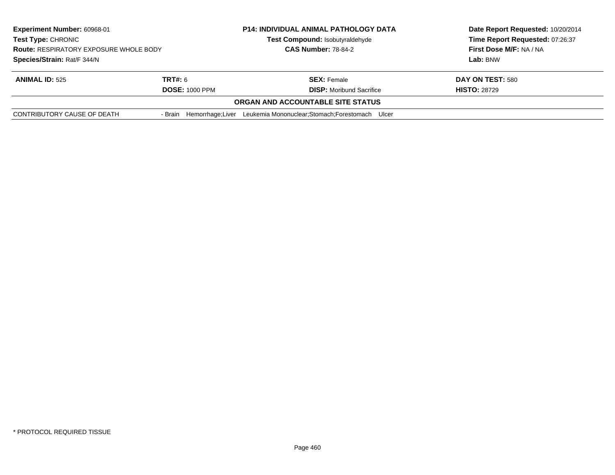| Experiment Number: 60968-01<br><b>Test Type: CHRONIC</b><br><b>Route: RESPIRATORY EXPOSURE WHOLE BODY</b><br>Species/Strain: Rat/F 344/N |                       | <b>P14: INDIVIDUAL ANIMAL PATHOLOGY DATA</b>                               | Date Report Requested: 10/20/2014 |  |
|------------------------------------------------------------------------------------------------------------------------------------------|-----------------------|----------------------------------------------------------------------------|-----------------------------------|--|
|                                                                                                                                          |                       | Test Compound: Isobutyraldehyde                                            | Time Report Requested: 07:26:37   |  |
|                                                                                                                                          |                       | <b>CAS Number: 78-84-2</b>                                                 | First Dose M/F: NA / NA           |  |
|                                                                                                                                          |                       |                                                                            | Lab: BNW                          |  |
| <b>ANIMAL ID: 525</b>                                                                                                                    | <b>TRT#:</b> 6        | <b>SEX: Female</b>                                                         | DAY ON TEST: 580                  |  |
|                                                                                                                                          | <b>DOSE: 1000 PPM</b> | <b>DISP:</b> Moribund Sacrifice                                            | <b>HISTO: 28729</b>               |  |
|                                                                                                                                          |                       | ORGAN AND ACCOUNTABLE SITE STATUS                                          |                                   |  |
| CONTRIBUTORY CAUSE OF DEATH                                                                                                              |                       | - Brain Hemorrhage: Liver Leukemia Mononuclear: Stomach: Forestomach Ulcer |                                   |  |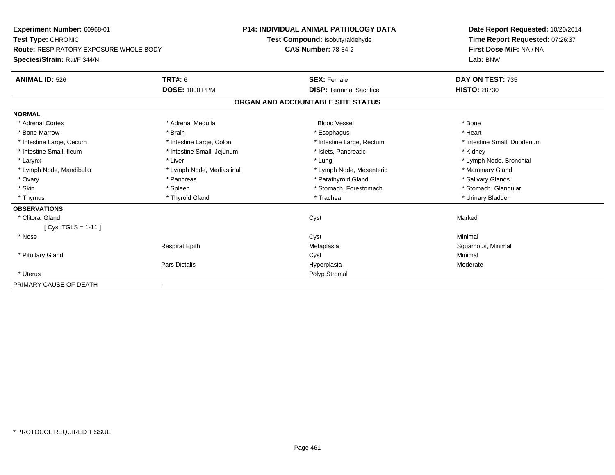| Experiment Number: 60968-01<br>Test Type: CHRONIC |                            | <b>P14: INDIVIDUAL ANIMAL PATHOLOGY DATA</b> |                                   |  | Date Report Requested: 10/20/2014                          |  |  |
|---------------------------------------------------|----------------------------|----------------------------------------------|-----------------------------------|--|------------------------------------------------------------|--|--|
|                                                   |                            |                                              | Test Compound: Isobutyraldehyde   |  | Time Report Requested: 07:26:37<br>First Dose M/F: NA / NA |  |  |
| <b>Route: RESPIRATORY EXPOSURE WHOLE BODY</b>     |                            | <b>CAS Number: 78-84-2</b>                   |                                   |  |                                                            |  |  |
| Species/Strain: Rat/F 344/N                       |                            |                                              |                                   |  | Lab: BNW                                                   |  |  |
| <b>ANIMAL ID: 526</b>                             | <b>TRT#: 6</b>             |                                              | <b>SEX: Female</b>                |  | DAY ON TEST: 735                                           |  |  |
|                                                   | <b>DOSE: 1000 PPM</b>      |                                              | <b>DISP: Terminal Sacrifice</b>   |  | <b>HISTO: 28730</b>                                        |  |  |
|                                                   |                            |                                              | ORGAN AND ACCOUNTABLE SITE STATUS |  |                                                            |  |  |
| <b>NORMAL</b>                                     |                            |                                              |                                   |  |                                                            |  |  |
| * Adrenal Cortex                                  | * Adrenal Medulla          |                                              | <b>Blood Vessel</b>               |  | * Bone                                                     |  |  |
| * Bone Marrow                                     | * Brain                    |                                              | * Esophagus                       |  | * Heart                                                    |  |  |
| * Intestine Large, Cecum                          | * Intestine Large, Colon   |                                              | * Intestine Large, Rectum         |  | * Intestine Small, Duodenum                                |  |  |
| * Intestine Small, Ileum                          | * Intestine Small, Jejunum |                                              | * Islets, Pancreatic              |  | * Kidney                                                   |  |  |
| * Larynx                                          | * Liver                    |                                              | * Lung                            |  | * Lymph Node, Bronchial                                    |  |  |
| * Lymph Node, Mandibular                          | * Lymph Node, Mediastinal  |                                              | * Lymph Node, Mesenteric          |  | * Mammary Gland                                            |  |  |
| * Ovary                                           | * Pancreas                 |                                              | * Parathyroid Gland               |  | * Salivary Glands                                          |  |  |
| * Skin                                            | * Spleen                   |                                              | * Stomach, Forestomach            |  | * Stomach, Glandular                                       |  |  |
| * Thymus                                          | * Thyroid Gland            |                                              | * Trachea                         |  | * Urinary Bladder                                          |  |  |
| <b>OBSERVATIONS</b>                               |                            |                                              |                                   |  |                                                            |  |  |
| * Clitoral Gland                                  |                            |                                              | Cyst                              |  | Marked                                                     |  |  |
| [ Cyst TGLS = 1-11 ]                              |                            |                                              |                                   |  |                                                            |  |  |
| * Nose                                            |                            |                                              | Cyst                              |  | Minimal                                                    |  |  |
|                                                   | <b>Respirat Epith</b>      |                                              | Metaplasia                        |  | Squamous, Minimal                                          |  |  |
| * Pituitary Gland                                 |                            |                                              | Cyst                              |  | Minimal                                                    |  |  |
|                                                   | <b>Pars Distalis</b>       |                                              | Hyperplasia                       |  | Moderate                                                   |  |  |
| * Uterus                                          |                            |                                              | Polyp Stromal                     |  |                                                            |  |  |
| PRIMARY CAUSE OF DEATH                            |                            |                                              |                                   |  |                                                            |  |  |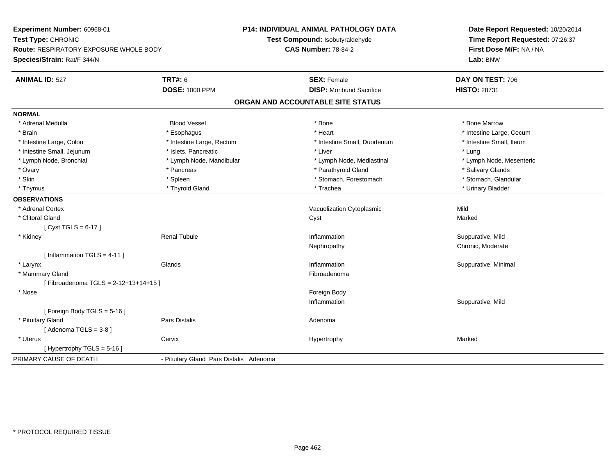| Experiment Number: 60968-01            | P14: INDIVIDUAL ANIMAL PATHOLOGY DATA<br>Test Compound: Isobutyraldehyde |                                   | Date Report Requested: 10/20/2014<br>Time Report Requested: 07:26:37 |
|----------------------------------------|--------------------------------------------------------------------------|-----------------------------------|----------------------------------------------------------------------|
| Test Type: CHRONIC                     |                                                                          |                                   |                                                                      |
| Route: RESPIRATORY EXPOSURE WHOLE BODY |                                                                          | <b>CAS Number: 78-84-2</b>        | First Dose M/F: NA / NA                                              |
| Species/Strain: Rat/F 344/N            |                                                                          |                                   | Lab: BNW                                                             |
| <b>ANIMAL ID: 527</b>                  | <b>TRT#: 6</b>                                                           | <b>SEX: Female</b>                | DAY ON TEST: 706                                                     |
|                                        | <b>DOSE: 1000 PPM</b>                                                    | <b>DISP:</b> Moribund Sacrifice   | <b>HISTO: 28731</b>                                                  |
|                                        |                                                                          | ORGAN AND ACCOUNTABLE SITE STATUS |                                                                      |
| <b>NORMAL</b>                          |                                                                          |                                   |                                                                      |
| * Adrenal Medulla                      | <b>Blood Vessel</b>                                                      | * Bone                            | * Bone Marrow                                                        |
| * Brain                                | * Esophagus                                                              | * Heart                           | * Intestine Large, Cecum                                             |
| * Intestine Large, Colon               | * Intestine Large, Rectum                                                | * Intestine Small, Duodenum       | * Intestine Small, Ileum                                             |
| * Intestine Small, Jejunum             | * Islets, Pancreatic                                                     | * Liver                           | * Lung                                                               |
| * Lymph Node, Bronchial                | * Lymph Node, Mandibular                                                 | * Lymph Node, Mediastinal         | * Lymph Node, Mesenteric                                             |
| * Ovary                                | * Pancreas                                                               | * Parathyroid Gland               | * Salivary Glands                                                    |
| * Skin                                 | * Spleen                                                                 | * Stomach, Forestomach            | * Stomach, Glandular                                                 |
| * Thymus                               | * Thyroid Gland                                                          | * Trachea                         | * Urinary Bladder                                                    |
| <b>OBSERVATIONS</b>                    |                                                                          |                                   |                                                                      |
| * Adrenal Cortex                       |                                                                          | Vacuolization Cytoplasmic         | Mild                                                                 |
| * Clitoral Gland                       |                                                                          | Cyst                              | Marked                                                               |
| [Cyst TGLS = $6-17$ ]                  |                                                                          |                                   |                                                                      |
| * Kidney                               | <b>Renal Tubule</b>                                                      | Inflammation                      | Suppurative, Mild                                                    |
|                                        |                                                                          | Nephropathy                       | Chronic, Moderate                                                    |
| [ Inflammation $TGLS = 4-11$ ]         |                                                                          |                                   |                                                                      |
| * Larynx                               | Glands                                                                   | Inflammation                      | Suppurative, Minimal                                                 |
| * Mammary Gland                        |                                                                          | Fibroadenoma                      |                                                                      |
| [Fibroadenoma TGLS = 2-12+13+14+15]    |                                                                          |                                   |                                                                      |
| * Nose                                 |                                                                          | Foreign Body                      |                                                                      |
|                                        |                                                                          | Inflammation                      | Suppurative, Mild                                                    |
| [ Foreign Body TGLS = $5-16$ ]         |                                                                          |                                   |                                                                      |
| * Pituitary Gland                      | Pars Distalis                                                            | Adenoma                           |                                                                      |
| [Adenoma TGLS = $3-8$ ]                |                                                                          |                                   |                                                                      |
| * Uterus                               | Cervix                                                                   | Hypertrophy                       | Marked                                                               |
| [Hypertrophy TGLS = 5-16]              |                                                                          |                                   |                                                                      |
| PRIMARY CAUSE OF DEATH                 | - Pituitary Gland Pars Distalis Adenoma                                  |                                   |                                                                      |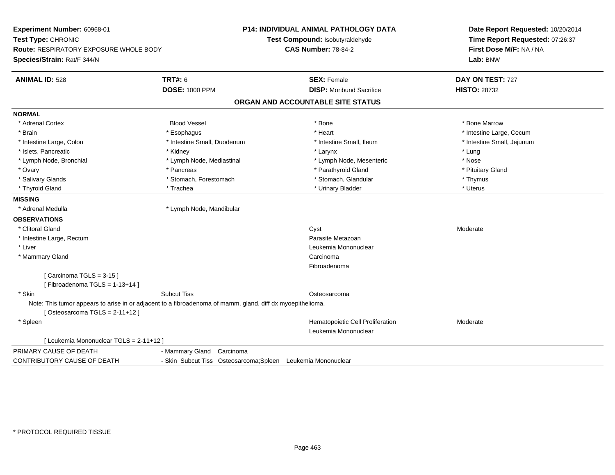| Experiment Number: 60968-01<br>Test Type: CHRONIC<br><b>Route: RESPIRATORY EXPOSURE WHOLE BODY</b><br>Species/Strain: Rat/F 344/N              |                             | <b>P14: INDIVIDUAL ANIMAL PATHOLOGY DATA</b><br>Test Compound: Isobutyraldehyde<br><b>CAS Number: 78-84-2</b> | Date Report Requested: 10/20/2014<br>Time Report Requested: 07:26:37<br>First Dose M/F: NA / NA<br>Lab: BNW |
|------------------------------------------------------------------------------------------------------------------------------------------------|-----------------------------|---------------------------------------------------------------------------------------------------------------|-------------------------------------------------------------------------------------------------------------|
| <b>ANIMAL ID: 528</b>                                                                                                                          | <b>TRT#: 6</b>              | <b>SEX: Female</b>                                                                                            | DAY ON TEST: 727                                                                                            |
|                                                                                                                                                | <b>DOSE: 1000 PPM</b>       | <b>DISP:</b> Moribund Sacrifice                                                                               | <b>HISTO: 28732</b>                                                                                         |
|                                                                                                                                                |                             | ORGAN AND ACCOUNTABLE SITE STATUS                                                                             |                                                                                                             |
| <b>NORMAL</b>                                                                                                                                  |                             |                                                                                                               |                                                                                                             |
| * Adrenal Cortex                                                                                                                               | <b>Blood Vessel</b>         | * Bone                                                                                                        | * Bone Marrow                                                                                               |
| * Brain                                                                                                                                        | * Esophagus                 | * Heart                                                                                                       | * Intestine Large, Cecum                                                                                    |
| * Intestine Large, Colon                                                                                                                       | * Intestine Small, Duodenum | * Intestine Small. Ileum                                                                                      | * Intestine Small, Jejunum                                                                                  |
| * Islets, Pancreatic                                                                                                                           | * Kidney                    | * Larynx                                                                                                      | * Lung                                                                                                      |
| * Lymph Node, Bronchial                                                                                                                        | * Lymph Node, Mediastinal   | * Lymph Node, Mesenteric                                                                                      | * Nose                                                                                                      |
| * Ovary                                                                                                                                        | * Pancreas                  | * Parathyroid Gland                                                                                           | * Pituitary Gland                                                                                           |
| * Salivary Glands                                                                                                                              | * Stomach, Forestomach      | * Stomach, Glandular                                                                                          | * Thymus                                                                                                    |
| * Thyroid Gland                                                                                                                                | * Trachea                   | * Urinary Bladder                                                                                             | * Uterus                                                                                                    |
| <b>MISSING</b>                                                                                                                                 |                             |                                                                                                               |                                                                                                             |
| * Adrenal Medulla                                                                                                                              | * Lymph Node, Mandibular    |                                                                                                               |                                                                                                             |
| <b>OBSERVATIONS</b>                                                                                                                            |                             |                                                                                                               |                                                                                                             |
| * Clitoral Gland                                                                                                                               |                             | Cyst                                                                                                          | Moderate                                                                                                    |
| * Intestine Large, Rectum                                                                                                                      |                             | Parasite Metazoan                                                                                             |                                                                                                             |
| * Liver                                                                                                                                        |                             | Leukemia Mononuclear                                                                                          |                                                                                                             |
| * Mammary Gland                                                                                                                                |                             | Carcinoma                                                                                                     |                                                                                                             |
|                                                                                                                                                |                             | Fibroadenoma                                                                                                  |                                                                                                             |
| [Carcinoma TGLS = $3-15$ ]                                                                                                                     |                             |                                                                                                               |                                                                                                             |
| [Fibroadenoma TGLS = 1-13+14]                                                                                                                  |                             |                                                                                                               |                                                                                                             |
| * Skin                                                                                                                                         | <b>Subcut Tiss</b>          | Osteosarcoma                                                                                                  |                                                                                                             |
| Note: This tumor appears to arise in or adjacent to a fibroadenoma of mamm. gland. diff dx myoepithelioma.<br>[Osteosarcoma TGLS = $2-11+12$ ] |                             |                                                                                                               |                                                                                                             |
| * Spleen                                                                                                                                       |                             | Hematopoietic Cell Proliferation                                                                              | Moderate                                                                                                    |
|                                                                                                                                                |                             | Leukemia Mononuclear                                                                                          |                                                                                                             |
| [ Leukemia Mononuclear TGLS = 2-11+12 ]                                                                                                        |                             |                                                                                                               |                                                                                                             |
| PRIMARY CAUSE OF DEATH                                                                                                                         | - Mammary Gland Carcinoma   |                                                                                                               |                                                                                                             |
| CONTRIBUTORY CAUSE OF DEATH                                                                                                                    |                             | - Skin Subcut Tiss Osteosarcoma; Spleen Leukemia Mononuclear                                                  |                                                                                                             |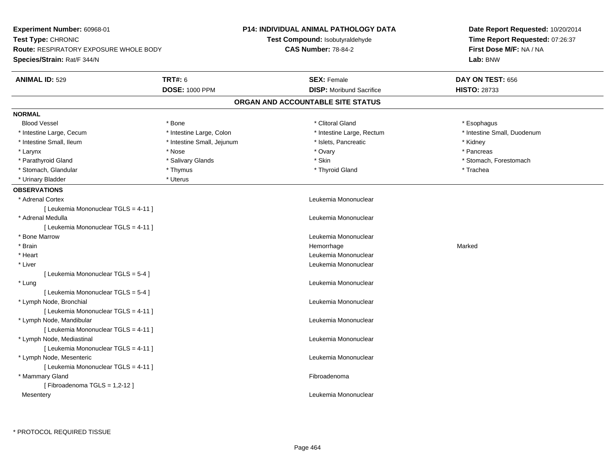| Experiment Number: 60968-01<br>Test Type: CHRONIC                            |                            | P14: INDIVIDUAL ANIMAL PATHOLOGY DATA<br>Test Compound: Isobutyraldehyde | Date Report Requested: 10/20/2014<br>Time Report Requested: 07:26:37 |
|------------------------------------------------------------------------------|----------------------------|--------------------------------------------------------------------------|----------------------------------------------------------------------|
| <b>Route: RESPIRATORY EXPOSURE WHOLE BODY</b><br>Species/Strain: Rat/F 344/N |                            | <b>CAS Number: 78-84-2</b>                                               | First Dose M/F: NA / NA<br>Lab: BNW                                  |
| <b>ANIMAL ID: 529</b>                                                        | <b>TRT#: 6</b>             | <b>SEX: Female</b>                                                       | DAY ON TEST: 656                                                     |
|                                                                              | <b>DOSE: 1000 PPM</b>      | <b>DISP:</b> Moribund Sacrifice                                          | <b>HISTO: 28733</b>                                                  |
|                                                                              |                            | ORGAN AND ACCOUNTABLE SITE STATUS                                        |                                                                      |
| <b>NORMAL</b>                                                                |                            |                                                                          |                                                                      |
| <b>Blood Vessel</b>                                                          | * Bone                     | * Clitoral Gland                                                         | * Esophagus                                                          |
| * Intestine Large, Cecum                                                     | * Intestine Large, Colon   | * Intestine Large, Rectum                                                | * Intestine Small, Duodenum                                          |
| * Intestine Small, Ileum                                                     | * Intestine Small, Jejunum | * Islets, Pancreatic                                                     | * Kidney                                                             |
| * Larynx                                                                     | * Nose                     | * Ovary                                                                  | * Pancreas                                                           |
| * Parathyroid Gland                                                          | * Salivary Glands          | * Skin                                                                   | * Stomach, Forestomach                                               |
| * Stomach, Glandular                                                         | * Thymus                   | * Thyroid Gland                                                          | * Trachea                                                            |
| * Urinary Bladder                                                            | * Uterus                   |                                                                          |                                                                      |
| <b>OBSERVATIONS</b>                                                          |                            |                                                                          |                                                                      |
| * Adrenal Cortex                                                             |                            | Leukemia Mononuclear                                                     |                                                                      |
| [ Leukemia Mononuclear TGLS = 4-11 ]                                         |                            |                                                                          |                                                                      |
| * Adrenal Medulla                                                            |                            | Leukemia Mononuclear                                                     |                                                                      |
| [ Leukemia Mononuclear TGLS = 4-11 ]                                         |                            |                                                                          |                                                                      |
| * Bone Marrow                                                                |                            | Leukemia Mononuclear                                                     |                                                                      |
| * Brain                                                                      |                            | Hemorrhage                                                               | Marked                                                               |
| * Heart                                                                      |                            | Leukemia Mononuclear                                                     |                                                                      |
| * Liver                                                                      |                            | Leukemia Mononuclear                                                     |                                                                      |
| [ Leukemia Mononuclear TGLS = 5-4 ]                                          |                            |                                                                          |                                                                      |
| * Lung                                                                       |                            | Leukemia Mononuclear                                                     |                                                                      |
| [ Leukemia Mononuclear TGLS = 5-4 ]                                          |                            |                                                                          |                                                                      |
| * Lymph Node, Bronchial                                                      |                            | Leukemia Mononuclear                                                     |                                                                      |
| [ Leukemia Mononuclear TGLS = 4-11 ]                                         |                            |                                                                          |                                                                      |
| * Lymph Node, Mandibular                                                     |                            | Leukemia Mononuclear                                                     |                                                                      |
| [ Leukemia Mononuclear TGLS = 4-11 ]                                         |                            |                                                                          |                                                                      |
| * Lymph Node, Mediastinal                                                    |                            | Leukemia Mononuclear                                                     |                                                                      |
| [ Leukemia Mononuclear TGLS = 4-11 ]                                         |                            |                                                                          |                                                                      |
| * Lymph Node, Mesenteric                                                     |                            | Leukemia Mononuclear                                                     |                                                                      |
| [ Leukemia Mononuclear TGLS = 4-11 ]                                         |                            |                                                                          |                                                                      |
| * Mammary Gland                                                              |                            | Fibroadenoma                                                             |                                                                      |
| [Fibroadenoma TGLS = 1,2-12]                                                 |                            |                                                                          |                                                                      |
| Mesentery                                                                    |                            | Leukemia Mononuclear                                                     |                                                                      |
|                                                                              |                            |                                                                          |                                                                      |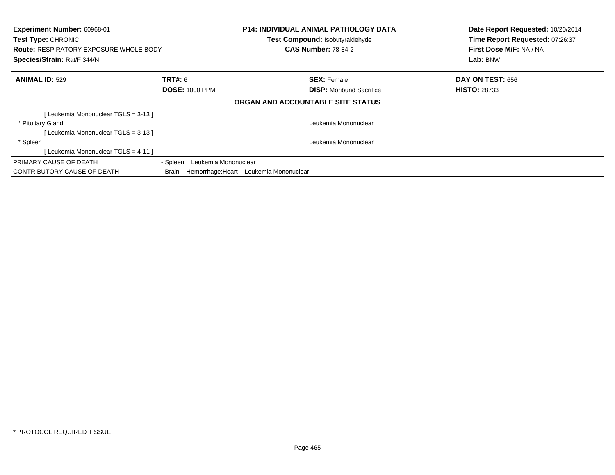| Experiment Number: 60968-01<br><b>Test Type: CHRONIC</b><br><b>Route: RESPIRATORY EXPOSURE WHOLE BODY</b><br>Species/Strain: Rat/F 344/N |                                                   | <b>P14: INDIVIDUAL ANIMAL PATHOLOGY DATA</b><br>Test Compound: Isobutyraldehyde<br><b>CAS Number: 78-84-2</b> | Date Report Requested: 10/20/2014<br>Time Report Requested: 07:26:37<br>First Dose M/F: NA / NA<br>Lab: BNW |
|------------------------------------------------------------------------------------------------------------------------------------------|---------------------------------------------------|---------------------------------------------------------------------------------------------------------------|-------------------------------------------------------------------------------------------------------------|
| <b>ANIMAL ID: 529</b>                                                                                                                    | <b>TRT#: 6</b>                                    | <b>SEX: Female</b>                                                                                            | <b>DAY ON TEST: 656</b>                                                                                     |
|                                                                                                                                          | <b>DOSE: 1000 PPM</b>                             | <b>DISP:</b> Moribund Sacrifice                                                                               | <b>HISTO: 28733</b>                                                                                         |
|                                                                                                                                          |                                                   | ORGAN AND ACCOUNTABLE SITE STATUS                                                                             |                                                                                                             |
| [Leukemia Mononuclear TGLS = 3-13 ]                                                                                                      |                                                   |                                                                                                               |                                                                                                             |
| * Pituitary Gland                                                                                                                        |                                                   | Leukemia Mononuclear                                                                                          |                                                                                                             |
| [Leukemia Mononuclear TGLS = 3-13]                                                                                                       |                                                   |                                                                                                               |                                                                                                             |
| * Spleen                                                                                                                                 |                                                   | Leukemia Mononuclear                                                                                          |                                                                                                             |
| [ Leukemia Mononuclear TGLS = 4-11 ]                                                                                                     |                                                   |                                                                                                               |                                                                                                             |
| PRIMARY CAUSE OF DEATH                                                                                                                   | - Spleen Leukemia Mononuclear                     |                                                                                                               |                                                                                                             |
| CONTRIBUTORY CAUSE OF DEATH                                                                                                              | Hemorrhage; Heart Leukemia Mononuclear<br>- Brain |                                                                                                               |                                                                                                             |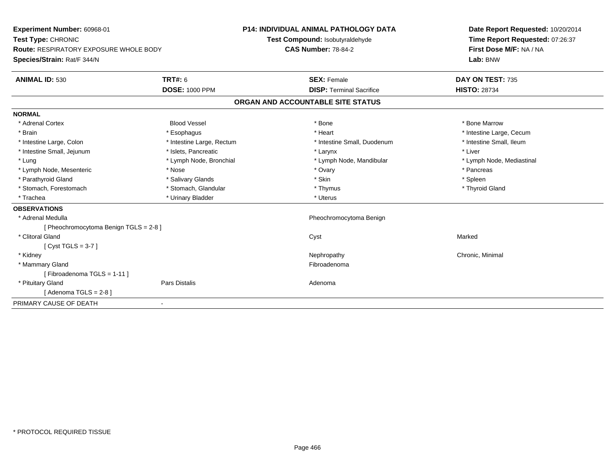| Experiment Number: 60968-01<br>Test Type: CHRONIC |                           | <b>P14: INDIVIDUAL ANIMAL PATHOLOGY DATA</b> | Date Report Requested: 10/20/2014 |
|---------------------------------------------------|---------------------------|----------------------------------------------|-----------------------------------|
|                                                   |                           | Test Compound: Isobutyraldehyde              | Time Report Requested: 07:26:37   |
| <b>Route: RESPIRATORY EXPOSURE WHOLE BODY</b>     |                           | <b>CAS Number: 78-84-2</b>                   | First Dose M/F: NA / NA           |
| Species/Strain: Rat/F 344/N                       |                           |                                              | Lab: BNW                          |
| <b>ANIMAL ID: 530</b>                             | <b>TRT#: 6</b>            | <b>SEX: Female</b>                           | DAY ON TEST: 735                  |
|                                                   | <b>DOSE: 1000 PPM</b>     | <b>DISP: Terminal Sacrifice</b>              | <b>HISTO: 28734</b>               |
|                                                   |                           | ORGAN AND ACCOUNTABLE SITE STATUS            |                                   |
| <b>NORMAL</b>                                     |                           |                                              |                                   |
| * Adrenal Cortex                                  | <b>Blood Vessel</b>       | * Bone                                       | * Bone Marrow                     |
| * Brain                                           | * Esophagus               | * Heart                                      | * Intestine Large, Cecum          |
| * Intestine Large, Colon                          | * Intestine Large, Rectum | * Intestine Small, Duodenum                  | * Intestine Small, Ileum          |
| * Intestine Small, Jejunum                        | * Islets, Pancreatic      | * Larynx                                     | * Liver                           |
| * Lung                                            | * Lymph Node, Bronchial   | * Lymph Node, Mandibular                     | * Lymph Node, Mediastinal         |
| * Lymph Node, Mesenteric                          | * Nose                    | * Ovary                                      | * Pancreas                        |
| * Parathyroid Gland                               | * Salivary Glands         | * Skin                                       | * Spleen                          |
| * Stomach, Forestomach                            | * Stomach, Glandular      | * Thymus                                     | * Thyroid Gland                   |
| * Trachea                                         | * Urinary Bladder         | * Uterus                                     |                                   |
| <b>OBSERVATIONS</b>                               |                           |                                              |                                   |
| * Adrenal Medulla                                 |                           | Pheochromocytoma Benign                      |                                   |
| [ Pheochromocytoma Benign TGLS = 2-8 ]            |                           |                                              |                                   |
| * Clitoral Gland                                  |                           | Cyst                                         | Marked                            |
| [Cyst TGLS = $3-7$ ]                              |                           |                                              |                                   |
| * Kidney                                          |                           | Nephropathy                                  | Chronic, Minimal                  |
| * Mammary Gland                                   |                           | Fibroadenoma                                 |                                   |
| [Fibroadenoma TGLS = 1-11]                        |                           |                                              |                                   |
| * Pituitary Gland                                 | Pars Distalis             | Adenoma                                      |                                   |
| [Adenoma TGLS = $2-8$ ]                           |                           |                                              |                                   |
| PRIMARY CAUSE OF DEATH                            | $\blacksquare$            |                                              |                                   |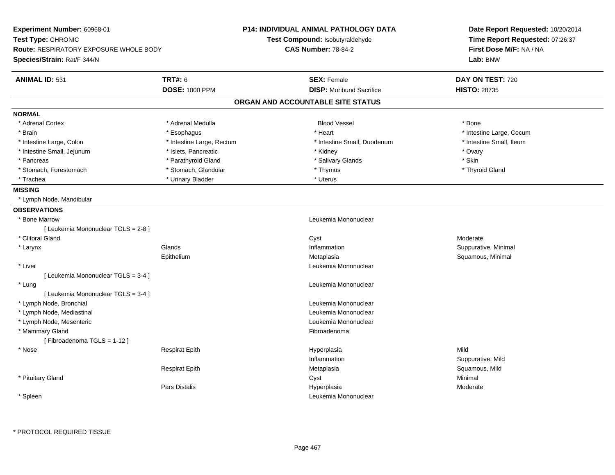| Experiment Number: 60968-01<br>Test Type: CHRONIC<br><b>Route: RESPIRATORY EXPOSURE WHOLE BODY</b><br>Species/Strain: Rat/F 344/N |                                         | P14: INDIVIDUAL ANIMAL PATHOLOGY DATA<br>Test Compound: Isobutyraldehyde<br><b>CAS Number: 78-84-2</b> | Date Report Requested: 10/20/2014<br>Time Report Requested: 07:26:37<br>First Dose M/F: NA / NA<br>Lab: BNW |
|-----------------------------------------------------------------------------------------------------------------------------------|-----------------------------------------|--------------------------------------------------------------------------------------------------------|-------------------------------------------------------------------------------------------------------------|
| <b>ANIMAL ID: 531</b>                                                                                                             | <b>TRT#: 6</b><br><b>DOSE: 1000 PPM</b> | <b>SEX: Female</b><br><b>DISP:</b> Moribund Sacrifice                                                  | DAY ON TEST: 720<br><b>HISTO: 28735</b>                                                                     |
|                                                                                                                                   |                                         | ORGAN AND ACCOUNTABLE SITE STATUS                                                                      |                                                                                                             |
| <b>NORMAL</b>                                                                                                                     |                                         |                                                                                                        |                                                                                                             |
| * Adrenal Cortex                                                                                                                  | * Adrenal Medulla                       | <b>Blood Vessel</b>                                                                                    | * Bone                                                                                                      |
| * Brain                                                                                                                           | * Esophagus                             | * Heart                                                                                                | * Intestine Large, Cecum                                                                                    |
| * Intestine Large, Colon                                                                                                          | * Intestine Large, Rectum               | * Intestine Small, Duodenum                                                                            | * Intestine Small, Ileum                                                                                    |
| * Intestine Small, Jejunum                                                                                                        | * Islets, Pancreatic                    | * Kidney                                                                                               | * Ovary                                                                                                     |
| * Pancreas                                                                                                                        | * Parathyroid Gland                     | * Salivary Glands                                                                                      | * Skin                                                                                                      |
| * Stomach, Forestomach                                                                                                            | * Stomach, Glandular                    | * Thymus                                                                                               | * Thyroid Gland                                                                                             |
| * Trachea                                                                                                                         | * Urinary Bladder                       | * Uterus                                                                                               |                                                                                                             |
| <b>MISSING</b>                                                                                                                    |                                         |                                                                                                        |                                                                                                             |
| * Lymph Node, Mandibular                                                                                                          |                                         |                                                                                                        |                                                                                                             |
| <b>OBSERVATIONS</b>                                                                                                               |                                         |                                                                                                        |                                                                                                             |
| * Bone Marrow                                                                                                                     |                                         | Leukemia Mononuclear                                                                                   |                                                                                                             |
| [ Leukemia Mononuclear TGLS = 2-8 ]                                                                                               |                                         |                                                                                                        |                                                                                                             |
| * Clitoral Gland                                                                                                                  |                                         | Cyst                                                                                                   | Moderate                                                                                                    |
| * Larynx                                                                                                                          | Glands                                  | Inflammation                                                                                           | Suppurative, Minimal                                                                                        |
|                                                                                                                                   | Epithelium                              | Metaplasia                                                                                             | Squamous, Minimal                                                                                           |
| $*$ Liver                                                                                                                         |                                         | Leukemia Mononuclear                                                                                   |                                                                                                             |
| [ Leukemia Mononuclear TGLS = 3-4 ]                                                                                               |                                         |                                                                                                        |                                                                                                             |
| * Lung                                                                                                                            |                                         | Leukemia Mononuclear                                                                                   |                                                                                                             |
| [ Leukemia Mononuclear TGLS = 3-4 ]                                                                                               |                                         |                                                                                                        |                                                                                                             |
| * Lymph Node, Bronchial                                                                                                           |                                         | Leukemia Mononuclear                                                                                   |                                                                                                             |
| * Lymph Node, Mediastinal                                                                                                         |                                         | Leukemia Mononuclear                                                                                   |                                                                                                             |
| * Lymph Node, Mesenteric                                                                                                          |                                         | Leukemia Mononuclear                                                                                   |                                                                                                             |
| * Mammary Gland                                                                                                                   |                                         | Fibroadenoma                                                                                           |                                                                                                             |
| [Fibroadenoma TGLS = 1-12]                                                                                                        |                                         |                                                                                                        |                                                                                                             |
| $*$ Nose                                                                                                                          | <b>Respirat Epith</b>                   | Hyperplasia                                                                                            | Mild                                                                                                        |
|                                                                                                                                   |                                         | Inflammation                                                                                           | Suppurative, Mild                                                                                           |
|                                                                                                                                   | <b>Respirat Epith</b>                   | Metaplasia                                                                                             | Squamous, Mild                                                                                              |
| * Pituitary Gland                                                                                                                 |                                         | Cyst                                                                                                   | Minimal                                                                                                     |
|                                                                                                                                   | <b>Pars Distalis</b>                    | Hyperplasia                                                                                            | Moderate                                                                                                    |
| * Spleen                                                                                                                          |                                         | Leukemia Mononuclear                                                                                   |                                                                                                             |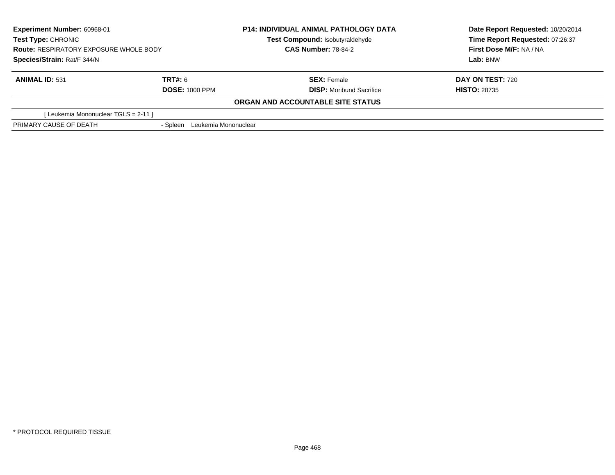| <b>Experiment Number: 60968-01</b><br>Test Type: CHRONIC<br><b>Route: RESPIRATORY EXPOSURE WHOLE BODY</b> |                                  | <b>P14: INDIVIDUAL ANIMAL PATHOLOGY DATA</b> | Date Report Requested: 10/20/2014<br>Time Report Requested: 07:26:37<br>First Dose M/F: NA / NA |
|-----------------------------------------------------------------------------------------------------------|----------------------------------|----------------------------------------------|-------------------------------------------------------------------------------------------------|
|                                                                                                           |                                  | Test Compound: Isobutyraldehyde              |                                                                                                 |
|                                                                                                           |                                  | <b>CAS Number: 78-84-2</b>                   |                                                                                                 |
| Species/Strain: Rat/F 344/N                                                                               |                                  |                                              | Lab: BNW                                                                                        |
| <b>ANIMAL ID: 531</b>                                                                                     | TRT#: 6                          | <b>SEX: Female</b>                           | <b>DAY ON TEST: 720</b>                                                                         |
|                                                                                                           | <b>DOSE: 1000 PPM</b>            | <b>DISP:</b> Moribund Sacrifice              | <b>HISTO: 28735</b>                                                                             |
|                                                                                                           |                                  | ORGAN AND ACCOUNTABLE SITE STATUS            |                                                                                                 |
| [ Leukemia Mononuclear TGLS = 2-11 ]                                                                      |                                  |                                              |                                                                                                 |
| PRIMARY CAUSE OF DEATH                                                                                    | Leukemia Mononuclear<br>- Spleen |                                              |                                                                                                 |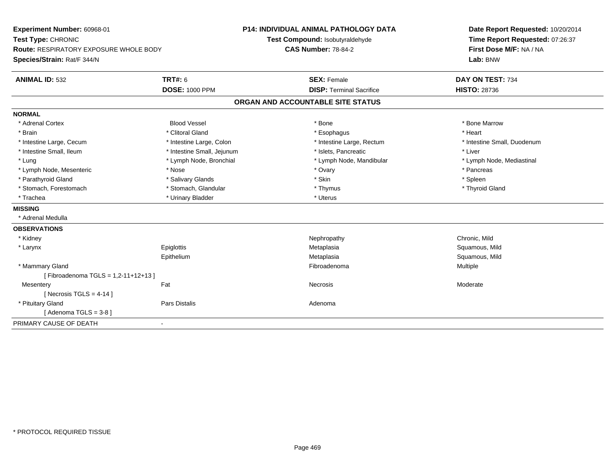| Experiment Number: 60968-01<br>Test Type: CHRONIC<br><b>Route: RESPIRATORY EXPOSURE WHOLE BODY</b><br>Species/Strain: Rat/F 344/N |                            | <b>P14: INDIVIDUAL ANIMAL PATHOLOGY DATA</b><br>Test Compound: Isobutyraldehyde<br><b>CAS Number: 78-84-2</b> | Date Report Requested: 10/20/2014<br>Time Report Requested: 07:26:37<br>First Dose M/F: NA / NA<br>Lab: BNW |  |
|-----------------------------------------------------------------------------------------------------------------------------------|----------------------------|---------------------------------------------------------------------------------------------------------------|-------------------------------------------------------------------------------------------------------------|--|
| <b>ANIMAL ID: 532</b>                                                                                                             | <b>TRT#: 6</b>             | <b>SEX: Female</b>                                                                                            | DAY ON TEST: 734                                                                                            |  |
|                                                                                                                                   | <b>DOSE: 1000 PPM</b>      | <b>DISP: Terminal Sacrifice</b>                                                                               | <b>HISTO: 28736</b>                                                                                         |  |
|                                                                                                                                   |                            | ORGAN AND ACCOUNTABLE SITE STATUS                                                                             |                                                                                                             |  |
| <b>NORMAL</b>                                                                                                                     |                            |                                                                                                               |                                                                                                             |  |
| * Adrenal Cortex                                                                                                                  | <b>Blood Vessel</b>        | * Bone                                                                                                        | * Bone Marrow                                                                                               |  |
| * Brain                                                                                                                           | * Clitoral Gland           | * Esophagus                                                                                                   | * Heart                                                                                                     |  |
| * Intestine Large, Cecum                                                                                                          | * Intestine Large, Colon   | * Intestine Large, Rectum                                                                                     | * Intestine Small, Duodenum                                                                                 |  |
| * Intestine Small, Ileum                                                                                                          | * Intestine Small, Jejunum | * Islets, Pancreatic                                                                                          | * Liver                                                                                                     |  |
| * Lung                                                                                                                            | * Lymph Node, Bronchial    | * Lymph Node, Mandibular                                                                                      | * Lymph Node, Mediastinal                                                                                   |  |
| * Lymph Node, Mesenteric                                                                                                          | * Nose                     | * Ovary                                                                                                       | * Pancreas                                                                                                  |  |
| * Parathyroid Gland                                                                                                               | * Salivary Glands          | * Skin                                                                                                        | * Spleen                                                                                                    |  |
| * Stomach, Forestomach                                                                                                            | * Stomach, Glandular       | * Thymus                                                                                                      | * Thyroid Gland                                                                                             |  |
| * Trachea                                                                                                                         | * Urinary Bladder          | * Uterus                                                                                                      |                                                                                                             |  |
| <b>MISSING</b>                                                                                                                    |                            |                                                                                                               |                                                                                                             |  |
| * Adrenal Medulla                                                                                                                 |                            |                                                                                                               |                                                                                                             |  |
| <b>OBSERVATIONS</b>                                                                                                               |                            |                                                                                                               |                                                                                                             |  |
| * Kidney                                                                                                                          |                            | Nephropathy                                                                                                   | Chronic, Mild                                                                                               |  |
| * Larynx                                                                                                                          | Epiglottis                 | Metaplasia                                                                                                    | Squamous, Mild                                                                                              |  |
|                                                                                                                                   | Epithelium                 | Metaplasia                                                                                                    | Squamous, Mild                                                                                              |  |
| * Mammary Gland                                                                                                                   |                            | Fibroadenoma                                                                                                  | Multiple                                                                                                    |  |
| [Fibroadenoma TGLS = 1,2-11+12+13]                                                                                                |                            |                                                                                                               |                                                                                                             |  |
| Mesentery                                                                                                                         | Fat                        | <b>Necrosis</b>                                                                                               | Moderate                                                                                                    |  |
| [Necrosis TGLS = $4-14$ ]                                                                                                         |                            |                                                                                                               |                                                                                                             |  |
| * Pituitary Gland                                                                                                                 | Pars Distalis              | Adenoma                                                                                                       |                                                                                                             |  |
| [Adenoma TGLS = 3-8]                                                                                                              |                            |                                                                                                               |                                                                                                             |  |
| PRIMARY CAUSE OF DEATH                                                                                                            | $\blacksquare$             |                                                                                                               |                                                                                                             |  |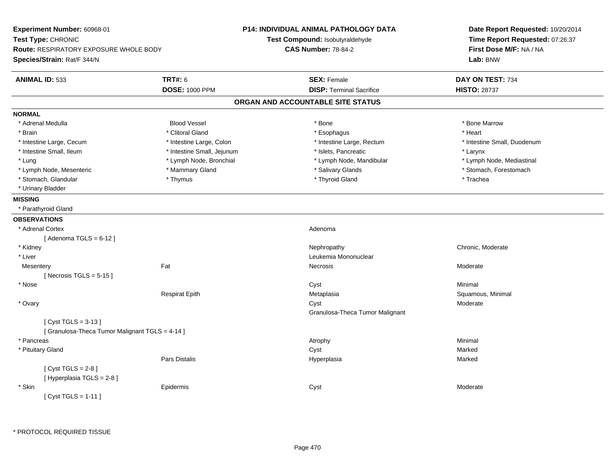| Experiment Number: 60968-01<br>Test Type: CHRONIC<br>Route: RESPIRATORY EXPOSURE WHOLE BODY<br>Species/Strain: Rat/F 344/N |                            | P14: INDIVIDUAL ANIMAL PATHOLOGY DATA<br>Test Compound: Isobutyraldehyde<br><b>CAS Number: 78-84-2</b> | Date Report Requested: 10/20/2014<br>Time Report Requested: 07:26:37<br>First Dose M/F: NA / NA<br>Lab: BNW |  |
|----------------------------------------------------------------------------------------------------------------------------|----------------------------|--------------------------------------------------------------------------------------------------------|-------------------------------------------------------------------------------------------------------------|--|
| <b>ANIMAL ID: 533</b>                                                                                                      | <b>TRT#: 6</b>             | <b>SEX: Female</b>                                                                                     | DAY ON TEST: 734                                                                                            |  |
|                                                                                                                            | <b>DOSE: 1000 PPM</b>      | <b>DISP: Terminal Sacrifice</b>                                                                        | <b>HISTO: 28737</b>                                                                                         |  |
|                                                                                                                            |                            | ORGAN AND ACCOUNTABLE SITE STATUS                                                                      |                                                                                                             |  |
| <b>NORMAL</b>                                                                                                              |                            |                                                                                                        |                                                                                                             |  |
| * Adrenal Medulla                                                                                                          | <b>Blood Vessel</b>        | * Bone                                                                                                 | * Bone Marrow                                                                                               |  |
| * Brain                                                                                                                    | * Clitoral Gland           | * Esophagus                                                                                            | * Heart                                                                                                     |  |
| * Intestine Large, Cecum                                                                                                   | * Intestine Large, Colon   | * Intestine Large, Rectum                                                                              | * Intestine Small, Duodenum                                                                                 |  |
| * Intestine Small, Ileum                                                                                                   | * Intestine Small, Jejunum | * Islets, Pancreatic                                                                                   | * Larynx                                                                                                    |  |
| * Lung                                                                                                                     | * Lymph Node, Bronchial    | * Lymph Node, Mandibular                                                                               | * Lymph Node, Mediastinal                                                                                   |  |
| * Lymph Node, Mesenteric                                                                                                   | * Mammary Gland            | * Salivary Glands                                                                                      | * Stomach, Forestomach                                                                                      |  |
| * Stomach, Glandular                                                                                                       | * Thymus                   | * Thyroid Gland                                                                                        | * Trachea                                                                                                   |  |
| * Urinary Bladder                                                                                                          |                            |                                                                                                        |                                                                                                             |  |
| <b>MISSING</b>                                                                                                             |                            |                                                                                                        |                                                                                                             |  |
| * Parathyroid Gland                                                                                                        |                            |                                                                                                        |                                                                                                             |  |
| <b>OBSERVATIONS</b>                                                                                                        |                            |                                                                                                        |                                                                                                             |  |
| * Adrenal Cortex                                                                                                           |                            | Adenoma                                                                                                |                                                                                                             |  |
| [Adenoma TGLS = $6-12$ ]                                                                                                   |                            |                                                                                                        |                                                                                                             |  |
| * Kidney                                                                                                                   |                            | Nephropathy                                                                                            | Chronic, Moderate                                                                                           |  |
| * Liver                                                                                                                    |                            | Leukemia Mononuclear                                                                                   |                                                                                                             |  |
| Mesentery                                                                                                                  | Fat                        | Necrosis                                                                                               | Moderate                                                                                                    |  |
| [Necrosis TGLS = $5-15$ ]                                                                                                  |                            |                                                                                                        |                                                                                                             |  |
| * Nose                                                                                                                     |                            | Cyst                                                                                                   | Minimal                                                                                                     |  |
|                                                                                                                            | <b>Respirat Epith</b>      | Metaplasia                                                                                             | Squamous, Minimal                                                                                           |  |
| * Ovary                                                                                                                    |                            | Cyst                                                                                                   | Moderate                                                                                                    |  |
|                                                                                                                            |                            | Granulosa-Theca Tumor Malignant                                                                        |                                                                                                             |  |
| [ $Cyst TGLS = 3-13$ ]<br>[ Granulosa-Theca Tumor Malignant TGLS = 4-14 ]                                                  |                            |                                                                                                        |                                                                                                             |  |
| * Pancreas                                                                                                                 |                            | Atrophy                                                                                                | Minimal                                                                                                     |  |
| * Pituitary Gland                                                                                                          |                            | Cyst                                                                                                   | Marked                                                                                                      |  |
|                                                                                                                            | Pars Distalis              | Hyperplasia                                                                                            | Marked                                                                                                      |  |
| [Cyst TGLS = $2-8$ ]                                                                                                       |                            |                                                                                                        |                                                                                                             |  |
| [ Hyperplasia TGLS = 2-8]                                                                                                  |                            |                                                                                                        |                                                                                                             |  |
| * Skin                                                                                                                     | Epidermis                  | Cyst                                                                                                   | Moderate                                                                                                    |  |
| [ $Cyst TGLS = 1-11$ ]                                                                                                     |                            |                                                                                                        |                                                                                                             |  |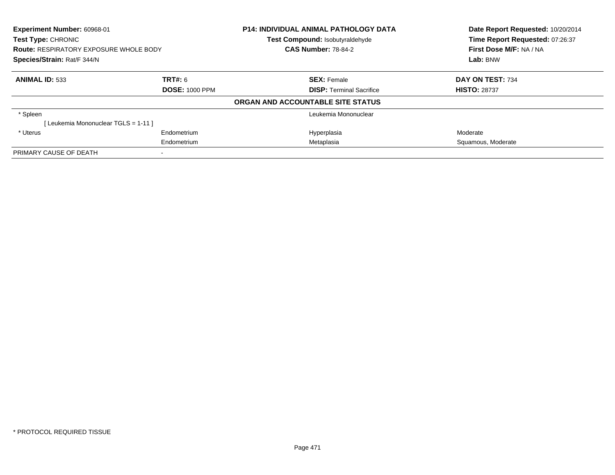| Experiment Number: 60968-01<br>Test Type: CHRONIC<br><b>Route: RESPIRATORY EXPOSURE WHOLE BODY</b><br>Species/Strain: Rat/F 344/N |             | <b>P14: INDIVIDUAL ANIMAL PATHOLOGY DATA</b><br><b>Test Compound: Isobutyraldehyde</b> | Date Report Requested: 10/20/2014<br>Time Report Requested: 07:26:37 |
|-----------------------------------------------------------------------------------------------------------------------------------|-------------|----------------------------------------------------------------------------------------|----------------------------------------------------------------------|
|                                                                                                                                   |             | <b>CAS Number: 78-84-2</b>                                                             | First Dose M/F: NA / NA                                              |
|                                                                                                                                   |             |                                                                                        | Lab: BNW                                                             |
| <b>ANIMAL ID: 533</b>                                                                                                             | TRT#: 6     | <b>SEX: Female</b>                                                                     | DAY ON TEST: 734                                                     |
| <b>DOSE: 1000 PPM</b>                                                                                                             |             | <b>DISP:</b> Terminal Sacrifice                                                        | <b>HISTO: 28737</b>                                                  |
|                                                                                                                                   |             | ORGAN AND ACCOUNTABLE SITE STATUS                                                      |                                                                      |
| * Spleen                                                                                                                          |             | Leukemia Mononuclear                                                                   |                                                                      |
| [ Leukemia Mononuclear TGLS = 1-11 ]                                                                                              |             |                                                                                        |                                                                      |
| * Uterus                                                                                                                          | Endometrium | Hyperplasia                                                                            | Moderate                                                             |
|                                                                                                                                   | Endometrium | Metaplasia                                                                             | Squamous, Moderate                                                   |
| PRIMARY CAUSE OF DEATH                                                                                                            |             |                                                                                        |                                                                      |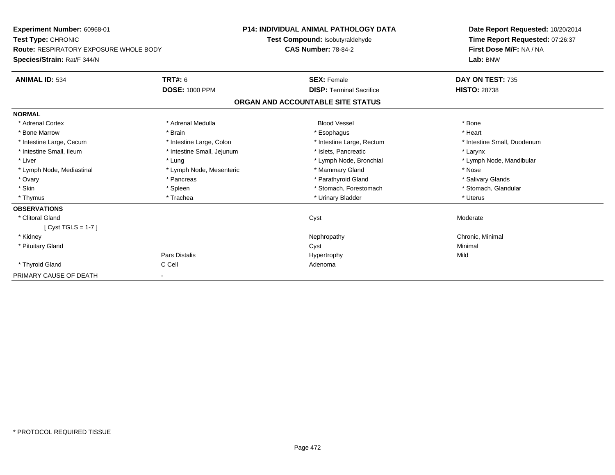| Experiment Number: 60968-01<br><b>Test Type: CHRONIC</b> |                            | <b>P14: INDIVIDUAL ANIMAL PATHOLOGY DATA</b> | Date Report Requested: 10/20/2014 |  |
|----------------------------------------------------------|----------------------------|----------------------------------------------|-----------------------------------|--|
|                                                          |                            | <b>Test Compound: Isobutyraldehyde</b>       | Time Report Requested: 07:26:37   |  |
| <b>Route: RESPIRATORY EXPOSURE WHOLE BODY</b>            |                            | <b>CAS Number: 78-84-2</b>                   | First Dose M/F: NA / NA           |  |
| Species/Strain: Rat/F 344/N                              |                            |                                              | Lab: BNW                          |  |
| <b>ANIMAL ID: 534</b>                                    | <b>TRT#: 6</b>             | <b>SEX: Female</b>                           | DAY ON TEST: 735                  |  |
|                                                          | <b>DOSE: 1000 PPM</b>      | <b>DISP: Terminal Sacrifice</b>              | <b>HISTO: 28738</b>               |  |
|                                                          |                            | ORGAN AND ACCOUNTABLE SITE STATUS            |                                   |  |
| <b>NORMAL</b>                                            |                            |                                              |                                   |  |
| * Adrenal Cortex                                         | * Adrenal Medulla          | <b>Blood Vessel</b>                          | * Bone                            |  |
| * Bone Marrow                                            | * Brain                    | * Esophagus                                  | * Heart                           |  |
| * Intestine Large, Cecum                                 | * Intestine Large, Colon   | * Intestine Large, Rectum                    | * Intestine Small, Duodenum       |  |
| * Intestine Small, Ileum                                 | * Intestine Small, Jejunum | * Islets, Pancreatic                         | * Larynx                          |  |
| * Liver                                                  | * Lung                     | * Lymph Node, Bronchial                      | * Lymph Node, Mandibular          |  |
| * Lymph Node, Mediastinal                                | * Lymph Node, Mesenteric   | * Mammary Gland                              | * Nose                            |  |
| * Ovary                                                  | * Pancreas                 | * Parathyroid Gland                          | * Salivary Glands                 |  |
| * Skin                                                   | * Spleen                   | * Stomach, Forestomach                       | * Stomach, Glandular              |  |
| * Thymus                                                 | * Trachea                  | * Urinary Bladder                            | * Uterus                          |  |
| <b>OBSERVATIONS</b>                                      |                            |                                              |                                   |  |
| * Clitoral Gland                                         |                            | Cyst                                         | Moderate                          |  |
| [Cyst TGLS = $1-7$ ]                                     |                            |                                              |                                   |  |
| * Kidney                                                 |                            | Nephropathy                                  | Chronic, Minimal                  |  |
| * Pituitary Gland                                        |                            | Cyst                                         | Minimal                           |  |
|                                                          | Pars Distalis              | Hypertrophy                                  | Mild                              |  |
| * Thyroid Gland                                          | C Cell                     | Adenoma                                      |                                   |  |
| PRIMARY CAUSE OF DEATH                                   |                            |                                              |                                   |  |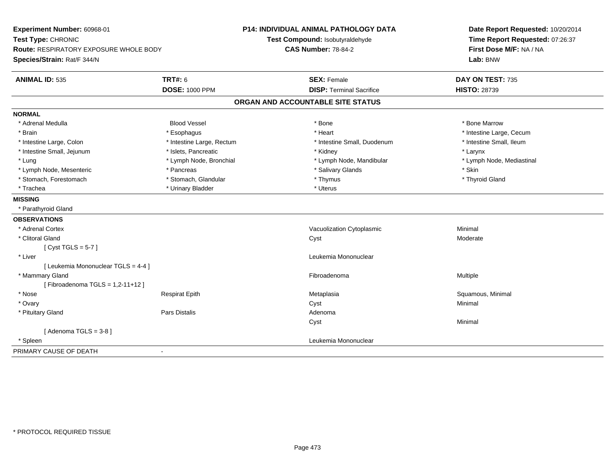| Experiment Number: 60968-01<br>Test Type: CHRONIC<br><b>Route: RESPIRATORY EXPOSURE WHOLE BODY</b><br>Species/Strain: Rat/F 344/N |                           | <b>P14: INDIVIDUAL ANIMAL PATHOLOGY DATA</b><br>Test Compound: Isobutyraldehyde<br><b>CAS Number: 78-84-2</b> | Date Report Requested: 10/20/2014<br>Time Report Requested: 07:26:37<br>First Dose M/F: NA / NA<br>Lab: BNW |  |
|-----------------------------------------------------------------------------------------------------------------------------------|---------------------------|---------------------------------------------------------------------------------------------------------------|-------------------------------------------------------------------------------------------------------------|--|
| <b>TRT#: 6</b><br><b>ANIMAL ID: 535</b>                                                                                           |                           | <b>SEX: Female</b><br><b>DISP: Terminal Sacrifice</b>                                                         | DAY ON TEST: 735<br><b>HISTO: 28739</b>                                                                     |  |
|                                                                                                                                   | <b>DOSE: 1000 PPM</b>     |                                                                                                               |                                                                                                             |  |
|                                                                                                                                   |                           | ORGAN AND ACCOUNTABLE SITE STATUS                                                                             |                                                                                                             |  |
| <b>NORMAL</b>                                                                                                                     |                           |                                                                                                               |                                                                                                             |  |
| * Adrenal Medulla                                                                                                                 | <b>Blood Vessel</b>       | * Bone                                                                                                        | * Bone Marrow                                                                                               |  |
| * Brain                                                                                                                           | * Esophagus               | * Heart                                                                                                       | * Intestine Large, Cecum                                                                                    |  |
| * Intestine Large, Colon                                                                                                          | * Intestine Large, Rectum | * Intestine Small, Duodenum                                                                                   | * Intestine Small, Ileum                                                                                    |  |
| * Intestine Small, Jejunum                                                                                                        | * Islets, Pancreatic      | * Kidney                                                                                                      | * Larynx                                                                                                    |  |
| * Lung                                                                                                                            | * Lymph Node, Bronchial   | * Lymph Node, Mandibular                                                                                      | * Lymph Node, Mediastinal                                                                                   |  |
| * Lymph Node, Mesenteric                                                                                                          | * Pancreas                | * Salivary Glands                                                                                             | * Skin                                                                                                      |  |
| * Stomach, Forestomach                                                                                                            | * Stomach, Glandular      | * Thymus                                                                                                      | * Thyroid Gland                                                                                             |  |
| * Trachea                                                                                                                         | * Urinary Bladder         | * Uterus                                                                                                      |                                                                                                             |  |
| <b>MISSING</b>                                                                                                                    |                           |                                                                                                               |                                                                                                             |  |
| * Parathyroid Gland                                                                                                               |                           |                                                                                                               |                                                                                                             |  |
| <b>OBSERVATIONS</b>                                                                                                               |                           |                                                                                                               |                                                                                                             |  |
| * Adrenal Cortex                                                                                                                  |                           | Vacuolization Cytoplasmic                                                                                     | Minimal                                                                                                     |  |
| * Clitoral Gland                                                                                                                  |                           | Cyst                                                                                                          | Moderate                                                                                                    |  |
| [Cyst TGLS = $5-7$ ]                                                                                                              |                           |                                                                                                               |                                                                                                             |  |
| * Liver                                                                                                                           |                           | Leukemia Mononuclear                                                                                          |                                                                                                             |  |
| [ Leukemia Mononuclear TGLS = 4-4 ]                                                                                               |                           |                                                                                                               |                                                                                                             |  |
| * Mammary Gland                                                                                                                   |                           | Fibroadenoma                                                                                                  | Multiple                                                                                                    |  |
| [Fibroadenoma TGLS = $1,2-11+12$ ]                                                                                                |                           |                                                                                                               |                                                                                                             |  |
| * Nose                                                                                                                            | <b>Respirat Epith</b>     | Metaplasia                                                                                                    | Squamous, Minimal                                                                                           |  |
| * Ovary                                                                                                                           |                           | Cyst                                                                                                          | Minimal                                                                                                     |  |
| * Pituitary Gland                                                                                                                 | Pars Distalis             | Adenoma                                                                                                       |                                                                                                             |  |
|                                                                                                                                   |                           | Cyst                                                                                                          | Minimal                                                                                                     |  |
| [Adenoma TGLS = $3-8$ ]                                                                                                           |                           |                                                                                                               |                                                                                                             |  |
| * Spleen                                                                                                                          |                           | Leukemia Mononuclear                                                                                          |                                                                                                             |  |
| PRIMARY CAUSE OF DEATH                                                                                                            |                           |                                                                                                               |                                                                                                             |  |
|                                                                                                                                   |                           |                                                                                                               |                                                                                                             |  |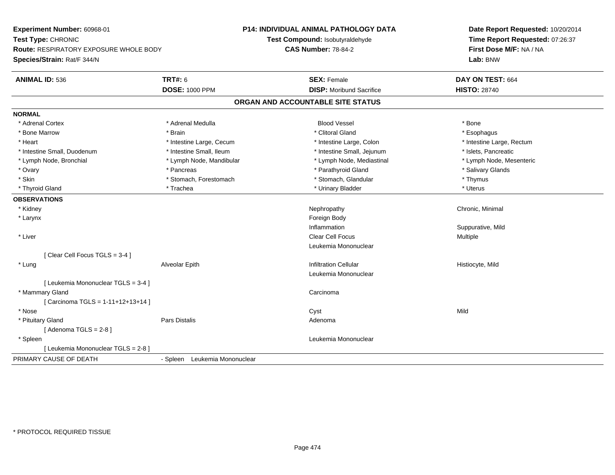**Experiment Number:** 60968-01**Test Type:** CHRONIC **Route:** RESPIRATORY EXPOSURE WHOLE BODY**Species/Strain:** Rat/F 344/N**P14: INDIVIDUAL ANIMAL PATHOLOGY DATATest Compound:** Isobutyraldehyde**CAS Number:** 78-84-2**Date Report Requested:** 10/20/2014**Time Report Requested:** 07:26:37**First Dose M/F:** NA / NA**Lab:** BNW**ANIMAL ID:** 536**6 DAY ON TEST:** 664 **DOSE:** 1000 PPM**DISP:** Moribund Sacrifice **HISTO:** 28740 **ORGAN AND ACCOUNTABLE SITE STATUSNORMAL**\* Adrenal Cortex \* Adrenal Cortex \* Adrenal Medulla Blood Vessel \* Bone\* Esophagus \* Bone Marrow \* \* Android \* Brain \* Brain \* Clitoral Gland \* Clitoral Gland \* Esophagus \* Esophagus \* Esophagus \* Intestine Large, Rectum \* Heart **\*** Intestine Large, Cecum \* Intestine Large, Cecum \* Intestine Large, Colon \* Intestine Small, Duodenum \* Intestine Small, Ileum \* Intestine Small, Intestine Small, Jejunum \* Islets, Pancreatic \* Lymph Node, Mesenteric \* Lymph Node, Bronchial \* Lymph Node, Mandibular \* Lymph Node, Mediastinal \* Lymph Node, Mediastinal \* Ovary \* \* Pancreas \* \* Pancreas \* \* Pancreas \* \* Parathyroid Gland \* \* Salivary Glands \* Salivary Glands \* Salivary Glands \* Salivary Glands \* Salivary Glands \* Salivary Glands \* Salivary Glands \* \* Salivary Glands \* \* S \* Skin \* Stomach, Forestomach \* Stomach \* Stomach, Glandular \* Thymus \* Thymus \* Uterus \* Thyroid Gland \* \* Trachea \* \* Trachea \* Trachea \* \* Urinary Bladder \* \* Urinary Bladder \* \* Uterus \* Uterus **OBSERVATIONS** \* Kidneyy the controller of the controller of the controller of the controller of the controller of the controller of the controller of the controller of the controller of the controller of the controller of the controller of the \* Larynx**x** and the contract of the contract of the contract of the contract of the contract of the contract of the contract of the contract of the contract of the contract of the contract of the contract of the contract of the co Inflammation Suppurative, Mild \* Liver Clear Cell Focus MultipleLeukemia Mononuclear[ Clear Cell Focus TGLS = 3-4 ] \* Lung Alveolar Epith Infiltration Cellular Histiocyte, Mild Leukemia Mononuclear[ Leukemia Mononuclear TGLS = 3-4 ] \* Mammary Glandd<sub>d</sub> Carcinoma [ Carcinoma TGLS = 1-11+12+13+14 ] \* Nosee and the control of the control of the control of the control of the control of the control of the control of the control of the control of the control of the control of the control of the control of the control of the co \* Pituitary Glandd and the contract of Pars Distalis and the contract of Adenoma and Adenoma and the Adenoma and the Adenoma and  $\lambda$  $[$  Adenoma TGLS = 2-8  $]$  \* Spleen Leukemia Mononuclear [ Leukemia Mononuclear TGLS = 2-8 ]PRIMARY CAUSE OF DEATH- Spleen Leukemia Mononuclear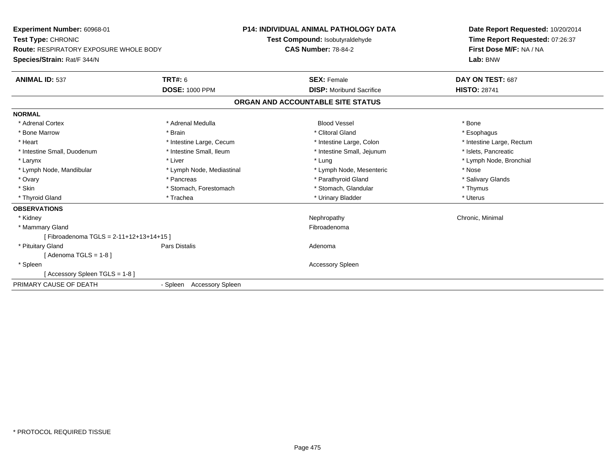| Experiment Number: 60968-01<br>Test Type: CHRONIC<br><b>Route: RESPIRATORY EXPOSURE WHOLE BODY</b> |                           | <b>P14: INDIVIDUAL ANIMAL PATHOLOGY DATA</b><br>Test Compound: Isobutyraldehyde | Date Report Requested: 10/20/2014<br>Time Report Requested: 07:26:37 |
|----------------------------------------------------------------------------------------------------|---------------------------|---------------------------------------------------------------------------------|----------------------------------------------------------------------|
|                                                                                                    |                           | <b>CAS Number: 78-84-2</b>                                                      | First Dose M/F: NA / NA                                              |
| Species/Strain: Rat/F 344/N                                                                        |                           |                                                                                 | Lab: BNW                                                             |
| <b>ANIMAL ID: 537</b>                                                                              | <b>TRT#: 6</b>            | <b>SEX: Female</b>                                                              | DAY ON TEST: 687                                                     |
|                                                                                                    | <b>DOSE: 1000 PPM</b>     | <b>DISP: Moribund Sacrifice</b>                                                 | <b>HISTO: 28741</b>                                                  |
|                                                                                                    |                           | ORGAN AND ACCOUNTABLE SITE STATUS                                               |                                                                      |
| <b>NORMAL</b>                                                                                      |                           |                                                                                 |                                                                      |
| * Adrenal Cortex                                                                                   | * Adrenal Medulla         | <b>Blood Vessel</b>                                                             | * Bone                                                               |
| * Bone Marrow                                                                                      | * Brain                   | * Clitoral Gland                                                                | * Esophagus                                                          |
| * Heart                                                                                            | * Intestine Large, Cecum  | * Intestine Large, Colon                                                        | * Intestine Large, Rectum                                            |
| * Intestine Small, Duodenum                                                                        | * Intestine Small, Ileum  | * Intestine Small, Jejunum                                                      | * Islets, Pancreatic                                                 |
| * Larynx                                                                                           | * Liver                   | * Lung                                                                          | * Lymph Node, Bronchial                                              |
| * Lymph Node, Mandibular                                                                           | * Lymph Node, Mediastinal | * Lymph Node, Mesenteric                                                        | * Nose                                                               |
| * Ovary                                                                                            | * Pancreas                | * Parathyroid Gland                                                             | * Salivary Glands                                                    |
| * Skin                                                                                             | * Stomach, Forestomach    | * Stomach, Glandular                                                            | * Thymus                                                             |
| * Thyroid Gland                                                                                    | * Trachea                 | * Urinary Bladder                                                               | * Uterus                                                             |
| <b>OBSERVATIONS</b>                                                                                |                           |                                                                                 |                                                                      |
| * Kidney                                                                                           |                           | Nephropathy                                                                     | Chronic, Minimal                                                     |
| * Mammary Gland                                                                                    |                           | Fibroadenoma                                                                    |                                                                      |
| [Fibroadenoma TGLS = 2-11+12+13+14+15]                                                             |                           |                                                                                 |                                                                      |
| * Pituitary Gland                                                                                  | Pars Distalis             | Adenoma                                                                         |                                                                      |
| [Adenoma TGLS = $1-8$ ]                                                                            |                           |                                                                                 |                                                                      |
| * Spleen                                                                                           |                           | <b>Accessory Spleen</b>                                                         |                                                                      |
| [Accessory Spleen TGLS = 1-8]                                                                      |                           |                                                                                 |                                                                      |
| PRIMARY CAUSE OF DEATH                                                                             | - Spleen Accessory Spleen |                                                                                 |                                                                      |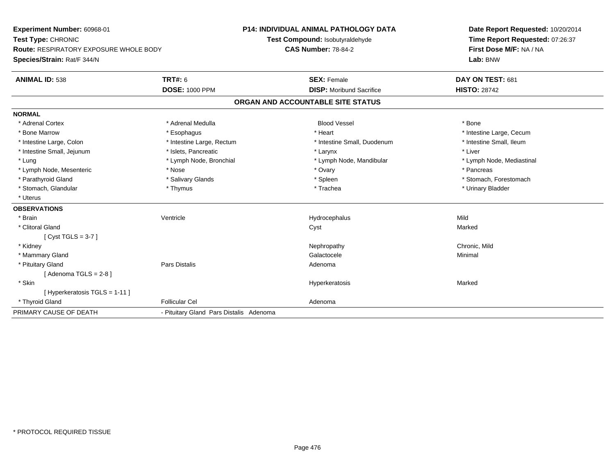**Experiment Number:** 60968-01**Test Type:** CHRONIC **Route:** RESPIRATORY EXPOSURE WHOLE BODY**Species/Strain:** Rat/F 344/N**P14: INDIVIDUAL ANIMAL PATHOLOGY DATATest Compound:** Isobutyraldehyde**CAS Number:** 78-84-2**Date Report Requested:** 10/20/2014**Time Report Requested:** 07:26:37**First Dose M/F:** NA / NA**Lab:** BNW**ANIMAL ID:** 538 **TRT#:** <sup>6</sup> **SEX:** Female **DAY ON TEST:** <sup>681</sup> **DOSE:** 1000 PPM**DISP:** Moribund Sacrifice **HISTO:** 28742 **ORGAN AND ACCOUNTABLE SITE STATUSNORMAL**\* Adrenal Cortex \* Adrenal Medulla \* \* Book \* Blood Vessel \* Book \* Bone \* Bone \* Bone \* Bone \* Bone \* Bone \* Bone \* Bone \* Bone \* Bone Marrow \* The matter of the state of the state of the state of the state of the state of the state of the state of the state of the state of the state of the state of the state of the state of the state of the state \* Intestine Small, Ileum \* Intestine Large, Colon \* Intestine Large, Rectum \* Intestine Small, Duodenum \* Intestine Small, Duodenum \* Intestine Small, Jejunum \* 1992 \* The matrix of the state of the state of the state of the state of the state of the state of the state of the state of the state of the state of the state of the state of the state of the \* Lung \* Lymph Node, Bronchial \* Lymph Node, and ibular \* Lymph Node, Mandibular \* Lymph Node, Mediastinal \* Lymph Node, Mediastinal \* Lymph Node, Mesenteric \* The state of the state of the Nose \* Nose \* Nose \* Ovary \* Pancreas \* Pancreas \* Pancreas \* Parathyroid Gland \* \* Salivary Glands \* Salivary Glands \* Spleen \* Stomach, Forestomach \* Stomach, Glandular \* Thymus \* Thymus \* Thymus \* Trachea \* Trachea \* Trachea \* Urinary Bladder \* Uterus**OBSERVATIONS** \* Brainn and the Unit of the Mentricle Contribution of the Hydrocephalus Contribution of Mild \* Clitoral Glandd and the control of the control of the control of the control of the control of the control of the control of the control of the control of the control of the control of the control of the control of the control of the co [ Cyst TGLS = 3-7 ] \* Kidneyy the controller of the controller of the controller of the controller of the controller of the chronic, Mild \* Mammary Glandd and the control of the control of the control of the Galactocele and the control of the Minimal of the control of the control of the control of the control of the control of the control of the control of the control of t \* Pituitary Glandd and the contract of Pars Distalis and the contract of Adenoma and Adenoma and the Adenoma and the Adenoma and  $\lambda$  $[$  Adenoma TGLS = 2-8  $]$  \* Skin Hyperkeratosis Marked [ Hyperkeratosis TGLS = 1-11 ] \* Thyroid Glandd **Exercise Controllicular Cel Follicular Cel Adenoma** PRIMARY CAUSE OF DEATH- Pituitary Gland Pars Distalis Adenoma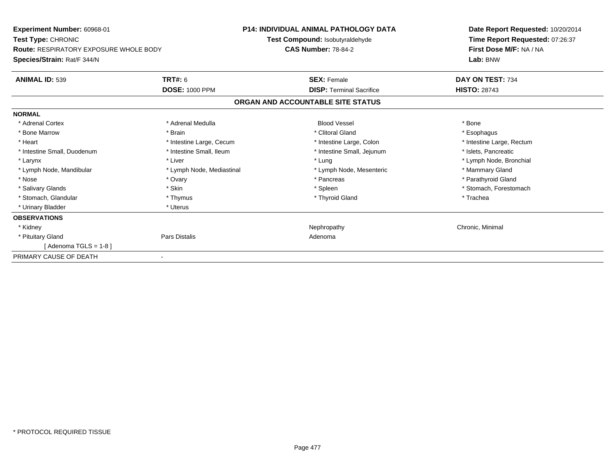| Experiment Number: 60968-01<br>Test Type: CHRONIC |                           | <b>P14: INDIVIDUAL ANIMAL PATHOLOGY DATA</b> | Date Report Requested: 10/20/2014<br>Time Report Requested: 07:26:37 |
|---------------------------------------------------|---------------------------|----------------------------------------------|----------------------------------------------------------------------|
|                                                   |                           | Test Compound: Isobutyraldehyde              |                                                                      |
| <b>Route: RESPIRATORY EXPOSURE WHOLE BODY</b>     |                           | <b>CAS Number: 78-84-2</b>                   | First Dose M/F: NA / NA                                              |
| Species/Strain: Rat/F 344/N                       |                           |                                              | Lab: BNW                                                             |
| <b>ANIMAL ID: 539</b>                             | <b>TRT#: 6</b>            | <b>SEX: Female</b>                           | DAY ON TEST: 734                                                     |
|                                                   | <b>DOSE: 1000 PPM</b>     | <b>DISP: Terminal Sacrifice</b>              | <b>HISTO: 28743</b>                                                  |
|                                                   |                           | ORGAN AND ACCOUNTABLE SITE STATUS            |                                                                      |
| <b>NORMAL</b>                                     |                           |                                              |                                                                      |
| * Adrenal Cortex                                  | * Adrenal Medulla         | <b>Blood Vessel</b>                          | * Bone                                                               |
| * Bone Marrow                                     | * Brain                   | * Clitoral Gland                             | * Esophagus                                                          |
| * Heart                                           | * Intestine Large, Cecum  | * Intestine Large, Colon                     | * Intestine Large, Rectum                                            |
| * Intestine Small, Duodenum                       | * Intestine Small, Ileum  | * Intestine Small, Jejunum                   | * Islets, Pancreatic                                                 |
| * Larynx                                          | * Liver                   | * Lung                                       | * Lymph Node, Bronchial                                              |
| * Lymph Node, Mandibular                          | * Lymph Node, Mediastinal | * Lymph Node, Mesenteric                     | * Mammary Gland                                                      |
| * Nose                                            | * Ovary                   | * Pancreas                                   | * Parathyroid Gland                                                  |
| * Salivary Glands                                 | * Skin                    | * Spleen                                     | * Stomach, Forestomach                                               |
| * Stomach, Glandular                              | * Thymus                  | * Thyroid Gland                              | * Trachea                                                            |
| * Urinary Bladder                                 | * Uterus                  |                                              |                                                                      |
| <b>OBSERVATIONS</b>                               |                           |                                              |                                                                      |
| * Kidney                                          |                           | Nephropathy                                  | Chronic, Minimal                                                     |
| * Pituitary Gland                                 | Pars Distalis             | Adenoma                                      |                                                                      |
| [ Adenoma TGLS = 1-8 ]                            |                           |                                              |                                                                      |
| PRIMARY CAUSE OF DEATH                            |                           |                                              |                                                                      |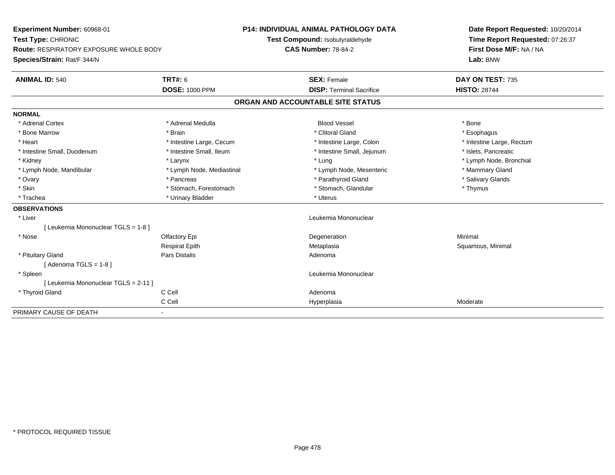| Experiment Number: 60968-01                   |                           | <b>P14: INDIVIDUAL ANIMAL PATHOLOGY DATA</b> |                                 | Date Report Requested: 10/20/2014 |
|-----------------------------------------------|---------------------------|----------------------------------------------|---------------------------------|-----------------------------------|
| Test Type: CHRONIC                            |                           | Test Compound: Isobutyraldehyde              |                                 | Time Report Requested: 07:26:37   |
| <b>Route: RESPIRATORY EXPOSURE WHOLE BODY</b> |                           | <b>CAS Number: 78-84-2</b>                   |                                 | First Dose M/F: NA / NA           |
| Species/Strain: Rat/F 344/N                   |                           |                                              |                                 | Lab: BNW                          |
| <b>ANIMAL ID: 540</b>                         | <b>TRT#: 6</b>            | <b>SEX: Female</b>                           |                                 | DAY ON TEST: 735                  |
|                                               | <b>DOSE: 1000 PPM</b>     |                                              | <b>DISP: Terminal Sacrifice</b> | <b>HISTO: 28744</b>               |
|                                               |                           | ORGAN AND ACCOUNTABLE SITE STATUS            |                                 |                                   |
| <b>NORMAL</b>                                 |                           |                                              |                                 |                                   |
| * Adrenal Cortex                              | * Adrenal Medulla         | <b>Blood Vessel</b>                          |                                 | * Bone                            |
| * Bone Marrow                                 | * Brain                   | * Clitoral Gland                             |                                 | * Esophagus                       |
| * Heart                                       | * Intestine Large, Cecum  |                                              | * Intestine Large, Colon        | * Intestine Large, Rectum         |
| * Intestine Small, Duodenum                   | * Intestine Small, Ileum  |                                              | * Intestine Small, Jejunum      | * Islets, Pancreatic              |
| * Kidney                                      | * Larynx                  | * Lung                                       |                                 | * Lymph Node, Bronchial           |
| * Lymph Node, Mandibular                      | * Lymph Node, Mediastinal |                                              | * Lymph Node, Mesenteric        | * Mammary Gland                   |
| * Ovary                                       | * Pancreas                |                                              | * Parathyroid Gland             | * Salivary Glands                 |
| * Skin                                        | * Stomach, Forestomach    |                                              | * Stomach, Glandular            | * Thymus                          |
| * Trachea                                     | * Urinary Bladder         | * Uterus                                     |                                 |                                   |
| <b>OBSERVATIONS</b>                           |                           |                                              |                                 |                                   |
| * Liver                                       |                           |                                              | Leukemia Mononuclear            |                                   |
| [ Leukemia Mononuclear TGLS = 1-8 ]           |                           |                                              |                                 |                                   |
| * Nose                                        | Olfactory Epi             | Degeneration                                 |                                 | Minimal                           |
|                                               | <b>Respirat Epith</b>     | Metaplasia                                   |                                 | Squamous, Minimal                 |
| * Pituitary Gland                             | <b>Pars Distalis</b>      | Adenoma                                      |                                 |                                   |
| [Adenoma TGLS = $1-8$ ]                       |                           |                                              |                                 |                                   |
| * Spleen                                      |                           |                                              | Leukemia Mononuclear            |                                   |
| [ Leukemia Mononuclear TGLS = 2-11 ]          |                           |                                              |                                 |                                   |
| * Thyroid Gland                               | C Cell                    | Adenoma                                      |                                 |                                   |
|                                               | C Cell                    | Hyperplasia                                  |                                 | Moderate                          |
| PRIMARY CAUSE OF DEATH                        |                           |                                              |                                 |                                   |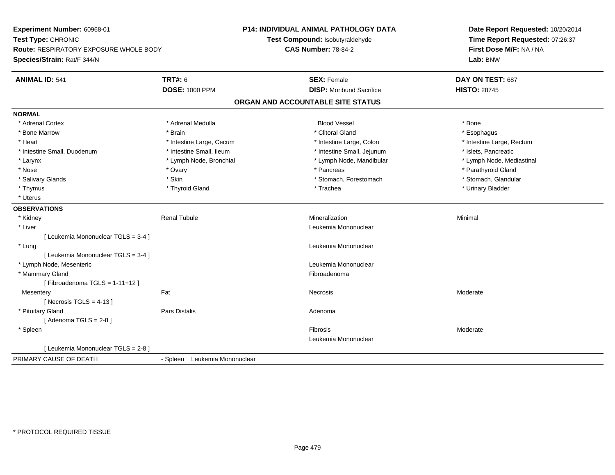**Experiment Number:** 60968-01**Test Type:** CHRONIC **Route:** RESPIRATORY EXPOSURE WHOLE BODY**Species/Strain:** Rat/F 344/N**P14: INDIVIDUAL ANIMAL PATHOLOGY DATATest Compound:** Isobutyraldehyde**CAS Number:** 78-84-2**Date Report Requested:** 10/20/2014**Time Report Requested:** 07:26:37**First Dose M/F:** NA / NA**Lab:** BNW**ANIMAL ID:** 541**TRT#:** 6 **SEX:** Female **SEX: Female DAY ON TEST:** 687 **DOSE:** 1000 PPM**DISP:** Moribund Sacrifice **HISTO:** 28745 **ORGAN AND ACCOUNTABLE SITE STATUSNORMAL**\* Adrenal Cortex \* Adrenal Cortex \* Adrenal Medulla Blood Vessel \* Bone\* Esophagus \* Bone Marrow \* \* Android \* Brain \* Brain \* Clitoral Gland \* Clitoral Gland \* Esophagus \* Esophagus \* Esophagus \* Intestine Large, Rectum \* Heart **\*** Intestine Large, Cecum \* Intestine Large, Cecum \* Intestine Large, Colon \* Intestine Small, Duodenum \* Intestine Small, Ileum \* Intestine Small, Intestine Small, Jejunum \* Islets, Pancreatic \* Lymph Node, Mediastinal \* Larynx **\* Lymph Node, Bronchial \*** Lymph Node, Bronchial \* Lymph Node, Mandibular \* Nose \* Ovary \* Pancreas \* Parathyroid Gland \* Stomach. Glandular \* Salivary Glands \* Stomach, Forestomach \* Stomach, Forestomach \* Stomach, Forestomach \* Stomach, Forestomach \* Thymus \* Thyroid Gland \* Trachea \* Urinary Bladder \* \* Uterus**OBSERVATIONS** \* Kidney Renal Tubule Mineralization Minimal \* Liver Leukemia Mononuclear [ Leukemia Mononuclear TGLS = 3-4 ] \* Lung Leukemia Mononuclear [ Leukemia Mononuclear TGLS = 3-4 ] \* Lymph Node, Mesenteric Leukemia Mononuclear \* Mammary Glandd **Executive Contract of the Contract Contract Contract Contract Contract Contract Contract Contract Contract Contract Contract Contract Contract Contract Contract Contract Contract Contract Contract Contract Contract Cont**  $[$  Fibroadenoma TGLS = 1-11+12 $]$ **Mesentery** y the control of the set of the control of the Moderate of the Moderate of the Moderate of the Moderate of the Moderate of the Moderate of the Moderate of the Moderate of the Moderate of the Moderate of the Moderate of the  $[$  Necrosis TGLS = 4-13  $]$  \* Pituitary Glandd and the contract of Pars Distalis and the contract of Adenoma and Adenoma and the Adenoma and the Adenoma and  $\lambda$  $[$  Adenoma TGLS = 2-8  $]$  \* Spleenn and the state of the state of the state of the state of the state of the state of the state of the state of the state of the state of the state of the state of the state of the state of the state of the state of the stat Leukemia Mononuclear[ Leukemia Mononuclear TGLS = 2-8 ]PRIMARY CAUSE OF DEATH- Spleen Leukemia Mononuclear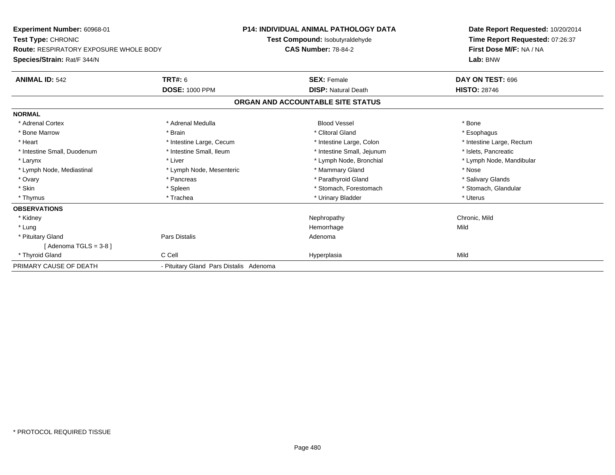| Experiment Number: 60968-01<br>Test Type: CHRONIC<br><b>Route: RESPIRATORY EXPOSURE WHOLE BODY</b><br>Species/Strain: Rat/F 344/N |                                         | <b>P14: INDIVIDUAL ANIMAL PATHOLOGY DATA</b><br>Test Compound: Isobutyraldehyde<br><b>CAS Number: 78-84-2</b> | Date Report Requested: 10/20/2014<br>Time Report Requested: 07:26:37<br>First Dose M/F: NA / NA<br>Lab: BNW |
|-----------------------------------------------------------------------------------------------------------------------------------|-----------------------------------------|---------------------------------------------------------------------------------------------------------------|-------------------------------------------------------------------------------------------------------------|
| <b>ANIMAL ID: 542</b>                                                                                                             | <b>TRT#: 6</b>                          | <b>SEX: Female</b>                                                                                            | DAY ON TEST: 696                                                                                            |
|                                                                                                                                   | <b>DOSE: 1000 PPM</b>                   | <b>DISP: Natural Death</b>                                                                                    | <b>HISTO: 28746</b>                                                                                         |
|                                                                                                                                   |                                         | ORGAN AND ACCOUNTABLE SITE STATUS                                                                             |                                                                                                             |
| <b>NORMAL</b>                                                                                                                     |                                         |                                                                                                               |                                                                                                             |
| * Adrenal Cortex                                                                                                                  | * Adrenal Medulla                       | <b>Blood Vessel</b>                                                                                           | * Bone                                                                                                      |
| * Bone Marrow                                                                                                                     | * Brain                                 | * Clitoral Gland                                                                                              | * Esophagus                                                                                                 |
| * Heart                                                                                                                           | * Intestine Large, Cecum                | * Intestine Large, Colon                                                                                      | * Intestine Large, Rectum                                                                                   |
| * Intestine Small, Duodenum                                                                                                       | * Intestine Small, Ileum                | * Intestine Small, Jejunum                                                                                    | * Islets. Pancreatic                                                                                        |
| * Larynx                                                                                                                          | * Liver                                 | * Lymph Node, Bronchial                                                                                       | * Lymph Node, Mandibular                                                                                    |
| * Lymph Node, Mediastinal                                                                                                         | * Lymph Node, Mesenteric                | * Mammary Gland                                                                                               | * Nose                                                                                                      |
| * Ovary                                                                                                                           | * Pancreas                              | * Parathyroid Gland                                                                                           | * Salivary Glands                                                                                           |
| * Skin                                                                                                                            | * Spleen                                | * Stomach, Forestomach                                                                                        | * Stomach, Glandular                                                                                        |
| * Thymus                                                                                                                          | * Trachea                               | * Urinary Bladder                                                                                             | * Uterus                                                                                                    |
| <b>OBSERVATIONS</b>                                                                                                               |                                         |                                                                                                               |                                                                                                             |
| * Kidney                                                                                                                          |                                         | Nephropathy                                                                                                   | Chronic, Mild                                                                                               |
| * Lung                                                                                                                            |                                         | Hemorrhage                                                                                                    | Mild                                                                                                        |
| * Pituitary Gland                                                                                                                 | <b>Pars Distalis</b>                    | Adenoma                                                                                                       |                                                                                                             |
| [Adenoma TGLS = $3-8$ ]                                                                                                           |                                         |                                                                                                               |                                                                                                             |
| * Thyroid Gland                                                                                                                   | C Cell                                  | Hyperplasia                                                                                                   | Mild                                                                                                        |
| PRIMARY CAUSE OF DEATH                                                                                                            | - Pituitary Gland Pars Distalis Adenoma |                                                                                                               |                                                                                                             |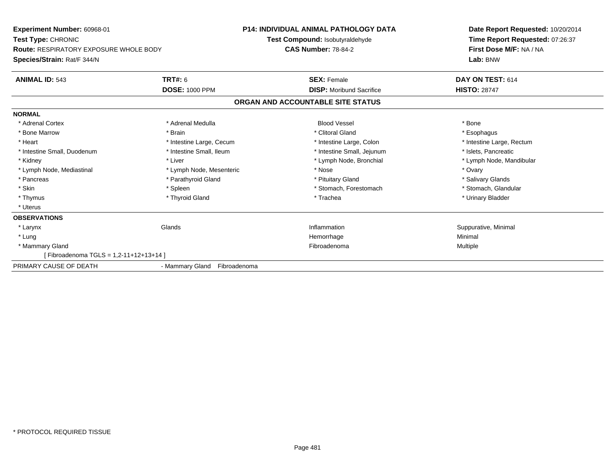| Experiment Number: 60968-01                   |                              | <b>P14: INDIVIDUAL ANIMAL PATHOLOGY DATA</b> | Date Report Requested: 10/20/2014 |
|-----------------------------------------------|------------------------------|----------------------------------------------|-----------------------------------|
| Test Type: CHRONIC                            |                              | Test Compound: Isobutyraldehyde              | Time Report Requested: 07:26:37   |
| <b>Route: RESPIRATORY EXPOSURE WHOLE BODY</b> |                              | <b>CAS Number: 78-84-2</b>                   | First Dose M/F: NA / NA           |
| Species/Strain: Rat/F 344/N                   |                              |                                              | Lab: BNW                          |
| <b>ANIMAL ID: 543</b>                         | <b>TRT#: 6</b>               | <b>SEX: Female</b>                           | DAY ON TEST: 614                  |
|                                               | <b>DOSE: 1000 PPM</b>        | <b>DISP:</b> Moribund Sacrifice              | <b>HISTO: 28747</b>               |
|                                               |                              | ORGAN AND ACCOUNTABLE SITE STATUS            |                                   |
| <b>NORMAL</b>                                 |                              |                                              |                                   |
| * Adrenal Cortex                              | * Adrenal Medulla            | <b>Blood Vessel</b>                          | * Bone                            |
| * Bone Marrow                                 | * Brain                      | * Clitoral Gland                             | * Esophagus                       |
| * Heart                                       | * Intestine Large, Cecum     | * Intestine Large, Colon                     | * Intestine Large, Rectum         |
| * Intestine Small, Duodenum                   | * Intestine Small, Ileum     | * Intestine Small, Jejunum                   | * Islets, Pancreatic              |
| * Kidney                                      | * Liver                      | * Lymph Node, Bronchial                      | * Lymph Node, Mandibular          |
| * Lymph Node, Mediastinal                     | * Lymph Node, Mesenteric     | * Nose                                       | * Ovary                           |
| * Pancreas                                    | * Parathyroid Gland          | * Pituitary Gland                            | * Salivary Glands                 |
| * Skin                                        | * Spleen                     | * Stomach, Forestomach                       | * Stomach, Glandular              |
| * Thymus                                      | * Thyroid Gland              | * Trachea                                    | * Urinary Bladder                 |
| * Uterus                                      |                              |                                              |                                   |
| <b>OBSERVATIONS</b>                           |                              |                                              |                                   |
| * Larynx                                      | Glands                       | Inflammation                                 | Suppurative, Minimal              |
| * Lung                                        |                              | Hemorrhage                                   | Minimal                           |
| * Mammary Gland                               |                              | Fibroadenoma                                 | Multiple                          |
| [Fibroadenoma TGLS = 1,2-11+12+13+14]         |                              |                                              |                                   |
| PRIMARY CAUSE OF DEATH                        | - Mammary Gland Fibroadenoma |                                              |                                   |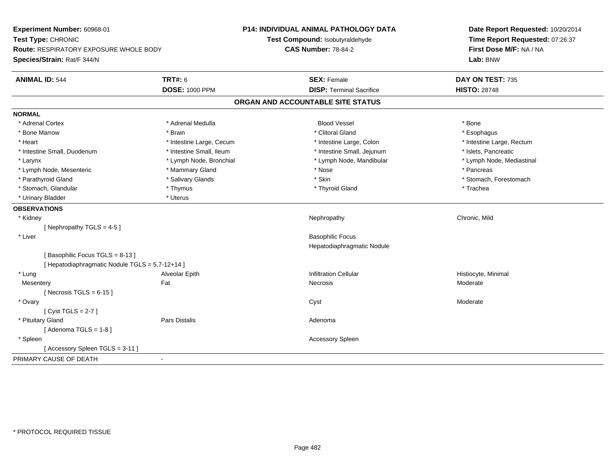| Experiment Number: 60968-01<br>Test Type: CHRONIC<br>Route: RESPIRATORY EXPOSURE WHOLE BODY<br>Species/Strain: Rat/F 344/N |                          | P14: INDIVIDUAL ANIMAL PATHOLOGY DATA<br>Test Compound: Isobutyraldehyde<br><b>CAS Number: 78-84-2</b> | Date Report Requested: 10/20/2014<br>Time Report Requested: 07:26:37<br>First Dose M/F: NA / NA<br>Lab: BNW |
|----------------------------------------------------------------------------------------------------------------------------|--------------------------|--------------------------------------------------------------------------------------------------------|-------------------------------------------------------------------------------------------------------------|
| <b>ANIMAL ID: 544</b>                                                                                                      | <b>TRT#: 6</b>           | <b>SEX: Female</b>                                                                                     | DAY ON TEST: 735                                                                                            |
|                                                                                                                            | <b>DOSE: 1000 PPM</b>    | <b>DISP: Terminal Sacrifice</b>                                                                        | <b>HISTO: 28748</b>                                                                                         |
|                                                                                                                            |                          | ORGAN AND ACCOUNTABLE SITE STATUS                                                                      |                                                                                                             |
| <b>NORMAL</b>                                                                                                              |                          |                                                                                                        |                                                                                                             |
| * Adrenal Cortex                                                                                                           | * Adrenal Medulla        | <b>Blood Vessel</b>                                                                                    | * Bone                                                                                                      |
| * Bone Marrow                                                                                                              | * Brain                  | * Clitoral Gland                                                                                       | * Esophagus                                                                                                 |
| * Heart                                                                                                                    | * Intestine Large, Cecum | * Intestine Large, Colon                                                                               | * Intestine Large, Rectum                                                                                   |
| * Intestine Small, Duodenum                                                                                                | * Intestine Small, Ileum | * Intestine Small, Jejunum                                                                             | * Islets, Pancreatic                                                                                        |
| * Larynx                                                                                                                   | * Lymph Node, Bronchial  | * Lymph Node, Mandibular                                                                               | * Lymph Node, Mediastinal                                                                                   |
| * Lymph Node, Mesenteric                                                                                                   | * Mammary Gland          | * Nose                                                                                                 | * Pancreas                                                                                                  |
| * Parathyroid Gland                                                                                                        | * Salivary Glands        | * Skin                                                                                                 | * Stomach, Forestomach                                                                                      |
| * Stomach, Glandular<br>* Thymus                                                                                           |                          | * Thyroid Gland                                                                                        | * Trachea                                                                                                   |
| * Urinary Bladder                                                                                                          | * Uterus                 |                                                                                                        |                                                                                                             |
| <b>OBSERVATIONS</b>                                                                                                        |                          |                                                                                                        |                                                                                                             |
| * Kidney                                                                                                                   |                          | Nephropathy                                                                                            | Chronic, Mild                                                                                               |
| [Nephropathy TGLS = 4-5]                                                                                                   |                          |                                                                                                        |                                                                                                             |
| * Liver                                                                                                                    |                          | <b>Basophilic Focus</b>                                                                                |                                                                                                             |
|                                                                                                                            |                          | Hepatodiaphragmatic Nodule                                                                             |                                                                                                             |
| [Basophilic Focus TGLS = 8-13]                                                                                             |                          |                                                                                                        |                                                                                                             |
| [ Hepatodiaphragmatic Nodule TGLS = 5,7-12+14 ]                                                                            |                          |                                                                                                        |                                                                                                             |
| * Lung                                                                                                                     | Alveolar Epith           | <b>Infiltration Cellular</b>                                                                           | Histiocyte, Minimal                                                                                         |
| Mesentery                                                                                                                  | Fat                      | <b>Necrosis</b>                                                                                        | Moderate                                                                                                    |
| [Necrosis TGLS = $6-15$ ]                                                                                                  |                          |                                                                                                        |                                                                                                             |
| * Ovary                                                                                                                    |                          | Cyst                                                                                                   | Moderate                                                                                                    |
| [Cyst TGLS = $2-7$ ]                                                                                                       |                          |                                                                                                        |                                                                                                             |
| * Pituitary Gland                                                                                                          | Pars Distalis            | Adenoma                                                                                                |                                                                                                             |
| [Adenoma TGLS = $1-8$ ]                                                                                                    |                          |                                                                                                        |                                                                                                             |
| * Spleen                                                                                                                   |                          | <b>Accessory Spleen</b>                                                                                |                                                                                                             |
| [Accessory Spleen TGLS = 3-11]                                                                                             |                          |                                                                                                        |                                                                                                             |
| PRIMARY CAUSE OF DEATH                                                                                                     |                          |                                                                                                        |                                                                                                             |
|                                                                                                                            |                          |                                                                                                        |                                                                                                             |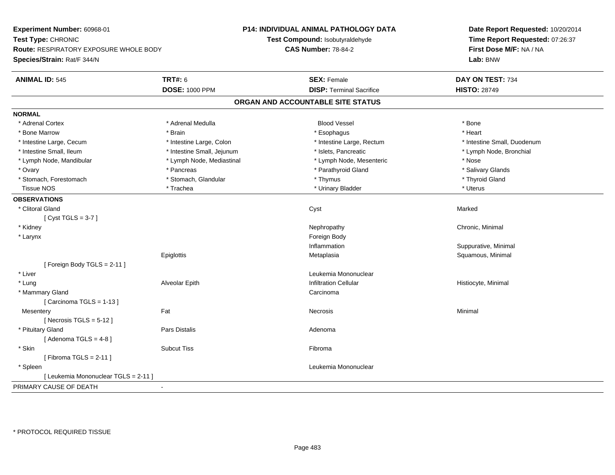**Experiment Number:** 60968-01**Test Type:** CHRONIC **Route:** RESPIRATORY EXPOSURE WHOLE BODY**Species/Strain:** Rat/F 344/N**P14: INDIVIDUAL ANIMAL PATHOLOGY DATATest Compound:** Isobutyraldehyde**CAS Number:** 78-84-2**Date Report Requested:** 10/20/2014**Time Report Requested:** 07:26:37**First Dose M/F:** NA / NA**Lab:** BNW**ANIMAL ID:** 545**TRT#:** 6 **SEX:** Female **SEX: Female DAY ON TEST:** 734 **DOSE:** 1000 PPM**DISP:** Terminal Sacrifice **HISTO:** 28749 **ORGAN AND ACCOUNTABLE SITE STATUSNORMAL**\* Adrenal Cortex \* Adrenal Cortex \* Adrenal Medulla Blood Vessel \* Bone\* Heart \* Bone Marrow \* Brain \* Esophagus \* Heart \* Intestine Large, Cecum \* Intestine Large, Colon \* Intestine Large, Rectum \* Intestine Small, Duodenum \* Intestine Small, Ileum \* Intestine Small, Jejunum \* Islets, Pancreatic \* Lymph Node, Bronchial \* Lymph Node, Mandibular \* Lymph Node, Mediastinal \* Lymph Node, Mesenteric \* Nose\* Salivary Glands \* Ovary \* \* Pancreas \* \* Pancreas \* \* Pancreas \* \* Parathyroid Gland \* \* Salivary Glands \* Salivary Glands \* Salivary Glands \* Salivary Glands \* Salivary Glands \* Salivary Glands \* Salivary Glands \* \* Salivary Glands \* \* S \* Stomach, Forestomach \* Thyroid Gland \* Stomach, Glandular \* Thymus \* Thymus \* Thymus \* Thyroid Gland \* Thyroid Gland Tissue NOS \* Trachea \* Urinary Bladder \* Uterus **OBSERVATIONS** \* Clitoral Glandd and the control of the control of the control of the control of the control of the control of the control of the control of the control of the control of the control of the control of the control of the control of the co [ Cyst TGLS = 3-7 ] \* Kidneyy the controller of the controller of the controller of the controller of the controller of the controller of the controller of the controller of the controller of the controller of the controller of the controller of the \* Larynx**x** and the contract of the contract of the contract of the contract of the contract of the contract of the contract of the contract of the contract of the contract of the contract of the contract of the contract of the co Inflammation Suppurative, Minimal **Epiglottis**  Metaplasia Squamous, Minimal [ Foreign Body TGLS = 2-11 ] \* Liver Leukemia Mononuclear \* Lung Alveolar Epith Infiltration Cellular Histiocyte, Minimal \* Mammary Glandd<sub>d</sub> Carcinoma  $[$  Carcinoma TGLS = 1-13  $]$ **Mesentery** y the control of the Minimal of the Mecrosis of the Minimal of the Minimal of the Minimal of the Minimal of the Minimal of the Minimal of the Minimal of the Minimal of the Minimal of the Minimal of the Minimal of the Minim  $[$  Necrosis TGLS = 5-12  $]$  \* Pituitary Glandd and the contract of Pars Distalis and the contract of Adenoma and Adenoma and the Adenoma and the Adenoma and  $\lambda$  $[$  Adenoma TGLS = 4-8  $]$  \* Skinn and the subset of the Subcut Tiss of the Subset of the Subset of the Subset of the Subset of the Subset of t  $[$  Fibroma TGLS = 2-11  $]$  \* Spleen Leukemia Mononuclear [ Leukemia Mononuclear TGLS = 2-11 ]PRIMARY CAUSE OF DEATH-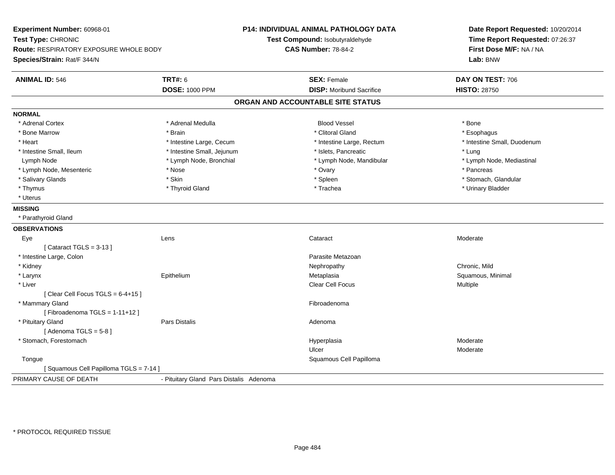**Experiment Number:** 60968-01**Test Type:** CHRONIC **Route:** RESPIRATORY EXPOSURE WHOLE BODY**Species/Strain:** Rat/F 344/N**P14: INDIVIDUAL ANIMAL PATHOLOGY DATATest Compound:** Isobutyraldehyde**CAS Number:** 78-84-2**Date Report Requested:** 10/20/2014**Time Report Requested:** 07:26:37**First Dose M/F:** NA / NA**Lab:** BNW**ANIMAL ID:** 546 **TRT#:** <sup>6</sup> **SEX:** Female **DAY ON TEST:** <sup>706</sup> **DOSE:** 1000 PPM**DISP:** Moribund Sacrifice **HISTO:** 28750 **ORGAN AND ACCOUNTABLE SITE STATUSNORMAL**\* Adrenal Cortex \* Adrenal Cortex \* Adrenal Medulla Blood Vessel \* Bone\* Esophagus \* Bone Marrow \* \* Android \* Brain \* Brain \* Clitoral Gland \* Clitoral Gland \* Esophagus \* Esophagus \* Esophagus \* Intestine Small, Duodenum \* Heart \* Intestine Large, Cecum \* Intestine Large, Cecum \* Intestine Large, Rectum \* Intestine Small, Ileum \* https://www.fatheratic \* Lung \* Intestine Small, Jejunum \* Islets, Pancreatic \* Lung \* Lung \* Lymph Node, Mediastinal Lymph Node **\*** Lymph Node, Bronchial \* Lymph Node, and \* Lymph Node, Mandibular \* Lymph Node, Mesenteric \* The state of the state of the state of the state of the state of the state of the state of the state of the state of the state of the state of the state of the state of the state of the state of \* Stomach. Glandular \* Salivary Glands \* \* Stomach, Glandular \* Skin \* Spleen \* Spleen \* Stomach, Glandular \* Stomach, Glandular \* Stomach, Glandular \* Stomach, Glandular \* Stomach, Glandular \* Stomach, Glandular \* Stomach, Glandular \* Stomach \* Thymus \* Thyroid Gland \* Trachea \* Urinary Bladder \* \* Uterus**MISSING** \* Parathyroid Gland**OBSERVATIONS** Eyee which contains the context of the context of the context of the context of the context of the context of the context of the context of the context of the context of the context of the context of the context of the contex  $[$  Cataract TGLS = 3-13  $]$  \* Intestine Large, Colonn and a state of the state of the state of the state of the state of the state of the state of the state of the state of the state of the state of the state of the state of the state of the state of the state of the state \* Kidneyy the controller of the controller of the controller of the controller of the controller of the chronic, Mild Squamous, Minimal \* Larynx Epitheliumm and the metaplasia state of the Metaplasia state of the Squamous, Minimal state of the Squamous, Minimal state of the Squamous, Minimal state of the Squamous, Minimal state of the Squamous, Minimal state of the Squamous, \* Liverr and the contract of the contract of the contract of the contract of the contract of the contract of the contract of the contract of the contract of the contract of the contract of the contract of the contract of the cont Clear Cell Focus **Multiple**  $[$  Clear Cell Focus TGLS = 6-4+15  $]$  \* Mammary Glandd **Executive Contract of Contract Contract Contract Contract Contract Contract Contract Contract Contract Contract Contract Contract Contract Contract Contract Contract Contract Contract Contract Contract Contract Contract**  $[$  Fibroadenoma TGLS = 1-11+12  $]$  \* Pituitary Glandd and the set of Pars Distalis and the Second Adenomal Adenomal Second Second Pars Distallis  $[$  Adenoma TGLS = 5-8  $]$  \* Stomach, Forestomachh ann an choimhean ann an t-ainmeile ann an t-ainmeile ann an t-ainmeile an t-ainmeile an am Moderate ann an Moderate ann an Amhan an Amhan an Amhan an Amhan an Amhan an Amhan an Amhan an Amhan an Amhan an Amhan an Amhan a Ulcer Moderate**Tongue**  Squamous Cell Papilloma [ Squamous Cell Papilloma TGLS = 7-14 ]PRIMARY CAUSE OF DEATH- Pituitary Gland Pars Distalis Adenoma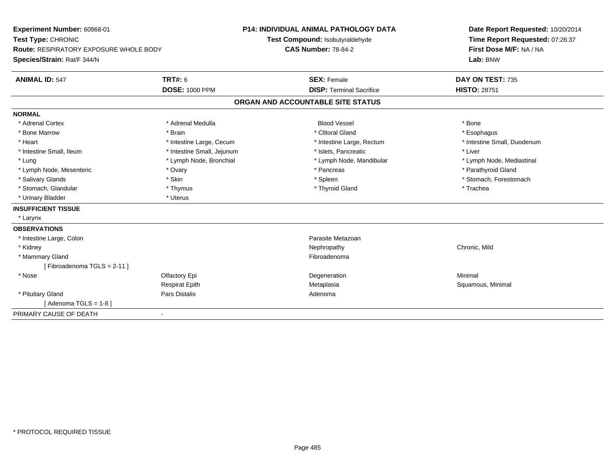| Experiment Number: 60968-01<br>Test Type: CHRONIC |                              | <b>P14: INDIVIDUAL ANIMAL PATHOLOGY DATA</b><br>Test Compound: Isobutyraldehyde |                           | Date Report Requested: 10/20/2014<br>Time Report Requested: 07:26:37 |
|---------------------------------------------------|------------------------------|---------------------------------------------------------------------------------|---------------------------|----------------------------------------------------------------------|
| <b>Route: RESPIRATORY EXPOSURE WHOLE BODY</b>     |                              | <b>CAS Number: 78-84-2</b>                                                      |                           | First Dose M/F: NA / NA                                              |
| Species/Strain: Rat/F 344/N                       |                              |                                                                                 |                           | Lab: BNW                                                             |
| <b>ANIMAL ID: 547</b>                             | <b>TRT#: 6</b>               | <b>SEX: Female</b>                                                              |                           | DAY ON TEST: 735                                                     |
|                                                   | <b>DOSE: 1000 PPM</b>        | <b>DISP: Terminal Sacrifice</b>                                                 |                           | <b>HISTO: 28751</b>                                                  |
|                                                   |                              | ORGAN AND ACCOUNTABLE SITE STATUS                                               |                           |                                                                      |
| <b>NORMAL</b>                                     |                              |                                                                                 |                           |                                                                      |
| * Adrenal Cortex                                  | * Adrenal Medulla            | <b>Blood Vessel</b>                                                             |                           | * Bone                                                               |
| * Bone Marrow                                     | * Brain                      | * Clitoral Gland                                                                |                           | * Esophagus                                                          |
| * Heart                                           | * Intestine Large, Cecum     |                                                                                 | * Intestine Large, Rectum | * Intestine Small, Duodenum                                          |
| * Intestine Small, Ileum                          | * Intestine Small, Jejunum   | * Islets, Pancreatic                                                            |                           | * Liver                                                              |
| * Lung                                            | * Lymph Node, Bronchial      |                                                                                 | * Lymph Node, Mandibular  | * Lymph Node, Mediastinal                                            |
| * Lymph Node, Mesenteric                          | * Ovary                      | * Pancreas                                                                      |                           | * Parathyroid Gland                                                  |
| * Salivary Glands                                 | * Skin                       | * Spleen                                                                        |                           | * Stomach, Forestomach                                               |
| * Stomach, Glandular                              | * Thymus                     | * Thyroid Gland                                                                 |                           | * Trachea                                                            |
| * Urinary Bladder                                 | * Uterus                     |                                                                                 |                           |                                                                      |
| <b>INSUFFICIENT TISSUE</b>                        |                              |                                                                                 |                           |                                                                      |
| * Larynx                                          |                              |                                                                                 |                           |                                                                      |
| <b>OBSERVATIONS</b>                               |                              |                                                                                 |                           |                                                                      |
| * Intestine Large, Colon                          |                              | Parasite Metazoan                                                               |                           |                                                                      |
| * Kidney                                          |                              | Nephropathy                                                                     |                           | Chronic, Mild                                                        |
| * Mammary Gland                                   |                              | Fibroadenoma                                                                    |                           |                                                                      |
| [Fibroadenoma TGLS = 2-11]                        |                              |                                                                                 |                           |                                                                      |
| * Nose                                            | Olfactory Epi                | Degeneration                                                                    |                           | Minimal                                                              |
|                                                   | <b>Respirat Epith</b>        | Metaplasia                                                                      |                           | Squamous, Minimal                                                    |
| * Pituitary Gland                                 | Pars Distalis                | Adenoma                                                                         |                           |                                                                      |
| [Adenoma TGLS = $1-8$ ]                           |                              |                                                                                 |                           |                                                                      |
| PRIMARY CAUSE OF DEATH                            | $\qquad \qquad \blacksquare$ |                                                                                 |                           |                                                                      |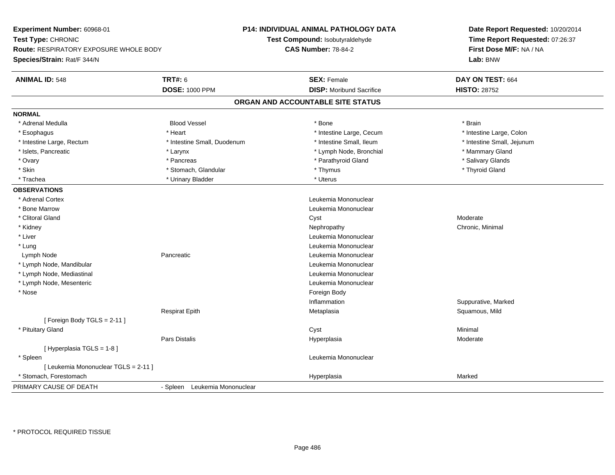| Experiment Number: 60968-01              |                                                         | Date Report Requested: 10/20/2014<br>Time Report Requested: 07:26:37 |
|------------------------------------------|---------------------------------------------------------|----------------------------------------------------------------------|
| Test Type: CHRONIC                       | Test Compound: Isobutyraldehyde                         |                                                                      |
| Route: RESPIRATORY EXPOSURE WHOLE BODY   | <b>CAS Number: 78-84-2</b>                              | First Dose M/F: NA / NA                                              |
| Species/Strain: Rat/F 344/N              |                                                         | Lab: BNW                                                             |
| <b>TRT#: 6</b><br><b>ANIMAL ID: 548</b>  | <b>SEX: Female</b>                                      | DAY ON TEST: 664                                                     |
| <b>DOSE: 1000 PPM</b>                    | <b>DISP:</b> Moribund Sacrifice                         | <b>HISTO: 28752</b>                                                  |
|                                          | ORGAN AND ACCOUNTABLE SITE STATUS                       |                                                                      |
| <b>NORMAL</b>                            |                                                         |                                                                      |
| * Adrenal Medulla<br><b>Blood Vessel</b> | * Bone                                                  | * Brain                                                              |
| * Heart<br>* Esophagus                   | * Intestine Large, Cecum                                | * Intestine Large, Colon                                             |
| * Intestine Large, Rectum                | * Intestine Small, Duodenum<br>* Intestine Small, Ileum | * Intestine Small, Jejunum                                           |
| * Islets, Pancreatic<br>$*$ Larynx       | * Lymph Node, Bronchial                                 | * Mammary Gland                                                      |
| * Ovary<br>* Pancreas                    | * Parathyroid Gland                                     | * Salivary Glands                                                    |
| * Skin<br>* Stomach, Glandular           | * Thymus                                                | * Thyroid Gland                                                      |
| * Trachea<br>* Urinary Bladder           | * Uterus                                                |                                                                      |
| <b>OBSERVATIONS</b>                      |                                                         |                                                                      |
| * Adrenal Cortex                         | Leukemia Mononuclear                                    |                                                                      |
| * Bone Marrow                            | Leukemia Mononuclear                                    |                                                                      |
| * Clitoral Gland                         | Cyst                                                    | Moderate                                                             |
| * Kidney                                 | Nephropathy                                             | Chronic, Minimal                                                     |
| * Liver                                  | Leukemia Mononuclear                                    |                                                                      |
| * Lung                                   | Leukemia Mononuclear                                    |                                                                      |
| Pancreatic<br>Lymph Node                 | Leukemia Mononuclear                                    |                                                                      |
| * Lymph Node, Mandibular                 | Leukemia Mononuclear                                    |                                                                      |
| * Lymph Node, Mediastinal                | Leukemia Mononuclear                                    |                                                                      |
| * Lymph Node, Mesenteric                 | Leukemia Mononuclear                                    |                                                                      |
| * Nose                                   | Foreign Body                                            |                                                                      |
|                                          | Inflammation                                            | Suppurative, Marked                                                  |
| <b>Respirat Epith</b>                    | Metaplasia                                              | Squamous, Mild                                                       |
| [Foreign Body TGLS = 2-11]               |                                                         |                                                                      |
| * Pituitary Gland                        | Cyst                                                    | Minimal                                                              |
| Pars Distalis                            | Hyperplasia                                             | Moderate                                                             |
| [Hyperplasia TGLS = 1-8]                 |                                                         |                                                                      |
| * Spleen                                 | Leukemia Mononuclear                                    |                                                                      |
| [ Leukemia Mononuclear TGLS = 2-11 ]     |                                                         |                                                                      |
| * Stomach, Forestomach                   | Hyperplasia                                             | Marked                                                               |
| PRIMARY CAUSE OF DEATH                   | - Spleen Leukemia Mononuclear                           |                                                                      |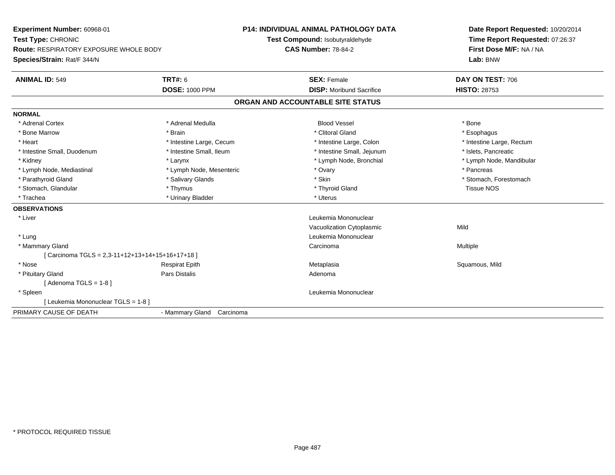| <b>Experiment Number: 60968-01</b><br>Test Type: CHRONIC |                           | <b>P14: INDIVIDUAL ANIMAL PATHOLOGY DATA</b> | Date Report Requested: 10/20/2014 |
|----------------------------------------------------------|---------------------------|----------------------------------------------|-----------------------------------|
|                                                          |                           | Test Compound: Isobutyraldehyde              | Time Report Requested: 07:26:37   |
| <b>Route: RESPIRATORY EXPOSURE WHOLE BODY</b>            |                           | <b>CAS Number: 78-84-2</b>                   | First Dose M/F: NA / NA           |
| Species/Strain: Rat/F 344/N                              |                           |                                              | Lab: BNW                          |
| <b>ANIMAL ID: 549</b>                                    | <b>TRT#: 6</b>            | <b>SEX: Female</b>                           | DAY ON TEST: 706                  |
|                                                          | <b>DOSE: 1000 PPM</b>     | <b>DISP:</b> Moribund Sacrifice              | <b>HISTO: 28753</b>               |
|                                                          |                           | ORGAN AND ACCOUNTABLE SITE STATUS            |                                   |
| <b>NORMAL</b>                                            |                           |                                              |                                   |
| * Adrenal Cortex                                         | * Adrenal Medulla         | <b>Blood Vessel</b>                          | * Bone                            |
| * Bone Marrow                                            | * Brain                   | * Clitoral Gland                             | * Esophagus                       |
| * Heart                                                  | * Intestine Large, Cecum  | * Intestine Large, Colon                     | * Intestine Large, Rectum         |
| * Intestine Small, Duodenum                              | * Intestine Small, Ileum  | * Intestine Small, Jejunum                   | * Islets, Pancreatic              |
| * Kidney                                                 | * Larynx                  | * Lymph Node, Bronchial                      | * Lymph Node, Mandibular          |
| * Lymph Node, Mediastinal                                | * Lymph Node, Mesenteric  | * Ovary                                      | * Pancreas                        |
| * Parathyroid Gland                                      | * Salivary Glands         | * Skin                                       | * Stomach, Forestomach            |
| * Stomach, Glandular                                     | * Thymus                  | * Thyroid Gland                              | <b>Tissue NOS</b>                 |
| * Trachea                                                | * Urinary Bladder         | * Uterus                                     |                                   |
| <b>OBSERVATIONS</b>                                      |                           |                                              |                                   |
| * Liver                                                  |                           | Leukemia Mononuclear                         |                                   |
|                                                          |                           | Vacuolization Cytoplasmic                    | Mild                              |
| * Lung                                                   |                           | Leukemia Mononuclear                         |                                   |
| * Mammary Gland                                          |                           | Carcinoma                                    | Multiple                          |
| [Carcinoma TGLS = 2,3-11+12+13+14+15+16+17+18]           |                           |                                              |                                   |
| * Nose                                                   | <b>Respirat Epith</b>     | Metaplasia                                   | Squamous, Mild                    |
| * Pituitary Gland                                        | Pars Distalis             | Adenoma                                      |                                   |
| [Adenoma TGLS = $1-8$ ]                                  |                           |                                              |                                   |
| * Spleen                                                 |                           | Leukemia Mononuclear                         |                                   |
| [ Leukemia Mononuclear TGLS = 1-8 ]                      |                           |                                              |                                   |
| PRIMARY CAUSE OF DEATH                                   | - Mammary Gland Carcinoma |                                              |                                   |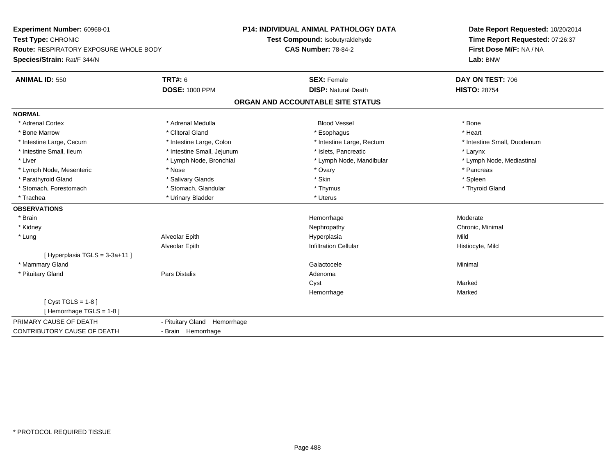**Experiment Number:** 60968-01**Test Type:** CHRONIC **Route:** RESPIRATORY EXPOSURE WHOLE BODY**Species/Strain:** Rat/F 344/N**P14: INDIVIDUAL ANIMAL PATHOLOGY DATATest Compound:** Isobutyraldehyde**CAS Number:** 78-84-2**Date Report Requested:** 10/20/2014**Time Report Requested:** 07:26:37**First Dose M/F:** NA / NA**Lab:** BNW**ANIMAL ID:** 550**TRT#:** 6 **SEX:** Female **SEX: Female DAY ON TEST:** 706 **DOSE:** 1000 PPM**DISP:** Natural Death **HISTO:** 28754 **ORGAN AND ACCOUNTABLE SITE STATUSNORMAL**\* Adrenal Cortex \* Adrenal Medulla \* \* Book \* Blood Vessel \* Book \* Bone \* Bone \* Bone \* Bone \* Bone \* Bone \* Bone \* Bone \* Bone \* Heart \* Bone Marrow \* Clitoral Gland \* Esophagus \* Heart \* Intestine Large, Cecum \* Intestine Large, Colon \* Intestine Large, Rectum \* Intestine Small, Duodenum\* Intestine Small, Ileum \* Thestine Small, Jejunum \* 1998 \* Islets, Pancreatic \* The manus \* Larynx \* Larynx \* Lymph Node, Mediastinal \* Liver \* Lymph Node, Bronchial \* Lymph Node, Mandibular \* Lymph Node, Mandibular \* Lymph Node, Mesenteric \* The state of the state of the Nose \* Ovary \* Ovary \* Pancreas \* Pancreas \* Pancreas \* Parathyroid Gland \* \* Salivary Glands \* Salivary Glands \* Skin \* Skin \* State \* Spleen \* Spleen \* Spleen \* Spleen \* Thyroid Gland \* Stomach, Forestomach \* Thymus \* Stomach, Glandular \* Thymus \* Thymus \* Thymus \* Thymus \* Thymus \* Thymus \* Thymus \* Thymus \* Thymus \* Thymus \* Thymus \* Thymus \* Thymus \* Thymus \* Thymus \* Thymus \* Thymus \* Thymus \* Thymu \* Trachea \* Urinary Bladder \* Urinary Bladder \* Urinary Bladder \* Urinary Bladder \* Urinary Bladder **OBSERVATIONS** \* Brainhemorrhage and the morrhage of the morrhage of the Moderate Moderate  $\sim$  Moderate  $\sim$  Moderate  $\sim$  \* Kidneyy the controller of the controller of the controller of the controller of the controller of the controller of the controller of the controller of the controller of the controller of the controller of the controller of the \* Lung Alveolar Epith Hyperplasia Mild Alveolar EpithInfiltration Cellular **Histiocyte**, Mild  $[$  Hyperplasia TGLS = 3-3a+11 ] \* Mammary Glandd and the control of the control of the control of the Galactocele and the control of the Minimal of the control of the control of the control of the control of the control of the control of the control of the control of t \* Pituitary Glandd and the contract of Pars Distalis and the contract of Adenoma and Adenoma and the Adenoma and the Adenoma and  $\lambda$ Cystt **the contract of the contract of the contract of the contract of the contract of the contract of the contract of the contract of the contract of the contract of the contract of the contract of the contract of the contrac** Marked Hemorrhagee Marked  $[$  Cyst TGLS = 1-8  $]$ [ Hemorrhage TGLS = 1-8 ]PRIMARY CAUSE OF DEATH - Pituitary Gland Hemorrhage CONTRIBUTORY CAUSE OF DEATH- Brain Hemorrhage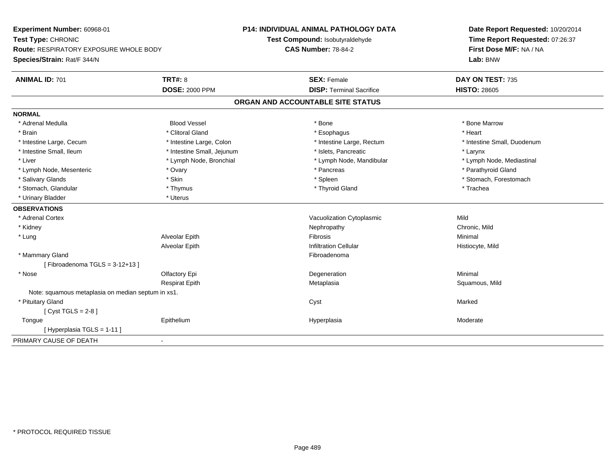| Experiment Number: 60968-01                        |                            | <b>P14: INDIVIDUAL ANIMAL PATHOLOGY DATA</b> | Date Report Requested: 10/20/2014                          |
|----------------------------------------------------|----------------------------|----------------------------------------------|------------------------------------------------------------|
| Test Type: CHRONIC                                 |                            | Test Compound: Isobutyraldehyde              | Time Report Requested: 07:26:37<br>First Dose M/F: NA / NA |
| <b>Route: RESPIRATORY EXPOSURE WHOLE BODY</b>      |                            | <b>CAS Number: 78-84-2</b>                   |                                                            |
| Species/Strain: Rat/F 344/N                        |                            |                                              | Lab: BNW                                                   |
| <b>ANIMAL ID: 701</b>                              | <b>TRT#: 8</b>             | <b>SEX: Female</b>                           | DAY ON TEST: 735                                           |
|                                                    | <b>DOSE: 2000 PPM</b>      | <b>DISP: Terminal Sacrifice</b>              | <b>HISTO: 28605</b>                                        |
|                                                    |                            | ORGAN AND ACCOUNTABLE SITE STATUS            |                                                            |
| <b>NORMAL</b>                                      |                            |                                              |                                                            |
| * Adrenal Medulla                                  | <b>Blood Vessel</b>        | * Bone                                       | * Bone Marrow                                              |
| * Brain                                            | * Clitoral Gland           | * Esophagus                                  | * Heart                                                    |
| * Intestine Large, Cecum                           | * Intestine Large, Colon   | * Intestine Large, Rectum                    | * Intestine Small, Duodenum                                |
| * Intestine Small, Ileum                           | * Intestine Small, Jejunum | * Islets, Pancreatic                         | * Larynx                                                   |
| * Liver                                            | * Lymph Node, Bronchial    | * Lymph Node, Mandibular                     | * Lymph Node, Mediastinal                                  |
| * Lymph Node, Mesenteric                           | * Ovary                    | * Pancreas                                   | * Parathyroid Gland                                        |
| * Salivary Glands                                  | * Skin                     | * Spleen                                     | * Stomach, Forestomach                                     |
| * Stomach, Glandular                               | * Thymus                   | * Thyroid Gland                              | * Trachea                                                  |
| * Urinary Bladder                                  | * Uterus                   |                                              |                                                            |
| <b>OBSERVATIONS</b>                                |                            |                                              |                                                            |
| * Adrenal Cortex                                   |                            | Vacuolization Cytoplasmic                    | Mild                                                       |
| * Kidney                                           |                            | Nephropathy                                  | Chronic, Mild                                              |
| * Lung                                             | Alveolar Epith             | Fibrosis                                     | Minimal                                                    |
|                                                    | Alveolar Epith             | <b>Infiltration Cellular</b>                 | Histiocyte, Mild                                           |
| * Mammary Gland                                    |                            | Fibroadenoma                                 |                                                            |
| [Fibroadenoma TGLS = $3-12+13$ ]                   |                            |                                              |                                                            |
| * Nose                                             | Olfactory Epi              | Degeneration                                 | Minimal                                                    |
|                                                    | <b>Respirat Epith</b>      | Metaplasia                                   | Squamous, Mild                                             |
| Note: squamous metaplasia on median septum in xs1. |                            |                                              |                                                            |
| * Pituitary Gland                                  |                            | Cyst                                         | Marked                                                     |
| [Cyst TGLS = $2-8$ ]                               |                            |                                              |                                                            |
| Tongue                                             | Epithelium                 | Hyperplasia                                  | Moderate                                                   |
| [Hyperplasia TGLS = 1-11]                          |                            |                                              |                                                            |
| PRIMARY CAUSE OF DEATH<br>$\blacksquare$           |                            |                                              |                                                            |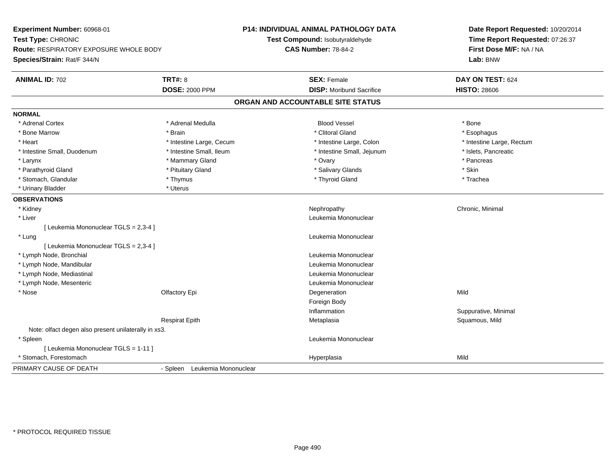| Experiment Number: 60968-01<br>Test Type: CHRONIC<br><b>Route: RESPIRATORY EXPOSURE WHOLE BODY</b><br>Species/Strain: Rat/F 344/N |                               | <b>P14: INDIVIDUAL ANIMAL PATHOLOGY DATA</b><br>Test Compound: Isobutyraldehyde<br><b>CAS Number: 78-84-2</b> | Date Report Requested: 10/20/2014<br>Time Report Requested: 07:26:37<br>First Dose M/F: NA / NA<br>Lab: BNW |
|-----------------------------------------------------------------------------------------------------------------------------------|-------------------------------|---------------------------------------------------------------------------------------------------------------|-------------------------------------------------------------------------------------------------------------|
| <b>ANIMAL ID: 702</b>                                                                                                             | <b>TRT#: 8</b>                | <b>SEX: Female</b>                                                                                            | DAY ON TEST: 624                                                                                            |
|                                                                                                                                   | <b>DOSE: 2000 PPM</b>         | <b>DISP:</b> Moribund Sacrifice                                                                               | <b>HISTO: 28606</b>                                                                                         |
|                                                                                                                                   |                               | ORGAN AND ACCOUNTABLE SITE STATUS                                                                             |                                                                                                             |
| <b>NORMAL</b>                                                                                                                     |                               |                                                                                                               |                                                                                                             |
| * Adrenal Cortex                                                                                                                  | * Adrenal Medulla             | <b>Blood Vessel</b>                                                                                           | * Bone                                                                                                      |
| * Bone Marrow                                                                                                                     | * Brain                       | * Clitoral Gland                                                                                              | * Esophagus                                                                                                 |
| * Heart                                                                                                                           | * Intestine Large, Cecum      | * Intestine Large, Colon                                                                                      | * Intestine Large, Rectum                                                                                   |
| * Intestine Small, Duodenum                                                                                                       | * Intestine Small, Ileum      | * Intestine Small, Jejunum                                                                                    | * Islets, Pancreatic                                                                                        |
| * Larynx                                                                                                                          | * Mammary Gland               | * Ovary                                                                                                       | * Pancreas                                                                                                  |
| * Parathyroid Gland                                                                                                               | * Pituitary Gland             | * Salivary Glands                                                                                             | * Skin                                                                                                      |
| * Stomach, Glandular                                                                                                              | * Thymus                      | * Thyroid Gland                                                                                               | * Trachea                                                                                                   |
| * Urinary Bladder                                                                                                                 | * Uterus                      |                                                                                                               |                                                                                                             |
| <b>OBSERVATIONS</b>                                                                                                               |                               |                                                                                                               |                                                                                                             |
| * Kidney                                                                                                                          |                               | Nephropathy                                                                                                   | Chronic, Minimal                                                                                            |
| * Liver                                                                                                                           |                               | Leukemia Mononuclear                                                                                          |                                                                                                             |
| [ Leukemia Mononuclear TGLS = 2,3-4 ]                                                                                             |                               |                                                                                                               |                                                                                                             |
| * Lung                                                                                                                            |                               | Leukemia Mononuclear                                                                                          |                                                                                                             |
| [ Leukemia Mononuclear TGLS = 2,3-4 ]                                                                                             |                               |                                                                                                               |                                                                                                             |
| * Lymph Node, Bronchial                                                                                                           |                               | Leukemia Mononuclear                                                                                          |                                                                                                             |
| * Lymph Node, Mandibular                                                                                                          |                               | Leukemia Mononuclear                                                                                          |                                                                                                             |
| * Lymph Node, Mediastinal                                                                                                         |                               | Leukemia Mononuclear                                                                                          |                                                                                                             |
| * Lymph Node, Mesenteric                                                                                                          |                               | Leukemia Mononuclear                                                                                          |                                                                                                             |
| * Nose                                                                                                                            | Olfactory Epi                 | Degeneration                                                                                                  | Mild                                                                                                        |
|                                                                                                                                   |                               | Foreign Body                                                                                                  |                                                                                                             |
|                                                                                                                                   |                               | Inflammation                                                                                                  | Suppurative, Minimal                                                                                        |
|                                                                                                                                   | <b>Respirat Epith</b>         | Metaplasia                                                                                                    | Squamous, Mild                                                                                              |
| Note: olfact degen also present unilaterally in xs3.                                                                              |                               |                                                                                                               |                                                                                                             |
| * Spleen                                                                                                                          |                               | Leukemia Mononuclear                                                                                          |                                                                                                             |
| [ Leukemia Mononuclear TGLS = 1-11 ]                                                                                              |                               |                                                                                                               |                                                                                                             |
| * Stomach, Forestomach                                                                                                            |                               | Hyperplasia                                                                                                   | Mild                                                                                                        |
| PRIMARY CAUSE OF DEATH                                                                                                            | - Spleen Leukemia Mononuclear |                                                                                                               |                                                                                                             |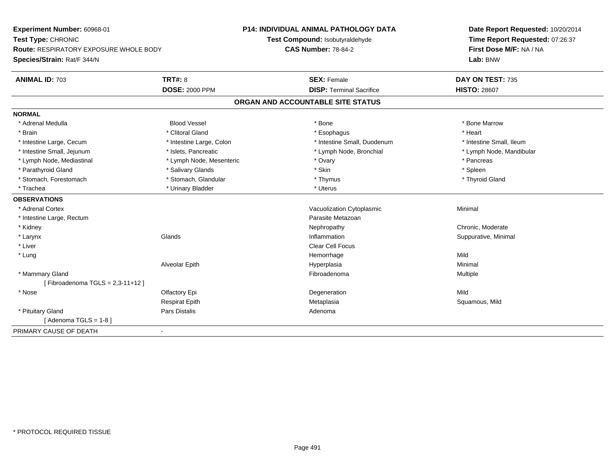| Experiment Number: 60968-01<br>Test Type: CHRONIC |                          | <b>P14: INDIVIDUAL ANIMAL PATHOLOGY DATA</b> | Date Report Requested: 10/20/2014<br>Time Report Requested: 07:26:37 |
|---------------------------------------------------|--------------------------|----------------------------------------------|----------------------------------------------------------------------|
|                                                   |                          | Test Compound: Isobutyraldehyde              |                                                                      |
| Route: RESPIRATORY EXPOSURE WHOLE BODY            |                          | <b>CAS Number: 78-84-2</b>                   | First Dose M/F: NA / NA                                              |
| Species/Strain: Rat/F 344/N                       |                          |                                              | Lab: BNW                                                             |
| <b>ANIMAL ID: 703</b>                             | <b>TRT#: 8</b>           | <b>SEX: Female</b>                           | DAY ON TEST: 735                                                     |
|                                                   | <b>DOSE: 2000 PPM</b>    | <b>DISP: Terminal Sacrifice</b>              | <b>HISTO: 28607</b>                                                  |
|                                                   |                          | ORGAN AND ACCOUNTABLE SITE STATUS            |                                                                      |
| <b>NORMAL</b>                                     |                          |                                              |                                                                      |
| * Adrenal Medulla                                 | <b>Blood Vessel</b>      | * Bone                                       | * Bone Marrow                                                        |
| * Brain                                           | * Clitoral Gland         | * Esophagus                                  | * Heart                                                              |
| * Intestine Large, Cecum                          | * Intestine Large, Colon | * Intestine Small, Duodenum                  | * Intestine Small, Ileum                                             |
| * Intestine Small, Jejunum                        | * Islets, Pancreatic     | * Lymph Node, Bronchial                      | * Lymph Node, Mandibular                                             |
| * Lymph Node, Mediastinal                         | * Lymph Node, Mesenteric | * Ovary                                      | * Pancreas                                                           |
| * Parathyroid Gland                               | * Salivary Glands        | * Skin                                       | * Spleen                                                             |
| * Stomach, Forestomach                            | * Stomach, Glandular     | * Thymus                                     | * Thyroid Gland                                                      |
| * Trachea                                         | * Urinary Bladder        | * Uterus                                     |                                                                      |
| <b>OBSERVATIONS</b>                               |                          |                                              |                                                                      |
| * Adrenal Cortex                                  |                          | Vacuolization Cytoplasmic                    | Minimal                                                              |
| * Intestine Large, Rectum                         |                          | Parasite Metazoan                            |                                                                      |
| * Kidney                                          |                          | Nephropathy                                  | Chronic, Moderate                                                    |
| * Larynx                                          | Glands                   | Inflammation                                 | Suppurative, Minimal                                                 |
| * Liver                                           |                          | <b>Clear Cell Focus</b>                      |                                                                      |
| * Lung                                            |                          | Hemorrhage                                   | Mild                                                                 |
|                                                   | Alveolar Epith           | Hyperplasia                                  | Minimal                                                              |
| * Mammary Gland                                   |                          | Fibroadenoma                                 | Multiple                                                             |
| [Fibroadenoma TGLS = $2,3-11+12$ ]                |                          |                                              |                                                                      |
| * Nose                                            | Olfactory Epi            | Degeneration                                 | Mild                                                                 |
|                                                   | <b>Respirat Epith</b>    | Metaplasia                                   | Squamous, Mild                                                       |
| * Pituitary Gland                                 | <b>Pars Distalis</b>     | Adenoma                                      |                                                                      |
| [Adenoma TGLS = $1-8$ ]                           |                          |                                              |                                                                      |
| PRIMARY CAUSE OF DEATH                            |                          |                                              |                                                                      |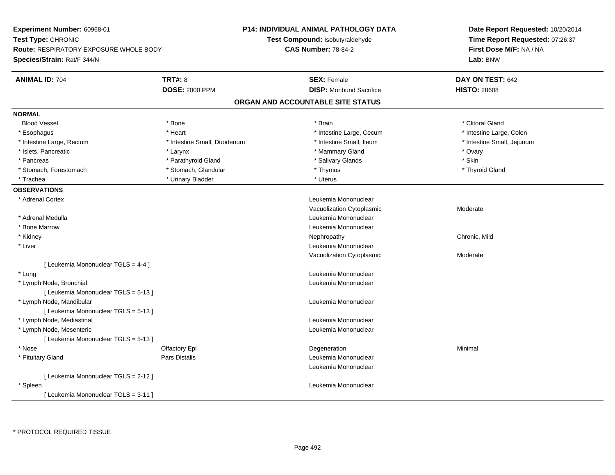**Experiment Number:** 60968-01**Test Type:** CHRONIC **Route:** RESPIRATORY EXPOSURE WHOLE BODY**Species/Strain:** Rat/F 344/N**P14: INDIVIDUAL ANIMAL PATHOLOGY DATATest Compound:** Isobutyraldehyde**CAS Number:** 78-84-2**Date Report Requested:** 10/20/2014**Time Report Requested:** 07:26:37**First Dose M/F:** NA / NA**Lab:** BNW**ANIMAL ID:** 704**TRT#:** 8 **SEX:** Female **SEX: Female DAY ON TEST:** 642 **DOSE:** 2000 PPM**DISP:** Moribund Sacrifice **HISTO:** 28608 **ORGAN AND ACCOUNTABLE SITE STATUSNORMALBlood Vessel** Blood Vessel \* \* Andrew \* Bone \* \* Brain \* \* Brain \* \* Brain \* \* Clitoral Gland \* Clitoral Gland \* Clitoral Gland \* Intestine Large, Colon \* Esophagus \* **Intestine Large, Cecum \* Intestine Large, Cecum \* Intestine Large, Cecum \*** Intestine Large, Cecum \* Intestine Large, Rectum \* Thestine Small, Duodenum \* Number of the small, Ileum \* Intestine Small, Jejunum \* Intestine Small, Jejunum \* Islets, Pancreatic \* \* And \* Ovary \* Larynx \* Larynx \* Mammary Gland \* Mammary Gland \* \* Ovary \* Ovary \* Ovary \* Skin \* Pancreas \* Pancreas \* Parathyroid Gland \* The state of the state of the state of the state of the state of the state of the state of the state of the state of the state of the state of the state of the state of the state \* Thyroid Gland \* Stomach, Forestomach \* Thymus \* Stomach, Glandular \* Thymus \* Thymus \* Thymus \* Thymus \* Thymus \* Thymus \* Thymus \* Thymus \* Thymus \* Thymus \* Thymus \* Thymus \* Thymus \* Thymus \* Thymus \* Thymus \* Thymus \* Thymus \* Thymu \* Trachea \* Urinary Bladder \* Urinary Bladder \* Urinary Bladder \* Uterus **OBSERVATIONS** \* Adrenal Cortex Leukemia Mononuclear Vacuolization Cytoplasmic Moderate \* Adrenal Medulla Leukemia Mononuclear \* Bone MarrowLeukemia Mononuclear<br>Nephropathy \* Kidneyy the controller of the controller of the controller of the controller of the controller of the chronic, Mild \* Liver Leukemia Mononuclear Vacuolization Cytoplasmic Moderate[ Leukemia Mononuclear TGLS = 4-4 ] \* Lungg and the set of the set of the set of the set of the set of the set of the set of the set of the set of the set of the set of the set of the set of the set of the set of the set of the set of the set of the set of the set \* Lymph Node, Bronchial Leukemia Mononuclear[ Leukemia Mononuclear TGLS = 5-13 ] \* Lymph Node, Mandibular Leukemia Mononuclear [ Leukemia Mononuclear TGLS = 5-13 ] \* Lymph Node, Mediastinal Leukemia Mononuclear \* Lymph Node, Mesenteric Leukemia Mononuclear [ Leukemia Mononuclear TGLS = 5-13 ] \* Nosee and the Colombia Colombia Degeneration and the Colombia Degeneration and the Colombia Minimal Minimal of the Minimal State of the Colombia Degeneration and the Minimal of the Colombia Degeneration of the Colombia Degener \* Pituitary GlandPars Distalis **Leukemia Mononuclear** Leukemia Mononuclear[ Leukemia Mononuclear TGLS = 2-12 ] \* Spleen Leukemia Mononuclear [ Leukemia Mononuclear TGLS = 3-11 ]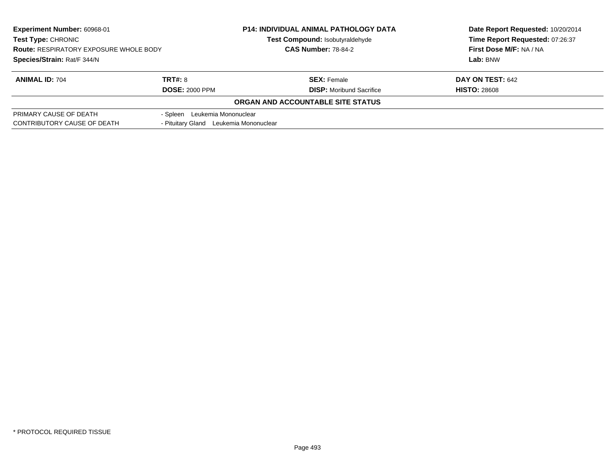| Experiment Number: 60968-01<br><b>Test Type: CHRONIC</b><br><b>Route: RESPIRATORY EXPOSURE WHOLE BODY</b> |                                        | <b>P14: INDIVIDUAL ANIMAL PATHOLOGY DATA</b> | Date Report Requested: 10/20/2014 |
|-----------------------------------------------------------------------------------------------------------|----------------------------------------|----------------------------------------------|-----------------------------------|
|                                                                                                           |                                        | Test Compound: Isobutyraldehyde              | Time Report Requested: 07:26:37   |
|                                                                                                           |                                        | <b>CAS Number: 78-84-2</b>                   | First Dose M/F: NA / NA           |
| Species/Strain: Rat/F 344/N                                                                               |                                        |                                              | Lab: BNW                          |
| <b>ANIMAL ID: 704</b>                                                                                     | TRT#: 8                                | <b>SEX: Female</b>                           | <b>DAY ON TEST: 642</b>           |
|                                                                                                           | <b>DOSE: 2000 PPM</b>                  | <b>DISP:</b> Moribund Sacrifice              | <b>HISTO: 28608</b>               |
|                                                                                                           |                                        | ORGAN AND ACCOUNTABLE SITE STATUS            |                                   |
| PRIMARY CAUSE OF DEATH                                                                                    | - Spleen Leukemia Mononuclear          |                                              |                                   |
| CONTRIBUTORY CAUSE OF DEATH                                                                               | - Pituitary Gland Leukemia Mononuclear |                                              |                                   |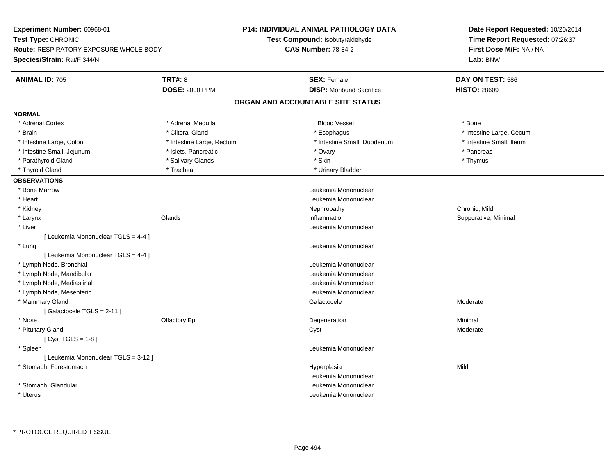| Experiment Number: 60968-01                   |                           | <b>P14: INDIVIDUAL ANIMAL PATHOLOGY DATA</b> | Date Report Requested: 10/20/2014<br>Time Report Requested: 07:26:37 |  |
|-----------------------------------------------|---------------------------|----------------------------------------------|----------------------------------------------------------------------|--|
| Test Type: CHRONIC                            |                           | Test Compound: Isobutyraldehyde              |                                                                      |  |
| <b>Route: RESPIRATORY EXPOSURE WHOLE BODY</b> |                           | <b>CAS Number: 78-84-2</b>                   | First Dose M/F: NA / NA                                              |  |
| Species/Strain: Rat/F 344/N                   |                           |                                              | Lab: BNW                                                             |  |
| <b>ANIMAL ID: 705</b>                         | <b>TRT#: 8</b>            | <b>SEX: Female</b>                           | DAY ON TEST: 586                                                     |  |
|                                               | <b>DOSE: 2000 PPM</b>     | <b>DISP:</b> Moribund Sacrifice              | <b>HISTO: 28609</b>                                                  |  |
|                                               |                           | ORGAN AND ACCOUNTABLE SITE STATUS            |                                                                      |  |
| <b>NORMAL</b>                                 |                           |                                              |                                                                      |  |
| * Adrenal Cortex                              | * Adrenal Medulla         | <b>Blood Vessel</b>                          | * Bone                                                               |  |
| * Brain                                       | * Clitoral Gland          | * Esophagus                                  | * Intestine Large, Cecum                                             |  |
| * Intestine Large, Colon                      | * Intestine Large, Rectum | * Intestine Small, Duodenum                  | * Intestine Small, Ileum                                             |  |
| * Intestine Small, Jejunum                    | * Islets, Pancreatic      | * Ovary                                      | * Pancreas                                                           |  |
| * Parathyroid Gland                           | * Salivary Glands         | * Skin                                       | * Thymus                                                             |  |
| * Thyroid Gland                               | * Trachea                 | * Urinary Bladder                            |                                                                      |  |
| <b>OBSERVATIONS</b>                           |                           |                                              |                                                                      |  |
| * Bone Marrow                                 |                           | Leukemia Mononuclear                         |                                                                      |  |
| * Heart                                       |                           | Leukemia Mononuclear                         |                                                                      |  |
| * Kidney                                      |                           | Nephropathy                                  | Chronic, Mild                                                        |  |
| * Larynx                                      | Glands                    | Inflammation                                 | Suppurative, Minimal                                                 |  |
| * Liver                                       |                           | Leukemia Mononuclear                         |                                                                      |  |
| [ Leukemia Mononuclear TGLS = 4-4 ]           |                           |                                              |                                                                      |  |
| * Lung                                        |                           | Leukemia Mononuclear                         |                                                                      |  |
| [ Leukemia Mononuclear TGLS = 4-4 ]           |                           |                                              |                                                                      |  |
| * Lymph Node, Bronchial                       |                           | Leukemia Mononuclear                         |                                                                      |  |
| * Lymph Node, Mandibular                      |                           | Leukemia Mononuclear                         |                                                                      |  |
| * Lymph Node, Mediastinal                     |                           | Leukemia Mononuclear                         |                                                                      |  |
| * Lymph Node, Mesenteric                      |                           | Leukemia Mononuclear                         |                                                                      |  |
| * Mammary Gland                               |                           | Galactocele                                  | Moderate                                                             |  |
| [ Galactocele TGLS = $2-11$ ]                 |                           |                                              |                                                                      |  |
| * Nose                                        | Olfactory Epi             | Degeneration                                 | Minimal                                                              |  |
| * Pituitary Gland                             |                           | Cyst                                         | Moderate                                                             |  |
| [Cyst TGLS = $1-8$ ]                          |                           |                                              |                                                                      |  |
| * Spleen                                      |                           | Leukemia Mononuclear                         |                                                                      |  |
| [ Leukemia Mononuclear TGLS = 3-12 ]          |                           |                                              |                                                                      |  |
| * Stomach, Forestomach                        |                           | Hyperplasia                                  | Mild                                                                 |  |
|                                               |                           | Leukemia Mononuclear                         |                                                                      |  |
| * Stomach, Glandular                          |                           | Leukemia Mononuclear                         |                                                                      |  |
| * Uterus                                      |                           | Leukemia Mononuclear                         |                                                                      |  |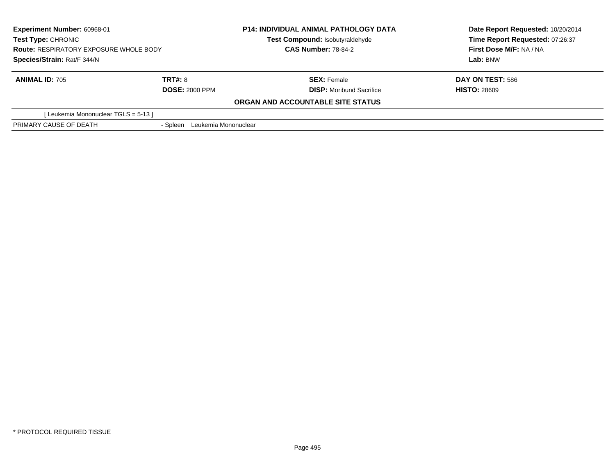| Experiment Number: 60968-01<br><b>Test Type: CHRONIC</b><br><b>Route: RESPIRATORY EXPOSURE WHOLE BODY</b><br>Species/Strain: Rat/F 344/N |                                  | <b>P14: INDIVIDUAL ANIMAL PATHOLOGY DATA</b><br>Test Compound: Isobutyraldehyde<br><b>CAS Number: 78-84-2</b> | Date Report Requested: 10/20/2014<br>Time Report Requested: 07:26:37<br>First Dose M/F: NA / NA<br>Lab: BNW |
|------------------------------------------------------------------------------------------------------------------------------------------|----------------------------------|---------------------------------------------------------------------------------------------------------------|-------------------------------------------------------------------------------------------------------------|
|                                                                                                                                          |                                  |                                                                                                               |                                                                                                             |
| <b>ANIMAL ID: 705</b>                                                                                                                    | <b>TRT#: 8</b>                   | <b>SEX: Female</b>                                                                                            | <b>DAY ON TEST: 586</b>                                                                                     |
|                                                                                                                                          | <b>DOSE: 2000 PPM</b>            | <b>DISP:</b> Moribund Sacrifice                                                                               | <b>HISTO: 28609</b>                                                                                         |
|                                                                                                                                          |                                  | <b>ORGAN AND ACCOUNTABLE SITE STATUS</b>                                                                      |                                                                                                             |
| [ Leukemia Mononuclear TGLS = 5-13 ]                                                                                                     |                                  |                                                                                                               |                                                                                                             |
| PRIMARY CAUSE OF DEATH                                                                                                                   | Leukemia Mononuclear<br>- Spleen |                                                                                                               |                                                                                                             |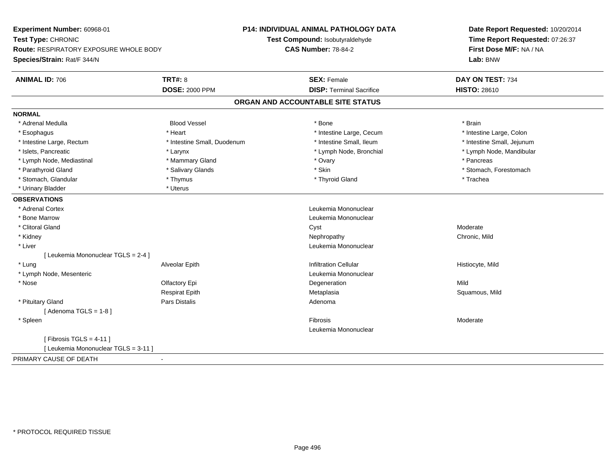| Experiment Number: 60968-01              |                             | P14: INDIVIDUAL ANIMAL PATHOLOGY DATA | Date Report Requested: 10/20/2014<br>Time Report Requested: 07:26:37 |
|------------------------------------------|-----------------------------|---------------------------------------|----------------------------------------------------------------------|
| Test Type: CHRONIC                       |                             | Test Compound: Isobutyraldehyde       |                                                                      |
| Route: RESPIRATORY EXPOSURE WHOLE BODY   |                             | <b>CAS Number: 78-84-2</b>            | First Dose M/F: NA / NA                                              |
| Species/Strain: Rat/F 344/N              |                             |                                       | Lab: BNW                                                             |
| <b>ANIMAL ID: 706</b>                    | <b>TRT#: 8</b>              | <b>SEX: Female</b>                    | DAY ON TEST: 734                                                     |
|                                          | <b>DOSE: 2000 PPM</b>       | <b>DISP: Terminal Sacrifice</b>       | <b>HISTO: 28610</b>                                                  |
|                                          |                             | ORGAN AND ACCOUNTABLE SITE STATUS     |                                                                      |
| <b>NORMAL</b>                            |                             |                                       |                                                                      |
| * Adrenal Medulla                        | <b>Blood Vessel</b>         | * Bone                                | * Brain                                                              |
| * Esophagus                              | * Heart                     | * Intestine Large, Cecum              | * Intestine Large, Colon                                             |
| * Intestine Large, Rectum                | * Intestine Small, Duodenum | * Intestine Small, Ileum              | * Intestine Small, Jejunum                                           |
| * Islets, Pancreatic                     | * Larynx                    | * Lymph Node, Bronchial               | * Lymph Node, Mandibular                                             |
| * Lymph Node, Mediastinal                | * Mammary Gland             | * Ovary                               | * Pancreas                                                           |
| * Parathyroid Gland                      | * Salivary Glands           | * Skin                                | * Stomach, Forestomach                                               |
| * Stomach, Glandular                     | * Thymus                    | * Thyroid Gland                       | * Trachea                                                            |
| * Urinary Bladder                        | * Uterus                    |                                       |                                                                      |
| <b>OBSERVATIONS</b>                      |                             |                                       |                                                                      |
| * Adrenal Cortex                         |                             | Leukemia Mononuclear                  |                                                                      |
| * Bone Marrow                            |                             | Leukemia Mononuclear                  |                                                                      |
| * Clitoral Gland                         |                             | Cyst                                  | Moderate                                                             |
| * Kidney                                 |                             | Nephropathy                           | Chronic, Mild                                                        |
| * Liver                                  |                             | Leukemia Mononuclear                  |                                                                      |
| [ Leukemia Mononuclear TGLS = 2-4 ]      |                             |                                       |                                                                      |
| * Lung                                   | Alveolar Epith              | <b>Infiltration Cellular</b>          | Histiocyte, Mild                                                     |
| * Lymph Node, Mesenteric                 |                             | Leukemia Mononuclear                  |                                                                      |
| * Nose                                   | Olfactory Epi               | Degeneration                          | Mild                                                                 |
|                                          | <b>Respirat Epith</b>       | Metaplasia                            | Squamous, Mild                                                       |
| * Pituitary Gland                        | Pars Distalis               | Adenoma                               |                                                                      |
| [Adenoma TGLS = $1-8$ ]                  |                             |                                       |                                                                      |
| * Spleen                                 |                             | Fibrosis                              | Moderate                                                             |
|                                          |                             | Leukemia Mononuclear                  |                                                                      |
| [Fibrosis TGLS = $4-11$ ]                |                             |                                       |                                                                      |
| [ Leukemia Mononuclear TGLS = 3-11 ]     |                             |                                       |                                                                      |
| PRIMARY CAUSE OF DEATH<br>$\blacksquare$ |                             |                                       |                                                                      |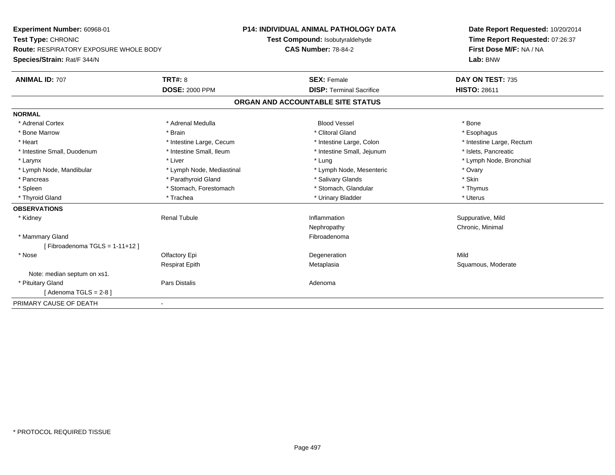**Experiment Number:** 60968-01**Test Type:** CHRONIC **Route:** RESPIRATORY EXPOSURE WHOLE BODY**Species/Strain:** Rat/F 344/N**P14: INDIVIDUAL ANIMAL PATHOLOGY DATATest Compound:** Isobutyraldehyde**CAS Number:** 78-84-2**Date Report Requested:** 10/20/2014**Time Report Requested:** 07:26:37**First Dose M/F:** NA / NA**Lab:** BNW**ANIMAL ID:** 707**TRT#:** 8 **SEX:** Female **SEX: Female DAY ON TEST:** 735 **DOSE:** 2000 PPM**DISP:** Terminal Sacrifice **HISTO:** 28611 **ORGAN AND ACCOUNTABLE SITE STATUSNORMAL**\* Adrenal Cortex \* Adrenal Medulla \* \* Book \* Blood Vessel \* Book \* Bone \* Bone \* Bone \* Bone \* Bone \* Bone \* Bone \* Bone \* Bone \* Esophagus \* Bone Marrow \* \* Android \* Brain \* Brain \* Clitoral Gland \* Clitoral Gland \* Esophagus \* Esophagus \* Esophagus \* Intestine Large, Rectum \* Heart \* Intestine Large, Cecum \* Intestine Large, Cecum \* Intestine Large, Colon \* Intestine Small, Duodenum \* Intestine Small, Ileum \* Intestine Small, Intestine Small, Jejunum \* Islets, Pancreatic \* Larynx \* Louis \* Liver \* Lung \* Lung \* Lung \* Lung \* Lung \* Lymph Node, Bronchial \* Lymph Node, Bronchial \* \* Lymph Node, Mandibular \* Lymph Node, Mediastinal \* Number \* Lymph Node, Mesenteric \* Ovary \* Ovary \* Skin \* Pancreas \* Pancreas \* Pancreas \* Pancreas \* Pancreas \* Salivary Glands \* Salivary Glands \* Salivary Glands \* \* Thymus \* Spleen \* Stomach, Forestomach \* Stomach, Forestomach \* Stomach, Glandular \* Stomach, Glandular \* Uterus \* Thyroid Gland \* \* Trachea \* \* Trachea \* Trachea \* \* Urinary Bladder \* \* Urinary Bladder \* \* Uterus \* Uterus **OBSERVATIONS** \* Kidney Renal TubuleInflammation **Suppurative, Mild** Nephropathy Chronic, Minimal \* Mammary Glandd **Executive Contract of the Contract Contract Contract Contract Contract Contract Contract Contract Contract Contract Contract Contract Contract Contract Contract Contract Contract Contract Contract Contract Contract Cont**  $[$  Fibroadenoma TGLS = 1-11+12  $]$  \* Nosee and the Contractory Epi and the Contractor of the Contractor of the Contractor of the Mild of the Mild of the Mild of the Mild of the Contractor of the Mild of the Contractor of the Contractor of the Contractor of the Co Respirat EpithMetaplasia **Squamous**, Moderate Note: median septum on xs1. \* Pituitary Glandd and the contract of Pars Distalis and the contract of Adenoma and Adenoma and the Adenoma and the Adenoma and  $\lambda$  $[$  Adenoma TGLS = 2-8  $]$ PRIMARY CAUSE OF DEATH-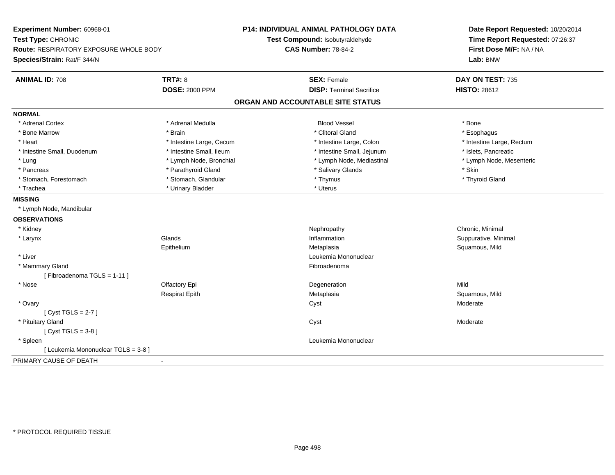| Experiment Number: 60968-01                   |                          | <b>P14: INDIVIDUAL ANIMAL PATHOLOGY DATA</b> | Date Report Requested: 10/20/2014 |
|-----------------------------------------------|--------------------------|----------------------------------------------|-----------------------------------|
| Test Type: CHRONIC                            |                          | Test Compound: Isobutyraldehyde              | Time Report Requested: 07:26:37   |
| <b>Route: RESPIRATORY EXPOSURE WHOLE BODY</b> |                          | <b>CAS Number: 78-84-2</b>                   | First Dose M/F: NA / NA           |
| Species/Strain: Rat/F 344/N                   |                          |                                              | Lab: BNW                          |
| <b>ANIMAL ID: 708</b>                         | <b>TRT#: 8</b>           | <b>SEX: Female</b>                           | DAY ON TEST: 735                  |
|                                               | <b>DOSE: 2000 PPM</b>    | <b>DISP: Terminal Sacrifice</b>              | <b>HISTO: 28612</b>               |
|                                               |                          | ORGAN AND ACCOUNTABLE SITE STATUS            |                                   |
| <b>NORMAL</b>                                 |                          |                                              |                                   |
| * Adrenal Cortex                              | * Adrenal Medulla        | <b>Blood Vessel</b>                          | * Bone                            |
| * Bone Marrow                                 | * Brain                  | * Clitoral Gland                             | * Esophagus                       |
| * Heart                                       | * Intestine Large, Cecum | * Intestine Large, Colon                     | * Intestine Large, Rectum         |
| * Intestine Small, Duodenum                   | * Intestine Small, Ileum | * Intestine Small, Jejunum                   | * Islets, Pancreatic              |
| * Lung                                        | * Lymph Node, Bronchial  | * Lymph Node, Mediastinal                    | * Lymph Node, Mesenteric          |
| * Pancreas                                    | * Parathyroid Gland      | * Salivary Glands                            | * Skin                            |
| * Stomach, Forestomach                        | * Stomach, Glandular     | * Thymus                                     | * Thyroid Gland                   |
| * Trachea                                     | * Urinary Bladder        | * Uterus                                     |                                   |
| <b>MISSING</b>                                |                          |                                              |                                   |
| * Lymph Node, Mandibular                      |                          |                                              |                                   |
| <b>OBSERVATIONS</b>                           |                          |                                              |                                   |
| * Kidney                                      |                          | Nephropathy                                  | Chronic, Minimal                  |
| * Larynx                                      | Glands                   | Inflammation                                 | Suppurative, Minimal              |
|                                               | Epithelium               | Metaplasia                                   | Squamous, Mild                    |
| * Liver                                       |                          | Leukemia Mononuclear                         |                                   |
| * Mammary Gland                               |                          | Fibroadenoma                                 |                                   |
| [Fibroadenoma TGLS = 1-11]                    |                          |                                              |                                   |
| * Nose                                        | Olfactory Epi            | Degeneration                                 | Mild                              |
|                                               | <b>Respirat Epith</b>    | Metaplasia                                   | Squamous, Mild                    |
| * Ovary                                       |                          | Cyst                                         | Moderate                          |
| [Cyst TGLS = $2-7$ ]                          |                          |                                              |                                   |
| * Pituitary Gland                             |                          | Cyst                                         | Moderate                          |
| [Cyst TGLS = $3-8$ ]                          |                          |                                              |                                   |
| * Spleen                                      |                          | Leukemia Mononuclear                         |                                   |
| [ Leukemia Mononuclear TGLS = 3-8 ]           |                          |                                              |                                   |
| PRIMARY CAUSE OF DEATH                        |                          |                                              |                                   |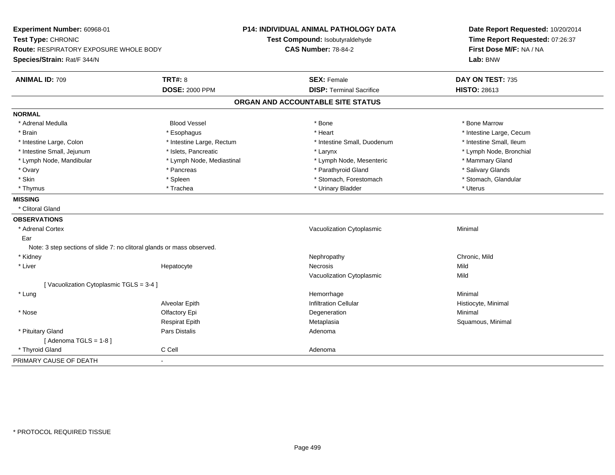| Experiment Number: 60968-01<br>Test Type: CHRONIC                      |                           | P14: INDIVIDUAL ANIMAL PATHOLOGY DATA<br>Test Compound: Isobutyraldehyde | Date Report Requested: 10/20/2014<br>Time Report Requested: 07:26:37 |
|------------------------------------------------------------------------|---------------------------|--------------------------------------------------------------------------|----------------------------------------------------------------------|
| Route: RESPIRATORY EXPOSURE WHOLE BODY                                 |                           | <b>CAS Number: 78-84-2</b>                                               | First Dose M/F: NA / NA                                              |
| Species/Strain: Rat/F 344/N                                            |                           |                                                                          | Lab: BNW                                                             |
| <b>ANIMAL ID: 709</b>                                                  | <b>TRT#: 8</b>            | <b>SEX: Female</b>                                                       | DAY ON TEST: 735                                                     |
|                                                                        | <b>DOSE: 2000 PPM</b>     | <b>DISP: Terminal Sacrifice</b>                                          | <b>HISTO: 28613</b>                                                  |
|                                                                        |                           | ORGAN AND ACCOUNTABLE SITE STATUS                                        |                                                                      |
| <b>NORMAL</b>                                                          |                           |                                                                          |                                                                      |
| * Adrenal Medulla                                                      | <b>Blood Vessel</b>       | * Bone                                                                   | * Bone Marrow                                                        |
| * Brain                                                                | * Esophagus               | * Heart                                                                  | * Intestine Large, Cecum                                             |
| * Intestine Large, Colon                                               | * Intestine Large, Rectum | * Intestine Small, Duodenum                                              | * Intestine Small, Ileum                                             |
| * Intestine Small, Jejunum                                             | * Islets, Pancreatic      | * Larynx                                                                 | * Lymph Node, Bronchial                                              |
| * Lymph Node, Mandibular                                               | * Lymph Node, Mediastinal | * Lymph Node, Mesenteric                                                 | * Mammary Gland                                                      |
| * Ovary                                                                | * Pancreas                | * Parathyroid Gland                                                      | * Salivary Glands                                                    |
| * Skin                                                                 | * Spleen                  | * Stomach, Forestomach                                                   | * Stomach, Glandular                                                 |
| * Thymus                                                               | * Trachea                 | * Urinary Bladder                                                        | * Uterus                                                             |
| <b>MISSING</b>                                                         |                           |                                                                          |                                                                      |
| * Clitoral Gland                                                       |                           |                                                                          |                                                                      |
| <b>OBSERVATIONS</b>                                                    |                           |                                                                          |                                                                      |
| * Adrenal Cortex                                                       |                           | Vacuolization Cytoplasmic                                                | Minimal                                                              |
| Ear                                                                    |                           |                                                                          |                                                                      |
| Note: 3 step sections of slide 7: no clitoral glands or mass observed. |                           |                                                                          |                                                                      |
| * Kidney                                                               |                           | Nephropathy                                                              | Chronic, Mild                                                        |
| * Liver                                                                | Hepatocyte                | Necrosis                                                                 | Mild                                                                 |
|                                                                        |                           | Vacuolization Cytoplasmic                                                | Mild                                                                 |
| [Vacuolization Cytoplasmic TGLS = 3-4]                                 |                           |                                                                          |                                                                      |
| * Lung                                                                 |                           | Hemorrhage                                                               | Minimal                                                              |
|                                                                        | Alveolar Epith            | <b>Infiltration Cellular</b>                                             | Histiocyte, Minimal                                                  |
| * Nose                                                                 | Olfactory Epi             | Degeneration                                                             | Minimal                                                              |
|                                                                        | <b>Respirat Epith</b>     | Metaplasia                                                               | Squamous, Minimal                                                    |
| * Pituitary Gland                                                      | Pars Distalis             | Adenoma                                                                  |                                                                      |
| [Adenoma TGLS = $1-8$ ]                                                |                           |                                                                          |                                                                      |
| * Thyroid Gland                                                        | C Cell                    | Adenoma                                                                  |                                                                      |
| PRIMARY CAUSE OF DEATH                                                 |                           |                                                                          |                                                                      |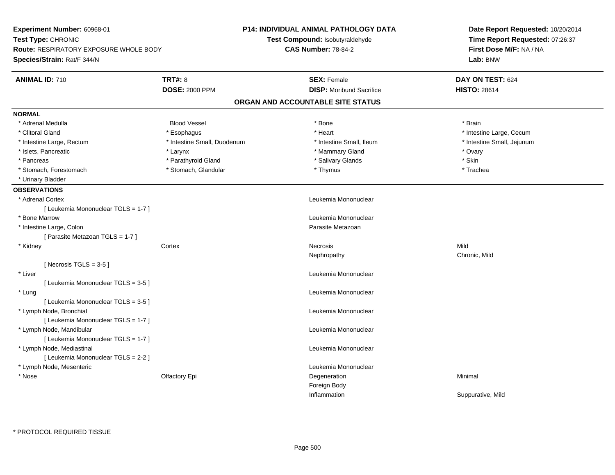| Experiment Number: 60968-01                   |                             | <b>P14: INDIVIDUAL ANIMAL PATHOLOGY DATA</b> | Date Report Requested: 10/20/2014                          |  |
|-----------------------------------------------|-----------------------------|----------------------------------------------|------------------------------------------------------------|--|
| Test Type: CHRONIC                            |                             | Test Compound: Isobutyraldehyde              | Time Report Requested: 07:26:37<br>First Dose M/F: NA / NA |  |
| <b>Route: RESPIRATORY EXPOSURE WHOLE BODY</b> |                             | <b>CAS Number: 78-84-2</b>                   |                                                            |  |
| Species/Strain: Rat/F 344/N                   |                             |                                              | Lab: BNW                                                   |  |
| <b>ANIMAL ID: 710</b>                         | <b>TRT#: 8</b>              | <b>SEX: Female</b>                           | DAY ON TEST: 624                                           |  |
|                                               | <b>DOSE: 2000 PPM</b>       | <b>DISP:</b> Moribund Sacrifice              | <b>HISTO: 28614</b>                                        |  |
|                                               |                             | ORGAN AND ACCOUNTABLE SITE STATUS            |                                                            |  |
| <b>NORMAL</b>                                 |                             |                                              |                                                            |  |
| * Adrenal Medulla                             | <b>Blood Vessel</b>         | * Bone                                       | * Brain                                                    |  |
| * Clitoral Gland                              | * Esophagus                 | * Heart                                      | * Intestine Large, Cecum                                   |  |
| * Intestine Large, Rectum                     | * Intestine Small, Duodenum | * Intestine Small, Ileum                     | * Intestine Small, Jejunum                                 |  |
| * Islets, Pancreatic                          | * Larynx                    | * Mammary Gland                              | * Ovary                                                    |  |
| * Pancreas                                    | * Parathyroid Gland         | * Salivary Glands                            | * Skin                                                     |  |
| * Stomach, Forestomach                        | * Stomach, Glandular        | * Thymus                                     | * Trachea                                                  |  |
| * Urinary Bladder                             |                             |                                              |                                                            |  |
| <b>OBSERVATIONS</b>                           |                             |                                              |                                                            |  |
| * Adrenal Cortex                              |                             | Leukemia Mononuclear                         |                                                            |  |
| [ Leukemia Mononuclear TGLS = 1-7 ]           |                             |                                              |                                                            |  |
| * Bone Marrow                                 |                             | Leukemia Mononuclear                         |                                                            |  |
| * Intestine Large, Colon                      |                             | Parasite Metazoan                            |                                                            |  |
| [ Parasite Metazoan TGLS = 1-7 ]              |                             |                                              |                                                            |  |
| * Kidney                                      | Cortex                      | Necrosis                                     | Mild                                                       |  |
|                                               |                             | Nephropathy                                  | Chronic, Mild                                              |  |
| [Necrosis TGLS = $3-5$ ]                      |                             |                                              |                                                            |  |
| * Liver                                       |                             | Leukemia Mononuclear                         |                                                            |  |
| [ Leukemia Mononuclear TGLS = 3-5 ]           |                             |                                              |                                                            |  |
| * Lung                                        |                             | Leukemia Mononuclear                         |                                                            |  |
| [ Leukemia Mononuclear TGLS = 3-5 ]           |                             |                                              |                                                            |  |
| * Lymph Node, Bronchial                       |                             | Leukemia Mononuclear                         |                                                            |  |
| [ Leukemia Mononuclear TGLS = 1-7 ]           |                             |                                              |                                                            |  |
| * Lymph Node, Mandibular                      |                             | Leukemia Mononuclear                         |                                                            |  |
| [ Leukemia Mononuclear TGLS = 1-7 ]           |                             |                                              |                                                            |  |
| * Lymph Node, Mediastinal                     |                             | Leukemia Mononuclear                         |                                                            |  |
| [ Leukemia Mononuclear TGLS = 2-2 ]           |                             |                                              |                                                            |  |
| * Lymph Node, Mesenteric                      |                             | Leukemia Mononuclear                         |                                                            |  |
| * Nose                                        | Olfactory Epi               | Degeneration                                 | Minimal                                                    |  |
|                                               |                             | Foreign Body                                 |                                                            |  |
|                                               |                             | Inflammation                                 | Suppurative, Mild                                          |  |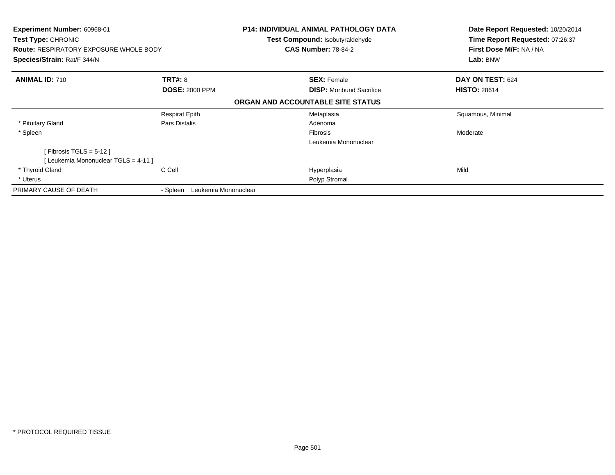| Experiment Number: 60968-01<br><b>Test Type: CHRONIC</b><br><b>Route: RESPIRATORY EXPOSURE WHOLE BODY</b><br>Species/Strain: Rat/F 344/N |                                         | P14: INDIVIDUAL ANIMAL PATHOLOGY DATA<br><b>Test Compound: Isobutyraldehyde</b><br><b>CAS Number: 78-84-2</b> | Date Report Requested: 10/20/2014<br>Time Report Requested: 07:26:37<br>First Dose M/F: NA / NA<br>Lab: BNW |
|------------------------------------------------------------------------------------------------------------------------------------------|-----------------------------------------|---------------------------------------------------------------------------------------------------------------|-------------------------------------------------------------------------------------------------------------|
| <b>ANIMAL ID: 710</b>                                                                                                                    | <b>TRT#: 8</b><br><b>DOSE: 2000 PPM</b> | <b>SEX: Female</b><br><b>DISP:</b> Moribund Sacrifice                                                         | DAY ON TEST: 624<br><b>HISTO: 28614</b>                                                                     |
|                                                                                                                                          |                                         | ORGAN AND ACCOUNTABLE SITE STATUS                                                                             |                                                                                                             |
|                                                                                                                                          | <b>Respirat Epith</b>                   | Metaplasia                                                                                                    | Squamous, Minimal                                                                                           |
| * Pituitary Gland                                                                                                                        | Pars Distalis                           | Adenoma                                                                                                       |                                                                                                             |
| * Spleen                                                                                                                                 |                                         | <b>Fibrosis</b>                                                                                               | Moderate                                                                                                    |
|                                                                                                                                          |                                         | Leukemia Mononuclear                                                                                          |                                                                                                             |
| [ Fibrosis TGLS = 5-12 ]                                                                                                                 |                                         |                                                                                                               |                                                                                                             |
| [ Leukemia Mononuclear TGLS = 4-11 ]                                                                                                     |                                         |                                                                                                               |                                                                                                             |
| * Thyroid Gland                                                                                                                          | C Cell                                  | Hyperplasia                                                                                                   | Mild                                                                                                        |
| * Uterus                                                                                                                                 |                                         | Polyp Stromal                                                                                                 |                                                                                                             |
| PRIMARY CAUSE OF DEATH                                                                                                                   | Leukemia Mononuclear<br>- Spleen        |                                                                                                               |                                                                                                             |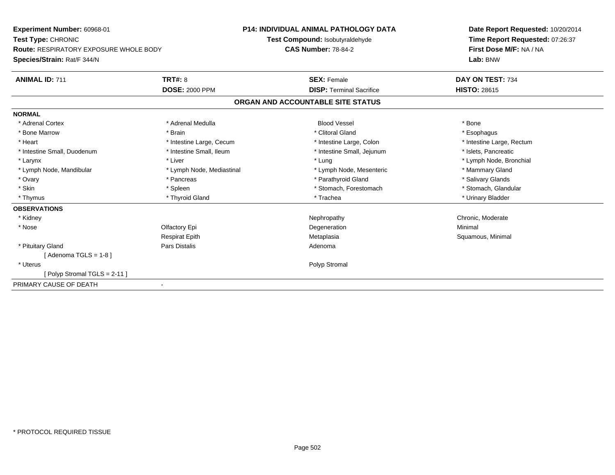| Experiment Number: 60968-01                   |                           | <b>P14: INDIVIDUAL ANIMAL PATHOLOGY DATA</b> | Date Report Requested: 10/20/2014<br>Time Report Requested: 07:26:37<br>First Dose M/F: NA / NA<br>Lab: BNW |
|-----------------------------------------------|---------------------------|----------------------------------------------|-------------------------------------------------------------------------------------------------------------|
| Test Type: CHRONIC                            |                           | Test Compound: Isobutyraldehyde              |                                                                                                             |
| <b>Route: RESPIRATORY EXPOSURE WHOLE BODY</b> |                           | <b>CAS Number: 78-84-2</b>                   |                                                                                                             |
| Species/Strain: Rat/F 344/N                   |                           |                                              |                                                                                                             |
| <b>ANIMAL ID: 711</b>                         | <b>TRT#: 8</b>            | <b>SEX: Female</b>                           | DAY ON TEST: 734                                                                                            |
|                                               | <b>DOSE: 2000 PPM</b>     | <b>DISP: Terminal Sacrifice</b>              | <b>HISTO: 28615</b>                                                                                         |
|                                               |                           | ORGAN AND ACCOUNTABLE SITE STATUS            |                                                                                                             |
| <b>NORMAL</b>                                 |                           |                                              |                                                                                                             |
| * Adrenal Cortex                              | * Adrenal Medulla         | <b>Blood Vessel</b>                          | * Bone                                                                                                      |
| * Bone Marrow                                 | * Brain                   | * Clitoral Gland                             | * Esophagus                                                                                                 |
| * Heart                                       | * Intestine Large, Cecum  | * Intestine Large, Colon                     | * Intestine Large, Rectum                                                                                   |
| * Intestine Small, Duodenum                   | * Intestine Small, Ileum  | * Intestine Small, Jejunum                   | * Islets, Pancreatic                                                                                        |
| * Larynx                                      | * Liver                   | * Lung                                       | * Lymph Node, Bronchial                                                                                     |
| * Lymph Node, Mandibular                      | * Lymph Node, Mediastinal | * Lymph Node, Mesenteric                     | * Mammary Gland                                                                                             |
| * Ovary                                       | * Pancreas                | * Parathyroid Gland                          | * Salivary Glands                                                                                           |
| * Skin                                        | * Spleen                  | * Stomach, Forestomach                       | * Stomach, Glandular                                                                                        |
| * Thymus                                      | * Thyroid Gland           | * Trachea                                    | * Urinary Bladder                                                                                           |
| <b>OBSERVATIONS</b>                           |                           |                                              |                                                                                                             |
| * Kidney                                      |                           | Nephropathy                                  | Chronic, Moderate                                                                                           |
| * Nose                                        | Olfactory Epi             | Degeneration                                 | Minimal                                                                                                     |
|                                               | <b>Respirat Epith</b>     | Metaplasia                                   | Squamous, Minimal                                                                                           |
| * Pituitary Gland                             | Pars Distalis             | Adenoma                                      |                                                                                                             |
| Adenoma TGLS = 1-8 l                          |                           |                                              |                                                                                                             |
| * Uterus                                      |                           | Polyp Stromal                                |                                                                                                             |
| Polyp Stromal TGLS = 2-11 ]                   |                           |                                              |                                                                                                             |
| PRIMARY CAUSE OF DEATH                        | $\blacksquare$            |                                              |                                                                                                             |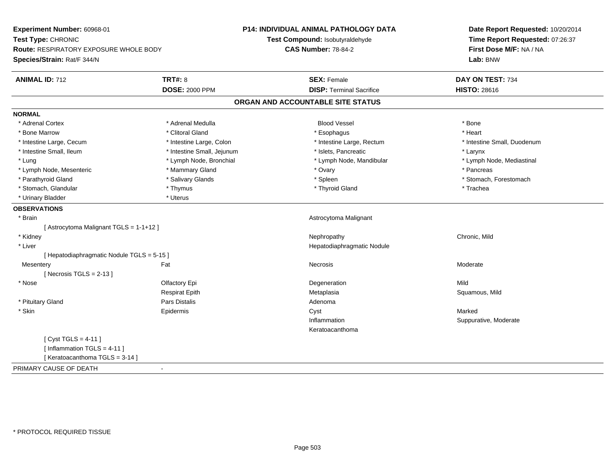| Experiment Number: 60968-01                |                                 | <b>P14: INDIVIDUAL ANIMAL PATHOLOGY DATA</b> | Date Report Requested: 10/20/2014 |
|--------------------------------------------|---------------------------------|----------------------------------------------|-----------------------------------|
| Test Type: CHRONIC                         | Test Compound: Isobutyraldehyde |                                              | Time Report Requested: 07:26:37   |
| Route: RESPIRATORY EXPOSURE WHOLE BODY     |                                 | <b>CAS Number: 78-84-2</b>                   | First Dose M/F: NA / NA           |
| Species/Strain: Rat/F 344/N                |                                 |                                              | Lab: BNW                          |
| <b>ANIMAL ID: 712</b>                      | <b>TRT#: 8</b>                  | <b>SEX: Female</b>                           | DAY ON TEST: 734                  |
|                                            | <b>DOSE: 2000 PPM</b>           | <b>DISP: Terminal Sacrifice</b>              | <b>HISTO: 28616</b>               |
|                                            |                                 | ORGAN AND ACCOUNTABLE SITE STATUS            |                                   |
| <b>NORMAL</b>                              |                                 |                                              |                                   |
| * Adrenal Cortex                           | * Adrenal Medulla               | <b>Blood Vessel</b>                          | * Bone                            |
| * Bone Marrow                              | * Clitoral Gland                | * Esophagus                                  | * Heart                           |
| * Intestine Large, Cecum                   | * Intestine Large, Colon        | * Intestine Large, Rectum                    | * Intestine Small, Duodenum       |
| * Intestine Small, Ileum                   | * Intestine Small, Jejunum      | * Islets, Pancreatic                         | * Larynx                          |
| * Lung                                     | * Lymph Node, Bronchial         | * Lymph Node, Mandibular                     | * Lymph Node, Mediastinal         |
| * Lymph Node, Mesenteric                   | * Mammary Gland                 | * Ovary                                      | * Pancreas                        |
| * Parathyroid Gland                        | * Salivary Glands               | * Spleen                                     | * Stomach, Forestomach            |
| * Stomach, Glandular                       | * Thymus                        | * Thyroid Gland                              | * Trachea                         |
| * Urinary Bladder                          | * Uterus                        |                                              |                                   |
| <b>OBSERVATIONS</b>                        |                                 |                                              |                                   |
| * Brain                                    |                                 | Astrocytoma Malignant                        |                                   |
| [Astrocytoma Malignant TGLS = 1-1+12]      |                                 |                                              |                                   |
| * Kidney                                   |                                 | Nephropathy                                  | Chronic, Mild                     |
| * Liver                                    |                                 | Hepatodiaphragmatic Nodule                   |                                   |
| [ Hepatodiaphragmatic Nodule TGLS = 5-15 ] |                                 |                                              |                                   |
| Mesentery                                  | Fat                             | Necrosis                                     | Moderate                          |
| [Necrosis TGLS = $2-13$ ]                  |                                 |                                              |                                   |
| * Nose                                     | Olfactory Epi                   | Degeneration                                 | Mild                              |
|                                            | <b>Respirat Epith</b>           | Metaplasia                                   | Squamous, Mild                    |
| * Pituitary Gland                          | Pars Distalis                   | Adenoma                                      |                                   |
| * Skin                                     | Epidermis                       | Cyst                                         | Marked                            |
|                                            |                                 | Inflammation                                 | Suppurative, Moderate             |
|                                            |                                 | Keratoacanthoma                              |                                   |
| [ $Cyst TGLS = 4-11$ ]                     |                                 |                                              |                                   |
| [Inflammation TGLS = $4-11$ ]              |                                 |                                              |                                   |
| [Keratoacanthoma TGLS = 3-14]              |                                 |                                              |                                   |
| PRIMARY CAUSE OF DEATH                     | $\sim$                          |                                              |                                   |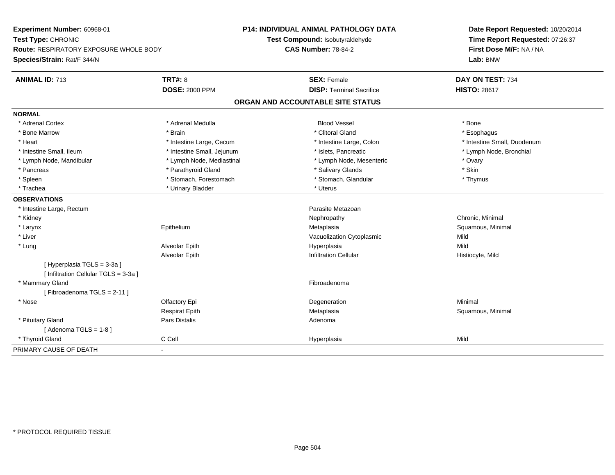| Experiment Number: 60968-01                   | <b>P14: INDIVIDUAL ANIMAL PATHOLOGY DATA</b> |                                   | Date Report Requested: 10/20/2014                          |
|-----------------------------------------------|----------------------------------------------|-----------------------------------|------------------------------------------------------------|
| Test Type: CHRONIC                            |                                              | Test Compound: Isobutyraldehyde   | Time Report Requested: 07:26:37<br>First Dose M/F: NA / NA |
| <b>Route: RESPIRATORY EXPOSURE WHOLE BODY</b> |                                              | <b>CAS Number: 78-84-2</b>        |                                                            |
| Species/Strain: Rat/F 344/N                   |                                              |                                   | Lab: BNW                                                   |
| <b>ANIMAL ID: 713</b>                         | <b>TRT#: 8</b>                               | <b>SEX: Female</b>                | DAY ON TEST: 734                                           |
|                                               | <b>DOSE: 2000 PPM</b>                        | <b>DISP: Terminal Sacrifice</b>   | <b>HISTO: 28617</b>                                        |
|                                               |                                              | ORGAN AND ACCOUNTABLE SITE STATUS |                                                            |
| <b>NORMAL</b>                                 |                                              |                                   |                                                            |
| * Adrenal Cortex                              | * Adrenal Medulla                            | <b>Blood Vessel</b>               | * Bone                                                     |
| * Bone Marrow                                 | * Brain                                      | * Clitoral Gland                  | * Esophagus                                                |
| * Heart                                       | * Intestine Large, Cecum                     | * Intestine Large, Colon          | * Intestine Small, Duodenum                                |
| * Intestine Small, Ileum                      | * Intestine Small, Jejunum                   | * Islets, Pancreatic              | * Lymph Node, Bronchial                                    |
| * Lymph Node, Mandibular                      | * Lymph Node, Mediastinal                    | * Lymph Node, Mesenteric          | * Ovary                                                    |
| * Pancreas                                    | * Parathyroid Gland                          | * Salivary Glands                 | * Skin                                                     |
| * Spleen                                      | * Stomach, Forestomach                       | * Stomach, Glandular              | * Thymus                                                   |
| * Trachea                                     | * Urinary Bladder                            | * Uterus                          |                                                            |
| <b>OBSERVATIONS</b>                           |                                              |                                   |                                                            |
| * Intestine Large, Rectum                     |                                              | Parasite Metazoan                 |                                                            |
| * Kidney                                      |                                              | Nephropathy                       | Chronic, Minimal                                           |
| * Larynx                                      | Epithelium                                   | Metaplasia                        | Squamous, Minimal                                          |
| * Liver                                       |                                              | Vacuolization Cytoplasmic         | Mild                                                       |
| * Lung                                        | Alveolar Epith                               | Hyperplasia                       | Mild                                                       |
|                                               | Alveolar Epith                               | <b>Infiltration Cellular</b>      | Histiocyte, Mild                                           |
| [Hyperplasia TGLS = 3-3a]                     |                                              |                                   |                                                            |
| [ Infiltration Cellular TGLS = 3-3a ]         |                                              |                                   |                                                            |
| * Mammary Gland                               |                                              | Fibroadenoma                      |                                                            |
| [Fibroadenoma TGLS = 2-11]                    |                                              |                                   |                                                            |
| * Nose                                        | Olfactory Epi                                | Degeneration                      | Minimal                                                    |
|                                               | <b>Respirat Epith</b>                        | Metaplasia                        | Squamous, Minimal                                          |
| * Pituitary Gland                             | Pars Distalis                                | Adenoma                           |                                                            |
| [Adenoma TGLS = $1-8$ ]                       |                                              |                                   |                                                            |
| * Thyroid Gland                               | C Cell                                       | Hyperplasia                       | Mild                                                       |
| PRIMARY CAUSE OF DEATH                        |                                              |                                   |                                                            |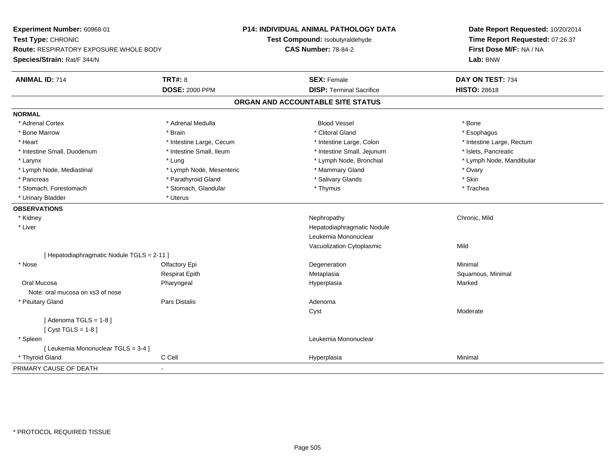**Experiment Number:** 60968-01**Test Type:** CHRONIC **Route:** RESPIRATORY EXPOSURE WHOLE BODY**Species/Strain:** Rat/F 344/N**P14: INDIVIDUAL ANIMAL PATHOLOGY DATATest Compound:** Isobutyraldehyde**CAS Number:** 78-84-2**Date Report Requested:** 10/20/2014**Time Report Requested:** 07:26:37**First Dose M/F:** NA / NA**Lab:** BNW**ANIMAL ID:** 714**TRT#:** 8 **SEX:** Female **DAY ON TEST:** 734 **DOSE:** 2000 PPM**DISP:** Terminal Sacrifice **HISTO:** 28618 **ORGAN AND ACCOUNTABLE SITE STATUSNORMAL**\* Adrenal Cortex \* Adrenal Cortex \* Adrenal Medulla Blood Vessel \* Bone\* Esophagus \* Bone Marrow \* \* Android \* Brain \* Brain \* Clitoral Gland \* Clitoral Gland \* Esophagus \* Esophagus \* Esophagus \* Heart Thestine Large, Cecum Thestine Large, Cecum Assessment Carge, Colon Thestine Large, Rectum \* Intestine Large, Rectum \* Intestine Large, Rectum \* Intestine Small, Duodenum \* Intestine Small, Ileum \* Intestine Small, Intestine Small, Jejunum \* Islets, Pancreatic \* Larynx \* Lung \* Lymph Node, Bronchial \* Lymph Node, Mandibular \* Lymph Node, Mediastinal \* Noter \* Lymph Node, Mesenteric \* Mammary Gland \* Mammary Gland \* Ovary \* Ovary \* Skin \* Pancreas \* Pancreas \* Pancreas \* Pancreas \* Pancreas \* Salivary Glands \* Salivary Glands \* Salivary Glands \* \* Trachea \* Stomach, Forestomach \* Thymus \* Stomach, Glandular \* Thymus \* Thymus \* Thymus \* Thymus \* Thymus \* Thymus \* Thymus \* Thymus \* Thymus \* Thymus \* Thymus \* Thymus \* Thymus \* Thymus \* Thymus \* Thymus \* Thymus \* Thymus \* Thymu \* Urinary Bladder \* Uterus **OBSERVATIONS** \* Kidneyy the controller of the controller of the controller of the controller of the controller of the chronic, Mild \* Liver Hepatodiaphragmatic NoduleLeukemia MononuclearVacuolization Cytoplasmicc Mild [ Hepatodiaphragmatic Nodule TGLS = 2-11 ] \* Nosee and the Colombia Colombia Degeneration and the Colombia Degeneration and the Colombia Minimal Minimal of the Minimal State of the Colombia Degeneration and the Minimal of the Colombia Degeneration of the Colombia Degener Respirat EpithMetaplasia **Squamous, Minimal**  Oral Mucosa Pharyngeal Hyperplasia Marked Note: oral mucosa on xs3 of nose \* Pituitary Glandd and the contract of Pars Distalis and the contract of Adenoma and Adenoma and the Adenoma and the Adenoma and  $\lambda$ Cyst Moderate $[$  Adenoma TGLS = 1-8  $]$  $[$  Cyst TGLS = 1-8  $]$  \* Spleen Leukemia Mononuclear [ Leukemia Mononuclear TGLS = 3-4 ] \* Thyroid Gland C Cell Hyperplasia Minimal PRIMARY CAUSE OF DEATH-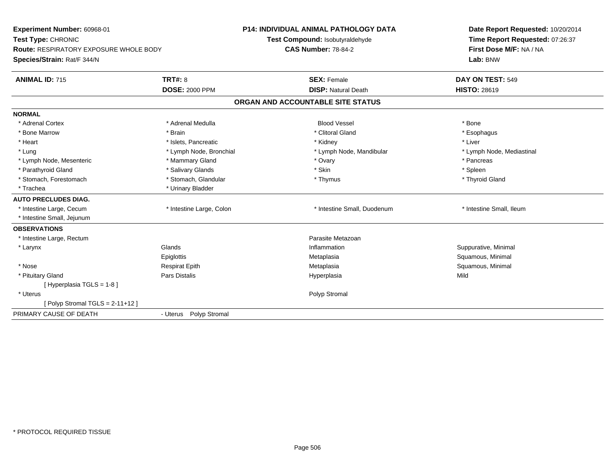| Experiment Number: 60968-01<br>Test Type: CHRONIC<br><b>Route: RESPIRATORY EXPOSURE WHOLE BODY</b> |                          | <b>P14: INDIVIDUAL ANIMAL PATHOLOGY DATA</b><br>Test Compound: Isobutyraldehyde | Date Report Requested: 10/20/2014<br>Time Report Requested: 07:26:37 |
|----------------------------------------------------------------------------------------------------|--------------------------|---------------------------------------------------------------------------------|----------------------------------------------------------------------|
|                                                                                                    |                          | <b>CAS Number: 78-84-2</b>                                                      | First Dose M/F: NA / NA                                              |
| Species/Strain: Rat/F 344/N                                                                        |                          |                                                                                 | Lab: BNW                                                             |
| <b>ANIMAL ID: 715</b>                                                                              | <b>TRT#: 8</b>           | <b>SEX: Female</b>                                                              | DAY ON TEST: 549                                                     |
|                                                                                                    | <b>DOSE: 2000 PPM</b>    | <b>DISP: Natural Death</b>                                                      | <b>HISTO: 28619</b>                                                  |
|                                                                                                    |                          | ORGAN AND ACCOUNTABLE SITE STATUS                                               |                                                                      |
| <b>NORMAL</b>                                                                                      |                          |                                                                                 |                                                                      |
| * Adrenal Cortex                                                                                   | * Adrenal Medulla        | <b>Blood Vessel</b>                                                             | * Bone                                                               |
| * Bone Marrow                                                                                      | * Brain                  | * Clitoral Gland                                                                | * Esophagus                                                          |
| * Heart                                                                                            | * Islets, Pancreatic     | * Kidney                                                                        | * Liver                                                              |
| * Lung                                                                                             | * Lymph Node, Bronchial  | * Lymph Node, Mandibular                                                        | * Lymph Node, Mediastinal                                            |
| * Lymph Node, Mesenteric                                                                           | * Mammary Gland          | * Ovary                                                                         | * Pancreas                                                           |
| * Parathyroid Gland                                                                                | * Salivary Glands        | * Skin                                                                          | * Spleen                                                             |
| * Stomach, Forestomach                                                                             | * Stomach, Glandular     | * Thymus                                                                        | * Thyroid Gland                                                      |
| * Trachea                                                                                          | * Urinary Bladder        |                                                                                 |                                                                      |
| <b>AUTO PRECLUDES DIAG.</b>                                                                        |                          |                                                                                 |                                                                      |
| * Intestine Large, Cecum                                                                           | * Intestine Large, Colon | * Intestine Small, Duodenum                                                     | * Intestine Small, Ileum                                             |
| * Intestine Small, Jejunum                                                                         |                          |                                                                                 |                                                                      |
| <b>OBSERVATIONS</b>                                                                                |                          |                                                                                 |                                                                      |
| * Intestine Large, Rectum                                                                          |                          | Parasite Metazoan                                                               |                                                                      |
| * Larynx                                                                                           | Glands                   | Inflammation                                                                    | Suppurative, Minimal                                                 |
|                                                                                                    | Epiglottis               | Metaplasia                                                                      | Squamous, Minimal                                                    |
| * Nose                                                                                             | <b>Respirat Epith</b>    | Metaplasia                                                                      | Squamous, Minimal                                                    |
| * Pituitary Gland                                                                                  | <b>Pars Distalis</b>     | Hyperplasia                                                                     | Mild                                                                 |
| [Hyperplasia TGLS = 1-8]                                                                           |                          |                                                                                 |                                                                      |
| * Uterus                                                                                           |                          | Polyp Stromal                                                                   |                                                                      |
| [Polyp Stromal TGLS = $2-11+12$ ]                                                                  |                          |                                                                                 |                                                                      |
| PRIMARY CAUSE OF DEATH                                                                             | - Uterus Polyp Stromal   |                                                                                 |                                                                      |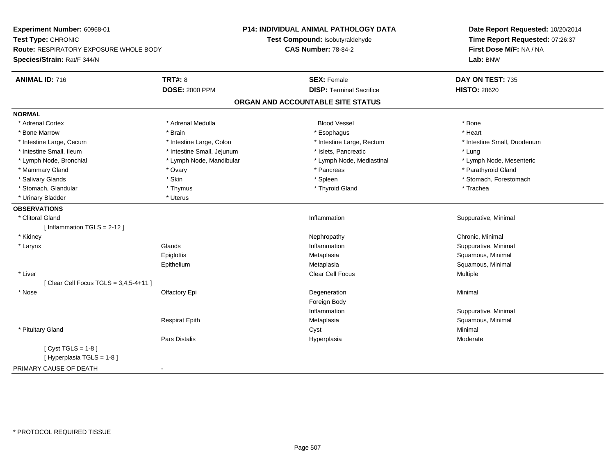**Experiment Number:** 60968-01**Test Type:** CHRONIC **Route:** RESPIRATORY EXPOSURE WHOLE BODY**Species/Strain:** Rat/F 344/N**P14: INDIVIDUAL ANIMAL PATHOLOGY DATATest Compound:** Isobutyraldehyde**CAS Number:** 78-84-2**Date Report Requested:** 10/20/2014**Time Report Requested:** 07:26:37**First Dose M/F:** NA / NA**Lab:** BNW**ANIMAL ID:** 716**6 DAY ON TEST:** 735 **DOSE:** 2000 PPM**DISP:** Terminal Sacrifice **HISTO:** 28620 **ORGAN AND ACCOUNTABLE SITE STATUSNORMAL**\* Adrenal Cortex \* Adrenal Cortex \* Adrenal Medulla Blood Vessel \* Bone\* Heart \* Bone Marrow \* Brain \* Esophagus \* Heart \* Intestine Large, Cecum \* Intestine Large, Colon \* Intestine Large, Rectum \* Intestine Small, Duodenum\* Intestine Small, Ileum \* https://www.fatheratic \* Lung \* Intestine Small, Jejunum \* Islets, Pancreatic \* Management \* Lung \* Lymph Node, Mesenteric \* Lymph Node, Bronchial \* Lymph Node, Mandibular \* Lymph Node, Mediastinal \* Lymph Node, Mediastinal \* Mammary Gland \* \* Andrew \* Ovary \* Andrew \* Ovary \* Pancreas \* Pancreas \* \* Pancreas \* \* Pancreas \* \* Pancreas \* \* Pancreas \* \* Pancreas \* \* Pancreas \* \* Pancreas \* \* Pancreas \* \* Pancreas \* \* Pancreas \* \* Pancreas \* \* P \* Salivary Glands \* The stomach \* Skin \* Spleen \* Spleen \* Stomach, Forestomach \* Stomach, Forestomach \* Stomach, Forestomach \* Stomach, Glandular \* Thymus \* Thymus \* Thymus \* Thyroid Gland \* Thyroid Gland \* Thachea \* Urinary Bladder \* Uterus **OBSERVATIONS** \* Clitoral Glandd inflammation in the suppurative, Minimal of the Suppurative, Minimal of the Suppurative, Minimal of the Suppurative, Minimal of the Suppurative, Minimal of the Suppurative, Minimal of the Suppurative,  $\alpha$ [ Inflammation TGLS = 2-12 ] \* Kidneyy the controller of the controller of the controller of the controller of the controller of the controller of the controller of the controller of the controller of the controller of the controller of the controller of the \* Larynxx and the set of the Glands of the Glands of the set of the set of the set of the set of the set of the set of the set of the set of the set of the set of the set of the set of the set of the set of the set of the set of t Inflammation **Suppurative, Minimal Epiglottis**  Metaplasia Squamous, Minimal EpitheliumMetaplasia **Squamous, Minimal**  \* Liver Clear Cell Focus Multiple[ Clear Cell Focus TGLS = 3,4,5-4+11 ] \* Nosee and the Colombia Colombia Degeneration and the Colombia Degeneration and the Colombia Minimal Minimal of the Minimal State of the Colombia Degeneration and the Minimal of the Colombia Degeneration of the Colombia Degener Foreign Body Inflammation Suppurative, Minimal Respirat EpithMetaplasia **Squamous, Minimal**  \* Pituitary Glandd and the control of the control of the control of the control of the control of the control of the control of the control of the control of the control of the control of the control of the control of the control of the co Pars Distalis Hyperplasiaa Moderate  $[$  Cyst TGLS = 1-8  $]$ [ Hyperplasia TGLS = 1-8 ]PRIMARY CAUSE OF DEATH-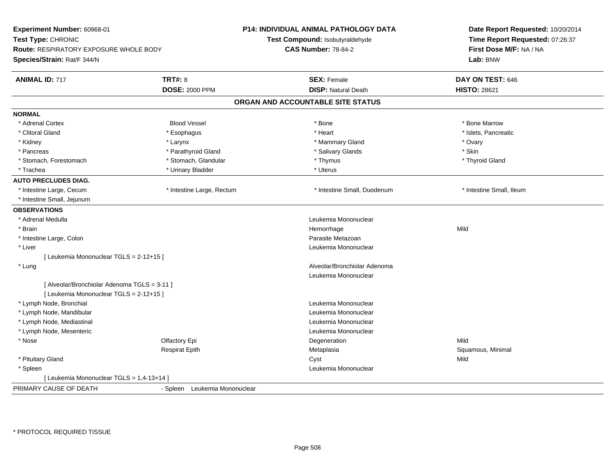| Experiment Number: 60968-01<br>Test Type: CHRONIC<br>Route: RESPIRATORY EXPOSURE WHOLE BODY<br>Species/Strain: Rat/F 344/N |                                  | <b>P14: INDIVIDUAL ANIMAL PATHOLOGY DATA</b><br>Test Compound: Isobutyraldehyde<br><b>CAS Number: 78-84-2</b> | Date Report Requested: 10/20/2014<br>Time Report Requested: 07:26:37<br>First Dose M/F: NA / NA<br>Lab: BNW |
|----------------------------------------------------------------------------------------------------------------------------|----------------------------------|---------------------------------------------------------------------------------------------------------------|-------------------------------------------------------------------------------------------------------------|
| <b>ANIMAL ID: 717</b>                                                                                                      | <b>TRT#: 8</b>                   | <b>SEX: Female</b>                                                                                            | DAY ON TEST: 646                                                                                            |
|                                                                                                                            | <b>DOSE: 2000 PPM</b>            | <b>DISP: Natural Death</b>                                                                                    | <b>HISTO: 28621</b>                                                                                         |
|                                                                                                                            |                                  | ORGAN AND ACCOUNTABLE SITE STATUS                                                                             |                                                                                                             |
| <b>NORMAL</b>                                                                                                              |                                  |                                                                                                               |                                                                                                             |
| * Adrenal Cortex                                                                                                           | <b>Blood Vessel</b>              | * Bone                                                                                                        | * Bone Marrow                                                                                               |
| * Clitoral Gland                                                                                                           | * Esophagus                      | * Heart                                                                                                       | * Islets, Pancreatic                                                                                        |
| * Kidney                                                                                                                   | * Larynx                         | * Mammary Gland                                                                                               | * Ovary                                                                                                     |
| * Pancreas                                                                                                                 | * Parathyroid Gland              | * Salivary Glands                                                                                             | * Skin                                                                                                      |
| * Stomach, Forestomach                                                                                                     | * Stomach, Glandular             | * Thymus                                                                                                      | * Thyroid Gland                                                                                             |
| * Trachea                                                                                                                  | * Urinary Bladder                | * Uterus                                                                                                      |                                                                                                             |
| <b>AUTO PRECLUDES DIAG.</b>                                                                                                |                                  |                                                                                                               |                                                                                                             |
| * Intestine Large, Cecum                                                                                                   | * Intestine Large, Rectum        | * Intestine Small, Duodenum                                                                                   | * Intestine Small, Ileum                                                                                    |
| * Intestine Small, Jejunum                                                                                                 |                                  |                                                                                                               |                                                                                                             |
| <b>OBSERVATIONS</b>                                                                                                        |                                  |                                                                                                               |                                                                                                             |
| * Adrenal Medulla                                                                                                          |                                  | Leukemia Mononuclear                                                                                          |                                                                                                             |
| * Brain                                                                                                                    |                                  | Hemorrhage                                                                                                    | Mild                                                                                                        |
| * Intestine Large, Colon                                                                                                   |                                  | Parasite Metazoan                                                                                             |                                                                                                             |
| * Liver                                                                                                                    |                                  | Leukemia Mononuclear                                                                                          |                                                                                                             |
| [ Leukemia Mononuclear TGLS = 2-12+15 ]                                                                                    |                                  |                                                                                                               |                                                                                                             |
| * Lung                                                                                                                     |                                  | Alveolar/Bronchiolar Adenoma                                                                                  |                                                                                                             |
|                                                                                                                            |                                  | Leukemia Mononuclear                                                                                          |                                                                                                             |
| [ Alveolar/Bronchiolar Adenoma TGLS = 3-11 ]                                                                               |                                  |                                                                                                               |                                                                                                             |
| [ Leukemia Mononuclear TGLS = 2-12+15 ]                                                                                    |                                  |                                                                                                               |                                                                                                             |
| * Lymph Node, Bronchial                                                                                                    |                                  | Leukemia Mononuclear                                                                                          |                                                                                                             |
| * Lymph Node, Mandibular                                                                                                   |                                  | Leukemia Mononuclear                                                                                          |                                                                                                             |
| * Lymph Node, Mediastinal                                                                                                  |                                  | Leukemia Mononuclear                                                                                          |                                                                                                             |
| * Lymph Node, Mesenteric                                                                                                   |                                  | Leukemia Mononuclear                                                                                          |                                                                                                             |
| * Nose                                                                                                                     | Olfactory Epi                    | Degeneration                                                                                                  | Mild                                                                                                        |
|                                                                                                                            | <b>Respirat Epith</b>            | Metaplasia                                                                                                    | Squamous, Minimal                                                                                           |
| * Pituitary Gland                                                                                                          |                                  | Cyst                                                                                                          | Mild                                                                                                        |
| * Spleen                                                                                                                   |                                  | Leukemia Mononuclear                                                                                          |                                                                                                             |
| [ Leukemia Mononuclear TGLS = 1,4-13+14 ]                                                                                  |                                  |                                                                                                               |                                                                                                             |
| PRIMARY CAUSE OF DEATH                                                                                                     | Leukemia Mononuclear<br>- Spleen |                                                                                                               |                                                                                                             |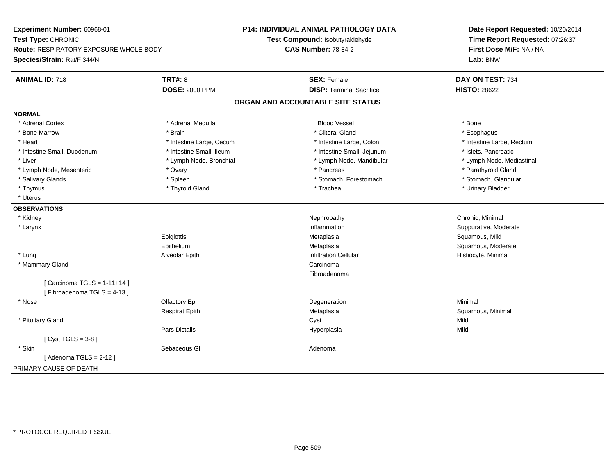**Experiment Number:** 60968-01**Test Type:** CHRONIC **Route:** RESPIRATORY EXPOSURE WHOLE BODY**Species/Strain:** Rat/F 344/N**P14: INDIVIDUAL ANIMAL PATHOLOGY DATATest Compound:** Isobutyraldehyde**CAS Number:** 78-84-2**Date Report Requested:** 10/20/2014**Time Report Requested:** 07:26:37**First Dose M/F:** NA / NA**Lab:** BNW**ANIMAL ID:** 718**EX:** Female **DAY ON TEST:** 734 **DOSE:** 2000 PPM**DISP:** Terminal Sacrifice **HISTO:** 28622 **ORGAN AND ACCOUNTABLE SITE STATUSNORMAL**\* Adrenal Cortex \* Adrenal Cortex \* Adrenal Medulla Blood Vessel \* Bone\* Esophagus \* Bone Marrow \* \* Android \* Brain \* Brain \* Clitoral Gland \* Clitoral Gland \* Esophagus \* Esophagus \* Esophagus \* Heart Thestine Large, Cecum Thestine Large, Cecum Assessment Carge, Colon Thestine Large, Rectum \* Intestine Large, Rectum \* Intestine Large, Rectum \* Intestine Small, Duodenum \* Intestine Small, Ileum \* Intestine Small, Intestine Small, Jejunum \* Islets, Pancreatic \* Lymph Node, Mediastinal \* Liver \* Lymph Node, Bronchial \* Lymph Node, Mandibular \* Lymph Node, Mandibular \* Lymph Node, Mesenteric \* Ovary \* Pancreas \* Parathyroid Gland\* Stomach. Glandular \* Salivary Glands \* Spleen \* Spleen \* Spleen \* Stomach, Forestomach \* Stomach, Forestomach \* Thymus \* Thyroid Gland \* Trachea \* Urinary Bladder \* \* Uterus**OBSERVATIONS** \* Kidneyy the controller of the controller of the controller of the controller of the controller of the controller of the controller of the controller of the controller of the controller of the controller of the controller of the \* Larynx**x** and the contract of the contract of the contract of the contract of the contract of the contract of the contract of the contract of the contract of the contract of the contract of the contract of the contract of the co Inflammation **Suppurative, Moderate Epiglottis**  Metaplasia Squamous, Mild Epithelium Metaplasia Squamous, Moderate \* Lung Alveolar Epith Infiltration Cellular Histiocyte, Minimal \* Mammary Glandd<sub>d</sub> Carcinoma Fibroadenoma $[$  Carcinoma TGLS = 1-11+14  $]$ [ Fibroadenoma TGLS = 4-13 ] \* Nosee and the Colombia Colombia Degeneration and the Colombia Degeneration and the Colombia Minimal Minimal of the Minimal State of the Colombia Degeneration and the Minimal of the Colombia Degeneration of the Colombia Degener Respirat EpithMetaplasia **Squamous, Minimal**  \* Pituitary Glandd and the control of the control of the control of the control of the control of the control of the control of the control of the control of the control of the control of the control of the control of the control of the co Pars Distalis Hyperplasiaa Mild  $[$  Cyst TGLS = 3-8  $]$  \* Skinn and the second of the Sebaceous Glass of the Sebaceous Glass of the Sebaceous Glass of the Adenoma [ Adenoma TGLS = 2-12 ]PRIMARY CAUSE OF DEATH-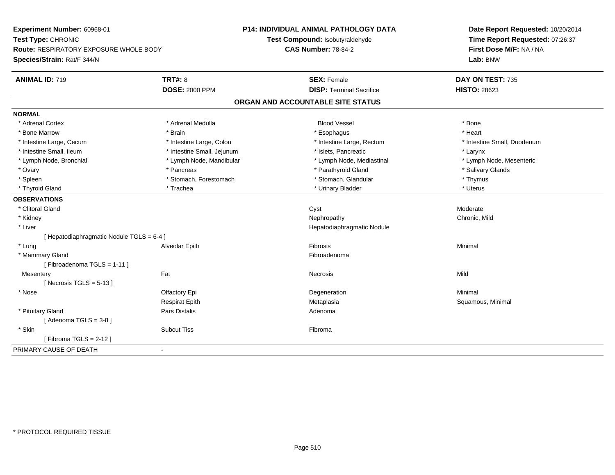| Experiment Number: 60968-01               |                            | P14: INDIVIDUAL ANIMAL PATHOLOGY DATA | Date Report Requested: 10/20/2014<br>Time Report Requested: 07:26:37 |  |
|-------------------------------------------|----------------------------|---------------------------------------|----------------------------------------------------------------------|--|
| Test Type: CHRONIC                        |                            | Test Compound: Isobutyraldehyde       |                                                                      |  |
| Route: RESPIRATORY EXPOSURE WHOLE BODY    |                            | <b>CAS Number: 78-84-2</b>            | First Dose M/F: NA / NA                                              |  |
| Species/Strain: Rat/F 344/N               |                            |                                       | Lab: BNW                                                             |  |
| <b>ANIMAL ID: 719</b>                     | <b>TRT#: 8</b>             | <b>SEX: Female</b>                    | DAY ON TEST: 735                                                     |  |
|                                           | <b>DOSE: 2000 PPM</b>      | <b>DISP: Terminal Sacrifice</b>       | <b>HISTO: 28623</b>                                                  |  |
|                                           |                            | ORGAN AND ACCOUNTABLE SITE STATUS     |                                                                      |  |
| <b>NORMAL</b>                             |                            |                                       |                                                                      |  |
| * Adrenal Cortex                          | * Adrenal Medulla          | <b>Blood Vessel</b>                   | * Bone                                                               |  |
| * Bone Marrow                             | * Brain                    | * Esophagus                           | * Heart                                                              |  |
| * Intestine Large, Cecum                  | * Intestine Large, Colon   | * Intestine Large, Rectum             | * Intestine Small, Duodenum                                          |  |
| * Intestine Small, Ileum                  | * Intestine Small, Jejunum | * Islets, Pancreatic                  | * Larynx                                                             |  |
| * Lymph Node, Bronchial                   | * Lymph Node, Mandibular   | * Lymph Node, Mediastinal             | * Lymph Node, Mesenteric                                             |  |
| * Ovary                                   | * Pancreas                 | * Parathyroid Gland                   | * Salivary Glands                                                    |  |
| * Spleen                                  | * Stomach, Forestomach     | * Stomach, Glandular                  | * Thymus                                                             |  |
| * Thyroid Gland                           | * Trachea                  | * Urinary Bladder                     | * Uterus                                                             |  |
| <b>OBSERVATIONS</b>                       |                            |                                       |                                                                      |  |
| * Clitoral Gland                          |                            | Cyst                                  | Moderate                                                             |  |
| * Kidney                                  |                            | Nephropathy                           | Chronic, Mild                                                        |  |
| * Liver                                   |                            | Hepatodiaphragmatic Nodule            |                                                                      |  |
| [ Hepatodiaphragmatic Nodule TGLS = 6-4 ] |                            |                                       |                                                                      |  |
| * Lung                                    | Alveolar Epith             | <b>Fibrosis</b>                       | Minimal                                                              |  |
| * Mammary Gland                           |                            | Fibroadenoma                          |                                                                      |  |
| [Fibroadenoma TGLS = 1-11]                |                            |                                       |                                                                      |  |
| Mesentery                                 | Fat                        | Necrosis                              | Mild                                                                 |  |
| [Necrosis TGLS = $5-13$ ]                 |                            |                                       |                                                                      |  |
| * Nose                                    | Olfactory Epi              | Degeneration                          | Minimal                                                              |  |
|                                           | <b>Respirat Epith</b>      | Metaplasia                            | Squamous, Minimal                                                    |  |
| * Pituitary Gland                         | Pars Distalis              | Adenoma                               |                                                                      |  |
| [Adenoma TGLS = $3-8$ ]                   |                            |                                       |                                                                      |  |
| * Skin                                    | <b>Subcut Tiss</b>         | Fibroma                               |                                                                      |  |
| [Fibroma TGLS = $2-12$ ]                  |                            |                                       |                                                                      |  |
| PRIMARY CAUSE OF DEATH                    | $\sim$                     |                                       |                                                                      |  |
|                                           |                            |                                       |                                                                      |  |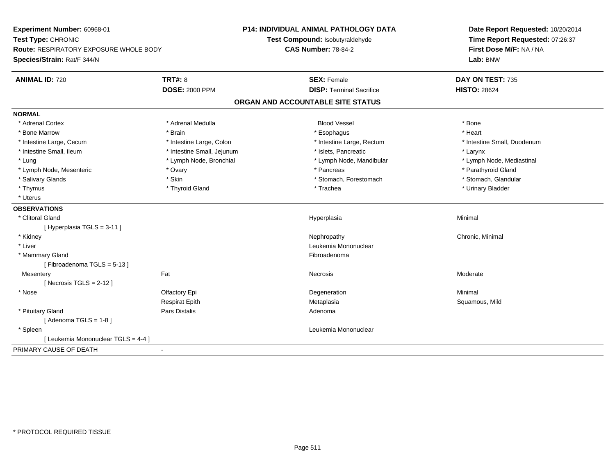| Experiment Number: 60968-01<br>Test Type: CHRONIC<br><b>Route: RESPIRATORY EXPOSURE WHOLE BODY</b><br>Species/Strain: Rat/F 344/N |                            | <b>P14: INDIVIDUAL ANIMAL PATHOLOGY DATA</b><br>Test Compound: Isobutyraldehyde<br><b>CAS Number: 78-84-2</b> | Date Report Requested: 10/20/2014<br>Time Report Requested: 07:26:37<br>First Dose M/F: NA / NA<br>Lab: BNW |
|-----------------------------------------------------------------------------------------------------------------------------------|----------------------------|---------------------------------------------------------------------------------------------------------------|-------------------------------------------------------------------------------------------------------------|
| <b>ANIMAL ID: 720</b>                                                                                                             | <b>TRT#: 8</b>             | <b>SEX: Female</b>                                                                                            | DAY ON TEST: 735                                                                                            |
|                                                                                                                                   | <b>DOSE: 2000 PPM</b>      | <b>DISP: Terminal Sacrifice</b>                                                                               | <b>HISTO: 28624</b>                                                                                         |
|                                                                                                                                   |                            | ORGAN AND ACCOUNTABLE SITE STATUS                                                                             |                                                                                                             |
| <b>NORMAL</b>                                                                                                                     |                            |                                                                                                               |                                                                                                             |
| * Adrenal Cortex                                                                                                                  | * Adrenal Medulla          | <b>Blood Vessel</b>                                                                                           | * Bone                                                                                                      |
| * Bone Marrow                                                                                                                     | * Brain                    | * Esophagus                                                                                                   | * Heart                                                                                                     |
| * Intestine Large, Cecum                                                                                                          | * Intestine Large, Colon   | * Intestine Large, Rectum                                                                                     | * Intestine Small, Duodenum                                                                                 |
| * Intestine Small, Ileum                                                                                                          | * Intestine Small, Jejunum | * Islets, Pancreatic                                                                                          | * Larynx                                                                                                    |
| * Lung                                                                                                                            | * Lymph Node, Bronchial    | * Lymph Node, Mandibular                                                                                      | * Lymph Node, Mediastinal                                                                                   |
| * Lymph Node, Mesenteric                                                                                                          | * Ovary                    | * Pancreas                                                                                                    | * Parathyroid Gland                                                                                         |
| * Salivary Glands                                                                                                                 | * Skin                     | * Stomach, Forestomach                                                                                        | * Stomach, Glandular                                                                                        |
| * Thymus                                                                                                                          | * Thyroid Gland            | * Trachea                                                                                                     | * Urinary Bladder                                                                                           |
| * Uterus                                                                                                                          |                            |                                                                                                               |                                                                                                             |
| <b>OBSERVATIONS</b>                                                                                                               |                            |                                                                                                               |                                                                                                             |
| * Clitoral Gland                                                                                                                  |                            | Hyperplasia                                                                                                   | Minimal                                                                                                     |
| [Hyperplasia TGLS = 3-11]                                                                                                         |                            |                                                                                                               |                                                                                                             |
| * Kidney                                                                                                                          |                            | Nephropathy                                                                                                   | Chronic, Minimal                                                                                            |
| * Liver                                                                                                                           |                            | Leukemia Mononuclear                                                                                          |                                                                                                             |
| * Mammary Gland                                                                                                                   |                            | Fibroadenoma                                                                                                  |                                                                                                             |
| [Fibroadenoma TGLS = 5-13]                                                                                                        |                            |                                                                                                               |                                                                                                             |
| Mesentery                                                                                                                         | Fat                        | Necrosis                                                                                                      | Moderate                                                                                                    |
| [Necrosis TGLS = $2-12$ ]                                                                                                         |                            |                                                                                                               |                                                                                                             |
| * Nose                                                                                                                            | Olfactory Epi              | Degeneration                                                                                                  | Minimal                                                                                                     |
|                                                                                                                                   | <b>Respirat Epith</b>      | Metaplasia                                                                                                    | Squamous, Mild                                                                                              |
| * Pituitary Gland                                                                                                                 | Pars Distalis              | Adenoma                                                                                                       |                                                                                                             |
| [Adenoma TGLS = $1-8$ ]                                                                                                           |                            |                                                                                                               |                                                                                                             |
| * Spleen                                                                                                                          |                            | Leukemia Mononuclear                                                                                          |                                                                                                             |
| [ Leukemia Mononuclear TGLS = 4-4 ]                                                                                               |                            |                                                                                                               |                                                                                                             |
| PRIMARY CAUSE OF DEATH                                                                                                            |                            |                                                                                                               |                                                                                                             |
|                                                                                                                                   |                            |                                                                                                               |                                                                                                             |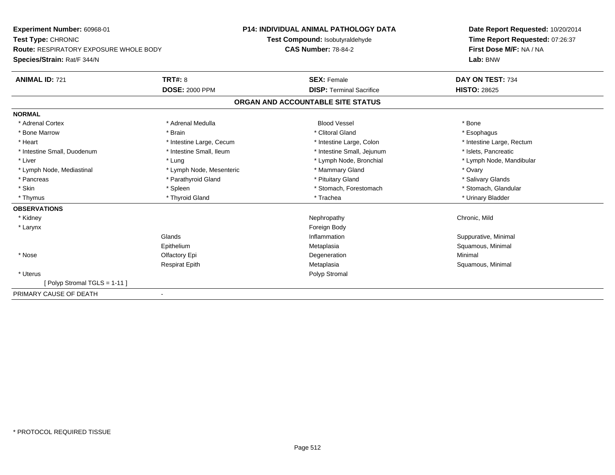| <b>Experiment Number: 60968-01</b><br>Test Type: CHRONIC<br><b>Route: RESPIRATORY EXPOSURE WHOLE BODY</b> |                          | <b>P14: INDIVIDUAL ANIMAL PATHOLOGY DATA</b> | Date Report Requested: 10/20/2014<br>Time Report Requested: 07:26:37 |
|-----------------------------------------------------------------------------------------------------------|--------------------------|----------------------------------------------|----------------------------------------------------------------------|
|                                                                                                           |                          | Test Compound: Isobutyraldehyde              |                                                                      |
|                                                                                                           |                          | <b>CAS Number: 78-84-2</b>                   | First Dose M/F: NA / NA                                              |
| Species/Strain: Rat/F 344/N                                                                               |                          |                                              | Lab: BNW                                                             |
| <b>ANIMAL ID: 721</b>                                                                                     | TRT#: 8                  | <b>SEX: Female</b>                           | DAY ON TEST: 734                                                     |
|                                                                                                           | <b>DOSE: 2000 PPM</b>    | <b>DISP: Terminal Sacrifice</b>              | <b>HISTO: 28625</b>                                                  |
|                                                                                                           |                          | ORGAN AND ACCOUNTABLE SITE STATUS            |                                                                      |
| <b>NORMAL</b>                                                                                             |                          |                                              |                                                                      |
| * Adrenal Cortex                                                                                          | * Adrenal Medulla        | <b>Blood Vessel</b>                          | * Bone                                                               |
| * Bone Marrow                                                                                             | * Brain                  | * Clitoral Gland                             | * Esophagus                                                          |
| * Heart                                                                                                   | * Intestine Large, Cecum | * Intestine Large, Colon                     | * Intestine Large, Rectum                                            |
| * Intestine Small, Duodenum                                                                               | * Intestine Small, Ileum | * Intestine Small, Jejunum                   | * Islets, Pancreatic                                                 |
| * Liver                                                                                                   | * Lung                   | * Lymph Node, Bronchial                      | * Lymph Node, Mandibular                                             |
| * Lymph Node, Mediastinal                                                                                 | * Lymph Node, Mesenteric | * Mammary Gland                              | * Ovary                                                              |
| * Pancreas                                                                                                | * Parathyroid Gland      | * Pituitary Gland                            | * Salivary Glands                                                    |
| * Skin                                                                                                    | * Spleen                 | * Stomach, Forestomach                       | * Stomach, Glandular                                                 |
| * Thymus                                                                                                  | * Thyroid Gland          | * Trachea                                    | * Urinary Bladder                                                    |
| <b>OBSERVATIONS</b>                                                                                       |                          |                                              |                                                                      |
| * Kidney                                                                                                  |                          | Nephropathy                                  | Chronic, Mild                                                        |
| * Larynx                                                                                                  |                          | Foreign Body                                 |                                                                      |
|                                                                                                           | Glands                   | Inflammation                                 | Suppurative, Minimal                                                 |
|                                                                                                           | Epithelium               | Metaplasia                                   | Squamous, Minimal                                                    |
| * Nose                                                                                                    | Olfactory Epi            | Degeneration                                 | Minimal                                                              |
|                                                                                                           | <b>Respirat Epith</b>    | Metaplasia                                   | Squamous, Minimal                                                    |
| * Uterus                                                                                                  |                          | Polyp Stromal                                |                                                                      |
| [Polyp Stromal TGLS = 1-11]                                                                               |                          |                                              |                                                                      |
| PRIMARY CAUSE OF DEATH                                                                                    |                          |                                              |                                                                      |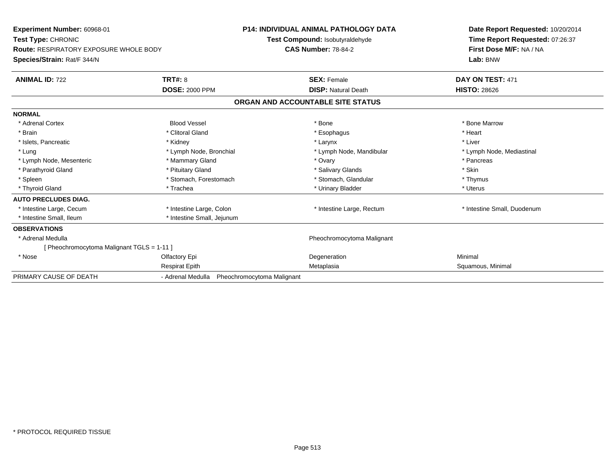| Experiment Number: 60968-01<br>Test Type: CHRONIC<br><b>Route: RESPIRATORY EXPOSURE WHOLE BODY</b><br>Species/Strain: Rat/F 344/N |                                                 | <b>P14: INDIVIDUAL ANIMAL PATHOLOGY DATA</b><br>Test Compound: Isobutyraldehyde<br><b>CAS Number: 78-84-2</b> | Date Report Requested: 10/20/2014<br>Time Report Requested: 07:26:37<br>First Dose M/F: NA / NA<br>Lab: BNW |
|-----------------------------------------------------------------------------------------------------------------------------------|-------------------------------------------------|---------------------------------------------------------------------------------------------------------------|-------------------------------------------------------------------------------------------------------------|
| <b>ANIMAL ID: 722</b>                                                                                                             | <b>TRT#: 8</b>                                  | <b>SEX: Female</b>                                                                                            | DAY ON TEST: 471                                                                                            |
|                                                                                                                                   | <b>DOSE: 2000 PPM</b>                           | <b>DISP:</b> Natural Death                                                                                    | <b>HISTO: 28626</b>                                                                                         |
|                                                                                                                                   |                                                 | ORGAN AND ACCOUNTABLE SITE STATUS                                                                             |                                                                                                             |
| <b>NORMAL</b>                                                                                                                     |                                                 |                                                                                                               |                                                                                                             |
| * Adrenal Cortex                                                                                                                  | <b>Blood Vessel</b>                             | * Bone                                                                                                        | * Bone Marrow                                                                                               |
| * Brain                                                                                                                           | * Clitoral Gland                                | * Esophagus                                                                                                   | * Heart                                                                                                     |
| * Islets, Pancreatic                                                                                                              | * Kidney                                        | * Larynx                                                                                                      | * Liver                                                                                                     |
| * Lung                                                                                                                            | * Lymph Node, Bronchial                         | * Lymph Node, Mandibular                                                                                      | * Lymph Node, Mediastinal                                                                                   |
| * Lymph Node, Mesenteric                                                                                                          | * Mammary Gland                                 | * Ovary                                                                                                       | * Pancreas                                                                                                  |
| * Parathyroid Gland                                                                                                               | * Pituitary Gland                               | * Salivary Glands                                                                                             | * Skin                                                                                                      |
| * Spleen                                                                                                                          | * Stomach, Forestomach                          | * Stomach, Glandular                                                                                          | * Thymus                                                                                                    |
| * Thyroid Gland                                                                                                                   | * Trachea                                       | * Urinary Bladder                                                                                             | * Uterus                                                                                                    |
| <b>AUTO PRECLUDES DIAG.</b>                                                                                                       |                                                 |                                                                                                               |                                                                                                             |
| * Intestine Large, Cecum                                                                                                          | * Intestine Large, Colon                        | * Intestine Large, Rectum                                                                                     | * Intestine Small, Duodenum                                                                                 |
| * Intestine Small. Ileum                                                                                                          | * Intestine Small, Jejunum                      |                                                                                                               |                                                                                                             |
| <b>OBSERVATIONS</b>                                                                                                               |                                                 |                                                                                                               |                                                                                                             |
| * Adrenal Medulla                                                                                                                 |                                                 | Pheochromocytoma Malignant                                                                                    |                                                                                                             |
| [Pheochromocytoma Malignant TGLS = 1-11]                                                                                          |                                                 |                                                                                                               |                                                                                                             |
| * Nose                                                                                                                            | Olfactory Epi                                   | Degeneration                                                                                                  | Minimal                                                                                                     |
|                                                                                                                                   | <b>Respirat Epith</b>                           | Metaplasia                                                                                                    | Squamous, Minimal                                                                                           |
| PRIMARY CAUSE OF DEATH                                                                                                            | - Adrenal Medulla<br>Pheochromocytoma Malignant |                                                                                                               |                                                                                                             |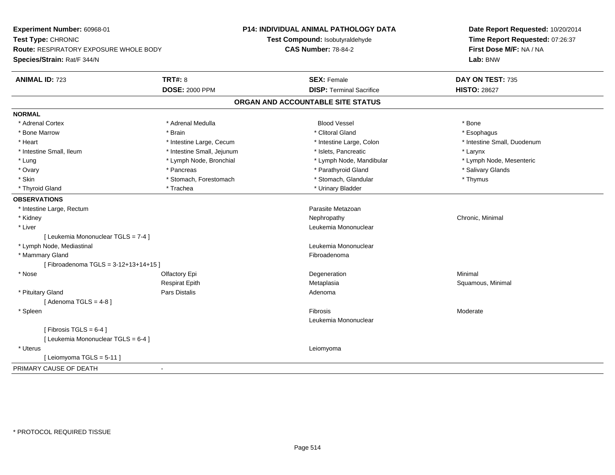| Experiment Number: 60968-01                   |                            | <b>P14: INDIVIDUAL ANIMAL PATHOLOGY DATA</b> | Date Report Requested: 10/20/2014<br>Time Report Requested: 07:26:37 |  |
|-----------------------------------------------|----------------------------|----------------------------------------------|----------------------------------------------------------------------|--|
| Test Type: CHRONIC                            |                            | Test Compound: Isobutyraldehyde              |                                                                      |  |
| <b>Route: RESPIRATORY EXPOSURE WHOLE BODY</b> |                            | <b>CAS Number: 78-84-2</b>                   | First Dose M/F: NA / NA                                              |  |
| Species/Strain: Rat/F 344/N                   |                            |                                              | Lab: BNW                                                             |  |
| <b>ANIMAL ID: 723</b>                         | <b>TRT#: 8</b>             | <b>SEX: Female</b>                           | DAY ON TEST: 735                                                     |  |
|                                               | <b>DOSE: 2000 PPM</b>      | <b>DISP: Terminal Sacrifice</b>              | <b>HISTO: 28627</b>                                                  |  |
|                                               |                            | ORGAN AND ACCOUNTABLE SITE STATUS            |                                                                      |  |
| <b>NORMAL</b>                                 |                            |                                              |                                                                      |  |
| * Adrenal Cortex                              | * Adrenal Medulla          | <b>Blood Vessel</b>                          | * Bone                                                               |  |
| * Bone Marrow                                 | * Brain                    | * Clitoral Gland                             | * Esophagus                                                          |  |
| * Heart                                       | * Intestine Large, Cecum   | * Intestine Large, Colon                     | * Intestine Small, Duodenum                                          |  |
| * Intestine Small, Ileum                      | * Intestine Small, Jejunum | * Islets, Pancreatic                         | * Larynx                                                             |  |
| * Lung                                        | * Lymph Node, Bronchial    | * Lymph Node, Mandibular                     | * Lymph Node, Mesenteric                                             |  |
| * Ovary                                       | * Pancreas                 | * Parathyroid Gland                          | * Salivary Glands                                                    |  |
| * Skin                                        | * Stomach, Forestomach     | * Stomach, Glandular                         | * Thymus                                                             |  |
| * Thyroid Gland                               | * Trachea                  | * Urinary Bladder                            |                                                                      |  |
| <b>OBSERVATIONS</b>                           |                            |                                              |                                                                      |  |
| * Intestine Large, Rectum                     |                            | Parasite Metazoan                            |                                                                      |  |
| * Kidney                                      |                            | Nephropathy                                  | Chronic, Minimal                                                     |  |
| * Liver                                       |                            | Leukemia Mononuclear                         |                                                                      |  |
| [ Leukemia Mononuclear TGLS = 7-4 ]           |                            |                                              |                                                                      |  |
| * Lymph Node, Mediastinal                     |                            | Leukemia Mononuclear                         |                                                                      |  |
| * Mammary Gland                               |                            | Fibroadenoma                                 |                                                                      |  |
| [Fibroadenoma TGLS = 3-12+13+14+15]           |                            |                                              |                                                                      |  |
| * Nose                                        | Olfactory Epi              | Degeneration                                 | Minimal                                                              |  |
|                                               | <b>Respirat Epith</b>      | Metaplasia                                   | Squamous, Minimal                                                    |  |
| * Pituitary Gland                             | Pars Distalis              | Adenoma                                      |                                                                      |  |
| [Adenoma TGLS = $4-8$ ]                       |                            |                                              |                                                                      |  |
| * Spleen                                      |                            | Fibrosis                                     | Moderate                                                             |  |
|                                               |                            | Leukemia Mononuclear                         |                                                                      |  |
| [Fibrosis TGLS = $6-4$ ]                      |                            |                                              |                                                                      |  |
| [ Leukemia Mononuclear TGLS = 6-4 ]           |                            |                                              |                                                                      |  |
| * Uterus                                      |                            | Leiomyoma                                    |                                                                      |  |
| [Leiomyoma TGLS = 5-11]                       |                            |                                              |                                                                      |  |
| PRIMARY CAUSE OF DEATH                        | $\blacksquare$             |                                              |                                                                      |  |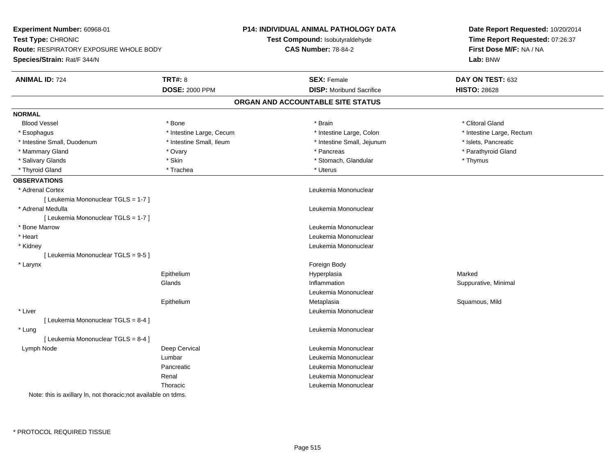| Experiment Number: 60968-01                                     |                          | P14: INDIVIDUAL ANIMAL PATHOLOGY DATA | Date Report Requested: 10/20/2014<br>Time Report Requested: 07:26:37 |
|-----------------------------------------------------------------|--------------------------|---------------------------------------|----------------------------------------------------------------------|
| Test Type: CHRONIC                                              |                          | Test Compound: Isobutyraldehyde       |                                                                      |
| <b>Route: RESPIRATORY EXPOSURE WHOLE BODY</b>                   |                          | <b>CAS Number: 78-84-2</b>            | First Dose M/F: NA / NA                                              |
| Species/Strain: Rat/F 344/N                                     |                          |                                       | Lab: BNW                                                             |
| <b>ANIMAL ID: 724</b>                                           | <b>TRT#: 8</b>           | <b>SEX: Female</b>                    | DAY ON TEST: 632                                                     |
|                                                                 | <b>DOSE: 2000 PPM</b>    | <b>DISP:</b> Moribund Sacrifice       | <b>HISTO: 28628</b>                                                  |
|                                                                 |                          | ORGAN AND ACCOUNTABLE SITE STATUS     |                                                                      |
| <b>NORMAL</b>                                                   |                          |                                       |                                                                      |
| <b>Blood Vessel</b>                                             | * Bone                   | * Brain                               | * Clitoral Gland                                                     |
| * Esophagus                                                     | * Intestine Large, Cecum | * Intestine Large, Colon              | * Intestine Large, Rectum                                            |
| * Intestine Small, Duodenum                                     | * Intestine Small, Ileum | * Intestine Small, Jejunum            | * Islets, Pancreatic                                                 |
| * Mammary Gland                                                 | * Ovary                  | * Pancreas                            | * Parathyroid Gland                                                  |
| * Salivary Glands                                               | * Skin                   | * Stomach, Glandular                  | * Thymus                                                             |
| * Thyroid Gland                                                 | * Trachea                | * Uterus                              |                                                                      |
| <b>OBSERVATIONS</b>                                             |                          |                                       |                                                                      |
| * Adrenal Cortex                                                |                          | Leukemia Mononuclear                  |                                                                      |
| [ Leukemia Mononuclear TGLS = 1-7 ]                             |                          |                                       |                                                                      |
| * Adrenal Medulla                                               |                          | Leukemia Mononuclear                  |                                                                      |
| [ Leukemia Mononuclear TGLS = 1-7 ]                             |                          |                                       |                                                                      |
| * Bone Marrow                                                   |                          | Leukemia Mononuclear                  |                                                                      |
| * Heart                                                         |                          | Leukemia Mononuclear                  |                                                                      |
| * Kidney                                                        |                          | Leukemia Mononuclear                  |                                                                      |
| [ Leukemia Mononuclear TGLS = 9-5 ]                             |                          |                                       |                                                                      |
| * Larynx                                                        |                          | Foreign Body                          |                                                                      |
|                                                                 | Epithelium               | Hyperplasia                           | Marked                                                               |
|                                                                 | Glands                   | Inflammation                          | Suppurative, Minimal                                                 |
|                                                                 |                          | Leukemia Mononuclear                  |                                                                      |
|                                                                 | Epithelium               | Metaplasia                            | Squamous, Mild                                                       |
| * Liver                                                         |                          | Leukemia Mononuclear                  |                                                                      |
| [ Leukemia Mononuclear TGLS = 8-4 ]                             |                          |                                       |                                                                      |
| * Lung                                                          |                          | Leukemia Mononuclear                  |                                                                      |
| [ Leukemia Mononuclear TGLS = 8-4 ]                             |                          |                                       |                                                                      |
| Lymph Node                                                      | Deep Cervical            | Leukemia Mononuclear                  |                                                                      |
|                                                                 | Lumbar                   | Leukemia Mononuclear                  |                                                                      |
|                                                                 | Pancreatic               | Leukemia Mononuclear                  |                                                                      |
|                                                                 | Renal                    | Leukemia Mononuclear                  |                                                                      |
|                                                                 | Thoracic                 | Leukemia Mononuclear                  |                                                                      |
| Note: this is axillary In, not thoracic; not available on tdms. |                          |                                       |                                                                      |
|                                                                 |                          |                                       |                                                                      |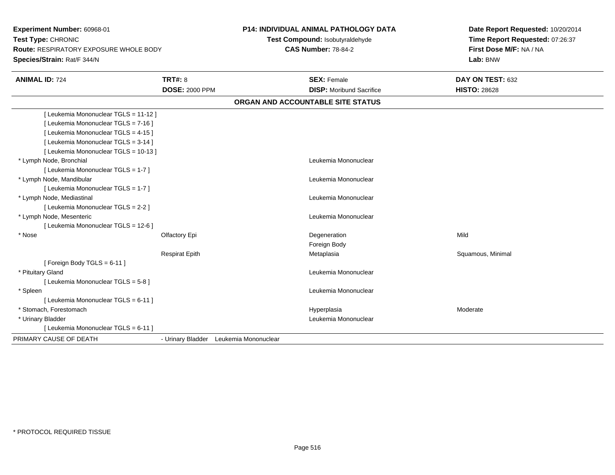**Experiment Number:** 60968-01**Test Type:** CHRONIC **Route:** RESPIRATORY EXPOSURE WHOLE BODY**Species/Strain:** Rat/F 344/N**P14: INDIVIDUAL ANIMAL PATHOLOGY DATATest Compound:** Isobutyraldehyde**CAS Number:** 78-84-2**Date Report Requested:** 10/20/2014**Time Report Requested:** 07:26:37**First Dose M/F:** NA / NA**Lab:** BNW**ANIMAL ID:** 724**TRT#:** 8 **SEX:** Female **DAY ON TEST:** 632 **DOSE:** 2000 PPM**DISP:** Moribund Sacrifice **HISTO:** 28628 **ORGAN AND ACCOUNTABLE SITE STATUS**[ Leukemia Mononuclear TGLS = 11-12 ][ Leukemia Mononuclear TGLS = 7-16 ][ Leukemia Mononuclear TGLS = 4-15 ][ Leukemia Mononuclear TGLS = 3-14 ][ Leukemia Mononuclear TGLS = 10-13 ] \* Lymph Node, Bronchial Leukemia Mononuclear[ Leukemia Mononuclear TGLS = 1-7 ] \* Lymph Node, Mandibular Leukemia Mononuclear [ Leukemia Mononuclear TGLS = 1-7 ] \* Lymph Node, Mediastinal Leukemia Mononuclear[ Leukemia Mononuclear TGLS = 2-2 ] \* Lymph Node, Mesenteric Leukemia Mononuclear [ Leukemia Mononuclear TGLS = 12-6 ] \* Nosee and the Cole of Cole of the Cole of the Cole of the Cole of the Cole of the Cole of the Cole of the Cole of t<br>Cole of the Cole of the Cole of the Cole of the Cole of the Cole of the Cole of the Cole of the Cole of the Co Foreign BodyRespirat EpithMetaplasia **Squamous, Minimal**  $[$  Foreign Body TGLS = 6-11  $]$  \* Pituitary Gland Leukemia Mononuclear [ Leukemia Mononuclear TGLS = 5-8 ] \* Spleen Leukemia Mononuclear [ Leukemia Mononuclear TGLS = 6-11 ] \* Stomach, Forestomachh ann an choimhean ann an t-ainmeile ann an t-ainmeile ann an t-ainmeile an t-ainmeile an am Moderate ann an Moderate ann an Amhan an Amhan an Amhan an Amhan an Amhan an Amhan an Amhan an Amhan an Amhan an Amhan an Amhan a \* Urinary Bladder Leukemia Mononuclear [ Leukemia Mononuclear TGLS = 6-11 ]PRIMARY CAUSE OF DEATH- Urinary Bladder Leukemia Mononuclear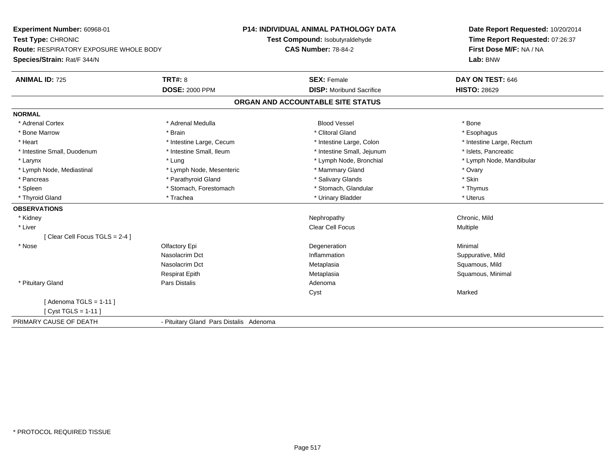**Experiment Number:** 60968-01**Test Type:** CHRONIC **Route:** RESPIRATORY EXPOSURE WHOLE BODY**Species/Strain:** Rat/F 344/N**P14: INDIVIDUAL ANIMAL PATHOLOGY DATATest Compound:** Isobutyraldehyde**CAS Number:** 78-84-2**Date Report Requested:** 10/20/2014**Time Report Requested:** 07:26:37**First Dose M/F:** NA / NA**Lab:** BNW**ANIMAL ID:** 725**TRT#:** 8 **SEX:** Female **DAY ON TEST:** 646 **DOSE:** 2000 PPM**DISP:** Moribund Sacrifice **HISTO:** 28629 **ORGAN AND ACCOUNTABLE SITE STATUSNORMAL**\* Adrenal Cortex \* Adrenal Medulla \* \* Book \* Blood Vessel \* Book \* Bone \* Bone \* Bone \* Bone \* Bone \* Bone \* Bone \* Bone \* Bone \* Esophagus \* Bone Marrow \* \* Android \* Brain \* Brain \* Clitoral Gland \* Clitoral Gland \* Esophagus \* Esophagus \* Esophagus \* Heart Thestine Large, Cecum Thestine Large, Cecum Assessment Carge, Colon Thestine Large, Rectum \* Intestine Large, Rectum \* Intestine Large, Rectum \* Intestine Small, Duodenum \* Intestine Small, Ileum \* Intestine Small, Intestine Small, Jejunum \* Islets, Pancreatic \* Larynx \* Lung \* Lymph Node, Bronchial \* Lymph Node, Mandibular \* Lymph Node, Mediastinal \* Noter \* Lymph Node, Mesenteric \* Mammary Gland \* Mammary Gland \* Ovary \* Ovary \* Skin \* Pancreas \* Pancreas \* Pancreas \* Pancreas \* Pancreas \* Salivary Glands \* Salivary Glands \* Salivary Glands \* \* Thymus \* Spleen \* Stomach, Forestomach \* Stomach, Forestomach \* Stomach, Glandular \* Stomach, Glandular \* Uterus \* Thyroid Gland \* \* Trachea \* \* Trachea \* Trachea \* \* Urinary Bladder \* \* Urinary Bladder \* \* Uterus \* Uterus **OBSERVATIONS** \* Kidneyy the controller of the controller of the controller of the controller of the controller of the chronic, Mild \* Liver Clear Cell Focus Multiple[ Clear Cell Focus TGLS = 2-4 ] \* Nosee and the Colombia Colombia Degeneration and the Colombia Degeneration and the Colombia Minimal Minimal of the Minimal State of the Colombia Degeneration and the Minimal of the Colombia Degeneration of the Colombia Degener Nasolacrim Dct Inflammation Suppurative, Mild Nasolacrim Dct Metaplasia Squamous, Mild Respirat EpithMetaplasia **Squamous, Minimal**  \* Pituitary Glandd and the contract of Pars Distalis and the contract of Adenoma and Adenoma and the Adenoma and the Adenoma and  $\lambda$ Cyst Marked $[$  Adenoma TGLS = 1-11  $]$ [ Cyst TGLS = 1-11 ]PRIMARY CAUSE OF DEATH- Pituitary Gland Pars Distalis Adenoma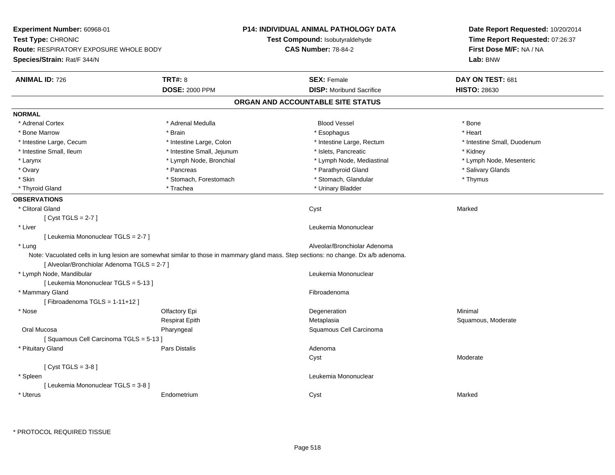| Experiment Number: 60968-01                   |                                                                                                                                      | <b>P14: INDIVIDUAL ANIMAL PATHOLOGY DATA</b> | Date Report Requested: 10/20/2014                          |
|-----------------------------------------------|--------------------------------------------------------------------------------------------------------------------------------------|----------------------------------------------|------------------------------------------------------------|
| Test Type: CHRONIC                            |                                                                                                                                      | Test Compound: Isobutyraldehyde              | Time Report Requested: 07:26:37<br>First Dose M/F: NA / NA |
| <b>Route: RESPIRATORY EXPOSURE WHOLE BODY</b> |                                                                                                                                      | <b>CAS Number: 78-84-2</b>                   |                                                            |
| Species/Strain: Rat/F 344/N                   |                                                                                                                                      |                                              | Lab: BNW                                                   |
| <b>ANIMAL ID: 726</b>                         | <b>TRT#: 8</b>                                                                                                                       | <b>SEX: Female</b>                           | DAY ON TEST: 681                                           |
|                                               | <b>DOSE: 2000 PPM</b>                                                                                                                | <b>DISP:</b> Moribund Sacrifice              | <b>HISTO: 28630</b>                                        |
|                                               |                                                                                                                                      | ORGAN AND ACCOUNTABLE SITE STATUS            |                                                            |
| <b>NORMAL</b>                                 |                                                                                                                                      |                                              |                                                            |
| * Adrenal Cortex                              | * Adrenal Medulla                                                                                                                    | <b>Blood Vessel</b>                          | * Bone                                                     |
| * Bone Marrow                                 | * Brain                                                                                                                              | * Esophagus                                  | * Heart                                                    |
| * Intestine Large, Cecum                      | * Intestine Large, Colon                                                                                                             | * Intestine Large, Rectum                    | * Intestine Small, Duodenum                                |
| * Intestine Small, Ileum                      | * Intestine Small, Jejunum                                                                                                           | * Islets, Pancreatic                         | * Kidney                                                   |
| * Larynx                                      | * Lymph Node, Bronchial                                                                                                              | * Lymph Node, Mediastinal                    | * Lymph Node, Mesenteric                                   |
| * Ovary                                       | * Pancreas                                                                                                                           | * Parathyroid Gland                          | * Salivary Glands                                          |
| * Skin                                        | * Stomach, Forestomach                                                                                                               | * Stomach, Glandular                         | * Thymus                                                   |
| * Thyroid Gland                               | * Trachea                                                                                                                            | * Urinary Bladder                            |                                                            |
| <b>OBSERVATIONS</b>                           |                                                                                                                                      |                                              |                                                            |
| * Clitoral Gland                              |                                                                                                                                      | Cyst                                         | Marked                                                     |
| [Cyst TGLS = $2-7$ ]                          |                                                                                                                                      |                                              |                                                            |
| * Liver                                       |                                                                                                                                      | Leukemia Mononuclear                         |                                                            |
| [ Leukemia Mononuclear TGLS = 2-7 ]           |                                                                                                                                      |                                              |                                                            |
| * Lung                                        |                                                                                                                                      | Alveolar/Bronchiolar Adenoma                 |                                                            |
| [ Alveolar/Bronchiolar Adenoma TGLS = 2-7 ]   | Note: Vacuolated cells in lung lesion are somewhat similar to those in mammary gland mass. Step sections: no change. Dx a/b adenoma. |                                              |                                                            |
| * Lymph Node, Mandibular                      |                                                                                                                                      | Leukemia Mononuclear                         |                                                            |
| [ Leukemia Mononuclear TGLS = 5-13 ]          |                                                                                                                                      |                                              |                                                            |
| * Mammary Gland                               |                                                                                                                                      | Fibroadenoma                                 |                                                            |
| [Fibroadenoma TGLS = 1-11+12]                 |                                                                                                                                      |                                              |                                                            |
| * Nose                                        | Olfactory Epi                                                                                                                        | Degeneration                                 | Minimal                                                    |
|                                               | <b>Respirat Epith</b>                                                                                                                | Metaplasia                                   | Squamous, Moderate                                         |
| Oral Mucosa                                   | Pharyngeal                                                                                                                           | Squamous Cell Carcinoma                      |                                                            |
| [Squamous Cell Carcinoma TGLS = 5-13]         |                                                                                                                                      |                                              |                                                            |
| * Pituitary Gland                             | Pars Distalis                                                                                                                        | Adenoma                                      |                                                            |
|                                               |                                                                                                                                      | Cyst                                         | Moderate                                                   |
| [Cyst TGLS = $3-8$ ]                          |                                                                                                                                      |                                              |                                                            |
| * Spleen                                      |                                                                                                                                      | Leukemia Mononuclear                         |                                                            |
| [ Leukemia Mononuclear TGLS = 3-8 ]           |                                                                                                                                      |                                              |                                                            |
| * Uterus                                      | Endometrium                                                                                                                          | Cyst                                         | Marked                                                     |
|                                               |                                                                                                                                      |                                              |                                                            |

\* PROTOCOL REQUIRED TISSUE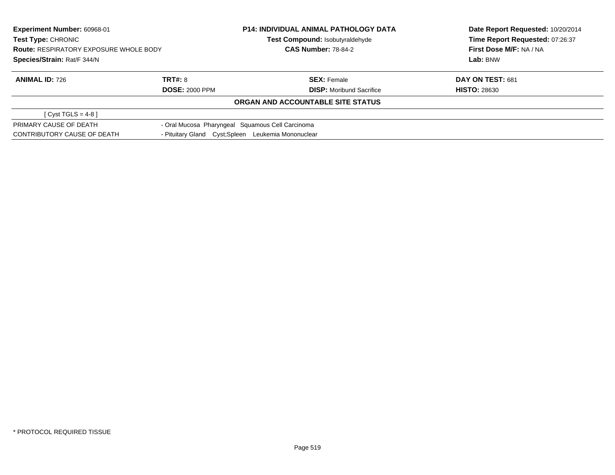| Experiment Number: 60968-01<br>Test Type: CHRONIC<br><b>Route: RESPIRATORY EXPOSURE WHOLE BODY</b> |                | <b>P14: INDIVIDUAL ANIMAL PATHOLOGY DATA</b>        | Date Report Requested: 10/20/2014 |  |
|----------------------------------------------------------------------------------------------------|----------------|-----------------------------------------------------|-----------------------------------|--|
|                                                                                                    |                | <b>Test Compound: Isobutyraldehyde</b>              | Time Report Requested: 07:26:37   |  |
|                                                                                                    |                | <b>CAS Number: 78-84-2</b>                          | First Dose M/F: NA / NA           |  |
| Species/Strain: Rat/F 344/N                                                                        |                |                                                     | Lab: BNW                          |  |
| <b>ANIMAL ID: 726</b>                                                                              | <b>TRT#: 8</b> | <b>SEX: Female</b>                                  | DAY ON TEST: 681                  |  |
| <b>DOSE: 2000 PPM</b>                                                                              |                | <b>DISP:</b> Moribund Sacrifice                     | <b>HISTO: 28630</b>               |  |
|                                                                                                    |                | ORGAN AND ACCOUNTABLE SITE STATUS                   |                                   |  |
| [ Cyst TGLS = $4-8$ ]                                                                              |                |                                                     |                                   |  |
| PRIMARY CAUSE OF DEATH                                                                             |                | - Oral Mucosa Pharyngeal Squamous Cell Carcinoma    |                                   |  |
| CONTRIBUTORY CAUSE OF DEATH                                                                        |                | - Pituitary Gland Cyst; Spleen Leukemia Mononuclear |                                   |  |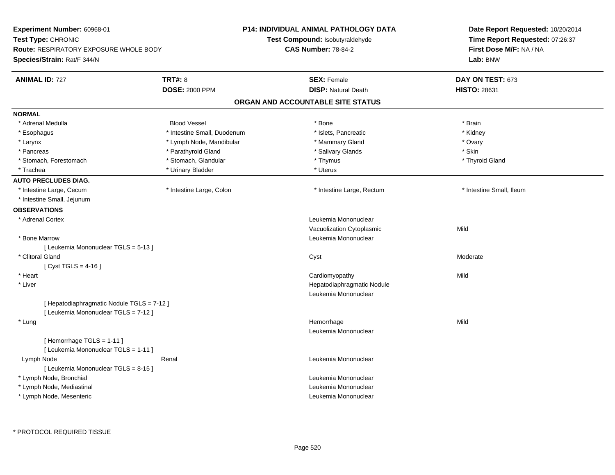| Experiment Number: 60968-01                |                             | <b>P14: INDIVIDUAL ANIMAL PATHOLOGY DATA</b> | Date Report Requested: 10/20/2014<br>Time Report Requested: 07:26:37 |
|--------------------------------------------|-----------------------------|----------------------------------------------|----------------------------------------------------------------------|
| Test Type: CHRONIC                         |                             | Test Compound: Isobutyraldehyde              |                                                                      |
| Route: RESPIRATORY EXPOSURE WHOLE BODY     | <b>CAS Number: 78-84-2</b>  |                                              | First Dose M/F: NA / NA                                              |
| Species/Strain: Rat/F 344/N                |                             |                                              | Lab: BNW                                                             |
| <b>ANIMAL ID: 727</b>                      | <b>TRT#: 8</b>              | <b>SEX: Female</b>                           | DAY ON TEST: 673                                                     |
|                                            | <b>DOSE: 2000 PPM</b>       | <b>DISP: Natural Death</b>                   | <b>HISTO: 28631</b>                                                  |
|                                            |                             | ORGAN AND ACCOUNTABLE SITE STATUS            |                                                                      |
| <b>NORMAL</b>                              |                             |                                              |                                                                      |
| * Adrenal Medulla                          | <b>Blood Vessel</b>         | * Bone                                       | * Brain                                                              |
| * Esophagus                                | * Intestine Small, Duodenum | * Islets, Pancreatic                         | * Kidney                                                             |
| * Larynx                                   | * Lymph Node, Mandibular    | * Mammary Gland                              | * Ovary                                                              |
| * Pancreas                                 | * Parathyroid Gland         | * Salivary Glands                            | * Skin                                                               |
| * Stomach, Forestomach                     | * Stomach, Glandular        | * Thymus                                     | * Thyroid Gland                                                      |
| * Trachea                                  | * Urinary Bladder           | * Uterus                                     |                                                                      |
| <b>AUTO PRECLUDES DIAG.</b>                |                             |                                              |                                                                      |
| * Intestine Large, Cecum                   | * Intestine Large, Colon    | * Intestine Large, Rectum                    | * Intestine Small, Ileum                                             |
| * Intestine Small, Jejunum                 |                             |                                              |                                                                      |
| <b>OBSERVATIONS</b>                        |                             |                                              |                                                                      |
| * Adrenal Cortex                           |                             | Leukemia Mononuclear                         |                                                                      |
|                                            |                             | Vacuolization Cytoplasmic                    | Mild                                                                 |
| * Bone Marrow                              |                             | Leukemia Mononuclear                         |                                                                      |
| [ Leukemia Mononuclear TGLS = 5-13 ]       |                             |                                              |                                                                      |
| * Clitoral Gland                           |                             | Cyst                                         | Moderate                                                             |
| [ $Cyst TGLS = 4-16$ ]                     |                             |                                              |                                                                      |
| * Heart                                    |                             | Cardiomyopathy                               | Mild                                                                 |
| * Liver                                    |                             | Hepatodiaphragmatic Nodule                   |                                                                      |
|                                            |                             | Leukemia Mononuclear                         |                                                                      |
| [ Hepatodiaphragmatic Nodule TGLS = 7-12 ] |                             |                                              |                                                                      |
| [ Leukemia Mononuclear TGLS = 7-12 ]       |                             |                                              |                                                                      |
| * Lung                                     |                             | Hemorrhage                                   | Mild                                                                 |
|                                            |                             | Leukemia Mononuclear                         |                                                                      |
| [Hemorrhage TGLS = 1-11]                   |                             |                                              |                                                                      |
| [ Leukemia Mononuclear TGLS = 1-11 ]       |                             |                                              |                                                                      |
| Lymph Node                                 | Renal                       | Leukemia Mononuclear                         |                                                                      |
| [ Leukemia Mononuclear TGLS = 8-15 ]       |                             |                                              |                                                                      |
| * Lymph Node, Bronchial                    |                             | Leukemia Mononuclear                         |                                                                      |
| * Lymph Node, Mediastinal                  |                             | Leukemia Mononuclear                         |                                                                      |
| * Lymph Node, Mesenteric                   |                             | Leukemia Mononuclear                         |                                                                      |
|                                            |                             |                                              |                                                                      |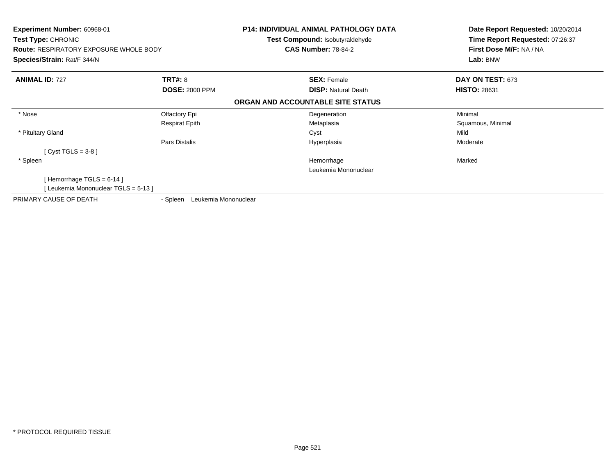| Experiment Number: 60968-01<br><b>Test Type: CHRONIC</b><br><b>Route: RESPIRATORY EXPOSURE WHOLE BODY</b><br>Species/Strain: Rat/F 344/N |                                  | <b>P14: INDIVIDUAL ANIMAL PATHOLOGY DATA</b><br><b>Test Compound: Isobutyraldehyde</b><br><b>CAS Number: 78-84-2</b> | Date Report Requested: 10/20/2014<br>Time Report Requested: 07:26:37<br>First Dose M/F: NA / NA<br>Lab: BNW |
|------------------------------------------------------------------------------------------------------------------------------------------|----------------------------------|----------------------------------------------------------------------------------------------------------------------|-------------------------------------------------------------------------------------------------------------|
| <b>ANIMAL ID: 727</b>                                                                                                                    | <b>TRT#: 8</b>                   | <b>SEX: Female</b>                                                                                                   | DAY ON TEST: 673                                                                                            |
|                                                                                                                                          | <b>DOSE: 2000 PPM</b>            | <b>DISP: Natural Death</b>                                                                                           | <b>HISTO: 28631</b>                                                                                         |
|                                                                                                                                          |                                  | ORGAN AND ACCOUNTABLE SITE STATUS                                                                                    |                                                                                                             |
| * Nose                                                                                                                                   | Olfactory Epi                    | Degeneration                                                                                                         | Minimal                                                                                                     |
|                                                                                                                                          | <b>Respirat Epith</b>            | Metaplasia                                                                                                           | Squamous, Minimal                                                                                           |
| * Pituitary Gland                                                                                                                        |                                  | Cyst                                                                                                                 | Mild                                                                                                        |
|                                                                                                                                          | Pars Distalis                    | Hyperplasia                                                                                                          | Moderate                                                                                                    |
| $[Cyst TGLS = 3-8]$                                                                                                                      |                                  |                                                                                                                      |                                                                                                             |
| * Spleen                                                                                                                                 |                                  | Hemorrhage                                                                                                           | Marked                                                                                                      |
|                                                                                                                                          |                                  | Leukemia Mononuclear                                                                                                 |                                                                                                             |
| [Hemorrhage TGLS = $6-14$ ]                                                                                                              |                                  |                                                                                                                      |                                                                                                             |
| [Leukemia Mononuclear TGLS = 5-13]                                                                                                       |                                  |                                                                                                                      |                                                                                                             |
| PRIMARY CAUSE OF DEATH                                                                                                                   | Leukemia Mononuclear<br>- Spleen |                                                                                                                      |                                                                                                             |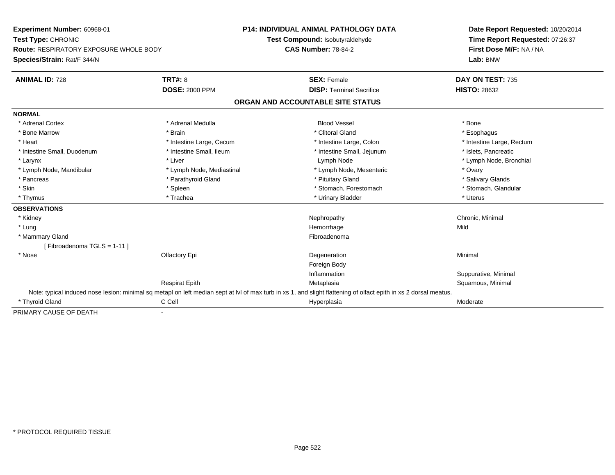| Experiment Number: 60968-01<br>Test Type: CHRONIC<br><b>Route: RESPIRATORY EXPOSURE WHOLE BODY</b> |                           | <b>P14: INDIVIDUAL ANIMAL PATHOLOGY DATA</b>                                                                                                                      | Date Report Requested: 10/20/2014<br>Time Report Requested: 07:26:37 |
|----------------------------------------------------------------------------------------------------|---------------------------|-------------------------------------------------------------------------------------------------------------------------------------------------------------------|----------------------------------------------------------------------|
|                                                                                                    |                           | Test Compound: Isobutyraldehyde                                                                                                                                   |                                                                      |
|                                                                                                    |                           | <b>CAS Number: 78-84-2</b>                                                                                                                                        | First Dose M/F: NA / NA                                              |
| Species/Strain: Rat/F 344/N                                                                        |                           |                                                                                                                                                                   | Lab: BNW                                                             |
| <b>ANIMAL ID: 728</b>                                                                              | TRT#: 8                   | <b>SEX: Female</b>                                                                                                                                                | DAY ON TEST: 735                                                     |
|                                                                                                    | <b>DOSE: 2000 PPM</b>     | <b>DISP: Terminal Sacrifice</b>                                                                                                                                   | <b>HISTO: 28632</b>                                                  |
|                                                                                                    |                           | ORGAN AND ACCOUNTABLE SITE STATUS                                                                                                                                 |                                                                      |
| <b>NORMAL</b>                                                                                      |                           |                                                                                                                                                                   |                                                                      |
| * Adrenal Cortex                                                                                   | * Adrenal Medulla         | <b>Blood Vessel</b>                                                                                                                                               | * Bone                                                               |
| * Bone Marrow                                                                                      | * Brain                   | * Clitoral Gland                                                                                                                                                  | * Esophagus                                                          |
| * Heart                                                                                            | * Intestine Large, Cecum  | * Intestine Large, Colon                                                                                                                                          | * Intestine Large, Rectum                                            |
| * Intestine Small, Duodenum                                                                        | * Intestine Small, Ileum  | * Intestine Small, Jejunum                                                                                                                                        | * Islets, Pancreatic                                                 |
| * Larynx                                                                                           | * Liver                   | Lymph Node                                                                                                                                                        | * Lymph Node, Bronchial                                              |
| * Lymph Node, Mandibular                                                                           | * Lymph Node, Mediastinal | * Lymph Node, Mesenteric                                                                                                                                          | * Ovary                                                              |
| * Pancreas                                                                                         | * Parathyroid Gland       | * Pituitary Gland                                                                                                                                                 | * Salivary Glands                                                    |
| * Skin                                                                                             | * Spleen                  | * Stomach, Forestomach                                                                                                                                            | * Stomach, Glandular                                                 |
| * Thymus                                                                                           | * Trachea                 | * Urinary Bladder                                                                                                                                                 | * Uterus                                                             |
| <b>OBSERVATIONS</b>                                                                                |                           |                                                                                                                                                                   |                                                                      |
| * Kidney                                                                                           |                           | Nephropathy                                                                                                                                                       | Chronic, Minimal                                                     |
| * Lung                                                                                             |                           | Hemorrhage                                                                                                                                                        | Mild                                                                 |
| * Mammary Gland                                                                                    |                           | Fibroadenoma                                                                                                                                                      |                                                                      |
| [Fibroadenoma TGLS = 1-11]                                                                         |                           |                                                                                                                                                                   |                                                                      |
| * Nose                                                                                             | Olfactory Epi             | Degeneration                                                                                                                                                      | Minimal                                                              |
|                                                                                                    |                           | Foreign Body                                                                                                                                                      |                                                                      |
|                                                                                                    |                           | Inflammation                                                                                                                                                      | Suppurative, Minimal                                                 |
|                                                                                                    | <b>Respirat Epith</b>     | Metaplasia                                                                                                                                                        | Squamous, Minimal                                                    |
|                                                                                                    |                           | Note: typical induced nose lesion: minimal sq metapl on left median sept at IvI of max turb in xs 1, and slight flattening of olfact epith in xs 2 dorsal meatus. |                                                                      |
| * Thyroid Gland                                                                                    | C Cell                    | Hyperplasia                                                                                                                                                       | Moderate                                                             |
| PRIMARY CAUSE OF DEATH                                                                             | $\blacksquare$            |                                                                                                                                                                   |                                                                      |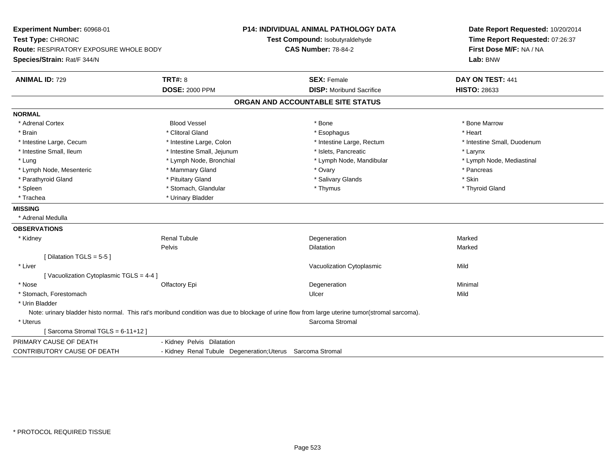| Experiment Number: 60968-01<br>Test Type: CHRONIC<br>Route: RESPIRATORY EXPOSURE WHOLE BODY<br>Species/Strain: Rat/F 344/N |                                                            | <b>P14: INDIVIDUAL ANIMAL PATHOLOGY DATA</b><br>Test Compound: Isobutyraldehyde<br><b>CAS Number: 78-84-2</b>                                  | Date Report Requested: 10/20/2014<br>Time Report Requested: 07:26:37<br>First Dose M/F: NA / NA<br>Lab: BNW |
|----------------------------------------------------------------------------------------------------------------------------|------------------------------------------------------------|------------------------------------------------------------------------------------------------------------------------------------------------|-------------------------------------------------------------------------------------------------------------|
| <b>ANIMAL ID: 729</b>                                                                                                      | <b>TRT#: 8</b>                                             | <b>SEX: Female</b>                                                                                                                             | DAY ON TEST: 441                                                                                            |
|                                                                                                                            | <b>DOSE: 2000 PPM</b>                                      | <b>DISP:</b> Moribund Sacrifice                                                                                                                | <b>HISTO: 28633</b>                                                                                         |
|                                                                                                                            |                                                            | ORGAN AND ACCOUNTABLE SITE STATUS                                                                                                              |                                                                                                             |
| <b>NORMAL</b>                                                                                                              |                                                            |                                                                                                                                                |                                                                                                             |
| * Adrenal Cortex                                                                                                           | <b>Blood Vessel</b>                                        | * Bone                                                                                                                                         | * Bone Marrow                                                                                               |
| * Brain                                                                                                                    | * Clitoral Gland                                           | * Esophagus                                                                                                                                    | * Heart                                                                                                     |
| * Intestine Large, Cecum                                                                                                   | * Intestine Large, Colon                                   | * Intestine Large, Rectum                                                                                                                      | * Intestine Small, Duodenum                                                                                 |
| * Intestine Small, Ileum                                                                                                   | * Intestine Small, Jejunum                                 | * Islets, Pancreatic                                                                                                                           | * Larynx                                                                                                    |
| * Lung                                                                                                                     | * Lymph Node, Bronchial                                    | * Lymph Node, Mandibular                                                                                                                       | * Lymph Node, Mediastinal                                                                                   |
| * Lymph Node, Mesenteric                                                                                                   | * Mammary Gland                                            | * Ovary                                                                                                                                        | * Pancreas                                                                                                  |
| * Parathyroid Gland                                                                                                        | * Pituitary Gland                                          | * Salivary Glands                                                                                                                              | * Skin                                                                                                      |
| * Spleen                                                                                                                   | * Stomach, Glandular                                       | * Thymus                                                                                                                                       | * Thyroid Gland                                                                                             |
| * Trachea                                                                                                                  | * Urinary Bladder                                          |                                                                                                                                                |                                                                                                             |
| <b>MISSING</b>                                                                                                             |                                                            |                                                                                                                                                |                                                                                                             |
| * Adrenal Medulla                                                                                                          |                                                            |                                                                                                                                                |                                                                                                             |
| <b>OBSERVATIONS</b>                                                                                                        |                                                            |                                                                                                                                                |                                                                                                             |
| * Kidney                                                                                                                   | <b>Renal Tubule</b>                                        | Degeneration                                                                                                                                   | Marked                                                                                                      |
|                                                                                                                            | Pelvis                                                     | <b>Dilatation</b>                                                                                                                              | Marked                                                                                                      |
| [ Dilatation TGLS = $5-5$ ]                                                                                                |                                                            |                                                                                                                                                |                                                                                                             |
| * Liver                                                                                                                    |                                                            | Vacuolization Cytoplasmic                                                                                                                      | Mild                                                                                                        |
| [Vacuolization Cytoplasmic TGLS = 4-4 ]                                                                                    |                                                            |                                                                                                                                                |                                                                                                             |
| * Nose                                                                                                                     | Olfactory Epi                                              | Degeneration                                                                                                                                   | Minimal                                                                                                     |
| * Stomach, Forestomach                                                                                                     |                                                            | Ulcer                                                                                                                                          | Mild                                                                                                        |
| * Urin Bladder                                                                                                             |                                                            |                                                                                                                                                |                                                                                                             |
|                                                                                                                            |                                                            | Note: urinary bladder histo normal. This rat's moribund condition was due to blockage of urine flow from large uterine tumor(stromal sarcoma). |                                                                                                             |
| * Uterus                                                                                                                   |                                                            | Sarcoma Stromal                                                                                                                                |                                                                                                             |
| [Sarcoma Stromal TGLS = 6-11+12]                                                                                           |                                                            |                                                                                                                                                |                                                                                                             |
| PRIMARY CAUSE OF DEATH                                                                                                     | - Kidney Pelvis Dilatation                                 |                                                                                                                                                |                                                                                                             |
| <b>CONTRIBUTORY CAUSE OF DEATH</b>                                                                                         | - Kidney Renal Tubule Degeneration; Uterus Sarcoma Stromal |                                                                                                                                                |                                                                                                             |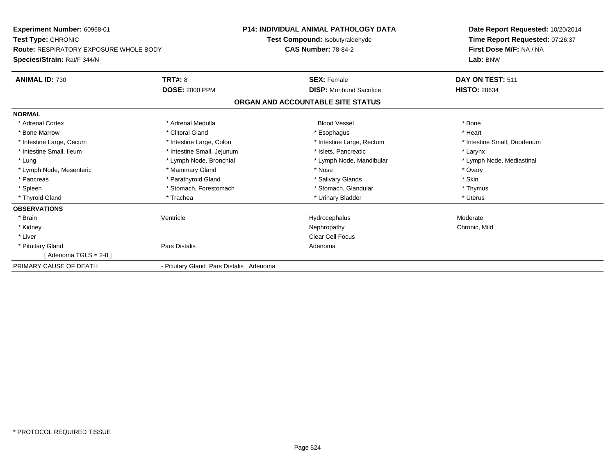| Experiment Number: 60968-01<br><b>Test Type: CHRONIC</b><br><b>Route: RESPIRATORY EXPOSURE WHOLE BODY</b> |                                         | <b>P14: INDIVIDUAL ANIMAL PATHOLOGY DATA</b> | Date Report Requested: 10/20/2014<br>Time Report Requested: 07:26:37<br>First Dose M/F: NA / NA |
|-----------------------------------------------------------------------------------------------------------|-----------------------------------------|----------------------------------------------|-------------------------------------------------------------------------------------------------|
|                                                                                                           |                                         | <b>Test Compound: Isobutyraldehyde</b>       |                                                                                                 |
|                                                                                                           |                                         | <b>CAS Number: 78-84-2</b>                   |                                                                                                 |
| Species/Strain: Rat/F 344/N                                                                               |                                         |                                              | Lab: BNW                                                                                        |
| <b>ANIMAL ID: 730</b>                                                                                     | TRT#: 8                                 | <b>SEX: Female</b>                           | DAY ON TEST: 511                                                                                |
|                                                                                                           | <b>DOSE: 2000 PPM</b>                   | <b>DISP: Moribund Sacrifice</b>              | <b>HISTO: 28634</b>                                                                             |
|                                                                                                           |                                         | ORGAN AND ACCOUNTABLE SITE STATUS            |                                                                                                 |
| <b>NORMAL</b>                                                                                             |                                         |                                              |                                                                                                 |
| * Adrenal Cortex                                                                                          | * Adrenal Medulla                       | <b>Blood Vessel</b>                          | * Bone                                                                                          |
| * Bone Marrow                                                                                             | * Clitoral Gland                        | * Esophagus                                  | * Heart                                                                                         |
| * Intestine Large, Cecum                                                                                  | * Intestine Large, Colon                | * Intestine Large, Rectum                    | * Intestine Small, Duodenum                                                                     |
| * Intestine Small, Ileum                                                                                  | * Intestine Small, Jejunum              | * Islets. Pancreatic                         | * Larynx                                                                                        |
| * Lung                                                                                                    | * Lymph Node, Bronchial                 | * Lymph Node, Mandibular                     | * Lymph Node, Mediastinal                                                                       |
| * Lymph Node, Mesenteric                                                                                  | * Mammary Gland                         | * Nose                                       | * Ovary                                                                                         |
| * Pancreas                                                                                                | * Parathyroid Gland                     | * Salivary Glands                            | * Skin                                                                                          |
| * Spleen                                                                                                  | * Stomach, Forestomach                  | * Stomach, Glandular                         | * Thymus                                                                                        |
| * Thyroid Gland                                                                                           | * Trachea                               | * Urinary Bladder                            | * Uterus                                                                                        |
| <b>OBSERVATIONS</b>                                                                                       |                                         |                                              |                                                                                                 |
| * Brain                                                                                                   | Ventricle                               | Hydrocephalus                                | Moderate                                                                                        |
| * Kidney                                                                                                  |                                         | Nephropathy                                  | Chronic, Mild                                                                                   |
| * Liver                                                                                                   |                                         | <b>Clear Cell Focus</b>                      |                                                                                                 |
| * Pituitary Gland                                                                                         | Pars Distalis                           | Adenoma                                      |                                                                                                 |
| [Adenoma TGLS = $2-8$ ]                                                                                   |                                         |                                              |                                                                                                 |
| PRIMARY CAUSE OF DEATH                                                                                    | - Pituitary Gland Pars Distalis Adenoma |                                              |                                                                                                 |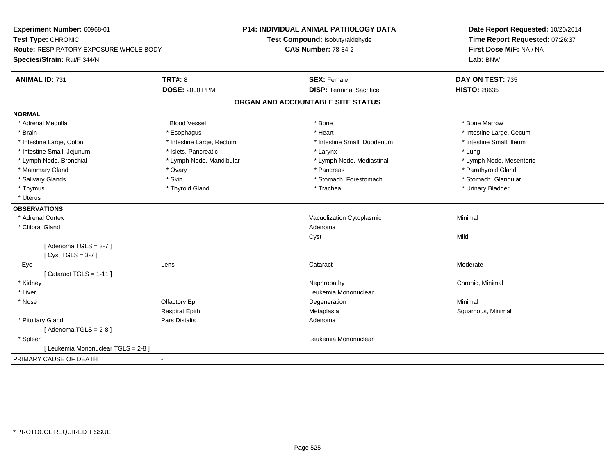| Experiment Number: 60968-01<br>Test Type: CHRONIC<br>Route: RESPIRATORY EXPOSURE WHOLE BODY<br>Species/Strain: Rat/F 344/N |                           | <b>P14: INDIVIDUAL ANIMAL PATHOLOGY DATA</b><br>Test Compound: Isobutyraldehyde<br><b>CAS Number: 78-84-2</b> | Date Report Requested: 10/20/2014<br>Time Report Requested: 07:26:37<br>First Dose M/F: NA / NA<br>Lab: BNW |
|----------------------------------------------------------------------------------------------------------------------------|---------------------------|---------------------------------------------------------------------------------------------------------------|-------------------------------------------------------------------------------------------------------------|
| <b>ANIMAL ID: 731</b>                                                                                                      | TRT#: 8                   | <b>SEX: Female</b>                                                                                            | DAY ON TEST: 735                                                                                            |
|                                                                                                                            | <b>DOSE: 2000 PPM</b>     | <b>DISP: Terminal Sacrifice</b>                                                                               | <b>HISTO: 28635</b>                                                                                         |
|                                                                                                                            |                           | ORGAN AND ACCOUNTABLE SITE STATUS                                                                             |                                                                                                             |
| <b>NORMAL</b>                                                                                                              |                           |                                                                                                               |                                                                                                             |
| * Adrenal Medulla                                                                                                          | <b>Blood Vessel</b>       | * Bone                                                                                                        | * Bone Marrow                                                                                               |
| * Brain                                                                                                                    | * Esophagus               | * Heart                                                                                                       | * Intestine Large, Cecum                                                                                    |
| * Intestine Large, Colon                                                                                                   | * Intestine Large, Rectum | * Intestine Small, Duodenum                                                                                   | * Intestine Small, Ileum                                                                                    |
| * Intestine Small, Jejunum                                                                                                 | * Islets, Pancreatic      | * Larynx                                                                                                      | * Lung                                                                                                      |
| * Lymph Node, Bronchial                                                                                                    | * Lymph Node, Mandibular  | * Lymph Node, Mediastinal                                                                                     | * Lymph Node, Mesenteric                                                                                    |
| * Mammary Gland                                                                                                            | * Ovary                   | * Pancreas                                                                                                    | * Parathyroid Gland                                                                                         |
| * Salivary Glands                                                                                                          | * Skin                    | * Stomach, Forestomach                                                                                        | * Stomach, Glandular                                                                                        |
| * Thymus                                                                                                                   | * Thyroid Gland           | * Trachea                                                                                                     | * Urinary Bladder                                                                                           |
| * Uterus                                                                                                                   |                           |                                                                                                               |                                                                                                             |
| <b>OBSERVATIONS</b>                                                                                                        |                           |                                                                                                               |                                                                                                             |
| * Adrenal Cortex                                                                                                           |                           | Vacuolization Cytoplasmic                                                                                     | Minimal                                                                                                     |
| * Clitoral Gland                                                                                                           |                           | Adenoma                                                                                                       |                                                                                                             |
|                                                                                                                            |                           | Cyst                                                                                                          | Mild                                                                                                        |
| [Adenoma TGLS = $3-7$ ]                                                                                                    |                           |                                                                                                               |                                                                                                             |
| [Cyst TGLS = $3-7$ ]                                                                                                       |                           |                                                                                                               |                                                                                                             |
| Eye                                                                                                                        | Lens                      | Cataract                                                                                                      | Moderate                                                                                                    |
| [Cataract TGLS = $1-11$ ]                                                                                                  |                           |                                                                                                               |                                                                                                             |
| * Kidney                                                                                                                   |                           | Nephropathy                                                                                                   | Chronic, Minimal                                                                                            |
| * Liver                                                                                                                    |                           | Leukemia Mononuclear                                                                                          |                                                                                                             |
| * Nose                                                                                                                     | Olfactory Epi             | Degeneration                                                                                                  | Minimal                                                                                                     |
|                                                                                                                            | <b>Respirat Epith</b>     | Metaplasia                                                                                                    | Squamous, Minimal                                                                                           |
| * Pituitary Gland                                                                                                          | Pars Distalis             | Adenoma                                                                                                       |                                                                                                             |
| [Adenoma TGLS = $2-8$ ]                                                                                                    |                           |                                                                                                               |                                                                                                             |
| * Spleen                                                                                                                   |                           | Leukemia Mononuclear                                                                                          |                                                                                                             |
| [ Leukemia Mononuclear TGLS = 2-8 ]                                                                                        |                           |                                                                                                               |                                                                                                             |
| PRIMARY CAUSE OF DEATH                                                                                                     | $\blacksquare$            |                                                                                                               |                                                                                                             |
|                                                                                                                            |                           |                                                                                                               |                                                                                                             |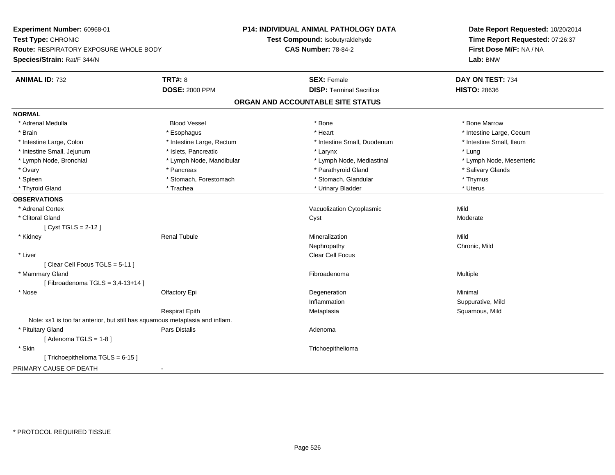| Experiment Number: 60968-01                                                  |                           | <b>P14: INDIVIDUAL ANIMAL PATHOLOGY DATA</b> | Date Report Requested: 10/20/2014<br>Time Report Requested: 07:26:37<br>First Dose M/F: NA / NA |
|------------------------------------------------------------------------------|---------------------------|----------------------------------------------|-------------------------------------------------------------------------------------------------|
| Test Type: CHRONIC                                                           |                           | Test Compound: Isobutyraldehyde              |                                                                                                 |
| <b>Route: RESPIRATORY EXPOSURE WHOLE BODY</b>                                |                           | <b>CAS Number: 78-84-2</b>                   |                                                                                                 |
| Species/Strain: Rat/F 344/N                                                  |                           |                                              | Lab: BNW                                                                                        |
| <b>ANIMAL ID: 732</b>                                                        | <b>TRT#: 8</b>            | <b>SEX: Female</b>                           | DAY ON TEST: 734                                                                                |
|                                                                              | <b>DOSE: 2000 PPM</b>     | <b>DISP: Terminal Sacrifice</b>              | <b>HISTO: 28636</b>                                                                             |
|                                                                              |                           | ORGAN AND ACCOUNTABLE SITE STATUS            |                                                                                                 |
| <b>NORMAL</b>                                                                |                           |                                              |                                                                                                 |
| * Adrenal Medulla                                                            | <b>Blood Vessel</b>       | * Bone                                       | * Bone Marrow                                                                                   |
| * Brain                                                                      | * Esophagus               | * Heart                                      | * Intestine Large, Cecum                                                                        |
| * Intestine Large, Colon                                                     | * Intestine Large, Rectum | * Intestine Small, Duodenum                  | * Intestine Small, Ileum                                                                        |
| * Intestine Small, Jejunum                                                   | * Islets, Pancreatic      | * Larynx                                     | * Lung                                                                                          |
| * Lymph Node, Bronchial                                                      | * Lymph Node, Mandibular  | * Lymph Node, Mediastinal                    | * Lymph Node, Mesenteric                                                                        |
| * Ovary                                                                      | * Pancreas                | * Parathyroid Gland                          | * Salivary Glands                                                                               |
| * Spleen                                                                     | * Stomach, Forestomach    | * Stomach, Glandular                         | * Thymus                                                                                        |
| * Thyroid Gland                                                              | * Trachea                 | * Urinary Bladder                            | * Uterus                                                                                        |
| <b>OBSERVATIONS</b>                                                          |                           |                                              |                                                                                                 |
| * Adrenal Cortex                                                             |                           | Vacuolization Cytoplasmic                    | Mild                                                                                            |
| * Clitoral Gland                                                             |                           | Cyst                                         | Moderate                                                                                        |
| [Cyst TGLS = $2-12$ ]                                                        |                           |                                              |                                                                                                 |
| * Kidney                                                                     | <b>Renal Tubule</b>       | Mineralization                               | Mild                                                                                            |
|                                                                              |                           | Nephropathy                                  | Chronic, Mild                                                                                   |
| * Liver                                                                      |                           | <b>Clear Cell Focus</b>                      |                                                                                                 |
| [Clear Cell Focus TGLS = 5-11]                                               |                           |                                              |                                                                                                 |
| * Mammary Gland                                                              |                           | Fibroadenoma                                 | Multiple                                                                                        |
| [Fibroadenoma TGLS = $3,4-13+14$ ]                                           |                           |                                              |                                                                                                 |
| * Nose                                                                       | Olfactory Epi             | Degeneration                                 | Minimal                                                                                         |
|                                                                              |                           | Inflammation                                 | Suppurative, Mild                                                                               |
|                                                                              | <b>Respirat Epith</b>     | Metaplasia                                   | Squamous, Mild                                                                                  |
| Note: xs1 is too far anterior, but still has squamous metaplasia and inflam. |                           |                                              |                                                                                                 |
| * Pituitary Gland                                                            | Pars Distalis             | Adenoma                                      |                                                                                                 |
| [Adenoma TGLS = $1-8$ ]                                                      |                           |                                              |                                                                                                 |
| * Skin                                                                       |                           | Trichoepithelioma                            |                                                                                                 |
| [Trichoepithelioma TGLS = 6-15]                                              |                           |                                              |                                                                                                 |
| PRIMARY CAUSE OF DEATH                                                       |                           |                                              |                                                                                                 |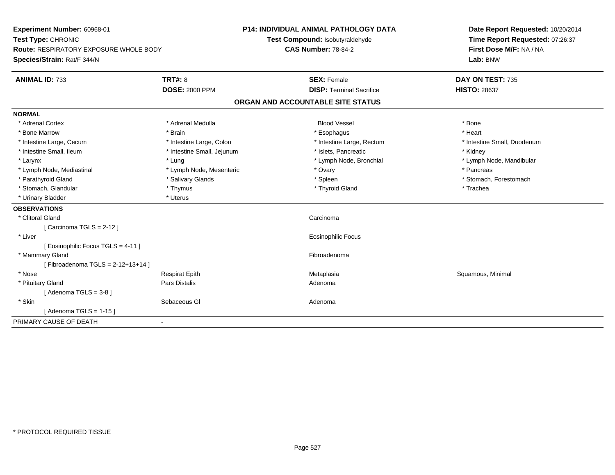| Experiment Number: 60968-01<br>Test Type: CHRONIC                            |                            | <b>P14: INDIVIDUAL ANIMAL PATHOLOGY DATA</b><br>Test Compound: Isobutyraldehyde |                                   | Date Report Requested: 10/20/2014<br>Time Report Requested: 07:26:37 |  |
|------------------------------------------------------------------------------|----------------------------|---------------------------------------------------------------------------------|-----------------------------------|----------------------------------------------------------------------|--|
| <b>Route: RESPIRATORY EXPOSURE WHOLE BODY</b><br>Species/Strain: Rat/F 344/N |                            | <b>CAS Number: 78-84-2</b>                                                      |                                   | First Dose M/F: NA / NA<br>Lab: BNW                                  |  |
| <b>ANIMAL ID: 733</b>                                                        | <b>TRT#: 8</b>             |                                                                                 | <b>SEX: Female</b>                | DAY ON TEST: 735                                                     |  |
|                                                                              | <b>DOSE: 2000 PPM</b>      |                                                                                 | <b>DISP: Terminal Sacrifice</b>   | <b>HISTO: 28637</b>                                                  |  |
|                                                                              |                            |                                                                                 | ORGAN AND ACCOUNTABLE SITE STATUS |                                                                      |  |
| <b>NORMAL</b>                                                                |                            |                                                                                 |                                   |                                                                      |  |
| * Adrenal Cortex                                                             | * Adrenal Medulla          |                                                                                 | <b>Blood Vessel</b>               | * Bone                                                               |  |
| * Bone Marrow                                                                | * Brain                    |                                                                                 | * Esophagus                       | * Heart                                                              |  |
| * Intestine Large, Cecum                                                     | * Intestine Large, Colon   |                                                                                 | * Intestine Large, Rectum         | * Intestine Small, Duodenum                                          |  |
| * Intestine Small, Ileum                                                     | * Intestine Small, Jejunum |                                                                                 | * Islets. Pancreatic              | * Kidney                                                             |  |
| * Larynx                                                                     | * Lung                     |                                                                                 | * Lymph Node, Bronchial           | * Lymph Node, Mandibular                                             |  |
| * Lymph Node, Mediastinal                                                    | * Lymph Node, Mesenteric   |                                                                                 | * Ovary                           | * Pancreas                                                           |  |
| * Parathyroid Gland                                                          | * Salivary Glands          |                                                                                 | * Spleen                          | * Stomach, Forestomach                                               |  |
| * Stomach, Glandular                                                         | * Thymus                   |                                                                                 | * Thyroid Gland                   | * Trachea                                                            |  |
| * Urinary Bladder                                                            | * Uterus                   |                                                                                 |                                   |                                                                      |  |
| <b>OBSERVATIONS</b>                                                          |                            |                                                                                 |                                   |                                                                      |  |
| * Clitoral Gland                                                             |                            |                                                                                 | Carcinoma                         |                                                                      |  |
| [Carcinoma TGLS = $2-12$ ]                                                   |                            |                                                                                 |                                   |                                                                      |  |
| * Liver                                                                      |                            |                                                                                 | <b>Eosinophilic Focus</b>         |                                                                      |  |
| [Eosinophilic Focus TGLS = 4-11]                                             |                            |                                                                                 |                                   |                                                                      |  |
| * Mammary Gland                                                              |                            |                                                                                 | Fibroadenoma                      |                                                                      |  |
| [Fibroadenoma TGLS = $2-12+13+14$ ]                                          |                            |                                                                                 |                                   |                                                                      |  |
| * Nose                                                                       | <b>Respirat Epith</b>      |                                                                                 | Metaplasia                        | Squamous, Minimal                                                    |  |
| * Pituitary Gland                                                            | Pars Distalis              |                                                                                 | Adenoma                           |                                                                      |  |
| [Adenoma TGLS = $3-8$ ]                                                      |                            |                                                                                 |                                   |                                                                      |  |
| * Skin                                                                       | Sebaceous GI               |                                                                                 | Adenoma                           |                                                                      |  |
| [Adenoma TGLS = $1-15$ ]                                                     |                            |                                                                                 |                                   |                                                                      |  |
| PRIMARY CAUSE OF DEATH                                                       | $\blacksquare$             |                                                                                 |                                   |                                                                      |  |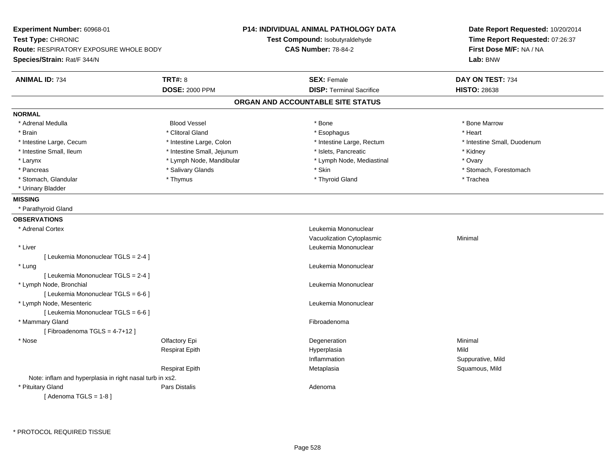| Experiment Number: 60968-01<br>Test Type: CHRONIC<br><b>Route: RESPIRATORY EXPOSURE WHOLE BODY</b><br>Species/Strain: Rat/F 344/N |                            | <b>P14: INDIVIDUAL ANIMAL PATHOLOGY DATA</b><br>Test Compound: Isobutyraldehyde<br><b>CAS Number: 78-84-2</b> | Date Report Requested: 10/20/2014<br>Time Report Requested: 07:26:37<br>First Dose M/F: NA / NA<br>Lab: BNW |
|-----------------------------------------------------------------------------------------------------------------------------------|----------------------------|---------------------------------------------------------------------------------------------------------------|-------------------------------------------------------------------------------------------------------------|
| <b>ANIMAL ID: 734</b>                                                                                                             | <b>TRT#: 8</b>             | <b>SEX: Female</b>                                                                                            | DAY ON TEST: 734                                                                                            |
|                                                                                                                                   | <b>DOSE: 2000 PPM</b>      | <b>DISP: Terminal Sacrifice</b>                                                                               | <b>HISTO: 28638</b>                                                                                         |
|                                                                                                                                   |                            | ORGAN AND ACCOUNTABLE SITE STATUS                                                                             |                                                                                                             |
| <b>NORMAL</b>                                                                                                                     |                            |                                                                                                               |                                                                                                             |
| * Adrenal Medulla                                                                                                                 | <b>Blood Vessel</b>        | * Bone                                                                                                        | * Bone Marrow                                                                                               |
| * Brain                                                                                                                           | * Clitoral Gland           | * Esophagus                                                                                                   | * Heart                                                                                                     |
| * Intestine Large, Cecum                                                                                                          | * Intestine Large, Colon   | * Intestine Large, Rectum                                                                                     | * Intestine Small, Duodenum                                                                                 |
| * Intestine Small, Ileum                                                                                                          | * Intestine Small, Jejunum | * Islets, Pancreatic                                                                                          | * Kidney                                                                                                    |
| * Larynx                                                                                                                          | * Lymph Node, Mandibular   | * Lymph Node, Mediastinal                                                                                     | * Ovary                                                                                                     |
| * Pancreas                                                                                                                        | * Salivary Glands          | * Skin                                                                                                        | * Stomach, Forestomach                                                                                      |
| * Stomach, Glandular                                                                                                              | * Thymus                   | * Thyroid Gland                                                                                               | * Trachea                                                                                                   |
| * Urinary Bladder                                                                                                                 |                            |                                                                                                               |                                                                                                             |
| <b>MISSING</b>                                                                                                                    |                            |                                                                                                               |                                                                                                             |
| * Parathyroid Gland                                                                                                               |                            |                                                                                                               |                                                                                                             |
| <b>OBSERVATIONS</b>                                                                                                               |                            |                                                                                                               |                                                                                                             |
| * Adrenal Cortex                                                                                                                  |                            | Leukemia Mononuclear                                                                                          |                                                                                                             |
|                                                                                                                                   |                            | Vacuolization Cytoplasmic                                                                                     | Minimal                                                                                                     |
| * Liver                                                                                                                           |                            | Leukemia Mononuclear                                                                                          |                                                                                                             |
| [ Leukemia Mononuclear TGLS = 2-4 ]                                                                                               |                            |                                                                                                               |                                                                                                             |
| * Lung                                                                                                                            |                            | Leukemia Mononuclear                                                                                          |                                                                                                             |
| [ Leukemia Mononuclear TGLS = 2-4 ]                                                                                               |                            |                                                                                                               |                                                                                                             |
| * Lymph Node, Bronchial                                                                                                           |                            | Leukemia Mononuclear                                                                                          |                                                                                                             |
| [ Leukemia Mononuclear TGLS = 6-6 ]                                                                                               |                            |                                                                                                               |                                                                                                             |
| * Lymph Node, Mesenteric                                                                                                          |                            | Leukemia Mononuclear                                                                                          |                                                                                                             |
| [ Leukemia Mononuclear TGLS = 6-6 ]                                                                                               |                            |                                                                                                               |                                                                                                             |
| * Mammary Gland                                                                                                                   |                            | Fibroadenoma                                                                                                  |                                                                                                             |
| [Fibroadenoma TGLS = 4-7+12]                                                                                                      |                            |                                                                                                               |                                                                                                             |
| * Nose                                                                                                                            | Olfactory Epi              | Degeneration                                                                                                  | Minimal                                                                                                     |
|                                                                                                                                   | <b>Respirat Epith</b>      | Hyperplasia                                                                                                   | Mild                                                                                                        |
|                                                                                                                                   |                            | Inflammation                                                                                                  | Suppurative, Mild                                                                                           |
|                                                                                                                                   | <b>Respirat Epith</b>      | Metaplasia                                                                                                    | Squamous, Mild                                                                                              |
| Note: inflam and hyperplasia in right nasal turb in xs2.                                                                          |                            |                                                                                                               |                                                                                                             |
| * Pituitary Gland                                                                                                                 | <b>Pars Distalis</b>       | Adenoma                                                                                                       |                                                                                                             |
| [Adenoma TGLS = $1-8$ ]                                                                                                           |                            |                                                                                                               |                                                                                                             |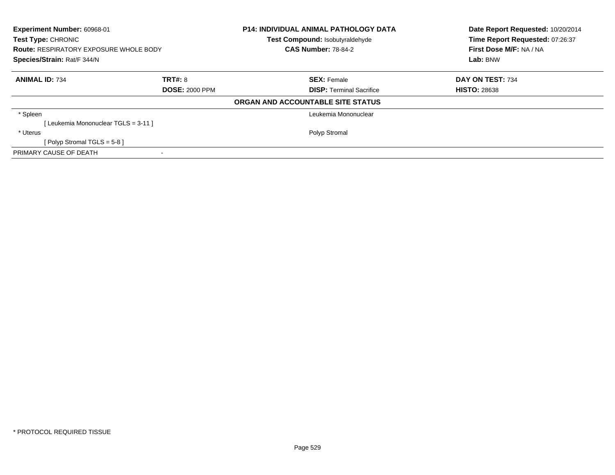| Experiment Number: 60968-01<br>Test Type: CHRONIC<br><b>Route: RESPIRATORY EXPOSURE WHOLE BODY</b><br>Species/Strain: Rat/F 344/N |                       | <b>P14: INDIVIDUAL ANIMAL PATHOLOGY DATA</b><br>Test Compound: Isobutyraldehyde<br><b>CAS Number: 78-84-2</b> | Date Report Requested: 10/20/2014<br>Time Report Requested: 07:26:37<br>First Dose M/F: NA / NA<br>Lab: BNW |
|-----------------------------------------------------------------------------------------------------------------------------------|-----------------------|---------------------------------------------------------------------------------------------------------------|-------------------------------------------------------------------------------------------------------------|
| <b>ANIMAL ID: 734</b>                                                                                                             | <b>TRT#: 8</b>        | <b>SEX: Female</b>                                                                                            | DAY ON TEST: 734                                                                                            |
|                                                                                                                                   | <b>DOSE: 2000 PPM</b> | <b>DISP:</b> Terminal Sacrifice                                                                               | <b>HISTO: 28638</b>                                                                                         |
|                                                                                                                                   |                       | ORGAN AND ACCOUNTABLE SITE STATUS                                                                             |                                                                                                             |
| * Spleen                                                                                                                          |                       | Leukemia Mononuclear                                                                                          |                                                                                                             |
| [Leukemia Mononuclear TGLS = 3-11]                                                                                                |                       |                                                                                                               |                                                                                                             |
| * Uterus                                                                                                                          |                       | Polyp Stromal                                                                                                 |                                                                                                             |
| [ Polyp Stromal TGLS = $5-8$ ]                                                                                                    |                       |                                                                                                               |                                                                                                             |
| PRIMARY CAUSE OF DEATH                                                                                                            |                       |                                                                                                               |                                                                                                             |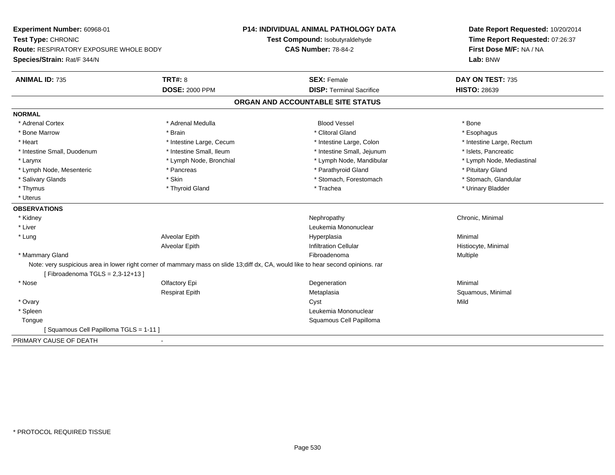| Experiment Number: 60968-01                                                                                                       |                          | <b>P14: INDIVIDUAL ANIMAL PATHOLOGY DATA</b> | Date Report Requested: 10/20/2014 |
|-----------------------------------------------------------------------------------------------------------------------------------|--------------------------|----------------------------------------------|-----------------------------------|
| Test Type: CHRONIC                                                                                                                |                          | Test Compound: Isobutyraldehyde              | Time Report Requested: 07:26:37   |
| <b>Route: RESPIRATORY EXPOSURE WHOLE BODY</b>                                                                                     |                          | <b>CAS Number: 78-84-2</b>                   | First Dose M/F: NA / NA           |
| Species/Strain: Rat/F 344/N                                                                                                       |                          |                                              | Lab: BNW                          |
| <b>ANIMAL ID: 735</b>                                                                                                             | <b>TRT#: 8</b>           | <b>SEX: Female</b>                           | DAY ON TEST: 735                  |
|                                                                                                                                   | <b>DOSE: 2000 PPM</b>    | <b>DISP: Terminal Sacrifice</b>              | <b>HISTO: 28639</b>               |
|                                                                                                                                   |                          | ORGAN AND ACCOUNTABLE SITE STATUS            |                                   |
| <b>NORMAL</b>                                                                                                                     |                          |                                              |                                   |
| * Adrenal Cortex                                                                                                                  | * Adrenal Medulla        | <b>Blood Vessel</b>                          | * Bone                            |
| * Bone Marrow                                                                                                                     | * Brain                  | * Clitoral Gland                             | * Esophagus                       |
| * Heart                                                                                                                           | * Intestine Large, Cecum | * Intestine Large, Colon                     | * Intestine Large, Rectum         |
| * Intestine Small, Duodenum                                                                                                       | * Intestine Small, Ileum | * Intestine Small, Jejunum                   | * Islets. Pancreatic              |
| * Larynx                                                                                                                          | * Lymph Node, Bronchial  | * Lymph Node, Mandibular                     | * Lymph Node, Mediastinal         |
| * Lymph Node, Mesenteric                                                                                                          | * Pancreas               | * Parathyroid Gland                          | * Pituitary Gland                 |
| * Salivary Glands                                                                                                                 | * Skin                   | * Stomach, Forestomach                       | * Stomach, Glandular              |
| * Thymus                                                                                                                          | * Thyroid Gland          | * Trachea                                    | * Urinary Bladder                 |
| * Uterus                                                                                                                          |                          |                                              |                                   |
| <b>OBSERVATIONS</b>                                                                                                               |                          |                                              |                                   |
| * Kidney                                                                                                                          |                          | Nephropathy                                  | Chronic, Minimal                  |
| * Liver                                                                                                                           |                          | Leukemia Mononuclear                         |                                   |
| * Lung                                                                                                                            | Alveolar Epith           | Hyperplasia                                  | Minimal                           |
|                                                                                                                                   | Alveolar Epith           | <b>Infiltration Cellular</b>                 | Histiocyte, Minimal               |
| * Mammary Gland                                                                                                                   |                          | Fibroadenoma                                 | Multiple                          |
| Note: very suspicious area in lower right corner of mammary mass on slide 13;diff dx, CA, would like to hear second opinions. rar |                          |                                              |                                   |
| [Fibroadenoma TGLS = $2,3-12+13$ ]                                                                                                |                          |                                              |                                   |
| * Nose                                                                                                                            | Olfactory Epi            | Degeneration                                 | Minimal                           |
|                                                                                                                                   | <b>Respirat Epith</b>    | Metaplasia                                   | Squamous, Minimal                 |
| * Ovary                                                                                                                           |                          | Cyst                                         | Mild                              |
| * Spleen                                                                                                                          |                          | Leukemia Mononuclear                         |                                   |
| Tongue                                                                                                                            |                          | Squamous Cell Papilloma                      |                                   |
| [Squamous Cell Papilloma TGLS = 1-11]                                                                                             |                          |                                              |                                   |
| PRIMARY CAUSE OF DEATH<br>$\overline{\phantom{a}}$                                                                                |                          |                                              |                                   |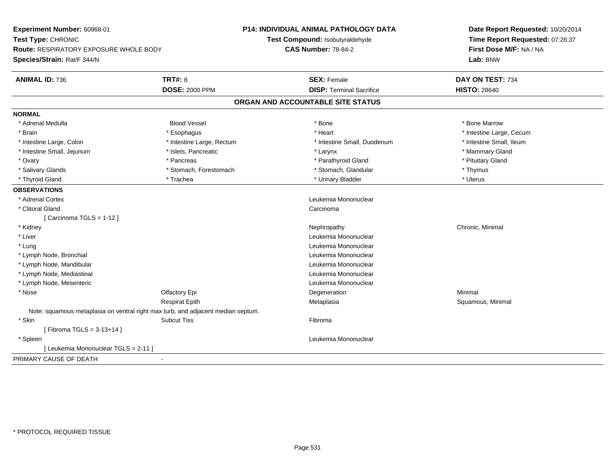| Experiment Number: 60968-01<br>Test Type: CHRONIC<br><b>Route: RESPIRATORY EXPOSURE WHOLE BODY</b><br>Species/Strain: Rat/F 344/N |                           | P14: INDIVIDUAL ANIMAL PATHOLOGY DATA<br>Test Compound: Isobutyraldehyde<br><b>CAS Number: 78-84-2</b> | Date Report Requested: 10/20/2014<br>Time Report Requested: 07:26:37<br>First Dose M/F: NA / NA<br>Lab: BNW |
|-----------------------------------------------------------------------------------------------------------------------------------|---------------------------|--------------------------------------------------------------------------------------------------------|-------------------------------------------------------------------------------------------------------------|
| <b>ANIMAL ID: 736</b>                                                                                                             | <b>TRT#: 8</b>            | <b>SEX: Female</b>                                                                                     | DAY ON TEST: 734                                                                                            |
|                                                                                                                                   | <b>DOSE: 2000 PPM</b>     | <b>DISP: Terminal Sacrifice</b>                                                                        | <b>HISTO: 28640</b>                                                                                         |
|                                                                                                                                   |                           | ORGAN AND ACCOUNTABLE SITE STATUS                                                                      |                                                                                                             |
| <b>NORMAL</b>                                                                                                                     |                           |                                                                                                        |                                                                                                             |
| * Adrenal Medulla                                                                                                                 | <b>Blood Vessel</b>       | * Bone                                                                                                 | * Bone Marrow                                                                                               |
| * Brain                                                                                                                           | * Esophagus               | * Heart                                                                                                | * Intestine Large, Cecum                                                                                    |
| * Intestine Large, Colon                                                                                                          | * Intestine Large, Rectum | * Intestine Small, Duodenum                                                                            | * Intestine Small, Ileum                                                                                    |
| * Intestine Small, Jejunum                                                                                                        | * Islets, Pancreatic      | * Larynx                                                                                               | * Mammary Gland                                                                                             |
| * Ovary                                                                                                                           | * Pancreas                | * Parathyroid Gland                                                                                    | * Pituitary Gland                                                                                           |
| * Salivary Glands                                                                                                                 | * Stomach, Forestomach    | * Stomach, Glandular                                                                                   | * Thymus                                                                                                    |
| * Thyroid Gland                                                                                                                   | * Trachea                 | * Urinary Bladder                                                                                      | * Uterus                                                                                                    |
| <b>OBSERVATIONS</b>                                                                                                               |                           |                                                                                                        |                                                                                                             |
| * Adrenal Cortex                                                                                                                  |                           | Leukemia Mononuclear                                                                                   |                                                                                                             |
| * Clitoral Gland                                                                                                                  |                           | Carcinoma                                                                                              |                                                                                                             |
| [Carcinoma TGLS = 1-12]                                                                                                           |                           |                                                                                                        |                                                                                                             |
| * Kidney                                                                                                                          |                           | Nephropathy                                                                                            | Chronic, Minimal                                                                                            |
| * Liver                                                                                                                           |                           | Leukemia Mononuclear                                                                                   |                                                                                                             |
| * Lung                                                                                                                            |                           | Leukemia Mononuclear                                                                                   |                                                                                                             |
| * Lymph Node, Bronchial                                                                                                           |                           | Leukemia Mononuclear                                                                                   |                                                                                                             |
| * Lymph Node, Mandibular                                                                                                          |                           | Leukemia Mononuclear                                                                                   |                                                                                                             |
| * Lymph Node, Mediastinal                                                                                                         |                           | Leukemia Mononuclear                                                                                   |                                                                                                             |
| * Lymph Node, Mesenteric                                                                                                          |                           | Leukemia Mononuclear                                                                                   |                                                                                                             |
| * Nose                                                                                                                            | Olfactory Epi             | Degeneration                                                                                           | Minimal                                                                                                     |
|                                                                                                                                   | <b>Respirat Epith</b>     | Metaplasia                                                                                             | Squamous, Minimal                                                                                           |
| Note: squamous metaplasia on ventral right max turb, and adjacent median septum.                                                  |                           |                                                                                                        |                                                                                                             |
| * Skin                                                                                                                            | <b>Subcut Tiss</b>        | Fibroma                                                                                                |                                                                                                             |
| [Fibroma TGLS = 3-13+14]                                                                                                          |                           |                                                                                                        |                                                                                                             |
| * Spleen                                                                                                                          |                           | Leukemia Mononuclear                                                                                   |                                                                                                             |
| [ Leukemia Mononuclear TGLS = 2-11 ]                                                                                              |                           |                                                                                                        |                                                                                                             |
| PRIMARY CAUSE OF DEATH                                                                                                            |                           |                                                                                                        |                                                                                                             |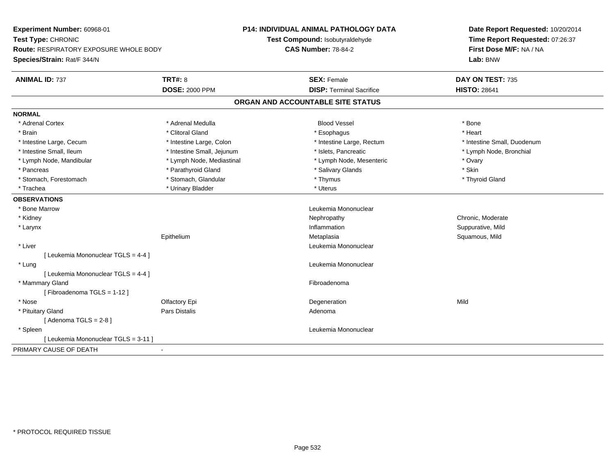| Experiment Number: 60968-01<br>Test Type: CHRONIC<br><b>Route: RESPIRATORY EXPOSURE WHOLE BODY</b> |                            | <b>P14: INDIVIDUAL ANIMAL PATHOLOGY DATA</b> | Date Report Requested: 10/20/2014<br>Time Report Requested: 07:26:37 |
|----------------------------------------------------------------------------------------------------|----------------------------|----------------------------------------------|----------------------------------------------------------------------|
|                                                                                                    |                            | Test Compound: Isobutyraldehyde              |                                                                      |
|                                                                                                    |                            | <b>CAS Number: 78-84-2</b>                   | First Dose M/F: NA / NA                                              |
| Species/Strain: Rat/F 344/N                                                                        |                            |                                              | Lab: BNW                                                             |
| <b>ANIMAL ID: 737</b>                                                                              | TRT#: 8                    | <b>SEX: Female</b>                           | DAY ON TEST: 735                                                     |
|                                                                                                    | <b>DOSE: 2000 PPM</b>      | <b>DISP: Terminal Sacrifice</b>              | <b>HISTO: 28641</b>                                                  |
|                                                                                                    |                            | ORGAN AND ACCOUNTABLE SITE STATUS            |                                                                      |
| <b>NORMAL</b>                                                                                      |                            |                                              |                                                                      |
| * Adrenal Cortex                                                                                   | * Adrenal Medulla          | <b>Blood Vessel</b>                          | * Bone                                                               |
| * Brain                                                                                            | * Clitoral Gland           | * Esophagus                                  | * Heart                                                              |
| * Intestine Large, Cecum                                                                           | * Intestine Large, Colon   | * Intestine Large, Rectum                    | * Intestine Small, Duodenum                                          |
| * Intestine Small, Ileum                                                                           | * Intestine Small, Jejunum | * Islets, Pancreatic                         | * Lymph Node, Bronchial                                              |
| * Lymph Node, Mandibular                                                                           | * Lymph Node, Mediastinal  | * Lymph Node, Mesenteric                     | * Ovary                                                              |
| * Pancreas                                                                                         | * Parathyroid Gland        | * Salivary Glands                            | * Skin                                                               |
| * Stomach, Forestomach                                                                             | * Stomach, Glandular       | * Thymus                                     | * Thyroid Gland                                                      |
| * Trachea                                                                                          | * Urinary Bladder          | * Uterus                                     |                                                                      |
| <b>OBSERVATIONS</b>                                                                                |                            |                                              |                                                                      |
| * Bone Marrow                                                                                      |                            | Leukemia Mononuclear                         |                                                                      |
| * Kidney                                                                                           |                            | Nephropathy                                  | Chronic, Moderate                                                    |
| * Larynx                                                                                           |                            | Inflammation                                 | Suppurative, Mild                                                    |
|                                                                                                    | Epithelium                 | Metaplasia                                   | Squamous, Mild                                                       |
| * Liver                                                                                            |                            | Leukemia Mononuclear                         |                                                                      |
| [ Leukemia Mononuclear TGLS = 4-4 ]                                                                |                            |                                              |                                                                      |
| * Lung                                                                                             |                            | Leukemia Mononuclear                         |                                                                      |
| [ Leukemia Mononuclear TGLS = 4-4 ]                                                                |                            |                                              |                                                                      |
| * Mammary Gland                                                                                    |                            | Fibroadenoma                                 |                                                                      |
| [Fibroadenoma TGLS = 1-12]                                                                         |                            |                                              |                                                                      |
| * Nose                                                                                             | Olfactory Epi              | Degeneration                                 | Mild                                                                 |
| * Pituitary Gland                                                                                  | Pars Distalis              | Adenoma                                      |                                                                      |
| [Adenoma TGLS = $2-8$ ]                                                                            |                            |                                              |                                                                      |
| * Spleen                                                                                           |                            | Leukemia Mononuclear                         |                                                                      |
| [ Leukemia Mononuclear TGLS = 3-11 ]                                                               |                            |                                              |                                                                      |
| PRIMARY CAUSE OF DEATH                                                                             |                            |                                              |                                                                      |
|                                                                                                    |                            |                                              |                                                                      |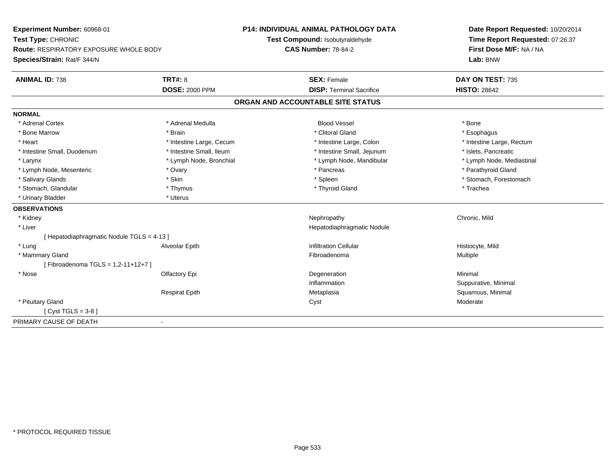| Experiment Number: 60968-01<br>Test Type: CHRONIC<br>Route: RESPIRATORY EXPOSURE WHOLE BODY |                          | <b>P14: INDIVIDUAL ANIMAL PATHOLOGY DATA</b> | Date Report Requested: 10/20/2014 |
|---------------------------------------------------------------------------------------------|--------------------------|----------------------------------------------|-----------------------------------|
|                                                                                             |                          | Test Compound: Isobutyraldehyde              | Time Report Requested: 07:26:37   |
|                                                                                             |                          | <b>CAS Number: 78-84-2</b>                   | First Dose M/F: NA / NA           |
| Species/Strain: Rat/F 344/N                                                                 |                          |                                              | Lab: BNW                          |
| <b>ANIMAL ID: 738</b>                                                                       | <b>TRT#: 8</b>           | <b>SEX: Female</b>                           | DAY ON TEST: 735                  |
|                                                                                             | <b>DOSE: 2000 PPM</b>    | <b>DISP: Terminal Sacrifice</b>              | <b>HISTO: 28642</b>               |
|                                                                                             |                          | ORGAN AND ACCOUNTABLE SITE STATUS            |                                   |
| <b>NORMAL</b>                                                                               |                          |                                              |                                   |
| * Adrenal Cortex                                                                            | * Adrenal Medulla        | <b>Blood Vessel</b>                          | * Bone                            |
| * Bone Marrow                                                                               | * Brain                  | * Clitoral Gland                             | * Esophagus                       |
| * Heart                                                                                     | * Intestine Large, Cecum | * Intestine Large, Colon                     | * Intestine Large, Rectum         |
| * Intestine Small, Duodenum                                                                 | * Intestine Small, Ileum | * Intestine Small, Jejunum                   | * Islets, Pancreatic              |
| * Larynx                                                                                    | * Lymph Node, Bronchial  | * Lymph Node, Mandibular                     | * Lymph Node, Mediastinal         |
| * Lymph Node, Mesenteric                                                                    | * Ovary                  | * Pancreas                                   | * Parathyroid Gland               |
| * Salivary Glands                                                                           | * Skin                   | * Spleen                                     | * Stomach, Forestomach            |
| * Stomach, Glandular                                                                        | * Thymus                 | * Thyroid Gland                              | * Trachea                         |
| * Urinary Bladder                                                                           | * Uterus                 |                                              |                                   |
| <b>OBSERVATIONS</b>                                                                         |                          |                                              |                                   |
| * Kidney                                                                                    |                          | Nephropathy                                  | Chronic, Mild                     |
| * Liver                                                                                     |                          | Hepatodiaphragmatic Nodule                   |                                   |
| [Hepatodiaphragmatic Nodule TGLS = 4-13]                                                    |                          |                                              |                                   |
| * Lung                                                                                      | Alveolar Epith           | <b>Infiltration Cellular</b>                 | Histiocyte, Mild                  |
| * Mammary Gland                                                                             |                          | Fibroadenoma                                 | <b>Multiple</b>                   |
| [Fibroadenoma TGLS = 1,2-11+12+7]                                                           |                          |                                              |                                   |
| * Nose                                                                                      | Olfactory Epi            | Degeneration                                 | Minimal                           |
|                                                                                             |                          | Inflammation                                 | Suppurative, Minimal              |
|                                                                                             | <b>Respirat Epith</b>    | Metaplasia                                   | Squamous, Minimal                 |
| * Pituitary Gland                                                                           |                          | Cyst                                         | Moderate                          |
| [Cyst TGLS = $3-8$ ]                                                                        |                          |                                              |                                   |
| PRIMARY CAUSE OF DEATH<br>$\blacksquare$                                                    |                          |                                              |                                   |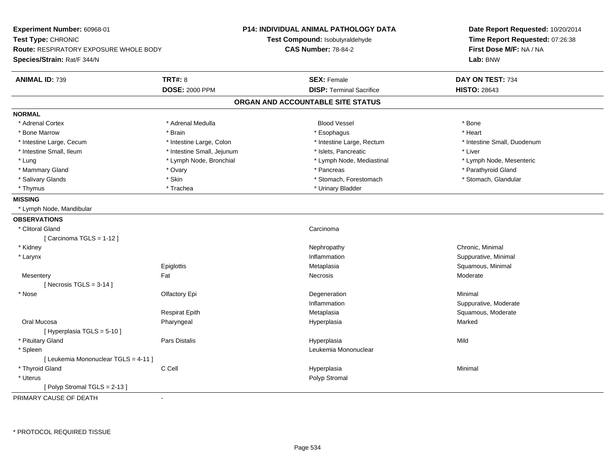| Experiment Number: 60968-01                   | <b>P14: INDIVIDUAL ANIMAL PATHOLOGY DATA</b><br>Test Compound: Isobutyraldehyde |                                   | Date Report Requested: 10/20/2014<br>Time Report Requested: 07:26:38 |  |
|-----------------------------------------------|---------------------------------------------------------------------------------|-----------------------------------|----------------------------------------------------------------------|--|
| Test Type: CHRONIC                            |                                                                                 |                                   |                                                                      |  |
| <b>Route: RESPIRATORY EXPOSURE WHOLE BODY</b> |                                                                                 | <b>CAS Number: 78-84-2</b>        | First Dose M/F: NA / NA                                              |  |
| Species/Strain: Rat/F 344/N                   |                                                                                 |                                   | Lab: BNW                                                             |  |
| <b>ANIMAL ID: 739</b>                         | <b>TRT#: 8</b>                                                                  | <b>SEX: Female</b>                | DAY ON TEST: 734                                                     |  |
|                                               | <b>DOSE: 2000 PPM</b>                                                           | <b>DISP: Terminal Sacrifice</b>   | <b>HISTO: 28643</b>                                                  |  |
|                                               |                                                                                 | ORGAN AND ACCOUNTABLE SITE STATUS |                                                                      |  |
| <b>NORMAL</b>                                 |                                                                                 |                                   |                                                                      |  |
| * Adrenal Cortex                              | * Adrenal Medulla                                                               | <b>Blood Vessel</b>               | * Bone                                                               |  |
| * Bone Marrow                                 | * Brain                                                                         | * Esophagus                       | * Heart                                                              |  |
| * Intestine Large, Cecum                      | * Intestine Large, Colon                                                        | * Intestine Large, Rectum         | * Intestine Small, Duodenum                                          |  |
| * Intestine Small, Ileum                      | * Intestine Small, Jejunum                                                      | * Islets, Pancreatic              | * Liver                                                              |  |
| * Lung                                        | * Lymph Node, Bronchial                                                         | * Lymph Node, Mediastinal         | * Lymph Node, Mesenteric                                             |  |
| * Mammary Gland                               | * Ovary                                                                         | * Pancreas                        | * Parathyroid Gland                                                  |  |
| * Salivary Glands                             | * Skin                                                                          | * Stomach, Forestomach            | * Stomach, Glandular                                                 |  |
| * Thymus                                      | * Trachea                                                                       | * Urinary Bladder                 |                                                                      |  |
| <b>MISSING</b>                                |                                                                                 |                                   |                                                                      |  |
| * Lymph Node, Mandibular                      |                                                                                 |                                   |                                                                      |  |
| <b>OBSERVATIONS</b>                           |                                                                                 |                                   |                                                                      |  |
| * Clitoral Gland                              |                                                                                 | Carcinoma                         |                                                                      |  |
| [Carcinoma TGLS = $1-12$ ]                    |                                                                                 |                                   |                                                                      |  |
| * Kidney                                      |                                                                                 | Nephropathy                       | Chronic, Minimal                                                     |  |
| * Larynx                                      |                                                                                 | Inflammation                      | Suppurative, Minimal                                                 |  |
|                                               | Epiglottis                                                                      | Metaplasia                        | Squamous, Minimal                                                    |  |
| Mesentery                                     | Fat                                                                             | <b>Necrosis</b>                   | Moderate                                                             |  |
| [Necrosis $TGLS = 3-14$ ]                     |                                                                                 |                                   |                                                                      |  |
| * Nose                                        | Olfactory Epi                                                                   | Degeneration                      | Minimal                                                              |  |
|                                               |                                                                                 | Inflammation                      | Suppurative, Moderate                                                |  |
|                                               | <b>Respirat Epith</b>                                                           | Metaplasia                        | Squamous, Moderate                                                   |  |
| Oral Mucosa                                   | Pharyngeal                                                                      | Hyperplasia                       | Marked                                                               |  |
| [ Hyperplasia TGLS = 5-10 ]                   |                                                                                 |                                   |                                                                      |  |
| * Pituitary Gland                             | Pars Distalis                                                                   | Hyperplasia                       | Mild                                                                 |  |
| * Spleen                                      |                                                                                 | Leukemia Mononuclear              |                                                                      |  |
| [ Leukemia Mononuclear TGLS = 4-11 ]          |                                                                                 |                                   |                                                                      |  |
| * Thyroid Gland                               | C Cell                                                                          | Hyperplasia                       | Minimal                                                              |  |
| * Uterus                                      |                                                                                 | Polyp Stromal                     |                                                                      |  |
| [Polyp Stromal TGLS = 2-13]                   |                                                                                 |                                   |                                                                      |  |

PRIMARY CAUSE OF DEATH-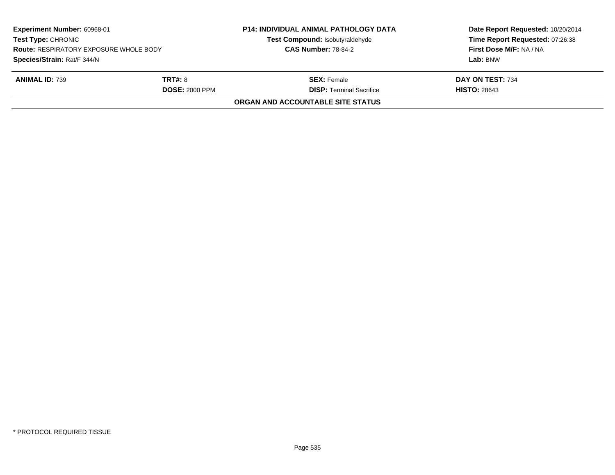| Experiment Number: 60968-01<br><b>Test Type: CHRONIC</b><br><b>Route: RESPIRATORY EXPOSURE WHOLE BODY</b><br>Species/Strain: Rat/F 344/N |                                         | <b>P14: INDIVIDUAL ANIMAL PATHOLOGY DATA</b><br>Test Compound: Isobutyraldehyde<br><b>CAS Number: 78-84-2</b> | Date Report Requested: 10/20/2014<br>Time Report Requested: 07:26:38<br>First Dose M/F: NA / NA<br>Lab: BNW |  |
|------------------------------------------------------------------------------------------------------------------------------------------|-----------------------------------------|---------------------------------------------------------------------------------------------------------------|-------------------------------------------------------------------------------------------------------------|--|
| <b>ANIMAL ID: 739</b>                                                                                                                    | <b>TRT#: 8</b><br><b>DOSE: 2000 PPM</b> | <b>SEX:</b> Female<br><b>DISP: Terminal Sacrifice</b>                                                         | DAY ON TEST: 734                                                                                            |  |
| <b>HISTO: 28643</b><br><b>ORGAN AND ACCOUNTABLE SITE STATUS</b>                                                                          |                                         |                                                                                                               |                                                                                                             |  |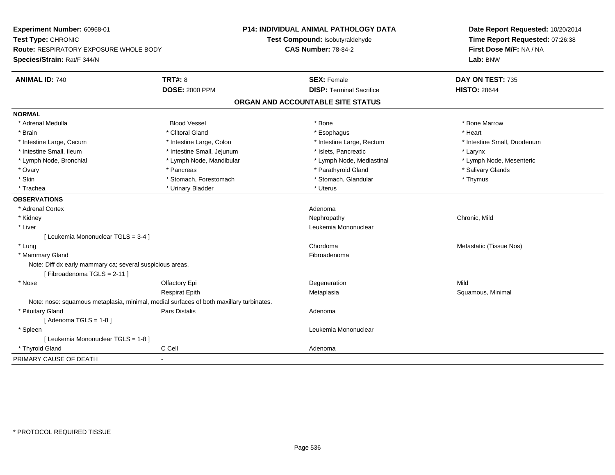| Experiment Number: 60968-01                                                             |                            | <b>P14: INDIVIDUAL ANIMAL PATHOLOGY DATA</b> | Date Report Requested: 10/20/2014 |  |
|-----------------------------------------------------------------------------------------|----------------------------|----------------------------------------------|-----------------------------------|--|
| Test Type: CHRONIC                                                                      |                            | Test Compound: Isobutyraldehyde              | Time Report Requested: 07:26:38   |  |
| Route: RESPIRATORY EXPOSURE WHOLE BODY                                                  |                            | <b>CAS Number: 78-84-2</b>                   | First Dose M/F: NA / NA           |  |
| Species/Strain: Rat/F 344/N                                                             |                            |                                              | Lab: BNW                          |  |
| <b>ANIMAL ID: 740</b>                                                                   | <b>TRT#: 8</b>             | <b>SEX: Female</b>                           | DAY ON TEST: 735                  |  |
|                                                                                         | <b>DOSE: 2000 PPM</b>      | <b>DISP: Terminal Sacrifice</b>              | <b>HISTO: 28644</b>               |  |
|                                                                                         |                            | ORGAN AND ACCOUNTABLE SITE STATUS            |                                   |  |
| <b>NORMAL</b>                                                                           |                            |                                              |                                   |  |
| * Adrenal Medulla                                                                       | <b>Blood Vessel</b>        | * Bone                                       | * Bone Marrow                     |  |
| * Brain                                                                                 | * Clitoral Gland           | * Esophagus                                  | * Heart                           |  |
| * Intestine Large, Cecum                                                                | * Intestine Large, Colon   | * Intestine Large, Rectum                    | * Intestine Small, Duodenum       |  |
| * Intestine Small, Ileum                                                                | * Intestine Small, Jejunum | * Islets, Pancreatic                         | * Larynx                          |  |
| * Lymph Node, Bronchial                                                                 | * Lymph Node, Mandibular   | * Lymph Node, Mediastinal                    | * Lymph Node, Mesenteric          |  |
| * Ovary                                                                                 | * Pancreas                 | * Parathyroid Gland                          | * Salivary Glands                 |  |
| * Skin                                                                                  | * Stomach, Forestomach     | * Stomach, Glandular                         | * Thymus                          |  |
| * Trachea                                                                               | * Urinary Bladder          | * Uterus                                     |                                   |  |
| <b>OBSERVATIONS</b>                                                                     |                            |                                              |                                   |  |
| * Adrenal Cortex                                                                        |                            | Adenoma                                      |                                   |  |
| * Kidney                                                                                |                            | Nephropathy                                  | Chronic, Mild                     |  |
| * Liver                                                                                 |                            | Leukemia Mononuclear                         |                                   |  |
| [ Leukemia Mononuclear TGLS = 3-4 ]                                                     |                            |                                              |                                   |  |
| * Lung                                                                                  |                            | Chordoma                                     | Metastatic (Tissue Nos)           |  |
| * Mammary Gland                                                                         |                            | Fibroadenoma                                 |                                   |  |
| Note: Diff dx early mammary ca; several suspicious areas.                               |                            |                                              |                                   |  |
| [Fibroadenoma TGLS = 2-11]                                                              |                            |                                              |                                   |  |
| * Nose                                                                                  | Olfactory Epi              | Degeneration                                 | Mild                              |  |
|                                                                                         | <b>Respirat Epith</b>      | Metaplasia                                   | Squamous, Minimal                 |  |
| Note: nose: squamous metaplasia, minimal, medial surfaces of both maxillary turbinates. |                            |                                              |                                   |  |
| * Pituitary Gland                                                                       | Pars Distalis              | Adenoma                                      |                                   |  |
| [Adenoma TGLS = $1-8$ ]                                                                 |                            |                                              |                                   |  |
| * Spleen                                                                                |                            | Leukemia Mononuclear                         |                                   |  |
| [ Leukemia Mononuclear TGLS = 1-8 ]                                                     |                            |                                              |                                   |  |
| * Thyroid Gland                                                                         | C Cell                     | Adenoma                                      |                                   |  |
| PRIMARY CAUSE OF DEATH                                                                  | ÷,                         |                                              |                                   |  |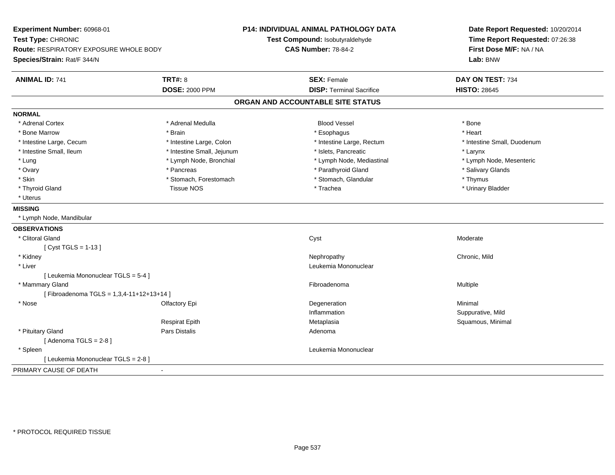| Experiment Number: 60968-01                   |                            | <b>P14: INDIVIDUAL ANIMAL PATHOLOGY DATA</b> | Date Report Requested: 10/20/2014<br>Time Report Requested: 07:26:38<br>First Dose M/F: NA / NA<br>Lab: BNW |
|-----------------------------------------------|----------------------------|----------------------------------------------|-------------------------------------------------------------------------------------------------------------|
| Test Type: CHRONIC                            |                            | Test Compound: Isobutyraldehyde              |                                                                                                             |
| <b>Route: RESPIRATORY EXPOSURE WHOLE BODY</b> |                            | <b>CAS Number: 78-84-2</b>                   |                                                                                                             |
| Species/Strain: Rat/F 344/N                   |                            |                                              |                                                                                                             |
| <b>ANIMAL ID: 741</b>                         | <b>TRT#: 8</b>             | <b>SEX: Female</b>                           | DAY ON TEST: 734                                                                                            |
|                                               | <b>DOSE: 2000 PPM</b>      | <b>DISP: Terminal Sacrifice</b>              | <b>HISTO: 28645</b>                                                                                         |
|                                               |                            | ORGAN AND ACCOUNTABLE SITE STATUS            |                                                                                                             |
| <b>NORMAL</b>                                 |                            |                                              |                                                                                                             |
| * Adrenal Cortex                              | * Adrenal Medulla          | <b>Blood Vessel</b>                          | * Bone                                                                                                      |
| * Bone Marrow                                 | * Brain                    | * Esophagus                                  | * Heart                                                                                                     |
| * Intestine Large, Cecum                      | * Intestine Large, Colon   | * Intestine Large, Rectum                    | * Intestine Small, Duodenum                                                                                 |
| * Intestine Small, Ileum                      | * Intestine Small, Jejunum | * Islets, Pancreatic                         | * Larynx                                                                                                    |
| * Lung                                        | * Lymph Node, Bronchial    | * Lymph Node, Mediastinal                    | * Lymph Node, Mesenteric                                                                                    |
| * Ovary                                       | * Pancreas                 | * Parathyroid Gland                          | * Salivary Glands                                                                                           |
| * Skin                                        | * Stomach, Forestomach     | * Stomach, Glandular                         | * Thymus                                                                                                    |
| * Thyroid Gland                               | <b>Tissue NOS</b>          | * Trachea                                    | * Urinary Bladder                                                                                           |
| * Uterus                                      |                            |                                              |                                                                                                             |
| <b>MISSING</b>                                |                            |                                              |                                                                                                             |
| * Lymph Node, Mandibular                      |                            |                                              |                                                                                                             |
| <b>OBSERVATIONS</b>                           |                            |                                              |                                                                                                             |
| * Clitoral Gland                              |                            | Cyst                                         | Moderate                                                                                                    |
| [ $Cyst TGLS = 1-13$ ]                        |                            |                                              |                                                                                                             |
| * Kidney                                      |                            | Nephropathy                                  | Chronic, Mild                                                                                               |
| * Liver                                       |                            | Leukemia Mononuclear                         |                                                                                                             |
| [ Leukemia Mononuclear TGLS = 5-4 ]           |                            |                                              |                                                                                                             |
| * Mammary Gland                               |                            | Fibroadenoma                                 | Multiple                                                                                                    |
| [Fibroadenoma TGLS = 1,3,4-11+12+13+14]       |                            |                                              |                                                                                                             |
| * Nose                                        | Olfactory Epi              | Degeneration                                 | Minimal                                                                                                     |
|                                               |                            | Inflammation                                 | Suppurative, Mild                                                                                           |
|                                               | <b>Respirat Epith</b>      | Metaplasia                                   | Squamous, Minimal                                                                                           |
| * Pituitary Gland                             | Pars Distalis              | Adenoma                                      |                                                                                                             |
| [Adenoma TGLS = $2-8$ ]                       |                            |                                              |                                                                                                             |
| * Spleen                                      |                            | Leukemia Mononuclear                         |                                                                                                             |
| [ Leukemia Mononuclear TGLS = 2-8 ]           |                            |                                              |                                                                                                             |
| PRIMARY CAUSE OF DEATH                        | $\blacksquare$             |                                              |                                                                                                             |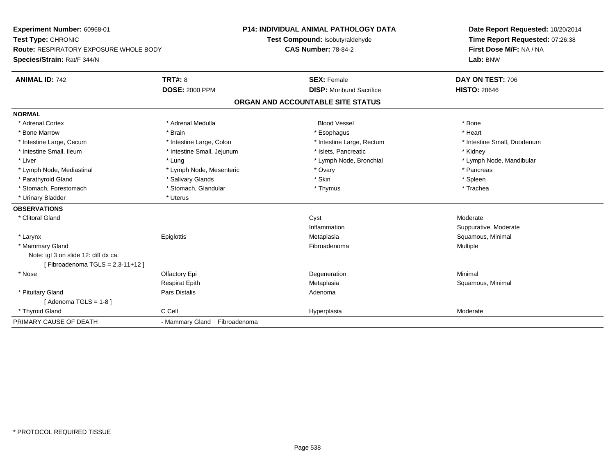**Experiment Number:** 60968-01**Test Type:** CHRONIC **Route:** RESPIRATORY EXPOSURE WHOLE BODY**Species/Strain:** Rat/F 344/N**P14: INDIVIDUAL ANIMAL PATHOLOGY DATATest Compound:** Isobutyraldehyde**CAS Number:** 78-84-2**Date Report Requested:** 10/20/2014**Time Report Requested:** 07:26:38**First Dose M/F:** NA / NA**Lab:** BNW**ANIMAL ID:** 742**TRT#:** 8 **SEX:** Female **SEX: Female DAY ON TEST:** 706 **DOSE:** 2000 PPM**DISP:** Moribund Sacrifice **HISTO:** 28646 **ORGAN AND ACCOUNTABLE SITE STATUSNORMAL**\* Adrenal Cortex \* Adrenal Cortex \* Adrenal Medulla Blood Vessel \* Bone\* Heart \* Bone Marrow \* Brain \* Esophagus \* Heart \* Intestine Large, Cecum \* Intestine Large, Colon \* Intestine Large, Rectum \* Intestine Small, Duodenum\* Intestine Small, Ileum \* Thestine Small, Jejunum \* 1998, Pancreatic \* Kidney \* Kidney \* Kidney \* Kidney \* Liver which is the settlement of the term of the settlement of the settlement of the settlement of the settlement of the settlement of the settlement of the settlement of the settlement of the settlement of the settlemen \* Lymph Node, Mediastinal \* The state of the second text of the second text of the second of the second text of the second text of the second text of the second text of the second text of the second text of the second text \* Parathyroid Gland \* \* Salivary Glands \* Salivary Glands \* Skin \* Skin \* State \* Spleen \* Spleen \* Spleen \* Spleen \* Trachea \* Stomach, Forestomach \* Thymus \* Stomach, Glandular \* Thymus \* Thymus \* Thymus \* Thymus \* Thymus \* Thymus \* Thymus \* Thymus \* Thymus \* Thymus \* Thymus \* Thymus \* Thymus \* Thymus \* Thymus \* Thymus \* Thymus \* Thymus \* Thymu \* Urinary Bladder \* Uterus **OBSERVATIONS** \* Clitoral Glandd and the control of the control of the control of the control of the control of the control of the control of the control of the control of the control of the control of the control of the control of the control of the co Inflammation Suppurative, Moderate \* Larynx Epiglottis MetaplasiaMetaplasia **Mataplasia** Metaplasia Research Metaplasia Research Metaplasia Research Metaplasia Research Metaplasia \* Mammary Glandd and the state of the state of the state of the state of the state of the state of the state of the state of the state of the state of the state of the state of the state of the state of the state of the state of the stat Note: tgl 3 on slide 12: diff dx ca.[ Fibroadenoma TGLS = 2,3-11+12 ] \* Nosee and the Colombia Colombia Degeneration and the Colombia Degeneration and the Colombia Minimal Minimal of the Minimal State of the Colombia Degeneration and the Minimal of the Colombia Degeneration of the Colombia Degener Respirat Epith Metaplasia Squamous, Minimal \* Pituitary Glandd and the contract of Pars Distalis and the contract of Adenoma and Adenoma and the Adenoma and the Adenoma and  $\lambda$  $[$  Adenoma TGLS = 1-8  $]$  \* Thyroid Glandd and the CCell CCell Constants of the Hyperplasia Moderate Moderate Moderate of the Moderate of the Moderate  $\sim$ PRIMARY CAUSE OF DEATH- Mammary Gland Fibroadenoma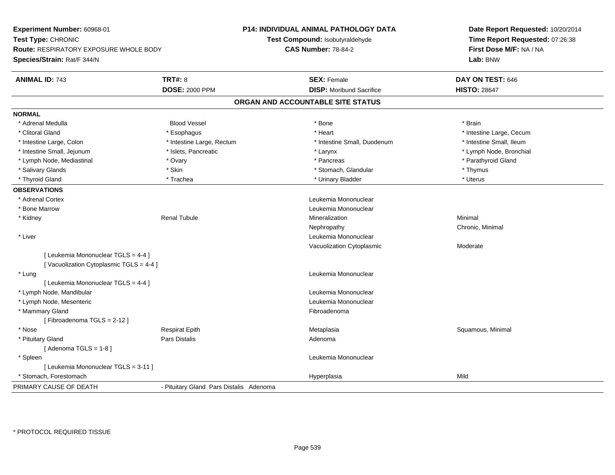| Experiment Number: 60968-01<br>Test Type: CHRONIC<br><b>Route: RESPIRATORY EXPOSURE WHOLE BODY</b><br>Species/Strain: Rat/F 344/N |                                         | P14: INDIVIDUAL ANIMAL PATHOLOGY DATA<br>Test Compound: Isobutyraldehyde<br><b>CAS Number: 78-84-2</b> | Date Report Requested: 10/20/2014<br>Time Report Requested: 07:26:38<br>First Dose M/F: NA / NA<br>Lab: BNW |
|-----------------------------------------------------------------------------------------------------------------------------------|-----------------------------------------|--------------------------------------------------------------------------------------------------------|-------------------------------------------------------------------------------------------------------------|
| <b>ANIMAL ID: 743</b>                                                                                                             | <b>TRT#: 8</b>                          | <b>SEX: Female</b>                                                                                     | DAY ON TEST: 646                                                                                            |
|                                                                                                                                   | <b>DOSE: 2000 PPM</b>                   | <b>DISP:</b> Moribund Sacrifice                                                                        | <b>HISTO: 28647</b>                                                                                         |
|                                                                                                                                   |                                         | ORGAN AND ACCOUNTABLE SITE STATUS                                                                      |                                                                                                             |
| <b>NORMAL</b>                                                                                                                     |                                         |                                                                                                        |                                                                                                             |
| * Adrenal Medulla                                                                                                                 | <b>Blood Vessel</b>                     | * Bone                                                                                                 | * Brain                                                                                                     |
| * Clitoral Gland                                                                                                                  | * Esophagus                             | * Heart                                                                                                | * Intestine Large, Cecum                                                                                    |
| * Intestine Large, Colon                                                                                                          | * Intestine Large, Rectum               | * Intestine Small, Duodenum                                                                            | * Intestine Small, Ileum                                                                                    |
| * Intestine Small, Jejunum                                                                                                        | * Islets, Pancreatic                    | * Larynx                                                                                               | * Lymph Node, Bronchial                                                                                     |
| * Lymph Node, Mediastinal                                                                                                         | * Ovary                                 | * Pancreas                                                                                             | * Parathyroid Gland                                                                                         |
| * Salivary Glands                                                                                                                 | * Skin                                  | * Stomach, Glandular                                                                                   | * Thymus                                                                                                    |
| * Thyroid Gland                                                                                                                   | * Trachea                               | * Urinary Bladder                                                                                      | * Uterus                                                                                                    |
| <b>OBSERVATIONS</b>                                                                                                               |                                         |                                                                                                        |                                                                                                             |
| * Adrenal Cortex                                                                                                                  |                                         | Leukemia Mononuclear                                                                                   |                                                                                                             |
| * Bone Marrow                                                                                                                     |                                         | Leukemia Mononuclear                                                                                   |                                                                                                             |
| * Kidney                                                                                                                          | <b>Renal Tubule</b>                     | Mineralization                                                                                         | Minimal                                                                                                     |
|                                                                                                                                   |                                         | Nephropathy                                                                                            | Chronic, Minimal                                                                                            |
| * Liver                                                                                                                           |                                         | Leukemia Mononuclear                                                                                   |                                                                                                             |
|                                                                                                                                   |                                         | Vacuolization Cytoplasmic                                                                              | Moderate                                                                                                    |
| [ Leukemia Mononuclear TGLS = 4-4 ]                                                                                               |                                         |                                                                                                        |                                                                                                             |
| [Vacuolization Cytoplasmic TGLS = 4-4]                                                                                            |                                         |                                                                                                        |                                                                                                             |
| * Lung                                                                                                                            |                                         | Leukemia Mononuclear                                                                                   |                                                                                                             |
| [ Leukemia Mononuclear TGLS = 4-4 ]                                                                                               |                                         |                                                                                                        |                                                                                                             |
| * Lymph Node, Mandibular                                                                                                          |                                         | Leukemia Mononuclear                                                                                   |                                                                                                             |
| * Lymph Node, Mesenteric                                                                                                          |                                         | Leukemia Mononuclear                                                                                   |                                                                                                             |
| * Mammary Gland                                                                                                                   |                                         | Fibroadenoma                                                                                           |                                                                                                             |
| [Fibroadenoma TGLS = 2-12]                                                                                                        |                                         |                                                                                                        |                                                                                                             |
| * Nose                                                                                                                            | <b>Respirat Epith</b>                   | Metaplasia                                                                                             | Squamous, Minimal                                                                                           |
| * Pituitary Gland                                                                                                                 | Pars Distalis                           | Adenoma                                                                                                |                                                                                                             |
| [Adenoma TGLS = $1-8$ ]                                                                                                           |                                         |                                                                                                        |                                                                                                             |
| * Spleen                                                                                                                          |                                         | Leukemia Mononuclear                                                                                   |                                                                                                             |
| [ Leukemia Mononuclear TGLS = 3-11 ]                                                                                              |                                         |                                                                                                        |                                                                                                             |
| * Stomach, Forestomach                                                                                                            |                                         | Hyperplasia                                                                                            | Mild                                                                                                        |
| PRIMARY CAUSE OF DEATH                                                                                                            | - Pituitary Gland Pars Distalis Adenoma |                                                                                                        |                                                                                                             |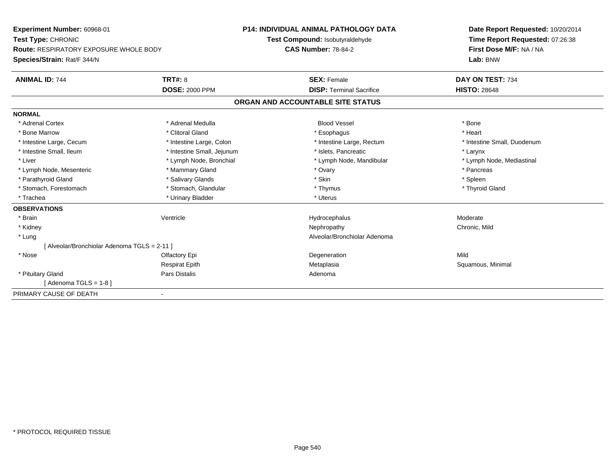| <b>Experiment Number: 60968-01</b>            |                                 | <b>P14: INDIVIDUAL ANIMAL PATHOLOGY DATA</b> | Date Report Requested: 10/20/2014<br>Time Report Requested: 07:26:38 |  |
|-----------------------------------------------|---------------------------------|----------------------------------------------|----------------------------------------------------------------------|--|
| Test Type: CHRONIC                            | Test Compound: Isobutyraldehyde |                                              |                                                                      |  |
| <b>Route: RESPIRATORY EXPOSURE WHOLE BODY</b> |                                 | <b>CAS Number: 78-84-2</b>                   | First Dose M/F: NA / NA                                              |  |
| Species/Strain: Rat/F 344/N                   |                                 |                                              | Lab: BNW                                                             |  |
| <b>ANIMAL ID: 744</b>                         | <b>TRT#: 8</b>                  | <b>SEX: Female</b>                           | DAY ON TEST: 734                                                     |  |
|                                               | <b>DOSE: 2000 PPM</b>           | <b>DISP: Terminal Sacrifice</b>              | <b>HISTO: 28648</b>                                                  |  |
|                                               |                                 | ORGAN AND ACCOUNTABLE SITE STATUS            |                                                                      |  |
| <b>NORMAL</b>                                 |                                 |                                              |                                                                      |  |
| * Adrenal Cortex                              | * Adrenal Medulla               | <b>Blood Vessel</b>                          | * Bone                                                               |  |
| * Bone Marrow                                 | * Clitoral Gland                | * Esophagus                                  | * Heart                                                              |  |
| * Intestine Large, Cecum                      | * Intestine Large, Colon        | * Intestine Large, Rectum                    | * Intestine Small, Duodenum                                          |  |
| * Intestine Small, Ileum                      | * Intestine Small, Jejunum      | * Islets, Pancreatic                         | * Larynx                                                             |  |
| * Liver                                       | * Lymph Node, Bronchial         | * Lymph Node, Mandibular                     | * Lymph Node, Mediastinal                                            |  |
| * Lymph Node, Mesenteric                      | * Mammary Gland                 | * Ovary                                      | * Pancreas                                                           |  |
| * Parathyroid Gland                           | * Salivary Glands               | * Skin                                       | * Spleen                                                             |  |
| * Stomach, Forestomach                        | * Stomach, Glandular            | * Thymus                                     | * Thyroid Gland                                                      |  |
| * Trachea                                     | * Urinary Bladder               | * Uterus                                     |                                                                      |  |
| <b>OBSERVATIONS</b>                           |                                 |                                              |                                                                      |  |
| * Brain                                       | Ventricle                       | Hydrocephalus                                | Moderate                                                             |  |
| * Kidney                                      |                                 | Nephropathy                                  | Chronic, Mild                                                        |  |
| * Lung                                        |                                 | Alveolar/Bronchiolar Adenoma                 |                                                                      |  |
| [Alveolar/Bronchiolar Adenoma TGLS = 2-11 ]   |                                 |                                              |                                                                      |  |
| * Nose                                        | Olfactory Epi                   | Degeneration                                 | Mild                                                                 |  |
|                                               | <b>Respirat Epith</b>           | Metaplasia                                   | Squamous, Minimal                                                    |  |
| * Pituitary Gland                             | Pars Distalis                   | Adenoma                                      |                                                                      |  |
| [Adenoma TGLS = $1-8$ ]                       |                                 |                                              |                                                                      |  |
| PRIMARY CAUSE OF DEATH                        |                                 |                                              |                                                                      |  |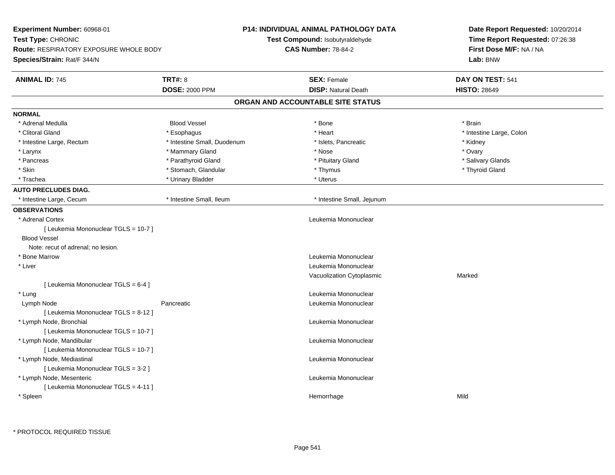| Experiment Number: 60968-01                                         |                             | P14: INDIVIDUAL ANIMAL PATHOLOGY DATA | Date Report Requested: 10/20/2014                          |  |
|---------------------------------------------------------------------|-----------------------------|---------------------------------------|------------------------------------------------------------|--|
| Test Type: CHRONIC<br><b>Route: RESPIRATORY EXPOSURE WHOLE BODY</b> |                             | Test Compound: Isobutyraldehyde       | Time Report Requested: 07:26:38<br>First Dose M/F: NA / NA |  |
|                                                                     |                             | <b>CAS Number: 78-84-2</b>            |                                                            |  |
| Species/Strain: Rat/F 344/N                                         |                             |                                       | Lab: BNW                                                   |  |
| <b>ANIMAL ID: 745</b>                                               | <b>TRT#: 8</b>              | <b>SEX: Female</b>                    | DAY ON TEST: 541                                           |  |
|                                                                     | <b>DOSE: 2000 PPM</b>       | <b>DISP: Natural Death</b>            | <b>HISTO: 28649</b>                                        |  |
|                                                                     |                             | ORGAN AND ACCOUNTABLE SITE STATUS     |                                                            |  |
| <b>NORMAL</b>                                                       |                             |                                       |                                                            |  |
| * Adrenal Medulla                                                   | <b>Blood Vessel</b>         | * Bone                                | * Brain                                                    |  |
| * Clitoral Gland                                                    | * Esophagus                 | * Heart                               | * Intestine Large, Colon                                   |  |
| * Intestine Large, Rectum                                           | * Intestine Small, Duodenum | * Islets, Pancreatic                  | * Kidney                                                   |  |
| * Larynx                                                            | * Mammary Gland             | * Nose                                | * Ovary                                                    |  |
| * Pancreas                                                          | * Parathyroid Gland         | * Pituitary Gland                     | * Salivary Glands                                          |  |
| * Skin                                                              | * Stomach, Glandular        | * Thymus                              | * Thyroid Gland                                            |  |
| * Trachea                                                           | * Urinary Bladder           | * Uterus                              |                                                            |  |
| <b>AUTO PRECLUDES DIAG.</b>                                         |                             |                                       |                                                            |  |
| * Intestine Large, Cecum                                            | * Intestine Small, Ileum    | * Intestine Small, Jejunum            |                                                            |  |
| <b>OBSERVATIONS</b>                                                 |                             |                                       |                                                            |  |
| * Adrenal Cortex                                                    |                             | Leukemia Mononuclear                  |                                                            |  |
| [ Leukemia Mononuclear TGLS = 10-7 ]                                |                             |                                       |                                                            |  |
| <b>Blood Vessel</b>                                                 |                             |                                       |                                                            |  |
| Note: recut of adrenal; no lesion.                                  |                             |                                       |                                                            |  |
| * Bone Marrow                                                       |                             | Leukemia Mononuclear                  |                                                            |  |
| $^\star$ Liver                                                      |                             | Leukemia Mononuclear                  |                                                            |  |
|                                                                     |                             | Vacuolization Cytoplasmic             | Marked                                                     |  |
| [ Leukemia Mononuclear TGLS = 6-4 ]                                 |                             |                                       |                                                            |  |
| * Lung                                                              |                             | Leukemia Mononuclear                  |                                                            |  |
| Lymph Node                                                          | Pancreatic                  | Leukemia Mononuclear                  |                                                            |  |
| [ Leukemia Mononuclear TGLS = 8-12 ]                                |                             |                                       |                                                            |  |
| * Lymph Node, Bronchial                                             |                             | Leukemia Mononuclear                  |                                                            |  |
| [ Leukemia Mononuclear TGLS = 10-7 ]                                |                             |                                       |                                                            |  |
| * Lymph Node, Mandibular                                            |                             | Leukemia Mononuclear                  |                                                            |  |
| [ Leukemia Mononuclear TGLS = 10-7 ]                                |                             |                                       |                                                            |  |
| * Lymph Node, Mediastinal                                           |                             | Leukemia Mononuclear                  |                                                            |  |
| [ Leukemia Mononuclear TGLS = 3-2 ]                                 |                             |                                       |                                                            |  |
| * Lymph Node, Mesenteric                                            |                             | Leukemia Mononuclear                  |                                                            |  |
| [ Leukemia Mononuclear TGLS = 4-11 ]                                |                             |                                       |                                                            |  |
| * Spleen                                                            |                             | Hemorrhage                            | Mild                                                       |  |
|                                                                     |                             |                                       |                                                            |  |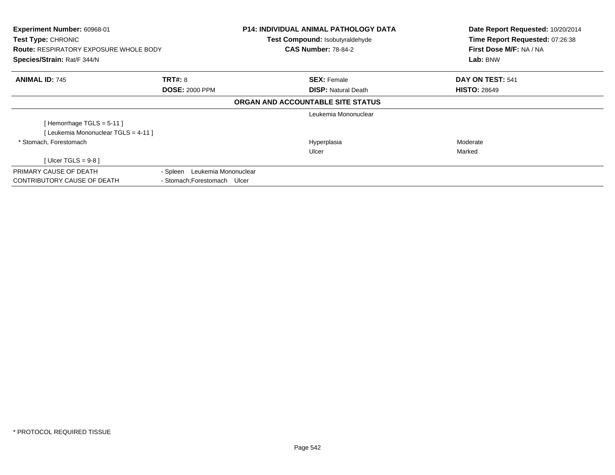| Experiment Number: 60968-01<br>Test Type: CHRONIC<br><b>Route: RESPIRATORY EXPOSURE WHOLE BODY</b><br>Species/Strain: Rat/F 344/N |                               | P14: INDIVIDUAL ANIMAL PATHOLOGY DATA<br><b>Test Compound: Isobutyraldehyde</b><br><b>CAS Number: 78-84-2</b> | Date Report Requested: 10/20/2014<br>Time Report Requested: 07:26:38<br>First Dose M/F: NA / NA<br>Lab: BNW |
|-----------------------------------------------------------------------------------------------------------------------------------|-------------------------------|---------------------------------------------------------------------------------------------------------------|-------------------------------------------------------------------------------------------------------------|
| <b>ANIMAL ID: 745</b>                                                                                                             | <b>TRT#: 8</b>                | <b>SEX: Female</b>                                                                                            | DAY ON TEST: 541                                                                                            |
|                                                                                                                                   | <b>DOSE: 2000 PPM</b>         | <b>DISP:</b> Natural Death                                                                                    | <b>HISTO: 28649</b>                                                                                         |
|                                                                                                                                   |                               | ORGAN AND ACCOUNTABLE SITE STATUS                                                                             |                                                                                                             |
|                                                                                                                                   |                               | Leukemia Mononuclear                                                                                          |                                                                                                             |
| [Hemorrhage TGLS = $5-11$ ]                                                                                                       |                               |                                                                                                               |                                                                                                             |
| [Leukemia Mononuclear TGLS = 4-11]                                                                                                |                               |                                                                                                               |                                                                                                             |
| * Stomach, Forestomach                                                                                                            |                               | Hyperplasia                                                                                                   | Moderate                                                                                                    |
|                                                                                                                                   |                               | Ulcer                                                                                                         | Marked                                                                                                      |
| [ Ulcer TGLS = $9-8$ ]                                                                                                            |                               |                                                                                                               |                                                                                                             |
| PRIMARY CAUSE OF DEATH                                                                                                            | - Spleen Leukemia Mononuclear |                                                                                                               |                                                                                                             |
| CONTRIBUTORY CAUSE OF DEATH                                                                                                       | - Stomach: Forestomach Ulcer  |                                                                                                               |                                                                                                             |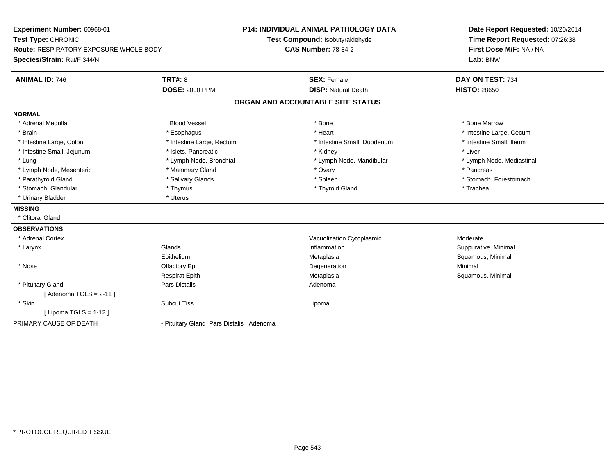**Experiment Number:** 60968-01**Test Type:** CHRONIC **Route:** RESPIRATORY EXPOSURE WHOLE BODY**Species/Strain:** Rat/F 344/N**P14: INDIVIDUAL ANIMAL PATHOLOGY DATATest Compound:** Isobutyraldehyde**CAS Number:** 78-84-2**Date Report Requested:** 10/20/2014**Time Report Requested:** 07:26:38**First Dose M/F:** NA / NA**Lab:** BNW**ANIMAL ID:** 746**6 DAY ON TEST:** 734 **DOSE:** 2000 PPM**DISP:** Natural Death **HISTO:** 28650 **ORGAN AND ACCOUNTABLE SITE STATUSNORMAL** \* Adrenal Medulla Blood Vessel \* Bone \* Bone Marrow\* Brain \* Alternative \* Esophagus \* \* Esophagus \* \* Heart \* Heart \* Intestine Large, Cecum \* Intestine Large, Cecum \* Intestine Large, Cecum \* Large \* Intestine Large \* Large \* Large \* Large \* Large \* Large \* Large \* Large \* Intestine Small, Ileum \* Intestine Large, Colon \* Intestine Large, Rectum \* Intestine Small, Duodenum \* Intestine Small, Duodenum \* Intestine Small, Jejunum \* 1992 \* The state of the state of the state of the state of the state of the state of the state of the state of the state of the state of the state of the state of the state of the state of the \* Lung \* Lymph Node, Bronchial \* Lymph Node, and ibular \* Lymph Node, Mandibular \* Lymph Node, Mediastinal \* Lymph Node, Mediastinal \* Lymph Node, Mesenteric \* \* The mannery Gland \* The mannery Gland \* Ovary \* Ovary \* The mannery State \* Pancreas \* Parathyroid Gland \* \* Salivary Glands \* Salivary Glands \* Spleen \* Stomach, Forestomach \* Stomach, Glandular \* Thymus \* Thymus \* Thymus \* Thyroid Gland \* Thyroid Gland \* Trachea \* Urinary Bladder \* Uterus **MISSING** \* Clitoral Gland**OBSERVATIONS** \* Adrenal CortexVacuolization Cytoplasmic **Moderate** Moderate n Suppurative, Minimal \* Larynxx and the set of the Glands of the Glands of the set of the set of the set of the set of the set of the set of the set of the set of the set of the set of the set of the set of the set of the set of the set of the set of t Epithelium Metaplasia Squamous, Minimal \* Nosee and the Colombia Colombia Defectory Epi and the Colombia Degeneration and the Colombia Minimal Minimal Degeneration Respirat EpithRespirat Epith **Exercise Solution Contraversity Contraversity** Metaplasia **Contraversity Contraversity Contraversity**<br>Pars Distalis **Contraversity Contraversity Contraversity Contraversity Adenoma**  \* Pituitary Glandd and the set of Pars Distalis and the Second Adenomal Adenomal Second Second Pars Distallis  $[$  Adenoma TGLS = 2-11  $]$  \* Skinn and the subcut Tiss and the subcut Tiss of the subset of the subset of the subset of the subset of the subset of the subset of the subset of the subset of the subset of the subset of the subset of the subset of the subse [ Lipoma TGLS = 1-12 ]PRIMARY CAUSE OF DEATH- Pituitary Gland Pars Distalis Adenoma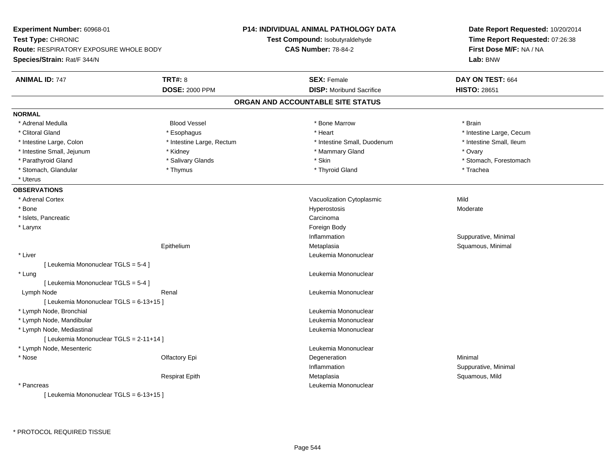| Experiment Number: 60968-01<br>Test Type: CHRONIC                     |                           | <b>P14: INDIVIDUAL ANIMAL PATHOLOGY DATA</b><br>Test Compound: Isobutyraldehyde | Date Report Requested: 10/20/2014<br>Time Report Requested: 07:26:38 |  |  |
|-----------------------------------------------------------------------|---------------------------|---------------------------------------------------------------------------------|----------------------------------------------------------------------|--|--|
|                                                                       |                           | <b>CAS Number: 78-84-2</b>                                                      | First Dose M/F: NA / NA<br>Lab: BNW                                  |  |  |
| Route: RESPIRATORY EXPOSURE WHOLE BODY<br>Species/Strain: Rat/F 344/N |                           |                                                                                 |                                                                      |  |  |
|                                                                       |                           |                                                                                 |                                                                      |  |  |
| <b>ANIMAL ID: 747</b>                                                 | <b>TRT#: 8</b>            | <b>SEX: Female</b>                                                              | DAY ON TEST: 664                                                     |  |  |
|                                                                       | <b>DOSE: 2000 PPM</b>     | <b>DISP:</b> Moribund Sacrifice                                                 | <b>HISTO: 28651</b>                                                  |  |  |
|                                                                       |                           | ORGAN AND ACCOUNTABLE SITE STATUS                                               |                                                                      |  |  |
| <b>NORMAL</b>                                                         |                           |                                                                                 |                                                                      |  |  |
| * Adrenal Medulla                                                     | <b>Blood Vessel</b>       | * Bone Marrow                                                                   | * Brain                                                              |  |  |
| * Clitoral Gland                                                      | * Esophagus               | * Heart                                                                         | * Intestine Large, Cecum                                             |  |  |
| * Intestine Large, Colon                                              | * Intestine Large, Rectum | * Intestine Small, Duodenum                                                     | * Intestine Small, Ileum                                             |  |  |
| * Intestine Small, Jejunum                                            | * Kidney                  | * Mammary Gland                                                                 | * Ovary                                                              |  |  |
| * Parathyroid Gland                                                   | * Salivary Glands         | * Skin                                                                          | * Stomach, Forestomach                                               |  |  |
| * Stomach, Glandular                                                  | * Thymus                  | * Thyroid Gland                                                                 | * Trachea                                                            |  |  |
| * Uterus                                                              |                           |                                                                                 |                                                                      |  |  |
| <b>OBSERVATIONS</b>                                                   |                           |                                                                                 |                                                                      |  |  |
| * Adrenal Cortex                                                      |                           | Vacuolization Cytoplasmic                                                       | Mild                                                                 |  |  |
| * Bone                                                                |                           | Hyperostosis                                                                    | Moderate                                                             |  |  |
| * Islets, Pancreatic                                                  |                           | Carcinoma                                                                       |                                                                      |  |  |
| * Larynx                                                              |                           | Foreign Body                                                                    |                                                                      |  |  |
|                                                                       |                           | Inflammation                                                                    | Suppurative, Minimal                                                 |  |  |
|                                                                       | Epithelium                | Metaplasia                                                                      | Squamous, Minimal                                                    |  |  |
| * Liver                                                               |                           | Leukemia Mononuclear                                                            |                                                                      |  |  |
| [ Leukemia Mononuclear TGLS = 5-4 ]                                   |                           |                                                                                 |                                                                      |  |  |
| * Lung                                                                |                           | Leukemia Mononuclear                                                            |                                                                      |  |  |
| [ Leukemia Mononuclear TGLS = 5-4 ]                                   |                           |                                                                                 |                                                                      |  |  |
| Lymph Node                                                            | Renal                     | Leukemia Mononuclear                                                            |                                                                      |  |  |
| [ Leukemia Mononuclear TGLS = 6-13+15 ]                               |                           |                                                                                 |                                                                      |  |  |
| * Lymph Node, Bronchial                                               |                           | Leukemia Mononuclear                                                            |                                                                      |  |  |
| * Lymph Node, Mandibular                                              |                           | Leukemia Mononuclear                                                            |                                                                      |  |  |
| * Lymph Node, Mediastinal                                             |                           | Leukemia Mononuclear                                                            |                                                                      |  |  |
| [ Leukemia Mononuclear TGLS = 2-11+14 ]                               |                           |                                                                                 |                                                                      |  |  |
| * Lymph Node, Mesenteric                                              |                           | Leukemia Mononuclear                                                            |                                                                      |  |  |
| * Nose                                                                | Olfactory Epi             | Degeneration                                                                    | Minimal                                                              |  |  |
|                                                                       |                           | Inflammation                                                                    | Suppurative, Minimal                                                 |  |  |
|                                                                       | <b>Respirat Epith</b>     | Metaplasia                                                                      | Squamous, Mild                                                       |  |  |
| * Pancreas                                                            |                           | Leukemia Mononuclear                                                            |                                                                      |  |  |
| [Leukemia Mononuclear TGLS = 6-13+15]                                 |                           |                                                                                 |                                                                      |  |  |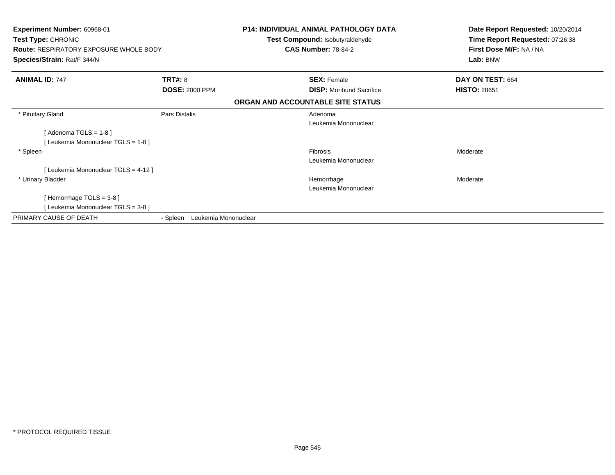| Experiment Number: 60968-01<br>Test Type: CHRONIC<br><b>Route: RESPIRATORY EXPOSURE WHOLE BODY</b><br>Species/Strain: Rat/F 344/N |                                  | <b>P14: INDIVIDUAL ANIMAL PATHOLOGY DATA</b><br>Test Compound: Isobutyraldehyde<br><b>CAS Number: 78-84-2</b> | Date Report Requested: 10/20/2014<br>Time Report Requested: 07:26:38<br>First Dose M/F: NA / NA<br>Lab: BNW |
|-----------------------------------------------------------------------------------------------------------------------------------|----------------------------------|---------------------------------------------------------------------------------------------------------------|-------------------------------------------------------------------------------------------------------------|
| <b>ANIMAL ID: 747</b>                                                                                                             | <b>TRT#: 8</b>                   | <b>SEX: Female</b>                                                                                            | DAY ON TEST: 664                                                                                            |
|                                                                                                                                   | <b>DOSE: 2000 PPM</b>            | <b>DISP:</b> Moribund Sacrifice                                                                               | <b>HISTO: 28651</b>                                                                                         |
|                                                                                                                                   |                                  | ORGAN AND ACCOUNTABLE SITE STATUS                                                                             |                                                                                                             |
| * Pituitary Gland                                                                                                                 | Pars Distalis                    | Adenoma<br>Leukemia Mononuclear                                                                               |                                                                                                             |
| [Adenoma TGLS = $1-8$ ]                                                                                                           |                                  |                                                                                                               |                                                                                                             |
| [Leukemia Mononuclear TGLS = 1-8]                                                                                                 |                                  |                                                                                                               |                                                                                                             |
| * Spleen                                                                                                                          |                                  | Fibrosis                                                                                                      | Moderate                                                                                                    |
|                                                                                                                                   |                                  | Leukemia Mononuclear                                                                                          |                                                                                                             |
| [Leukemia Mononuclear TGLS = 4-12]                                                                                                |                                  |                                                                                                               |                                                                                                             |
| * Urinary Bladder                                                                                                                 |                                  | Hemorrhage                                                                                                    | Moderate                                                                                                    |
|                                                                                                                                   |                                  | Leukemia Mononuclear                                                                                          |                                                                                                             |
| [Hemorrhage $TGLS = 3-8$ ]                                                                                                        |                                  |                                                                                                               |                                                                                                             |
| [Leukemia Mononuclear TGLS = 3-8]                                                                                                 |                                  |                                                                                                               |                                                                                                             |
| PRIMARY CAUSE OF DEATH                                                                                                            | Leukemia Mononuclear<br>- Spleen |                                                                                                               |                                                                                                             |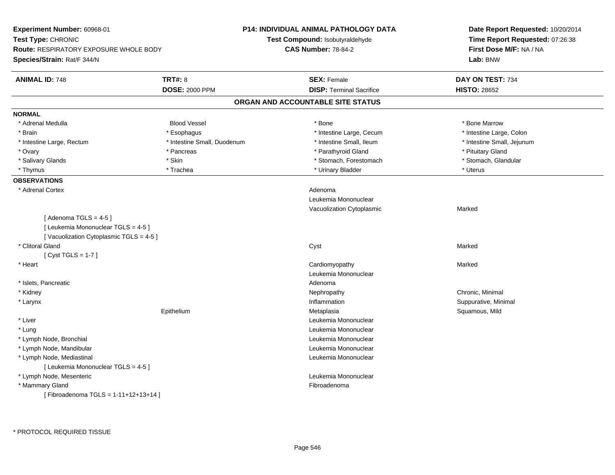| Experiment Number: 60968-01                                    |                             | <b>P14: INDIVIDUAL ANIMAL PATHOLOGY DATA</b> | Date Report Requested: 10/20/2014<br>Time Report Requested: 07:26:38<br>First Dose M/F: NA / NA<br>Lab: BNW |  |
|----------------------------------------------------------------|-----------------------------|----------------------------------------------|-------------------------------------------------------------------------------------------------------------|--|
| Test Type: CHRONIC                                             |                             | Test Compound: Isobutyraldehyde              |                                                                                                             |  |
| <b>Route: RESPIRATORY EXPOSURE WHOLE BODY</b>                  |                             | <b>CAS Number: 78-84-2</b>                   |                                                                                                             |  |
| Species/Strain: Rat/F 344/N                                    |                             |                                              |                                                                                                             |  |
| <b>ANIMAL ID: 748</b>                                          | <b>TRT#: 8</b>              | <b>SEX: Female</b>                           | DAY ON TEST: 734                                                                                            |  |
|                                                                | <b>DOSE: 2000 PPM</b>       | <b>DISP: Terminal Sacrifice</b>              | <b>HISTO: 28652</b>                                                                                         |  |
|                                                                |                             | ORGAN AND ACCOUNTABLE SITE STATUS            |                                                                                                             |  |
| <b>NORMAL</b>                                                  |                             |                                              |                                                                                                             |  |
| * Adrenal Medulla                                              | <b>Blood Vessel</b>         | * Bone                                       | * Bone Marrow                                                                                               |  |
| * Brain                                                        | * Esophagus                 | * Intestine Large, Cecum                     | * Intestine Large, Colon                                                                                    |  |
| * Intestine Large, Rectum                                      | * Intestine Small, Duodenum | * Intestine Small, Ileum                     | * Intestine Small, Jejunum                                                                                  |  |
| * Ovary                                                        | * Pancreas                  | * Parathyroid Gland                          | * Pituitary Gland                                                                                           |  |
| * Salivary Glands                                              | * Skin                      | * Stomach, Forestomach                       | * Stomach, Glandular                                                                                        |  |
| * Thymus                                                       | * Trachea                   | * Urinary Bladder                            | * Uterus                                                                                                    |  |
| <b>OBSERVATIONS</b>                                            |                             |                                              |                                                                                                             |  |
| * Adrenal Cortex                                               |                             | Adenoma                                      |                                                                                                             |  |
|                                                                |                             | Leukemia Mononuclear                         |                                                                                                             |  |
|                                                                |                             | Vacuolization Cytoplasmic                    | Marked                                                                                                      |  |
| [Adenoma TGLS = $4-5$ ]<br>[ Leukemia Mononuclear TGLS = 4-5 ] |                             |                                              |                                                                                                             |  |
| [Vacuolization Cytoplasmic TGLS = 4-5]                         |                             |                                              |                                                                                                             |  |
| * Clitoral Gland                                               |                             | Cyst                                         | Marked                                                                                                      |  |
| [ Cyst TGLS = $1-7$ ]                                          |                             |                                              |                                                                                                             |  |
| * Heart                                                        |                             | Cardiomyopathy                               | Marked                                                                                                      |  |
|                                                                |                             | Leukemia Mononuclear                         |                                                                                                             |  |
| * Islets, Pancreatic                                           |                             | Adenoma                                      |                                                                                                             |  |
| * Kidney                                                       |                             | Nephropathy                                  | Chronic, Minimal                                                                                            |  |
| * Larynx                                                       |                             | Inflammation                                 | Suppurative, Minimal                                                                                        |  |
|                                                                | Epithelium                  | Metaplasia                                   | Squamous, Mild                                                                                              |  |
| * Liver                                                        |                             | Leukemia Mononuclear                         |                                                                                                             |  |
| * Lung                                                         |                             | Leukemia Mononuclear                         |                                                                                                             |  |
| * Lymph Node, Bronchial                                        |                             | Leukemia Mononuclear                         |                                                                                                             |  |
| * Lymph Node, Mandibular                                       |                             | Leukemia Mononuclear                         |                                                                                                             |  |
| * Lymph Node, Mediastinal                                      |                             | Leukemia Mononuclear                         |                                                                                                             |  |
| [ Leukemia Mononuclear TGLS = 4-5 ]                            |                             |                                              |                                                                                                             |  |
| * Lymph Node, Mesenteric                                       |                             | Leukemia Mononuclear                         |                                                                                                             |  |
| * Mammary Gland                                                |                             | Fibroadenoma                                 |                                                                                                             |  |
| [Fibroadenoma TGLS = 1-11+12+13+14]                            |                             |                                              |                                                                                                             |  |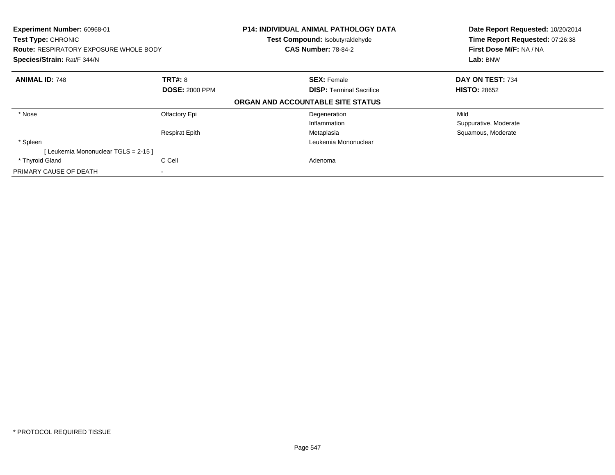| Experiment Number: 60968-01<br>Test Type: CHRONIC<br><b>Route: RESPIRATORY EXPOSURE WHOLE BODY</b><br>Species/Strain: Rat/F 344/N |                       | <b>P14: INDIVIDUAL ANIMAL PATHOLOGY DATA</b><br>Test Compound: Isobutyraldehyde<br><b>CAS Number: 78-84-2</b> | Date Report Requested: 10/20/2014<br>Time Report Requested: 07:26:38<br>First Dose M/F: NA / NA<br>Lab: BNW |  |
|-----------------------------------------------------------------------------------------------------------------------------------|-----------------------|---------------------------------------------------------------------------------------------------------------|-------------------------------------------------------------------------------------------------------------|--|
| <b>ANIMAL ID: 748</b>                                                                                                             | <b>TRT#: 8</b>        | <b>SEX: Female</b>                                                                                            | DAY ON TEST: 734                                                                                            |  |
|                                                                                                                                   | <b>DOSE: 2000 PPM</b> | <b>DISP:</b> Terminal Sacrifice                                                                               | <b>HISTO: 28652</b>                                                                                         |  |
|                                                                                                                                   |                       | ORGAN AND ACCOUNTABLE SITE STATUS                                                                             |                                                                                                             |  |
| * Nose                                                                                                                            | Olfactory Epi         | Degeneration                                                                                                  | Mild                                                                                                        |  |
|                                                                                                                                   |                       | Inflammation                                                                                                  | Suppurative, Moderate                                                                                       |  |
|                                                                                                                                   | <b>Respirat Epith</b> | Metaplasia                                                                                                    | Squamous, Moderate                                                                                          |  |
| * Spleen                                                                                                                          |                       | Leukemia Mononuclear                                                                                          |                                                                                                             |  |
| [Leukemia Mononuclear TGLS = 2-15]                                                                                                |                       |                                                                                                               |                                                                                                             |  |
| * Thyroid Gland                                                                                                                   | C Cell                | Adenoma                                                                                                       |                                                                                                             |  |
| PRIMARY CAUSE OF DEATH                                                                                                            | ۰                     |                                                                                                               |                                                                                                             |  |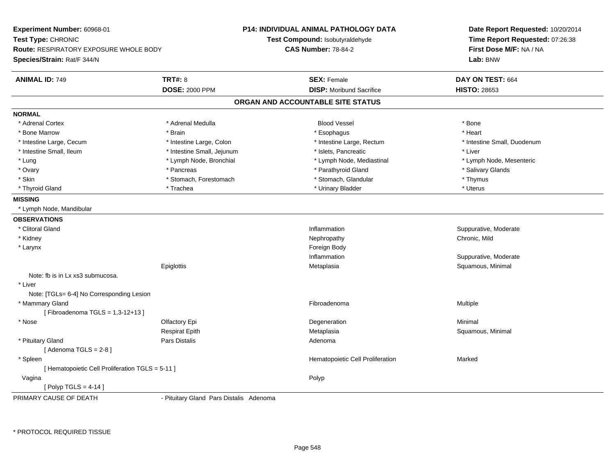| Experiment Number: 60968-01                                                                        |                                         | <b>P14: INDIVIDUAL ANIMAL PATHOLOGY DATA</b> | Date Report Requested: 10/20/2014                                      |  |
|----------------------------------------------------------------------------------------------------|-----------------------------------------|----------------------------------------------|------------------------------------------------------------------------|--|
| Test Type: CHRONIC<br><b>Route: RESPIRATORY EXPOSURE WHOLE BODY</b><br>Species/Strain: Rat/F 344/N |                                         | <b>Test Compound: Isobutyraldehyde</b>       | Time Report Requested: 07:26:38<br>First Dose M/F: NA / NA<br>Lab: BNW |  |
|                                                                                                    |                                         | <b>CAS Number: 78-84-2</b>                   |                                                                        |  |
|                                                                                                    |                                         |                                              |                                                                        |  |
| <b>ANIMAL ID: 749</b>                                                                              | <b>TRT#: 8</b>                          | <b>SEX: Female</b>                           | DAY ON TEST: 664                                                       |  |
|                                                                                                    | <b>DOSE: 2000 PPM</b>                   | <b>DISP:</b> Moribund Sacrifice              | <b>HISTO: 28653</b>                                                    |  |
|                                                                                                    |                                         | ORGAN AND ACCOUNTABLE SITE STATUS            |                                                                        |  |
| <b>NORMAL</b>                                                                                      |                                         |                                              |                                                                        |  |
| * Adrenal Cortex                                                                                   | * Adrenal Medulla                       | <b>Blood Vessel</b>                          | * Bone                                                                 |  |
| * Bone Marrow                                                                                      | * Brain                                 | * Esophagus                                  | * Heart                                                                |  |
| * Intestine Large, Cecum                                                                           | * Intestine Large, Colon                | * Intestine Large, Rectum                    | * Intestine Small, Duodenum                                            |  |
| * Intestine Small, Ileum                                                                           | * Intestine Small, Jejunum              | * Islets, Pancreatic                         | * Liver                                                                |  |
| * Lung                                                                                             | * Lymph Node, Bronchial                 | * Lymph Node, Mediastinal                    | * Lymph Node, Mesenteric                                               |  |
| * Ovary                                                                                            | * Pancreas                              | * Parathyroid Gland                          | * Salivary Glands                                                      |  |
| * Skin                                                                                             | * Stomach, Forestomach                  | * Stomach, Glandular                         | * Thymus                                                               |  |
| * Thyroid Gland                                                                                    | * Trachea                               | * Urinary Bladder                            | * Uterus                                                               |  |
| <b>MISSING</b>                                                                                     |                                         |                                              |                                                                        |  |
| * Lymph Node, Mandibular                                                                           |                                         |                                              |                                                                        |  |
| <b>OBSERVATIONS</b>                                                                                |                                         |                                              |                                                                        |  |
| * Clitoral Gland                                                                                   |                                         | Inflammation                                 | Suppurative, Moderate                                                  |  |
| * Kidney                                                                                           |                                         | Nephropathy                                  | Chronic, Mild                                                          |  |
| * Larynx                                                                                           |                                         | Foreign Body                                 |                                                                        |  |
|                                                                                                    |                                         | Inflammation                                 | Suppurative, Moderate                                                  |  |
|                                                                                                    | Epiglottis                              | Metaplasia                                   | Squamous, Minimal                                                      |  |
| Note: fb is in Lx xs3 submucosa.                                                                   |                                         |                                              |                                                                        |  |
| * Liver                                                                                            |                                         |                                              |                                                                        |  |
| Note: [TGLs= 6-4] No Corresponding Lesion                                                          |                                         |                                              |                                                                        |  |
| * Mammary Gland                                                                                    |                                         | Fibroadenoma                                 | Multiple                                                               |  |
| [Fibroadenoma TGLS = 1,3-12+13]                                                                    |                                         |                                              |                                                                        |  |
| * Nose                                                                                             | Olfactory Epi                           | Degeneration                                 | Minimal                                                                |  |
|                                                                                                    | <b>Respirat Epith</b>                   | Metaplasia                                   | Squamous, Minimal                                                      |  |
| * Pituitary Gland                                                                                  | <b>Pars Distalis</b>                    | Adenoma                                      |                                                                        |  |
| [Adenoma TGLS = $2-8$ ]                                                                            |                                         |                                              |                                                                        |  |
| * Spleen                                                                                           |                                         | Hematopoietic Cell Proliferation             | Marked                                                                 |  |
| [ Hematopoietic Cell Proliferation TGLS = 5-11 ]                                                   |                                         |                                              |                                                                        |  |
| Vagina                                                                                             |                                         | Polyp                                        |                                                                        |  |
| [ Polyp TGLS = $4-14$ ]                                                                            |                                         |                                              |                                                                        |  |
| PRIMARY CAUSE OF DEATH                                                                             | - Pituitary Gland Pars Distalis Adenoma |                                              |                                                                        |  |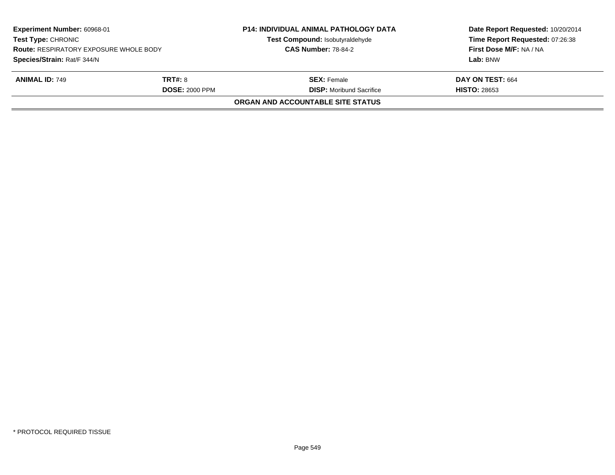| Experiment Number: 60968-01<br><b>Test Type: CHRONIC</b><br><b>Route: RESPIRATORY EXPOSURE WHOLE BODY</b><br>Species/Strain: Rat/F 344/N |  | <b>P14: INDIVIDUAL ANIMAL PATHOLOGY DATA</b><br>Test Compound: Isobutyraldehyde<br><b>CAS Number: 78-84-2</b> | Date Report Requested: 10/20/2014<br>Time Report Requested: 07:26:38<br>First Dose M/F: NA / NA<br>Lab: BNW |
|------------------------------------------------------------------------------------------------------------------------------------------|--|---------------------------------------------------------------------------------------------------------------|-------------------------------------------------------------------------------------------------------------|
| TRT#: 8<br><b>ANIMAL ID: 749</b><br><b>DOSE: 2000 PPM</b>                                                                                |  | <b>SEX:</b> Female<br><b>DISP:</b> Moribund Sacrifice                                                         | DAY ON TEST: 664<br><b>HISTO: 28653</b>                                                                     |
|                                                                                                                                          |  | <b>ORGAN AND ACCOUNTABLE SITE STATUS</b>                                                                      |                                                                                                             |
|                                                                                                                                          |  |                                                                                                               |                                                                                                             |